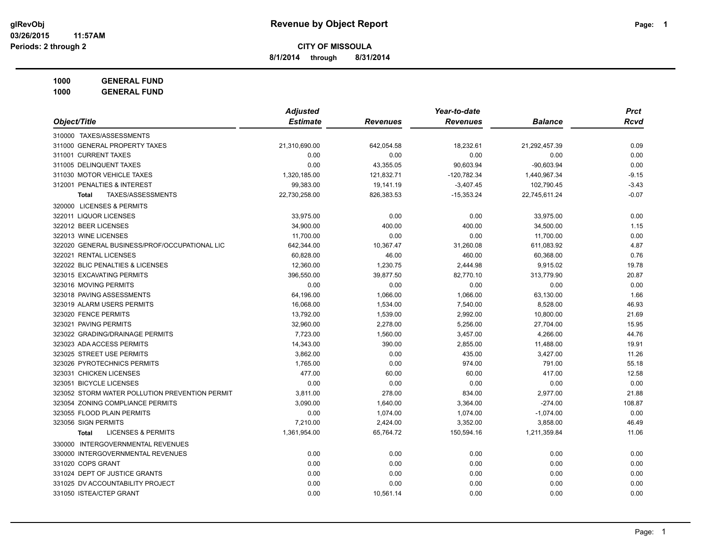**8/1/2014 through 8/31/2014**

**1000 GENERAL FUND**

|                                                | <b>Adjusted</b> |                 | Year-to-date    |                | <b>Prct</b> |
|------------------------------------------------|-----------------|-----------------|-----------------|----------------|-------------|
| Object/Title                                   | <b>Estimate</b> | <b>Revenues</b> | <b>Revenues</b> | <b>Balance</b> | <b>Rcvd</b> |
| 310000 TAXES/ASSESSMENTS                       |                 |                 |                 |                |             |
| 311000 GENERAL PROPERTY TAXES                  | 21,310,690.00   | 642,054.58      | 18,232.61       | 21,292,457.39  | 0.09        |
| 311001 CURRENT TAXES                           | 0.00            | 0.00            | 0.00            | 0.00           | 0.00        |
| 311005 DELINQUENT TAXES                        | 0.00            | 43,355.05       | 90,603.94       | $-90,603.94$   | 0.00        |
| 311030 MOTOR VEHICLE TAXES                     | 1,320,185.00    | 121,832.71      | $-120,782.34$   | 1,440,967.34   | $-9.15$     |
| 312001 PENALTIES & INTEREST                    | 99,383.00       | 19,141.19       | $-3,407.45$     | 102,790.45     | $-3.43$     |
| TAXES/ASSESSMENTS<br>Total                     | 22,730,258.00   | 826,383.53      | $-15,353.24$    | 22,745,611.24  | $-0.07$     |
| 320000 LICENSES & PERMITS                      |                 |                 |                 |                |             |
| 322011 LIQUOR LICENSES                         | 33,975.00       | 0.00            | 0.00            | 33,975.00      | 0.00        |
| 322012 BEER LICENSES                           | 34,900.00       | 400.00          | 400.00          | 34,500.00      | 1.15        |
| 322013 WINE LICENSES                           | 11,700.00       | 0.00            | 0.00            | 11,700.00      | 0.00        |
| 322020 GENERAL BUSINESS/PROF/OCCUPATIONAL LIC  | 642,344.00      | 10,367.47       | 31,260.08       | 611,083.92     | 4.87        |
| 322021 RENTAL LICENSES                         | 60,828.00       | 46.00           | 460.00          | 60,368.00      | 0.76        |
| 322022 BLIC PENALTIES & LICENSES               | 12,360.00       | 1,230.75        | 2,444.98        | 9,915.02       | 19.78       |
| 323015 EXCAVATING PERMITS                      | 396,550.00      | 39,877.50       | 82,770.10       | 313,779.90     | 20.87       |
| 323016 MOVING PERMITS                          | 0.00            | 0.00            | 0.00            | 0.00           | 0.00        |
| 323018 PAVING ASSESSMENTS                      | 64,196.00       | 1,066.00        | 1,066.00        | 63,130.00      | 1.66        |
| 323019 ALARM USERS PERMITS                     | 16,068.00       | 1,534.00        | 7,540.00        | 8,528.00       | 46.93       |
| 323020 FENCE PERMITS                           | 13,792.00       | 1,539.00        | 2,992.00        | 10,800.00      | 21.69       |
| 323021 PAVING PERMITS                          | 32,960.00       | 2,278.00        | 5,256.00        | 27,704.00      | 15.95       |
| 323022 GRADING/DRAINAGE PERMITS                | 7,723.00        | 1,560.00        | 3,457.00        | 4,266.00       | 44.76       |
| 323023 ADA ACCESS PERMITS                      | 14,343.00       | 390.00          | 2,855.00        | 11,488.00      | 19.91       |
| 323025 STREET USE PERMITS                      | 3,862.00        | 0.00            | 435.00          | 3,427.00       | 11.26       |
| 323026 PYROTECHNICS PERMITS                    | 1,765.00        | 0.00            | 974.00          | 791.00         | 55.18       |
| 323031 CHICKEN LICENSES                        | 477.00          | 60.00           | 60.00           | 417.00         | 12.58       |
| 323051 BICYCLE LICENSES                        | 0.00            | 0.00            | 0.00            | 0.00           | 0.00        |
| 323052 STORM WATER POLLUTION PREVENTION PERMIT | 3,811.00        | 278.00          | 834.00          | 2,977.00       | 21.88       |
| 323054 ZONING COMPLIANCE PERMITS               | 3,090.00        | 1,640.00        | 3,364.00        | $-274.00$      | 108.87      |
| 323055 FLOOD PLAIN PERMITS                     | 0.00            | 1,074.00        | 1,074.00        | $-1,074.00$    | 0.00        |
| 323056 SIGN PERMITS                            | 7,210.00        | 2,424.00        | 3,352.00        | 3,858.00       | 46.49       |
| <b>LICENSES &amp; PERMITS</b><br>Total         | 1,361,954.00    | 65,764.72       | 150,594.16      | 1,211,359.84   | 11.06       |
| 330000 INTERGOVERNMENTAL REVENUES              |                 |                 |                 |                |             |
| 330000 INTERGOVERNMENTAL REVENUES              | 0.00            | 0.00            | 0.00            | 0.00           | 0.00        |
| 331020 COPS GRANT                              | 0.00            | 0.00            | 0.00            | 0.00           | 0.00        |
| 331024 DEPT OF JUSTICE GRANTS                  | 0.00            | 0.00            | 0.00            | 0.00           | 0.00        |
| 331025 DV ACCOUNTABILITY PROJECT               | 0.00            | 0.00            | 0.00            | 0.00           | 0.00        |
| 331050 ISTEA/CTEP GRANT                        | 0.00            | 10,561.14       | 0.00            | 0.00           | 0.00        |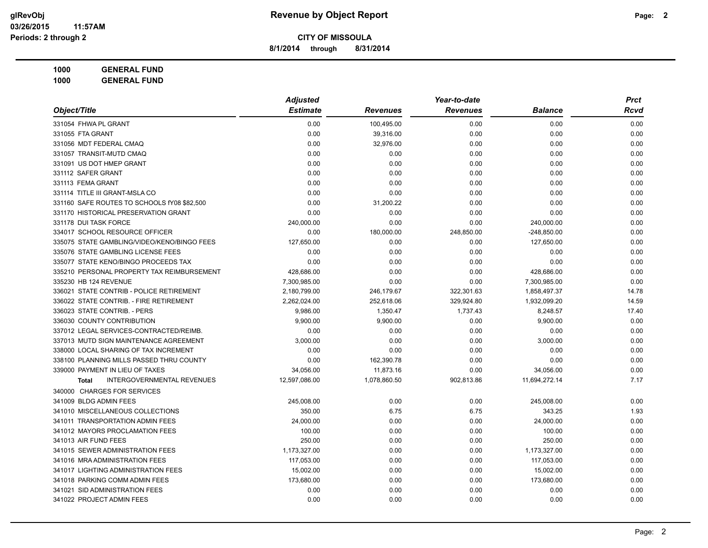**8/1/2014 through 8/31/2014**

|                                                   | <b>Adjusted</b> |              | Year-to-date    |                | <b>Prct</b> |
|---------------------------------------------------|-----------------|--------------|-----------------|----------------|-------------|
| Object/Title                                      | <b>Estimate</b> | Revenues     | <b>Revenues</b> | <b>Balance</b> | Rcvd        |
| 331054 FHWA PL GRANT                              | 0.00            | 100,495.00   | 0.00            | 0.00           | 0.00        |
| 331055 FTA GRANT                                  | 0.00            | 39,316.00    | 0.00            | 0.00           | 0.00        |
| 331056 MDT FEDERAL CMAQ                           | 0.00            | 32,976.00    | 0.00            | 0.00           | 0.00        |
| 331057 TRANSIT-MUTD CMAQ                          | 0.00            | 0.00         | 0.00            | 0.00           | 0.00        |
| 331091 US DOT HMEP GRANT                          | 0.00            | 0.00         | 0.00            | 0.00           | 0.00        |
| 331112 SAFER GRANT                                | 0.00            | 0.00         | 0.00            | 0.00           | 0.00        |
| 331113 FEMA GRANT                                 | 0.00            | 0.00         | 0.00            | 0.00           | 0.00        |
| 331114 TITLE III GRANT-MSLA CO                    | 0.00            | 0.00         | 0.00            | 0.00           | 0.00        |
| 331160 SAFE ROUTES TO SCHOOLS fY08 \$82,500       | 0.00            | 31,200.22    | 0.00            | 0.00           | 0.00        |
| 331170 HISTORICAL PRESERVATION GRANT              | 0.00            | 0.00         | 0.00            | 0.00           | 0.00        |
| 331178 DUI TASK FORCE                             | 240,000.00      | 0.00         | 0.00            | 240,000.00     | 0.00        |
| 334017 SCHOOL RESOURCE OFFICER                    | 0.00            | 180,000.00   | 248,850.00      | $-248,850.00$  | 0.00        |
| 335075 STATE GAMBLING/VIDEO/KENO/BINGO FEES       | 127,650.00      | 0.00         | 0.00            | 127,650.00     | 0.00        |
| 335076 STATE GAMBLING LICENSE FEES                | 0.00            | 0.00         | 0.00            | 0.00           | 0.00        |
| 335077 STATE KENO/BINGO PROCEEDS TAX              | 0.00            | 0.00         | 0.00            | 0.00           | 0.00        |
| 335210 PERSONAL PROPERTY TAX REIMBURSEMENT        | 428,686.00      | 0.00         | 0.00            | 428,686.00     | 0.00        |
| 335230 HB 124 REVENUE                             | 7,300,985.00    | 0.00         | 0.00            | 7,300,985.00   | 0.00        |
| 336021 STATE CONTRIB - POLICE RETIREMENT          | 2,180,799.00    | 246,179.67   | 322,301.63      | 1,858,497.37   | 14.78       |
| 336022 STATE CONTRIB. - FIRE RETIREMENT           | 2,262,024.00    | 252,618.06   | 329,924.80      | 1,932,099.20   | 14.59       |
| 336023 STATE CONTRIB. - PERS                      | 9,986.00        | 1,350.47     | 1,737.43        | 8,248.57       | 17.40       |
| 336030 COUNTY CONTRIBUTION                        | 9,900.00        | 9,900.00     | 0.00            | 9,900.00       | 0.00        |
| 337012 LEGAL SERVICES-CONTRACTED/REIMB.           | 0.00            | 0.00         | 0.00            | 0.00           | 0.00        |
| 337013 MUTD SIGN MAINTENANCE AGREEMENT            | 3,000.00        | 0.00         | 0.00            | 3,000.00       | 0.00        |
| 338000 LOCAL SHARING OF TAX INCREMENT             | 0.00            | 0.00         | 0.00            | 0.00           | 0.00        |
| 338100 PLANNING MILLS PASSED THRU COUNTY          | 0.00            | 162,390.78   | 0.00            | 0.00           | 0.00        |
| 339000 PAYMENT IN LIEU OF TAXES                   | 34,056.00       | 11,873.16    | 0.00            | 34,056.00      | 0.00        |
| <b>INTERGOVERNMENTAL REVENUES</b><br><b>Total</b> | 12,597,086.00   | 1,078,860.50 | 902,813.86      | 11,694,272.14  | 7.17        |
| 340000 CHARGES FOR SERVICES                       |                 |              |                 |                |             |
| 341009 BLDG ADMIN FEES                            | 245,008.00      | 0.00         | 0.00            | 245,008.00     | 0.00        |
| 341010 MISCELLANEOUS COLLECTIONS                  | 350.00          | 6.75         | 6.75            | 343.25         | 1.93        |
| 341011 TRANSPORTATION ADMIN FEES                  | 24,000.00       | 0.00         | 0.00            | 24,000.00      | 0.00        |
| 341012 MAYORS PROCLAMATION FEES                   | 100.00          | 0.00         | 0.00            | 100.00         | 0.00        |
| 341013 AIR FUND FEES                              | 250.00          | 0.00         | 0.00            | 250.00         | 0.00        |
| 341015 SEWER ADMINISTRATION FEES                  | 1,173,327.00    | 0.00         | 0.00            | 1,173,327.00   | 0.00        |
| 341016 MRA ADMINISTRATION FEES                    | 117,053.00      | 0.00         | 0.00            | 117,053.00     | 0.00        |
| 341017 LIGHTING ADMINISTRATION FEES               | 15,002.00       | 0.00         | 0.00            | 15,002.00      | 0.00        |
| 341018 PARKING COMM ADMIN FEES                    | 173,680.00      | 0.00         | 0.00            | 173,680.00     | 0.00        |
| 341021 SID ADMINISTRATION FEES                    | 0.00            | 0.00         | 0.00            | 0.00           | 0.00        |
| 341022 PROJECT ADMIN FEES                         | 0.00            | 0.00         | 0.00            | 0.00           | 0.00        |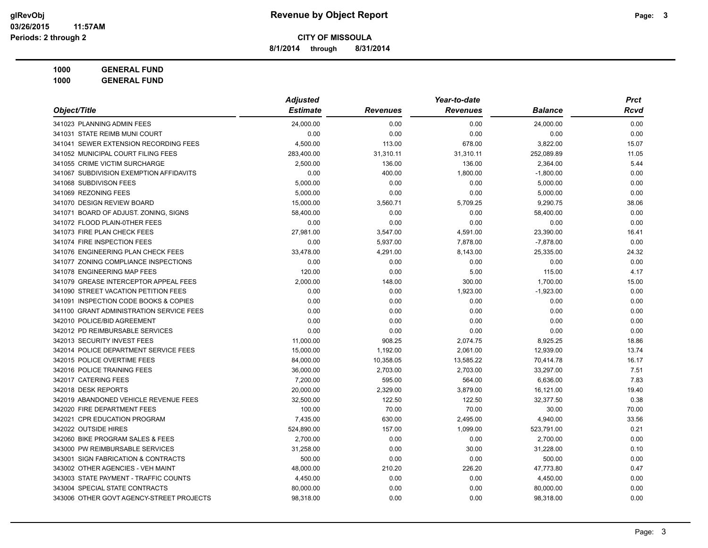**8/1/2014 through 8/31/2014**

|                                          | <b>Adjusted</b> |                 | Year-to-date    |                | <b>Prct</b> |
|------------------------------------------|-----------------|-----------------|-----------------|----------------|-------------|
| Object/Title                             | <b>Estimate</b> | <b>Revenues</b> | <b>Revenues</b> | <b>Balance</b> | Rcvd        |
| 341023 PLANNING ADMIN FEES               | 24,000.00       | 0.00            | 0.00            | 24,000.00      | 0.00        |
| 341031 STATE REIMB MUNI COURT            | 0.00            | 0.00            | 0.00            | 0.00           | 0.00        |
| 341041 SEWER EXTENSION RECORDING FEES    | 4,500.00        | 113.00          | 678.00          | 3,822.00       | 15.07       |
| 341052 MUNICIPAL COURT FILING FEES       | 283,400.00      | 31,310.11       | 31,310.11       | 252,089.89     | 11.05       |
| 341055 CRIME VICTIM SURCHARGE            | 2,500.00        | 136.00          | 136.00          | 2,364.00       | 5.44        |
| 341067 SUBDIVISION EXEMPTION AFFIDAVITS  | 0.00            | 400.00          | 1,800.00        | $-1,800.00$    | 0.00        |
| 341068 SUBDIVISON FEES                   | 5,000.00        | 0.00            | 0.00            | 5,000.00       | 0.00        |
| 341069 REZONING FEES                     | 5,000.00        | 0.00            | 0.00            | 5,000.00       | 0.00        |
| 341070 DESIGN REVIEW BOARD               | 15,000.00       | 3,560.71        | 5,709.25        | 9,290.75       | 38.06       |
| 341071 BOARD OF ADJUST. ZONING, SIGNS    | 58,400.00       | 0.00            | 0.00            | 58,400.00      | 0.00        |
| 341072 FLOOD PLAIN-0THER FEES            | 0.00            | 0.00            | 0.00            | 0.00           | 0.00        |
| 341073 FIRE PLAN CHECK FEES              | 27,981.00       | 3,547.00        | 4,591.00        | 23,390.00      | 16.41       |
| 341074 FIRE INSPECTION FEES              | 0.00            | 5,937.00        | 7,878.00        | $-7,878.00$    | 0.00        |
| 341076 ENGINEERING PLAN CHECK FEES       | 33,478.00       | 4,291.00        | 8,143.00        | 25,335.00      | 24.32       |
| 341077 ZONING COMPLIANCE INSPECTIONS     | 0.00            | 0.00            | 0.00            | 0.00           | 0.00        |
| 341078 ENGINEERING MAP FEES              | 120.00          | 0.00            | 5.00            | 115.00         | 4.17        |
| 341079 GREASE INTERCEPTOR APPEAL FEES    | 2,000.00        | 148.00          | 300.00          | 1,700.00       | 15.00       |
| 341090 STREET VACATION PETITION FEES     | 0.00            | 0.00            | 1,923.00        | $-1,923.00$    | 0.00        |
| 341091 INSPECTION CODE BOOKS & COPIES    | 0.00            | 0.00            | 0.00            | 0.00           | 0.00        |
| 341100 GRANT ADMINISTRATION SERVICE FEES | 0.00            | 0.00            | 0.00            | 0.00           | 0.00        |
| 342010 POLICE/BID AGREEMENT              | 0.00            | 0.00            | 0.00            | 0.00           | 0.00        |
| 342012 PD REIMBURSABLE SERVICES          | 0.00            | 0.00            | 0.00            | 0.00           | 0.00        |
| 342013 SECURITY INVEST FEES              | 11,000.00       | 908.25          | 2,074.75        | 8,925.25       | 18.86       |
| 342014 POLICE DEPARTMENT SERVICE FEES    | 15,000.00       | 1,192.00        | 2,061.00        | 12,939.00      | 13.74       |
| 342015 POLICE OVERTIME FEES              | 84,000.00       | 10,358.05       | 13,585.22       | 70,414.78      | 16.17       |
| 342016 POLICE TRAINING FEES              | 36,000.00       | 2,703.00        | 2,703.00        | 33,297.00      | 7.51        |
| 342017 CATERING FEES                     | 7,200.00        | 595.00          | 564.00          | 6,636.00       | 7.83        |
| 342018 DESK REPORTS                      | 20,000.00       | 2,329.00        | 3,879.00        | 16,121.00      | 19.40       |
| 342019 ABANDONED VEHICLE REVENUE FEES    | 32,500.00       | 122.50          | 122.50          | 32,377.50      | 0.38        |
| 342020 FIRE DEPARTMENT FEES              | 100.00          | 70.00           | 70.00           | 30.00          | 70.00       |
| 342021 CPR EDUCATION PROGRAM             | 7,435.00        | 630.00          | 2,495.00        | 4,940.00       | 33.56       |
| 342022 OUTSIDE HIRES                     | 524,890.00      | 157.00          | 1,099.00        | 523,791.00     | 0.21        |
| 342060 BIKE PROGRAM SALES & FEES         | 2,700.00        | 0.00            | 0.00            | 2,700.00       | 0.00        |
| 343000 PW REIMBURSABLE SERVICES          | 31,258.00       | 0.00            | 30.00           | 31,228.00      | 0.10        |
| 343001 SIGN FABRICATION & CONTRACTS      | 500.00          | 0.00            | 0.00            | 500.00         | 0.00        |
| 343002 OTHER AGENCIES - VEH MAINT        | 48,000.00       | 210.20          | 226.20          | 47,773.80      | 0.47        |
| 343003 STATE PAYMENT - TRAFFIC COUNTS    | 4,450.00        | 0.00            | 0.00            | 4,450.00       | 0.00        |
| 343004 SPECIAL STATE CONTRACTS           | 80,000.00       | 0.00            | 0.00            | 80,000.00      | 0.00        |
| 343006 OTHER GOVT AGENCY-STREET PROJECTS | 98,318.00       | 0.00            | 0.00            | 98,318.00      | 0.00        |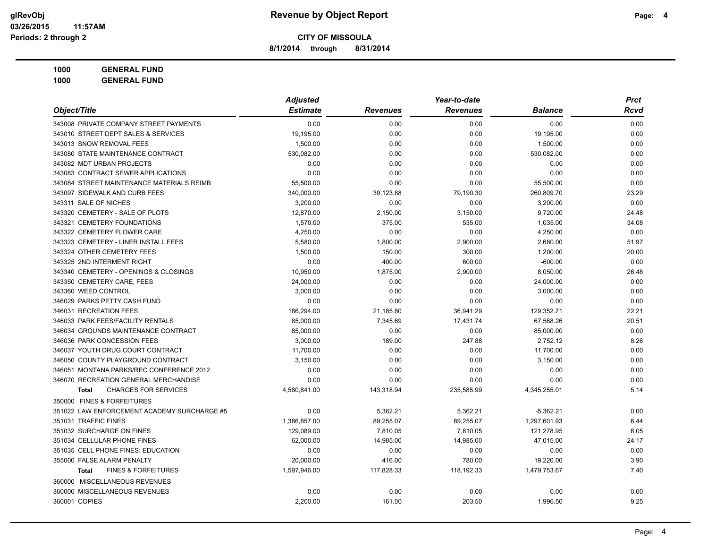**8/1/2014 through 8/31/2014**

| 1000 | <b>GENERAL FUND</b> |  |
|------|---------------------|--|
|      |                     |  |
|      |                     |  |
|      |                     |  |

|                                                | <b>Adjusted</b> |                 | Year-to-date    |                | <b>Prct</b> |
|------------------------------------------------|-----------------|-----------------|-----------------|----------------|-------------|
| Object/Title                                   | <b>Estimate</b> | <b>Revenues</b> | <b>Revenues</b> | <b>Balance</b> | <b>Rcvd</b> |
| 343008 PRIVATE COMPANY STREET PAYMENTS         | 0.00            | 0.00            | 0.00            | 0.00           | 0.00        |
| 343010 STREET DEPT SALES & SERVICES            | 19,195.00       | 0.00            | 0.00            | 19,195.00      | 0.00        |
| 343013 SNOW REMOVAL FEES                       | 1,500.00        | 0.00            | 0.00            | 1,500.00       | 0.00        |
| 343080 STATE MAINTENANCE CONTRACT              | 530,082.00      | 0.00            | 0.00            | 530,082.00     | 0.00        |
| 343082 MDT URBAN PROJECTS                      | 0.00            | 0.00            | 0.00            | 0.00           | 0.00        |
| 343083 CONTRACT SEWER APPLICATIONS             | 0.00            | 0.00            | 0.00            | 0.00           | 0.00        |
| 343084 STREET MAINTENANCE MATERIALS REIMB      | 55,500.00       | 0.00            | 0.00            | 55,500.00      | 0.00        |
| 343097 SIDEWALK AND CURB FEES                  | 340,000.00      | 39,123.88       | 79,190.30       | 260,809.70     | 23.29       |
| 343311 SALE OF NICHES                          | 3,200.00        | 0.00            | 0.00            | 3,200.00       | 0.00        |
| 343320 CEMETERY - SALE OF PLOTS                | 12,870.00       | 2,150.00        | 3,150.00        | 9,720.00       | 24.48       |
| 343321 CEMETERY FOUNDATIONS                    | 1,570.00        | 375.00          | 535.00          | 1,035.00       | 34.08       |
| 343322 CEMETERY FLOWER CARE                    | 4,250.00        | 0.00            | 0.00            | 4,250.00       | 0.00        |
| 343323 CEMETERY - LINER INSTALL FEES           | 5,580.00        | 1,800.00        | 2,900.00        | 2,680.00       | 51.97       |
| 343324 OTHER CEMETERY FEES                     | 1,500.00        | 150.00          | 300.00          | 1,200.00       | 20.00       |
| 343325 2ND INTERMENT RIGHT                     | 0.00            | 400.00          | 600.00          | $-600.00$      | 0.00        |
| 343340 CEMETERY - OPENINGS & CLOSINGS          | 10,950.00       | 1,875.00        | 2,900.00        | 8,050.00       | 26.48       |
| 343350 CEMETERY CARE, FEES                     | 24,000.00       | 0.00            | 0.00            | 24,000.00      | 0.00        |
| 343360 WEED CONTROL                            | 3.000.00        | 0.00            | 0.00            | 3,000.00       | 0.00        |
| 346029 PARKS PETTY CASH FUND                   | 0.00            | 0.00            | 0.00            | 0.00           | 0.00        |
| 346031 RECREATION FEES                         | 166,294.00      | 21,185.80       | 36,941.29       | 129,352.71     | 22.21       |
| 346033 PARK FEES/FACILITY RENTALS              | 85,000.00       | 7,345.69        | 17,431.74       | 67,568.26      | 20.51       |
| 346034 GROUNDS MAINTENANCE CONTRACT            | 85,000.00       | 0.00            | 0.00            | 85,000.00      | 0.00        |
| 346036 PARK CONCESSION FEES                    | 3,000.00        | 189.00          | 247.88          | 2,752.12       | 8.26        |
| 346037 YOUTH DRUG COURT CONTRACT               | 11,700.00       | 0.00            | 0.00            | 11,700.00      | 0.00        |
| 346050 COUNTY PLAYGROUND CONTRACT              | 3,150.00        | 0.00            | 0.00            | 3,150.00       | 0.00        |
| 346051 MONTANA PARKS/REC CONFERENCE 2012       | 0.00            | 0.00            | 0.00            | 0.00           | 0.00        |
| 346070 RECREATION GENERAL MERCHANDISE          | 0.00            | 0.00            | 0.00            | 0.00           | 0.00        |
| <b>CHARGES FOR SERVICES</b><br><b>Total</b>    | 4,580,841.00    | 143,318.94      | 235,585.99      | 4,345,255.01   | 5.14        |
| 350000 FINES & FORFEITURES                     |                 |                 |                 |                |             |
| 351022 LAW ENFORCEMENT ACADEMY SURCHARGE #5    | 0.00            | 5,362.21        | 5,362.21        | $-5,362.21$    | 0.00        |
| 351031 TRAFFIC FINES                           | 1,386,857.00    | 89,255.07       | 89,255.07       | 1,297,601.93   | 6.44        |
| 351032 SURCHARGE ON FINES                      | 129,089.00      | 7,810.05        | 7,810.05        | 121,278.95     | 6.05        |
| 351034 CELLULAR PHONE FINES                    | 62,000.00       | 14,985.00       | 14,985.00       | 47,015.00      | 24.17       |
| 351035 CELL PHONE FINES: EDUCATION             | 0.00            | 0.00            | 0.00            | 0.00           | 0.00        |
| 355000 FALSE ALARM PENALTY                     | 20,000.00       | 416.00          | 780.00          | 19,220.00      | 3.90        |
| <b>FINES &amp; FORFEITURES</b><br><b>Total</b> | 1,597,946.00    | 117,828.33      | 118,192.33      | 1,479,753.67   | 7.40        |
| 360000 MISCELLANEOUS REVENUES                  |                 |                 |                 |                |             |
| 360000 MISCELLANEOUS REVENUES                  | 0.00            | 0.00            | 0.00            | 0.00           | 0.00        |
| 360001 COPIES                                  | 2.200.00        | 161.00          | 203.50          | 1,996.50       | 9.25        |
|                                                |                 |                 |                 |                |             |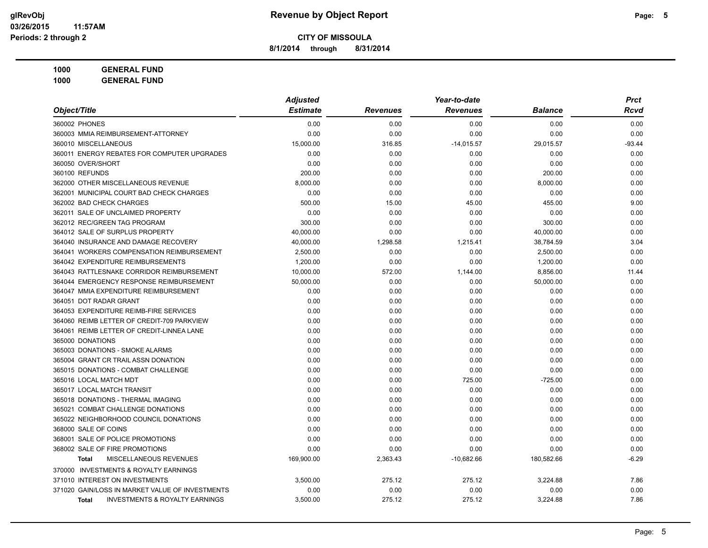**8/1/2014 through 8/31/2014**

|                                                    | <b>Adjusted</b> |                 | Year-to-date    |                | <b>Prct</b> |
|----------------------------------------------------|-----------------|-----------------|-----------------|----------------|-------------|
| Object/Title                                       | <b>Estimate</b> | <b>Revenues</b> | <b>Revenues</b> | <b>Balance</b> | Rcvd        |
| 360002 PHONES                                      | 0.00            | 0.00            | 0.00            | 0.00           | 0.00        |
| 360003 MMIA REIMBURSEMENT-ATTORNEY                 | 0.00            | 0.00            | 0.00            | 0.00           | 0.00        |
| 360010 MISCELLANEOUS                               | 15,000.00       | 316.85          | $-14,015.57$    | 29,015.57      | $-93.44$    |
| 360011 ENERGY REBATES FOR COMPUTER UPGRADES        | 0.00            | 0.00            | 0.00            | 0.00           | 0.00        |
| 360050 OVER/SHORT                                  | 0.00            | 0.00            | 0.00            | 0.00           | 0.00        |
| 360100 REFUNDS                                     | 200.00          | 0.00            | 0.00            | 200.00         | 0.00        |
| 362000 OTHER MISCELLANEOUS REVENUE                 | 8,000.00        | 0.00            | 0.00            | 8,000.00       | 0.00        |
| 362001 MUNICIPAL COURT BAD CHECK CHARGES           | 0.00            | 0.00            | 0.00            | 0.00           | 0.00        |
| 362002 BAD CHECK CHARGES                           | 500.00          | 15.00           | 45.00           | 455.00         | 9.00        |
| 362011 SALE OF UNCLAIMED PROPERTY                  | 0.00            | 0.00            | 0.00            | 0.00           | 0.00        |
| 362012 REC/GREEN TAG PROGRAM                       | 300.00          | 0.00            | 0.00            | 300.00         | 0.00        |
| 364012 SALE OF SURPLUS PROPERTY                    | 40,000.00       | 0.00            | 0.00            | 40,000.00      | 0.00        |
| 364040 INSURANCE AND DAMAGE RECOVERY               | 40,000.00       | 1,298.58        | 1,215.41        | 38,784.59      | 3.04        |
| 364041 WORKERS COMPENSATION REIMBURSEMENT          | 2,500.00        | 0.00            | 0.00            | 2,500.00       | 0.00        |
| 364042 EXPENDITURE REIMBURSEMENTS                  | 1,200.00        | 0.00            | 0.00            | 1,200.00       | 0.00        |
| 364043 RATTLESNAKE CORRIDOR REIMBURSEMENT          | 10,000.00       | 572.00          | 1,144.00        | 8,856.00       | 11.44       |
| 364044 EMERGENCY RESPONSE REIMBURSEMENT            | 50,000.00       | 0.00            | 0.00            | 50,000.00      | 0.00        |
| 364047 MMIA EXPENDITURE REIMBURSEMENT              | 0.00            | 0.00            | 0.00            | 0.00           | 0.00        |
| 364051 DOT RADAR GRANT                             | 0.00            | 0.00            | 0.00            | 0.00           | 0.00        |
| 364053 EXPENDITURE REIMB-FIRE SERVICES             | 0.00            | 0.00            | 0.00            | 0.00           | 0.00        |
| 364060 REIMB LETTER OF CREDIT-709 PARKVIEW         | 0.00            | 0.00            | 0.00            | 0.00           | 0.00        |
| 364061 REIMB LETTER OF CREDIT-LINNEA LANE          | 0.00            | 0.00            | 0.00            | 0.00           | 0.00        |
| 365000 DONATIONS                                   | 0.00            | 0.00            | 0.00            | 0.00           | 0.00        |
| 365003 DONATIONS - SMOKE ALARMS                    | 0.00            | 0.00            | 0.00            | 0.00           | 0.00        |
| 365004 GRANT CR TRAIL ASSN DONATION                | 0.00            | 0.00            | 0.00            | 0.00           | 0.00        |
| 365015 DONATIONS - COMBAT CHALLENGE                | 0.00            | 0.00            | 0.00            | 0.00           | 0.00        |
| 365016 LOCAL MATCH MDT                             | 0.00            | 0.00            | 725.00          | $-725.00$      | 0.00        |
| 365017 LOCAL MATCH TRANSIT                         | 0.00            | 0.00            | 0.00            | 0.00           | 0.00        |
| 365018 DONATIONS - THERMAL IMAGING                 | 0.00            | 0.00            | 0.00            | 0.00           | 0.00        |
| 365021 COMBAT CHALLENGE DONATIONS                  | 0.00            | 0.00            | 0.00            | 0.00           | 0.00        |
| 365022 NEIGHBORHOOD COUNCIL DONATIONS              | 0.00            | 0.00            | 0.00            | 0.00           | 0.00        |
| 368000 SALE OF COINS                               | 0.00            | 0.00            | 0.00            | 0.00           | 0.00        |
| 368001 SALE OF POLICE PROMOTIONS                   | 0.00            | 0.00            | 0.00            | 0.00           | 0.00        |
| 368002 SALE OF FIRE PROMOTIONS                     | 0.00            | 0.00            | 0.00            | 0.00           | 0.00        |
| MISCELLANEOUS REVENUES<br><b>Total</b>             | 169,900.00      | 2,363.43        | $-10,682.66$    | 180,582.66     | $-6.29$     |
| 370000 INVESTMENTS & ROYALTY EARNINGS              |                 |                 |                 |                |             |
| 371010 INTEREST ON INVESTMENTS                     | 3,500.00        | 275.12          | 275.12          | 3,224.88       | 7.86        |
| 371020 GAIN/LOSS IN MARKET VALUE OF INVESTMENTS    | 0.00            | 0.00            | 0.00            | 0.00           | 0.00        |
| <b>INVESTMENTS &amp; ROYALTY EARNINGS</b><br>Total | 3,500.00        | 275.12          | 275.12          | 3,224.88       | 7.86        |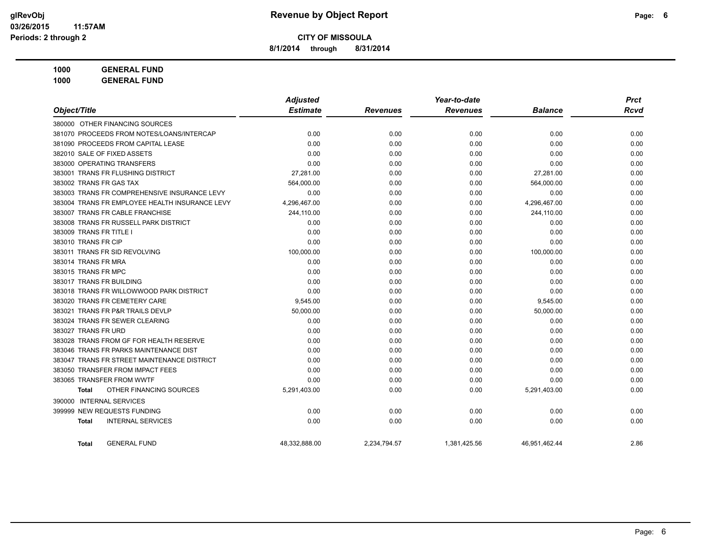**8/1/2014 through 8/31/2014**

|                                                | <b>Adjusted</b> |                 | Year-to-date    |                | <b>Prct</b> |
|------------------------------------------------|-----------------|-----------------|-----------------|----------------|-------------|
| Object/Title                                   | <b>Estimate</b> | <b>Revenues</b> | <b>Revenues</b> | <b>Balance</b> | <b>Rcvd</b> |
| 380000 OTHER FINANCING SOURCES                 |                 |                 |                 |                |             |
| 381070 PROCEEDS FROM NOTES/LOANS/INTERCAP      | 0.00            | 0.00            | 0.00            | 0.00           | 0.00        |
| 381090 PROCEEDS FROM CAPITAL LEASE             | 0.00            | 0.00            | 0.00            | 0.00           | 0.00        |
| 382010 SALE OF FIXED ASSETS                    | 0.00            | 0.00            | 0.00            | 0.00           | 0.00        |
| 383000 OPERATING TRANSFERS                     | 0.00            | 0.00            | 0.00            | 0.00           | 0.00        |
| 383001 TRANS FR FLUSHING DISTRICT              | 27,281.00       | 0.00            | 0.00            | 27,281.00      | 0.00        |
| 383002 TRANS FR GAS TAX                        | 564,000.00      | 0.00            | 0.00            | 564,000.00     | 0.00        |
| 383003 TRANS FR COMPREHENSIVE INSURANCE LEVY   | 0.00            | 0.00            | 0.00            | 0.00           | 0.00        |
| 383004 TRANS FR EMPLOYEE HEALTH INSURANCE LEVY | 4,296,467.00    | 0.00            | 0.00            | 4,296,467.00   | 0.00        |
| 383007 TRANS FR CABLE FRANCHISE                | 244,110.00      | 0.00            | 0.00            | 244,110.00     | 0.00        |
| 383008 TRANS FR RUSSELL PARK DISTRICT          | 0.00            | 0.00            | 0.00            | 0.00           | 0.00        |
| 383009 TRANS FR TITLE I                        | 0.00            | 0.00            | 0.00            | 0.00           | 0.00        |
| 383010 TRANS FR CIP                            | 0.00            | 0.00            | 0.00            | 0.00           | 0.00        |
| 383011 TRANS FR SID REVOLVING                  | 100,000.00      | 0.00            | 0.00            | 100,000.00     | 0.00        |
| 383014 TRANS FR MRA                            | 0.00            | 0.00            | 0.00            | 0.00           | 0.00        |
| 383015 TRANS FR MPC                            | 0.00            | 0.00            | 0.00            | 0.00           | 0.00        |
| 383017 TRANS FR BUILDING                       | 0.00            | 0.00            | 0.00            | 0.00           | 0.00        |
| 383018 TRANS FR WILLOWWOOD PARK DISTRICT       | 0.00            | 0.00            | 0.00            | 0.00           | 0.00        |
| 383020 TRANS FR CEMETERY CARE                  | 9,545.00        | 0.00            | 0.00            | 9,545.00       | 0.00        |
| 383021 TRANS FR P&R TRAILS DEVLP               | 50,000.00       | 0.00            | 0.00            | 50,000.00      | 0.00        |
| 383024 TRANS FR SEWER CLEARING                 | 0.00            | 0.00            | 0.00            | 0.00           | 0.00        |
| 383027 TRANS FR URD                            | 0.00            | 0.00            | 0.00            | 0.00           | 0.00        |
| 383028 TRANS FROM GF FOR HEALTH RESERVE        | 0.00            | 0.00            | 0.00            | 0.00           | 0.00        |
| 383046 TRANS FR PARKS MAINTENANCE DIST         | 0.00            | 0.00            | 0.00            | 0.00           | 0.00        |
| 383047 TRANS FR STREET MAINTENANCE DISTRICT    | 0.00            | 0.00            | 0.00            | 0.00           | 0.00        |
| 383050 TRANSFER FROM IMPACT FEES               | 0.00            | 0.00            | 0.00            | 0.00           | 0.00        |
| 383065 TRANSFER FROM WWTF                      | 0.00            | 0.00            | 0.00            | 0.00           | 0.00        |
| OTHER FINANCING SOURCES<br><b>Total</b>        | 5,291,403.00    | 0.00            | 0.00            | 5,291,403.00   | 0.00        |
| 390000 INTERNAL SERVICES                       |                 |                 |                 |                |             |
| 399999 NEW REQUESTS FUNDING                    | 0.00            | 0.00            | 0.00            | 0.00           | 0.00        |
| <b>INTERNAL SERVICES</b><br><b>Total</b>       | 0.00            | 0.00            | 0.00            | 0.00           | 0.00        |
| <b>GENERAL FUND</b><br><b>Total</b>            | 48,332,888.00   | 2,234,794.57    | 1,381,425.56    | 46,951,462.44  | 2.86        |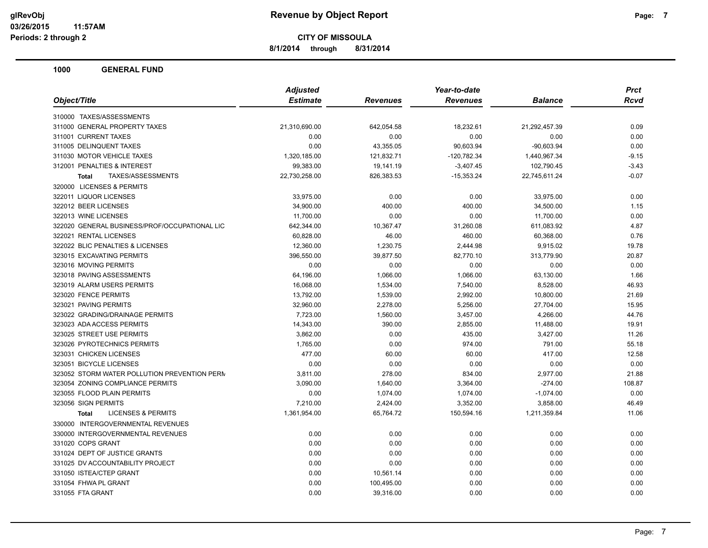**8/1/2014 through 8/31/2014**

|                                               | <b>Adjusted</b> |                 | Year-to-date    | <b>Prct</b>    |             |
|-----------------------------------------------|-----------------|-----------------|-----------------|----------------|-------------|
| Object/Title                                  | <b>Estimate</b> | <b>Revenues</b> | <b>Revenues</b> | <b>Balance</b> | <b>Rcvd</b> |
| 310000 TAXES/ASSESSMENTS                      |                 |                 |                 |                |             |
| 311000 GENERAL PROPERTY TAXES                 | 21,310,690.00   | 642,054.58      | 18,232.61       | 21,292,457.39  | 0.09        |
| 311001 CURRENT TAXES                          | 0.00            | 0.00            | 0.00            | 0.00           | 0.00        |
| 311005 DELINQUENT TAXES                       | 0.00            | 43,355.05       | 90,603.94       | $-90,603.94$   | 0.00        |
| 311030 MOTOR VEHICLE TAXES                    | 1,320,185.00    | 121,832.71      | $-120,782.34$   | 1,440,967.34   | $-9.15$     |
| 312001 PENALTIES & INTEREST                   | 99,383.00       | 19,141.19       | $-3,407.45$     | 102,790.45     | $-3.43$     |
| TAXES/ASSESSMENTS<br><b>Total</b>             | 22,730,258.00   | 826,383.53      | $-15,353.24$    | 22,745,611.24  | $-0.07$     |
| 320000 LICENSES & PERMITS                     |                 |                 |                 |                |             |
| 322011 LIQUOR LICENSES                        | 33,975.00       | 0.00            | 0.00            | 33,975.00      | 0.00        |
| 322012 BEER LICENSES                          | 34,900.00       | 400.00          | 400.00          | 34,500.00      | 1.15        |
| 322013 WINE LICENSES                          | 11,700.00       | 0.00            | 0.00            | 11,700.00      | 0.00        |
| 322020 GENERAL BUSINESS/PROF/OCCUPATIONAL LIC | 642,344.00      | 10,367.47       | 31,260.08       | 611,083.92     | 4.87        |
| 322021 RENTAL LICENSES                        | 60,828.00       | 46.00           | 460.00          | 60,368.00      | 0.76        |
| 322022 BLIC PENALTIES & LICENSES              | 12,360.00       | 1,230.75        | 2,444.98        | 9,915.02       | 19.78       |
| 323015 EXCAVATING PERMITS                     | 396,550.00      | 39,877.50       | 82,770.10       | 313,779.90     | 20.87       |
| 323016 MOVING PERMITS                         | 0.00            | 0.00            | 0.00            | 0.00           | 0.00        |
| 323018 PAVING ASSESSMENTS                     | 64,196.00       | 1,066.00        | 1,066.00        | 63,130.00      | 1.66        |
| 323019 ALARM USERS PERMITS                    | 16,068.00       | 1,534.00        | 7,540.00        | 8,528.00       | 46.93       |
| 323020 FENCE PERMITS                          | 13,792.00       | 1,539.00        | 2,992.00        | 10,800.00      | 21.69       |
| 323021 PAVING PERMITS                         | 32,960.00       | 2,278.00        | 5,256.00        | 27,704.00      | 15.95       |
| 323022 GRADING/DRAINAGE PERMITS               | 7,723.00        | 1,560.00        | 3,457.00        | 4,266.00       | 44.76       |
| 323023 ADA ACCESS PERMITS                     | 14,343.00       | 390.00          | 2,855.00        | 11,488.00      | 19.91       |
| 323025 STREET USE PERMITS                     | 3,862.00        | 0.00            | 435.00          | 3,427.00       | 11.26       |
| 323026 PYROTECHNICS PERMITS                   | 1,765.00        | 0.00            | 974.00          | 791.00         | 55.18       |
| 323031 CHICKEN LICENSES                       | 477.00          | 60.00           | 60.00           | 417.00         | 12.58       |
| 323051 BICYCLE LICENSES                       | 0.00            | 0.00            | 0.00            | 0.00           | 0.00        |
| 323052 STORM WATER POLLUTION PREVENTION PERM  | 3,811.00        | 278.00          | 834.00          | 2,977.00       | 21.88       |
| 323054 ZONING COMPLIANCE PERMITS              | 3,090.00        | 1,640.00        | 3,364.00        | $-274.00$      | 108.87      |
| 323055 FLOOD PLAIN PERMITS                    | 0.00            | 1,074.00        | 1,074.00        | $-1,074.00$    | 0.00        |
| 323056 SIGN PERMITS                           | 7,210.00        | 2,424.00        | 3,352.00        | 3,858.00       | 46.49       |
| <b>LICENSES &amp; PERMITS</b><br>Total        | 1,361,954.00    | 65,764.72       | 150,594.16      | 1,211,359.84   | 11.06       |
| 330000 INTERGOVERNMENTAL REVENUES             |                 |                 |                 |                |             |
| 330000 INTERGOVERNMENTAL REVENUES             | 0.00            | 0.00            | 0.00            | 0.00           | 0.00        |
| 331020 COPS GRANT                             | 0.00            | 0.00            | 0.00            | 0.00           | 0.00        |
| 331024 DEPT OF JUSTICE GRANTS                 | 0.00            | 0.00            | 0.00            | 0.00           | 0.00        |
| 331025 DV ACCOUNTABILITY PROJECT              | 0.00            | 0.00            | 0.00            | 0.00           | 0.00        |
| 331050 ISTEA/CTEP GRANT                       | 0.00            | 10,561.14       | 0.00            | 0.00           | 0.00        |
| 331054 FHWA PL GRANT                          | 0.00            | 100,495.00      | 0.00            | 0.00           | 0.00        |
| 331055 FTA GRANT                              | 0.00            | 39,316.00       | 0.00            | 0.00           | 0.00        |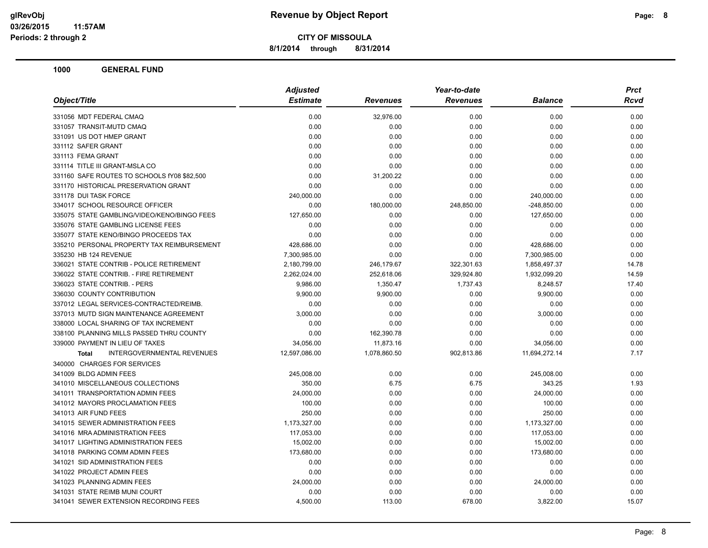**8/1/2014 through 8/31/2014**

|                                                   | <b>Adjusted</b> |                 | Year-to-date    |                |       |
|---------------------------------------------------|-----------------|-----------------|-----------------|----------------|-------|
| Object/Title                                      | <b>Estimate</b> | <b>Revenues</b> | <b>Revenues</b> | <b>Balance</b> | Rcvd  |
| 331056 MDT FEDERAL CMAQ                           | 0.00            | 32,976.00       | 0.00            | 0.00           | 0.00  |
| 331057 TRANSIT-MUTD CMAQ                          | 0.00            | 0.00            | 0.00            | 0.00           | 0.00  |
| 331091 US DOT HMEP GRANT                          | 0.00            | 0.00            | 0.00            | 0.00           | 0.00  |
| 331112 SAFER GRANT                                | 0.00            | 0.00            | 0.00            | 0.00           | 0.00  |
| 331113 FEMA GRANT                                 | 0.00            | 0.00            | 0.00            | 0.00           | 0.00  |
| 331114 TITLE III GRANT-MSLA CO                    | 0.00            | 0.00            | 0.00            | 0.00           | 0.00  |
| 331160 SAFE ROUTES TO SCHOOLS fY08 \$82,500       | 0.00            | 31,200.22       | 0.00            | 0.00           | 0.00  |
| 331170 HISTORICAL PRESERVATION GRANT              | 0.00            | 0.00            | 0.00            | 0.00           | 0.00  |
| 331178 DUI TASK FORCE                             | 240,000.00      | 0.00            | 0.00            | 240,000.00     | 0.00  |
| 334017 SCHOOL RESOURCE OFFICER                    | 0.00            | 180,000.00      | 248,850.00      | $-248,850.00$  | 0.00  |
| 335075 STATE GAMBLING/VIDEO/KENO/BINGO FEES       | 127,650.00      | 0.00            | 0.00            | 127,650.00     | 0.00  |
| 335076 STATE GAMBLING LICENSE FEES                | 0.00            | 0.00            | 0.00            | 0.00           | 0.00  |
| 335077 STATE KENO/BINGO PROCEEDS TAX              | 0.00            | 0.00            | 0.00            | 0.00           | 0.00  |
| 335210 PERSONAL PROPERTY TAX REIMBURSEMENT        | 428,686.00      | 0.00            | 0.00            | 428,686.00     | 0.00  |
| 335230 HB 124 REVENUE                             | 7,300,985.00    | 0.00            | 0.00            | 7,300,985.00   | 0.00  |
| 336021 STATE CONTRIB - POLICE RETIREMENT          | 2,180,799.00    | 246,179.67      | 322,301.63      | 1,858,497.37   | 14.78 |
| 336022 STATE CONTRIB. - FIRE RETIREMENT           | 2,262,024.00    | 252,618.06      | 329,924.80      | 1,932,099.20   | 14.59 |
| 336023 STATE CONTRIB. - PERS                      | 9,986.00        | 1,350.47        | 1,737.43        | 8,248.57       | 17.40 |
| 336030 COUNTY CONTRIBUTION                        | 9,900.00        | 9,900.00        | 0.00            | 9,900.00       | 0.00  |
| 337012 LEGAL SERVICES-CONTRACTED/REIMB.           | 0.00            | 0.00            | 0.00            | 0.00           | 0.00  |
| 337013 MUTD SIGN MAINTENANCE AGREEMENT            | 3,000.00        | 0.00            | 0.00            | 3,000.00       | 0.00  |
| 338000 LOCAL SHARING OF TAX INCREMENT             | 0.00            | 0.00            | 0.00            | 0.00           | 0.00  |
| 338100 PLANNING MILLS PASSED THRU COUNTY          | 0.00            | 162,390.78      | 0.00            | 0.00           | 0.00  |
| 339000 PAYMENT IN LIEU OF TAXES                   | 34,056.00       | 11,873.16       | 0.00            | 34,056.00      | 0.00  |
| <b>INTERGOVERNMENTAL REVENUES</b><br><b>Total</b> | 12,597,086.00   | 1,078,860.50    | 902,813.86      | 11,694,272.14  | 7.17  |
| 340000 CHARGES FOR SERVICES                       |                 |                 |                 |                |       |
| 341009 BLDG ADMIN FEES                            | 245,008.00      | 0.00            | 0.00            | 245,008.00     | 0.00  |
| 341010 MISCELLANEOUS COLLECTIONS                  | 350.00          | 6.75            | 6.75            | 343.25         | 1.93  |
| 341011 TRANSPORTATION ADMIN FEES                  | 24,000.00       | 0.00            | 0.00            | 24,000.00      | 0.00  |
| 341012 MAYORS PROCLAMATION FEES                   | 100.00          | 0.00            | 0.00            | 100.00         | 0.00  |
| 341013 AIR FUND FEES                              | 250.00          | 0.00            | 0.00            | 250.00         | 0.00  |
| 341015 SEWER ADMINISTRATION FEES                  | 1,173,327.00    | 0.00            | 0.00            | 1,173,327.00   | 0.00  |
| 341016 MRA ADMINISTRATION FEES                    | 117,053.00      | 0.00            | 0.00            | 117,053.00     | 0.00  |
| 341017 LIGHTING ADMINISTRATION FEES               | 15,002.00       | 0.00            | 0.00            | 15,002.00      | 0.00  |
| 341018 PARKING COMM ADMIN FEES                    | 173,680.00      | 0.00            | 0.00            | 173,680.00     | 0.00  |
| 341021 SID ADMINISTRATION FEES                    | 0.00            | 0.00            | 0.00            | 0.00           | 0.00  |
| 341022 PROJECT ADMIN FEES                         | 0.00            | 0.00            | 0.00            | 0.00           | 0.00  |
| 341023 PLANNING ADMIN FEES                        | 24,000.00       | 0.00            | 0.00            | 24,000.00      | 0.00  |
| 341031 STATE REIMB MUNI COURT                     | 0.00            | 0.00            | 0.00            | 0.00           | 0.00  |
| 341041 SEWER EXTENSION RECORDING FEES             | 4,500.00        | 113.00          | 678.00          | 3,822.00       | 15.07 |
|                                                   |                 |                 |                 |                |       |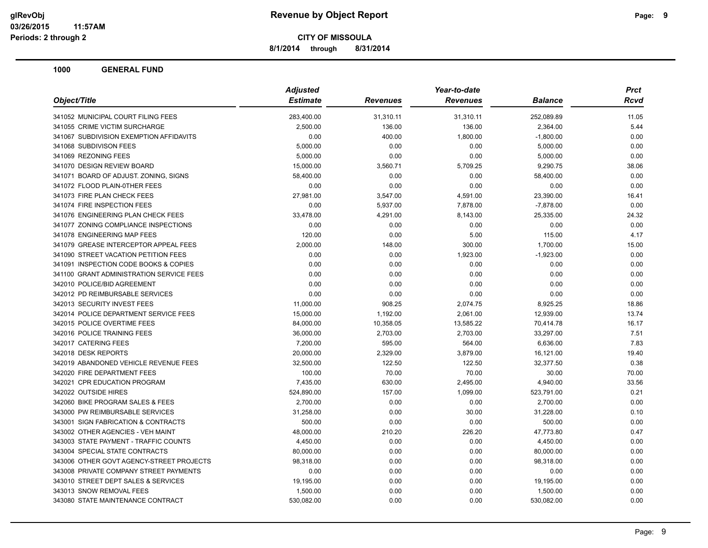**8/1/2014 through 8/31/2014**

|                                          | <b>Adjusted</b> |                 | Year-to-date    |                | <b>Prct</b> |
|------------------------------------------|-----------------|-----------------|-----------------|----------------|-------------|
| Object/Title                             | <b>Estimate</b> | <b>Revenues</b> | <b>Revenues</b> | <b>Balance</b> | <b>Rcvd</b> |
| 341052 MUNICIPAL COURT FILING FEES       | 283,400.00      | 31,310.11       | 31,310.11       | 252,089.89     | 11.05       |
| 341055 CRIME VICTIM SURCHARGE            | 2,500.00        | 136.00          | 136.00          | 2,364.00       | 5.44        |
| 341067 SUBDIVISION EXEMPTION AFFIDAVITS  | 0.00            | 400.00          | 1,800.00        | $-1,800.00$    | 0.00        |
| 341068 SUBDIVISON FEES                   | 5,000.00        | 0.00            | 0.00            | 5,000.00       | 0.00        |
| 341069 REZONING FEES                     | 5,000.00        | 0.00            | 0.00            | 5,000.00       | 0.00        |
| 341070 DESIGN REVIEW BOARD               | 15,000.00       | 3,560.71        | 5,709.25        | 9,290.75       | 38.06       |
| 341071 BOARD OF ADJUST. ZONING, SIGNS    | 58,400.00       | 0.00            | 0.00            | 58,400.00      | 0.00        |
| 341072 FLOOD PLAIN-0THER FEES            | 0.00            | 0.00            | 0.00            | 0.00           | 0.00        |
| 341073 FIRE PLAN CHECK FEES              | 27,981.00       | 3,547.00        | 4,591.00        | 23,390.00      | 16.41       |
| 341074 FIRE INSPECTION FEES              | 0.00            | 5,937.00        | 7,878.00        | $-7,878.00$    | 0.00        |
| 341076 ENGINEERING PLAN CHECK FEES       | 33,478.00       | 4,291.00        | 8,143.00        | 25,335.00      | 24.32       |
| 341077 ZONING COMPLIANCE INSPECTIONS     | 0.00            | 0.00            | 0.00            | 0.00           | 0.00        |
| 341078 ENGINEERING MAP FEES              | 120.00          | 0.00            | 5.00            | 115.00         | 4.17        |
| 341079 GREASE INTERCEPTOR APPEAL FEES    | 2,000.00        | 148.00          | 300.00          | 1,700.00       | 15.00       |
| 341090 STREET VACATION PETITION FEES     | 0.00            | 0.00            | 1,923.00        | $-1,923.00$    | 0.00        |
| 341091 INSPECTION CODE BOOKS & COPIES    | 0.00            | 0.00            | 0.00            | 0.00           | 0.00        |
| 341100 GRANT ADMINISTRATION SERVICE FEES | 0.00            | 0.00            | 0.00            | 0.00           | 0.00        |
| 342010 POLICE/BID AGREEMENT              | 0.00            | 0.00            | 0.00            | 0.00           | 0.00        |
| 342012 PD REIMBURSABLE SERVICES          | 0.00            | 0.00            | 0.00            | 0.00           | 0.00        |
| 342013 SECURITY INVEST FEES              | 11,000.00       | 908.25          | 2,074.75        | 8,925.25       | 18.86       |
| 342014 POLICE DEPARTMENT SERVICE FEES    | 15,000.00       | 1,192.00        | 2,061.00        | 12,939.00      | 13.74       |
| 342015 POLICE OVERTIME FEES              | 84,000.00       | 10,358.05       | 13,585.22       | 70,414.78      | 16.17       |
| 342016 POLICE TRAINING FEES              | 36,000.00       | 2,703.00        | 2,703.00        | 33,297.00      | 7.51        |
| 342017 CATERING FEES                     | 7,200.00        | 595.00          | 564.00          | 6,636.00       | 7.83        |
| 342018 DESK REPORTS                      | 20,000.00       | 2,329.00        | 3,879.00        | 16,121.00      | 19.40       |
| 342019 ABANDONED VEHICLE REVENUE FEES    | 32,500.00       | 122.50          | 122.50          | 32,377.50      | 0.38        |
| 342020 FIRE DEPARTMENT FEES              | 100.00          | 70.00           | 70.00           | 30.00          | 70.00       |
| 342021 CPR EDUCATION PROGRAM             | 7,435.00        | 630.00          | 2,495.00        | 4,940.00       | 33.56       |
| 342022 OUTSIDE HIRES                     | 524,890.00      | 157.00          | 1,099.00        | 523,791.00     | 0.21        |
| 342060 BIKE PROGRAM SALES & FEES         | 2,700.00        | 0.00            | 0.00            | 2,700.00       | 0.00        |
| 343000 PW REIMBURSABLE SERVICES          | 31,258.00       | 0.00            | 30.00           | 31,228.00      | 0.10        |
| 343001 SIGN FABRICATION & CONTRACTS      | 500.00          | 0.00            | 0.00            | 500.00         | 0.00        |
| 343002 OTHER AGENCIES - VEH MAINT        | 48,000.00       | 210.20          | 226.20          | 47,773.80      | 0.47        |
| 343003 STATE PAYMENT - TRAFFIC COUNTS    | 4,450.00        | 0.00            | 0.00            | 4,450.00       | 0.00        |
| 343004 SPECIAL STATE CONTRACTS           | 80,000.00       | 0.00            | 0.00            | 80,000.00      | 0.00        |
| 343006 OTHER GOVT AGENCY-STREET PROJECTS | 98,318.00       | 0.00            | 0.00            | 98,318.00      | 0.00        |
| 343008 PRIVATE COMPANY STREET PAYMENTS   | 0.00            | 0.00            | 0.00            | 0.00           | 0.00        |
| 343010 STREET DEPT SALES & SERVICES      | 19,195.00       | 0.00            | 0.00            | 19,195.00      | 0.00        |
| 343013 SNOW REMOVAL FEES                 | 1,500.00        | 0.00            | 0.00            | 1,500.00       | 0.00        |
| 343080 STATE MAINTENANCE CONTRACT        | 530,082.00      | 0.00            | 0.00            | 530,082.00     | 0.00        |
|                                          |                 |                 |                 |                |             |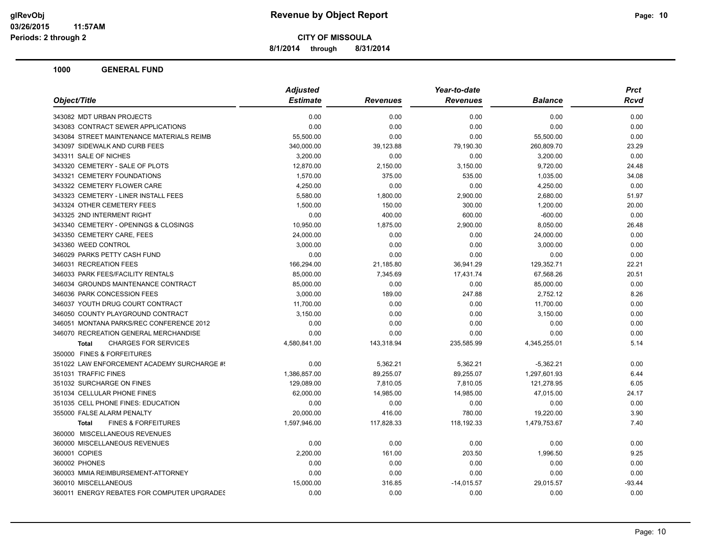**8/1/2014 through 8/31/2014**

|                                                | Year-to-date<br><b>Adjusted</b> |                 |                 |                | Prct        |
|------------------------------------------------|---------------------------------|-----------------|-----------------|----------------|-------------|
| Object/Title                                   | <b>Estimate</b>                 | <b>Revenues</b> | <b>Revenues</b> | <b>Balance</b> | <b>Rcvd</b> |
| 343082 MDT URBAN PROJECTS                      | 0.00                            | 0.00            | 0.00            | 0.00           | 0.00        |
| 343083 CONTRACT SEWER APPLICATIONS             | 0.00                            | 0.00            | 0.00            | 0.00           | 0.00        |
| 343084 STREET MAINTENANCE MATERIALS REIMB      | 55,500.00                       | 0.00            | 0.00            | 55,500.00      | 0.00        |
| 343097 SIDEWALK AND CURB FEES                  | 340,000.00                      | 39,123.88       | 79,190.30       | 260,809.70     | 23.29       |
| 343311 SALE OF NICHES                          | 3,200.00                        | 0.00            | 0.00            | 3,200.00       | 0.00        |
| 343320 CEMETERY - SALE OF PLOTS                | 12,870.00                       | 2,150.00        | 3,150.00        | 9,720.00       | 24.48       |
| 343321 CEMETERY FOUNDATIONS                    | 1,570.00                        | 375.00          | 535.00          | 1,035.00       | 34.08       |
| 343322 CEMETERY FLOWER CARE                    | 4,250.00                        | 0.00            | 0.00            | 4,250.00       | 0.00        |
| 343323 CEMETERY - LINER INSTALL FEES           | 5,580.00                        | 1,800.00        | 2,900.00        | 2,680.00       | 51.97       |
| 343324 OTHER CEMETERY FEES                     | 1,500.00                        | 150.00          | 300.00          | 1,200.00       | 20.00       |
| 343325 2ND INTERMENT RIGHT                     | 0.00                            | 400.00          | 600.00          | $-600.00$      | 0.00        |
| 343340 CEMETERY - OPENINGS & CLOSINGS          | 10,950.00                       | 1,875.00        | 2,900.00        | 8,050.00       | 26.48       |
| 343350 CEMETERY CARE, FEES                     | 24,000.00                       | 0.00            | 0.00            | 24,000.00      | 0.00        |
| 343360 WEED CONTROL                            | 3,000.00                        | 0.00            | 0.00            | 3,000.00       | 0.00        |
| 346029 PARKS PETTY CASH FUND                   | 0.00                            | 0.00            | 0.00            | 0.00           | 0.00        |
| 346031 RECREATION FEES                         | 166,294.00                      | 21,185.80       | 36,941.29       | 129,352.71     | 22.21       |
| 346033 PARK FEES/FACILITY RENTALS              | 85,000.00                       | 7,345.69        | 17,431.74       | 67,568.26      | 20.51       |
| 346034 GROUNDS MAINTENANCE CONTRACT            | 85,000.00                       | 0.00            | 0.00            | 85,000.00      | 0.00        |
| 346036 PARK CONCESSION FEES                    | 3,000.00                        | 189.00          | 247.88          | 2,752.12       | 8.26        |
| 346037 YOUTH DRUG COURT CONTRACT               | 11,700.00                       | 0.00            | 0.00            | 11,700.00      | 0.00        |
| 346050 COUNTY PLAYGROUND CONTRACT              | 3,150.00                        | 0.00            | 0.00            | 3,150.00       | 0.00        |
| 346051 MONTANA PARKS/REC CONFERENCE 2012       | 0.00                            | 0.00            | 0.00            | 0.00           | 0.00        |
| 346070 RECREATION GENERAL MERCHANDISE          | 0.00                            | 0.00            | 0.00            | 0.00           | 0.00        |
| <b>CHARGES FOR SERVICES</b><br><b>Total</b>    | 4,580,841.00                    | 143,318.94      | 235,585.99      | 4,345,255.01   | 5.14        |
| 350000 FINES & FORFEITURES                     |                                 |                 |                 |                |             |
| 351022 LAW ENFORCEMENT ACADEMY SURCHARGE #!    | 0.00                            | 5,362.21        | 5,362.21        | $-5,362.21$    | 0.00        |
| 351031 TRAFFIC FINES                           | 1,386,857.00                    | 89,255.07       | 89,255.07       | 1,297,601.93   | 6.44        |
| 351032 SURCHARGE ON FINES                      | 129,089.00                      | 7,810.05        | 7,810.05        | 121,278.95     | 6.05        |
| 351034 CELLULAR PHONE FINES                    | 62,000.00                       | 14,985.00       | 14,985.00       | 47,015.00      | 24.17       |
| 351035 CELL PHONE FINES: EDUCATION             | 0.00                            | 0.00            | 0.00            | 0.00           | 0.00        |
| 355000 FALSE ALARM PENALTY                     | 20,000.00                       | 416.00          | 780.00          | 19,220.00      | 3.90        |
| <b>FINES &amp; FORFEITURES</b><br><b>Total</b> | 1,597,946.00                    | 117,828.33      | 118,192.33      | 1,479,753.67   | 7.40        |
| 360000 MISCELLANEOUS REVENUES                  |                                 |                 |                 |                |             |
| 360000 MISCELLANEOUS REVENUES                  | 0.00                            | 0.00            | 0.00            | 0.00           | 0.00        |
| 360001 COPIES                                  | 2,200.00                        | 161.00          | 203.50          | 1,996.50       | 9.25        |
| 360002 PHONES                                  | 0.00                            | 0.00            | 0.00            | 0.00           | 0.00        |
| 360003 MMIA REIMBURSEMENT-ATTORNEY             | 0.00                            | 0.00            | 0.00            | 0.00           | 0.00        |
| 360010 MISCELLANEOUS                           | 15,000.00                       | 316.85          | $-14,015.57$    | 29,015.57      | $-93.44$    |
| 360011 ENERGY REBATES FOR COMPUTER UPGRADES    | 0.00                            | 0.00            | 0.00            | 0.00           | 0.00        |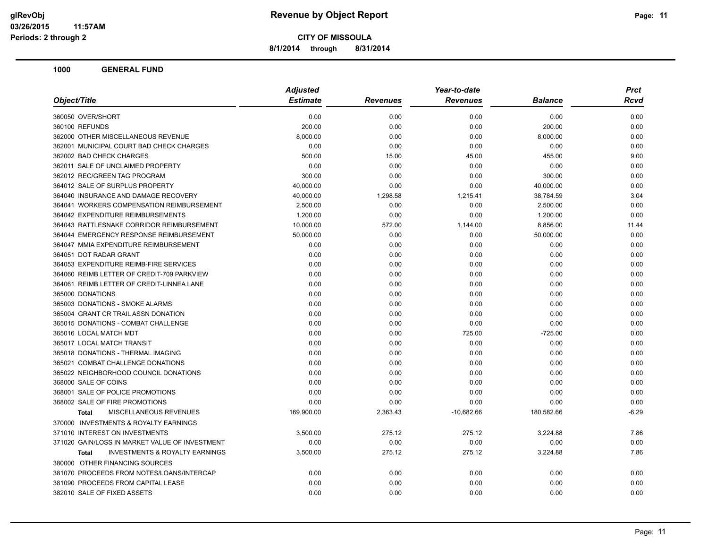**8/1/2014 through 8/31/2014**

| <b>Estimate</b><br>Object/Title<br><b>Revenues</b><br><b>Revenues</b><br><b>Balance</b><br>0.00<br>0.00<br>0.00<br>0.00<br>360050 OVER/SHORT<br>360100 REFUNDS<br>200.00<br>0.00<br>0.00<br>200.00<br>362000 OTHER MISCELLANEOUS REVENUE | Rcvd<br>0.00<br>0.00<br>0.00<br>0.00<br>9.00 |
|------------------------------------------------------------------------------------------------------------------------------------------------------------------------------------------------------------------------------------------|----------------------------------------------|
|                                                                                                                                                                                                                                          |                                              |
|                                                                                                                                                                                                                                          |                                              |
|                                                                                                                                                                                                                                          |                                              |
| 8,000.00<br>0.00<br>0.00<br>8,000.00                                                                                                                                                                                                     |                                              |
| 362001 MUNICIPAL COURT BAD CHECK CHARGES<br>0.00<br>0.00<br>0.00<br>0.00                                                                                                                                                                 |                                              |
| 362002 BAD CHECK CHARGES<br>500.00<br>15.00<br>45.00<br>455.00                                                                                                                                                                           |                                              |
| 362011 SALE OF UNCLAIMED PROPERTY<br>0.00<br>0.00<br>0.00<br>0.00                                                                                                                                                                        | 0.00                                         |
| 362012 REC/GREEN TAG PROGRAM<br>300.00<br>0.00<br>0.00<br>300.00                                                                                                                                                                         | 0.00                                         |
| 364012 SALE OF SURPLUS PROPERTY<br>40.000.00<br>0.00<br>0.00<br>40,000.00                                                                                                                                                                | 0.00                                         |
| 364040 INSURANCE AND DAMAGE RECOVERY<br>40,000.00<br>1,298.58<br>1,215.41<br>38,784.59                                                                                                                                                   | 3.04                                         |
| 364041 WORKERS COMPENSATION REIMBURSEMENT<br>2,500.00<br>0.00<br>0.00<br>2,500.00                                                                                                                                                        | 0.00                                         |
| 364042 EXPENDITURE REIMBURSEMENTS<br>0.00<br>0.00<br>1,200.00<br>1,200.00                                                                                                                                                                | 0.00                                         |
| 364043 RATTLESNAKE CORRIDOR REIMBURSEMENT<br>10,000.00<br>572.00<br>1,144.00<br>8,856.00                                                                                                                                                 | 11.44                                        |
| 364044 EMERGENCY RESPONSE REIMBURSEMENT<br>50,000.00<br>0.00<br>0.00<br>50,000.00                                                                                                                                                        | 0.00                                         |
| 364047 MMIA EXPENDITURE REIMBURSEMENT<br>0.00<br>0.00<br>0.00<br>0.00                                                                                                                                                                    | 0.00                                         |
| 364051 DOT RADAR GRANT<br>0.00<br>0.00<br>0.00<br>0.00                                                                                                                                                                                   | 0.00                                         |
| 364053 EXPENDITURE REIMB-FIRE SERVICES<br>0.00<br>0.00<br>0.00<br>0.00                                                                                                                                                                   | 0.00                                         |
| 364060 REIMB LETTER OF CREDIT-709 PARKVIEW<br>0.00<br>0.00<br>0.00<br>0.00                                                                                                                                                               | 0.00                                         |
| 364061 REIMB LETTER OF CREDIT-LINNEA LANE<br>0.00<br>0.00<br>0.00<br>0.00                                                                                                                                                                | 0.00                                         |
| 365000 DONATIONS<br>0.00<br>0.00<br>0.00<br>0.00                                                                                                                                                                                         | 0.00                                         |
| 365003 DONATIONS - SMOKE ALARMS<br>0.00<br>0.00<br>0.00<br>0.00                                                                                                                                                                          | 0.00                                         |
| 365004 GRANT CR TRAIL ASSN DONATION<br>0.00<br>0.00<br>0.00<br>0.00                                                                                                                                                                      | 0.00                                         |
| 365015 DONATIONS - COMBAT CHALLENGE<br>0.00<br>0.00<br>0.00<br>0.00                                                                                                                                                                      | 0.00                                         |
| 365016 LOCAL MATCH MDT<br>0.00<br>0.00<br>725.00<br>$-725.00$                                                                                                                                                                            | 0.00                                         |
| 365017 LOCAL MATCH TRANSIT<br>0.00<br>0.00<br>0.00<br>0.00                                                                                                                                                                               | 0.00                                         |
| 365018 DONATIONS - THERMAL IMAGING<br>0.00<br>0.00<br>0.00<br>0.00                                                                                                                                                                       | 0.00                                         |
| 365021 COMBAT CHALLENGE DONATIONS<br>0.00<br>0.00<br>0.00<br>0.00                                                                                                                                                                        | 0.00                                         |
| 365022 NEIGHBORHOOD COUNCIL DONATIONS<br>0.00<br>0.00<br>0.00<br>0.00                                                                                                                                                                    | 0.00                                         |
| 368000 SALE OF COINS<br>0.00<br>0.00<br>0.00<br>0.00                                                                                                                                                                                     | 0.00                                         |
| 368001 SALE OF POLICE PROMOTIONS<br>0.00<br>0.00<br>0.00<br>0.00                                                                                                                                                                         | 0.00                                         |
| 368002 SALE OF FIRE PROMOTIONS<br>0.00<br>0.00<br>0.00<br>0.00                                                                                                                                                                           | 0.00                                         |
| MISCELLANEOUS REVENUES<br>169,900.00<br>2,363.43<br>$-10,682.66$<br>180,582.66<br><b>Total</b>                                                                                                                                           | $-6.29$                                      |
| 370000 INVESTMENTS & ROYALTY EARNINGS                                                                                                                                                                                                    |                                              |
| 371010 INTEREST ON INVESTMENTS<br>3,500.00<br>275.12<br>275.12<br>3,224.88                                                                                                                                                               | 7.86                                         |
| 0.00<br>0.00<br>0.00<br>371020 GAIN/LOSS IN MARKET VALUE OF INVESTMENT<br>0.00                                                                                                                                                           | 0.00                                         |
| <b>INVESTMENTS &amp; ROYALTY EARNINGS</b><br>3,500.00<br>275.12<br>275.12<br>3,224.88<br><b>Total</b>                                                                                                                                    | 7.86                                         |
| 380000 OTHER FINANCING SOURCES                                                                                                                                                                                                           |                                              |
| 381070 PROCEEDS FROM NOTES/LOANS/INTERCAP<br>0.00<br>0.00<br>0.00<br>0.00                                                                                                                                                                | 0.00                                         |
| 381090 PROCEEDS FROM CAPITAL LEASE<br>0.00<br>0.00<br>0.00<br>0.00                                                                                                                                                                       | 0.00                                         |
| 382010 SALE OF FIXED ASSETS<br>0.00<br>0.00<br>0.00<br>0.00                                                                                                                                                                              | 0.00                                         |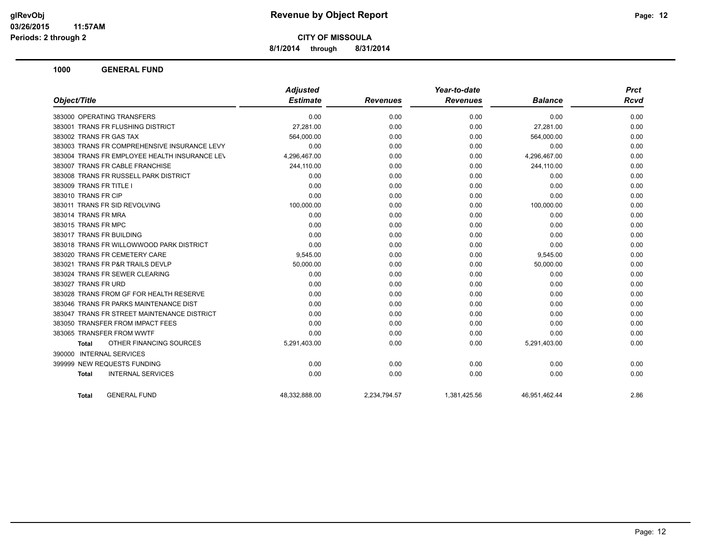**8/1/2014 through 8/31/2014**

|                                               | <b>Adjusted</b> |                 | Year-to-date    |                | <b>Prct</b> |
|-----------------------------------------------|-----------------|-----------------|-----------------|----------------|-------------|
| Object/Title                                  | <b>Estimate</b> | <b>Revenues</b> | <b>Revenues</b> | <b>Balance</b> | <b>Rcvd</b> |
| 383000 OPERATING TRANSFERS                    | 0.00            | 0.00            | 0.00            | 0.00           | 0.00        |
| 383001 TRANS FR FLUSHING DISTRICT             | 27,281.00       | 0.00            | 0.00            | 27,281.00      | 0.00        |
| 383002 TRANS FR GAS TAX                       | 564,000.00      | 0.00            | 0.00            | 564,000.00     | 0.00        |
| 383003 TRANS FR COMPREHENSIVE INSURANCE LEVY  | 0.00            | 0.00            | 0.00            | 0.00           | 0.00        |
| 383004 TRANS FR EMPLOYEE HEALTH INSURANCE LEV | 4,296,467.00    | 0.00            | 0.00            | 4,296,467.00   | 0.00        |
| 383007 TRANS FR CABLE FRANCHISE               | 244,110.00      | 0.00            | 0.00            | 244,110.00     | 0.00        |
| 383008 TRANS FR RUSSELL PARK DISTRICT         | 0.00            | 0.00            | 0.00            | 0.00           | 0.00        |
| 383009 TRANS FR TITLE I                       | 0.00            | 0.00            | 0.00            | 0.00           | 0.00        |
| 383010 TRANS FR CIP                           | 0.00            | 0.00            | 0.00            | 0.00           | 0.00        |
| 383011 TRANS FR SID REVOLVING                 | 100,000.00      | 0.00            | 0.00            | 100,000.00     | 0.00        |
| 383014 TRANS FR MRA                           | 0.00            | 0.00            | 0.00            | 0.00           | 0.00        |
| 383015 TRANS FR MPC                           | 0.00            | 0.00            | 0.00            | 0.00           | 0.00        |
| 383017 TRANS FR BUILDING                      | 0.00            | 0.00            | 0.00            | 0.00           | 0.00        |
| 383018 TRANS FR WILLOWWOOD PARK DISTRICT      | 0.00            | 0.00            | 0.00            | 0.00           | 0.00        |
| 383020 TRANS FR CEMETERY CARE                 | 9,545.00        | 0.00            | 0.00            | 9,545.00       | 0.00        |
| 383021 TRANS FR P&R TRAILS DEVLP              | 50,000.00       | 0.00            | 0.00            | 50,000.00      | 0.00        |
| 383024 TRANS FR SEWER CLEARING                | 0.00            | 0.00            | 0.00            | 0.00           | 0.00        |
| 383027 TRANS FR URD                           | 0.00            | 0.00            | 0.00            | 0.00           | 0.00        |
| 383028 TRANS FROM GF FOR HEALTH RESERVE       | 0.00            | 0.00            | 0.00            | 0.00           | 0.00        |
| 383046 TRANS FR PARKS MAINTENANCE DIST        | 0.00            | 0.00            | 0.00            | 0.00           | 0.00        |
| 383047 TRANS FR STREET MAINTENANCE DISTRICT   | 0.00            | 0.00            | 0.00            | 0.00           | 0.00        |
| 383050 TRANSFER FROM IMPACT FEES              | 0.00            | 0.00            | 0.00            | 0.00           | 0.00        |
| 383065 TRANSFER FROM WWTF                     | 0.00            | 0.00            | 0.00            | 0.00           | 0.00        |
| OTHER FINANCING SOURCES<br>Total              | 5,291,403.00    | 0.00            | 0.00            | 5,291,403.00   | 0.00        |
| 390000 INTERNAL SERVICES                      |                 |                 |                 |                |             |
| 399999 NEW REQUESTS FUNDING                   | 0.00            | 0.00            | 0.00            | 0.00           | 0.00        |
| <b>INTERNAL SERVICES</b><br><b>Total</b>      | 0.00            | 0.00            | 0.00            | 0.00           | 0.00        |
| <b>GENERAL FUND</b><br><b>Total</b>           | 48,332,888.00   | 2,234,794.57    | 1,381,425.56    | 46,951,462.44  | 2.86        |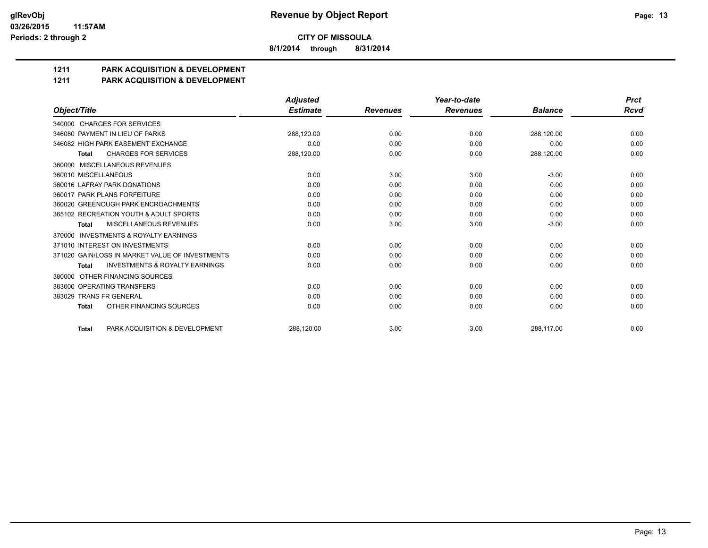**8/1/2014 through 8/31/2014**

# **1211 PARK ACQUISITION & DEVELOPMENT**

#### **1211 PARK ACQUISITION & DEVELOPMENT**

|                                                           | <b>Adjusted</b> |                 | Year-to-date    |                | <b>Prct</b> |
|-----------------------------------------------------------|-----------------|-----------------|-----------------|----------------|-------------|
| Object/Title                                              | <b>Estimate</b> | <b>Revenues</b> | <b>Revenues</b> | <b>Balance</b> | <b>Rcvd</b> |
| 340000 CHARGES FOR SERVICES                               |                 |                 |                 |                |             |
| 346080 PAYMENT IN LIEU OF PARKS                           | 288,120.00      | 0.00            | 0.00            | 288,120.00     | 0.00        |
| 346082 HIGH PARK EASEMENT EXCHANGE                        | 0.00            | 0.00            | 0.00            | 0.00           | 0.00        |
| <b>CHARGES FOR SERVICES</b><br>Total                      | 288,120.00      | 0.00            | 0.00            | 288,120.00     | 0.00        |
| MISCELLANEOUS REVENUES<br>360000                          |                 |                 |                 |                |             |
| 360010 MISCELLANEOUS                                      | 0.00            | 3.00            | 3.00            | $-3.00$        | 0.00        |
| 360016 LAFRAY PARK DONATIONS                              | 0.00            | 0.00            | 0.00            | 0.00           | 0.00        |
| 360017 PARK PLANS FORFEITURE                              | 0.00            | 0.00            | 0.00            | 0.00           | 0.00        |
| 360020 GREENOUGH PARK ENCROACHMENTS                       | 0.00            | 0.00            | 0.00            | 0.00           | 0.00        |
| 365102 RECREATION YOUTH & ADULT SPORTS                    | 0.00            | 0.00            | 0.00            | 0.00           | 0.00        |
| MISCELLANEOUS REVENUES<br><b>Total</b>                    | 0.00            | 3.00            | 3.00            | $-3.00$        | 0.00        |
| <b>INVESTMENTS &amp; ROYALTY EARNINGS</b><br>370000       |                 |                 |                 |                |             |
| 371010 INTEREST ON INVESTMENTS                            | 0.00            | 0.00            | 0.00            | 0.00           | 0.00        |
| 371020 GAIN/LOSS IN MARKET VALUE OF INVESTMENTS           | 0.00            | 0.00            | 0.00            | 0.00           | 0.00        |
| <b>INVESTMENTS &amp; ROYALTY EARNINGS</b><br><b>Total</b> | 0.00            | 0.00            | 0.00            | 0.00           | 0.00        |
| OTHER FINANCING SOURCES<br>380000                         |                 |                 |                 |                |             |
| 383000 OPERATING TRANSFERS                                | 0.00            | 0.00            | 0.00            | 0.00           | 0.00        |
| 383029 TRANS FR GENERAL                                   | 0.00            | 0.00            | 0.00            | 0.00           | 0.00        |
| OTHER FINANCING SOURCES<br><b>Total</b>                   | 0.00            | 0.00            | 0.00            | 0.00           | 0.00        |
| PARK ACQUISITION & DEVELOPMENT<br><b>Total</b>            | 288.120.00      | 3.00            | 3.00            | 288.117.00     | 0.00        |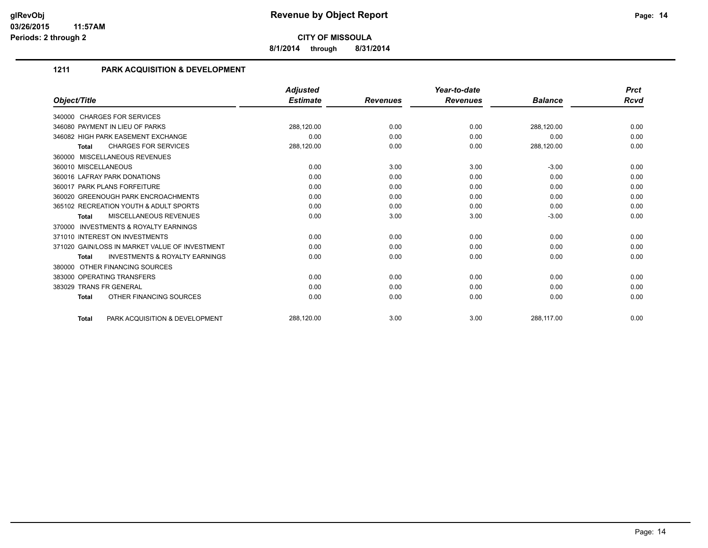**8/1/2014 through 8/31/2014**

## **1211 PARK ACQUISITION & DEVELOPMENT**

|                                                           | <b>Adjusted</b> |                 | Year-to-date    |                | <b>Prct</b> |
|-----------------------------------------------------------|-----------------|-----------------|-----------------|----------------|-------------|
| Object/Title                                              | <b>Estimate</b> | <b>Revenues</b> | <b>Revenues</b> | <b>Balance</b> | Rcvd        |
| 340000 CHARGES FOR SERVICES                               |                 |                 |                 |                |             |
| 346080 PAYMENT IN LIEU OF PARKS                           | 288,120.00      | 0.00            | 0.00            | 288,120.00     | 0.00        |
| 346082 HIGH PARK EASEMENT EXCHANGE                        | 0.00            | 0.00            | 0.00            | 0.00           | 0.00        |
| <b>CHARGES FOR SERVICES</b><br><b>Total</b>               | 288,120.00      | 0.00            | 0.00            | 288,120.00     | 0.00        |
| 360000 MISCELLANEOUS REVENUES                             |                 |                 |                 |                |             |
| 360010 MISCELLANEOUS                                      | 0.00            | 3.00            | 3.00            | $-3.00$        | 0.00        |
| 360016 LAFRAY PARK DONATIONS                              | 0.00            | 0.00            | 0.00            | 0.00           | 0.00        |
| 360017 PARK PLANS FORFEITURE                              | 0.00            | 0.00            | 0.00            | 0.00           | 0.00        |
| 360020 GREENOUGH PARK ENCROACHMENTS                       | 0.00            | 0.00            | 0.00            | 0.00           | 0.00        |
| 365102 RECREATION YOUTH & ADULT SPORTS                    | 0.00            | 0.00            | 0.00            | 0.00           | 0.00        |
| <b>MISCELLANEOUS REVENUES</b><br><b>Total</b>             | 0.00            | 3.00            | 3.00            | $-3.00$        | 0.00        |
| <b>INVESTMENTS &amp; ROYALTY EARNINGS</b><br>370000       |                 |                 |                 |                |             |
| 371010 INTEREST ON INVESTMENTS                            | 0.00            | 0.00            | 0.00            | 0.00           | 0.00        |
| 371020 GAIN/LOSS IN MARKET VALUE OF INVESTMENT            | 0.00            | 0.00            | 0.00            | 0.00           | 0.00        |
| <b>INVESTMENTS &amp; ROYALTY EARNINGS</b><br><b>Total</b> | 0.00            | 0.00            | 0.00            | 0.00           | 0.00        |
| OTHER FINANCING SOURCES<br>380000                         |                 |                 |                 |                |             |
| 383000 OPERATING TRANSFERS                                | 0.00            | 0.00            | 0.00            | 0.00           | 0.00        |
| 383029 TRANS FR GENERAL                                   | 0.00            | 0.00            | 0.00            | 0.00           | 0.00        |
| OTHER FINANCING SOURCES<br><b>Total</b>                   | 0.00            | 0.00            | 0.00            | 0.00           | 0.00        |
| PARK ACQUISITION & DEVELOPMENT<br><b>Total</b>            | 288,120.00      | 3.00            | 3.00            | 288,117.00     | 0.00        |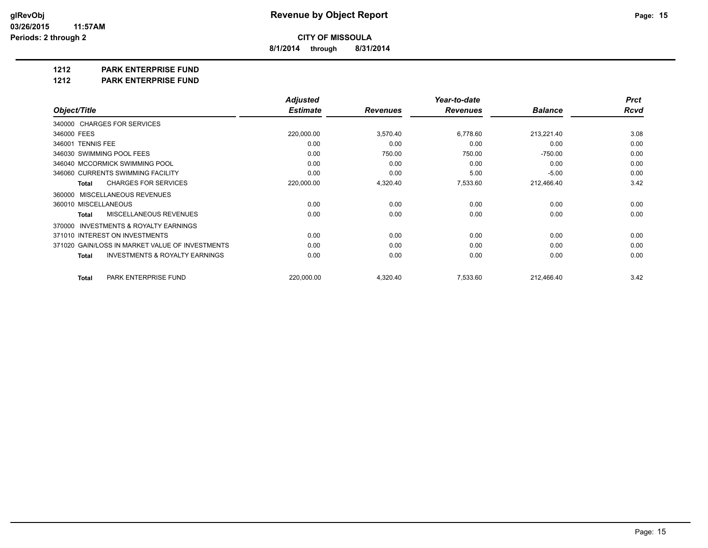**8/1/2014 through 8/31/2014**

**1212 PARK ENTERPRISE FUND**

**1212 PARK ENTERPRISE FUND**

|                                                           | <b>Adjusted</b> |                 | Year-to-date    |                | <b>Prct</b> |
|-----------------------------------------------------------|-----------------|-----------------|-----------------|----------------|-------------|
| Object/Title                                              | <b>Estimate</b> | <b>Revenues</b> | <b>Revenues</b> | <b>Balance</b> | Rcvd        |
| 340000 CHARGES FOR SERVICES                               |                 |                 |                 |                |             |
| 346000 FEES                                               | 220,000.00      | 3,570.40        | 6,778.60        | 213,221.40     | 3.08        |
| 346001 TENNIS FEE                                         | 0.00            | 0.00            | 0.00            | 0.00           | 0.00        |
| 346030 SWIMMING POOL FEES                                 | 0.00            | 750.00          | 750.00          | $-750.00$      | 0.00        |
| 346040 MCCORMICK SWIMMING POOL                            | 0.00            | 0.00            | 0.00            | 0.00           | 0.00        |
| 346060 CURRENTS SWIMMING FACILITY                         | 0.00            | 0.00            | 5.00            | $-5.00$        | 0.00        |
| <b>CHARGES FOR SERVICES</b><br><b>Total</b>               | 220,000.00      | 4,320.40        | 7,533.60        | 212,466.40     | 3.42        |
| 360000 MISCELLANEOUS REVENUES                             |                 |                 |                 |                |             |
| 360010 MISCELLANEOUS                                      | 0.00            | 0.00            | 0.00            | 0.00           | 0.00        |
| MISCELLANEOUS REVENUES<br><b>Total</b>                    | 0.00            | 0.00            | 0.00            | 0.00           | 0.00        |
| 370000 INVESTMENTS & ROYALTY EARNINGS                     |                 |                 |                 |                |             |
| 371010 INTEREST ON INVESTMENTS                            | 0.00            | 0.00            | 0.00            | 0.00           | 0.00        |
| 371020 GAIN/LOSS IN MARKET VALUE OF INVESTMENTS           | 0.00            | 0.00            | 0.00            | 0.00           | 0.00        |
| <b>INVESTMENTS &amp; ROYALTY EARNINGS</b><br><b>Total</b> | 0.00            | 0.00            | 0.00            | 0.00           | 0.00        |
| PARK ENTERPRISE FUND<br>Total                             | 220,000.00      | 4,320.40        | 7,533.60        | 212,466.40     | 3.42        |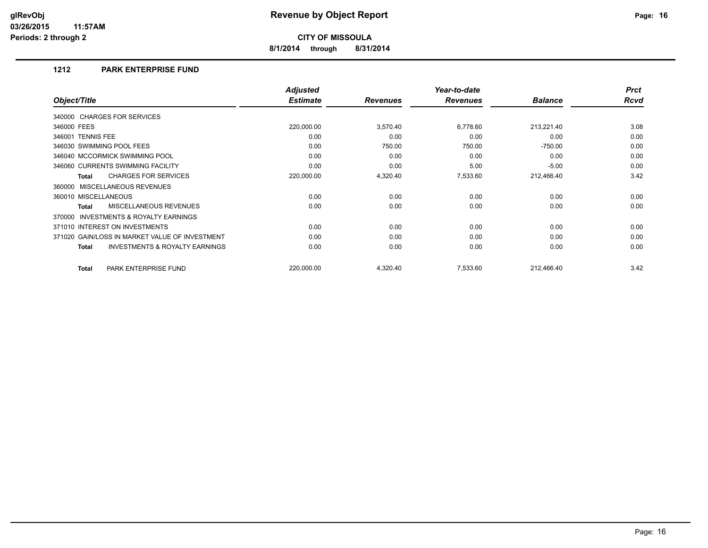**8/1/2014 through 8/31/2014**

#### **1212 PARK ENTERPRISE FUND**

|                                                     | <b>Adjusted</b> |                 | Year-to-date    |                | <b>Prct</b> |
|-----------------------------------------------------|-----------------|-----------------|-----------------|----------------|-------------|
| Object/Title                                        | <b>Estimate</b> | <b>Revenues</b> | <b>Revenues</b> | <b>Balance</b> | <b>Rcvd</b> |
| 340000 CHARGES FOR SERVICES                         |                 |                 |                 |                |             |
| 346000 FEES                                         | 220,000.00      | 3,570.40        | 6,778.60        | 213,221.40     | 3.08        |
| 346001 TENNIS FEE                                   | 0.00            | 0.00            | 0.00            | 0.00           | 0.00        |
| 346030 SWIMMING POOL FEES                           | 0.00            | 750.00          | 750.00          | $-750.00$      | 0.00        |
| 346040 MCCORMICK SWIMMING POOL                      | 0.00            | 0.00            | 0.00            | 0.00           | 0.00        |
| 346060 CURRENTS SWIMMING FACILITY                   | 0.00            | 0.00            | 5.00            | $-5.00$        | 0.00        |
| <b>CHARGES FOR SERVICES</b><br>Total                | 220,000.00      | 4,320.40        | 7,533.60        | 212,466.40     | 3.42        |
| 360000 MISCELLANEOUS REVENUES                       |                 |                 |                 |                |             |
| 360010 MISCELLANEOUS                                | 0.00            | 0.00            | 0.00            | 0.00           | 0.00        |
| <b>MISCELLANEOUS REVENUES</b><br>Total              | 0.00            | 0.00            | 0.00            | 0.00           | 0.00        |
| <b>INVESTMENTS &amp; ROYALTY EARNINGS</b><br>370000 |                 |                 |                 |                |             |
| 371010 INTEREST ON INVESTMENTS                      | 0.00            | 0.00            | 0.00            | 0.00           | 0.00        |
| 371020 GAIN/LOSS IN MARKET VALUE OF INVESTMENT      | 0.00            | 0.00            | 0.00            | 0.00           | 0.00        |
| <b>INVESTMENTS &amp; ROYALTY EARNINGS</b><br>Total  | 0.00            | 0.00            | 0.00            | 0.00           | 0.00        |
| <b>PARK ENTERPRISE FUND</b><br><b>Total</b>         | 220,000.00      | 4,320.40        | 7,533.60        | 212,466.40     | 3.42        |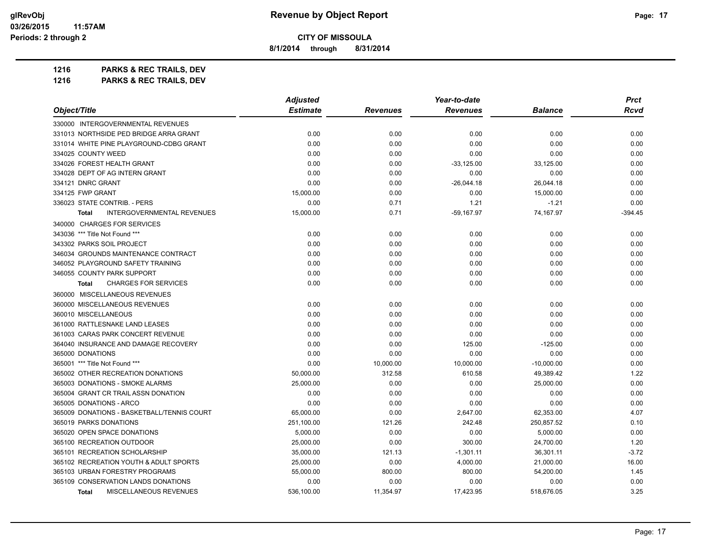**8/1/2014 through 8/31/2014**

**1216 PARKS & REC TRAILS, DEV 1216 PARKS & REC TRAILS, DEV**

*Object/Title Adjusted Estimate Revenues Year-to-date Revenues Balance Prct Rcvd* 330000 INTERGOVERNMENTAL REVENUES 331013 NORTHSIDE PED BRIDGE ARRA GRANT 0.00 0.00 0.00 0.00 0.00 331014 WHITE PINE PLAYGROUND-CDBG GRANT 0.00 0.00 0.00 0.00 0.00 334025 COUNTY WEED 0.00 0.00 0.00 0.00 0.00  $0.00 \hspace{1.5em} 0.00 \hspace{3.1em} 0.33,125.00 \hspace{3.1em} 33,125.00 \hspace{3.1em} 33,125.00 \hspace{3.1em} 33,125.00 \hspace{3.1em} 33,125.00 \hspace{3.1em} 33,125.00 \hspace{3.1em} 33,125.00 \hspace{3.1em} 33,125.00 \hspace{3.1em} 33,125.00 \hspace{3.1em} 33,125.00 \hspace{3.1em} 3$ 334028 DEPT OF AG INTERN GRANT 0.00 0.00 0.00 0.00 0.00 334121 DNRC GRANT 0.00 0.00 -26,044.18 26,044.18 0.00 334125 FWP GRANT 15,000.00 0.00 0.00 15,000.00 0.00 336023 STATE CONTRIB. - PERS 0.00 0.71 1.21 -1.21 0.00 **Total INTERGOVERNMENTAL REVENUES** 15,000.00 0.71 -59,167.97 74,167.97 74,167.97 -394.45 340000 CHARGES FOR SERVICES 343036 \*\*\* Title Not Found \*\*\* 0.00 0.00 0.00 0.00 0.00 343302 PARKS SOIL PROJECT 0.00 0.00 0.00 0.00 0.00 346034 GROUNDS MAINTENANCE CONTRACT 0.00 0.00 0.00 0.00 0.00 346052 PLAYGROUND SAFETY TRAINING 0.00 0.00 0.00 0.00 0.00 346055 COUNTY PARK SUPPORT 0.00 0.00 0.00 0.00 0.00 **Total** CHARGES FOR SERVICES 0.00 0.00 0.00 0.00 0.00 360000 MISCELLANEOUS REVENUES 360000 MISCELLANEOUS REVENUES 0.00 0.00 0.00 0.00 0.00 360010 MISCELLANEOUS 0.00 0.00 0.00 0.00 0.00 361000 RATTLESNAKE LAND LEASES 0.00 0.00 0.00 0.00 0.00 361003 CARAS PARK CONCERT REVENUE 0.00 0.00 0.00 0.00 0.00 364040 INSURANCE AND DAMAGE RECOVERY 0.00 0.00 125.00 -125.00 0.00 365000 DONATIONS 0.00 0.00 0.00 0.00 0.00 365001 \*\*\* Title Not Found \*\*\* 0.00 10,000.00 10,000.00 -10,000.00 0.00 365002 OTHER RECREATION DONATIONS 50,000.00 312.58 610.58 49,389.42 1.22 365003 DONATIONS - SMOKE ALARMS 25,000.00 0.00 0.00 25,000.00 0.00 365004 GRANT CR TRAIL ASSN DONATION 0.00 0.00 0.00 0.00 0.00 365005 DONATIONS - ARCO 0.00 0.00 0.00 0.00 0.00 365009 DONATIONS - BASKETBALL/TENNIS COURT 65,000.00 0.00 2,647.00 62,353.00 4.07 365019 PARKS DONATIONS 251,100.00 121.26 242.48 250,857.52 0.10 365020 OPEN SPACE DONATIONS 5,000.00 0.00 0.00 5,000.00 0.00 365100 RECREATION OUTDOOR 25,000.00 0.00 300.00 24,700.00 1.20 365101 RECREATION SCHOLARSHIP 372 35,000.00 35,000.00 36,301.11 36,301.11 36,301.11 36,301.11 36,301.11 36,301 365102 RECREATION YOUTH & ADULT SPORTS 25,000.00 0.00 4,000.00 21,000.00 16.00 365103 URBAN FORESTRY PROGRAMS 55,000.00 800.00 800.00 54,200.00 1.45 365109 CONSERVATION LANDS DONATIONS 0.00 0.00 0.00 0.00 0.00 **Total** MISCELLANEOUS REVENUES 536,100.00 11,354.97 17,423.95 518,676.05 3.25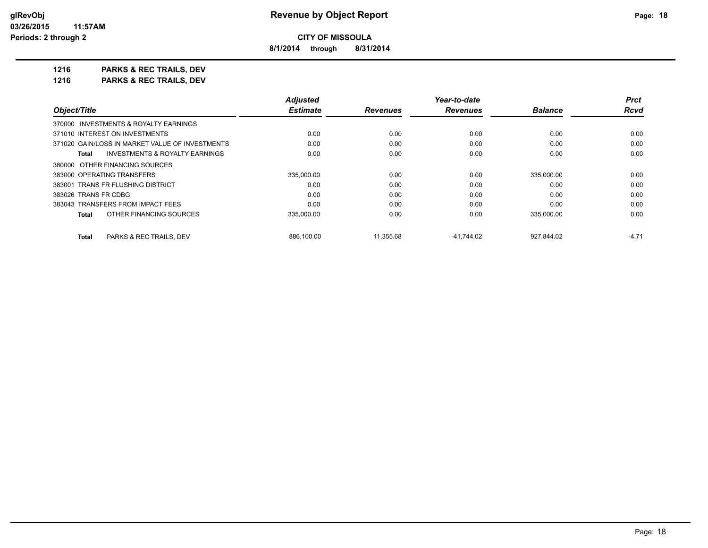**8/1/2014 through 8/31/2014**

**1216 PARKS & REC TRAILS, DEV 1216 PARKS & REC TRAILS, DEV**

|                                                           | <b>Adjusted</b> |                 | Year-to-date    |                | <b>Prct</b> |
|-----------------------------------------------------------|-----------------|-----------------|-----------------|----------------|-------------|
| Object/Title                                              | <b>Estimate</b> | <b>Revenues</b> | <b>Revenues</b> | <b>Balance</b> | Rcvd        |
| 370000 INVESTMENTS & ROYALTY EARNINGS                     |                 |                 |                 |                |             |
| 371010 INTEREST ON INVESTMENTS                            | 0.00            | 0.00            | 0.00            | 0.00           | 0.00        |
| 371020 GAIN/LOSS IN MARKET VALUE OF INVESTMENTS           | 0.00            | 0.00            | 0.00            | 0.00           | 0.00        |
| <b>INVESTMENTS &amp; ROYALTY EARNINGS</b><br><b>Total</b> | 0.00            | 0.00            | 0.00            | 0.00           | 0.00        |
| 380000 OTHER FINANCING SOURCES                            |                 |                 |                 |                |             |
| 383000 OPERATING TRANSFERS                                | 335,000.00      | 0.00            | 0.00            | 335,000.00     | 0.00        |
| 383001 TRANS FR FLUSHING DISTRICT                         | 0.00            | 0.00            | 0.00            | 0.00           | 0.00        |
| 383026 TRANS FR CDBG                                      | 0.00            | 0.00            | 0.00            | 0.00           | 0.00        |
| 383043 TRANSFERS FROM IMPACT FEES                         | 0.00            | 0.00            | 0.00            | 0.00           | 0.00        |
| OTHER FINANCING SOURCES<br><b>Total</b>                   | 335,000.00      | 0.00            | 0.00            | 335,000.00     | 0.00        |
| <b>Total</b><br>PARKS & REC TRAILS, DEV                   | 886,100.00      | 11,355.68       | $-41.744.02$    | 927,844.02     | $-4.71$     |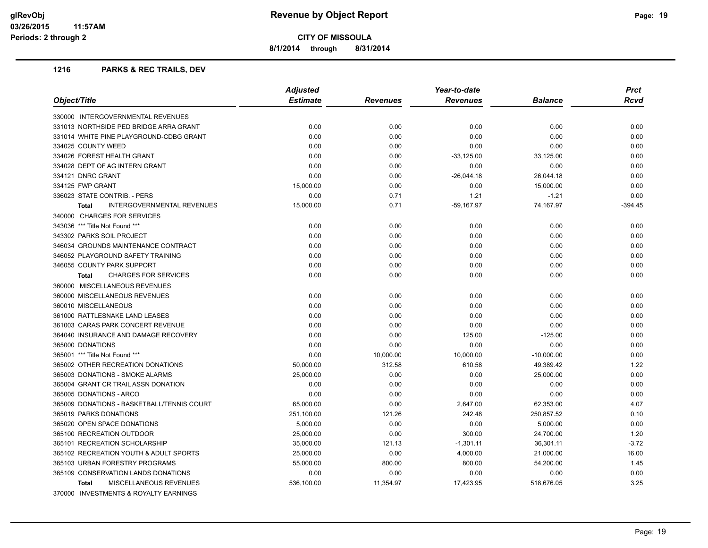**8/1/2014 through 8/31/2014**

#### **1216 PARKS & REC TRAILS, DEV**

|                                                   | <b>Adjusted</b> |                 | Year-to-date    |                | <b>Prct</b> |
|---------------------------------------------------|-----------------|-----------------|-----------------|----------------|-------------|
| Object/Title                                      | <b>Estimate</b> | <b>Revenues</b> | <b>Revenues</b> | <b>Balance</b> | <b>Rcvd</b> |
| 330000 INTERGOVERNMENTAL REVENUES                 |                 |                 |                 |                |             |
| 331013 NORTHSIDE PED BRIDGE ARRA GRANT            | 0.00            | 0.00            | 0.00            | 0.00           | 0.00        |
| 331014 WHITE PINE PLAYGROUND-CDBG GRANT           | 0.00            | 0.00            | 0.00            | 0.00           | 0.00        |
| 334025 COUNTY WEED                                | 0.00            | 0.00            | 0.00            | 0.00           | 0.00        |
| 334026 FOREST HEALTH GRANT                        | 0.00            | 0.00            | $-33,125.00$    | 33,125.00      | 0.00        |
| 334028 DEPT OF AG INTERN GRANT                    | 0.00            | 0.00            | 0.00            | 0.00           | 0.00        |
| 334121 DNRC GRANT                                 | 0.00            | 0.00            | $-26,044.18$    | 26,044.18      | 0.00        |
| 334125 FWP GRANT                                  | 15,000.00       | 0.00            | 0.00            | 15,000.00      | 0.00        |
| 336023 STATE CONTRIB. - PERS                      | 0.00            | 0.71            | 1.21            | $-1.21$        | 0.00        |
| <b>INTERGOVERNMENTAL REVENUES</b><br><b>Total</b> | 15,000.00       | 0.71            | $-59,167.97$    | 74,167.97      | $-394.45$   |
| 340000 CHARGES FOR SERVICES                       |                 |                 |                 |                |             |
| 343036 *** Title Not Found ***                    | 0.00            | 0.00            | 0.00            | 0.00           | 0.00        |
| 343302 PARKS SOIL PROJECT                         | 0.00            | 0.00            | 0.00            | 0.00           | 0.00        |
| 346034 GROUNDS MAINTENANCE CONTRACT               | 0.00            | 0.00            | 0.00            | 0.00           | 0.00        |
| 346052 PLAYGROUND SAFETY TRAINING                 | 0.00            | 0.00            | 0.00            | 0.00           | 0.00        |
| 346055 COUNTY PARK SUPPORT                        | 0.00            | 0.00            | 0.00            | 0.00           | 0.00        |
| <b>CHARGES FOR SERVICES</b><br><b>Total</b>       | 0.00            | 0.00            | 0.00            | 0.00           | 0.00        |
| 360000 MISCELLANEOUS REVENUES                     |                 |                 |                 |                |             |
| 360000 MISCELLANEOUS REVENUES                     | 0.00            | 0.00            | 0.00            | 0.00           | 0.00        |
| 360010 MISCELLANEOUS                              | 0.00            | 0.00            | 0.00            | 0.00           | 0.00        |
| 361000 RATTLESNAKE LAND LEASES                    | 0.00            | 0.00            | 0.00            | 0.00           | 0.00        |
| 361003 CARAS PARK CONCERT REVENUE                 | 0.00            | 0.00            | 0.00            | 0.00           | 0.00        |
| 364040 INSURANCE AND DAMAGE RECOVERY              | 0.00            | 0.00            | 125.00          | $-125.00$      | 0.00        |
| 365000 DONATIONS                                  | 0.00            | 0.00            | 0.00            | 0.00           | 0.00        |
| 365001 *** Title Not Found ***                    | 0.00            | 10,000.00       | 10,000.00       | $-10,000.00$   | 0.00        |
| 365002 OTHER RECREATION DONATIONS                 | 50,000.00       | 312.58          | 610.58          | 49,389.42      | 1.22        |
| 365003 DONATIONS - SMOKE ALARMS                   | 25,000.00       | 0.00            | 0.00            | 25,000.00      | 0.00        |
| 365004 GRANT CR TRAIL ASSN DONATION               | 0.00            | 0.00            | 0.00            | 0.00           | 0.00        |
| 365005 DONATIONS - ARCO                           | 0.00            | 0.00            | 0.00            | 0.00           | 0.00        |
| 365009 DONATIONS - BASKETBALL/TENNIS COURT        | 65,000.00       | 0.00            | 2,647.00        | 62,353.00      | 4.07        |
| 365019 PARKS DONATIONS                            | 251,100.00      | 121.26          | 242.48          | 250.857.52     | 0.10        |
| 365020 OPEN SPACE DONATIONS                       | 5,000.00        | 0.00            | 0.00            | 5,000.00       | 0.00        |
| 365100 RECREATION OUTDOOR                         | 25,000.00       | 0.00            | 300.00          | 24,700.00      | 1.20        |
| 365101 RECREATION SCHOLARSHIP                     | 35,000.00       | 121.13          | $-1,301.11$     | 36,301.11      | $-3.72$     |
| 365102 RECREATION YOUTH & ADULT SPORTS            | 25,000.00       | 0.00            | 4,000.00        | 21,000.00      | 16.00       |
| 365103 URBAN FORESTRY PROGRAMS                    | 55,000.00       | 800.00          | 800.00          | 54,200.00      | 1.45        |
| 365109 CONSERVATION LANDS DONATIONS               | 0.00            | 0.00            | 0.00            | 0.00           | 0.00        |
| <b>MISCELLANEOUS REVENUES</b><br><b>Total</b>     | 536,100.00      | 11,354.97       | 17,423.95       | 518,676.05     | 3.25        |
| 370000 INVESTMENTS & ROYALTY EARNINGS             |                 |                 |                 |                |             |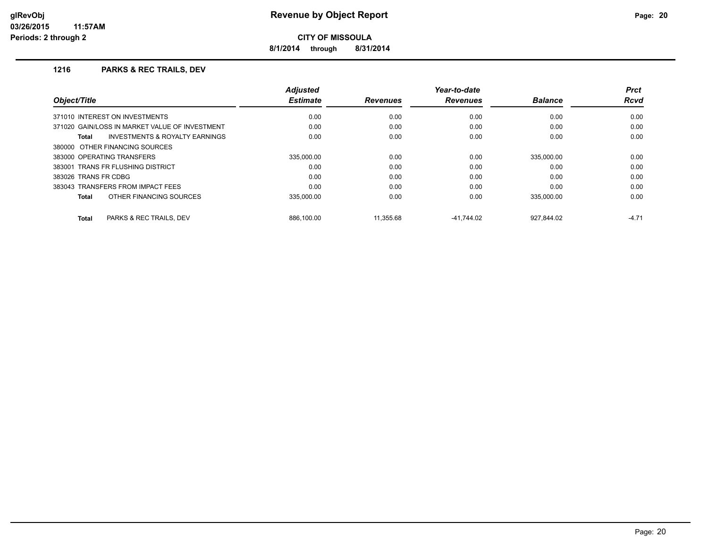**8/1/2014 through 8/31/2014**

#### **1216 PARKS & REC TRAILS, DEV**

| Object/Title                                              | <b>Adjusted</b><br><b>Estimate</b> | <b>Revenues</b> | Year-to-date<br><b>Revenues</b> | <b>Balance</b> | <b>Prct</b><br><b>Rcvd</b> |
|-----------------------------------------------------------|------------------------------------|-----------------|---------------------------------|----------------|----------------------------|
| 371010 INTEREST ON INVESTMENTS                            | 0.00                               | 0.00            | 0.00                            | 0.00           | 0.00                       |
| 371020 GAIN/LOSS IN MARKET VALUE OF INVESTMENT            | 0.00                               | 0.00            | 0.00                            | 0.00           | 0.00                       |
| <b>INVESTMENTS &amp; ROYALTY EARNINGS</b><br><b>Total</b> | 0.00                               | 0.00            | 0.00                            | 0.00           | 0.00                       |
| 380000 OTHER FINANCING SOURCES                            |                                    |                 |                                 |                |                            |
| 383000 OPERATING TRANSFERS                                | 335.000.00                         | 0.00            | 0.00                            | 335.000.00     | 0.00                       |
| 383001 TRANS FR FLUSHING DISTRICT                         | 0.00                               | 0.00            | 0.00                            | 0.00           | 0.00                       |
| 383026 TRANS FR CDBG                                      | 0.00                               | 0.00            | 0.00                            | 0.00           | 0.00                       |
| 383043 TRANSFERS FROM IMPACT FEES                         | 0.00                               | 0.00            | 0.00                            | 0.00           | 0.00                       |
| OTHER FINANCING SOURCES<br><b>Total</b>                   | 335,000.00                         | 0.00            | 0.00                            | 335.000.00     | 0.00                       |
| PARKS & REC TRAILS, DEV<br>Total                          | 886.100.00                         | 11.355.68       | $-41.744.02$                    | 927.844.02     | $-4.71$                    |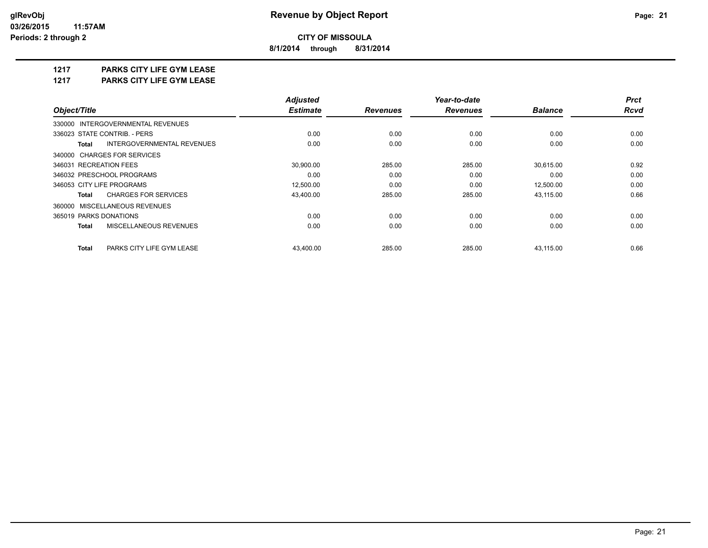**8/1/2014 through 8/31/2014**

## **1217 PARKS CITY LIFE GYM LEASE**

**1217 PARKS CITY LIFE GYM LEASE**

|                                            | <b>Adjusted</b> |                 | Year-to-date    |                | <b>Prct</b> |
|--------------------------------------------|-----------------|-----------------|-----------------|----------------|-------------|
| Object/Title                               | <b>Estimate</b> | <b>Revenues</b> | <b>Revenues</b> | <b>Balance</b> | <b>Rcvd</b> |
| 330000 INTERGOVERNMENTAL REVENUES          |                 |                 |                 |                |             |
| 336023 STATE CONTRIB. - PERS               | 0.00            | 0.00            | 0.00            | 0.00           | 0.00        |
| INTERGOVERNMENTAL REVENUES<br><b>Total</b> | 0.00            | 0.00            | 0.00            | 0.00           | 0.00        |
| 340000 CHARGES FOR SERVICES                |                 |                 |                 |                |             |
| 346031 RECREATION FEES                     | 30,900.00       | 285.00          | 285.00          | 30,615.00      | 0.92        |
| 346032 PRESCHOOL PROGRAMS                  | 0.00            | 0.00            | 0.00            | 0.00           | 0.00        |
| 346053 CITY LIFE PROGRAMS                  | 12,500.00       | 0.00            | 0.00            | 12,500.00      | 0.00        |
| <b>CHARGES FOR SERVICES</b><br>Total       | 43,400.00       | 285.00          | 285.00          | 43,115.00      | 0.66        |
| 360000 MISCELLANEOUS REVENUES              |                 |                 |                 |                |             |
| 365019 PARKS DONATIONS                     | 0.00            | 0.00            | 0.00            | 0.00           | 0.00        |
| MISCELLANEOUS REVENUES<br><b>Total</b>     | 0.00            | 0.00            | 0.00            | 0.00           | 0.00        |
| <b>Total</b><br>PARKS CITY LIFE GYM LEASE  | 43.400.00       | 285.00          | 285.00          | 43.115.00      | 0.66        |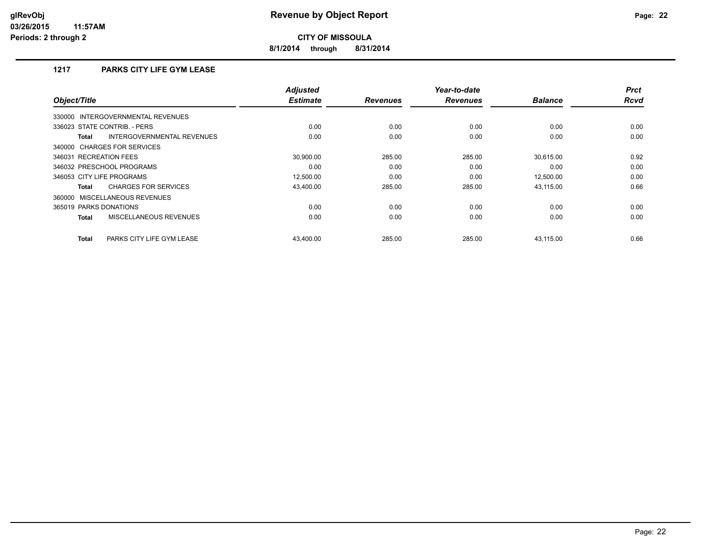**8/1/2014 through 8/31/2014**

## **1217 PARKS CITY LIFE GYM LEASE**

| Object/Title                                  | <b>Adjusted</b><br><b>Estimate</b> | <b>Revenues</b> | Year-to-date<br><b>Revenues</b> | <b>Balance</b> | <b>Prct</b><br><b>Rcvd</b> |
|-----------------------------------------------|------------------------------------|-----------------|---------------------------------|----------------|----------------------------|
| INTERGOVERNMENTAL REVENUES<br>330000          |                                    |                 |                                 |                |                            |
| 336023 STATE CONTRIB. - PERS                  | 0.00                               | 0.00            | 0.00                            | 0.00           | 0.00                       |
| INTERGOVERNMENTAL REVENUES<br><b>Total</b>    | 0.00                               | 0.00            | 0.00                            | 0.00           | 0.00                       |
| 340000 CHARGES FOR SERVICES                   |                                    |                 |                                 |                |                            |
| 346031 RECREATION FEES                        | 30.900.00                          | 285.00          | 285.00                          | 30.615.00      | 0.92                       |
| 346032 PRESCHOOL PROGRAMS                     | 0.00                               | 0.00            | 0.00                            | 0.00           | 0.00                       |
| 346053 CITY LIFE PROGRAMS                     | 12,500.00                          | 0.00            | 0.00                            | 12,500.00      | 0.00                       |
| <b>CHARGES FOR SERVICES</b><br><b>Total</b>   | 43,400.00                          | 285.00          | 285.00                          | 43,115.00      | 0.66                       |
| 360000 MISCELLANEOUS REVENUES                 |                                    |                 |                                 |                |                            |
| 365019 PARKS DONATIONS                        | 0.00                               | 0.00            | 0.00                            | 0.00           | 0.00                       |
| <b>MISCELLANEOUS REVENUES</b><br><b>Total</b> | 0.00                               | 0.00            | 0.00                            | 0.00           | 0.00                       |
| PARKS CITY LIFE GYM LEASE<br><b>Total</b>     | 43,400.00                          | 285.00          | 285.00                          | 43,115.00      | 0.66                       |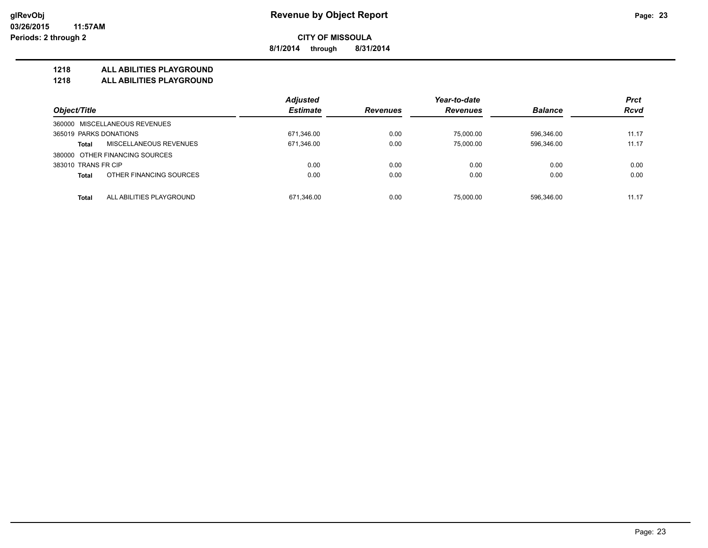**8/1/2014 through 8/31/2014**

#### **1218 ALL ABILITIES PLAYGROUND**

**1218 ALL ABILITIES PLAYGROUND**

|                                          | <b>Adjusted</b> |                 | Year-to-date    |                | <b>Prct</b> |
|------------------------------------------|-----------------|-----------------|-----------------|----------------|-------------|
| Object/Title                             | <b>Estimate</b> | <b>Revenues</b> | <b>Revenues</b> | <b>Balance</b> | <b>Rcvd</b> |
| 360000 MISCELLANEOUS REVENUES            |                 |                 |                 |                |             |
| 365019 PARKS DONATIONS                   | 671,346.00      | 0.00            | 75,000.00       | 596.346.00     | 11.17       |
| MISCELLANEOUS REVENUES<br><b>Total</b>   | 671,346.00      | 0.00            | 75.000.00       | 596,346.00     | 11.17       |
| 380000 OTHER FINANCING SOURCES           |                 |                 |                 |                |             |
| 383010 TRANS FR CIP                      | 0.00            | 0.00            | 0.00            | 0.00           | 0.00        |
| OTHER FINANCING SOURCES<br><b>Total</b>  | 0.00            | 0.00            | 0.00            | 0.00           | 0.00        |
| ALL ABILITIES PLAYGROUND<br><b>Total</b> | 671.346.00      | 0.00            | 75.000.00       | 596.346.00     | 11.17       |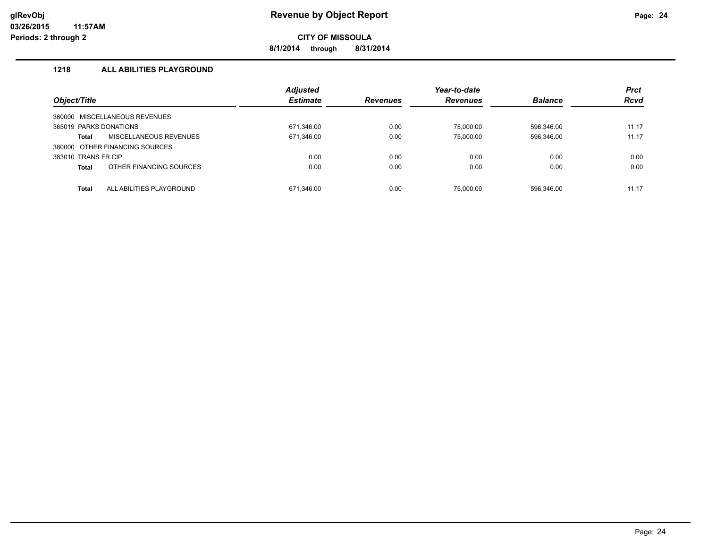**8/1/2014 through 8/31/2014**

## **1218 ALL ABILITIES PLAYGROUND**

|                        |                                | <b>Adjusted</b> |                 | Year-to-date    |                | <b>Prct</b> |
|------------------------|--------------------------------|-----------------|-----------------|-----------------|----------------|-------------|
| Object/Title           |                                | <b>Estimate</b> | <b>Revenues</b> | <b>Revenues</b> | <b>Balance</b> | <b>Rcvd</b> |
| 360000                 | MISCELLANEOUS REVENUES         |                 |                 |                 |                |             |
| 365019 PARKS DONATIONS |                                | 671,346.00      | 0.00            | 75.000.00       | 596.346.00     | 11.17       |
| Total                  | MISCELLANEOUS REVENUES         | 671,346.00      | 0.00            | 75.000.00       | 596,346.00     | 11.17       |
|                        | 380000 OTHER FINANCING SOURCES |                 |                 |                 |                |             |
| 383010 TRANS FR CIP    |                                | 0.00            | 0.00            | 0.00            | 0.00           | 0.00        |
| <b>Total</b>           | OTHER FINANCING SOURCES        | 0.00            | 0.00            | 0.00            | 0.00           | 0.00        |
| Total                  | ALL ABILITIES PLAYGROUND       | 671.346.00      | 0.00            | 75.000.00       | 596.346.00     | 11.17       |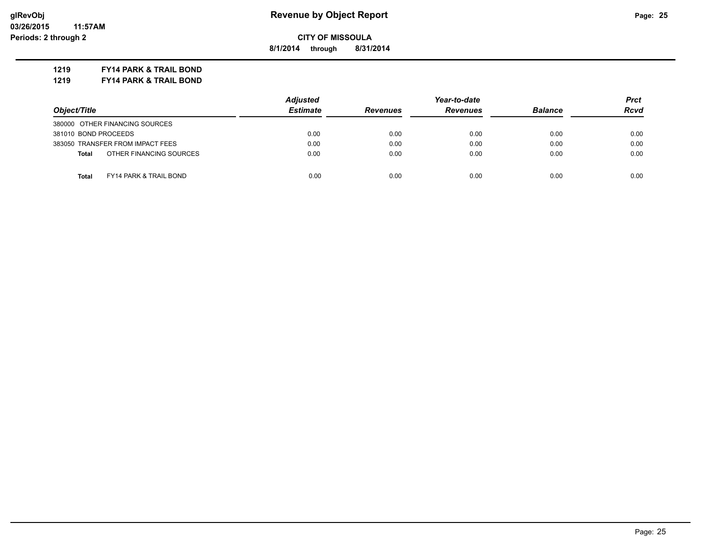**8/1/2014 through 8/31/2014**

**1219 FY14 PARK & TRAIL BOND**

**1219 FY14 PARK & TRAIL BOND**

|                                                   | <b>Adjusted</b> |                 | Year-to-date    |                | Prct        |  |
|---------------------------------------------------|-----------------|-----------------|-----------------|----------------|-------------|--|
| Object/Title                                      | <b>Estimate</b> | <b>Revenues</b> | <b>Revenues</b> | <b>Balance</b> | <b>Rcvd</b> |  |
| 380000 OTHER FINANCING SOURCES                    |                 |                 |                 |                |             |  |
| 381010 BOND PROCEEDS                              | 0.00            | 0.00            | 0.00            | 0.00           | 0.00        |  |
| 383050 TRANSFER FROM IMPACT FEES                  | 0.00            | 0.00            | 0.00            | 0.00           | 0.00        |  |
| OTHER FINANCING SOURCES<br><b>Total</b>           | 0.00            | 0.00            | 0.00            | 0.00           | 0.00        |  |
| <b>Total</b><br><b>FY14 PARK &amp; TRAIL BOND</b> | 0.00            | 0.00            | 0.00            | 0.00           | 0.00        |  |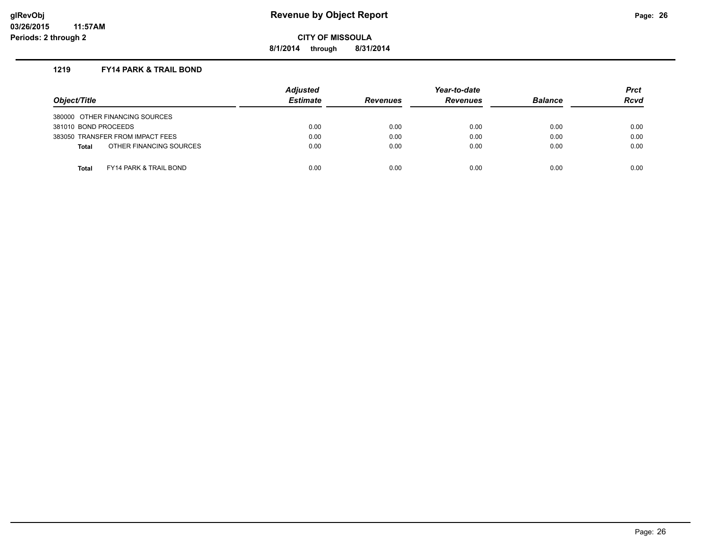**8/1/2014 through 8/31/2014**

#### **1219 FY14 PARK & TRAIL BOND**

| Object/Title                                      | Adjusted<br><b>Estimate</b> | <b>Revenues</b> | Year-to-date<br><b>Revenues</b> | <b>Balance</b> | <b>Prct</b><br><b>Rcvd</b> |
|---------------------------------------------------|-----------------------------|-----------------|---------------------------------|----------------|----------------------------|
| 380000 OTHER FINANCING SOURCES                    |                             |                 |                                 |                |                            |
| 381010 BOND PROCEEDS                              | 0.00                        | 0.00            | 0.00                            | 0.00           | 0.00                       |
| 383050 TRANSFER FROM IMPACT FEES                  | 0.00                        | 0.00            | 0.00                            | 0.00           | 0.00                       |
| OTHER FINANCING SOURCES<br><b>Total</b>           | 0.00                        | 0.00            | 0.00                            | 0.00           | 0.00                       |
|                                                   |                             |                 |                                 |                |                            |
| <b>FY14 PARK &amp; TRAIL BOND</b><br><b>Total</b> | 0.00                        | 0.00            | 0.00                            | 0.00           | 0.00                       |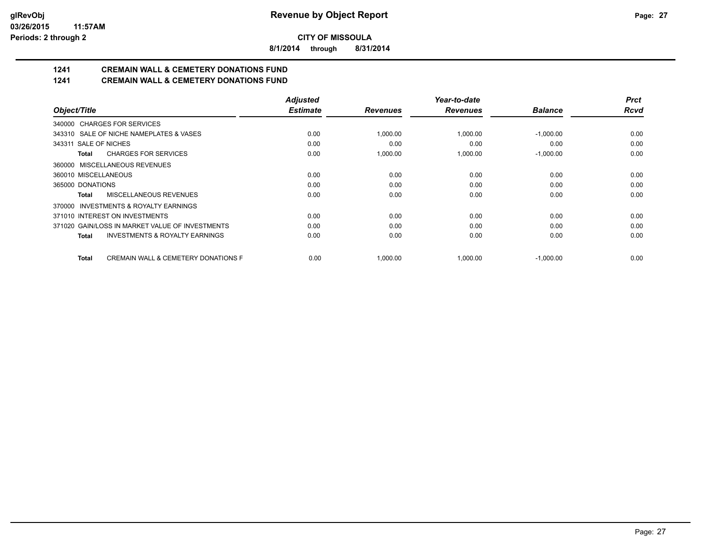**8/1/2014 through 8/31/2014**

# **1241 CREMAIN WALL & CEMETERY DONATIONS FUND**

## **1241 CREMAIN WALL & CEMETERY DONATIONS FUND**

|                                                                | <b>Adjusted</b> |                 | Year-to-date    |                | <b>Prct</b> |
|----------------------------------------------------------------|-----------------|-----------------|-----------------|----------------|-------------|
| Object/Title                                                   | <b>Estimate</b> | <b>Revenues</b> | <b>Revenues</b> | <b>Balance</b> | <b>Rcvd</b> |
| <b>CHARGES FOR SERVICES</b><br>340000                          |                 |                 |                 |                |             |
| 343310 SALE OF NICHE NAMEPLATES & VASES                        | 0.00            | 1,000.00        | 1,000.00        | $-1,000.00$    | 0.00        |
| 343311 SALE OF NICHES                                          | 0.00            | 0.00            | 0.00            | 0.00           | 0.00        |
| <b>CHARGES FOR SERVICES</b><br>Total                           | 0.00            | 1,000.00        | 1,000.00        | $-1,000.00$    | 0.00        |
| MISCELLANEOUS REVENUES<br>360000                               |                 |                 |                 |                |             |
| 360010 MISCELLANEOUS                                           | 0.00            | 0.00            | 0.00            | 0.00           | 0.00        |
| 365000 DONATIONS                                               | 0.00            | 0.00            | 0.00            | 0.00           | 0.00        |
| MISCELLANEOUS REVENUES<br><b>Total</b>                         | 0.00            | 0.00            | 0.00            | 0.00           | 0.00        |
| <b>INVESTMENTS &amp; ROYALTY EARNINGS</b><br>370000            |                 |                 |                 |                |             |
| 371010 INTEREST ON INVESTMENTS                                 | 0.00            | 0.00            | 0.00            | 0.00           | 0.00        |
| 371020 GAIN/LOSS IN MARKET VALUE OF INVESTMENTS                | 0.00            | 0.00            | 0.00            | 0.00           | 0.00        |
| <b>INVESTMENTS &amp; ROYALTY EARNINGS</b><br><b>Total</b>      | 0.00            | 0.00            | 0.00            | 0.00           | 0.00        |
| <b>CREMAIN WALL &amp; CEMETERY DONATIONS F</b><br><b>Total</b> | 0.00            | 1,000.00        | 1,000.00        | $-1,000.00$    | 0.00        |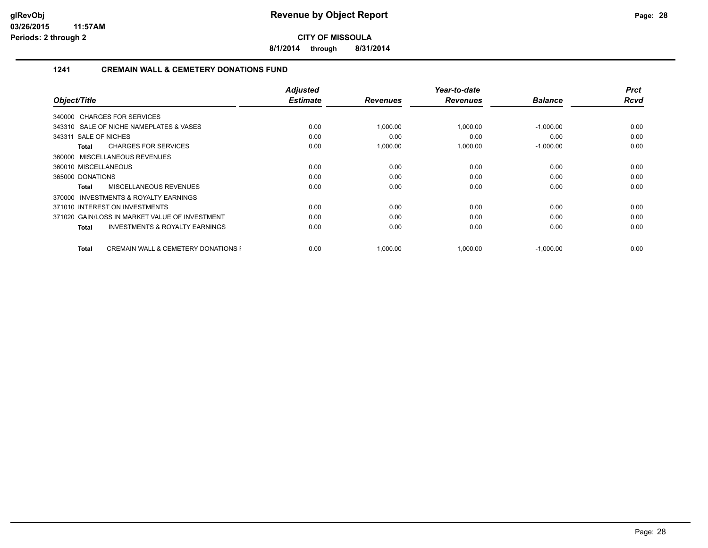**8/1/2014 through 8/31/2014**

## **1241 CREMAIN WALL & CEMETERY DONATIONS FUND**

|                                                         | <b>Adjusted</b> |                 | Year-to-date    |                | <b>Prct</b> |
|---------------------------------------------------------|-----------------|-----------------|-----------------|----------------|-------------|
| Object/Title                                            | <b>Estimate</b> | <b>Revenues</b> | <b>Revenues</b> | <b>Balance</b> | <b>Rcvd</b> |
| 340000 CHARGES FOR SERVICES                             |                 |                 |                 |                |             |
| 343310 SALE OF NICHE NAMEPLATES & VASES                 | 0.00            | 1,000.00        | 1,000.00        | $-1,000.00$    | 0.00        |
| 343311 SALE OF NICHES                                   | 0.00            | 0.00            | 0.00            | 0.00           | 0.00        |
| <b>CHARGES FOR SERVICES</b><br>Total                    | 0.00            | 1,000.00        | 1,000.00        | $-1,000.00$    | 0.00        |
| 360000 MISCELLANEOUS REVENUES                           |                 |                 |                 |                |             |
| 360010 MISCELLANEOUS                                    | 0.00            | 0.00            | 0.00            | 0.00           | 0.00        |
| 365000 DONATIONS                                        | 0.00            | 0.00            | 0.00            | 0.00           | 0.00        |
| MISCELLANEOUS REVENUES<br>Total                         | 0.00            | 0.00            | 0.00            | 0.00           | 0.00        |
| INVESTMENTS & ROYALTY EARNINGS<br>370000                |                 |                 |                 |                |             |
| 371010 INTEREST ON INVESTMENTS                          | 0.00            | 0.00            | 0.00            | 0.00           | 0.00        |
| 371020 GAIN/LOSS IN MARKET VALUE OF INVESTMENT          | 0.00            | 0.00            | 0.00            | 0.00           | 0.00        |
| <b>INVESTMENTS &amp; ROYALTY EARNINGS</b><br>Total      | 0.00            | 0.00            | 0.00            | 0.00           | 0.00        |
| <b>CREMAIN WALL &amp; CEMETERY DONATIONS F</b><br>Total | 0.00            | 1,000.00        | 1,000.00        | $-1,000.00$    | 0.00        |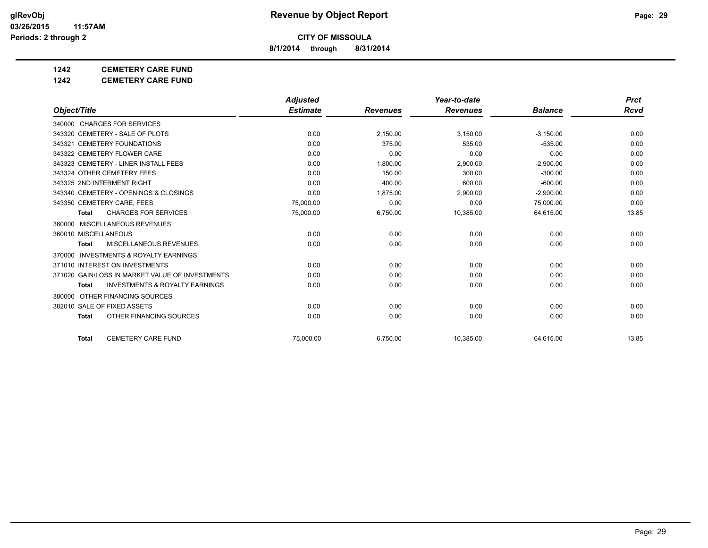**8/1/2014 through 8/31/2014**

## **1242 CEMETERY CARE FUND**

**1242 CEMETERY CARE FUND**

|                                                     | <b>Adjusted</b> |                 | Year-to-date    |                | <b>Prct</b> |
|-----------------------------------------------------|-----------------|-----------------|-----------------|----------------|-------------|
| Object/Title                                        | <b>Estimate</b> | <b>Revenues</b> | <b>Revenues</b> | <b>Balance</b> | Rcvd        |
| 340000 CHARGES FOR SERVICES                         |                 |                 |                 |                |             |
| 343320 CEMETERY - SALE OF PLOTS                     | 0.00            | 2,150.00        | 3,150.00        | $-3,150.00$    | 0.00        |
| 343321 CEMETERY FOUNDATIONS                         | 0.00            | 375.00          | 535.00          | $-535.00$      | 0.00        |
| 343322 CEMETERY FLOWER CARE                         | 0.00            | 0.00            | 0.00            | 0.00           | 0.00        |
| 343323 CEMETERY - LINER INSTALL FEES                | 0.00            | 1,800.00        | 2,900.00        | $-2,900.00$    | 0.00        |
| 343324 OTHER CEMETERY FEES                          | 0.00            | 150.00          | 300.00          | $-300.00$      | 0.00        |
| 343325 2ND INTERMENT RIGHT                          | 0.00            | 400.00          | 600.00          | $-600.00$      | 0.00        |
| 343340 CEMETERY - OPENINGS & CLOSINGS               | 0.00            | 1,875.00        | 2,900.00        | $-2,900.00$    | 0.00        |
| 343350 CEMETERY CARE, FEES                          | 75,000.00       | 0.00            | 0.00            | 75,000.00      | 0.00        |
| <b>CHARGES FOR SERVICES</b><br><b>Total</b>         | 75,000.00       | 6,750.00        | 10,385.00       | 64,615.00      | 13.85       |
| MISCELLANEOUS REVENUES<br>360000                    |                 |                 |                 |                |             |
| 360010 MISCELLANEOUS                                | 0.00            | 0.00            | 0.00            | 0.00           | 0.00        |
| MISCELLANEOUS REVENUES<br><b>Total</b>              | 0.00            | 0.00            | 0.00            | 0.00           | 0.00        |
| <b>INVESTMENTS &amp; ROYALTY EARNINGS</b><br>370000 |                 |                 |                 |                |             |
| 371010 INTEREST ON INVESTMENTS                      | 0.00            | 0.00            | 0.00            | 0.00           | 0.00        |
| 371020 GAIN/LOSS IN MARKET VALUE OF INVESTMENTS     | 0.00            | 0.00            | 0.00            | 0.00           | 0.00        |
| <b>INVESTMENTS &amp; ROYALTY EARNINGS</b><br>Total  | 0.00            | 0.00            | 0.00            | 0.00           | 0.00        |
| 380000 OTHER FINANCING SOURCES                      |                 |                 |                 |                |             |
| 382010 SALE OF FIXED ASSETS                         | 0.00            | 0.00            | 0.00            | 0.00           | 0.00        |
| OTHER FINANCING SOURCES<br><b>Total</b>             | 0.00            | 0.00            | 0.00            | 0.00           | 0.00        |
| <b>CEMETERY CARE FUND</b><br><b>Total</b>           | 75.000.00       | 6,750.00        | 10,385.00       | 64,615.00      | 13.85       |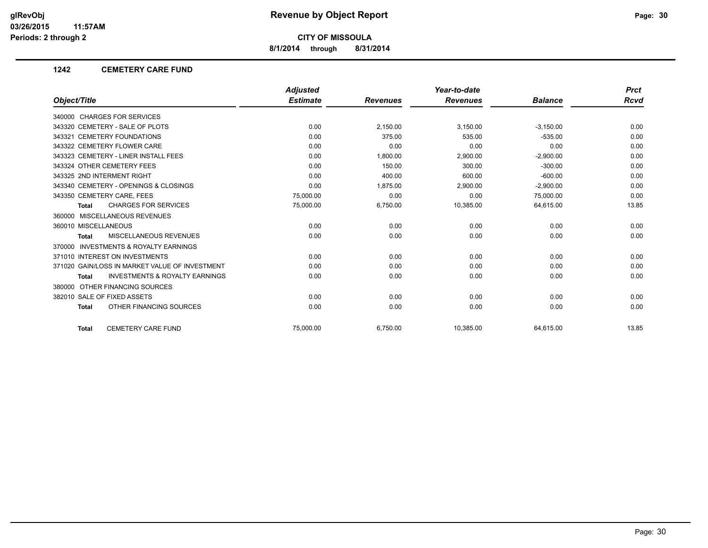**8/1/2014 through 8/31/2014**

#### **1242 CEMETERY CARE FUND**

|                                                           | <b>Adjusted</b> |                 | Year-to-date    |                | <b>Prct</b> |
|-----------------------------------------------------------|-----------------|-----------------|-----------------|----------------|-------------|
| Object/Title                                              | <b>Estimate</b> | <b>Revenues</b> | <b>Revenues</b> | <b>Balance</b> | <b>Rcvd</b> |
| 340000 CHARGES FOR SERVICES                               |                 |                 |                 |                |             |
| 343320 CEMETERY - SALE OF PLOTS                           | 0.00            | 2,150.00        | 3,150.00        | $-3,150.00$    | 0.00        |
| 343321 CEMETERY FOUNDATIONS                               | 0.00            | 375.00          | 535.00          | $-535.00$      | 0.00        |
| 343322 CEMETERY FLOWER CARE                               | 0.00            | 0.00            | 0.00            | 0.00           | 0.00        |
| 343323 CEMETERY - LINER INSTALL FEES                      | 0.00            | 1,800.00        | 2,900.00        | $-2,900.00$    | 0.00        |
| 343324 OTHER CEMETERY FEES                                | 0.00            | 150.00          | 300.00          | $-300.00$      | 0.00        |
| 343325 2ND INTERMENT RIGHT                                | 0.00            | 400.00          | 600.00          | $-600.00$      | 0.00        |
| 343340 CEMETERY - OPENINGS & CLOSINGS                     | 0.00            | 1,875.00        | 2,900.00        | $-2,900.00$    | 0.00        |
| 343350 CEMETERY CARE, FEES                                | 75,000.00       | 0.00            | 0.00            | 75,000.00      | 0.00        |
| <b>CHARGES FOR SERVICES</b><br><b>Total</b>               | 75,000.00       | 6,750.00        | 10,385.00       | 64,615.00      | 13.85       |
| 360000 MISCELLANEOUS REVENUES                             |                 |                 |                 |                |             |
| 360010 MISCELLANEOUS                                      | 0.00            | 0.00            | 0.00            | 0.00           | 0.00        |
| MISCELLANEOUS REVENUES<br><b>Total</b>                    | 0.00            | 0.00            | 0.00            | 0.00           | 0.00        |
| <b>INVESTMENTS &amp; ROYALTY EARNINGS</b><br>370000       |                 |                 |                 |                |             |
| 371010 INTEREST ON INVESTMENTS                            | 0.00            | 0.00            | 0.00            | 0.00           | 0.00        |
| 371020 GAIN/LOSS IN MARKET VALUE OF INVESTMENT            | 0.00            | 0.00            | 0.00            | 0.00           | 0.00        |
| <b>INVESTMENTS &amp; ROYALTY EARNINGS</b><br><b>Total</b> | 0.00            | 0.00            | 0.00            | 0.00           | 0.00        |
| 380000 OTHER FINANCING SOURCES                            |                 |                 |                 |                |             |
| 382010 SALE OF FIXED ASSETS                               | 0.00            | 0.00            | 0.00            | 0.00           | 0.00        |
| OTHER FINANCING SOURCES<br><b>Total</b>                   | 0.00            | 0.00            | 0.00            | 0.00           | 0.00        |
| <b>CEMETERY CARE FUND</b><br><b>Total</b>                 | 75.000.00       | 6,750.00        | 10,385.00       | 64,615.00      | 13.85       |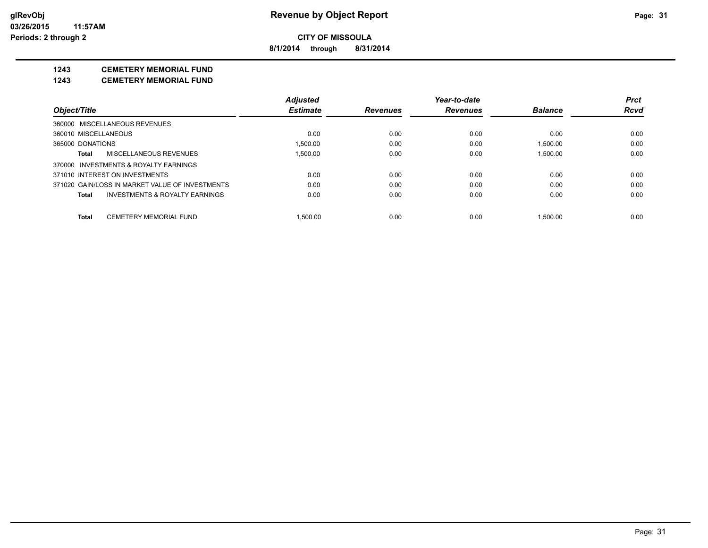**8/1/2014 through 8/31/2014**

## **1243 CEMETERY MEMORIAL FUND**

**1243 CEMETERY MEMORIAL FUND**

|                      |                                                 | <b>Adjusted</b> |                 | Year-to-date    |                | <b>Prct</b> |
|----------------------|-------------------------------------------------|-----------------|-----------------|-----------------|----------------|-------------|
| Object/Title         |                                                 | <b>Estimate</b> | <b>Revenues</b> | <b>Revenues</b> | <b>Balance</b> | <b>Rcvd</b> |
|                      | 360000 MISCELLANEOUS REVENUES                   |                 |                 |                 |                |             |
| 360010 MISCELLANEOUS |                                                 | 0.00            | 0.00            | 0.00            | 0.00           | 0.00        |
| 365000 DONATIONS     |                                                 | 1.500.00        | 0.00            | 0.00            | 1.500.00       | 0.00        |
| Total                | MISCELLANEOUS REVENUES                          | 1.500.00        | 0.00            | 0.00            | 1.500.00       | 0.00        |
|                      | 370000 INVESTMENTS & ROYALTY EARNINGS           |                 |                 |                 |                |             |
|                      | 371010 INTEREST ON INVESTMENTS                  | 0.00            | 0.00            | 0.00            | 0.00           | 0.00        |
|                      | 371020 GAIN/LOSS IN MARKET VALUE OF INVESTMENTS | 0.00            | 0.00            | 0.00            | 0.00           | 0.00        |
| Total                | INVESTMENTS & ROYALTY EARNINGS                  | 0.00            | 0.00            | 0.00            | 0.00           | 0.00        |
| Total                | <b>CEMETERY MEMORIAL FUND</b>                   | 1.500.00        | 0.00            | 0.00            | 1.500.00       | 0.00        |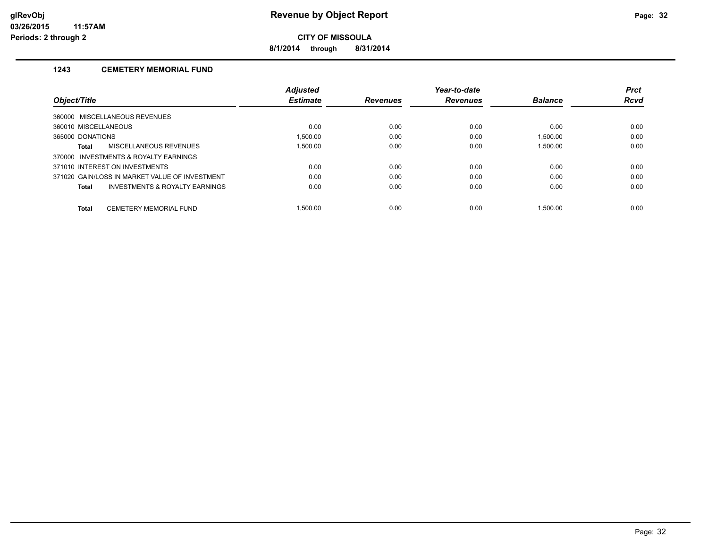**8/1/2014 through 8/31/2014**

#### **1243 CEMETERY MEMORIAL FUND**

|                                                |                                | <b>Adjusted</b> |                 | Year-to-date    |                | <b>Prct</b> |
|------------------------------------------------|--------------------------------|-----------------|-----------------|-----------------|----------------|-------------|
| Object/Title                                   |                                | <b>Estimate</b> | <b>Revenues</b> | <b>Revenues</b> | <b>Balance</b> | <b>Rcvd</b> |
| 360000 MISCELLANEOUS REVENUES                  |                                |                 |                 |                 |                |             |
| 360010 MISCELLANEOUS                           |                                | 0.00            | 0.00            | 0.00            | 0.00           | 0.00        |
| 365000 DONATIONS                               |                                | 1.500.00        | 0.00            | 0.00            | 1.500.00       | 0.00        |
| Total                                          | MISCELLANEOUS REVENUES         | 1.500.00        | 0.00            | 0.00            | 1.500.00       | 0.00        |
| 370000 INVESTMENTS & ROYALTY EARNINGS          |                                |                 |                 |                 |                |             |
| 371010 INTEREST ON INVESTMENTS                 |                                | 0.00            | 0.00            | 0.00            | 0.00           | 0.00        |
| 371020 GAIN/LOSS IN MARKET VALUE OF INVESTMENT |                                | 0.00            | 0.00            | 0.00            | 0.00           | 0.00        |
| Total                                          | INVESTMENTS & ROYALTY EARNINGS | 0.00            | 0.00            | 0.00            | 0.00           | 0.00        |
| <b>Total</b>                                   | CEMETERY MEMORIAL FUND         | 1.500.00        | 0.00            | 0.00            | 1.500.00       | 0.00        |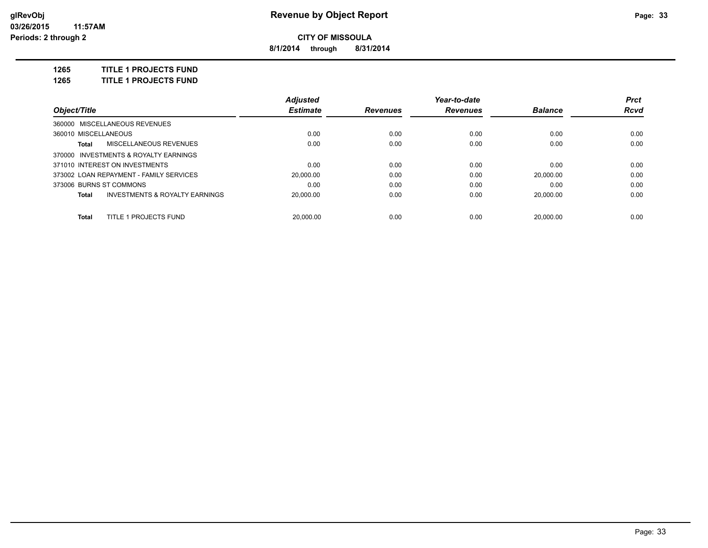**8/1/2014 through 8/31/2014**

**1265 TITLE 1 PROJECTS FUND**

**1265 TITLE 1 PROJECTS FUND**

|                                                    | <b>Adjusted</b> |                 | Year-to-date    |                | <b>Prct</b> |
|----------------------------------------------------|-----------------|-----------------|-----------------|----------------|-------------|
| Object/Title                                       | <b>Estimate</b> | <b>Revenues</b> | <b>Revenues</b> | <b>Balance</b> | Rcvd        |
| 360000 MISCELLANEOUS REVENUES                      |                 |                 |                 |                |             |
| 360010 MISCELLANEOUS                               | 0.00            | 0.00            | 0.00            | 0.00           | 0.00        |
| MISCELLANEOUS REVENUES<br>Total                    | 0.00            | 0.00            | 0.00            | 0.00           | 0.00        |
| 370000 INVESTMENTS & ROYALTY EARNINGS              |                 |                 |                 |                |             |
| 371010 INTEREST ON INVESTMENTS                     | 0.00            | 0.00            | 0.00            | 0.00           | 0.00        |
| 373002 LOAN REPAYMENT - FAMILY SERVICES            | 20.000.00       | 0.00            | 0.00            | 20.000.00      | 0.00        |
| 373006 BURNS ST COMMONS                            | 0.00            | 0.00            | 0.00            | 0.00           | 0.00        |
| <b>INVESTMENTS &amp; ROYALTY EARNINGS</b><br>Total | 20.000.00       | 0.00            | 0.00            | 20.000.00      | 0.00        |
| TITLE 1 PROJECTS FUND<br>Total                     | 20.000.00       | 0.00            | 0.00            | 20.000.00      | 0.00        |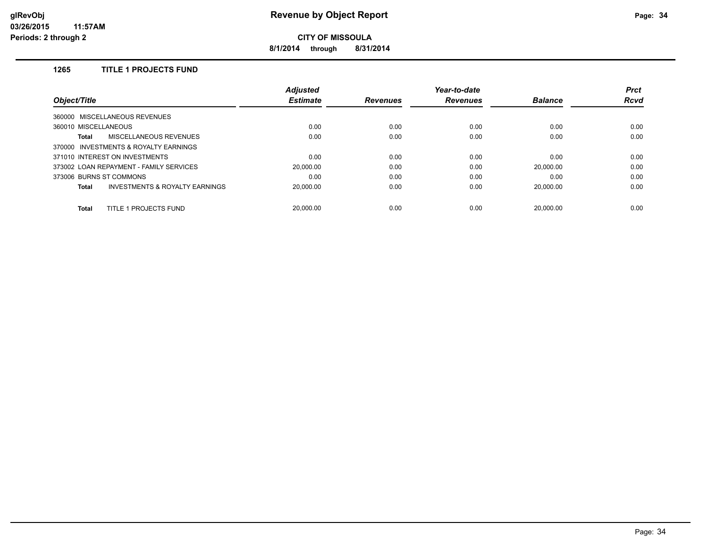**8/1/2014 through 8/31/2014**

## **1265 TITLE 1 PROJECTS FUND**

|                                                    | <b>Adjusted</b> |                 | Year-to-date    |                | <b>Prct</b> |
|----------------------------------------------------|-----------------|-----------------|-----------------|----------------|-------------|
| <b>Object/Title</b>                                | <b>Estimate</b> | <b>Revenues</b> | <b>Revenues</b> | <b>Balance</b> | <b>Rcvd</b> |
| 360000 MISCELLANEOUS REVENUES                      |                 |                 |                 |                |             |
| 360010 MISCELLANEOUS                               | 0.00            | 0.00            | 0.00            | 0.00           | 0.00        |
| MISCELLANEOUS REVENUES<br><b>Total</b>             | 0.00            | 0.00            | 0.00            | 0.00           | 0.00        |
| 370000 INVESTMENTS & ROYALTY EARNINGS              |                 |                 |                 |                |             |
| 371010 INTEREST ON INVESTMENTS                     | 0.00            | 0.00            | 0.00            | 0.00           | 0.00        |
| 373002 LOAN REPAYMENT - FAMILY SERVICES            | 20.000.00       | 0.00            | 0.00            | 20.000.00      | 0.00        |
| 373006 BURNS ST COMMONS                            | 0.00            | 0.00            | 0.00            | 0.00           | 0.00        |
| <b>INVESTMENTS &amp; ROYALTY EARNINGS</b><br>Total | 20.000.00       | 0.00            | 0.00            | 20.000.00      | 0.00        |
| TITLE 1 PROJECTS FUND<br><b>Total</b>              | 20.000.00       | 0.00            | 0.00            | 20.000.00      | 0.00        |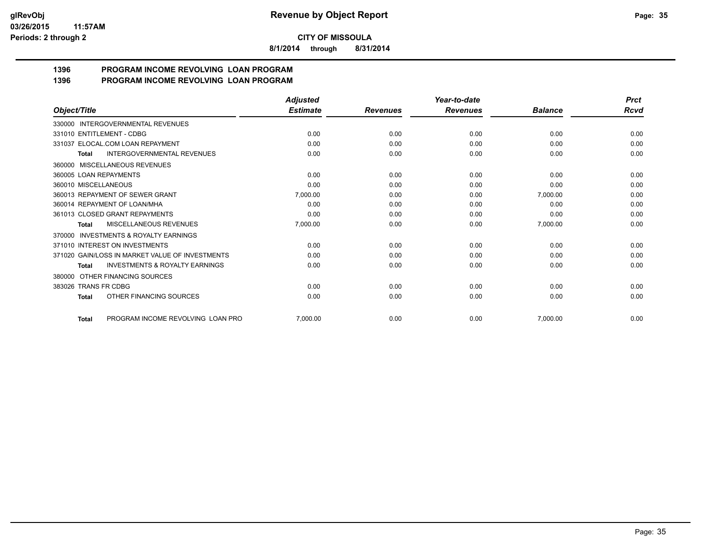**8/1/2014 through 8/31/2014**

#### **1396 PROGRAM INCOME REVOLVING LOAN PROGRAM 1396 PROGRAM INCOME REVOLVING LOAN PROGRAM**

|                                                           | <b>Adjusted</b> |                 | Year-to-date    |                | <b>Prct</b> |
|-----------------------------------------------------------|-----------------|-----------------|-----------------|----------------|-------------|
| Object/Title                                              | <b>Estimate</b> | <b>Revenues</b> | <b>Revenues</b> | <b>Balance</b> | Rcvd        |
| 330000 INTERGOVERNMENTAL REVENUES                         |                 |                 |                 |                |             |
| 331010 ENTITLEMENT - CDBG                                 | 0.00            | 0.00            | 0.00            | 0.00           | 0.00        |
| 331037 ELOCAL.COM LOAN REPAYMENT                          | 0.00            | 0.00            | 0.00            | 0.00           | 0.00        |
| <b>INTERGOVERNMENTAL REVENUES</b><br><b>Total</b>         | 0.00            | 0.00            | 0.00            | 0.00           | 0.00        |
| 360000 MISCELLANEOUS REVENUES                             |                 |                 |                 |                |             |
| 360005 LOAN REPAYMENTS                                    | 0.00            | 0.00            | 0.00            | 0.00           | 0.00        |
| 360010 MISCELLANEOUS                                      | 0.00            | 0.00            | 0.00            | 0.00           | 0.00        |
| 360013 REPAYMENT OF SEWER GRANT                           | 7,000.00        | 0.00            | 0.00            | 7,000.00       | 0.00        |
| 360014 REPAYMENT OF LOAN/MHA                              | 0.00            | 0.00            | 0.00            | 0.00           | 0.00        |
| 361013 CLOSED GRANT REPAYMENTS                            | 0.00            | 0.00            | 0.00            | 0.00           | 0.00        |
| MISCELLANEOUS REVENUES<br>Total                           | 7,000.00        | 0.00            | 0.00            | 7,000.00       | 0.00        |
| <b>INVESTMENTS &amp; ROYALTY EARNINGS</b><br>370000       |                 |                 |                 |                |             |
| 371010 INTEREST ON INVESTMENTS                            | 0.00            | 0.00            | 0.00            | 0.00           | 0.00        |
| 371020 GAIN/LOSS IN MARKET VALUE OF INVESTMENTS           | 0.00            | 0.00            | 0.00            | 0.00           | 0.00        |
| <b>INVESTMENTS &amp; ROYALTY EARNINGS</b><br><b>Total</b> | 0.00            | 0.00            | 0.00            | 0.00           | 0.00        |
| OTHER FINANCING SOURCES<br>380000                         |                 |                 |                 |                |             |
| 383026 TRANS FR CDBG                                      | 0.00            | 0.00            | 0.00            | 0.00           | 0.00        |
| OTHER FINANCING SOURCES<br>Total                          | 0.00            | 0.00            | 0.00            | 0.00           | 0.00        |
| PROGRAM INCOME REVOLVING LOAN PRO<br><b>Total</b>         | 7,000.00        | 0.00            | 0.00            | 7,000.00       | 0.00        |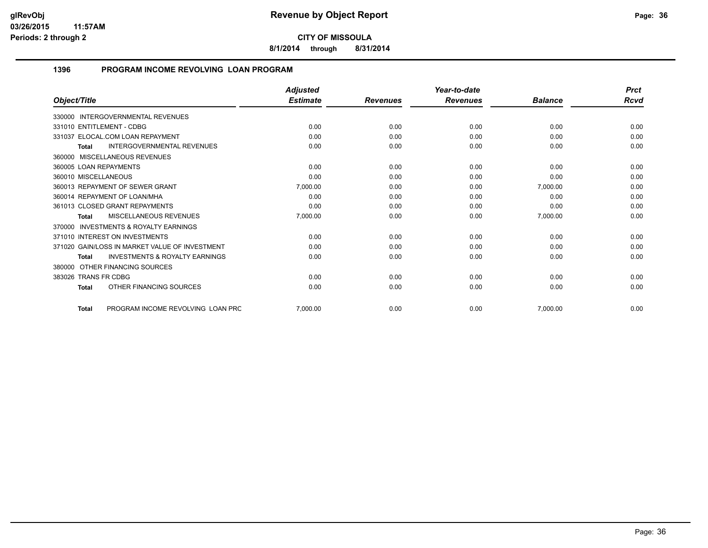**8/1/2014 through 8/31/2014**

## **1396 PROGRAM INCOME REVOLVING LOAN PROGRAM**

|                                                           | <b>Adjusted</b> |                 | Year-to-date    |                | <b>Prct</b> |
|-----------------------------------------------------------|-----------------|-----------------|-----------------|----------------|-------------|
| Object/Title                                              | <b>Estimate</b> | <b>Revenues</b> | <b>Revenues</b> | <b>Balance</b> | Rcvd        |
| <b>INTERGOVERNMENTAL REVENUES</b><br>330000               |                 |                 |                 |                |             |
| 331010 ENTITLEMENT - CDBG                                 | 0.00            | 0.00            | 0.00            | 0.00           | 0.00        |
| 331037 ELOCAL.COM LOAN REPAYMENT                          | 0.00            | 0.00            | 0.00            | 0.00           | 0.00        |
| <b>INTERGOVERNMENTAL REVENUES</b><br><b>Total</b>         | 0.00            | 0.00            | 0.00            | 0.00           | 0.00        |
| 360000 MISCELLANEOUS REVENUES                             |                 |                 |                 |                |             |
| 360005 LOAN REPAYMENTS                                    | 0.00            | 0.00            | 0.00            | 0.00           | 0.00        |
| 360010 MISCELLANEOUS                                      | 0.00            | 0.00            | 0.00            | 0.00           | 0.00        |
| 360013 REPAYMENT OF SEWER GRANT                           | 7,000.00        | 0.00            | 0.00            | 7,000.00       | 0.00        |
| 360014 REPAYMENT OF LOAN/MHA                              | 0.00            | 0.00            | 0.00            | 0.00           | 0.00        |
| 361013 CLOSED GRANT REPAYMENTS                            | 0.00            | 0.00            | 0.00            | 0.00           | 0.00        |
| <b>MISCELLANEOUS REVENUES</b><br><b>Total</b>             | 7,000.00        | 0.00            | 0.00            | 7,000.00       | 0.00        |
| <b>INVESTMENTS &amp; ROYALTY EARNINGS</b><br>370000       |                 |                 |                 |                |             |
| 371010 INTEREST ON INVESTMENTS                            | 0.00            | 0.00            | 0.00            | 0.00           | 0.00        |
| 371020 GAIN/LOSS IN MARKET VALUE OF INVESTMENT            | 0.00            | 0.00            | 0.00            | 0.00           | 0.00        |
| <b>INVESTMENTS &amp; ROYALTY EARNINGS</b><br><b>Total</b> | 0.00            | 0.00            | 0.00            | 0.00           | 0.00        |
| OTHER FINANCING SOURCES<br>380000                         |                 |                 |                 |                |             |
| 383026 TRANS FR CDBG                                      | 0.00            | 0.00            | 0.00            | 0.00           | 0.00        |
| OTHER FINANCING SOURCES<br><b>Total</b>                   | 0.00            | 0.00            | 0.00            | 0.00           | 0.00        |
| PROGRAM INCOME REVOLVING LOAN PRC<br><b>Total</b>         | 7,000.00        | 0.00            | 0.00            | 7,000.00       | 0.00        |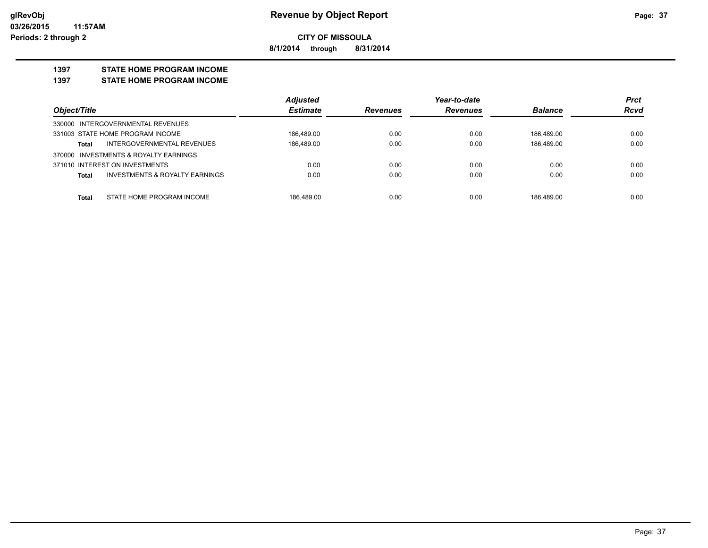**8/1/2014 through 8/31/2014**

#### **1397 STATE HOME PROGRAM INCOME**

**1397 STATE HOME PROGRAM INCOME**

|                                                           | <b>Adjusted</b> |                 | Year-to-date    |                | <b>Prct</b> |
|-----------------------------------------------------------|-----------------|-----------------|-----------------|----------------|-------------|
| Object/Title                                              | <b>Estimate</b> | <b>Revenues</b> | <b>Revenues</b> | <b>Balance</b> | <b>Rcvd</b> |
| 330000 INTERGOVERNMENTAL REVENUES                         |                 |                 |                 |                |             |
| 331003 STATE HOME PROGRAM INCOME                          | 186.489.00      | 0.00            | 0.00            | 186.489.00     | 0.00        |
| INTERGOVERNMENTAL REVENUES<br><b>Total</b>                | 186.489.00      | 0.00            | 0.00            | 186.489.00     | 0.00        |
| 370000 INVESTMENTS & ROYALTY EARNINGS                     |                 |                 |                 |                |             |
| 371010 INTEREST ON INVESTMENTS                            | 0.00            | 0.00            | 0.00            | 0.00           | 0.00        |
| <b>INVESTMENTS &amp; ROYALTY EARNINGS</b><br><b>Total</b> | 0.00            | 0.00            | 0.00            | 0.00           | 0.00        |
|                                                           |                 |                 |                 |                |             |
| STATE HOME PROGRAM INCOME<br><b>Total</b>                 | 186.489.00      | 0.00            | 0.00            | 186.489.00     | 0.00        |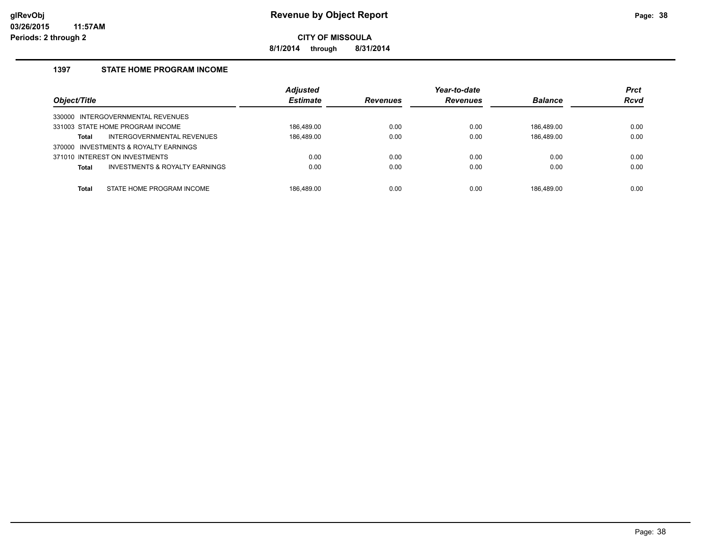**8/1/2014 through 8/31/2014**

## **1397 STATE HOME PROGRAM INCOME**

| Object/Title |                                       | <b>Adjusted</b><br><b>Estimate</b> | <b>Revenues</b> | Year-to-date<br><b>Revenues</b> | <b>Balance</b> | <b>Prct</b><br><b>Rcvd</b> |
|--------------|---------------------------------------|------------------------------------|-----------------|---------------------------------|----------------|----------------------------|
|              | 330000 INTERGOVERNMENTAL REVENUES     |                                    |                 |                                 |                |                            |
|              | 331003 STATE HOME PROGRAM INCOME      | 186.489.00                         | 0.00            | 0.00                            | 186.489.00     | 0.00                       |
| <b>Total</b> | INTERGOVERNMENTAL REVENUES            | 186.489.00                         | 0.00            | 0.00                            | 186.489.00     | 0.00                       |
|              | 370000 INVESTMENTS & ROYALTY EARNINGS |                                    |                 |                                 |                |                            |
|              | 371010 INTEREST ON INVESTMENTS        | 0.00                               | 0.00            | 0.00                            | 0.00           | 0.00                       |
| <b>Total</b> | INVESTMENTS & ROYALTY EARNINGS        | 0.00                               | 0.00            | 0.00                            | 0.00           | 0.00                       |
| Total        | STATE HOME PROGRAM INCOME             | 186.489.00                         | 0.00            | 0.00                            | 186.489.00     | 0.00                       |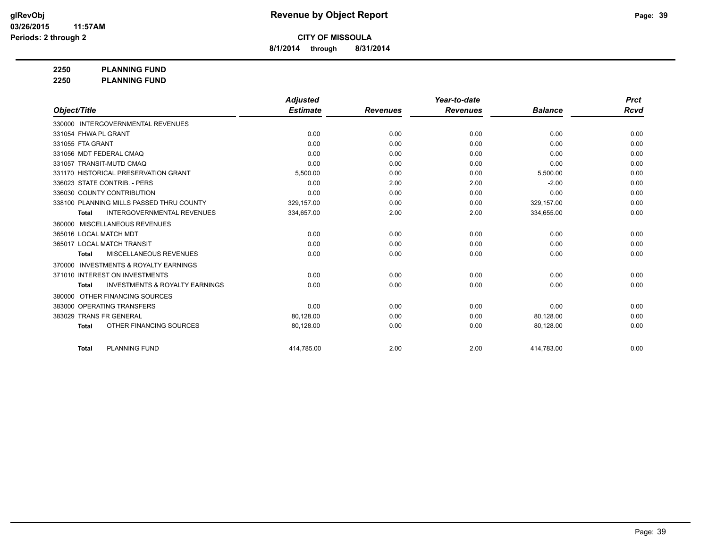**8/1/2014 through 8/31/2014**

**2250 PLANNING FUND**

**2250 PLANNING FUND**

|                                                           | <b>Adjusted</b> |                 | Year-to-date    |                | <b>Prct</b> |
|-----------------------------------------------------------|-----------------|-----------------|-----------------|----------------|-------------|
| Object/Title                                              | <b>Estimate</b> | <b>Revenues</b> | <b>Revenues</b> | <b>Balance</b> | Rcvd        |
| 330000 INTERGOVERNMENTAL REVENUES                         |                 |                 |                 |                |             |
| 331054 FHWA PL GRANT                                      | 0.00            | 0.00            | 0.00            | 0.00           | 0.00        |
| 331055 FTA GRANT                                          | 0.00            | 0.00            | 0.00            | 0.00           | 0.00        |
| 331056 MDT FEDERAL CMAQ                                   | 0.00            | 0.00            | 0.00            | 0.00           | 0.00        |
| 331057 TRANSIT-MUTD CMAQ                                  | 0.00            | 0.00            | 0.00            | 0.00           | 0.00        |
| 331170 HISTORICAL PRESERVATION GRANT                      | 5,500.00        | 0.00            | 0.00            | 5,500.00       | 0.00        |
| 336023 STATE CONTRIB. - PERS                              | 0.00            | 2.00            | 2.00            | $-2.00$        | 0.00        |
| 336030 COUNTY CONTRIBUTION                                | 0.00            | 0.00            | 0.00            | 0.00           | 0.00        |
| 338100 PLANNING MILLS PASSED THRU COUNTY                  | 329,157.00      | 0.00            | 0.00            | 329,157.00     | 0.00        |
| <b>INTERGOVERNMENTAL REVENUES</b><br><b>Total</b>         | 334,657.00      | 2.00            | 2.00            | 334,655.00     | 0.00        |
| MISCELLANEOUS REVENUES<br>360000                          |                 |                 |                 |                |             |
| 365016 LOCAL MATCH MDT                                    | 0.00            | 0.00            | 0.00            | 0.00           | 0.00        |
| 365017 LOCAL MATCH TRANSIT                                | 0.00            | 0.00            | 0.00            | 0.00           | 0.00        |
| <b>MISCELLANEOUS REVENUES</b><br><b>Total</b>             | 0.00            | 0.00            | 0.00            | 0.00           | 0.00        |
| <b>INVESTMENTS &amp; ROYALTY EARNINGS</b><br>370000       |                 |                 |                 |                |             |
| 371010 INTEREST ON INVESTMENTS                            | 0.00            | 0.00            | 0.00            | 0.00           | 0.00        |
| <b>INVESTMENTS &amp; ROYALTY EARNINGS</b><br><b>Total</b> | 0.00            | 0.00            | 0.00            | 0.00           | 0.00        |
| OTHER FINANCING SOURCES<br>380000                         |                 |                 |                 |                |             |
| 383000 OPERATING TRANSFERS                                | 0.00            | 0.00            | 0.00            | 0.00           | 0.00        |
| 383029 TRANS FR GENERAL                                   | 80.128.00       | 0.00            | 0.00            | 80,128.00      | 0.00        |
| OTHER FINANCING SOURCES<br><b>Total</b>                   | 80,128.00       | 0.00            | 0.00            | 80,128.00      | 0.00        |
| <b>PLANNING FUND</b><br><b>Total</b>                      | 414,785.00      | 2.00            | 2.00            | 414,783.00     | 0.00        |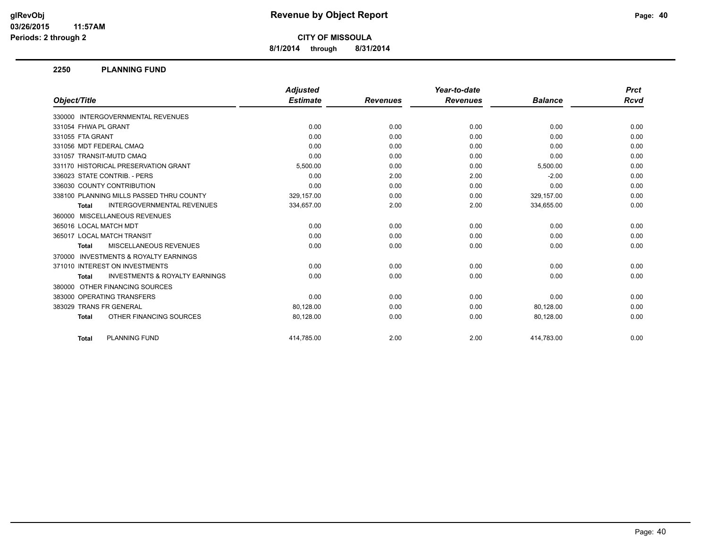**8/1/2014 through 8/31/2014**

#### **2250 PLANNING FUND**

|                                                           | <b>Adjusted</b> |                 | Year-to-date    |                | <b>Prct</b> |
|-----------------------------------------------------------|-----------------|-----------------|-----------------|----------------|-------------|
| Object/Title                                              | <b>Estimate</b> | <b>Revenues</b> | <b>Revenues</b> | <b>Balance</b> | Rcvd        |
| 330000 INTERGOVERNMENTAL REVENUES                         |                 |                 |                 |                |             |
| 331054 FHWA PL GRANT                                      | 0.00            | 0.00            | 0.00            | 0.00           | 0.00        |
| 331055 FTA GRANT                                          | 0.00            | 0.00            | 0.00            | 0.00           | 0.00        |
| 331056 MDT FEDERAL CMAQ                                   | 0.00            | 0.00            | 0.00            | 0.00           | 0.00        |
| 331057 TRANSIT-MUTD CMAQ                                  | 0.00            | 0.00            | 0.00            | 0.00           | 0.00        |
| 331170 HISTORICAL PRESERVATION GRANT                      | 5,500.00        | 0.00            | 0.00            | 5,500.00       | 0.00        |
| 336023 STATE CONTRIB. - PERS                              | 0.00            | 2.00            | 2.00            | $-2.00$        | 0.00        |
| 336030 COUNTY CONTRIBUTION                                | 0.00            | 0.00            | 0.00            | 0.00           | 0.00        |
| 338100 PLANNING MILLS PASSED THRU COUNTY                  | 329,157.00      | 0.00            | 0.00            | 329,157.00     | 0.00        |
| <b>INTERGOVERNMENTAL REVENUES</b><br><b>Total</b>         | 334,657.00      | 2.00            | 2.00            | 334,655.00     | 0.00        |
| 360000 MISCELLANEOUS REVENUES                             |                 |                 |                 |                |             |
| 365016 LOCAL MATCH MDT                                    | 0.00            | 0.00            | 0.00            | 0.00           | 0.00        |
| 365017 LOCAL MATCH TRANSIT                                | 0.00            | 0.00            | 0.00            | 0.00           | 0.00        |
| <b>MISCELLANEOUS REVENUES</b><br><b>Total</b>             | 0.00            | 0.00            | 0.00            | 0.00           | 0.00        |
| 370000 INVESTMENTS & ROYALTY EARNINGS                     |                 |                 |                 |                |             |
| 371010 INTEREST ON INVESTMENTS                            | 0.00            | 0.00            | 0.00            | 0.00           | 0.00        |
| <b>INVESTMENTS &amp; ROYALTY EARNINGS</b><br><b>Total</b> | 0.00            | 0.00            | 0.00            | 0.00           | 0.00        |
| 380000 OTHER FINANCING SOURCES                            |                 |                 |                 |                |             |
| 383000 OPERATING TRANSFERS                                | 0.00            | 0.00            | 0.00            | 0.00           | 0.00        |
| 383029 TRANS FR GENERAL                                   | 80,128.00       | 0.00            | 0.00            | 80,128.00      | 0.00        |
| OTHER FINANCING SOURCES<br><b>Total</b>                   | 80,128.00       | 0.00            | 0.00            | 80,128.00      | 0.00        |
| <b>PLANNING FUND</b><br><b>Total</b>                      | 414.785.00      | 2.00            | 2.00            | 414.783.00     | 0.00        |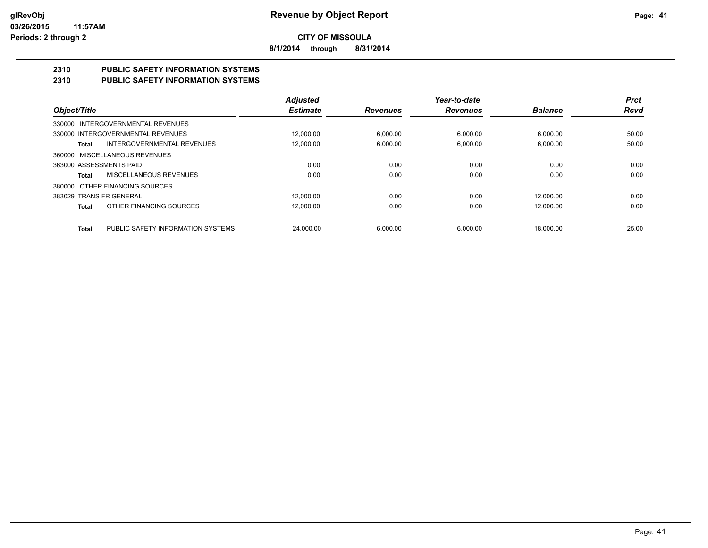**8/1/2014 through 8/31/2014**

# **2310 PUBLIC SAFETY INFORMATION SYSTEMS**

## **2310 PUBLIC SAFETY INFORMATION SYSTEMS**

|                         |                                   | <b>Adjusted</b> |                 | Year-to-date    |                | <b>Prct</b> |
|-------------------------|-----------------------------------|-----------------|-----------------|-----------------|----------------|-------------|
| Object/Title            |                                   | <b>Estimate</b> | <b>Revenues</b> | <b>Revenues</b> | <b>Balance</b> | <b>Rcvd</b> |
|                         | 330000 INTERGOVERNMENTAL REVENUES |                 |                 |                 |                |             |
|                         | 330000 INTERGOVERNMENTAL REVENUES | 12.000.00       | 6.000.00        | 6.000.00        | 6.000.00       | 50.00       |
| Total                   | <b>INTERGOVERNMENTAL REVENUES</b> | 12,000.00       | 6.000.00        | 6.000.00        | 6,000.00       | 50.00       |
|                         | 360000 MISCELLANEOUS REVENUES     |                 |                 |                 |                |             |
| 363000 ASSESSMENTS PAID |                                   | 0.00            | 0.00            | 0.00            | 0.00           | 0.00        |
| Total                   | MISCELLANEOUS REVENUES            | 0.00            | 0.00            | 0.00            | 0.00           | 0.00        |
|                         | 380000 OTHER FINANCING SOURCES    |                 |                 |                 |                |             |
| 383029 TRANS FR GENERAL |                                   | 12.000.00       | 0.00            | 0.00            | 12.000.00      | 0.00        |
| Total                   | OTHER FINANCING SOURCES           | 12.000.00       | 0.00            | 0.00            | 12.000.00      | 0.00        |
| <b>Total</b>            | PUBLIC SAFETY INFORMATION SYSTEMS | 24.000.00       | 6.000.00        | 6.000.00        | 18.000.00      | 25.00       |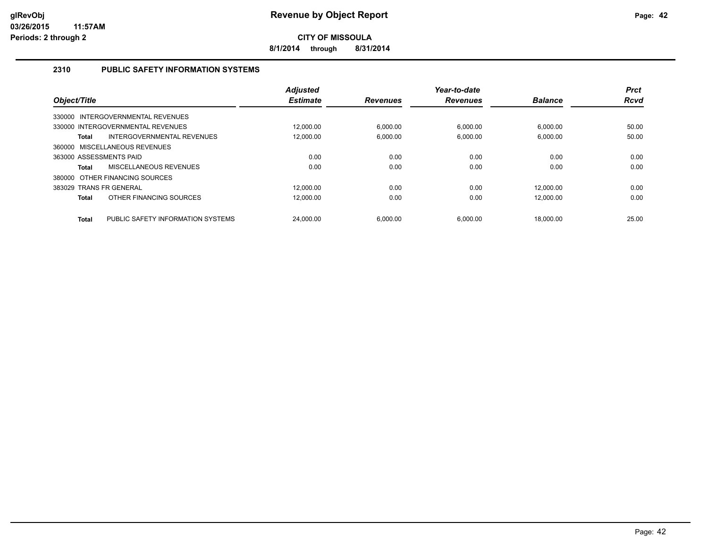**8/1/2014 through 8/31/2014**

## **2310 PUBLIC SAFETY INFORMATION SYSTEMS**

| Object/Title            |                                   | <b>Adjusted</b><br><b>Estimate</b> | <b>Revenues</b> | Year-to-date<br><b>Revenues</b> | <b>Balance</b> | <b>Prct</b><br><b>Rcvd</b> |
|-------------------------|-----------------------------------|------------------------------------|-----------------|---------------------------------|----------------|----------------------------|
|                         | 330000 INTERGOVERNMENTAL REVENUES |                                    |                 |                                 |                |                            |
|                         | 330000 INTERGOVERNMENTAL REVENUES | 12.000.00                          | 6.000.00        | 6.000.00                        | 6.000.00       | 50.00                      |
| <b>Total</b>            | INTERGOVERNMENTAL REVENUES        | 12.000.00                          | 6.000.00        | 6.000.00                        | 6.000.00       | 50.00                      |
|                         | 360000 MISCELLANEOUS REVENUES     |                                    |                 |                                 |                |                            |
| 363000 ASSESSMENTS PAID |                                   | 0.00                               | 0.00            | 0.00                            | 0.00           | 0.00                       |
| <b>Total</b>            | MISCELLANEOUS REVENUES            | 0.00                               | 0.00            | 0.00                            | 0.00           | 0.00                       |
|                         | 380000 OTHER FINANCING SOURCES    |                                    |                 |                                 |                |                            |
| 383029 TRANS FR GENERAL |                                   | 12.000.00                          | 0.00            | 0.00                            | 12.000.00      | 0.00                       |
| <b>Total</b>            | OTHER FINANCING SOURCES           | 12.000.00                          | 0.00            | 0.00                            | 12,000.00      | 0.00                       |
| <b>Total</b>            | PUBLIC SAFETY INFORMATION SYSTEMS | 24.000.00                          | 6.000.00        | 6.000.00                        | 18.000.00      | 25.00                      |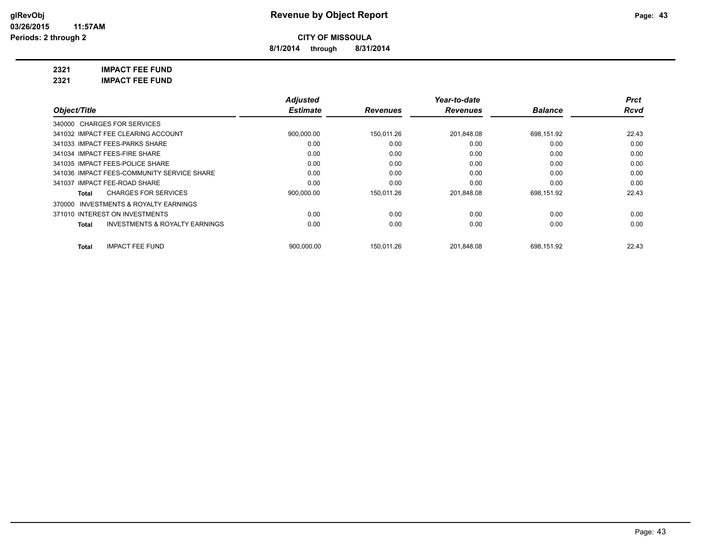**8/1/2014 through 8/31/2014**

**2321 IMPACT FEE FUND**

**2321 IMPACT FEE FUND**

|                                                           | <b>Adjusted</b> |                 | Year-to-date    |                | <b>Prct</b> |
|-----------------------------------------------------------|-----------------|-----------------|-----------------|----------------|-------------|
| Object/Title                                              | <b>Estimate</b> | <b>Revenues</b> | <b>Revenues</b> | <b>Balance</b> | Rcvd        |
| 340000 CHARGES FOR SERVICES                               |                 |                 |                 |                |             |
| 341032 IMPACT FEE CLEARING ACCOUNT                        | 900,000.00      | 150.011.26      | 201.848.08      | 698.151.92     | 22.43       |
| 341033 IMPACT FEES-PARKS SHARE                            | 0.00            | 0.00            | 0.00            | 0.00           | 0.00        |
| 341034 IMPACT FEES-FIRE SHARE                             | 0.00            | 0.00            | 0.00            | 0.00           | 0.00        |
| 341035 IMPACT FEES-POLICE SHARE                           | 0.00            | 0.00            | 0.00            | 0.00           | 0.00        |
| 341036 IMPACT FEES-COMMUNITY SERVICE SHARE                | 0.00            | 0.00            | 0.00            | 0.00           | 0.00        |
| 341037 IMPACT FEE-ROAD SHARE                              | 0.00            | 0.00            | 0.00            | 0.00           | 0.00        |
| <b>CHARGES FOR SERVICES</b><br>Total                      | 900,000.00      | 150,011.26      | 201,848.08      | 698,151.92     | 22.43       |
| 370000 INVESTMENTS & ROYALTY EARNINGS                     |                 |                 |                 |                |             |
| 371010 INTEREST ON INVESTMENTS                            | 0.00            | 0.00            | 0.00            | 0.00           | 0.00        |
| <b>INVESTMENTS &amp; ROYALTY EARNINGS</b><br><b>Total</b> | 0.00            | 0.00            | 0.00            | 0.00           | 0.00        |
| <b>IMPACT FEE FUND</b><br><b>Total</b>                    | 900.000.00      | 150.011.26      | 201.848.08      | 698.151.92     | 22.43       |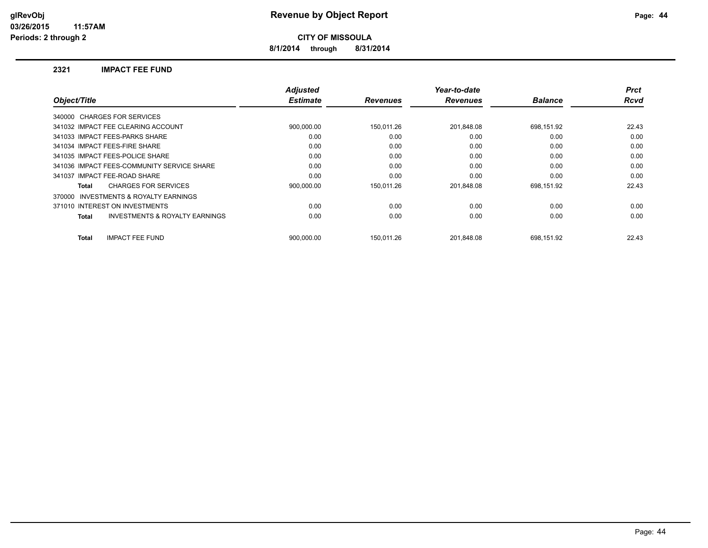**8/1/2014 through 8/31/2014**

#### **2321 IMPACT FEE FUND**

|                                                     | <b>Adjusted</b> |                 | Year-to-date    |                | <b>Prct</b> |
|-----------------------------------------------------|-----------------|-----------------|-----------------|----------------|-------------|
| Object/Title                                        | <b>Estimate</b> | <b>Revenues</b> | <b>Revenues</b> | <b>Balance</b> | <b>Rcvd</b> |
| 340000 CHARGES FOR SERVICES                         |                 |                 |                 |                |             |
| 341032 IMPACT FEE CLEARING ACCOUNT                  | 900,000.00      | 150,011.26      | 201,848.08      | 698,151.92     | 22.43       |
| 341033 IMPACT FEES-PARKS SHARE                      | 0.00            | 0.00            | 0.00            | 0.00           | 0.00        |
| 341034 IMPACT FEES-FIRE SHARE                       | 0.00            | 0.00            | 0.00            | 0.00           | 0.00        |
| 341035 IMPACT FEES-POLICE SHARE                     | 0.00            | 0.00            | 0.00            | 0.00           | 0.00        |
| 341036 IMPACT FEES-COMMUNITY SERVICE SHARE          | 0.00            | 0.00            | 0.00            | 0.00           | 0.00        |
| 341037 IMPACT FEE-ROAD SHARE                        | 0.00            | 0.00            | 0.00            | 0.00           | 0.00        |
| <b>CHARGES FOR SERVICES</b><br>Total                | 900,000.00      | 150.011.26      | 201.848.08      | 698,151.92     | 22.43       |
| <b>INVESTMENTS &amp; ROYALTY EARNINGS</b><br>370000 |                 |                 |                 |                |             |
| 371010 INTEREST ON INVESTMENTS                      | 0.00            | 0.00            | 0.00            | 0.00           | 0.00        |
| <b>INVESTMENTS &amp; ROYALTY EARNINGS</b><br>Total  | 0.00            | 0.00            | 0.00            | 0.00           | 0.00        |
| <b>IMPACT FEE FUND</b><br><b>Total</b>              | 900.000.00      | 150.011.26      | 201.848.08      | 698,151.92     | 22.43       |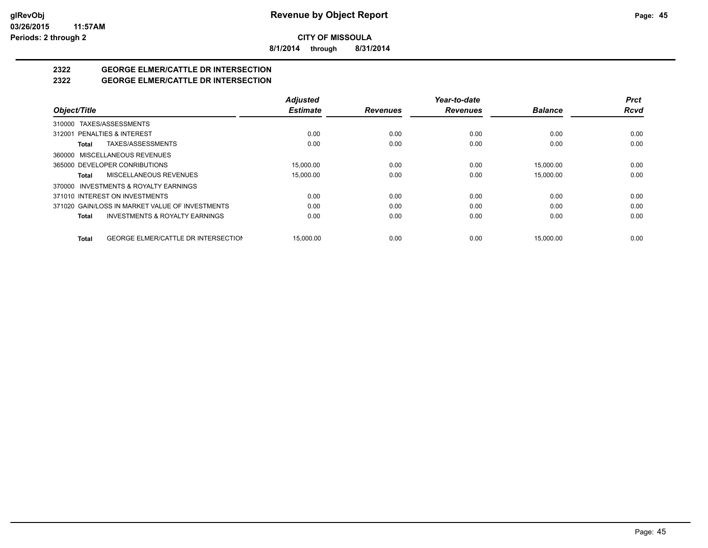**8/1/2014 through 8/31/2014**

# **2322 GEORGE ELMER/CATTLE DR INTERSECTION**

## **2322 GEORGE ELMER/CATTLE DR INTERSECTION**

|                                                     | <b>Adjusted</b> |                 | Year-to-date    |                | <b>Prct</b> |
|-----------------------------------------------------|-----------------|-----------------|-----------------|----------------|-------------|
| Object/Title                                        | <b>Estimate</b> | <b>Revenues</b> | <b>Revenues</b> | <b>Balance</b> | <b>Rcvd</b> |
| 310000 TAXES/ASSESSMENTS                            |                 |                 |                 |                |             |
| 312001 PENALTIES & INTEREST                         | 0.00            | 0.00            | 0.00            | 0.00           | 0.00        |
| TAXES/ASSESSMENTS<br>Total                          | 0.00            | 0.00            | 0.00            | 0.00           | 0.00        |
| 360000 MISCELLANEOUS REVENUES                       |                 |                 |                 |                |             |
| 365000 DEVELOPER CONRIBUTIONS                       | 15.000.00       | 0.00            | 0.00            | 15.000.00      | 0.00        |
| MISCELLANEOUS REVENUES<br>Total                     | 15,000.00       | 0.00            | 0.00            | 15,000.00      | 0.00        |
| 370000 INVESTMENTS & ROYALTY EARNINGS               |                 |                 |                 |                |             |
| 371010 INTEREST ON INVESTMENTS                      | 0.00            | 0.00            | 0.00            | 0.00           | 0.00        |
| 371020 GAIN/LOSS IN MARKET VALUE OF INVESTMENTS     | 0.00            | 0.00            | 0.00            | 0.00           | 0.00        |
| <b>INVESTMENTS &amp; ROYALTY EARNINGS</b><br>Total  | 0.00            | 0.00            | 0.00            | 0.00           | 0.00        |
| <b>GEORGE ELMER/CATTLE DR INTERSECTION</b><br>Total | 15.000.00       | 0.00            | 0.00            | 15.000.00      | 0.00        |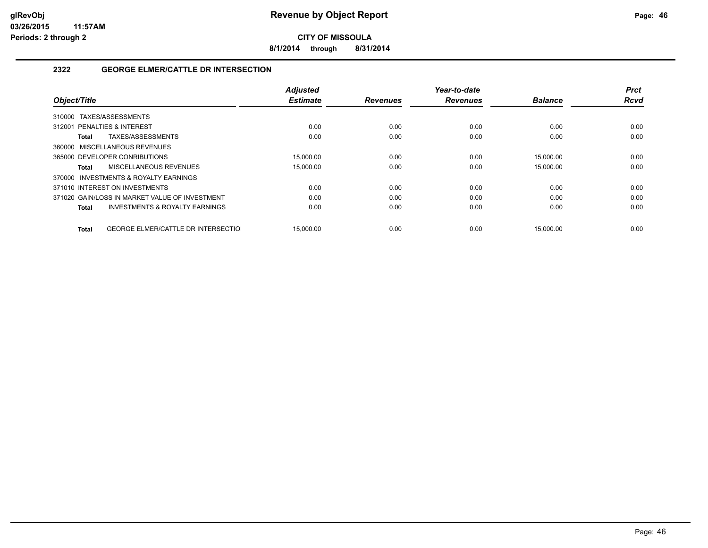**8/1/2014 through 8/31/2014**

## **2322 GEORGE ELMER/CATTLE DR INTERSECTION**

| Object/Title                |                                                | <b>Adjusted</b><br><b>Estimate</b> | <b>Revenues</b> | Year-to-date<br><b>Revenues</b> | <b>Balance</b> | <b>Prct</b><br><b>Rcvd</b> |
|-----------------------------|------------------------------------------------|------------------------------------|-----------------|---------------------------------|----------------|----------------------------|
|                             |                                                |                                    |                 |                                 |                |                            |
| 310000                      | TAXES/ASSESSMENTS                              |                                    |                 |                                 |                |                            |
| 312001 PENALTIES & INTEREST |                                                | 0.00                               | 0.00            | 0.00                            | 0.00           | 0.00                       |
| Total                       | TAXES/ASSESSMENTS                              | 0.00                               | 0.00            | 0.00                            | 0.00           | 0.00                       |
|                             | 360000 MISCELLANEOUS REVENUES                  |                                    |                 |                                 |                |                            |
|                             | 365000 DEVELOPER CONRIBUTIONS                  | 15,000.00                          | 0.00            | 0.00                            | 15.000.00      | 0.00                       |
| Total                       | MISCELLANEOUS REVENUES                         | 15,000.00                          | 0.00            | 0.00                            | 15,000.00      | 0.00                       |
|                             | 370000 INVESTMENTS & ROYALTY EARNINGS          |                                    |                 |                                 |                |                            |
|                             | 371010 INTEREST ON INVESTMENTS                 | 0.00                               | 0.00            | 0.00                            | 0.00           | 0.00                       |
|                             | 371020 GAIN/LOSS IN MARKET VALUE OF INVESTMENT | 0.00                               | 0.00            | 0.00                            | 0.00           | 0.00                       |
| Total                       | <b>INVESTMENTS &amp; ROYALTY EARNINGS</b>      | 0.00                               | 0.00            | 0.00                            | 0.00           | 0.00                       |
|                             |                                                |                                    |                 |                                 |                |                            |
| Total                       | <b>GEORGE ELMER/CATTLE DR INTERSECTIOL</b>     | 15.000.00                          | 0.00            | 0.00                            | 15.000.00      | 0.00                       |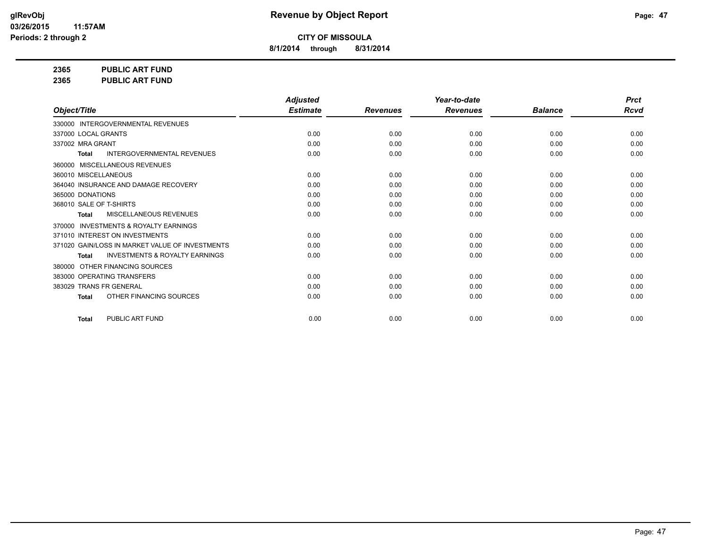**8/1/2014 through 8/31/2014**

**2365 PUBLIC ART FUND**

**2365 PUBLIC ART FUND**

|                                                           | <b>Adjusted</b> |                 | Year-to-date    |                | <b>Prct</b> |
|-----------------------------------------------------------|-----------------|-----------------|-----------------|----------------|-------------|
| Object/Title                                              | <b>Estimate</b> | <b>Revenues</b> | <b>Revenues</b> | <b>Balance</b> | <b>Rcvd</b> |
| 330000 INTERGOVERNMENTAL REVENUES                         |                 |                 |                 |                |             |
| 337000 LOCAL GRANTS                                       | 0.00            | 0.00            | 0.00            | 0.00           | 0.00        |
| 337002 MRA GRANT                                          | 0.00            | 0.00            | 0.00            | 0.00           | 0.00        |
| <b>INTERGOVERNMENTAL REVENUES</b><br><b>Total</b>         | 0.00            | 0.00            | 0.00            | 0.00           | 0.00        |
| 360000 MISCELLANEOUS REVENUES                             |                 |                 |                 |                |             |
| 360010 MISCELLANEOUS                                      | 0.00            | 0.00            | 0.00            | 0.00           | 0.00        |
| 364040 INSURANCE AND DAMAGE RECOVERY                      | 0.00            | 0.00            | 0.00            | 0.00           | 0.00        |
| 365000 DONATIONS                                          | 0.00            | 0.00            | 0.00            | 0.00           | 0.00        |
| 368010 SALE OF T-SHIRTS                                   | 0.00            | 0.00            | 0.00            | 0.00           | 0.00        |
| MISCELLANEOUS REVENUES<br><b>Total</b>                    | 0.00            | 0.00            | 0.00            | 0.00           | 0.00        |
| 370000 INVESTMENTS & ROYALTY EARNINGS                     |                 |                 |                 |                |             |
| 371010 INTEREST ON INVESTMENTS                            | 0.00            | 0.00            | 0.00            | 0.00           | 0.00        |
| 371020 GAIN/LOSS IN MARKET VALUE OF INVESTMENTS           | 0.00            | 0.00            | 0.00            | 0.00           | 0.00        |
| <b>INVESTMENTS &amp; ROYALTY EARNINGS</b><br><b>Total</b> | 0.00            | 0.00            | 0.00            | 0.00           | 0.00        |
| OTHER FINANCING SOURCES<br>380000                         |                 |                 |                 |                |             |
| 383000 OPERATING TRANSFERS                                | 0.00            | 0.00            | 0.00            | 0.00           | 0.00        |
| 383029 TRANS FR GENERAL                                   | 0.00            | 0.00            | 0.00            | 0.00           | 0.00        |
| OTHER FINANCING SOURCES<br><b>Total</b>                   | 0.00            | 0.00            | 0.00            | 0.00           | 0.00        |
| PUBLIC ART FUND<br>Total                                  | 0.00            | 0.00            | 0.00            | 0.00           | 0.00        |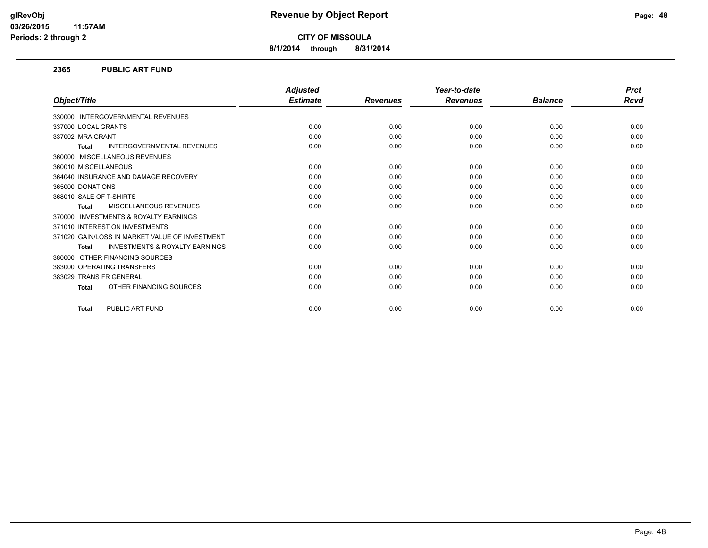**8/1/2014 through 8/31/2014**

#### **2365 PUBLIC ART FUND**

|                                                           | <b>Adjusted</b> |                 | Year-to-date    |                | <b>Prct</b> |
|-----------------------------------------------------------|-----------------|-----------------|-----------------|----------------|-------------|
| Object/Title                                              | <b>Estimate</b> | <b>Revenues</b> | <b>Revenues</b> | <b>Balance</b> | Rcvd        |
| 330000 INTERGOVERNMENTAL REVENUES                         |                 |                 |                 |                |             |
| 337000 LOCAL GRANTS                                       | 0.00            | 0.00            | 0.00            | 0.00           | 0.00        |
| 337002 MRA GRANT                                          | 0.00            | 0.00            | 0.00            | 0.00           | 0.00        |
| <b>INTERGOVERNMENTAL REVENUES</b><br><b>Total</b>         | 0.00            | 0.00            | 0.00            | 0.00           | 0.00        |
| MISCELLANEOUS REVENUES<br>360000                          |                 |                 |                 |                |             |
| 360010 MISCELLANEOUS                                      | 0.00            | 0.00            | 0.00            | 0.00           | 0.00        |
| 364040 INSURANCE AND DAMAGE RECOVERY                      | 0.00            | 0.00            | 0.00            | 0.00           | 0.00        |
| 365000 DONATIONS                                          | 0.00            | 0.00            | 0.00            | 0.00           | 0.00        |
| 368010 SALE OF T-SHIRTS                                   | 0.00            | 0.00            | 0.00            | 0.00           | 0.00        |
| <b>MISCELLANEOUS REVENUES</b><br><b>Total</b>             | 0.00            | 0.00            | 0.00            | 0.00           | 0.00        |
| <b>INVESTMENTS &amp; ROYALTY EARNINGS</b><br>370000       |                 |                 |                 |                |             |
| 371010 INTEREST ON INVESTMENTS                            | 0.00            | 0.00            | 0.00            | 0.00           | 0.00        |
| 371020 GAIN/LOSS IN MARKET VALUE OF INVESTMENT            | 0.00            | 0.00            | 0.00            | 0.00           | 0.00        |
| <b>INVESTMENTS &amp; ROYALTY EARNINGS</b><br><b>Total</b> | 0.00            | 0.00            | 0.00            | 0.00           | 0.00        |
| OTHER FINANCING SOURCES<br>380000                         |                 |                 |                 |                |             |
| 383000 OPERATING TRANSFERS                                | 0.00            | 0.00            | 0.00            | 0.00           | 0.00        |
| 383029 TRANS FR GENERAL                                   | 0.00            | 0.00            | 0.00            | 0.00           | 0.00        |
| OTHER FINANCING SOURCES<br><b>Total</b>                   | 0.00            | 0.00            | 0.00            | 0.00           | 0.00        |
| PUBLIC ART FUND<br><b>Total</b>                           | 0.00            | 0.00            | 0.00            | 0.00           | 0.00        |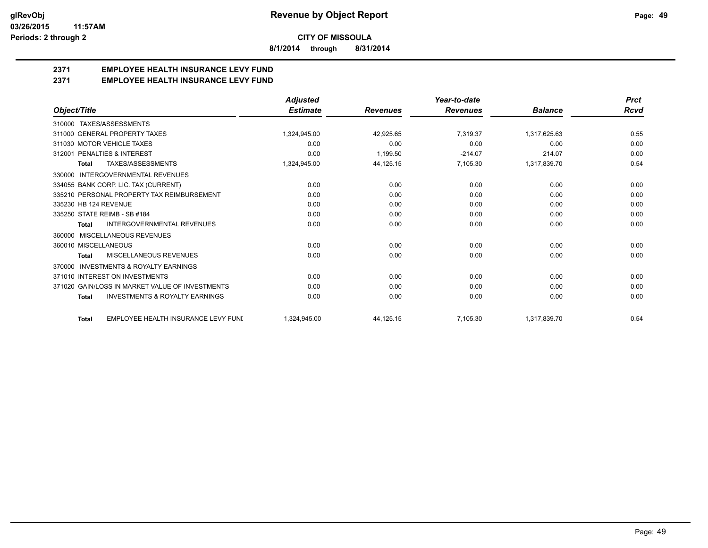**8/1/2014 through 8/31/2014**

## **2371 EMPLOYEE HEALTH INSURANCE LEVY FUND**

**2371 EMPLOYEE HEALTH INSURANCE LEVY FUND**

|                                                           | <b>Adjusted</b> |                 | Year-to-date    |                | <b>Prct</b> |
|-----------------------------------------------------------|-----------------|-----------------|-----------------|----------------|-------------|
| Object/Title                                              | <b>Estimate</b> | <b>Revenues</b> | <b>Revenues</b> | <b>Balance</b> | <b>Rcvd</b> |
| 310000 TAXES/ASSESSMENTS                                  |                 |                 |                 |                |             |
| 311000 GENERAL PROPERTY TAXES                             | 1,324,945.00    | 42,925.65       | 7.319.37        | 1,317,625.63   | 0.55        |
| 311030 MOTOR VEHICLE TAXES                                | 0.00            | 0.00            | 0.00            | 0.00           | 0.00        |
| 312001 PENALTIES & INTEREST                               | 0.00            | 1.199.50        | $-214.07$       | 214.07         | 0.00        |
| <b>TAXES/ASSESSMENTS</b><br><b>Total</b>                  | 1,324,945.00    | 44,125.15       | 7,105.30        | 1,317,839.70   | 0.54        |
| INTERGOVERNMENTAL REVENUES<br>330000                      |                 |                 |                 |                |             |
| 334055 BANK CORP. LIC. TAX (CURRENT)                      | 0.00            | 0.00            | 0.00            | 0.00           | 0.00        |
| 335210 PERSONAL PROPERTY TAX REIMBURSEMENT                | 0.00            | 0.00            | 0.00            | 0.00           | 0.00        |
| 335230 HB 124 REVENUE                                     | 0.00            | 0.00            | 0.00            | 0.00           | 0.00        |
| 335250 STATE REIMB - SB #184                              | 0.00            | 0.00            | 0.00            | 0.00           | 0.00        |
| INTERGOVERNMENTAL REVENUES<br><b>Total</b>                | 0.00            | 0.00            | 0.00            | 0.00           | 0.00        |
| MISCELLANEOUS REVENUES<br>360000                          |                 |                 |                 |                |             |
| 360010 MISCELLANEOUS                                      | 0.00            | 0.00            | 0.00            | 0.00           | 0.00        |
| MISCELLANEOUS REVENUES<br><b>Total</b>                    | 0.00            | 0.00            | 0.00            | 0.00           | 0.00        |
| INVESTMENTS & ROYALTY EARNINGS<br>370000                  |                 |                 |                 |                |             |
| 371010 INTEREST ON INVESTMENTS                            | 0.00            | 0.00            | 0.00            | 0.00           | 0.00        |
| 371020 GAIN/LOSS IN MARKET VALUE OF INVESTMENTS           | 0.00            | 0.00            | 0.00            | 0.00           | 0.00        |
| <b>INVESTMENTS &amp; ROYALTY EARNINGS</b><br><b>Total</b> | 0.00            | 0.00            | 0.00            | 0.00           | 0.00        |
| EMPLOYEE HEALTH INSURANCE LEVY FUNI<br><b>Total</b>       | 1,324,945.00    | 44,125.15       | 7,105.30        | 1,317,839.70   | 0.54        |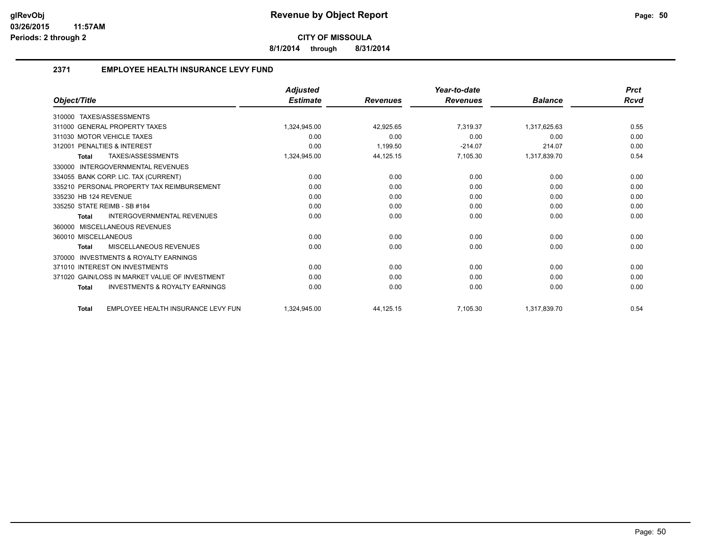**8/1/2014 through 8/31/2014**

## **2371 EMPLOYEE HEALTH INSURANCE LEVY FUND**

|                                                           | <b>Adjusted</b> |                 | Year-to-date    |                | <b>Prct</b> |
|-----------------------------------------------------------|-----------------|-----------------|-----------------|----------------|-------------|
| Object/Title                                              | <b>Estimate</b> | <b>Revenues</b> | <b>Revenues</b> | <b>Balance</b> | Rcvd        |
| TAXES/ASSESSMENTS<br>310000                               |                 |                 |                 |                |             |
| 311000 GENERAL PROPERTY TAXES                             | 1.324.945.00    | 42,925.65       | 7.319.37        | 1,317,625.63   | 0.55        |
| 311030 MOTOR VEHICLE TAXES                                | 0.00            | 0.00            | 0.00            | 0.00           | 0.00        |
| 312001 PENALTIES & INTEREST                               | 0.00            | 1,199.50        | $-214.07$       | 214.07         | 0.00        |
| TAXES/ASSESSMENTS<br><b>Total</b>                         | 1,324,945.00    | 44,125.15       | 7.105.30        | 1,317,839.70   | 0.54        |
| <b>INTERGOVERNMENTAL REVENUES</b><br>330000               |                 |                 |                 |                |             |
| 334055 BANK CORP. LIC. TAX (CURRENT)                      | 0.00            | 0.00            | 0.00            | 0.00           | 0.00        |
| 335210 PERSONAL PROPERTY TAX REIMBURSEMENT                | 0.00            | 0.00            | 0.00            | 0.00           | 0.00        |
| 335230 HB 124 REVENUE                                     | 0.00            | 0.00            | 0.00            | 0.00           | 0.00        |
| 335250 STATE REIMB - SB #184                              | 0.00            | 0.00            | 0.00            | 0.00           | 0.00        |
| <b>INTERGOVERNMENTAL REVENUES</b><br><b>Total</b>         | 0.00            | 0.00            | 0.00            | 0.00           | 0.00        |
| MISCELLANEOUS REVENUES<br>360000                          |                 |                 |                 |                |             |
| 360010 MISCELLANEOUS                                      | 0.00            | 0.00            | 0.00            | 0.00           | 0.00        |
| MISCELLANEOUS REVENUES<br><b>Total</b>                    | 0.00            | 0.00            | 0.00            | 0.00           | 0.00        |
| INVESTMENTS & ROYALTY EARNINGS<br>370000                  |                 |                 |                 |                |             |
| 371010 INTEREST ON INVESTMENTS                            | 0.00            | 0.00            | 0.00            | 0.00           | 0.00        |
| 371020 GAIN/LOSS IN MARKET VALUE OF INVESTMENT            | 0.00            | 0.00            | 0.00            | 0.00           | 0.00        |
| <b>INVESTMENTS &amp; ROYALTY EARNINGS</b><br><b>Total</b> | 0.00            | 0.00            | 0.00            | 0.00           | 0.00        |
| EMPLOYEE HEALTH INSURANCE LEVY FUN<br><b>Total</b>        | 1.324.945.00    | 44,125.15       | 7.105.30        | 1,317,839.70   | 0.54        |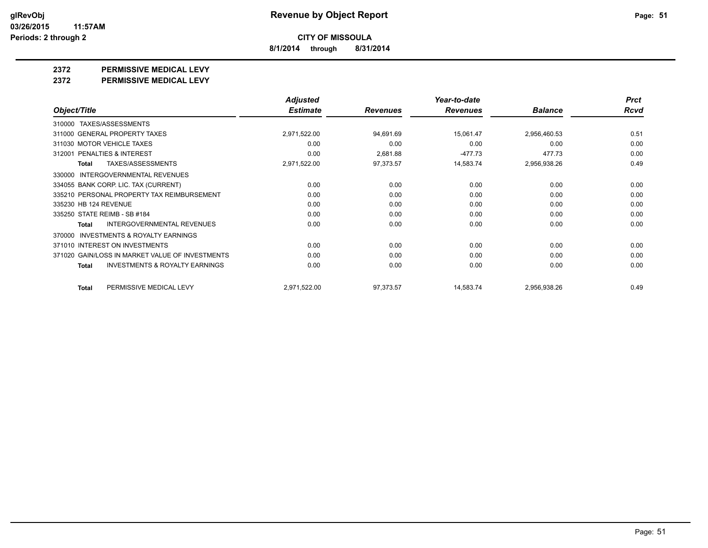**8/1/2014 through 8/31/2014**

**2372 PERMISSIVE MEDICAL LEVY**

**2372 PERMISSIVE MEDICAL LEVY**

|                                                     | <b>Adjusted</b> |                 | Year-to-date    |                | <b>Prct</b> |
|-----------------------------------------------------|-----------------|-----------------|-----------------|----------------|-------------|
| Object/Title                                        | <b>Estimate</b> | <b>Revenues</b> | <b>Revenues</b> | <b>Balance</b> | <b>Rcvd</b> |
| TAXES/ASSESSMENTS<br>310000                         |                 |                 |                 |                |             |
| 311000 GENERAL PROPERTY TAXES                       | 2,971,522.00    | 94,691.69       | 15,061.47       | 2,956,460.53   | 0.51        |
| 311030 MOTOR VEHICLE TAXES                          | 0.00            | 0.00            | 0.00            | 0.00           | 0.00        |
| 312001 PENALTIES & INTEREST                         | 0.00            | 2,681.88        | $-477.73$       | 477.73         | 0.00        |
| <b>TAXES/ASSESSMENTS</b><br><b>Total</b>            | 2,971,522.00    | 97,373.57       | 14,583.74       | 2,956,938.26   | 0.49        |
| <b>INTERGOVERNMENTAL REVENUES</b><br>330000         |                 |                 |                 |                |             |
| 334055 BANK CORP. LIC. TAX (CURRENT)                | 0.00            | 0.00            | 0.00            | 0.00           | 0.00        |
| 335210 PERSONAL PROPERTY TAX REIMBURSEMENT          | 0.00            | 0.00            | 0.00            | 0.00           | 0.00        |
| 335230 HB 124 REVENUE                               | 0.00            | 0.00            | 0.00            | 0.00           | 0.00        |
| 335250 STATE REIMB - SB #184                        | 0.00            | 0.00            | 0.00            | 0.00           | 0.00        |
| <b>INTERGOVERNMENTAL REVENUES</b><br><b>Total</b>   | 0.00            | 0.00            | 0.00            | 0.00           | 0.00        |
| <b>INVESTMENTS &amp; ROYALTY EARNINGS</b><br>370000 |                 |                 |                 |                |             |
| 371010 INTEREST ON INVESTMENTS                      | 0.00            | 0.00            | 0.00            | 0.00           | 0.00        |
| 371020 GAIN/LOSS IN MARKET VALUE OF INVESTMENTS     | 0.00            | 0.00            | 0.00            | 0.00           | 0.00        |
| <b>INVESTMENTS &amp; ROYALTY EARNINGS</b><br>Total  | 0.00            | 0.00            | 0.00            | 0.00           | 0.00        |
| PERMISSIVE MEDICAL LEVY<br>Total                    | 2,971,522.00    | 97,373.57       | 14,583.74       | 2,956,938.26   | 0.49        |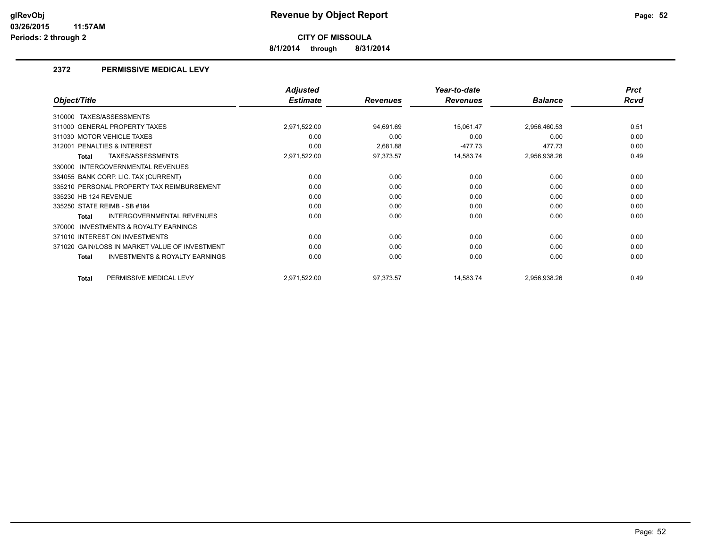**8/1/2014 through 8/31/2014**

## **2372 PERMISSIVE MEDICAL LEVY**

|                                                           | <b>Adjusted</b> |                 | Year-to-date    |                | <b>Prct</b> |
|-----------------------------------------------------------|-----------------|-----------------|-----------------|----------------|-------------|
| Object/Title                                              | <b>Estimate</b> | <b>Revenues</b> | <b>Revenues</b> | <b>Balance</b> | <b>Rcvd</b> |
| TAXES/ASSESSMENTS<br>310000                               |                 |                 |                 |                |             |
| 311000 GENERAL PROPERTY TAXES                             | 2,971,522.00    | 94,691.69       | 15,061.47       | 2,956,460.53   | 0.51        |
| 311030 MOTOR VEHICLE TAXES                                | 0.00            | 0.00            | 0.00            | 0.00           | 0.00        |
| 312001 PENALTIES & INTEREST                               | 0.00            | 2,681.88        | $-477.73$       | 477.73         | 0.00        |
| TAXES/ASSESSMENTS<br>Total                                | 2,971,522.00    | 97,373.57       | 14,583.74       | 2,956,938.26   | 0.49        |
| INTERGOVERNMENTAL REVENUES<br>330000                      |                 |                 |                 |                |             |
| 334055 BANK CORP. LIC. TAX (CURRENT)                      | 0.00            | 0.00            | 0.00            | 0.00           | 0.00        |
| 335210 PERSONAL PROPERTY TAX REIMBURSEMENT                | 0.00            | 0.00            | 0.00            | 0.00           | 0.00        |
| 335230 HB 124 REVENUE                                     | 0.00            | 0.00            | 0.00            | 0.00           | 0.00        |
| 335250 STATE REIMB - SB #184                              | 0.00            | 0.00            | 0.00            | 0.00           | 0.00        |
| INTERGOVERNMENTAL REVENUES<br>Total                       | 0.00            | 0.00            | 0.00            | 0.00           | 0.00        |
| <b>INVESTMENTS &amp; ROYALTY EARNINGS</b><br>370000       |                 |                 |                 |                |             |
| 371010 INTEREST ON INVESTMENTS                            | 0.00            | 0.00            | 0.00            | 0.00           | 0.00        |
| 371020 GAIN/LOSS IN MARKET VALUE OF INVESTMENT            | 0.00            | 0.00            | 0.00            | 0.00           | 0.00        |
| <b>INVESTMENTS &amp; ROYALTY EARNINGS</b><br><b>Total</b> | 0.00            | 0.00            | 0.00            | 0.00           | 0.00        |
| PERMISSIVE MEDICAL LEVY<br><b>Total</b>                   | 2,971,522.00    | 97,373.57       | 14,583.74       | 2,956,938.26   | 0.49        |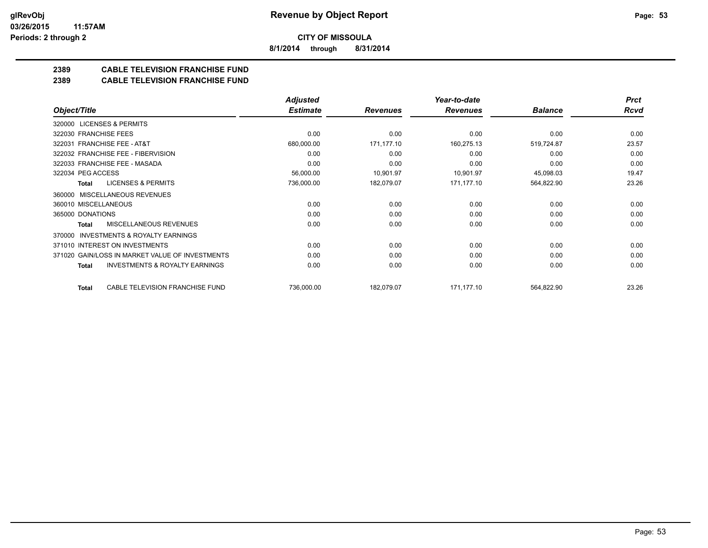**8/1/2014 through 8/31/2014**

## **2389 CABLE TELEVISION FRANCHISE FUND**

#### **2389 CABLE TELEVISION FRANCHISE FUND**

|                                                     | <b>Adjusted</b> |                 | Year-to-date    |                | <b>Prct</b> |
|-----------------------------------------------------|-----------------|-----------------|-----------------|----------------|-------------|
| Object/Title                                        | <b>Estimate</b> | <b>Revenues</b> | <b>Revenues</b> | <b>Balance</b> | Rcvd        |
| 320000 LICENSES & PERMITS                           |                 |                 |                 |                |             |
| 322030 FRANCHISE FEES                               | 0.00            | 0.00            | 0.00            | 0.00           | 0.00        |
| <b>FRANCHISE FEE - AT&amp;T</b><br>322031           | 680,000.00      | 171,177.10      | 160,275.13      | 519,724.87     | 23.57       |
| 322032 FRANCHISE FEE - FIBERVISION                  | 0.00            | 0.00            | 0.00            | 0.00           | 0.00        |
| 322033 FRANCHISE FEE - MASADA                       | 0.00            | 0.00            | 0.00            | 0.00           | 0.00        |
| 322034 PEG ACCESS                                   | 56,000.00       | 10,901.97       | 10,901.97       | 45,098.03      | 19.47       |
| <b>LICENSES &amp; PERMITS</b><br>Total              | 736,000.00      | 182,079.07      | 171,177.10      | 564,822.90     | 23.26       |
| 360000 MISCELLANEOUS REVENUES                       |                 |                 |                 |                |             |
| 360010 MISCELLANEOUS                                | 0.00            | 0.00            | 0.00            | 0.00           | 0.00        |
| 365000 DONATIONS                                    | 0.00            | 0.00            | 0.00            | 0.00           | 0.00        |
| <b>MISCELLANEOUS REVENUES</b><br>Total              | 0.00            | 0.00            | 0.00            | 0.00           | 0.00        |
| <b>INVESTMENTS &amp; ROYALTY EARNINGS</b><br>370000 |                 |                 |                 |                |             |
| 371010 INTEREST ON INVESTMENTS                      | 0.00            | 0.00            | 0.00            | 0.00           | 0.00        |
| 371020 GAIN/LOSS IN MARKET VALUE OF INVESTMENTS     | 0.00            | 0.00            | 0.00            | 0.00           | 0.00        |
| <b>INVESTMENTS &amp; ROYALTY EARNINGS</b><br>Total  | 0.00            | 0.00            | 0.00            | 0.00           | 0.00        |
| CABLE TELEVISION FRANCHISE FUND<br>Total            | 736,000.00      | 182,079.07      | 171,177.10      | 564,822.90     | 23.26       |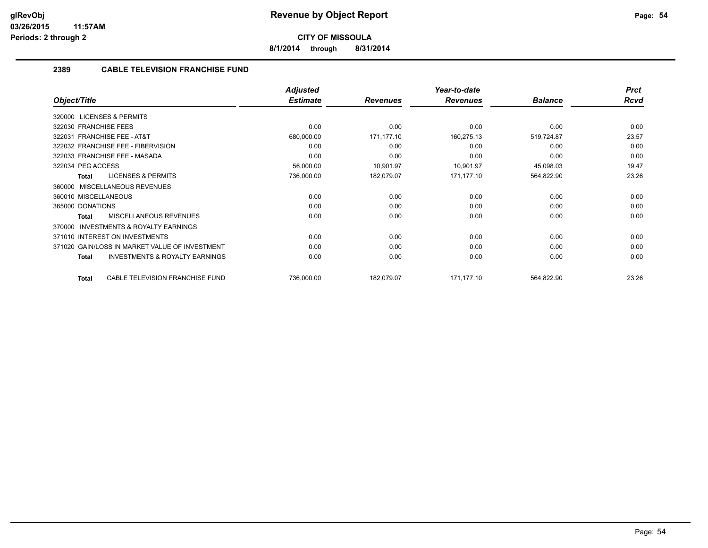**8/1/2014 through 8/31/2014**

## **2389 CABLE TELEVISION FRANCHISE FUND**

|                                                           | <b>Adjusted</b> |                 | Year-to-date    |                | <b>Prct</b> |
|-----------------------------------------------------------|-----------------|-----------------|-----------------|----------------|-------------|
| Object/Title                                              | <b>Estimate</b> | <b>Revenues</b> | <b>Revenues</b> | <b>Balance</b> | Rcvd        |
| 320000 LICENSES & PERMITS                                 |                 |                 |                 |                |             |
| 322030 FRANCHISE FEES                                     | 0.00            | 0.00            | 0.00            | 0.00           | 0.00        |
| 322031 FRANCHISE FEE - AT&T                               | 680,000.00      | 171,177.10      | 160,275.13      | 519,724.87     | 23.57       |
| 322032 FRANCHISE FEE - FIBERVISION                        | 0.00            | 0.00            | 0.00            | 0.00           | 0.00        |
| 322033 FRANCHISE FEE - MASADA                             | 0.00            | 0.00            | 0.00            | 0.00           | 0.00        |
| 322034 PEG ACCESS                                         | 56,000.00       | 10,901.97       | 10,901.97       | 45,098.03      | 19.47       |
| <b>LICENSES &amp; PERMITS</b><br><b>Total</b>             | 736,000.00      | 182,079.07      | 171,177.10      | 564,822.90     | 23.26       |
| MISCELLANEOUS REVENUES<br>360000                          |                 |                 |                 |                |             |
| 360010 MISCELLANEOUS                                      | 0.00            | 0.00            | 0.00            | 0.00           | 0.00        |
| 365000 DONATIONS                                          | 0.00            | 0.00            | 0.00            | 0.00           | 0.00        |
| MISCELLANEOUS REVENUES<br><b>Total</b>                    | 0.00            | 0.00            | 0.00            | 0.00           | 0.00        |
| <b>INVESTMENTS &amp; ROYALTY EARNINGS</b><br>370000       |                 |                 |                 |                |             |
| 371010 INTEREST ON INVESTMENTS                            | 0.00            | 0.00            | 0.00            | 0.00           | 0.00        |
| 371020 GAIN/LOSS IN MARKET VALUE OF INVESTMENT            | 0.00            | 0.00            | 0.00            | 0.00           | 0.00        |
| <b>INVESTMENTS &amp; ROYALTY EARNINGS</b><br><b>Total</b> | 0.00            | 0.00            | 0.00            | 0.00           | 0.00        |
| CABLE TELEVISION FRANCHISE FUND<br><b>Total</b>           | 736,000.00      | 182,079.07      | 171,177.10      | 564,822.90     | 23.26       |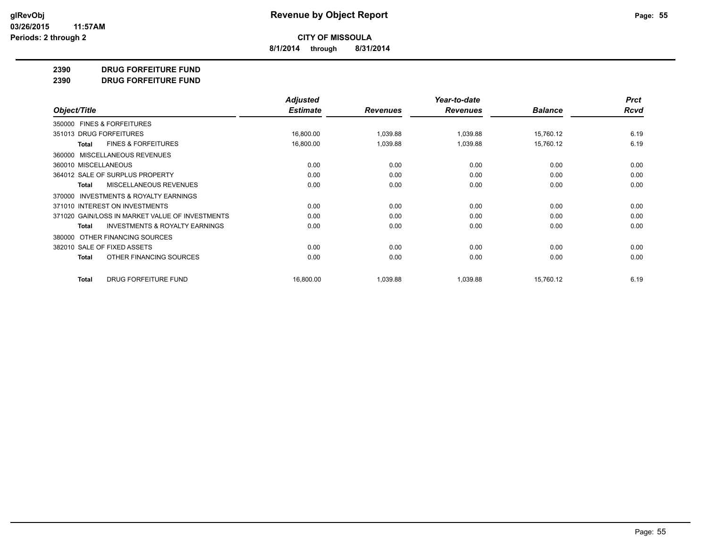**8/1/2014 through 8/31/2014**

#### **2390 DRUG FORFEITURE FUND**

**2390 DRUG FORFEITURE FUND**

|                                                    | <b>Adjusted</b> |                 | Year-to-date    |                | <b>Prct</b> |
|----------------------------------------------------|-----------------|-----------------|-----------------|----------------|-------------|
| Object/Title                                       | <b>Estimate</b> | <b>Revenues</b> | <b>Revenues</b> | <b>Balance</b> | <b>Rcvd</b> |
| 350000 FINES & FORFEITURES                         |                 |                 |                 |                |             |
| 351013 DRUG FORFEITURES                            | 16,800.00       | 1,039.88        | 1,039.88        | 15,760.12      | 6.19        |
| <b>FINES &amp; FORFEITURES</b><br>Total            | 16,800.00       | 1,039.88        | 1,039.88        | 15,760.12      | 6.19        |
| 360000 MISCELLANEOUS REVENUES                      |                 |                 |                 |                |             |
| 360010 MISCELLANEOUS                               | 0.00            | 0.00            | 0.00            | 0.00           | 0.00        |
| 364012 SALE OF SURPLUS PROPERTY                    | 0.00            | 0.00            | 0.00            | 0.00           | 0.00        |
| <b>MISCELLANEOUS REVENUES</b><br>Total             | 0.00            | 0.00            | 0.00            | 0.00           | 0.00        |
| 370000 INVESTMENTS & ROYALTY EARNINGS              |                 |                 |                 |                |             |
| 371010 INTEREST ON INVESTMENTS                     | 0.00            | 0.00            | 0.00            | 0.00           | 0.00        |
| 371020 GAIN/LOSS IN MARKET VALUE OF INVESTMENTS    | 0.00            | 0.00            | 0.00            | 0.00           | 0.00        |
| <b>INVESTMENTS &amp; ROYALTY EARNINGS</b><br>Total | 0.00            | 0.00            | 0.00            | 0.00           | 0.00        |
| OTHER FINANCING SOURCES<br>380000                  |                 |                 |                 |                |             |
| 382010 SALE OF FIXED ASSETS                        | 0.00            | 0.00            | 0.00            | 0.00           | 0.00        |
| OTHER FINANCING SOURCES<br>Total                   | 0.00            | 0.00            | 0.00            | 0.00           | 0.00        |
| <b>DRUG FORFEITURE FUND</b><br><b>Total</b>        | 16,800.00       | 1,039.88        | 1,039.88        | 15,760.12      | 6.19        |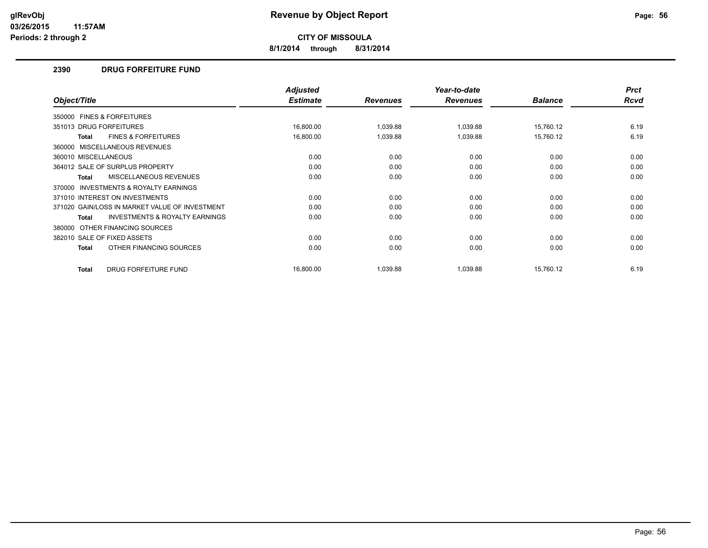**8/1/2014 through 8/31/2014**

## **2390 DRUG FORFEITURE FUND**

|                                                     | <b>Adjusted</b> |                 | Year-to-date    |                | <b>Prct</b> |
|-----------------------------------------------------|-----------------|-----------------|-----------------|----------------|-------------|
| Object/Title                                        | <b>Estimate</b> | <b>Revenues</b> | <b>Revenues</b> | <b>Balance</b> | <b>Rcvd</b> |
| 350000 FINES & FORFEITURES                          |                 |                 |                 |                |             |
| 351013 DRUG FORFEITURES                             | 16,800.00       | 1,039.88        | 1,039.88        | 15,760.12      | 6.19        |
| <b>FINES &amp; FORFEITURES</b><br><b>Total</b>      | 16,800.00       | 1,039.88        | 1,039.88        | 15,760.12      | 6.19        |
| 360000 MISCELLANEOUS REVENUES                       |                 |                 |                 |                |             |
| 360010 MISCELLANEOUS                                | 0.00            | 0.00            | 0.00            | 0.00           | 0.00        |
| 364012 SALE OF SURPLUS PROPERTY                     | 0.00            | 0.00            | 0.00            | 0.00           | 0.00        |
| <b>MISCELLANEOUS REVENUES</b><br>Total              | 0.00            | 0.00            | 0.00            | 0.00           | 0.00        |
| <b>INVESTMENTS &amp; ROYALTY EARNINGS</b><br>370000 |                 |                 |                 |                |             |
| 371010 INTEREST ON INVESTMENTS                      | 0.00            | 0.00            | 0.00            | 0.00           | 0.00        |
| 371020 GAIN/LOSS IN MARKET VALUE OF INVESTMENT      | 0.00            | 0.00            | 0.00            | 0.00           | 0.00        |
| <b>INVESTMENTS &amp; ROYALTY EARNINGS</b><br>Total  | 0.00            | 0.00            | 0.00            | 0.00           | 0.00        |
| OTHER FINANCING SOURCES<br>380000                   |                 |                 |                 |                |             |
| 382010 SALE OF FIXED ASSETS                         | 0.00            | 0.00            | 0.00            | 0.00           | 0.00        |
| OTHER FINANCING SOURCES<br>Total                    | 0.00            | 0.00            | 0.00            | 0.00           | 0.00        |
| DRUG FORFEITURE FUND<br><b>Total</b>                | 16,800.00       | 1,039.88        | 1,039.88        | 15.760.12      | 6.19        |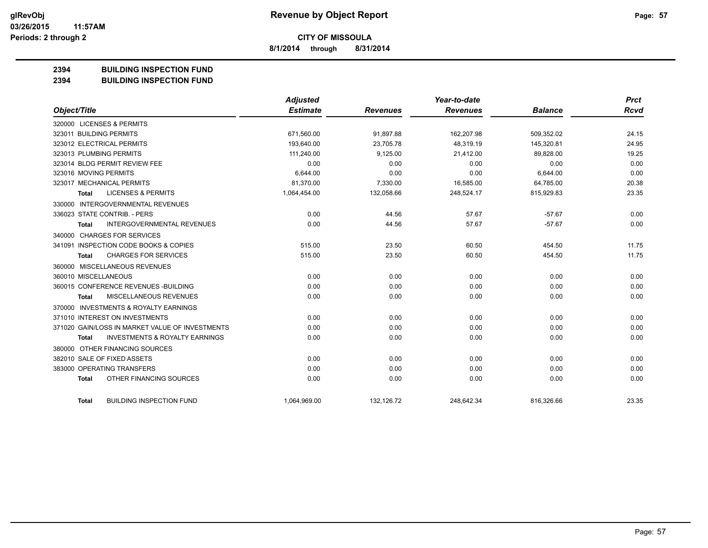**8/1/2014 through 8/31/2014**

## **2394 BUILDING INSPECTION FUND**

#### **2394 BUILDING INSPECTION FUND**

|                                                           | Adjusted        |                 | Year-to-date    |                | <b>Prct</b> |
|-----------------------------------------------------------|-----------------|-----------------|-----------------|----------------|-------------|
| Object/Title                                              | <b>Estimate</b> | <b>Revenues</b> | <b>Revenues</b> | <b>Balance</b> | Rcvd        |
| 320000 LICENSES & PERMITS                                 |                 |                 |                 |                |             |
| 323011 BUILDING PERMITS                                   | 671,560.00      | 91,897.88       | 162,207.98      | 509,352.02     | 24.15       |
| 323012 ELECTRICAL PERMITS                                 | 193,640.00      | 23,705.78       | 48,319.19       | 145,320.81     | 24.95       |
| 323013 PLUMBING PERMITS                                   | 111,240.00      | 9,125.00        | 21,412.00       | 89,828.00      | 19.25       |
| 323014 BLDG PERMIT REVIEW FEE                             | 0.00            | 0.00            | 0.00            | 0.00           | 0.00        |
| 323016 MOVING PERMITS                                     | 6,644.00        | 0.00            | 0.00            | 6,644.00       | 0.00        |
| 323017 MECHANICAL PERMITS                                 | 81,370.00       | 7,330.00        | 16,585.00       | 64,785.00      | 20.38       |
| <b>LICENSES &amp; PERMITS</b><br>Total                    | 1,064,454.00    | 132,058.66      | 248,524.17      | 815,929.83     | 23.35       |
| 330000 INTERGOVERNMENTAL REVENUES                         |                 |                 |                 |                |             |
| 336023 STATE CONTRIB. - PERS                              | 0.00            | 44.56           | 57.67           | $-57.67$       | 0.00        |
| <b>INTERGOVERNMENTAL REVENUES</b><br><b>Total</b>         | 0.00            | 44.56           | 57.67           | $-57.67$       | 0.00        |
| 340000 CHARGES FOR SERVICES                               |                 |                 |                 |                |             |
| 341091 INSPECTION CODE BOOKS & COPIES                     | 515.00          | 23.50           | 60.50           | 454.50         | 11.75       |
| <b>CHARGES FOR SERVICES</b><br>Total                      | 515.00          | 23.50           | 60.50           | 454.50         | 11.75       |
| 360000 MISCELLANEOUS REVENUES                             |                 |                 |                 |                |             |
| 360010 MISCELLANEOUS                                      | 0.00            | 0.00            | 0.00            | 0.00           | 0.00        |
| 360015 CONFERENCE REVENUES - BUILDING                     | 0.00            | 0.00            | 0.00            | 0.00           | 0.00        |
| MISCELLANEOUS REVENUES<br><b>Total</b>                    | 0.00            | 0.00            | 0.00            | 0.00           | 0.00        |
| 370000 INVESTMENTS & ROYALTY EARNINGS                     |                 |                 |                 |                |             |
| 371010 INTEREST ON INVESTMENTS                            | 0.00            | 0.00            | 0.00            | 0.00           | 0.00        |
| 371020 GAIN/LOSS IN MARKET VALUE OF INVESTMENTS           | 0.00            | 0.00            | 0.00            | 0.00           | 0.00        |
| <b>INVESTMENTS &amp; ROYALTY EARNINGS</b><br><b>Total</b> | 0.00            | 0.00            | 0.00            | 0.00           | 0.00        |
| 380000 OTHER FINANCING SOURCES                            |                 |                 |                 |                |             |
| 382010 SALE OF FIXED ASSETS                               | 0.00            | 0.00            | 0.00            | 0.00           | 0.00        |
| 383000 OPERATING TRANSFERS                                | 0.00            | 0.00            | 0.00            | 0.00           | 0.00        |
| OTHER FINANCING SOURCES<br><b>Total</b>                   | 0.00            | 0.00            | 0.00            | 0.00           | 0.00        |
| <b>BUILDING INSPECTION FUND</b><br><b>Total</b>           | 1,064,969.00    | 132,126.72      | 248,642.34      | 816,326.66     | 23.35       |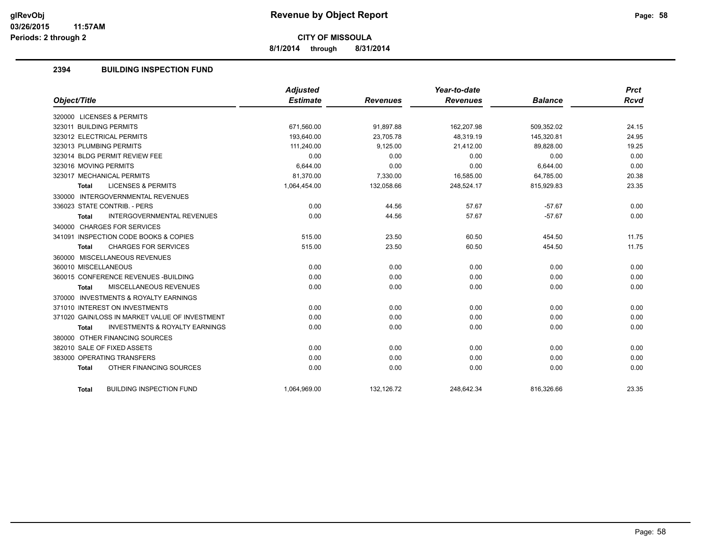**8/1/2014 through 8/31/2014**

## **2394 BUILDING INSPECTION FUND**

| Object/Title                                              | <b>Adjusted</b><br><b>Estimate</b> | <b>Revenues</b> | Year-to-date<br><b>Revenues</b> | <b>Balance</b> | <b>Prct</b><br><b>Rcvd</b> |
|-----------------------------------------------------------|------------------------------------|-----------------|---------------------------------|----------------|----------------------------|
|                                                           |                                    |                 |                                 |                |                            |
| 320000 LICENSES & PERMITS                                 |                                    |                 |                                 |                |                            |
| 323011 BUILDING PERMITS                                   | 671,560.00                         | 91,897.88       | 162,207.98                      | 509,352.02     | 24.15                      |
| 323012 ELECTRICAL PERMITS                                 | 193.640.00                         | 23.705.78       | 48.319.19                       | 145.320.81     | 24.95                      |
| 323013 PLUMBING PERMITS                                   | 111,240.00                         | 9,125.00        | 21,412.00                       | 89,828.00      | 19.25                      |
| 323014 BLDG PERMIT REVIEW FEE                             | 0.00                               | 0.00            | 0.00                            | 0.00           | 0.00                       |
| 323016 MOVING PERMITS                                     | 6,644.00                           | 0.00            | 0.00                            | 6.644.00       | 0.00                       |
| 323017 MECHANICAL PERMITS                                 | 81,370.00                          | 7,330.00        | 16,585.00                       | 64,785.00      | 20.38                      |
| <b>LICENSES &amp; PERMITS</b><br><b>Total</b>             | 1,064,454.00                       | 132,058.66      | 248,524.17                      | 815,929.83     | 23.35                      |
| 330000 INTERGOVERNMENTAL REVENUES                         |                                    |                 |                                 |                |                            |
| 336023 STATE CONTRIB. - PERS                              | 0.00                               | 44.56           | 57.67                           | $-57.67$       | 0.00                       |
| <b>INTERGOVERNMENTAL REVENUES</b><br><b>Total</b>         | 0.00                               | 44.56           | 57.67                           | $-57.67$       | 0.00                       |
| 340000 CHARGES FOR SERVICES                               |                                    |                 |                                 |                |                            |
| 341091 INSPECTION CODE BOOKS & COPIES                     | 515.00                             | 23.50           | 60.50                           | 454.50         | 11.75                      |
| <b>CHARGES FOR SERVICES</b><br><b>Total</b>               | 515.00                             | 23.50           | 60.50                           | 454.50         | 11.75                      |
| 360000 MISCELLANEOUS REVENUES                             |                                    |                 |                                 |                |                            |
| 360010 MISCELLANEOUS                                      | 0.00                               | 0.00            | 0.00                            | 0.00           | 0.00                       |
| 360015 CONFERENCE REVENUES - BUILDING                     | 0.00                               | 0.00            | 0.00                            | 0.00           | 0.00                       |
| MISCELLANEOUS REVENUES<br><b>Total</b>                    | 0.00                               | 0.00            | 0.00                            | 0.00           | 0.00                       |
| 370000 INVESTMENTS & ROYALTY EARNINGS                     |                                    |                 |                                 |                |                            |
| 371010 INTEREST ON INVESTMENTS                            | 0.00                               | 0.00            | 0.00                            | 0.00           | 0.00                       |
| 371020 GAIN/LOSS IN MARKET VALUE OF INVESTMENT            | 0.00                               | 0.00            | 0.00                            | 0.00           | 0.00                       |
| <b>INVESTMENTS &amp; ROYALTY EARNINGS</b><br><b>Total</b> | 0.00                               | 0.00            | 0.00                            | 0.00           | 0.00                       |
| 380000 OTHER FINANCING SOURCES                            |                                    |                 |                                 |                |                            |
| 382010 SALE OF FIXED ASSETS                               | 0.00                               | 0.00            | 0.00                            | 0.00           | 0.00                       |
| 383000 OPERATING TRANSFERS                                | 0.00                               | 0.00            | 0.00                            | 0.00           | 0.00                       |
| OTHER FINANCING SOURCES<br><b>Total</b>                   | 0.00                               | 0.00            | 0.00                            | 0.00           | 0.00                       |
| <b>BUILDING INSPECTION FUND</b><br><b>Total</b>           | 1,064,969.00                       | 132,126.72      | 248,642.34                      | 816,326.66     | 23.35                      |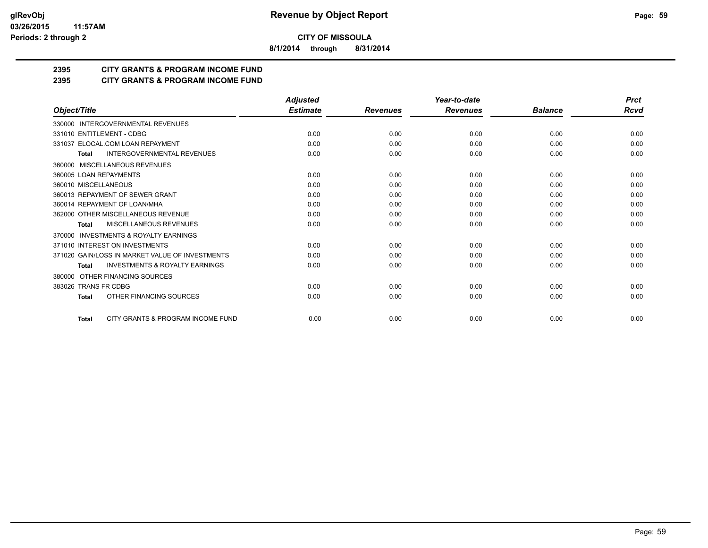**8/1/2014 through 8/31/2014**

## **2395 CITY GRANTS & PROGRAM INCOME FUND**

## **2395 CITY GRANTS & PROGRAM INCOME FUND**

|                                                           | <b>Adjusted</b> |                 | Year-to-date    |                | <b>Prct</b> |
|-----------------------------------------------------------|-----------------|-----------------|-----------------|----------------|-------------|
| Object/Title                                              | <b>Estimate</b> | <b>Revenues</b> | <b>Revenues</b> | <b>Balance</b> | Rcvd        |
| 330000 INTERGOVERNMENTAL REVENUES                         |                 |                 |                 |                |             |
| 331010 ENTITLEMENT - CDBG                                 | 0.00            | 0.00            | 0.00            | 0.00           | 0.00        |
| 331037 ELOCAL.COM LOAN REPAYMENT                          | 0.00            | 0.00            | 0.00            | 0.00           | 0.00        |
| <b>INTERGOVERNMENTAL REVENUES</b><br><b>Total</b>         | 0.00            | 0.00            | 0.00            | 0.00           | 0.00        |
| MISCELLANEOUS REVENUES<br>360000                          |                 |                 |                 |                |             |
| 360005 LOAN REPAYMENTS                                    | 0.00            | 0.00            | 0.00            | 0.00           | 0.00        |
| 360010 MISCELLANEOUS                                      | 0.00            | 0.00            | 0.00            | 0.00           | 0.00        |
| 360013 REPAYMENT OF SEWER GRANT                           | 0.00            | 0.00            | 0.00            | 0.00           | 0.00        |
| 360014 REPAYMENT OF LOAN/MHA                              | 0.00            | 0.00            | 0.00            | 0.00           | 0.00        |
| 362000 OTHER MISCELLANEOUS REVENUE                        | 0.00            | 0.00            | 0.00            | 0.00           | 0.00        |
| <b>MISCELLANEOUS REVENUES</b><br><b>Total</b>             | 0.00            | 0.00            | 0.00            | 0.00           | 0.00        |
| <b>INVESTMENTS &amp; ROYALTY EARNINGS</b><br>370000       |                 |                 |                 |                |             |
| 371010 INTEREST ON INVESTMENTS                            | 0.00            | 0.00            | 0.00            | 0.00           | 0.00        |
| 371020 GAIN/LOSS IN MARKET VALUE OF INVESTMENTS           | 0.00            | 0.00            | 0.00            | 0.00           | 0.00        |
| <b>INVESTMENTS &amp; ROYALTY EARNINGS</b><br><b>Total</b> | 0.00            | 0.00            | 0.00            | 0.00           | 0.00        |
| OTHER FINANCING SOURCES<br>380000                         |                 |                 |                 |                |             |
| 383026 TRANS FR CDBG                                      | 0.00            | 0.00            | 0.00            | 0.00           | 0.00        |
| OTHER FINANCING SOURCES<br><b>Total</b>                   | 0.00            | 0.00            | 0.00            | 0.00           | 0.00        |
| CITY GRANTS & PROGRAM INCOME FUND<br><b>Total</b>         | 0.00            | 0.00            | 0.00            | 0.00           | 0.00        |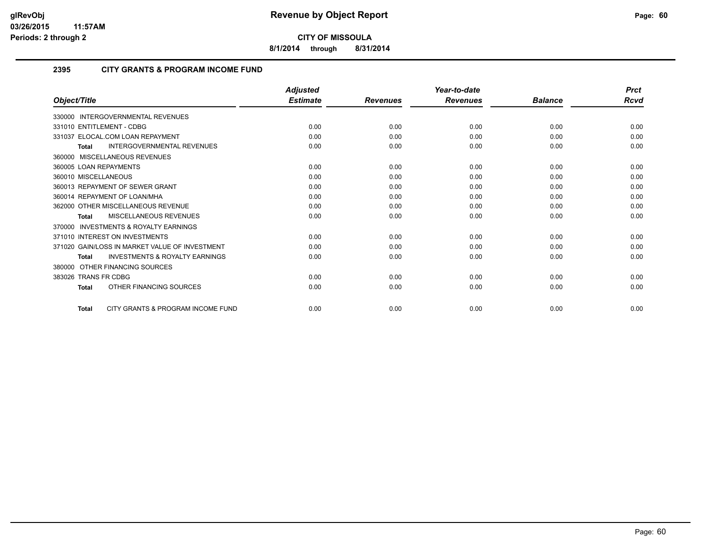**8/1/2014 through 8/31/2014**

## **2395 CITY GRANTS & PROGRAM INCOME FUND**

|                        |                                                | <b>Adjusted</b> |                 | Year-to-date    |                | <b>Prct</b> |
|------------------------|------------------------------------------------|-----------------|-----------------|-----------------|----------------|-------------|
| Object/Title           |                                                | <b>Estimate</b> | <b>Revenues</b> | <b>Revenues</b> | <b>Balance</b> | Rcvd        |
| 330000                 | <b>INTERGOVERNMENTAL REVENUES</b>              |                 |                 |                 |                |             |
|                        | 331010 ENTITLEMENT - CDBG                      | 0.00            | 0.00            | 0.00            | 0.00           | 0.00        |
|                        | 331037 ELOCAL.COM LOAN REPAYMENT               | 0.00            | 0.00            | 0.00            | 0.00           | 0.00        |
| <b>Total</b>           | <b>INTERGOVERNMENTAL REVENUES</b>              | 0.00            | 0.00            | 0.00            | 0.00           | 0.00        |
|                        | 360000 MISCELLANEOUS REVENUES                  |                 |                 |                 |                |             |
| 360005 LOAN REPAYMENTS |                                                | 0.00            | 0.00            | 0.00            | 0.00           | 0.00        |
| 360010 MISCELLANEOUS   |                                                | 0.00            | 0.00            | 0.00            | 0.00           | 0.00        |
|                        | 360013 REPAYMENT OF SEWER GRANT                | 0.00            | 0.00            | 0.00            | 0.00           | 0.00        |
|                        | 360014 REPAYMENT OF LOAN/MHA                   | 0.00            | 0.00            | 0.00            | 0.00           | 0.00        |
|                        | 362000 OTHER MISCELLANEOUS REVENUE             | 0.00            | 0.00            | 0.00            | 0.00           | 0.00        |
| Total                  | <b>MISCELLANEOUS REVENUES</b>                  | 0.00            | 0.00            | 0.00            | 0.00           | 0.00        |
| 370000                 | <b>INVESTMENTS &amp; ROYALTY EARNINGS</b>      |                 |                 |                 |                |             |
|                        | 371010 INTEREST ON INVESTMENTS                 | 0.00            | 0.00            | 0.00            | 0.00           | 0.00        |
|                        | 371020 GAIN/LOSS IN MARKET VALUE OF INVESTMENT | 0.00            | 0.00            | 0.00            | 0.00           | 0.00        |
| <b>Total</b>           | <b>INVESTMENTS &amp; ROYALTY EARNINGS</b>      | 0.00            | 0.00            | 0.00            | 0.00           | 0.00        |
| 380000                 | OTHER FINANCING SOURCES                        |                 |                 |                 |                |             |
| 383026 TRANS FR CDBG   |                                                | 0.00            | 0.00            | 0.00            | 0.00           | 0.00        |
| <b>Total</b>           | OTHER FINANCING SOURCES                        | 0.00            | 0.00            | 0.00            | 0.00           | 0.00        |
| <b>Total</b>           | CITY GRANTS & PROGRAM INCOME FUND              | 0.00            | 0.00            | 0.00            | 0.00           | 0.00        |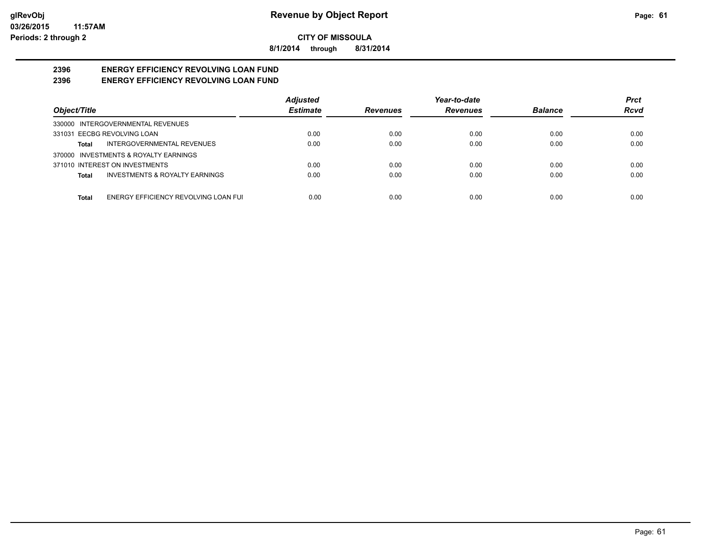**8/1/2014 through 8/31/2014**

#### **2396 ENERGY EFFICIENCY REVOLVING LOAN FUND 2396 ENERGY EFFICIENCY REVOLVING LOAN FUND**

|                                               | <b>Adjusted</b> |                 | Year-to-date    |                | <b>Prct</b> |
|-----------------------------------------------|-----------------|-----------------|-----------------|----------------|-------------|
| Object/Title                                  | <b>Estimate</b> | <b>Revenues</b> | <b>Revenues</b> | <b>Balance</b> | <b>Rcvd</b> |
| 330000 INTERGOVERNMENTAL REVENUES             |                 |                 |                 |                |             |
| 331031 EECBG REVOLVING LOAN                   | 0.00            | 0.00            | 0.00            | 0.00           | 0.00        |
| INTERGOVERNMENTAL REVENUES<br>Total           | 0.00            | 0.00            | 0.00            | 0.00           | 0.00        |
| 370000 INVESTMENTS & ROYALTY EARNINGS         |                 |                 |                 |                |             |
| 371010 INTEREST ON INVESTMENTS                | 0.00            | 0.00            | 0.00            | 0.00           | 0.00        |
| INVESTMENTS & ROYALTY EARNINGS<br>Total       | 0.00            | 0.00            | 0.00            | 0.00           | 0.00        |
|                                               |                 |                 |                 |                |             |
| ENERGY EFFICIENCY REVOLVING LOAN FUI<br>Total | 0.00            | 0.00            | 0.00            | 0.00           | 0.00        |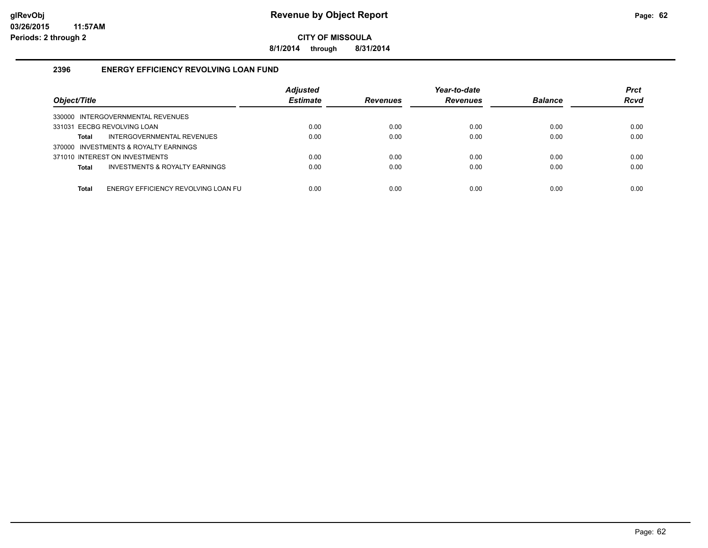**8/1/2014 through 8/31/2014**

## **2396 ENERGY EFFICIENCY REVOLVING LOAN FUND**

| Object/Title                                   | <b>Adjusted</b><br><b>Estimate</b> | <b>Revenues</b> | Year-to-date<br><b>Revenues</b> | <b>Balance</b> | <b>Prct</b><br><b>Rcvd</b> |
|------------------------------------------------|------------------------------------|-----------------|---------------------------------|----------------|----------------------------|
| INTERGOVERNMENTAL REVENUES<br>330000           |                                    |                 |                                 |                |                            |
| 331031 EECBG REVOLVING LOAN                    | 0.00                               | 0.00            | 0.00                            | 0.00           | 0.00                       |
| INTERGOVERNMENTAL REVENUES<br>Total            | 0.00                               | 0.00            | 0.00                            | 0.00           | 0.00                       |
| 370000 INVESTMENTS & ROYALTY EARNINGS          |                                    |                 |                                 |                |                            |
| 371010 INTEREST ON INVESTMENTS                 | 0.00                               | 0.00            | 0.00                            | 0.00           | 0.00                       |
| INVESTMENTS & ROYALTY EARNINGS<br><b>Total</b> | 0.00                               | 0.00            | 0.00                            | 0.00           | 0.00                       |
|                                                |                                    |                 |                                 |                |                            |
| ENERGY EFFICIENCY REVOLVING LOAN FU<br>Total   | 0.00                               | 0.00            | 0.00                            | 0.00           | 0.00                       |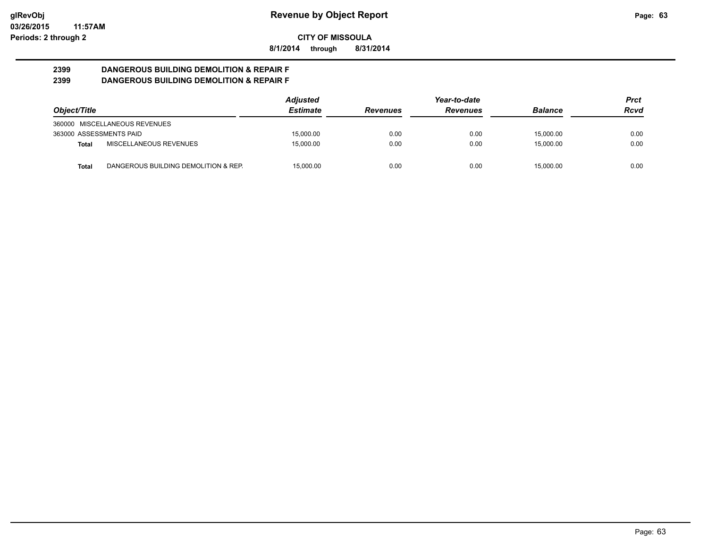**8/1/2014 through 8/31/2014**

#### **2399 DANGEROUS BUILDING DEMOLITION & REPAIR F 2399 DANGEROUS BUILDING DEMOLITION & REPAIR F**

|                         |                                      | <b>Adjusted</b> |                 | Year-to-date    |                | Prct |
|-------------------------|--------------------------------------|-----------------|-----------------|-----------------|----------------|------|
| Object/Title            |                                      | <b>Estimate</b> | <b>Revenues</b> | <b>Revenues</b> | <b>Balance</b> | Rcvd |
|                         | 360000 MISCELLANEOUS REVENUES        |                 |                 |                 |                |      |
| 363000 ASSESSMENTS PAID |                                      | 15.000.00       | 0.00            | 0.00            | 15.000.00      | 0.00 |
| Total                   | MISCELLANEOUS REVENUES               | 15.000.00       | 0.00            | 0.00            | 15.000.00      | 0.00 |
| Total                   | DANGEROUS BUILDING DEMOLITION & REP. | 15.000.00       | 0.00            | 0.00            | 15.000.00      | 0.00 |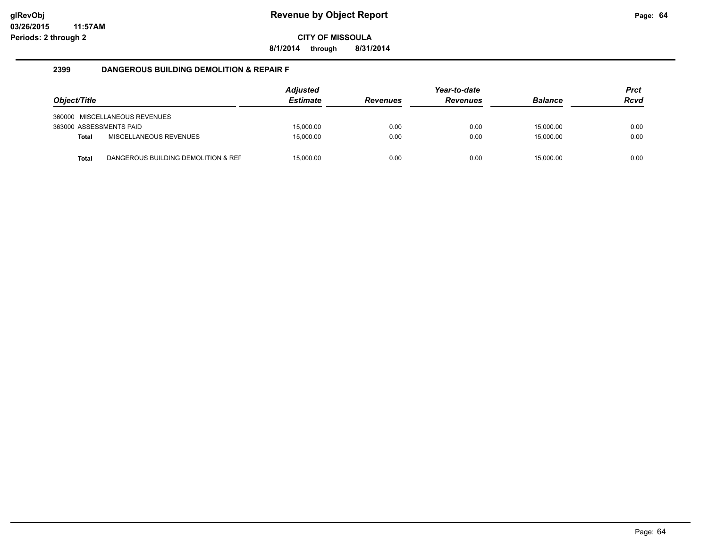**8/1/2014 through 8/31/2014**

#### **2399 DANGEROUS BUILDING DEMOLITION & REPAIR F**

| Object/Title            |                                     | Adjusted<br><b>Estimate</b> | <b>Revenues</b> | Year-to-date<br><b>Revenues</b> | <b>Balance</b> | <b>Prct</b><br><b>Rcvd</b> |
|-------------------------|-------------------------------------|-----------------------------|-----------------|---------------------------------|----------------|----------------------------|
|                         | 360000 MISCELLANEOUS REVENUES       |                             |                 |                                 |                |                            |
| 363000 ASSESSMENTS PAID |                                     | 15.000.00                   | 0.00            | 0.00                            | 15.000.00      | 0.00                       |
| <b>Total</b>            | <b>MISCELLANEOUS REVENUES</b>       | 15.000.00                   | 0.00            | 0.00                            | 15.000.00      | 0.00                       |
| Total                   | DANGEROUS BUILDING DEMOLITION & REF | 15,000.00                   | 0.00            | 0.00                            | 15,000.00      | 0.00                       |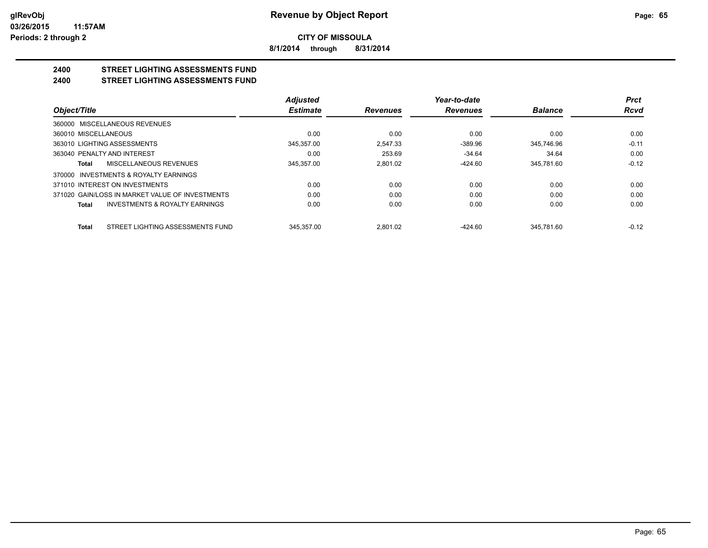**8/1/2014 through 8/31/2014**

#### **2400 STREET LIGHTING ASSESSMENTS FUND 2400 STREET LIGHTING ASSESSMENTS FUND**

|                                                    | <b>Adjusted</b> |                 | Year-to-date    |                | <b>Prct</b> |
|----------------------------------------------------|-----------------|-----------------|-----------------|----------------|-------------|
| Object/Title                                       | <b>Estimate</b> | <b>Revenues</b> | <b>Revenues</b> | <b>Balance</b> | Rcvd        |
| 360000 MISCELLANEOUS REVENUES                      |                 |                 |                 |                |             |
| 360010 MISCELLANEOUS                               | 0.00            | 0.00            | 0.00            | 0.00           | 0.00        |
| 363010 LIGHTING ASSESSMENTS                        | 345,357.00      | 2.547.33        | $-389.96$       | 345,746.96     | $-0.11$     |
| 363040 PENALTY AND INTEREST                        | 0.00            | 253.69          | $-34.64$        | 34.64          | 0.00        |
| <b>MISCELLANEOUS REVENUES</b><br>Total             | 345,357.00      | 2.801.02        | $-424.60$       | 345,781.60     | $-0.12$     |
| 370000 INVESTMENTS & ROYALTY EARNINGS              |                 |                 |                 |                |             |
| 371010 INTEREST ON INVESTMENTS                     | 0.00            | 0.00            | 0.00            | 0.00           | 0.00        |
| 371020 GAIN/LOSS IN MARKET VALUE OF INVESTMENTS    | 0.00            | 0.00            | 0.00            | 0.00           | 0.00        |
| <b>INVESTMENTS &amp; ROYALTY EARNINGS</b><br>Total | 0.00            | 0.00            | 0.00            | 0.00           | 0.00        |
| STREET LIGHTING ASSESSMENTS FUND<br><b>Total</b>   | 345.357.00      | 2.801.02        | $-424.60$       | 345.781.60     | $-0.12$     |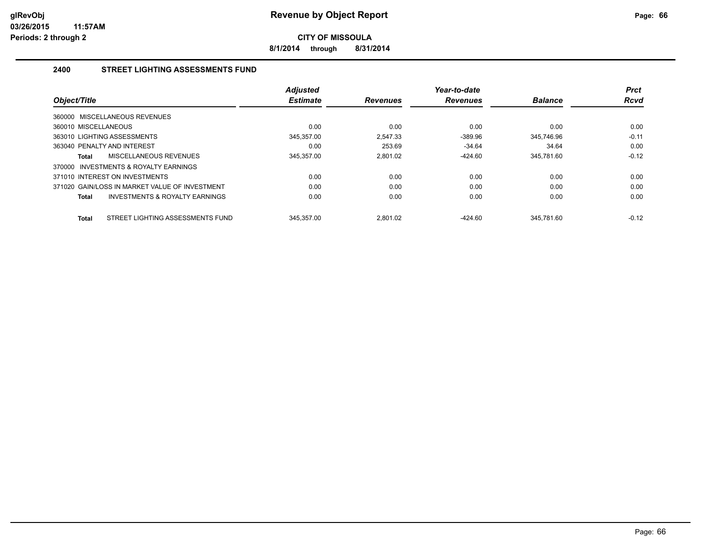**8/1/2014 through 8/31/2014**

## **2400 STREET LIGHTING ASSESSMENTS FUND**

| Object/Title                                     | <b>Adjusted</b><br><b>Estimate</b> | <b>Revenues</b> | Year-to-date<br><b>Revenues</b> | <b>Balance</b> | <b>Prct</b><br><b>Rcvd</b> |
|--------------------------------------------------|------------------------------------|-----------------|---------------------------------|----------------|----------------------------|
| 360000 MISCELLANEOUS REVENUES                    |                                    |                 |                                 |                |                            |
| 360010 MISCELLANEOUS                             | 0.00                               | 0.00            | 0.00                            | 0.00           | 0.00                       |
| 363010 LIGHTING ASSESSMENTS                      | 345,357.00                         | 2.547.33        | $-389.96$                       | 345.746.96     | $-0.11$                    |
| 363040 PENALTY AND INTEREST                      | 0.00                               | 253.69          | $-34.64$                        | 34.64          | 0.00                       |
| MISCELLANEOUS REVENUES<br>Total                  | 345,357.00                         | 2.801.02        | $-424.60$                       | 345,781.60     | $-0.12$                    |
| INVESTMENTS & ROYALTY EARNINGS<br>370000         |                                    |                 |                                 |                |                            |
| 371010 INTEREST ON INVESTMENTS                   | 0.00                               | 0.00            | 0.00                            | 0.00           | 0.00                       |
| 371020 GAIN/LOSS IN MARKET VALUE OF INVESTMENT   | 0.00                               | 0.00            | 0.00                            | 0.00           | 0.00                       |
| INVESTMENTS & ROYALTY EARNINGS<br>Total          | 0.00                               | 0.00            | 0.00                            | 0.00           | 0.00                       |
| STREET LIGHTING ASSESSMENTS FUND<br><b>Total</b> | 345.357.00                         | 2.801.02        | $-424.60$                       | 345.781.60     | $-0.12$                    |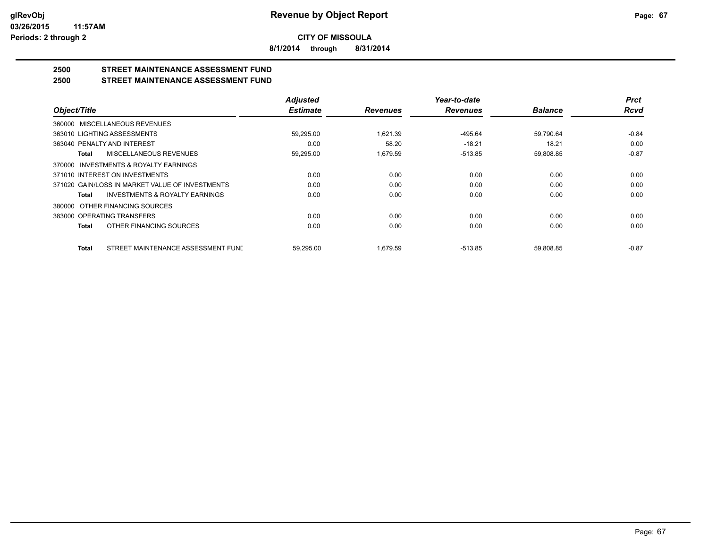**8/1/2014 through 8/31/2014**

## **2500 STREET MAINTENANCE ASSESSMENT FUND**

**2500 STREET MAINTENANCE ASSESSMENT FUND**

|                                                    | <b>Adjusted</b> |                 | Year-to-date    |                | <b>Prct</b> |
|----------------------------------------------------|-----------------|-----------------|-----------------|----------------|-------------|
| Object/Title                                       | <b>Estimate</b> | <b>Revenues</b> | <b>Revenues</b> | <b>Balance</b> | <b>Rcvd</b> |
| 360000 MISCELLANEOUS REVENUES                      |                 |                 |                 |                |             |
| 363010 LIGHTING ASSESSMENTS                        | 59,295.00       | 1.621.39        | $-495.64$       | 59,790.64      | $-0.84$     |
| 363040 PENALTY AND INTEREST                        | 0.00            | 58.20           | $-18.21$        | 18.21          | 0.00        |
| MISCELLANEOUS REVENUES<br>Total                    | 59,295.00       | 1,679.59        | $-513.85$       | 59,808.85      | $-0.87$     |
| 370000 INVESTMENTS & ROYALTY EARNINGS              |                 |                 |                 |                |             |
| 371010 INTEREST ON INVESTMENTS                     | 0.00            | 0.00            | 0.00            | 0.00           | 0.00        |
| 371020 GAIN/LOSS IN MARKET VALUE OF INVESTMENTS    | 0.00            | 0.00            | 0.00            | 0.00           | 0.00        |
| <b>INVESTMENTS &amp; ROYALTY EARNINGS</b><br>Total | 0.00            | 0.00            | 0.00            | 0.00           | 0.00        |
| 380000 OTHER FINANCING SOURCES                     |                 |                 |                 |                |             |
| 383000 OPERATING TRANSFERS                         | 0.00            | 0.00            | 0.00            | 0.00           | 0.00        |
| OTHER FINANCING SOURCES<br><b>Total</b>            | 0.00            | 0.00            | 0.00            | 0.00           | 0.00        |
| STREET MAINTENANCE ASSESSMENT FUNI<br><b>Total</b> | 59.295.00       | 1.679.59        | $-513.85$       | 59.808.85      | $-0.87$     |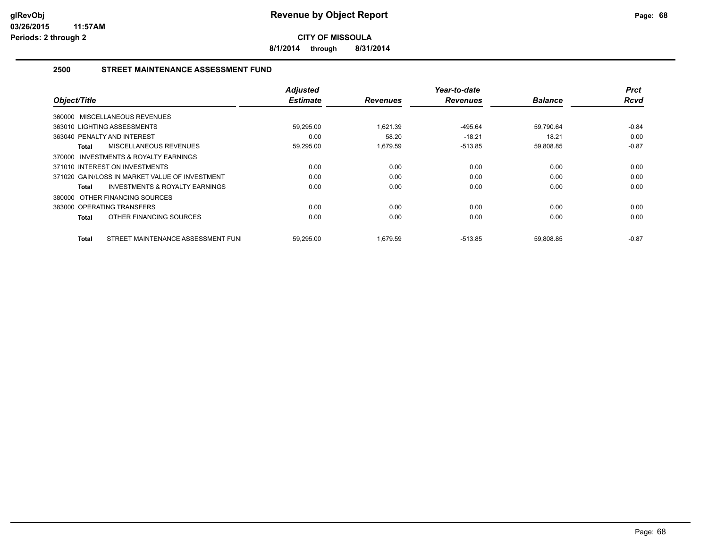**8/1/2014 through 8/31/2014**

## **2500 STREET MAINTENANCE ASSESSMENT FUND**

| Object/Title                                       | <b>Adjusted</b><br><b>Estimate</b> | <b>Revenues</b> | Year-to-date<br><b>Revenues</b> | <b>Balance</b> | <b>Prct</b><br><b>Rcvd</b> |
|----------------------------------------------------|------------------------------------|-----------------|---------------------------------|----------------|----------------------------|
| 360000 MISCELLANEOUS REVENUES                      |                                    |                 |                                 |                |                            |
| 363010 LIGHTING ASSESSMENTS                        | 59,295.00                          | 1.621.39        | -495.64                         | 59,790.64      | $-0.84$                    |
| 363040 PENALTY AND INTEREST                        | 0.00                               | 58.20           | $-18.21$                        | 18.21          | 0.00                       |
| MISCELLANEOUS REVENUES<br>Total                    | 59,295.00                          | 1.679.59        | $-513.85$                       | 59,808.85      | $-0.87$                    |
| 370000 INVESTMENTS & ROYALTY EARNINGS              |                                    |                 |                                 |                |                            |
| 371010 INTEREST ON INVESTMENTS                     | 0.00                               | 0.00            | 0.00                            | 0.00           | 0.00                       |
| 371020 GAIN/LOSS IN MARKET VALUE OF INVESTMENT     | 0.00                               | 0.00            | 0.00                            | 0.00           | 0.00                       |
| <b>INVESTMENTS &amp; ROYALTY EARNINGS</b><br>Total | 0.00                               | 0.00            | 0.00                            | 0.00           | 0.00                       |
| 380000 OTHER FINANCING SOURCES                     |                                    |                 |                                 |                |                            |
| 383000 OPERATING TRANSFERS                         | 0.00                               | 0.00            | 0.00                            | 0.00           | 0.00                       |
| OTHER FINANCING SOURCES<br>Total                   | 0.00                               | 0.00            | 0.00                            | 0.00           | 0.00                       |
| STREET MAINTENANCE ASSESSMENT FUNI<br>Total        | 59,295.00                          | 1,679.59        | $-513.85$                       | 59,808.85      | $-0.87$                    |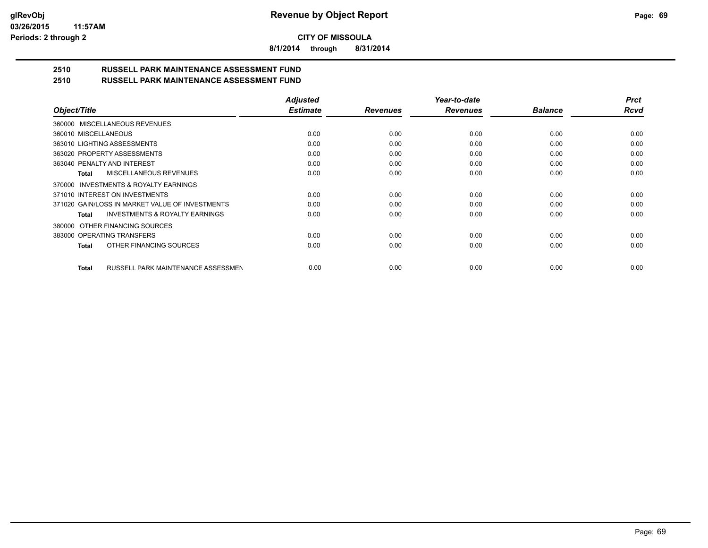**8/1/2014 through 8/31/2014**

# **2510 RUSSELL PARK MAINTENANCE ASSESSMENT FUND**

| 2510 | <b>RUSSELL PARK MAINTENANCE ASSESSMENT FUND</b> |  |
|------|-------------------------------------------------|--|
|      |                                                 |  |

|                                                    | <b>Adjusted</b> |                 | Year-to-date    |                | <b>Prct</b> |
|----------------------------------------------------|-----------------|-----------------|-----------------|----------------|-------------|
| Object/Title                                       | <b>Estimate</b> | <b>Revenues</b> | <b>Revenues</b> | <b>Balance</b> | <b>Rcvd</b> |
| 360000 MISCELLANEOUS REVENUES                      |                 |                 |                 |                |             |
| 360010 MISCELLANEOUS                               | 0.00            | 0.00            | 0.00            | 0.00           | 0.00        |
| 363010 LIGHTING ASSESSMENTS                        | 0.00            | 0.00            | 0.00            | 0.00           | 0.00        |
| 363020 PROPERTY ASSESSMENTS                        | 0.00            | 0.00            | 0.00            | 0.00           | 0.00        |
| 363040 PENALTY AND INTEREST                        | 0.00            | 0.00            | 0.00            | 0.00           | 0.00        |
| MISCELLANEOUS REVENUES<br>Total                    | 0.00            | 0.00            | 0.00            | 0.00           | 0.00        |
| INVESTMENTS & ROYALTY EARNINGS<br>370000           |                 |                 |                 |                |             |
| 371010 INTEREST ON INVESTMENTS                     | 0.00            | 0.00            | 0.00            | 0.00           | 0.00        |
| 371020 GAIN/LOSS IN MARKET VALUE OF INVESTMENTS    | 0.00            | 0.00            | 0.00            | 0.00           | 0.00        |
| <b>INVESTMENTS &amp; ROYALTY EARNINGS</b><br>Total | 0.00            | 0.00            | 0.00            | 0.00           | 0.00        |
| OTHER FINANCING SOURCES<br>380000                  |                 |                 |                 |                |             |
| 383000 OPERATING TRANSFERS                         | 0.00            | 0.00            | 0.00            | 0.00           | 0.00        |
| OTHER FINANCING SOURCES<br>Total                   | 0.00            | 0.00            | 0.00            | 0.00           | 0.00        |
| RUSSELL PARK MAINTENANCE ASSESSMEN<br>Total        | 0.00            | 0.00            | 0.00            | 0.00           | 0.00        |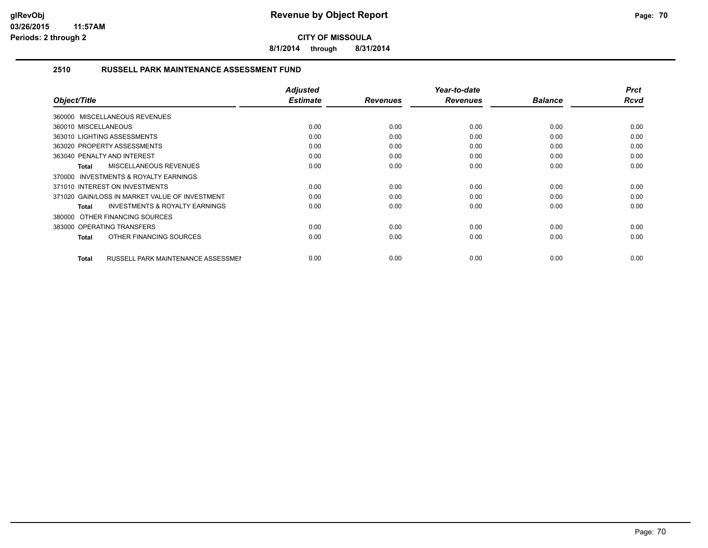**8/1/2014 through 8/31/2014**

## **2510 RUSSELL PARK MAINTENANCE ASSESSMENT FUND**

| Object/Title                                              | <b>Adjusted</b><br><b>Estimate</b> | <b>Revenues</b> | Year-to-date<br><b>Revenues</b> | <b>Balance</b> | <b>Prct</b><br><b>Rcvd</b> |
|-----------------------------------------------------------|------------------------------------|-----------------|---------------------------------|----------------|----------------------------|
| 360000 MISCELLANEOUS REVENUES                             |                                    |                 |                                 |                |                            |
| 360010 MISCELLANEOUS                                      | 0.00                               | 0.00            | 0.00                            | 0.00           | 0.00                       |
| 363010 LIGHTING ASSESSMENTS                               | 0.00                               | 0.00            | 0.00                            | 0.00           | 0.00                       |
| 363020 PROPERTY ASSESSMENTS                               | 0.00                               | 0.00            | 0.00                            | 0.00           | 0.00                       |
| 363040 PENALTY AND INTEREST                               | 0.00                               | 0.00            | 0.00                            | 0.00           | 0.00                       |
| MISCELLANEOUS REVENUES<br>Total                           | 0.00                               | 0.00            | 0.00                            | 0.00           | 0.00                       |
| 370000 INVESTMENTS & ROYALTY EARNINGS                     |                                    |                 |                                 |                |                            |
| 371010 INTEREST ON INVESTMENTS                            | 0.00                               | 0.00            | 0.00                            | 0.00           | 0.00                       |
| 371020 GAIN/LOSS IN MARKET VALUE OF INVESTMENT            | 0.00                               | 0.00            | 0.00                            | 0.00           | 0.00                       |
| <b>INVESTMENTS &amp; ROYALTY EARNINGS</b><br>Total        | 0.00                               | 0.00            | 0.00                            | 0.00           | 0.00                       |
| 380000 OTHER FINANCING SOURCES                            |                                    |                 |                                 |                |                            |
| 383000 OPERATING TRANSFERS                                | 0.00                               | 0.00            | 0.00                            | 0.00           | 0.00                       |
| OTHER FINANCING SOURCES<br>Total                          | 0.00                               | 0.00            | 0.00                            | 0.00           | 0.00                       |
|                                                           |                                    |                 |                                 |                |                            |
| <b>RUSSELL PARK MAINTENANCE ASSESSMEN</b><br><b>Total</b> | 0.00                               | 0.00            | 0.00                            | 0.00           | 0.00                       |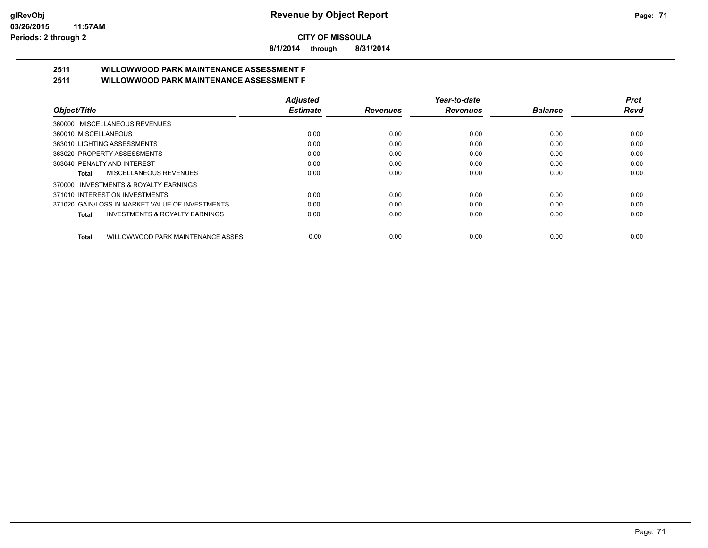**8/1/2014 through 8/31/2014**

# **2511 WILLOWWOOD PARK MAINTENANCE ASSESSMENT F**

**2511 WILLOWWOOD PARK MAINTENANCE ASSESSMENT F**

|                                                    | <b>Adjusted</b> |                 | Year-to-date    |                | Prct |
|----------------------------------------------------|-----------------|-----------------|-----------------|----------------|------|
| Object/Title                                       | <b>Estimate</b> | <b>Revenues</b> | <b>Revenues</b> | <b>Balance</b> | Rcvd |
| 360000 MISCELLANEOUS REVENUES                      |                 |                 |                 |                |      |
| 360010 MISCELLANEOUS                               | 0.00            | 0.00            | 0.00            | 0.00           | 0.00 |
| 363010 LIGHTING ASSESSMENTS                        | 0.00            | 0.00            | 0.00            | 0.00           | 0.00 |
| 363020 PROPERTY ASSESSMENTS                        | 0.00            | 0.00            | 0.00            | 0.00           | 0.00 |
| 363040 PENALTY AND INTEREST                        | 0.00            | 0.00            | 0.00            | 0.00           | 0.00 |
| MISCELLANEOUS REVENUES<br>Total                    | 0.00            | 0.00            | 0.00            | 0.00           | 0.00 |
| 370000 INVESTMENTS & ROYALTY EARNINGS              |                 |                 |                 |                |      |
| 371010 INTEREST ON INVESTMENTS                     | 0.00            | 0.00            | 0.00            | 0.00           | 0.00 |
| 371020 GAIN/LOSS IN MARKET VALUE OF INVESTMENTS    | 0.00            | 0.00            | 0.00            | 0.00           | 0.00 |
| <b>INVESTMENTS &amp; ROYALTY EARNINGS</b><br>Total | 0.00            | 0.00            | 0.00            | 0.00           | 0.00 |
| WILLOWWOOD PARK MAINTENANCE ASSES<br><b>Total</b>  | 0.00            | 0.00            | 0.00            | 0.00           | 0.00 |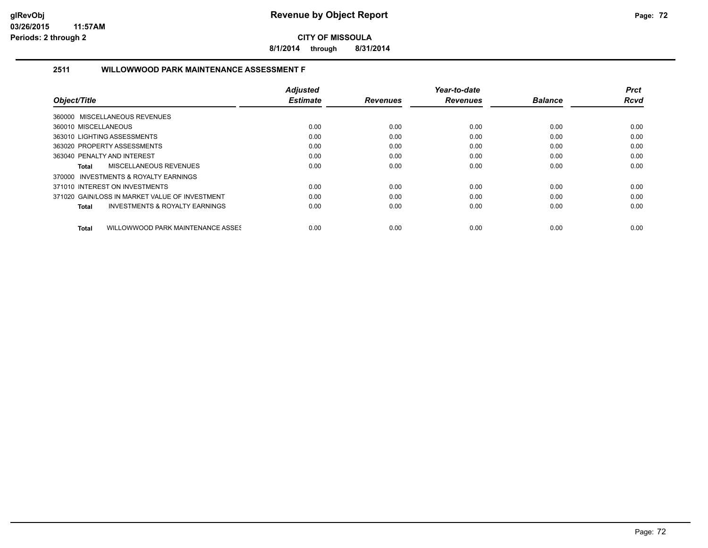**8/1/2014 through 8/31/2014**

## **2511 WILLOWWOOD PARK MAINTENANCE ASSESSMENT F**

|                                                    | <b>Adjusted</b> |                 | Year-to-date    |                | <b>Prct</b> |
|----------------------------------------------------|-----------------|-----------------|-----------------|----------------|-------------|
| Object/Title                                       | <b>Estimate</b> | <b>Revenues</b> | <b>Revenues</b> | <b>Balance</b> | <b>Rcvd</b> |
| 360000 MISCELLANEOUS REVENUES                      |                 |                 |                 |                |             |
| 360010 MISCELLANEOUS                               | 0.00            | 0.00            | 0.00            | 0.00           | 0.00        |
| 363010 LIGHTING ASSESSMENTS                        | 0.00            | 0.00            | 0.00            | 0.00           | 0.00        |
| 363020 PROPERTY ASSESSMENTS                        | 0.00            | 0.00            | 0.00            | 0.00           | 0.00        |
| 363040 PENALTY AND INTEREST                        | 0.00            | 0.00            | 0.00            | 0.00           | 0.00        |
| <b>MISCELLANEOUS REVENUES</b><br>Total             | 0.00            | 0.00            | 0.00            | 0.00           | 0.00        |
| 370000 INVESTMENTS & ROYALTY EARNINGS              |                 |                 |                 |                |             |
| 371010 INTEREST ON INVESTMENTS                     | 0.00            | 0.00            | 0.00            | 0.00           | 0.00        |
| 371020 GAIN/LOSS IN MARKET VALUE OF INVESTMENT     | 0.00            | 0.00            | 0.00            | 0.00           | 0.00        |
| <b>INVESTMENTS &amp; ROYALTY EARNINGS</b><br>Total | 0.00            | 0.00            | 0.00            | 0.00           | 0.00        |
| WILLOWWOOD PARK MAINTENANCE ASSES<br>Total         | 0.00            | 0.00            | 0.00            | 0.00           | 0.00        |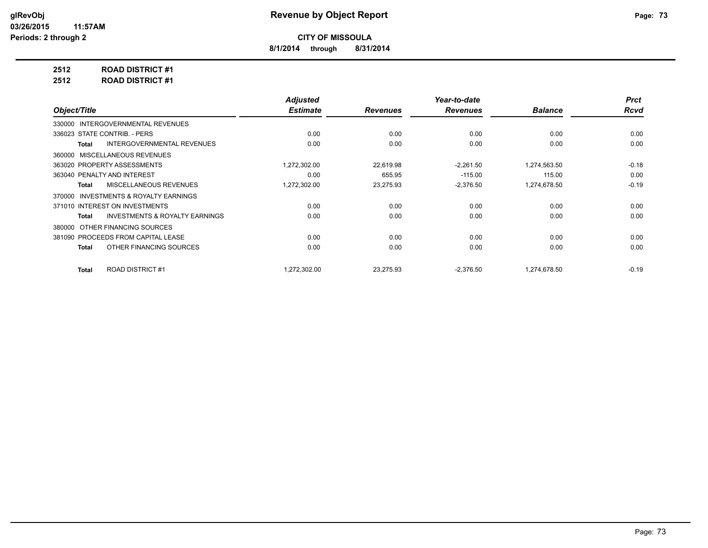**8/1/2014 through 8/31/2014**

**2512 ROAD DISTRICT #1**

**2512 ROAD DISTRICT #1**

|                                                           | <b>Adjusted</b> |                 | Year-to-date    |                | <b>Prct</b> |
|-----------------------------------------------------------|-----------------|-----------------|-----------------|----------------|-------------|
| Object/Title                                              | <b>Estimate</b> | <b>Revenues</b> | <b>Revenues</b> | <b>Balance</b> | <b>Rcvd</b> |
| INTERGOVERNMENTAL REVENUES<br>330000                      |                 |                 |                 |                |             |
| 336023 STATE CONTRIB. - PERS                              | 0.00            | 0.00            | 0.00            | 0.00           | 0.00        |
| <b>INTERGOVERNMENTAL REVENUES</b><br><b>Total</b>         | 0.00            | 0.00            | 0.00            | 0.00           | 0.00        |
| <b>MISCELLANEOUS REVENUES</b><br>360000                   |                 |                 |                 |                |             |
| 363020 PROPERTY ASSESSMENTS                               | 1,272,302.00    | 22,619.98       | $-2,261.50$     | 1,274,563.50   | $-0.18$     |
| 363040 PENALTY AND INTEREST                               | 0.00            | 655.95          | $-115.00$       | 115.00         | 0.00        |
| <b>MISCELLANEOUS REVENUES</b><br><b>Total</b>             | 1,272,302.00    | 23,275.93       | $-2,376.50$     | 1,274,678.50   | $-0.19$     |
| <b>INVESTMENTS &amp; ROYALTY EARNINGS</b><br>370000       |                 |                 |                 |                |             |
| 371010 INTEREST ON INVESTMENTS                            | 0.00            | 0.00            | 0.00            | 0.00           | 0.00        |
| <b>INVESTMENTS &amp; ROYALTY EARNINGS</b><br><b>Total</b> | 0.00            | 0.00            | 0.00            | 0.00           | 0.00        |
| OTHER FINANCING SOURCES<br>380000                         |                 |                 |                 |                |             |
| 381090 PROCEEDS FROM CAPITAL LEASE                        | 0.00            | 0.00            | 0.00            | 0.00           | 0.00        |
| OTHER FINANCING SOURCES<br><b>Total</b>                   | 0.00            | 0.00            | 0.00            | 0.00           | 0.00        |
|                                                           |                 |                 |                 |                |             |
| <b>ROAD DISTRICT #1</b><br><b>Total</b>                   | 1,272,302.00    | 23,275.93       | $-2,376.50$     | 1,274,678.50   | $-0.19$     |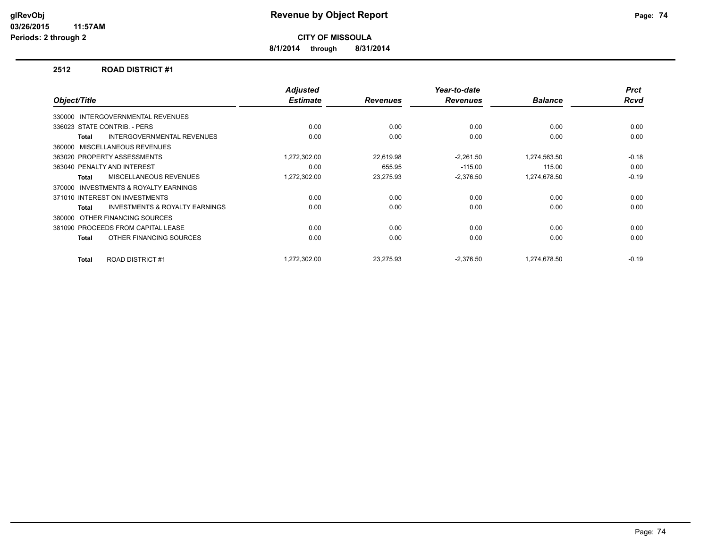**8/1/2014 through 8/31/2014**

#### **2512 ROAD DISTRICT #1**

| Object/Title                 |                                           | <b>Adjusted</b><br><b>Estimate</b> | <b>Revenues</b> | Year-to-date<br><b>Revenues</b> | <b>Balance</b> | <b>Prct</b><br><b>Rcvd</b> |
|------------------------------|-------------------------------------------|------------------------------------|-----------------|---------------------------------|----------------|----------------------------|
|                              |                                           |                                    |                 |                                 |                |                            |
| 330000                       | <b>INTERGOVERNMENTAL REVENUES</b>         |                                    |                 |                                 |                |                            |
| 336023 STATE CONTRIB. - PERS |                                           | 0.00                               | 0.00            | 0.00                            | 0.00           | 0.00                       |
| Total                        | <b>INTERGOVERNMENTAL REVENUES</b>         | 0.00                               | 0.00            | 0.00                            | 0.00           | 0.00                       |
| 360000                       | MISCELLANEOUS REVENUES                    |                                    |                 |                                 |                |                            |
| 363020 PROPERTY ASSESSMENTS  |                                           | 1,272,302.00                       | 22,619.98       | $-2,261.50$                     | 1,274,563.50   | $-0.18$                    |
| 363040 PENALTY AND INTEREST  |                                           | 0.00                               | 655.95          | $-115.00$                       | 115.00         | 0.00                       |
| <b>Total</b>                 | MISCELLANEOUS REVENUES                    | 1,272,302.00                       | 23,275.93       | $-2,376.50$                     | 1,274,678.50   | $-0.19$                    |
| 370000                       | <b>INVESTMENTS &amp; ROYALTY EARNINGS</b> |                                    |                 |                                 |                |                            |
|                              | 371010 INTEREST ON INVESTMENTS            | 0.00                               | 0.00            | 0.00                            | 0.00           | 0.00                       |
| Total                        | <b>INVESTMENTS &amp; ROYALTY EARNINGS</b> | 0.00                               | 0.00            | 0.00                            | 0.00           | 0.00                       |
| 380000                       | OTHER FINANCING SOURCES                   |                                    |                 |                                 |                |                            |
|                              | 381090 PROCEEDS FROM CAPITAL LEASE        | 0.00                               | 0.00            | 0.00                            | 0.00           | 0.00                       |
| Total                        | OTHER FINANCING SOURCES                   | 0.00                               | 0.00            | 0.00                            | 0.00           | 0.00                       |
|                              |                                           |                                    |                 |                                 |                |                            |
| Total                        | <b>ROAD DISTRICT #1</b>                   | 1.272.302.00                       | 23.275.93       | $-2.376.50$                     | 1.274.678.50   | $-0.19$                    |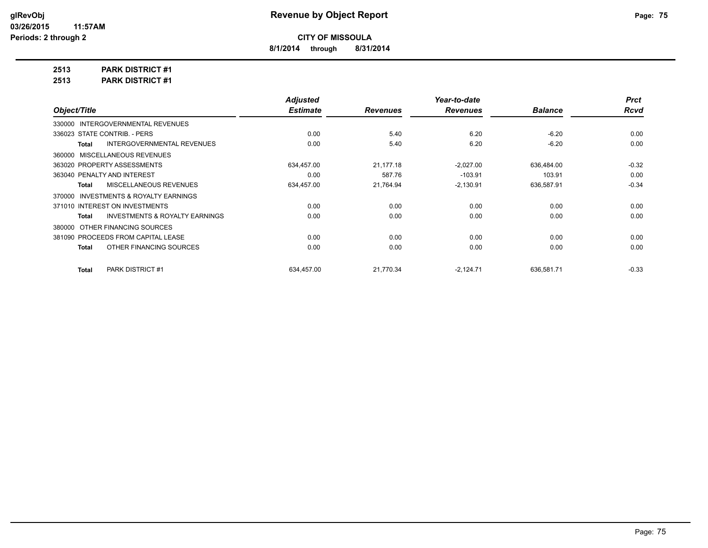**8/1/2014 through 8/31/2014**

**2513 PARK DISTRICT #1**

**2513 PARK DISTRICT #1**

|                                                    | <b>Adjusted</b> |                 | Year-to-date    |                | <b>Prct</b> |
|----------------------------------------------------|-----------------|-----------------|-----------------|----------------|-------------|
| Object/Title                                       | <b>Estimate</b> | <b>Revenues</b> | <b>Revenues</b> | <b>Balance</b> | <b>Rcvd</b> |
| 330000 INTERGOVERNMENTAL REVENUES                  |                 |                 |                 |                |             |
| 336023 STATE CONTRIB. - PERS                       | 0.00            | 5.40            | 6.20            | $-6.20$        | 0.00        |
| <b>INTERGOVERNMENTAL REVENUES</b><br>Total         | 0.00            | 5.40            | 6.20            | $-6.20$        | 0.00        |
| 360000 MISCELLANEOUS REVENUES                      |                 |                 |                 |                |             |
| 363020 PROPERTY ASSESSMENTS                        | 634.457.00      | 21.177.18       | $-2,027.00$     | 636,484.00     | $-0.32$     |
| 363040 PENALTY AND INTEREST                        | 0.00            | 587.76          | $-103.91$       | 103.91         | 0.00        |
| <b>MISCELLANEOUS REVENUES</b><br>Total             | 634,457.00      | 21,764.94       | $-2,130.91$     | 636,587.91     | $-0.34$     |
| INVESTMENTS & ROYALTY EARNINGS<br>370000           |                 |                 |                 |                |             |
| 371010 INTEREST ON INVESTMENTS                     | 0.00            | 0.00            | 0.00            | 0.00           | 0.00        |
| <b>INVESTMENTS &amp; ROYALTY EARNINGS</b><br>Total | 0.00            | 0.00            | 0.00            | 0.00           | 0.00        |
| OTHER FINANCING SOURCES<br>380000                  |                 |                 |                 |                |             |
| 381090 PROCEEDS FROM CAPITAL LEASE                 | 0.00            | 0.00            | 0.00            | 0.00           | 0.00        |
| OTHER FINANCING SOURCES<br>Total                   | 0.00            | 0.00            | 0.00            | 0.00           | 0.00        |
| <b>PARK DISTRICT #1</b><br><b>Total</b>            | 634.457.00      | 21,770.34       | $-2,124.71$     | 636,581.71     | $-0.33$     |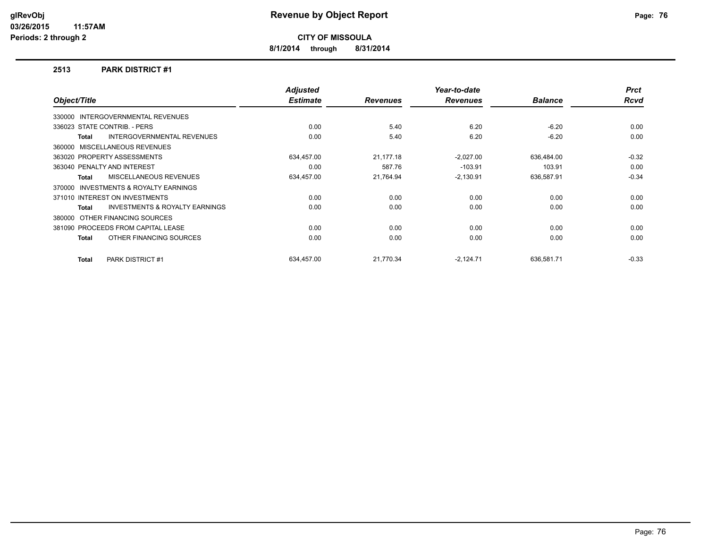**8/1/2014 through 8/31/2014**

#### **2513 PARK DISTRICT #1**

|              |                                           | <b>Adjusted</b> |                 | Year-to-date    |                | <b>Prct</b> |
|--------------|-------------------------------------------|-----------------|-----------------|-----------------|----------------|-------------|
| Object/Title |                                           | <b>Estimate</b> | <b>Revenues</b> | <b>Revenues</b> | <b>Balance</b> | <b>Rcvd</b> |
|              | 330000 INTERGOVERNMENTAL REVENUES         |                 |                 |                 |                |             |
|              | 336023 STATE CONTRIB. - PERS              | 0.00            | 5.40            | 6.20            | $-6.20$        | 0.00        |
| Total        | <b>INTERGOVERNMENTAL REVENUES</b>         | 0.00            | 5.40            | 6.20            | $-6.20$        | 0.00        |
|              | 360000 MISCELLANEOUS REVENUES             |                 |                 |                 |                |             |
|              | 363020 PROPERTY ASSESSMENTS               | 634,457.00      | 21.177.18       | $-2,027.00$     | 636,484.00     | $-0.32$     |
|              | 363040 PENALTY AND INTEREST               | 0.00            | 587.76          | $-103.91$       | 103.91         | 0.00        |
| <b>Total</b> | MISCELLANEOUS REVENUES                    | 634,457.00      | 21,764.94       | $-2,130.91$     | 636,587.91     | $-0.34$     |
| 370000       | <b>INVESTMENTS &amp; ROYALTY EARNINGS</b> |                 |                 |                 |                |             |
|              | 371010 INTEREST ON INVESTMENTS            | 0.00            | 0.00            | 0.00            | 0.00           | 0.00        |
| Total        | <b>INVESTMENTS &amp; ROYALTY EARNINGS</b> | 0.00            | 0.00            | 0.00            | 0.00           | 0.00        |
|              | 380000 OTHER FINANCING SOURCES            |                 |                 |                 |                |             |
|              | 381090 PROCEEDS FROM CAPITAL LEASE        | 0.00            | 0.00            | 0.00            | 0.00           | 0.00        |
| Total        | OTHER FINANCING SOURCES                   | 0.00            | 0.00            | 0.00            | 0.00           | 0.00        |
| Total        | <b>PARK DISTRICT #1</b>                   | 634.457.00      | 21.770.34       | $-2,124.71$     | 636.581.71     | $-0.33$     |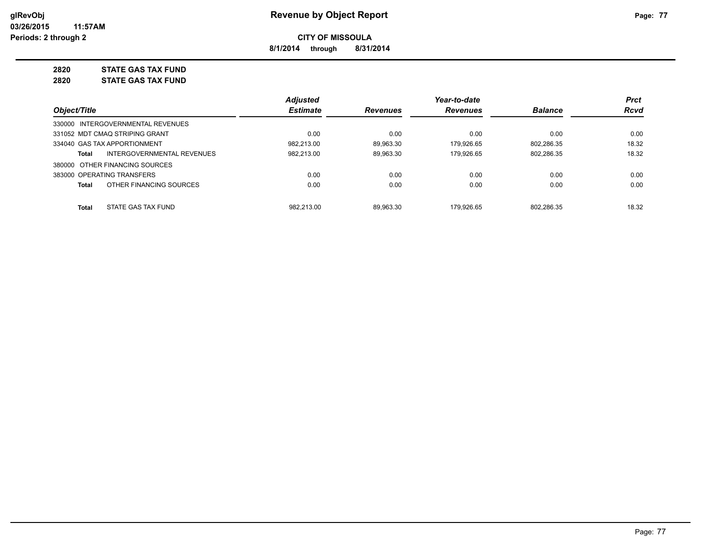**8/1/2014 through 8/31/2014**

# **2820 STATE GAS TAX FUND**

**2820 STATE GAS TAX FUND**

|                                                   | <b>Adjusted</b> |                 | Year-to-date    |                | <b>Prct</b> |
|---------------------------------------------------|-----------------|-----------------|-----------------|----------------|-------------|
| Object/Title                                      | <b>Estimate</b> | <b>Revenues</b> | <b>Revenues</b> | <b>Balance</b> | <b>Rcvd</b> |
| 330000 INTERGOVERNMENTAL REVENUES                 |                 |                 |                 |                |             |
| 331052 MDT CMAQ STRIPING GRANT                    | 0.00            | 0.00            | 0.00            | 0.00           | 0.00        |
| 334040 GAS TAX APPORTIONMENT                      | 982.213.00      | 89.963.30       | 179.926.65      | 802.286.35     | 18.32       |
| <b>INTERGOVERNMENTAL REVENUES</b><br><b>Total</b> | 982,213.00      | 89.963.30       | 179.926.65      | 802.286.35     | 18.32       |
| 380000 OTHER FINANCING SOURCES                    |                 |                 |                 |                |             |
| 383000 OPERATING TRANSFERS                        | 0.00            | 0.00            | 0.00            | 0.00           | 0.00        |
| OTHER FINANCING SOURCES<br><b>Total</b>           | 0.00            | 0.00            | 0.00            | 0.00           | 0.00        |
| STATE GAS TAX FUND<br><b>Total</b>                | 982.213.00      | 89.963.30       | 179.926.65      | 802.286.35     | 18.32       |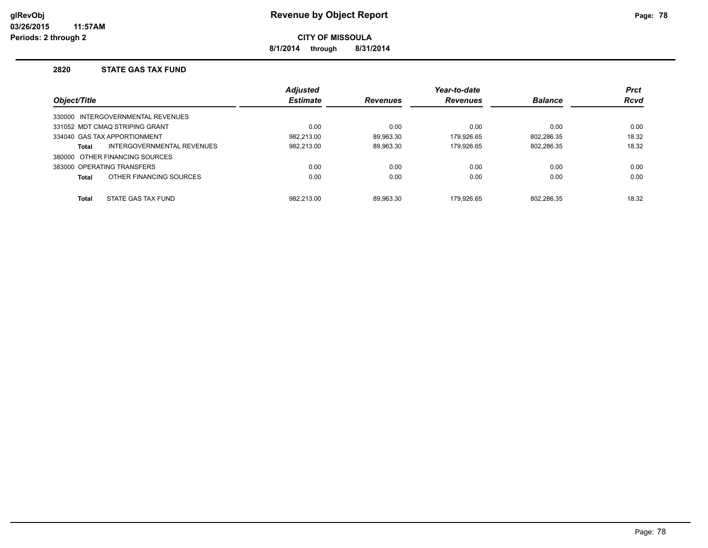**8/1/2014 through 8/31/2014**

#### **2820 STATE GAS TAX FUND**

|              |                                   | <b>Adjusted</b> |                 | Year-to-date    |                | <b>Prct</b> |
|--------------|-----------------------------------|-----------------|-----------------|-----------------|----------------|-------------|
| Object/Title |                                   | <b>Estimate</b> | <b>Revenues</b> | <b>Revenues</b> | <b>Balance</b> | <b>Rcvd</b> |
|              | 330000 INTERGOVERNMENTAL REVENUES |                 |                 |                 |                |             |
|              | 331052 MDT CMAQ STRIPING GRANT    | 0.00            | 0.00            | 0.00            | 0.00           | 0.00        |
|              | 334040 GAS TAX APPORTIONMENT      | 982.213.00      | 89.963.30       | 179.926.65      | 802.286.35     | 18.32       |
| Total        | INTERGOVERNMENTAL REVENUES        | 982.213.00      | 89,963.30       | 179.926.65      | 802,286.35     | 18.32       |
|              | 380000 OTHER FINANCING SOURCES    |                 |                 |                 |                |             |
|              | 383000 OPERATING TRANSFERS        | 0.00            | 0.00            | 0.00            | 0.00           | 0.00        |
| <b>Total</b> | OTHER FINANCING SOURCES           | 0.00            | 0.00            | 0.00            | 0.00           | 0.00        |
| <b>Total</b> | STATE GAS TAX FUND                | 982.213.00      | 89.963.30       | 179.926.65      | 802.286.35     | 18.32       |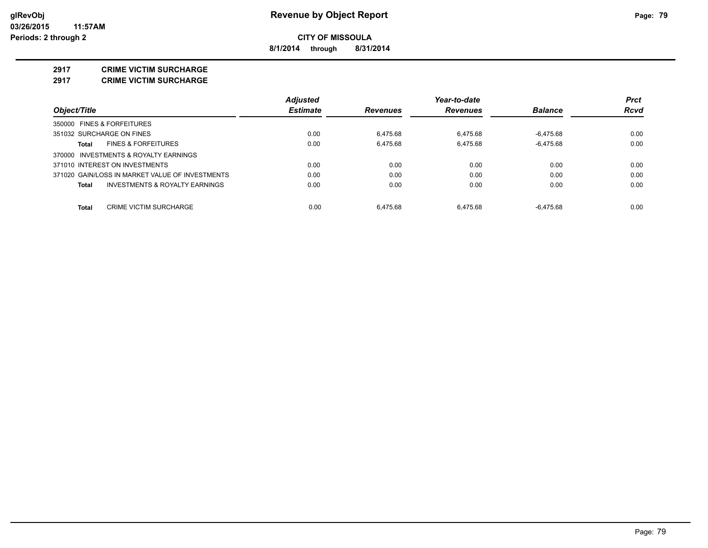**8/1/2014 through 8/31/2014**

#### **2917 CRIME VICTIM SURCHARGE**

**2917 CRIME VICTIM SURCHARGE**

|                                                 | <b>Adjusted</b> |                 | Year-to-date    |                | <b>Prct</b> |
|-------------------------------------------------|-----------------|-----------------|-----------------|----------------|-------------|
| Object/Title                                    | <b>Estimate</b> | <b>Revenues</b> | <b>Revenues</b> | <b>Balance</b> | Rcvd        |
| 350000 FINES & FORFEITURES                      |                 |                 |                 |                |             |
| 351032 SURCHARGE ON FINES                       | 0.00            | 6.475.68        | 6.475.68        | -6.475.68      | 0.00        |
| <b>FINES &amp; FORFEITURES</b><br>Total         | 0.00            | 6.475.68        | 6.475.68        | $-6.475.68$    | 0.00        |
| 370000 INVESTMENTS & ROYALTY EARNINGS           |                 |                 |                 |                |             |
| 371010 INTEREST ON INVESTMENTS                  | 0.00            | 0.00            | 0.00            | 0.00           | 0.00        |
| 371020 GAIN/LOSS IN MARKET VALUE OF INVESTMENTS | 0.00            | 0.00            | 0.00            | 0.00           | 0.00        |
| INVESTMENTS & ROYALTY EARNINGS<br>Total         | 0.00            | 0.00            | 0.00            | 0.00           | 0.00        |
| CRIME VICTIM SURCHARGE<br>Total                 | 0.00            | 6.475.68        | 6.475.68        | $-6.475.68$    | 0.00        |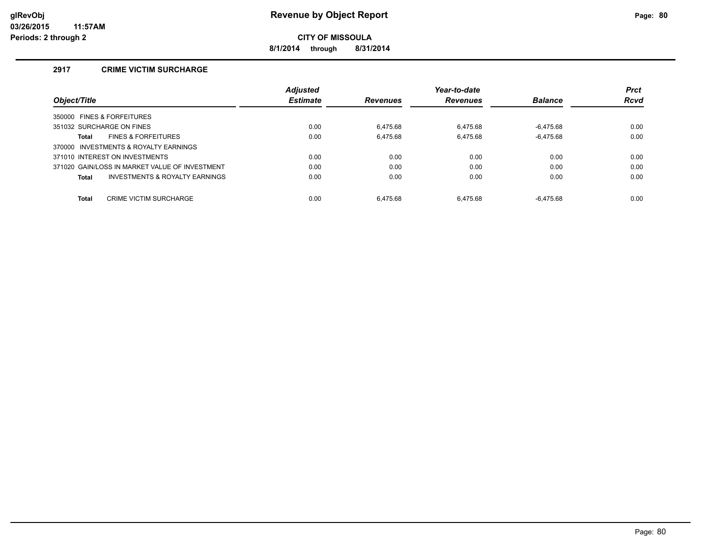**8/1/2014 through 8/31/2014**

### **2917 CRIME VICTIM SURCHARGE**

|                                                    | <b>Adjusted</b> |                 | Year-to-date    |                | <b>Prct</b> |
|----------------------------------------------------|-----------------|-----------------|-----------------|----------------|-------------|
| Object/Title                                       | <b>Estimate</b> | <b>Revenues</b> | <b>Revenues</b> | <b>Balance</b> | <b>Rcvd</b> |
| 350000 FINES & FORFEITURES                         |                 |                 |                 |                |             |
| 351032 SURCHARGE ON FINES                          | 0.00            | 6.475.68        | 6.475.68        | $-6.475.68$    | 0.00        |
| <b>FINES &amp; FORFEITURES</b><br>Total            | 0.00            | 6,475.68        | 6,475.68        | $-6,475.68$    | 0.00        |
| 370000 INVESTMENTS & ROYALTY EARNINGS              |                 |                 |                 |                |             |
| 371010 INTEREST ON INVESTMENTS                     | 0.00            | 0.00            | 0.00            | 0.00           | 0.00        |
| 371020 GAIN/LOSS IN MARKET VALUE OF INVESTMENT     | 0.00            | 0.00            | 0.00            | 0.00           | 0.00        |
| <b>INVESTMENTS &amp; ROYALTY EARNINGS</b><br>Total | 0.00            | 0.00            | 0.00            | 0.00           | 0.00        |
|                                                    |                 |                 |                 |                |             |
| <b>Total</b><br><b>CRIME VICTIM SURCHARGE</b>      | 0.00            | 6.475.68        | 6.475.68        | $-6.475.68$    | 0.00        |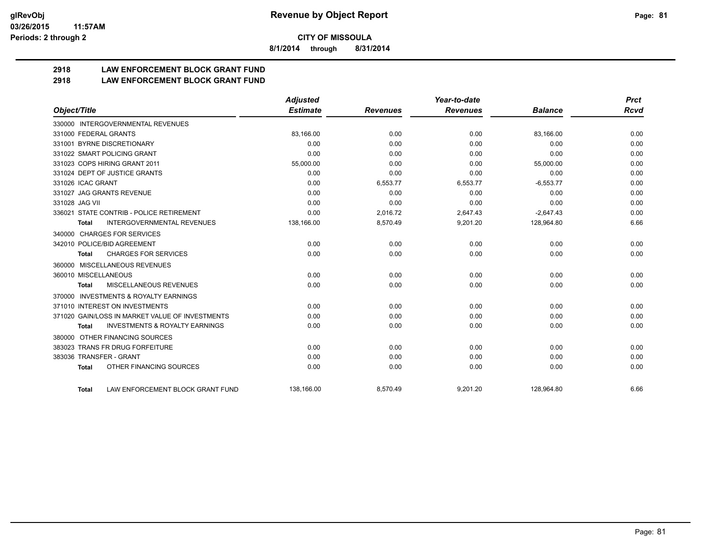**8/1/2014 through 8/31/2014**

## **2918 LAW ENFORCEMENT BLOCK GRANT FUND**

**2918 LAW ENFORCEMENT BLOCK GRANT FUND**

|                                                           | <b>Adjusted</b> |                 | Year-to-date    |                | <b>Prct</b> |
|-----------------------------------------------------------|-----------------|-----------------|-----------------|----------------|-------------|
| Object/Title                                              | <b>Estimate</b> | <b>Revenues</b> | <b>Revenues</b> | <b>Balance</b> | <b>Rcvd</b> |
| 330000 INTERGOVERNMENTAL REVENUES                         |                 |                 |                 |                |             |
| 331000 FEDERAL GRANTS                                     | 83,166.00       | 0.00            | 0.00            | 83,166.00      | 0.00        |
| 331001 BYRNE DISCRETIONARY                                | 0.00            | 0.00            | 0.00            | 0.00           | 0.00        |
| 331022 SMART POLICING GRANT                               | 0.00            | 0.00            | 0.00            | 0.00           | 0.00        |
| 331023 COPS HIRING GRANT 2011                             | 55,000.00       | 0.00            | 0.00            | 55,000.00      | 0.00        |
| 331024 DEPT OF JUSTICE GRANTS                             | 0.00            | 0.00            | 0.00            | 0.00           | 0.00        |
| 331026 ICAC GRANT                                         | 0.00            | 6,553.77        | 6,553.77        | $-6,553.77$    | 0.00        |
| 331027 JAG GRANTS REVENUE                                 | 0.00            | 0.00            | 0.00            | 0.00           | 0.00        |
| 331028 JAG VII                                            | 0.00            | 0.00            | 0.00            | 0.00           | 0.00        |
| 336021 STATE CONTRIB - POLICE RETIREMENT                  | 0.00            | 2,016.72        | 2,647.43        | $-2,647.43$    | 0.00        |
| <b>INTERGOVERNMENTAL REVENUES</b><br>Total                | 138,166.00      | 8,570.49        | 9,201.20        | 128,964.80     | 6.66        |
| 340000 CHARGES FOR SERVICES                               |                 |                 |                 |                |             |
| 342010 POLICE/BID AGREEMENT                               | 0.00            | 0.00            | 0.00            | 0.00           | 0.00        |
| <b>CHARGES FOR SERVICES</b><br>Total                      | 0.00            | 0.00            | 0.00            | 0.00           | 0.00        |
| MISCELLANEOUS REVENUES<br>360000                          |                 |                 |                 |                |             |
| 360010 MISCELLANEOUS                                      | 0.00            | 0.00            | 0.00            | 0.00           | 0.00        |
| <b>MISCELLANEOUS REVENUES</b><br><b>Total</b>             | 0.00            | 0.00            | 0.00            | 0.00           | 0.00        |
| <b>INVESTMENTS &amp; ROYALTY EARNINGS</b><br>370000       |                 |                 |                 |                |             |
| 371010 INTEREST ON INVESTMENTS                            | 0.00            | 0.00            | 0.00            | 0.00           | 0.00        |
| 371020 GAIN/LOSS IN MARKET VALUE OF INVESTMENTS           | 0.00            | 0.00            | 0.00            | 0.00           | 0.00        |
| <b>INVESTMENTS &amp; ROYALTY EARNINGS</b><br><b>Total</b> | 0.00            | 0.00            | 0.00            | 0.00           | 0.00        |
| OTHER FINANCING SOURCES<br>380000                         |                 |                 |                 |                |             |
| 383023 TRANS FR DRUG FORFEITURE                           | 0.00            | 0.00            | 0.00            | 0.00           | 0.00        |
| 383036 TRANSFER - GRANT                                   | 0.00            | 0.00            | 0.00            | 0.00           | 0.00        |
| OTHER FINANCING SOURCES<br><b>Total</b>                   | 0.00            | 0.00            | 0.00            | 0.00           | 0.00        |
|                                                           |                 |                 |                 |                |             |
| LAW ENFORCEMENT BLOCK GRANT FUND<br><b>Total</b>          | 138,166.00      | 8.570.49        | 9,201.20        | 128.964.80     | 6.66        |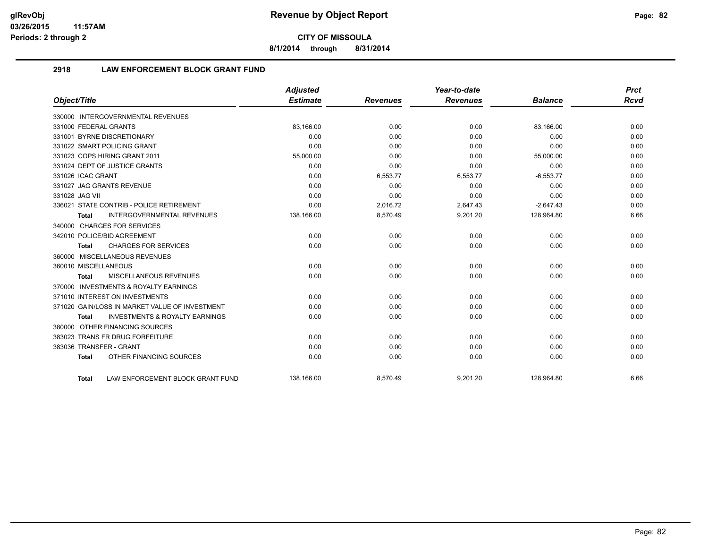**8/1/2014 through 8/31/2014**

### **2918 LAW ENFORCEMENT BLOCK GRANT FUND**

|                                                           | <b>Adjusted</b> |                 | Year-to-date    |                | <b>Prct</b> |
|-----------------------------------------------------------|-----------------|-----------------|-----------------|----------------|-------------|
| Object/Title                                              | <b>Estimate</b> | <b>Revenues</b> | <b>Revenues</b> | <b>Balance</b> | Rcvd        |
| 330000 INTERGOVERNMENTAL REVENUES                         |                 |                 |                 |                |             |
| 331000 FEDERAL GRANTS                                     | 83,166.00       | 0.00            | 0.00            | 83,166.00      | 0.00        |
| 331001 BYRNE DISCRETIONARY                                | 0.00            | 0.00            | 0.00            | 0.00           | 0.00        |
| 331022 SMART POLICING GRANT                               | 0.00            | 0.00            | 0.00            | 0.00           | 0.00        |
| 331023 COPS HIRING GRANT 2011                             | 55,000.00       | 0.00            | 0.00            | 55,000.00      | 0.00        |
| 331024 DEPT OF JUSTICE GRANTS                             | 0.00            | 0.00            | 0.00            | 0.00           | 0.00        |
| 331026 ICAC GRANT                                         | 0.00            | 6,553.77        | 6,553.77        | $-6,553.77$    | 0.00        |
| 331027 JAG GRANTS REVENUE                                 | 0.00            | 0.00            | 0.00            | 0.00           | 0.00        |
| 331028 JAG VII                                            | 0.00            | 0.00            | 0.00            | 0.00           | 0.00        |
| 336021 STATE CONTRIB - POLICE RETIREMENT                  | 0.00            | 2,016.72        | 2,647.43        | $-2,647.43$    | 0.00        |
| <b>INTERGOVERNMENTAL REVENUES</b><br>Total                | 138,166.00      | 8,570.49        | 9,201.20        | 128,964.80     | 6.66        |
| 340000 CHARGES FOR SERVICES                               |                 |                 |                 |                |             |
| 342010 POLICE/BID AGREEMENT                               | 0.00            | 0.00            | 0.00            | 0.00           | 0.00        |
| <b>CHARGES FOR SERVICES</b><br>Total                      | 0.00            | 0.00            | 0.00            | 0.00           | 0.00        |
| 360000 MISCELLANEOUS REVENUES                             |                 |                 |                 |                |             |
| 360010 MISCELLANEOUS                                      | 0.00            | 0.00            | 0.00            | 0.00           | 0.00        |
| <b>MISCELLANEOUS REVENUES</b><br><b>Total</b>             | 0.00            | 0.00            | 0.00            | 0.00           | 0.00        |
| 370000 INVESTMENTS & ROYALTY EARNINGS                     |                 |                 |                 |                |             |
| 371010 INTEREST ON INVESTMENTS                            | 0.00            | 0.00            | 0.00            | 0.00           | 0.00        |
| 371020 GAIN/LOSS IN MARKET VALUE OF INVESTMENT            | 0.00            | 0.00            | 0.00            | 0.00           | 0.00        |
| <b>INVESTMENTS &amp; ROYALTY EARNINGS</b><br><b>Total</b> | 0.00            | 0.00            | 0.00            | 0.00           | 0.00        |
| 380000 OTHER FINANCING SOURCES                            |                 |                 |                 |                |             |
| 383023 TRANS FR DRUG FORFEITURE                           | 0.00            | 0.00            | 0.00            | 0.00           | 0.00        |
| 383036 TRANSFER - GRANT                                   | 0.00            | 0.00            | 0.00            | 0.00           | 0.00        |
| OTHER FINANCING SOURCES<br><b>Total</b>                   | 0.00            | 0.00            | 0.00            | 0.00           | 0.00        |
| LAW ENFORCEMENT BLOCK GRANT FUND<br>Total                 | 138.166.00      | 8.570.49        | 9,201.20        | 128.964.80     | 6.66        |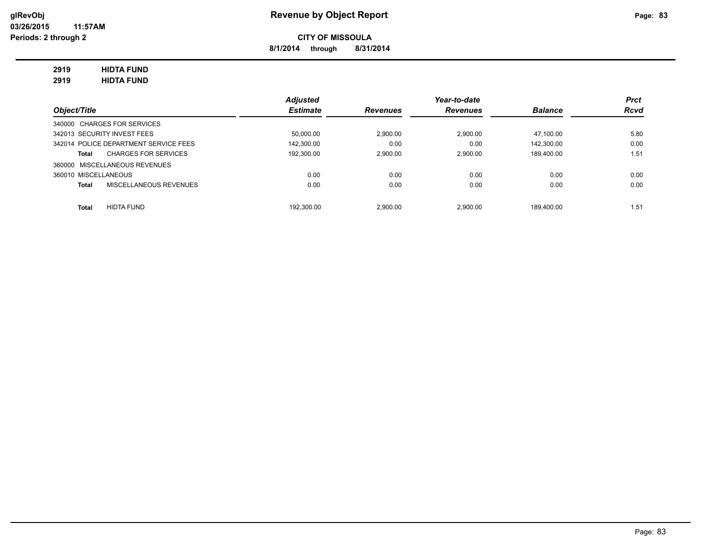**8/1/2014 through 8/31/2014**

### **2919 HIDTA FUND**

**2919 HIDTA FUND**

|                                       | <b>Adjusted</b> |                 | Year-to-date    |                | <b>Prct</b> |
|---------------------------------------|-----------------|-----------------|-----------------|----------------|-------------|
| Object/Title                          | <b>Estimate</b> | <b>Revenues</b> | <b>Revenues</b> | <b>Balance</b> | <b>Rcvd</b> |
| 340000 CHARGES FOR SERVICES           |                 |                 |                 |                |             |
| 342013 SECURITY INVEST FEES           | 50,000.00       | 2.900.00        | 2.900.00        | 47.100.00      | 5.80        |
| 342014 POLICE DEPARTMENT SERVICE FEES | 142.300.00      | 0.00            | 0.00            | 142.300.00     | 0.00        |
| <b>CHARGES FOR SERVICES</b><br>Total  | 192.300.00      | 2.900.00        | 2.900.00        | 189.400.00     | 1.51        |
| 360000 MISCELLANEOUS REVENUES         |                 |                 |                 |                |             |
| 360010 MISCELLANEOUS                  | 0.00            | 0.00            | 0.00            | 0.00           | 0.00        |
| MISCELLANEOUS REVENUES<br>Total       | 0.00            | 0.00            | 0.00            | 0.00           | 0.00        |
|                                       |                 |                 |                 |                |             |
| <b>HIDTA FUND</b><br><b>Total</b>     | 192.300.00      | 2.900.00        | 2.900.00        | 189.400.00     | 1.51        |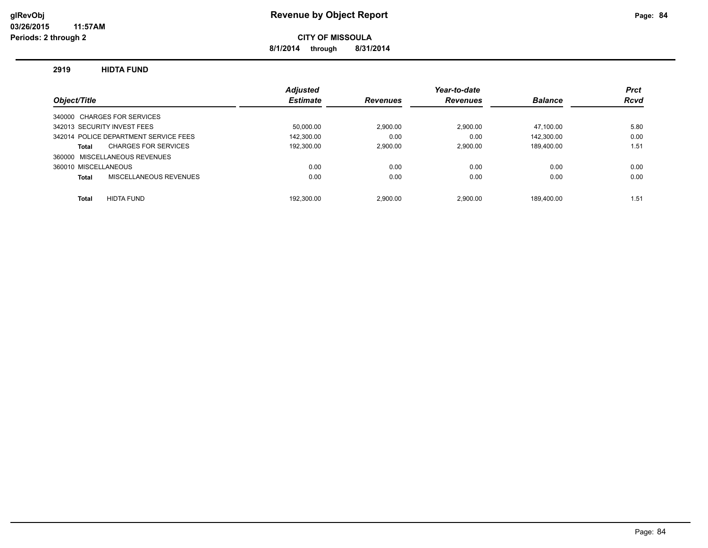**8/1/2014 through 8/31/2014**

#### **2919 HIDTA FUND**

|                                       | <b>Adiusted</b> |                 | Year-to-date    |                | <b>Prct</b> |
|---------------------------------------|-----------------|-----------------|-----------------|----------------|-------------|
| Object/Title                          | <b>Estimate</b> | <b>Revenues</b> | <b>Revenues</b> | <b>Balance</b> | <b>Rcvd</b> |
| 340000 CHARGES FOR SERVICES           |                 |                 |                 |                |             |
| 342013 SECURITY INVEST FEES           | 50.000.00       | 2.900.00        | 2.900.00        | 47.100.00      | 5.80        |
| 342014 POLICE DEPARTMENT SERVICE FEES | 142.300.00      | 0.00            | 0.00            | 142.300.00     | 0.00        |
| <b>CHARGES FOR SERVICES</b><br>Total  | 192,300.00      | 2.900.00        | 2.900.00        | 189.400.00     | 1.51        |
| 360000 MISCELLANEOUS REVENUES         |                 |                 |                 |                |             |
| 360010 MISCELLANEOUS                  | 0.00            | 0.00            | 0.00            | 0.00           | 0.00        |
| MISCELLANEOUS REVENUES<br>Total       | 0.00            | 0.00            | 0.00            | 0.00           | 0.00        |
|                                       |                 |                 |                 |                |             |
| <b>HIDTA FUND</b><br><b>Total</b>     | 192.300.00      | 2.900.00        | 2.900.00        | 189.400.00     | 1.51        |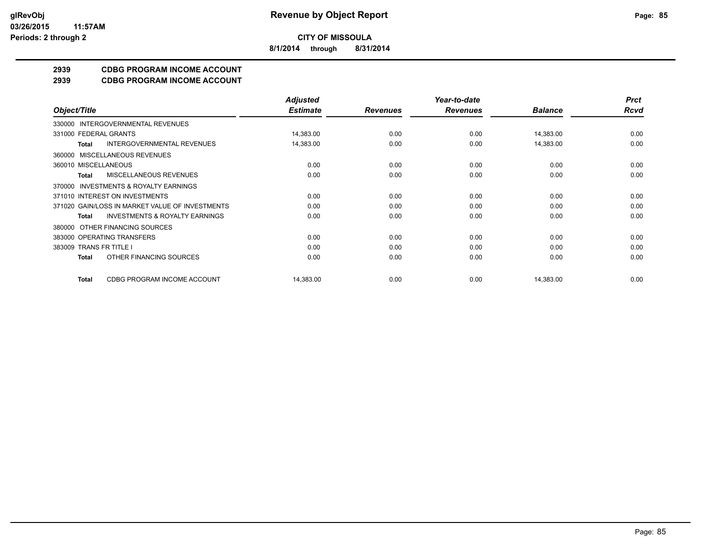**8/1/2014 through 8/31/2014**

### **2939 CDBG PROGRAM INCOME ACCOUNT**

**2939 CDBG PROGRAM INCOME ACCOUNT**

|                                                           | <b>Adjusted</b> |                 | Year-to-date    |                | <b>Prct</b> |
|-----------------------------------------------------------|-----------------|-----------------|-----------------|----------------|-------------|
| Object/Title                                              | <b>Estimate</b> | <b>Revenues</b> | <b>Revenues</b> | <b>Balance</b> | <b>Rcvd</b> |
| INTERGOVERNMENTAL REVENUES<br>330000                      |                 |                 |                 |                |             |
| 331000 FEDERAL GRANTS                                     | 14,383.00       | 0.00            | 0.00            | 14,383.00      | 0.00        |
| <b>INTERGOVERNMENTAL REVENUES</b><br><b>Total</b>         | 14,383.00       | 0.00            | 0.00            | 14,383.00      | 0.00        |
| MISCELLANEOUS REVENUES<br>360000                          |                 |                 |                 |                |             |
| 360010 MISCELLANEOUS                                      | 0.00            | 0.00            | 0.00            | 0.00           | 0.00        |
| <b>MISCELLANEOUS REVENUES</b><br>Total                    | 0.00            | 0.00            | 0.00            | 0.00           | 0.00        |
| <b>INVESTMENTS &amp; ROYALTY EARNINGS</b><br>370000       |                 |                 |                 |                |             |
| 371010 INTEREST ON INVESTMENTS                            | 0.00            | 0.00            | 0.00            | 0.00           | 0.00        |
| 371020 GAIN/LOSS IN MARKET VALUE OF INVESTMENTS           | 0.00            | 0.00            | 0.00            | 0.00           | 0.00        |
| <b>INVESTMENTS &amp; ROYALTY EARNINGS</b><br><b>Total</b> | 0.00            | 0.00            | 0.00            | 0.00           | 0.00        |
| OTHER FINANCING SOURCES<br>380000                         |                 |                 |                 |                |             |
| 383000 OPERATING TRANSFERS                                | 0.00            | 0.00            | 0.00            | 0.00           | 0.00        |
| 383009 TRANS FR TITLE I                                   | 0.00            | 0.00            | 0.00            | 0.00           | 0.00        |
| OTHER FINANCING SOURCES<br><b>Total</b>                   | 0.00            | 0.00            | 0.00            | 0.00           | 0.00        |
| CDBG PROGRAM INCOME ACCOUNT<br><b>Total</b>               | 14,383.00       | 0.00            | 0.00            | 14,383.00      | 0.00        |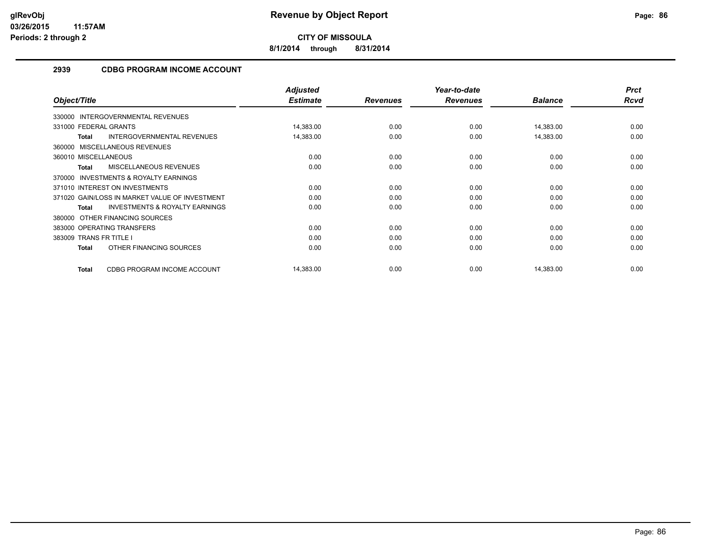**8/1/2014 through 8/31/2014**

### **2939 CDBG PROGRAM INCOME ACCOUNT**

|                                                     | <b>Adjusted</b> |                 | Year-to-date    |                | <b>Prct</b> |
|-----------------------------------------------------|-----------------|-----------------|-----------------|----------------|-------------|
| Object/Title                                        | <b>Estimate</b> | <b>Revenues</b> | <b>Revenues</b> | <b>Balance</b> | Rcvd        |
| 330000 INTERGOVERNMENTAL REVENUES                   |                 |                 |                 |                |             |
| 331000 FEDERAL GRANTS                               | 14,383.00       | 0.00            | 0.00            | 14,383.00      | 0.00        |
| INTERGOVERNMENTAL REVENUES<br><b>Total</b>          | 14,383.00       | 0.00            | 0.00            | 14,383.00      | 0.00        |
| 360000 MISCELLANEOUS REVENUES                       |                 |                 |                 |                |             |
| 360010 MISCELLANEOUS                                | 0.00            | 0.00            | 0.00            | 0.00           | 0.00        |
| <b>MISCELLANEOUS REVENUES</b><br><b>Total</b>       | 0.00            | 0.00            | 0.00            | 0.00           | 0.00        |
| <b>INVESTMENTS &amp; ROYALTY EARNINGS</b><br>370000 |                 |                 |                 |                |             |
| 371010 INTEREST ON INVESTMENTS                      | 0.00            | 0.00            | 0.00            | 0.00           | 0.00        |
| 371020 GAIN/LOSS IN MARKET VALUE OF INVESTMENT      | 0.00            | 0.00            | 0.00            | 0.00           | 0.00        |
| <b>INVESTMENTS &amp; ROYALTY EARNINGS</b><br>Total  | 0.00            | 0.00            | 0.00            | 0.00           | 0.00        |
| OTHER FINANCING SOURCES<br>380000                   |                 |                 |                 |                |             |
| 383000 OPERATING TRANSFERS                          | 0.00            | 0.00            | 0.00            | 0.00           | 0.00        |
| 383009 TRANS FR TITLE I                             | 0.00            | 0.00            | 0.00            | 0.00           | 0.00        |
| OTHER FINANCING SOURCES<br>Total                    | 0.00            | 0.00            | 0.00            | 0.00           | 0.00        |
| CDBG PROGRAM INCOME ACCOUNT<br><b>Total</b>         | 14,383.00       | 0.00            | 0.00            | 14,383.00      | 0.00        |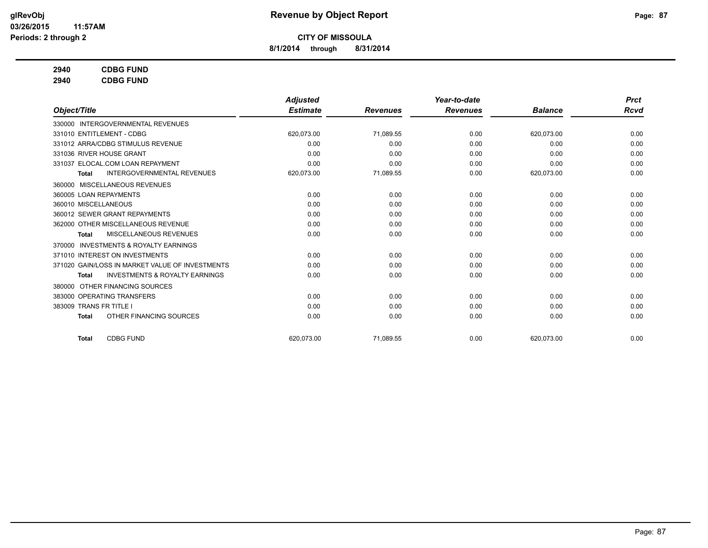**8/1/2014 through 8/31/2014**

### **2940 CDBG FUND**

**2940 CDBG FUND**

|                                                           | <b>Adjusted</b> |                 | Year-to-date    |                | <b>Prct</b> |
|-----------------------------------------------------------|-----------------|-----------------|-----------------|----------------|-------------|
| Object/Title                                              | <b>Estimate</b> | <b>Revenues</b> | <b>Revenues</b> | <b>Balance</b> | Rcvd        |
| 330000 INTERGOVERNMENTAL REVENUES                         |                 |                 |                 |                |             |
| 331010 ENTITLEMENT - CDBG                                 | 620,073.00      | 71,089.55       | 0.00            | 620,073.00     | 0.00        |
| 331012 ARRA/CDBG STIMULUS REVENUE                         | 0.00            | 0.00            | 0.00            | 0.00           | 0.00        |
| 331036 RIVER HOUSE GRANT                                  | 0.00            | 0.00            | 0.00            | 0.00           | 0.00        |
| 331037 ELOCAL.COM LOAN REPAYMENT                          | 0.00            | 0.00            | 0.00            | 0.00           | 0.00        |
| <b>INTERGOVERNMENTAL REVENUES</b><br><b>Total</b>         | 620,073.00      | 71,089.55       | 0.00            | 620,073.00     | 0.00        |
| 360000 MISCELLANEOUS REVENUES                             |                 |                 |                 |                |             |
| 360005 LOAN REPAYMENTS                                    | 0.00            | 0.00            | 0.00            | 0.00           | 0.00        |
| 360010 MISCELLANEOUS                                      | 0.00            | 0.00            | 0.00            | 0.00           | 0.00        |
| 360012 SEWER GRANT REPAYMENTS                             | 0.00            | 0.00            | 0.00            | 0.00           | 0.00        |
| 362000 OTHER MISCELLANEOUS REVENUE                        | 0.00            | 0.00            | 0.00            | 0.00           | 0.00        |
| MISCELLANEOUS REVENUES<br><b>Total</b>                    | 0.00            | 0.00            | 0.00            | 0.00           | 0.00        |
| <b>INVESTMENTS &amp; ROYALTY EARNINGS</b><br>370000       |                 |                 |                 |                |             |
| 371010 INTEREST ON INVESTMENTS                            | 0.00            | 0.00            | 0.00            | 0.00           | 0.00        |
| 371020 GAIN/LOSS IN MARKET VALUE OF INVESTMENTS           | 0.00            | 0.00            | 0.00            | 0.00           | 0.00        |
| <b>INVESTMENTS &amp; ROYALTY EARNINGS</b><br><b>Total</b> | 0.00            | 0.00            | 0.00            | 0.00           | 0.00        |
| OTHER FINANCING SOURCES<br>380000                         |                 |                 |                 |                |             |
| 383000 OPERATING TRANSFERS                                | 0.00            | 0.00            | 0.00            | 0.00           | 0.00        |
| 383009 TRANS FR TITLE I                                   | 0.00            | 0.00            | 0.00            | 0.00           | 0.00        |
| OTHER FINANCING SOURCES<br><b>Total</b>                   | 0.00            | 0.00            | 0.00            | 0.00           | 0.00        |
| <b>CDBG FUND</b><br><b>Total</b>                          | 620.073.00      | 71,089.55       | 0.00            | 620.073.00     | 0.00        |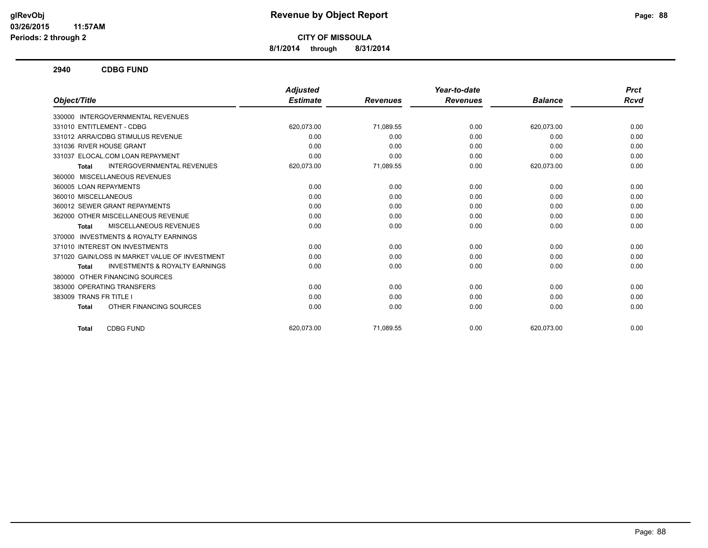**8/1/2014 through 8/31/2014**

**2940 CDBG FUND**

|                                                           | <b>Adjusted</b> |                 | Year-to-date    |                | <b>Prct</b> |
|-----------------------------------------------------------|-----------------|-----------------|-----------------|----------------|-------------|
| Object/Title                                              | <b>Estimate</b> | <b>Revenues</b> | <b>Revenues</b> | <b>Balance</b> | Rcvd        |
| 330000 INTERGOVERNMENTAL REVENUES                         |                 |                 |                 |                |             |
| 331010 ENTITLEMENT - CDBG                                 | 620,073.00      | 71,089.55       | 0.00            | 620,073.00     | 0.00        |
| 331012 ARRA/CDBG STIMULUS REVENUE                         | 0.00            | 0.00            | 0.00            | 0.00           | 0.00        |
| 331036 RIVER HOUSE GRANT                                  | 0.00            | 0.00            | 0.00            | 0.00           | 0.00        |
| 331037 ELOCAL.COM LOAN REPAYMENT                          | 0.00            | 0.00            | 0.00            | 0.00           | 0.00        |
| <b>INTERGOVERNMENTAL REVENUES</b><br>Total                | 620,073.00      | 71,089.55       | 0.00            | 620,073.00     | 0.00        |
| 360000 MISCELLANEOUS REVENUES                             |                 |                 |                 |                |             |
| 360005 LOAN REPAYMENTS                                    | 0.00            | 0.00            | 0.00            | 0.00           | 0.00        |
| 360010 MISCELLANEOUS                                      | 0.00            | 0.00            | 0.00            | 0.00           | 0.00        |
| 360012 SEWER GRANT REPAYMENTS                             | 0.00            | 0.00            | 0.00            | 0.00           | 0.00        |
| 362000 OTHER MISCELLANEOUS REVENUE                        | 0.00            | 0.00            | 0.00            | 0.00           | 0.00        |
| <b>MISCELLANEOUS REVENUES</b><br>Total                    | 0.00            | 0.00            | 0.00            | 0.00           | 0.00        |
| <b>INVESTMENTS &amp; ROYALTY EARNINGS</b><br>370000       |                 |                 |                 |                |             |
| 371010 INTEREST ON INVESTMENTS                            | 0.00            | 0.00            | 0.00            | 0.00           | 0.00        |
| 371020 GAIN/LOSS IN MARKET VALUE OF INVESTMENT            | 0.00            | 0.00            | 0.00            | 0.00           | 0.00        |
| <b>INVESTMENTS &amp; ROYALTY EARNINGS</b><br><b>Total</b> | 0.00            | 0.00            | 0.00            | 0.00           | 0.00        |
| 380000 OTHER FINANCING SOURCES                            |                 |                 |                 |                |             |
| 383000 OPERATING TRANSFERS                                | 0.00            | 0.00            | 0.00            | 0.00           | 0.00        |
| 383009 TRANS FR TITLE I                                   | 0.00            | 0.00            | 0.00            | 0.00           | 0.00        |
| OTHER FINANCING SOURCES<br><b>Total</b>                   | 0.00            | 0.00            | 0.00            | 0.00           | 0.00        |
| <b>CDBG FUND</b><br><b>Total</b>                          | 620.073.00      | 71.089.55       | 0.00            | 620.073.00     | 0.00        |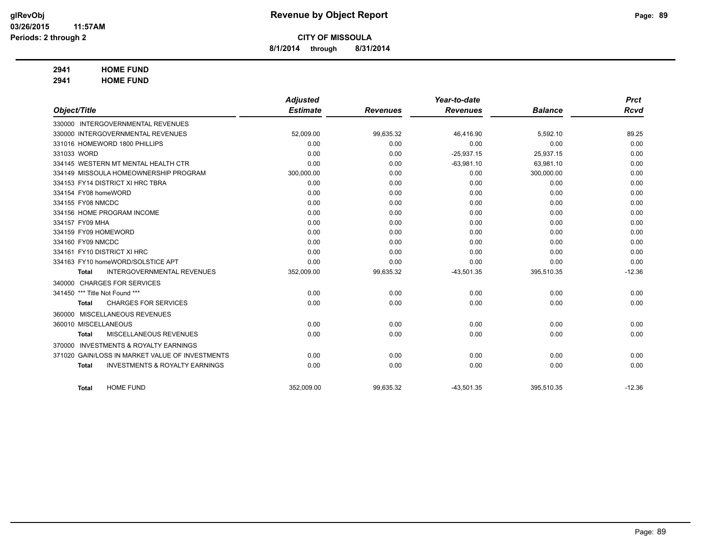**8/1/2014 through 8/31/2014**

### **2941 HOME FUND**

**2941 HOME FUND**

|                      |                                                 | <b>Adjusted</b> |                 | Year-to-date    |                | <b>Prct</b> |
|----------------------|-------------------------------------------------|-----------------|-----------------|-----------------|----------------|-------------|
| Object/Title         |                                                 | <b>Estimate</b> | <b>Revenues</b> | <b>Revenues</b> | <b>Balance</b> | <b>Rcvd</b> |
|                      | 330000 INTERGOVERNMENTAL REVENUES               |                 |                 |                 |                |             |
|                      | 330000 INTERGOVERNMENTAL REVENUES               | 52,009.00       | 99,635.32       | 46,416.90       | 5,592.10       | 89.25       |
|                      | 331016 HOMEWORD 1800 PHILLIPS                   | 0.00            | 0.00            | 0.00            | 0.00           | 0.00        |
| 331033 WORD          |                                                 | 0.00            | 0.00            | $-25,937.15$    | 25,937.15      | 0.00        |
|                      | 334145 WESTERN MT MENTAL HEALTH CTR             | 0.00            | 0.00            | $-63,981.10$    | 63,981.10      | 0.00        |
|                      | 334149 MISSOULA HOMEOWNERSHIP PROGRAM           | 300,000.00      | 0.00            | 0.00            | 300,000.00     | 0.00        |
|                      | 334153 FY14 DISTRICT XI HRC TBRA                | 0.00            | 0.00            | 0.00            | 0.00           | 0.00        |
| 334154 FY08 homeWORD |                                                 | 0.00            | 0.00            | 0.00            | 0.00           | 0.00        |
| 334155 FY08 NMCDC    |                                                 | 0.00            | 0.00            | 0.00            | 0.00           | 0.00        |
|                      | 334156 HOME PROGRAM INCOME                      | 0.00            | 0.00            | 0.00            | 0.00           | 0.00        |
| 334157 FY09 MHA      |                                                 | 0.00            | 0.00            | 0.00            | 0.00           | 0.00        |
| 334159 FY09 HOMEWORD |                                                 | 0.00            | 0.00            | 0.00            | 0.00           | 0.00        |
| 334160 FY09 NMCDC    |                                                 | 0.00            | 0.00            | 0.00            | 0.00           | 0.00        |
|                      | 334161 FY10 DISTRICT XI HRC                     | 0.00            | 0.00            | 0.00            | 0.00           | 0.00        |
|                      | 334163 FY10 homeWORD/SOLSTICE APT               | 0.00            | 0.00            | 0.00            | 0.00           | 0.00        |
| <b>Total</b>         | <b>INTERGOVERNMENTAL REVENUES</b>               | 352,009.00      | 99,635.32       | $-43,501.35$    | 395,510.35     | $-12.36$    |
|                      | 340000 CHARGES FOR SERVICES                     |                 |                 |                 |                |             |
| 341450               | *** Title Not Found ***                         | 0.00            | 0.00            | 0.00            | 0.00           | 0.00        |
| <b>Total</b>         | <b>CHARGES FOR SERVICES</b>                     | 0.00            | 0.00            | 0.00            | 0.00           | 0.00        |
|                      | 360000 MISCELLANEOUS REVENUES                   |                 |                 |                 |                |             |
| 360010 MISCELLANEOUS |                                                 | 0.00            | 0.00            | 0.00            | 0.00           | 0.00        |
| <b>Total</b>         | MISCELLANEOUS REVENUES                          | 0.00            | 0.00            | 0.00            | 0.00           | 0.00        |
| 370000               | <b>INVESTMENTS &amp; ROYALTY EARNINGS</b>       |                 |                 |                 |                |             |
|                      | 371020 GAIN/LOSS IN MARKET VALUE OF INVESTMENTS | 0.00            | 0.00            | 0.00            | 0.00           | 0.00        |
| <b>Total</b>         | <b>INVESTMENTS &amp; ROYALTY EARNINGS</b>       | 0.00            | 0.00            | 0.00            | 0.00           | 0.00        |
|                      |                                                 |                 |                 |                 |                |             |
| <b>Total</b>         | <b>HOME FUND</b>                                | 352,009.00      | 99,635.32       | $-43,501.35$    | 395,510.35     | $-12.36$    |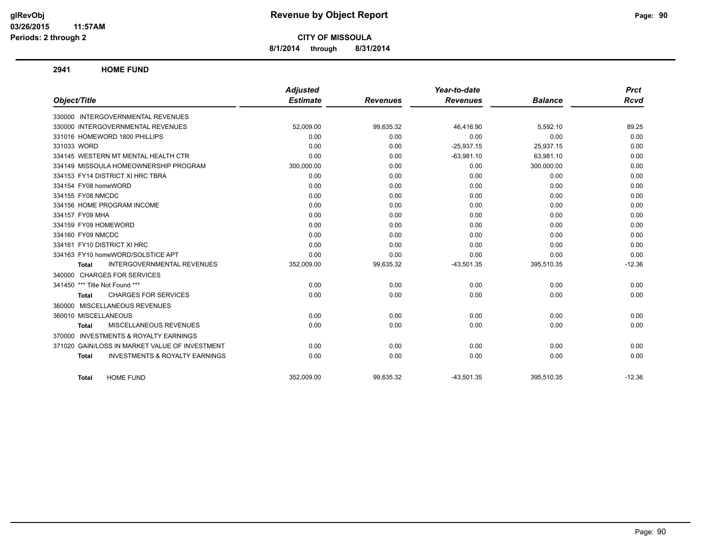**8/1/2014 through 8/31/2014**

#### **2941 HOME FUND**

|                                                           | <b>Adjusted</b> |                 | Year-to-date    |                | <b>Prct</b> |
|-----------------------------------------------------------|-----------------|-----------------|-----------------|----------------|-------------|
| Object/Title                                              | <b>Estimate</b> | <b>Revenues</b> | <b>Revenues</b> | <b>Balance</b> | Rcvd        |
| 330000 INTERGOVERNMENTAL REVENUES                         |                 |                 |                 |                |             |
| 330000 INTERGOVERNMENTAL REVENUES                         | 52,009.00       | 99,635.32       | 46.416.90       | 5,592.10       | 89.25       |
| 331016 HOMEWORD 1800 PHILLIPS                             | 0.00            | 0.00            | 0.00            | 0.00           | 0.00        |
| 331033 WORD                                               | 0.00            | 0.00            | $-25,937.15$    | 25,937.15      | 0.00        |
| 334145 WESTERN MT MENTAL HEALTH CTR                       | 0.00            | 0.00            | $-63,981.10$    | 63,981.10      | 0.00        |
| 334149 MISSOULA HOMEOWNERSHIP PROGRAM                     | 300,000.00      | 0.00            | 0.00            | 300,000.00     | 0.00        |
| 334153 FY14 DISTRICT XI HRC TBRA                          | 0.00            | 0.00            | 0.00            | 0.00           | 0.00        |
| 334154 FY08 homeWORD                                      | 0.00            | 0.00            | 0.00            | 0.00           | 0.00        |
| 334155 FY08 NMCDC                                         | 0.00            | 0.00            | 0.00            | 0.00           | 0.00        |
| 334156 HOME PROGRAM INCOME                                | 0.00            | 0.00            | 0.00            | 0.00           | 0.00        |
| 334157 FY09 MHA                                           | 0.00            | 0.00            | 0.00            | 0.00           | 0.00        |
| 334159 FY09 HOMEWORD                                      | 0.00            | 0.00            | 0.00            | 0.00           | 0.00        |
| 334160 FY09 NMCDC                                         | 0.00            | 0.00            | 0.00            | 0.00           | 0.00        |
| 334161 FY10 DISTRICT XI HRC                               | 0.00            | 0.00            | 0.00            | 0.00           | 0.00        |
| 334163 FY10 homeWORD/SOLSTICE APT                         | 0.00            | 0.00            | 0.00            | 0.00           | 0.00        |
| <b>INTERGOVERNMENTAL REVENUES</b><br><b>Total</b>         | 352,009.00      | 99,635.32       | $-43,501.35$    | 395,510.35     | $-12.36$    |
| 340000 CHARGES FOR SERVICES                               |                 |                 |                 |                |             |
| 341450 *** Title Not Found ***                            | 0.00            | 0.00            | 0.00            | 0.00           | 0.00        |
| <b>CHARGES FOR SERVICES</b><br>Total                      | 0.00            | 0.00            | 0.00            | 0.00           | 0.00        |
| 360000 MISCELLANEOUS REVENUES                             |                 |                 |                 |                |             |
| 360010 MISCELLANEOUS                                      | 0.00            | 0.00            | 0.00            | 0.00           | 0.00        |
| MISCELLANEOUS REVENUES<br><b>Total</b>                    | 0.00            | 0.00            | 0.00            | 0.00           | 0.00        |
| 370000 INVESTMENTS & ROYALTY EARNINGS                     |                 |                 |                 |                |             |
| 371020 GAIN/LOSS IN MARKET VALUE OF INVESTMENT            | 0.00            | 0.00            | 0.00            | 0.00           | 0.00        |
| <b>INVESTMENTS &amp; ROYALTY EARNINGS</b><br><b>Total</b> | 0.00            | 0.00            | 0.00            | 0.00           | 0.00        |
| <b>HOME FUND</b><br>Total                                 | 352,009.00      | 99,635.32       | $-43,501.35$    | 395,510.35     | $-12.36$    |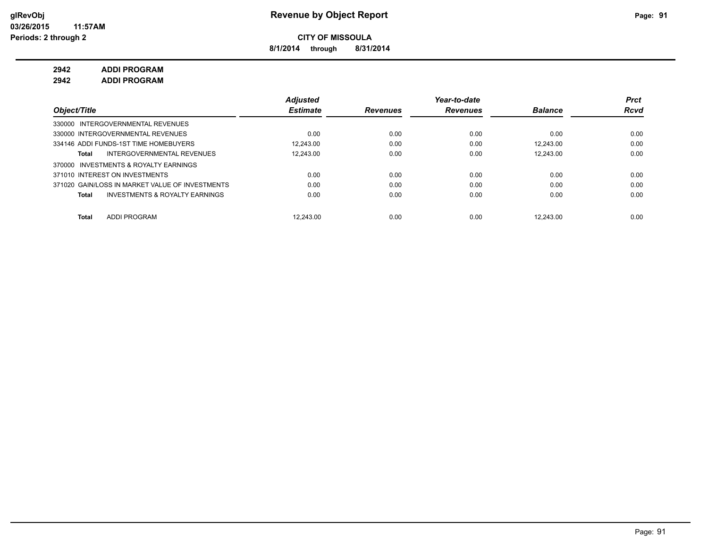**8/1/2014 through 8/31/2014**

**2942 ADDI PROGRAM**

**2942 ADDI PROGRAM**

|                                                 |                                           | <b>Adjusted</b> |                 | Year-to-date    |                | <b>Prct</b> |
|-------------------------------------------------|-------------------------------------------|-----------------|-----------------|-----------------|----------------|-------------|
| Object/Title                                    |                                           | <b>Estimate</b> | <b>Revenues</b> | <b>Revenues</b> | <b>Balance</b> | <b>Rcvd</b> |
| 330000 INTERGOVERNMENTAL REVENUES               |                                           |                 |                 |                 |                |             |
| 330000 INTERGOVERNMENTAL REVENUES               |                                           | 0.00            | 0.00            | 0.00            | 0.00           | 0.00        |
| 334146 ADDI FUNDS-1ST TIME HOMEBUYERS           |                                           | 12.243.00       | 0.00            | 0.00            | 12.243.00      | 0.00        |
| Total                                           | INTERGOVERNMENTAL REVENUES                | 12.243.00       | 0.00            | 0.00            | 12.243.00      | 0.00        |
| 370000 INVESTMENTS & ROYALTY EARNINGS           |                                           |                 |                 |                 |                |             |
| 371010 INTEREST ON INVESTMENTS                  |                                           | 0.00            | 0.00            | 0.00            | 0.00           | 0.00        |
| 371020 GAIN/LOSS IN MARKET VALUE OF INVESTMENTS |                                           | 0.00            | 0.00            | 0.00            | 0.00           | 0.00        |
| Total                                           | <b>INVESTMENTS &amp; ROYALTY EARNINGS</b> | 0.00            | 0.00            | 0.00            | 0.00           | 0.00        |
| ADDI PROGRAM<br>Total                           |                                           | 12.243.00       | 0.00            | 0.00            | 12.243.00      | 0.00        |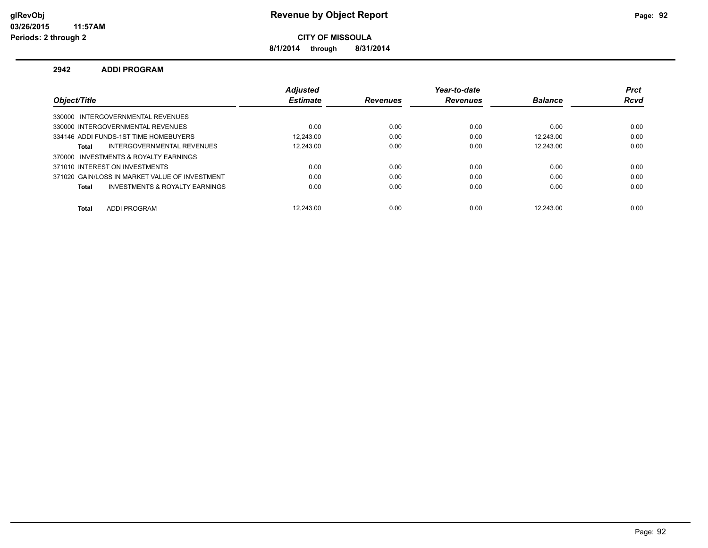### **glRevObj Revenue by Object Report Page: 92**

**CITY OF MISSOULA**

**8/1/2014 through 8/31/2014**

#### **2942 ADDI PROGRAM**

|                                                | <b>Adiusted</b> |                 | Year-to-date    |                | <b>Prct</b> |
|------------------------------------------------|-----------------|-----------------|-----------------|----------------|-------------|
| Object/Title                                   | <b>Estimate</b> | <b>Revenues</b> | <b>Revenues</b> | <b>Balance</b> | <b>Rcvd</b> |
| 330000 INTERGOVERNMENTAL REVENUES              |                 |                 |                 |                |             |
| 330000 INTERGOVERNMENTAL REVENUES              | 0.00            | 0.00            | 0.00            | 0.00           | 0.00        |
| 334146 ADDI FUNDS-1ST TIME HOMEBUYERS          | 12.243.00       | 0.00            | 0.00            | 12.243.00      | 0.00        |
| INTERGOVERNMENTAL REVENUES<br><b>Total</b>     | 12.243.00       | 0.00            | 0.00            | 12.243.00      | 0.00        |
| 370000 INVESTMENTS & ROYALTY EARNINGS          |                 |                 |                 |                |             |
| 371010 INTEREST ON INVESTMENTS                 | 0.00            | 0.00            | 0.00            | 0.00           | 0.00        |
| 371020 GAIN/LOSS IN MARKET VALUE OF INVESTMENT | 0.00            | 0.00            | 0.00            | 0.00           | 0.00        |
| INVESTMENTS & ROYALTY EARNINGS<br><b>Total</b> | 0.00            | 0.00            | 0.00            | 0.00           | 0.00        |
| <b>ADDI PROGRAM</b><br><b>Total</b>            | 12.243.00       | 0.00            | 0.00            | 12.243.00      | 0.00        |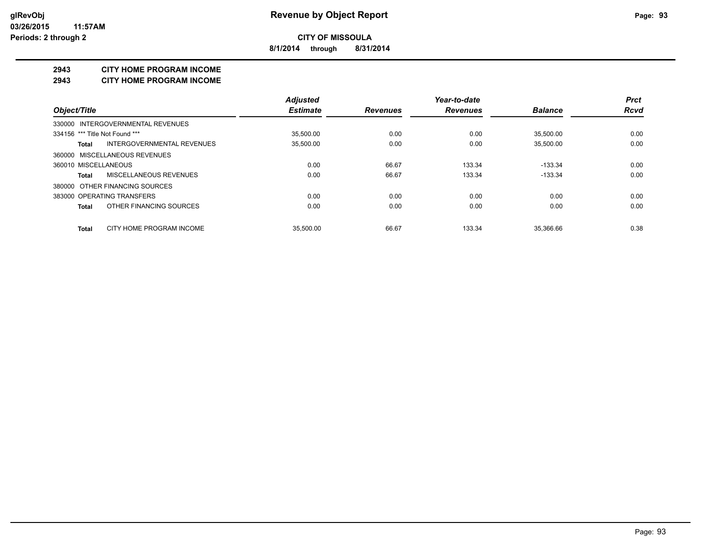**8/1/2014 through 8/31/2014**

#### **2943 CITY HOME PROGRAM INCOME**

#### **2943 CITY HOME PROGRAM INCOME**

|                                     | <b>Adjusted</b> |                 | Year-to-date    |                | <b>Prct</b> |
|-------------------------------------|-----------------|-----------------|-----------------|----------------|-------------|
| Object/Title                        | <b>Estimate</b> | <b>Revenues</b> | <b>Revenues</b> | <b>Balance</b> | <b>Rcvd</b> |
| 330000 INTERGOVERNMENTAL REVENUES   |                 |                 |                 |                |             |
| 334156 *** Title Not Found ***      | 35.500.00       | 0.00            | 0.00            | 35.500.00      | 0.00        |
| INTERGOVERNMENTAL REVENUES<br>Total | 35,500.00       | 0.00            | 0.00            | 35,500.00      | 0.00        |
| 360000 MISCELLANEOUS REVENUES       |                 |                 |                 |                |             |
| 360010 MISCELLANEOUS                | 0.00            | 66.67           | 133.34          | $-133.34$      | 0.00        |
| MISCELLANEOUS REVENUES<br>Total     | 0.00            | 66.67           | 133.34          | $-133.34$      | 0.00        |
| 380000 OTHER FINANCING SOURCES      |                 |                 |                 |                |             |
| 383000 OPERATING TRANSFERS          | 0.00            | 0.00            | 0.00            | 0.00           | 0.00        |
| OTHER FINANCING SOURCES<br>Total    | 0.00            | 0.00            | 0.00            | 0.00           | 0.00        |
| CITY HOME PROGRAM INCOME<br>Total   | 35.500.00       | 66.67           | 133.34          | 35.366.66      | 0.38        |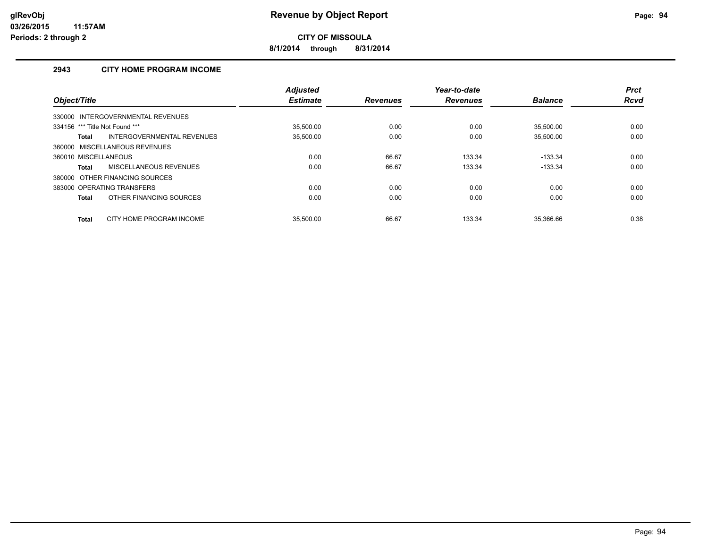**8/1/2014 through 8/31/2014**

### **2943 CITY HOME PROGRAM INCOME**

|                                          | <b>Adjusted</b> |                 | Year-to-date    |                | <b>Prct</b> |
|------------------------------------------|-----------------|-----------------|-----------------|----------------|-------------|
| Object/Title                             | <b>Estimate</b> | <b>Revenues</b> | <b>Revenues</b> | <b>Balance</b> | <b>Rcvd</b> |
| 330000 INTERGOVERNMENTAL REVENUES        |                 |                 |                 |                |             |
| 334156 *** Title Not Found ***           | 35.500.00       | 0.00            | 0.00            | 35.500.00      | 0.00        |
| INTERGOVERNMENTAL REVENUES<br>Total      | 35,500.00       | 0.00            | 0.00            | 35,500.00      | 0.00        |
| 360000 MISCELLANEOUS REVENUES            |                 |                 |                 |                |             |
| 360010 MISCELLANEOUS                     | 0.00            | 66.67           | 133.34          | $-133.34$      | 0.00        |
| MISCELLANEOUS REVENUES<br>Total          | 0.00            | 66.67           | 133.34          | $-133.34$      | 0.00        |
| OTHER FINANCING SOURCES<br>380000        |                 |                 |                 |                |             |
| 383000 OPERATING TRANSFERS               | 0.00            | 0.00            | 0.00            | 0.00           | 0.00        |
| OTHER FINANCING SOURCES<br>Total         | 0.00            | 0.00            | 0.00            | 0.00           | 0.00        |
| CITY HOME PROGRAM INCOME<br><b>Total</b> | 35.500.00       | 66.67           | 133.34          | 35.366.66      | 0.38        |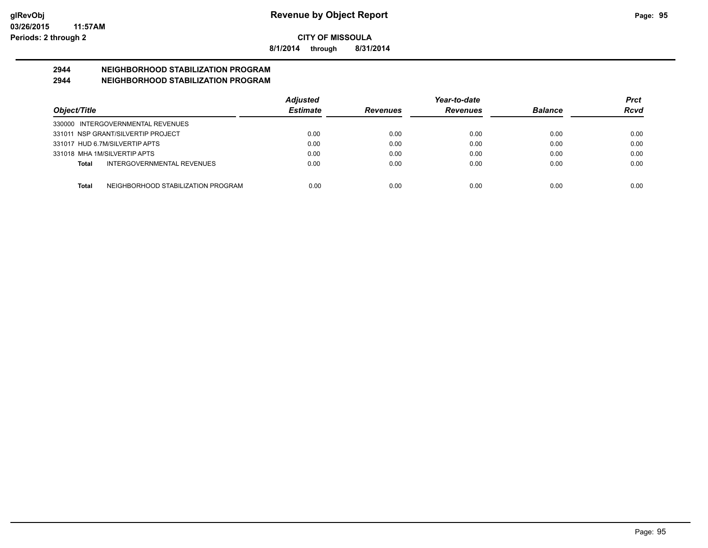**8/1/2014 through 8/31/2014**

# **2944 NEIGHBORHOOD STABILIZATION PROGRAM**

### **2944 NEIGHBORHOOD STABILIZATION PROGRAM**

|                                                    | <b>Adjusted</b> |                 | Year-to-date    |                | Prct |
|----------------------------------------------------|-----------------|-----------------|-----------------|----------------|------|
| Object/Title                                       | <b>Estimate</b> | <b>Revenues</b> | <b>Revenues</b> | <b>Balance</b> | Rcvd |
| 330000 INTERGOVERNMENTAL REVENUES                  |                 |                 |                 |                |      |
| 331011 NSP GRANT/SILVERTIP PROJECT                 | 0.00            | 0.00            | 0.00            | 0.00           | 0.00 |
| 331017 HUD 6.7M/SILVERTIP APTS                     | 0.00            | 0.00            | 0.00            | 0.00           | 0.00 |
| 331018 MHA 1M/SILVERTIP APTS                       | 0.00            | 0.00            | 0.00            | 0.00           | 0.00 |
| INTERGOVERNMENTAL REVENUES<br>Total                | 0.00            | 0.00            | 0.00            | 0.00           | 0.00 |
| NEIGHBORHOOD STABILIZATION PROGRAM<br><b>Total</b> | 0.00            | 0.00            | 0.00            | 0.00           | 0.00 |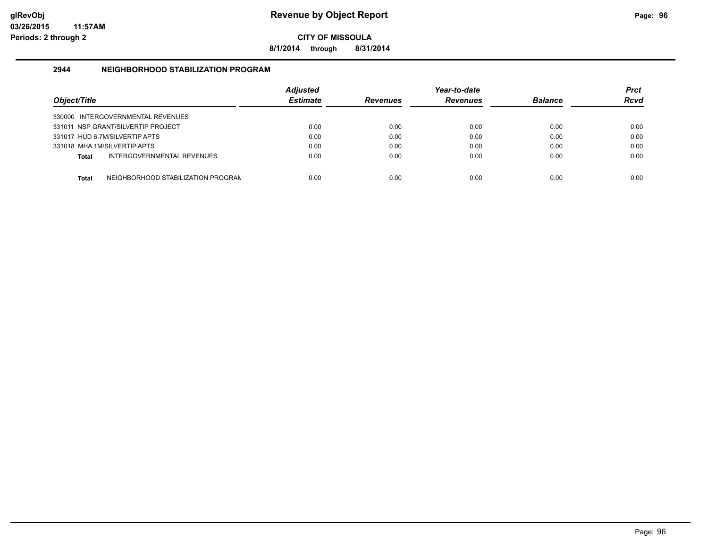**8/1/2014 through 8/31/2014**

#### **2944 NEIGHBORHOOD STABILIZATION PROGRAM**

| Object/Title |                                    | <b>Adiusted</b><br><b>Estimate</b> | <b>Revenues</b> | Year-to-date<br><b>Revenues</b> | <b>Balance</b> | Prct<br><b>Rcvd</b> |
|--------------|------------------------------------|------------------------------------|-----------------|---------------------------------|----------------|---------------------|
|              | 330000 INTERGOVERNMENTAL REVENUES  |                                    |                 |                                 |                |                     |
|              | 331011 NSP GRANT/SILVERTIP PROJECT | 0.00                               | 0.00            | 0.00                            | 0.00           | 0.00                |
|              | 331017 HUD 6.7M/SILVERTIP APTS     | 0.00                               | 0.00            | 0.00                            | 0.00           | 0.00                |
|              | 331018 MHA 1M/SILVERTIP APTS       | 0.00                               | 0.00            | 0.00                            | 0.00           | 0.00                |
| Total        | INTERGOVERNMENTAL REVENUES         | 0.00                               | 0.00            | 0.00                            | 0.00           | 0.00                |
| <b>Total</b> | NEIGHBORHOOD STABILIZATION PROGRAN | 0.00                               | 0.00            | 0.00                            | 0.00           | 0.00                |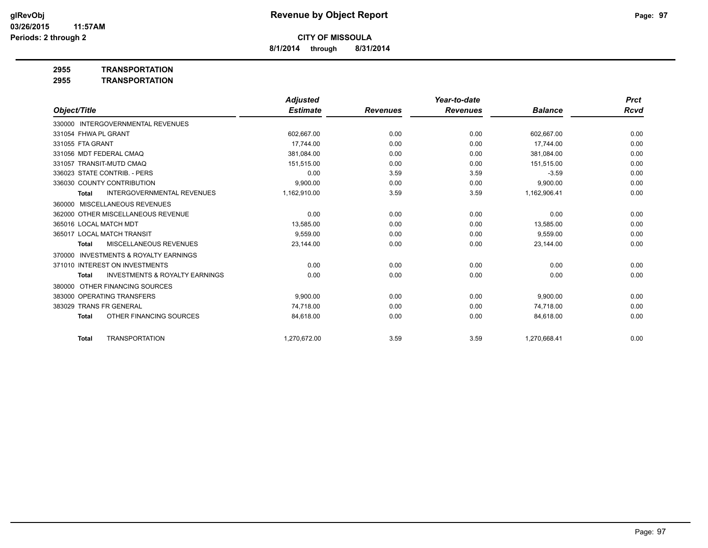**8/1/2014 through 8/31/2014**

### **2955 TRANSPORTATION**

**2955 TRANSPORTATION**

|                                                           | <b>Adjusted</b> |                 | Year-to-date    |                | <b>Prct</b> |
|-----------------------------------------------------------|-----------------|-----------------|-----------------|----------------|-------------|
| Object/Title                                              | <b>Estimate</b> | <b>Revenues</b> | <b>Revenues</b> | <b>Balance</b> | Rcvd        |
| 330000 INTERGOVERNMENTAL REVENUES                         |                 |                 |                 |                |             |
| 331054 FHWA PL GRANT                                      | 602,667.00      | 0.00            | 0.00            | 602,667.00     | 0.00        |
| 331055 FTA GRANT                                          | 17.744.00       | 0.00            | 0.00            | 17,744.00      | 0.00        |
| 331056 MDT FEDERAL CMAQ                                   | 381,084.00      | 0.00            | 0.00            | 381,084.00     | 0.00        |
| 331057 TRANSIT-MUTD CMAQ                                  | 151,515.00      | 0.00            | 0.00            | 151,515.00     | 0.00        |
| 336023 STATE CONTRIB. - PERS                              | 0.00            | 3.59            | 3.59            | $-3.59$        | 0.00        |
| 336030 COUNTY CONTRIBUTION                                | 9,900.00        | 0.00            | 0.00            | 9,900.00       | 0.00        |
| <b>INTERGOVERNMENTAL REVENUES</b><br><b>Total</b>         | 1,162,910.00    | 3.59            | 3.59            | 1,162,906.41   | 0.00        |
| 360000 MISCELLANEOUS REVENUES                             |                 |                 |                 |                |             |
| 362000 OTHER MISCELLANEOUS REVENUE                        | 0.00            | 0.00            | 0.00            | 0.00           | 0.00        |
| 365016 LOCAL MATCH MDT                                    | 13,585.00       | 0.00            | 0.00            | 13,585.00      | 0.00        |
| 365017 LOCAL MATCH TRANSIT                                | 9.559.00        | 0.00            | 0.00            | 9,559.00       | 0.00        |
| <b>MISCELLANEOUS REVENUES</b><br><b>Total</b>             | 23,144.00       | 0.00            | 0.00            | 23,144.00      | 0.00        |
| INVESTMENTS & ROYALTY EARNINGS<br>370000                  |                 |                 |                 |                |             |
| 371010 INTEREST ON INVESTMENTS                            | 0.00            | 0.00            | 0.00            | 0.00           | 0.00        |
| <b>INVESTMENTS &amp; ROYALTY EARNINGS</b><br><b>Total</b> | 0.00            | 0.00            | 0.00            | 0.00           | 0.00        |
| OTHER FINANCING SOURCES<br>380000                         |                 |                 |                 |                |             |
| 383000 OPERATING TRANSFERS                                | 9.900.00        | 0.00            | 0.00            | 9,900.00       | 0.00        |
| 383029 TRANS FR GENERAL                                   | 74.718.00       | 0.00            | 0.00            | 74.718.00      | 0.00        |
| OTHER FINANCING SOURCES<br><b>Total</b>                   | 84,618.00       | 0.00            | 0.00            | 84,618.00      | 0.00        |
| <b>TRANSPORTATION</b><br><b>Total</b>                     | 1.270.672.00    | 3.59            | 3.59            | 1.270.668.41   | 0.00        |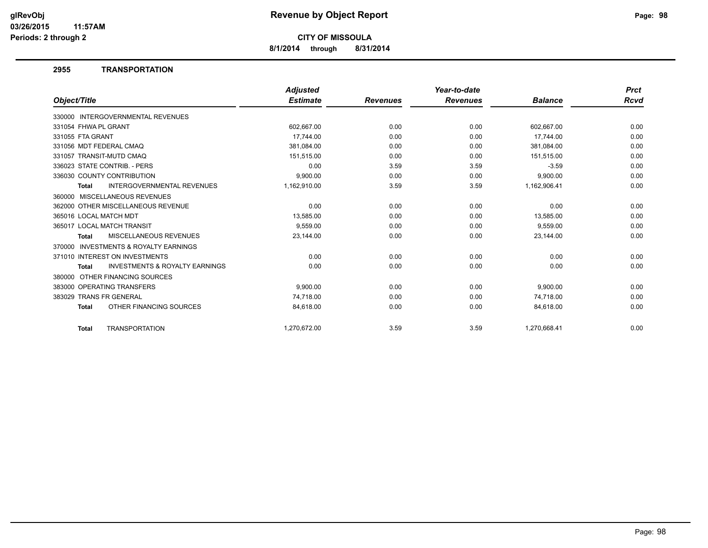**8/1/2014 through 8/31/2014**

#### **2955 TRANSPORTATION**

|                         |                                           | <b>Adjusted</b> |                 | Year-to-date    |                | <b>Prct</b> |
|-------------------------|-------------------------------------------|-----------------|-----------------|-----------------|----------------|-------------|
| Object/Title            |                                           | <b>Estimate</b> | <b>Revenues</b> | <b>Revenues</b> | <b>Balance</b> | Rcvd        |
|                         | 330000 INTERGOVERNMENTAL REVENUES         |                 |                 |                 |                |             |
| 331054 FHWA PL GRANT    |                                           | 602,667.00      | 0.00            | 0.00            | 602,667.00     | 0.00        |
| 331055 FTA GRANT        |                                           | 17.744.00       | 0.00            | 0.00            | 17,744.00      | 0.00        |
|                         | 331056 MDT FEDERAL CMAO                   | 381,084.00      | 0.00            | 0.00            | 381,084.00     | 0.00        |
|                         | 331057 TRANSIT-MUTD CMAQ                  | 151,515.00      | 0.00            | 0.00            | 151,515.00     | 0.00        |
|                         | 336023 STATE CONTRIB. - PERS              | 0.00            | 3.59            | 3.59            | $-3.59$        | 0.00        |
|                         | 336030 COUNTY CONTRIBUTION                | 9,900.00        | 0.00            | 0.00            | 9,900.00       | 0.00        |
| <b>Total</b>            | <b>INTERGOVERNMENTAL REVENUES</b>         | 1,162,910.00    | 3.59            | 3.59            | 1,162,906.41   | 0.00        |
|                         | 360000 MISCELLANEOUS REVENUES             |                 |                 |                 |                |             |
|                         | 362000 OTHER MISCELLANEOUS REVENUE        | 0.00            | 0.00            | 0.00            | 0.00           | 0.00        |
| 365016 LOCAL MATCH MDT  |                                           | 13.585.00       | 0.00            | 0.00            | 13,585.00      | 0.00        |
|                         | 365017 LOCAL MATCH TRANSIT                | 9,559.00        | 0.00            | 0.00            | 9,559.00       | 0.00        |
| Total                   | MISCELLANEOUS REVENUES                    | 23,144.00       | 0.00            | 0.00            | 23,144.00      | 0.00        |
|                         | 370000 INVESTMENTS & ROYALTY EARNINGS     |                 |                 |                 |                |             |
|                         | 371010 INTEREST ON INVESTMENTS            | 0.00            | 0.00            | 0.00            | 0.00           | 0.00        |
| <b>Total</b>            | <b>INVESTMENTS &amp; ROYALTY EARNINGS</b> | 0.00            | 0.00            | 0.00            | 0.00           | 0.00        |
|                         | 380000 OTHER FINANCING SOURCES            |                 |                 |                 |                |             |
|                         | 383000 OPERATING TRANSFERS                | 9,900.00        | 0.00            | 0.00            | 9,900.00       | 0.00        |
| 383029 TRANS FR GENERAL |                                           | 74,718.00       | 0.00            | 0.00            | 74,718.00      | 0.00        |
| <b>Total</b>            | OTHER FINANCING SOURCES                   | 84,618.00       | 0.00            | 0.00            | 84,618.00      | 0.00        |
| <b>Total</b>            | <b>TRANSPORTATION</b>                     | 1.270.672.00    | 3.59            | 3.59            | 1,270,668.41   | 0.00        |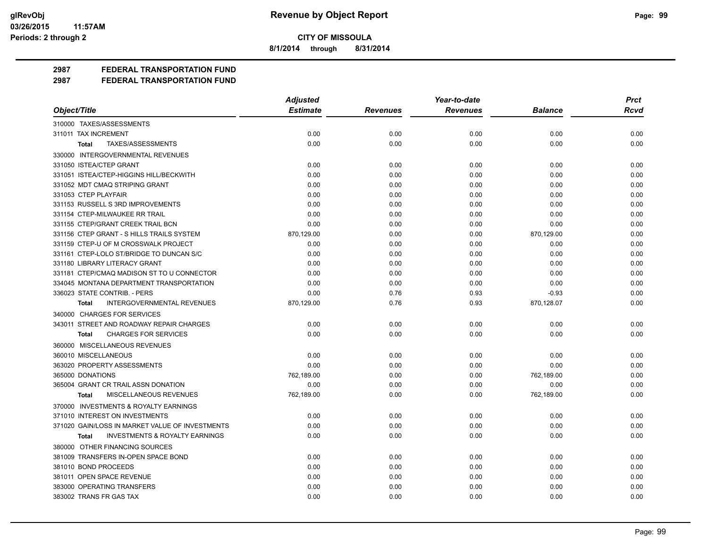**8/1/2014 through 8/31/2014**

### **2987 FEDERAL TRANSPORTATION FUND**

|                                                           | <b>Adjusted</b> | Year-to-date    |                 |                | <b>Prct</b> |  |
|-----------------------------------------------------------|-----------------|-----------------|-----------------|----------------|-------------|--|
| Object/Title                                              | <b>Estimate</b> | <b>Revenues</b> | <b>Revenues</b> | <b>Balance</b> | <b>Rcvd</b> |  |
| 310000 TAXES/ASSESSMENTS                                  |                 |                 |                 |                |             |  |
| 311011 TAX INCREMENT                                      | 0.00            | 0.00            | 0.00            | 0.00           | 0.00        |  |
| TAXES/ASSESSMENTS<br>Total                                | 0.00            | 0.00            | 0.00            | 0.00           | 0.00        |  |
| 330000 INTERGOVERNMENTAL REVENUES                         |                 |                 |                 |                |             |  |
| 331050 ISTEA/CTEP GRANT                                   | 0.00            | 0.00            | 0.00            | 0.00           | 0.00        |  |
| 331051 ISTEA/CTEP-HIGGINS HILL/BECKWITH                   | 0.00            | 0.00            | 0.00            | 0.00           | 0.00        |  |
| 331052 MDT CMAQ STRIPING GRANT                            | 0.00            | 0.00            | 0.00            | 0.00           | 0.00        |  |
| 331053 CTEP PLAYFAIR                                      | 0.00            | 0.00            | 0.00            | 0.00           | 0.00        |  |
| 331153 RUSSELL S 3RD IMPROVEMENTS                         | 0.00            | 0.00            | 0.00            | 0.00           | 0.00        |  |
| 331154 CTEP-MILWAUKEE RR TRAIL                            | 0.00            | 0.00            | 0.00            | 0.00           | 0.00        |  |
| 331155 CTEP/GRANT CREEK TRAIL BCN                         | 0.00            | 0.00            | 0.00            | 0.00           | 0.00        |  |
| 331156 CTEP GRANT - S HILLS TRAILS SYSTEM                 | 870,129.00      | 0.00            | 0.00            | 870,129.00     | 0.00        |  |
| 331159 CTEP-U OF M CROSSWALK PROJECT                      | 0.00            | 0.00            | 0.00            | 0.00           | 0.00        |  |
| 331161 CTEP-LOLO ST/BRIDGE TO DUNCAN S/C                  | 0.00            | 0.00            | 0.00            | 0.00           | 0.00        |  |
| 331180 LIBRARY LITERACY GRANT                             | 0.00            | 0.00            | 0.00            | 0.00           | 0.00        |  |
| 331181 CTEP/CMAQ MADISON ST TO U CONNECTOR                | 0.00            | 0.00            | 0.00            | 0.00           | 0.00        |  |
| 334045 MONTANA DEPARTMENT TRANSPORTATION                  | 0.00            | 0.00            | 0.00            | 0.00           | 0.00        |  |
| 336023 STATE CONTRIB. - PERS                              | 0.00            | 0.76            | 0.93            | $-0.93$        | 0.00        |  |
| <b>INTERGOVERNMENTAL REVENUES</b><br><b>Total</b>         | 870,129.00      | 0.76            | 0.93            | 870,128.07     | 0.00        |  |
| 340000 CHARGES FOR SERVICES                               |                 |                 |                 |                |             |  |
| 343011 STREET AND ROADWAY REPAIR CHARGES                  | 0.00            | 0.00            | 0.00            | 0.00           | 0.00        |  |
| <b>CHARGES FOR SERVICES</b><br><b>Total</b>               | 0.00            | 0.00            | 0.00            | 0.00           | 0.00        |  |
| 360000 MISCELLANEOUS REVENUES                             |                 |                 |                 |                |             |  |
| 360010 MISCELLANEOUS                                      | 0.00            | 0.00            | 0.00            | 0.00           | 0.00        |  |
| 363020 PROPERTY ASSESSMENTS                               | 0.00            | 0.00            | 0.00            | 0.00           | 0.00        |  |
| 365000 DONATIONS                                          | 762,189.00      | 0.00            | 0.00            | 762,189.00     | 0.00        |  |
| 365004 GRANT CR TRAIL ASSN DONATION                       | 0.00            | 0.00            | 0.00            | 0.00           | 0.00        |  |
| MISCELLANEOUS REVENUES<br>Total                           | 762,189.00      | 0.00            | 0.00            | 762,189.00     | 0.00        |  |
| 370000 INVESTMENTS & ROYALTY EARNINGS                     |                 |                 |                 |                |             |  |
| 371010 INTEREST ON INVESTMENTS                            | 0.00            | 0.00            | 0.00            | 0.00           | 0.00        |  |
| 371020 GAIN/LOSS IN MARKET VALUE OF INVESTMENTS           | 0.00            | 0.00            | 0.00            | 0.00           | 0.00        |  |
| <b>INVESTMENTS &amp; ROYALTY EARNINGS</b><br><b>Total</b> | 0.00            | 0.00            | 0.00            | 0.00           | 0.00        |  |
| 380000 OTHER FINANCING SOURCES                            |                 |                 |                 |                |             |  |
| 381009 TRANSFERS IN-OPEN SPACE BOND                       | 0.00            | 0.00            | 0.00            | 0.00           | 0.00        |  |
| 381010 BOND PROCEEDS                                      | 0.00            | 0.00            | 0.00            | 0.00           | 0.00        |  |
| 381011 OPEN SPACE REVENUE                                 | 0.00            | 0.00            | 0.00            | 0.00           | 0.00        |  |
| 383000 OPERATING TRANSFERS                                | 0.00            | 0.00            | 0.00            | 0.00           | 0.00        |  |
| 383002 TRANS FR GAS TAX                                   | 0.00            | 0.00            | 0.00            | 0.00           | 0.00        |  |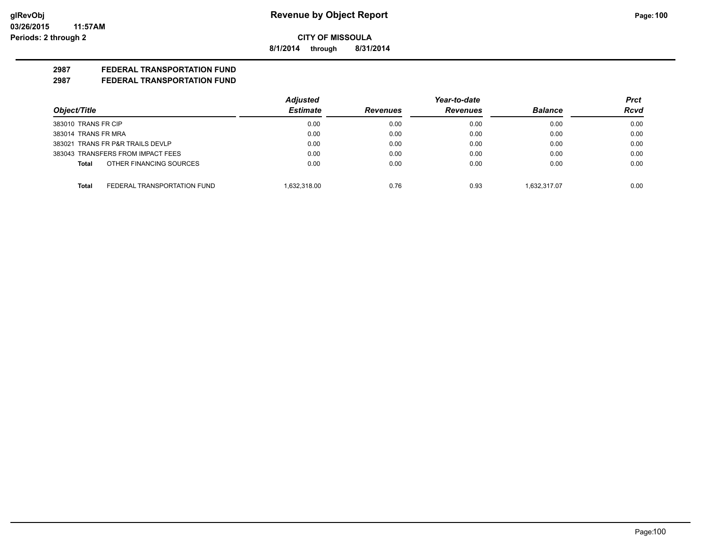**8/1/2014 through 8/31/2014**

### **2987 FEDERAL TRANSPORTATION FUND**

|                                             | <b>Adjusted</b> |                 | Year-to-date    |                | Prct        |
|---------------------------------------------|-----------------|-----------------|-----------------|----------------|-------------|
| Object/Title                                | <b>Estimate</b> | <b>Revenues</b> | <b>Revenues</b> | <b>Balance</b> | <b>Rcvd</b> |
| 383010 TRANS FR CIP                         | 0.00            | 0.00            | 0.00            | 0.00           | 0.00        |
| 383014 TRANS FR MRA                         | 0.00            | 0.00            | 0.00            | 0.00           | 0.00        |
| 383021 TRANS FR P&R TRAILS DEVLP            | 0.00            | 0.00            | 0.00            | 0.00           | 0.00        |
| 383043 TRANSFERS FROM IMPACT FEES           | 0.00            | 0.00            | 0.00            | 0.00           | 0.00        |
| OTHER FINANCING SOURCES<br>Total            | 0.00            | 0.00            | 0.00            | 0.00           | 0.00        |
| FEDERAL TRANSPORTATION FUND<br><b>Total</b> | 1.632.318.00    | 0.76            | 0.93            | 1.632.317.07   | 0.00        |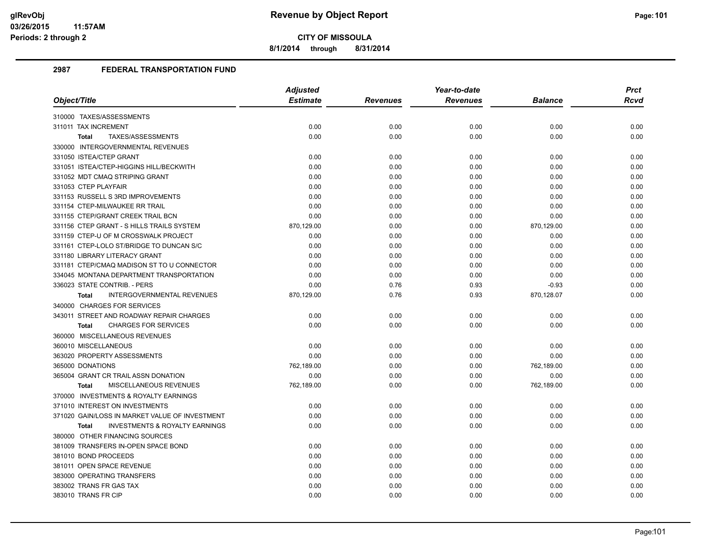**8/1/2014 through 8/31/2014**

|                                                           | <b>Adjusted</b> |                 | Year-to-date    |                |      |
|-----------------------------------------------------------|-----------------|-----------------|-----------------|----------------|------|
| Object/Title                                              | <b>Estimate</b> | <b>Revenues</b> | <b>Revenues</b> | <b>Balance</b> | Rcvd |
| 310000 TAXES/ASSESSMENTS                                  |                 |                 |                 |                |      |
| 311011 TAX INCREMENT                                      | 0.00            | 0.00            | 0.00            | 0.00           | 0.00 |
| TAXES/ASSESSMENTS<br>Total                                | 0.00            | 0.00            | 0.00            | 0.00           | 0.00 |
| 330000 INTERGOVERNMENTAL REVENUES                         |                 |                 |                 |                |      |
| 331050 ISTEA/CTEP GRANT                                   | 0.00            | 0.00            | 0.00            | 0.00           | 0.00 |
| 331051 ISTEA/CTEP-HIGGINS HILL/BECKWITH                   | 0.00            | 0.00            | 0.00            | 0.00           | 0.00 |
| 331052 MDT CMAQ STRIPING GRANT                            | 0.00            | 0.00            | 0.00            | 0.00           | 0.00 |
| 331053 CTEP PLAYFAIR                                      | 0.00            | 0.00            | 0.00            | 0.00           | 0.00 |
| 331153 RUSSELL S 3RD IMPROVEMENTS                         | 0.00            | 0.00            | 0.00            | 0.00           | 0.00 |
| 331154 CTEP-MILWAUKEE RR TRAIL                            | 0.00            | 0.00            | 0.00            | 0.00           | 0.00 |
| 331155 CTEP/GRANT CREEK TRAIL BCN                         | 0.00            | 0.00            | 0.00            | 0.00           | 0.00 |
| 331156 CTEP GRANT - S HILLS TRAILS SYSTEM                 | 870,129.00      | 0.00            | 0.00            | 870,129.00     | 0.00 |
| 331159 CTEP-U OF M CROSSWALK PROJECT                      | 0.00            | 0.00            | 0.00            | 0.00           | 0.00 |
| 331161 CTEP-LOLO ST/BRIDGE TO DUNCAN S/C                  | 0.00            | 0.00            | 0.00            | 0.00           | 0.00 |
| 331180 LIBRARY LITERACY GRANT                             | 0.00            | 0.00            | 0.00            | 0.00           | 0.00 |
| 331181 CTEP/CMAQ MADISON ST TO U CONNECTOR                | 0.00            | 0.00            | 0.00            | 0.00           | 0.00 |
| 334045 MONTANA DEPARTMENT TRANSPORTATION                  | 0.00            | 0.00            | 0.00            | 0.00           | 0.00 |
| 336023 STATE CONTRIB. - PERS                              | 0.00            | 0.76            | 0.93            | $-0.93$        | 0.00 |
| INTERGOVERNMENTAL REVENUES<br><b>Total</b>                | 870,129.00      | 0.76            | 0.93            | 870,128.07     | 0.00 |
| 340000 CHARGES FOR SERVICES                               |                 |                 |                 |                |      |
| 343011 STREET AND ROADWAY REPAIR CHARGES                  | 0.00            | 0.00            | 0.00            | 0.00           | 0.00 |
| <b>CHARGES FOR SERVICES</b><br><b>Total</b>               | 0.00            | 0.00            | 0.00            | 0.00           | 0.00 |
| 360000 MISCELLANEOUS REVENUES                             |                 |                 |                 |                |      |
| 360010 MISCELLANEOUS                                      | 0.00            | 0.00            | 0.00            | 0.00           | 0.00 |
| 363020 PROPERTY ASSESSMENTS                               | 0.00            | 0.00            | 0.00            | 0.00           | 0.00 |
| 365000 DONATIONS                                          | 762,189.00      | 0.00            | 0.00            | 762,189.00     | 0.00 |
| 365004 GRANT CR TRAIL ASSN DONATION                       | 0.00            | 0.00            | 0.00            | 0.00           | 0.00 |
| MISCELLANEOUS REVENUES<br><b>Total</b>                    | 762,189.00      | 0.00            | 0.00            | 762,189.00     | 0.00 |
| 370000 INVESTMENTS & ROYALTY EARNINGS                     |                 |                 |                 |                |      |
| 371010 INTEREST ON INVESTMENTS                            | 0.00            | 0.00            | 0.00            | 0.00           | 0.00 |
| 371020 GAIN/LOSS IN MARKET VALUE OF INVESTMENT            | 0.00            | 0.00            | 0.00            | 0.00           | 0.00 |
| <b>INVESTMENTS &amp; ROYALTY EARNINGS</b><br><b>Total</b> | 0.00            | 0.00            | 0.00            | 0.00           | 0.00 |
| 380000 OTHER FINANCING SOURCES                            |                 |                 |                 |                |      |
| 381009 TRANSFERS IN-OPEN SPACE BOND                       | 0.00            | 0.00            | 0.00            | 0.00           | 0.00 |
| 381010 BOND PROCEEDS                                      | 0.00            | 0.00            | 0.00            | 0.00           | 0.00 |
| 381011 OPEN SPACE REVENUE                                 | 0.00            | 0.00            | 0.00            | 0.00           | 0.00 |
| 383000 OPERATING TRANSFERS                                | 0.00            | 0.00            | 0.00            | 0.00           | 0.00 |
| 383002 TRANS FR GAS TAX                                   | 0.00            | 0.00            | 0.00            | 0.00           | 0.00 |
| 383010 TRANS FR CIP                                       | 0.00            | 0.00            | 0.00            | 0.00           | 0.00 |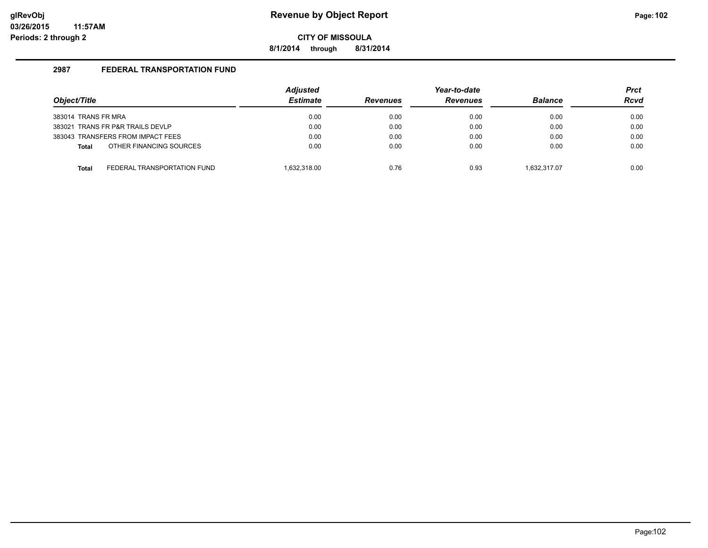**8/1/2014 through 8/31/2014**

| Object/Title        |                                   | <b>Adjusted</b><br><b>Estimate</b> | <b>Revenues</b> | Year-to-date<br><b>Revenues</b> | <b>Balance</b> | <b>Prct</b><br><b>Rcvd</b> |
|---------------------|-----------------------------------|------------------------------------|-----------------|---------------------------------|----------------|----------------------------|
| 383014 TRANS FR MRA |                                   | 0.00                               | 0.00            | 0.00                            | 0.00           | 0.00                       |
|                     | 383021 TRANS FR P&R TRAILS DEVLP  | 0.00                               | 0.00            | 0.00                            | 0.00           | 0.00                       |
|                     | 383043 TRANSFERS FROM IMPACT FEES | 0.00                               | 0.00            | 0.00                            | 0.00           | 0.00                       |
| Total               | OTHER FINANCING SOURCES           | 0.00                               | 0.00            | 0.00                            | 0.00           | 0.00                       |
| <b>Total</b>        | FEDERAL TRANSPORTATION FUND       | 1.632.318.00                       | 0.76            | 0.93                            | 1.632.317.07   | 0.00                       |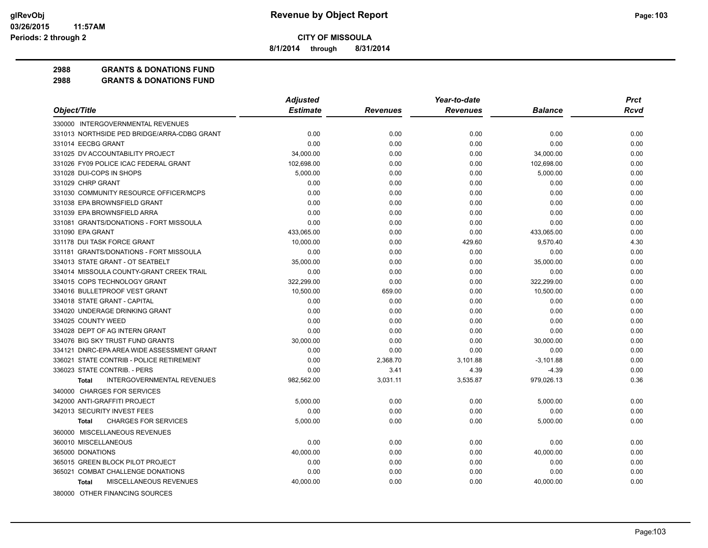**8/1/2014 through 8/31/2014**

**2988 GRANTS & DONATIONS FUND**

|                                                   | <b>Adjusted</b> |                 | Year-to-date    |                | <b>Prct</b> |
|---------------------------------------------------|-----------------|-----------------|-----------------|----------------|-------------|
| Object/Title                                      | <b>Estimate</b> | <b>Revenues</b> | <b>Revenues</b> | <b>Balance</b> | Rcvd        |
| 330000 INTERGOVERNMENTAL REVENUES                 |                 |                 |                 |                |             |
| 331013 NORTHSIDE PED BRIDGE/ARRA-CDBG GRANT       | 0.00            | 0.00            | 0.00            | 0.00           | 0.00        |
| 331014 EECBG GRANT                                | 0.00            | 0.00            | 0.00            | 0.00           | 0.00        |
| 331025 DV ACCOUNTABILITY PROJECT                  | 34,000.00       | 0.00            | 0.00            | 34,000.00      | 0.00        |
| 331026 FY09 POLICE ICAC FEDERAL GRANT             | 102,698.00      | 0.00            | 0.00            | 102,698.00     | 0.00        |
| 331028 DUI-COPS IN SHOPS                          | 5,000.00        | 0.00            | 0.00            | 5,000.00       | 0.00        |
| 331029 CHRP GRANT                                 | 0.00            | 0.00            | 0.00            | 0.00           | 0.00        |
| 331030 COMMUNITY RESOURCE OFFICER/MCPS            | 0.00            | 0.00            | 0.00            | 0.00           | 0.00        |
| 331038 EPA BROWNSFIELD GRANT                      | 0.00            | 0.00            | 0.00            | 0.00           | 0.00        |
| 331039 EPA BROWNSFIELD ARRA                       | 0.00            | 0.00            | 0.00            | 0.00           | 0.00        |
| 331081 GRANTS/DONATIONS - FORT MISSOULA           | 0.00            | 0.00            | 0.00            | 0.00           | 0.00        |
| 331090 EPA GRANT                                  | 433,065.00      | 0.00            | 0.00            | 433,065.00     | 0.00        |
| 331178 DUI TASK FORCE GRANT                       | 10,000.00       | 0.00            | 429.60          | 9,570.40       | 4.30        |
| 331181 GRANTS/DONATIONS - FORT MISSOULA           | 0.00            | 0.00            | 0.00            | 0.00           | 0.00        |
| 334013 STATE GRANT - OT SEATBELT                  | 35,000.00       | 0.00            | 0.00            | 35,000.00      | 0.00        |
| 334014 MISSOULA COUNTY-GRANT CREEK TRAIL          | 0.00            | 0.00            | 0.00            | 0.00           | 0.00        |
| 334015 COPS TECHNOLOGY GRANT                      | 322,299.00      | 0.00            | 0.00            | 322,299.00     | 0.00        |
| 334016 BULLETPROOF VEST GRANT                     | 10,500.00       | 659.00          | 0.00            | 10,500.00      | 0.00        |
| 334018 STATE GRANT - CAPITAL                      | 0.00            | 0.00            | 0.00            | 0.00           | 0.00        |
| 334020 UNDERAGE DRINKING GRANT                    | 0.00            | 0.00            | 0.00            | 0.00           | 0.00        |
| 334025 COUNTY WEED                                | 0.00            | 0.00            | 0.00            | 0.00           | 0.00        |
| 334028 DEPT OF AG INTERN GRANT                    | 0.00            | 0.00            | 0.00            | 0.00           | 0.00        |
| 334076 BIG SKY TRUST FUND GRANTS                  | 30,000.00       | 0.00            | 0.00            | 30,000.00      | 0.00        |
| 334121 DNRC-EPA AREA WIDE ASSESSMENT GRANT        | 0.00            | 0.00            | 0.00            | 0.00           | 0.00        |
| 336021 STATE CONTRIB - POLICE RETIREMENT          | 0.00            | 2,368.70        | 3,101.88        | $-3,101.88$    | 0.00        |
| 336023 STATE CONTRIB. - PERS                      | 0.00            | 3.41            | 4.39            | $-4.39$        | 0.00        |
| <b>INTERGOVERNMENTAL REVENUES</b><br><b>Total</b> | 982,562.00      | 3,031.11        | 3,535.87        | 979,026.13     | 0.36        |
| 340000 CHARGES FOR SERVICES                       |                 |                 |                 |                |             |
| 342000 ANTI-GRAFFITI PROJECT                      | 5,000.00        | 0.00            | 0.00            | 5,000.00       | 0.00        |
| 342013 SECURITY INVEST FEES                       | 0.00            | 0.00            | 0.00            | 0.00           | 0.00        |
| <b>CHARGES FOR SERVICES</b><br><b>Total</b>       | 5,000.00        | 0.00            | 0.00            | 5,000.00       | 0.00        |
| 360000 MISCELLANEOUS REVENUES                     |                 |                 |                 |                |             |
| 360010 MISCELLANEOUS                              | 0.00            | 0.00            | 0.00            | 0.00           | 0.00        |
| 365000 DONATIONS                                  | 40,000.00       | 0.00            | 0.00            | 40,000.00      | 0.00        |
| 365015 GREEN BLOCK PILOT PROJECT                  | 0.00            | 0.00            | 0.00            | 0.00           | 0.00        |
| 365021 COMBAT CHALLENGE DONATIONS                 | 0.00            | 0.00            | 0.00            | 0.00           | 0.00        |
| MISCELLANEOUS REVENUES<br><b>Total</b>            | 40,000.00       | 0.00            | 0.00            | 40,000.00      | 0.00        |
| 380000 OTHER FINANCING SOURCES                    |                 |                 |                 |                |             |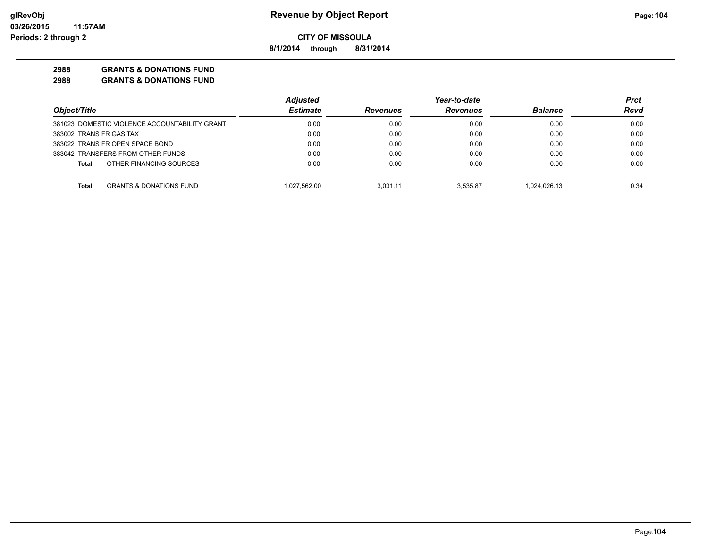**8/1/2014 through 8/31/2014**

### **2988 GRANTS & DONATIONS FUND**

|                                                    | <b>Adjusted</b> |                 | Year-to-date    |                | Prct |
|----------------------------------------------------|-----------------|-----------------|-----------------|----------------|------|
| Object/Title                                       | <b>Estimate</b> | <b>Revenues</b> | <b>Revenues</b> | <b>Balance</b> | Rcvd |
| 381023 DOMESTIC VIOLENCE ACCOUNTABILITY GRANT      | 0.00            | 0.00            | 0.00            | 0.00           | 0.00 |
| 383002 TRANS FR GAS TAX                            | 0.00            | 0.00            | 0.00            | 0.00           | 0.00 |
| 383022 TRANS FR OPEN SPACE BOND                    | 0.00            | 0.00            | 0.00            | 0.00           | 0.00 |
| 383042 TRANSFERS FROM OTHER FUNDS                  | 0.00            | 0.00            | 0.00            | 0.00           | 0.00 |
| OTHER FINANCING SOURCES<br>Total                   | 0.00            | 0.00            | 0.00            | 0.00           | 0.00 |
| <b>GRANTS &amp; DONATIONS FUND</b><br><b>Total</b> | 1.027.562.00    | 3.031.11        | 3.535.87        | 1.024.026.13   | 0.34 |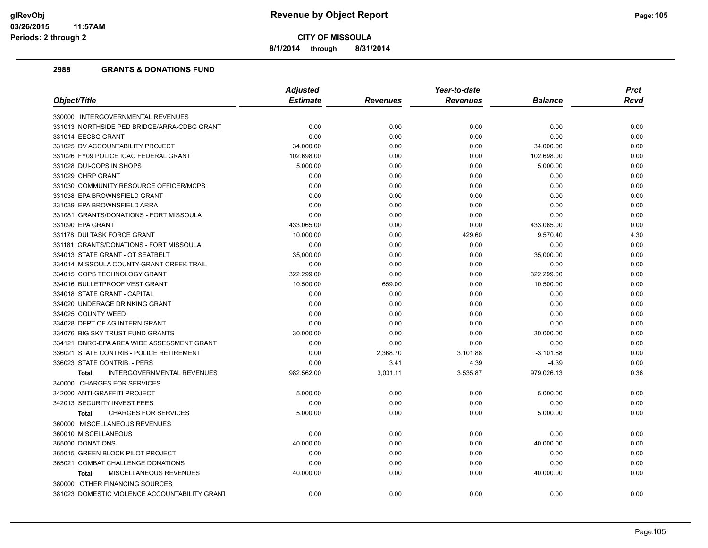**8/1/2014 through 8/31/2014**

| <b>Estimate</b><br><b>Revenues</b><br><b>Balance</b><br><b>Revenues</b><br>0.00<br>0.00<br>0.00<br>0.00<br>0.00<br>0.00<br>0.00<br>0.00<br>34,000.00<br>0.00<br>0.00<br>34,000.00<br>102,698.00<br>0.00<br>0.00<br>102,698.00<br>5,000.00<br>0.00<br>0.00<br>5,000.00<br>0.00<br>0.00<br>0.00<br>0.00<br>0.00<br>0.00<br>0.00<br>0.00<br>0.00<br>0.00<br>0.00<br>0.00<br>0.00<br>0.00<br>0.00<br>0.00<br>0.00<br>0.00<br>0.00<br>0.00<br>433,065.00<br>0.00<br>433,065.00<br>0.00<br>10,000.00<br>429.60<br>9,570.40<br>0.00<br>0.00<br>0.00<br>0.00<br>0.00<br>35,000.00<br>0.00<br>0.00<br>35,000.00<br>0.00<br>0.00<br>0.00<br>0.00<br>322,299.00<br>0.00<br>0.00<br>322,299.00<br>10,500.00<br>659.00<br>0.00<br>10,500.00<br>0.00<br>0.00<br>0.00<br>0.00<br>0.00<br>0.00<br>0.00<br>0.00<br>0.00<br>0.00<br>0.00<br>0.00<br>0.00<br>0.00<br>0.00<br>0.00<br>30,000.00<br>0.00<br>0.00<br>30,000.00<br>0.00<br>0.00<br>0.00<br>0.00<br>0.00<br>2,368.70<br>3,101.88<br>$-3,101.88$<br>3.41<br>0.00<br>4.39<br>$-4.39$<br><b>INTERGOVERNMENTAL REVENUES</b><br>3,535.87<br>979,026.13<br>982,562.00<br>3,031.11<br><b>Total</b><br>5,000.00<br>0.00<br>0.00<br>5,000.00<br>0.00<br>0.00<br>0.00<br>0.00<br><b>CHARGES FOR SERVICES</b><br>5,000.00<br>0.00<br>0.00<br>5,000.00<br><b>Total</b><br>360000 MISCELLANEOUS REVENUES<br>360010 MISCELLANEOUS<br>0.00<br>0.00<br>0.00<br>0.00<br>0.00<br>40,000.00<br>0.00<br>40,000.00<br>365015 GREEN BLOCK PILOT PROJECT<br>0.00<br>0.00<br>0.00<br>0.00<br>365021 COMBAT CHALLENGE DONATIONS<br>0.00<br>0.00<br>0.00<br>0.00<br>MISCELLANEOUS REVENUES<br>40,000.00<br>0.00<br>0.00<br>40,000.00<br><b>Total</b><br>380000 OTHER FINANCING SOURCES |                                               | <b>Adjusted</b> |      | Year-to-date |      | <b>Prct</b> |
|------------------------------------------------------------------------------------------------------------------------------------------------------------------------------------------------------------------------------------------------------------------------------------------------------------------------------------------------------------------------------------------------------------------------------------------------------------------------------------------------------------------------------------------------------------------------------------------------------------------------------------------------------------------------------------------------------------------------------------------------------------------------------------------------------------------------------------------------------------------------------------------------------------------------------------------------------------------------------------------------------------------------------------------------------------------------------------------------------------------------------------------------------------------------------------------------------------------------------------------------------------------------------------------------------------------------------------------------------------------------------------------------------------------------------------------------------------------------------------------------------------------------------------------------------------------------------------------------------------------------------------------------------------------------------------------------------|-----------------------------------------------|-----------------|------|--------------|------|-------------|
|                                                                                                                                                                                                                                                                                                                                                                                                                                                                                                                                                                                                                                                                                                                                                                                                                                                                                                                                                                                                                                                                                                                                                                                                                                                                                                                                                                                                                                                                                                                                                                                                                                                                                                      | Object/Title                                  |                 |      |              |      | <b>Rcvd</b> |
|                                                                                                                                                                                                                                                                                                                                                                                                                                                                                                                                                                                                                                                                                                                                                                                                                                                                                                                                                                                                                                                                                                                                                                                                                                                                                                                                                                                                                                                                                                                                                                                                                                                                                                      | 330000 INTERGOVERNMENTAL REVENUES             |                 |      |              |      |             |
|                                                                                                                                                                                                                                                                                                                                                                                                                                                                                                                                                                                                                                                                                                                                                                                                                                                                                                                                                                                                                                                                                                                                                                                                                                                                                                                                                                                                                                                                                                                                                                                                                                                                                                      | 331013 NORTHSIDE PED BRIDGE/ARRA-CDBG GRANT   |                 |      |              |      | 0.00        |
|                                                                                                                                                                                                                                                                                                                                                                                                                                                                                                                                                                                                                                                                                                                                                                                                                                                                                                                                                                                                                                                                                                                                                                                                                                                                                                                                                                                                                                                                                                                                                                                                                                                                                                      | 331014 EECBG GRANT                            |                 |      |              |      | 0.00        |
|                                                                                                                                                                                                                                                                                                                                                                                                                                                                                                                                                                                                                                                                                                                                                                                                                                                                                                                                                                                                                                                                                                                                                                                                                                                                                                                                                                                                                                                                                                                                                                                                                                                                                                      | 331025 DV ACCOUNTABILITY PROJECT              |                 |      |              |      | 0.00        |
|                                                                                                                                                                                                                                                                                                                                                                                                                                                                                                                                                                                                                                                                                                                                                                                                                                                                                                                                                                                                                                                                                                                                                                                                                                                                                                                                                                                                                                                                                                                                                                                                                                                                                                      | 331026 FY09 POLICE ICAC FEDERAL GRANT         |                 |      |              |      | 0.00        |
|                                                                                                                                                                                                                                                                                                                                                                                                                                                                                                                                                                                                                                                                                                                                                                                                                                                                                                                                                                                                                                                                                                                                                                                                                                                                                                                                                                                                                                                                                                                                                                                                                                                                                                      | 331028 DUI-COPS IN SHOPS                      |                 |      |              |      | 0.00        |
|                                                                                                                                                                                                                                                                                                                                                                                                                                                                                                                                                                                                                                                                                                                                                                                                                                                                                                                                                                                                                                                                                                                                                                                                                                                                                                                                                                                                                                                                                                                                                                                                                                                                                                      | 331029 CHRP GRANT                             |                 |      |              |      | 0.00        |
|                                                                                                                                                                                                                                                                                                                                                                                                                                                                                                                                                                                                                                                                                                                                                                                                                                                                                                                                                                                                                                                                                                                                                                                                                                                                                                                                                                                                                                                                                                                                                                                                                                                                                                      | 331030 COMMUNITY RESOURCE OFFICER/MCPS        |                 |      |              |      | 0.00        |
|                                                                                                                                                                                                                                                                                                                                                                                                                                                                                                                                                                                                                                                                                                                                                                                                                                                                                                                                                                                                                                                                                                                                                                                                                                                                                                                                                                                                                                                                                                                                                                                                                                                                                                      | 331038 EPA BROWNSFIELD GRANT                  |                 |      |              |      | 0.00        |
|                                                                                                                                                                                                                                                                                                                                                                                                                                                                                                                                                                                                                                                                                                                                                                                                                                                                                                                                                                                                                                                                                                                                                                                                                                                                                                                                                                                                                                                                                                                                                                                                                                                                                                      | 331039 EPA BROWNSFIELD ARRA                   |                 |      |              |      | 0.00        |
|                                                                                                                                                                                                                                                                                                                                                                                                                                                                                                                                                                                                                                                                                                                                                                                                                                                                                                                                                                                                                                                                                                                                                                                                                                                                                                                                                                                                                                                                                                                                                                                                                                                                                                      | 331081 GRANTS/DONATIONS - FORT MISSOULA       |                 |      |              |      | 0.00        |
|                                                                                                                                                                                                                                                                                                                                                                                                                                                                                                                                                                                                                                                                                                                                                                                                                                                                                                                                                                                                                                                                                                                                                                                                                                                                                                                                                                                                                                                                                                                                                                                                                                                                                                      | 331090 EPA GRANT                              |                 |      |              |      | 0.00        |
|                                                                                                                                                                                                                                                                                                                                                                                                                                                                                                                                                                                                                                                                                                                                                                                                                                                                                                                                                                                                                                                                                                                                                                                                                                                                                                                                                                                                                                                                                                                                                                                                                                                                                                      | 331178 DUI TASK FORCE GRANT                   |                 |      |              |      | 4.30        |
|                                                                                                                                                                                                                                                                                                                                                                                                                                                                                                                                                                                                                                                                                                                                                                                                                                                                                                                                                                                                                                                                                                                                                                                                                                                                                                                                                                                                                                                                                                                                                                                                                                                                                                      | 331181 GRANTS/DONATIONS - FORT MISSOULA       |                 |      |              |      | 0.00        |
|                                                                                                                                                                                                                                                                                                                                                                                                                                                                                                                                                                                                                                                                                                                                                                                                                                                                                                                                                                                                                                                                                                                                                                                                                                                                                                                                                                                                                                                                                                                                                                                                                                                                                                      | 334013 STATE GRANT - OT SEATBELT              |                 |      |              |      | 0.00        |
|                                                                                                                                                                                                                                                                                                                                                                                                                                                                                                                                                                                                                                                                                                                                                                                                                                                                                                                                                                                                                                                                                                                                                                                                                                                                                                                                                                                                                                                                                                                                                                                                                                                                                                      | 334014 MISSOULA COUNTY-GRANT CREEK TRAIL      |                 |      |              |      | 0.00        |
|                                                                                                                                                                                                                                                                                                                                                                                                                                                                                                                                                                                                                                                                                                                                                                                                                                                                                                                                                                                                                                                                                                                                                                                                                                                                                                                                                                                                                                                                                                                                                                                                                                                                                                      | 334015 COPS TECHNOLOGY GRANT                  |                 |      |              |      | 0.00        |
|                                                                                                                                                                                                                                                                                                                                                                                                                                                                                                                                                                                                                                                                                                                                                                                                                                                                                                                                                                                                                                                                                                                                                                                                                                                                                                                                                                                                                                                                                                                                                                                                                                                                                                      | 334016 BULLETPROOF VEST GRANT                 |                 |      |              |      | 0.00        |
|                                                                                                                                                                                                                                                                                                                                                                                                                                                                                                                                                                                                                                                                                                                                                                                                                                                                                                                                                                                                                                                                                                                                                                                                                                                                                                                                                                                                                                                                                                                                                                                                                                                                                                      | 334018 STATE GRANT - CAPITAL                  |                 |      |              |      | 0.00        |
|                                                                                                                                                                                                                                                                                                                                                                                                                                                                                                                                                                                                                                                                                                                                                                                                                                                                                                                                                                                                                                                                                                                                                                                                                                                                                                                                                                                                                                                                                                                                                                                                                                                                                                      | 334020 UNDERAGE DRINKING GRANT                |                 |      |              |      | 0.00        |
|                                                                                                                                                                                                                                                                                                                                                                                                                                                                                                                                                                                                                                                                                                                                                                                                                                                                                                                                                                                                                                                                                                                                                                                                                                                                                                                                                                                                                                                                                                                                                                                                                                                                                                      | 334025 COUNTY WEED                            |                 |      |              |      | 0.00        |
|                                                                                                                                                                                                                                                                                                                                                                                                                                                                                                                                                                                                                                                                                                                                                                                                                                                                                                                                                                                                                                                                                                                                                                                                                                                                                                                                                                                                                                                                                                                                                                                                                                                                                                      | 334028 DEPT OF AG INTERN GRANT                |                 |      |              |      | 0.00        |
|                                                                                                                                                                                                                                                                                                                                                                                                                                                                                                                                                                                                                                                                                                                                                                                                                                                                                                                                                                                                                                                                                                                                                                                                                                                                                                                                                                                                                                                                                                                                                                                                                                                                                                      | 334076 BIG SKY TRUST FUND GRANTS              |                 |      |              |      | 0.00        |
|                                                                                                                                                                                                                                                                                                                                                                                                                                                                                                                                                                                                                                                                                                                                                                                                                                                                                                                                                                                                                                                                                                                                                                                                                                                                                                                                                                                                                                                                                                                                                                                                                                                                                                      | 334121 DNRC-EPA AREA WIDE ASSESSMENT GRANT    |                 |      |              |      | 0.00        |
|                                                                                                                                                                                                                                                                                                                                                                                                                                                                                                                                                                                                                                                                                                                                                                                                                                                                                                                                                                                                                                                                                                                                                                                                                                                                                                                                                                                                                                                                                                                                                                                                                                                                                                      | 336021 STATE CONTRIB - POLICE RETIREMENT      |                 |      |              |      | 0.00        |
|                                                                                                                                                                                                                                                                                                                                                                                                                                                                                                                                                                                                                                                                                                                                                                                                                                                                                                                                                                                                                                                                                                                                                                                                                                                                                                                                                                                                                                                                                                                                                                                                                                                                                                      | 336023 STATE CONTRIB. - PERS                  |                 |      |              |      | 0.00        |
|                                                                                                                                                                                                                                                                                                                                                                                                                                                                                                                                                                                                                                                                                                                                                                                                                                                                                                                                                                                                                                                                                                                                                                                                                                                                                                                                                                                                                                                                                                                                                                                                                                                                                                      |                                               |                 |      |              |      | 0.36        |
|                                                                                                                                                                                                                                                                                                                                                                                                                                                                                                                                                                                                                                                                                                                                                                                                                                                                                                                                                                                                                                                                                                                                                                                                                                                                                                                                                                                                                                                                                                                                                                                                                                                                                                      | 340000 CHARGES FOR SERVICES                   |                 |      |              |      |             |
|                                                                                                                                                                                                                                                                                                                                                                                                                                                                                                                                                                                                                                                                                                                                                                                                                                                                                                                                                                                                                                                                                                                                                                                                                                                                                                                                                                                                                                                                                                                                                                                                                                                                                                      | 342000 ANTI-GRAFFITI PROJECT                  |                 |      |              |      | 0.00        |
|                                                                                                                                                                                                                                                                                                                                                                                                                                                                                                                                                                                                                                                                                                                                                                                                                                                                                                                                                                                                                                                                                                                                                                                                                                                                                                                                                                                                                                                                                                                                                                                                                                                                                                      | 342013 SECURITY INVEST FEES                   |                 |      |              |      | 0.00        |
|                                                                                                                                                                                                                                                                                                                                                                                                                                                                                                                                                                                                                                                                                                                                                                                                                                                                                                                                                                                                                                                                                                                                                                                                                                                                                                                                                                                                                                                                                                                                                                                                                                                                                                      |                                               |                 |      |              |      | 0.00        |
|                                                                                                                                                                                                                                                                                                                                                                                                                                                                                                                                                                                                                                                                                                                                                                                                                                                                                                                                                                                                                                                                                                                                                                                                                                                                                                                                                                                                                                                                                                                                                                                                                                                                                                      |                                               |                 |      |              |      |             |
|                                                                                                                                                                                                                                                                                                                                                                                                                                                                                                                                                                                                                                                                                                                                                                                                                                                                                                                                                                                                                                                                                                                                                                                                                                                                                                                                                                                                                                                                                                                                                                                                                                                                                                      |                                               |                 |      |              |      | 0.00        |
|                                                                                                                                                                                                                                                                                                                                                                                                                                                                                                                                                                                                                                                                                                                                                                                                                                                                                                                                                                                                                                                                                                                                                                                                                                                                                                                                                                                                                                                                                                                                                                                                                                                                                                      | 365000 DONATIONS                              |                 |      |              |      | 0.00        |
|                                                                                                                                                                                                                                                                                                                                                                                                                                                                                                                                                                                                                                                                                                                                                                                                                                                                                                                                                                                                                                                                                                                                                                                                                                                                                                                                                                                                                                                                                                                                                                                                                                                                                                      |                                               |                 |      |              |      | 0.00        |
|                                                                                                                                                                                                                                                                                                                                                                                                                                                                                                                                                                                                                                                                                                                                                                                                                                                                                                                                                                                                                                                                                                                                                                                                                                                                                                                                                                                                                                                                                                                                                                                                                                                                                                      |                                               |                 |      |              |      | 0.00        |
|                                                                                                                                                                                                                                                                                                                                                                                                                                                                                                                                                                                                                                                                                                                                                                                                                                                                                                                                                                                                                                                                                                                                                                                                                                                                                                                                                                                                                                                                                                                                                                                                                                                                                                      |                                               |                 |      |              |      | 0.00        |
|                                                                                                                                                                                                                                                                                                                                                                                                                                                                                                                                                                                                                                                                                                                                                                                                                                                                                                                                                                                                                                                                                                                                                                                                                                                                                                                                                                                                                                                                                                                                                                                                                                                                                                      |                                               |                 |      |              |      |             |
|                                                                                                                                                                                                                                                                                                                                                                                                                                                                                                                                                                                                                                                                                                                                                                                                                                                                                                                                                                                                                                                                                                                                                                                                                                                                                                                                                                                                                                                                                                                                                                                                                                                                                                      | 381023 DOMESTIC VIOLENCE ACCOUNTABILITY GRANT | 0.00            | 0.00 | 0.00         | 0.00 | 0.00        |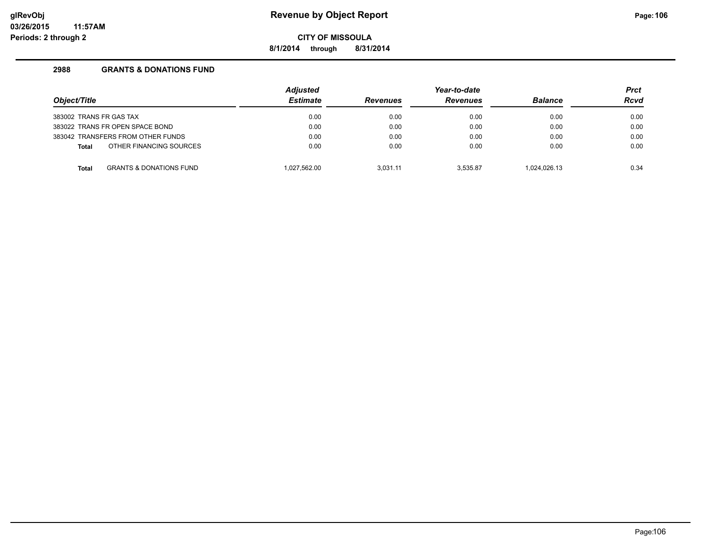**8/1/2014 through 8/31/2014**

| Object/Title                                       | <b>Adjusted</b><br><b>Estimate</b> | <b>Revenues</b> | Year-to-date<br><b>Revenues</b> | <b>Balance</b> | <b>Prct</b><br><b>Rcvd</b> |
|----------------------------------------------------|------------------------------------|-----------------|---------------------------------|----------------|----------------------------|
|                                                    |                                    |                 |                                 |                |                            |
| 383002 TRANS FR GAS TAX                            | 0.00                               | 0.00            | 0.00                            | 0.00           | 0.00                       |
| 383022 TRANS FR OPEN SPACE BOND                    | 0.00                               | 0.00            | 0.00                            | 0.00           | 0.00                       |
| 383042 TRANSFERS FROM OTHER FUNDS                  | 0.00                               | 0.00            | 0.00                            | 0.00           | 0.00                       |
| OTHER FINANCING SOURCES<br><b>Total</b>            | 0.00                               | 0.00            | 0.00                            | 0.00           | 0.00                       |
| <b>GRANTS &amp; DONATIONS FUND</b><br><b>Total</b> | 1.027.562.00                       | 3.031.11        | 3.535.87                        | 1.024.026.13   | 0.34                       |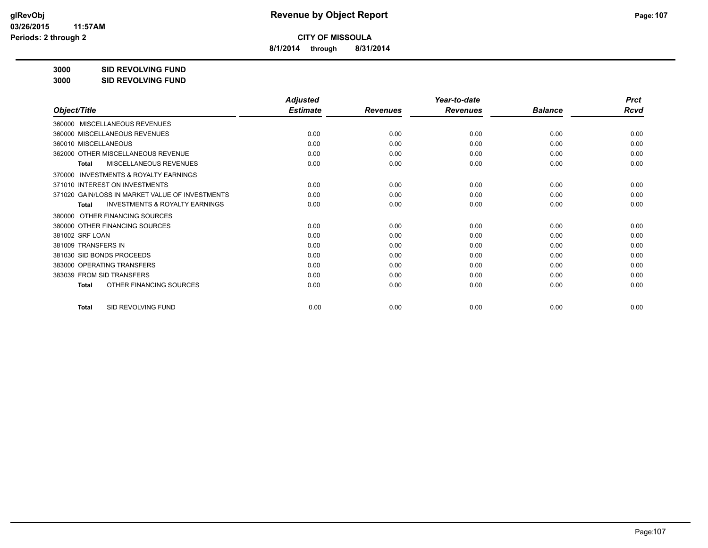**8/1/2014 through 8/31/2014**

**3000 SID REVOLVING FUND**

**3000 SID REVOLVING FUND**

|                                                           | <b>Adjusted</b> |                 | Year-to-date    |                | <b>Prct</b> |
|-----------------------------------------------------------|-----------------|-----------------|-----------------|----------------|-------------|
| Object/Title                                              | <b>Estimate</b> | <b>Revenues</b> | <b>Revenues</b> | <b>Balance</b> | <b>Rcvd</b> |
| 360000 MISCELLANEOUS REVENUES                             |                 |                 |                 |                |             |
| 360000 MISCELLANEOUS REVENUES                             | 0.00            | 0.00            | 0.00            | 0.00           | 0.00        |
| 360010 MISCELLANEOUS                                      | 0.00            | 0.00            | 0.00            | 0.00           | 0.00        |
| 362000 OTHER MISCELLANEOUS REVENUE                        | 0.00            | 0.00            | 0.00            | 0.00           | 0.00        |
| <b>MISCELLANEOUS REVENUES</b><br><b>Total</b>             | 0.00            | 0.00            | 0.00            | 0.00           | 0.00        |
| INVESTMENTS & ROYALTY EARNINGS<br>370000                  |                 |                 |                 |                |             |
| 371010 INTEREST ON INVESTMENTS                            | 0.00            | 0.00            | 0.00            | 0.00           | 0.00        |
| 371020 GAIN/LOSS IN MARKET VALUE OF INVESTMENTS           | 0.00            | 0.00            | 0.00            | 0.00           | 0.00        |
| <b>INVESTMENTS &amp; ROYALTY EARNINGS</b><br><b>Total</b> | 0.00            | 0.00            | 0.00            | 0.00           | 0.00        |
| OTHER FINANCING SOURCES<br>380000                         |                 |                 |                 |                |             |
| 380000 OTHER FINANCING SOURCES                            | 0.00            | 0.00            | 0.00            | 0.00           | 0.00        |
| 381002 SRF LOAN                                           | 0.00            | 0.00            | 0.00            | 0.00           | 0.00        |
| 381009 TRANSFERS IN                                       | 0.00            | 0.00            | 0.00            | 0.00           | 0.00        |
| 381030 SID BONDS PROCEEDS                                 | 0.00            | 0.00            | 0.00            | 0.00           | 0.00        |
| 383000 OPERATING TRANSFERS                                | 0.00            | 0.00            | 0.00            | 0.00           | 0.00        |
| 383039 FROM SID TRANSFERS                                 | 0.00            | 0.00            | 0.00            | 0.00           | 0.00        |
| OTHER FINANCING SOURCES<br><b>Total</b>                   | 0.00            | 0.00            | 0.00            | 0.00           | 0.00        |
| SID REVOLVING FUND<br><b>Total</b>                        | 0.00            | 0.00            | 0.00            | 0.00           | 0.00        |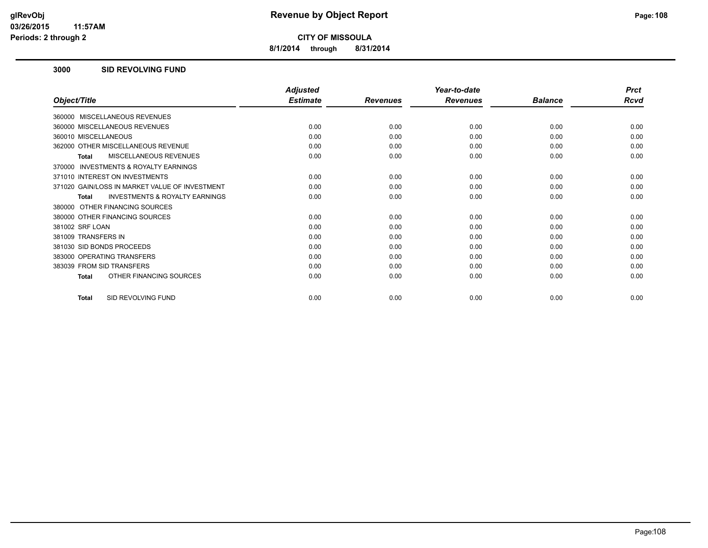**8/1/2014 through 8/31/2014**

### **3000 SID REVOLVING FUND**

|                                                           | <b>Adjusted</b> |                 | Year-to-date    |                | <b>Prct</b> |
|-----------------------------------------------------------|-----------------|-----------------|-----------------|----------------|-------------|
| Object/Title                                              | <b>Estimate</b> | <b>Revenues</b> | <b>Revenues</b> | <b>Balance</b> | Rcvd        |
| 360000 MISCELLANEOUS REVENUES                             |                 |                 |                 |                |             |
| 360000 MISCELLANEOUS REVENUES                             | 0.00            | 0.00            | 0.00            | 0.00           | 0.00        |
| 360010 MISCELLANEOUS                                      | 0.00            | 0.00            | 0.00            | 0.00           | 0.00        |
| 362000 OTHER MISCELLANEOUS REVENUE                        | 0.00            | 0.00            | 0.00            | 0.00           | 0.00        |
| <b>MISCELLANEOUS REVENUES</b><br><b>Total</b>             | 0.00            | 0.00            | 0.00            | 0.00           | 0.00        |
| INVESTMENTS & ROYALTY EARNINGS<br>370000                  |                 |                 |                 |                |             |
| 371010 INTEREST ON INVESTMENTS                            | 0.00            | 0.00            | 0.00            | 0.00           | 0.00        |
| 371020 GAIN/LOSS IN MARKET VALUE OF INVESTMENT            | 0.00            | 0.00            | 0.00            | 0.00           | 0.00        |
| <b>INVESTMENTS &amp; ROYALTY EARNINGS</b><br><b>Total</b> | 0.00            | 0.00            | 0.00            | 0.00           | 0.00        |
| 380000 OTHER FINANCING SOURCES                            |                 |                 |                 |                |             |
| 380000 OTHER FINANCING SOURCES                            | 0.00            | 0.00            | 0.00            | 0.00           | 0.00        |
| 381002 SRF LOAN                                           | 0.00            | 0.00            | 0.00            | 0.00           | 0.00        |
| 381009 TRANSFERS IN                                       | 0.00            | 0.00            | 0.00            | 0.00           | 0.00        |
| 381030 SID BONDS PROCEEDS                                 | 0.00            | 0.00            | 0.00            | 0.00           | 0.00        |
| 383000 OPERATING TRANSFERS                                | 0.00            | 0.00            | 0.00            | 0.00           | 0.00        |
| 383039 FROM SID TRANSFERS                                 | 0.00            | 0.00            | 0.00            | 0.00           | 0.00        |
| OTHER FINANCING SOURCES<br><b>Total</b>                   | 0.00            | 0.00            | 0.00            | 0.00           | 0.00        |
| SID REVOLVING FUND<br><b>Total</b>                        | 0.00            | 0.00            | 0.00            | 0.00           | 0.00        |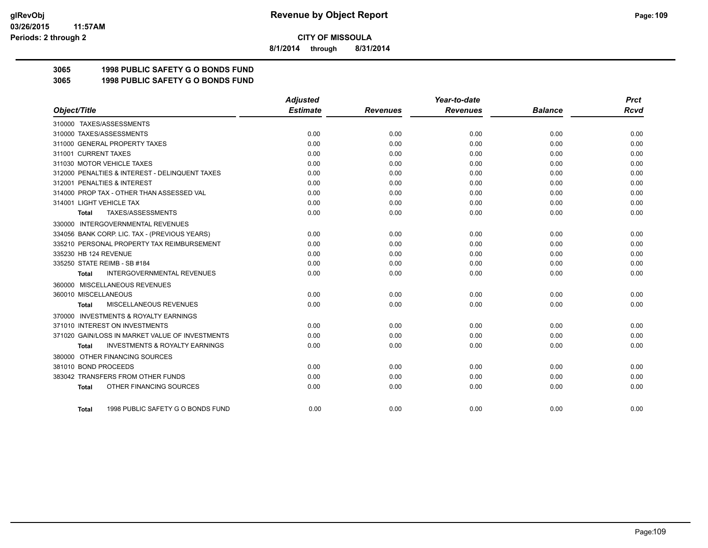**8/1/2014 through 8/31/2014**

# **3065 1998 PUBLIC SAFETY G O BONDS FUND**

**3065 1998 PUBLIC SAFETY G O BONDS FUND**

|                                                     | <b>Adjusted</b> |                 | Year-to-date    |                | <b>Prct</b> |
|-----------------------------------------------------|-----------------|-----------------|-----------------|----------------|-------------|
| Object/Title                                        | <b>Estimate</b> | <b>Revenues</b> | <b>Revenues</b> | <b>Balance</b> | Rcvd        |
| 310000 TAXES/ASSESSMENTS                            |                 |                 |                 |                |             |
| 310000 TAXES/ASSESSMENTS                            | 0.00            | 0.00            | 0.00            | 0.00           | 0.00        |
| 311000 GENERAL PROPERTY TAXES                       | 0.00            | 0.00            | 0.00            | 0.00           | 0.00        |
| 311001 CURRENT TAXES                                | 0.00            | 0.00            | 0.00            | 0.00           | 0.00        |
| 311030 MOTOR VEHICLE TAXES                          | 0.00            | 0.00            | 0.00            | 0.00           | 0.00        |
| 312000 PENALTIES & INTEREST - DELINQUENT TAXES      | 0.00            | 0.00            | 0.00            | 0.00           | 0.00        |
| 312001 PENALTIES & INTEREST                         | 0.00            | 0.00            | 0.00            | 0.00           | 0.00        |
| 314000 PROP TAX - OTHER THAN ASSESSED VAL           | 0.00            | 0.00            | 0.00            | 0.00           | 0.00        |
| 314001 LIGHT VEHICLE TAX                            | 0.00            | 0.00            | 0.00            | 0.00           | 0.00        |
| TAXES/ASSESSMENTS<br>Total                          | 0.00            | 0.00            | 0.00            | 0.00           | 0.00        |
| 330000 INTERGOVERNMENTAL REVENUES                   |                 |                 |                 |                |             |
| 334056 BANK CORP. LIC. TAX - (PREVIOUS YEARS)       | 0.00            | 0.00            | 0.00            | 0.00           | 0.00        |
| 335210 PERSONAL PROPERTY TAX REIMBURSEMENT          | 0.00            | 0.00            | 0.00            | 0.00           | 0.00        |
| 335230 HB 124 REVENUE                               | 0.00            | 0.00            | 0.00            | 0.00           | 0.00        |
| 335250 STATE REIMB - SB #184                        | 0.00            | 0.00            | 0.00            | 0.00           | 0.00        |
| <b>INTERGOVERNMENTAL REVENUES</b><br><b>Total</b>   | 0.00            | 0.00            | 0.00            | 0.00           | 0.00        |
| 360000 MISCELLANEOUS REVENUES                       |                 |                 |                 |                |             |
| 360010 MISCELLANEOUS                                | 0.00            | 0.00            | 0.00            | 0.00           | 0.00        |
| <b>MISCELLANEOUS REVENUES</b><br>Total              | 0.00            | 0.00            | 0.00            | 0.00           | 0.00        |
| <b>INVESTMENTS &amp; ROYALTY EARNINGS</b><br>370000 |                 |                 |                 |                |             |
| 371010 INTEREST ON INVESTMENTS                      | 0.00            | 0.00            | 0.00            | 0.00           | 0.00        |
| 371020 GAIN/LOSS IN MARKET VALUE OF INVESTMENTS     | 0.00            | 0.00            | 0.00            | 0.00           | 0.00        |
| <b>INVESTMENTS &amp; ROYALTY EARNINGS</b><br>Total  | 0.00            | 0.00            | 0.00            | 0.00           | 0.00        |
| 380000 OTHER FINANCING SOURCES                      |                 |                 |                 |                |             |
| 381010 BOND PROCEEDS                                | 0.00            | 0.00            | 0.00            | 0.00           | 0.00        |
| 383042 TRANSFERS FROM OTHER FUNDS                   | 0.00            | 0.00            | 0.00            | 0.00           | 0.00        |
| OTHER FINANCING SOURCES<br><b>Total</b>             | 0.00            | 0.00            | 0.00            | 0.00           | 0.00        |
| 1998 PUBLIC SAFETY G O BONDS FUND<br>Total          | 0.00            | 0.00            | 0.00            | 0.00           | 0.00        |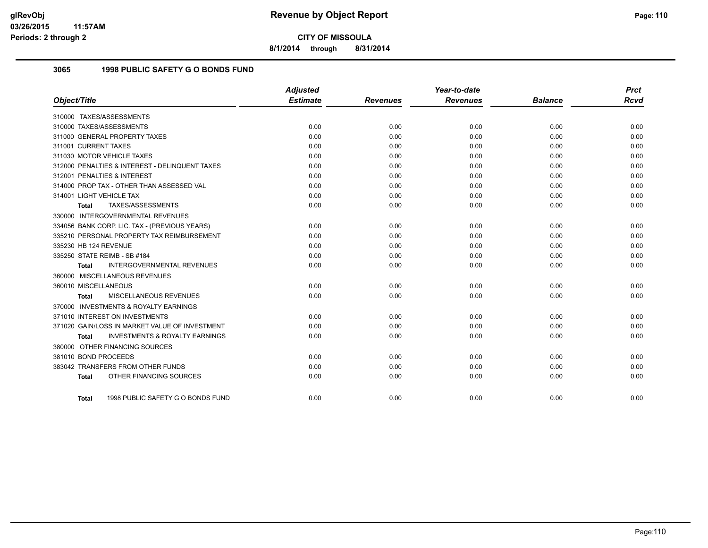**8/1/2014 through 8/31/2014**

## **3065 1998 PUBLIC SAFETY G O BONDS FUND**

|                                                    | <b>Adjusted</b> |                 | Year-to-date    |                | <b>Prct</b> |
|----------------------------------------------------|-----------------|-----------------|-----------------|----------------|-------------|
| Object/Title                                       | <b>Estimate</b> | <b>Revenues</b> | <b>Revenues</b> | <b>Balance</b> | <b>Rcvd</b> |
| 310000 TAXES/ASSESSMENTS                           |                 |                 |                 |                |             |
| 310000 TAXES/ASSESSMENTS                           | 0.00            | 0.00            | 0.00            | 0.00           | 0.00        |
| 311000 GENERAL PROPERTY TAXES                      | 0.00            | 0.00            | 0.00            | 0.00           | 0.00        |
| 311001 CURRENT TAXES                               | 0.00            | 0.00            | 0.00            | 0.00           | 0.00        |
| 311030 MOTOR VEHICLE TAXES                         | 0.00            | 0.00            | 0.00            | 0.00           | 0.00        |
| 312000 PENALTIES & INTEREST - DELINQUENT TAXES     | 0.00            | 0.00            | 0.00            | 0.00           | 0.00        |
| 312001 PENALTIES & INTEREST                        | 0.00            | 0.00            | 0.00            | 0.00           | 0.00        |
| 314000 PROP TAX - OTHER THAN ASSESSED VAL          | 0.00            | 0.00            | 0.00            | 0.00           | 0.00        |
| 314001 LIGHT VEHICLE TAX                           | 0.00            | 0.00            | 0.00            | 0.00           | 0.00        |
| TAXES/ASSESSMENTS<br>Total                         | 0.00            | 0.00            | 0.00            | 0.00           | 0.00        |
| 330000 INTERGOVERNMENTAL REVENUES                  |                 |                 |                 |                |             |
| 334056 BANK CORP. LIC. TAX - (PREVIOUS YEARS)      | 0.00            | 0.00            | 0.00            | 0.00           | 0.00        |
| 335210 PERSONAL PROPERTY TAX REIMBURSEMENT         | 0.00            | 0.00            | 0.00            | 0.00           | 0.00        |
| 335230 HB 124 REVENUE                              | 0.00            | 0.00            | 0.00            | 0.00           | 0.00        |
| 335250 STATE REIMB - SB #184                       | 0.00            | 0.00            | 0.00            | 0.00           | 0.00        |
| INTERGOVERNMENTAL REVENUES<br><b>Total</b>         | 0.00            | 0.00            | 0.00            | 0.00           | 0.00        |
| 360000 MISCELLANEOUS REVENUES                      |                 |                 |                 |                |             |
| 360010 MISCELLANEOUS                               | 0.00            | 0.00            | 0.00            | 0.00           | 0.00        |
| <b>MISCELLANEOUS REVENUES</b><br>Total             | 0.00            | 0.00            | 0.00            | 0.00           | 0.00        |
| 370000 INVESTMENTS & ROYALTY EARNINGS              |                 |                 |                 |                |             |
| 371010 INTEREST ON INVESTMENTS                     | 0.00            | 0.00            | 0.00            | 0.00           | 0.00        |
| 371020 GAIN/LOSS IN MARKET VALUE OF INVESTMENT     | 0.00            | 0.00            | 0.00            | 0.00           | 0.00        |
| <b>INVESTMENTS &amp; ROYALTY EARNINGS</b><br>Total | 0.00            | 0.00            | 0.00            | 0.00           | 0.00        |
| 380000 OTHER FINANCING SOURCES                     |                 |                 |                 |                |             |
| 381010 BOND PROCEEDS                               | 0.00            | 0.00            | 0.00            | 0.00           | 0.00        |
| 383042 TRANSFERS FROM OTHER FUNDS                  | 0.00            | 0.00            | 0.00            | 0.00           | 0.00        |
| OTHER FINANCING SOURCES<br><b>Total</b>            | 0.00            | 0.00            | 0.00            | 0.00           | 0.00        |
| 1998 PUBLIC SAFETY G O BONDS FUND<br>Total         | 0.00            | 0.00            | 0.00            | 0.00           | 0.00        |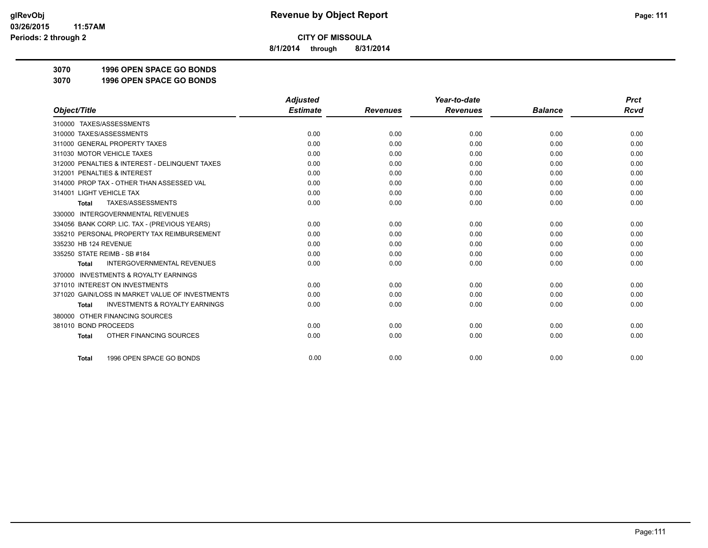**8/1/2014 through 8/31/2014**

**3070 1996 OPEN SPACE GO BONDS**

**3070 1996 OPEN SPACE GO BONDS**

|                                                           | <b>Adjusted</b> |                 | Year-to-date    |                | <b>Prct</b> |
|-----------------------------------------------------------|-----------------|-----------------|-----------------|----------------|-------------|
| Object/Title                                              | <b>Estimate</b> | <b>Revenues</b> | <b>Revenues</b> | <b>Balance</b> | <b>Rcvd</b> |
| 310000 TAXES/ASSESSMENTS                                  |                 |                 |                 |                |             |
| 310000 TAXES/ASSESSMENTS                                  | 0.00            | 0.00            | 0.00            | 0.00           | 0.00        |
| 311000 GENERAL PROPERTY TAXES                             | 0.00            | 0.00            | 0.00            | 0.00           | 0.00        |
| 311030 MOTOR VEHICLE TAXES                                | 0.00            | 0.00            | 0.00            | 0.00           | 0.00        |
| 312000 PENALTIES & INTEREST - DELINQUENT TAXES            | 0.00            | 0.00            | 0.00            | 0.00           | 0.00        |
| 312001 PENALTIES & INTEREST                               | 0.00            | 0.00            | 0.00            | 0.00           | 0.00        |
| 314000 PROP TAX - OTHER THAN ASSESSED VAL                 | 0.00            | 0.00            | 0.00            | 0.00           | 0.00        |
| 314001 LIGHT VEHICLE TAX                                  | 0.00            | 0.00            | 0.00            | 0.00           | 0.00        |
| TAXES/ASSESSMENTS<br><b>Total</b>                         | 0.00            | 0.00            | 0.00            | 0.00           | 0.00        |
| 330000 INTERGOVERNMENTAL REVENUES                         |                 |                 |                 |                |             |
| 334056 BANK CORP. LIC. TAX - (PREVIOUS YEARS)             | 0.00            | 0.00            | 0.00            | 0.00           | 0.00        |
| 335210 PERSONAL PROPERTY TAX REIMBURSEMENT                | 0.00            | 0.00            | 0.00            | 0.00           | 0.00        |
| 335230 HB 124 REVENUE                                     | 0.00            | 0.00            | 0.00            | 0.00           | 0.00        |
| 335250 STATE REIMB - SB #184                              | 0.00            | 0.00            | 0.00            | 0.00           | 0.00        |
| <b>INTERGOVERNMENTAL REVENUES</b><br><b>Total</b>         | 0.00            | 0.00            | 0.00            | 0.00           | 0.00        |
| <b>INVESTMENTS &amp; ROYALTY EARNINGS</b><br>370000       |                 |                 |                 |                |             |
| 371010 INTEREST ON INVESTMENTS                            | 0.00            | 0.00            | 0.00            | 0.00           | 0.00        |
| 371020 GAIN/LOSS IN MARKET VALUE OF INVESTMENTS           | 0.00            | 0.00            | 0.00            | 0.00           | 0.00        |
| <b>INVESTMENTS &amp; ROYALTY EARNINGS</b><br><b>Total</b> | 0.00            | 0.00            | 0.00            | 0.00           | 0.00        |
| OTHER FINANCING SOURCES<br>380000                         |                 |                 |                 |                |             |
| 381010 BOND PROCEEDS                                      | 0.00            | 0.00            | 0.00            | 0.00           | 0.00        |
| OTHER FINANCING SOURCES<br><b>Total</b>                   | 0.00            | 0.00            | 0.00            | 0.00           | 0.00        |
| 1996 OPEN SPACE GO BONDS<br><b>Total</b>                  | 0.00            | 0.00            | 0.00            | 0.00           | 0.00        |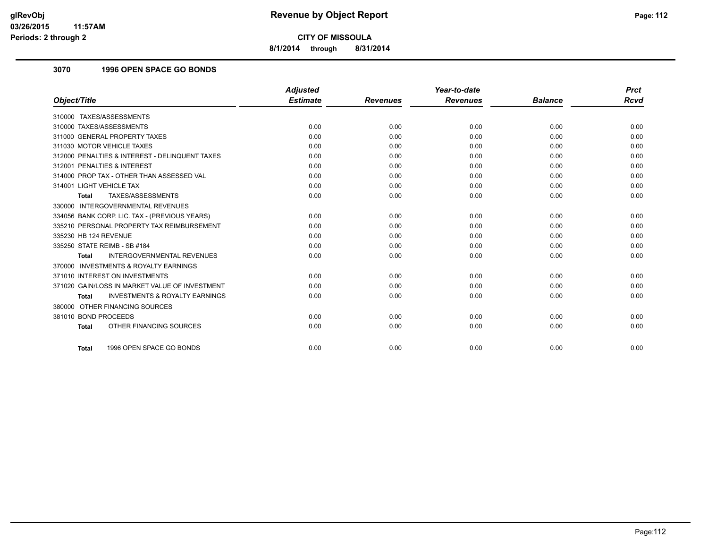**8/1/2014 through 8/31/2014**

## **3070 1996 OPEN SPACE GO BONDS**

|                                                           | <b>Adjusted</b> |                 | Year-to-date    |                | <b>Prct</b> |
|-----------------------------------------------------------|-----------------|-----------------|-----------------|----------------|-------------|
| Object/Title                                              | <b>Estimate</b> | <b>Revenues</b> | <b>Revenues</b> | <b>Balance</b> | <b>Rcvd</b> |
| 310000 TAXES/ASSESSMENTS                                  |                 |                 |                 |                |             |
| 310000 TAXES/ASSESSMENTS                                  | 0.00            | 0.00            | 0.00            | 0.00           | 0.00        |
| 311000 GENERAL PROPERTY TAXES                             | 0.00            | 0.00            | 0.00            | 0.00           | 0.00        |
| 311030 MOTOR VEHICLE TAXES                                | 0.00            | 0.00            | 0.00            | 0.00           | 0.00        |
| 312000 PENALTIES & INTEREST - DELINQUENT TAXES            | 0.00            | 0.00            | 0.00            | 0.00           | 0.00        |
| 312001 PENALTIES & INTEREST                               | 0.00            | 0.00            | 0.00            | 0.00           | 0.00        |
| 314000 PROP TAX - OTHER THAN ASSESSED VAL                 | 0.00            | 0.00            | 0.00            | 0.00           | 0.00        |
| 314001 LIGHT VEHICLE TAX                                  | 0.00            | 0.00            | 0.00            | 0.00           | 0.00        |
| TAXES/ASSESSMENTS<br>Total                                | 0.00            | 0.00            | 0.00            | 0.00           | 0.00        |
| 330000 INTERGOVERNMENTAL REVENUES                         |                 |                 |                 |                |             |
| 334056 BANK CORP. LIC. TAX - (PREVIOUS YEARS)             | 0.00            | 0.00            | 0.00            | 0.00           | 0.00        |
| 335210 PERSONAL PROPERTY TAX REIMBURSEMENT                | 0.00            | 0.00            | 0.00            | 0.00           | 0.00        |
| 335230 HB 124 REVENUE                                     | 0.00            | 0.00            | 0.00            | 0.00           | 0.00        |
| 335250 STATE REIMB - SB #184                              | 0.00            | 0.00            | 0.00            | 0.00           | 0.00        |
| <b>INTERGOVERNMENTAL REVENUES</b><br><b>Total</b>         | 0.00            | 0.00            | 0.00            | 0.00           | 0.00        |
| 370000 INVESTMENTS & ROYALTY EARNINGS                     |                 |                 |                 |                |             |
| 371010 INTEREST ON INVESTMENTS                            | 0.00            | 0.00            | 0.00            | 0.00           | 0.00        |
| 371020 GAIN/LOSS IN MARKET VALUE OF INVESTMENT            | 0.00            | 0.00            | 0.00            | 0.00           | 0.00        |
| <b>INVESTMENTS &amp; ROYALTY EARNINGS</b><br><b>Total</b> | 0.00            | 0.00            | 0.00            | 0.00           | 0.00        |
| 380000 OTHER FINANCING SOURCES                            |                 |                 |                 |                |             |
| 381010 BOND PROCEEDS                                      | 0.00            | 0.00            | 0.00            | 0.00           | 0.00        |
| OTHER FINANCING SOURCES<br><b>Total</b>                   | 0.00            | 0.00            | 0.00            | 0.00           | 0.00        |
|                                                           |                 |                 |                 |                |             |
| 1996 OPEN SPACE GO BONDS<br><b>Total</b>                  | 0.00            | 0.00            | 0.00            | 0.00           | 0.00        |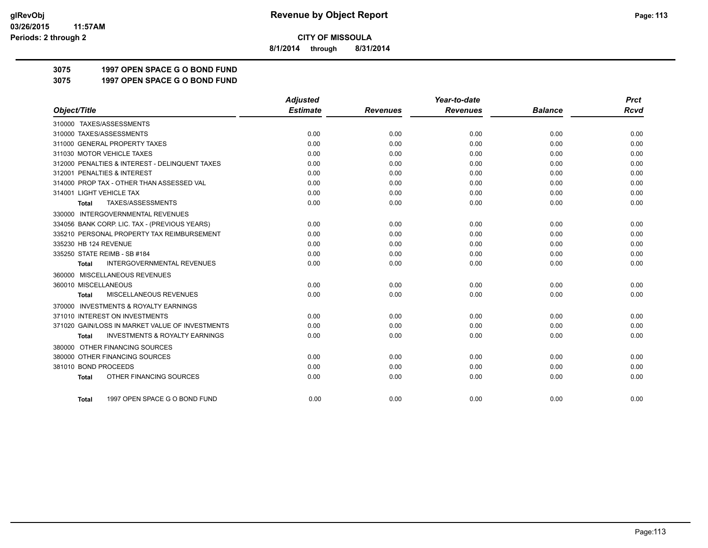**8/1/2014 through 8/31/2014**

**3075 1997 OPEN SPACE G O BOND FUND**

**3075 1997 OPEN SPACE G O BOND FUND**

|                                                           | <b>Adjusted</b> |                 | Year-to-date    |                | <b>Prct</b> |
|-----------------------------------------------------------|-----------------|-----------------|-----------------|----------------|-------------|
| Object/Title                                              | <b>Estimate</b> | <b>Revenues</b> | <b>Revenues</b> | <b>Balance</b> | <b>Rcvd</b> |
| 310000 TAXES/ASSESSMENTS                                  |                 |                 |                 |                |             |
| 310000 TAXES/ASSESSMENTS                                  | 0.00            | 0.00            | 0.00            | 0.00           | 0.00        |
| 311000 GENERAL PROPERTY TAXES                             | 0.00            | 0.00            | 0.00            | 0.00           | 0.00        |
| 311030 MOTOR VEHICLE TAXES                                | 0.00            | 0.00            | 0.00            | 0.00           | 0.00        |
| 312000 PENALTIES & INTEREST - DELINQUENT TAXES            | 0.00            | 0.00            | 0.00            | 0.00           | 0.00        |
| 312001 PENALTIES & INTEREST                               | 0.00            | 0.00            | 0.00            | 0.00           | 0.00        |
| 314000 PROP TAX - OTHER THAN ASSESSED VAL                 | 0.00            | 0.00            | 0.00            | 0.00           | 0.00        |
| 314001 LIGHT VEHICLE TAX                                  | 0.00            | 0.00            | 0.00            | 0.00           | 0.00        |
| TAXES/ASSESSMENTS<br>Total                                | 0.00            | 0.00            | 0.00            | 0.00           | 0.00        |
| 330000 INTERGOVERNMENTAL REVENUES                         |                 |                 |                 |                |             |
| 334056 BANK CORP. LIC. TAX - (PREVIOUS YEARS)             | 0.00            | 0.00            | 0.00            | 0.00           | 0.00        |
| 335210 PERSONAL PROPERTY TAX REIMBURSEMENT                | 0.00            | 0.00            | 0.00            | 0.00           | 0.00        |
| 335230 HB 124 REVENUE                                     | 0.00            | 0.00            | 0.00            | 0.00           | 0.00        |
| 335250 STATE REIMB - SB #184                              | 0.00            | 0.00            | 0.00            | 0.00           | 0.00        |
| <b>INTERGOVERNMENTAL REVENUES</b><br><b>Total</b>         | 0.00            | 0.00            | 0.00            | 0.00           | 0.00        |
| 360000 MISCELLANEOUS REVENUES                             |                 |                 |                 |                |             |
| 360010 MISCELLANEOUS                                      | 0.00            | 0.00            | 0.00            | 0.00           | 0.00        |
| MISCELLANEOUS REVENUES<br><b>Total</b>                    | 0.00            | 0.00            | 0.00            | 0.00           | 0.00        |
| <b>INVESTMENTS &amp; ROYALTY EARNINGS</b><br>370000       |                 |                 |                 |                |             |
| 371010 INTEREST ON INVESTMENTS                            | 0.00            | 0.00            | 0.00            | 0.00           | 0.00        |
| 371020 GAIN/LOSS IN MARKET VALUE OF INVESTMENTS           | 0.00            | 0.00            | 0.00            | 0.00           | 0.00        |
| <b>INVESTMENTS &amp; ROYALTY EARNINGS</b><br><b>Total</b> | 0.00            | 0.00            | 0.00            | 0.00           | 0.00        |
| 380000 OTHER FINANCING SOURCES                            |                 |                 |                 |                |             |
| 380000 OTHER FINANCING SOURCES                            | 0.00            | 0.00            | 0.00            | 0.00           | 0.00        |
| 381010 BOND PROCEEDS                                      | 0.00            | 0.00            | 0.00            | 0.00           | 0.00        |
| OTHER FINANCING SOURCES<br><b>Total</b>                   | 0.00            | 0.00            | 0.00            | 0.00           | 0.00        |
|                                                           |                 |                 |                 |                |             |
| 1997 OPEN SPACE G O BOND FUND<br>Total                    | 0.00            | 0.00            | 0.00            | 0.00           | 0.00        |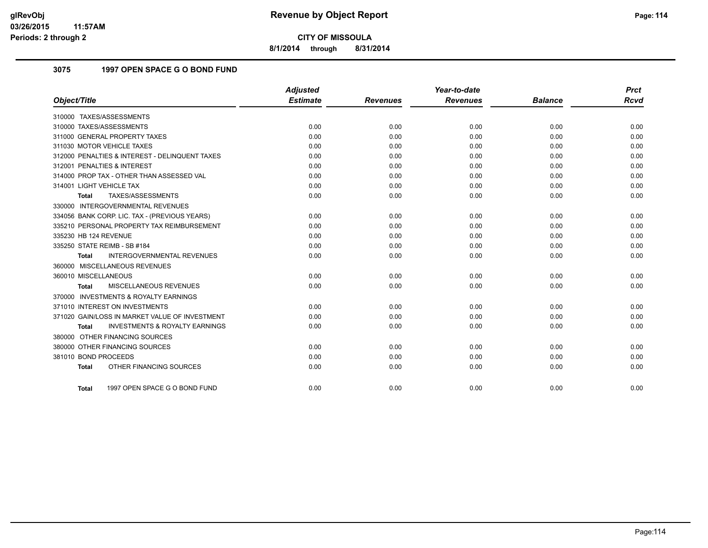**8/1/2014 through 8/31/2014**

## **3075 1997 OPEN SPACE G O BOND FUND**

|                                                           | <b>Adjusted</b> |                 | Year-to-date    |                | <b>Prct</b> |
|-----------------------------------------------------------|-----------------|-----------------|-----------------|----------------|-------------|
| Object/Title                                              | <b>Estimate</b> | <b>Revenues</b> | <b>Revenues</b> | <b>Balance</b> | <b>Rcvd</b> |
| 310000 TAXES/ASSESSMENTS                                  |                 |                 |                 |                |             |
| 310000 TAXES/ASSESSMENTS                                  | 0.00            | 0.00            | 0.00            | 0.00           | 0.00        |
| 311000 GENERAL PROPERTY TAXES                             | 0.00            | 0.00            | 0.00            | 0.00           | 0.00        |
| 311030 MOTOR VEHICLE TAXES                                | 0.00            | 0.00            | 0.00            | 0.00           | 0.00        |
| 312000 PENALTIES & INTEREST - DELINQUENT TAXES            | 0.00            | 0.00            | 0.00            | 0.00           | 0.00        |
| 312001 PENALTIES & INTEREST                               | 0.00            | 0.00            | 0.00            | 0.00           | 0.00        |
| 314000 PROP TAX - OTHER THAN ASSESSED VAL                 | 0.00            | 0.00            | 0.00            | 0.00           | 0.00        |
| 314001 LIGHT VEHICLE TAX                                  | 0.00            | 0.00            | 0.00            | 0.00           | 0.00        |
| TAXES/ASSESSMENTS<br><b>Total</b>                         | 0.00            | 0.00            | 0.00            | 0.00           | 0.00        |
| 330000 INTERGOVERNMENTAL REVENUES                         |                 |                 |                 |                |             |
| 334056 BANK CORP. LIC. TAX - (PREVIOUS YEARS)             | 0.00            | 0.00            | 0.00            | 0.00           | 0.00        |
| 335210 PERSONAL PROPERTY TAX REIMBURSEMENT                | 0.00            | 0.00            | 0.00            | 0.00           | 0.00        |
| 335230 HB 124 REVENUE                                     | 0.00            | 0.00            | 0.00            | 0.00           | 0.00        |
| 335250 STATE REIMB - SB #184                              | 0.00            | 0.00            | 0.00            | 0.00           | 0.00        |
| INTERGOVERNMENTAL REVENUES<br><b>Total</b>                | 0.00            | 0.00            | 0.00            | 0.00           | 0.00        |
| 360000 MISCELLANEOUS REVENUES                             |                 |                 |                 |                |             |
| 360010 MISCELLANEOUS                                      | 0.00            | 0.00            | 0.00            | 0.00           | 0.00        |
| MISCELLANEOUS REVENUES<br>Total                           | 0.00            | 0.00            | 0.00            | 0.00           | 0.00        |
| 370000 INVESTMENTS & ROYALTY EARNINGS                     |                 |                 |                 |                |             |
| 371010 INTEREST ON INVESTMENTS                            | 0.00            | 0.00            | 0.00            | 0.00           | 0.00        |
| 371020 GAIN/LOSS IN MARKET VALUE OF INVESTMENT            | 0.00            | 0.00            | 0.00            | 0.00           | 0.00        |
| <b>INVESTMENTS &amp; ROYALTY EARNINGS</b><br><b>Total</b> | 0.00            | 0.00            | 0.00            | 0.00           | 0.00        |
| 380000 OTHER FINANCING SOURCES                            |                 |                 |                 |                |             |
| 380000 OTHER FINANCING SOURCES                            | 0.00            | 0.00            | 0.00            | 0.00           | 0.00        |
| 381010 BOND PROCEEDS                                      | 0.00            | 0.00            | 0.00            | 0.00           | 0.00        |
| OTHER FINANCING SOURCES<br><b>Total</b>                   | 0.00            | 0.00            | 0.00            | 0.00           | 0.00        |
| 1997 OPEN SPACE G O BOND FUND<br>Total                    | 0.00            | 0.00            | 0.00            | 0.00           | 0.00        |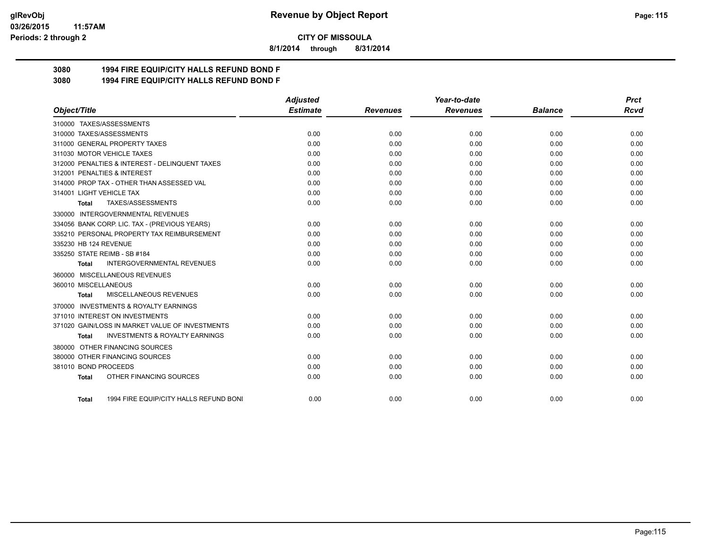#### **03/26/2015 11:57AM Periods: 2 through 2**

**CITY OF MISSOULA**

**8/1/2014 through 8/31/2014**

# **3080 1994 FIRE EQUIP/CITY HALLS REFUND BOND F**

**3080 1994 FIRE EQUIP/CITY HALLS REFUND BOND F**

|                                                           | <b>Adjusted</b> |                 | Year-to-date    |                | <b>Prct</b> |
|-----------------------------------------------------------|-----------------|-----------------|-----------------|----------------|-------------|
| Object/Title                                              | <b>Estimate</b> | <b>Revenues</b> | <b>Revenues</b> | <b>Balance</b> | Rcvd        |
| 310000 TAXES/ASSESSMENTS                                  |                 |                 |                 |                |             |
| 310000 TAXES/ASSESSMENTS                                  | 0.00            | 0.00            | 0.00            | 0.00           | 0.00        |
| 311000 GENERAL PROPERTY TAXES                             | 0.00            | 0.00            | 0.00            | 0.00           | 0.00        |
| 311030 MOTOR VEHICLE TAXES                                | 0.00            | 0.00            | 0.00            | 0.00           | 0.00        |
| 312000 PENALTIES & INTEREST - DELINQUENT TAXES            | 0.00            | 0.00            | 0.00            | 0.00           | 0.00        |
| 312001 PENALTIES & INTEREST                               | 0.00            | 0.00            | 0.00            | 0.00           | 0.00        |
| 314000 PROP TAX - OTHER THAN ASSESSED VAL                 | 0.00            | 0.00            | 0.00            | 0.00           | 0.00        |
| 314001 LIGHT VEHICLE TAX                                  | 0.00            | 0.00            | 0.00            | 0.00           | 0.00        |
| TAXES/ASSESSMENTS<br>Total                                | 0.00            | 0.00            | 0.00            | 0.00           | 0.00        |
| 330000 INTERGOVERNMENTAL REVENUES                         |                 |                 |                 |                |             |
| 334056 BANK CORP. LIC. TAX - (PREVIOUS YEARS)             | 0.00            | 0.00            | 0.00            | 0.00           | 0.00        |
| 335210 PERSONAL PROPERTY TAX REIMBURSEMENT                | 0.00            | 0.00            | 0.00            | 0.00           | 0.00        |
| 335230 HB 124 REVENUE                                     | 0.00            | 0.00            | 0.00            | 0.00           | 0.00        |
| 335250 STATE REIMB - SB #184                              | 0.00            | 0.00            | 0.00            | 0.00           | 0.00        |
| <b>INTERGOVERNMENTAL REVENUES</b><br><b>Total</b>         | 0.00            | 0.00            | 0.00            | 0.00           | 0.00        |
| 360000 MISCELLANEOUS REVENUES                             |                 |                 |                 |                |             |
| 360010 MISCELLANEOUS                                      | 0.00            | 0.00            | 0.00            | 0.00           | 0.00        |
| MISCELLANEOUS REVENUES<br><b>Total</b>                    | 0.00            | 0.00            | 0.00            | 0.00           | 0.00        |
| 370000 INVESTMENTS & ROYALTY EARNINGS                     |                 |                 |                 |                |             |
| 371010 INTEREST ON INVESTMENTS                            | 0.00            | 0.00            | 0.00            | 0.00           | 0.00        |
| 371020 GAIN/LOSS IN MARKET VALUE OF INVESTMENTS           | 0.00            | 0.00            | 0.00            | 0.00           | 0.00        |
| <b>INVESTMENTS &amp; ROYALTY EARNINGS</b><br><b>Total</b> | 0.00            | 0.00            | 0.00            | 0.00           | 0.00        |
| 380000 OTHER FINANCING SOURCES                            |                 |                 |                 |                |             |
| 380000 OTHER FINANCING SOURCES                            | 0.00            | 0.00            | 0.00            | 0.00           | 0.00        |
| 381010 BOND PROCEEDS                                      | 0.00            | 0.00            | 0.00            | 0.00           | 0.00        |
| OTHER FINANCING SOURCES<br><b>Total</b>                   | 0.00            | 0.00            | 0.00            | 0.00           | 0.00        |
|                                                           |                 |                 |                 |                |             |
| 1994 FIRE EQUIP/CITY HALLS REFUND BONI<br>Total           | 0.00            | 0.00            | 0.00            | 0.00           | 0.00        |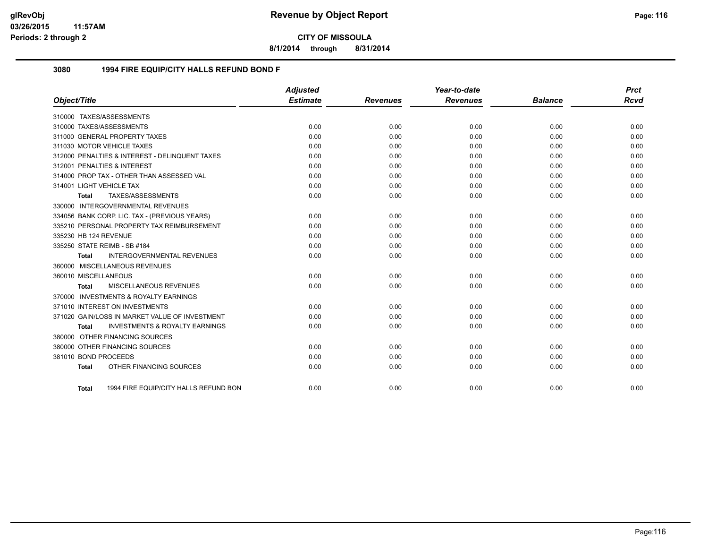**8/1/2014 through 8/31/2014**

## **3080 1994 FIRE EQUIP/CITY HALLS REFUND BOND F**

|                          |                                                | <b>Adjusted</b> |                 | Year-to-date    |                | <b>Prct</b> |
|--------------------------|------------------------------------------------|-----------------|-----------------|-----------------|----------------|-------------|
| Object/Title             |                                                | <b>Estimate</b> | <b>Revenues</b> | <b>Revenues</b> | <b>Balance</b> | <b>Rcvd</b> |
|                          | 310000 TAXES/ASSESSMENTS                       |                 |                 |                 |                |             |
|                          | 310000 TAXES/ASSESSMENTS                       | 0.00            | 0.00            | 0.00            | 0.00           | 0.00        |
|                          | 311000 GENERAL PROPERTY TAXES                  | 0.00            | 0.00            | 0.00            | 0.00           | 0.00        |
|                          | 311030 MOTOR VEHICLE TAXES                     | 0.00            | 0.00            | 0.00            | 0.00           | 0.00        |
|                          | 312000 PENALTIES & INTEREST - DELINQUENT TAXES | 0.00            | 0.00            | 0.00            | 0.00           | 0.00        |
|                          | 312001 PENALTIES & INTEREST                    | 0.00            | 0.00            | 0.00            | 0.00           | 0.00        |
|                          | 314000 PROP TAX - OTHER THAN ASSESSED VAL      | 0.00            | 0.00            | 0.00            | 0.00           | 0.00        |
| 314001 LIGHT VEHICLE TAX |                                                | 0.00            | 0.00            | 0.00            | 0.00           | 0.00        |
| Total                    | TAXES/ASSESSMENTS                              | 0.00            | 0.00            | 0.00            | 0.00           | 0.00        |
|                          | 330000 INTERGOVERNMENTAL REVENUES              |                 |                 |                 |                |             |
|                          | 334056 BANK CORP. LIC. TAX - (PREVIOUS YEARS)  | 0.00            | 0.00            | 0.00            | 0.00           | 0.00        |
|                          | 335210 PERSONAL PROPERTY TAX REIMBURSEMENT     | 0.00            | 0.00            | 0.00            | 0.00           | 0.00        |
| 335230 HB 124 REVENUE    |                                                | 0.00            | 0.00            | 0.00            | 0.00           | 0.00        |
|                          | 335250 STATE REIMB - SB #184                   | 0.00            | 0.00            | 0.00            | 0.00           | 0.00        |
| <b>Total</b>             | <b>INTERGOVERNMENTAL REVENUES</b>              | 0.00            | 0.00            | 0.00            | 0.00           | 0.00        |
|                          | 360000 MISCELLANEOUS REVENUES                  |                 |                 |                 |                |             |
| 360010 MISCELLANEOUS     |                                                | 0.00            | 0.00            | 0.00            | 0.00           | 0.00        |
| <b>Total</b>             | MISCELLANEOUS REVENUES                         | 0.00            | 0.00            | 0.00            | 0.00           | 0.00        |
|                          | 370000 INVESTMENTS & ROYALTY EARNINGS          |                 |                 |                 |                |             |
|                          | 371010 INTEREST ON INVESTMENTS                 | 0.00            | 0.00            | 0.00            | 0.00           | 0.00        |
|                          | 371020 GAIN/LOSS IN MARKET VALUE OF INVESTMENT | 0.00            | 0.00            | 0.00            | 0.00           | 0.00        |
| Total                    | <b>INVESTMENTS &amp; ROYALTY EARNINGS</b>      | 0.00            | 0.00            | 0.00            | 0.00           | 0.00        |
|                          | 380000 OTHER FINANCING SOURCES                 |                 |                 |                 |                |             |
|                          | 380000 OTHER FINANCING SOURCES                 | 0.00            | 0.00            | 0.00            | 0.00           | 0.00        |
| 381010 BOND PROCEEDS     |                                                | 0.00            | 0.00            | 0.00            | 0.00           | 0.00        |
| <b>Total</b>             | OTHER FINANCING SOURCES                        | 0.00            | 0.00            | 0.00            | 0.00           | 0.00        |
|                          |                                                |                 |                 |                 |                |             |
| Total                    | 1994 FIRE EQUIP/CITY HALLS REFUND BON          | 0.00            | 0.00            | 0.00            | 0.00           | 0.00        |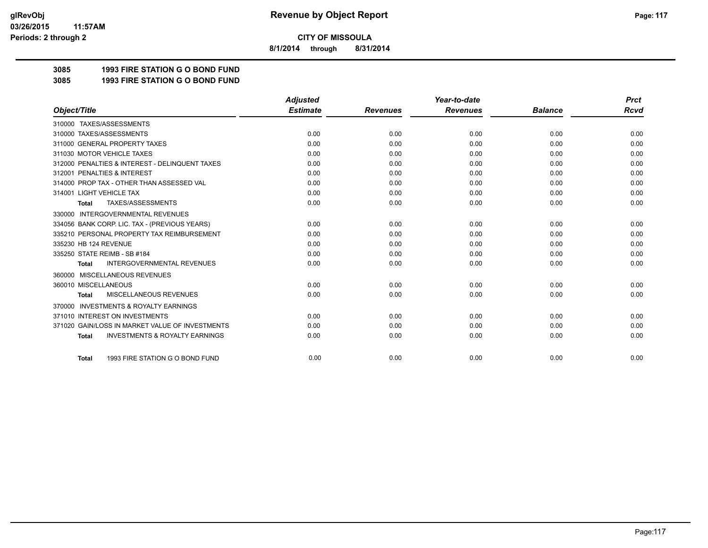**8/1/2014 through 8/31/2014**

# **3085 1993 FIRE STATION G O BOND FUND**

**3085 1993 FIRE STATION G O BOND FUND**

|                                                           | <b>Adjusted</b> |                 | Year-to-date    |                | <b>Prct</b> |
|-----------------------------------------------------------|-----------------|-----------------|-----------------|----------------|-------------|
| Object/Title                                              | <b>Estimate</b> | <b>Revenues</b> | <b>Revenues</b> | <b>Balance</b> | <b>Rcvd</b> |
| 310000 TAXES/ASSESSMENTS                                  |                 |                 |                 |                |             |
| 310000 TAXES/ASSESSMENTS                                  | 0.00            | 0.00            | 0.00            | 0.00           | 0.00        |
| 311000 GENERAL PROPERTY TAXES                             | 0.00            | 0.00            | 0.00            | 0.00           | 0.00        |
| 311030 MOTOR VEHICLE TAXES                                | 0.00            | 0.00            | 0.00            | 0.00           | 0.00        |
| 312000 PENALTIES & INTEREST - DELINQUENT TAXES            | 0.00            | 0.00            | 0.00            | 0.00           | 0.00        |
| 312001 PENALTIES & INTEREST                               | 0.00            | 0.00            | 0.00            | 0.00           | 0.00        |
| 314000 PROP TAX - OTHER THAN ASSESSED VAL                 | 0.00            | 0.00            | 0.00            | 0.00           | 0.00        |
| 314001 LIGHT VEHICLE TAX                                  | 0.00            | 0.00            | 0.00            | 0.00           | 0.00        |
| TAXES/ASSESSMENTS<br><b>Total</b>                         | 0.00            | 0.00            | 0.00            | 0.00           | 0.00        |
| <b>INTERGOVERNMENTAL REVENUES</b><br>330000               |                 |                 |                 |                |             |
| 334056 BANK CORP. LIC. TAX - (PREVIOUS YEARS)             | 0.00            | 0.00            | 0.00            | 0.00           | 0.00        |
| 335210 PERSONAL PROPERTY TAX REIMBURSEMENT                | 0.00            | 0.00            | 0.00            | 0.00           | 0.00        |
| 335230 HB 124 REVENUE                                     | 0.00            | 0.00            | 0.00            | 0.00           | 0.00        |
| 335250 STATE REIMB - SB #184                              | 0.00            | 0.00            | 0.00            | 0.00           | 0.00        |
| <b>INTERGOVERNMENTAL REVENUES</b><br><b>Total</b>         | 0.00            | 0.00            | 0.00            | 0.00           | 0.00        |
| MISCELLANEOUS REVENUES<br>360000                          |                 |                 |                 |                |             |
| 360010 MISCELLANEOUS                                      | 0.00            | 0.00            | 0.00            | 0.00           | 0.00        |
| MISCELLANEOUS REVENUES<br><b>Total</b>                    | 0.00            | 0.00            | 0.00            | 0.00           | 0.00        |
| <b>INVESTMENTS &amp; ROYALTY EARNINGS</b><br>370000       |                 |                 |                 |                |             |
| 371010 INTEREST ON INVESTMENTS                            | 0.00            | 0.00            | 0.00            | 0.00           | 0.00        |
| 371020 GAIN/LOSS IN MARKET VALUE OF INVESTMENTS           | 0.00            | 0.00            | 0.00            | 0.00           | 0.00        |
| <b>INVESTMENTS &amp; ROYALTY EARNINGS</b><br><b>Total</b> | 0.00            | 0.00            | 0.00            | 0.00           | 0.00        |
| 1993 FIRE STATION G O BOND FUND<br><b>Total</b>           | 0.00            | 0.00            | 0.00            | 0.00           | 0.00        |
|                                                           |                 |                 |                 |                |             |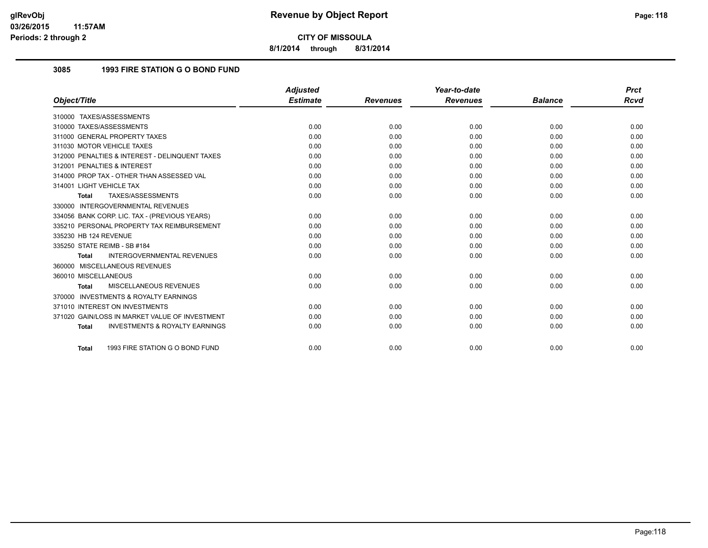**8/1/2014 through 8/31/2014**

## **3085 1993 FIRE STATION G O BOND FUND**

|                                                           | <b>Adjusted</b> |                 | Year-to-date    |                | <b>Prct</b> |
|-----------------------------------------------------------|-----------------|-----------------|-----------------|----------------|-------------|
| Object/Title                                              | <b>Estimate</b> | <b>Revenues</b> | <b>Revenues</b> | <b>Balance</b> | Rcvd        |
| 310000 TAXES/ASSESSMENTS                                  |                 |                 |                 |                |             |
| 310000 TAXES/ASSESSMENTS                                  | 0.00            | 0.00            | 0.00            | 0.00           | 0.00        |
| 311000 GENERAL PROPERTY TAXES                             | 0.00            | 0.00            | 0.00            | 0.00           | 0.00        |
| 311030 MOTOR VEHICLE TAXES                                | 0.00            | 0.00            | 0.00            | 0.00           | 0.00        |
| 312000 PENALTIES & INTEREST - DELINQUENT TAXES            | 0.00            | 0.00            | 0.00            | 0.00           | 0.00        |
| 312001 PENALTIES & INTEREST                               | 0.00            | 0.00            | 0.00            | 0.00           | 0.00        |
| 314000 PROP TAX - OTHER THAN ASSESSED VAL                 | 0.00            | 0.00            | 0.00            | 0.00           | 0.00        |
| 314001 LIGHT VEHICLE TAX                                  | 0.00            | 0.00            | 0.00            | 0.00           | 0.00        |
| TAXES/ASSESSMENTS<br><b>Total</b>                         | 0.00            | 0.00            | 0.00            | 0.00           | 0.00        |
| 330000 INTERGOVERNMENTAL REVENUES                         |                 |                 |                 |                |             |
| 334056 BANK CORP. LIC. TAX - (PREVIOUS YEARS)             | 0.00            | 0.00            | 0.00            | 0.00           | 0.00        |
| 335210 PERSONAL PROPERTY TAX REIMBURSEMENT                | 0.00            | 0.00            | 0.00            | 0.00           | 0.00        |
| 335230 HB 124 REVENUE                                     | 0.00            | 0.00            | 0.00            | 0.00           | 0.00        |
| 335250 STATE REIMB - SB #184                              | 0.00            | 0.00            | 0.00            | 0.00           | 0.00        |
| <b>INTERGOVERNMENTAL REVENUES</b><br><b>Total</b>         | 0.00            | 0.00            | 0.00            | 0.00           | 0.00        |
| 360000 MISCELLANEOUS REVENUES                             |                 |                 |                 |                |             |
| 360010 MISCELLANEOUS                                      | 0.00            | 0.00            | 0.00            | 0.00           | 0.00        |
| MISCELLANEOUS REVENUES<br><b>Total</b>                    | 0.00            | 0.00            | 0.00            | 0.00           | 0.00        |
| 370000 INVESTMENTS & ROYALTY EARNINGS                     |                 |                 |                 |                |             |
| 371010 INTEREST ON INVESTMENTS                            | 0.00            | 0.00            | 0.00            | 0.00           | 0.00        |
| 371020 GAIN/LOSS IN MARKET VALUE OF INVESTMENT            | 0.00            | 0.00            | 0.00            | 0.00           | 0.00        |
| <b>INVESTMENTS &amp; ROYALTY EARNINGS</b><br><b>Total</b> | 0.00            | 0.00            | 0.00            | 0.00           | 0.00        |
| 1993 FIRE STATION G O BOND FUND<br><b>Total</b>           | 0.00            | 0.00            | 0.00            | 0.00           | 0.00        |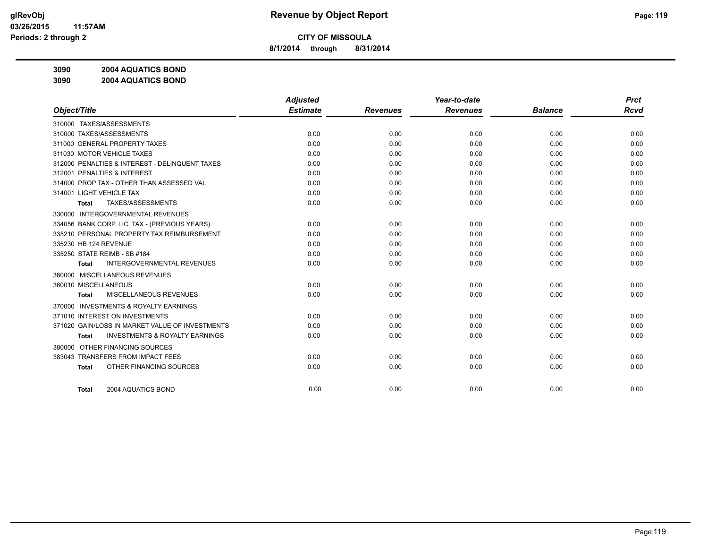**8/1/2014 through 8/31/2014**

**3090 2004 AQUATICS BOND**

**3090 2004 AQUATICS BOND**

|                                                           | <b>Adjusted</b> |                 | Year-to-date    |                | <b>Prct</b> |
|-----------------------------------------------------------|-----------------|-----------------|-----------------|----------------|-------------|
| Object/Title                                              | <b>Estimate</b> | <b>Revenues</b> | <b>Revenues</b> | <b>Balance</b> | Rcvd        |
| 310000 TAXES/ASSESSMENTS                                  |                 |                 |                 |                |             |
| 310000 TAXES/ASSESSMENTS                                  | 0.00            | 0.00            | 0.00            | 0.00           | 0.00        |
| 311000 GENERAL PROPERTY TAXES                             | 0.00            | 0.00            | 0.00            | 0.00           | 0.00        |
| 311030 MOTOR VEHICLE TAXES                                | 0.00            | 0.00            | 0.00            | 0.00           | 0.00        |
| 312000 PENALTIES & INTEREST - DELINQUENT TAXES            | 0.00            | 0.00            | 0.00            | 0.00           | 0.00        |
| 312001 PENALTIES & INTEREST                               | 0.00            | 0.00            | 0.00            | 0.00           | 0.00        |
| 314000 PROP TAX - OTHER THAN ASSESSED VAL                 | 0.00            | 0.00            | 0.00            | 0.00           | 0.00        |
| 314001 LIGHT VEHICLE TAX                                  | 0.00            | 0.00            | 0.00            | 0.00           | 0.00        |
| TAXES/ASSESSMENTS<br>Total                                | 0.00            | 0.00            | 0.00            | 0.00           | 0.00        |
| 330000 INTERGOVERNMENTAL REVENUES                         |                 |                 |                 |                |             |
| 334056 BANK CORP. LIC. TAX - (PREVIOUS YEARS)             | 0.00            | 0.00            | 0.00            | 0.00           | 0.00        |
| 335210 PERSONAL PROPERTY TAX REIMBURSEMENT                | 0.00            | 0.00            | 0.00            | 0.00           | 0.00        |
| 335230 HB 124 REVENUE                                     | 0.00            | 0.00            | 0.00            | 0.00           | 0.00        |
| 335250 STATE REIMB - SB #184                              | 0.00            | 0.00            | 0.00            | 0.00           | 0.00        |
| <b>INTERGOVERNMENTAL REVENUES</b><br><b>Total</b>         | 0.00            | 0.00            | 0.00            | 0.00           | 0.00        |
| 360000 MISCELLANEOUS REVENUES                             |                 |                 |                 |                |             |
| 360010 MISCELLANEOUS                                      | 0.00            | 0.00            | 0.00            | 0.00           | 0.00        |
| MISCELLANEOUS REVENUES<br><b>Total</b>                    | 0.00            | 0.00            | 0.00            | 0.00           | 0.00        |
| <b>INVESTMENTS &amp; ROYALTY EARNINGS</b><br>370000       |                 |                 |                 |                |             |
| 371010 INTEREST ON INVESTMENTS                            | 0.00            | 0.00            | 0.00            | 0.00           | 0.00        |
| 371020 GAIN/LOSS IN MARKET VALUE OF INVESTMENTS           | 0.00            | 0.00            | 0.00            | 0.00           | 0.00        |
| <b>INVESTMENTS &amp; ROYALTY EARNINGS</b><br><b>Total</b> | 0.00            | 0.00            | 0.00            | 0.00           | 0.00        |
| OTHER FINANCING SOURCES<br>380000                         |                 |                 |                 |                |             |
| 383043 TRANSFERS FROM IMPACT FEES                         | 0.00            | 0.00            | 0.00            | 0.00           | 0.00        |
| OTHER FINANCING SOURCES<br><b>Total</b>                   | 0.00            | 0.00            | 0.00            | 0.00           | 0.00        |
|                                                           |                 |                 |                 |                |             |
| 2004 AQUATICS BOND<br><b>Total</b>                        | 0.00            | 0.00            | 0.00            | 0.00           | 0.00        |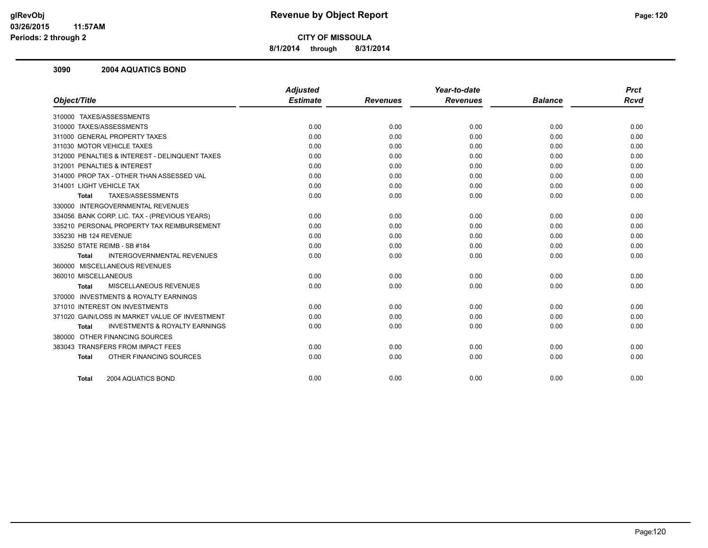**8/1/2014 through 8/31/2014**

## **3090 2004 AQUATICS BOND**

|                                                           | <b>Adjusted</b> |                 | Year-to-date    |                | <b>Prct</b> |
|-----------------------------------------------------------|-----------------|-----------------|-----------------|----------------|-------------|
| Object/Title                                              | <b>Estimate</b> | <b>Revenues</b> | <b>Revenues</b> | <b>Balance</b> | <b>Rcvd</b> |
| 310000 TAXES/ASSESSMENTS                                  |                 |                 |                 |                |             |
| 310000 TAXES/ASSESSMENTS                                  | 0.00            | 0.00            | 0.00            | 0.00           | 0.00        |
| 311000 GENERAL PROPERTY TAXES                             | 0.00            | 0.00            | 0.00            | 0.00           | 0.00        |
| 311030 MOTOR VEHICLE TAXES                                | 0.00            | 0.00            | 0.00            | 0.00           | 0.00        |
| 312000 PENALTIES & INTEREST - DELINQUENT TAXES            | 0.00            | 0.00            | 0.00            | 0.00           | 0.00        |
| 312001 PENALTIES & INTEREST                               | 0.00            | 0.00            | 0.00            | 0.00           | 0.00        |
| 314000 PROP TAX - OTHER THAN ASSESSED VAL                 | 0.00            | 0.00            | 0.00            | 0.00           | 0.00        |
| 314001 LIGHT VEHICLE TAX                                  | 0.00            | 0.00            | 0.00            | 0.00           | 0.00        |
| TAXES/ASSESSMENTS<br><b>Total</b>                         | 0.00            | 0.00            | 0.00            | 0.00           | 0.00        |
| 330000 INTERGOVERNMENTAL REVENUES                         |                 |                 |                 |                |             |
| 334056 BANK CORP. LIC. TAX - (PREVIOUS YEARS)             | 0.00            | 0.00            | 0.00            | 0.00           | 0.00        |
| 335210 PERSONAL PROPERTY TAX REIMBURSEMENT                | 0.00            | 0.00            | 0.00            | 0.00           | 0.00        |
| 335230 HB 124 REVENUE                                     | 0.00            | 0.00            | 0.00            | 0.00           | 0.00        |
| 335250 STATE REIMB - SB #184                              | 0.00            | 0.00            | 0.00            | 0.00           | 0.00        |
| <b>INTERGOVERNMENTAL REVENUES</b><br><b>Total</b>         | 0.00            | 0.00            | 0.00            | 0.00           | 0.00        |
| 360000 MISCELLANEOUS REVENUES                             |                 |                 |                 |                |             |
| 360010 MISCELLANEOUS                                      | 0.00            | 0.00            | 0.00            | 0.00           | 0.00        |
| MISCELLANEOUS REVENUES<br>Total                           | 0.00            | 0.00            | 0.00            | 0.00           | 0.00        |
| 370000 INVESTMENTS & ROYALTY EARNINGS                     |                 |                 |                 |                |             |
| 371010 INTEREST ON INVESTMENTS                            | 0.00            | 0.00            | 0.00            | 0.00           | 0.00        |
| 371020 GAIN/LOSS IN MARKET VALUE OF INVESTMENT            | 0.00            | 0.00            | 0.00            | 0.00           | 0.00        |
| <b>INVESTMENTS &amp; ROYALTY EARNINGS</b><br><b>Total</b> | 0.00            | 0.00            | 0.00            | 0.00           | 0.00        |
| 380000 OTHER FINANCING SOURCES                            |                 |                 |                 |                |             |
| 383043 TRANSFERS FROM IMPACT FEES                         | 0.00            | 0.00            | 0.00            | 0.00           | 0.00        |
| OTHER FINANCING SOURCES<br><b>Total</b>                   | 0.00            | 0.00            | 0.00            | 0.00           | 0.00        |
|                                                           |                 |                 |                 |                |             |
| 2004 AQUATICS BOND<br><b>Total</b>                        | 0.00            | 0.00            | 0.00            | 0.00           | 0.00        |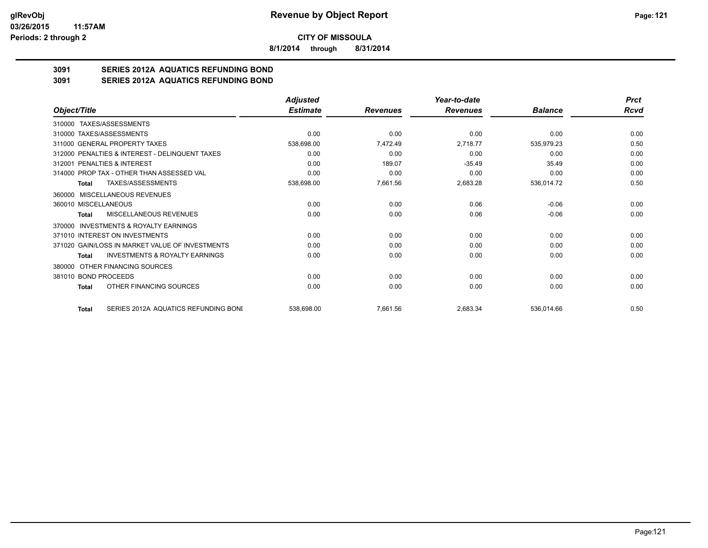**8/1/2014 through 8/31/2014**

# **3091 SERIES 2012A AQUATICS REFUNDING BOND**

**3091 SERIES 2012A AQUATICS REFUNDING BOND**

|                                                     | <b>Adjusted</b> |                 | Year-to-date    |                | <b>Prct</b> |
|-----------------------------------------------------|-----------------|-----------------|-----------------|----------------|-------------|
| Object/Title                                        | <b>Estimate</b> | <b>Revenues</b> | <b>Revenues</b> | <b>Balance</b> | Rcvd        |
| 310000 TAXES/ASSESSMENTS                            |                 |                 |                 |                |             |
| 310000 TAXES/ASSESSMENTS                            | 0.00            | 0.00            | 0.00            | 0.00           | 0.00        |
| 311000 GENERAL PROPERTY TAXES                       | 538,698.00      | 7,472.49        | 2,718.77        | 535,979.23     | 0.50        |
| 312000 PENALTIES & INTEREST - DELINQUENT TAXES      | 0.00            | 0.00            | 0.00            | 0.00           | 0.00        |
| 312001 PENALTIES & INTEREST                         | 0.00            | 189.07          | $-35.49$        | 35.49          | 0.00        |
| 314000 PROP TAX - OTHER THAN ASSESSED VAL           | 0.00            | 0.00            | 0.00            | 0.00           | 0.00        |
| TAXES/ASSESSMENTS<br>Total                          | 538,698.00      | 7,661.56        | 2,683.28        | 536,014.72     | 0.50        |
| 360000 MISCELLANEOUS REVENUES                       |                 |                 |                 |                |             |
| 360010 MISCELLANEOUS                                | 0.00            | 0.00            | 0.06            | $-0.06$        | 0.00        |
| MISCELLANEOUS REVENUES<br>Total                     | 0.00            | 0.00            | 0.06            | $-0.06$        | 0.00        |
| <b>INVESTMENTS &amp; ROYALTY EARNINGS</b><br>370000 |                 |                 |                 |                |             |
| 371010 INTEREST ON INVESTMENTS                      | 0.00            | 0.00            | 0.00            | 0.00           | 0.00        |
| 371020 GAIN/LOSS IN MARKET VALUE OF INVESTMENTS     | 0.00            | 0.00            | 0.00            | 0.00           | 0.00        |
| <b>INVESTMENTS &amp; ROYALTY EARNINGS</b><br>Total  | 0.00            | 0.00            | 0.00            | 0.00           | 0.00        |
| OTHER FINANCING SOURCES<br>380000                   |                 |                 |                 |                |             |
| 381010 BOND PROCEEDS                                | 0.00            | 0.00            | 0.00            | 0.00           | 0.00        |
| OTHER FINANCING SOURCES<br>Total                    | 0.00            | 0.00            | 0.00            | 0.00           | 0.00        |
| SERIES 2012A AQUATICS REFUNDING BONI<br>Total       | 538,698.00      | 7,661.56        | 2,683.34        | 536,014.66     | 0.50        |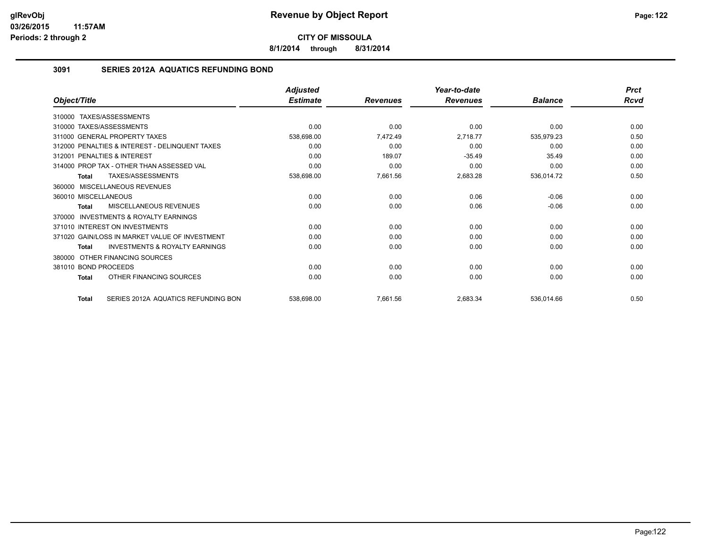**8/1/2014 through 8/31/2014**

## **3091 SERIES 2012A AQUATICS REFUNDING BOND**

|                                                           | <b>Adjusted</b> |                 | Year-to-date    |                | <b>Prct</b> |
|-----------------------------------------------------------|-----------------|-----------------|-----------------|----------------|-------------|
| Object/Title                                              | <b>Estimate</b> | <b>Revenues</b> | <b>Revenues</b> | <b>Balance</b> | <b>Rcvd</b> |
| 310000 TAXES/ASSESSMENTS                                  |                 |                 |                 |                |             |
| 310000 TAXES/ASSESSMENTS                                  | 0.00            | 0.00            | 0.00            | 0.00           | 0.00        |
| 311000 GENERAL PROPERTY TAXES                             | 538,698.00      | 7,472.49        | 2,718.77        | 535,979.23     | 0.50        |
| 312000 PENALTIES & INTEREST - DELINQUENT TAXES            | 0.00            | 0.00            | 0.00            | 0.00           | 0.00        |
| PENALTIES & INTEREST<br>312001                            | 0.00            | 189.07          | $-35.49$        | 35.49          | 0.00        |
| 314000 PROP TAX - OTHER THAN ASSESSED VAL                 | 0.00            | 0.00            | 0.00            | 0.00           | 0.00        |
| TAXES/ASSESSMENTS<br>Total                                | 538,698.00      | 7,661.56        | 2,683.28        | 536,014.72     | 0.50        |
| 360000 MISCELLANEOUS REVENUES                             |                 |                 |                 |                |             |
| 360010 MISCELLANEOUS                                      | 0.00            | 0.00            | 0.06            | $-0.06$        | 0.00        |
| MISCELLANEOUS REVENUES<br>Total                           | 0.00            | 0.00            | 0.06            | $-0.06$        | 0.00        |
| <b>INVESTMENTS &amp; ROYALTY EARNINGS</b><br>370000       |                 |                 |                 |                |             |
| 371010 INTEREST ON INVESTMENTS                            | 0.00            | 0.00            | 0.00            | 0.00           | 0.00        |
| 371020 GAIN/LOSS IN MARKET VALUE OF INVESTMENT            | 0.00            | 0.00            | 0.00            | 0.00           | 0.00        |
| <b>INVESTMENTS &amp; ROYALTY EARNINGS</b><br><b>Total</b> | 0.00            | 0.00            | 0.00            | 0.00           | 0.00        |
| OTHER FINANCING SOURCES<br>380000                         |                 |                 |                 |                |             |
| 381010 BOND PROCEEDS                                      | 0.00            | 0.00            | 0.00            | 0.00           | 0.00        |
| OTHER FINANCING SOURCES<br><b>Total</b>                   | 0.00            | 0.00            | 0.00            | 0.00           | 0.00        |
| SERIES 2012A AQUATICS REFUNDING BON<br><b>Total</b>       | 538,698.00      | 7,661.56        | 2,683.34        | 536,014.66     | 0.50        |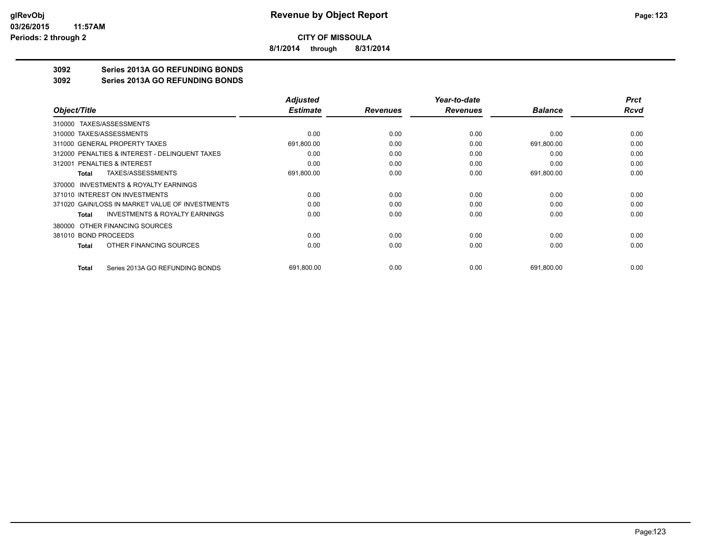**8/1/2014 through 8/31/2014**

# **3092 Series 2013A GO REFUNDING BONDS**

## **3092 Series 2013A GO REFUNDING BONDS**

|                                                    | <b>Adjusted</b> |                 | Year-to-date    |                | <b>Prct</b> |
|----------------------------------------------------|-----------------|-----------------|-----------------|----------------|-------------|
| Object/Title                                       | <b>Estimate</b> | <b>Revenues</b> | <b>Revenues</b> | <b>Balance</b> | Rcvd        |
| 310000 TAXES/ASSESSMENTS                           |                 |                 |                 |                |             |
| 310000 TAXES/ASSESSMENTS                           | 0.00            | 0.00            | 0.00            | 0.00           | 0.00        |
| 311000 GENERAL PROPERTY TAXES                      | 691,800.00      | 0.00            | 0.00            | 691,800.00     | 0.00        |
| 312000 PENALTIES & INTEREST - DELINQUENT TAXES     | 0.00            | 0.00            | 0.00            | 0.00           | 0.00        |
| 312001 PENALTIES & INTEREST                        | 0.00            | 0.00            | 0.00            | 0.00           | 0.00        |
| TAXES/ASSESSMENTS<br>Total                         | 691,800.00      | 0.00            | 0.00            | 691,800.00     | 0.00        |
| INVESTMENTS & ROYALTY EARNINGS<br>370000           |                 |                 |                 |                |             |
| 371010 INTEREST ON INVESTMENTS                     | 0.00            | 0.00            | 0.00            | 0.00           | 0.00        |
| 371020 GAIN/LOSS IN MARKET VALUE OF INVESTMENTS    | 0.00            | 0.00            | 0.00            | 0.00           | 0.00        |
| <b>INVESTMENTS &amp; ROYALTY EARNINGS</b><br>Total | 0.00            | 0.00            | 0.00            | 0.00           | 0.00        |
| OTHER FINANCING SOURCES<br>380000                  |                 |                 |                 |                |             |
| 381010 BOND PROCEEDS                               | 0.00            | 0.00            | 0.00            | 0.00           | 0.00        |
| OTHER FINANCING SOURCES<br>Total                   | 0.00            | 0.00            | 0.00            | 0.00           | 0.00        |
| Series 2013A GO REFUNDING BONDS<br>Total           | 691,800.00      | 0.00            | 0.00            | 691,800.00     | 0.00        |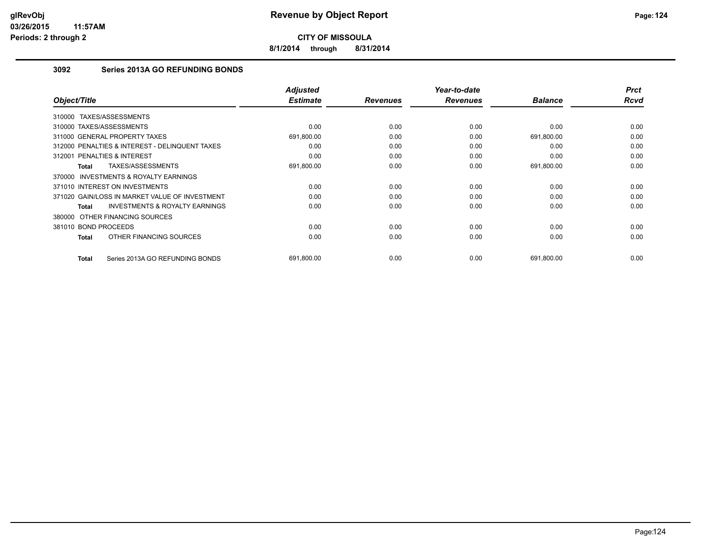**8/1/2014 through 8/31/2014**

# **3092 Series 2013A GO REFUNDING BONDS**

| Object/Title                                        | <b>Adjusted</b><br><b>Estimate</b> | <b>Revenues</b> | Year-to-date<br><b>Revenues</b> | <b>Balance</b> | <b>Prct</b><br><b>Rcvd</b> |
|-----------------------------------------------------|------------------------------------|-----------------|---------------------------------|----------------|----------------------------|
| TAXES/ASSESSMENTS<br>310000                         |                                    |                 |                                 |                |                            |
| 310000 TAXES/ASSESSMENTS                            | 0.00                               | 0.00            | 0.00                            | 0.00           | 0.00                       |
| 311000 GENERAL PROPERTY TAXES                       | 691,800.00                         | 0.00            | 0.00                            | 691,800.00     | 0.00                       |
| 312000 PENALTIES & INTEREST - DELINQUENT TAXES      | 0.00                               | 0.00            | 0.00                            | 0.00           | 0.00                       |
| <b>PENALTIES &amp; INTEREST</b><br>312001           | 0.00                               | 0.00            | 0.00                            | 0.00           | 0.00                       |
| TAXES/ASSESSMENTS<br><b>Total</b>                   | 691,800.00                         | 0.00            | 0.00                            | 691,800.00     | 0.00                       |
| <b>INVESTMENTS &amp; ROYALTY EARNINGS</b><br>370000 |                                    |                 |                                 |                |                            |
| 371010 INTEREST ON INVESTMENTS                      | 0.00                               | 0.00            | 0.00                            | 0.00           | 0.00                       |
| 371020 GAIN/LOSS IN MARKET VALUE OF INVESTMENT      | 0.00                               | 0.00            | 0.00                            | 0.00           | 0.00                       |
| <b>INVESTMENTS &amp; ROYALTY EARNINGS</b><br>Total  | 0.00                               | 0.00            | 0.00                            | 0.00           | 0.00                       |
| 380000 OTHER FINANCING SOURCES                      |                                    |                 |                                 |                |                            |
| 381010 BOND PROCEEDS                                | 0.00                               | 0.00            | 0.00                            | 0.00           | 0.00                       |
| OTHER FINANCING SOURCES<br><b>Total</b>             | 0.00                               | 0.00            | 0.00                            | 0.00           | 0.00                       |
|                                                     |                                    |                 |                                 |                |                            |
| Series 2013A GO REFUNDING BONDS<br><b>Total</b>     | 691,800.00                         | 0.00            | 0.00                            | 691,800.00     | 0.00                       |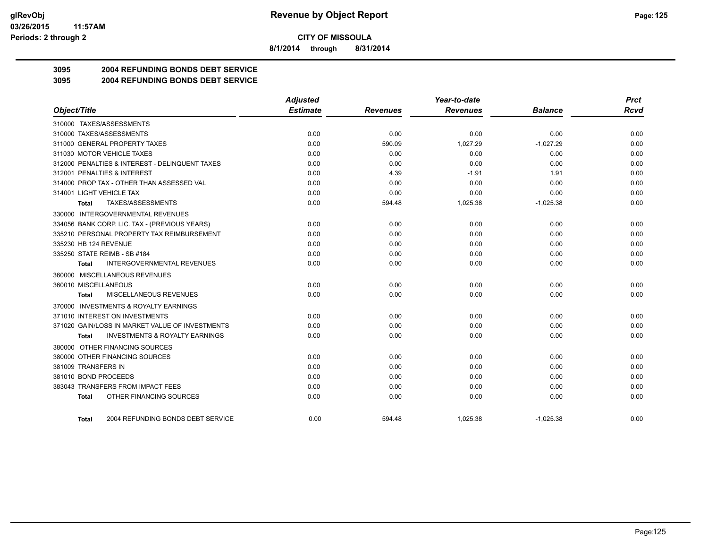**8/1/2014 through 8/31/2014**

# **3095 2004 REFUNDING BONDS DEBT SERVICE**

## **3095 2004 REFUNDING BONDS DEBT SERVICE**

|                                                    | <b>Adjusted</b> |                 | Year-to-date    |                |      |
|----------------------------------------------------|-----------------|-----------------|-----------------|----------------|------|
| Object/Title                                       | <b>Estimate</b> | <b>Revenues</b> | <b>Revenues</b> | <b>Balance</b> | Rcvd |
| 310000 TAXES/ASSESSMENTS                           |                 |                 |                 |                |      |
| 310000 TAXES/ASSESSMENTS                           | 0.00            | 0.00            | 0.00            | 0.00           | 0.00 |
| 311000 GENERAL PROPERTY TAXES                      | 0.00            | 590.09          | 1.027.29        | $-1.027.29$    | 0.00 |
| 311030 MOTOR VEHICLE TAXES                         | 0.00            | 0.00            | 0.00            | 0.00           | 0.00 |
| 312000 PENALTIES & INTEREST - DELINQUENT TAXES     | 0.00            | 0.00            | 0.00            | 0.00           | 0.00 |
| 312001 PENALTIES & INTEREST                        | 0.00            | 4.39            | $-1.91$         | 1.91           | 0.00 |
| 314000 PROP TAX - OTHER THAN ASSESSED VAL          | 0.00            | 0.00            | 0.00            | 0.00           | 0.00 |
| 314001 LIGHT VEHICLE TAX                           | 0.00            | 0.00            | 0.00            | 0.00           | 0.00 |
| TAXES/ASSESSMENTS<br>Total                         | 0.00            | 594.48          | 1,025.38        | $-1,025.38$    | 0.00 |
| 330000 INTERGOVERNMENTAL REVENUES                  |                 |                 |                 |                |      |
| 334056 BANK CORP. LIC. TAX - (PREVIOUS YEARS)      | 0.00            | 0.00            | 0.00            | 0.00           | 0.00 |
| 335210 PERSONAL PROPERTY TAX REIMBURSEMENT         | 0.00            | 0.00            | 0.00            | 0.00           | 0.00 |
| 335230 HB 124 REVENUE                              | 0.00            | 0.00            | 0.00            | 0.00           | 0.00 |
| 335250 STATE REIMB - SB #184                       | 0.00            | 0.00            | 0.00            | 0.00           | 0.00 |
| <b>INTERGOVERNMENTAL REVENUES</b><br>Total         | 0.00            | 0.00            | 0.00            | 0.00           | 0.00 |
| 360000 MISCELLANEOUS REVENUES                      |                 |                 |                 |                |      |
| 360010 MISCELLANEOUS                               | 0.00            | 0.00            | 0.00            | 0.00           | 0.00 |
| <b>MISCELLANEOUS REVENUES</b><br>Total             | 0.00            | 0.00            | 0.00            | 0.00           | 0.00 |
| 370000 INVESTMENTS & ROYALTY EARNINGS              |                 |                 |                 |                |      |
| 371010 INTEREST ON INVESTMENTS                     | 0.00            | 0.00            | 0.00            | 0.00           | 0.00 |
| 371020 GAIN/LOSS IN MARKET VALUE OF INVESTMENTS    | 0.00            | 0.00            | 0.00            | 0.00           | 0.00 |
| <b>INVESTMENTS &amp; ROYALTY EARNINGS</b><br>Total | 0.00            | 0.00            | 0.00            | 0.00           | 0.00 |
| 380000 OTHER FINANCING SOURCES                     |                 |                 |                 |                |      |
| 380000 OTHER FINANCING SOURCES                     | 0.00            | 0.00            | 0.00            | 0.00           | 0.00 |
| 381009 TRANSFERS IN                                | 0.00            | 0.00            | 0.00            | 0.00           | 0.00 |
| 381010 BOND PROCEEDS                               | 0.00            | 0.00            | 0.00            | 0.00           | 0.00 |
| 383043 TRANSFERS FROM IMPACT FEES                  | 0.00            | 0.00            | 0.00            | 0.00           | 0.00 |
| OTHER FINANCING SOURCES<br>Total                   | 0.00            | 0.00            | 0.00            | 0.00           | 0.00 |
| 2004 REFUNDING BONDS DEBT SERVICE<br>Total         | 0.00            | 594.48          | 1.025.38        | $-1.025.38$    | 0.00 |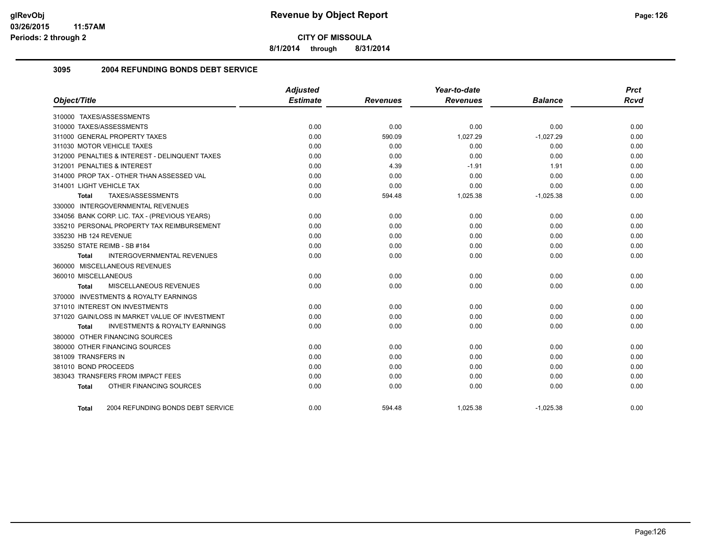**8/1/2014 through 8/31/2014**

## **3095 2004 REFUNDING BONDS DEBT SERVICE**

|                                                    | <b>Adjusted</b> |                 | Year-to-date    |                | <b>Prct</b> |
|----------------------------------------------------|-----------------|-----------------|-----------------|----------------|-------------|
| Object/Title                                       | <b>Estimate</b> | <b>Revenues</b> | <b>Revenues</b> | <b>Balance</b> | <b>Rcvd</b> |
| 310000 TAXES/ASSESSMENTS                           |                 |                 |                 |                |             |
| 310000 TAXES/ASSESSMENTS                           | 0.00            | 0.00            | 0.00            | 0.00           | 0.00        |
| 311000 GENERAL PROPERTY TAXES                      | 0.00            | 590.09          | 1,027.29        | $-1,027.29$    | 0.00        |
| 311030 MOTOR VEHICLE TAXES                         | 0.00            | 0.00            | 0.00            | 0.00           | 0.00        |
| 312000 PENALTIES & INTEREST - DELINQUENT TAXES     | 0.00            | 0.00            | 0.00            | 0.00           | 0.00        |
| 312001 PENALTIES & INTEREST                        | 0.00            | 4.39            | $-1.91$         | 1.91           | 0.00        |
| 314000 PROP TAX - OTHER THAN ASSESSED VAL          | 0.00            | 0.00            | 0.00            | 0.00           | 0.00        |
| 314001 LIGHT VEHICLE TAX                           | 0.00            | 0.00            | 0.00            | 0.00           | 0.00        |
| TAXES/ASSESSMENTS<br>Total                         | 0.00            | 594.48          | 1,025.38        | $-1,025.38$    | 0.00        |
| 330000 INTERGOVERNMENTAL REVENUES                  |                 |                 |                 |                |             |
| 334056 BANK CORP. LIC. TAX - (PREVIOUS YEARS)      | 0.00            | 0.00            | 0.00            | 0.00           | 0.00        |
| 335210 PERSONAL PROPERTY TAX REIMBURSEMENT         | 0.00            | 0.00            | 0.00            | 0.00           | 0.00        |
| 335230 HB 124 REVENUE                              | 0.00            | 0.00            | 0.00            | 0.00           | 0.00        |
| 335250 STATE REIMB - SB #184                       | 0.00            | 0.00            | 0.00            | 0.00           | 0.00        |
| <b>INTERGOVERNMENTAL REVENUES</b><br>Total         | 0.00            | 0.00            | 0.00            | 0.00           | 0.00        |
| 360000 MISCELLANEOUS REVENUES                      |                 |                 |                 |                |             |
| 360010 MISCELLANEOUS                               | 0.00            | 0.00            | 0.00            | 0.00           | 0.00        |
| MISCELLANEOUS REVENUES<br>Total                    | 0.00            | 0.00            | 0.00            | 0.00           | 0.00        |
| 370000 INVESTMENTS & ROYALTY EARNINGS              |                 |                 |                 |                |             |
| 371010 INTEREST ON INVESTMENTS                     | 0.00            | 0.00            | 0.00            | 0.00           | 0.00        |
| 371020 GAIN/LOSS IN MARKET VALUE OF INVESTMENT     | 0.00            | 0.00            | 0.00            | 0.00           | 0.00        |
| <b>INVESTMENTS &amp; ROYALTY EARNINGS</b><br>Total | 0.00            | 0.00            | 0.00            | 0.00           | 0.00        |
| 380000 OTHER FINANCING SOURCES                     |                 |                 |                 |                |             |
| 380000 OTHER FINANCING SOURCES                     | 0.00            | 0.00            | 0.00            | 0.00           | 0.00        |
| 381009 TRANSFERS IN                                | 0.00            | 0.00            | 0.00            | 0.00           | 0.00        |
| 381010 BOND PROCEEDS                               | 0.00            | 0.00            | 0.00            | 0.00           | 0.00        |
| 383043 TRANSFERS FROM IMPACT FEES                  | 0.00            | 0.00            | 0.00            | 0.00           | 0.00        |
| OTHER FINANCING SOURCES<br><b>Total</b>            | 0.00            | 0.00            | 0.00            | 0.00           | 0.00        |
| 2004 REFUNDING BONDS DEBT SERVICE<br><b>Total</b>  | 0.00            | 594.48          | 1,025.38        | $-1,025.38$    | 0.00        |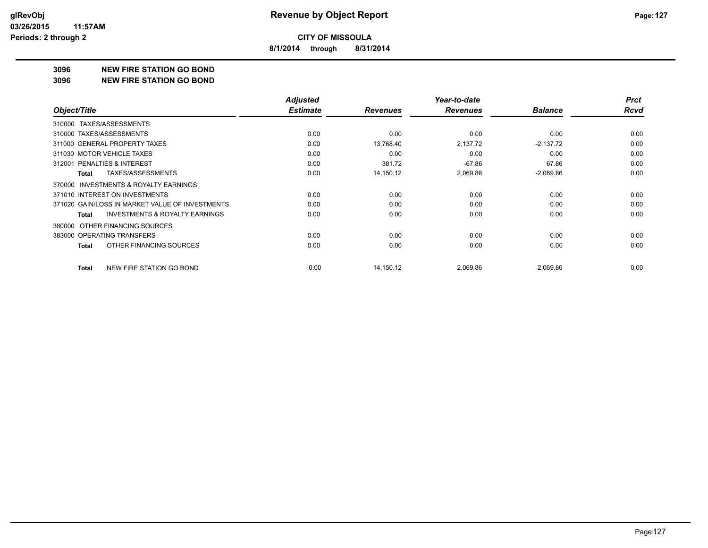**8/1/2014 through 8/31/2014**

## **3096 NEW FIRE STATION GO BOND**

#### **3096 NEW FIRE STATION GO BOND**

|                                                     | <b>Adjusted</b> |                 | Year-to-date    |                | <b>Prct</b> |
|-----------------------------------------------------|-----------------|-----------------|-----------------|----------------|-------------|
| Object/Title                                        | <b>Estimate</b> | <b>Revenues</b> | <b>Revenues</b> | <b>Balance</b> | <b>Rcvd</b> |
| 310000 TAXES/ASSESSMENTS                            |                 |                 |                 |                |             |
| 310000 TAXES/ASSESSMENTS                            | 0.00            | 0.00            | 0.00            | 0.00           | 0.00        |
| 311000 GENERAL PROPERTY TAXES                       | 0.00            | 13,768.40       | 2,137.72        | $-2,137.72$    | 0.00        |
| 311030 MOTOR VEHICLE TAXES                          | 0.00            | 0.00            | 0.00            | 0.00           | 0.00        |
| 312001 PENALTIES & INTEREST                         | 0.00            | 381.72          | $-67.86$        | 67.86          | 0.00        |
| TAXES/ASSESSMENTS<br>Total                          | 0.00            | 14,150.12       | 2,069.86        | $-2,069.86$    | 0.00        |
| <b>INVESTMENTS &amp; ROYALTY EARNINGS</b><br>370000 |                 |                 |                 |                |             |
| 371010 INTEREST ON INVESTMENTS                      | 0.00            | 0.00            | 0.00            | 0.00           | 0.00        |
| 371020 GAIN/LOSS IN MARKET VALUE OF INVESTMENTS     | 0.00            | 0.00            | 0.00            | 0.00           | 0.00        |
| <b>INVESTMENTS &amp; ROYALTY EARNINGS</b><br>Total  | 0.00            | 0.00            | 0.00            | 0.00           | 0.00        |
| OTHER FINANCING SOURCES<br>380000                   |                 |                 |                 |                |             |
| 383000 OPERATING TRANSFERS                          | 0.00            | 0.00            | 0.00            | 0.00           | 0.00        |
| OTHER FINANCING SOURCES<br>Total                    | 0.00            | 0.00            | 0.00            | 0.00           | 0.00        |
| NEW FIRE STATION GO BOND<br>Total                   | 0.00            | 14,150.12       | 2,069.86        | $-2,069.86$    | 0.00        |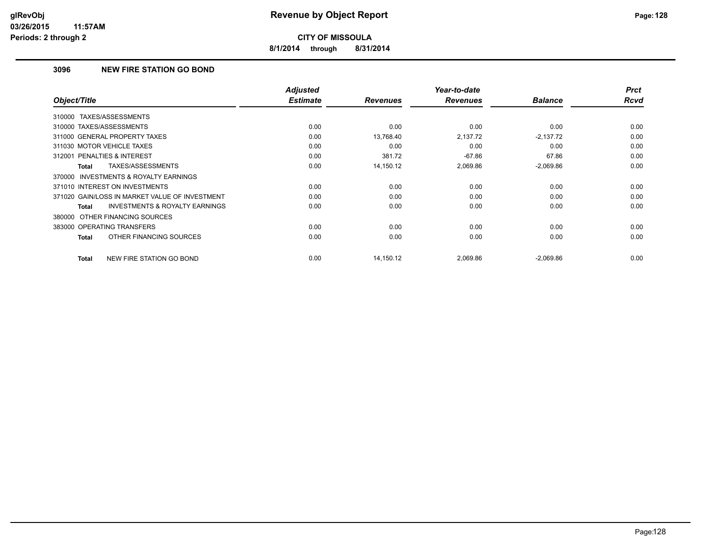**8/1/2014 through 8/31/2014**

## **3096 NEW FIRE STATION GO BOND**

| Object/Title                                       | <b>Adjusted</b><br><b>Estimate</b> | <b>Revenues</b> | Year-to-date<br><b>Revenues</b> | <b>Balance</b> | <b>Prct</b><br><b>Rcvd</b> |
|----------------------------------------------------|------------------------------------|-----------------|---------------------------------|----------------|----------------------------|
| TAXES/ASSESSMENTS<br>310000                        |                                    |                 |                                 |                |                            |
|                                                    |                                    |                 |                                 |                |                            |
| 310000 TAXES/ASSESSMENTS                           | 0.00                               | 0.00            | 0.00                            | 0.00           | 0.00                       |
| 311000 GENERAL PROPERTY TAXES                      | 0.00                               | 13,768.40       | 2,137.72                        | $-2,137.72$    | 0.00                       |
| 311030 MOTOR VEHICLE TAXES                         | 0.00                               | 0.00            | 0.00                            | 0.00           | 0.00                       |
| 312001 PENALTIES & INTEREST                        | 0.00                               | 381.72          | $-67.86$                        | 67.86          | 0.00                       |
| TAXES/ASSESSMENTS<br>Total                         | 0.00                               | 14,150.12       | 2,069.86                        | $-2,069.86$    | 0.00                       |
| 370000 INVESTMENTS & ROYALTY EARNINGS              |                                    |                 |                                 |                |                            |
| 371010 INTEREST ON INVESTMENTS                     | 0.00                               | 0.00            | 0.00                            | 0.00           | 0.00                       |
| 371020 GAIN/LOSS IN MARKET VALUE OF INVESTMENT     | 0.00                               | 0.00            | 0.00                            | 0.00           | 0.00                       |
| <b>INVESTMENTS &amp; ROYALTY EARNINGS</b><br>Total | 0.00                               | 0.00            | 0.00                            | 0.00           | 0.00                       |
| 380000 OTHER FINANCING SOURCES                     |                                    |                 |                                 |                |                            |
| 383000 OPERATING TRANSFERS                         | 0.00                               | 0.00            | 0.00                            | 0.00           | 0.00                       |
| OTHER FINANCING SOURCES<br>Total                   | 0.00                               | 0.00            | 0.00                            | 0.00           | 0.00                       |
| NEW FIRE STATION GO BOND<br>Total                  | 0.00                               | 14,150.12       | 2,069.86                        | $-2,069.86$    | 0.00                       |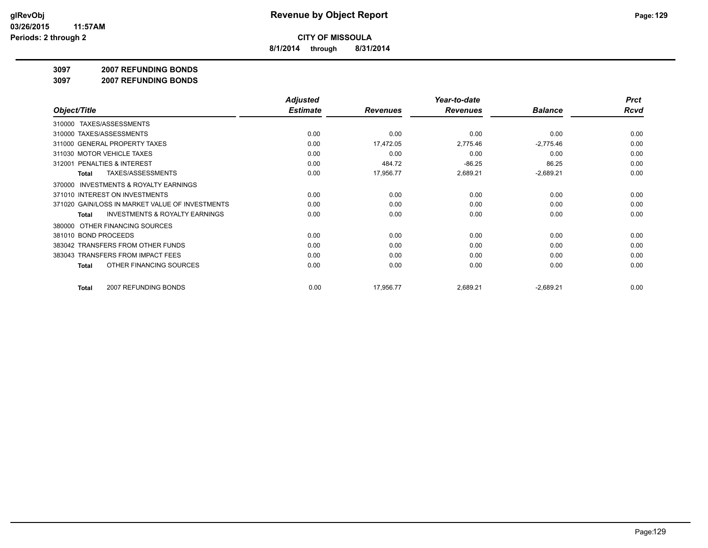**8/1/2014 through 8/31/2014**

### **3097 2007 REFUNDING BONDS**

**3097 2007 REFUNDING BONDS**

|                                                           | <b>Adjusted</b> |                 | Year-to-date    |                | <b>Prct</b> |
|-----------------------------------------------------------|-----------------|-----------------|-----------------|----------------|-------------|
| Object/Title                                              | <b>Estimate</b> | <b>Revenues</b> | <b>Revenues</b> | <b>Balance</b> | Rcvd        |
| TAXES/ASSESSMENTS<br>310000                               |                 |                 |                 |                |             |
| 310000 TAXES/ASSESSMENTS                                  | 0.00            | 0.00            | 0.00            | 0.00           | 0.00        |
| 311000 GENERAL PROPERTY TAXES                             | 0.00            | 17,472.05       | 2,775.46        | $-2,775.46$    | 0.00        |
| 311030 MOTOR VEHICLE TAXES                                | 0.00            | 0.00            | 0.00            | 0.00           | 0.00        |
| 312001 PENALTIES & INTEREST                               | 0.00            | 484.72          | $-86.25$        | 86.25          | 0.00        |
| TAXES/ASSESSMENTS<br>Total                                | 0.00            | 17,956.77       | 2,689.21        | $-2,689.21$    | 0.00        |
| <b>INVESTMENTS &amp; ROYALTY EARNINGS</b><br>370000       |                 |                 |                 |                |             |
| 371010 INTEREST ON INVESTMENTS                            | 0.00            | 0.00            | 0.00            | 0.00           | 0.00        |
| 371020 GAIN/LOSS IN MARKET VALUE OF INVESTMENTS           | 0.00            | 0.00            | 0.00            | 0.00           | 0.00        |
| <b>INVESTMENTS &amp; ROYALTY EARNINGS</b><br><b>Total</b> | 0.00            | 0.00            | 0.00            | 0.00           | 0.00        |
| OTHER FINANCING SOURCES<br>380000                         |                 |                 |                 |                |             |
| 381010 BOND PROCEEDS                                      | 0.00            | 0.00            | 0.00            | 0.00           | 0.00        |
| 383042 TRANSFERS FROM OTHER FUNDS                         | 0.00            | 0.00            | 0.00            | 0.00           | 0.00        |
| 383043 TRANSFERS FROM IMPACT FEES                         | 0.00            | 0.00            | 0.00            | 0.00           | 0.00        |
| OTHER FINANCING SOURCES<br>Total                          | 0.00            | 0.00            | 0.00            | 0.00           | 0.00        |
| 2007 REFUNDING BONDS<br>Total                             | 0.00            | 17,956.77       | 2,689.21        | $-2,689.21$    | 0.00        |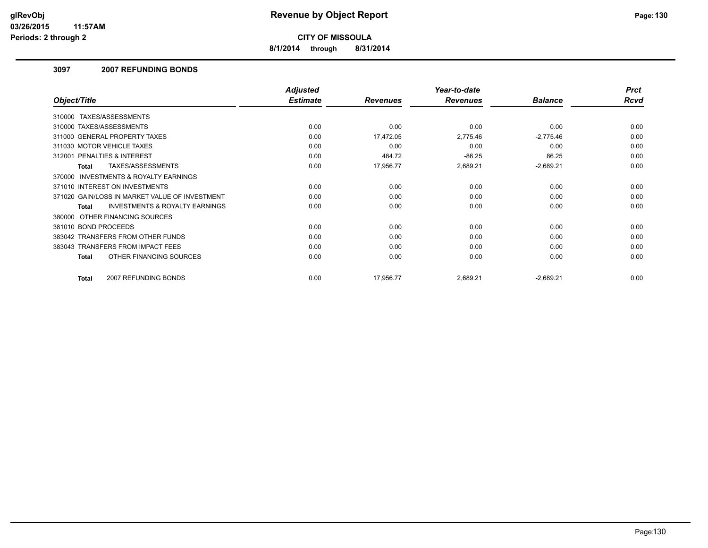**8/1/2014 through 8/31/2014**

## **3097 2007 REFUNDING BONDS**

|                                                           | <b>Adjusted</b> |                 | Year-to-date    |                | <b>Prct</b> |
|-----------------------------------------------------------|-----------------|-----------------|-----------------|----------------|-------------|
| Object/Title                                              | <b>Estimate</b> | <b>Revenues</b> | <b>Revenues</b> | <b>Balance</b> | <b>Rcvd</b> |
| 310000 TAXES/ASSESSMENTS                                  |                 |                 |                 |                |             |
| 310000 TAXES/ASSESSMENTS                                  | 0.00            | 0.00            | 0.00            | 0.00           | 0.00        |
| 311000 GENERAL PROPERTY TAXES                             | 0.00            | 17,472.05       | 2,775.46        | $-2,775.46$    | 0.00        |
| 311030 MOTOR VEHICLE TAXES                                | 0.00            | 0.00            | 0.00            | 0.00           | 0.00        |
| 312001 PENALTIES & INTEREST                               | 0.00            | 484.72          | $-86.25$        | 86.25          | 0.00        |
| TAXES/ASSESSMENTS<br>Total                                | 0.00            | 17,956.77       | 2,689.21        | $-2,689.21$    | 0.00        |
| <b>INVESTMENTS &amp; ROYALTY EARNINGS</b><br>370000       |                 |                 |                 |                |             |
| 371010 INTEREST ON INVESTMENTS                            | 0.00            | 0.00            | 0.00            | 0.00           | 0.00        |
| 371020 GAIN/LOSS IN MARKET VALUE OF INVESTMENT            | 0.00            | 0.00            | 0.00            | 0.00           | 0.00        |
| <b>INVESTMENTS &amp; ROYALTY EARNINGS</b><br><b>Total</b> | 0.00            | 0.00            | 0.00            | 0.00           | 0.00        |
| 380000 OTHER FINANCING SOURCES                            |                 |                 |                 |                |             |
| 381010 BOND PROCEEDS                                      | 0.00            | 0.00            | 0.00            | 0.00           | 0.00        |
| 383042 TRANSFERS FROM OTHER FUNDS                         | 0.00            | 0.00            | 0.00            | 0.00           | 0.00        |
| 383043 TRANSFERS FROM IMPACT FEES                         | 0.00            | 0.00            | 0.00            | 0.00           | 0.00        |
| OTHER FINANCING SOURCES<br><b>Total</b>                   | 0.00            | 0.00            | 0.00            | 0.00           | 0.00        |
| 2007 REFUNDING BONDS<br>Total                             | 0.00            | 17,956.77       | 2,689.21        | $-2,689.21$    | 0.00        |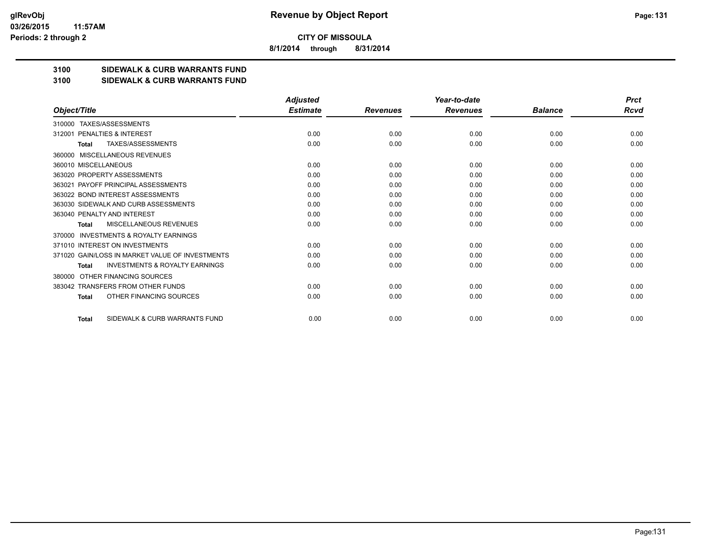**8/1/2014 through 8/31/2014**

# **3100 SIDEWALK & CURB WARRANTS FUND**

## **3100 SIDEWALK & CURB WARRANTS FUND**

|                                                           | <b>Adjusted</b> |                 | Year-to-date    |                | <b>Prct</b> |
|-----------------------------------------------------------|-----------------|-----------------|-----------------|----------------|-------------|
| Object/Title                                              | <b>Estimate</b> | <b>Revenues</b> | <b>Revenues</b> | <b>Balance</b> | <b>Rcvd</b> |
| TAXES/ASSESSMENTS<br>310000                               |                 |                 |                 |                |             |
| PENALTIES & INTEREST<br>312001                            | 0.00            | 0.00            | 0.00            | 0.00           | 0.00        |
| TAXES/ASSESSMENTS<br><b>Total</b>                         | 0.00            | 0.00            | 0.00            | 0.00           | 0.00        |
| MISCELLANEOUS REVENUES<br>360000                          |                 |                 |                 |                |             |
| 360010 MISCELLANEOUS                                      | 0.00            | 0.00            | 0.00            | 0.00           | 0.00        |
| 363020 PROPERTY ASSESSMENTS                               | 0.00            | 0.00            | 0.00            | 0.00           | 0.00        |
| 363021 PAYOFF PRINCIPAL ASSESSMENTS                       | 0.00            | 0.00            | 0.00            | 0.00           | 0.00        |
| 363022 BOND INTEREST ASSESSMENTS                          | 0.00            | 0.00            | 0.00            | 0.00           | 0.00        |
| 363030 SIDEWALK AND CURB ASSESSMENTS                      | 0.00            | 0.00            | 0.00            | 0.00           | 0.00        |
| 363040 PENALTY AND INTEREST                               | 0.00            | 0.00            | 0.00            | 0.00           | 0.00        |
| MISCELLANEOUS REVENUES<br><b>Total</b>                    | 0.00            | 0.00            | 0.00            | 0.00           | 0.00        |
| <b>INVESTMENTS &amp; ROYALTY EARNINGS</b><br>370000       |                 |                 |                 |                |             |
| 371010 INTEREST ON INVESTMENTS                            | 0.00            | 0.00            | 0.00            | 0.00           | 0.00        |
| 371020 GAIN/LOSS IN MARKET VALUE OF INVESTMENTS           | 0.00            | 0.00            | 0.00            | 0.00           | 0.00        |
| <b>INVESTMENTS &amp; ROYALTY EARNINGS</b><br><b>Total</b> | 0.00            | 0.00            | 0.00            | 0.00           | 0.00        |
| OTHER FINANCING SOURCES<br>380000                         |                 |                 |                 |                |             |
| 383042 TRANSFERS FROM OTHER FUNDS                         | 0.00            | 0.00            | 0.00            | 0.00           | 0.00        |
| OTHER FINANCING SOURCES<br><b>Total</b>                   | 0.00            | 0.00            | 0.00            | 0.00           | 0.00        |
| SIDEWALK & CURB WARRANTS FUND<br><b>Total</b>             | 0.00            | 0.00            | 0.00            | 0.00           | 0.00        |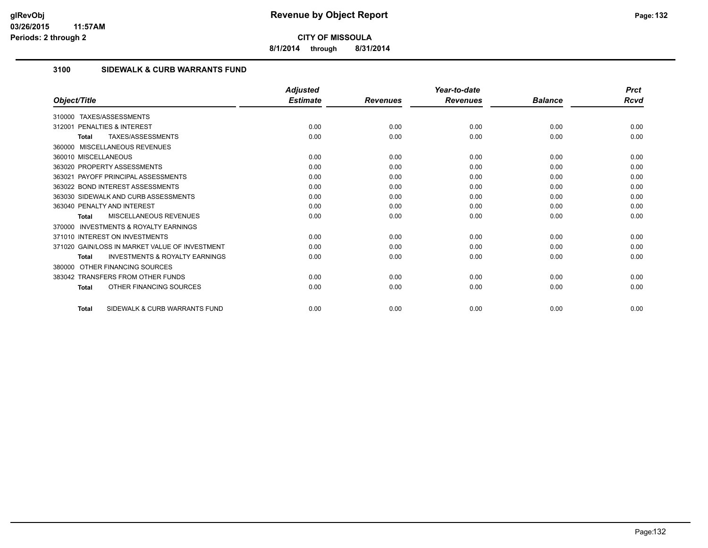**8/1/2014 through 8/31/2014**

# **3100 SIDEWALK & CURB WARRANTS FUND**

|                                                           | <b>Adjusted</b> |                 | Year-to-date    |                | <b>Prct</b> |
|-----------------------------------------------------------|-----------------|-----------------|-----------------|----------------|-------------|
| Object/Title                                              | <b>Estimate</b> | <b>Revenues</b> | <b>Revenues</b> | <b>Balance</b> | Rcvd        |
| TAXES/ASSESSMENTS<br>310000                               |                 |                 |                 |                |             |
| <b>PENALTIES &amp; INTEREST</b><br>312001                 | 0.00            | 0.00            | 0.00            | 0.00           | 0.00        |
| TAXES/ASSESSMENTS<br>Total                                | 0.00            | 0.00            | 0.00            | 0.00           | 0.00        |
| 360000 MISCELLANEOUS REVENUES                             |                 |                 |                 |                |             |
| 360010 MISCELLANEOUS                                      | 0.00            | 0.00            | 0.00            | 0.00           | 0.00        |
| 363020 PROPERTY ASSESSMENTS                               | 0.00            | 0.00            | 0.00            | 0.00           | 0.00        |
| 363021 PAYOFF PRINCIPAL ASSESSMENTS                       | 0.00            | 0.00            | 0.00            | 0.00           | 0.00        |
| 363022 BOND INTEREST ASSESSMENTS                          | 0.00            | 0.00            | 0.00            | 0.00           | 0.00        |
| 363030 SIDEWALK AND CURB ASSESSMENTS                      | 0.00            | 0.00            | 0.00            | 0.00           | 0.00        |
| 363040 PENALTY AND INTEREST                               | 0.00            | 0.00            | 0.00            | 0.00           | 0.00        |
| MISCELLANEOUS REVENUES<br><b>Total</b>                    | 0.00            | 0.00            | 0.00            | 0.00           | 0.00        |
| <b>INVESTMENTS &amp; ROYALTY EARNINGS</b><br>370000       |                 |                 |                 |                |             |
| 371010 INTEREST ON INVESTMENTS                            | 0.00            | 0.00            | 0.00            | 0.00           | 0.00        |
| 371020 GAIN/LOSS IN MARKET VALUE OF INVESTMENT            | 0.00            | 0.00            | 0.00            | 0.00           | 0.00        |
| <b>INVESTMENTS &amp; ROYALTY EARNINGS</b><br><b>Total</b> | 0.00            | 0.00            | 0.00            | 0.00           | 0.00        |
| OTHER FINANCING SOURCES<br>380000                         |                 |                 |                 |                |             |
| 383042 TRANSFERS FROM OTHER FUNDS                         | 0.00            | 0.00            | 0.00            | 0.00           | 0.00        |
| OTHER FINANCING SOURCES<br>Total                          | 0.00            | 0.00            | 0.00            | 0.00           | 0.00        |
| SIDEWALK & CURB WARRANTS FUND<br><b>Total</b>             | 0.00            | 0.00            | 0.00            | 0.00           | 0.00        |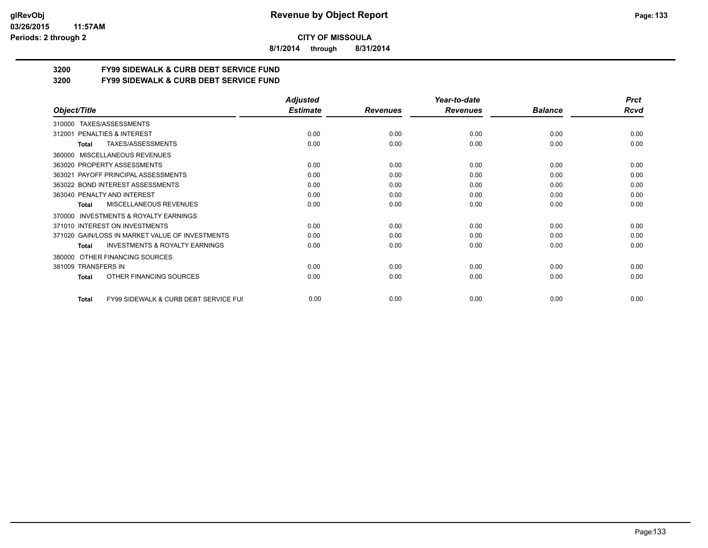**8/1/2014 through 8/31/2014**

# **3200 FY99 SIDEWALK & CURB DEBT SERVICE FUND**

**3200 FY99 SIDEWALK & CURB DEBT SERVICE FUND**

|                                                           | <b>Adjusted</b> |                 | Year-to-date    |                | <b>Prct</b> |
|-----------------------------------------------------------|-----------------|-----------------|-----------------|----------------|-------------|
| Object/Title                                              | <b>Estimate</b> | <b>Revenues</b> | <b>Revenues</b> | <b>Balance</b> | Rcvd        |
| TAXES/ASSESSMENTS<br>310000                               |                 |                 |                 |                |             |
| <b>PENALTIES &amp; INTEREST</b><br>312001                 | 0.00            | 0.00            | 0.00            | 0.00           | 0.00        |
| TAXES/ASSESSMENTS<br>Total                                | 0.00            | 0.00            | 0.00            | 0.00           | 0.00        |
| MISCELLANEOUS REVENUES<br>360000                          |                 |                 |                 |                |             |
| 363020 PROPERTY ASSESSMENTS                               | 0.00            | 0.00            | 0.00            | 0.00           | 0.00        |
| PAYOFF PRINCIPAL ASSESSMENTS<br>363021                    | 0.00            | 0.00            | 0.00            | 0.00           | 0.00        |
| 363022 BOND INTEREST ASSESSMENTS                          | 0.00            | 0.00            | 0.00            | 0.00           | 0.00        |
| 363040 PENALTY AND INTEREST                               | 0.00            | 0.00            | 0.00            | 0.00           | 0.00        |
| <b>MISCELLANEOUS REVENUES</b><br>Total                    | 0.00            | 0.00            | 0.00            | 0.00           | 0.00        |
| <b>INVESTMENTS &amp; ROYALTY EARNINGS</b><br>370000       |                 |                 |                 |                |             |
| 371010 INTEREST ON INVESTMENTS                            | 0.00            | 0.00            | 0.00            | 0.00           | 0.00        |
| 371020 GAIN/LOSS IN MARKET VALUE OF INVESTMENTS           | 0.00            | 0.00            | 0.00            | 0.00           | 0.00        |
| <b>INVESTMENTS &amp; ROYALTY EARNINGS</b><br><b>Total</b> | 0.00            | 0.00            | 0.00            | 0.00           | 0.00        |
| OTHER FINANCING SOURCES<br>380000                         |                 |                 |                 |                |             |
| 381009 TRANSFERS IN                                       | 0.00            | 0.00            | 0.00            | 0.00           | 0.00        |
| OTHER FINANCING SOURCES<br>Total                          | 0.00            | 0.00            | 0.00            | 0.00           | 0.00        |
| FY99 SIDEWALK & CURB DEBT SERVICE FUI<br><b>Total</b>     | 0.00            | 0.00            | 0.00            | 0.00           | 0.00        |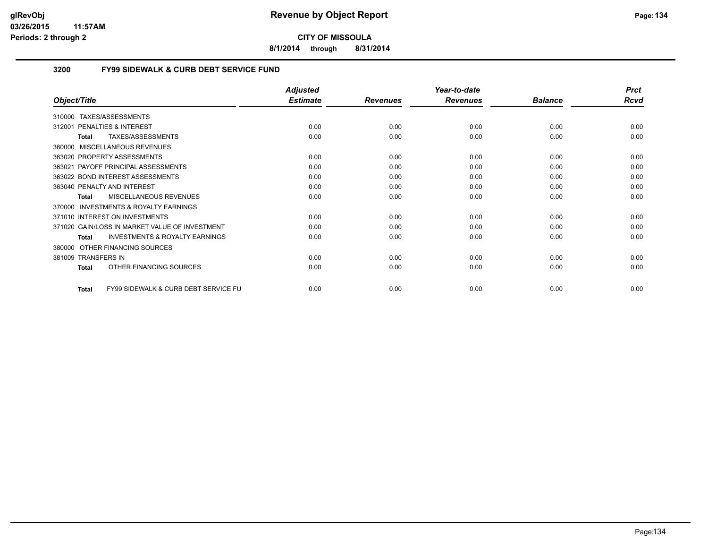**8/1/2014 through 8/31/2014**

# **3200 FY99 SIDEWALK & CURB DEBT SERVICE FUND**

|                                                                 | <b>Adjusted</b> |                 | Year-to-date    |                | <b>Prct</b> |
|-----------------------------------------------------------------|-----------------|-----------------|-----------------|----------------|-------------|
| Object/Title                                                    | <b>Estimate</b> | <b>Revenues</b> | <b>Revenues</b> | <b>Balance</b> | <b>Rcvd</b> |
| TAXES/ASSESSMENTS<br>310000                                     |                 |                 |                 |                |             |
| <b>PENALTIES &amp; INTEREST</b><br>312001                       | 0.00            | 0.00            | 0.00            | 0.00           | 0.00        |
| TAXES/ASSESSMENTS<br>Total                                      | 0.00            | 0.00            | 0.00            | 0.00           | 0.00        |
| MISCELLANEOUS REVENUES<br>360000                                |                 |                 |                 |                |             |
| 363020 PROPERTY ASSESSMENTS                                     | 0.00            | 0.00            | 0.00            | 0.00           | 0.00        |
| PAYOFF PRINCIPAL ASSESSMENTS<br>363021                          | 0.00            | 0.00            | 0.00            | 0.00           | 0.00        |
| 363022 BOND INTEREST ASSESSMENTS                                | 0.00            | 0.00            | 0.00            | 0.00           | 0.00        |
| 363040 PENALTY AND INTEREST                                     | 0.00            | 0.00            | 0.00            | 0.00           | 0.00        |
| <b>MISCELLANEOUS REVENUES</b><br>Total                          | 0.00            | 0.00            | 0.00            | 0.00           | 0.00        |
| INVESTMENTS & ROYALTY EARNINGS<br>370000                        |                 |                 |                 |                |             |
| 371010 INTEREST ON INVESTMENTS                                  | 0.00            | 0.00            | 0.00            | 0.00           | 0.00        |
| 371020 GAIN/LOSS IN MARKET VALUE OF INVESTMENT                  | 0.00            | 0.00            | 0.00            | 0.00           | 0.00        |
| <b>INVESTMENTS &amp; ROYALTY EARNINGS</b><br>Total              | 0.00            | 0.00            | 0.00            | 0.00           | 0.00        |
| OTHER FINANCING SOURCES<br>380000                               |                 |                 |                 |                |             |
| 381009 TRANSFERS IN                                             | 0.00            | 0.00            | 0.00            | 0.00           | 0.00        |
| OTHER FINANCING SOURCES<br><b>Total</b>                         | 0.00            | 0.00            | 0.00            | 0.00           | 0.00        |
| <b>FY99 SIDEWALK &amp; CURB DEBT SERVICE FU</b><br><b>Total</b> | 0.00            | 0.00            | 0.00            | 0.00           | 0.00        |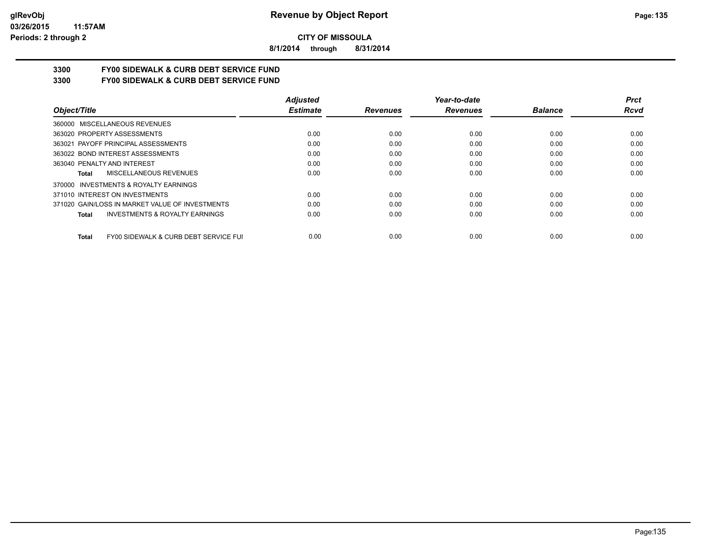**8/1/2014 through 8/31/2014**

# **3300 FY00 SIDEWALK & CURB DEBT SERVICE FUND**

**3300 FY00 SIDEWALK & CURB DEBT SERVICE FUND**

|                                                           | <b>Adjusted</b> |                 | Year-to-date    |                | <b>Prct</b> |
|-----------------------------------------------------------|-----------------|-----------------|-----------------|----------------|-------------|
| Object/Title                                              | <b>Estimate</b> | <b>Revenues</b> | <b>Revenues</b> | <b>Balance</b> | Rcvd        |
| 360000 MISCELLANEOUS REVENUES                             |                 |                 |                 |                |             |
| 363020 PROPERTY ASSESSMENTS                               | 0.00            | 0.00            | 0.00            | 0.00           | 0.00        |
| 363021 PAYOFF PRINCIPAL ASSESSMENTS                       | 0.00            | 0.00            | 0.00            | 0.00           | 0.00        |
| 363022 BOND INTEREST ASSESSMENTS                          | 0.00            | 0.00            | 0.00            | 0.00           | 0.00        |
| 363040 PENALTY AND INTEREST                               | 0.00            | 0.00            | 0.00            | 0.00           | 0.00        |
| MISCELLANEOUS REVENUES<br>Total                           | 0.00            | 0.00            | 0.00            | 0.00           | 0.00        |
| INVESTMENTS & ROYALTY EARNINGS<br>370000                  |                 |                 |                 |                |             |
| 371010 INTEREST ON INVESTMENTS                            | 0.00            | 0.00            | 0.00            | 0.00           | 0.00        |
| 371020 GAIN/LOSS IN MARKET VALUE OF INVESTMENTS           | 0.00            | 0.00            | 0.00            | 0.00           | 0.00        |
| <b>INVESTMENTS &amp; ROYALTY EARNINGS</b><br><b>Total</b> | 0.00            | 0.00            | 0.00            | 0.00           | 0.00        |
| FY00 SIDEWALK & CURB DEBT SERVICE FUI<br><b>Total</b>     | 0.00            | 0.00            | 0.00            | 0.00           | 0.00        |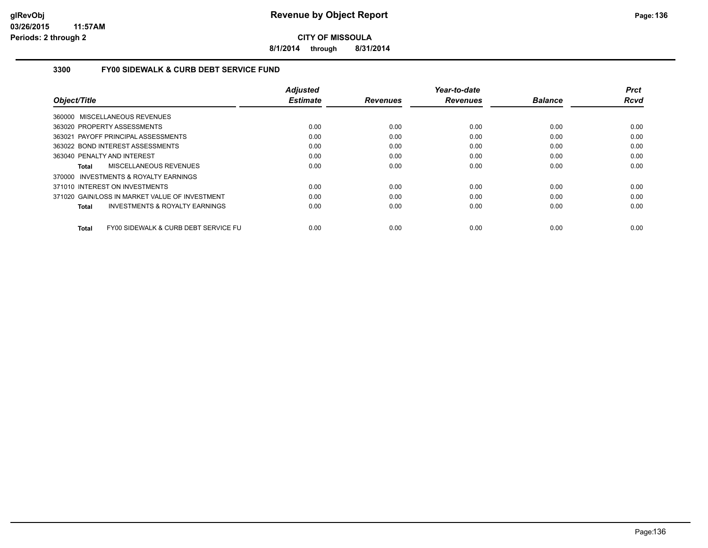**8/1/2014 through 8/31/2014**

## **3300 FY00 SIDEWALK & CURB DEBT SERVICE FUND**

|                                                      | <b>Adjusted</b> |                 | Year-to-date    |                | <b>Prct</b> |
|------------------------------------------------------|-----------------|-----------------|-----------------|----------------|-------------|
| Object/Title                                         | <b>Estimate</b> | <b>Revenues</b> | <b>Revenues</b> | <b>Balance</b> | <b>Rcvd</b> |
| 360000 MISCELLANEOUS REVENUES                        |                 |                 |                 |                |             |
| 363020 PROPERTY ASSESSMENTS                          | 0.00            | 0.00            | 0.00            | 0.00           | 0.00        |
| 363021 PAYOFF PRINCIPAL ASSESSMENTS                  | 0.00            | 0.00            | 0.00            | 0.00           | 0.00        |
| 363022 BOND INTEREST ASSESSMENTS                     | 0.00            | 0.00            | 0.00            | 0.00           | 0.00        |
| 363040 PENALTY AND INTEREST                          | 0.00            | 0.00            | 0.00            | 0.00           | 0.00        |
| MISCELLANEOUS REVENUES<br>Total                      | 0.00            | 0.00            | 0.00            | 0.00           | 0.00        |
| 370000 INVESTMENTS & ROYALTY EARNINGS                |                 |                 |                 |                |             |
| 371010 INTEREST ON INVESTMENTS                       | 0.00            | 0.00            | 0.00            | 0.00           | 0.00        |
| 371020 GAIN/LOSS IN MARKET VALUE OF INVESTMENT       | 0.00            | 0.00            | 0.00            | 0.00           | 0.00        |
| <b>INVESTMENTS &amp; ROYALTY EARNINGS</b><br>Total   | 0.00            | 0.00            | 0.00            | 0.00           | 0.00        |
| FY00 SIDEWALK & CURB DEBT SERVICE FU<br><b>Total</b> | 0.00            | 0.00            | 0.00            | 0.00           | 0.00        |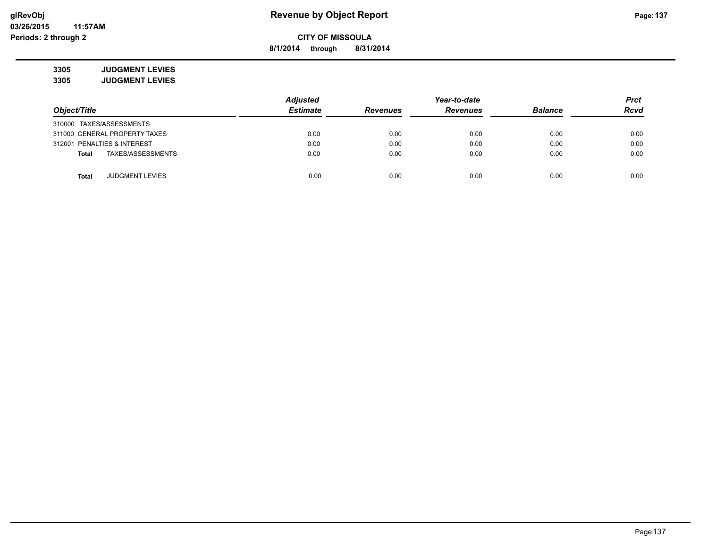**8/1/2014 through 8/31/2014**

**3305 JUDGMENT LEVIES 3305 JUDGMENT LEVIES**

|                                        | <b>Adjusted</b> |                 | Year-to-date    |                | <b>Prct</b> |
|----------------------------------------|-----------------|-----------------|-----------------|----------------|-------------|
| Object/Title                           | <b>Estimate</b> | <b>Revenues</b> | <b>Revenues</b> | <b>Balance</b> | <b>Rcvd</b> |
| 310000 TAXES/ASSESSMENTS               |                 |                 |                 |                |             |
| 311000 GENERAL PROPERTY TAXES          | 0.00            | 0.00            | 0.00            | 0.00           | 0.00        |
| 312001 PENALTIES & INTEREST            | 0.00            | 0.00            | 0.00            | 0.00           | 0.00        |
| TAXES/ASSESSMENTS<br><b>Total</b>      | 0.00            | 0.00            | 0.00            | 0.00           | 0.00        |
|                                        |                 |                 |                 |                |             |
| <b>JUDGMENT LEVIES</b><br><b>Total</b> | 0.00            | 0.00            | 0.00            | 0.00           | 0.00        |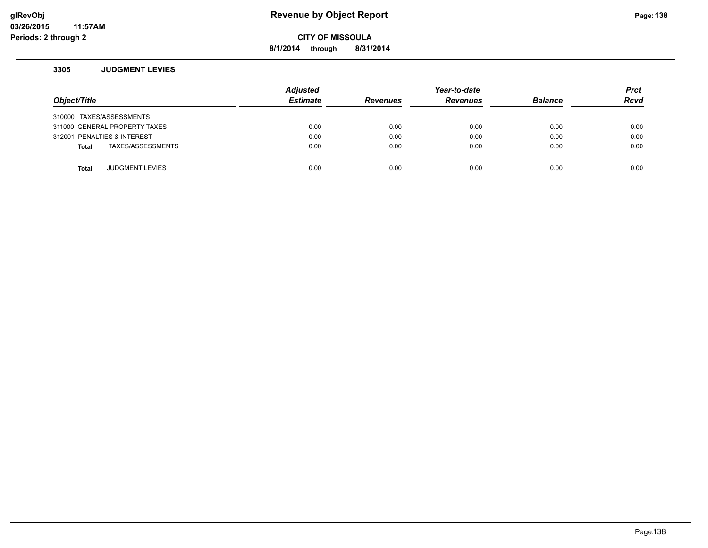# **glRevObj Revenue by Object Report Page:138**

**8/1/2014 through 8/31/2014**

## **3305 JUDGMENT LEVIES**

| Object/Title |                               | <b>Adjusted</b><br><b>Estimate</b> | <b>Revenues</b> | Year-to-date<br><b>Revenues</b> | <b>Balance</b> | <b>Prct</b><br><b>Rcvd</b> |
|--------------|-------------------------------|------------------------------------|-----------------|---------------------------------|----------------|----------------------------|
|              | 310000 TAXES/ASSESSMENTS      |                                    |                 |                                 |                |                            |
|              | 311000 GENERAL PROPERTY TAXES | 0.00                               | 0.00            | 0.00                            | 0.00           | 0.00                       |
|              | 312001 PENALTIES & INTEREST   | 0.00                               | 0.00            | 0.00                            | 0.00           | 0.00                       |
| <b>Total</b> | TAXES/ASSESSMENTS             | 0.00                               | 0.00            | 0.00                            | 0.00           | 0.00                       |
|              |                               |                                    |                 |                                 |                |                            |
| <b>Total</b> | <b>JUDGMENT LEVIES</b>        | 0.00                               | 0.00            | 0.00                            | 0.00           | 0.00                       |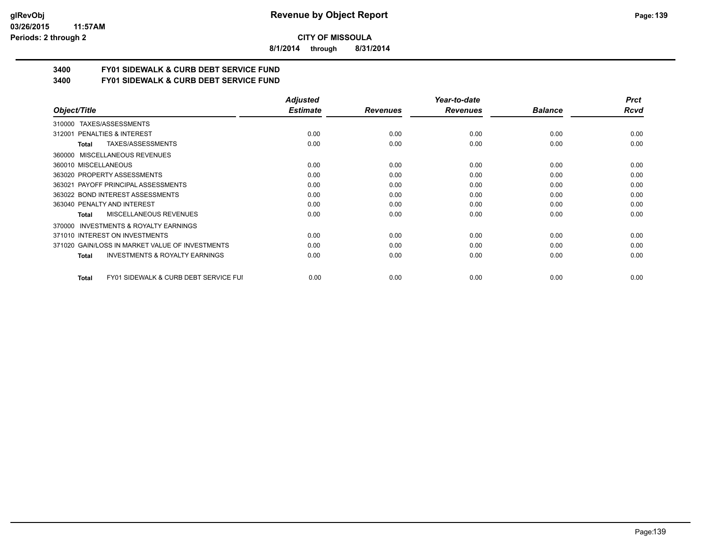#### **03/26/2015 11:57AM Periods: 2 through 2**

**CITY OF MISSOULA**

**8/1/2014 through 8/31/2014**

# **3400 FY01 SIDEWALK & CURB DEBT SERVICE FUND**

**3400 FY01 SIDEWALK & CURB DEBT SERVICE FUND**

|                                                           | <b>Adjusted</b> |                 | Year-to-date    |                | <b>Prct</b> |
|-----------------------------------------------------------|-----------------|-----------------|-----------------|----------------|-------------|
| Object/Title                                              | <b>Estimate</b> | <b>Revenues</b> | <b>Revenues</b> | <b>Balance</b> | <b>Rcvd</b> |
| TAXES/ASSESSMENTS<br>310000                               |                 |                 |                 |                |             |
| 312001 PENALTIES & INTEREST                               | 0.00            | 0.00            | 0.00            | 0.00           | 0.00        |
| TAXES/ASSESSMENTS<br>Total                                | 0.00            | 0.00            | 0.00            | 0.00           | 0.00        |
| 360000 MISCELLANEOUS REVENUES                             |                 |                 |                 |                |             |
| 360010 MISCELLANEOUS                                      | 0.00            | 0.00            | 0.00            | 0.00           | 0.00        |
| 363020 PROPERTY ASSESSMENTS                               | 0.00            | 0.00            | 0.00            | 0.00           | 0.00        |
| 363021 PAYOFF PRINCIPAL ASSESSMENTS                       | 0.00            | 0.00            | 0.00            | 0.00           | 0.00        |
| 363022 BOND INTEREST ASSESSMENTS                          | 0.00            | 0.00            | 0.00            | 0.00           | 0.00        |
| 363040 PENALTY AND INTEREST                               | 0.00            | 0.00            | 0.00            | 0.00           | 0.00        |
| <b>MISCELLANEOUS REVENUES</b><br>Total                    | 0.00            | 0.00            | 0.00            | 0.00           | 0.00        |
| <b>INVESTMENTS &amp; ROYALTY EARNINGS</b><br>370000       |                 |                 |                 |                |             |
| 371010 INTEREST ON INVESTMENTS                            | 0.00            | 0.00            | 0.00            | 0.00           | 0.00        |
| 371020 GAIN/LOSS IN MARKET VALUE OF INVESTMENTS           | 0.00            | 0.00            | 0.00            | 0.00           | 0.00        |
| <b>INVESTMENTS &amp; ROYALTY EARNINGS</b><br>Total        | 0.00            | 0.00            | 0.00            | 0.00           | 0.00        |
| <b>FY01 SIDEWALK &amp; CURB DEBT SERVICE FUI</b><br>Total | 0.00            | 0.00            | 0.00            | 0.00           | 0.00        |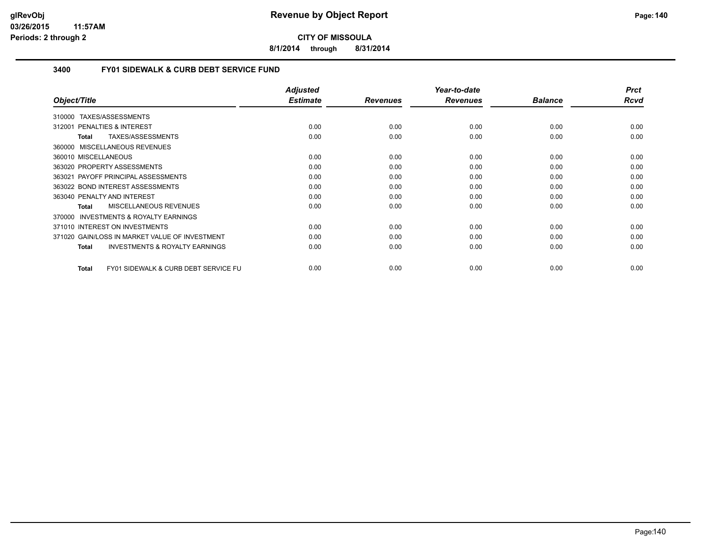**8/1/2014 through 8/31/2014**

# **3400 FY01 SIDEWALK & CURB DEBT SERVICE FUND**

|                                                           | <b>Adjusted</b> |                 | Year-to-date    |                | <b>Prct</b> |
|-----------------------------------------------------------|-----------------|-----------------|-----------------|----------------|-------------|
| Object/Title                                              | <b>Estimate</b> | <b>Revenues</b> | <b>Revenues</b> | <b>Balance</b> | Rcvd        |
| 310000 TAXES/ASSESSMENTS                                  |                 |                 |                 |                |             |
| <b>PENALTIES &amp; INTEREST</b><br>312001                 | 0.00            | 0.00            | 0.00            | 0.00           | 0.00        |
| TAXES/ASSESSMENTS<br><b>Total</b>                         | 0.00            | 0.00            | 0.00            | 0.00           | 0.00        |
| 360000 MISCELLANEOUS REVENUES                             |                 |                 |                 |                |             |
| 360010 MISCELLANEOUS                                      | 0.00            | 0.00            | 0.00            | 0.00           | 0.00        |
| 363020 PROPERTY ASSESSMENTS                               | 0.00            | 0.00            | 0.00            | 0.00           | 0.00        |
| PAYOFF PRINCIPAL ASSESSMENTS<br>363021                    | 0.00            | 0.00            | 0.00            | 0.00           | 0.00        |
| 363022 BOND INTEREST ASSESSMENTS                          | 0.00            | 0.00            | 0.00            | 0.00           | 0.00        |
| 363040 PENALTY AND INTEREST                               | 0.00            | 0.00            | 0.00            | 0.00           | 0.00        |
| <b>MISCELLANEOUS REVENUES</b><br>Total                    | 0.00            | 0.00            | 0.00            | 0.00           | 0.00        |
| INVESTMENTS & ROYALTY EARNINGS<br>370000                  |                 |                 |                 |                |             |
| 371010 INTEREST ON INVESTMENTS                            | 0.00            | 0.00            | 0.00            | 0.00           | 0.00        |
| 371020 GAIN/LOSS IN MARKET VALUE OF INVESTMENT            | 0.00            | 0.00            | 0.00            | 0.00           | 0.00        |
| <b>INVESTMENTS &amp; ROYALTY EARNINGS</b><br><b>Total</b> | 0.00            | 0.00            | 0.00            | 0.00           | 0.00        |
| FY01 SIDEWALK & CURB DEBT SERVICE FU<br><b>Total</b>      | 0.00            | 0.00            | 0.00            | 0.00           | 0.00        |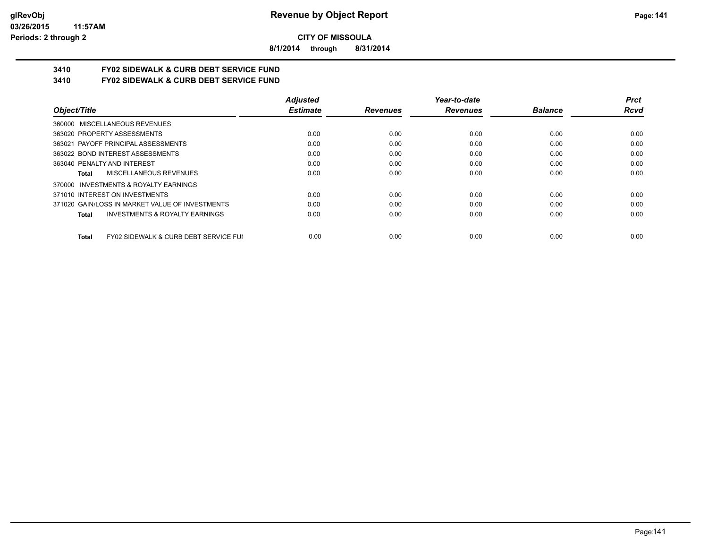**8/1/2014 through 8/31/2014**

# **3410 FY02 SIDEWALK & CURB DEBT SERVICE FUND**

**3410 FY02 SIDEWALK & CURB DEBT SERVICE FUND**

|                                                                  | <b>Adjusted</b> |                 | Year-to-date    |                | <b>Prct</b> |
|------------------------------------------------------------------|-----------------|-----------------|-----------------|----------------|-------------|
| Object/Title                                                     | <b>Estimate</b> | <b>Revenues</b> | <b>Revenues</b> | <b>Balance</b> | Rcvd        |
| 360000 MISCELLANEOUS REVENUES                                    |                 |                 |                 |                |             |
| 363020 PROPERTY ASSESSMENTS                                      | 0.00            | 0.00            | 0.00            | 0.00           | 0.00        |
| 363021 PAYOFF PRINCIPAL ASSESSMENTS                              | 0.00            | 0.00            | 0.00            | 0.00           | 0.00        |
| 363022 BOND INTEREST ASSESSMENTS                                 | 0.00            | 0.00            | 0.00            | 0.00           | 0.00        |
| 363040 PENALTY AND INTEREST                                      | 0.00            | 0.00            | 0.00            | 0.00           | 0.00        |
| MISCELLANEOUS REVENUES<br>Total                                  | 0.00            | 0.00            | 0.00            | 0.00           | 0.00        |
| 370000 INVESTMENTS & ROYALTY EARNINGS                            |                 |                 |                 |                |             |
| 371010 INTEREST ON INVESTMENTS                                   | 0.00            | 0.00            | 0.00            | 0.00           | 0.00        |
| 371020 GAIN/LOSS IN MARKET VALUE OF INVESTMENTS                  | 0.00            | 0.00            | 0.00            | 0.00           | 0.00        |
| <b>INVESTMENTS &amp; ROYALTY EARNINGS</b><br><b>Total</b>        | 0.00            | 0.00            | 0.00            | 0.00           | 0.00        |
| <b>FY02 SIDEWALK &amp; CURB DEBT SERVICE FUI</b><br><b>Total</b> | 0.00            | 0.00            | 0.00            | 0.00           | 0.00        |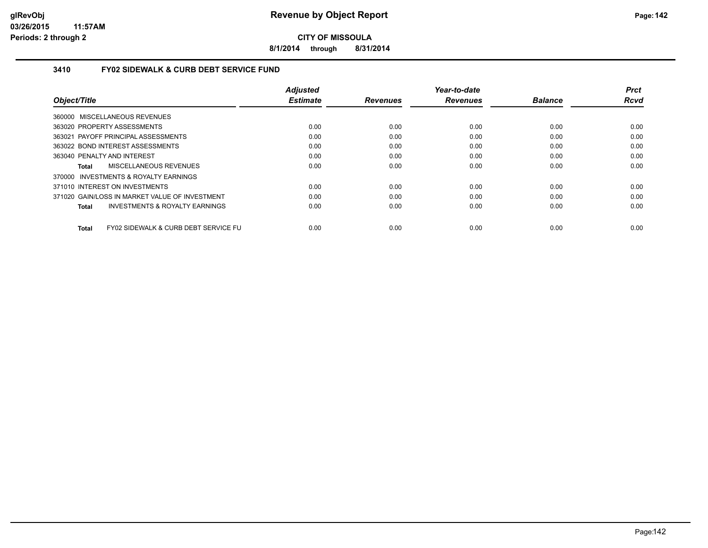**8/1/2014 through 8/31/2014**

## **3410 FY02 SIDEWALK & CURB DEBT SERVICE FUND**

|                                                      | <b>Adjusted</b> |                 | Year-to-date    |                | <b>Prct</b> |
|------------------------------------------------------|-----------------|-----------------|-----------------|----------------|-------------|
| Object/Title                                         | <b>Estimate</b> | <b>Revenues</b> | <b>Revenues</b> | <b>Balance</b> | <b>Rcvd</b> |
| 360000 MISCELLANEOUS REVENUES                        |                 |                 |                 |                |             |
| 363020 PROPERTY ASSESSMENTS                          | 0.00            | 0.00            | 0.00            | 0.00           | 0.00        |
| 363021 PAYOFF PRINCIPAL ASSESSMENTS                  | 0.00            | 0.00            | 0.00            | 0.00           | 0.00        |
| 363022 BOND INTEREST ASSESSMENTS                     | 0.00            | 0.00            | 0.00            | 0.00           | 0.00        |
| 363040 PENALTY AND INTEREST                          | 0.00            | 0.00            | 0.00            | 0.00           | 0.00        |
| MISCELLANEOUS REVENUES<br>Total                      | 0.00            | 0.00            | 0.00            | 0.00           | 0.00        |
| 370000 INVESTMENTS & ROYALTY EARNINGS                |                 |                 |                 |                |             |
| 371010 INTEREST ON INVESTMENTS                       | 0.00            | 0.00            | 0.00            | 0.00           | 0.00        |
| 371020 GAIN/LOSS IN MARKET VALUE OF INVESTMENT       | 0.00            | 0.00            | 0.00            | 0.00           | 0.00        |
| <b>INVESTMENTS &amp; ROYALTY EARNINGS</b><br>Total   | 0.00            | 0.00            | 0.00            | 0.00           | 0.00        |
| FY02 SIDEWALK & CURB DEBT SERVICE FU<br><b>Total</b> | 0.00            | 0.00            | 0.00            | 0.00           | 0.00        |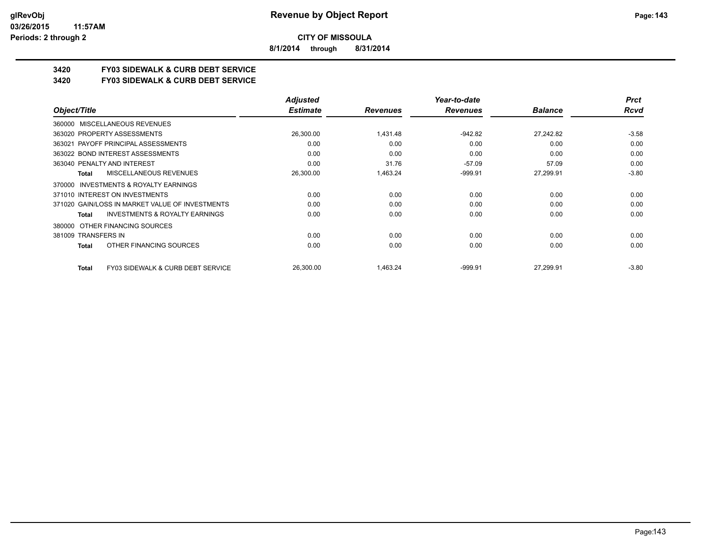**8/1/2014 through 8/31/2014**

# **3420 FY03 SIDEWALK & CURB DEBT SERVICE**

**3420 FY03 SIDEWALK & CURB DEBT SERVICE**

|                                                           | <b>Adjusted</b> |                 | Year-to-date    |                | <b>Prct</b> |
|-----------------------------------------------------------|-----------------|-----------------|-----------------|----------------|-------------|
| Object/Title                                              | <b>Estimate</b> | <b>Revenues</b> | <b>Revenues</b> | <b>Balance</b> | Rcvd        |
| 360000 MISCELLANEOUS REVENUES                             |                 |                 |                 |                |             |
| 363020 PROPERTY ASSESSMENTS                               | 26,300.00       | 1.431.48        | $-942.82$       | 27.242.82      | $-3.58$     |
| 363021 PAYOFF PRINCIPAL ASSESSMENTS                       | 0.00            | 0.00            | 0.00            | 0.00           | 0.00        |
| 363022 BOND INTEREST ASSESSMENTS                          | 0.00            | 0.00            | 0.00            | 0.00           | 0.00        |
| 363040 PENALTY AND INTEREST                               | 0.00            | 31.76           | $-57.09$        | 57.09          | 0.00        |
| MISCELLANEOUS REVENUES<br><b>Total</b>                    | 26,300.00       | 1,463.24        | $-999.91$       | 27,299.91      | $-3.80$     |
| 370000 INVESTMENTS & ROYALTY EARNINGS                     |                 |                 |                 |                |             |
| 371010 INTEREST ON INVESTMENTS                            | 0.00            | 0.00            | 0.00            | 0.00           | 0.00        |
| 371020 GAIN/LOSS IN MARKET VALUE OF INVESTMENTS           | 0.00            | 0.00            | 0.00            | 0.00           | 0.00        |
| <b>INVESTMENTS &amp; ROYALTY EARNINGS</b><br><b>Total</b> | 0.00            | 0.00            | 0.00            | 0.00           | 0.00        |
| OTHER FINANCING SOURCES<br>380000                         |                 |                 |                 |                |             |
| 381009 TRANSFERS IN                                       | 0.00            | 0.00            | 0.00            | 0.00           | 0.00        |
| OTHER FINANCING SOURCES<br><b>Total</b>                   | 0.00            | 0.00            | 0.00            | 0.00           | 0.00        |
| FY03 SIDEWALK & CURB DEBT SERVICE<br><b>Total</b>         | 26,300.00       | 1,463.24        | $-999.91$       | 27,299.91      | $-3.80$     |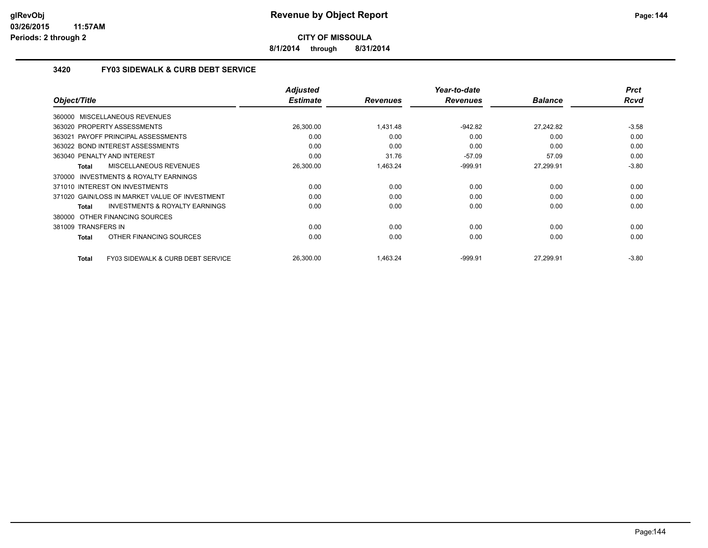**8/1/2014 through 8/31/2014**

# **3420 FY03 SIDEWALK & CURB DEBT SERVICE**

| Object/Title                                       | <b>Adjusted</b><br><b>Estimate</b> | <b>Revenues</b> | Year-to-date<br><b>Revenues</b> | <b>Balance</b> | <b>Prct</b><br><b>Rcvd</b> |
|----------------------------------------------------|------------------------------------|-----------------|---------------------------------|----------------|----------------------------|
| 360000 MISCELLANEOUS REVENUES                      |                                    |                 |                                 |                |                            |
| 363020 PROPERTY ASSESSMENTS                        | 26,300.00                          | 1,431.48        | $-942.82$                       | 27,242.82      | $-3.58$                    |
| 363021 PAYOFF PRINCIPAL ASSESSMENTS                | 0.00                               | 0.00            | 0.00                            | 0.00           | 0.00                       |
| 363022 BOND INTEREST ASSESSMENTS                   | 0.00                               | 0.00            | 0.00                            | 0.00           | 0.00                       |
| 363040 PENALTY AND INTEREST                        | 0.00                               | 31.76           | $-57.09$                        | 57.09          | 0.00                       |
| MISCELLANEOUS REVENUES<br><b>Total</b>             | 26,300.00                          | 1,463.24        | $-999.91$                       | 27,299.91      | $-3.80$                    |
| 370000 INVESTMENTS & ROYALTY EARNINGS              |                                    |                 |                                 |                |                            |
| 371010 INTEREST ON INVESTMENTS                     | 0.00                               | 0.00            | 0.00                            | 0.00           | 0.00                       |
| 371020 GAIN/LOSS IN MARKET VALUE OF INVESTMENT     | 0.00                               | 0.00            | 0.00                            | 0.00           | 0.00                       |
| <b>INVESTMENTS &amp; ROYALTY EARNINGS</b><br>Total | 0.00                               | 0.00            | 0.00                            | 0.00           | 0.00                       |
| 380000 OTHER FINANCING SOURCES                     |                                    |                 |                                 |                |                            |
| 381009 TRANSFERS IN                                | 0.00                               | 0.00            | 0.00                            | 0.00           | 0.00                       |
| OTHER FINANCING SOURCES<br>Total                   | 0.00                               | 0.00            | 0.00                            | 0.00           | 0.00                       |
| FY03 SIDEWALK & CURB DEBT SERVICE<br>Total         | 26.300.00                          | 1.463.24        | $-999.91$                       | 27.299.91      | $-3.80$                    |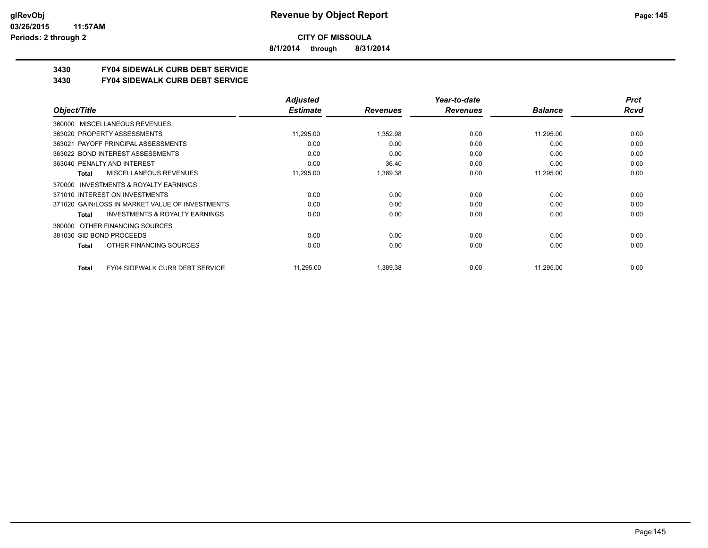**8/1/2014 through 8/31/2014**

## **3430 FY04 SIDEWALK CURB DEBT SERVICE**

#### **3430 FY04 SIDEWALK CURB DEBT SERVICE**

|                                                           | <b>Adjusted</b> |                 | Year-to-date    |                | <b>Prct</b> |
|-----------------------------------------------------------|-----------------|-----------------|-----------------|----------------|-------------|
| Object/Title                                              | <b>Estimate</b> | <b>Revenues</b> | <b>Revenues</b> | <b>Balance</b> | Rcvd        |
| MISCELLANEOUS REVENUES<br>360000                          |                 |                 |                 |                |             |
| 363020 PROPERTY ASSESSMENTS                               | 11,295.00       | 1,352.98        | 0.00            | 11,295.00      | 0.00        |
| 363021 PAYOFF PRINCIPAL ASSESSMENTS                       | 0.00            | 0.00            | 0.00            | 0.00           | 0.00        |
| 363022 BOND INTEREST ASSESSMENTS                          | 0.00            | 0.00            | 0.00            | 0.00           | 0.00        |
| 363040 PENALTY AND INTEREST                               | 0.00            | 36.40           | 0.00            | 0.00           | 0.00        |
| MISCELLANEOUS REVENUES<br><b>Total</b>                    | 11,295.00       | 1,389.38        | 0.00            | 11,295.00      | 0.00        |
| INVESTMENTS & ROYALTY EARNINGS<br>370000                  |                 |                 |                 |                |             |
| 371010 INTEREST ON INVESTMENTS                            | 0.00            | 0.00            | 0.00            | 0.00           | 0.00        |
| 371020 GAIN/LOSS IN MARKET VALUE OF INVESTMENTS           | 0.00            | 0.00            | 0.00            | 0.00           | 0.00        |
| <b>INVESTMENTS &amp; ROYALTY EARNINGS</b><br><b>Total</b> | 0.00            | 0.00            | 0.00            | 0.00           | 0.00        |
| OTHER FINANCING SOURCES<br>380000                         |                 |                 |                 |                |             |
| 381030 SID BOND PROCEEDS                                  | 0.00            | 0.00            | 0.00            | 0.00           | 0.00        |
| OTHER FINANCING SOURCES<br><b>Total</b>                   | 0.00            | 0.00            | 0.00            | 0.00           | 0.00        |
| <b>FY04 SIDEWALK CURB DEBT SERVICE</b><br><b>Total</b>    | 11,295.00       | 1,389.38        | 0.00            | 11,295.00      | 0.00        |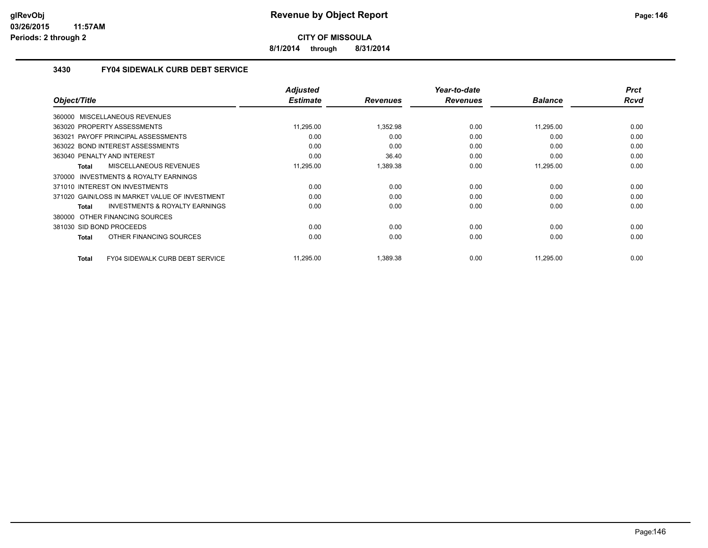**8/1/2014 through 8/31/2014**

## **3430 FY04 SIDEWALK CURB DEBT SERVICE**

|              |                                                | <b>Adjusted</b> |                 | Year-to-date    |                | <b>Prct</b> |
|--------------|------------------------------------------------|-----------------|-----------------|-----------------|----------------|-------------|
| Object/Title |                                                | <b>Estimate</b> | <b>Revenues</b> | <b>Revenues</b> | <b>Balance</b> | <b>Rcvd</b> |
|              | 360000 MISCELLANEOUS REVENUES                  |                 |                 |                 |                |             |
|              | 363020 PROPERTY ASSESSMENTS                    | 11,295.00       | 1,352.98        | 0.00            | 11,295.00      | 0.00        |
|              | 363021 PAYOFF PRINCIPAL ASSESSMENTS            | 0.00            | 0.00            | 0.00            | 0.00           | 0.00        |
|              | 363022 BOND INTEREST ASSESSMENTS               | 0.00            | 0.00            | 0.00            | 0.00           | 0.00        |
|              | 363040 PENALTY AND INTEREST                    | 0.00            | 36.40           | 0.00            | 0.00           | 0.00        |
| Total        | MISCELLANEOUS REVENUES                         | 11,295.00       | 1,389.38        | 0.00            | 11,295.00      | 0.00        |
|              | 370000 INVESTMENTS & ROYALTY EARNINGS          |                 |                 |                 |                |             |
|              | 371010 INTEREST ON INVESTMENTS                 | 0.00            | 0.00            | 0.00            | 0.00           | 0.00        |
|              | 371020 GAIN/LOSS IN MARKET VALUE OF INVESTMENT | 0.00            | 0.00            | 0.00            | 0.00           | 0.00        |
| Total        | <b>INVESTMENTS &amp; ROYALTY EARNINGS</b>      | 0.00            | 0.00            | 0.00            | 0.00           | 0.00        |
|              | 380000 OTHER FINANCING SOURCES                 |                 |                 |                 |                |             |
|              | 381030 SID BOND PROCEEDS                       | 0.00            | 0.00            | 0.00            | 0.00           | 0.00        |
| Total        | OTHER FINANCING SOURCES                        | 0.00            | 0.00            | 0.00            | 0.00           | 0.00        |
| Total        | FY04 SIDEWALK CURB DEBT SERVICE                | 11,295.00       | 1,389.38        | 0.00            | 11,295.00      | 0.00        |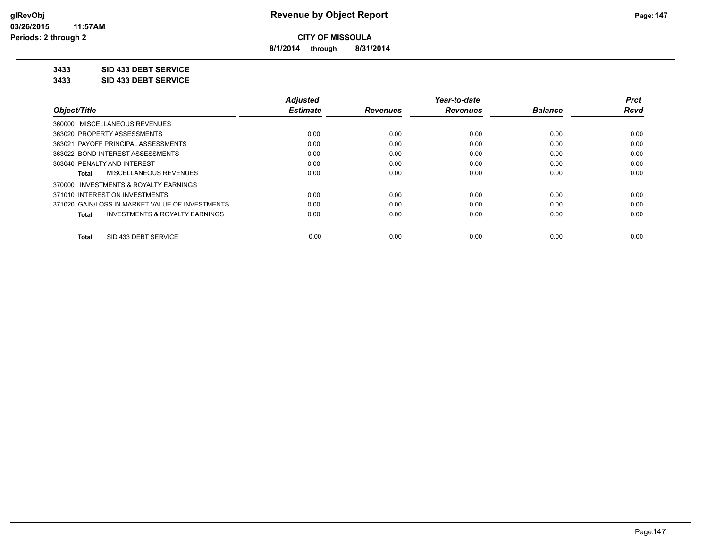**8/1/2014 through 8/31/2014**

**3433 SID 433 DEBT SERVICE**

**3433 SID 433 DEBT SERVICE**

|                                                    | <b>Adjusted</b> |                 | Year-to-date    |                | <b>Prct</b> |
|----------------------------------------------------|-----------------|-----------------|-----------------|----------------|-------------|
| Object/Title                                       | <b>Estimate</b> | <b>Revenues</b> | <b>Revenues</b> | <b>Balance</b> | <b>Rcvd</b> |
| 360000 MISCELLANEOUS REVENUES                      |                 |                 |                 |                |             |
| 363020 PROPERTY ASSESSMENTS                        | 0.00            | 0.00            | 0.00            | 0.00           | 0.00        |
| 363021 PAYOFF PRINCIPAL ASSESSMENTS                | 0.00            | 0.00            | 0.00            | 0.00           | 0.00        |
| 363022 BOND INTEREST ASSESSMENTS                   | 0.00            | 0.00            | 0.00            | 0.00           | 0.00        |
| 363040 PENALTY AND INTEREST                        | 0.00            | 0.00            | 0.00            | 0.00           | 0.00        |
| MISCELLANEOUS REVENUES<br>Total                    | 0.00            | 0.00            | 0.00            | 0.00           | 0.00        |
| INVESTMENTS & ROYALTY EARNINGS<br>370000           |                 |                 |                 |                |             |
| 371010 INTEREST ON INVESTMENTS                     | 0.00            | 0.00            | 0.00            | 0.00           | 0.00        |
| 371020 GAIN/LOSS IN MARKET VALUE OF INVESTMENTS    | 0.00            | 0.00            | 0.00            | 0.00           | 0.00        |
| <b>INVESTMENTS &amp; ROYALTY EARNINGS</b><br>Total | 0.00            | 0.00            | 0.00            | 0.00           | 0.00        |
| SID 433 DEBT SERVICE<br><b>Total</b>               | 0.00            | 0.00            | 0.00            | 0.00           | 0.00        |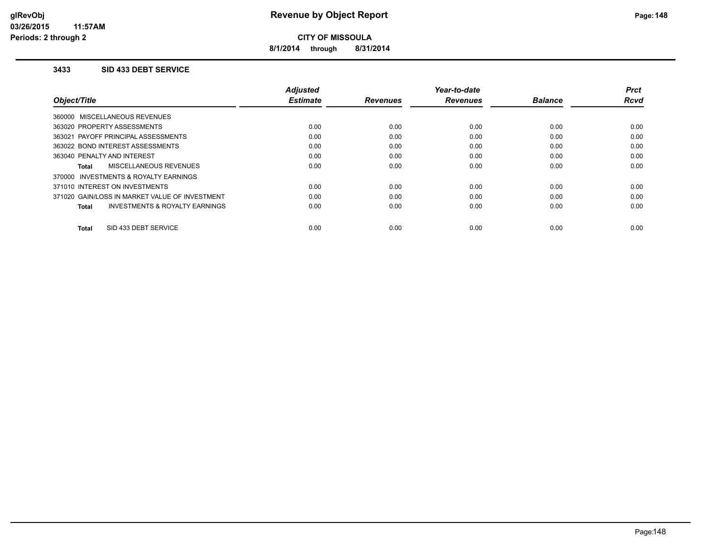**8/1/2014 through 8/31/2014**

#### **3433 SID 433 DEBT SERVICE**

|                                                | Adjusted        |                 | Year-to-date    |                | Prct        |
|------------------------------------------------|-----------------|-----------------|-----------------|----------------|-------------|
| Object/Title                                   | <b>Estimate</b> | <b>Revenues</b> | <b>Revenues</b> | <b>Balance</b> | <b>Rcvd</b> |
| 360000 MISCELLANEOUS REVENUES                  |                 |                 |                 |                |             |
| 363020 PROPERTY ASSESSMENTS                    | 0.00            | 0.00            | 0.00            | 0.00           | 0.00        |
| 363021 PAYOFF PRINCIPAL ASSESSMENTS            | 0.00            | 0.00            | 0.00            | 0.00           | 0.00        |
| 363022 BOND INTEREST ASSESSMENTS               | 0.00            | 0.00            | 0.00            | 0.00           | 0.00        |
| 363040 PENALTY AND INTEREST                    | 0.00            | 0.00            | 0.00            | 0.00           | 0.00        |
| MISCELLANEOUS REVENUES<br><b>Total</b>         | 0.00            | 0.00            | 0.00            | 0.00           | 0.00        |
| 370000 INVESTMENTS & ROYALTY EARNINGS          |                 |                 |                 |                |             |
| 371010 INTEREST ON INVESTMENTS                 | 0.00            | 0.00            | 0.00            | 0.00           | 0.00        |
| 371020 GAIN/LOSS IN MARKET VALUE OF INVESTMENT | 0.00            | 0.00            | 0.00            | 0.00           | 0.00        |
| INVESTMENTS & ROYALTY EARNINGS<br><b>Total</b> | 0.00            | 0.00            | 0.00            | 0.00           | 0.00        |
|                                                |                 |                 |                 |                |             |
| SID 433 DEBT SERVICE<br><b>Total</b>           | 0.00            | 0.00            | 0.00            | 0.00           | 0.00        |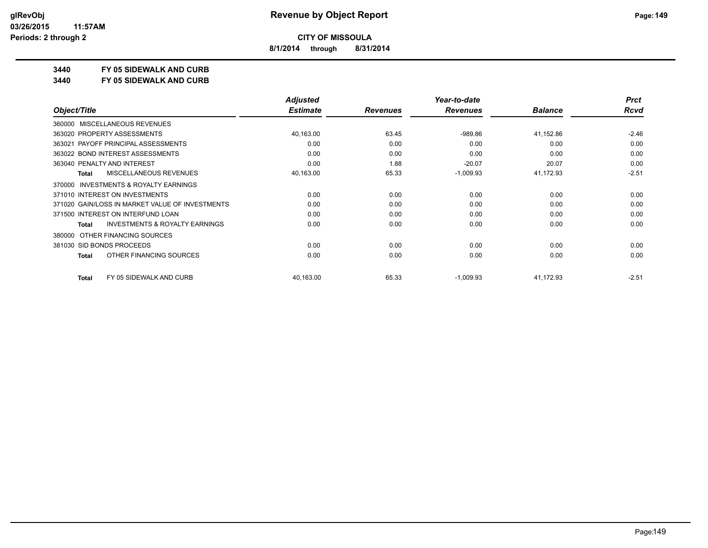**8/1/2014 through 8/31/2014**

## **3440 FY 05 SIDEWALK AND CURB**

**3440 FY 05 SIDEWALK AND CURB**

|                                                    | <b>Adjusted</b> |                 | Year-to-date    |                | <b>Prct</b> |
|----------------------------------------------------|-----------------|-----------------|-----------------|----------------|-------------|
| Object/Title                                       | <b>Estimate</b> | <b>Revenues</b> | <b>Revenues</b> | <b>Balance</b> | Rcvd        |
| 360000 MISCELLANEOUS REVENUES                      |                 |                 |                 |                |             |
| 363020 PROPERTY ASSESSMENTS                        | 40,163.00       | 63.45           | $-989.86$       | 41,152.86      | $-2.46$     |
| 363021 PAYOFF PRINCIPAL ASSESSMENTS                | 0.00            | 0.00            | 0.00            | 0.00           | 0.00        |
| 363022 BOND INTEREST ASSESSMENTS                   | 0.00            | 0.00            | 0.00            | 0.00           | 0.00        |
| 363040 PENALTY AND INTEREST                        | 0.00            | 1.88            | $-20.07$        | 20.07          | 0.00        |
| <b>MISCELLANEOUS REVENUES</b><br><b>Total</b>      | 40,163.00       | 65.33           | $-1,009.93$     | 41,172.93      | $-2.51$     |
| INVESTMENTS & ROYALTY EARNINGS<br>370000           |                 |                 |                 |                |             |
| 371010 INTEREST ON INVESTMENTS                     | 0.00            | 0.00            | 0.00            | 0.00           | 0.00        |
| 371020 GAIN/LOSS IN MARKET VALUE OF INVESTMENTS    | 0.00            | 0.00            | 0.00            | 0.00           | 0.00        |
| 371500 INTEREST ON INTERFUND LOAN                  | 0.00            | 0.00            | 0.00            | 0.00           | 0.00        |
| <b>INVESTMENTS &amp; ROYALTY EARNINGS</b><br>Total | 0.00            | 0.00            | 0.00            | 0.00           | 0.00        |
| OTHER FINANCING SOURCES<br>380000                  |                 |                 |                 |                |             |
| 381030 SID BONDS PROCEEDS                          | 0.00            | 0.00            | 0.00            | 0.00           | 0.00        |
| OTHER FINANCING SOURCES<br><b>Total</b>            | 0.00            | 0.00            | 0.00            | 0.00           | 0.00        |
| FY 05 SIDEWALK AND CURB<br><b>Total</b>            | 40,163.00       | 65.33           | $-1,009.93$     | 41,172.93      | $-2.51$     |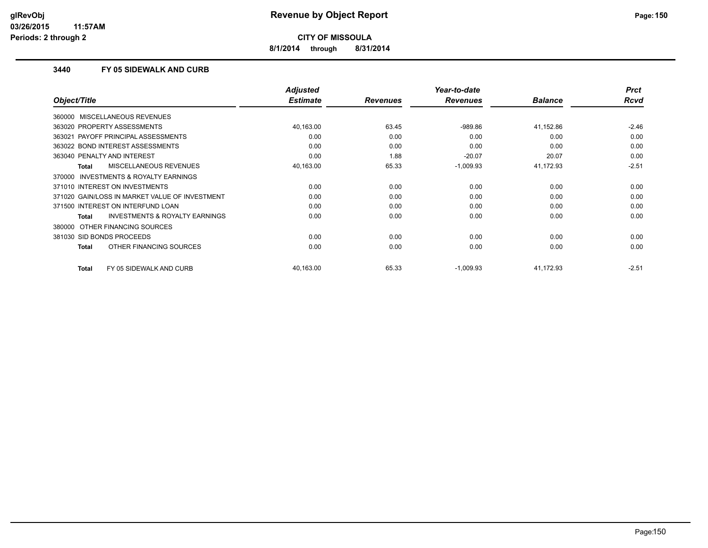**8/1/2014 through 8/31/2014**

### **3440 FY 05 SIDEWALK AND CURB**

|                                                     | <b>Adjusted</b> |                 | Year-to-date    |                | <b>Prct</b> |
|-----------------------------------------------------|-----------------|-----------------|-----------------|----------------|-------------|
| Object/Title                                        | <b>Estimate</b> | <b>Revenues</b> | <b>Revenues</b> | <b>Balance</b> | <b>Rcvd</b> |
| 360000 MISCELLANEOUS REVENUES                       |                 |                 |                 |                |             |
| 363020 PROPERTY ASSESSMENTS                         | 40,163.00       | 63.45           | $-989.86$       | 41,152.86      | $-2.46$     |
| 363021 PAYOFF PRINCIPAL ASSESSMENTS                 | 0.00            | 0.00            | 0.00            | 0.00           | 0.00        |
| 363022 BOND INTEREST ASSESSMENTS                    | 0.00            | 0.00            | 0.00            | 0.00           | 0.00        |
| 363040 PENALTY AND INTEREST                         | 0.00            | 1.88            | $-20.07$        | 20.07          | 0.00        |
| <b>MISCELLANEOUS REVENUES</b><br>Total              | 40,163.00       | 65.33           | $-1,009.93$     | 41,172.93      | $-2.51$     |
| <b>INVESTMENTS &amp; ROYALTY EARNINGS</b><br>370000 |                 |                 |                 |                |             |
| 371010 INTEREST ON INVESTMENTS                      | 0.00            | 0.00            | 0.00            | 0.00           | 0.00        |
| 371020 GAIN/LOSS IN MARKET VALUE OF INVESTMENT      | 0.00            | 0.00            | 0.00            | 0.00           | 0.00        |
| 371500 INTEREST ON INTERFUND LOAN                   | 0.00            | 0.00            | 0.00            | 0.00           | 0.00        |
| <b>INVESTMENTS &amp; ROYALTY EARNINGS</b><br>Total  | 0.00            | 0.00            | 0.00            | 0.00           | 0.00        |
| 380000 OTHER FINANCING SOURCES                      |                 |                 |                 |                |             |
| 381030 SID BONDS PROCEEDS                           | 0.00            | 0.00            | 0.00            | 0.00           | 0.00        |
| OTHER FINANCING SOURCES<br>Total                    | 0.00            | 0.00            | 0.00            | 0.00           | 0.00        |
| <b>Total</b><br>FY 05 SIDEWALK AND CURB             | 40,163.00       | 65.33           | $-1,009.93$     | 41,172.93      | $-2.51$     |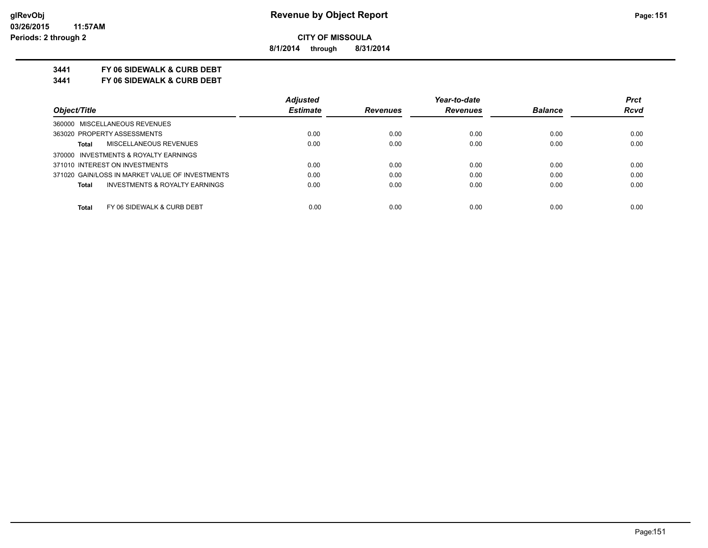**8/1/2014 through 8/31/2014**

## **3441 FY 06 SIDEWALK & CURB DEBT**

**3441 FY 06 SIDEWALK & CURB DEBT**

|                                                    | <b>Adjusted</b> |                 | Year-to-date    |                | <b>Prct</b> |
|----------------------------------------------------|-----------------|-----------------|-----------------|----------------|-------------|
| Object/Title                                       | <b>Estimate</b> | <b>Revenues</b> | <b>Revenues</b> | <b>Balance</b> | <b>Rcvd</b> |
| 360000 MISCELLANEOUS REVENUES                      |                 |                 |                 |                |             |
| 363020 PROPERTY ASSESSMENTS                        | 0.00            | 0.00            | 0.00            | 0.00           | 0.00        |
| MISCELLANEOUS REVENUES<br><b>Total</b>             | 0.00            | 0.00            | 0.00            | 0.00           | 0.00        |
| 370000 INVESTMENTS & ROYALTY EARNINGS              |                 |                 |                 |                |             |
| 371010 INTEREST ON INVESTMENTS                     | 0.00            | 0.00            | 0.00            | 0.00           | 0.00        |
| 371020 GAIN/LOSS IN MARKET VALUE OF INVESTMENTS    | 0.00            | 0.00            | 0.00            | 0.00           | 0.00        |
| <b>INVESTMENTS &amp; ROYALTY EARNINGS</b><br>Total | 0.00            | 0.00            | 0.00            | 0.00           | 0.00        |
| FY 06 SIDEWALK & CURB DEBT<br><b>Total</b>         | 0.00            | 0.00            | 0.00            | 0.00           | 0.00        |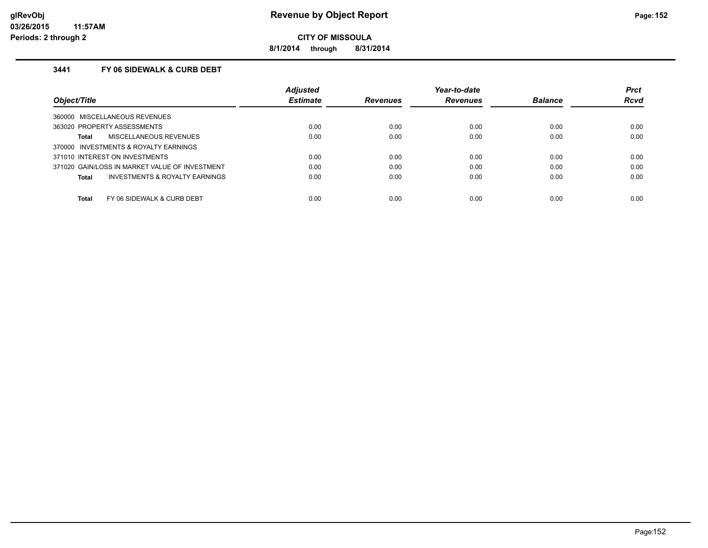**8/1/2014 through 8/31/2014**

## **3441 FY 06 SIDEWALK & CURB DEBT**

|                                                    | <b>Adjusted</b> |                 | Year-to-date    |                | <b>Prct</b> |
|----------------------------------------------------|-----------------|-----------------|-----------------|----------------|-------------|
| Object/Title                                       | <b>Estimate</b> | <b>Revenues</b> | <b>Revenues</b> | <b>Balance</b> | <b>Rcvd</b> |
| 360000 MISCELLANEOUS REVENUES                      |                 |                 |                 |                |             |
| 363020 PROPERTY ASSESSMENTS                        | 0.00            | 0.00            | 0.00            | 0.00           | 0.00        |
| MISCELLANEOUS REVENUES<br>Total                    | 0.00            | 0.00            | 0.00            | 0.00           | 0.00        |
| 370000 INVESTMENTS & ROYALTY EARNINGS              |                 |                 |                 |                |             |
| 371010 INTEREST ON INVESTMENTS                     | 0.00            | 0.00            | 0.00            | 0.00           | 0.00        |
| 371020 GAIN/LOSS IN MARKET VALUE OF INVESTMENT     | 0.00            | 0.00            | 0.00            | 0.00           | 0.00        |
| <b>INVESTMENTS &amp; ROYALTY EARNINGS</b><br>Total | 0.00            | 0.00            | 0.00            | 0.00           | 0.00        |
| Total<br>FY 06 SIDEWALK & CURB DEBT                | 0.00            | 0.00            | 0.00            | 0.00           | 0.00        |
|                                                    |                 |                 |                 |                |             |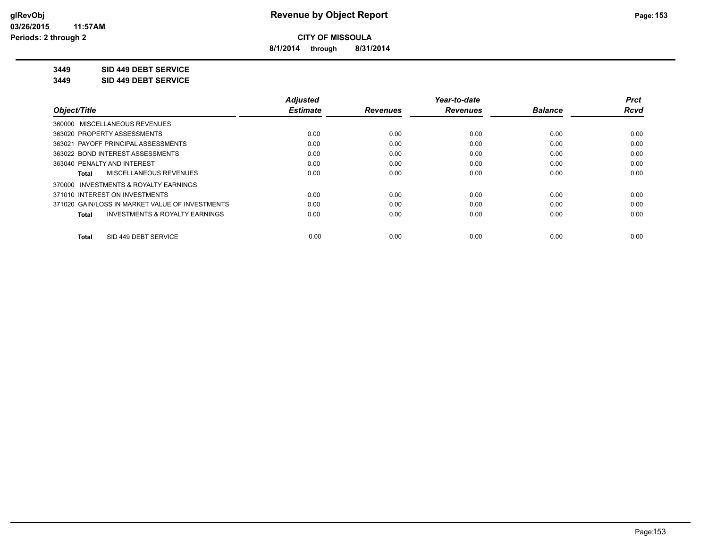**8/1/2014 through 8/31/2014**

**3449 SID 449 DEBT SERVICE**

**3449 SID 449 DEBT SERVICE**

|                                                           | <b>Adjusted</b> |                 | Year-to-date    |                | <b>Prct</b> |
|-----------------------------------------------------------|-----------------|-----------------|-----------------|----------------|-------------|
| Object/Title                                              | <b>Estimate</b> | <b>Revenues</b> | <b>Revenues</b> | <b>Balance</b> | Rcvd        |
| 360000 MISCELLANEOUS REVENUES                             |                 |                 |                 |                |             |
| 363020 PROPERTY ASSESSMENTS                               | 0.00            | 0.00            | 0.00            | 0.00           | 0.00        |
| 363021 PAYOFF PRINCIPAL ASSESSMENTS                       | 0.00            | 0.00            | 0.00            | 0.00           | 0.00        |
| 363022 BOND INTEREST ASSESSMENTS                          | 0.00            | 0.00            | 0.00            | 0.00           | 0.00        |
| 363040 PENALTY AND INTEREST                               | 0.00            | 0.00            | 0.00            | 0.00           | 0.00        |
| MISCELLANEOUS REVENUES<br>Total                           | 0.00            | 0.00            | 0.00            | 0.00           | 0.00        |
| 370000 INVESTMENTS & ROYALTY EARNINGS                     |                 |                 |                 |                |             |
| 371010 INTEREST ON INVESTMENTS                            | 0.00            | 0.00            | 0.00            | 0.00           | 0.00        |
| 371020 GAIN/LOSS IN MARKET VALUE OF INVESTMENTS           | 0.00            | 0.00            | 0.00            | 0.00           | 0.00        |
| <b>INVESTMENTS &amp; ROYALTY EARNINGS</b><br><b>Total</b> | 0.00            | 0.00            | 0.00            | 0.00           | 0.00        |
| SID 449 DEBT SERVICE<br>Total                             | 0.00            | 0.00            | 0.00            | 0.00           | 0.00        |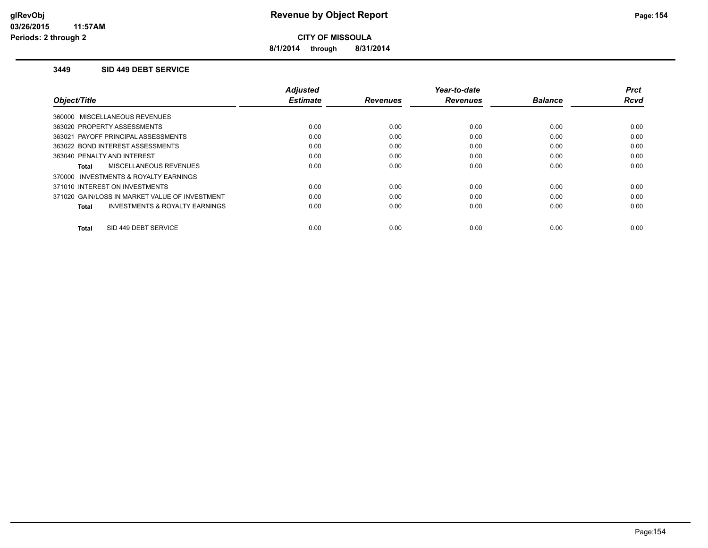**8/1/2014 through 8/31/2014**

#### **3449 SID 449 DEBT SERVICE**

|                                                    | <b>Adjusted</b> |                 | Year-to-date    |                | <b>Prct</b> |
|----------------------------------------------------|-----------------|-----------------|-----------------|----------------|-------------|
| Object/Title                                       | <b>Estimate</b> | <b>Revenues</b> | <b>Revenues</b> | <b>Balance</b> | <b>Rcvd</b> |
| 360000 MISCELLANEOUS REVENUES                      |                 |                 |                 |                |             |
| 363020 PROPERTY ASSESSMENTS                        | 0.00            | 0.00            | 0.00            | 0.00           | 0.00        |
| 363021 PAYOFF PRINCIPAL ASSESSMENTS                | 0.00            | 0.00            | 0.00            | 0.00           | 0.00        |
| 363022 BOND INTEREST ASSESSMENTS                   | 0.00            | 0.00            | 0.00            | 0.00           | 0.00        |
| 363040 PENALTY AND INTEREST                        | 0.00            | 0.00            | 0.00            | 0.00           | 0.00        |
| <b>MISCELLANEOUS REVENUES</b><br>Total             | 0.00            | 0.00            | 0.00            | 0.00           | 0.00        |
| 370000 INVESTMENTS & ROYALTY EARNINGS              |                 |                 |                 |                |             |
| 371010 INTEREST ON INVESTMENTS                     | 0.00            | 0.00            | 0.00            | 0.00           | 0.00        |
| 371020 GAIN/LOSS IN MARKET VALUE OF INVESTMENT     | 0.00            | 0.00            | 0.00            | 0.00           | 0.00        |
| <b>INVESTMENTS &amp; ROYALTY EARNINGS</b><br>Total | 0.00            | 0.00            | 0.00            | 0.00           | 0.00        |
|                                                    |                 |                 |                 |                |             |
| SID 449 DEBT SERVICE<br>Total                      | 0.00            | 0.00            | 0.00            | 0.00           | 0.00        |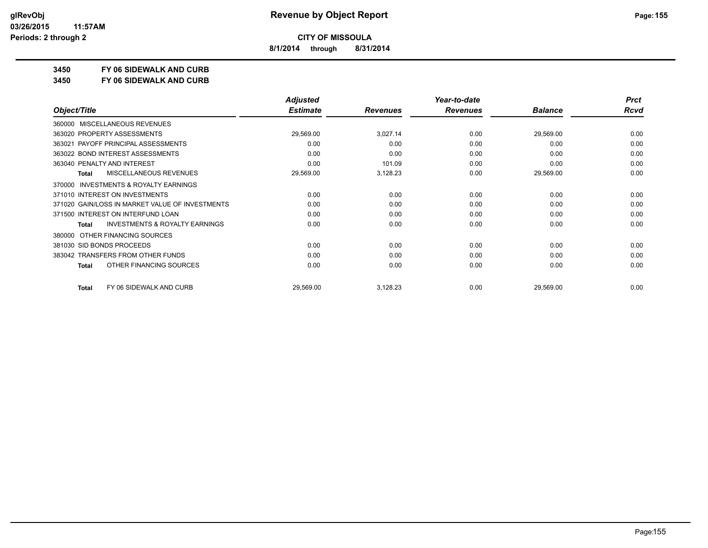**8/1/2014 through 8/31/2014**

## **3450 FY 06 SIDEWALK AND CURB**

**3450 FY 06 SIDEWALK AND CURB**

|                                                           | <b>Adjusted</b> |                 | Year-to-date    |                | <b>Prct</b> |
|-----------------------------------------------------------|-----------------|-----------------|-----------------|----------------|-------------|
| Object/Title                                              | <b>Estimate</b> | <b>Revenues</b> | <b>Revenues</b> | <b>Balance</b> | <b>Rcvd</b> |
| <b>MISCELLANEOUS REVENUES</b><br>360000                   |                 |                 |                 |                |             |
| 363020 PROPERTY ASSESSMENTS                               | 29,569.00       | 3,027.14        | 0.00            | 29,569.00      | 0.00        |
| 363021 PAYOFF PRINCIPAL ASSESSMENTS                       | 0.00            | 0.00            | 0.00            | 0.00           | 0.00        |
| 363022 BOND INTEREST ASSESSMENTS                          | 0.00            | 0.00            | 0.00            | 0.00           | 0.00        |
| 363040 PENALTY AND INTEREST                               | 0.00            | 101.09          | 0.00            | 0.00           | 0.00        |
| MISCELLANEOUS REVENUES<br><b>Total</b>                    | 29,569.00       | 3,128.23        | 0.00            | 29,569.00      | 0.00        |
| <b>INVESTMENTS &amp; ROYALTY EARNINGS</b><br>370000       |                 |                 |                 |                |             |
| 371010 INTEREST ON INVESTMENTS                            | 0.00            | 0.00            | 0.00            | 0.00           | 0.00        |
| 371020 GAIN/LOSS IN MARKET VALUE OF INVESTMENTS           | 0.00            | 0.00            | 0.00            | 0.00           | 0.00        |
| 371500 INTEREST ON INTERFUND LOAN                         | 0.00            | 0.00            | 0.00            | 0.00           | 0.00        |
| <b>INVESTMENTS &amp; ROYALTY EARNINGS</b><br><b>Total</b> | 0.00            | 0.00            | 0.00            | 0.00           | 0.00        |
| OTHER FINANCING SOURCES<br>380000                         |                 |                 |                 |                |             |
| 381030 SID BONDS PROCEEDS                                 | 0.00            | 0.00            | 0.00            | 0.00           | 0.00        |
| 383042 TRANSFERS FROM OTHER FUNDS                         | 0.00            | 0.00            | 0.00            | 0.00           | 0.00        |
| OTHER FINANCING SOURCES<br><b>Total</b>                   | 0.00            | 0.00            | 0.00            | 0.00           | 0.00        |
| FY 06 SIDEWALK AND CURB<br><b>Total</b>                   | 29,569.00       | 3,128.23        | 0.00            | 29,569.00      | 0.00        |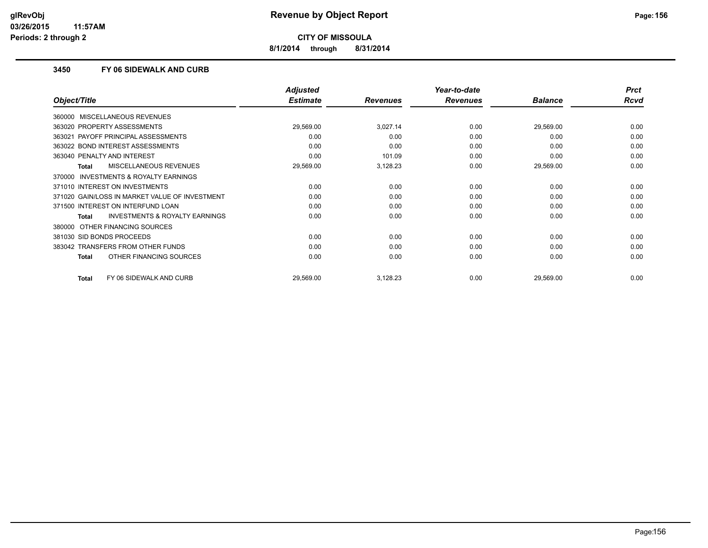**8/1/2014 through 8/31/2014**

### **3450 FY 06 SIDEWALK AND CURB**

|                                                    | <b>Adjusted</b> |                 | Year-to-date    |                | <b>Prct</b> |
|----------------------------------------------------|-----------------|-----------------|-----------------|----------------|-------------|
| Object/Title                                       | <b>Estimate</b> | <b>Revenues</b> | <b>Revenues</b> | <b>Balance</b> | <b>Rcvd</b> |
| 360000 MISCELLANEOUS REVENUES                      |                 |                 |                 |                |             |
| 363020 PROPERTY ASSESSMENTS                        | 29,569.00       | 3,027.14        | 0.00            | 29,569.00      | 0.00        |
| PAYOFF PRINCIPAL ASSESSMENTS<br>363021             | 0.00            | 0.00            | 0.00            | 0.00           | 0.00        |
| 363022 BOND INTEREST ASSESSMENTS                   | 0.00            | 0.00            | 0.00            | 0.00           | 0.00        |
| 363040 PENALTY AND INTEREST                        | 0.00            | 101.09          | 0.00            | 0.00           | 0.00        |
| MISCELLANEOUS REVENUES<br>Total                    | 29,569.00       | 3,128.23        | 0.00            | 29,569.00      | 0.00        |
| 370000 INVESTMENTS & ROYALTY EARNINGS              |                 |                 |                 |                |             |
| 371010 INTEREST ON INVESTMENTS                     | 0.00            | 0.00            | 0.00            | 0.00           | 0.00        |
| 371020 GAIN/LOSS IN MARKET VALUE OF INVESTMENT     | 0.00            | 0.00            | 0.00            | 0.00           | 0.00        |
| 371500 INTEREST ON INTERFUND LOAN                  | 0.00            | 0.00            | 0.00            | 0.00           | 0.00        |
| <b>INVESTMENTS &amp; ROYALTY EARNINGS</b><br>Total | 0.00            | 0.00            | 0.00            | 0.00           | 0.00        |
| OTHER FINANCING SOURCES<br>380000                  |                 |                 |                 |                |             |
| 381030 SID BONDS PROCEEDS                          | 0.00            | 0.00            | 0.00            | 0.00           | 0.00        |
| 383042 TRANSFERS FROM OTHER FUNDS                  | 0.00            | 0.00            | 0.00            | 0.00           | 0.00        |
| OTHER FINANCING SOURCES<br><b>Total</b>            | 0.00            | 0.00            | 0.00            | 0.00           | 0.00        |
| FY 06 SIDEWALK AND CURB<br><b>Total</b>            | 29,569.00       | 3,128.23        | 0.00            | 29,569.00      | 0.00        |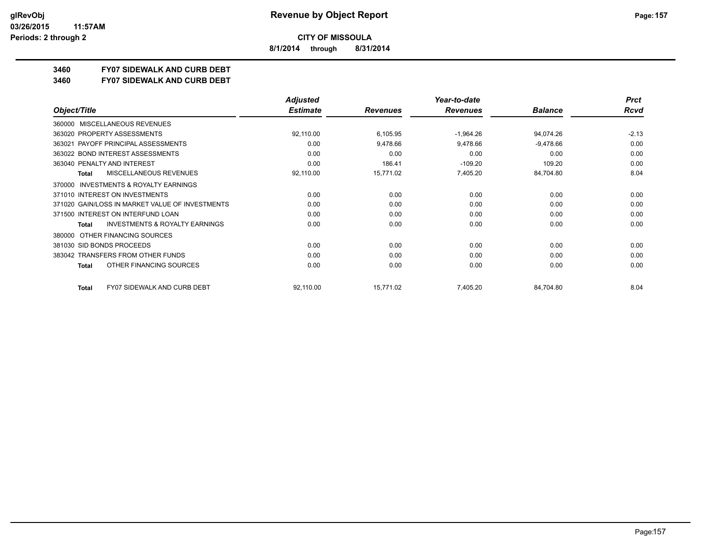**8/1/2014 through 8/31/2014**

## **3460 FY07 SIDEWALK AND CURB DEBT**

#### **3460 FY07 SIDEWALK AND CURB DEBT**

|                                                     | <b>Adjusted</b> |                 | Year-to-date    |                | <b>Prct</b> |
|-----------------------------------------------------|-----------------|-----------------|-----------------|----------------|-------------|
| Object/Title                                        | <b>Estimate</b> | <b>Revenues</b> | <b>Revenues</b> | <b>Balance</b> | Rcvd        |
| <b>MISCELLANEOUS REVENUES</b><br>360000             |                 |                 |                 |                |             |
| 363020 PROPERTY ASSESSMENTS                         | 92,110.00       | 6,105.95        | $-1,964.26$     | 94,074.26      | $-2.13$     |
| 363021 PAYOFF PRINCIPAL ASSESSMENTS                 | 0.00            | 9,478.66        | 9,478.66        | $-9,478.66$    | 0.00        |
| 363022 BOND INTEREST ASSESSMENTS                    | 0.00            | 0.00            | 0.00            | 0.00           | 0.00        |
| 363040 PENALTY AND INTEREST                         | 0.00            | 186.41          | $-109.20$       | 109.20         | 0.00        |
| MISCELLANEOUS REVENUES<br><b>Total</b>              | 92,110.00       | 15,771.02       | 7,405.20        | 84,704.80      | 8.04        |
| <b>INVESTMENTS &amp; ROYALTY EARNINGS</b><br>370000 |                 |                 |                 |                |             |
| 371010 INTEREST ON INVESTMENTS                      | 0.00            | 0.00            | 0.00            | 0.00           | 0.00        |
| 371020 GAIN/LOSS IN MARKET VALUE OF INVESTMENTS     | 0.00            | 0.00            | 0.00            | 0.00           | 0.00        |
| 371500 INTEREST ON INTERFUND LOAN                   | 0.00            | 0.00            | 0.00            | 0.00           | 0.00        |
| <b>INVESTMENTS &amp; ROYALTY EARNINGS</b><br>Total  | 0.00            | 0.00            | 0.00            | 0.00           | 0.00        |
| OTHER FINANCING SOURCES<br>380000                   |                 |                 |                 |                |             |
| 381030 SID BONDS PROCEEDS                           | 0.00            | 0.00            | 0.00            | 0.00           | 0.00        |
| 383042 TRANSFERS FROM OTHER FUNDS                   | 0.00            | 0.00            | 0.00            | 0.00           | 0.00        |
| OTHER FINANCING SOURCES<br>Total                    | 0.00            | 0.00            | 0.00            | 0.00           | 0.00        |
| <b>FY07 SIDEWALK AND CURB DEBT</b><br>Total         | 92,110.00       | 15,771.02       | 7,405.20        | 84,704.80      | 8.04        |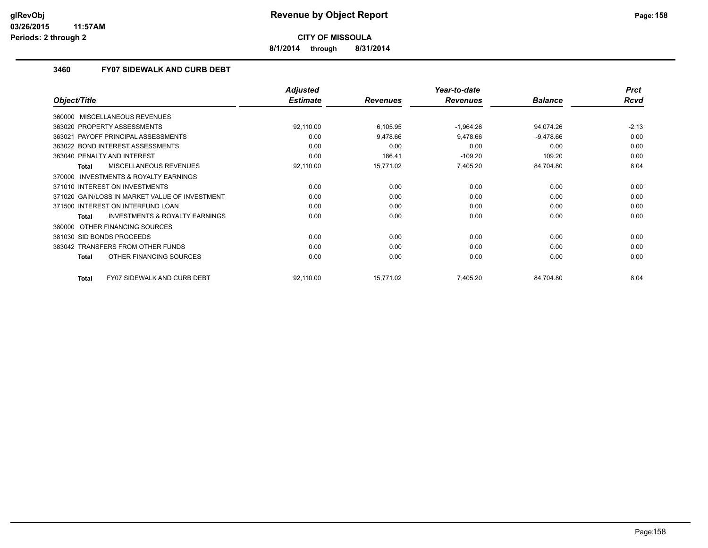**8/1/2014 through 8/31/2014**

### **3460 FY07 SIDEWALK AND CURB DEBT**

|                                                    | <b>Adjusted</b> |                 | Year-to-date    |                | <b>Prct</b> |
|----------------------------------------------------|-----------------|-----------------|-----------------|----------------|-------------|
| Object/Title                                       | <b>Estimate</b> | <b>Revenues</b> | <b>Revenues</b> | <b>Balance</b> | <b>Rcvd</b> |
| 360000 MISCELLANEOUS REVENUES                      |                 |                 |                 |                |             |
| 363020 PROPERTY ASSESSMENTS                        | 92,110.00       | 6,105.95        | $-1,964.26$     | 94,074.26      | $-2.13$     |
| PAYOFF PRINCIPAL ASSESSMENTS<br>363021             | 0.00            | 9,478.66        | 9,478.66        | $-9,478.66$    | 0.00        |
| 363022 BOND INTEREST ASSESSMENTS                   | 0.00            | 0.00            | 0.00            | 0.00           | 0.00        |
| 363040 PENALTY AND INTEREST                        | 0.00            | 186.41          | $-109.20$       | 109.20         | 0.00        |
| MISCELLANEOUS REVENUES<br>Total                    | 92,110.00       | 15,771.02       | 7,405.20        | 84,704.80      | 8.04        |
| INVESTMENTS & ROYALTY EARNINGS<br>370000           |                 |                 |                 |                |             |
| 371010 INTEREST ON INVESTMENTS                     | 0.00            | 0.00            | 0.00            | 0.00           | 0.00        |
| 371020 GAIN/LOSS IN MARKET VALUE OF INVESTMENT     | 0.00            | 0.00            | 0.00            | 0.00           | 0.00        |
| 371500 INTEREST ON INTERFUND LOAN                  | 0.00            | 0.00            | 0.00            | 0.00           | 0.00        |
| <b>INVESTMENTS &amp; ROYALTY EARNINGS</b><br>Total | 0.00            | 0.00            | 0.00            | 0.00           | 0.00        |
| OTHER FINANCING SOURCES<br>380000                  |                 |                 |                 |                |             |
| 381030 SID BONDS PROCEEDS                          | 0.00            | 0.00            | 0.00            | 0.00           | 0.00        |
| 383042 TRANSFERS FROM OTHER FUNDS                  | 0.00            | 0.00            | 0.00            | 0.00           | 0.00        |
| OTHER FINANCING SOURCES<br><b>Total</b>            | 0.00            | 0.00            | 0.00            | 0.00           | 0.00        |
| <b>FY07 SIDEWALK AND CURB DEBT</b><br><b>Total</b> | 92,110.00       | 15,771.02       | 7,405.20        | 84,704.80      | 8.04        |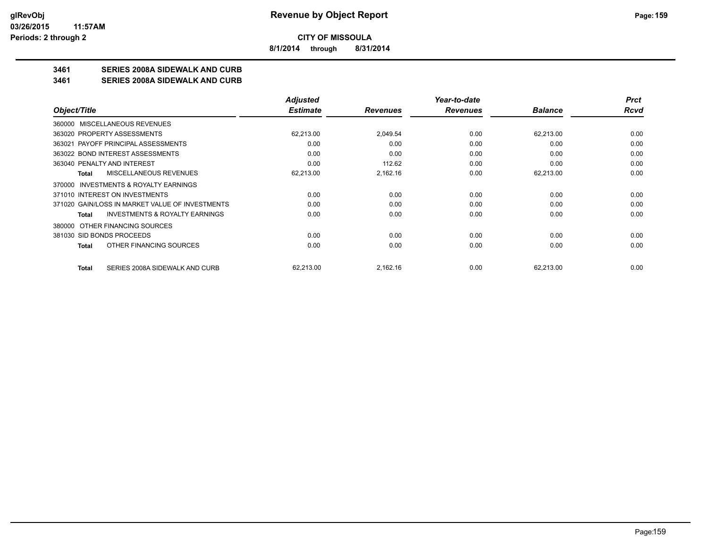**8/1/2014 through 8/31/2014**

## **3461 SERIES 2008A SIDEWALK AND CURB**

#### **3461 SERIES 2008A SIDEWALK AND CURB**

|                                                    | <b>Adjusted</b> |                 | Year-to-date    |                | <b>Prct</b> |
|----------------------------------------------------|-----------------|-----------------|-----------------|----------------|-------------|
| Object/Title                                       | <b>Estimate</b> | <b>Revenues</b> | <b>Revenues</b> | <b>Balance</b> | Rcvd        |
| 360000 MISCELLANEOUS REVENUES                      |                 |                 |                 |                |             |
| 363020 PROPERTY ASSESSMENTS                        | 62,213.00       | 2,049.54        | 0.00            | 62,213.00      | 0.00        |
| 363021 PAYOFF PRINCIPAL ASSESSMENTS                | 0.00            | 0.00            | 0.00            | 0.00           | 0.00        |
| 363022 BOND INTEREST ASSESSMENTS                   | 0.00            | 0.00            | 0.00            | 0.00           | 0.00        |
| 363040 PENALTY AND INTEREST                        | 0.00            | 112.62          | 0.00            | 0.00           | 0.00        |
| MISCELLANEOUS REVENUES<br>Total                    | 62,213.00       | 2,162.16        | 0.00            | 62,213.00      | 0.00        |
| INVESTMENTS & ROYALTY EARNINGS<br>370000           |                 |                 |                 |                |             |
| 371010 INTEREST ON INVESTMENTS                     | 0.00            | 0.00            | 0.00            | 0.00           | 0.00        |
| 371020 GAIN/LOSS IN MARKET VALUE OF INVESTMENTS    | 0.00            | 0.00            | 0.00            | 0.00           | 0.00        |
| <b>INVESTMENTS &amp; ROYALTY EARNINGS</b><br>Total | 0.00            | 0.00            | 0.00            | 0.00           | 0.00        |
| OTHER FINANCING SOURCES<br>380000                  |                 |                 |                 |                |             |
| 381030 SID BONDS PROCEEDS                          | 0.00            | 0.00            | 0.00            | 0.00           | 0.00        |
| OTHER FINANCING SOURCES<br>Total                   | 0.00            | 0.00            | 0.00            | 0.00           | 0.00        |
| SERIES 2008A SIDEWALK AND CURB<br><b>Total</b>     | 62,213.00       | 2,162.16        | 0.00            | 62,213.00      | 0.00        |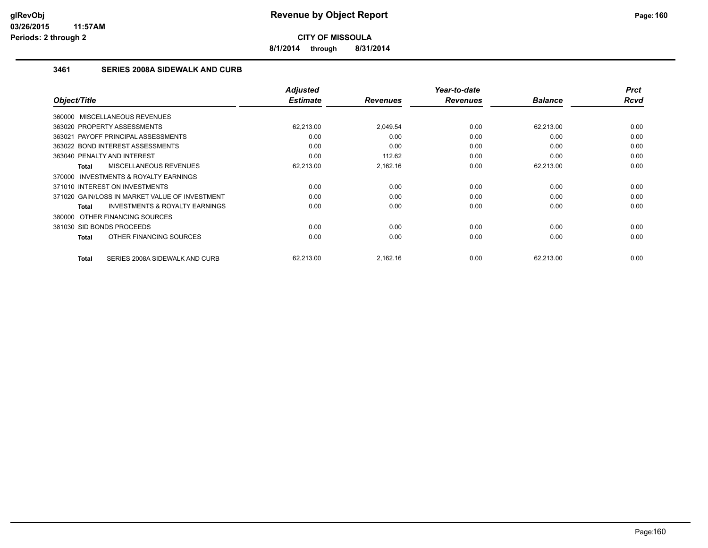**8/1/2014 through 8/31/2014**

## **3461 SERIES 2008A SIDEWALK AND CURB**

| Object/Title                                              | <b>Adjusted</b><br><b>Estimate</b> | <b>Revenues</b> | Year-to-date<br><b>Revenues</b> | <b>Balance</b> | <b>Prct</b><br>Rcvd |
|-----------------------------------------------------------|------------------------------------|-----------------|---------------------------------|----------------|---------------------|
| 360000 MISCELLANEOUS REVENUES                             |                                    |                 |                                 |                |                     |
| 363020 PROPERTY ASSESSMENTS                               | 62.213.00                          | 2.049.54        | 0.00                            | 62,213.00      | 0.00                |
| 363021 PAYOFF PRINCIPAL ASSESSMENTS                       | 0.00                               | 0.00            | 0.00                            | 0.00           | 0.00                |
| 363022 BOND INTEREST ASSESSMENTS                          | 0.00                               | 0.00            | 0.00                            | 0.00           | 0.00                |
| 363040 PENALTY AND INTEREST                               | 0.00                               | 112.62          | 0.00                            | 0.00           | 0.00                |
| <b>MISCELLANEOUS REVENUES</b><br><b>Total</b>             | 62,213.00                          | 2,162.16        | 0.00                            | 62,213.00      | 0.00                |
| <b>INVESTMENTS &amp; ROYALTY EARNINGS</b><br>370000       |                                    |                 |                                 |                |                     |
| 371010 INTEREST ON INVESTMENTS                            | 0.00                               | 0.00            | 0.00                            | 0.00           | 0.00                |
| 371020 GAIN/LOSS IN MARKET VALUE OF INVESTMENT            | 0.00                               | 0.00            | 0.00                            | 0.00           | 0.00                |
| <b>INVESTMENTS &amp; ROYALTY EARNINGS</b><br><b>Total</b> | 0.00                               | 0.00            | 0.00                            | 0.00           | 0.00                |
| 380000 OTHER FINANCING SOURCES                            |                                    |                 |                                 |                |                     |
| 381030 SID BONDS PROCEEDS                                 | 0.00                               | 0.00            | 0.00                            | 0.00           | 0.00                |
| OTHER FINANCING SOURCES<br><b>Total</b>                   | 0.00                               | 0.00            | 0.00                            | 0.00           | 0.00                |
|                                                           |                                    |                 |                                 |                |                     |
| SERIES 2008A SIDEWALK AND CURB<br><b>Total</b>            | 62,213.00                          | 2,162.16        | 0.00                            | 62,213.00      | 0.00                |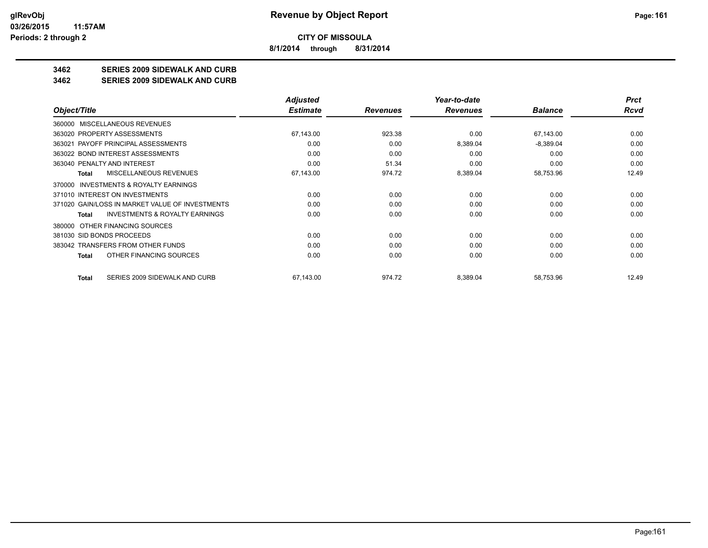**8/1/2014 through 8/31/2014**

## **3462 SERIES 2009 SIDEWALK AND CURB**

#### **3462 SERIES 2009 SIDEWALK AND CURB**

|                                                    | Adjusted        |                 | Year-to-date    |                | <b>Prct</b> |
|----------------------------------------------------|-----------------|-----------------|-----------------|----------------|-------------|
| Object/Title                                       | <b>Estimate</b> | <b>Revenues</b> | <b>Revenues</b> | <b>Balance</b> | Rcvd        |
| <b>MISCELLANEOUS REVENUES</b><br>360000            |                 |                 |                 |                |             |
| 363020 PROPERTY ASSESSMENTS                        | 67,143.00       | 923.38          | 0.00            | 67,143.00      | 0.00        |
| 363021 PAYOFF PRINCIPAL ASSESSMENTS                | 0.00            | 0.00            | 8,389.04        | $-8,389.04$    | 0.00        |
| 363022 BOND INTEREST ASSESSMENTS                   | 0.00            | 0.00            | 0.00            | 0.00           | 0.00        |
| 363040 PENALTY AND INTEREST                        | 0.00            | 51.34           | 0.00            | 0.00           | 0.00        |
| MISCELLANEOUS REVENUES<br><b>Total</b>             | 67,143.00       | 974.72          | 8,389.04        | 58,753.96      | 12.49       |
| INVESTMENTS & ROYALTY EARNINGS<br>370000           |                 |                 |                 |                |             |
| 371010 INTEREST ON INVESTMENTS                     | 0.00            | 0.00            | 0.00            | 0.00           | 0.00        |
| 371020 GAIN/LOSS IN MARKET VALUE OF INVESTMENTS    | 0.00            | 0.00            | 0.00            | 0.00           | 0.00        |
| <b>INVESTMENTS &amp; ROYALTY EARNINGS</b><br>Total | 0.00            | 0.00            | 0.00            | 0.00           | 0.00        |
| OTHER FINANCING SOURCES<br>380000                  |                 |                 |                 |                |             |
| 381030 SID BONDS PROCEEDS                          | 0.00            | 0.00            | 0.00            | 0.00           | 0.00        |
| 383042 TRANSFERS FROM OTHER FUNDS                  | 0.00            | 0.00            | 0.00            | 0.00           | 0.00        |
| OTHER FINANCING SOURCES<br><b>Total</b>            | 0.00            | 0.00            | 0.00            | 0.00           | 0.00        |
| SERIES 2009 SIDEWALK AND CURB<br>Total             | 67,143.00       | 974.72          | 8,389.04        | 58,753.96      | 12.49       |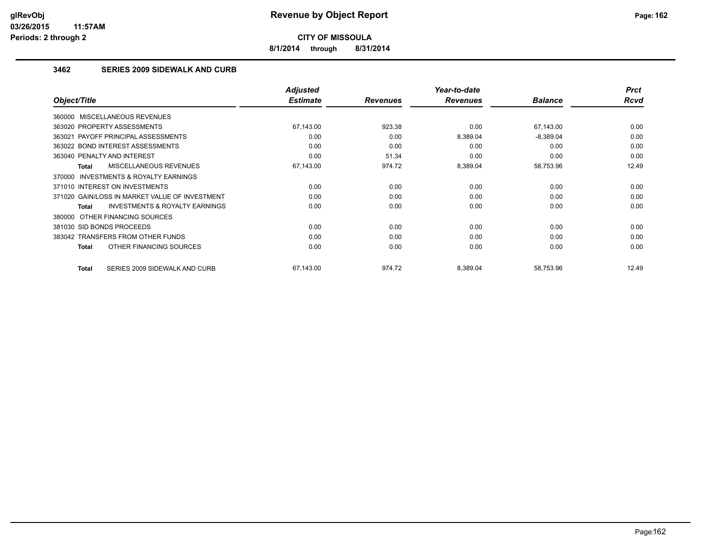**8/1/2014 through 8/31/2014**

## **3462 SERIES 2009 SIDEWALK AND CURB**

|                                                     | <b>Adjusted</b> |                 | Year-to-date    |                | <b>Prct</b> |
|-----------------------------------------------------|-----------------|-----------------|-----------------|----------------|-------------|
| Object/Title                                        | <b>Estimate</b> | <b>Revenues</b> | <b>Revenues</b> | <b>Balance</b> | <b>Rcvd</b> |
| 360000 MISCELLANEOUS REVENUES                       |                 |                 |                 |                |             |
| 363020 PROPERTY ASSESSMENTS                         | 67,143.00       | 923.38          | 0.00            | 67,143.00      | 0.00        |
| 363021 PAYOFF PRINCIPAL ASSESSMENTS                 | 0.00            | 0.00            | 8,389.04        | $-8,389.04$    | 0.00        |
| 363022 BOND INTEREST ASSESSMENTS                    | 0.00            | 0.00            | 0.00            | 0.00           | 0.00        |
| 363040 PENALTY AND INTEREST                         | 0.00            | 51.34           | 0.00            | 0.00           | 0.00        |
| <b>MISCELLANEOUS REVENUES</b><br><b>Total</b>       | 67,143.00       | 974.72          | 8,389.04        | 58,753.96      | 12.49       |
| <b>INVESTMENTS &amp; ROYALTY EARNINGS</b><br>370000 |                 |                 |                 |                |             |
| 371010 INTEREST ON INVESTMENTS                      | 0.00            | 0.00            | 0.00            | 0.00           | 0.00        |
| 371020 GAIN/LOSS IN MARKET VALUE OF INVESTMENT      | 0.00            | 0.00            | 0.00            | 0.00           | 0.00        |
| <b>INVESTMENTS &amp; ROYALTY EARNINGS</b><br>Total  | 0.00            | 0.00            | 0.00            | 0.00           | 0.00        |
| OTHER FINANCING SOURCES<br>380000                   |                 |                 |                 |                |             |
| 381030 SID BONDS PROCEEDS                           | 0.00            | 0.00            | 0.00            | 0.00           | 0.00        |
| 383042 TRANSFERS FROM OTHER FUNDS                   | 0.00            | 0.00            | 0.00            | 0.00           | 0.00        |
| OTHER FINANCING SOURCES<br><b>Total</b>             | 0.00            | 0.00            | 0.00            | 0.00           | 0.00        |
| SERIES 2009 SIDEWALK AND CURB<br><b>Total</b>       | 67,143.00       | 974.72          | 8,389.04        | 58,753.96      | 12.49       |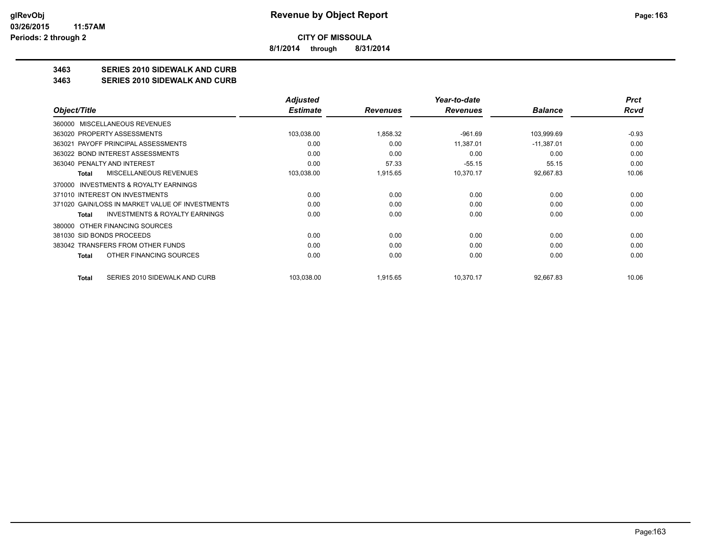**8/1/2014 through 8/31/2014**

## **3463 SERIES 2010 SIDEWALK AND CURB**

#### **3463 SERIES 2010 SIDEWALK AND CURB**

|                                                     | <b>Adjusted</b> |                 | Year-to-date    |                | <b>Prct</b> |
|-----------------------------------------------------|-----------------|-----------------|-----------------|----------------|-------------|
| Object/Title                                        | <b>Estimate</b> | <b>Revenues</b> | <b>Revenues</b> | <b>Balance</b> | Rcvd        |
| <b>MISCELLANEOUS REVENUES</b><br>360000             |                 |                 |                 |                |             |
| 363020 PROPERTY ASSESSMENTS                         | 103,038.00      | 1,858.32        | $-961.69$       | 103,999.69     | $-0.93$     |
| PAYOFF PRINCIPAL ASSESSMENTS<br>363021              | 0.00            | 0.00            | 11,387.01       | $-11,387.01$   | 0.00        |
| 363022 BOND INTEREST ASSESSMENTS                    | 0.00            | 0.00            | 0.00            | 0.00           | 0.00        |
| 363040 PENALTY AND INTEREST                         | 0.00            | 57.33           | $-55.15$        | 55.15          | 0.00        |
| MISCELLANEOUS REVENUES<br>Total                     | 103,038.00      | 1,915.65        | 10,370.17       | 92,667.83      | 10.06       |
| <b>INVESTMENTS &amp; ROYALTY EARNINGS</b><br>370000 |                 |                 |                 |                |             |
| 371010 INTEREST ON INVESTMENTS                      | 0.00            | 0.00            | 0.00            | 0.00           | 0.00        |
| 371020 GAIN/LOSS IN MARKET VALUE OF INVESTMENTS     | 0.00            | 0.00            | 0.00            | 0.00           | 0.00        |
| <b>INVESTMENTS &amp; ROYALTY EARNINGS</b><br>Total  | 0.00            | 0.00            | 0.00            | 0.00           | 0.00        |
| 380000 OTHER FINANCING SOURCES                      |                 |                 |                 |                |             |
| 381030 SID BONDS PROCEEDS                           | 0.00            | 0.00            | 0.00            | 0.00           | 0.00        |
| 383042 TRANSFERS FROM OTHER FUNDS                   | 0.00            | 0.00            | 0.00            | 0.00           | 0.00        |
| OTHER FINANCING SOURCES<br>Total                    | 0.00            | 0.00            | 0.00            | 0.00           | 0.00        |
| SERIES 2010 SIDEWALK AND CURB<br>Total              | 103,038.00      | 1,915.65        | 10,370.17       | 92,667.83      | 10.06       |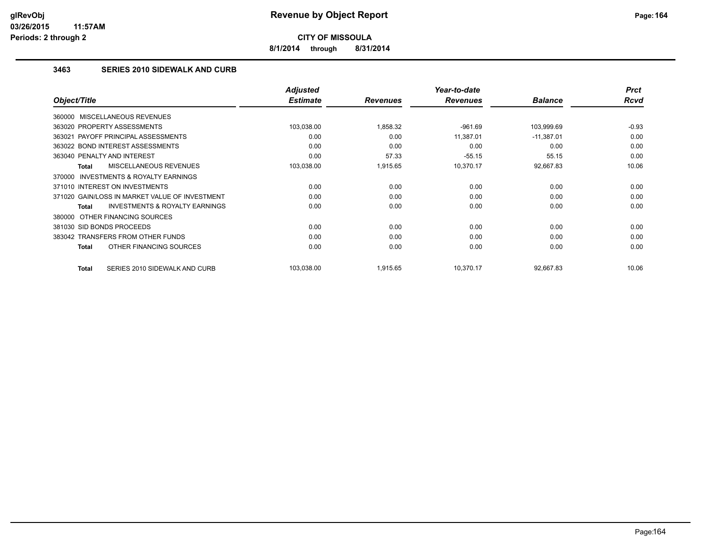**8/1/2014 through 8/31/2014**

## **3463 SERIES 2010 SIDEWALK AND CURB**

|                                                           | <b>Adjusted</b> |                 | Year-to-date    |                | <b>Prct</b> |
|-----------------------------------------------------------|-----------------|-----------------|-----------------|----------------|-------------|
| Object/Title                                              | <b>Estimate</b> | <b>Revenues</b> | <b>Revenues</b> | <b>Balance</b> | Rcvd        |
| 360000 MISCELLANEOUS REVENUES                             |                 |                 |                 |                |             |
| 363020 PROPERTY ASSESSMENTS                               | 103,038.00      | 1,858.32        | $-961.69$       | 103,999.69     | $-0.93$     |
| 363021 PAYOFF PRINCIPAL ASSESSMENTS                       | 0.00            | 0.00            | 11,387.01       | $-11,387.01$   | 0.00        |
| 363022 BOND INTEREST ASSESSMENTS                          | 0.00            | 0.00            | 0.00            | 0.00           | 0.00        |
| 363040 PENALTY AND INTEREST                               | 0.00            | 57.33           | $-55.15$        | 55.15          | 0.00        |
| MISCELLANEOUS REVENUES<br><b>Total</b>                    | 103,038.00      | 1,915.65        | 10,370.17       | 92,667.83      | 10.06       |
| <b>INVESTMENTS &amp; ROYALTY EARNINGS</b><br>370000       |                 |                 |                 |                |             |
| 371010 INTEREST ON INVESTMENTS                            | 0.00            | 0.00            | 0.00            | 0.00           | 0.00        |
| 371020 GAIN/LOSS IN MARKET VALUE OF INVESTMENT            | 0.00            | 0.00            | 0.00            | 0.00           | 0.00        |
| <b>INVESTMENTS &amp; ROYALTY EARNINGS</b><br><b>Total</b> | 0.00            | 0.00            | 0.00            | 0.00           | 0.00        |
| 380000 OTHER FINANCING SOURCES                            |                 |                 |                 |                |             |
| 381030 SID BONDS PROCEEDS                                 | 0.00            | 0.00            | 0.00            | 0.00           | 0.00        |
| 383042 TRANSFERS FROM OTHER FUNDS                         | 0.00            | 0.00            | 0.00            | 0.00           | 0.00        |
| OTHER FINANCING SOURCES<br><b>Total</b>                   | 0.00            | 0.00            | 0.00            | 0.00           | 0.00        |
| SERIES 2010 SIDEWALK AND CURB<br><b>Total</b>             | 103,038.00      | 1,915.65        | 10,370.17       | 92,667.83      | 10.06       |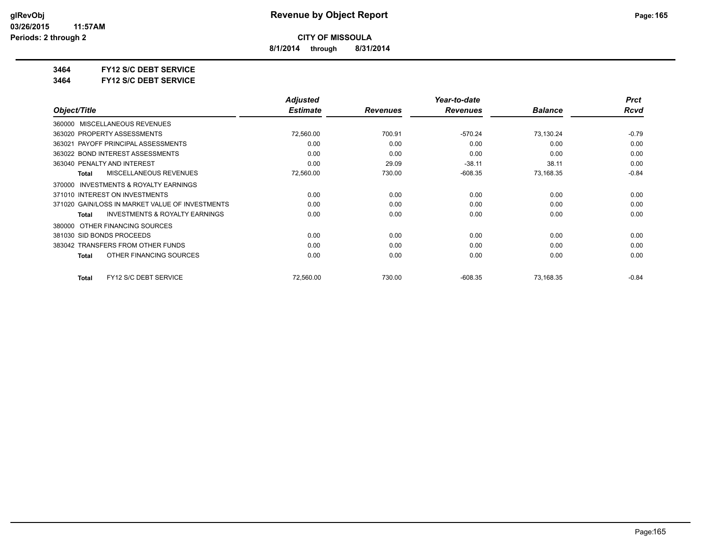**8/1/2014 through 8/31/2014**

**3464 FY12 S/C DEBT SERVICE**

**3464 FY12 S/C DEBT SERVICE**

|                                                    | <b>Adjusted</b> |                 | Year-to-date    |                | <b>Prct</b> |
|----------------------------------------------------|-----------------|-----------------|-----------------|----------------|-------------|
| Object/Title                                       | <b>Estimate</b> | <b>Revenues</b> | <b>Revenues</b> | <b>Balance</b> | Rcvd        |
| MISCELLANEOUS REVENUES<br>360000                   |                 |                 |                 |                |             |
| 363020 PROPERTY ASSESSMENTS                        | 72,560.00       | 700.91          | $-570.24$       | 73,130.24      | $-0.79$     |
| 363021 PAYOFF PRINCIPAL ASSESSMENTS                | 0.00            | 0.00            | 0.00            | 0.00           | 0.00        |
| 363022 BOND INTEREST ASSESSMENTS                   | 0.00            | 0.00            | 0.00            | 0.00           | 0.00        |
| 363040 PENALTY AND INTEREST                        | 0.00            | 29.09           | $-38.11$        | 38.11          | 0.00        |
| <b>MISCELLANEOUS REVENUES</b><br><b>Total</b>      | 72,560.00       | 730.00          | $-608.35$       | 73,168.35      | $-0.84$     |
| INVESTMENTS & ROYALTY EARNINGS<br>370000           |                 |                 |                 |                |             |
| 371010 INTEREST ON INVESTMENTS                     | 0.00            | 0.00            | 0.00            | 0.00           | 0.00        |
| 371020 GAIN/LOSS IN MARKET VALUE OF INVESTMENTS    | 0.00            | 0.00            | 0.00            | 0.00           | 0.00        |
| <b>INVESTMENTS &amp; ROYALTY EARNINGS</b><br>Total | 0.00            | 0.00            | 0.00            | 0.00           | 0.00        |
| OTHER FINANCING SOURCES<br>380000                  |                 |                 |                 |                |             |
| 381030 SID BONDS PROCEEDS                          | 0.00            | 0.00            | 0.00            | 0.00           | 0.00        |
| 383042 TRANSFERS FROM OTHER FUNDS                  | 0.00            | 0.00            | 0.00            | 0.00           | 0.00        |
| OTHER FINANCING SOURCES<br>Total                   | 0.00            | 0.00            | 0.00            | 0.00           | 0.00        |
| FY12 S/C DEBT SERVICE<br><b>Total</b>              | 72,560.00       | 730.00          | $-608.35$       | 73,168.35      | $-0.84$     |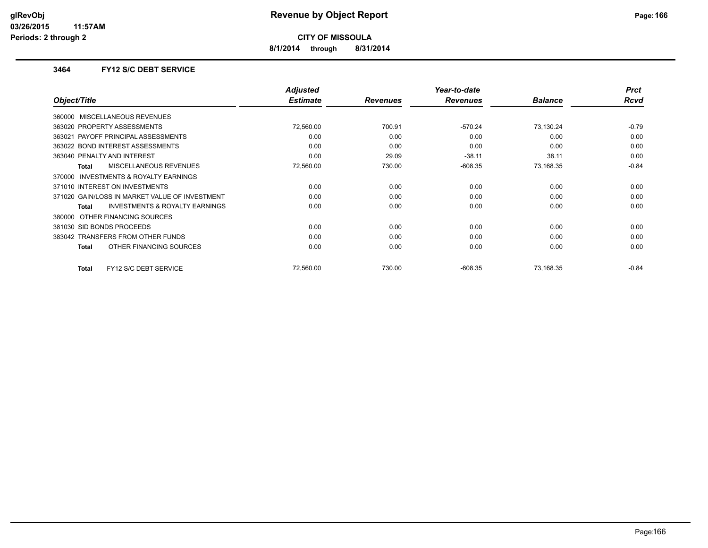**8/1/2014 through 8/31/2014**

### **3464 FY12 S/C DEBT SERVICE**

|                                                           | <b>Adjusted</b> |                 | Year-to-date    |                | <b>Prct</b> |
|-----------------------------------------------------------|-----------------|-----------------|-----------------|----------------|-------------|
| Object/Title                                              | <b>Estimate</b> | <b>Revenues</b> | <b>Revenues</b> | <b>Balance</b> | Rcvd        |
| 360000 MISCELLANEOUS REVENUES                             |                 |                 |                 |                |             |
| 363020 PROPERTY ASSESSMENTS                               | 72,560.00       | 700.91          | $-570.24$       | 73,130.24      | $-0.79$     |
| 363021 PAYOFF PRINCIPAL ASSESSMENTS                       | 0.00            | 0.00            | 0.00            | 0.00           | 0.00        |
| 363022 BOND INTEREST ASSESSMENTS                          | 0.00            | 0.00            | 0.00            | 0.00           | 0.00        |
| 363040 PENALTY AND INTEREST                               | 0.00            | 29.09           | $-38.11$        | 38.11          | 0.00        |
| MISCELLANEOUS REVENUES<br>Total                           | 72,560.00       | 730.00          | $-608.35$       | 73,168.35      | $-0.84$     |
| <b>INVESTMENTS &amp; ROYALTY EARNINGS</b><br>370000       |                 |                 |                 |                |             |
| 371010 INTEREST ON INVESTMENTS                            | 0.00            | 0.00            | 0.00            | 0.00           | 0.00        |
| 371020 GAIN/LOSS IN MARKET VALUE OF INVESTMENT            | 0.00            | 0.00            | 0.00            | 0.00           | 0.00        |
| <b>INVESTMENTS &amp; ROYALTY EARNINGS</b><br><b>Total</b> | 0.00            | 0.00            | 0.00            | 0.00           | 0.00        |
| 380000 OTHER FINANCING SOURCES                            |                 |                 |                 |                |             |
| 381030 SID BONDS PROCEEDS                                 | 0.00            | 0.00            | 0.00            | 0.00           | 0.00        |
| 383042 TRANSFERS FROM OTHER FUNDS                         | 0.00            | 0.00            | 0.00            | 0.00           | 0.00        |
| OTHER FINANCING SOURCES<br>Total                          | 0.00            | 0.00            | 0.00            | 0.00           | 0.00        |
| FY12 S/C DEBT SERVICE<br>Total                            | 72,560.00       | 730.00          | $-608.35$       | 73,168.35      | $-0.84$     |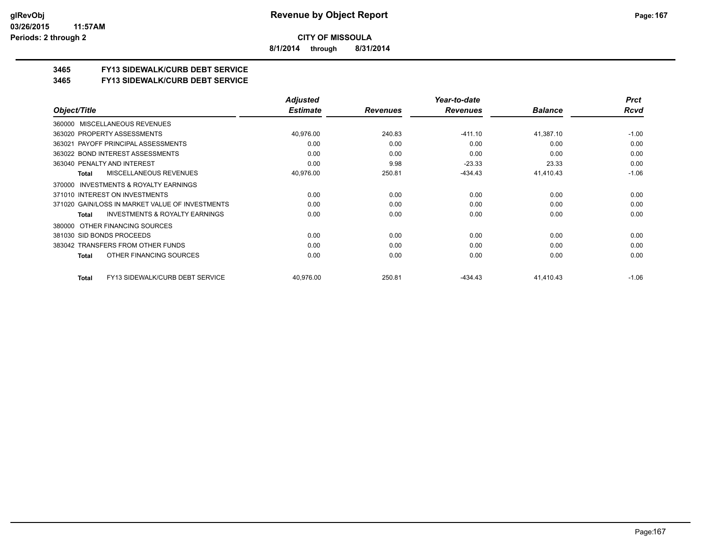**8/1/2014 through 8/31/2014**

## **3465 FY13 SIDEWALK/CURB DEBT SERVICE**

#### **3465 FY13 SIDEWALK/CURB DEBT SERVICE**

|                                                     | <b>Adjusted</b> |                 | Year-to-date    |                | <b>Prct</b> |
|-----------------------------------------------------|-----------------|-----------------|-----------------|----------------|-------------|
| Object/Title                                        | <b>Estimate</b> | <b>Revenues</b> | <b>Revenues</b> | <b>Balance</b> | Rcvd        |
| MISCELLANEOUS REVENUES<br>360000                    |                 |                 |                 |                |             |
| 363020 PROPERTY ASSESSMENTS                         | 40,976.00       | 240.83          | $-411.10$       | 41,387.10      | $-1.00$     |
| 363021 PAYOFF PRINCIPAL ASSESSMENTS                 | 0.00            | 0.00            | 0.00            | 0.00           | 0.00        |
| 363022 BOND INTEREST ASSESSMENTS                    | 0.00            | 0.00            | 0.00            | 0.00           | 0.00        |
| 363040 PENALTY AND INTEREST                         | 0.00            | 9.98            | $-23.33$        | 23.33          | 0.00        |
| MISCELLANEOUS REVENUES<br>Total                     | 40,976.00       | 250.81          | $-434.43$       | 41,410.43      | $-1.06$     |
| <b>INVESTMENTS &amp; ROYALTY EARNINGS</b><br>370000 |                 |                 |                 |                |             |
| 371010 INTEREST ON INVESTMENTS                      | 0.00            | 0.00            | 0.00            | 0.00           | 0.00        |
| 371020 GAIN/LOSS IN MARKET VALUE OF INVESTMENTS     | 0.00            | 0.00            | 0.00            | 0.00           | 0.00        |
| <b>INVESTMENTS &amp; ROYALTY EARNINGS</b><br>Total  | 0.00            | 0.00            | 0.00            | 0.00           | 0.00        |
| 380000 OTHER FINANCING SOURCES                      |                 |                 |                 |                |             |
| 381030 SID BONDS PROCEEDS                           | 0.00            | 0.00            | 0.00            | 0.00           | 0.00        |
| 383042 TRANSFERS FROM OTHER FUNDS                   | 0.00            | 0.00            | 0.00            | 0.00           | 0.00        |
| OTHER FINANCING SOURCES<br>Total                    | 0.00            | 0.00            | 0.00            | 0.00           | 0.00        |
| FY13 SIDEWALK/CURB DEBT SERVICE<br><b>Total</b>     | 40,976.00       | 250.81          | -434.43         | 41,410.43      | $-1.06$     |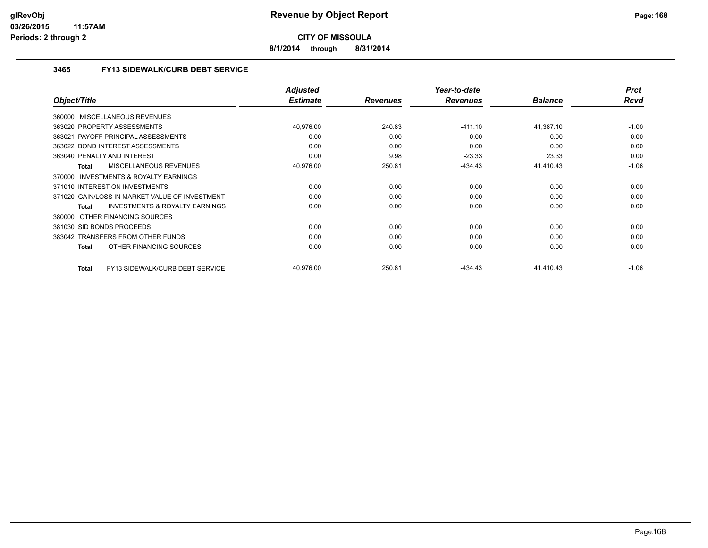**8/1/2014 through 8/31/2014**

## **3465 FY13 SIDEWALK/CURB DEBT SERVICE**

|                                                           | <b>Adjusted</b> |                 | Year-to-date    |                | <b>Prct</b> |
|-----------------------------------------------------------|-----------------|-----------------|-----------------|----------------|-------------|
| Object/Title                                              | <b>Estimate</b> | <b>Revenues</b> | <b>Revenues</b> | <b>Balance</b> | Rcvd        |
| 360000 MISCELLANEOUS REVENUES                             |                 |                 |                 |                |             |
| 363020 PROPERTY ASSESSMENTS                               | 40,976.00       | 240.83          | $-411.10$       | 41,387.10      | $-1.00$     |
| PAYOFF PRINCIPAL ASSESSMENTS<br>363021                    | 0.00            | 0.00            | 0.00            | 0.00           | 0.00        |
| 363022 BOND INTEREST ASSESSMENTS                          | 0.00            | 0.00            | 0.00            | 0.00           | 0.00        |
| 363040 PENALTY AND INTEREST                               | 0.00            | 9.98            | $-23.33$        | 23.33          | 0.00        |
| <b>MISCELLANEOUS REVENUES</b><br><b>Total</b>             | 40,976.00       | 250.81          | $-434.43$       | 41,410.43      | $-1.06$     |
| 370000 INVESTMENTS & ROYALTY EARNINGS                     |                 |                 |                 |                |             |
| 371010 INTEREST ON INVESTMENTS                            | 0.00            | 0.00            | 0.00            | 0.00           | 0.00        |
| 371020 GAIN/LOSS IN MARKET VALUE OF INVESTMENT            | 0.00            | 0.00            | 0.00            | 0.00           | 0.00        |
| <b>INVESTMENTS &amp; ROYALTY EARNINGS</b><br><b>Total</b> | 0.00            | 0.00            | 0.00            | 0.00           | 0.00        |
| OTHER FINANCING SOURCES<br>380000                         |                 |                 |                 |                |             |
| 381030 SID BONDS PROCEEDS                                 | 0.00            | 0.00            | 0.00            | 0.00           | 0.00        |
| 383042 TRANSFERS FROM OTHER FUNDS                         | 0.00            | 0.00            | 0.00            | 0.00           | 0.00        |
| OTHER FINANCING SOURCES<br><b>Total</b>                   | 0.00            | 0.00            | 0.00            | 0.00           | 0.00        |
| FY13 SIDEWALK/CURB DEBT SERVICE<br><b>Total</b>           | 40,976.00       | 250.81          | $-434.43$       | 41,410.43      | $-1.06$     |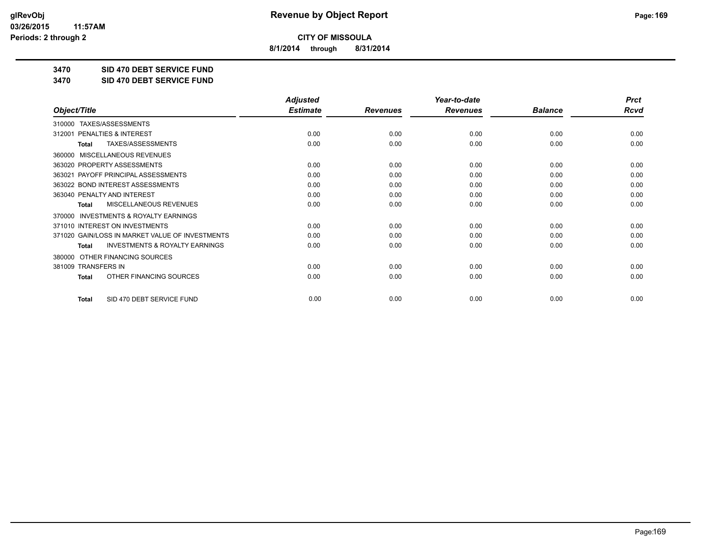**8/1/2014 through 8/31/2014**

**3470 SID 470 DEBT SERVICE FUND**

**3470 SID 470 DEBT SERVICE FUND**

|                                                           | <b>Adjusted</b> |                 | Year-to-date    |                | <b>Prct</b> |
|-----------------------------------------------------------|-----------------|-----------------|-----------------|----------------|-------------|
| Object/Title                                              | <b>Estimate</b> | <b>Revenues</b> | <b>Revenues</b> | <b>Balance</b> | <b>Rcvd</b> |
| TAXES/ASSESSMENTS<br>310000                               |                 |                 |                 |                |             |
| PENALTIES & INTEREST<br>312001                            | 0.00            | 0.00            | 0.00            | 0.00           | 0.00        |
| TAXES/ASSESSMENTS<br><b>Total</b>                         | 0.00            | 0.00            | 0.00            | 0.00           | 0.00        |
| MISCELLANEOUS REVENUES<br>360000                          |                 |                 |                 |                |             |
| 363020 PROPERTY ASSESSMENTS                               | 0.00            | 0.00            | 0.00            | 0.00           | 0.00        |
| 363021 PAYOFF PRINCIPAL ASSESSMENTS                       | 0.00            | 0.00            | 0.00            | 0.00           | 0.00        |
| 363022 BOND INTEREST ASSESSMENTS                          | 0.00            | 0.00            | 0.00            | 0.00           | 0.00        |
| 363040 PENALTY AND INTEREST                               | 0.00            | 0.00            | 0.00            | 0.00           | 0.00        |
| MISCELLANEOUS REVENUES<br><b>Total</b>                    | 0.00            | 0.00            | 0.00            | 0.00           | 0.00        |
| <b>INVESTMENTS &amp; ROYALTY EARNINGS</b><br>370000       |                 |                 |                 |                |             |
| 371010 INTEREST ON INVESTMENTS                            | 0.00            | 0.00            | 0.00            | 0.00           | 0.00        |
| 371020 GAIN/LOSS IN MARKET VALUE OF INVESTMENTS           | 0.00            | 0.00            | 0.00            | 0.00           | 0.00        |
| <b>INVESTMENTS &amp; ROYALTY EARNINGS</b><br><b>Total</b> | 0.00            | 0.00            | 0.00            | 0.00           | 0.00        |
| OTHER FINANCING SOURCES<br>380000                         |                 |                 |                 |                |             |
| 381009 TRANSFERS IN                                       | 0.00            | 0.00            | 0.00            | 0.00           | 0.00        |
| OTHER FINANCING SOURCES<br><b>Total</b>                   | 0.00            | 0.00            | 0.00            | 0.00           | 0.00        |
| SID 470 DEBT SERVICE FUND<br><b>Total</b>                 | 0.00            | 0.00            | 0.00            | 0.00           | 0.00        |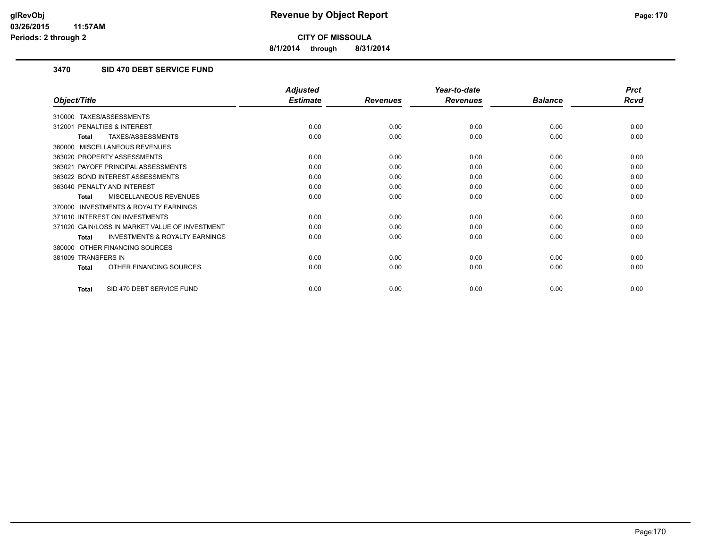**8/1/2014 through 8/31/2014**

## **3470 SID 470 DEBT SERVICE FUND**

|                                                           | <b>Adjusted</b> |                 | Year-to-date    |                | <b>Prct</b> |
|-----------------------------------------------------------|-----------------|-----------------|-----------------|----------------|-------------|
| Object/Title                                              | <b>Estimate</b> | <b>Revenues</b> | <b>Revenues</b> | <b>Balance</b> | <b>Rcvd</b> |
| TAXES/ASSESSMENTS<br>310000                               |                 |                 |                 |                |             |
| <b>PENALTIES &amp; INTEREST</b><br>312001                 | 0.00            | 0.00            | 0.00            | 0.00           | 0.00        |
| TAXES/ASSESSMENTS<br><b>Total</b>                         | 0.00            | 0.00            | 0.00            | 0.00           | 0.00        |
| MISCELLANEOUS REVENUES<br>360000                          |                 |                 |                 |                |             |
| 363020 PROPERTY ASSESSMENTS                               | 0.00            | 0.00            | 0.00            | 0.00           | 0.00        |
| 363021 PAYOFF PRINCIPAL ASSESSMENTS                       | 0.00            | 0.00            | 0.00            | 0.00           | 0.00        |
| 363022 BOND INTEREST ASSESSMENTS                          | 0.00            | 0.00            | 0.00            | 0.00           | 0.00        |
| 363040 PENALTY AND INTEREST                               | 0.00            | 0.00            | 0.00            | 0.00           | 0.00        |
| <b>MISCELLANEOUS REVENUES</b><br><b>Total</b>             | 0.00            | 0.00            | 0.00            | 0.00           | 0.00        |
| <b>INVESTMENTS &amp; ROYALTY EARNINGS</b><br>370000       |                 |                 |                 |                |             |
| 371010 INTEREST ON INVESTMENTS                            | 0.00            | 0.00            | 0.00            | 0.00           | 0.00        |
| 371020 GAIN/LOSS IN MARKET VALUE OF INVESTMENT            | 0.00            | 0.00            | 0.00            | 0.00           | 0.00        |
| <b>INVESTMENTS &amp; ROYALTY EARNINGS</b><br><b>Total</b> | 0.00            | 0.00            | 0.00            | 0.00           | 0.00        |
| OTHER FINANCING SOURCES<br>380000                         |                 |                 |                 |                |             |
| 381009 TRANSFERS IN                                       | 0.00            | 0.00            | 0.00            | 0.00           | 0.00        |
| OTHER FINANCING SOURCES<br><b>Total</b>                   | 0.00            | 0.00            | 0.00            | 0.00           | 0.00        |
| SID 470 DEBT SERVICE FUND<br>Total                        | 0.00            | 0.00            | 0.00            | 0.00           | 0.00        |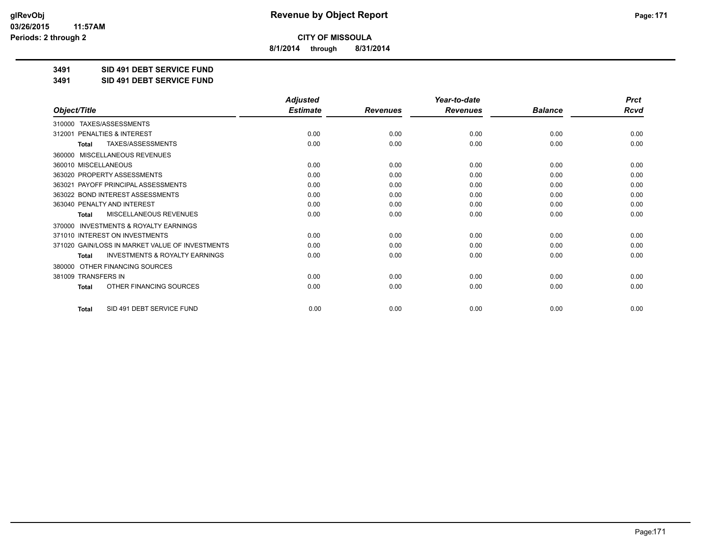**8/1/2014 through 8/31/2014**

**3491 SID 491 DEBT SERVICE FUND**

**3491 SID 491 DEBT SERVICE FUND**

|                                                     | <b>Adjusted</b> |                 | Year-to-date    |                | <b>Prct</b> |
|-----------------------------------------------------|-----------------|-----------------|-----------------|----------------|-------------|
| Object/Title                                        | <b>Estimate</b> | <b>Revenues</b> | <b>Revenues</b> | <b>Balance</b> | <b>Rcvd</b> |
| 310000 TAXES/ASSESSMENTS                            |                 |                 |                 |                |             |
| <b>PENALTIES &amp; INTEREST</b><br>312001           | 0.00            | 0.00            | 0.00            | 0.00           | 0.00        |
| TAXES/ASSESSMENTS<br><b>Total</b>                   | 0.00            | 0.00            | 0.00            | 0.00           | 0.00        |
| MISCELLANEOUS REVENUES<br>360000                    |                 |                 |                 |                |             |
| 360010 MISCELLANEOUS                                | 0.00            | 0.00            | 0.00            | 0.00           | 0.00        |
| 363020 PROPERTY ASSESSMENTS                         | 0.00            | 0.00            | 0.00            | 0.00           | 0.00        |
| 363021 PAYOFF PRINCIPAL ASSESSMENTS                 | 0.00            | 0.00            | 0.00            | 0.00           | 0.00        |
| 363022 BOND INTEREST ASSESSMENTS                    | 0.00            | 0.00            | 0.00            | 0.00           | 0.00        |
| 363040 PENALTY AND INTEREST                         | 0.00            | 0.00            | 0.00            | 0.00           | 0.00        |
| MISCELLANEOUS REVENUES<br><b>Total</b>              | 0.00            | 0.00            | 0.00            | 0.00           | 0.00        |
| <b>INVESTMENTS &amp; ROYALTY EARNINGS</b><br>370000 |                 |                 |                 |                |             |
| 371010 INTEREST ON INVESTMENTS                      | 0.00            | 0.00            | 0.00            | 0.00           | 0.00        |
| 371020 GAIN/LOSS IN MARKET VALUE OF INVESTMENTS     | 0.00            | 0.00            | 0.00            | 0.00           | 0.00        |
| <b>INVESTMENTS &amp; ROYALTY EARNINGS</b><br>Total  | 0.00            | 0.00            | 0.00            | 0.00           | 0.00        |
| OTHER FINANCING SOURCES<br>380000                   |                 |                 |                 |                |             |
| 381009 TRANSFERS IN                                 | 0.00            | 0.00            | 0.00            | 0.00           | 0.00        |
| OTHER FINANCING SOURCES<br>Total                    | 0.00            | 0.00            | 0.00            | 0.00           | 0.00        |
| SID 491 DEBT SERVICE FUND<br><b>Total</b>           | 0.00            | 0.00            | 0.00            | 0.00           | 0.00        |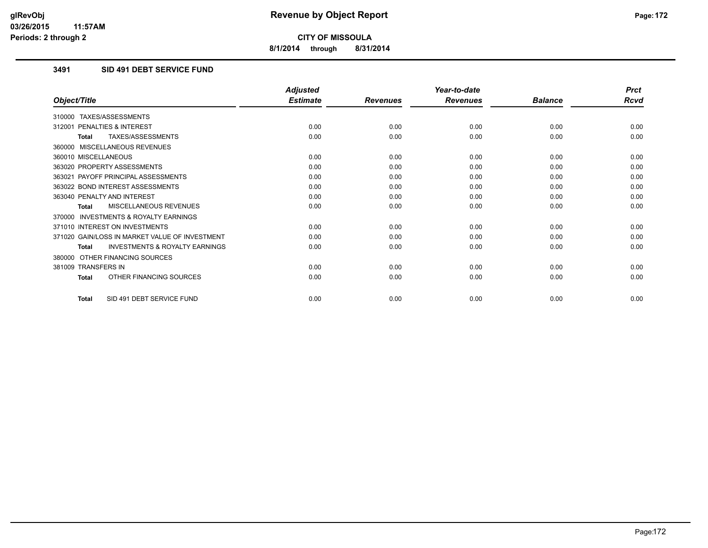**8/1/2014 through 8/31/2014**

## **3491 SID 491 DEBT SERVICE FUND**

|                                                           | <b>Adjusted</b> |                 | Year-to-date    |                | <b>Prct</b> |
|-----------------------------------------------------------|-----------------|-----------------|-----------------|----------------|-------------|
| Object/Title                                              | <b>Estimate</b> | <b>Revenues</b> | <b>Revenues</b> | <b>Balance</b> | <b>Rcvd</b> |
| 310000 TAXES/ASSESSMENTS                                  |                 |                 |                 |                |             |
| PENALTIES & INTEREST<br>312001                            | 0.00            | 0.00            | 0.00            | 0.00           | 0.00        |
| TAXES/ASSESSMENTS<br><b>Total</b>                         | 0.00            | 0.00            | 0.00            | 0.00           | 0.00        |
| 360000 MISCELLANEOUS REVENUES                             |                 |                 |                 |                |             |
| 360010 MISCELLANEOUS                                      | 0.00            | 0.00            | 0.00            | 0.00           | 0.00        |
| 363020 PROPERTY ASSESSMENTS                               | 0.00            | 0.00            | 0.00            | 0.00           | 0.00        |
| 363021 PAYOFF PRINCIPAL ASSESSMENTS                       | 0.00            | 0.00            | 0.00            | 0.00           | 0.00        |
| 363022 BOND INTEREST ASSESSMENTS                          | 0.00            | 0.00            | 0.00            | 0.00           | 0.00        |
| 363040 PENALTY AND INTEREST                               | 0.00            | 0.00            | 0.00            | 0.00           | 0.00        |
| MISCELLANEOUS REVENUES<br><b>Total</b>                    | 0.00            | 0.00            | 0.00            | 0.00           | 0.00        |
| <b>INVESTMENTS &amp; ROYALTY EARNINGS</b><br>370000       |                 |                 |                 |                |             |
| 371010 INTEREST ON INVESTMENTS                            | 0.00            | 0.00            | 0.00            | 0.00           | 0.00        |
| 371020 GAIN/LOSS IN MARKET VALUE OF INVESTMENT            | 0.00            | 0.00            | 0.00            | 0.00           | 0.00        |
| <b>INVESTMENTS &amp; ROYALTY EARNINGS</b><br><b>Total</b> | 0.00            | 0.00            | 0.00            | 0.00           | 0.00        |
| OTHER FINANCING SOURCES<br>380000                         |                 |                 |                 |                |             |
| 381009 TRANSFERS IN                                       | 0.00            | 0.00            | 0.00            | 0.00           | 0.00        |
| OTHER FINANCING SOURCES<br><b>Total</b>                   | 0.00            | 0.00            | 0.00            | 0.00           | 0.00        |
| SID 491 DEBT SERVICE FUND<br><b>Total</b>                 | 0.00            | 0.00            | 0.00            | 0.00           | 0.00        |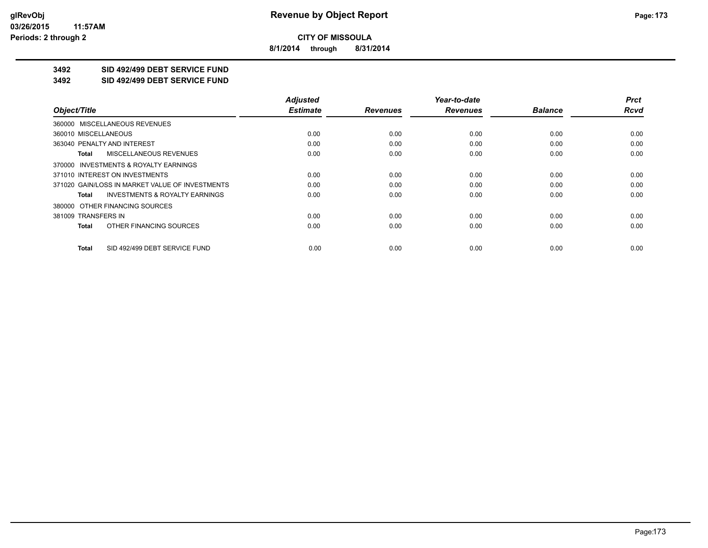**8/1/2014 through 8/31/2014**

## **3492 SID 492/499 DEBT SERVICE FUND**

**3492 SID 492/499 DEBT SERVICE FUND**

|                                                    | <b>Adjusted</b> |                 | Year-to-date    |                | <b>Prct</b> |
|----------------------------------------------------|-----------------|-----------------|-----------------|----------------|-------------|
| Object/Title                                       | <b>Estimate</b> | <b>Revenues</b> | <b>Revenues</b> | <b>Balance</b> | <b>Rcvd</b> |
| 360000 MISCELLANEOUS REVENUES                      |                 |                 |                 |                |             |
| 360010 MISCELLANEOUS                               | 0.00            | 0.00            | 0.00            | 0.00           | 0.00        |
| 363040 PENALTY AND INTEREST                        | 0.00            | 0.00            | 0.00            | 0.00           | 0.00        |
| <b>MISCELLANEOUS REVENUES</b><br>Total             | 0.00            | 0.00            | 0.00            | 0.00           | 0.00        |
| 370000 INVESTMENTS & ROYALTY EARNINGS              |                 |                 |                 |                |             |
| 371010 INTEREST ON INVESTMENTS                     | 0.00            | 0.00            | 0.00            | 0.00           | 0.00        |
| 371020 GAIN/LOSS IN MARKET VALUE OF INVESTMENTS    | 0.00            | 0.00            | 0.00            | 0.00           | 0.00        |
| <b>INVESTMENTS &amp; ROYALTY EARNINGS</b><br>Total | 0.00            | 0.00            | 0.00            | 0.00           | 0.00        |
| 380000 OTHER FINANCING SOURCES                     |                 |                 |                 |                |             |
| 381009 TRANSFERS IN                                | 0.00            | 0.00            | 0.00            | 0.00           | 0.00        |
| OTHER FINANCING SOURCES<br>Total                   | 0.00            | 0.00            | 0.00            | 0.00           | 0.00        |
| SID 492/499 DEBT SERVICE FUND<br>Total             | 0.00            | 0.00            | 0.00            | 0.00           | 0.00        |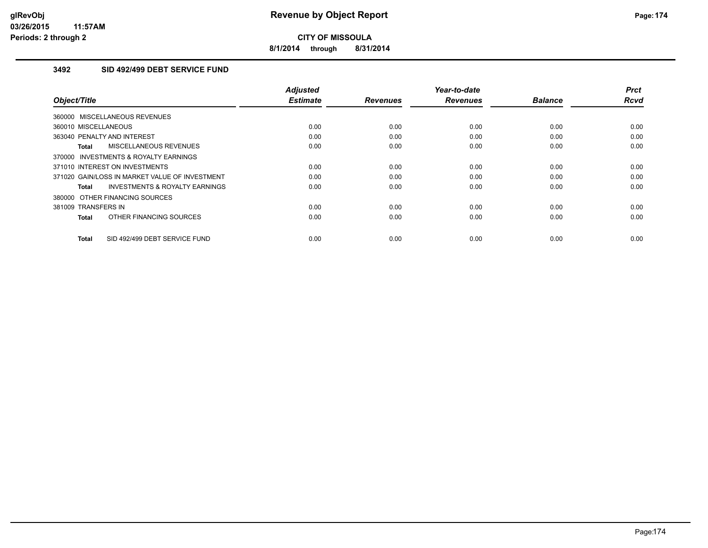**8/1/2014 through 8/31/2014**

## **3492 SID 492/499 DEBT SERVICE FUND**

| Object/Title                                   | <b>Adjusted</b><br><b>Estimate</b> | <b>Revenues</b> | Year-to-date<br><b>Revenues</b> | <b>Balance</b> | <b>Prct</b><br>Rcvd |
|------------------------------------------------|------------------------------------|-----------------|---------------------------------|----------------|---------------------|
| 360000 MISCELLANEOUS REVENUES                  |                                    |                 |                                 |                |                     |
| 360010 MISCELLANEOUS                           | 0.00                               | 0.00            | 0.00                            | 0.00           | 0.00                |
| 363040 PENALTY AND INTEREST                    | 0.00                               | 0.00            | 0.00                            | 0.00           | 0.00                |
| <b>MISCELLANEOUS REVENUES</b><br>Total         | 0.00                               | 0.00            | 0.00                            | 0.00           | 0.00                |
| 370000 INVESTMENTS & ROYALTY EARNINGS          |                                    |                 |                                 |                |                     |
| 371010 INTEREST ON INVESTMENTS                 | 0.00                               | 0.00            | 0.00                            | 0.00           | 0.00                |
| 371020 GAIN/LOSS IN MARKET VALUE OF INVESTMENT | 0.00                               | 0.00            | 0.00                            | 0.00           | 0.00                |
| INVESTMENTS & ROYALTY EARNINGS<br>Total        | 0.00                               | 0.00            | 0.00                            | 0.00           | 0.00                |
| 380000 OTHER FINANCING SOURCES                 |                                    |                 |                                 |                |                     |
| 381009 TRANSFERS IN                            | 0.00                               | 0.00            | 0.00                            | 0.00           | 0.00                |
| OTHER FINANCING SOURCES<br><b>Total</b>        | 0.00                               | 0.00            | 0.00                            | 0.00           | 0.00                |
| SID 492/499 DEBT SERVICE FUND<br><b>Total</b>  | 0.00                               | 0.00            | 0.00                            | 0.00           | 0.00                |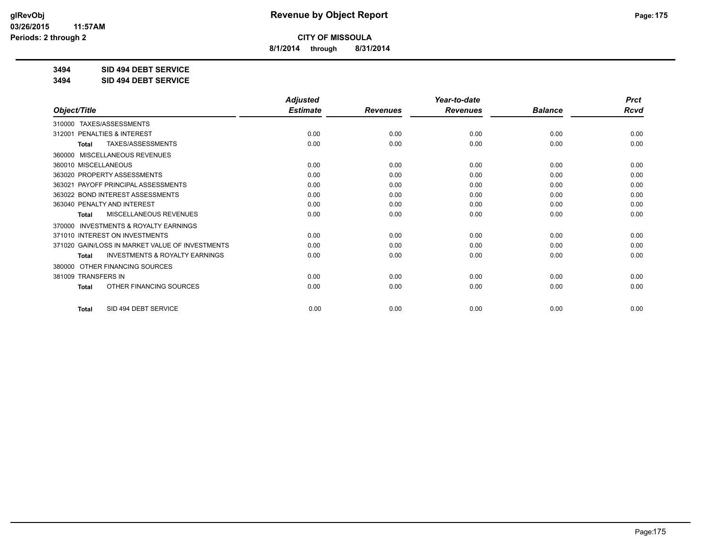**8/1/2014 through 8/31/2014**

**3494 SID 494 DEBT SERVICE**

**3494 SID 494 DEBT SERVICE**

|                                                           | <b>Adjusted</b> |                 | Year-to-date    |                | <b>Prct</b> |
|-----------------------------------------------------------|-----------------|-----------------|-----------------|----------------|-------------|
| Object/Title                                              | <b>Estimate</b> | <b>Revenues</b> | <b>Revenues</b> | <b>Balance</b> | <b>Rcvd</b> |
| 310000 TAXES/ASSESSMENTS                                  |                 |                 |                 |                |             |
| 312001 PENALTIES & INTEREST                               | 0.00            | 0.00            | 0.00            | 0.00           | 0.00        |
| TAXES/ASSESSMENTS<br><b>Total</b>                         | 0.00            | 0.00            | 0.00            | 0.00           | 0.00        |
| <b>MISCELLANEOUS REVENUES</b><br>360000                   |                 |                 |                 |                |             |
| 360010 MISCELLANEOUS                                      | 0.00            | 0.00            | 0.00            | 0.00           | 0.00        |
| 363020 PROPERTY ASSESSMENTS                               | 0.00            | 0.00            | 0.00            | 0.00           | 0.00        |
| 363021 PAYOFF PRINCIPAL ASSESSMENTS                       | 0.00            | 0.00            | 0.00            | 0.00           | 0.00        |
| 363022 BOND INTEREST ASSESSMENTS                          | 0.00            | 0.00            | 0.00            | 0.00           | 0.00        |
| 363040 PENALTY AND INTEREST                               | 0.00            | 0.00            | 0.00            | 0.00           | 0.00        |
| MISCELLANEOUS REVENUES<br>Total                           | 0.00            | 0.00            | 0.00            | 0.00           | 0.00        |
| <b>INVESTMENTS &amp; ROYALTY EARNINGS</b><br>370000       |                 |                 |                 |                |             |
| 371010 INTEREST ON INVESTMENTS                            | 0.00            | 0.00            | 0.00            | 0.00           | 0.00        |
| 371020 GAIN/LOSS IN MARKET VALUE OF INVESTMENTS           | 0.00            | 0.00            | 0.00            | 0.00           | 0.00        |
| <b>INVESTMENTS &amp; ROYALTY EARNINGS</b><br><b>Total</b> | 0.00            | 0.00            | 0.00            | 0.00           | 0.00        |
| OTHER FINANCING SOURCES<br>380000                         |                 |                 |                 |                |             |
| 381009 TRANSFERS IN                                       | 0.00            | 0.00            | 0.00            | 0.00           | 0.00        |
| OTHER FINANCING SOURCES<br><b>Total</b>                   | 0.00            | 0.00            | 0.00            | 0.00           | 0.00        |
| SID 494 DEBT SERVICE<br><b>Total</b>                      | 0.00            | 0.00            | 0.00            | 0.00           | 0.00        |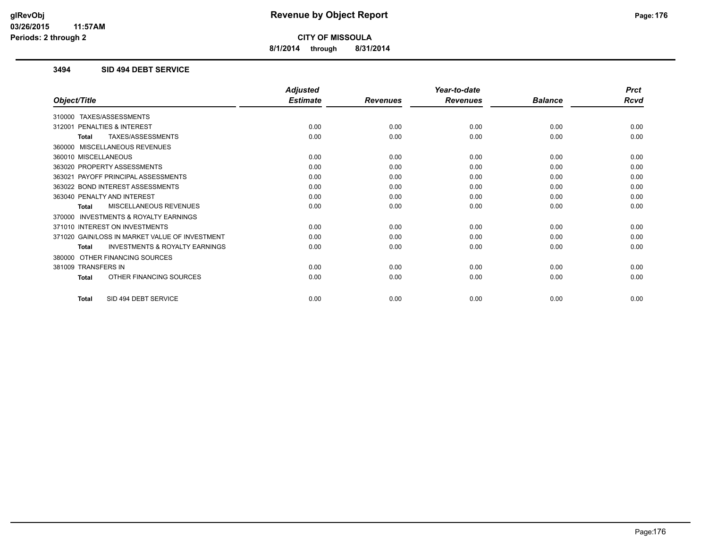**8/1/2014 through 8/31/2014**

### **3494 SID 494 DEBT SERVICE**

|                                                           | <b>Adjusted</b> |                 | Year-to-date    |                | <b>Prct</b> |
|-----------------------------------------------------------|-----------------|-----------------|-----------------|----------------|-------------|
| Object/Title                                              | <b>Estimate</b> | <b>Revenues</b> | <b>Revenues</b> | <b>Balance</b> | <b>Rcvd</b> |
| 310000 TAXES/ASSESSMENTS                                  |                 |                 |                 |                |             |
| PENALTIES & INTEREST<br>312001                            | 0.00            | 0.00            | 0.00            | 0.00           | 0.00        |
| TAXES/ASSESSMENTS<br><b>Total</b>                         | 0.00            | 0.00            | 0.00            | 0.00           | 0.00        |
| 360000 MISCELLANEOUS REVENUES                             |                 |                 |                 |                |             |
| 360010 MISCELLANEOUS                                      | 0.00            | 0.00            | 0.00            | 0.00           | 0.00        |
| 363020 PROPERTY ASSESSMENTS                               | 0.00            | 0.00            | 0.00            | 0.00           | 0.00        |
| 363021 PAYOFF PRINCIPAL ASSESSMENTS                       | 0.00            | 0.00            | 0.00            | 0.00           | 0.00        |
| 363022 BOND INTEREST ASSESSMENTS                          | 0.00            | 0.00            | 0.00            | 0.00           | 0.00        |
| 363040 PENALTY AND INTEREST                               | 0.00            | 0.00            | 0.00            | 0.00           | 0.00        |
| MISCELLANEOUS REVENUES<br><b>Total</b>                    | 0.00            | 0.00            | 0.00            | 0.00           | 0.00        |
| 370000 INVESTMENTS & ROYALTY EARNINGS                     |                 |                 |                 |                |             |
| 371010 INTEREST ON INVESTMENTS                            | 0.00            | 0.00            | 0.00            | 0.00           | 0.00        |
| 371020 GAIN/LOSS IN MARKET VALUE OF INVESTMENT            | 0.00            | 0.00            | 0.00            | 0.00           | 0.00        |
| <b>INVESTMENTS &amp; ROYALTY EARNINGS</b><br><b>Total</b> | 0.00            | 0.00            | 0.00            | 0.00           | 0.00        |
| 380000 OTHER FINANCING SOURCES                            |                 |                 |                 |                |             |
| 381009 TRANSFERS IN                                       | 0.00            | 0.00            | 0.00            | 0.00           | 0.00        |
| OTHER FINANCING SOURCES<br><b>Total</b>                   | 0.00            | 0.00            | 0.00            | 0.00           | 0.00        |
| SID 494 DEBT SERVICE<br><b>Total</b>                      | 0.00            | 0.00            | 0.00            | 0.00           | 0.00        |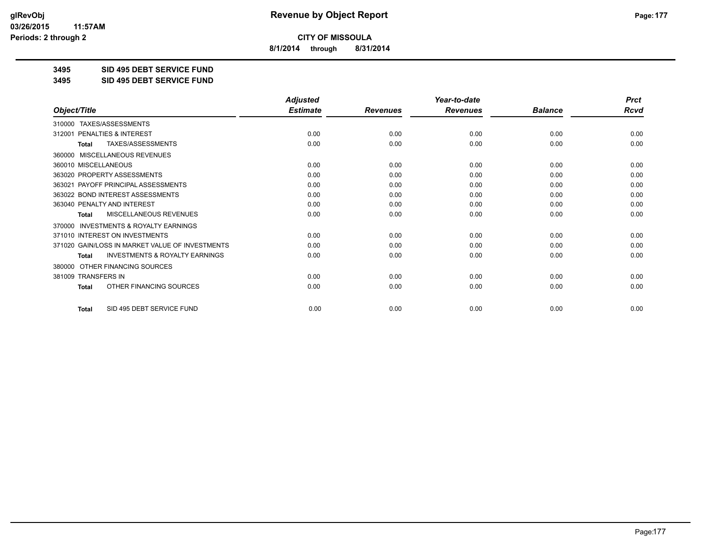**8/1/2014 through 8/31/2014**

**3495 SID 495 DEBT SERVICE FUND**

**3495 SID 495 DEBT SERVICE FUND**

|                                                           | <b>Adjusted</b> |                 | Year-to-date    |                |             |
|-----------------------------------------------------------|-----------------|-----------------|-----------------|----------------|-------------|
| Object/Title                                              | <b>Estimate</b> | <b>Revenues</b> | <b>Revenues</b> | <b>Balance</b> | <b>Rcvd</b> |
| 310000 TAXES/ASSESSMENTS                                  |                 |                 |                 |                |             |
| PENALTIES & INTEREST<br>312001                            | 0.00            | 0.00            | 0.00            | 0.00           | 0.00        |
| TAXES/ASSESSMENTS<br><b>Total</b>                         | 0.00            | 0.00            | 0.00            | 0.00           | 0.00        |
| <b>MISCELLANEOUS REVENUES</b><br>360000                   |                 |                 |                 |                |             |
| 360010 MISCELLANEOUS                                      | 0.00            | 0.00            | 0.00            | 0.00           | 0.00        |
| 363020 PROPERTY ASSESSMENTS                               | 0.00            | 0.00            | 0.00            | 0.00           | 0.00        |
| 363021 PAYOFF PRINCIPAL ASSESSMENTS                       | 0.00            | 0.00            | 0.00            | 0.00           | 0.00        |
| 363022 BOND INTEREST ASSESSMENTS                          | 0.00            | 0.00            | 0.00            | 0.00           | 0.00        |
| 363040 PENALTY AND INTEREST                               | 0.00            | 0.00            | 0.00            | 0.00           | 0.00        |
| MISCELLANEOUS REVENUES<br>Total                           | 0.00            | 0.00            | 0.00            | 0.00           | 0.00        |
| <b>INVESTMENTS &amp; ROYALTY EARNINGS</b><br>370000       |                 |                 |                 |                |             |
| 371010 INTEREST ON INVESTMENTS                            | 0.00            | 0.00            | 0.00            | 0.00           | 0.00        |
| 371020 GAIN/LOSS IN MARKET VALUE OF INVESTMENTS           | 0.00            | 0.00            | 0.00            | 0.00           | 0.00        |
| <b>INVESTMENTS &amp; ROYALTY EARNINGS</b><br><b>Total</b> | 0.00            | 0.00            | 0.00            | 0.00           | 0.00        |
| OTHER FINANCING SOURCES<br>380000                         |                 |                 |                 |                |             |
| 381009 TRANSFERS IN                                       | 0.00            | 0.00            | 0.00            | 0.00           | 0.00        |
| OTHER FINANCING SOURCES<br><b>Total</b>                   | 0.00            | 0.00            | 0.00            | 0.00           | 0.00        |
| SID 495 DEBT SERVICE FUND<br><b>Total</b>                 | 0.00            | 0.00            | 0.00            | 0.00           | 0.00        |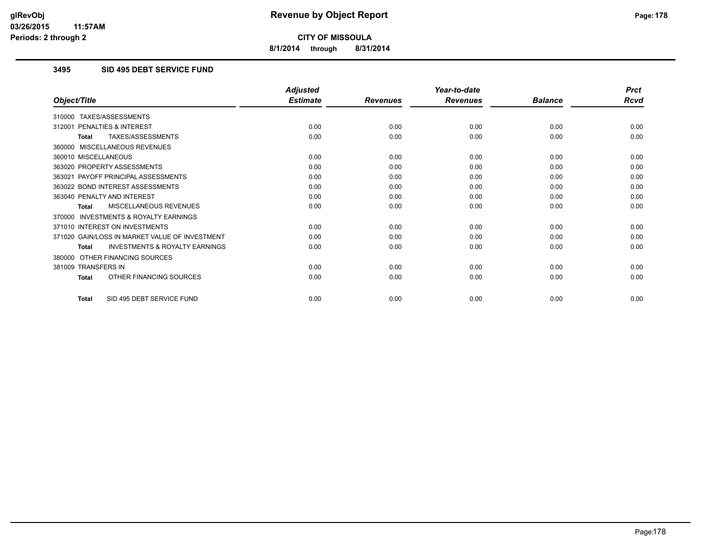**8/1/2014 through 8/31/2014**

## **3495 SID 495 DEBT SERVICE FUND**

|                                                           | <b>Adjusted</b> |                 | Year-to-date    |                | <b>Prct</b> |
|-----------------------------------------------------------|-----------------|-----------------|-----------------|----------------|-------------|
| Object/Title                                              | <b>Estimate</b> | <b>Revenues</b> | <b>Revenues</b> | <b>Balance</b> | <b>Rcvd</b> |
| 310000 TAXES/ASSESSMENTS                                  |                 |                 |                 |                |             |
| PENALTIES & INTEREST<br>312001                            | 0.00            | 0.00            | 0.00            | 0.00           | 0.00        |
| TAXES/ASSESSMENTS<br><b>Total</b>                         | 0.00            | 0.00            | 0.00            | 0.00           | 0.00        |
| 360000 MISCELLANEOUS REVENUES                             |                 |                 |                 |                |             |
| 360010 MISCELLANEOUS                                      | 0.00            | 0.00            | 0.00            | 0.00           | 0.00        |
| 363020 PROPERTY ASSESSMENTS                               | 0.00            | 0.00            | 0.00            | 0.00           | 0.00        |
| 363021 PAYOFF PRINCIPAL ASSESSMENTS                       | 0.00            | 0.00            | 0.00            | 0.00           | 0.00        |
| 363022 BOND INTEREST ASSESSMENTS                          | 0.00            | 0.00            | 0.00            | 0.00           | 0.00        |
| 363040 PENALTY AND INTEREST                               | 0.00            | 0.00            | 0.00            | 0.00           | 0.00        |
| MISCELLANEOUS REVENUES<br><b>Total</b>                    | 0.00            | 0.00            | 0.00            | 0.00           | 0.00        |
| <b>INVESTMENTS &amp; ROYALTY EARNINGS</b><br>370000       |                 |                 |                 |                |             |
| 371010 INTEREST ON INVESTMENTS                            | 0.00            | 0.00            | 0.00            | 0.00           | 0.00        |
| 371020 GAIN/LOSS IN MARKET VALUE OF INVESTMENT            | 0.00            | 0.00            | 0.00            | 0.00           | 0.00        |
| <b>INVESTMENTS &amp; ROYALTY EARNINGS</b><br><b>Total</b> | 0.00            | 0.00            | 0.00            | 0.00           | 0.00        |
| OTHER FINANCING SOURCES<br>380000                         |                 |                 |                 |                |             |
| 381009 TRANSFERS IN                                       | 0.00            | 0.00            | 0.00            | 0.00           | 0.00        |
| OTHER FINANCING SOURCES<br><b>Total</b>                   | 0.00            | 0.00            | 0.00            | 0.00           | 0.00        |
| SID 495 DEBT SERVICE FUND<br><b>Total</b>                 | 0.00            | 0.00            | 0.00            | 0.00           | 0.00        |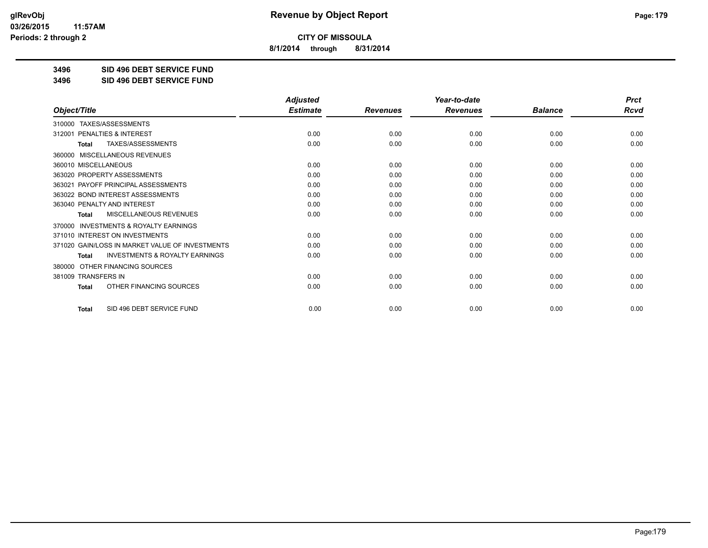**8/1/2014 through 8/31/2014**

**3496 SID 496 DEBT SERVICE FUND**

**3496 SID 496 DEBT SERVICE FUND**

|                                                           | <b>Adjusted</b> |                 | Year-to-date    |                | <b>Prct</b> |
|-----------------------------------------------------------|-----------------|-----------------|-----------------|----------------|-------------|
| Object/Title                                              | <b>Estimate</b> | <b>Revenues</b> | <b>Revenues</b> | <b>Balance</b> | <b>Rcvd</b> |
| 310000 TAXES/ASSESSMENTS                                  |                 |                 |                 |                |             |
| PENALTIES & INTEREST<br>312001                            | 0.00            | 0.00            | 0.00            | 0.00           | 0.00        |
| TAXES/ASSESSMENTS<br><b>Total</b>                         | 0.00            | 0.00            | 0.00            | 0.00           | 0.00        |
| <b>MISCELLANEOUS REVENUES</b><br>360000                   |                 |                 |                 |                |             |
| 360010 MISCELLANEOUS                                      | 0.00            | 0.00            | 0.00            | 0.00           | 0.00        |
| 363020 PROPERTY ASSESSMENTS                               | 0.00            | 0.00            | 0.00            | 0.00           | 0.00        |
| 363021 PAYOFF PRINCIPAL ASSESSMENTS                       | 0.00            | 0.00            | 0.00            | 0.00           | 0.00        |
| 363022 BOND INTEREST ASSESSMENTS                          | 0.00            | 0.00            | 0.00            | 0.00           | 0.00        |
| 363040 PENALTY AND INTEREST                               | 0.00            | 0.00            | 0.00            | 0.00           | 0.00        |
| MISCELLANEOUS REVENUES<br>Total                           | 0.00            | 0.00            | 0.00            | 0.00           | 0.00        |
| <b>INVESTMENTS &amp; ROYALTY EARNINGS</b><br>370000       |                 |                 |                 |                |             |
| 371010 INTEREST ON INVESTMENTS                            | 0.00            | 0.00            | 0.00            | 0.00           | 0.00        |
| 371020 GAIN/LOSS IN MARKET VALUE OF INVESTMENTS           | 0.00            | 0.00            | 0.00            | 0.00           | 0.00        |
| <b>INVESTMENTS &amp; ROYALTY EARNINGS</b><br><b>Total</b> | 0.00            | 0.00            | 0.00            | 0.00           | 0.00        |
| OTHER FINANCING SOURCES<br>380000                         |                 |                 |                 |                |             |
| 381009 TRANSFERS IN                                       | 0.00            | 0.00            | 0.00            | 0.00           | 0.00        |
| OTHER FINANCING SOURCES<br><b>Total</b>                   | 0.00            | 0.00            | 0.00            | 0.00           | 0.00        |
| SID 496 DEBT SERVICE FUND<br><b>Total</b>                 | 0.00            | 0.00            | 0.00            | 0.00           | 0.00        |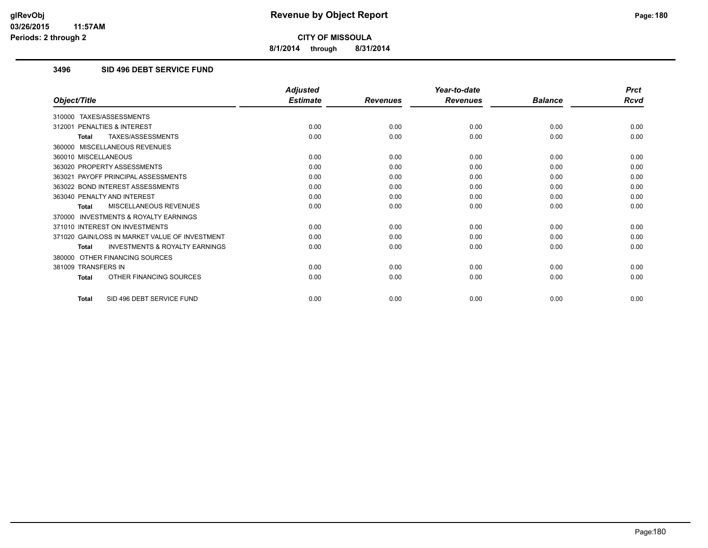**8/1/2014 through 8/31/2014**

## **3496 SID 496 DEBT SERVICE FUND**

|                                                           | <b>Adjusted</b> |                 | Year-to-date    |                | <b>Prct</b> |
|-----------------------------------------------------------|-----------------|-----------------|-----------------|----------------|-------------|
| Object/Title                                              | <b>Estimate</b> | <b>Revenues</b> | <b>Revenues</b> | <b>Balance</b> | <b>Rcvd</b> |
| 310000 TAXES/ASSESSMENTS                                  |                 |                 |                 |                |             |
| PENALTIES & INTEREST<br>312001                            | 0.00            | 0.00            | 0.00            | 0.00           | 0.00        |
| TAXES/ASSESSMENTS<br><b>Total</b>                         | 0.00            | 0.00            | 0.00            | 0.00           | 0.00        |
| 360000 MISCELLANEOUS REVENUES                             |                 |                 |                 |                |             |
| 360010 MISCELLANEOUS                                      | 0.00            | 0.00            | 0.00            | 0.00           | 0.00        |
| 363020 PROPERTY ASSESSMENTS                               | 0.00            | 0.00            | 0.00            | 0.00           | 0.00        |
| 363021 PAYOFF PRINCIPAL ASSESSMENTS                       | 0.00            | 0.00            | 0.00            | 0.00           | 0.00        |
| 363022 BOND INTEREST ASSESSMENTS                          | 0.00            | 0.00            | 0.00            | 0.00           | 0.00        |
| 363040 PENALTY AND INTEREST                               | 0.00            | 0.00            | 0.00            | 0.00           | 0.00        |
| MISCELLANEOUS REVENUES<br><b>Total</b>                    | 0.00            | 0.00            | 0.00            | 0.00           | 0.00        |
| <b>INVESTMENTS &amp; ROYALTY EARNINGS</b><br>370000       |                 |                 |                 |                |             |
| 371010 INTEREST ON INVESTMENTS                            | 0.00            | 0.00            | 0.00            | 0.00           | 0.00        |
| 371020 GAIN/LOSS IN MARKET VALUE OF INVESTMENT            | 0.00            | 0.00            | 0.00            | 0.00           | 0.00        |
| <b>INVESTMENTS &amp; ROYALTY EARNINGS</b><br><b>Total</b> | 0.00            | 0.00            | 0.00            | 0.00           | 0.00        |
| OTHER FINANCING SOURCES<br>380000                         |                 |                 |                 |                |             |
| 381009 TRANSFERS IN                                       | 0.00            | 0.00            | 0.00            | 0.00           | 0.00        |
| OTHER FINANCING SOURCES<br><b>Total</b>                   | 0.00            | 0.00            | 0.00            | 0.00           | 0.00        |
| SID 496 DEBT SERVICE FUND<br><b>Total</b>                 | 0.00            | 0.00            | 0.00            | 0.00           | 0.00        |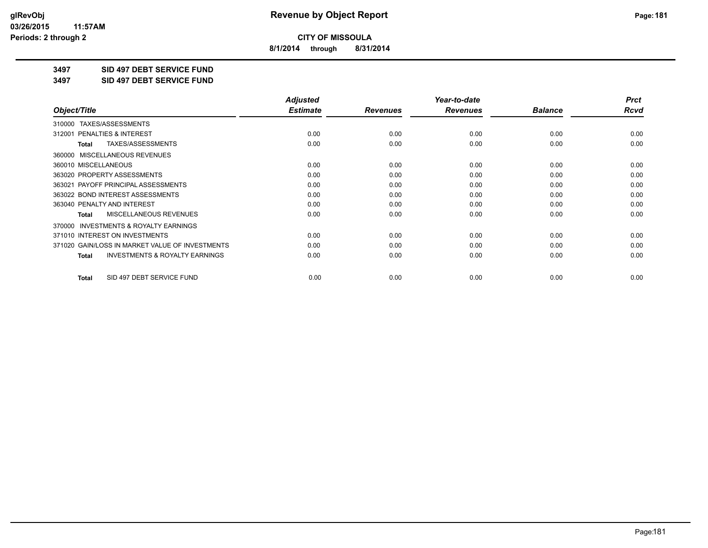**8/1/2014 through 8/31/2014**

**3497 SID 497 DEBT SERVICE FUND**

**3497 SID 497 DEBT SERVICE FUND**

|                                                           | <b>Adjusted</b> |                 | Year-to-date    |                | <b>Prct</b> |
|-----------------------------------------------------------|-----------------|-----------------|-----------------|----------------|-------------|
| Object/Title                                              | <b>Estimate</b> | <b>Revenues</b> | <b>Revenues</b> | <b>Balance</b> | Rcvd        |
| 310000 TAXES/ASSESSMENTS                                  |                 |                 |                 |                |             |
| <b>PENALTIES &amp; INTEREST</b><br>312001                 | 0.00            | 0.00            | 0.00            | 0.00           | 0.00        |
| TAXES/ASSESSMENTS<br><b>Total</b>                         | 0.00            | 0.00            | 0.00            | 0.00           | 0.00        |
| 360000 MISCELLANEOUS REVENUES                             |                 |                 |                 |                |             |
| 360010 MISCELLANEOUS                                      | 0.00            | 0.00            | 0.00            | 0.00           | 0.00        |
| 363020 PROPERTY ASSESSMENTS                               | 0.00            | 0.00            | 0.00            | 0.00           | 0.00        |
| 363021 PAYOFF PRINCIPAL ASSESSMENTS                       | 0.00            | 0.00            | 0.00            | 0.00           | 0.00        |
| 363022 BOND INTEREST ASSESSMENTS                          | 0.00            | 0.00            | 0.00            | 0.00           | 0.00        |
| 363040 PENALTY AND INTEREST                               | 0.00            | 0.00            | 0.00            | 0.00           | 0.00        |
| <b>MISCELLANEOUS REVENUES</b><br><b>Total</b>             | 0.00            | 0.00            | 0.00            | 0.00           | 0.00        |
| <b>INVESTMENTS &amp; ROYALTY EARNINGS</b><br>370000       |                 |                 |                 |                |             |
| 371010 INTEREST ON INVESTMENTS                            | 0.00            | 0.00            | 0.00            | 0.00           | 0.00        |
| 371020 GAIN/LOSS IN MARKET VALUE OF INVESTMENTS           | 0.00            | 0.00            | 0.00            | 0.00           | 0.00        |
| <b>INVESTMENTS &amp; ROYALTY EARNINGS</b><br><b>Total</b> | 0.00            | 0.00            | 0.00            | 0.00           | 0.00        |
|                                                           |                 |                 |                 |                |             |
| SID 497 DEBT SERVICE FUND<br><b>Total</b>                 | 0.00            | 0.00            | 0.00            | 0.00           | 0.00        |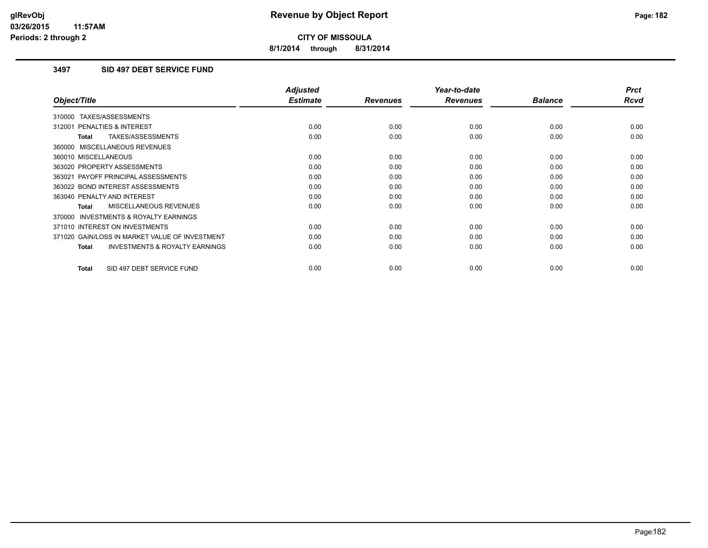**8/1/2014 through 8/31/2014**

### **3497 SID 497 DEBT SERVICE FUND**

|                                                           | <b>Adjusted</b> |                 | Year-to-date    |                | <b>Prct</b> |
|-----------------------------------------------------------|-----------------|-----------------|-----------------|----------------|-------------|
| Object/Title                                              | <b>Estimate</b> | <b>Revenues</b> | <b>Revenues</b> | <b>Balance</b> | <b>Rcvd</b> |
| 310000 TAXES/ASSESSMENTS                                  |                 |                 |                 |                |             |
| 312001 PENALTIES & INTEREST                               | 0.00            | 0.00            | 0.00            | 0.00           | 0.00        |
| TAXES/ASSESSMENTS<br><b>Total</b>                         | 0.00            | 0.00            | 0.00            | 0.00           | 0.00        |
| 360000 MISCELLANEOUS REVENUES                             |                 |                 |                 |                |             |
| 360010 MISCELLANEOUS                                      | 0.00            | 0.00            | 0.00            | 0.00           | 0.00        |
| 363020 PROPERTY ASSESSMENTS                               | 0.00            | 0.00            | 0.00            | 0.00           | 0.00        |
| 363021 PAYOFF PRINCIPAL ASSESSMENTS                       | 0.00            | 0.00            | 0.00            | 0.00           | 0.00        |
| 363022 BOND INTEREST ASSESSMENTS                          | 0.00            | 0.00            | 0.00            | 0.00           | 0.00        |
| 363040 PENALTY AND INTEREST                               | 0.00            | 0.00            | 0.00            | 0.00           | 0.00        |
| MISCELLANEOUS REVENUES<br>Total                           | 0.00            | 0.00            | 0.00            | 0.00           | 0.00        |
| <b>INVESTMENTS &amp; ROYALTY EARNINGS</b><br>370000       |                 |                 |                 |                |             |
| 371010 INTEREST ON INVESTMENTS                            | 0.00            | 0.00            | 0.00            | 0.00           | 0.00        |
| 371020 GAIN/LOSS IN MARKET VALUE OF INVESTMENT            | 0.00            | 0.00            | 0.00            | 0.00           | 0.00        |
| <b>INVESTMENTS &amp; ROYALTY EARNINGS</b><br><b>Total</b> | 0.00            | 0.00            | 0.00            | 0.00           | 0.00        |
| SID 497 DEBT SERVICE FUND<br><b>Total</b>                 | 0.00            | 0.00            | 0.00            | 0.00           | 0.00        |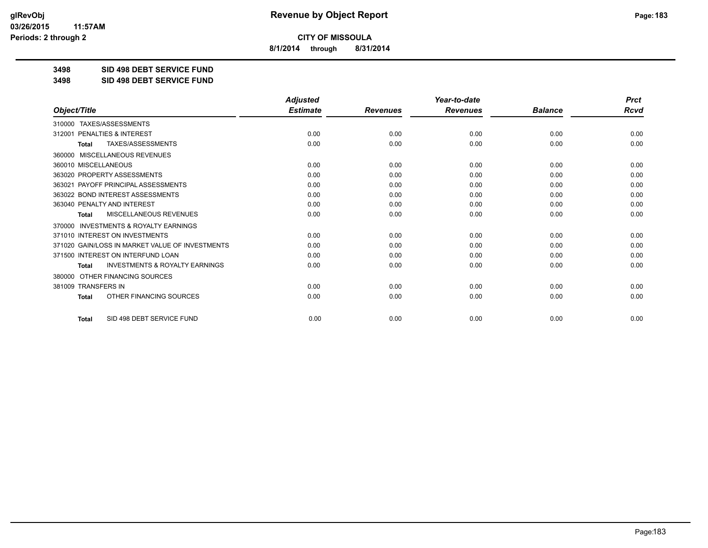**8/1/2014 through 8/31/2014**

**3498 SID 498 DEBT SERVICE FUND**

**3498 SID 498 DEBT SERVICE FUND**

|                                                           | <b>Adjusted</b> |                 | Year-to-date    |                |      |  |
|-----------------------------------------------------------|-----------------|-----------------|-----------------|----------------|------|--|
| Object/Title                                              | <b>Estimate</b> | <b>Revenues</b> | <b>Revenues</b> | <b>Balance</b> | Rcvd |  |
| TAXES/ASSESSMENTS<br>310000                               |                 |                 |                 |                |      |  |
| 312001 PENALTIES & INTEREST                               | 0.00            | 0.00            | 0.00            | 0.00           | 0.00 |  |
| <b>TAXES/ASSESSMENTS</b><br><b>Total</b>                  | 0.00            | 0.00            | 0.00            | 0.00           | 0.00 |  |
| MISCELLANEOUS REVENUES<br>360000                          |                 |                 |                 |                |      |  |
| 360010 MISCELLANEOUS                                      | 0.00            | 0.00            | 0.00            | 0.00           | 0.00 |  |
| 363020 PROPERTY ASSESSMENTS                               | 0.00            | 0.00            | 0.00            | 0.00           | 0.00 |  |
| 363021 PAYOFF PRINCIPAL ASSESSMENTS                       | 0.00            | 0.00            | 0.00            | 0.00           | 0.00 |  |
| 363022 BOND INTEREST ASSESSMENTS                          | 0.00            | 0.00            | 0.00            | 0.00           | 0.00 |  |
| 363040 PENALTY AND INTEREST                               | 0.00            | 0.00            | 0.00            | 0.00           | 0.00 |  |
| MISCELLANEOUS REVENUES<br><b>Total</b>                    | 0.00            | 0.00            | 0.00            | 0.00           | 0.00 |  |
| 370000 INVESTMENTS & ROYALTY EARNINGS                     |                 |                 |                 |                |      |  |
| 371010 INTEREST ON INVESTMENTS                            | 0.00            | 0.00            | 0.00            | 0.00           | 0.00 |  |
| 371020 GAIN/LOSS IN MARKET VALUE OF INVESTMENTS           | 0.00            | 0.00            | 0.00            | 0.00           | 0.00 |  |
| 371500 INTEREST ON INTERFUND LOAN                         | 0.00            | 0.00            | 0.00            | 0.00           | 0.00 |  |
| <b>INVESTMENTS &amp; ROYALTY EARNINGS</b><br><b>Total</b> | 0.00            | 0.00            | 0.00            | 0.00           | 0.00 |  |
| OTHER FINANCING SOURCES<br>380000                         |                 |                 |                 |                |      |  |
| 381009 TRANSFERS IN                                       | 0.00            | 0.00            | 0.00            | 0.00           | 0.00 |  |
| OTHER FINANCING SOURCES<br><b>Total</b>                   | 0.00            | 0.00            | 0.00            | 0.00           | 0.00 |  |
| SID 498 DEBT SERVICE FUND<br><b>Total</b>                 | 0.00            | 0.00            | 0.00            | 0.00           | 0.00 |  |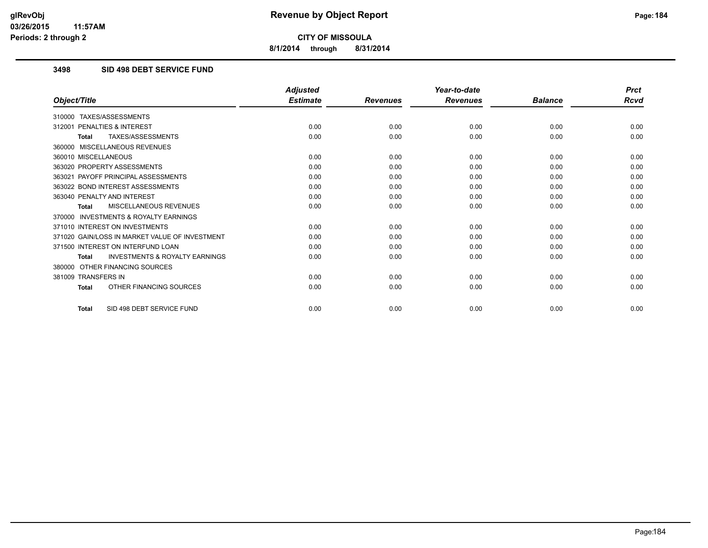**8/1/2014 through 8/31/2014**

### **3498 SID 498 DEBT SERVICE FUND**

|                                                           | <b>Adjusted</b> |                 | Year-to-date    |                | <b>Prct</b> |
|-----------------------------------------------------------|-----------------|-----------------|-----------------|----------------|-------------|
| Object/Title                                              | <b>Estimate</b> | <b>Revenues</b> | <b>Revenues</b> | <b>Balance</b> | Rcvd        |
| TAXES/ASSESSMENTS<br>310000                               |                 |                 |                 |                |             |
| <b>PENALTIES &amp; INTEREST</b><br>312001                 | 0.00            | 0.00            | 0.00            | 0.00           | 0.00        |
| TAXES/ASSESSMENTS<br><b>Total</b>                         | 0.00            | 0.00            | 0.00            | 0.00           | 0.00        |
| 360000 MISCELLANEOUS REVENUES                             |                 |                 |                 |                |             |
| 360010 MISCELLANEOUS                                      | 0.00            | 0.00            | 0.00            | 0.00           | 0.00        |
| 363020 PROPERTY ASSESSMENTS                               | 0.00            | 0.00            | 0.00            | 0.00           | 0.00        |
| 363021 PAYOFF PRINCIPAL ASSESSMENTS                       | 0.00            | 0.00            | 0.00            | 0.00           | 0.00        |
| 363022 BOND INTEREST ASSESSMENTS                          | 0.00            | 0.00            | 0.00            | 0.00           | 0.00        |
| 363040 PENALTY AND INTEREST                               | 0.00            | 0.00            | 0.00            | 0.00           | 0.00        |
| MISCELLANEOUS REVENUES<br><b>Total</b>                    | 0.00            | 0.00            | 0.00            | 0.00           | 0.00        |
| <b>INVESTMENTS &amp; ROYALTY EARNINGS</b><br>370000       |                 |                 |                 |                |             |
| 371010 INTEREST ON INVESTMENTS                            | 0.00            | 0.00            | 0.00            | 0.00           | 0.00        |
| 371020 GAIN/LOSS IN MARKET VALUE OF INVESTMENT            | 0.00            | 0.00            | 0.00            | 0.00           | 0.00        |
| 371500 INTEREST ON INTERFUND LOAN                         | 0.00            | 0.00            | 0.00            | 0.00           | 0.00        |
| <b>INVESTMENTS &amp; ROYALTY EARNINGS</b><br><b>Total</b> | 0.00            | 0.00            | 0.00            | 0.00           | 0.00        |
| OTHER FINANCING SOURCES<br>380000                         |                 |                 |                 |                |             |
| 381009 TRANSFERS IN                                       | 0.00            | 0.00            | 0.00            | 0.00           | 0.00        |
| OTHER FINANCING SOURCES<br><b>Total</b>                   | 0.00            | 0.00            | 0.00            | 0.00           | 0.00        |
| SID 498 DEBT SERVICE FUND<br><b>Total</b>                 | 0.00            | 0.00            | 0.00            | 0.00           | 0.00        |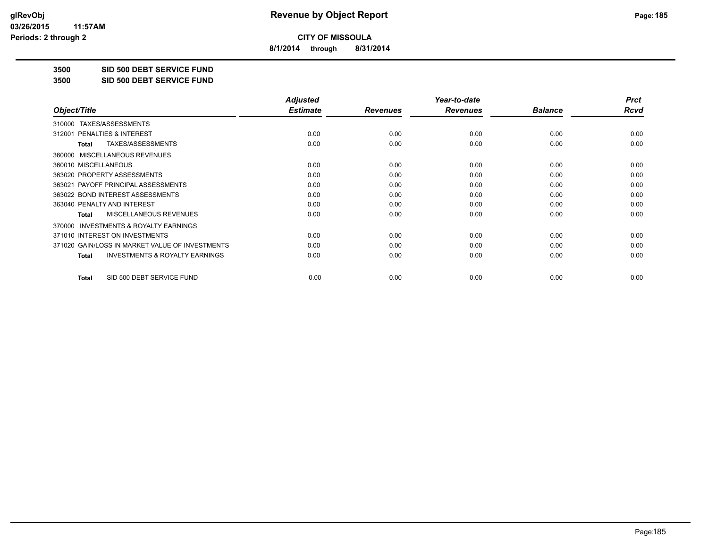**8/1/2014 through 8/31/2014**

**3500 SID 500 DEBT SERVICE FUND**

**3500 SID 500 DEBT SERVICE FUND**

|                                                           | <b>Adjusted</b> |                 | Year-to-date    |                | <b>Prct</b> |
|-----------------------------------------------------------|-----------------|-----------------|-----------------|----------------|-------------|
| Object/Title                                              | <b>Estimate</b> | <b>Revenues</b> | <b>Revenues</b> | <b>Balance</b> | Rcvd        |
| TAXES/ASSESSMENTS<br>310000                               |                 |                 |                 |                |             |
| 312001 PENALTIES & INTEREST                               | 0.00            | 0.00            | 0.00            | 0.00           | 0.00        |
| TAXES/ASSESSMENTS<br>Total                                | 0.00            | 0.00            | 0.00            | 0.00           | 0.00        |
| MISCELLANEOUS REVENUES<br>360000                          |                 |                 |                 |                |             |
| 360010 MISCELLANEOUS                                      | 0.00            | 0.00            | 0.00            | 0.00           | 0.00        |
| 363020 PROPERTY ASSESSMENTS                               | 0.00            | 0.00            | 0.00            | 0.00           | 0.00        |
| 363021 PAYOFF PRINCIPAL ASSESSMENTS                       | 0.00            | 0.00            | 0.00            | 0.00           | 0.00        |
| 363022 BOND INTEREST ASSESSMENTS                          | 0.00            | 0.00            | 0.00            | 0.00           | 0.00        |
| 363040 PENALTY AND INTEREST                               | 0.00            | 0.00            | 0.00            | 0.00           | 0.00        |
| MISCELLANEOUS REVENUES<br><b>Total</b>                    | 0.00            | 0.00            | 0.00            | 0.00           | 0.00        |
| <b>INVESTMENTS &amp; ROYALTY EARNINGS</b><br>370000       |                 |                 |                 |                |             |
| 371010 INTEREST ON INVESTMENTS                            | 0.00            | 0.00            | 0.00            | 0.00           | 0.00        |
| 371020 GAIN/LOSS IN MARKET VALUE OF INVESTMENTS           | 0.00            | 0.00            | 0.00            | 0.00           | 0.00        |
| <b>INVESTMENTS &amp; ROYALTY EARNINGS</b><br><b>Total</b> | 0.00            | 0.00            | 0.00            | 0.00           | 0.00        |
| SID 500 DEBT SERVICE FUND<br><b>Total</b>                 | 0.00            | 0.00            | 0.00            | 0.00           | 0.00        |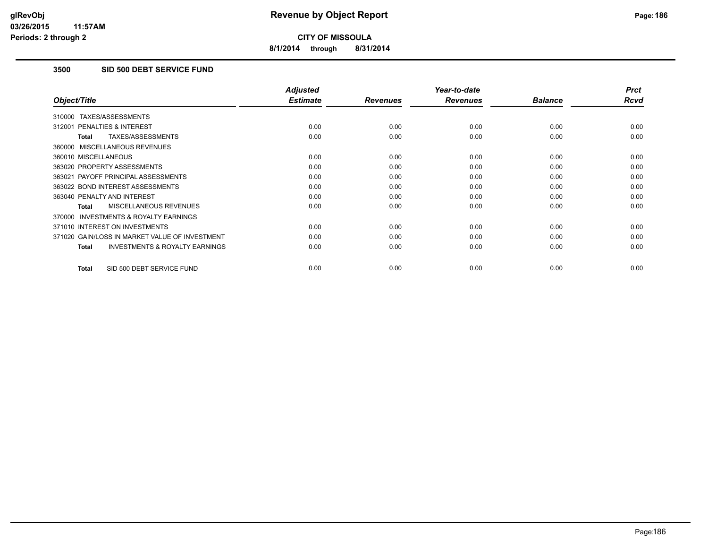**8/1/2014 through 8/31/2014**

# **3500 SID 500 DEBT SERVICE FUND**

|                                                           | <b>Adjusted</b> |                 | Year-to-date    |                | <b>Prct</b> |
|-----------------------------------------------------------|-----------------|-----------------|-----------------|----------------|-------------|
| Object/Title                                              | <b>Estimate</b> | <b>Revenues</b> | <b>Revenues</b> | <b>Balance</b> | Rcvd        |
| 310000 TAXES/ASSESSMENTS                                  |                 |                 |                 |                |             |
| 312001 PENALTIES & INTEREST                               | 0.00            | 0.00            | 0.00            | 0.00           | 0.00        |
| <b>TAXES/ASSESSMENTS</b><br><b>Total</b>                  | 0.00            | 0.00            | 0.00            | 0.00           | 0.00        |
| 360000 MISCELLANEOUS REVENUES                             |                 |                 |                 |                |             |
| 360010 MISCELLANEOUS                                      | 0.00            | 0.00            | 0.00            | 0.00           | 0.00        |
| 363020 PROPERTY ASSESSMENTS                               | 0.00            | 0.00            | 0.00            | 0.00           | 0.00        |
| 363021 PAYOFF PRINCIPAL ASSESSMENTS                       | 0.00            | 0.00            | 0.00            | 0.00           | 0.00        |
| 363022 BOND INTEREST ASSESSMENTS                          | 0.00            | 0.00            | 0.00            | 0.00           | 0.00        |
| 363040 PENALTY AND INTEREST                               | 0.00            | 0.00            | 0.00            | 0.00           | 0.00        |
| MISCELLANEOUS REVENUES<br><b>Total</b>                    | 0.00            | 0.00            | 0.00            | 0.00           | 0.00        |
| <b>INVESTMENTS &amp; ROYALTY EARNINGS</b><br>370000       |                 |                 |                 |                |             |
| 371010 INTEREST ON INVESTMENTS                            | 0.00            | 0.00            | 0.00            | 0.00           | 0.00        |
| 371020 GAIN/LOSS IN MARKET VALUE OF INVESTMENT            | 0.00            | 0.00            | 0.00            | 0.00           | 0.00        |
| <b>INVESTMENTS &amp; ROYALTY EARNINGS</b><br><b>Total</b> | 0.00            | 0.00            | 0.00            | 0.00           | 0.00        |
| SID 500 DEBT SERVICE FUND<br><b>Total</b>                 | 0.00            | 0.00            | 0.00            | 0.00           | 0.00        |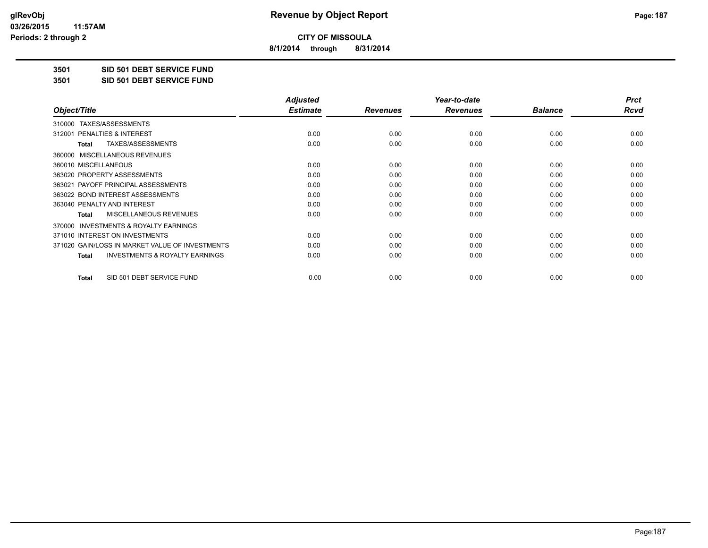**8/1/2014 through 8/31/2014**

**3501 SID 501 DEBT SERVICE FUND**

**3501 SID 501 DEBT SERVICE FUND**

|                                                           | <b>Adjusted</b> |                 | Year-to-date    |                | <b>Prct</b> |
|-----------------------------------------------------------|-----------------|-----------------|-----------------|----------------|-------------|
| Object/Title                                              | <b>Estimate</b> | <b>Revenues</b> | <b>Revenues</b> | <b>Balance</b> | Rcvd        |
| TAXES/ASSESSMENTS<br>310000                               |                 |                 |                 |                |             |
| 312001 PENALTIES & INTEREST                               | 0.00            | 0.00            | 0.00            | 0.00           | 0.00        |
| TAXES/ASSESSMENTS<br>Total                                | 0.00            | 0.00            | 0.00            | 0.00           | 0.00        |
| MISCELLANEOUS REVENUES<br>360000                          |                 |                 |                 |                |             |
| 360010 MISCELLANEOUS                                      | 0.00            | 0.00            | 0.00            | 0.00           | 0.00        |
| 363020 PROPERTY ASSESSMENTS                               | 0.00            | 0.00            | 0.00            | 0.00           | 0.00        |
| 363021 PAYOFF PRINCIPAL ASSESSMENTS                       | 0.00            | 0.00            | 0.00            | 0.00           | 0.00        |
| 363022 BOND INTEREST ASSESSMENTS                          | 0.00            | 0.00            | 0.00            | 0.00           | 0.00        |
| 363040 PENALTY AND INTEREST                               | 0.00            | 0.00            | 0.00            | 0.00           | 0.00        |
| MISCELLANEOUS REVENUES<br><b>Total</b>                    | 0.00            | 0.00            | 0.00            | 0.00           | 0.00        |
| <b>INVESTMENTS &amp; ROYALTY EARNINGS</b><br>370000       |                 |                 |                 |                |             |
| 371010 INTEREST ON INVESTMENTS                            | 0.00            | 0.00            | 0.00            | 0.00           | 0.00        |
| 371020 GAIN/LOSS IN MARKET VALUE OF INVESTMENTS           | 0.00            | 0.00            | 0.00            | 0.00           | 0.00        |
| <b>INVESTMENTS &amp; ROYALTY EARNINGS</b><br><b>Total</b> | 0.00            | 0.00            | 0.00            | 0.00           | 0.00        |
| SID 501 DEBT SERVICE FUND<br>Total                        | 0.00            | 0.00            | 0.00            | 0.00           | 0.00        |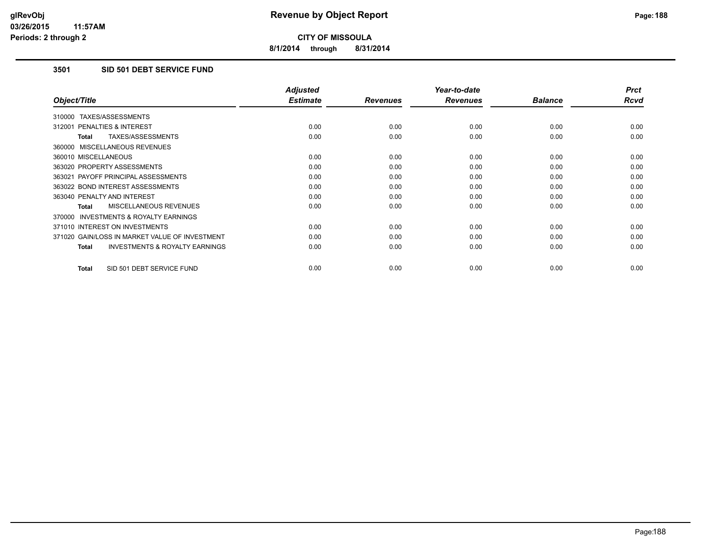**8/1/2014 through 8/31/2014**

### **3501 SID 501 DEBT SERVICE FUND**

|                                                           | <b>Adjusted</b> |                 | Year-to-date    |                | <b>Prct</b> |
|-----------------------------------------------------------|-----------------|-----------------|-----------------|----------------|-------------|
| Object/Title                                              | <b>Estimate</b> | <b>Revenues</b> | <b>Revenues</b> | <b>Balance</b> | <b>Rcvd</b> |
| 310000 TAXES/ASSESSMENTS                                  |                 |                 |                 |                |             |
| 312001 PENALTIES & INTEREST                               | 0.00            | 0.00            | 0.00            | 0.00           | 0.00        |
| <b>TAXES/ASSESSMENTS</b><br><b>Total</b>                  | 0.00            | 0.00            | 0.00            | 0.00           | 0.00        |
| 360000 MISCELLANEOUS REVENUES                             |                 |                 |                 |                |             |
| 360010 MISCELLANEOUS                                      | 0.00            | 0.00            | 0.00            | 0.00           | 0.00        |
| 363020 PROPERTY ASSESSMENTS                               | 0.00            | 0.00            | 0.00            | 0.00           | 0.00        |
| 363021 PAYOFF PRINCIPAL ASSESSMENTS                       | 0.00            | 0.00            | 0.00            | 0.00           | 0.00        |
| 363022 BOND INTEREST ASSESSMENTS                          | 0.00            | 0.00            | 0.00            | 0.00           | 0.00        |
| 363040 PENALTY AND INTEREST                               | 0.00            | 0.00            | 0.00            | 0.00           | 0.00        |
| MISCELLANEOUS REVENUES<br><b>Total</b>                    | 0.00            | 0.00            | 0.00            | 0.00           | 0.00        |
| <b>INVESTMENTS &amp; ROYALTY EARNINGS</b><br>370000       |                 |                 |                 |                |             |
| 371010 INTEREST ON INVESTMENTS                            | 0.00            | 0.00            | 0.00            | 0.00           | 0.00        |
| 371020 GAIN/LOSS IN MARKET VALUE OF INVESTMENT            | 0.00            | 0.00            | 0.00            | 0.00           | 0.00        |
| <b>INVESTMENTS &amp; ROYALTY EARNINGS</b><br><b>Total</b> | 0.00            | 0.00            | 0.00            | 0.00           | 0.00        |
| SID 501 DEBT SERVICE FUND<br><b>Total</b>                 | 0.00            | 0.00            | 0.00            | 0.00           | 0.00        |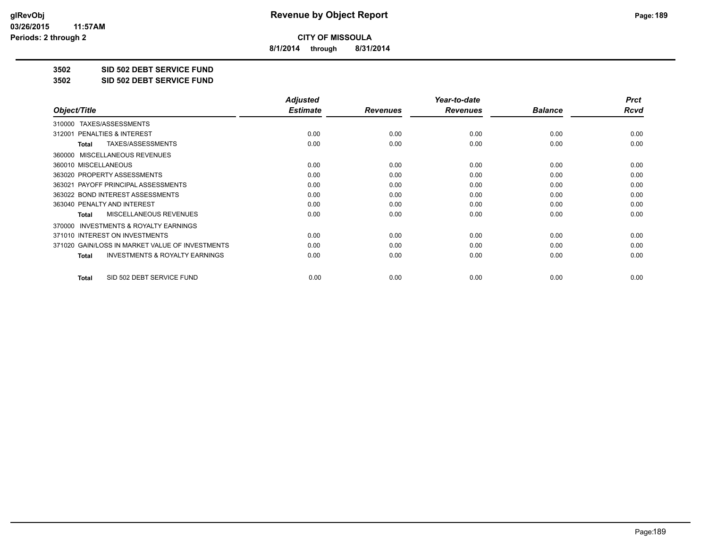**8/1/2014 through 8/31/2014**

**3502 SID 502 DEBT SERVICE FUND**

**3502 SID 502 DEBT SERVICE FUND**

|                                                           | <b>Adjusted</b> |                 | Year-to-date    |                | <b>Prct</b> |
|-----------------------------------------------------------|-----------------|-----------------|-----------------|----------------|-------------|
| Object/Title                                              | <b>Estimate</b> | <b>Revenues</b> | <b>Revenues</b> | <b>Balance</b> | Rcvd        |
| TAXES/ASSESSMENTS<br>310000                               |                 |                 |                 |                |             |
| 312001 PENALTIES & INTEREST                               | 0.00            | 0.00            | 0.00            | 0.00           | 0.00        |
| TAXES/ASSESSMENTS<br>Total                                | 0.00            | 0.00            | 0.00            | 0.00           | 0.00        |
| MISCELLANEOUS REVENUES<br>360000                          |                 |                 |                 |                |             |
| 360010 MISCELLANEOUS                                      | 0.00            | 0.00            | 0.00            | 0.00           | 0.00        |
| 363020 PROPERTY ASSESSMENTS                               | 0.00            | 0.00            | 0.00            | 0.00           | 0.00        |
| 363021 PAYOFF PRINCIPAL ASSESSMENTS                       | 0.00            | 0.00            | 0.00            | 0.00           | 0.00        |
| 363022 BOND INTEREST ASSESSMENTS                          | 0.00            | 0.00            | 0.00            | 0.00           | 0.00        |
| 363040 PENALTY AND INTEREST                               | 0.00            | 0.00            | 0.00            | 0.00           | 0.00        |
| MISCELLANEOUS REVENUES<br><b>Total</b>                    | 0.00            | 0.00            | 0.00            | 0.00           | 0.00        |
| <b>INVESTMENTS &amp; ROYALTY EARNINGS</b><br>370000       |                 |                 |                 |                |             |
| 371010 INTEREST ON INVESTMENTS                            | 0.00            | 0.00            | 0.00            | 0.00           | 0.00        |
| 371020 GAIN/LOSS IN MARKET VALUE OF INVESTMENTS           | 0.00            | 0.00            | 0.00            | 0.00           | 0.00        |
| <b>INVESTMENTS &amp; ROYALTY EARNINGS</b><br><b>Total</b> | 0.00            | 0.00            | 0.00            | 0.00           | 0.00        |
| SID 502 DEBT SERVICE FUND<br><b>Total</b>                 | 0.00            | 0.00            | 0.00            | 0.00           | 0.00        |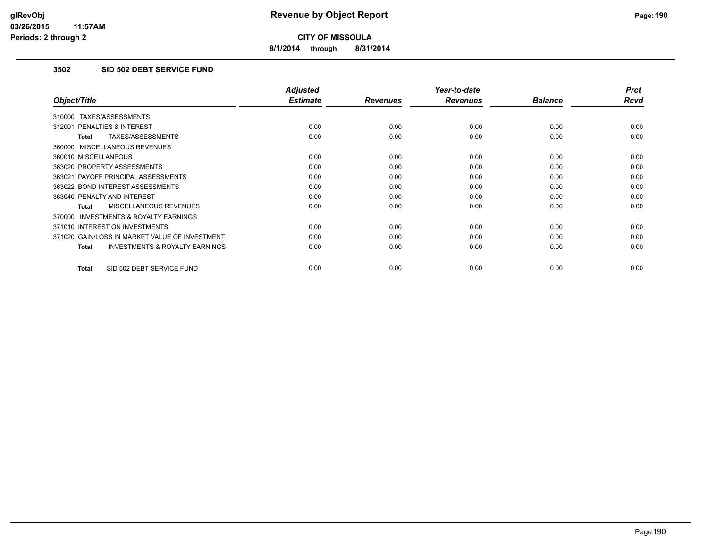**8/1/2014 through 8/31/2014**

### **3502 SID 502 DEBT SERVICE FUND**

|                                                     | <b>Adjusted</b> |                 | Year-to-date    |                | <b>Prct</b> |
|-----------------------------------------------------|-----------------|-----------------|-----------------|----------------|-------------|
| Object/Title                                        | <b>Estimate</b> | <b>Revenues</b> | <b>Revenues</b> | <b>Balance</b> | <b>Rcvd</b> |
| 310000 TAXES/ASSESSMENTS                            |                 |                 |                 |                |             |
| 312001 PENALTIES & INTEREST                         | 0.00            | 0.00            | 0.00            | 0.00           | 0.00        |
| TAXES/ASSESSMENTS<br><b>Total</b>                   | 0.00            | 0.00            | 0.00            | 0.00           | 0.00        |
| 360000 MISCELLANEOUS REVENUES                       |                 |                 |                 |                |             |
| 360010 MISCELLANEOUS                                | 0.00            | 0.00            | 0.00            | 0.00           | 0.00        |
| 363020 PROPERTY ASSESSMENTS                         | 0.00            | 0.00            | 0.00            | 0.00           | 0.00        |
| 363021 PAYOFF PRINCIPAL ASSESSMENTS                 | 0.00            | 0.00            | 0.00            | 0.00           | 0.00        |
| 363022 BOND INTEREST ASSESSMENTS                    | 0.00            | 0.00            | 0.00            | 0.00           | 0.00        |
| 363040 PENALTY AND INTEREST                         | 0.00            | 0.00            | 0.00            | 0.00           | 0.00        |
| <b>MISCELLANEOUS REVENUES</b><br>Total              | 0.00            | 0.00            | 0.00            | 0.00           | 0.00        |
| <b>INVESTMENTS &amp; ROYALTY EARNINGS</b><br>370000 |                 |                 |                 |                |             |
| 371010 INTEREST ON INVESTMENTS                      | 0.00            | 0.00            | 0.00            | 0.00           | 0.00        |
| 371020 GAIN/LOSS IN MARKET VALUE OF INVESTMENT      | 0.00            | 0.00            | 0.00            | 0.00           | 0.00        |
| <b>INVESTMENTS &amp; ROYALTY EARNINGS</b><br>Total  | 0.00            | 0.00            | 0.00            | 0.00           | 0.00        |
| SID 502 DEBT SERVICE FUND<br><b>Total</b>           | 0.00            | 0.00            | 0.00            | 0.00           | 0.00        |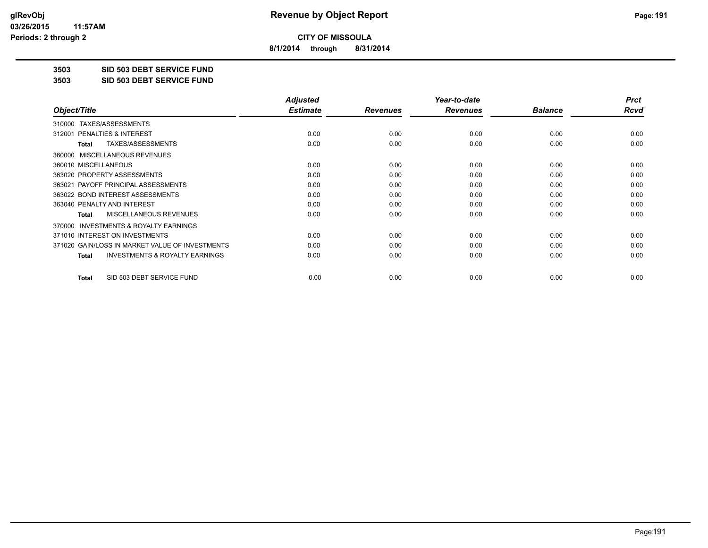**8/1/2014 through 8/31/2014**

**3503 SID 503 DEBT SERVICE FUND**

**3503 SID 503 DEBT SERVICE FUND**

|                                                           | <b>Adjusted</b> |                 | Year-to-date    |                | <b>Prct</b> |
|-----------------------------------------------------------|-----------------|-----------------|-----------------|----------------|-------------|
| Object/Title                                              | <b>Estimate</b> | <b>Revenues</b> | <b>Revenues</b> | <b>Balance</b> | Rcvd        |
| TAXES/ASSESSMENTS<br>310000                               |                 |                 |                 |                |             |
| 312001 PENALTIES & INTEREST                               | 0.00            | 0.00            | 0.00            | 0.00           | 0.00        |
| TAXES/ASSESSMENTS<br>Total                                | 0.00            | 0.00            | 0.00            | 0.00           | 0.00        |
| MISCELLANEOUS REVENUES<br>360000                          |                 |                 |                 |                |             |
| 360010 MISCELLANEOUS                                      | 0.00            | 0.00            | 0.00            | 0.00           | 0.00        |
| 363020 PROPERTY ASSESSMENTS                               | 0.00            | 0.00            | 0.00            | 0.00           | 0.00        |
| 363021 PAYOFF PRINCIPAL ASSESSMENTS                       | 0.00            | 0.00            | 0.00            | 0.00           | 0.00        |
| 363022 BOND INTEREST ASSESSMENTS                          | 0.00            | 0.00            | 0.00            | 0.00           | 0.00        |
| 363040 PENALTY AND INTEREST                               | 0.00            | 0.00            | 0.00            | 0.00           | 0.00        |
| MISCELLANEOUS REVENUES<br><b>Total</b>                    | 0.00            | 0.00            | 0.00            | 0.00           | 0.00        |
| <b>INVESTMENTS &amp; ROYALTY EARNINGS</b><br>370000       |                 |                 |                 |                |             |
| 371010 INTEREST ON INVESTMENTS                            | 0.00            | 0.00            | 0.00            | 0.00           | 0.00        |
| 371020 GAIN/LOSS IN MARKET VALUE OF INVESTMENTS           | 0.00            | 0.00            | 0.00            | 0.00           | 0.00        |
| <b>INVESTMENTS &amp; ROYALTY EARNINGS</b><br><b>Total</b> | 0.00            | 0.00            | 0.00            | 0.00           | 0.00        |
| SID 503 DEBT SERVICE FUND<br><b>Total</b>                 | 0.00            | 0.00            | 0.00            | 0.00           | 0.00        |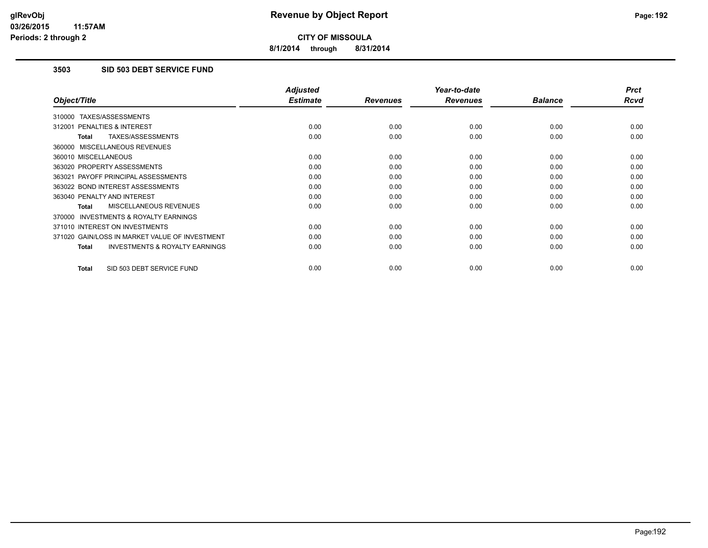**8/1/2014 through 8/31/2014**

# **3503 SID 503 DEBT SERVICE FUND**

|                                                           | <b>Adjusted</b> |                 | Year-to-date    |                | <b>Prct</b> |
|-----------------------------------------------------------|-----------------|-----------------|-----------------|----------------|-------------|
| Object/Title                                              | <b>Estimate</b> | <b>Revenues</b> | <b>Revenues</b> | <b>Balance</b> | <b>Rcvd</b> |
| 310000 TAXES/ASSESSMENTS                                  |                 |                 |                 |                |             |
| 312001 PENALTIES & INTEREST                               | 0.00            | 0.00            | 0.00            | 0.00           | 0.00        |
| <b>TAXES/ASSESSMENTS</b><br><b>Total</b>                  | 0.00            | 0.00            | 0.00            | 0.00           | 0.00        |
| 360000 MISCELLANEOUS REVENUES                             |                 |                 |                 |                |             |
| 360010 MISCELLANEOUS                                      | 0.00            | 0.00            | 0.00            | 0.00           | 0.00        |
| 363020 PROPERTY ASSESSMENTS                               | 0.00            | 0.00            | 0.00            | 0.00           | 0.00        |
| 363021 PAYOFF PRINCIPAL ASSESSMENTS                       | 0.00            | 0.00            | 0.00            | 0.00           | 0.00        |
| 363022 BOND INTEREST ASSESSMENTS                          | 0.00            | 0.00            | 0.00            | 0.00           | 0.00        |
| 363040 PENALTY AND INTEREST                               | 0.00            | 0.00            | 0.00            | 0.00           | 0.00        |
| MISCELLANEOUS REVENUES<br><b>Total</b>                    | 0.00            | 0.00            | 0.00            | 0.00           | 0.00        |
| <b>INVESTMENTS &amp; ROYALTY EARNINGS</b><br>370000       |                 |                 |                 |                |             |
| 371010 INTEREST ON INVESTMENTS                            | 0.00            | 0.00            | 0.00            | 0.00           | 0.00        |
| 371020 GAIN/LOSS IN MARKET VALUE OF INVESTMENT            | 0.00            | 0.00            | 0.00            | 0.00           | 0.00        |
| <b>INVESTMENTS &amp; ROYALTY EARNINGS</b><br><b>Total</b> | 0.00            | 0.00            | 0.00            | 0.00           | 0.00        |
| SID 503 DEBT SERVICE FUND<br><b>Total</b>                 | 0.00            | 0.00            | 0.00            | 0.00           | 0.00        |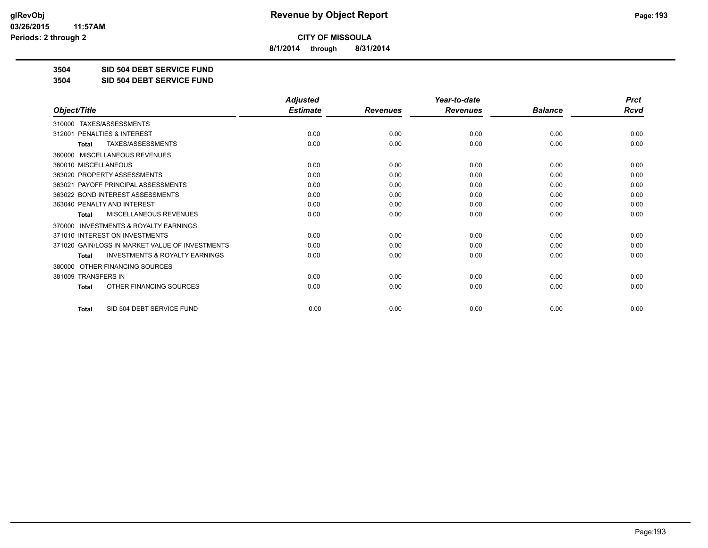**8/1/2014 through 8/31/2014**

**3504 SID 504 DEBT SERVICE FUND**

**3504 SID 504 DEBT SERVICE FUND**

|                                                           | <b>Adjusted</b> |                 | Year-to-date    |                | <b>Prct</b> |
|-----------------------------------------------------------|-----------------|-----------------|-----------------|----------------|-------------|
| Object/Title                                              | <b>Estimate</b> | <b>Revenues</b> | <b>Revenues</b> | <b>Balance</b> | <b>Rcvd</b> |
| 310000 TAXES/ASSESSMENTS                                  |                 |                 |                 |                |             |
| PENALTIES & INTEREST<br>312001                            | 0.00            | 0.00            | 0.00            | 0.00           | 0.00        |
| TAXES/ASSESSMENTS<br><b>Total</b>                         | 0.00            | 0.00            | 0.00            | 0.00           | 0.00        |
| <b>MISCELLANEOUS REVENUES</b><br>360000                   |                 |                 |                 |                |             |
| 360010 MISCELLANEOUS                                      | 0.00            | 0.00            | 0.00            | 0.00           | 0.00        |
| 363020 PROPERTY ASSESSMENTS                               | 0.00            | 0.00            | 0.00            | 0.00           | 0.00        |
| 363021 PAYOFF PRINCIPAL ASSESSMENTS                       | 0.00            | 0.00            | 0.00            | 0.00           | 0.00        |
| 363022 BOND INTEREST ASSESSMENTS                          | 0.00            | 0.00            | 0.00            | 0.00           | 0.00        |
| 363040 PENALTY AND INTEREST                               | 0.00            | 0.00            | 0.00            | 0.00           | 0.00        |
| MISCELLANEOUS REVENUES<br>Total                           | 0.00            | 0.00            | 0.00            | 0.00           | 0.00        |
| <b>INVESTMENTS &amp; ROYALTY EARNINGS</b><br>370000       |                 |                 |                 |                |             |
| 371010 INTEREST ON INVESTMENTS                            | 0.00            | 0.00            | 0.00            | 0.00           | 0.00        |
| 371020 GAIN/LOSS IN MARKET VALUE OF INVESTMENTS           | 0.00            | 0.00            | 0.00            | 0.00           | 0.00        |
| <b>INVESTMENTS &amp; ROYALTY EARNINGS</b><br><b>Total</b> | 0.00            | 0.00            | 0.00            | 0.00           | 0.00        |
| OTHER FINANCING SOURCES<br>380000                         |                 |                 |                 |                |             |
| 381009 TRANSFERS IN                                       | 0.00            | 0.00            | 0.00            | 0.00           | 0.00        |
| OTHER FINANCING SOURCES<br><b>Total</b>                   | 0.00            | 0.00            | 0.00            | 0.00           | 0.00        |
| SID 504 DEBT SERVICE FUND<br><b>Total</b>                 | 0.00            | 0.00            | 0.00            | 0.00           | 0.00        |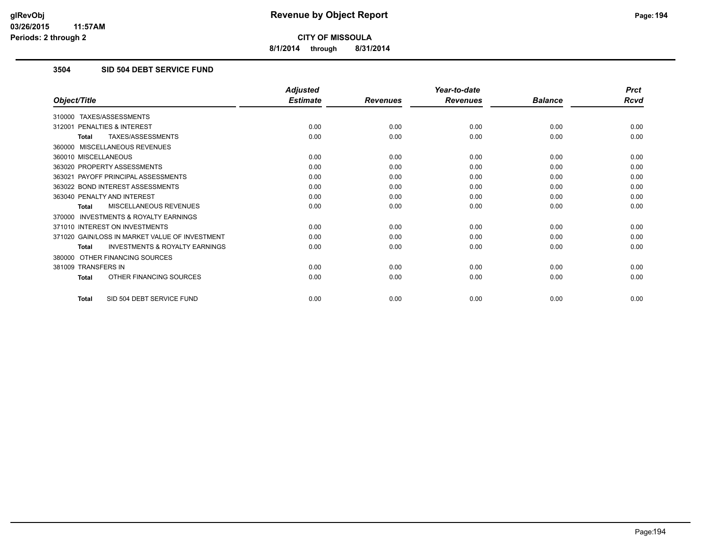**8/1/2014 through 8/31/2014**

# **3504 SID 504 DEBT SERVICE FUND**

|                                                           | <b>Adjusted</b> |                 | Year-to-date    |                | <b>Prct</b> |
|-----------------------------------------------------------|-----------------|-----------------|-----------------|----------------|-------------|
| Object/Title                                              | <b>Estimate</b> | <b>Revenues</b> | <b>Revenues</b> | <b>Balance</b> | <b>Rcvd</b> |
| 310000 TAXES/ASSESSMENTS                                  |                 |                 |                 |                |             |
| PENALTIES & INTEREST<br>312001                            | 0.00            | 0.00            | 0.00            | 0.00           | 0.00        |
| TAXES/ASSESSMENTS<br><b>Total</b>                         | 0.00            | 0.00            | 0.00            | 0.00           | 0.00        |
| 360000 MISCELLANEOUS REVENUES                             |                 |                 |                 |                |             |
| 360010 MISCELLANEOUS                                      | 0.00            | 0.00            | 0.00            | 0.00           | 0.00        |
| 363020 PROPERTY ASSESSMENTS                               | 0.00            | 0.00            | 0.00            | 0.00           | 0.00        |
| 363021 PAYOFF PRINCIPAL ASSESSMENTS                       | 0.00            | 0.00            | 0.00            | 0.00           | 0.00        |
| 363022 BOND INTEREST ASSESSMENTS                          | 0.00            | 0.00            | 0.00            | 0.00           | 0.00        |
| 363040 PENALTY AND INTEREST                               | 0.00            | 0.00            | 0.00            | 0.00           | 0.00        |
| MISCELLANEOUS REVENUES<br><b>Total</b>                    | 0.00            | 0.00            | 0.00            | 0.00           | 0.00        |
| <b>INVESTMENTS &amp; ROYALTY EARNINGS</b><br>370000       |                 |                 |                 |                |             |
| 371010 INTEREST ON INVESTMENTS                            | 0.00            | 0.00            | 0.00            | 0.00           | 0.00        |
| 371020 GAIN/LOSS IN MARKET VALUE OF INVESTMENT            | 0.00            | 0.00            | 0.00            | 0.00           | 0.00        |
| <b>INVESTMENTS &amp; ROYALTY EARNINGS</b><br><b>Total</b> | 0.00            | 0.00            | 0.00            | 0.00           | 0.00        |
| OTHER FINANCING SOURCES<br>380000                         |                 |                 |                 |                |             |
| 381009 TRANSFERS IN                                       | 0.00            | 0.00            | 0.00            | 0.00           | 0.00        |
| OTHER FINANCING SOURCES<br><b>Total</b>                   | 0.00            | 0.00            | 0.00            | 0.00           | 0.00        |
| SID 504 DEBT SERVICE FUND<br><b>Total</b>                 | 0.00            | 0.00            | 0.00            | 0.00           | 0.00        |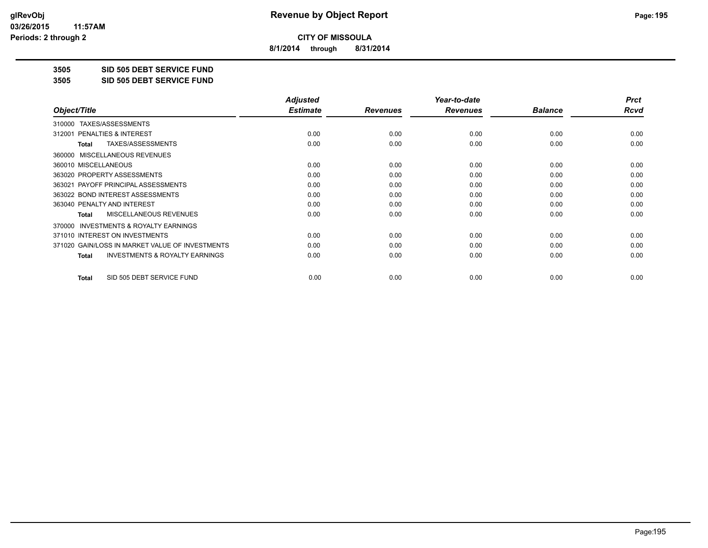**8/1/2014 through 8/31/2014**

**3505 SID 505 DEBT SERVICE FUND**

**3505 SID 505 DEBT SERVICE FUND**

|                                                           | <b>Adjusted</b> |                 | Year-to-date    |                | <b>Prct</b> |
|-----------------------------------------------------------|-----------------|-----------------|-----------------|----------------|-------------|
| Object/Title                                              | <b>Estimate</b> | <b>Revenues</b> | <b>Revenues</b> | <b>Balance</b> | Rcvd        |
| TAXES/ASSESSMENTS<br>310000                               |                 |                 |                 |                |             |
| 312001 PENALTIES & INTEREST                               | 0.00            | 0.00            | 0.00            | 0.00           | 0.00        |
| TAXES/ASSESSMENTS<br>Total                                | 0.00            | 0.00            | 0.00            | 0.00           | 0.00        |
| MISCELLANEOUS REVENUES<br>360000                          |                 |                 |                 |                |             |
| 360010 MISCELLANEOUS                                      | 0.00            | 0.00            | 0.00            | 0.00           | 0.00        |
| 363020 PROPERTY ASSESSMENTS                               | 0.00            | 0.00            | 0.00            | 0.00           | 0.00        |
| 363021 PAYOFF PRINCIPAL ASSESSMENTS                       | 0.00            | 0.00            | 0.00            | 0.00           | 0.00        |
| 363022 BOND INTEREST ASSESSMENTS                          | 0.00            | 0.00            | 0.00            | 0.00           | 0.00        |
| 363040 PENALTY AND INTEREST                               | 0.00            | 0.00            | 0.00            | 0.00           | 0.00        |
| <b>MISCELLANEOUS REVENUES</b><br><b>Total</b>             | 0.00            | 0.00            | 0.00            | 0.00           | 0.00        |
| 370000 INVESTMENTS & ROYALTY EARNINGS                     |                 |                 |                 |                |             |
| 371010 INTEREST ON INVESTMENTS                            | 0.00            | 0.00            | 0.00            | 0.00           | 0.00        |
| 371020 GAIN/LOSS IN MARKET VALUE OF INVESTMENTS           | 0.00            | 0.00            | 0.00            | 0.00           | 0.00        |
| <b>INVESTMENTS &amp; ROYALTY EARNINGS</b><br><b>Total</b> | 0.00            | 0.00            | 0.00            | 0.00           | 0.00        |
| SID 505 DEBT SERVICE FUND<br><b>Total</b>                 | 0.00            | 0.00            | 0.00            | 0.00           | 0.00        |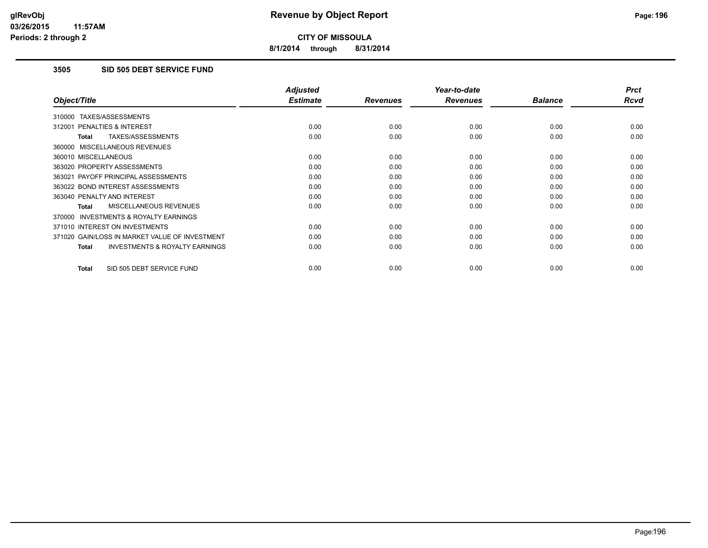**8/1/2014 through 8/31/2014**

### **3505 SID 505 DEBT SERVICE FUND**

|                                                     | <b>Adjusted</b> |                 | Year-to-date    |                | <b>Prct</b> |
|-----------------------------------------------------|-----------------|-----------------|-----------------|----------------|-------------|
| Object/Title                                        | <b>Estimate</b> | <b>Revenues</b> | <b>Revenues</b> | <b>Balance</b> | Rcvd        |
| TAXES/ASSESSMENTS<br>310000                         |                 |                 |                 |                |             |
| PENALTIES & INTEREST<br>312001                      | 0.00            | 0.00            | 0.00            | 0.00           | 0.00        |
| TAXES/ASSESSMENTS<br>Total                          | 0.00            | 0.00            | 0.00            | 0.00           | 0.00        |
| 360000 MISCELLANEOUS REVENUES                       |                 |                 |                 |                |             |
| 360010 MISCELLANEOUS                                | 0.00            | 0.00            | 0.00            | 0.00           | 0.00        |
| 363020 PROPERTY ASSESSMENTS                         | 0.00            | 0.00            | 0.00            | 0.00           | 0.00        |
| 363021 PAYOFF PRINCIPAL ASSESSMENTS                 | 0.00            | 0.00            | 0.00            | 0.00           | 0.00        |
| 363022 BOND INTEREST ASSESSMENTS                    | 0.00            | 0.00            | 0.00            | 0.00           | 0.00        |
| 363040 PENALTY AND INTEREST                         | 0.00            | 0.00            | 0.00            | 0.00           | 0.00        |
| <b>MISCELLANEOUS REVENUES</b><br>Total              | 0.00            | 0.00            | 0.00            | 0.00           | 0.00        |
| <b>INVESTMENTS &amp; ROYALTY EARNINGS</b><br>370000 |                 |                 |                 |                |             |
| 371010 INTEREST ON INVESTMENTS                      | 0.00            | 0.00            | 0.00            | 0.00           | 0.00        |
| 371020 GAIN/LOSS IN MARKET VALUE OF INVESTMENT      | 0.00            | 0.00            | 0.00            | 0.00           | 0.00        |
| <b>INVESTMENTS &amp; ROYALTY EARNINGS</b><br>Total  | 0.00            | 0.00            | 0.00            | 0.00           | 0.00        |
| SID 505 DEBT SERVICE FUND<br><b>Total</b>           | 0.00            | 0.00            | 0.00            | 0.00           | 0.00        |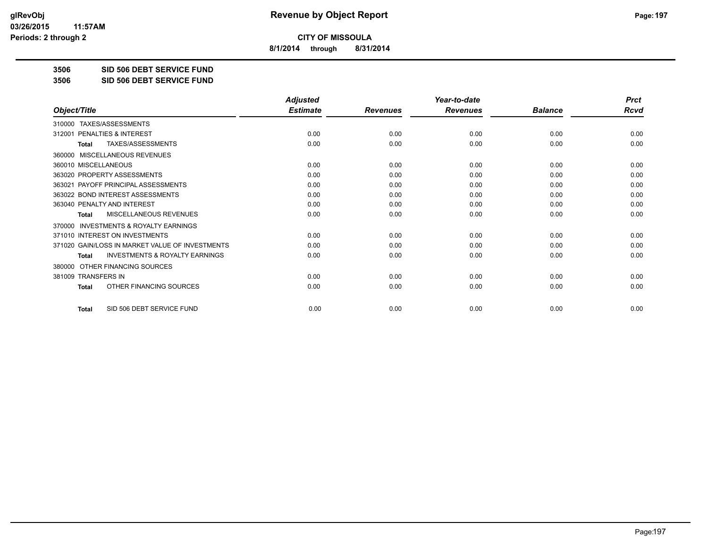**8/1/2014 through 8/31/2014**

**3506 SID 506 DEBT SERVICE FUND**

**3506 SID 506 DEBT SERVICE FUND**

|                                                           | <b>Adjusted</b> |                 | Year-to-date    |                | <b>Prct</b> |
|-----------------------------------------------------------|-----------------|-----------------|-----------------|----------------|-------------|
| Object/Title                                              | <b>Estimate</b> | <b>Revenues</b> | <b>Revenues</b> | <b>Balance</b> | <b>Rcvd</b> |
| TAXES/ASSESSMENTS<br>310000                               |                 |                 |                 |                |             |
| 312001 PENALTIES & INTEREST                               | 0.00            | 0.00            | 0.00            | 0.00           | 0.00        |
| TAXES/ASSESSMENTS<br><b>Total</b>                         | 0.00            | 0.00            | 0.00            | 0.00           | 0.00        |
| MISCELLANEOUS REVENUES<br>360000                          |                 |                 |                 |                |             |
| 360010 MISCELLANEOUS                                      | 0.00            | 0.00            | 0.00            | 0.00           | 0.00        |
| 363020 PROPERTY ASSESSMENTS                               | 0.00            | 0.00            | 0.00            | 0.00           | 0.00        |
| 363021 PAYOFF PRINCIPAL ASSESSMENTS                       | 0.00            | 0.00            | 0.00            | 0.00           | 0.00        |
| 363022 BOND INTEREST ASSESSMENTS                          | 0.00            | 0.00            | 0.00            | 0.00           | 0.00        |
| 363040 PENALTY AND INTEREST                               | 0.00            | 0.00            | 0.00            | 0.00           | 0.00        |
| MISCELLANEOUS REVENUES<br><b>Total</b>                    | 0.00            | 0.00            | 0.00            | 0.00           | 0.00        |
| <b>INVESTMENTS &amp; ROYALTY EARNINGS</b><br>370000       |                 |                 |                 |                |             |
| 371010 INTEREST ON INVESTMENTS                            | 0.00            | 0.00            | 0.00            | 0.00           | 0.00        |
| 371020 GAIN/LOSS IN MARKET VALUE OF INVESTMENTS           | 0.00            | 0.00            | 0.00            | 0.00           | 0.00        |
| <b>INVESTMENTS &amp; ROYALTY EARNINGS</b><br><b>Total</b> | 0.00            | 0.00            | 0.00            | 0.00           | 0.00        |
| OTHER FINANCING SOURCES<br>380000                         |                 |                 |                 |                |             |
| 381009 TRANSFERS IN                                       | 0.00            | 0.00            | 0.00            | 0.00           | 0.00        |
| OTHER FINANCING SOURCES<br><b>Total</b>                   | 0.00            | 0.00            | 0.00            | 0.00           | 0.00        |
| SID 506 DEBT SERVICE FUND<br><b>Total</b>                 | 0.00            | 0.00            | 0.00            | 0.00           | 0.00        |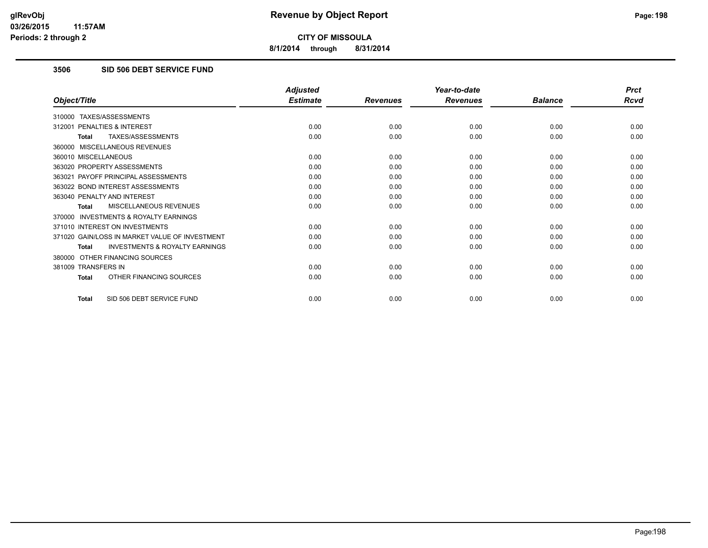**8/1/2014 through 8/31/2014**

### **3506 SID 506 DEBT SERVICE FUND**

|                                                           | <b>Adjusted</b> |                 | Year-to-date    |                | <b>Prct</b> |
|-----------------------------------------------------------|-----------------|-----------------|-----------------|----------------|-------------|
| Object/Title                                              | <b>Estimate</b> | <b>Revenues</b> | <b>Revenues</b> | <b>Balance</b> | <b>Rcvd</b> |
| 310000 TAXES/ASSESSMENTS                                  |                 |                 |                 |                |             |
| PENALTIES & INTEREST<br>312001                            | 0.00            | 0.00            | 0.00            | 0.00           | 0.00        |
| TAXES/ASSESSMENTS<br><b>Total</b>                         | 0.00            | 0.00            | 0.00            | 0.00           | 0.00        |
| 360000 MISCELLANEOUS REVENUES                             |                 |                 |                 |                |             |
| 360010 MISCELLANEOUS                                      | 0.00            | 0.00            | 0.00            | 0.00           | 0.00        |
| 363020 PROPERTY ASSESSMENTS                               | 0.00            | 0.00            | 0.00            | 0.00           | 0.00        |
| 363021 PAYOFF PRINCIPAL ASSESSMENTS                       | 0.00            | 0.00            | 0.00            | 0.00           | 0.00        |
| 363022 BOND INTEREST ASSESSMENTS                          | 0.00            | 0.00            | 0.00            | 0.00           | 0.00        |
| 363040 PENALTY AND INTEREST                               | 0.00            | 0.00            | 0.00            | 0.00           | 0.00        |
| MISCELLANEOUS REVENUES<br><b>Total</b>                    | 0.00            | 0.00            | 0.00            | 0.00           | 0.00        |
| <b>INVESTMENTS &amp; ROYALTY EARNINGS</b><br>370000       |                 |                 |                 |                |             |
| 371010 INTEREST ON INVESTMENTS                            | 0.00            | 0.00            | 0.00            | 0.00           | 0.00        |
| 371020 GAIN/LOSS IN MARKET VALUE OF INVESTMENT            | 0.00            | 0.00            | 0.00            | 0.00           | 0.00        |
| <b>INVESTMENTS &amp; ROYALTY EARNINGS</b><br><b>Total</b> | 0.00            | 0.00            | 0.00            | 0.00           | 0.00        |
| OTHER FINANCING SOURCES<br>380000                         |                 |                 |                 |                |             |
| 381009 TRANSFERS IN                                       | 0.00            | 0.00            | 0.00            | 0.00           | 0.00        |
| OTHER FINANCING SOURCES<br><b>Total</b>                   | 0.00            | 0.00            | 0.00            | 0.00           | 0.00        |
| SID 506 DEBT SERVICE FUND<br><b>Total</b>                 | 0.00            | 0.00            | 0.00            | 0.00           | 0.00        |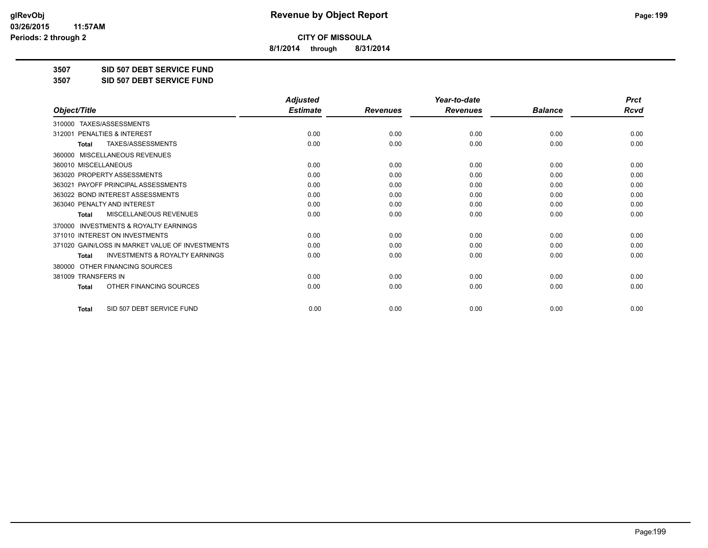**8/1/2014 through 8/31/2014**

**3507 SID 507 DEBT SERVICE FUND**

**3507 SID 507 DEBT SERVICE FUND**

|                                                           | <b>Adjusted</b> |                 | Year-to-date    |                | <b>Prct</b> |
|-----------------------------------------------------------|-----------------|-----------------|-----------------|----------------|-------------|
| Object/Title                                              | <b>Estimate</b> | <b>Revenues</b> | <b>Revenues</b> | <b>Balance</b> | <b>Rcvd</b> |
| TAXES/ASSESSMENTS<br>310000                               |                 |                 |                 |                |             |
| 312001 PENALTIES & INTEREST                               | 0.00            | 0.00            | 0.00            | 0.00           | 0.00        |
| TAXES/ASSESSMENTS<br><b>Total</b>                         | 0.00            | 0.00            | 0.00            | 0.00           | 0.00        |
| MISCELLANEOUS REVENUES<br>360000                          |                 |                 |                 |                |             |
| 360010 MISCELLANEOUS                                      | 0.00            | 0.00            | 0.00            | 0.00           | 0.00        |
| 363020 PROPERTY ASSESSMENTS                               | 0.00            | 0.00            | 0.00            | 0.00           | 0.00        |
| 363021 PAYOFF PRINCIPAL ASSESSMENTS                       | 0.00            | 0.00            | 0.00            | 0.00           | 0.00        |
| 363022 BOND INTEREST ASSESSMENTS                          | 0.00            | 0.00            | 0.00            | 0.00           | 0.00        |
| 363040 PENALTY AND INTEREST                               | 0.00            | 0.00            | 0.00            | 0.00           | 0.00        |
| <b>MISCELLANEOUS REVENUES</b><br><b>Total</b>             | 0.00            | 0.00            | 0.00            | 0.00           | 0.00        |
| <b>INVESTMENTS &amp; ROYALTY EARNINGS</b><br>370000       |                 |                 |                 |                |             |
| 371010 INTEREST ON INVESTMENTS                            | 0.00            | 0.00            | 0.00            | 0.00           | 0.00        |
| 371020 GAIN/LOSS IN MARKET VALUE OF INVESTMENTS           | 0.00            | 0.00            | 0.00            | 0.00           | 0.00        |
| <b>INVESTMENTS &amp; ROYALTY EARNINGS</b><br><b>Total</b> | 0.00            | 0.00            | 0.00            | 0.00           | 0.00        |
| OTHER FINANCING SOURCES<br>380000                         |                 |                 |                 |                |             |
| 381009 TRANSFERS IN                                       | 0.00            | 0.00            | 0.00            | 0.00           | 0.00        |
| OTHER FINANCING SOURCES<br><b>Total</b>                   | 0.00            | 0.00            | 0.00            | 0.00           | 0.00        |
| SID 507 DEBT SERVICE FUND<br><b>Total</b>                 | 0.00            | 0.00            | 0.00            | 0.00           | 0.00        |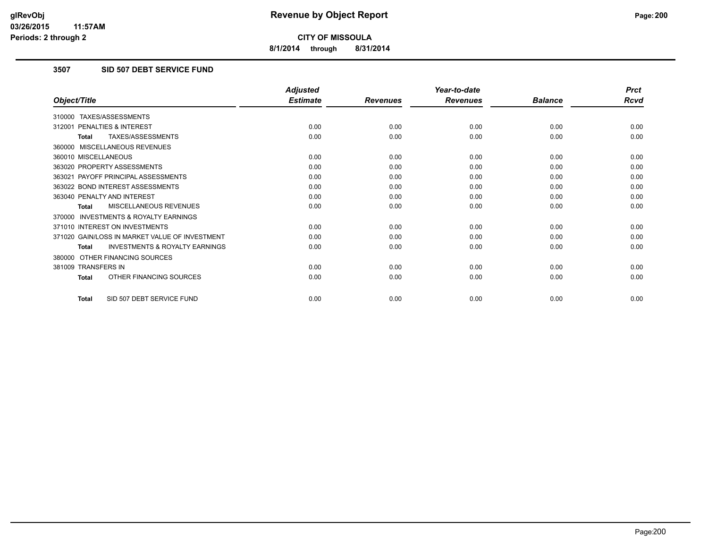**8/1/2014 through 8/31/2014**

# **3507 SID 507 DEBT SERVICE FUND**

|                                                           | <b>Adjusted</b> |                 | Year-to-date    |                | <b>Prct</b> |
|-----------------------------------------------------------|-----------------|-----------------|-----------------|----------------|-------------|
| Object/Title                                              | <b>Estimate</b> | <b>Revenues</b> | <b>Revenues</b> | <b>Balance</b> | <b>Rcvd</b> |
| 310000 TAXES/ASSESSMENTS                                  |                 |                 |                 |                |             |
| 312001 PENALTIES & INTEREST                               | 0.00            | 0.00            | 0.00            | 0.00           | 0.00        |
| TAXES/ASSESSMENTS<br><b>Total</b>                         | 0.00            | 0.00            | 0.00            | 0.00           | 0.00        |
| 360000 MISCELLANEOUS REVENUES                             |                 |                 |                 |                |             |
| 360010 MISCELLANEOUS                                      | 0.00            | 0.00            | 0.00            | 0.00           | 0.00        |
| 363020 PROPERTY ASSESSMENTS                               | 0.00            | 0.00            | 0.00            | 0.00           | 0.00        |
| 363021 PAYOFF PRINCIPAL ASSESSMENTS                       | 0.00            | 0.00            | 0.00            | 0.00           | 0.00        |
| 363022 BOND INTEREST ASSESSMENTS                          | 0.00            | 0.00            | 0.00            | 0.00           | 0.00        |
| 363040 PENALTY AND INTEREST                               | 0.00            | 0.00            | 0.00            | 0.00           | 0.00        |
| MISCELLANEOUS REVENUES<br><b>Total</b>                    | 0.00            | 0.00            | 0.00            | 0.00           | 0.00        |
| <b>INVESTMENTS &amp; ROYALTY EARNINGS</b><br>370000       |                 |                 |                 |                |             |
| 371010 INTEREST ON INVESTMENTS                            | 0.00            | 0.00            | 0.00            | 0.00           | 0.00        |
| 371020 GAIN/LOSS IN MARKET VALUE OF INVESTMENT            | 0.00            | 0.00            | 0.00            | 0.00           | 0.00        |
| <b>INVESTMENTS &amp; ROYALTY EARNINGS</b><br><b>Total</b> | 0.00            | 0.00            | 0.00            | 0.00           | 0.00        |
| 380000 OTHER FINANCING SOURCES                            |                 |                 |                 |                |             |
| 381009 TRANSFERS IN                                       | 0.00            | 0.00            | 0.00            | 0.00           | 0.00        |
| OTHER FINANCING SOURCES<br>Total                          | 0.00            | 0.00            | 0.00            | 0.00           | 0.00        |
| SID 507 DEBT SERVICE FUND<br><b>Total</b>                 | 0.00            | 0.00            | 0.00            | 0.00           | 0.00        |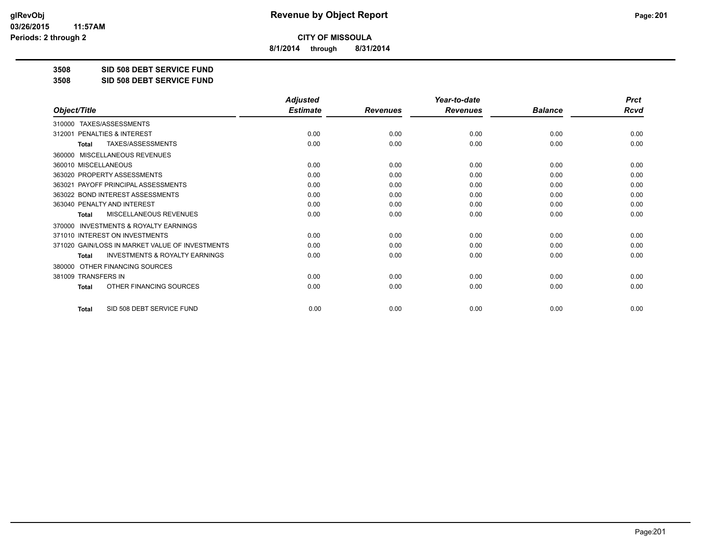**8/1/2014 through 8/31/2014**

**3508 SID 508 DEBT SERVICE FUND**

**3508 SID 508 DEBT SERVICE FUND**

|                                                           | <b>Adjusted</b> |                 | Year-to-date    |                | <b>Prct</b> |
|-----------------------------------------------------------|-----------------|-----------------|-----------------|----------------|-------------|
| Object/Title                                              | <b>Estimate</b> | <b>Revenues</b> | <b>Revenues</b> | <b>Balance</b> | <b>Rcvd</b> |
| TAXES/ASSESSMENTS<br>310000                               |                 |                 |                 |                |             |
| 312001 PENALTIES & INTEREST                               | 0.00            | 0.00            | 0.00            | 0.00           | 0.00        |
| TAXES/ASSESSMENTS<br><b>Total</b>                         | 0.00            | 0.00            | 0.00            | 0.00           | 0.00        |
| MISCELLANEOUS REVENUES<br>360000                          |                 |                 |                 |                |             |
| 360010 MISCELLANEOUS                                      | 0.00            | 0.00            | 0.00            | 0.00           | 0.00        |
| 363020 PROPERTY ASSESSMENTS                               | 0.00            | 0.00            | 0.00            | 0.00           | 0.00        |
| 363021 PAYOFF PRINCIPAL ASSESSMENTS                       | 0.00            | 0.00            | 0.00            | 0.00           | 0.00        |
| 363022 BOND INTEREST ASSESSMENTS                          | 0.00            | 0.00            | 0.00            | 0.00           | 0.00        |
| 363040 PENALTY AND INTEREST                               | 0.00            | 0.00            | 0.00            | 0.00           | 0.00        |
| <b>MISCELLANEOUS REVENUES</b><br><b>Total</b>             | 0.00            | 0.00            | 0.00            | 0.00           | 0.00        |
| <b>INVESTMENTS &amp; ROYALTY EARNINGS</b><br>370000       |                 |                 |                 |                |             |
| 371010 INTEREST ON INVESTMENTS                            | 0.00            | 0.00            | 0.00            | 0.00           | 0.00        |
| 371020 GAIN/LOSS IN MARKET VALUE OF INVESTMENTS           | 0.00            | 0.00            | 0.00            | 0.00           | 0.00        |
| <b>INVESTMENTS &amp; ROYALTY EARNINGS</b><br><b>Total</b> | 0.00            | 0.00            | 0.00            | 0.00           | 0.00        |
| OTHER FINANCING SOURCES<br>380000                         |                 |                 |                 |                |             |
| 381009 TRANSFERS IN                                       | 0.00            | 0.00            | 0.00            | 0.00           | 0.00        |
| OTHER FINANCING SOURCES<br><b>Total</b>                   | 0.00            | 0.00            | 0.00            | 0.00           | 0.00        |
| SID 508 DEBT SERVICE FUND<br><b>Total</b>                 | 0.00            | 0.00            | 0.00            | 0.00           | 0.00        |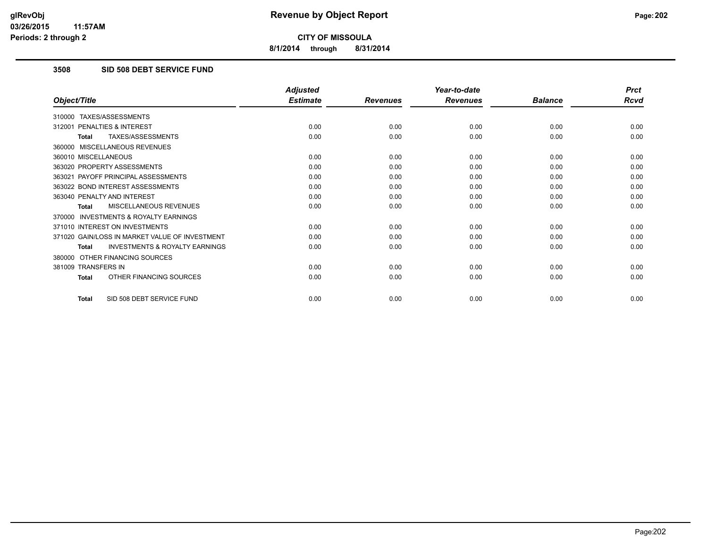**8/1/2014 through 8/31/2014**

### **3508 SID 508 DEBT SERVICE FUND**

|                                                           | <b>Adjusted</b> |                 | Year-to-date    |                | <b>Prct</b> |
|-----------------------------------------------------------|-----------------|-----------------|-----------------|----------------|-------------|
| Object/Title                                              | <b>Estimate</b> | <b>Revenues</b> | <b>Revenues</b> | <b>Balance</b> | <b>Rcvd</b> |
| 310000 TAXES/ASSESSMENTS                                  |                 |                 |                 |                |             |
| PENALTIES & INTEREST<br>312001                            | 0.00            | 0.00            | 0.00            | 0.00           | 0.00        |
| TAXES/ASSESSMENTS<br><b>Total</b>                         | 0.00            | 0.00            | 0.00            | 0.00           | 0.00        |
| 360000 MISCELLANEOUS REVENUES                             |                 |                 |                 |                |             |
| 360010 MISCELLANEOUS                                      | 0.00            | 0.00            | 0.00            | 0.00           | 0.00        |
| 363020 PROPERTY ASSESSMENTS                               | 0.00            | 0.00            | 0.00            | 0.00           | 0.00        |
| 363021 PAYOFF PRINCIPAL ASSESSMENTS                       | 0.00            | 0.00            | 0.00            | 0.00           | 0.00        |
| 363022 BOND INTEREST ASSESSMENTS                          | 0.00            | 0.00            | 0.00            | 0.00           | 0.00        |
| 363040 PENALTY AND INTEREST                               | 0.00            | 0.00            | 0.00            | 0.00           | 0.00        |
| MISCELLANEOUS REVENUES<br><b>Total</b>                    | 0.00            | 0.00            | 0.00            | 0.00           | 0.00        |
| <b>INVESTMENTS &amp; ROYALTY EARNINGS</b><br>370000       |                 |                 |                 |                |             |
| 371010 INTEREST ON INVESTMENTS                            | 0.00            | 0.00            | 0.00            | 0.00           | 0.00        |
| 371020 GAIN/LOSS IN MARKET VALUE OF INVESTMENT            | 0.00            | 0.00            | 0.00            | 0.00           | 0.00        |
| <b>INVESTMENTS &amp; ROYALTY EARNINGS</b><br><b>Total</b> | 0.00            | 0.00            | 0.00            | 0.00           | 0.00        |
| 380000 OTHER FINANCING SOURCES                            |                 |                 |                 |                |             |
| 381009 TRANSFERS IN                                       | 0.00            | 0.00            | 0.00            | 0.00           | 0.00        |
| OTHER FINANCING SOURCES<br><b>Total</b>                   | 0.00            | 0.00            | 0.00            | 0.00           | 0.00        |
| SID 508 DEBT SERVICE FUND<br><b>Total</b>                 | 0.00            | 0.00            | 0.00            | 0.00           | 0.00        |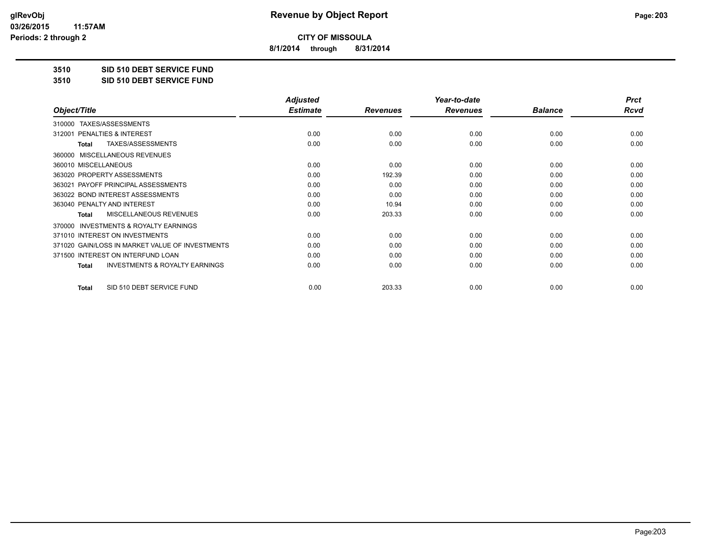**8/1/2014 through 8/31/2014**

**3510 SID 510 DEBT SERVICE FUND**

**3510 SID 510 DEBT SERVICE FUND**

|                                                           | <b>Adjusted</b> |                 | Year-to-date    |                | <b>Prct</b> |
|-----------------------------------------------------------|-----------------|-----------------|-----------------|----------------|-------------|
| Object/Title                                              | <b>Estimate</b> | <b>Revenues</b> | <b>Revenues</b> | <b>Balance</b> | <b>Rcvd</b> |
| 310000 TAXES/ASSESSMENTS                                  |                 |                 |                 |                |             |
| <b>PENALTIES &amp; INTEREST</b><br>312001                 | 0.00            | 0.00            | 0.00            | 0.00           | 0.00        |
| TAXES/ASSESSMENTS<br><b>Total</b>                         | 0.00            | 0.00            | 0.00            | 0.00           | 0.00        |
| MISCELLANEOUS REVENUES<br>360000                          |                 |                 |                 |                |             |
| 360010 MISCELLANEOUS                                      | 0.00            | 0.00            | 0.00            | 0.00           | 0.00        |
| 363020 PROPERTY ASSESSMENTS                               | 0.00            | 192.39          | 0.00            | 0.00           | 0.00        |
| 363021 PAYOFF PRINCIPAL ASSESSMENTS                       | 0.00            | 0.00            | 0.00            | 0.00           | 0.00        |
| 363022 BOND INTEREST ASSESSMENTS                          | 0.00            | 0.00            | 0.00            | 0.00           | 0.00        |
| 363040 PENALTY AND INTEREST                               | 0.00            | 10.94           | 0.00            | 0.00           | 0.00        |
| <b>MISCELLANEOUS REVENUES</b><br><b>Total</b>             | 0.00            | 203.33          | 0.00            | 0.00           | 0.00        |
| <b>INVESTMENTS &amp; ROYALTY EARNINGS</b><br>370000       |                 |                 |                 |                |             |
| 371010 INTEREST ON INVESTMENTS                            | 0.00            | 0.00            | 0.00            | 0.00           | 0.00        |
| 371020 GAIN/LOSS IN MARKET VALUE OF INVESTMENTS           | 0.00            | 0.00            | 0.00            | 0.00           | 0.00        |
| 371500 INTEREST ON INTERFUND LOAN                         | 0.00            | 0.00            | 0.00            | 0.00           | 0.00        |
| <b>INVESTMENTS &amp; ROYALTY EARNINGS</b><br><b>Total</b> | 0.00            | 0.00            | 0.00            | 0.00           | 0.00        |
| SID 510 DEBT SERVICE FUND<br><b>Total</b>                 | 0.00            | 203.33          | 0.00            | 0.00           | 0.00        |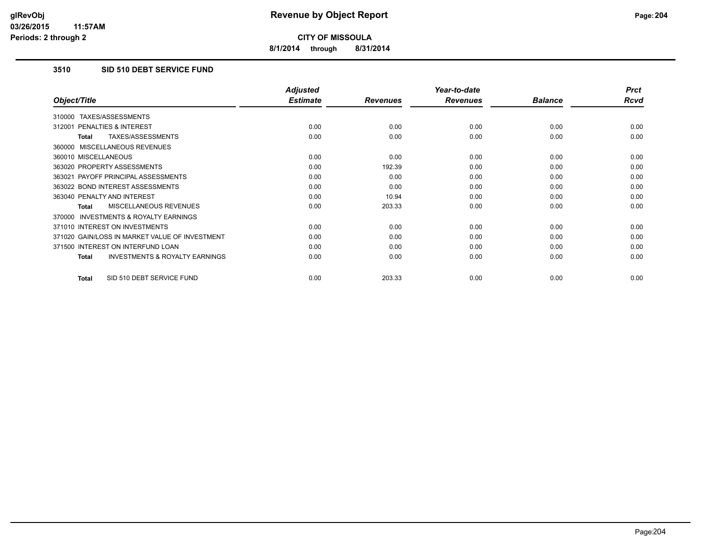**8/1/2014 through 8/31/2014**

# **3510 SID 510 DEBT SERVICE FUND**

|                                                     | <b>Adjusted</b> |                 | Year-to-date    |                | <b>Prct</b> |
|-----------------------------------------------------|-----------------|-----------------|-----------------|----------------|-------------|
| Object/Title                                        | <b>Estimate</b> | <b>Revenues</b> | <b>Revenues</b> | <b>Balance</b> | Rcvd        |
| TAXES/ASSESSMENTS<br>310000                         |                 |                 |                 |                |             |
| PENALTIES & INTEREST<br>312001                      | 0.00            | 0.00            | 0.00            | 0.00           | 0.00        |
| TAXES/ASSESSMENTS<br><b>Total</b>                   | 0.00            | 0.00            | 0.00            | 0.00           | 0.00        |
| 360000 MISCELLANEOUS REVENUES                       |                 |                 |                 |                |             |
| 360010 MISCELLANEOUS                                | 0.00            | 0.00            | 0.00            | 0.00           | 0.00        |
| 363020 PROPERTY ASSESSMENTS                         | 0.00            | 192.39          | 0.00            | 0.00           | 0.00        |
| 363021 PAYOFF PRINCIPAL ASSESSMENTS                 | 0.00            | 0.00            | 0.00            | 0.00           | 0.00        |
| 363022 BOND INTEREST ASSESSMENTS                    | 0.00            | 0.00            | 0.00            | 0.00           | 0.00        |
| 363040 PENALTY AND INTEREST                         | 0.00            | 10.94           | 0.00            | 0.00           | 0.00        |
| <b>MISCELLANEOUS REVENUES</b><br><b>Total</b>       | 0.00            | 203.33          | 0.00            | 0.00           | 0.00        |
| <b>INVESTMENTS &amp; ROYALTY EARNINGS</b><br>370000 |                 |                 |                 |                |             |
| 371010 INTEREST ON INVESTMENTS                      | 0.00            | 0.00            | 0.00            | 0.00           | 0.00        |
| 371020 GAIN/LOSS IN MARKET VALUE OF INVESTMENT      | 0.00            | 0.00            | 0.00            | 0.00           | 0.00        |
| 371500 INTEREST ON INTERFUND LOAN                   | 0.00            | 0.00            | 0.00            | 0.00           | 0.00        |
| <b>INVESTMENTS &amp; ROYALTY EARNINGS</b><br>Total  | 0.00            | 0.00            | 0.00            | 0.00           | 0.00        |
| SID 510 DEBT SERVICE FUND<br>Total                  | 0.00            | 203.33          | 0.00            | 0.00           | 0.00        |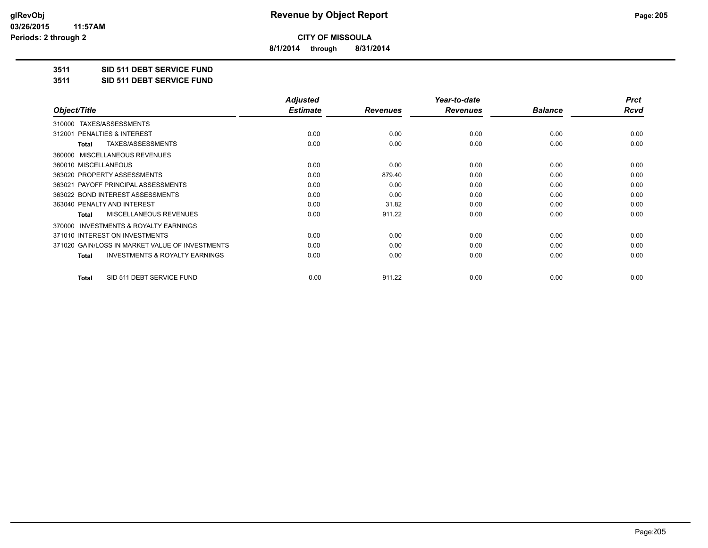**8/1/2014 through 8/31/2014**

**3511 SID 511 DEBT SERVICE FUND**

**3511 SID 511 DEBT SERVICE FUND**

|                                                           | <b>Adjusted</b> |                 | Year-to-date    |                | <b>Prct</b> |
|-----------------------------------------------------------|-----------------|-----------------|-----------------|----------------|-------------|
| Object/Title                                              | <b>Estimate</b> | <b>Revenues</b> | <b>Revenues</b> | <b>Balance</b> | Rcvd        |
| TAXES/ASSESSMENTS<br>310000                               |                 |                 |                 |                |             |
| 312001 PENALTIES & INTEREST                               | 0.00            | 0.00            | 0.00            | 0.00           | 0.00        |
| TAXES/ASSESSMENTS<br>Total                                | 0.00            | 0.00            | 0.00            | 0.00           | 0.00        |
| MISCELLANEOUS REVENUES<br>360000                          |                 |                 |                 |                |             |
| 360010 MISCELLANEOUS                                      | 0.00            | 0.00            | 0.00            | 0.00           | 0.00        |
| 363020 PROPERTY ASSESSMENTS                               | 0.00            | 879.40          | 0.00            | 0.00           | 0.00        |
| 363021 PAYOFF PRINCIPAL ASSESSMENTS                       | 0.00            | 0.00            | 0.00            | 0.00           | 0.00        |
| 363022 BOND INTEREST ASSESSMENTS                          | 0.00            | 0.00            | 0.00            | 0.00           | 0.00        |
| 363040 PENALTY AND INTEREST                               | 0.00            | 31.82           | 0.00            | 0.00           | 0.00        |
| MISCELLANEOUS REVENUES<br><b>Total</b>                    | 0.00            | 911.22          | 0.00            | 0.00           | 0.00        |
| <b>INVESTMENTS &amp; ROYALTY EARNINGS</b><br>370000       |                 |                 |                 |                |             |
| 371010 INTEREST ON INVESTMENTS                            | 0.00            | 0.00            | 0.00            | 0.00           | 0.00        |
| 371020 GAIN/LOSS IN MARKET VALUE OF INVESTMENTS           | 0.00            | 0.00            | 0.00            | 0.00           | 0.00        |
| <b>INVESTMENTS &amp; ROYALTY EARNINGS</b><br><b>Total</b> | 0.00            | 0.00            | 0.00            | 0.00           | 0.00        |
| SID 511 DEBT SERVICE FUND<br><b>Total</b>                 | 0.00            | 911.22          | 0.00            | 0.00           | 0.00        |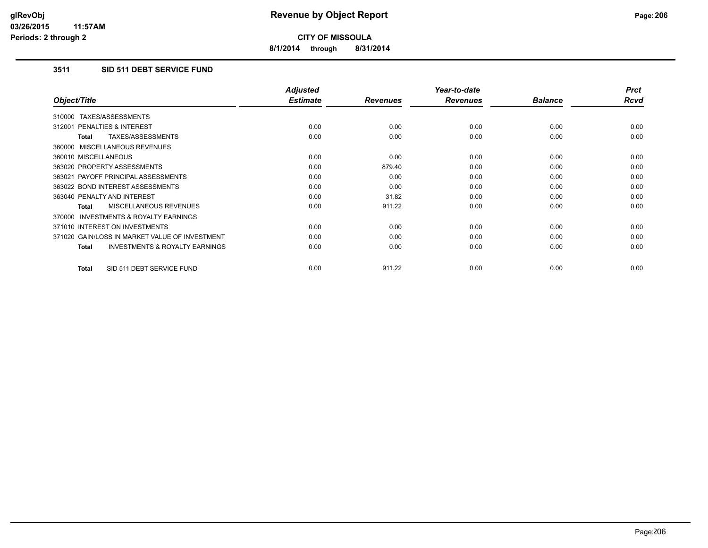**8/1/2014 through 8/31/2014**

# **3511 SID 511 DEBT SERVICE FUND**

|                                                           | <b>Adjusted</b> |                 | Year-to-date    |                | <b>Prct</b> |
|-----------------------------------------------------------|-----------------|-----------------|-----------------|----------------|-------------|
| Object/Title                                              | <b>Estimate</b> | <b>Revenues</b> | <b>Revenues</b> | <b>Balance</b> | <b>Rcvd</b> |
| 310000 TAXES/ASSESSMENTS                                  |                 |                 |                 |                |             |
| 312001 PENALTIES & INTEREST                               | 0.00            | 0.00            | 0.00            | 0.00           | 0.00        |
| TAXES/ASSESSMENTS<br><b>Total</b>                         | 0.00            | 0.00            | 0.00            | 0.00           | 0.00        |
| 360000 MISCELLANEOUS REVENUES                             |                 |                 |                 |                |             |
| 360010 MISCELLANEOUS                                      | 0.00            | 0.00            | 0.00            | 0.00           | 0.00        |
| 363020 PROPERTY ASSESSMENTS                               | 0.00            | 879.40          | 0.00            | 0.00           | 0.00        |
| 363021 PAYOFF PRINCIPAL ASSESSMENTS                       | 0.00            | 0.00            | 0.00            | 0.00           | 0.00        |
| 363022 BOND INTEREST ASSESSMENTS                          | 0.00            | 0.00            | 0.00            | 0.00           | 0.00        |
| 363040 PENALTY AND INTEREST                               | 0.00            | 31.82           | 0.00            | 0.00           | 0.00        |
| MISCELLANEOUS REVENUES<br><b>Total</b>                    | 0.00            | 911.22          | 0.00            | 0.00           | 0.00        |
| <b>INVESTMENTS &amp; ROYALTY EARNINGS</b><br>370000       |                 |                 |                 |                |             |
| 371010 INTEREST ON INVESTMENTS                            | 0.00            | 0.00            | 0.00            | 0.00           | 0.00        |
| 371020 GAIN/LOSS IN MARKET VALUE OF INVESTMENT            | 0.00            | 0.00            | 0.00            | 0.00           | 0.00        |
| <b>INVESTMENTS &amp; ROYALTY EARNINGS</b><br><b>Total</b> | 0.00            | 0.00            | 0.00            | 0.00           | 0.00        |
| SID 511 DEBT SERVICE FUND<br><b>Total</b>                 | 0.00            | 911.22          | 0.00            | 0.00           | 0.00        |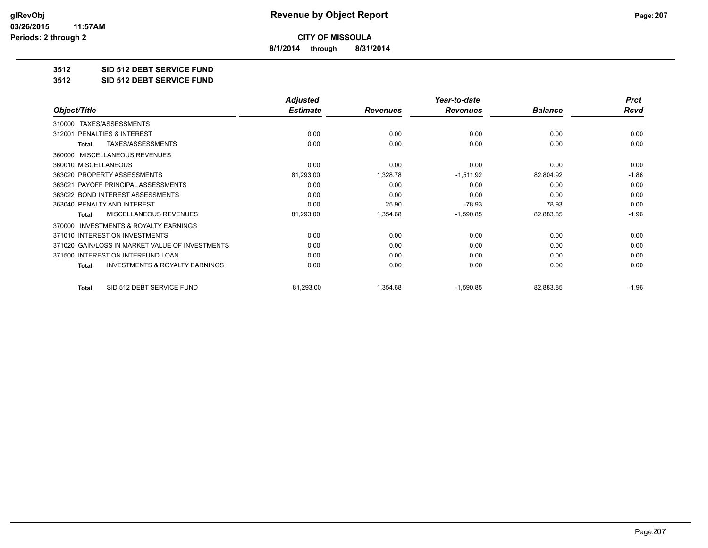**8/1/2014 through 8/31/2014**

#### **3512 SID 512 DEBT SERVICE FUND**

**3512 SID 512 DEBT SERVICE FUND**

|                                                           | <b>Adjusted</b> |                 | Year-to-date    |                | <b>Prct</b> |
|-----------------------------------------------------------|-----------------|-----------------|-----------------|----------------|-------------|
| Object/Title                                              | <b>Estimate</b> | <b>Revenues</b> | <b>Revenues</b> | <b>Balance</b> | Rcvd        |
| TAXES/ASSESSMENTS<br>310000                               |                 |                 |                 |                |             |
| PENALTIES & INTEREST<br>312001                            | 0.00            | 0.00            | 0.00            | 0.00           | 0.00        |
| TAXES/ASSESSMENTS<br><b>Total</b>                         | 0.00            | 0.00            | 0.00            | 0.00           | 0.00        |
| MISCELLANEOUS REVENUES<br>360000                          |                 |                 |                 |                |             |
| 360010 MISCELLANEOUS                                      | 0.00            | 0.00            | 0.00            | 0.00           | 0.00        |
| 363020 PROPERTY ASSESSMENTS                               | 81,293.00       | 1,328.78        | $-1,511.92$     | 82,804.92      | $-1.86$     |
| 363021 PAYOFF PRINCIPAL ASSESSMENTS                       | 0.00            | 0.00            | 0.00            | 0.00           | 0.00        |
| 363022 BOND INTEREST ASSESSMENTS                          | 0.00            | 0.00            | 0.00            | 0.00           | 0.00        |
| 363040 PENALTY AND INTEREST                               | 0.00            | 25.90           | $-78.93$        | 78.93          | 0.00        |
| <b>MISCELLANEOUS REVENUES</b><br>Total                    | 81,293.00       | 1,354.68        | $-1,590.85$     | 82,883.85      | $-1.96$     |
| <b>INVESTMENTS &amp; ROYALTY EARNINGS</b><br>370000       |                 |                 |                 |                |             |
| 371010 INTEREST ON INVESTMENTS                            | 0.00            | 0.00            | 0.00            | 0.00           | 0.00        |
| 371020 GAIN/LOSS IN MARKET VALUE OF INVESTMENTS           | 0.00            | 0.00            | 0.00            | 0.00           | 0.00        |
| 371500 INTEREST ON INTERFUND LOAN                         | 0.00            | 0.00            | 0.00            | 0.00           | 0.00        |
| <b>INVESTMENTS &amp; ROYALTY EARNINGS</b><br><b>Total</b> | 0.00            | 0.00            | 0.00            | 0.00           | 0.00        |
| SID 512 DEBT SERVICE FUND<br><b>Total</b>                 | 81,293.00       | 1,354.68        | $-1,590.85$     | 82,883.85      | $-1.96$     |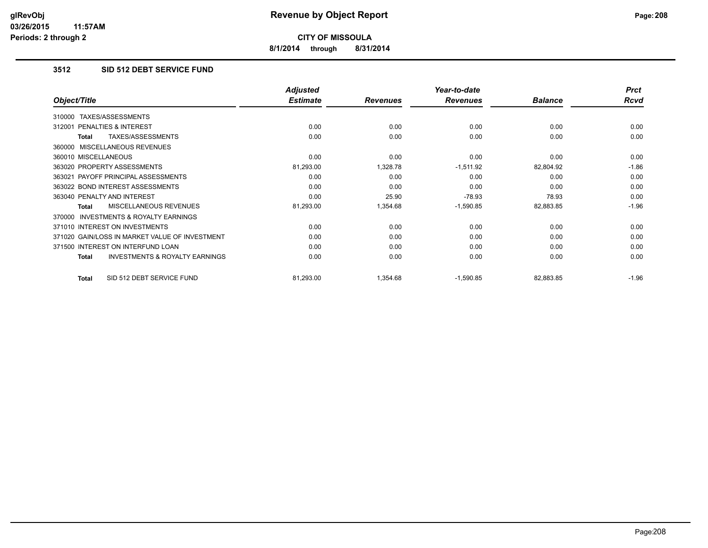**8/1/2014 through 8/31/2014**

# **3512 SID 512 DEBT SERVICE FUND**

|                                                    | <b>Adjusted</b> |                 | Year-to-date    |                | <b>Prct</b> |
|----------------------------------------------------|-----------------|-----------------|-----------------|----------------|-------------|
| Object/Title                                       | <b>Estimate</b> | <b>Revenues</b> | <b>Revenues</b> | <b>Balance</b> | Rcvd        |
| TAXES/ASSESSMENTS<br>310000                        |                 |                 |                 |                |             |
| 312001 PENALTIES & INTEREST                        | 0.00            | 0.00            | 0.00            | 0.00           | 0.00        |
| TAXES/ASSESSMENTS<br>Total                         | 0.00            | 0.00            | 0.00            | 0.00           | 0.00        |
| 360000 MISCELLANEOUS REVENUES                      |                 |                 |                 |                |             |
| 360010 MISCELLANEOUS                               | 0.00            | 0.00            | 0.00            | 0.00           | 0.00        |
| 363020 PROPERTY ASSESSMENTS                        | 81,293.00       | 1,328.78        | $-1,511.92$     | 82,804.92      | $-1.86$     |
| 363021 PAYOFF PRINCIPAL ASSESSMENTS                | 0.00            | 0.00            | 0.00            | 0.00           | 0.00        |
| 363022 BOND INTEREST ASSESSMENTS                   | 0.00            | 0.00            | 0.00            | 0.00           | 0.00        |
| 363040 PENALTY AND INTEREST                        | 0.00            | 25.90           | $-78.93$        | 78.93          | 0.00        |
| <b>MISCELLANEOUS REVENUES</b><br>Total             | 81,293.00       | 1,354.68        | $-1,590.85$     | 82,883.85      | $-1.96$     |
| 370000 INVESTMENTS & ROYALTY EARNINGS              |                 |                 |                 |                |             |
| 371010 INTEREST ON INVESTMENTS                     | 0.00            | 0.00            | 0.00            | 0.00           | 0.00        |
| 371020 GAIN/LOSS IN MARKET VALUE OF INVESTMENT     | 0.00            | 0.00            | 0.00            | 0.00           | 0.00        |
| 371500 INTEREST ON INTERFUND LOAN                  | 0.00            | 0.00            | 0.00            | 0.00           | 0.00        |
| <b>INVESTMENTS &amp; ROYALTY EARNINGS</b><br>Total | 0.00            | 0.00            | 0.00            | 0.00           | 0.00        |
| SID 512 DEBT SERVICE FUND<br>Total                 | 81,293.00       | 1,354.68        | $-1,590.85$     | 82,883.85      | $-1.96$     |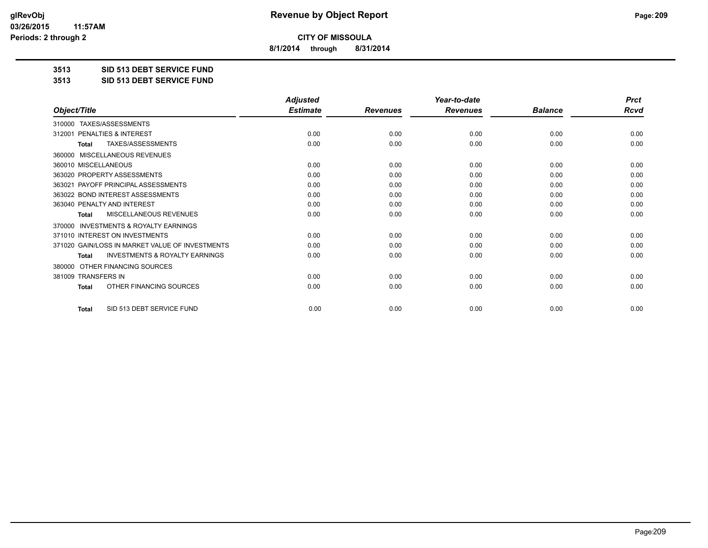**8/1/2014 through 8/31/2014**

**3513 SID 513 DEBT SERVICE FUND**

**3513 SID 513 DEBT SERVICE FUND**

|                                                           | <b>Adjusted</b> |                 | Year-to-date    |                | <b>Prct</b> |
|-----------------------------------------------------------|-----------------|-----------------|-----------------|----------------|-------------|
| Object/Title                                              | <b>Estimate</b> | <b>Revenues</b> | <b>Revenues</b> | <b>Balance</b> | <b>Rcvd</b> |
| TAXES/ASSESSMENTS<br>310000                               |                 |                 |                 |                |             |
| 312001 PENALTIES & INTEREST                               | 0.00            | 0.00            | 0.00            | 0.00           | 0.00        |
| TAXES/ASSESSMENTS<br><b>Total</b>                         | 0.00            | 0.00            | 0.00            | 0.00           | 0.00        |
| MISCELLANEOUS REVENUES<br>360000                          |                 |                 |                 |                |             |
| 360010 MISCELLANEOUS                                      | 0.00            | 0.00            | 0.00            | 0.00           | 0.00        |
| 363020 PROPERTY ASSESSMENTS                               | 0.00            | 0.00            | 0.00            | 0.00           | 0.00        |
| 363021 PAYOFF PRINCIPAL ASSESSMENTS                       | 0.00            | 0.00            | 0.00            | 0.00           | 0.00        |
| 363022 BOND INTEREST ASSESSMENTS                          | 0.00            | 0.00            | 0.00            | 0.00           | 0.00        |
| 363040 PENALTY AND INTEREST                               | 0.00            | 0.00            | 0.00            | 0.00           | 0.00        |
| <b>MISCELLANEOUS REVENUES</b><br><b>Total</b>             | 0.00            | 0.00            | 0.00            | 0.00           | 0.00        |
| <b>INVESTMENTS &amp; ROYALTY EARNINGS</b><br>370000       |                 |                 |                 |                |             |
| 371010 INTEREST ON INVESTMENTS                            | 0.00            | 0.00            | 0.00            | 0.00           | 0.00        |
| 371020 GAIN/LOSS IN MARKET VALUE OF INVESTMENTS           | 0.00            | 0.00            | 0.00            | 0.00           | 0.00        |
| <b>INVESTMENTS &amp; ROYALTY EARNINGS</b><br><b>Total</b> | 0.00            | 0.00            | 0.00            | 0.00           | 0.00        |
| OTHER FINANCING SOURCES<br>380000                         |                 |                 |                 |                |             |
| 381009 TRANSFERS IN                                       | 0.00            | 0.00            | 0.00            | 0.00           | 0.00        |
| OTHER FINANCING SOURCES<br>Total                          | 0.00            | 0.00            | 0.00            | 0.00           | 0.00        |
| SID 513 DEBT SERVICE FUND<br><b>Total</b>                 | 0.00            | 0.00            | 0.00            | 0.00           | 0.00        |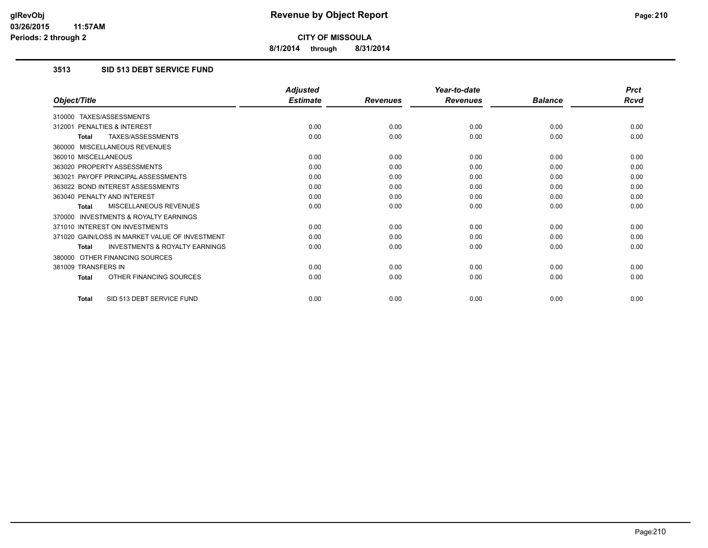**8/1/2014 through 8/31/2014**

### **3513 SID 513 DEBT SERVICE FUND**

|                                                           | <b>Adjusted</b> |                 | Year-to-date    |                | <b>Prct</b> |
|-----------------------------------------------------------|-----------------|-----------------|-----------------|----------------|-------------|
| Object/Title                                              | <b>Estimate</b> | <b>Revenues</b> | <b>Revenues</b> | <b>Balance</b> | <b>Rcvd</b> |
| 310000 TAXES/ASSESSMENTS                                  |                 |                 |                 |                |             |
| 312001 PENALTIES & INTEREST                               | 0.00            | 0.00            | 0.00            | 0.00           | 0.00        |
| TAXES/ASSESSMENTS<br><b>Total</b>                         | 0.00            | 0.00            | 0.00            | 0.00           | 0.00        |
| 360000 MISCELLANEOUS REVENUES                             |                 |                 |                 |                |             |
| 360010 MISCELLANEOUS                                      | 0.00            | 0.00            | 0.00            | 0.00           | 0.00        |
| 363020 PROPERTY ASSESSMENTS                               | 0.00            | 0.00            | 0.00            | 0.00           | 0.00        |
| 363021 PAYOFF PRINCIPAL ASSESSMENTS                       | 0.00            | 0.00            | 0.00            | 0.00           | 0.00        |
| 363022 BOND INTEREST ASSESSMENTS                          | 0.00            | 0.00            | 0.00            | 0.00           | 0.00        |
| 363040 PENALTY AND INTEREST                               | 0.00            | 0.00            | 0.00            | 0.00           | 0.00        |
| MISCELLANEOUS REVENUES<br><b>Total</b>                    | 0.00            | 0.00            | 0.00            | 0.00           | 0.00        |
| <b>INVESTMENTS &amp; ROYALTY EARNINGS</b><br>370000       |                 |                 |                 |                |             |
| 371010 INTEREST ON INVESTMENTS                            | 0.00            | 0.00            | 0.00            | 0.00           | 0.00        |
| 371020 GAIN/LOSS IN MARKET VALUE OF INVESTMENT            | 0.00            | 0.00            | 0.00            | 0.00           | 0.00        |
| <b>INVESTMENTS &amp; ROYALTY EARNINGS</b><br><b>Total</b> | 0.00            | 0.00            | 0.00            | 0.00           | 0.00        |
| 380000 OTHER FINANCING SOURCES                            |                 |                 |                 |                |             |
| 381009 TRANSFERS IN                                       | 0.00            | 0.00            | 0.00            | 0.00           | 0.00        |
| OTHER FINANCING SOURCES<br><b>Total</b>                   | 0.00            | 0.00            | 0.00            | 0.00           | 0.00        |
| SID 513 DEBT SERVICE FUND<br><b>Total</b>                 | 0.00            | 0.00            | 0.00            | 0.00           | 0.00        |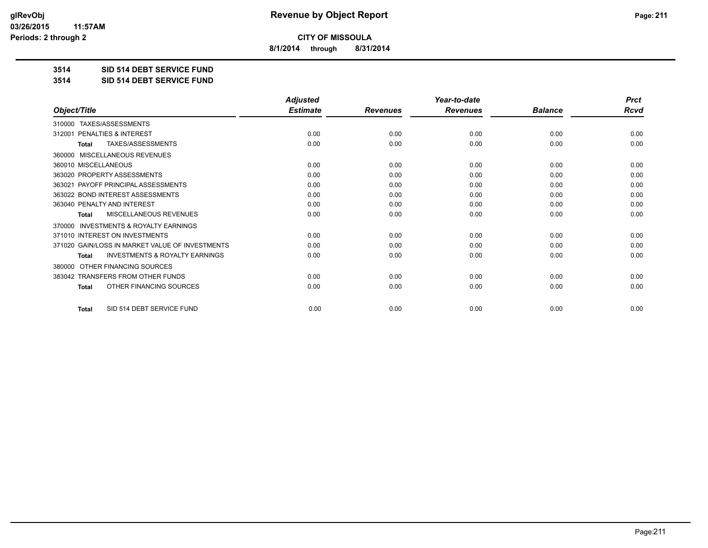**8/1/2014 through 8/31/2014**

**3514 SID 514 DEBT SERVICE FUND**

**3514 SID 514 DEBT SERVICE FUND**

|                                                     | <b>Adjusted</b> |                 | Year-to-date    |                | <b>Prct</b> |
|-----------------------------------------------------|-----------------|-----------------|-----------------|----------------|-------------|
| Object/Title                                        | <b>Estimate</b> | <b>Revenues</b> | <b>Revenues</b> | <b>Balance</b> | <b>Rcvd</b> |
| 310000 TAXES/ASSESSMENTS                            |                 |                 |                 |                |             |
| PENALTIES & INTEREST<br>312001                      | 0.00            | 0.00            | 0.00            | 0.00           | 0.00        |
| TAXES/ASSESSMENTS<br><b>Total</b>                   | 0.00            | 0.00            | 0.00            | 0.00           | 0.00        |
| MISCELLANEOUS REVENUES<br>360000                    |                 |                 |                 |                |             |
| 360010 MISCELLANEOUS                                | 0.00            | 0.00            | 0.00            | 0.00           | 0.00        |
| 363020 PROPERTY ASSESSMENTS                         | 0.00            | 0.00            | 0.00            | 0.00           | 0.00        |
| 363021 PAYOFF PRINCIPAL ASSESSMENTS                 | 0.00            | 0.00            | 0.00            | 0.00           | 0.00        |
| 363022 BOND INTEREST ASSESSMENTS                    | 0.00            | 0.00            | 0.00            | 0.00           | 0.00        |
| 363040 PENALTY AND INTEREST                         | 0.00            | 0.00            | 0.00            | 0.00           | 0.00        |
| MISCELLANEOUS REVENUES<br><b>Total</b>              | 0.00            | 0.00            | 0.00            | 0.00           | 0.00        |
| <b>INVESTMENTS &amp; ROYALTY EARNINGS</b><br>370000 |                 |                 |                 |                |             |
| 371010 INTEREST ON INVESTMENTS                      | 0.00            | 0.00            | 0.00            | 0.00           | 0.00        |
| 371020 GAIN/LOSS IN MARKET VALUE OF INVESTMENTS     | 0.00            | 0.00            | 0.00            | 0.00           | 0.00        |
| <b>INVESTMENTS &amp; ROYALTY EARNINGS</b><br>Total  | 0.00            | 0.00            | 0.00            | 0.00           | 0.00        |
| OTHER FINANCING SOURCES<br>380000                   |                 |                 |                 |                |             |
| 383042 TRANSFERS FROM OTHER FUNDS                   | 0.00            | 0.00            | 0.00            | 0.00           | 0.00        |
| OTHER FINANCING SOURCES<br>Total                    | 0.00            | 0.00            | 0.00            | 0.00           | 0.00        |
| SID 514 DEBT SERVICE FUND<br><b>Total</b>           | 0.00            | 0.00            | 0.00            | 0.00           | 0.00        |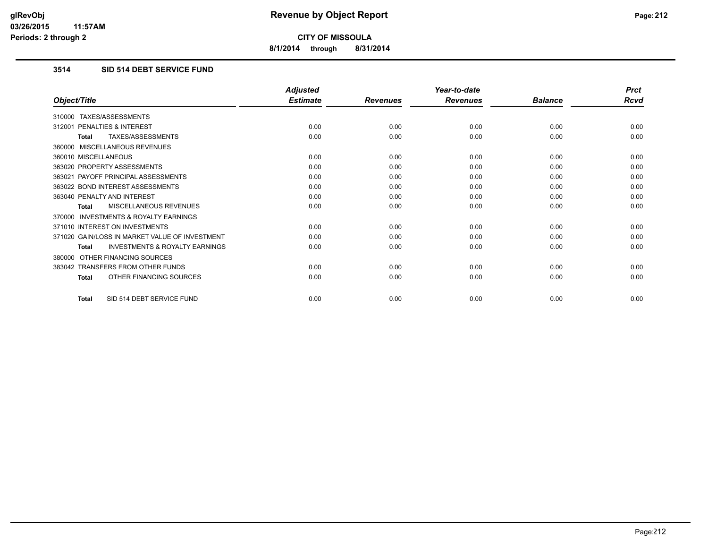**8/1/2014 through 8/31/2014**

# **3514 SID 514 DEBT SERVICE FUND**

|                                                           | <b>Adjusted</b> |                 | Year-to-date    |                | <b>Prct</b> |
|-----------------------------------------------------------|-----------------|-----------------|-----------------|----------------|-------------|
| Object/Title                                              | <b>Estimate</b> | <b>Revenues</b> | <b>Revenues</b> | <b>Balance</b> | Rcvd        |
| 310000 TAXES/ASSESSMENTS                                  |                 |                 |                 |                |             |
| 312001 PENALTIES & INTEREST                               | 0.00            | 0.00            | 0.00            | 0.00           | 0.00        |
| <b>TAXES/ASSESSMENTS</b><br><b>Total</b>                  | 0.00            | 0.00            | 0.00            | 0.00           | 0.00        |
| 360000 MISCELLANEOUS REVENUES                             |                 |                 |                 |                |             |
| 360010 MISCELLANEOUS                                      | 0.00            | 0.00            | 0.00            | 0.00           | 0.00        |
| 363020 PROPERTY ASSESSMENTS                               | 0.00            | 0.00            | 0.00            | 0.00           | 0.00        |
| 363021 PAYOFF PRINCIPAL ASSESSMENTS                       | 0.00            | 0.00            | 0.00            | 0.00           | 0.00        |
| 363022 BOND INTEREST ASSESSMENTS                          | 0.00            | 0.00            | 0.00            | 0.00           | 0.00        |
| 363040 PENALTY AND INTEREST                               | 0.00            | 0.00            | 0.00            | 0.00           | 0.00        |
| <b>MISCELLANEOUS REVENUES</b><br><b>Total</b>             | 0.00            | 0.00            | 0.00            | 0.00           | 0.00        |
| <b>INVESTMENTS &amp; ROYALTY EARNINGS</b><br>370000       |                 |                 |                 |                |             |
| 371010 INTEREST ON INVESTMENTS                            | 0.00            | 0.00            | 0.00            | 0.00           | 0.00        |
| 371020 GAIN/LOSS IN MARKET VALUE OF INVESTMENT            | 0.00            | 0.00            | 0.00            | 0.00           | 0.00        |
| <b>INVESTMENTS &amp; ROYALTY EARNINGS</b><br><b>Total</b> | 0.00            | 0.00            | 0.00            | 0.00           | 0.00        |
| OTHER FINANCING SOURCES<br>380000                         |                 |                 |                 |                |             |
| 383042 TRANSFERS FROM OTHER FUNDS                         | 0.00            | 0.00            | 0.00            | 0.00           | 0.00        |
| OTHER FINANCING SOURCES<br><b>Total</b>                   | 0.00            | 0.00            | 0.00            | 0.00           | 0.00        |
| SID 514 DEBT SERVICE FUND<br>Total                        | 0.00            | 0.00            | 0.00            | 0.00           | 0.00        |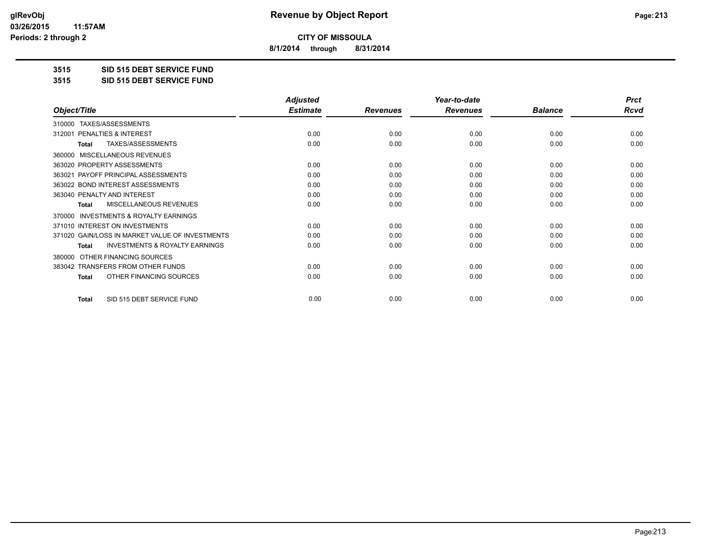**8/1/2014 through 8/31/2014**

**3515 SID 515 DEBT SERVICE FUND**

**3515 SID 515 DEBT SERVICE FUND**

|                                                     | <b>Adjusted</b> |                 | Year-to-date    |                | <b>Prct</b> |
|-----------------------------------------------------|-----------------|-----------------|-----------------|----------------|-------------|
| Object/Title                                        | <b>Estimate</b> | <b>Revenues</b> | <b>Revenues</b> | <b>Balance</b> | <b>Rcvd</b> |
| TAXES/ASSESSMENTS<br>310000                         |                 |                 |                 |                |             |
| PENALTIES & INTEREST<br>312001                      | 0.00            | 0.00            | 0.00            | 0.00           | 0.00        |
| TAXES/ASSESSMENTS<br>Total                          | 0.00            | 0.00            | 0.00            | 0.00           | 0.00        |
| MISCELLANEOUS REVENUES<br>360000                    |                 |                 |                 |                |             |
| 363020 PROPERTY ASSESSMENTS                         | 0.00            | 0.00            | 0.00            | 0.00           | 0.00        |
| PAYOFF PRINCIPAL ASSESSMENTS<br>363021              | 0.00            | 0.00            | 0.00            | 0.00           | 0.00        |
| 363022 BOND INTEREST ASSESSMENTS                    | 0.00            | 0.00            | 0.00            | 0.00           | 0.00        |
| 363040 PENALTY AND INTEREST                         | 0.00            | 0.00            | 0.00            | 0.00           | 0.00        |
| MISCELLANEOUS REVENUES<br>Total                     | 0.00            | 0.00            | 0.00            | 0.00           | 0.00        |
| <b>INVESTMENTS &amp; ROYALTY EARNINGS</b><br>370000 |                 |                 |                 |                |             |
| 371010 INTEREST ON INVESTMENTS                      | 0.00            | 0.00            | 0.00            | 0.00           | 0.00        |
| 371020 GAIN/LOSS IN MARKET VALUE OF INVESTMENTS     | 0.00            | 0.00            | 0.00            | 0.00           | 0.00        |
| <b>INVESTMENTS &amp; ROYALTY EARNINGS</b><br>Total  | 0.00            | 0.00            | 0.00            | 0.00           | 0.00        |
| OTHER FINANCING SOURCES<br>380000                   |                 |                 |                 |                |             |
| 383042 TRANSFERS FROM OTHER FUNDS                   | 0.00            | 0.00            | 0.00            | 0.00           | 0.00        |
| OTHER FINANCING SOURCES<br><b>Total</b>             | 0.00            | 0.00            | 0.00            | 0.00           | 0.00        |
| SID 515 DEBT SERVICE FUND<br><b>Total</b>           | 0.00            | 0.00            | 0.00            | 0.00           | 0.00        |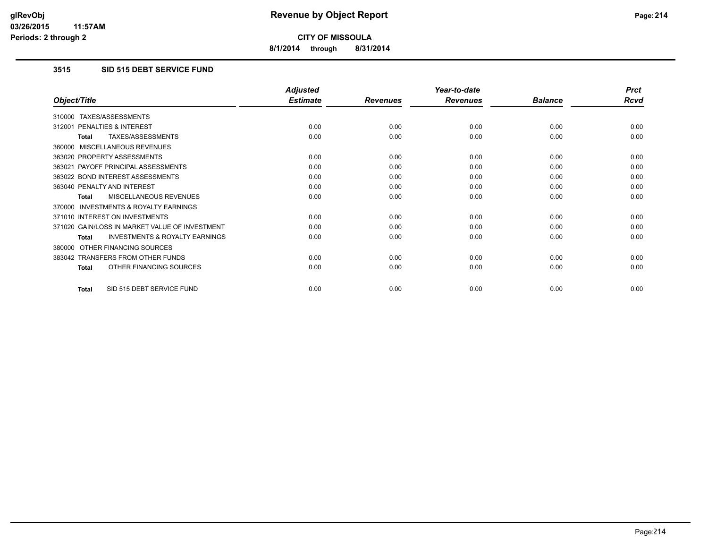**8/1/2014 through 8/31/2014**

### **3515 SID 515 DEBT SERVICE FUND**

|                                                           | <b>Adjusted</b> |                 | Year-to-date    |                | <b>Prct</b> |
|-----------------------------------------------------------|-----------------|-----------------|-----------------|----------------|-------------|
| Object/Title                                              | <b>Estimate</b> | <b>Revenues</b> | <b>Revenues</b> | <b>Balance</b> | <b>Rcvd</b> |
| TAXES/ASSESSMENTS<br>310000                               |                 |                 |                 |                |             |
| <b>PENALTIES &amp; INTEREST</b><br>312001                 | 0.00            | 0.00            | 0.00            | 0.00           | 0.00        |
| TAXES/ASSESSMENTS<br>Total                                | 0.00            | 0.00            | 0.00            | 0.00           | 0.00        |
| MISCELLANEOUS REVENUES<br>360000                          |                 |                 |                 |                |             |
| 363020 PROPERTY ASSESSMENTS                               | 0.00            | 0.00            | 0.00            | 0.00           | 0.00        |
| 363021 PAYOFF PRINCIPAL ASSESSMENTS                       | 0.00            | 0.00            | 0.00            | 0.00           | 0.00        |
| 363022 BOND INTEREST ASSESSMENTS                          | 0.00            | 0.00            | 0.00            | 0.00           | 0.00        |
| 363040 PENALTY AND INTEREST                               | 0.00            | 0.00            | 0.00            | 0.00           | 0.00        |
| <b>MISCELLANEOUS REVENUES</b><br><b>Total</b>             | 0.00            | 0.00            | 0.00            | 0.00           | 0.00        |
| <b>INVESTMENTS &amp; ROYALTY EARNINGS</b><br>370000       |                 |                 |                 |                |             |
| 371010 INTEREST ON INVESTMENTS                            | 0.00            | 0.00            | 0.00            | 0.00           | 0.00        |
| 371020 GAIN/LOSS IN MARKET VALUE OF INVESTMENT            | 0.00            | 0.00            | 0.00            | 0.00           | 0.00        |
| <b>INVESTMENTS &amp; ROYALTY EARNINGS</b><br><b>Total</b> | 0.00            | 0.00            | 0.00            | 0.00           | 0.00        |
| OTHER FINANCING SOURCES<br>380000                         |                 |                 |                 |                |             |
| 383042 TRANSFERS FROM OTHER FUNDS                         | 0.00            | 0.00            | 0.00            | 0.00           | 0.00        |
| OTHER FINANCING SOURCES<br><b>Total</b>                   | 0.00            | 0.00            | 0.00            | 0.00           | 0.00        |
| SID 515 DEBT SERVICE FUND<br><b>Total</b>                 | 0.00            | 0.00            | 0.00            | 0.00           | 0.00        |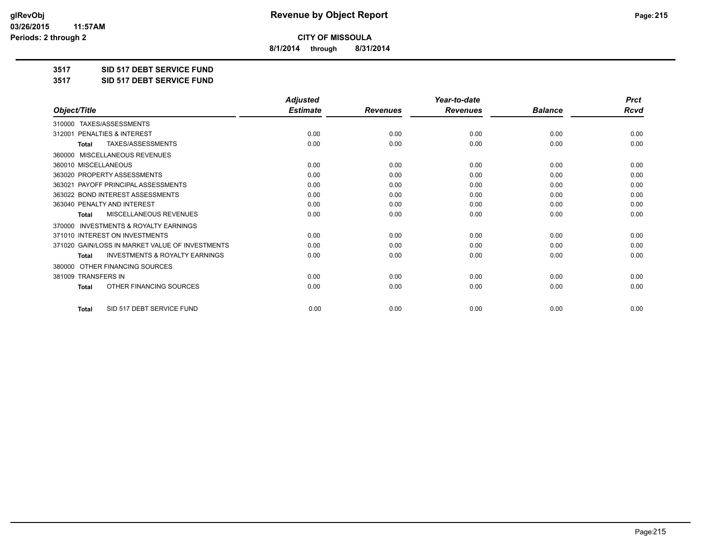**8/1/2014 through 8/31/2014**

**3517 SID 517 DEBT SERVICE FUND**

**3517 SID 517 DEBT SERVICE FUND**

|                                                           | <b>Adjusted</b> |                 | Year-to-date    |                | <b>Prct</b> |
|-----------------------------------------------------------|-----------------|-----------------|-----------------|----------------|-------------|
| Object/Title                                              | <b>Estimate</b> | <b>Revenues</b> | <b>Revenues</b> | <b>Balance</b> | <b>Rcvd</b> |
| TAXES/ASSESSMENTS<br>310000                               |                 |                 |                 |                |             |
| 312001 PENALTIES & INTEREST                               | 0.00            | 0.00            | 0.00            | 0.00           | 0.00        |
| TAXES/ASSESSMENTS<br><b>Total</b>                         | 0.00            | 0.00            | 0.00            | 0.00           | 0.00        |
| MISCELLANEOUS REVENUES<br>360000                          |                 |                 |                 |                |             |
| 360010 MISCELLANEOUS                                      | 0.00            | 0.00            | 0.00            | 0.00           | 0.00        |
| 363020 PROPERTY ASSESSMENTS                               | 0.00            | 0.00            | 0.00            | 0.00           | 0.00        |
| 363021 PAYOFF PRINCIPAL ASSESSMENTS                       | 0.00            | 0.00            | 0.00            | 0.00           | 0.00        |
| 363022 BOND INTEREST ASSESSMENTS                          | 0.00            | 0.00            | 0.00            | 0.00           | 0.00        |
| 363040 PENALTY AND INTEREST                               | 0.00            | 0.00            | 0.00            | 0.00           | 0.00        |
| <b>MISCELLANEOUS REVENUES</b><br><b>Total</b>             | 0.00            | 0.00            | 0.00            | 0.00           | 0.00        |
| <b>INVESTMENTS &amp; ROYALTY EARNINGS</b><br>370000       |                 |                 |                 |                |             |
| 371010 INTEREST ON INVESTMENTS                            | 0.00            | 0.00            | 0.00            | 0.00           | 0.00        |
| 371020 GAIN/LOSS IN MARKET VALUE OF INVESTMENTS           | 0.00            | 0.00            | 0.00            | 0.00           | 0.00        |
| <b>INVESTMENTS &amp; ROYALTY EARNINGS</b><br><b>Total</b> | 0.00            | 0.00            | 0.00            | 0.00           | 0.00        |
| OTHER FINANCING SOURCES<br>380000                         |                 |                 |                 |                |             |
| 381009 TRANSFERS IN                                       | 0.00            | 0.00            | 0.00            | 0.00           | 0.00        |
| OTHER FINANCING SOURCES<br>Total                          | 0.00            | 0.00            | 0.00            | 0.00           | 0.00        |
| SID 517 DEBT SERVICE FUND<br><b>Total</b>                 | 0.00            | 0.00            | 0.00            | 0.00           | 0.00        |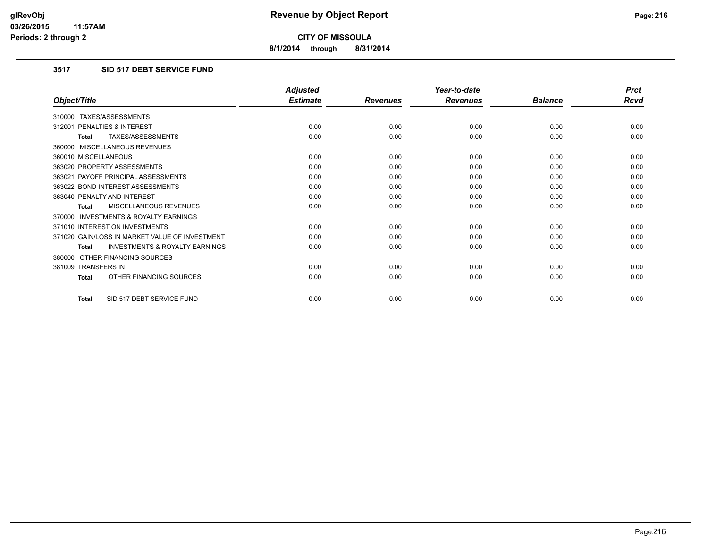**8/1/2014 through 8/31/2014**

# **3517 SID 517 DEBT SERVICE FUND**

|                                                           | <b>Adjusted</b> |                 | Year-to-date    |                | <b>Prct</b> |
|-----------------------------------------------------------|-----------------|-----------------|-----------------|----------------|-------------|
| Object/Title                                              | <b>Estimate</b> | <b>Revenues</b> | <b>Revenues</b> | <b>Balance</b> | <b>Rcvd</b> |
| 310000 TAXES/ASSESSMENTS                                  |                 |                 |                 |                |             |
| 312001 PENALTIES & INTEREST                               | 0.00            | 0.00            | 0.00            | 0.00           | 0.00        |
| TAXES/ASSESSMENTS<br><b>Total</b>                         | 0.00            | 0.00            | 0.00            | 0.00           | 0.00        |
| 360000 MISCELLANEOUS REVENUES                             |                 |                 |                 |                |             |
| 360010 MISCELLANEOUS                                      | 0.00            | 0.00            | 0.00            | 0.00           | 0.00        |
| 363020 PROPERTY ASSESSMENTS                               | 0.00            | 0.00            | 0.00            | 0.00           | 0.00        |
| 363021 PAYOFF PRINCIPAL ASSESSMENTS                       | 0.00            | 0.00            | 0.00            | 0.00           | 0.00        |
| 363022 BOND INTEREST ASSESSMENTS                          | 0.00            | 0.00            | 0.00            | 0.00           | 0.00        |
| 363040 PENALTY AND INTEREST                               | 0.00            | 0.00            | 0.00            | 0.00           | 0.00        |
| MISCELLANEOUS REVENUES<br><b>Total</b>                    | 0.00            | 0.00            | 0.00            | 0.00           | 0.00        |
| <b>INVESTMENTS &amp; ROYALTY EARNINGS</b><br>370000       |                 |                 |                 |                |             |
| 371010 INTEREST ON INVESTMENTS                            | 0.00            | 0.00            | 0.00            | 0.00           | 0.00        |
| 371020 GAIN/LOSS IN MARKET VALUE OF INVESTMENT            | 0.00            | 0.00            | 0.00            | 0.00           | 0.00        |
| <b>INVESTMENTS &amp; ROYALTY EARNINGS</b><br><b>Total</b> | 0.00            | 0.00            | 0.00            | 0.00           | 0.00        |
| 380000 OTHER FINANCING SOURCES                            |                 |                 |                 |                |             |
| 381009 TRANSFERS IN                                       | 0.00            | 0.00            | 0.00            | 0.00           | 0.00        |
| OTHER FINANCING SOURCES<br><b>Total</b>                   | 0.00            | 0.00            | 0.00            | 0.00           | 0.00        |
| SID 517 DEBT SERVICE FUND<br>Total                        | 0.00            | 0.00            | 0.00            | 0.00           | 0.00        |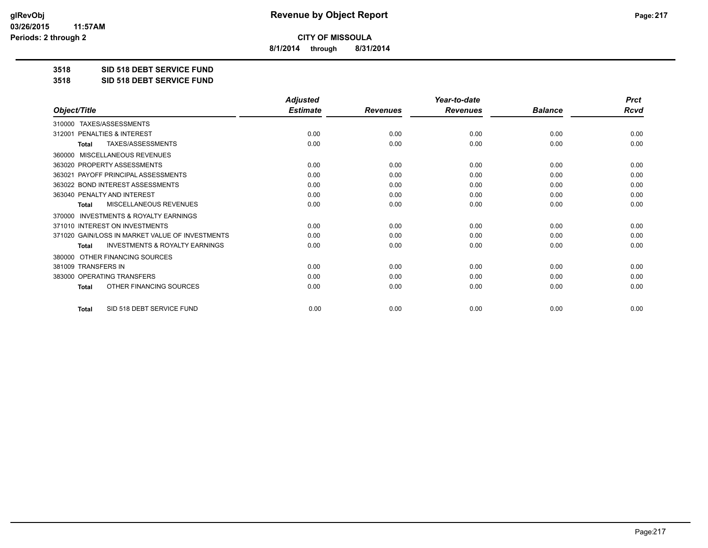**8/1/2014 through 8/31/2014**

**3518 SID 518 DEBT SERVICE FUND**

**3518 SID 518 DEBT SERVICE FUND**

|                                                           | <b>Adjusted</b> |                 | Year-to-date    |                | <b>Prct</b> |
|-----------------------------------------------------------|-----------------|-----------------|-----------------|----------------|-------------|
| Object/Title                                              | <b>Estimate</b> | <b>Revenues</b> | <b>Revenues</b> | <b>Balance</b> | <b>Rcvd</b> |
| 310000 TAXES/ASSESSMENTS                                  |                 |                 |                 |                |             |
| PENALTIES & INTEREST<br>312001                            | 0.00            | 0.00            | 0.00            | 0.00           | 0.00        |
| TAXES/ASSESSMENTS<br><b>Total</b>                         | 0.00            | 0.00            | 0.00            | 0.00           | 0.00        |
| <b>MISCELLANEOUS REVENUES</b><br>360000                   |                 |                 |                 |                |             |
| 363020 PROPERTY ASSESSMENTS                               | 0.00            | 0.00            | 0.00            | 0.00           | 0.00        |
| 363021 PAYOFF PRINCIPAL ASSESSMENTS                       | 0.00            | 0.00            | 0.00            | 0.00           | 0.00        |
| 363022 BOND INTEREST ASSESSMENTS                          | 0.00            | 0.00            | 0.00            | 0.00           | 0.00        |
| 363040 PENALTY AND INTEREST                               | 0.00            | 0.00            | 0.00            | 0.00           | 0.00        |
| MISCELLANEOUS REVENUES<br><b>Total</b>                    | 0.00            | 0.00            | 0.00            | 0.00           | 0.00        |
| <b>INVESTMENTS &amp; ROYALTY EARNINGS</b><br>370000       |                 |                 |                 |                |             |
| 371010 INTEREST ON INVESTMENTS                            | 0.00            | 0.00            | 0.00            | 0.00           | 0.00        |
| 371020 GAIN/LOSS IN MARKET VALUE OF INVESTMENTS           | 0.00            | 0.00            | 0.00            | 0.00           | 0.00        |
| <b>INVESTMENTS &amp; ROYALTY EARNINGS</b><br><b>Total</b> | 0.00            | 0.00            | 0.00            | 0.00           | 0.00        |
| OTHER FINANCING SOURCES<br>380000                         |                 |                 |                 |                |             |
| 381009 TRANSFERS IN                                       | 0.00            | 0.00            | 0.00            | 0.00           | 0.00        |
| 383000 OPERATING TRANSFERS                                | 0.00            | 0.00            | 0.00            | 0.00           | 0.00        |
| OTHER FINANCING SOURCES<br><b>Total</b>                   | 0.00            | 0.00            | 0.00            | 0.00           | 0.00        |
| SID 518 DEBT SERVICE FUND<br><b>Total</b>                 | 0.00            | 0.00            | 0.00            | 0.00           | 0.00        |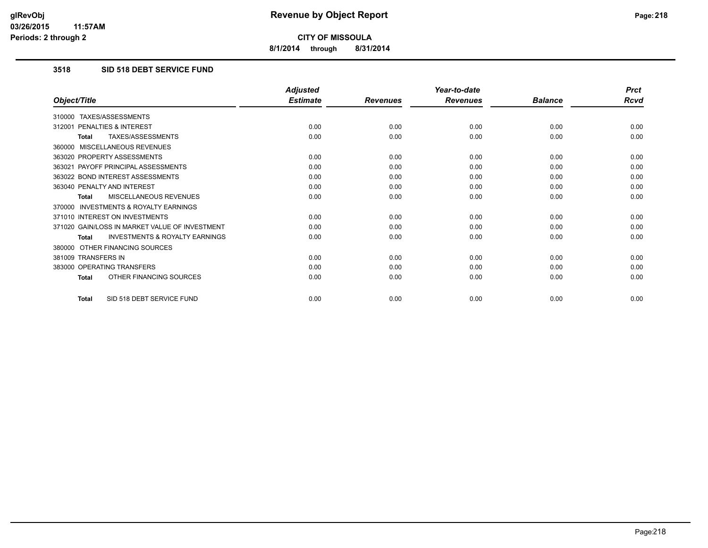**8/1/2014 through 8/31/2014**

# **3518 SID 518 DEBT SERVICE FUND**

|                                                           | <b>Adjusted</b> |                 | Year-to-date    |                | <b>Prct</b> |
|-----------------------------------------------------------|-----------------|-----------------|-----------------|----------------|-------------|
| Object/Title                                              | <b>Estimate</b> | <b>Revenues</b> | <b>Revenues</b> | <b>Balance</b> | <b>Rcvd</b> |
| 310000 TAXES/ASSESSMENTS                                  |                 |                 |                 |                |             |
| 312001 PENALTIES & INTEREST                               | 0.00            | 0.00            | 0.00            | 0.00           | 0.00        |
| <b>TAXES/ASSESSMENTS</b><br><b>Total</b>                  | 0.00            | 0.00            | 0.00            | 0.00           | 0.00        |
| 360000 MISCELLANEOUS REVENUES                             |                 |                 |                 |                |             |
| 363020 PROPERTY ASSESSMENTS                               | 0.00            | 0.00            | 0.00            | 0.00           | 0.00        |
| 363021 PAYOFF PRINCIPAL ASSESSMENTS                       | 0.00            | 0.00            | 0.00            | 0.00           | 0.00        |
| 363022 BOND INTEREST ASSESSMENTS                          | 0.00            | 0.00            | 0.00            | 0.00           | 0.00        |
| 363040 PENALTY AND INTEREST                               | 0.00            | 0.00            | 0.00            | 0.00           | 0.00        |
| MISCELLANEOUS REVENUES<br>Total                           | 0.00            | 0.00            | 0.00            | 0.00           | 0.00        |
| <b>INVESTMENTS &amp; ROYALTY EARNINGS</b><br>370000       |                 |                 |                 |                |             |
| 371010 INTEREST ON INVESTMENTS                            | 0.00            | 0.00            | 0.00            | 0.00           | 0.00        |
| 371020 GAIN/LOSS IN MARKET VALUE OF INVESTMENT            | 0.00            | 0.00            | 0.00            | 0.00           | 0.00        |
| <b>INVESTMENTS &amp; ROYALTY EARNINGS</b><br><b>Total</b> | 0.00            | 0.00            | 0.00            | 0.00           | 0.00        |
| 380000 OTHER FINANCING SOURCES                            |                 |                 |                 |                |             |
| 381009 TRANSFERS IN                                       | 0.00            | 0.00            | 0.00            | 0.00           | 0.00        |
| 383000 OPERATING TRANSFERS                                | 0.00            | 0.00            | 0.00            | 0.00           | 0.00        |
| OTHER FINANCING SOURCES<br><b>Total</b>                   | 0.00            | 0.00            | 0.00            | 0.00           | 0.00        |
| SID 518 DEBT SERVICE FUND<br><b>Total</b>                 | 0.00            | 0.00            | 0.00            | 0.00           | 0.00        |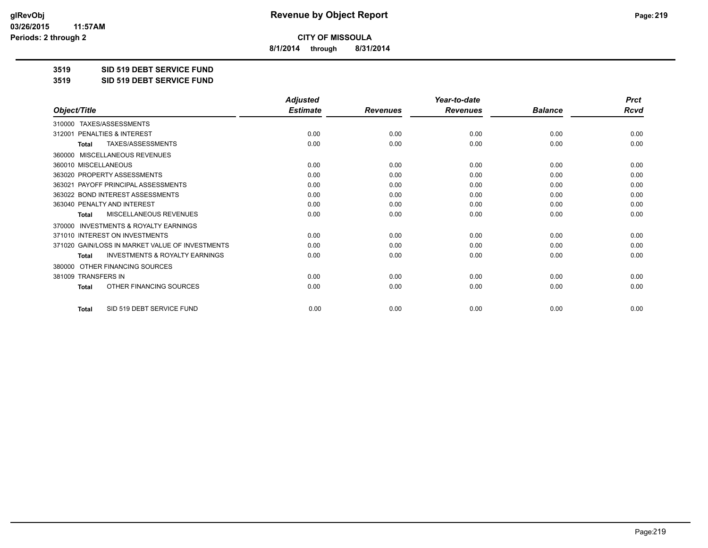**8/1/2014 through 8/31/2014**

**3519 SID 519 DEBT SERVICE FUND**

**3519 SID 519 DEBT SERVICE FUND**

|                                                           | <b>Adjusted</b> |                 | Year-to-date    |                | <b>Prct</b> |
|-----------------------------------------------------------|-----------------|-----------------|-----------------|----------------|-------------|
| Object/Title                                              | <b>Estimate</b> | <b>Revenues</b> | <b>Revenues</b> | <b>Balance</b> | <b>Rcvd</b> |
| TAXES/ASSESSMENTS<br>310000                               |                 |                 |                 |                |             |
| 312001 PENALTIES & INTEREST                               | 0.00            | 0.00            | 0.00            | 0.00           | 0.00        |
| TAXES/ASSESSMENTS<br><b>Total</b>                         | 0.00            | 0.00            | 0.00            | 0.00           | 0.00        |
| <b>MISCELLANEOUS REVENUES</b><br>360000                   |                 |                 |                 |                |             |
| 360010 MISCELLANEOUS                                      | 0.00            | 0.00            | 0.00            | 0.00           | 0.00        |
| 363020 PROPERTY ASSESSMENTS                               | 0.00            | 0.00            | 0.00            | 0.00           | 0.00        |
| 363021 PAYOFF PRINCIPAL ASSESSMENTS                       | 0.00            | 0.00            | 0.00            | 0.00           | 0.00        |
| 363022 BOND INTEREST ASSESSMENTS                          | 0.00            | 0.00            | 0.00            | 0.00           | 0.00        |
| 363040 PENALTY AND INTEREST                               | 0.00            | 0.00            | 0.00            | 0.00           | 0.00        |
| <b>MISCELLANEOUS REVENUES</b><br><b>Total</b>             | 0.00            | 0.00            | 0.00            | 0.00           | 0.00        |
| <b>INVESTMENTS &amp; ROYALTY EARNINGS</b><br>370000       |                 |                 |                 |                |             |
| 371010 INTEREST ON INVESTMENTS                            | 0.00            | 0.00            | 0.00            | 0.00           | 0.00        |
| 371020 GAIN/LOSS IN MARKET VALUE OF INVESTMENTS           | 0.00            | 0.00            | 0.00            | 0.00           | 0.00        |
| <b>INVESTMENTS &amp; ROYALTY EARNINGS</b><br><b>Total</b> | 0.00            | 0.00            | 0.00            | 0.00           | 0.00        |
| OTHER FINANCING SOURCES<br>380000                         |                 |                 |                 |                |             |
| 381009 TRANSFERS IN                                       | 0.00            | 0.00            | 0.00            | 0.00           | 0.00        |
| OTHER FINANCING SOURCES<br>Total                          | 0.00            | 0.00            | 0.00            | 0.00           | 0.00        |
| SID 519 DEBT SERVICE FUND<br><b>Total</b>                 | 0.00            | 0.00            | 0.00            | 0.00           | 0.00        |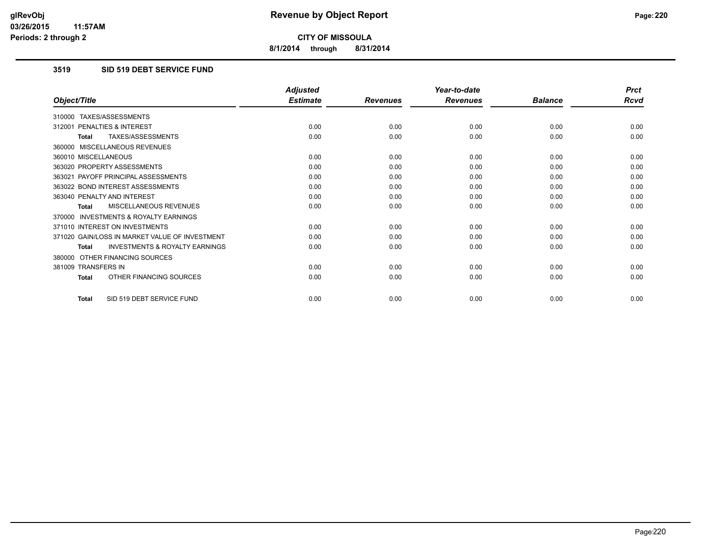**8/1/2014 through 8/31/2014**

# **3519 SID 519 DEBT SERVICE FUND**

|                                                           | <b>Adjusted</b> |                 | Year-to-date    |                | <b>Prct</b> |
|-----------------------------------------------------------|-----------------|-----------------|-----------------|----------------|-------------|
| Object/Title                                              | <b>Estimate</b> | <b>Revenues</b> | <b>Revenues</b> | <b>Balance</b> | <b>Rcvd</b> |
| 310000 TAXES/ASSESSMENTS                                  |                 |                 |                 |                |             |
| 312001 PENALTIES & INTEREST                               | 0.00            | 0.00            | 0.00            | 0.00           | 0.00        |
| TAXES/ASSESSMENTS<br><b>Total</b>                         | 0.00            | 0.00            | 0.00            | 0.00           | 0.00        |
| 360000 MISCELLANEOUS REVENUES                             |                 |                 |                 |                |             |
| 360010 MISCELLANEOUS                                      | 0.00            | 0.00            | 0.00            | 0.00           | 0.00        |
| 363020 PROPERTY ASSESSMENTS                               | 0.00            | 0.00            | 0.00            | 0.00           | 0.00        |
| 363021 PAYOFF PRINCIPAL ASSESSMENTS                       | 0.00            | 0.00            | 0.00            | 0.00           | 0.00        |
| 363022 BOND INTEREST ASSESSMENTS                          | 0.00            | 0.00            | 0.00            | 0.00           | 0.00        |
| 363040 PENALTY AND INTEREST                               | 0.00            | 0.00            | 0.00            | 0.00           | 0.00        |
| MISCELLANEOUS REVENUES<br><b>Total</b>                    | 0.00            | 0.00            | 0.00            | 0.00           | 0.00        |
| <b>INVESTMENTS &amp; ROYALTY EARNINGS</b><br>370000       |                 |                 |                 |                |             |
| 371010 INTEREST ON INVESTMENTS                            | 0.00            | 0.00            | 0.00            | 0.00           | 0.00        |
| 371020 GAIN/LOSS IN MARKET VALUE OF INVESTMENT            | 0.00            | 0.00            | 0.00            | 0.00           | 0.00        |
| <b>INVESTMENTS &amp; ROYALTY EARNINGS</b><br><b>Total</b> | 0.00            | 0.00            | 0.00            | 0.00           | 0.00        |
| 380000 OTHER FINANCING SOURCES                            |                 |                 |                 |                |             |
| 381009 TRANSFERS IN                                       | 0.00            | 0.00            | 0.00            | 0.00           | 0.00        |
| OTHER FINANCING SOURCES<br><b>Total</b>                   | 0.00            | 0.00            | 0.00            | 0.00           | 0.00        |
| SID 519 DEBT SERVICE FUND<br>Total                        | 0.00            | 0.00            | 0.00            | 0.00           | 0.00        |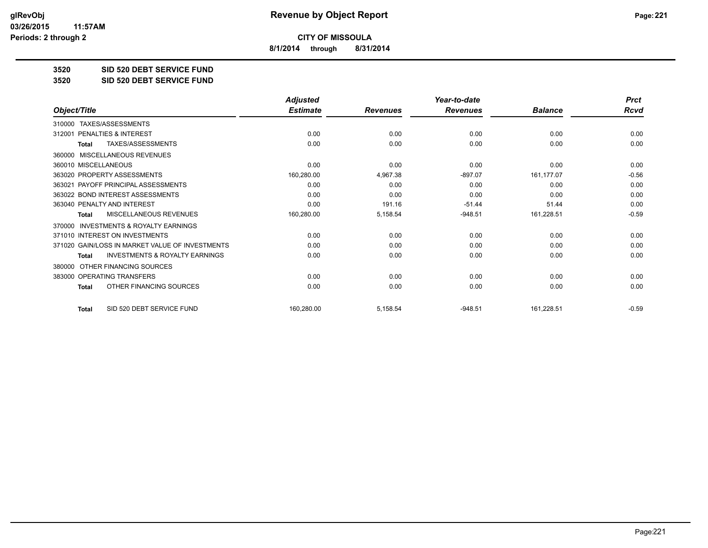**8/1/2014 through 8/31/2014**

**3520 SID 520 DEBT SERVICE FUND**

**3520 SID 520 DEBT SERVICE FUND**

|                                                     | <b>Adjusted</b> |                 | Year-to-date    |                | <b>Prct</b> |
|-----------------------------------------------------|-----------------|-----------------|-----------------|----------------|-------------|
| Object/Title                                        | <b>Estimate</b> | <b>Revenues</b> | <b>Revenues</b> | <b>Balance</b> | <b>Rcvd</b> |
| TAXES/ASSESSMENTS<br>310000                         |                 |                 |                 |                |             |
| <b>PENALTIES &amp; INTEREST</b><br>312001           | 0.00            | 0.00            | 0.00            | 0.00           | 0.00        |
| TAXES/ASSESSMENTS<br><b>Total</b>                   | 0.00            | 0.00            | 0.00            | 0.00           | 0.00        |
| <b>MISCELLANEOUS REVENUES</b><br>360000             |                 |                 |                 |                |             |
| 360010 MISCELLANEOUS                                | 0.00            | 0.00            | 0.00            | 0.00           | 0.00        |
| 363020 PROPERTY ASSESSMENTS                         | 160,280.00      | 4,967.38        | $-897.07$       | 161,177.07     | $-0.56$     |
| PAYOFF PRINCIPAL ASSESSMENTS<br>363021              | 0.00            | 0.00            | 0.00            | 0.00           | 0.00        |
| 363022 BOND INTEREST ASSESSMENTS                    | 0.00            | 0.00            | 0.00            | 0.00           | 0.00        |
| 363040 PENALTY AND INTEREST                         | 0.00            | 191.16          | $-51.44$        | 51.44          | 0.00        |
| MISCELLANEOUS REVENUES<br><b>Total</b>              | 160,280.00      | 5,158.54        | $-948.51$       | 161,228.51     | $-0.59$     |
| <b>INVESTMENTS &amp; ROYALTY EARNINGS</b><br>370000 |                 |                 |                 |                |             |
| 371010 INTEREST ON INVESTMENTS                      | 0.00            | 0.00            | 0.00            | 0.00           | 0.00        |
| 371020 GAIN/LOSS IN MARKET VALUE OF INVESTMENTS     | 0.00            | 0.00            | 0.00            | 0.00           | 0.00        |
| <b>INVESTMENTS &amp; ROYALTY EARNINGS</b><br>Total  | 0.00            | 0.00            | 0.00            | 0.00           | 0.00        |
| OTHER FINANCING SOURCES<br>380000                   |                 |                 |                 |                |             |
| 383000 OPERATING TRANSFERS                          | 0.00            | 0.00            | 0.00            | 0.00           | 0.00        |
| OTHER FINANCING SOURCES<br>Total                    | 0.00            | 0.00            | 0.00            | 0.00           | 0.00        |
| SID 520 DEBT SERVICE FUND<br><b>Total</b>           | 160,280.00      | 5,158.54        | $-948.51$       | 161,228.51     | $-0.59$     |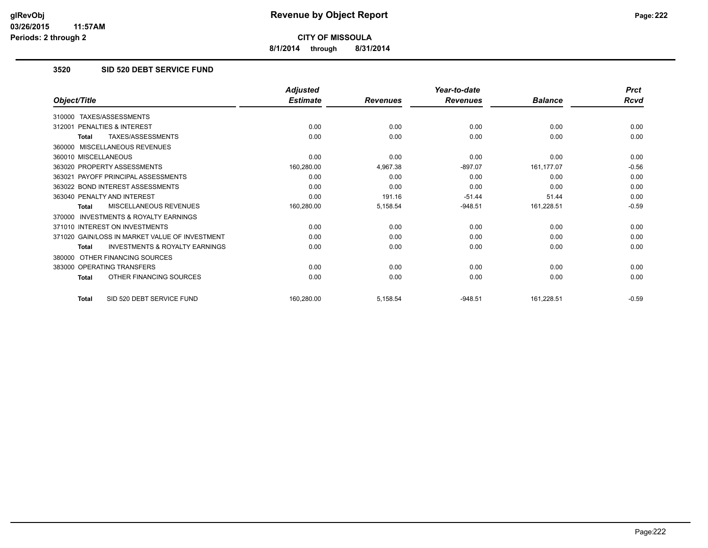**8/1/2014 through 8/31/2014**

# **3520 SID 520 DEBT SERVICE FUND**

|                                                           | <b>Adjusted</b> |                 | Year-to-date    |                | <b>Prct</b> |
|-----------------------------------------------------------|-----------------|-----------------|-----------------|----------------|-------------|
| Object/Title                                              | <b>Estimate</b> | <b>Revenues</b> | <b>Revenues</b> | <b>Balance</b> | Rcvd        |
| TAXES/ASSESSMENTS<br>310000                               |                 |                 |                 |                |             |
| PENALTIES & INTEREST<br>312001                            | 0.00            | 0.00            | 0.00            | 0.00           | 0.00        |
| TAXES/ASSESSMENTS<br><b>Total</b>                         | 0.00            | 0.00            | 0.00            | 0.00           | 0.00        |
| MISCELLANEOUS REVENUES<br>360000                          |                 |                 |                 |                |             |
| 360010 MISCELLANEOUS                                      | 0.00            | 0.00            | 0.00            | 0.00           | 0.00        |
| 363020 PROPERTY ASSESSMENTS                               | 160,280.00      | 4,967.38        | $-897.07$       | 161,177.07     | $-0.56$     |
| 363021 PAYOFF PRINCIPAL ASSESSMENTS                       | 0.00            | 0.00            | 0.00            | 0.00           | 0.00        |
| 363022 BOND INTEREST ASSESSMENTS                          | 0.00            | 0.00            | 0.00            | 0.00           | 0.00        |
| 363040 PENALTY AND INTEREST                               | 0.00            | 191.16          | $-51.44$        | 51.44          | 0.00        |
| MISCELLANEOUS REVENUES<br><b>Total</b>                    | 160,280.00      | 5,158.54        | $-948.51$       | 161,228.51     | $-0.59$     |
| INVESTMENTS & ROYALTY EARNINGS<br>370000                  |                 |                 |                 |                |             |
| 371010 INTEREST ON INVESTMENTS                            | 0.00            | 0.00            | 0.00            | 0.00           | 0.00        |
| 371020 GAIN/LOSS IN MARKET VALUE OF INVESTMENT            | 0.00            | 0.00            | 0.00            | 0.00           | 0.00        |
| <b>INVESTMENTS &amp; ROYALTY EARNINGS</b><br><b>Total</b> | 0.00            | 0.00            | 0.00            | 0.00           | 0.00        |
| OTHER FINANCING SOURCES<br>380000                         |                 |                 |                 |                |             |
| 383000 OPERATING TRANSFERS                                | 0.00            | 0.00            | 0.00            | 0.00           | 0.00        |
| OTHER FINANCING SOURCES<br><b>Total</b>                   | 0.00            | 0.00            | 0.00            | 0.00           | 0.00        |
| SID 520 DEBT SERVICE FUND<br><b>Total</b>                 | 160,280.00      | 5,158.54        | $-948.51$       | 161,228.51     | $-0.59$     |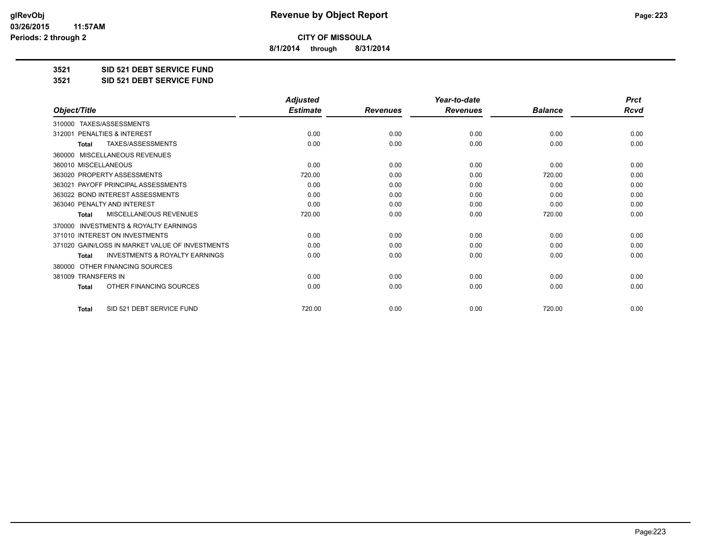**8/1/2014 through 8/31/2014**

**3521 SID 521 DEBT SERVICE FUND**

**3521 SID 521 DEBT SERVICE FUND**

|                                                           | <b>Adjusted</b> |                 | Year-to-date    |                | <b>Prct</b> |
|-----------------------------------------------------------|-----------------|-----------------|-----------------|----------------|-------------|
| Object/Title                                              | <b>Estimate</b> | <b>Revenues</b> | <b>Revenues</b> | <b>Balance</b> | <b>Rcvd</b> |
| TAXES/ASSESSMENTS<br>310000                               |                 |                 |                 |                |             |
| 312001 PENALTIES & INTEREST                               | 0.00            | 0.00            | 0.00            | 0.00           | 0.00        |
| TAXES/ASSESSMENTS<br><b>Total</b>                         | 0.00            | 0.00            | 0.00            | 0.00           | 0.00        |
| MISCELLANEOUS REVENUES<br>360000                          |                 |                 |                 |                |             |
| 360010 MISCELLANEOUS                                      | 0.00            | 0.00            | 0.00            | 0.00           | 0.00        |
| 363020 PROPERTY ASSESSMENTS                               | 720.00          | 0.00            | 0.00            | 720.00         | 0.00        |
| 363021 PAYOFF PRINCIPAL ASSESSMENTS                       | 0.00            | 0.00            | 0.00            | 0.00           | 0.00        |
| 363022 BOND INTEREST ASSESSMENTS                          | 0.00            | 0.00            | 0.00            | 0.00           | 0.00        |
| 363040 PENALTY AND INTEREST                               | 0.00            | 0.00            | 0.00            | 0.00           | 0.00        |
| <b>MISCELLANEOUS REVENUES</b><br><b>Total</b>             | 720.00          | 0.00            | 0.00            | 720.00         | 0.00        |
| <b>INVESTMENTS &amp; ROYALTY EARNINGS</b><br>370000       |                 |                 |                 |                |             |
| 371010 INTEREST ON INVESTMENTS                            | 0.00            | 0.00            | 0.00            | 0.00           | 0.00        |
| 371020 GAIN/LOSS IN MARKET VALUE OF INVESTMENTS           | 0.00            | 0.00            | 0.00            | 0.00           | 0.00        |
| <b>INVESTMENTS &amp; ROYALTY EARNINGS</b><br><b>Total</b> | 0.00            | 0.00            | 0.00            | 0.00           | 0.00        |
| OTHER FINANCING SOURCES<br>380000                         |                 |                 |                 |                |             |
| 381009 TRANSFERS IN                                       | 0.00            | 0.00            | 0.00            | 0.00           | 0.00        |
| OTHER FINANCING SOURCES<br><b>Total</b>                   | 0.00            | 0.00            | 0.00            | 0.00           | 0.00        |
| SID 521 DEBT SERVICE FUND<br><b>Total</b>                 | 720.00          | 0.00            | 0.00            | 720.00         | 0.00        |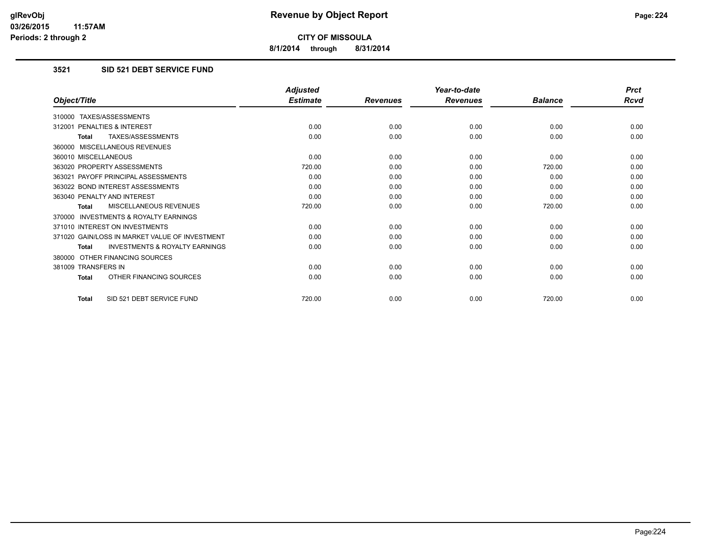**8/1/2014 through 8/31/2014**

# **3521 SID 521 DEBT SERVICE FUND**

|                                                           | <b>Adjusted</b> |                 | Year-to-date    |                | <b>Prct</b> |
|-----------------------------------------------------------|-----------------|-----------------|-----------------|----------------|-------------|
| Object/Title                                              | <b>Estimate</b> | <b>Revenues</b> | <b>Revenues</b> | <b>Balance</b> | Rcvd        |
| 310000 TAXES/ASSESSMENTS                                  |                 |                 |                 |                |             |
| 312001 PENALTIES & INTEREST                               | 0.00            | 0.00            | 0.00            | 0.00           | 0.00        |
| <b>TAXES/ASSESSMENTS</b><br><b>Total</b>                  | 0.00            | 0.00            | 0.00            | 0.00           | 0.00        |
| 360000 MISCELLANEOUS REVENUES                             |                 |                 |                 |                |             |
| 360010 MISCELLANEOUS                                      | 0.00            | 0.00            | 0.00            | 0.00           | 0.00        |
| 363020 PROPERTY ASSESSMENTS                               | 720.00          | 0.00            | 0.00            | 720.00         | 0.00        |
| 363021 PAYOFF PRINCIPAL ASSESSMENTS                       | 0.00            | 0.00            | 0.00            | 0.00           | 0.00        |
| 363022 BOND INTEREST ASSESSMENTS                          | 0.00            | 0.00            | 0.00            | 0.00           | 0.00        |
| 363040 PENALTY AND INTEREST                               | 0.00            | 0.00            | 0.00            | 0.00           | 0.00        |
| <b>MISCELLANEOUS REVENUES</b><br><b>Total</b>             | 720.00          | 0.00            | 0.00            | 720.00         | 0.00        |
| <b>INVESTMENTS &amp; ROYALTY EARNINGS</b><br>370000       |                 |                 |                 |                |             |
| 371010 INTEREST ON INVESTMENTS                            | 0.00            | 0.00            | 0.00            | 0.00           | 0.00        |
| 371020 GAIN/LOSS IN MARKET VALUE OF INVESTMENT            | 0.00            | 0.00            | 0.00            | 0.00           | 0.00        |
| <b>INVESTMENTS &amp; ROYALTY EARNINGS</b><br><b>Total</b> | 0.00            | 0.00            | 0.00            | 0.00           | 0.00        |
| 380000 OTHER FINANCING SOURCES                            |                 |                 |                 |                |             |
| 381009 TRANSFERS IN                                       | 0.00            | 0.00            | 0.00            | 0.00           | 0.00        |
| OTHER FINANCING SOURCES<br><b>Total</b>                   | 0.00            | 0.00            | 0.00            | 0.00           | 0.00        |
| SID 521 DEBT SERVICE FUND<br>Total                        | 720.00          | 0.00            | 0.00            | 720.00         | 0.00        |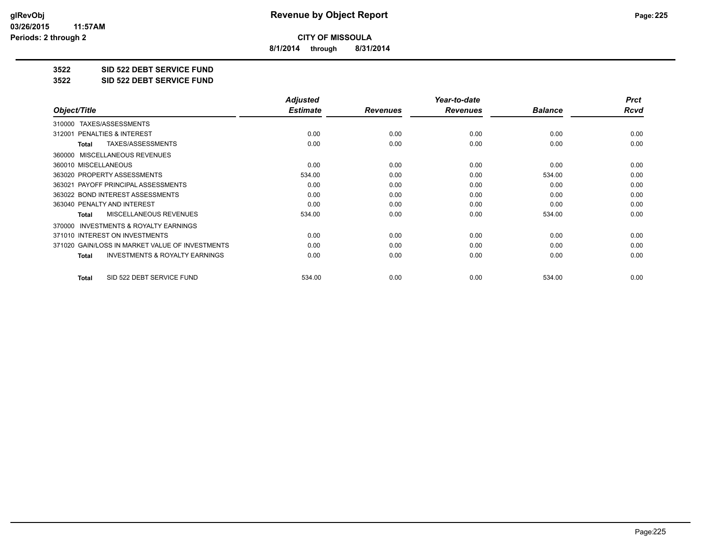**8/1/2014 through 8/31/2014**

**3522 SID 522 DEBT SERVICE FUND**

**3522 SID 522 DEBT SERVICE FUND**

|                                                    | <b>Adjusted</b> |                 | Year-to-date    |                | <b>Prct</b> |
|----------------------------------------------------|-----------------|-----------------|-----------------|----------------|-------------|
| Object/Title                                       | <b>Estimate</b> | <b>Revenues</b> | <b>Revenues</b> | <b>Balance</b> | Rcvd        |
| TAXES/ASSESSMENTS<br>310000                        |                 |                 |                 |                |             |
| PENALTIES & INTEREST<br>312001                     | 0.00            | 0.00            | 0.00            | 0.00           | 0.00        |
| TAXES/ASSESSMENTS<br>Total                         | 0.00            | 0.00            | 0.00            | 0.00           | 0.00        |
| 360000 MISCELLANEOUS REVENUES                      |                 |                 |                 |                |             |
| 360010 MISCELLANEOUS                               | 0.00            | 0.00            | 0.00            | 0.00           | 0.00        |
| 363020 PROPERTY ASSESSMENTS                        | 534.00          | 0.00            | 0.00            | 534.00         | 0.00        |
| 363021 PAYOFF PRINCIPAL ASSESSMENTS                | 0.00            | 0.00            | 0.00            | 0.00           | 0.00        |
| 363022 BOND INTEREST ASSESSMENTS                   | 0.00            | 0.00            | 0.00            | 0.00           | 0.00        |
| 363040 PENALTY AND INTEREST                        | 0.00            | 0.00            | 0.00            | 0.00           | 0.00        |
| MISCELLANEOUS REVENUES<br>Total                    | 534.00          | 0.00            | 0.00            | 534.00         | 0.00        |
| 370000 INVESTMENTS & ROYALTY EARNINGS              |                 |                 |                 |                |             |
| 371010 INTEREST ON INVESTMENTS                     | 0.00            | 0.00            | 0.00            | 0.00           | 0.00        |
| 371020 GAIN/LOSS IN MARKET VALUE OF INVESTMENTS    | 0.00            | 0.00            | 0.00            | 0.00           | 0.00        |
| <b>INVESTMENTS &amp; ROYALTY EARNINGS</b><br>Total | 0.00            | 0.00            | 0.00            | 0.00           | 0.00        |
| SID 522 DEBT SERVICE FUND<br>Total                 | 534.00          | 0.00            | 0.00            | 534.00         | 0.00        |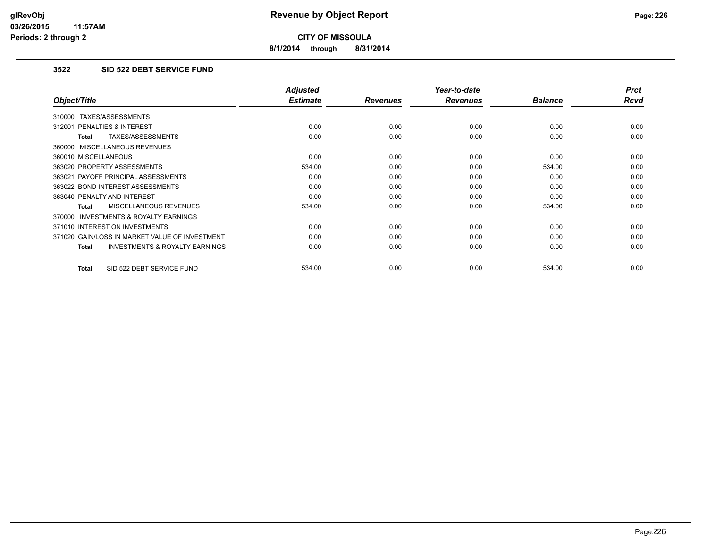**8/1/2014 through 8/31/2014**

# **3522 SID 522 DEBT SERVICE FUND**

|                                                     | <b>Adjusted</b> |                 | Year-to-date    |                | <b>Prct</b> |
|-----------------------------------------------------|-----------------|-----------------|-----------------|----------------|-------------|
| Object/Title                                        | <b>Estimate</b> | <b>Revenues</b> | <b>Revenues</b> | <b>Balance</b> | <b>Rcvd</b> |
| 310000 TAXES/ASSESSMENTS                            |                 |                 |                 |                |             |
| 312001 PENALTIES & INTEREST                         | 0.00            | 0.00            | 0.00            | 0.00           | 0.00        |
| TAXES/ASSESSMENTS<br><b>Total</b>                   | 0.00            | 0.00            | 0.00            | 0.00           | 0.00        |
| 360000 MISCELLANEOUS REVENUES                       |                 |                 |                 |                |             |
| 360010 MISCELLANEOUS                                | 0.00            | 0.00            | 0.00            | 0.00           | 0.00        |
| 363020 PROPERTY ASSESSMENTS                         | 534.00          | 0.00            | 0.00            | 534.00         | 0.00        |
| 363021 PAYOFF PRINCIPAL ASSESSMENTS                 | 0.00            | 0.00            | 0.00            | 0.00           | 0.00        |
| 363022 BOND INTEREST ASSESSMENTS                    | 0.00            | 0.00            | 0.00            | 0.00           | 0.00        |
| 363040 PENALTY AND INTEREST                         | 0.00            | 0.00            | 0.00            | 0.00           | 0.00        |
| <b>MISCELLANEOUS REVENUES</b><br><b>Total</b>       | 534.00          | 0.00            | 0.00            | 534.00         | 0.00        |
| <b>INVESTMENTS &amp; ROYALTY EARNINGS</b><br>370000 |                 |                 |                 |                |             |
| 371010 INTEREST ON INVESTMENTS                      | 0.00            | 0.00            | 0.00            | 0.00           | 0.00        |
| 371020 GAIN/LOSS IN MARKET VALUE OF INVESTMENT      | 0.00            | 0.00            | 0.00            | 0.00           | 0.00        |
| <b>INVESTMENTS &amp; ROYALTY EARNINGS</b><br>Total  | 0.00            | 0.00            | 0.00            | 0.00           | 0.00        |
| SID 522 DEBT SERVICE FUND<br><b>Total</b>           | 534.00          | 0.00            | 0.00            | 534.00         | 0.00        |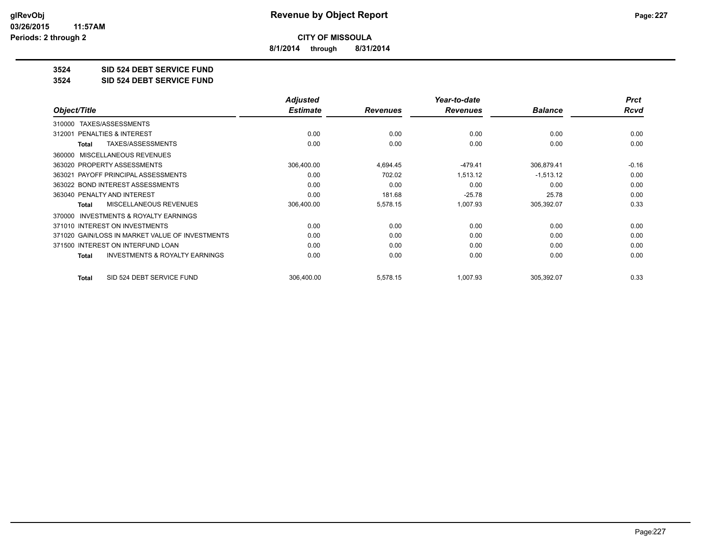**8/1/2014 through 8/31/2014**

# **3524 SID 524 DEBT SERVICE FUND**

**3524 SID 524 DEBT SERVICE FUND**

|                                                     | <b>Adjusted</b> |                 | Year-to-date    |                | <b>Prct</b> |
|-----------------------------------------------------|-----------------|-----------------|-----------------|----------------|-------------|
| Object/Title                                        | <b>Estimate</b> | <b>Revenues</b> | <b>Revenues</b> | <b>Balance</b> | Rcvd        |
| TAXES/ASSESSMENTS<br>310000                         |                 |                 |                 |                |             |
| <b>PENALTIES &amp; INTEREST</b><br>312001           | 0.00            | 0.00            | 0.00            | 0.00           | 0.00        |
| TAXES/ASSESSMENTS<br>Total                          | 0.00            | 0.00            | 0.00            | 0.00           | 0.00        |
| 360000 MISCELLANEOUS REVENUES                       |                 |                 |                 |                |             |
| 363020 PROPERTY ASSESSMENTS                         | 306,400.00      | 4,694.45        | $-479.41$       | 306,879.41     | $-0.16$     |
| 363021 PAYOFF PRINCIPAL ASSESSMENTS                 | 0.00            | 702.02          | 1,513.12        | $-1,513.12$    | 0.00        |
| 363022 BOND INTEREST ASSESSMENTS                    | 0.00            | 0.00            | 0.00            | 0.00           | 0.00        |
| 363040 PENALTY AND INTEREST                         | 0.00            | 181.68          | $-25.78$        | 25.78          | 0.00        |
| <b>MISCELLANEOUS REVENUES</b><br>Total              | 306,400.00      | 5,578.15        | 1,007.93        | 305,392.07     | 0.33        |
| <b>INVESTMENTS &amp; ROYALTY EARNINGS</b><br>370000 |                 |                 |                 |                |             |
| 371010 INTEREST ON INVESTMENTS                      | 0.00            | 0.00            | 0.00            | 0.00           | 0.00        |
| 371020 GAIN/LOSS IN MARKET VALUE OF INVESTMENTS     | 0.00            | 0.00            | 0.00            | 0.00           | 0.00        |
| 371500 INTEREST ON INTERFUND LOAN                   | 0.00            | 0.00            | 0.00            | 0.00           | 0.00        |
| <b>INVESTMENTS &amp; ROYALTY EARNINGS</b><br>Total  | 0.00            | 0.00            | 0.00            | 0.00           | 0.00        |
| SID 524 DEBT SERVICE FUND<br><b>Total</b>           | 306,400.00      | 5,578.15        | 1,007.93        | 305,392.07     | 0.33        |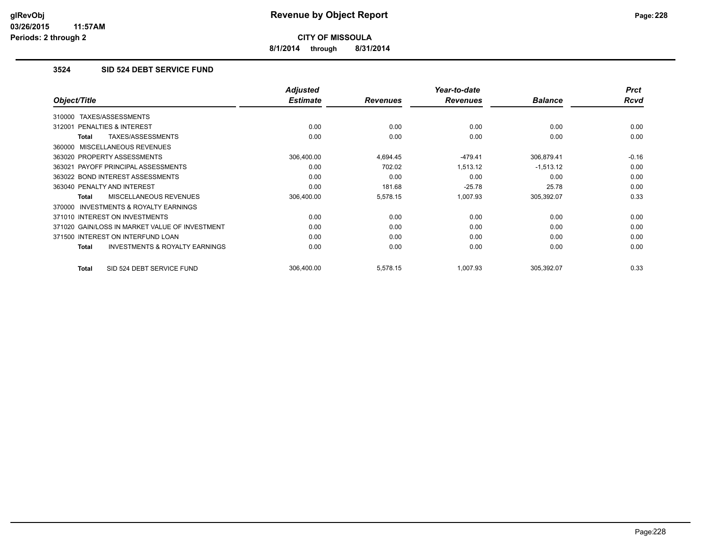**8/1/2014 through 8/31/2014**

# **3524 SID 524 DEBT SERVICE FUND**

|                                                     | <b>Adjusted</b> |                 | Year-to-date    |                | <b>Prct</b> |
|-----------------------------------------------------|-----------------|-----------------|-----------------|----------------|-------------|
| Object/Title                                        | <b>Estimate</b> | <b>Revenues</b> | <b>Revenues</b> | <b>Balance</b> | <b>Rcvd</b> |
| TAXES/ASSESSMENTS<br>310000                         |                 |                 |                 |                |             |
| 312001 PENALTIES & INTEREST                         | 0.00            | 0.00            | 0.00            | 0.00           | 0.00        |
| TAXES/ASSESSMENTS<br>Total                          | 0.00            | 0.00            | 0.00            | 0.00           | 0.00        |
| 360000 MISCELLANEOUS REVENUES                       |                 |                 |                 |                |             |
| 363020 PROPERTY ASSESSMENTS                         | 306,400.00      | 4,694.45        | -479.41         | 306,879.41     | $-0.16$     |
| 363021 PAYOFF PRINCIPAL ASSESSMENTS                 | 0.00            | 702.02          | 1,513.12        | $-1,513.12$    | 0.00        |
| 363022 BOND INTEREST ASSESSMENTS                    | 0.00            | 0.00            | 0.00            | 0.00           | 0.00        |
| 363040 PENALTY AND INTEREST                         | 0.00            | 181.68          | $-25.78$        | 25.78          | 0.00        |
| <b>MISCELLANEOUS REVENUES</b><br><b>Total</b>       | 306,400.00      | 5,578.15        | 1,007.93        | 305,392.07     | 0.33        |
| <b>INVESTMENTS &amp; ROYALTY EARNINGS</b><br>370000 |                 |                 |                 |                |             |
| 371010 INTEREST ON INVESTMENTS                      | 0.00            | 0.00            | 0.00            | 0.00           | 0.00        |
| 371020 GAIN/LOSS IN MARKET VALUE OF INVESTMENT      | 0.00            | 0.00            | 0.00            | 0.00           | 0.00        |
| 371500 INTEREST ON INTERFUND LOAN                   | 0.00            | 0.00            | 0.00            | 0.00           | 0.00        |
| <b>INVESTMENTS &amp; ROYALTY EARNINGS</b><br>Total  | 0.00            | 0.00            | 0.00            | 0.00           | 0.00        |
| SID 524 DEBT SERVICE FUND<br>Total                  | 306.400.00      | 5,578.15        | 1,007.93        | 305,392.07     | 0.33        |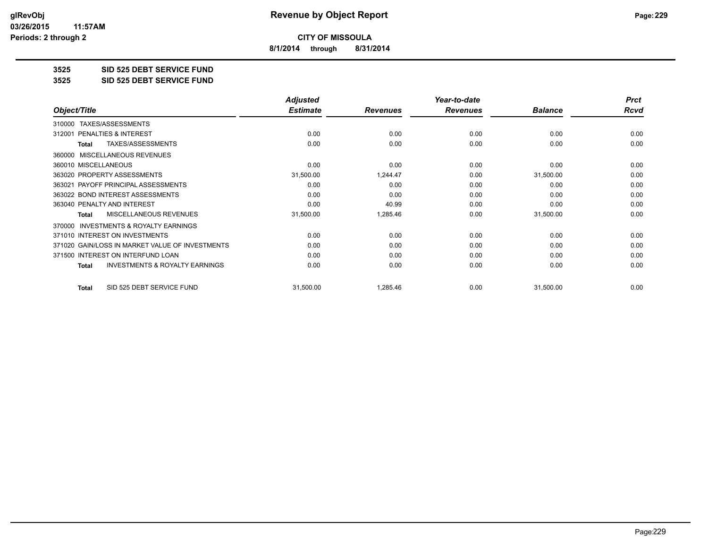**8/1/2014 through 8/31/2014**

**3525 SID 525 DEBT SERVICE FUND**

**3525 SID 525 DEBT SERVICE FUND**

|                                                           | <b>Adjusted</b> |                 | Year-to-date    |                | <b>Prct</b> |
|-----------------------------------------------------------|-----------------|-----------------|-----------------|----------------|-------------|
| Object/Title                                              | <b>Estimate</b> | <b>Revenues</b> | <b>Revenues</b> | <b>Balance</b> | Rcvd        |
| TAXES/ASSESSMENTS<br>310000                               |                 |                 |                 |                |             |
| <b>PENALTIES &amp; INTEREST</b><br>312001                 | 0.00            | 0.00            | 0.00            | 0.00           | 0.00        |
| TAXES/ASSESSMENTS<br><b>Total</b>                         | 0.00            | 0.00            | 0.00            | 0.00           | 0.00        |
| <b>MISCELLANEOUS REVENUES</b><br>360000                   |                 |                 |                 |                |             |
| 360010 MISCELLANEOUS                                      | 0.00            | 0.00            | 0.00            | 0.00           | 0.00        |
| 363020 PROPERTY ASSESSMENTS                               | 31,500.00       | 1,244.47        | 0.00            | 31,500.00      | 0.00        |
| 363021 PAYOFF PRINCIPAL ASSESSMENTS                       | 0.00            | 0.00            | 0.00            | 0.00           | 0.00        |
| 363022 BOND INTEREST ASSESSMENTS                          | 0.00            | 0.00            | 0.00            | 0.00           | 0.00        |
| 363040 PENALTY AND INTEREST                               | 0.00            | 40.99           | 0.00            | 0.00           | 0.00        |
| MISCELLANEOUS REVENUES<br><b>Total</b>                    | 31,500.00       | 1,285.46        | 0.00            | 31,500.00      | 0.00        |
| <b>INVESTMENTS &amp; ROYALTY EARNINGS</b><br>370000       |                 |                 |                 |                |             |
| 371010 INTEREST ON INVESTMENTS                            | 0.00            | 0.00            | 0.00            | 0.00           | 0.00        |
| 371020 GAIN/LOSS IN MARKET VALUE OF INVESTMENTS           | 0.00            | 0.00            | 0.00            | 0.00           | 0.00        |
| 371500 INTEREST ON INTERFUND LOAN                         | 0.00            | 0.00            | 0.00            | 0.00           | 0.00        |
| <b>INVESTMENTS &amp; ROYALTY EARNINGS</b><br><b>Total</b> | 0.00            | 0.00            | 0.00            | 0.00           | 0.00        |
| SID 525 DEBT SERVICE FUND<br><b>Total</b>                 | 31,500.00       | 1,285.46        | 0.00            | 31,500.00      | 0.00        |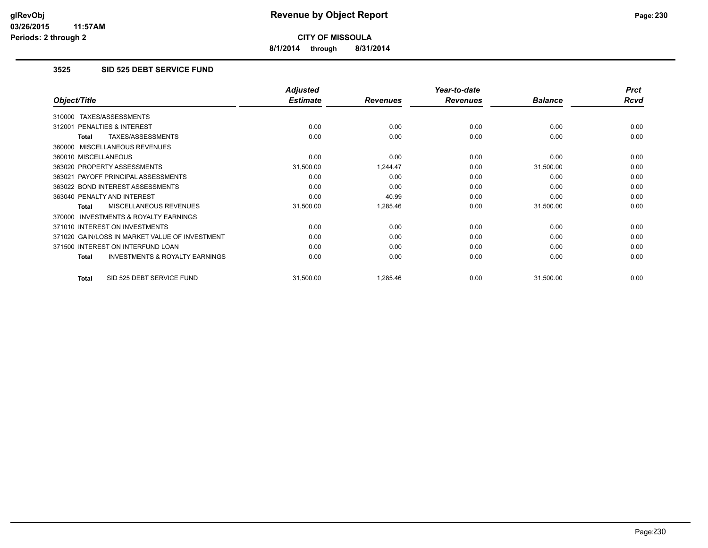**8/1/2014 through 8/31/2014**

# **3525 SID 525 DEBT SERVICE FUND**

|                                                    | <b>Adjusted</b> |                 | Year-to-date    |                | <b>Prct</b> |
|----------------------------------------------------|-----------------|-----------------|-----------------|----------------|-------------|
| Object/Title                                       | <b>Estimate</b> | <b>Revenues</b> | <b>Revenues</b> | <b>Balance</b> | Rcvd        |
| TAXES/ASSESSMENTS<br>310000                        |                 |                 |                 |                |             |
| 312001 PENALTIES & INTEREST                        | 0.00            | 0.00            | 0.00            | 0.00           | 0.00        |
| TAXES/ASSESSMENTS<br>Total                         | 0.00            | 0.00            | 0.00            | 0.00           | 0.00        |
| 360000 MISCELLANEOUS REVENUES                      |                 |                 |                 |                |             |
| 360010 MISCELLANEOUS                               | 0.00            | 0.00            | 0.00            | 0.00           | 0.00        |
| 363020 PROPERTY ASSESSMENTS                        | 31,500.00       | 1,244.47        | 0.00            | 31,500.00      | 0.00        |
| 363021 PAYOFF PRINCIPAL ASSESSMENTS                | 0.00            | 0.00            | 0.00            | 0.00           | 0.00        |
| 363022 BOND INTEREST ASSESSMENTS                   | 0.00            | 0.00            | 0.00            | 0.00           | 0.00        |
| 363040 PENALTY AND INTEREST                        | 0.00            | 40.99           | 0.00            | 0.00           | 0.00        |
| MISCELLANEOUS REVENUES<br>Total                    | 31,500.00       | 1,285.46        | 0.00            | 31,500.00      | 0.00        |
| 370000 INVESTMENTS & ROYALTY EARNINGS              |                 |                 |                 |                |             |
| 371010 INTEREST ON INVESTMENTS                     | 0.00            | 0.00            | 0.00            | 0.00           | 0.00        |
| 371020 GAIN/LOSS IN MARKET VALUE OF INVESTMENT     | 0.00            | 0.00            | 0.00            | 0.00           | 0.00        |
| 371500 INTEREST ON INTERFUND LOAN                  | 0.00            | 0.00            | 0.00            | 0.00           | 0.00        |
| <b>INVESTMENTS &amp; ROYALTY EARNINGS</b><br>Total | 0.00            | 0.00            | 0.00            | 0.00           | 0.00        |
| SID 525 DEBT SERVICE FUND<br>Total                 | 31,500.00       | 1,285.46        | 0.00            | 31,500.00      | 0.00        |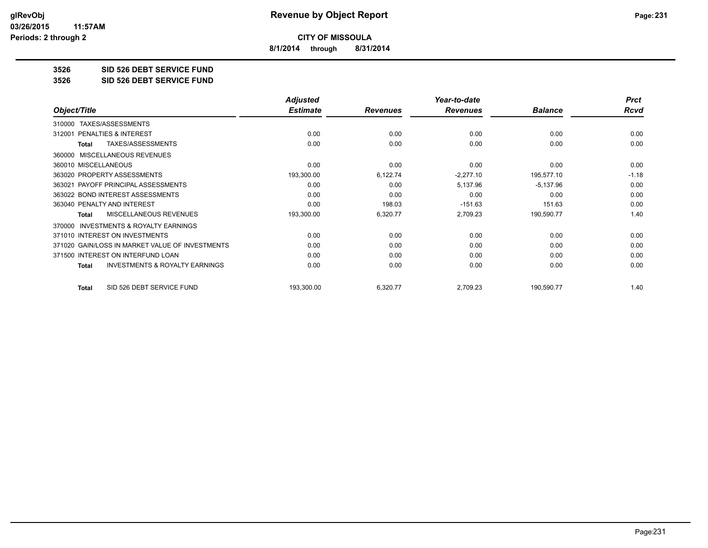**8/1/2014 through 8/31/2014**

**3526 SID 526 DEBT SERVICE FUND**

**3526 SID 526 DEBT SERVICE FUND**

|                                                           | <b>Adjusted</b> |                 | Year-to-date    |                | <b>Prct</b> |
|-----------------------------------------------------------|-----------------|-----------------|-----------------|----------------|-------------|
| Object/Title                                              | <b>Estimate</b> | <b>Revenues</b> | <b>Revenues</b> | <b>Balance</b> | Rcvd        |
| TAXES/ASSESSMENTS<br>310000                               |                 |                 |                 |                |             |
| PENALTIES & INTEREST<br>312001                            | 0.00            | 0.00            | 0.00            | 0.00           | 0.00        |
| TAXES/ASSESSMENTS<br><b>Total</b>                         | 0.00            | 0.00            | 0.00            | 0.00           | 0.00        |
| MISCELLANEOUS REVENUES<br>360000                          |                 |                 |                 |                |             |
| 360010 MISCELLANEOUS                                      | 0.00            | 0.00            | 0.00            | 0.00           | 0.00        |
| 363020 PROPERTY ASSESSMENTS                               | 193,300.00      | 6,122.74        | $-2,277.10$     | 195,577.10     | $-1.18$     |
| 363021 PAYOFF PRINCIPAL ASSESSMENTS                       | 0.00            | 0.00            | 5,137.96        | $-5,137.96$    | 0.00        |
| 363022 BOND INTEREST ASSESSMENTS                          | 0.00            | 0.00            | 0.00            | 0.00           | 0.00        |
| 363040 PENALTY AND INTEREST                               | 0.00            | 198.03          | $-151.63$       | 151.63         | 0.00        |
| <b>MISCELLANEOUS REVENUES</b><br><b>Total</b>             | 193,300.00      | 6,320.77        | 2,709.23        | 190,590.77     | 1.40        |
| <b>INVESTMENTS &amp; ROYALTY EARNINGS</b><br>370000       |                 |                 |                 |                |             |
| 371010 INTEREST ON INVESTMENTS                            | 0.00            | 0.00            | 0.00            | 0.00           | 0.00        |
| 371020 GAIN/LOSS IN MARKET VALUE OF INVESTMENTS           | 0.00            | 0.00            | 0.00            | 0.00           | 0.00        |
| 371500 INTEREST ON INTERFUND LOAN                         | 0.00            | 0.00            | 0.00            | 0.00           | 0.00        |
| <b>INVESTMENTS &amp; ROYALTY EARNINGS</b><br><b>Total</b> | 0.00            | 0.00            | 0.00            | 0.00           | 0.00        |
| SID 526 DEBT SERVICE FUND<br><b>Total</b>                 | 193,300.00      | 6,320.77        | 2,709.23        | 190,590.77     | 1.40        |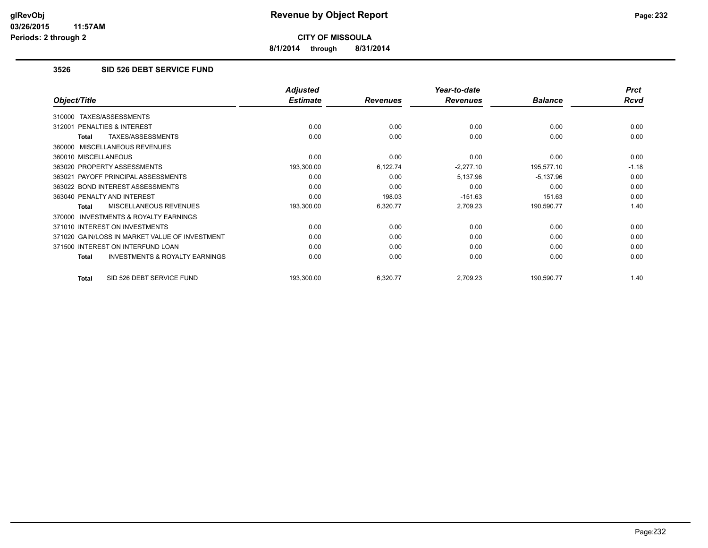**8/1/2014 through 8/31/2014**

# **3526 SID 526 DEBT SERVICE FUND**

|                                                           | <b>Adjusted</b> |                 | Year-to-date    |                | <b>Prct</b> |
|-----------------------------------------------------------|-----------------|-----------------|-----------------|----------------|-------------|
| Object/Title                                              | <b>Estimate</b> | <b>Revenues</b> | <b>Revenues</b> | <b>Balance</b> | <b>Rcvd</b> |
| TAXES/ASSESSMENTS<br>310000                               |                 |                 |                 |                |             |
| <b>PENALTIES &amp; INTEREST</b><br>312001                 | 0.00            | 0.00            | 0.00            | 0.00           | 0.00        |
| TAXES/ASSESSMENTS<br>Total                                | 0.00            | 0.00            | 0.00            | 0.00           | 0.00        |
| 360000 MISCELLANEOUS REVENUES                             |                 |                 |                 |                |             |
| 360010 MISCELLANEOUS                                      | 0.00            | 0.00            | 0.00            | 0.00           | 0.00        |
| 363020 PROPERTY ASSESSMENTS                               | 193,300.00      | 6,122.74        | $-2,277.10$     | 195,577.10     | $-1.18$     |
| 363021 PAYOFF PRINCIPAL ASSESSMENTS                       | 0.00            | 0.00            | 5,137.96        | $-5,137.96$    | 0.00        |
| 363022 BOND INTEREST ASSESSMENTS                          | 0.00            | 0.00            | 0.00            | 0.00           | 0.00        |
| 363040 PENALTY AND INTEREST                               | 0.00            | 198.03          | $-151.63$       | 151.63         | 0.00        |
| MISCELLANEOUS REVENUES<br><b>Total</b>                    | 193,300.00      | 6,320.77        | 2,709.23        | 190,590.77     | 1.40        |
| 370000 INVESTMENTS & ROYALTY EARNINGS                     |                 |                 |                 |                |             |
| 371010 INTEREST ON INVESTMENTS                            | 0.00            | 0.00            | 0.00            | 0.00           | 0.00        |
| 371020 GAIN/LOSS IN MARKET VALUE OF INVESTMENT            | 0.00            | 0.00            | 0.00            | 0.00           | 0.00        |
| 371500 INTEREST ON INTERFUND LOAN                         | 0.00            | 0.00            | 0.00            | 0.00           | 0.00        |
| <b>INVESTMENTS &amp; ROYALTY EARNINGS</b><br><b>Total</b> | 0.00            | 0.00            | 0.00            | 0.00           | 0.00        |
| SID 526 DEBT SERVICE FUND<br>Total                        | 193,300.00      | 6,320.77        | 2,709.23        | 190,590.77     | 1.40        |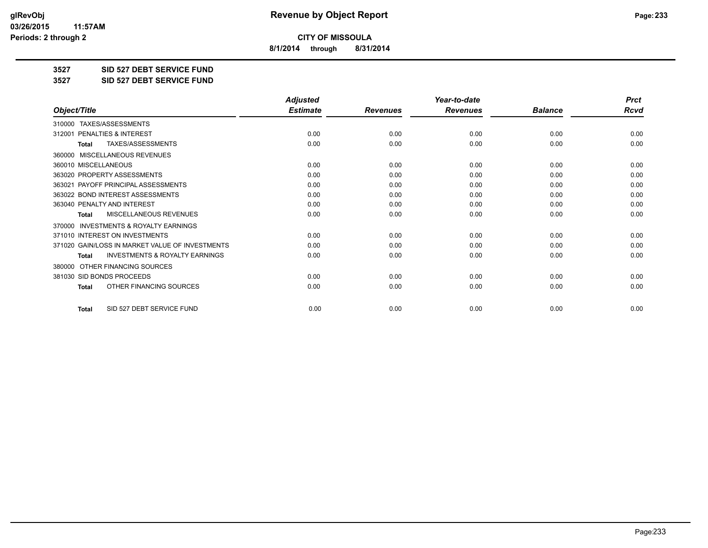**8/1/2014 through 8/31/2014**

**3527 SID 527 DEBT SERVICE FUND**

**3527 SID 527 DEBT SERVICE FUND**

|                                                     | <b>Adjusted</b> |                 | Year-to-date    |                | <b>Prct</b> |
|-----------------------------------------------------|-----------------|-----------------|-----------------|----------------|-------------|
| Object/Title                                        | <b>Estimate</b> | <b>Revenues</b> | <b>Revenues</b> | <b>Balance</b> | <b>Rcvd</b> |
| 310000 TAXES/ASSESSMENTS                            |                 |                 |                 |                |             |
| <b>PENALTIES &amp; INTEREST</b><br>312001           | 0.00            | 0.00            | 0.00            | 0.00           | 0.00        |
| TAXES/ASSESSMENTS<br><b>Total</b>                   | 0.00            | 0.00            | 0.00            | 0.00           | 0.00        |
| <b>MISCELLANEOUS REVENUES</b><br>360000             |                 |                 |                 |                |             |
| 360010 MISCELLANEOUS                                | 0.00            | 0.00            | 0.00            | 0.00           | 0.00        |
| 363020 PROPERTY ASSESSMENTS                         | 0.00            | 0.00            | 0.00            | 0.00           | 0.00        |
| 363021 PAYOFF PRINCIPAL ASSESSMENTS                 | 0.00            | 0.00            | 0.00            | 0.00           | 0.00        |
| 363022 BOND INTEREST ASSESSMENTS                    | 0.00            | 0.00            | 0.00            | 0.00           | 0.00        |
| 363040 PENALTY AND INTEREST                         | 0.00            | 0.00            | 0.00            | 0.00           | 0.00        |
| MISCELLANEOUS REVENUES<br><b>Total</b>              | 0.00            | 0.00            | 0.00            | 0.00           | 0.00        |
| <b>INVESTMENTS &amp; ROYALTY EARNINGS</b><br>370000 |                 |                 |                 |                |             |
| 371010 INTEREST ON INVESTMENTS                      | 0.00            | 0.00            | 0.00            | 0.00           | 0.00        |
| 371020 GAIN/LOSS IN MARKET VALUE OF INVESTMENTS     | 0.00            | 0.00            | 0.00            | 0.00           | 0.00        |
| <b>INVESTMENTS &amp; ROYALTY EARNINGS</b><br>Total  | 0.00            | 0.00            | 0.00            | 0.00           | 0.00        |
| OTHER FINANCING SOURCES<br>380000                   |                 |                 |                 |                |             |
| 381030 SID BONDS PROCEEDS                           | 0.00            | 0.00            | 0.00            | 0.00           | 0.00        |
| OTHER FINANCING SOURCES<br><b>Total</b>             | 0.00            | 0.00            | 0.00            | 0.00           | 0.00        |
| SID 527 DEBT SERVICE FUND<br><b>Total</b>           | 0.00            | 0.00            | 0.00            | 0.00           | 0.00        |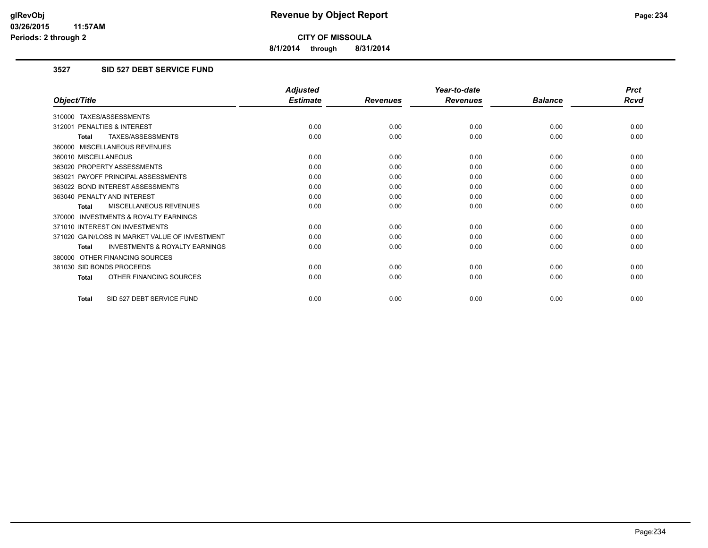**8/1/2014 through 8/31/2014**

# **3527 SID 527 DEBT SERVICE FUND**

|                                                           | <b>Adjusted</b> |                 | Year-to-date    |                | <b>Prct</b> |
|-----------------------------------------------------------|-----------------|-----------------|-----------------|----------------|-------------|
| Object/Title                                              | <b>Estimate</b> | <b>Revenues</b> | <b>Revenues</b> | <b>Balance</b> | <b>Rcvd</b> |
| 310000 TAXES/ASSESSMENTS                                  |                 |                 |                 |                |             |
| 312001 PENALTIES & INTEREST                               | 0.00            | 0.00            | 0.00            | 0.00           | 0.00        |
| <b>TAXES/ASSESSMENTS</b><br><b>Total</b>                  | 0.00            | 0.00            | 0.00            | 0.00           | 0.00        |
| 360000 MISCELLANEOUS REVENUES                             |                 |                 |                 |                |             |
| 360010 MISCELLANEOUS                                      | 0.00            | 0.00            | 0.00            | 0.00           | 0.00        |
| 363020 PROPERTY ASSESSMENTS                               | 0.00            | 0.00            | 0.00            | 0.00           | 0.00        |
| 363021 PAYOFF PRINCIPAL ASSESSMENTS                       | 0.00            | 0.00            | 0.00            | 0.00           | 0.00        |
| 363022 BOND INTEREST ASSESSMENTS                          | 0.00            | 0.00            | 0.00            | 0.00           | 0.00        |
| 363040 PENALTY AND INTEREST                               | 0.00            | 0.00            | 0.00            | 0.00           | 0.00        |
| MISCELLANEOUS REVENUES<br><b>Total</b>                    | 0.00            | 0.00            | 0.00            | 0.00           | 0.00        |
| <b>INVESTMENTS &amp; ROYALTY EARNINGS</b><br>370000       |                 |                 |                 |                |             |
| 371010 INTEREST ON INVESTMENTS                            | 0.00            | 0.00            | 0.00            | 0.00           | 0.00        |
| 371020 GAIN/LOSS IN MARKET VALUE OF INVESTMENT            | 0.00            | 0.00            | 0.00            | 0.00           | 0.00        |
| <b>INVESTMENTS &amp; ROYALTY EARNINGS</b><br><b>Total</b> | 0.00            | 0.00            | 0.00            | 0.00           | 0.00        |
| OTHER FINANCING SOURCES<br>380000                         |                 |                 |                 |                |             |
| 381030 SID BONDS PROCEEDS                                 | 0.00            | 0.00            | 0.00            | 0.00           | 0.00        |
| OTHER FINANCING SOURCES<br><b>Total</b>                   | 0.00            | 0.00            | 0.00            | 0.00           | 0.00        |
| SID 527 DEBT SERVICE FUND<br><b>Total</b>                 | 0.00            | 0.00            | 0.00            | 0.00           | 0.00        |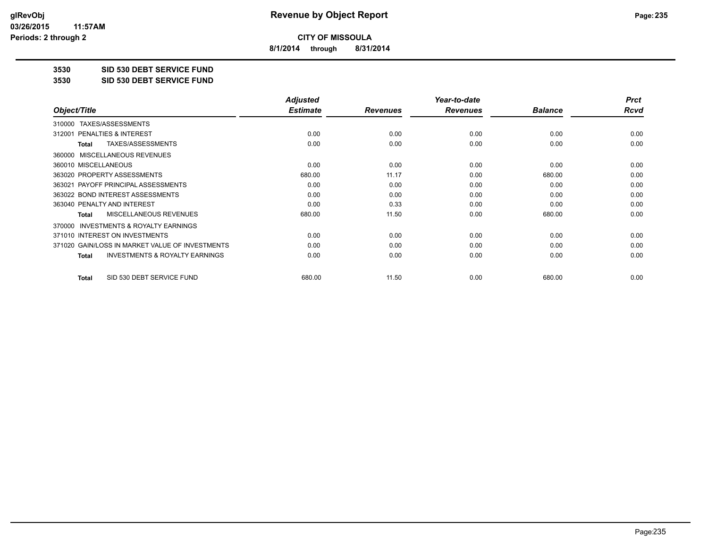**8/1/2014 through 8/31/2014**

**3530 SID 530 DEBT SERVICE FUND**

**3530 SID 530 DEBT SERVICE FUND**

|                                                           | <b>Adjusted</b> |                 | Year-to-date    |                | <b>Prct</b> |
|-----------------------------------------------------------|-----------------|-----------------|-----------------|----------------|-------------|
| Object/Title                                              | <b>Estimate</b> | <b>Revenues</b> | <b>Revenues</b> | <b>Balance</b> | Rcvd        |
| TAXES/ASSESSMENTS<br>310000                               |                 |                 |                 |                |             |
| 312001 PENALTIES & INTEREST                               | 0.00            | 0.00            | 0.00            | 0.00           | 0.00        |
| TAXES/ASSESSMENTS<br>Total                                | 0.00            | 0.00            | 0.00            | 0.00           | 0.00        |
| MISCELLANEOUS REVENUES<br>360000                          |                 |                 |                 |                |             |
| 360010 MISCELLANEOUS                                      | 0.00            | 0.00            | 0.00            | 0.00           | 0.00        |
| 363020 PROPERTY ASSESSMENTS                               | 680.00          | 11.17           | 0.00            | 680.00         | 0.00        |
| 363021 PAYOFF PRINCIPAL ASSESSMENTS                       | 0.00            | 0.00            | 0.00            | 0.00           | 0.00        |
| 363022 BOND INTEREST ASSESSMENTS                          | 0.00            | 0.00            | 0.00            | 0.00           | 0.00        |
| 363040 PENALTY AND INTEREST                               | 0.00            | 0.33            | 0.00            | 0.00           | 0.00        |
| <b>MISCELLANEOUS REVENUES</b><br>Total                    | 680.00          | 11.50           | 0.00            | 680.00         | 0.00        |
| <b>INVESTMENTS &amp; ROYALTY EARNINGS</b><br>370000       |                 |                 |                 |                |             |
| 371010 INTEREST ON INVESTMENTS                            | 0.00            | 0.00            | 0.00            | 0.00           | 0.00        |
| 371020 GAIN/LOSS IN MARKET VALUE OF INVESTMENTS           | 0.00            | 0.00            | 0.00            | 0.00           | 0.00        |
| <b>INVESTMENTS &amp; ROYALTY EARNINGS</b><br><b>Total</b> | 0.00            | 0.00            | 0.00            | 0.00           | 0.00        |
| SID 530 DEBT SERVICE FUND<br><b>Total</b>                 | 680.00          | 11.50           | 0.00            | 680.00         | 0.00        |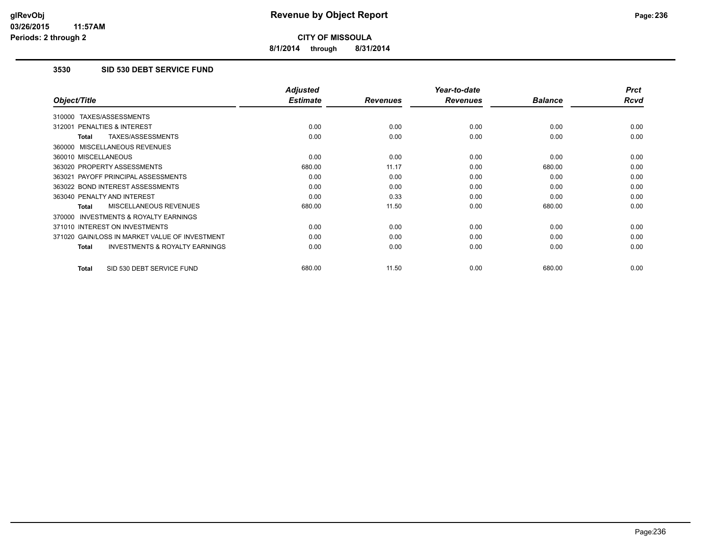**8/1/2014 through 8/31/2014**

# **3530 SID 530 DEBT SERVICE FUND**

|                                                           | <b>Adjusted</b> |                 | Year-to-date    |                | <b>Prct</b> |
|-----------------------------------------------------------|-----------------|-----------------|-----------------|----------------|-------------|
| Object/Title                                              | <b>Estimate</b> | <b>Revenues</b> | <b>Revenues</b> | <b>Balance</b> | <b>Rcvd</b> |
| 310000 TAXES/ASSESSMENTS                                  |                 |                 |                 |                |             |
| PENALTIES & INTEREST<br>312001                            | 0.00            | 0.00            | 0.00            | 0.00           | 0.00        |
| TAXES/ASSESSMENTS<br>Total                                | 0.00            | 0.00            | 0.00            | 0.00           | 0.00        |
| 360000 MISCELLANEOUS REVENUES                             |                 |                 |                 |                |             |
| 360010 MISCELLANEOUS                                      | 0.00            | 0.00            | 0.00            | 0.00           | 0.00        |
| 363020 PROPERTY ASSESSMENTS                               | 680.00          | 11.17           | 0.00            | 680.00         | 0.00        |
| 363021 PAYOFF PRINCIPAL ASSESSMENTS                       | 0.00            | 0.00            | 0.00            | 0.00           | 0.00        |
| 363022 BOND INTEREST ASSESSMENTS                          | 0.00            | 0.00            | 0.00            | 0.00           | 0.00        |
| 363040 PENALTY AND INTEREST                               | 0.00            | 0.33            | 0.00            | 0.00           | 0.00        |
| <b>MISCELLANEOUS REVENUES</b><br>Total                    | 680.00          | 11.50           | 0.00            | 680.00         | 0.00        |
| <b>INVESTMENTS &amp; ROYALTY EARNINGS</b><br>370000       |                 |                 |                 |                |             |
| 371010 INTEREST ON INVESTMENTS                            | 0.00            | 0.00            | 0.00            | 0.00           | 0.00        |
| 371020 GAIN/LOSS IN MARKET VALUE OF INVESTMENT            | 0.00            | 0.00            | 0.00            | 0.00           | 0.00        |
| <b>INVESTMENTS &amp; ROYALTY EARNINGS</b><br><b>Total</b> | 0.00            | 0.00            | 0.00            | 0.00           | 0.00        |
| SID 530 DEBT SERVICE FUND<br><b>Total</b>                 | 680.00          | 11.50           | 0.00            | 680.00         | 0.00        |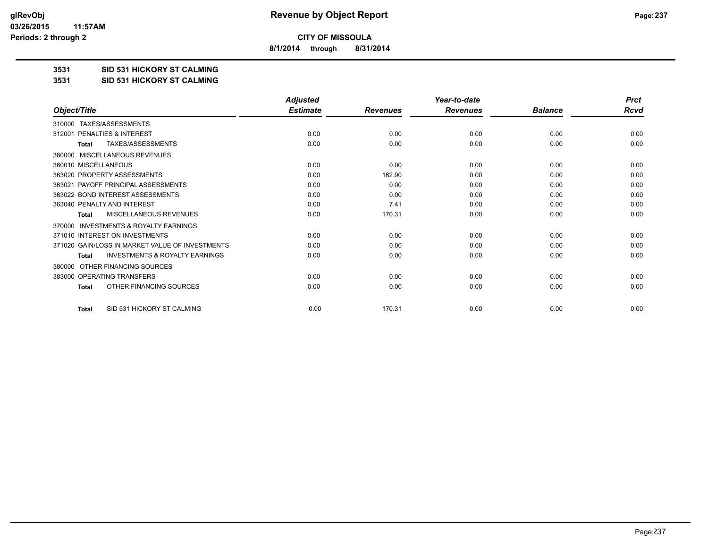**8/1/2014 through 8/31/2014**

**3531 SID 531 HICKORY ST CALMING**

**3531 SID 531 HICKORY ST CALMING**

|                                                           | <b>Adjusted</b> |                 | Year-to-date    |                | <b>Prct</b> |
|-----------------------------------------------------------|-----------------|-----------------|-----------------|----------------|-------------|
| Object/Title                                              | <b>Estimate</b> | <b>Revenues</b> | <b>Revenues</b> | <b>Balance</b> | <b>Rcvd</b> |
| TAXES/ASSESSMENTS<br>310000                               |                 |                 |                 |                |             |
| 312001 PENALTIES & INTEREST                               | 0.00            | 0.00            | 0.00            | 0.00           | 0.00        |
| TAXES/ASSESSMENTS<br><b>Total</b>                         | 0.00            | 0.00            | 0.00            | 0.00           | 0.00        |
| <b>MISCELLANEOUS REVENUES</b><br>360000                   |                 |                 |                 |                |             |
| 360010 MISCELLANEOUS                                      | 0.00            | 0.00            | 0.00            | 0.00           | 0.00        |
| 363020 PROPERTY ASSESSMENTS                               | 0.00            | 162.90          | 0.00            | 0.00           | 0.00        |
| 363021 PAYOFF PRINCIPAL ASSESSMENTS                       | 0.00            | 0.00            | 0.00            | 0.00           | 0.00        |
| 363022 BOND INTEREST ASSESSMENTS                          | 0.00            | 0.00            | 0.00            | 0.00           | 0.00        |
| 363040 PENALTY AND INTEREST                               | 0.00            | 7.41            | 0.00            | 0.00           | 0.00        |
| MISCELLANEOUS REVENUES<br><b>Total</b>                    | 0.00            | 170.31          | 0.00            | 0.00           | 0.00        |
| <b>INVESTMENTS &amp; ROYALTY EARNINGS</b><br>370000       |                 |                 |                 |                |             |
| 371010 INTEREST ON INVESTMENTS                            | 0.00            | 0.00            | 0.00            | 0.00           | 0.00        |
| 371020 GAIN/LOSS IN MARKET VALUE OF INVESTMENTS           | 0.00            | 0.00            | 0.00            | 0.00           | 0.00        |
| <b>INVESTMENTS &amp; ROYALTY EARNINGS</b><br><b>Total</b> | 0.00            | 0.00            | 0.00            | 0.00           | 0.00        |
| OTHER FINANCING SOURCES<br>380000                         |                 |                 |                 |                |             |
| 383000 OPERATING TRANSFERS                                | 0.00            | 0.00            | 0.00            | 0.00           | 0.00        |
| OTHER FINANCING SOURCES<br><b>Total</b>                   | 0.00            | 0.00            | 0.00            | 0.00           | 0.00        |
| SID 531 HICKORY ST CALMING<br><b>Total</b>                | 0.00            | 170.31          | 0.00            | 0.00           | 0.00        |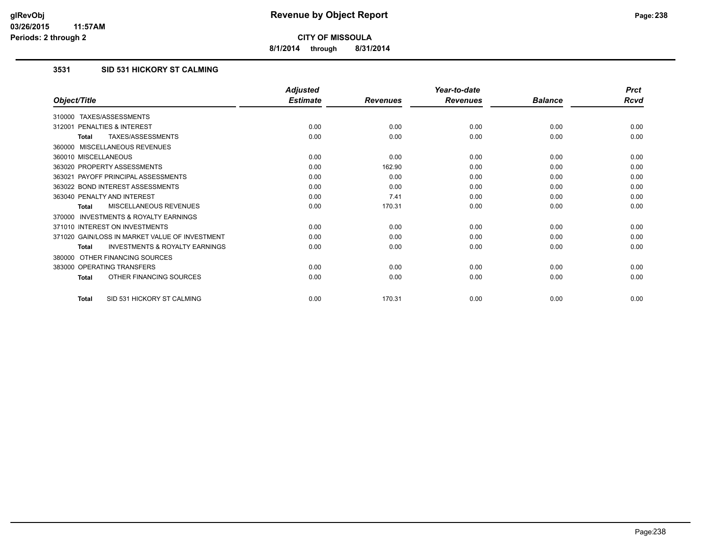**8/1/2014 through 8/31/2014**

# **3531 SID 531 HICKORY ST CALMING**

|                                                           | <b>Adjusted</b> |                 | Year-to-date    |                | <b>Prct</b> |
|-----------------------------------------------------------|-----------------|-----------------|-----------------|----------------|-------------|
| Object/Title                                              | <b>Estimate</b> | <b>Revenues</b> | <b>Revenues</b> | <b>Balance</b> | <b>Rcvd</b> |
| 310000 TAXES/ASSESSMENTS                                  |                 |                 |                 |                |             |
| 312001 PENALTIES & INTEREST                               | 0.00            | 0.00            | 0.00            | 0.00           | 0.00        |
| <b>TAXES/ASSESSMENTS</b><br><b>Total</b>                  | 0.00            | 0.00            | 0.00            | 0.00           | 0.00        |
| 360000 MISCELLANEOUS REVENUES                             |                 |                 |                 |                |             |
| 360010 MISCELLANEOUS                                      | 0.00            | 0.00            | 0.00            | 0.00           | 0.00        |
| 363020 PROPERTY ASSESSMENTS                               | 0.00            | 162.90          | 0.00            | 0.00           | 0.00        |
| 363021 PAYOFF PRINCIPAL ASSESSMENTS                       | 0.00            | 0.00            | 0.00            | 0.00           | 0.00        |
| 363022 BOND INTEREST ASSESSMENTS                          | 0.00            | 0.00            | 0.00            | 0.00           | 0.00        |
| 363040 PENALTY AND INTEREST                               | 0.00            | 7.41            | 0.00            | 0.00           | 0.00        |
| <b>MISCELLANEOUS REVENUES</b><br><b>Total</b>             | 0.00            | 170.31          | 0.00            | 0.00           | 0.00        |
| <b>INVESTMENTS &amp; ROYALTY EARNINGS</b><br>370000       |                 |                 |                 |                |             |
| 371010 INTEREST ON INVESTMENTS                            | 0.00            | 0.00            | 0.00            | 0.00           | 0.00        |
| 371020 GAIN/LOSS IN MARKET VALUE OF INVESTMENT            | 0.00            | 0.00            | 0.00            | 0.00           | 0.00        |
| <b>INVESTMENTS &amp; ROYALTY EARNINGS</b><br><b>Total</b> | 0.00            | 0.00            | 0.00            | 0.00           | 0.00        |
| OTHER FINANCING SOURCES<br>380000                         |                 |                 |                 |                |             |
| 383000 OPERATING TRANSFERS                                | 0.00            | 0.00            | 0.00            | 0.00           | 0.00        |
| OTHER FINANCING SOURCES<br><b>Total</b>                   | 0.00            | 0.00            | 0.00            | 0.00           | 0.00        |
| SID 531 HICKORY ST CALMING<br><b>Total</b>                | 0.00            | 170.31          | 0.00            | 0.00           | 0.00        |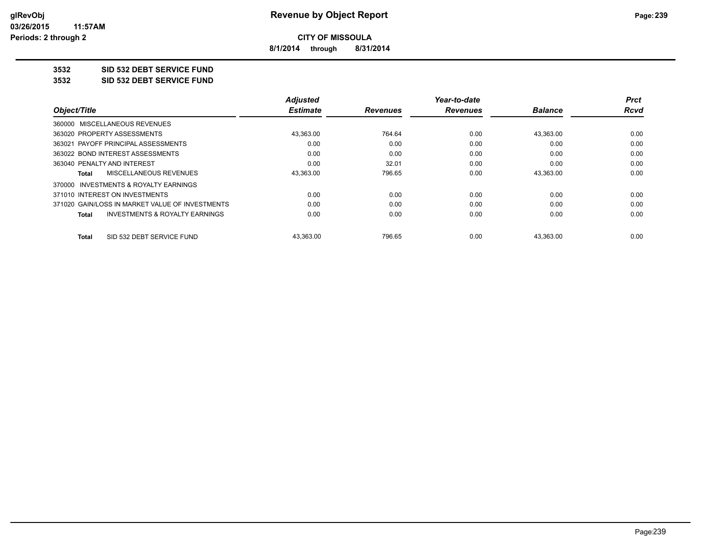**8/1/2014 through 8/31/2014**

# **3532 SID 532 DEBT SERVICE FUND**

**3532 SID 532 DEBT SERVICE FUND**

|                                                 | <b>Adjusted</b> |                 | Year-to-date    |                | Prct |
|-------------------------------------------------|-----------------|-----------------|-----------------|----------------|------|
| Object/Title                                    | <b>Estimate</b> | <b>Revenues</b> | <b>Revenues</b> | <b>Balance</b> | Rcvd |
| 360000 MISCELLANEOUS REVENUES                   |                 |                 |                 |                |      |
| 363020 PROPERTY ASSESSMENTS                     | 43,363.00       | 764.64          | 0.00            | 43,363.00      | 0.00 |
| 363021 PAYOFF PRINCIPAL ASSESSMENTS             | 0.00            | 0.00            | 0.00            | 0.00           | 0.00 |
| 363022 BOND INTEREST ASSESSMENTS                | 0.00            | 0.00            | 0.00            | 0.00           | 0.00 |
| 363040 PENALTY AND INTEREST                     | 0.00            | 32.01           | 0.00            | 0.00           | 0.00 |
| MISCELLANEOUS REVENUES<br>Total                 | 43,363.00       | 796.65          | 0.00            | 43.363.00      | 0.00 |
| 370000 INVESTMENTS & ROYALTY EARNINGS           |                 |                 |                 |                |      |
| 371010 INTEREST ON INVESTMENTS                  | 0.00            | 0.00            | 0.00            | 0.00           | 0.00 |
| 371020 GAIN/LOSS IN MARKET VALUE OF INVESTMENTS | 0.00            | 0.00            | 0.00            | 0.00           | 0.00 |
| INVESTMENTS & ROYALTY EARNINGS<br><b>Total</b>  | 0.00            | 0.00            | 0.00            | 0.00           | 0.00 |
| SID 532 DEBT SERVICE FUND<br>Total              | 43,363.00       | 796.65          | 0.00            | 43,363.00      | 0.00 |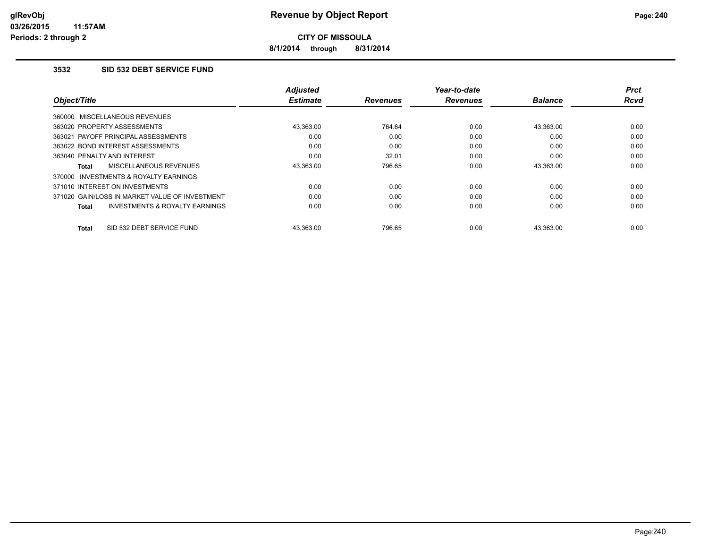**8/1/2014 through 8/31/2014**

### **3532 SID 532 DEBT SERVICE FUND**

|                                                     | <b>Adjusted</b> |                 | Year-to-date    |                | <b>Prct</b> |
|-----------------------------------------------------|-----------------|-----------------|-----------------|----------------|-------------|
| Object/Title                                        | <b>Estimate</b> | <b>Revenues</b> | <b>Revenues</b> | <b>Balance</b> | <b>Rcvd</b> |
| 360000 MISCELLANEOUS REVENUES                       |                 |                 |                 |                |             |
| 363020 PROPERTY ASSESSMENTS                         | 43.363.00       | 764.64          | 0.00            | 43.363.00      | 0.00        |
| 363021 PAYOFF PRINCIPAL ASSESSMENTS                 | 0.00            | 0.00            | 0.00            | 0.00           | 0.00        |
| 363022 BOND INTEREST ASSESSMENTS                    | 0.00            | 0.00            | 0.00            | 0.00           | 0.00        |
| 363040 PENALTY AND INTEREST                         | 0.00            | 32.01           | 0.00            | 0.00           | 0.00        |
| MISCELLANEOUS REVENUES<br>Total                     | 43,363.00       | 796.65          | 0.00            | 43,363.00      | 0.00        |
| <b>INVESTMENTS &amp; ROYALTY EARNINGS</b><br>370000 |                 |                 |                 |                |             |
| 371010 INTEREST ON INVESTMENTS                      | 0.00            | 0.00            | 0.00            | 0.00           | 0.00        |
| 371020 GAIN/LOSS IN MARKET VALUE OF INVESTMENT      | 0.00            | 0.00            | 0.00            | 0.00           | 0.00        |
| <b>INVESTMENTS &amp; ROYALTY EARNINGS</b><br>Total  | 0.00            | 0.00            | 0.00            | 0.00           | 0.00        |
| SID 532 DEBT SERVICE FUND<br><b>Total</b>           | 43.363.00       | 796.65          | 0.00            | 43.363.00      | 0.00        |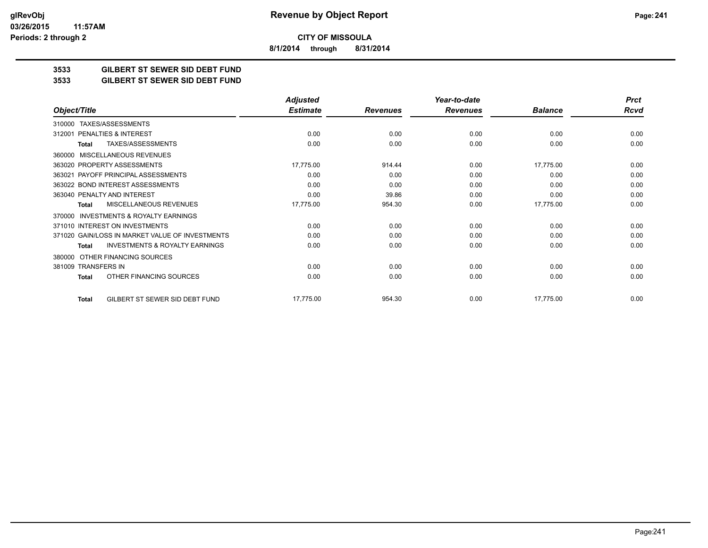**8/1/2014 through 8/31/2014**

# **3533 GILBERT ST SEWER SID DEBT FUND**

#### **3533 GILBERT ST SEWER SID DEBT FUND**

|                                                           | <b>Adjusted</b> |                 | Year-to-date    |                | <b>Prct</b> |
|-----------------------------------------------------------|-----------------|-----------------|-----------------|----------------|-------------|
| Object/Title                                              | <b>Estimate</b> | <b>Revenues</b> | <b>Revenues</b> | <b>Balance</b> | <b>Rcvd</b> |
| TAXES/ASSESSMENTS<br>310000                               |                 |                 |                 |                |             |
| PENALTIES & INTEREST<br>312001                            | 0.00            | 0.00            | 0.00            | 0.00           | 0.00        |
| TAXES/ASSESSMENTS<br>Total                                | 0.00            | 0.00            | 0.00            | 0.00           | 0.00        |
| MISCELLANEOUS REVENUES<br>360000                          |                 |                 |                 |                |             |
| 363020 PROPERTY ASSESSMENTS                               | 17,775.00       | 914.44          | 0.00            | 17,775.00      | 0.00        |
| 363021 PAYOFF PRINCIPAL ASSESSMENTS                       | 0.00            | 0.00            | 0.00            | 0.00           | 0.00        |
| 363022 BOND INTEREST ASSESSMENTS                          | 0.00            | 0.00            | 0.00            | 0.00           | 0.00        |
| 363040 PENALTY AND INTEREST                               | 0.00            | 39.86           | 0.00            | 0.00           | 0.00        |
| MISCELLANEOUS REVENUES<br>Total                           | 17,775.00       | 954.30          | 0.00            | 17,775.00      | 0.00        |
| <b>INVESTMENTS &amp; ROYALTY EARNINGS</b><br>370000       |                 |                 |                 |                |             |
| 371010 INTEREST ON INVESTMENTS                            | 0.00            | 0.00            | 0.00            | 0.00           | 0.00        |
| 371020 GAIN/LOSS IN MARKET VALUE OF INVESTMENTS           | 0.00            | 0.00            | 0.00            | 0.00           | 0.00        |
| <b>INVESTMENTS &amp; ROYALTY EARNINGS</b><br><b>Total</b> | 0.00            | 0.00            | 0.00            | 0.00           | 0.00        |
| OTHER FINANCING SOURCES<br>380000                         |                 |                 |                 |                |             |
| 381009 TRANSFERS IN                                       | 0.00            | 0.00            | 0.00            | 0.00           | 0.00        |
| OTHER FINANCING SOURCES<br>Total                          | 0.00            | 0.00            | 0.00            | 0.00           | 0.00        |
| GILBERT ST SEWER SID DEBT FUND<br><b>Total</b>            | 17,775.00       | 954.30          | 0.00            | 17,775.00      | 0.00        |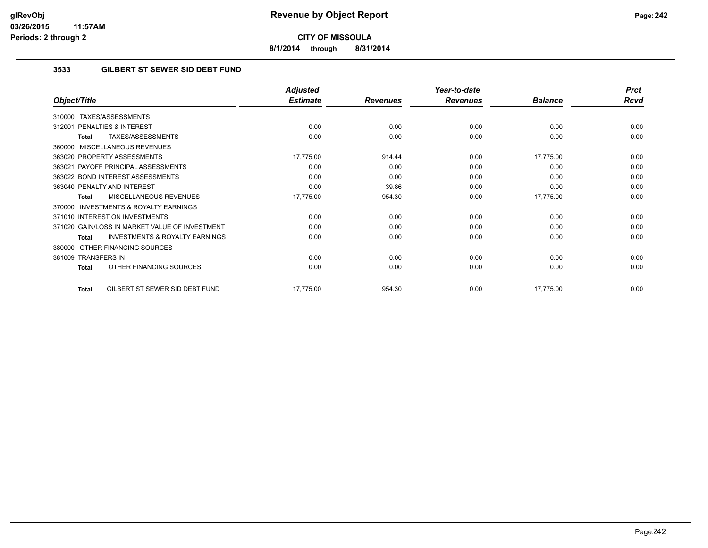**8/1/2014 through 8/31/2014**

# **3533 GILBERT ST SEWER SID DEBT FUND**

|                                                           | <b>Adjusted</b> |                 | Year-to-date    |                | <b>Prct</b> |
|-----------------------------------------------------------|-----------------|-----------------|-----------------|----------------|-------------|
| Object/Title                                              | <b>Estimate</b> | <b>Revenues</b> | <b>Revenues</b> | <b>Balance</b> | <b>Rcvd</b> |
| TAXES/ASSESSMENTS<br>310000                               |                 |                 |                 |                |             |
| 312001 PENALTIES & INTEREST                               | 0.00            | 0.00            | 0.00            | 0.00           | 0.00        |
| TAXES/ASSESSMENTS<br>Total                                | 0.00            | 0.00            | 0.00            | 0.00           | 0.00        |
| 360000 MISCELLANEOUS REVENUES                             |                 |                 |                 |                |             |
| 363020 PROPERTY ASSESSMENTS                               | 17,775.00       | 914.44          | 0.00            | 17,775.00      | 0.00        |
| 363021 PAYOFF PRINCIPAL ASSESSMENTS                       | 0.00            | 0.00            | 0.00            | 0.00           | 0.00        |
| 363022 BOND INTEREST ASSESSMENTS                          | 0.00            | 0.00            | 0.00            | 0.00           | 0.00        |
| 363040 PENALTY AND INTEREST                               | 0.00            | 39.86           | 0.00            | 0.00           | 0.00        |
| MISCELLANEOUS REVENUES<br><b>Total</b>                    | 17,775.00       | 954.30          | 0.00            | 17,775.00      | 0.00        |
| <b>INVESTMENTS &amp; ROYALTY EARNINGS</b><br>370000       |                 |                 |                 |                |             |
| 371010 INTEREST ON INVESTMENTS                            | 0.00            | 0.00            | 0.00            | 0.00           | 0.00        |
| 371020 GAIN/LOSS IN MARKET VALUE OF INVESTMENT            | 0.00            | 0.00            | 0.00            | 0.00           | 0.00        |
| <b>INVESTMENTS &amp; ROYALTY EARNINGS</b><br><b>Total</b> | 0.00            | 0.00            | 0.00            | 0.00           | 0.00        |
| 380000 OTHER FINANCING SOURCES                            |                 |                 |                 |                |             |
| 381009 TRANSFERS IN                                       | 0.00            | 0.00            | 0.00            | 0.00           | 0.00        |
| OTHER FINANCING SOURCES<br><b>Total</b>                   | 0.00            | 0.00            | 0.00            | 0.00           | 0.00        |
| GILBERT ST SEWER SID DEBT FUND<br>Total                   | 17,775.00       | 954.30          | 0.00            | 17,775.00      | 0.00        |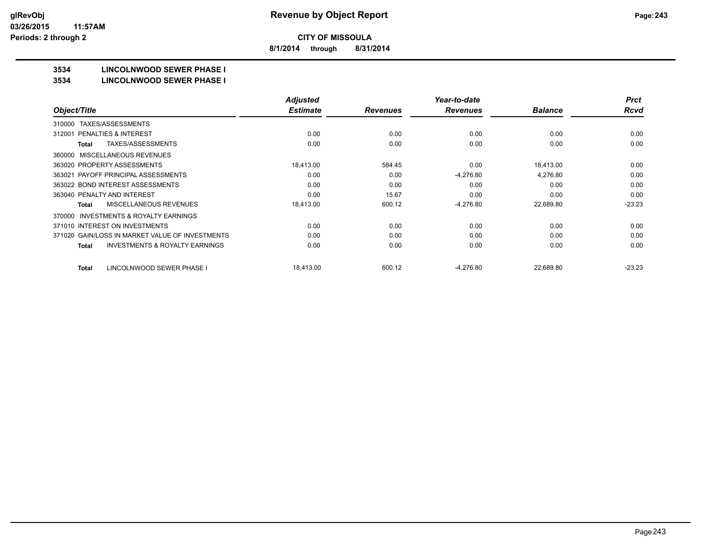**8/1/2014 through 8/31/2014**

# **3534 LINCOLNWOOD SEWER PHASE I**

#### **3534 LINCOLNWOOD SEWER PHASE I**

|                                                    | <b>Adjusted</b> |                 | Year-to-date    |                | <b>Prct</b> |
|----------------------------------------------------|-----------------|-----------------|-----------------|----------------|-------------|
| Object/Title                                       | <b>Estimate</b> | <b>Revenues</b> | <b>Revenues</b> | <b>Balance</b> | Rcvd        |
| TAXES/ASSESSMENTS<br>310000                        |                 |                 |                 |                |             |
| <b>PENALTIES &amp; INTEREST</b><br>312001          | 0.00            | 0.00            | 0.00            | 0.00           | 0.00        |
| TAXES/ASSESSMENTS<br>Total                         | 0.00            | 0.00            | 0.00            | 0.00           | 0.00        |
| MISCELLANEOUS REVENUES<br>360000                   |                 |                 |                 |                |             |
| 363020 PROPERTY ASSESSMENTS                        | 18.413.00       | 584.45          | 0.00            | 18,413.00      | 0.00        |
| 363021 PAYOFF PRINCIPAL ASSESSMENTS                | 0.00            | 0.00            | $-4,276.80$     | 4,276.80       | 0.00        |
| 363022 BOND INTEREST ASSESSMENTS                   | 0.00            | 0.00            | 0.00            | 0.00           | 0.00        |
| 363040 PENALTY AND INTEREST                        | 0.00            | 15.67           | 0.00            | 0.00           | 0.00        |
| <b>MISCELLANEOUS REVENUES</b><br>Total             | 18,413.00       | 600.12          | $-4,276.80$     | 22,689.80      | $-23.23$    |
| INVESTMENTS & ROYALTY EARNINGS<br>370000           |                 |                 |                 |                |             |
| 371010 INTEREST ON INVESTMENTS                     | 0.00            | 0.00            | 0.00            | 0.00           | 0.00        |
| 371020 GAIN/LOSS IN MARKET VALUE OF INVESTMENTS    | 0.00            | 0.00            | 0.00            | 0.00           | 0.00        |
| <b>INVESTMENTS &amp; ROYALTY EARNINGS</b><br>Total | 0.00            | 0.00            | 0.00            | 0.00           | 0.00        |
| LINCOLNWOOD SEWER PHASE I<br>Total                 | 18,413.00       | 600.12          | $-4,276.80$     | 22,689.80      | $-23.23$    |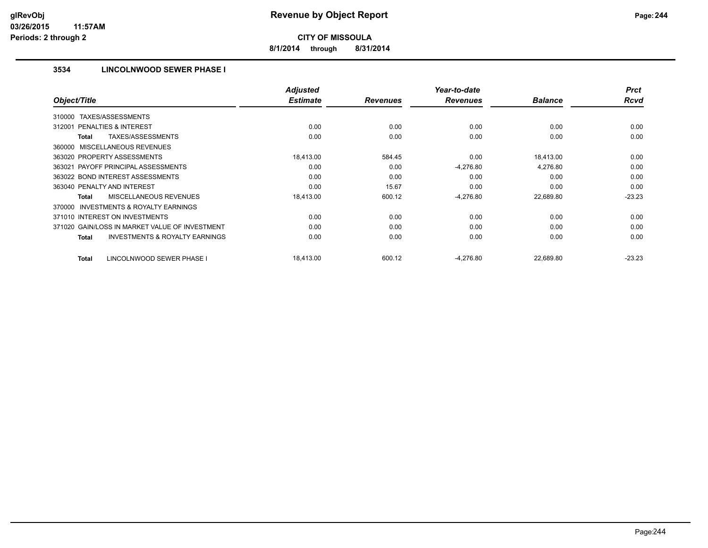**8/1/2014 through 8/31/2014**

# **3534 LINCOLNWOOD SEWER PHASE I**

|                                                           | <b>Adjusted</b> |                 | Year-to-date    |                | <b>Prct</b> |
|-----------------------------------------------------------|-----------------|-----------------|-----------------|----------------|-------------|
| Object/Title                                              | <b>Estimate</b> | <b>Revenues</b> | <b>Revenues</b> | <b>Balance</b> | <b>Rcvd</b> |
| TAXES/ASSESSMENTS<br>310000                               |                 |                 |                 |                |             |
| PENALTIES & INTEREST<br>312001                            | 0.00            | 0.00            | 0.00            | 0.00           | 0.00        |
| TAXES/ASSESSMENTS<br>Total                                | 0.00            | 0.00            | 0.00            | 0.00           | 0.00        |
| 360000 MISCELLANEOUS REVENUES                             |                 |                 |                 |                |             |
| 363020 PROPERTY ASSESSMENTS                               | 18,413.00       | 584.45          | 0.00            | 18,413.00      | 0.00        |
| 363021 PAYOFF PRINCIPAL ASSESSMENTS                       | 0.00            | 0.00            | $-4,276.80$     | 4,276.80       | 0.00        |
| 363022 BOND INTEREST ASSESSMENTS                          | 0.00            | 0.00            | 0.00            | 0.00           | 0.00        |
| 363040 PENALTY AND INTEREST                               | 0.00            | 15.67           | 0.00            | 0.00           | 0.00        |
| <b>MISCELLANEOUS REVENUES</b><br>Total                    | 18,413.00       | 600.12          | $-4,276.80$     | 22,689.80      | $-23.23$    |
| <b>INVESTMENTS &amp; ROYALTY EARNINGS</b><br>370000       |                 |                 |                 |                |             |
| 371010 INTEREST ON INVESTMENTS                            | 0.00            | 0.00            | 0.00            | 0.00           | 0.00        |
| 371020 GAIN/LOSS IN MARKET VALUE OF INVESTMENT            | 0.00            | 0.00            | 0.00            | 0.00           | 0.00        |
| <b>INVESTMENTS &amp; ROYALTY EARNINGS</b><br><b>Total</b> | 0.00            | 0.00            | 0.00            | 0.00           | 0.00        |
| LINCOLNWOOD SEWER PHASE I<br>Total                        | 18,413.00       | 600.12          | $-4,276.80$     | 22,689.80      | $-23.23$    |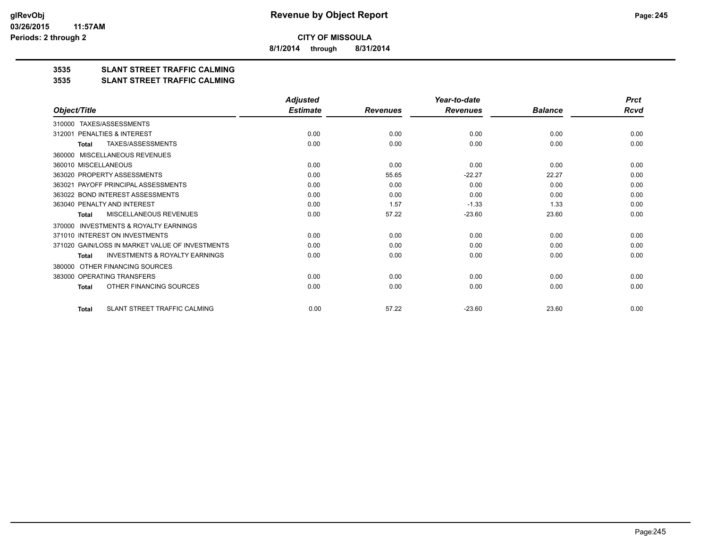**8/1/2014 through 8/31/2014**

# **3535 SLANT STREET TRAFFIC CALMING**

#### **3535 SLANT STREET TRAFFIC CALMING**

|                                                           | <b>Adjusted</b> |                 | Year-to-date    |                | <b>Prct</b> |
|-----------------------------------------------------------|-----------------|-----------------|-----------------|----------------|-------------|
| Object/Title                                              | <b>Estimate</b> | <b>Revenues</b> | <b>Revenues</b> | <b>Balance</b> | Rcvd        |
| TAXES/ASSESSMENTS<br>310000                               |                 |                 |                 |                |             |
| PENALTIES & INTEREST<br>312001                            | 0.00            | 0.00            | 0.00            | 0.00           | 0.00        |
| <b>TAXES/ASSESSMENTS</b><br><b>Total</b>                  | 0.00            | 0.00            | 0.00            | 0.00           | 0.00        |
| MISCELLANEOUS REVENUES<br>360000                          |                 |                 |                 |                |             |
| 360010 MISCELLANEOUS                                      | 0.00            | 0.00            | 0.00            | 0.00           | 0.00        |
| 363020 PROPERTY ASSESSMENTS                               | 0.00            | 55.65           | $-22.27$        | 22.27          | 0.00        |
| 363021 PAYOFF PRINCIPAL ASSESSMENTS                       | 0.00            | 0.00            | 0.00            | 0.00           | 0.00        |
| 363022 BOND INTEREST ASSESSMENTS                          | 0.00            | 0.00            | 0.00            | 0.00           | 0.00        |
| 363040 PENALTY AND INTEREST                               | 0.00            | 1.57            | $-1.33$         | 1.33           | 0.00        |
| MISCELLANEOUS REVENUES<br><b>Total</b>                    | 0.00            | 57.22           | $-23.60$        | 23.60          | 0.00        |
| <b>INVESTMENTS &amp; ROYALTY EARNINGS</b><br>370000       |                 |                 |                 |                |             |
| 371010 INTEREST ON INVESTMENTS                            | 0.00            | 0.00            | 0.00            | 0.00           | 0.00        |
| 371020 GAIN/LOSS IN MARKET VALUE OF INVESTMENTS           | 0.00            | 0.00            | 0.00            | 0.00           | 0.00        |
| <b>INVESTMENTS &amp; ROYALTY EARNINGS</b><br><b>Total</b> | 0.00            | 0.00            | 0.00            | 0.00           | 0.00        |
| OTHER FINANCING SOURCES<br>380000                         |                 |                 |                 |                |             |
| 383000 OPERATING TRANSFERS                                | 0.00            | 0.00            | 0.00            | 0.00           | 0.00        |
| OTHER FINANCING SOURCES<br><b>Total</b>                   | 0.00            | 0.00            | 0.00            | 0.00           | 0.00        |
| SLANT STREET TRAFFIC CALMING<br><b>Total</b>              | 0.00            | 57.22           | $-23.60$        | 23.60          | 0.00        |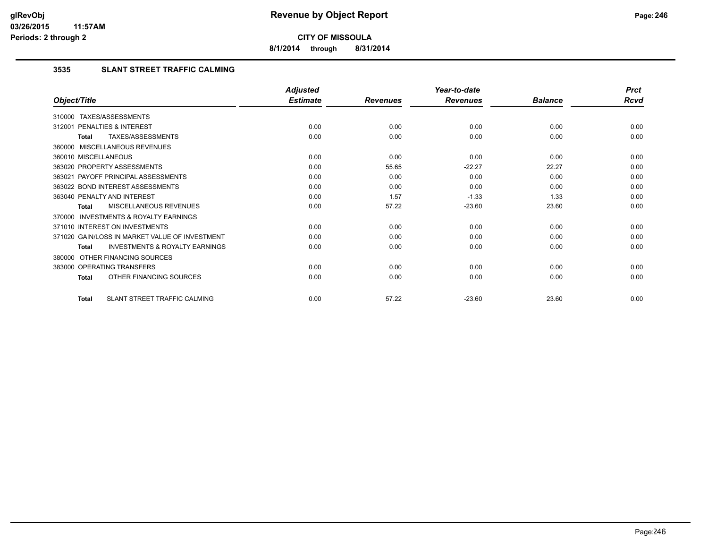**8/1/2014 through 8/31/2014**

# **3535 SLANT STREET TRAFFIC CALMING**

|                                                           | <b>Adjusted</b> |                 | Year-to-date    |                | <b>Prct</b> |
|-----------------------------------------------------------|-----------------|-----------------|-----------------|----------------|-------------|
| Object/Title                                              | <b>Estimate</b> | <b>Revenues</b> | <b>Revenues</b> | <b>Balance</b> | <b>Rcvd</b> |
| 310000 TAXES/ASSESSMENTS                                  |                 |                 |                 |                |             |
| PENALTIES & INTEREST<br>312001                            | 0.00            | 0.00            | 0.00            | 0.00           | 0.00        |
| TAXES/ASSESSMENTS<br><b>Total</b>                         | 0.00            | 0.00            | 0.00            | 0.00           | 0.00        |
| 360000 MISCELLANEOUS REVENUES                             |                 |                 |                 |                |             |
| 360010 MISCELLANEOUS                                      | 0.00            | 0.00            | 0.00            | 0.00           | 0.00        |
| 363020 PROPERTY ASSESSMENTS                               | 0.00            | 55.65           | $-22.27$        | 22.27          | 0.00        |
| 363021 PAYOFF PRINCIPAL ASSESSMENTS                       | 0.00            | 0.00            | 0.00            | 0.00           | 0.00        |
| 363022 BOND INTEREST ASSESSMENTS                          | 0.00            | 0.00            | 0.00            | 0.00           | 0.00        |
| 363040 PENALTY AND INTEREST                               | 0.00            | 1.57            | $-1.33$         | 1.33           | 0.00        |
| MISCELLANEOUS REVENUES<br><b>Total</b>                    | 0.00            | 57.22           | $-23.60$        | 23.60          | 0.00        |
| INVESTMENTS & ROYALTY EARNINGS<br>370000                  |                 |                 |                 |                |             |
| 371010 INTEREST ON INVESTMENTS                            | 0.00            | 0.00            | 0.00            | 0.00           | 0.00        |
| 371020 GAIN/LOSS IN MARKET VALUE OF INVESTMENT            | 0.00            | 0.00            | 0.00            | 0.00           | 0.00        |
| <b>INVESTMENTS &amp; ROYALTY EARNINGS</b><br><b>Total</b> | 0.00            | 0.00            | 0.00            | 0.00           | 0.00        |
| OTHER FINANCING SOURCES<br>380000                         |                 |                 |                 |                |             |
| 383000 OPERATING TRANSFERS                                | 0.00            | 0.00            | 0.00            | 0.00           | 0.00        |
| OTHER FINANCING SOURCES<br><b>Total</b>                   | 0.00            | 0.00            | 0.00            | 0.00           | 0.00        |
| SLANT STREET TRAFFIC CALMING<br><b>Total</b>              | 0.00            | 57.22           | $-23.60$        | 23.60          | 0.00        |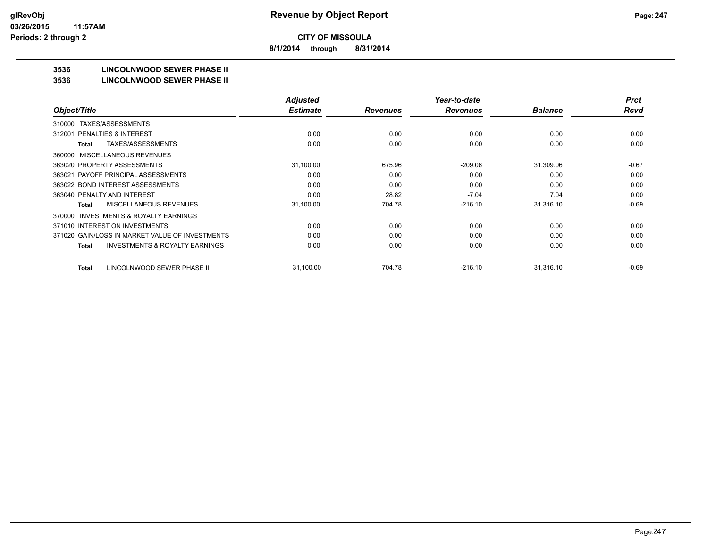**8/1/2014 through 8/31/2014**

# **3536 LINCOLNWOOD SEWER PHASE II**

#### **3536 LINCOLNWOOD SEWER PHASE II**

|                                                    | <b>Adjusted</b> |                 | Year-to-date    |                | <b>Prct</b> |
|----------------------------------------------------|-----------------|-----------------|-----------------|----------------|-------------|
| Object/Title                                       | <b>Estimate</b> | <b>Revenues</b> | <b>Revenues</b> | <b>Balance</b> | <b>Rcvd</b> |
| TAXES/ASSESSMENTS<br>310000                        |                 |                 |                 |                |             |
| PENALTIES & INTEREST<br>312001                     | 0.00            | 0.00            | 0.00            | 0.00           | 0.00        |
| TAXES/ASSESSMENTS<br>Total                         | 0.00            | 0.00            | 0.00            | 0.00           | 0.00        |
| MISCELLANEOUS REVENUES<br>360000                   |                 |                 |                 |                |             |
| 363020 PROPERTY ASSESSMENTS                        | 31,100.00       | 675.96          | $-209.06$       | 31,309.06      | $-0.67$     |
| 363021 PAYOFF PRINCIPAL ASSESSMENTS                | 0.00            | 0.00            | 0.00            | 0.00           | 0.00        |
| 363022 BOND INTEREST ASSESSMENTS                   | 0.00            | 0.00            | 0.00            | 0.00           | 0.00        |
| 363040 PENALTY AND INTEREST                        | 0.00            | 28.82           | $-7.04$         | 7.04           | 0.00        |
| MISCELLANEOUS REVENUES<br>Total                    | 31,100.00       | 704.78          | $-216.10$       | 31,316.10      | $-0.69$     |
| INVESTMENTS & ROYALTY EARNINGS<br>370000           |                 |                 |                 |                |             |
| 371010 INTEREST ON INVESTMENTS                     | 0.00            | 0.00            | 0.00            | 0.00           | 0.00        |
| 371020 GAIN/LOSS IN MARKET VALUE OF INVESTMENTS    | 0.00            | 0.00            | 0.00            | 0.00           | 0.00        |
| <b>INVESTMENTS &amp; ROYALTY EARNINGS</b><br>Total | 0.00            | 0.00            | 0.00            | 0.00           | 0.00        |
|                                                    |                 |                 |                 |                |             |
| LINCOLNWOOD SEWER PHASE II<br>Total                | 31,100.00       | 704.78          | $-216.10$       | 31,316.10      | $-0.69$     |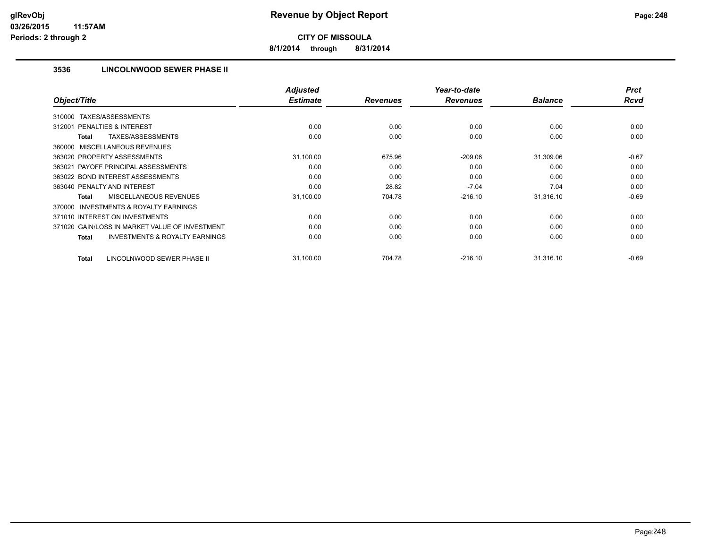**8/1/2014 through 8/31/2014**

# **3536 LINCOLNWOOD SEWER PHASE II**

| Object/Title                                              | <b>Adjusted</b><br><b>Estimate</b> |                 | Year-to-date    | <b>Balance</b> | <b>Prct</b><br><b>Rcvd</b> |
|-----------------------------------------------------------|------------------------------------|-----------------|-----------------|----------------|----------------------------|
|                                                           |                                    | <b>Revenues</b> | <b>Revenues</b> |                |                            |
| TAXES/ASSESSMENTS<br>310000                               |                                    |                 |                 |                |                            |
| 312001 PENALTIES & INTEREST                               | 0.00                               | 0.00            | 0.00            | 0.00           | 0.00                       |
| <b>TAXES/ASSESSMENTS</b><br><b>Total</b>                  | 0.00                               | 0.00            | 0.00            | 0.00           | 0.00                       |
| 360000 MISCELLANEOUS REVENUES                             |                                    |                 |                 |                |                            |
| 363020 PROPERTY ASSESSMENTS                               | 31,100.00                          | 675.96          | $-209.06$       | 31,309.06      | $-0.67$                    |
| 363021 PAYOFF PRINCIPAL ASSESSMENTS                       | 0.00                               | 0.00            | 0.00            | 0.00           | 0.00                       |
| 363022 BOND INTEREST ASSESSMENTS                          | 0.00                               | 0.00            | 0.00            | 0.00           | 0.00                       |
| 363040 PENALTY AND INTEREST                               | 0.00                               | 28.82           | $-7.04$         | 7.04           | 0.00                       |
| MISCELLANEOUS REVENUES<br><b>Total</b>                    | 31,100.00                          | 704.78          | $-216.10$       | 31,316.10      | $-0.69$                    |
| <b>INVESTMENTS &amp; ROYALTY EARNINGS</b><br>370000       |                                    |                 |                 |                |                            |
| 371010 INTEREST ON INVESTMENTS                            | 0.00                               | 0.00            | 0.00            | 0.00           | 0.00                       |
| 371020 GAIN/LOSS IN MARKET VALUE OF INVESTMENT            | 0.00                               | 0.00            | 0.00            | 0.00           | 0.00                       |
| <b>INVESTMENTS &amp; ROYALTY EARNINGS</b><br><b>Total</b> | 0.00                               | 0.00            | 0.00            | 0.00           | 0.00                       |
| LINCOLNWOOD SEWER PHASE II<br><b>Total</b>                | 31,100.00                          | 704.78          | $-216.10$       | 31,316.10      | $-0.69$                    |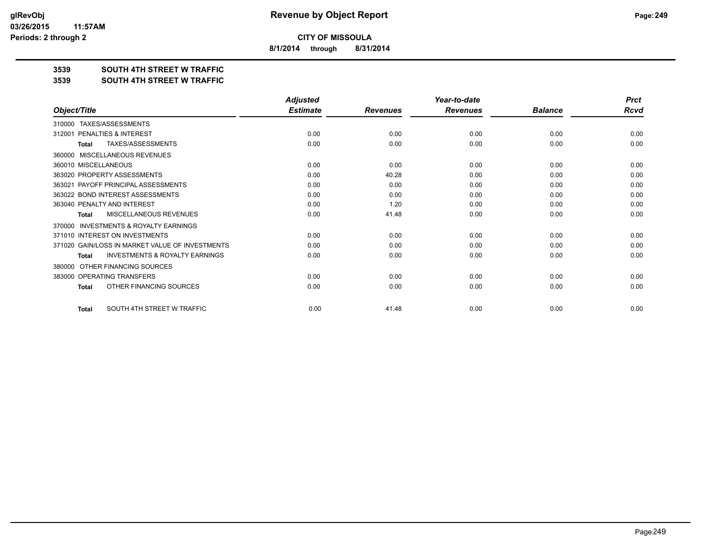**8/1/2014 through 8/31/2014**

# **3539 SOUTH 4TH STREET W TRAFFIC**

#### **3539 SOUTH 4TH STREET W TRAFFIC**

|                                                           | <b>Adjusted</b> |                 | Year-to-date    |                | <b>Prct</b> |
|-----------------------------------------------------------|-----------------|-----------------|-----------------|----------------|-------------|
| Object/Title                                              | <b>Estimate</b> | <b>Revenues</b> | <b>Revenues</b> | <b>Balance</b> | <b>Rcvd</b> |
| TAXES/ASSESSMENTS<br>310000                               |                 |                 |                 |                |             |
| PENALTIES & INTEREST<br>312001                            | 0.00            | 0.00            | 0.00            | 0.00           | 0.00        |
| <b>TAXES/ASSESSMENTS</b><br><b>Total</b>                  | 0.00            | 0.00            | 0.00            | 0.00           | 0.00        |
| MISCELLANEOUS REVENUES<br>360000                          |                 |                 |                 |                |             |
| 360010 MISCELLANEOUS                                      | 0.00            | 0.00            | 0.00            | 0.00           | 0.00        |
| 363020 PROPERTY ASSESSMENTS                               | 0.00            | 40.28           | 0.00            | 0.00           | 0.00        |
| 363021 PAYOFF PRINCIPAL ASSESSMENTS                       | 0.00            | 0.00            | 0.00            | 0.00           | 0.00        |
| 363022 BOND INTEREST ASSESSMENTS                          | 0.00            | 0.00            | 0.00            | 0.00           | 0.00        |
| 363040 PENALTY AND INTEREST                               | 0.00            | 1.20            | 0.00            | 0.00           | 0.00        |
| MISCELLANEOUS REVENUES<br><b>Total</b>                    | 0.00            | 41.48           | 0.00            | 0.00           | 0.00        |
| <b>INVESTMENTS &amp; ROYALTY EARNINGS</b><br>370000       |                 |                 |                 |                |             |
| 371010 INTEREST ON INVESTMENTS                            | 0.00            | 0.00            | 0.00            | 0.00           | 0.00        |
| 371020 GAIN/LOSS IN MARKET VALUE OF INVESTMENTS           | 0.00            | 0.00            | 0.00            | 0.00           | 0.00        |
| <b>INVESTMENTS &amp; ROYALTY EARNINGS</b><br><b>Total</b> | 0.00            | 0.00            | 0.00            | 0.00           | 0.00        |
| OTHER FINANCING SOURCES<br>380000                         |                 |                 |                 |                |             |
| 383000 OPERATING TRANSFERS                                | 0.00            | 0.00            | 0.00            | 0.00           | 0.00        |
| OTHER FINANCING SOURCES<br><b>Total</b>                   | 0.00            | 0.00            | 0.00            | 0.00           | 0.00        |
| SOUTH 4TH STREET W TRAFFIC<br><b>Total</b>                | 0.00            | 41.48           | 0.00            | 0.00           | 0.00        |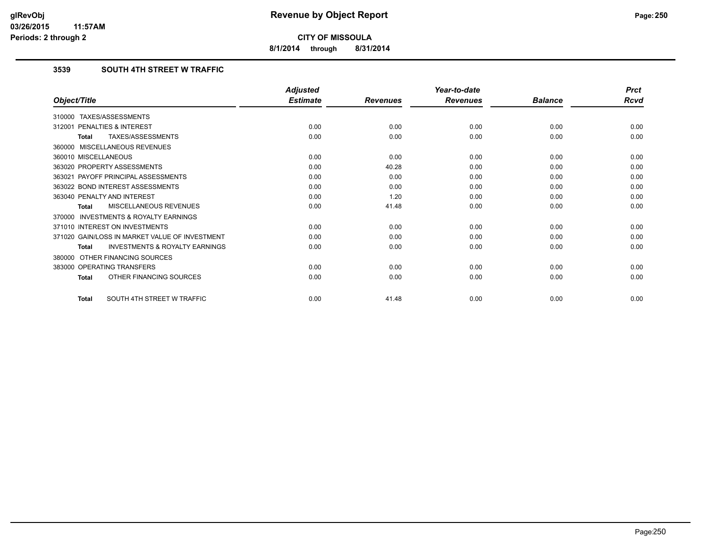**8/1/2014 through 8/31/2014**

# **3539 SOUTH 4TH STREET W TRAFFIC**

|                                                           | <b>Adjusted</b> |                 | Year-to-date    |                | <b>Prct</b> |
|-----------------------------------------------------------|-----------------|-----------------|-----------------|----------------|-------------|
| Object/Title                                              | <b>Estimate</b> | <b>Revenues</b> | <b>Revenues</b> | <b>Balance</b> | Rcvd        |
| 310000 TAXES/ASSESSMENTS                                  |                 |                 |                 |                |             |
| PENALTIES & INTEREST<br>312001                            | 0.00            | 0.00            | 0.00            | 0.00           | 0.00        |
| TAXES/ASSESSMENTS<br><b>Total</b>                         | 0.00            | 0.00            | 0.00            | 0.00           | 0.00        |
| 360000 MISCELLANEOUS REVENUES                             |                 |                 |                 |                |             |
| 360010 MISCELLANEOUS                                      | 0.00            | 0.00            | 0.00            | 0.00           | 0.00        |
| 363020 PROPERTY ASSESSMENTS                               | 0.00            | 40.28           | 0.00            | 0.00           | 0.00        |
| 363021 PAYOFF PRINCIPAL ASSESSMENTS                       | 0.00            | 0.00            | 0.00            | 0.00           | 0.00        |
| 363022 BOND INTEREST ASSESSMENTS                          | 0.00            | 0.00            | 0.00            | 0.00           | 0.00        |
| 363040 PENALTY AND INTEREST                               | 0.00            | 1.20            | 0.00            | 0.00           | 0.00        |
| MISCELLANEOUS REVENUES<br><b>Total</b>                    | 0.00            | 41.48           | 0.00            | 0.00           | 0.00        |
| <b>INVESTMENTS &amp; ROYALTY EARNINGS</b><br>370000       |                 |                 |                 |                |             |
| 371010 INTEREST ON INVESTMENTS                            | 0.00            | 0.00            | 0.00            | 0.00           | 0.00        |
| 371020 GAIN/LOSS IN MARKET VALUE OF INVESTMENT            | 0.00            | 0.00            | 0.00            | 0.00           | 0.00        |
| <b>INVESTMENTS &amp; ROYALTY EARNINGS</b><br><b>Total</b> | 0.00            | 0.00            | 0.00            | 0.00           | 0.00        |
| OTHER FINANCING SOURCES<br>380000                         |                 |                 |                 |                |             |
| 383000 OPERATING TRANSFERS                                | 0.00            | 0.00            | 0.00            | 0.00           | 0.00        |
| OTHER FINANCING SOURCES<br><b>Total</b>                   | 0.00            | 0.00            | 0.00            | 0.00           | 0.00        |
| SOUTH 4TH STREET W TRAFFIC<br><b>Total</b>                | 0.00            | 41.48           | 0.00            | 0.00           | 0.00        |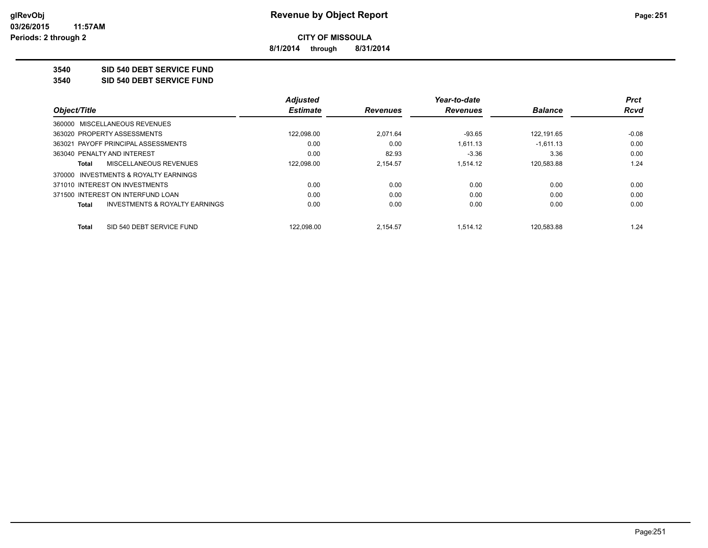**8/1/2014 through 8/31/2014**

**3540 SID 540 DEBT SERVICE FUND**

**3540 SID 540 DEBT SERVICE FUND**

|              |                                           | <b>Adjusted</b> |                 | Year-to-date    |                | <b>Prct</b> |
|--------------|-------------------------------------------|-----------------|-----------------|-----------------|----------------|-------------|
| Object/Title |                                           | <b>Estimate</b> | <b>Revenues</b> | <b>Revenues</b> | <b>Balance</b> | Rcvd        |
|              | 360000 MISCELLANEOUS REVENUES             |                 |                 |                 |                |             |
|              | 363020 PROPERTY ASSESSMENTS               | 122,098.00      | 2,071.64        | $-93.65$        | 122.191.65     | $-0.08$     |
|              | 363021 PAYOFF PRINCIPAL ASSESSMENTS       | 0.00            | 0.00            | 1.611.13        | $-1.611.13$    | 0.00        |
|              | 363040 PENALTY AND INTEREST               | 0.00            | 82.93           | $-3.36$         | 3.36           | 0.00        |
| Total        | MISCELLANEOUS REVENUES                    | 122,098.00      | 2.154.57        | 1.514.12        | 120,583.88     | 1.24        |
|              | 370000 INVESTMENTS & ROYALTY EARNINGS     |                 |                 |                 |                |             |
|              | 371010 INTEREST ON INVESTMENTS            | 0.00            | 0.00            | 0.00            | 0.00           | 0.00        |
|              | 371500 INTEREST ON INTERFUND LOAN         | 0.00            | 0.00            | 0.00            | 0.00           | 0.00        |
| <b>Total</b> | <b>INVESTMENTS &amp; ROYALTY EARNINGS</b> | 0.00            | 0.00            | 0.00            | 0.00           | 0.00        |
| Total        | SID 540 DEBT SERVICE FUND                 | 122.098.00      | 2.154.57        | 1.514.12        | 120.583.88     | 1.24        |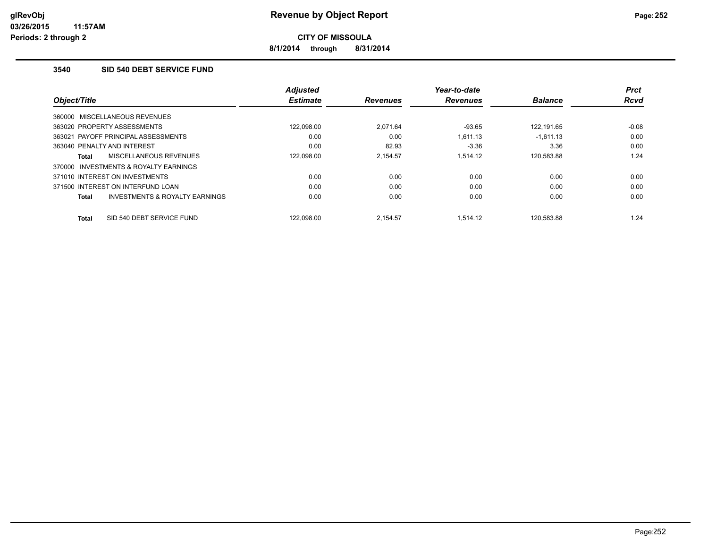**8/1/2014 through 8/31/2014**

# **3540 SID 540 DEBT SERVICE FUND**

| Object/Title                                   | <b>Adjusted</b><br><b>Estimate</b> | <b>Revenues</b> | Year-to-date<br><b>Revenues</b> | <b>Balance</b> | <b>Prct</b><br><b>Rcvd</b> |
|------------------------------------------------|------------------------------------|-----------------|---------------------------------|----------------|----------------------------|
|                                                |                                    |                 |                                 |                |                            |
| 360000 MISCELLANEOUS REVENUES                  |                                    |                 |                                 |                |                            |
| 363020 PROPERTY ASSESSMENTS                    | 122.098.00                         | 2.071.64        | $-93.65$                        | 122.191.65     | $-0.08$                    |
| 363021 PAYOFF PRINCIPAL ASSESSMENTS            | 0.00                               | 0.00            | 1.611.13                        | $-1.611.13$    | 0.00                       |
| 363040 PENALTY AND INTEREST                    | 0.00                               | 82.93           | $-3.36$                         | 3.36           | 0.00                       |
| MISCELLANEOUS REVENUES<br><b>Total</b>         | 122,098.00                         | 2.154.57        | 1.514.12                        | 120,583.88     | 1.24                       |
| INVESTMENTS & ROYALTY EARNINGS<br>370000       |                                    |                 |                                 |                |                            |
| 371010 INTEREST ON INVESTMENTS                 | 0.00                               | 0.00            | 0.00                            | 0.00           | 0.00                       |
| 371500 INTEREST ON INTERFUND LOAN              | 0.00                               | 0.00            | 0.00                            | 0.00           | 0.00                       |
| INVESTMENTS & ROYALTY EARNINGS<br><b>Total</b> | 0.00                               | 0.00            | 0.00                            | 0.00           | 0.00                       |
|                                                |                                    |                 |                                 |                |                            |
| SID 540 DEBT SERVICE FUND<br><b>Total</b>      | 122.098.00                         | 2.154.57        | 1.514.12                        | 120.583.88     | 1.24                       |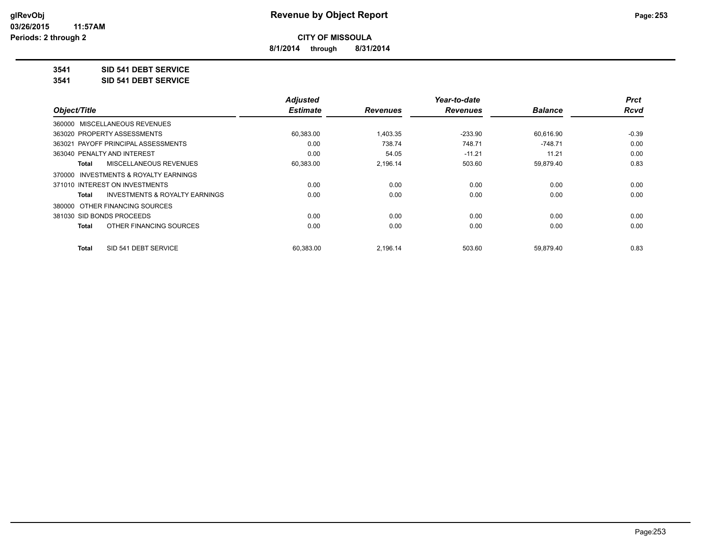**8/1/2014 through 8/31/2014**

# **3541 SID 541 DEBT SERVICE**

**3541 SID 541 DEBT SERVICE**

|                                         | <b>Adjusted</b> |                 | Year-to-date    |                | <b>Prct</b> |
|-----------------------------------------|-----------------|-----------------|-----------------|----------------|-------------|
| Object/Title                            | <b>Estimate</b> | <b>Revenues</b> | <b>Revenues</b> | <b>Balance</b> | <b>Rcvd</b> |
| 360000 MISCELLANEOUS REVENUES           |                 |                 |                 |                |             |
| 363020 PROPERTY ASSESSMENTS             | 60,383.00       | 1,403.35        | $-233.90$       | 60,616.90      | $-0.39$     |
| 363021 PAYOFF PRINCIPAL ASSESSMENTS     | 0.00            | 738.74          | 748.71          | $-748.71$      | 0.00        |
| 363040 PENALTY AND INTEREST             | 0.00            | 54.05           | $-11.21$        | 11.21          | 0.00        |
| MISCELLANEOUS REVENUES<br>Total         | 60,383.00       | 2,196.14        | 503.60          | 59,879.40      | 0.83        |
| 370000 INVESTMENTS & ROYALTY EARNINGS   |                 |                 |                 |                |             |
| 371010 INTEREST ON INVESTMENTS          | 0.00            | 0.00            | 0.00            | 0.00           | 0.00        |
| INVESTMENTS & ROYALTY EARNINGS<br>Total | 0.00            | 0.00            | 0.00            | 0.00           | 0.00        |
| 380000 OTHER FINANCING SOURCES          |                 |                 |                 |                |             |
| 381030 SID BONDS PROCEEDS               | 0.00            | 0.00            | 0.00            | 0.00           | 0.00        |
| OTHER FINANCING SOURCES<br>Total        | 0.00            | 0.00            | 0.00            | 0.00           | 0.00        |
| SID 541 DEBT SERVICE<br>Total           | 60.383.00       | 2.196.14        | 503.60          | 59,879.40      | 0.83        |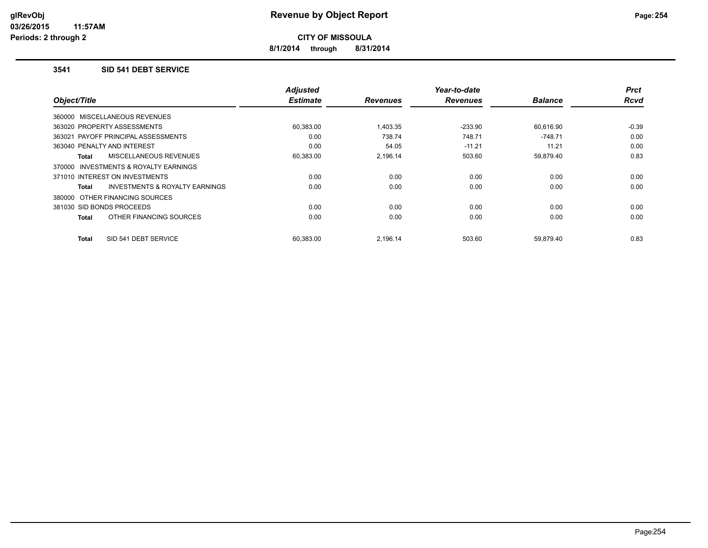**8/1/2014 through 8/31/2014**

#### **3541 SID 541 DEBT SERVICE**

| Object/Title                                       | <b>Adjusted</b><br><b>Estimate</b> | <b>Revenues</b> | Year-to-date<br><b>Revenues</b> | <b>Balance</b> | <b>Prct</b><br><b>Rcvd</b> |
|----------------------------------------------------|------------------------------------|-----------------|---------------------------------|----------------|----------------------------|
| 360000 MISCELLANEOUS REVENUES                      |                                    |                 |                                 |                |                            |
| 363020 PROPERTY ASSESSMENTS                        | 60,383.00                          | 1.403.35        | $-233.90$                       | 60,616.90      | $-0.39$                    |
| 363021 PAYOFF PRINCIPAL ASSESSMENTS                | 0.00                               | 738.74          | 748.71                          | $-748.71$      | 0.00                       |
| 363040 PENALTY AND INTEREST                        | 0.00                               | 54.05           | $-11.21$                        | 11.21          | 0.00                       |
| MISCELLANEOUS REVENUES<br>Total                    | 60,383.00                          | 2.196.14        | 503.60                          | 59,879.40      | 0.83                       |
| INVESTMENTS & ROYALTY EARNINGS<br>370000           |                                    |                 |                                 |                |                            |
| 371010 INTEREST ON INVESTMENTS                     | 0.00                               | 0.00            | 0.00                            | 0.00           | 0.00                       |
| <b>INVESTMENTS &amp; ROYALTY EARNINGS</b><br>Total | 0.00                               | 0.00            | 0.00                            | 0.00           | 0.00                       |
| 380000 OTHER FINANCING SOURCES                     |                                    |                 |                                 |                |                            |
| 381030 SID BONDS PROCEEDS                          | 0.00                               | 0.00            | 0.00                            | 0.00           | 0.00                       |
| OTHER FINANCING SOURCES<br><b>Total</b>            | 0.00                               | 0.00            | 0.00                            | 0.00           | 0.00                       |
| SID 541 DEBT SERVICE<br><b>Total</b>               | 60,383.00                          | 2,196.14        | 503.60                          | 59,879.40      | 0.83                       |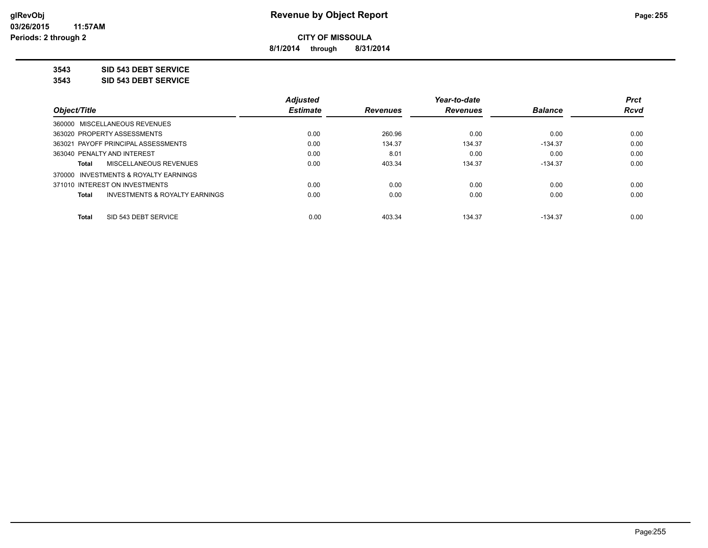**8/1/2014 through 8/31/2014**

**3543 SID 543 DEBT SERVICE**

**3543 SID 543 DEBT SERVICE**

|                                                    | <b>Adjusted</b> |                 | Year-to-date    |                | <b>Prct</b> |
|----------------------------------------------------|-----------------|-----------------|-----------------|----------------|-------------|
| Object/Title                                       | <b>Estimate</b> | <b>Revenues</b> | <b>Revenues</b> | <b>Balance</b> | <b>Rcvd</b> |
| 360000 MISCELLANEOUS REVENUES                      |                 |                 |                 |                |             |
| 363020 PROPERTY ASSESSMENTS                        | 0.00            | 260.96          | 0.00            | 0.00           | 0.00        |
| 363021 PAYOFF PRINCIPAL ASSESSMENTS                | 0.00            | 134.37          | 134.37          | $-134.37$      | 0.00        |
| 363040 PENALTY AND INTEREST                        | 0.00            | 8.01            | 0.00            | 0.00           | 0.00        |
| MISCELLANEOUS REVENUES<br>Total                    | 0.00            | 403.34          | 134.37          | $-134.37$      | 0.00        |
| 370000 INVESTMENTS & ROYALTY EARNINGS              |                 |                 |                 |                |             |
| 371010 INTEREST ON INVESTMENTS                     | 0.00            | 0.00            | 0.00            | 0.00           | 0.00        |
| <b>INVESTMENTS &amp; ROYALTY EARNINGS</b><br>Total | 0.00            | 0.00            | 0.00            | 0.00           | 0.00        |
| SID 543 DEBT SERVICE<br><b>Total</b>               | 0.00            | 403.34          | 134.37          | $-134.37$      | 0.00        |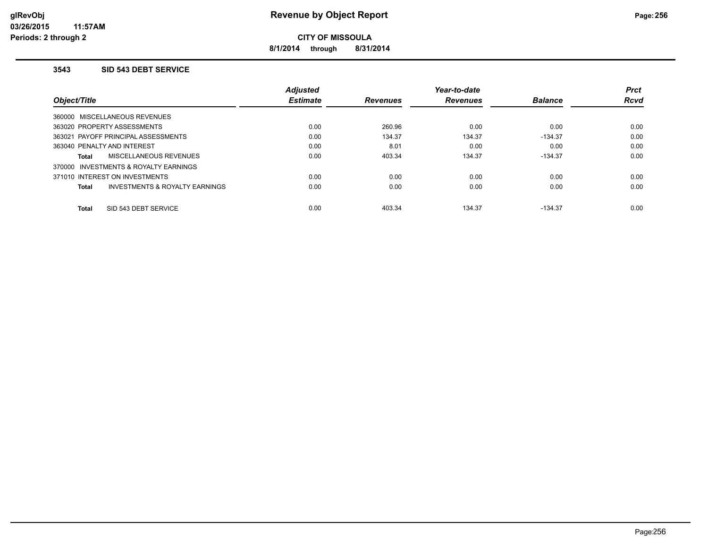**8/1/2014 through 8/31/2014**

#### **3543 SID 543 DEBT SERVICE**

|                                                           | <b>Adjusted</b> |                 | Year-to-date    |                | <b>Prct</b> |
|-----------------------------------------------------------|-----------------|-----------------|-----------------|----------------|-------------|
| Object/Title                                              | <b>Estimate</b> | <b>Revenues</b> | <b>Revenues</b> | <b>Balance</b> | <b>Rcvd</b> |
| 360000 MISCELLANEOUS REVENUES                             |                 |                 |                 |                |             |
| 363020 PROPERTY ASSESSMENTS                               | 0.00            | 260.96          | 0.00            | 0.00           | 0.00        |
| 363021 PAYOFF PRINCIPAL ASSESSMENTS                       | 0.00            | 134.37          | 134.37          | $-134.37$      | 0.00        |
| 363040 PENALTY AND INTEREST                               | 0.00            | 8.01            | 0.00            | 0.00           | 0.00        |
| <b>MISCELLANEOUS REVENUES</b><br><b>Total</b>             | 0.00            | 403.34          | 134.37          | $-134.37$      | 0.00        |
| 370000 INVESTMENTS & ROYALTY EARNINGS                     |                 |                 |                 |                |             |
| 371010 INTEREST ON INVESTMENTS                            | 0.00            | 0.00            | 0.00            | 0.00           | 0.00        |
| <b>INVESTMENTS &amp; ROYALTY EARNINGS</b><br><b>Total</b> | 0.00            | 0.00            | 0.00            | 0.00           | 0.00        |
| SID 543 DEBT SERVICE<br><b>Total</b>                      | 0.00            | 403.34          | 134.37          | $-134.37$      | 0.00        |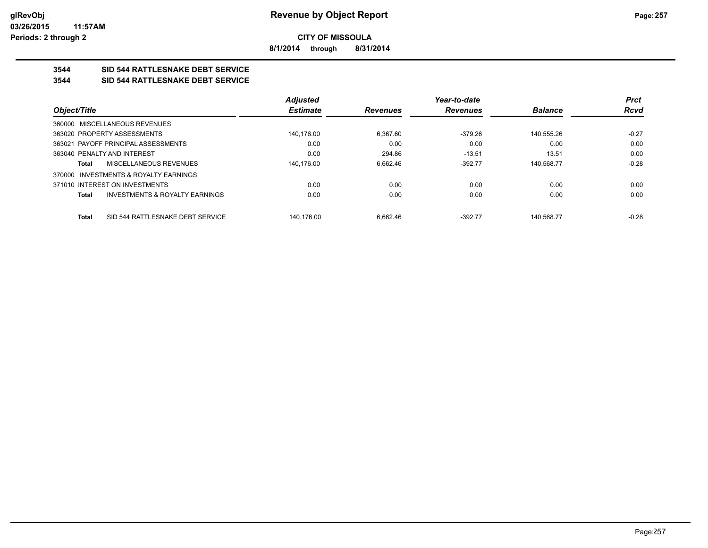**8/1/2014 through 8/31/2014**

# **3544 SID 544 RATTLESNAKE DEBT SERVICE**

### **3544 SID 544 RATTLESNAKE DEBT SERVICE**

|                                                           | <b>Adjusted</b> |                 | Year-to-date    |                | <b>Prct</b> |
|-----------------------------------------------------------|-----------------|-----------------|-----------------|----------------|-------------|
| Object/Title                                              | <b>Estimate</b> | <b>Revenues</b> | <b>Revenues</b> | <b>Balance</b> | Rcvd        |
| 360000 MISCELLANEOUS REVENUES                             |                 |                 |                 |                |             |
| 363020 PROPERTY ASSESSMENTS                               | 140,176.00      | 6.367.60        | $-379.26$       | 140.555.26     | $-0.27$     |
| 363021 PAYOFF PRINCIPAL ASSESSMENTS                       | 0.00            | 0.00            | 0.00            | 0.00           | 0.00        |
| 363040 PENALTY AND INTEREST                               | 0.00            | 294.86          | $-13.51$        | 13.51          | 0.00        |
| MISCELLANEOUS REVENUES<br><b>Total</b>                    | 140.176.00      | 6.662.46        | $-392.77$       | 140.568.77     | $-0.28$     |
| 370000 INVESTMENTS & ROYALTY EARNINGS                     |                 |                 |                 |                |             |
| 371010 INTEREST ON INVESTMENTS                            | 0.00            | 0.00            | 0.00            | 0.00           | 0.00        |
| <b>INVESTMENTS &amp; ROYALTY EARNINGS</b><br><b>Total</b> | 0.00            | 0.00            | 0.00            | 0.00           | 0.00        |
| SID 544 RATTLESNAKE DEBT SERVICE<br><b>Total</b>          | 140.176.00      | 6.662.46        | $-392.77$       | 140.568.77     | $-0.28$     |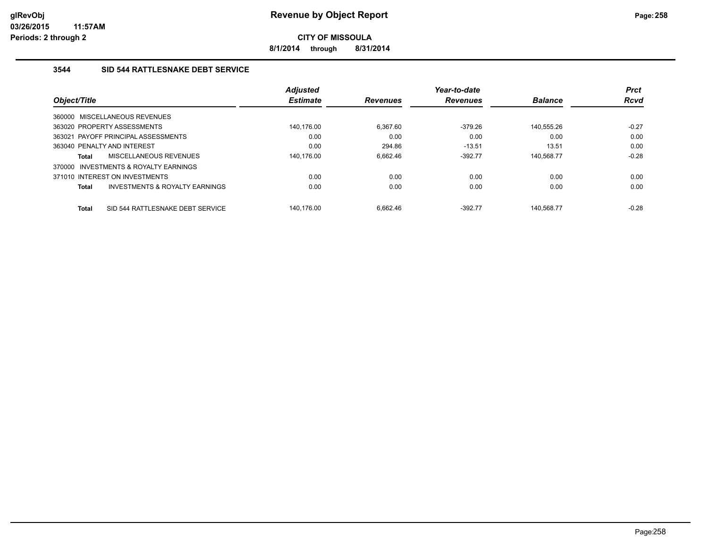**8/1/2014 through 8/31/2014**

# **3544 SID 544 RATTLESNAKE DEBT SERVICE**

|              |                                     | <b>Adjusted</b> |                 | Year-to-date    |                | <b>Prct</b> |
|--------------|-------------------------------------|-----------------|-----------------|-----------------|----------------|-------------|
| Object/Title |                                     | <b>Estimate</b> | <b>Revenues</b> | <b>Revenues</b> | <b>Balance</b> | <b>Rcvd</b> |
|              | 360000 MISCELLANEOUS REVENUES       |                 |                 |                 |                |             |
|              | 363020 PROPERTY ASSESSMENTS         | 140.176.00      | 6.367.60        | $-379.26$       | 140,555.26     | $-0.27$     |
|              | 363021 PAYOFF PRINCIPAL ASSESSMENTS | 0.00            | 0.00            | 0.00            | 0.00           | 0.00        |
|              | 363040 PENALTY AND INTEREST         | 0.00            | 294.86          | $-13.51$        | 13.51          | 0.00        |
| Total        | MISCELLANEOUS REVENUES              | 140.176.00      | 6.662.46        | $-392.77$       | 140.568.77     | $-0.28$     |
| 370000       | INVESTMENTS & ROYALTY EARNINGS      |                 |                 |                 |                |             |
|              | 371010 INTEREST ON INVESTMENTS      | 0.00            | 0.00            | 0.00            | 0.00           | 0.00        |
| <b>Total</b> | INVESTMENTS & ROYALTY EARNINGS      | 0.00            | 0.00            | 0.00            | 0.00           | 0.00        |
| <b>Total</b> | SID 544 RATTLESNAKE DEBT SERVICE    | 140.176.00      | 6.662.46        | $-392.77$       | 140.568.77     | $-0.28$     |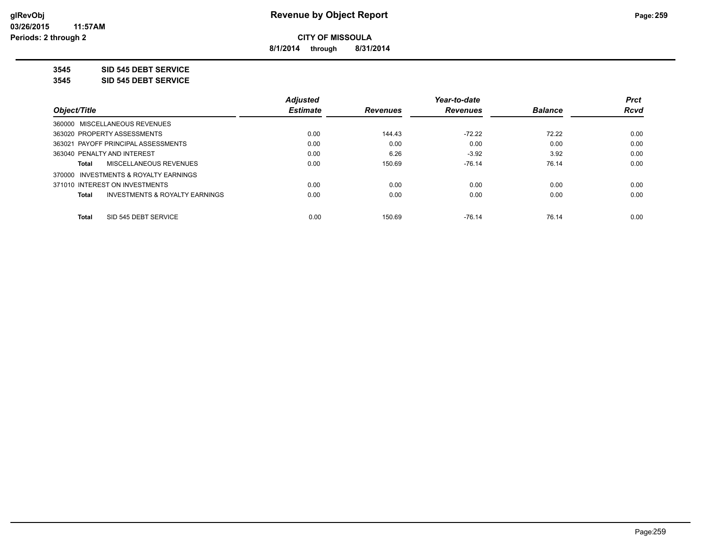**8/1/2014 through 8/31/2014**

**3545 SID 545 DEBT SERVICE**

**3545 SID 545 DEBT SERVICE**

|                                                    | <b>Adjusted</b> |                 | Year-to-date    |                | <b>Prct</b> |
|----------------------------------------------------|-----------------|-----------------|-----------------|----------------|-------------|
| Object/Title                                       | <b>Estimate</b> | <b>Revenues</b> | <b>Revenues</b> | <b>Balance</b> | <b>Rcvd</b> |
| 360000 MISCELLANEOUS REVENUES                      |                 |                 |                 |                |             |
| 363020 PROPERTY ASSESSMENTS                        | 0.00            | 144.43          | $-72.22$        | 72.22          | 0.00        |
| 363021 PAYOFF PRINCIPAL ASSESSMENTS                | 0.00            | 0.00            | 0.00            | 0.00           | 0.00        |
| 363040 PENALTY AND INTEREST                        | 0.00            | 6.26            | $-3.92$         | 3.92           | 0.00        |
| MISCELLANEOUS REVENUES<br>Total                    | 0.00            | 150.69          | $-76.14$        | 76.14          | 0.00        |
| 370000 INVESTMENTS & ROYALTY EARNINGS              |                 |                 |                 |                |             |
| 371010 INTEREST ON INVESTMENTS                     | 0.00            | 0.00            | 0.00            | 0.00           | 0.00        |
| <b>INVESTMENTS &amp; ROYALTY EARNINGS</b><br>Total | 0.00            | 0.00            | 0.00            | 0.00           | 0.00        |
| SID 545 DEBT SERVICE<br><b>Total</b>               | 0.00            | 150.69          | $-76.14$        | 76.14          | 0.00        |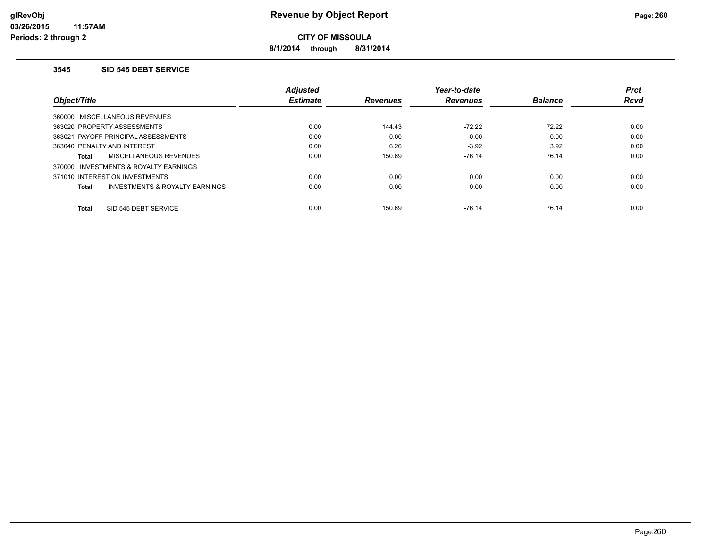**8/1/2014 through 8/31/2014**

#### **3545 SID 545 DEBT SERVICE**

|                                                    | <b>Adjusted</b> |                 | Year-to-date    |                | <b>Prct</b> |
|----------------------------------------------------|-----------------|-----------------|-----------------|----------------|-------------|
| Object/Title                                       | <b>Estimate</b> | <b>Revenues</b> | <b>Revenues</b> | <b>Balance</b> | <b>Rcvd</b> |
| 360000 MISCELLANEOUS REVENUES                      |                 |                 |                 |                |             |
| 363020 PROPERTY ASSESSMENTS                        | 0.00            | 144.43          | $-72.22$        | 72.22          | 0.00        |
| 363021 PAYOFF PRINCIPAL ASSESSMENTS                | 0.00            | 0.00            | 0.00            | 0.00           | 0.00        |
| 363040 PENALTY AND INTEREST                        | 0.00            | 6.26            | $-3.92$         | 3.92           | 0.00        |
| <b>MISCELLANEOUS REVENUES</b><br>Total             | 0.00            | 150.69          | $-76.14$        | 76.14          | 0.00        |
| 370000 INVESTMENTS & ROYALTY EARNINGS              |                 |                 |                 |                |             |
| 371010 INTEREST ON INVESTMENTS                     | 0.00            | 0.00            | 0.00            | 0.00           | 0.00        |
| <b>INVESTMENTS &amp; ROYALTY EARNINGS</b><br>Total | 0.00            | 0.00            | 0.00            | 0.00           | 0.00        |
| SID 545 DEBT SERVICE<br><b>Total</b>               | 0.00            | 150.69          | $-76.14$        | 76.14          | 0.00        |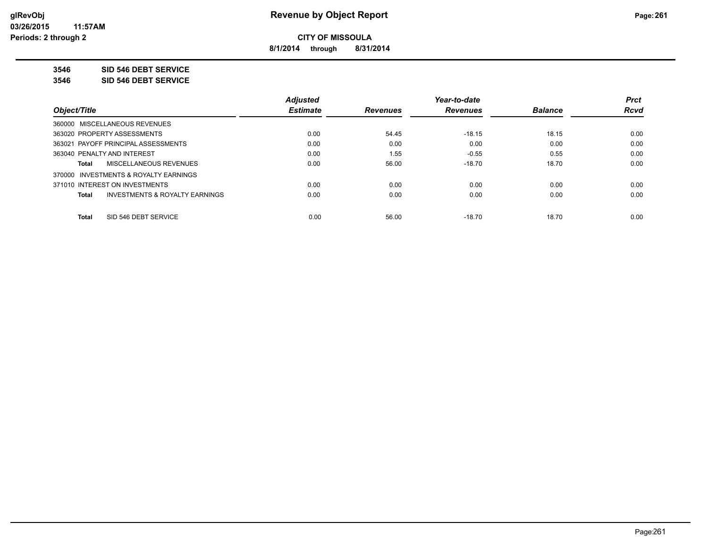**8/1/2014 through 8/31/2014**

**3546 SID 546 DEBT SERVICE**

**3546 SID 546 DEBT SERVICE**

|                                                    | <b>Adjusted</b> |                 | Year-to-date    |                | <b>Prct</b> |
|----------------------------------------------------|-----------------|-----------------|-----------------|----------------|-------------|
| Object/Title                                       | <b>Estimate</b> | <b>Revenues</b> | <b>Revenues</b> | <b>Balance</b> | <b>Rcvd</b> |
| 360000 MISCELLANEOUS REVENUES                      |                 |                 |                 |                |             |
| 363020 PROPERTY ASSESSMENTS                        | 0.00            | 54.45           | $-18.15$        | 18.15          | 0.00        |
| 363021 PAYOFF PRINCIPAL ASSESSMENTS                | 0.00            | 0.00            | 0.00            | 0.00           | 0.00        |
| 363040 PENALTY AND INTEREST                        | 0.00            | 1.55            | $-0.55$         | 0.55           | 0.00        |
| MISCELLANEOUS REVENUES<br>Total                    | 0.00            | 56.00           | $-18.70$        | 18.70          | 0.00        |
| 370000 INVESTMENTS & ROYALTY EARNINGS              |                 |                 |                 |                |             |
| 371010 INTEREST ON INVESTMENTS                     | 0.00            | 0.00            | 0.00            | 0.00           | 0.00        |
| <b>INVESTMENTS &amp; ROYALTY EARNINGS</b><br>Total | 0.00            | 0.00            | 0.00            | 0.00           | 0.00        |
| SID 546 DEBT SERVICE<br><b>Total</b>               | 0.00            | 56.00           | $-18.70$        | 18.70          | 0.00        |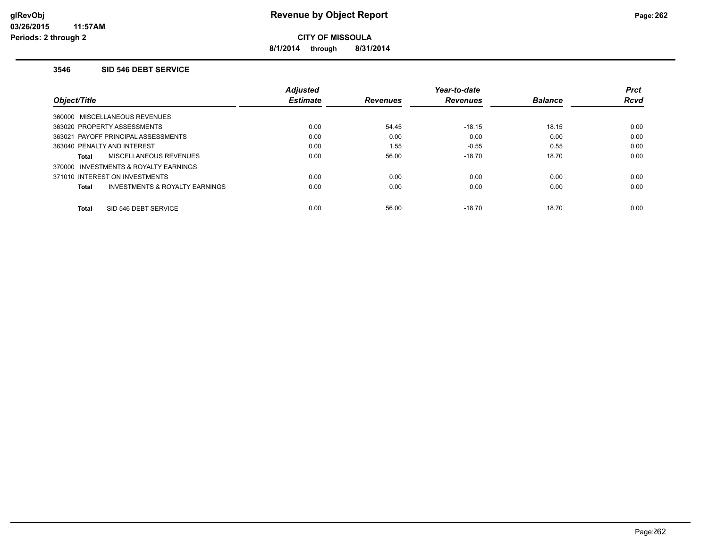**8/1/2014 through 8/31/2014**

#### **3546 SID 546 DEBT SERVICE**

|                                                | <b>Adjusted</b> |                 | Year-to-date    |                | <b>Prct</b> |
|------------------------------------------------|-----------------|-----------------|-----------------|----------------|-------------|
| Object/Title                                   | <b>Estimate</b> | <b>Revenues</b> | <b>Revenues</b> | <b>Balance</b> | <b>Rcvd</b> |
| 360000 MISCELLANEOUS REVENUES                  |                 |                 |                 |                |             |
| 363020 PROPERTY ASSESSMENTS                    | 0.00            | 54.45           | $-18.15$        | 18.15          | 0.00        |
| 363021 PAYOFF PRINCIPAL ASSESSMENTS            | 0.00            | 0.00            | 0.00            | 0.00           | 0.00        |
| 363040 PENALTY AND INTEREST                    | 0.00            | 1.55            | $-0.55$         | 0.55           | 0.00        |
| MISCELLANEOUS REVENUES<br><b>Total</b>         | 0.00            | 56.00           | $-18.70$        | 18.70          | 0.00        |
| 370000 INVESTMENTS & ROYALTY EARNINGS          |                 |                 |                 |                |             |
| 371010 INTEREST ON INVESTMENTS                 | 0.00            | 0.00            | 0.00            | 0.00           | 0.00        |
| INVESTMENTS & ROYALTY EARNINGS<br><b>Total</b> | 0.00            | 0.00            | 0.00            | 0.00           | 0.00        |
| SID 546 DEBT SERVICE<br><b>Total</b>           | 0.00            | 56.00           | $-18.70$        | 18.70          | 0.00        |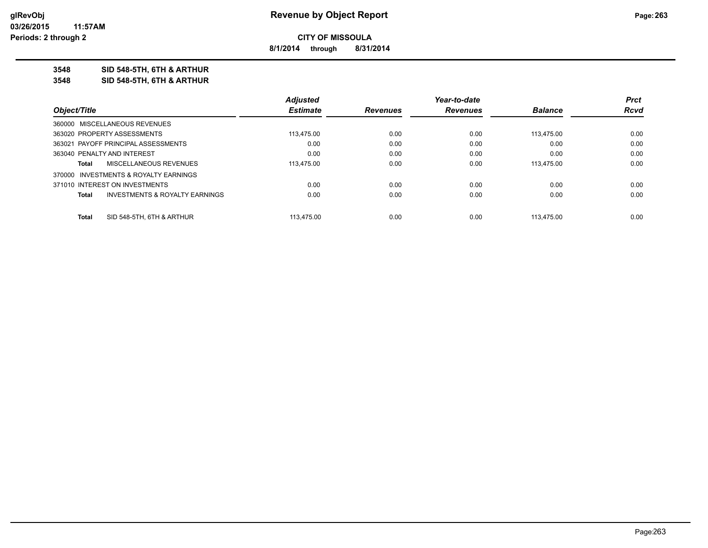**8/1/2014 through 8/31/2014**

**3548 SID 548-5TH, 6TH & ARTHUR**

**3548 SID 548-5TH, 6TH & ARTHUR**

|                                                    | <b>Adjusted</b> |                 | Year-to-date    |                | <b>Prct</b> |
|----------------------------------------------------|-----------------|-----------------|-----------------|----------------|-------------|
| Object/Title                                       | <b>Estimate</b> | <b>Revenues</b> | <b>Revenues</b> | <b>Balance</b> | Rcvd        |
| 360000 MISCELLANEOUS REVENUES                      |                 |                 |                 |                |             |
| 363020 PROPERTY ASSESSMENTS                        | 113,475.00      | 0.00            | 0.00            | 113.475.00     | 0.00        |
| 363021 PAYOFF PRINCIPAL ASSESSMENTS                | 0.00            | 0.00            | 0.00            | 0.00           | 0.00        |
| 363040 PENALTY AND INTEREST                        | 0.00            | 0.00            | 0.00            | 0.00           | 0.00        |
| MISCELLANEOUS REVENUES<br>Total                    | 113.475.00      | 0.00            | 0.00            | 113.475.00     | 0.00        |
| 370000 INVESTMENTS & ROYALTY EARNINGS              |                 |                 |                 |                |             |
| 371010 INTEREST ON INVESTMENTS                     | 0.00            | 0.00            | 0.00            | 0.00           | 0.00        |
| <b>INVESTMENTS &amp; ROYALTY EARNINGS</b><br>Total | 0.00            | 0.00            | 0.00            | 0.00           | 0.00        |
|                                                    |                 |                 |                 |                |             |
| SID 548-5TH, 6TH & ARTHUR<br>Total                 | 113.475.00      | 0.00            | 0.00            | 113.475.00     | 0.00        |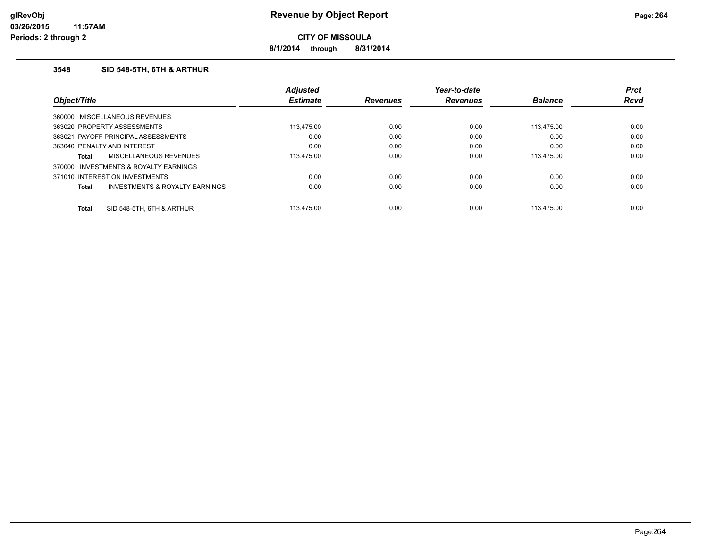**8/1/2014 through 8/31/2014**

### **3548 SID 548-5TH, 6TH & ARTHUR**

|                            |                                           | <b>Adjusted</b> |                 | Year-to-date    |                | <b>Prct</b> |
|----------------------------|-------------------------------------------|-----------------|-----------------|-----------------|----------------|-------------|
| <i><b>Object/Title</b></i> |                                           | <b>Estimate</b> | <b>Revenues</b> | <b>Revenues</b> | <b>Balance</b> | <b>Rcvd</b> |
|                            | 360000 MISCELLANEOUS REVENUES             |                 |                 |                 |                |             |
|                            | 363020 PROPERTY ASSESSMENTS               | 113.475.00      | 0.00            | 0.00            | 113.475.00     | 0.00        |
|                            | 363021 PAYOFF PRINCIPAL ASSESSMENTS       | 0.00            | 0.00            | 0.00            | 0.00           | 0.00        |
|                            | 363040 PENALTY AND INTEREST               | 0.00            | 0.00            | 0.00            | 0.00           | 0.00        |
| Total                      | MISCELLANEOUS REVENUES                    | 113.475.00      | 0.00            | 0.00            | 113.475.00     | 0.00        |
| 370000                     | INVESTMENTS & ROYALTY EARNINGS            |                 |                 |                 |                |             |
|                            | 371010 INTEREST ON INVESTMENTS            | 0.00            | 0.00            | 0.00            | 0.00           | 0.00        |
| Total                      | <b>INVESTMENTS &amp; ROYALTY EARNINGS</b> | 0.00            | 0.00            | 0.00            | 0.00           | 0.00        |
| <b>Total</b>               | SID 548-5TH, 6TH & ARTHUR                 | 113.475.00      | 0.00            | 0.00            | 113.475.00     | 0.00        |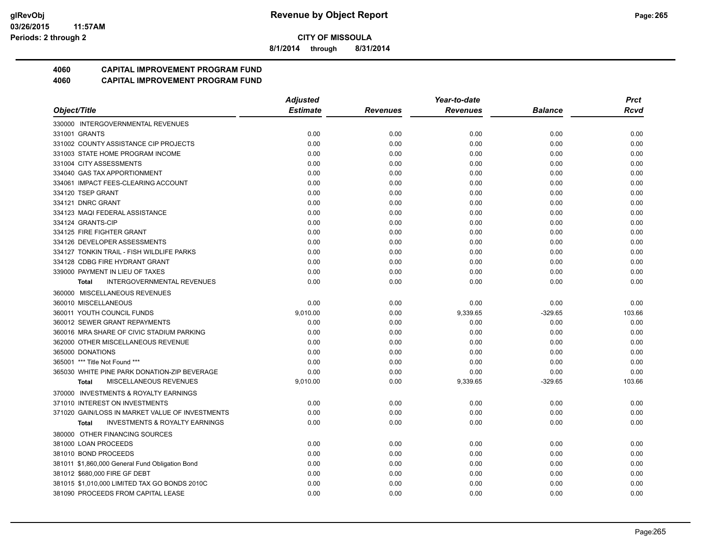**8/1/2014 through 8/31/2014**

# **4060 CAPITAL IMPROVEMENT PROGRAM FUND**

|                                                    | <b>Adjusted</b> |                 | Year-to-date    |           | <b>Prct</b> |
|----------------------------------------------------|-----------------|-----------------|-----------------|-----------|-------------|
| Object/Title                                       | <b>Estimate</b> | <b>Revenues</b> | <b>Revenues</b> | Balance   | Rcvd        |
| 330000 INTERGOVERNMENTAL REVENUES                  |                 |                 |                 |           |             |
| 331001 GRANTS                                      | 0.00            | 0.00            | 0.00            | 0.00      | 0.00        |
| 331002 COUNTY ASSISTANCE CIP PROJECTS              | 0.00            | 0.00            | 0.00            | 0.00      | 0.00        |
| 331003 STATE HOME PROGRAM INCOME                   | 0.00            | 0.00            | 0.00            | 0.00      | 0.00        |
| 331004 CITY ASSESSMENTS                            | 0.00            | 0.00            | 0.00            | 0.00      | 0.00        |
| 334040 GAS TAX APPORTIONMENT                       | 0.00            | 0.00            | 0.00            | 0.00      | 0.00        |
| 334061 IMPACT FEES-CLEARING ACCOUNT                | 0.00            | 0.00            | 0.00            | 0.00      | 0.00        |
| 334120 TSEP GRANT                                  | 0.00            | 0.00            | 0.00            | 0.00      | 0.00        |
| 334121 DNRC GRANT                                  | 0.00            | 0.00            | 0.00            | 0.00      | 0.00        |
| 334123 MAQI FEDERAL ASSISTANCE                     | 0.00            | 0.00            | 0.00            | 0.00      | 0.00        |
| 334124 GRANTS-CIP                                  | 0.00            | 0.00            | 0.00            | 0.00      | 0.00        |
| 334125 FIRE FIGHTER GRANT                          | 0.00            | 0.00            | 0.00            | 0.00      | 0.00        |
| 334126 DEVELOPER ASSESSMENTS                       | 0.00            | 0.00            | 0.00            | 0.00      | 0.00        |
| 334127 TONKIN TRAIL - FISH WILDLIFE PARKS          | 0.00            | 0.00            | 0.00            | 0.00      | 0.00        |
| 334128 CDBG FIRE HYDRANT GRANT                     | 0.00            | 0.00            | 0.00            | 0.00      | 0.00        |
| 339000 PAYMENT IN LIEU OF TAXES                    | 0.00            | 0.00            | 0.00            | 0.00      | 0.00        |
| <b>INTERGOVERNMENTAL REVENUES</b><br><b>Total</b>  | 0.00            | 0.00            | 0.00            | 0.00      | 0.00        |
| 360000 MISCELLANEOUS REVENUES                      |                 |                 |                 |           |             |
| 360010 MISCELLANEOUS                               | 0.00            | 0.00            | 0.00            | 0.00      | 0.00        |
| 360011 YOUTH COUNCIL FUNDS                         | 9,010.00        | 0.00            | 9,339.65        | $-329.65$ | 103.66      |
| 360012 SEWER GRANT REPAYMENTS                      | 0.00            | 0.00            | 0.00            | 0.00      | 0.00        |
| 360016 MRA SHARE OF CIVIC STADIUM PARKING          | 0.00            | 0.00            | 0.00            | 0.00      | 0.00        |
| 362000 OTHER MISCELLANEOUS REVENUE                 | 0.00            | 0.00            | 0.00            | 0.00      | 0.00        |
| 365000 DONATIONS                                   | 0.00            | 0.00            | 0.00            | 0.00      | 0.00        |
| 365001 *** Title Not Found ***                     | 0.00            | 0.00            | 0.00            | 0.00      | 0.00        |
| 365030 WHITE PINE PARK DONATION-ZIP BEVERAGE       | 0.00            | 0.00            | 0.00            | 0.00      | 0.00        |
| MISCELLANEOUS REVENUES<br><b>Total</b>             | 9,010.00        | 0.00            | 9,339.65        | $-329.65$ | 103.66      |
| 370000 INVESTMENTS & ROYALTY EARNINGS              |                 |                 |                 |           |             |
| 371010 INTEREST ON INVESTMENTS                     | 0.00            | 0.00            | 0.00            | 0.00      | 0.00        |
| 371020 GAIN/LOSS IN MARKET VALUE OF INVESTMENTS    | 0.00            | 0.00            | 0.00            | 0.00      | 0.00        |
| <b>INVESTMENTS &amp; ROYALTY EARNINGS</b><br>Total | 0.00            | 0.00            | 0.00            | 0.00      | 0.00        |
| 380000 OTHER FINANCING SOURCES                     |                 |                 |                 |           |             |
| 381000 LOAN PROCEEDS                               | 0.00            | 0.00            | 0.00            | 0.00      | 0.00        |
| 381010 BOND PROCEEDS                               | 0.00            | 0.00            | 0.00            | 0.00      | 0.00        |
| 381011 \$1,860,000 General Fund Obligation Bond    | 0.00            | 0.00            | 0.00            | 0.00      | 0.00        |
| 381012 \$680,000 FIRE GF DEBT                      | 0.00            | 0.00            | 0.00            | 0.00      | 0.00        |
| 381015 \$1,010,000 LIMITED TAX GO BONDS 2010C      | 0.00            | 0.00            | 0.00            | 0.00      | 0.00        |
| 381090 PROCEEDS FROM CAPITAL LEASE                 | 0.00            | 0.00            | 0.00            | 0.00      | 0.00        |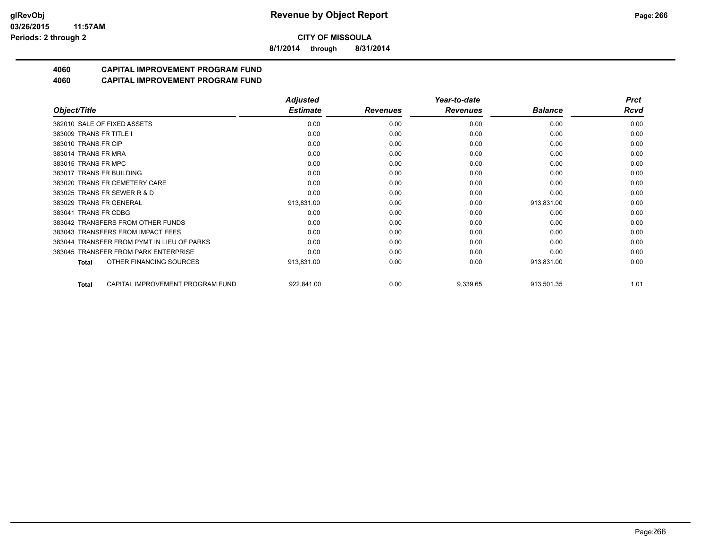**8/1/2014 through 8/31/2014**

# **4060 CAPITAL IMPROVEMENT PROGRAM FUND**

|                                            | <b>Adjusted</b> |                 | Year-to-date    |                | <b>Prct</b> |
|--------------------------------------------|-----------------|-----------------|-----------------|----------------|-------------|
| Object/Title                               | <b>Estimate</b> | <b>Revenues</b> | <b>Revenues</b> | <b>Balance</b> | <b>Rcvd</b> |
| 382010 SALE OF FIXED ASSETS                | 0.00            | 0.00            | 0.00            | 0.00           | 0.00        |
| 383009 TRANS FR TITLE I                    | 0.00            | 0.00            | 0.00            | 0.00           | 0.00        |
| 383010 TRANS FR CIP                        | 0.00            | 0.00            | 0.00            | 0.00           | 0.00        |
| 383014 TRANS FR MRA                        | 0.00            | 0.00            | 0.00            | 0.00           | 0.00        |
| 383015 TRANS FR MPC                        | 0.00            | 0.00            | 0.00            | 0.00           | 0.00        |
| 383017 TRANS FR BUILDING                   | 0.00            | 0.00            | 0.00            | 0.00           | 0.00        |
| 383020 TRANS FR CEMETERY CARE              | 0.00            | 0.00            | 0.00            | 0.00           | 0.00        |
| 383025 TRANS FR SEWER R & D                | 0.00            | 0.00            | 0.00            | 0.00           | 0.00        |
| 383029 TRANS FR GENERAL                    | 913,831.00      | 0.00            | 0.00            | 913,831.00     | 0.00        |
| 383041 TRANS FR CDBG                       | 0.00            | 0.00            | 0.00            | 0.00           | 0.00        |
| 383042 TRANSFERS FROM OTHER FUNDS          | 0.00            | 0.00            | 0.00            | 0.00           | 0.00        |
| 383043 TRANSFERS FROM IMPACT FEES          | 0.00            | 0.00            | 0.00            | 0.00           | 0.00        |
| 383044 TRANSFER FROM PYMT IN LIEU OF PARKS | 0.00            | 0.00            | 0.00            | 0.00           | 0.00        |
| 383045 TRANSFER FROM PARK ENTERPRISE       | 0.00            | 0.00            | 0.00            | 0.00           | 0.00        |
| OTHER FINANCING SOURCES<br>Total           | 913,831.00      | 0.00            | 0.00            | 913,831.00     | 0.00        |
| CAPITAL IMPROVEMENT PROGRAM FUND<br>Total  | 922,841.00      | 0.00            | 9,339.65        | 913,501.35     | 1.01        |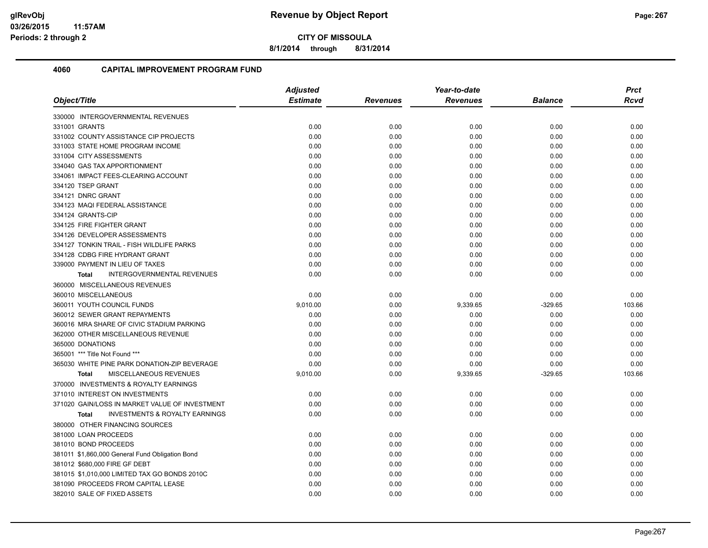**8/1/2014 through 8/31/2014**

| Object/Title                                       | <b>Adjusted</b> |                 | Year-to-date    |                | <b>Prct</b> |
|----------------------------------------------------|-----------------|-----------------|-----------------|----------------|-------------|
|                                                    | <b>Estimate</b> | <b>Revenues</b> | <b>Revenues</b> | <b>Balance</b> | <b>Rcvd</b> |
| 330000 INTERGOVERNMENTAL REVENUES                  |                 |                 |                 |                |             |
| 331001 GRANTS                                      | 0.00            | 0.00            | 0.00            | 0.00           | 0.00        |
| 331002 COUNTY ASSISTANCE CIP PROJECTS              | 0.00            | 0.00            | 0.00            | 0.00           | 0.00        |
| 331003 STATE HOME PROGRAM INCOME                   | 0.00            | 0.00            | 0.00            | 0.00           | 0.00        |
| 331004 CITY ASSESSMENTS                            | 0.00            | 0.00            | 0.00            | 0.00           | 0.00        |
| 334040 GAS TAX APPORTIONMENT                       | 0.00            | 0.00            | 0.00            | 0.00           | 0.00        |
| 334061 IMPACT FEES-CLEARING ACCOUNT                | 0.00            | 0.00            | 0.00            | 0.00           | 0.00        |
| 334120 TSEP GRANT                                  | 0.00            | 0.00            | 0.00            | 0.00           | 0.00        |
| 334121 DNRC GRANT                                  | 0.00            | 0.00            | 0.00            | 0.00           | 0.00        |
| 334123 MAQI FEDERAL ASSISTANCE                     | 0.00            | 0.00            | 0.00            | 0.00           | 0.00        |
| 334124 GRANTS-CIP                                  | 0.00            | 0.00            | 0.00            | 0.00           | 0.00        |
| 334125 FIRE FIGHTER GRANT                          | 0.00            | 0.00            | 0.00            | 0.00           | 0.00        |
| 334126 DEVELOPER ASSESSMENTS                       | 0.00            | 0.00            | 0.00            | 0.00           | 0.00        |
| 334127 TONKIN TRAIL - FISH WILDLIFE PARKS          | 0.00            | 0.00            | 0.00            | 0.00           | 0.00        |
| 334128 CDBG FIRE HYDRANT GRANT                     | 0.00            | 0.00            | 0.00            | 0.00           | 0.00        |
| 339000 PAYMENT IN LIEU OF TAXES                    | 0.00            | 0.00            | 0.00            | 0.00           | 0.00        |
| <b>INTERGOVERNMENTAL REVENUES</b><br><b>Total</b>  | 0.00            | 0.00            | 0.00            | 0.00           | 0.00        |
| 360000 MISCELLANEOUS REVENUES                      |                 |                 |                 |                |             |
| 360010 MISCELLANEOUS                               | 0.00            | 0.00            | 0.00            | 0.00           | 0.00        |
| 360011 YOUTH COUNCIL FUNDS                         | 9,010.00        | 0.00            | 9,339.65        | $-329.65$      | 103.66      |
| 360012 SEWER GRANT REPAYMENTS                      | 0.00            | 0.00            | 0.00            | 0.00           | 0.00        |
| 360016 MRA SHARE OF CIVIC STADIUM PARKING          | 0.00            | 0.00            | 0.00            | 0.00           | 0.00        |
| 362000 OTHER MISCELLANEOUS REVENUE                 | 0.00            | 0.00            | 0.00            | 0.00           | 0.00        |
| 365000 DONATIONS                                   | 0.00            | 0.00            | 0.00            | 0.00           | 0.00        |
| 365001 *** Title Not Found ***                     | 0.00            | 0.00            | 0.00            | 0.00           | 0.00        |
| 365030 WHITE PINE PARK DONATION-ZIP BEVERAGE       | 0.00            | 0.00            | 0.00            | 0.00           | 0.00        |
| <b>MISCELLANEOUS REVENUES</b><br><b>Total</b>      | 9,010.00        | 0.00            | 9,339.65        | $-329.65$      | 103.66      |
| 370000 INVESTMENTS & ROYALTY EARNINGS              |                 |                 |                 |                |             |
| 371010 INTEREST ON INVESTMENTS                     | 0.00            | 0.00            | 0.00            | 0.00           | 0.00        |
| 371020 GAIN/LOSS IN MARKET VALUE OF INVESTMENT     | 0.00            | 0.00            | 0.00            | 0.00           | 0.00        |
| <b>INVESTMENTS &amp; ROYALTY EARNINGS</b><br>Total | 0.00            | 0.00            | 0.00            | 0.00           | 0.00        |
| 380000 OTHER FINANCING SOURCES                     |                 |                 |                 |                |             |
| 381000 LOAN PROCEEDS                               | 0.00            | 0.00            | 0.00            | 0.00           | 0.00        |
| 381010 BOND PROCEEDS                               | 0.00            | 0.00            | 0.00            | 0.00           | 0.00        |
| 381011 \$1,860,000 General Fund Obligation Bond    | 0.00            | 0.00            | 0.00            | 0.00           | 0.00        |
| 381012 \$680,000 FIRE GF DEBT                      | 0.00            | 0.00            | 0.00            | 0.00           | 0.00        |
| 381015 \$1,010,000 LIMITED TAX GO BONDS 2010C      | 0.00            | 0.00            | 0.00            | 0.00           | 0.00        |
| 381090 PROCEEDS FROM CAPITAL LEASE                 | 0.00            | 0.00            | 0.00            | 0.00           | 0.00        |
| 382010 SALE OF FIXED ASSETS                        | 0.00            | 0.00            | 0.00            | 0.00           | 0.00        |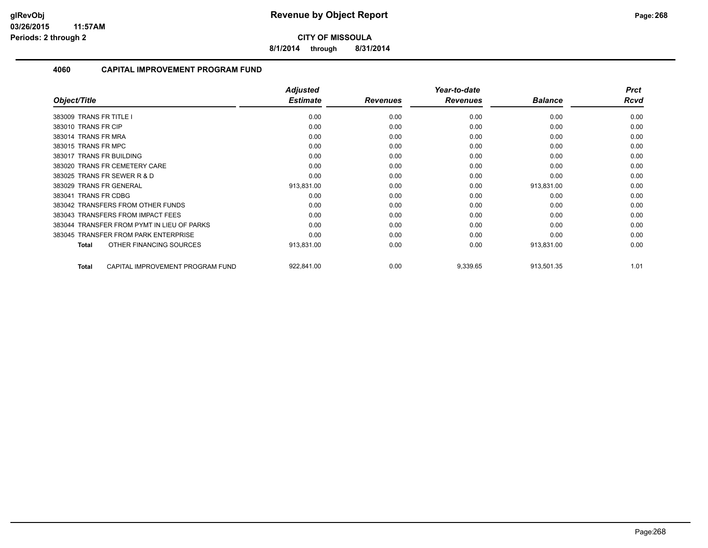**8/1/2014 through 8/31/2014**

| Object/Title                                     | <b>Adjusted</b><br><b>Estimate</b> | <b>Revenues</b> | Year-to-date<br><b>Revenues</b> | <b>Balance</b> | <b>Prct</b><br>Rcvd |
|--------------------------------------------------|------------------------------------|-----------------|---------------------------------|----------------|---------------------|
|                                                  |                                    |                 |                                 |                |                     |
| 383009 TRANS FR TITLE I                          | 0.00                               | 0.00            | 0.00                            | 0.00           | 0.00                |
| 383010 TRANS FR CIP                              | 0.00                               | 0.00            | 0.00                            | 0.00           | 0.00                |
| 383014 TRANS FR MRA                              | 0.00                               | 0.00            | 0.00                            | 0.00           | 0.00                |
| 383015 TRANS FR MPC                              | 0.00                               | 0.00            | 0.00                            | 0.00           | 0.00                |
| 383017 TRANS FR BUILDING                         | 0.00                               | 0.00            | 0.00                            | 0.00           | 0.00                |
| 383020 TRANS FR CEMETERY CARE                    | 0.00                               | 0.00            | 0.00                            | 0.00           | 0.00                |
| 383025 TRANS FR SEWER R & D                      | 0.00                               | 0.00            | 0.00                            | 0.00           | 0.00                |
| 383029 TRANS FR GENERAL                          | 913,831.00                         | 0.00            | 0.00                            | 913,831.00     | 0.00                |
| 383041 TRANS FR CDBG                             | 0.00                               | 0.00            | 0.00                            | 0.00           | 0.00                |
| 383042 TRANSFERS FROM OTHER FUNDS                | 0.00                               | 0.00            | 0.00                            | 0.00           | 0.00                |
| 383043 TRANSFERS FROM IMPACT FEES                | 0.00                               | 0.00            | 0.00                            | 0.00           | 0.00                |
| 383044 TRANSFER FROM PYMT IN LIEU OF PARKS       | 0.00                               | 0.00            | 0.00                            | 0.00           | 0.00                |
| 383045 TRANSFER FROM PARK ENTERPRISE             | 0.00                               | 0.00            | 0.00                            | 0.00           | 0.00                |
| OTHER FINANCING SOURCES<br><b>Total</b>          | 913,831.00                         | 0.00            | 0.00                            | 913,831.00     | 0.00                |
| CAPITAL IMPROVEMENT PROGRAM FUND<br><b>Total</b> | 922,841.00                         | 0.00            | 9,339.65                        | 913,501.35     | 1.01                |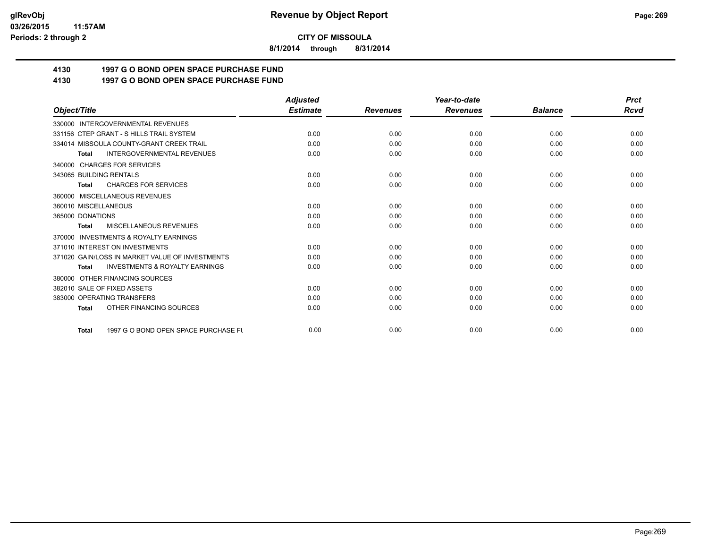**8/1/2014 through 8/31/2014**

# **4130 1997 G O BOND OPEN SPACE PURCHASE FUND**

# **4130 1997 G O BOND OPEN SPACE PURCHASE FUND**

|                                                           | <b>Adjusted</b> |                 | Year-to-date    |                | <b>Prct</b> |
|-----------------------------------------------------------|-----------------|-----------------|-----------------|----------------|-------------|
| Object/Title                                              | <b>Estimate</b> | <b>Revenues</b> | <b>Revenues</b> | <b>Balance</b> | <b>Rcvd</b> |
| 330000 INTERGOVERNMENTAL REVENUES                         |                 |                 |                 |                |             |
| 331156 CTEP GRANT - S HILLS TRAIL SYSTEM                  | 0.00            | 0.00            | 0.00            | 0.00           | 0.00        |
| 334014 MISSOULA COUNTY-GRANT CREEK TRAIL                  | 0.00            | 0.00            | 0.00            | 0.00           | 0.00        |
| <b>INTERGOVERNMENTAL REVENUES</b><br><b>Total</b>         | 0.00            | 0.00            | 0.00            | 0.00           | 0.00        |
| 340000 CHARGES FOR SERVICES                               |                 |                 |                 |                |             |
| 343065 BUILDING RENTALS                                   | 0.00            | 0.00            | 0.00            | 0.00           | 0.00        |
| <b>CHARGES FOR SERVICES</b><br><b>Total</b>               | 0.00            | 0.00            | 0.00            | 0.00           | 0.00        |
| 360000 MISCELLANEOUS REVENUES                             |                 |                 |                 |                |             |
| 360010 MISCELLANEOUS                                      | 0.00            | 0.00            | 0.00            | 0.00           | 0.00        |
| 365000 DONATIONS                                          | 0.00            | 0.00            | 0.00            | 0.00           | 0.00        |
| MISCELLANEOUS REVENUES<br><b>Total</b>                    | 0.00            | 0.00            | 0.00            | 0.00           | 0.00        |
| <b>INVESTMENTS &amp; ROYALTY EARNINGS</b><br>370000       |                 |                 |                 |                |             |
| 371010 INTEREST ON INVESTMENTS                            | 0.00            | 0.00            | 0.00            | 0.00           | 0.00        |
| 371020 GAIN/LOSS IN MARKET VALUE OF INVESTMENTS           | 0.00            | 0.00            | 0.00            | 0.00           | 0.00        |
| <b>INVESTMENTS &amp; ROYALTY EARNINGS</b><br><b>Total</b> | 0.00            | 0.00            | 0.00            | 0.00           | 0.00        |
| 380000 OTHER FINANCING SOURCES                            |                 |                 |                 |                |             |
| 382010 SALE OF FIXED ASSETS                               | 0.00            | 0.00            | 0.00            | 0.00           | 0.00        |
| 383000 OPERATING TRANSFERS                                | 0.00            | 0.00            | 0.00            | 0.00           | 0.00        |
| OTHER FINANCING SOURCES<br><b>Total</b>                   | 0.00            | 0.00            | 0.00            | 0.00           | 0.00        |
| 1997 G O BOND OPEN SPACE PURCHASE FU<br><b>Total</b>      | 0.00            | 0.00            | 0.00            | 0.00           | 0.00        |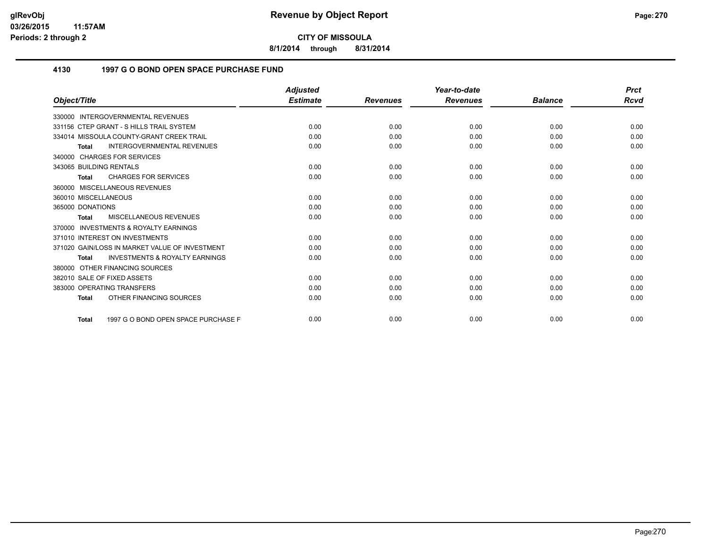**8/1/2014 through 8/31/2014**

### **4130 1997 G O BOND OPEN SPACE PURCHASE FUND**

|                                                           | <b>Adjusted</b> |                 | Year-to-date    |                | <b>Prct</b> |
|-----------------------------------------------------------|-----------------|-----------------|-----------------|----------------|-------------|
| Object/Title                                              | <b>Estimate</b> | <b>Revenues</b> | <b>Revenues</b> | <b>Balance</b> | Rcvd        |
| 330000 INTERGOVERNMENTAL REVENUES                         |                 |                 |                 |                |             |
| 331156 CTEP GRANT - S HILLS TRAIL SYSTEM                  | 0.00            | 0.00            | 0.00            | 0.00           | 0.00        |
| 334014 MISSOULA COUNTY-GRANT CREEK TRAIL                  | 0.00            | 0.00            | 0.00            | 0.00           | 0.00        |
| <b>INTERGOVERNMENTAL REVENUES</b><br><b>Total</b>         | 0.00            | 0.00            | 0.00            | 0.00           | 0.00        |
| 340000 CHARGES FOR SERVICES                               |                 |                 |                 |                |             |
| 343065 BUILDING RENTALS                                   | 0.00            | 0.00            | 0.00            | 0.00           | 0.00        |
| <b>CHARGES FOR SERVICES</b><br><b>Total</b>               | 0.00            | 0.00            | 0.00            | 0.00           | 0.00        |
| 360000 MISCELLANEOUS REVENUES                             |                 |                 |                 |                |             |
| 360010 MISCELLANEOUS                                      | 0.00            | 0.00            | 0.00            | 0.00           | 0.00        |
| 365000 DONATIONS                                          | 0.00            | 0.00            | 0.00            | 0.00           | 0.00        |
| MISCELLANEOUS REVENUES<br><b>Total</b>                    | 0.00            | 0.00            | 0.00            | 0.00           | 0.00        |
| <b>INVESTMENTS &amp; ROYALTY EARNINGS</b><br>370000       |                 |                 |                 |                |             |
| 371010 INTEREST ON INVESTMENTS                            | 0.00            | 0.00            | 0.00            | 0.00           | 0.00        |
| 371020 GAIN/LOSS IN MARKET VALUE OF INVESTMENT            | 0.00            | 0.00            | 0.00            | 0.00           | 0.00        |
| <b>INVESTMENTS &amp; ROYALTY EARNINGS</b><br><b>Total</b> | 0.00            | 0.00            | 0.00            | 0.00           | 0.00        |
| OTHER FINANCING SOURCES<br>380000                         |                 |                 |                 |                |             |
| 382010 SALE OF FIXED ASSETS                               | 0.00            | 0.00            | 0.00            | 0.00           | 0.00        |
| 383000 OPERATING TRANSFERS                                | 0.00            | 0.00            | 0.00            | 0.00           | 0.00        |
| OTHER FINANCING SOURCES<br><b>Total</b>                   | 0.00            | 0.00            | 0.00            | 0.00           | 0.00        |
| 1997 G O BOND OPEN SPACE PURCHASE F<br><b>Total</b>       | 0.00            | 0.00            | 0.00            | 0.00           | 0.00        |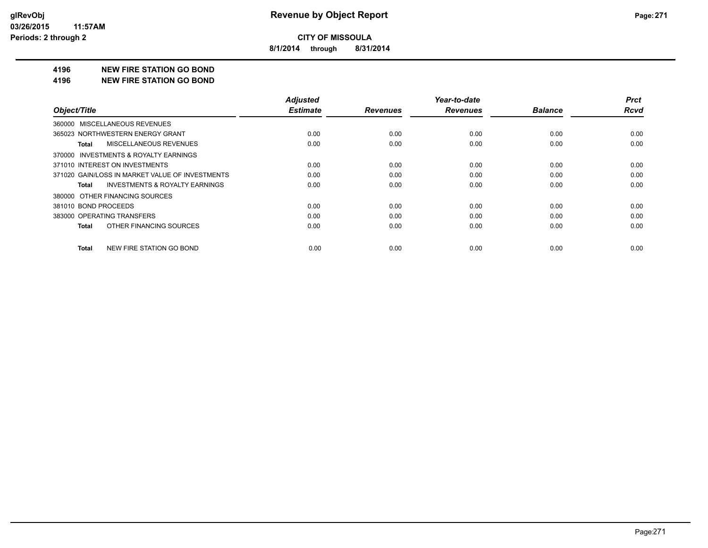**8/1/2014 through 8/31/2014**

#### **4196 NEW FIRE STATION GO BOND**

#### **4196 NEW FIRE STATION GO BOND**

| Object/Title                                       | <b>Adjusted</b><br><b>Estimate</b> | <b>Revenues</b> | Year-to-date<br><b>Revenues</b> | <b>Balance</b> | <b>Prct</b><br><b>Rcvd</b> |
|----------------------------------------------------|------------------------------------|-----------------|---------------------------------|----------------|----------------------------|
|                                                    |                                    |                 |                                 |                |                            |
| 360000 MISCELLANEOUS REVENUES                      |                                    |                 |                                 |                |                            |
| 365023 NORTHWESTERN ENERGY GRANT                   | 0.00                               | 0.00            | 0.00                            | 0.00           | 0.00                       |
| <b>MISCELLANEOUS REVENUES</b><br>Total             | 0.00                               | 0.00            | 0.00                            | 0.00           | 0.00                       |
| 370000 INVESTMENTS & ROYALTY EARNINGS              |                                    |                 |                                 |                |                            |
| 371010 INTEREST ON INVESTMENTS                     | 0.00                               | 0.00            | 0.00                            | 0.00           | 0.00                       |
| 371020 GAIN/LOSS IN MARKET VALUE OF INVESTMENTS    | 0.00                               | 0.00            | 0.00                            | 0.00           | 0.00                       |
| <b>INVESTMENTS &amp; ROYALTY EARNINGS</b><br>Total | 0.00                               | 0.00            | 0.00                            | 0.00           | 0.00                       |
| 380000 OTHER FINANCING SOURCES                     |                                    |                 |                                 |                |                            |
| 381010 BOND PROCEEDS                               | 0.00                               | 0.00            | 0.00                            | 0.00           | 0.00                       |
| 383000 OPERATING TRANSFERS                         | 0.00                               | 0.00            | 0.00                            | 0.00           | 0.00                       |
| OTHER FINANCING SOURCES<br>Total                   | 0.00                               | 0.00            | 0.00                            | 0.00           | 0.00                       |
| NEW FIRE STATION GO BOND<br><b>Total</b>           | 0.00                               | 0.00            | 0.00                            | 0.00           | 0.00                       |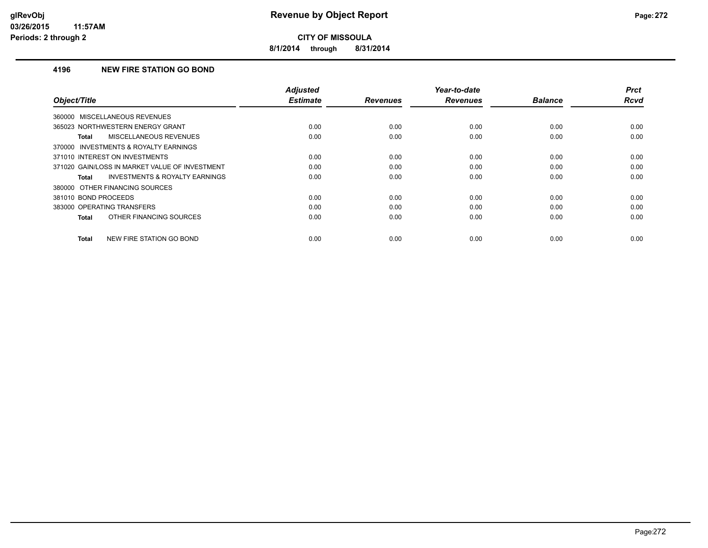**8/1/2014 through 8/31/2014**

### **4196 NEW FIRE STATION GO BOND**

| Object/Title                                       | <b>Adjusted</b><br><b>Estimate</b> | <b>Revenues</b> | Year-to-date<br><b>Revenues</b> | <b>Balance</b> | <b>Prct</b><br>Rcvd |
|----------------------------------------------------|------------------------------------|-----------------|---------------------------------|----------------|---------------------|
|                                                    |                                    |                 |                                 |                |                     |
| 360000 MISCELLANEOUS REVENUES                      |                                    |                 |                                 |                |                     |
| 365023 NORTHWESTERN ENERGY GRANT                   | 0.00                               | 0.00            | 0.00                            | 0.00           | 0.00                |
| <b>MISCELLANEOUS REVENUES</b><br>Total             | 0.00                               | 0.00            | 0.00                            | 0.00           | 0.00                |
| 370000 INVESTMENTS & ROYALTY EARNINGS              |                                    |                 |                                 |                |                     |
| 371010 INTEREST ON INVESTMENTS                     | 0.00                               | 0.00            | 0.00                            | 0.00           | 0.00                |
| 371020 GAIN/LOSS IN MARKET VALUE OF INVESTMENT     | 0.00                               | 0.00            | 0.00                            | 0.00           | 0.00                |
| <b>INVESTMENTS &amp; ROYALTY EARNINGS</b><br>Total | 0.00                               | 0.00            | 0.00                            | 0.00           | 0.00                |
| 380000 OTHER FINANCING SOURCES                     |                                    |                 |                                 |                |                     |
| 381010 BOND PROCEEDS                               | 0.00                               | 0.00            | 0.00                            | 0.00           | 0.00                |
| 383000 OPERATING TRANSFERS                         | 0.00                               | 0.00            | 0.00                            | 0.00           | 0.00                |
| OTHER FINANCING SOURCES<br><b>Total</b>            | 0.00                               | 0.00            | 0.00                            | 0.00           | 0.00                |
| NEW FIRE STATION GO BOND<br><b>Total</b>           | 0.00                               | 0.00            | 0.00                            | 0.00           | 0.00                |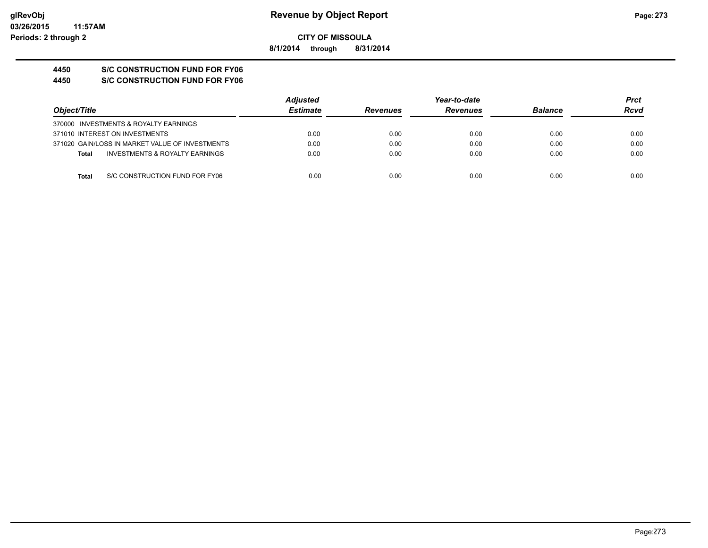**8/1/2014 through 8/31/2014**

# **4450 S/C CONSTRUCTION FUND FOR FY06**

**4450 S/C CONSTRUCTION FUND FOR FY06**

|                                                 | <b>Adjusted</b> |                 | Year-to-date    |                | Prct |
|-------------------------------------------------|-----------------|-----------------|-----------------|----------------|------|
| Object/Title                                    | <b>Estimate</b> | <b>Revenues</b> | <b>Revenues</b> | <b>Balance</b> | Rcvd |
| 370000 INVESTMENTS & ROYALTY EARNINGS           |                 |                 |                 |                |      |
| 371010 INTEREST ON INVESTMENTS                  | 0.00            | 0.00            | 0.00            | 0.00           | 0.00 |
| 371020 GAIN/LOSS IN MARKET VALUE OF INVESTMENTS | 0.00            | 0.00            | 0.00            | 0.00           | 0.00 |
| INVESTMENTS & ROYALTY EARNINGS<br><b>Total</b>  | 0.00            | 0.00            | 0.00            | 0.00           | 0.00 |
|                                                 |                 |                 |                 |                |      |
| S/C CONSTRUCTION FUND FOR FY06<br>Total         | 0.00            | 0.00            | 0.00            | 0.00           | 0.00 |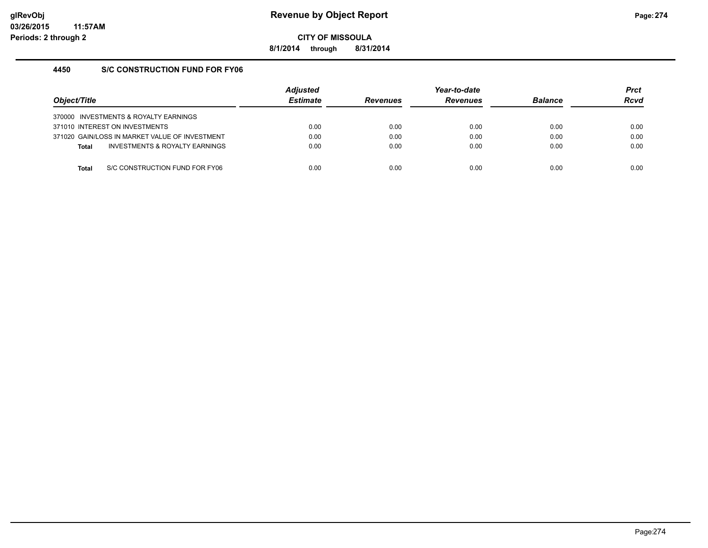**8/1/2014 through 8/31/2014**

# **4450 S/C CONSTRUCTION FUND FOR FY06**

| Object/Title |                                                | <b>Adiusted</b><br><b>Estimate</b> | <b>Revenues</b> | Year-to-date<br><b>Revenues</b> | <b>Balance</b> | <b>Prct</b><br><b>Rcvd</b> |
|--------------|------------------------------------------------|------------------------------------|-----------------|---------------------------------|----------------|----------------------------|
|              | 370000 INVESTMENTS & ROYALTY EARNINGS          |                                    |                 |                                 |                |                            |
|              | 371010 INTEREST ON INVESTMENTS                 | 0.00                               | 0.00            | 0.00                            | 0.00           | 0.00                       |
|              | 371020 GAIN/LOSS IN MARKET VALUE OF INVESTMENT | 0.00                               | 0.00            | 0.00                            | 0.00           | 0.00                       |
| <b>Total</b> | INVESTMENTS & ROYALTY EARNINGS                 | 0.00                               | 0.00            | 0.00                            | 0.00           | 0.00                       |
|              |                                                |                                    |                 |                                 |                |                            |
| Total        | S/C CONSTRUCTION FUND FOR FY06                 | 0.00                               | 0.00            | 0.00                            | 0.00           | 0.00                       |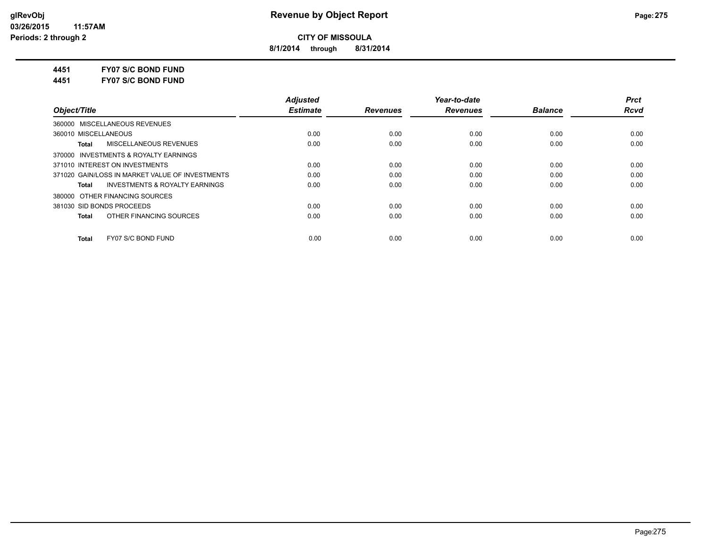**8/1/2014 through 8/31/2014**

**4451 FY07 S/C BOND FUND**

**4451 FY07 S/C BOND FUND**

|                                                    | <b>Adiusted</b> |                 | Year-to-date    |                | <b>Prct</b> |
|----------------------------------------------------|-----------------|-----------------|-----------------|----------------|-------------|
| Object/Title                                       | <b>Estimate</b> | <b>Revenues</b> | <b>Revenues</b> | <b>Balance</b> | <b>Rcvd</b> |
| 360000 MISCELLANEOUS REVENUES                      |                 |                 |                 |                |             |
| 360010 MISCELLANEOUS                               | 0.00            | 0.00            | 0.00            | 0.00           | 0.00        |
| MISCELLANEOUS REVENUES<br>Total                    | 0.00            | 0.00            | 0.00            | 0.00           | 0.00        |
| 370000 INVESTMENTS & ROYALTY EARNINGS              |                 |                 |                 |                |             |
| 371010 INTEREST ON INVESTMENTS                     | 0.00            | 0.00            | 0.00            | 0.00           | 0.00        |
| 371020 GAIN/LOSS IN MARKET VALUE OF INVESTMENTS    | 0.00            | 0.00            | 0.00            | 0.00           | 0.00        |
| <b>INVESTMENTS &amp; ROYALTY EARNINGS</b><br>Total | 0.00            | 0.00            | 0.00            | 0.00           | 0.00        |
| 380000 OTHER FINANCING SOURCES                     |                 |                 |                 |                |             |
| 381030 SID BONDS PROCEEDS                          | 0.00            | 0.00            | 0.00            | 0.00           | 0.00        |
| OTHER FINANCING SOURCES<br>Total                   | 0.00            | 0.00            | 0.00            | 0.00           | 0.00        |
| FY07 S/C BOND FUND<br><b>Total</b>                 | 0.00            | 0.00            | 0.00            | 0.00           | 0.00        |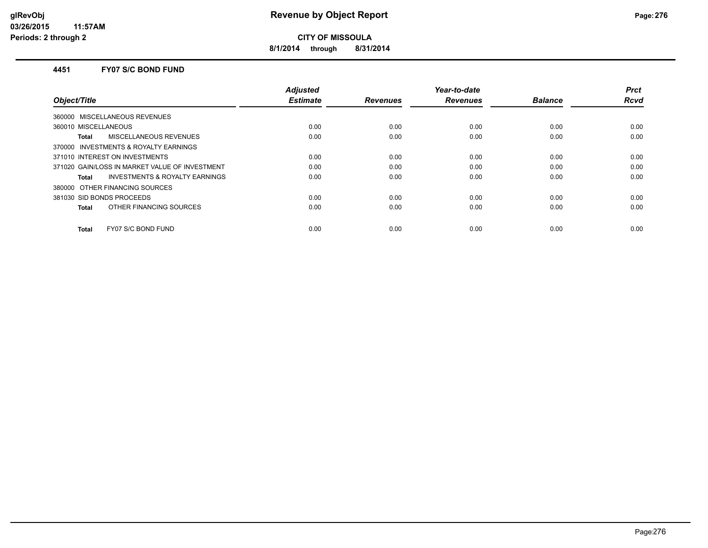**8/1/2014 through 8/31/2014**

#### **4451 FY07 S/C BOND FUND**

|                                                | <b>Adjusted</b> |                 | Year-to-date    |                | <b>Prct</b> |
|------------------------------------------------|-----------------|-----------------|-----------------|----------------|-------------|
| Object/Title                                   | <b>Estimate</b> | <b>Revenues</b> | <b>Revenues</b> | <b>Balance</b> | Rcvd        |
| 360000 MISCELLANEOUS REVENUES                  |                 |                 |                 |                |             |
| 360010 MISCELLANEOUS                           | 0.00            | 0.00            | 0.00            | 0.00           | 0.00        |
| <b>MISCELLANEOUS REVENUES</b><br>Total         | 0.00            | 0.00            | 0.00            | 0.00           | 0.00        |
| 370000 INVESTMENTS & ROYALTY EARNINGS          |                 |                 |                 |                |             |
| 371010 INTEREST ON INVESTMENTS                 | 0.00            | 0.00            | 0.00            | 0.00           | 0.00        |
| 371020 GAIN/LOSS IN MARKET VALUE OF INVESTMENT | 0.00            | 0.00            | 0.00            | 0.00           | 0.00        |
| INVESTMENTS & ROYALTY EARNINGS<br><b>Total</b> | 0.00            | 0.00            | 0.00            | 0.00           | 0.00        |
| 380000 OTHER FINANCING SOURCES                 |                 |                 |                 |                |             |
| 381030 SID BONDS PROCEEDS                      | 0.00            | 0.00            | 0.00            | 0.00           | 0.00        |
| OTHER FINANCING SOURCES<br>Total               | 0.00            | 0.00            | 0.00            | 0.00           | 0.00        |
| FY07 S/C BOND FUND<br><b>Total</b>             | 0.00            | 0.00            | 0.00            | 0.00           | 0.00        |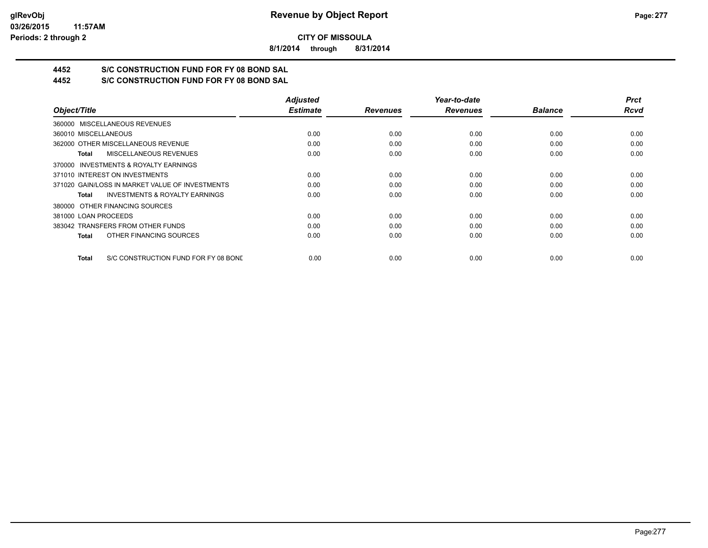**8/1/2014 through 8/31/2014**

# **4452 S/C CONSTRUCTION FUND FOR FY 08 BOND SAL**

**4452 S/C CONSTRUCTION FUND FOR FY 08 BOND SAL**

|                                                      | <b>Adjusted</b> |                 | Year-to-date    |                | <b>Prct</b> |
|------------------------------------------------------|-----------------|-----------------|-----------------|----------------|-------------|
| Object/Title                                         | <b>Estimate</b> | <b>Revenues</b> | <b>Revenues</b> | <b>Balance</b> | <b>Rcvd</b> |
| 360000 MISCELLANEOUS REVENUES                        |                 |                 |                 |                |             |
| 360010 MISCELLANEOUS                                 | 0.00            | 0.00            | 0.00            | 0.00           | 0.00        |
| 362000 OTHER MISCELLANEOUS REVENUE                   | 0.00            | 0.00            | 0.00            | 0.00           | 0.00        |
| <b>MISCELLANEOUS REVENUES</b><br>Total               | 0.00            | 0.00            | 0.00            | 0.00           | 0.00        |
| 370000 INVESTMENTS & ROYALTY EARNINGS                |                 |                 |                 |                |             |
| 371010 INTEREST ON INVESTMENTS                       | 0.00            | 0.00            | 0.00            | 0.00           | 0.00        |
| 371020 GAIN/LOSS IN MARKET VALUE OF INVESTMENTS      | 0.00            | 0.00            | 0.00            | 0.00           | 0.00        |
| <b>INVESTMENTS &amp; ROYALTY EARNINGS</b><br>Total   | 0.00            | 0.00            | 0.00            | 0.00           | 0.00        |
| 380000 OTHER FINANCING SOURCES                       |                 |                 |                 |                |             |
| 381000 LOAN PROCEEDS                                 | 0.00            | 0.00            | 0.00            | 0.00           | 0.00        |
| 383042 TRANSFERS FROM OTHER FUNDS                    | 0.00            | 0.00            | 0.00            | 0.00           | 0.00        |
| OTHER FINANCING SOURCES<br><b>Total</b>              | 0.00            | 0.00            | 0.00            | 0.00           | 0.00        |
| S/C CONSTRUCTION FUND FOR FY 08 BOND<br><b>Total</b> | 0.00            | 0.00            | 0.00            | 0.00           | 0.00        |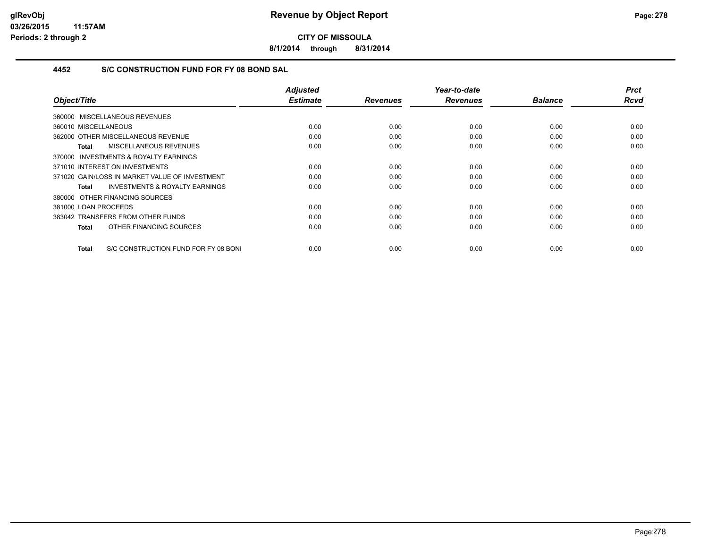**8/1/2014 through 8/31/2014**

# **4452 S/C CONSTRUCTION FUND FOR FY 08 BOND SAL**

| Object/Title                                         | <b>Adjusted</b><br><b>Estimate</b> | <b>Revenues</b> | Year-to-date<br><b>Revenues</b> | <b>Balance</b> | <b>Prct</b><br><b>Rcvd</b> |
|------------------------------------------------------|------------------------------------|-----------------|---------------------------------|----------------|----------------------------|
|                                                      |                                    |                 |                                 |                |                            |
| 360000 MISCELLANEOUS REVENUES                        |                                    |                 |                                 |                |                            |
| 360010 MISCELLANEOUS                                 | 0.00                               | 0.00            | 0.00                            | 0.00           | 0.00                       |
| 362000 OTHER MISCELLANEOUS REVENUE                   | 0.00                               | 0.00            | 0.00                            | 0.00           | 0.00                       |
| MISCELLANEOUS REVENUES<br>Total                      | 0.00                               | 0.00            | 0.00                            | 0.00           | 0.00                       |
| 370000 INVESTMENTS & ROYALTY EARNINGS                |                                    |                 |                                 |                |                            |
| 371010 INTEREST ON INVESTMENTS                       | 0.00                               | 0.00            | 0.00                            | 0.00           | 0.00                       |
| 371020 GAIN/LOSS IN MARKET VALUE OF INVESTMENT       | 0.00                               | 0.00            | 0.00                            | 0.00           | 0.00                       |
| <b>INVESTMENTS &amp; ROYALTY EARNINGS</b><br>Total   | 0.00                               | 0.00            | 0.00                            | 0.00           | 0.00                       |
| 380000 OTHER FINANCING SOURCES                       |                                    |                 |                                 |                |                            |
| 381000 LOAN PROCEEDS                                 | 0.00                               | 0.00            | 0.00                            | 0.00           | 0.00                       |
| 383042 TRANSFERS FROM OTHER FUNDS                    | 0.00                               | 0.00            | 0.00                            | 0.00           | 0.00                       |
| OTHER FINANCING SOURCES<br>Total                     | 0.00                               | 0.00            | 0.00                            | 0.00           | 0.00                       |
|                                                      |                                    |                 |                                 |                |                            |
| S/C CONSTRUCTION FUND FOR FY 08 BONI<br><b>Total</b> | 0.00                               | 0.00            | 0.00                            | 0.00           | 0.00                       |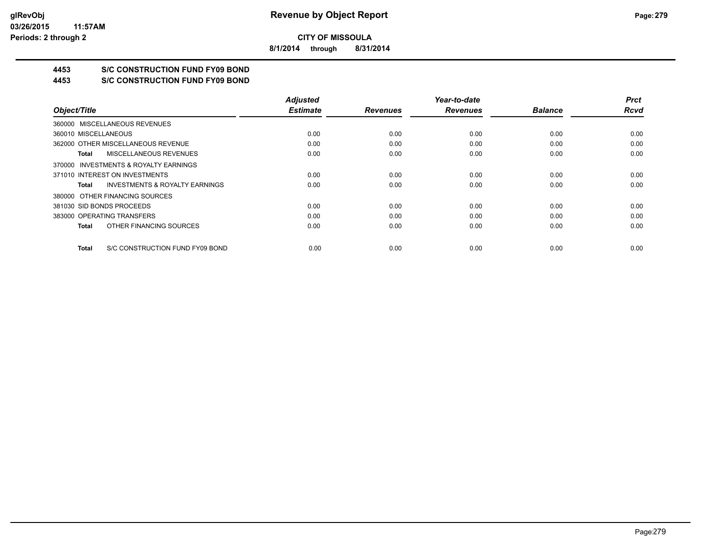**8/1/2014 through 8/31/2014**

# **4453 S/C CONSTRUCTION FUND FY09 BOND**

**4453 S/C CONSTRUCTION FUND FY09 BOND**

|                                                    | <b>Adjusted</b> |                 | Year-to-date    |                | <b>Prct</b> |
|----------------------------------------------------|-----------------|-----------------|-----------------|----------------|-------------|
| Object/Title                                       | <b>Estimate</b> | <b>Revenues</b> | <b>Revenues</b> | <b>Balance</b> | <b>Rcvd</b> |
| 360000 MISCELLANEOUS REVENUES                      |                 |                 |                 |                |             |
| 360010 MISCELLANEOUS                               | 0.00            | 0.00            | 0.00            | 0.00           | 0.00        |
| 362000 OTHER MISCELLANEOUS REVENUE                 | 0.00            | 0.00            | 0.00            | 0.00           | 0.00        |
| <b>MISCELLANEOUS REVENUES</b><br>Total             | 0.00            | 0.00            | 0.00            | 0.00           | 0.00        |
| 370000 INVESTMENTS & ROYALTY EARNINGS              |                 |                 |                 |                |             |
| 371010 INTEREST ON INVESTMENTS                     | 0.00            | 0.00            | 0.00            | 0.00           | 0.00        |
| <b>INVESTMENTS &amp; ROYALTY EARNINGS</b><br>Total | 0.00            | 0.00            | 0.00            | 0.00           | 0.00        |
| 380000 OTHER FINANCING SOURCES                     |                 |                 |                 |                |             |
| 381030 SID BONDS PROCEEDS                          | 0.00            | 0.00            | 0.00            | 0.00           | 0.00        |
| 383000 OPERATING TRANSFERS                         | 0.00            | 0.00            | 0.00            | 0.00           | 0.00        |
| OTHER FINANCING SOURCES<br>Total                   | 0.00            | 0.00            | 0.00            | 0.00           | 0.00        |
| S/C CONSTRUCTION FUND FY09 BOND<br>Total           | 0.00            | 0.00            | 0.00            | 0.00           | 0.00        |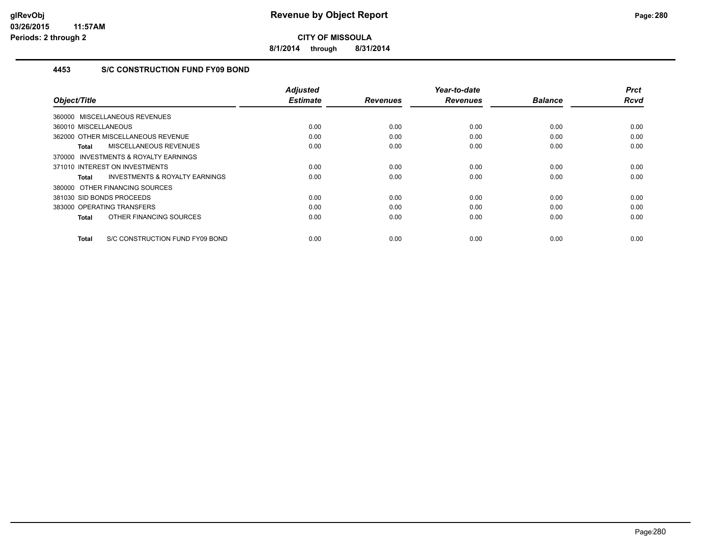**8/1/2014 through 8/31/2014**

# **4453 S/C CONSTRUCTION FUND FY09 BOND**

|                                                     | <b>Adjusted</b><br><b>Estimate</b> | <b>Revenues</b> | Year-to-date<br><b>Revenues</b> | <b>Balance</b> | <b>Prct</b><br><b>Rcvd</b> |
|-----------------------------------------------------|------------------------------------|-----------------|---------------------------------|----------------|----------------------------|
| Object/Title                                        |                                    |                 |                                 |                |                            |
| 360000 MISCELLANEOUS REVENUES                       |                                    |                 |                                 |                |                            |
| 360010 MISCELLANEOUS                                | 0.00                               | 0.00            | 0.00                            | 0.00           | 0.00                       |
| 362000 OTHER MISCELLANEOUS REVENUE                  | 0.00                               | 0.00            | 0.00                            | 0.00           | 0.00                       |
| MISCELLANEOUS REVENUES<br>Total                     | 0.00                               | 0.00            | 0.00                            | 0.00           | 0.00                       |
| <b>INVESTMENTS &amp; ROYALTY EARNINGS</b><br>370000 |                                    |                 |                                 |                |                            |
| 371010 INTEREST ON INVESTMENTS                      | 0.00                               | 0.00            | 0.00                            | 0.00           | 0.00                       |
| <b>INVESTMENTS &amp; ROYALTY EARNINGS</b><br>Total  | 0.00                               | 0.00            | 0.00                            | 0.00           | 0.00                       |
| 380000 OTHER FINANCING SOURCES                      |                                    |                 |                                 |                |                            |
| 381030 SID BONDS PROCEEDS                           | 0.00                               | 0.00            | 0.00                            | 0.00           | 0.00                       |
| 383000 OPERATING TRANSFERS                          | 0.00                               | 0.00            | 0.00                            | 0.00           | 0.00                       |
| OTHER FINANCING SOURCES<br><b>Total</b>             | 0.00                               | 0.00            | 0.00                            | 0.00           | 0.00                       |
| S/C CONSTRUCTION FUND FY09 BOND<br><b>Total</b>     | 0.00                               | 0.00            | 0.00                            | 0.00           | 0.00                       |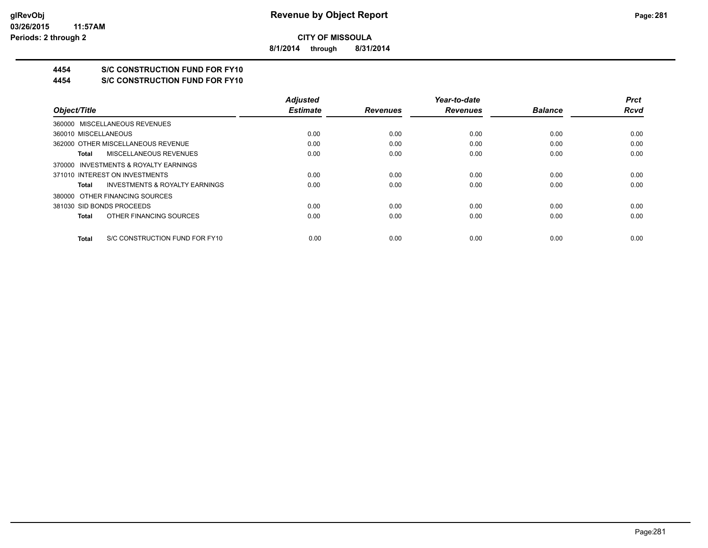**8/1/2014 through 8/31/2014**

# **4454 S/C CONSTRUCTION FUND FOR FY10**

**4454 S/C CONSTRUCTION FUND FOR FY10**

|                                                    | <b>Adjusted</b> |                 | Year-to-date    |                | <b>Prct</b> |
|----------------------------------------------------|-----------------|-----------------|-----------------|----------------|-------------|
| Object/Title                                       | <b>Estimate</b> | <b>Revenues</b> | <b>Revenues</b> | <b>Balance</b> | <b>Rcvd</b> |
| 360000 MISCELLANEOUS REVENUES                      |                 |                 |                 |                |             |
| 360010 MISCELLANEOUS                               | 0.00            | 0.00            | 0.00            | 0.00           | 0.00        |
| 362000 OTHER MISCELLANEOUS REVENUE                 | 0.00            | 0.00            | 0.00            | 0.00           | 0.00        |
| MISCELLANEOUS REVENUES<br>Total                    | 0.00            | 0.00            | 0.00            | 0.00           | 0.00        |
| 370000 INVESTMENTS & ROYALTY EARNINGS              |                 |                 |                 |                |             |
| 371010 INTEREST ON INVESTMENTS                     | 0.00            | 0.00            | 0.00            | 0.00           | 0.00        |
| <b>INVESTMENTS &amp; ROYALTY EARNINGS</b><br>Total | 0.00            | 0.00            | 0.00            | 0.00           | 0.00        |
| 380000 OTHER FINANCING SOURCES                     |                 |                 |                 |                |             |
| 381030 SID BONDS PROCEEDS                          | 0.00            | 0.00            | 0.00            | 0.00           | 0.00        |
| OTHER FINANCING SOURCES<br>Total                   | 0.00            | 0.00            | 0.00            | 0.00           | 0.00        |
| S/C CONSTRUCTION FUND FOR FY10<br>Total            | 0.00            | 0.00            | 0.00            | 0.00           | 0.00        |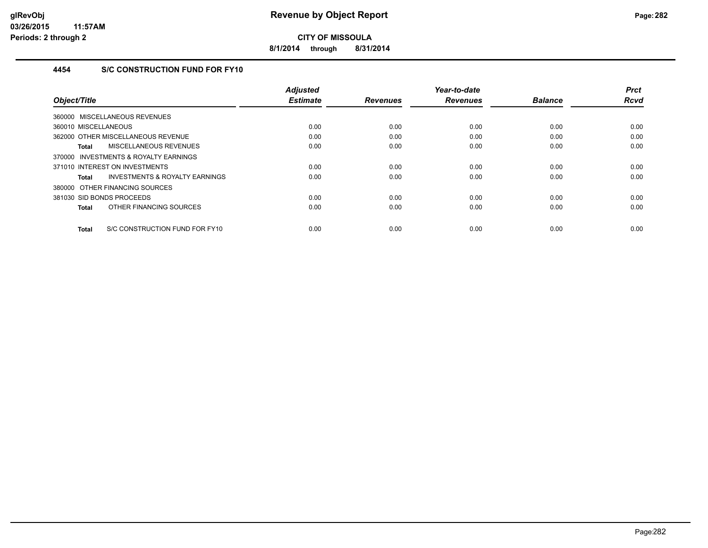**8/1/2014 through 8/31/2014**

# **4454 S/C CONSTRUCTION FUND FOR FY10**

| Object/Title                                   | <b>Adjusted</b><br><b>Estimate</b> | <b>Revenues</b> | Year-to-date<br><b>Revenues</b> | <b>Balance</b> | <b>Prct</b><br><b>Rcvd</b> |
|------------------------------------------------|------------------------------------|-----------------|---------------------------------|----------------|----------------------------|
|                                                |                                    |                 |                                 |                |                            |
| 360000 MISCELLANEOUS REVENUES                  |                                    |                 |                                 |                |                            |
| 360010 MISCELLANEOUS                           | 0.00                               | 0.00            | 0.00                            | 0.00           | 0.00                       |
| 362000 OTHER MISCELLANEOUS REVENUE             | 0.00                               | 0.00            | 0.00                            | 0.00           | 0.00                       |
| <b>MISCELLANEOUS REVENUES</b><br><b>Total</b>  | 0.00                               | 0.00            | 0.00                            | 0.00           | 0.00                       |
| 370000 INVESTMENTS & ROYALTY EARNINGS          |                                    |                 |                                 |                |                            |
| 371010 INTEREST ON INVESTMENTS                 | 0.00                               | 0.00            | 0.00                            | 0.00           | 0.00                       |
| INVESTMENTS & ROYALTY EARNINGS<br><b>Total</b> | 0.00                               | 0.00            | 0.00                            | 0.00           | 0.00                       |
| 380000 OTHER FINANCING SOURCES                 |                                    |                 |                                 |                |                            |
| 381030 SID BONDS PROCEEDS                      | 0.00                               | 0.00            | 0.00                            | 0.00           | 0.00                       |
| OTHER FINANCING SOURCES<br><b>Total</b>        | 0.00                               | 0.00            | 0.00                            | 0.00           | 0.00                       |
| S/C CONSTRUCTION FUND FOR FY10<br><b>Total</b> | 0.00                               | 0.00            | 0.00                            | 0.00           | 0.00                       |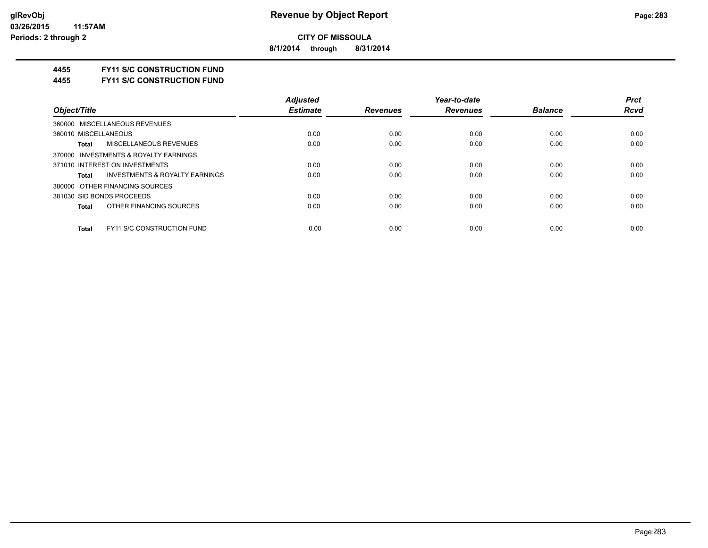**8/1/2014 through 8/31/2014**

### **4455 FY11 S/C CONSTRUCTION FUND**

**4455 FY11 S/C CONSTRUCTION FUND**

| <b>Adjusted</b> |                 | Year-to-date    |                | <b>Prct</b> |
|-----------------|-----------------|-----------------|----------------|-------------|
| <b>Estimate</b> | <b>Revenues</b> | <b>Revenues</b> | <b>Balance</b> | <b>Rcvd</b> |
|                 |                 |                 |                |             |
| 0.00            | 0.00            | 0.00            | 0.00           | 0.00        |
| 0.00            | 0.00            | 0.00            | 0.00           | 0.00        |
|                 |                 |                 |                |             |
| 0.00            | 0.00            | 0.00            | 0.00           | 0.00        |
| 0.00            | 0.00            | 0.00            | 0.00           | 0.00        |
|                 |                 |                 |                |             |
| 0.00            | 0.00            | 0.00            | 0.00           | 0.00        |
| 0.00            | 0.00            | 0.00            | 0.00           | 0.00        |
|                 |                 |                 |                | 0.00        |
|                 | 0.00            | 0.00            | 0.00           | 0.00        |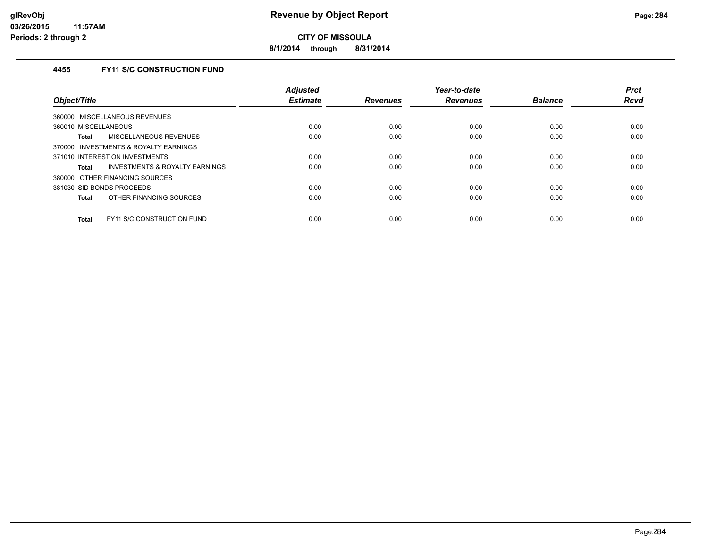**8/1/2014 through 8/31/2014**

# **4455 FY11 S/C CONSTRUCTION FUND**

| Object/Title                                        | <b>Adjusted</b><br><b>Estimate</b> | <b>Revenues</b> | Year-to-date<br><b>Revenues</b> | <b>Balance</b> | <b>Prct</b><br><b>Rcvd</b> |
|-----------------------------------------------------|------------------------------------|-----------------|---------------------------------|----------------|----------------------------|
| MISCELLANEOUS REVENUES<br>360000                    |                                    |                 |                                 |                |                            |
| 360010 MISCELLANEOUS                                | 0.00                               | 0.00            | 0.00                            | 0.00           | 0.00                       |
|                                                     |                                    |                 |                                 |                |                            |
| MISCELLANEOUS REVENUES<br>Total                     | 0.00                               | 0.00            | 0.00                            | 0.00           | 0.00                       |
| <b>INVESTMENTS &amp; ROYALTY EARNINGS</b><br>370000 |                                    |                 |                                 |                |                            |
| 371010 INTEREST ON INVESTMENTS                      | 0.00                               | 0.00            | 0.00                            | 0.00           | 0.00                       |
| INVESTMENTS & ROYALTY EARNINGS<br><b>Total</b>      | 0.00                               | 0.00            | 0.00                            | 0.00           | 0.00                       |
| OTHER FINANCING SOURCES<br>380000                   |                                    |                 |                                 |                |                            |
| 381030 SID BONDS PROCEEDS                           | 0.00                               | 0.00            | 0.00                            | 0.00           | 0.00                       |
| OTHER FINANCING SOURCES<br><b>Total</b>             | 0.00                               | 0.00            | 0.00                            | 0.00           | 0.00                       |
| FY11 S/C CONSTRUCTION FUND<br><b>Total</b>          | 0.00                               | 0.00            | 0.00                            | 0.00           | 0.00                       |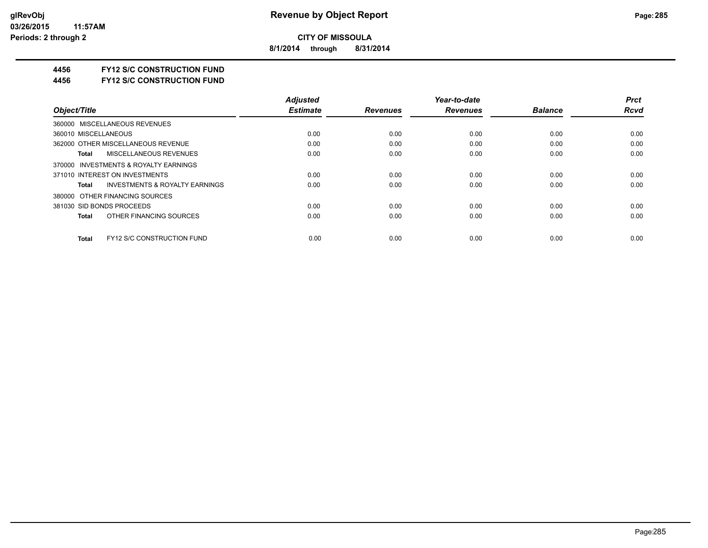**8/1/2014 through 8/31/2014**

### **4456 FY12 S/C CONSTRUCTION FUND**

**4456 FY12 S/C CONSTRUCTION FUND**

|                                                    | <b>Adjusted</b> |                 | Year-to-date    |                | <b>Prct</b> |
|----------------------------------------------------|-----------------|-----------------|-----------------|----------------|-------------|
| Object/Title                                       | <b>Estimate</b> | <b>Revenues</b> | <b>Revenues</b> | <b>Balance</b> | <b>Rcvd</b> |
| 360000 MISCELLANEOUS REVENUES                      |                 |                 |                 |                |             |
| 360010 MISCELLANEOUS                               | 0.00            | 0.00            | 0.00            | 0.00           | 0.00        |
| 362000 OTHER MISCELLANEOUS REVENUE                 | 0.00            | 0.00            | 0.00            | 0.00           | 0.00        |
| MISCELLANEOUS REVENUES<br>Total                    | 0.00            | 0.00            | 0.00            | 0.00           | 0.00        |
| 370000 INVESTMENTS & ROYALTY EARNINGS              |                 |                 |                 |                |             |
| 371010 INTEREST ON INVESTMENTS                     | 0.00            | 0.00            | 0.00            | 0.00           | 0.00        |
| <b>INVESTMENTS &amp; ROYALTY EARNINGS</b><br>Total | 0.00            | 0.00            | 0.00            | 0.00           | 0.00        |
| 380000 OTHER FINANCING SOURCES                     |                 |                 |                 |                |             |
| 381030 SID BONDS PROCEEDS                          | 0.00            | 0.00            | 0.00            | 0.00           | 0.00        |
| OTHER FINANCING SOURCES<br>Total                   | 0.00            | 0.00            | 0.00            | 0.00           | 0.00        |
| <b>FY12 S/C CONSTRUCTION FUND</b><br><b>Total</b>  | 0.00            | 0.00            | 0.00            | 0.00           | 0.00        |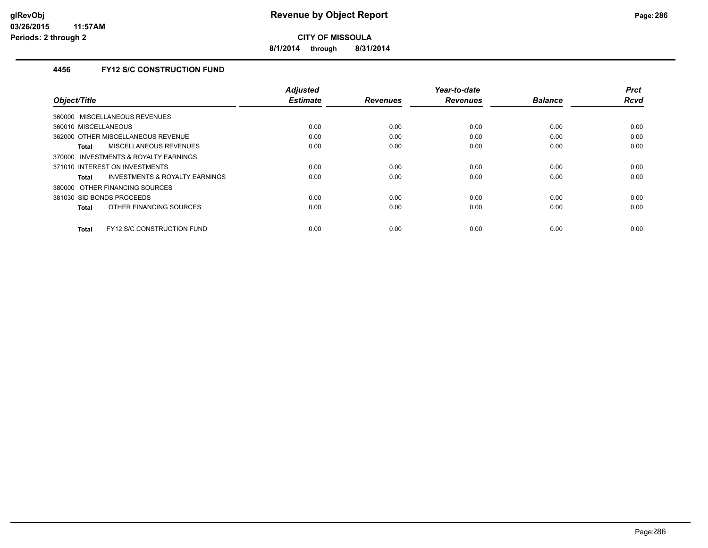**8/1/2014 through 8/31/2014**

# **4456 FY12 S/C CONSTRUCTION FUND**

|                                            | <b>Adjusted</b> |                 | Year-to-date    |                | <b>Prct</b> |
|--------------------------------------------|-----------------|-----------------|-----------------|----------------|-------------|
| Object/Title                               | <b>Estimate</b> | <b>Revenues</b> | <b>Revenues</b> | <b>Balance</b> | <b>Rcvd</b> |
| 360000 MISCELLANEOUS REVENUES              |                 |                 |                 |                |             |
| 360010 MISCELLANEOUS                       | 0.00            | 0.00            | 0.00            | 0.00           | 0.00        |
| 362000 OTHER MISCELLANEOUS REVENUE         | 0.00            | 0.00            | 0.00            | 0.00           | 0.00        |
| <b>MISCELLANEOUS REVENUES</b><br>Total     | 0.00            | 0.00            | 0.00            | 0.00           | 0.00        |
| INVESTMENTS & ROYALTY EARNINGS<br>370000   |                 |                 |                 |                |             |
| 371010 INTEREST ON INVESTMENTS             | 0.00            | 0.00            | 0.00            | 0.00           | 0.00        |
| INVESTMENTS & ROYALTY EARNINGS<br>Total    | 0.00            | 0.00            | 0.00            | 0.00           | 0.00        |
| 380000 OTHER FINANCING SOURCES             |                 |                 |                 |                |             |
| 381030 SID BONDS PROCEEDS                  | 0.00            | 0.00            | 0.00            | 0.00           | 0.00        |
| OTHER FINANCING SOURCES<br><b>Total</b>    | 0.00            | 0.00            | 0.00            | 0.00           | 0.00        |
|                                            |                 |                 |                 |                |             |
| FY12 S/C CONSTRUCTION FUND<br><b>Total</b> | 0.00            | 0.00            | 0.00            | 0.00           | 0.00        |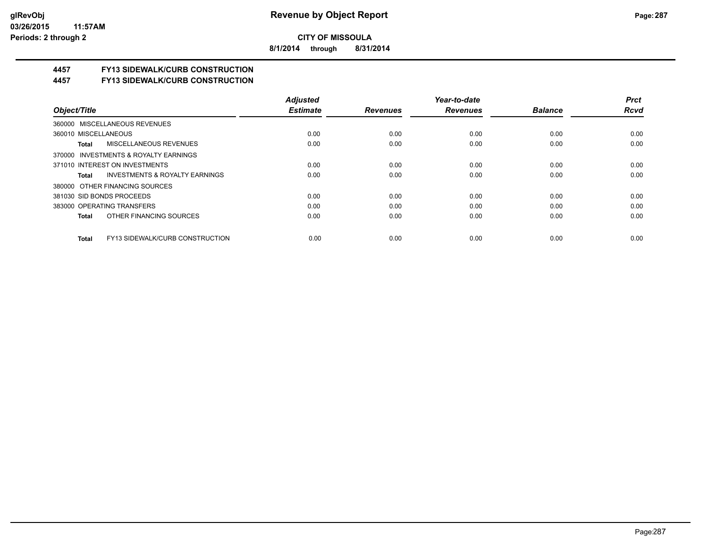**8/1/2014 through 8/31/2014**

# **4457 FY13 SIDEWALK/CURB CONSTRUCTION**

**4457 FY13 SIDEWALK/CURB CONSTRUCTION**

|                                                    | <b>Adjusted</b> |                 | Year-to-date    |                | <b>Prct</b> |
|----------------------------------------------------|-----------------|-----------------|-----------------|----------------|-------------|
| Object/Title                                       | <b>Estimate</b> | <b>Revenues</b> | <b>Revenues</b> | <b>Balance</b> | <b>Rcvd</b> |
| 360000 MISCELLANEOUS REVENUES                      |                 |                 |                 |                |             |
| 360010 MISCELLANEOUS                               | 0.00            | 0.00            | 0.00            | 0.00           | 0.00        |
| <b>MISCELLANEOUS REVENUES</b><br>Total             | 0.00            | 0.00            | 0.00            | 0.00           | 0.00        |
| 370000 INVESTMENTS & ROYALTY EARNINGS              |                 |                 |                 |                |             |
| 371010 INTEREST ON INVESTMENTS                     | 0.00            | 0.00            | 0.00            | 0.00           | 0.00        |
| <b>INVESTMENTS &amp; ROYALTY EARNINGS</b><br>Total | 0.00            | 0.00            | 0.00            | 0.00           | 0.00        |
| 380000 OTHER FINANCING SOURCES                     |                 |                 |                 |                |             |
| 381030 SID BONDS PROCEEDS                          | 0.00            | 0.00            | 0.00            | 0.00           | 0.00        |
| 383000 OPERATING TRANSFERS                         | 0.00            | 0.00            | 0.00            | 0.00           | 0.00        |
| OTHER FINANCING SOURCES<br>Total                   | 0.00            | 0.00            | 0.00            | 0.00           | 0.00        |
| FY13 SIDEWALK/CURB CONSTRUCTION<br><b>Total</b>    | 0.00            | 0.00            | 0.00            | 0.00           | 0.00        |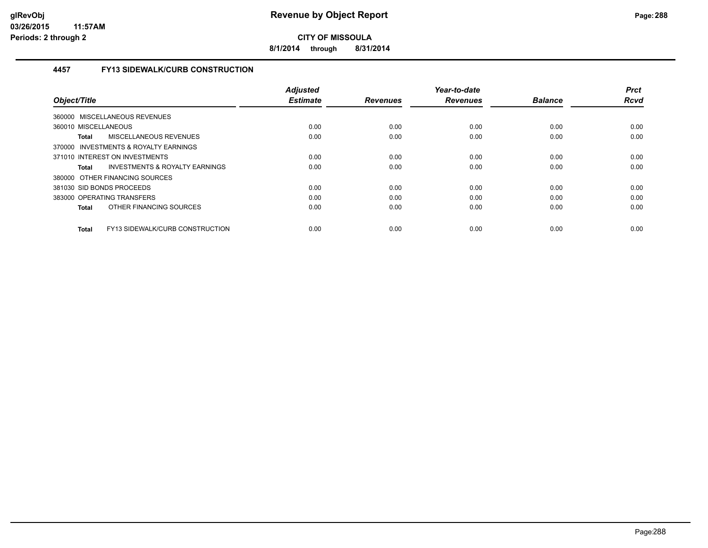**8/1/2014 through 8/31/2014**

# **4457 FY13 SIDEWALK/CURB CONSTRUCTION**

| Object/Title                                    | <b>Adjusted</b><br><b>Estimate</b> | <b>Revenues</b> | Year-to-date<br><b>Revenues</b> | <b>Balance</b> | <b>Prct</b><br><b>Rcvd</b> |
|-------------------------------------------------|------------------------------------|-----------------|---------------------------------|----------------|----------------------------|
| <b>MISCELLANEOUS REVENUES</b><br>360000         |                                    |                 |                                 |                |                            |
| 360010 MISCELLANEOUS                            | 0.00                               | 0.00            | 0.00                            | 0.00           | 0.00                       |
| MISCELLANEOUS REVENUES<br>Total                 | 0.00                               | 0.00            | 0.00                            | 0.00           | 0.00                       |
| 370000 INVESTMENTS & ROYALTY EARNINGS           |                                    |                 |                                 |                |                            |
| 371010 INTEREST ON INVESTMENTS                  | 0.00                               | 0.00            | 0.00                            | 0.00           | 0.00                       |
| INVESTMENTS & ROYALTY EARNINGS<br>Total         | 0.00                               | 0.00            | 0.00                            | 0.00           | 0.00                       |
| 380000 OTHER FINANCING SOURCES                  |                                    |                 |                                 |                |                            |
| 381030 SID BONDS PROCEEDS                       | 0.00                               | 0.00            | 0.00                            | 0.00           | 0.00                       |
| 383000 OPERATING TRANSFERS                      | 0.00                               | 0.00            | 0.00                            | 0.00           | 0.00                       |
| OTHER FINANCING SOURCES<br><b>Total</b>         | 0.00                               | 0.00            | 0.00                            | 0.00           | 0.00                       |
| FY13 SIDEWALK/CURB CONSTRUCTION<br><b>Total</b> | 0.00                               | 0.00            | 0.00                            | 0.00           | 0.00                       |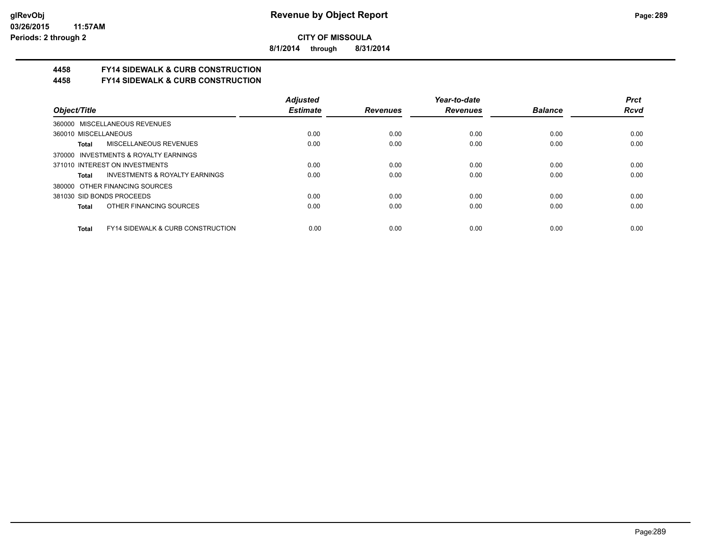**8/1/2014 through 8/31/2014**

## **4458 FY14 SIDEWALK & CURB CONSTRUCTION**

**4458 FY14 SIDEWALK & CURB CONSTRUCTION**

|                                                       | <b>Adjusted</b> |                 | Year-to-date    |                | <b>Prct</b> |
|-------------------------------------------------------|-----------------|-----------------|-----------------|----------------|-------------|
| Object/Title                                          | <b>Estimate</b> | <b>Revenues</b> | <b>Revenues</b> | <b>Balance</b> | <b>Rcvd</b> |
| 360000 MISCELLANEOUS REVENUES                         |                 |                 |                 |                |             |
| 360010 MISCELLANEOUS                                  | 0.00            | 0.00            | 0.00            | 0.00           | 0.00        |
| <b>MISCELLANEOUS REVENUES</b><br>Total                | 0.00            | 0.00            | 0.00            | 0.00           | 0.00        |
| 370000 INVESTMENTS & ROYALTY EARNINGS                 |                 |                 |                 |                |             |
| 371010 INTEREST ON INVESTMENTS                        | 0.00            | 0.00            | 0.00            | 0.00           | 0.00        |
| INVESTMENTS & ROYALTY EARNINGS<br>Total               | 0.00            | 0.00            | 0.00            | 0.00           | 0.00        |
| 380000 OTHER FINANCING SOURCES                        |                 |                 |                 |                |             |
| 381030 SID BONDS PROCEEDS                             | 0.00            | 0.00            | 0.00            | 0.00           | 0.00        |
| OTHER FINANCING SOURCES<br>Total                      | 0.00            | 0.00            | 0.00            | 0.00           | 0.00        |
| <b>FY14 SIDEWALK &amp; CURB CONSTRUCTION</b><br>Total | 0.00            | 0.00            | 0.00            | 0.00           | 0.00        |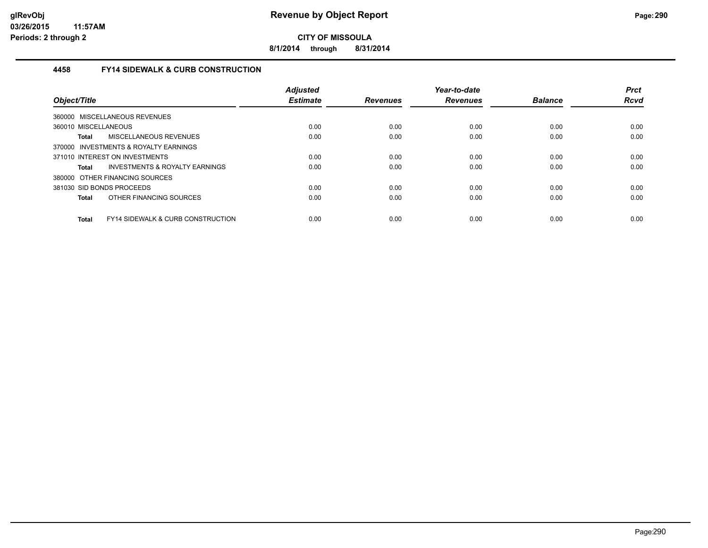**8/1/2014 through 8/31/2014**

## **4458 FY14 SIDEWALK & CURB CONSTRUCTION**

| Object/Title                                                 | <b>Adjusted</b><br><b>Estimate</b> | <b>Revenues</b> | Year-to-date<br><b>Revenues</b> | <b>Balance</b> | <b>Prct</b><br><b>Rcvd</b> |
|--------------------------------------------------------------|------------------------------------|-----------------|---------------------------------|----------------|----------------------------|
| 360000 MISCELLANEOUS REVENUES                                |                                    |                 |                                 |                |                            |
| 360010 MISCELLANEOUS                                         | 0.00                               | 0.00            | 0.00                            | 0.00           | 0.00                       |
| MISCELLANEOUS REVENUES<br>Total                              | 0.00                               | 0.00            | 0.00                            | 0.00           | 0.00                       |
| 370000 INVESTMENTS & ROYALTY EARNINGS                        |                                    |                 |                                 |                |                            |
| 371010 INTEREST ON INVESTMENTS                               | 0.00                               | 0.00            | 0.00                            | 0.00           | 0.00                       |
| INVESTMENTS & ROYALTY EARNINGS<br>Total                      | 0.00                               | 0.00            | 0.00                            | 0.00           | 0.00                       |
| 380000 OTHER FINANCING SOURCES                               |                                    |                 |                                 |                |                            |
| 381030 SID BONDS PROCEEDS                                    | 0.00                               | 0.00            | 0.00                            | 0.00           | 0.00                       |
| OTHER FINANCING SOURCES<br><b>Total</b>                      | 0.00                               | 0.00            | 0.00                            | 0.00           | 0.00                       |
| <b>FY14 SIDEWALK &amp; CURB CONSTRUCTION</b><br><b>Total</b> | 0.00                               | 0.00            | 0.00                            | 0.00           | 0.00                       |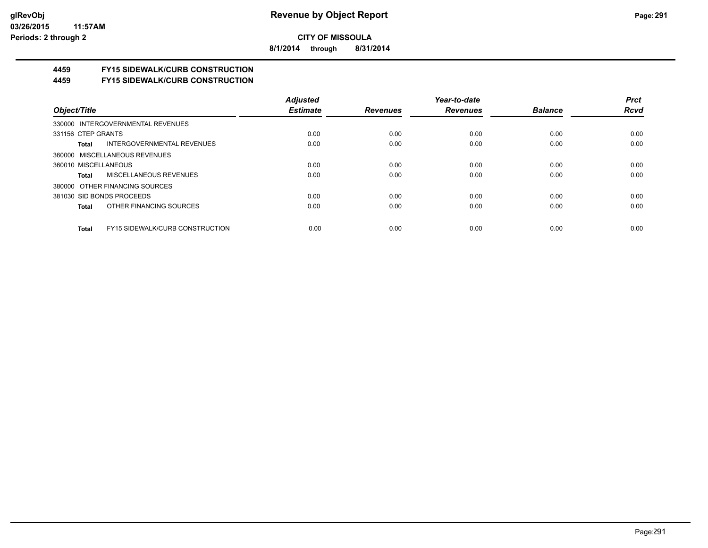**8/1/2014 through 8/31/2014**

# **4459 FY15 SIDEWALK/CURB CONSTRUCTION**

**4459 FY15 SIDEWALK/CURB CONSTRUCTION**

|                                                        | <b>Adjusted</b> |                 | Year-to-date    |                | <b>Prct</b> |
|--------------------------------------------------------|-----------------|-----------------|-----------------|----------------|-------------|
| Object/Title                                           | <b>Estimate</b> | <b>Revenues</b> | <b>Revenues</b> | <b>Balance</b> | <b>Rcvd</b> |
| 330000 INTERGOVERNMENTAL REVENUES                      |                 |                 |                 |                |             |
| 331156 CTEP GRANTS                                     | 0.00            | 0.00            | 0.00            | 0.00           | 0.00        |
| <b>INTERGOVERNMENTAL REVENUES</b><br>Total             | 0.00            | 0.00            | 0.00            | 0.00           | 0.00        |
| 360000 MISCELLANEOUS REVENUES                          |                 |                 |                 |                |             |
| 360010 MISCELLANEOUS                                   | 0.00            | 0.00            | 0.00            | 0.00           | 0.00        |
| MISCELLANEOUS REVENUES<br>Total                        | 0.00            | 0.00            | 0.00            | 0.00           | 0.00        |
| 380000 OTHER FINANCING SOURCES                         |                 |                 |                 |                |             |
| 381030 SID BONDS PROCEEDS                              | 0.00            | 0.00            | 0.00            | 0.00           | 0.00        |
| OTHER FINANCING SOURCES<br>Total                       | 0.00            | 0.00            | 0.00            | 0.00           | 0.00        |
|                                                        |                 |                 |                 |                |             |
| <b>FY15 SIDEWALK/CURB CONSTRUCTION</b><br><b>Total</b> | 0.00            | 0.00            | 0.00            | 0.00           | 0.00        |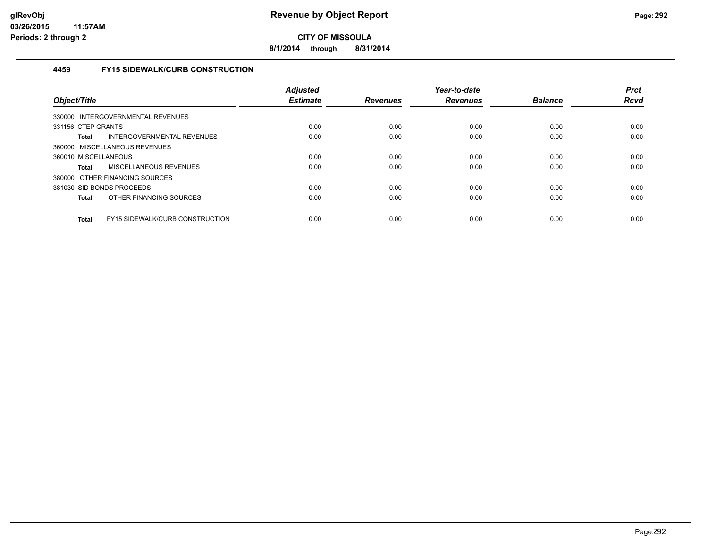**8/1/2014 through 8/31/2014**

## **4459 FY15 SIDEWALK/CURB CONSTRUCTION**

| Object/Title              |                                   | <b>Adjusted</b><br><b>Estimate</b> | <b>Revenues</b> | Year-to-date<br><b>Revenues</b> | <b>Balance</b> | <b>Prct</b><br><b>Rcvd</b> |
|---------------------------|-----------------------------------|------------------------------------|-----------------|---------------------------------|----------------|----------------------------|
|                           | 330000 INTERGOVERNMENTAL REVENUES |                                    |                 |                                 |                |                            |
| 331156 CTEP GRANTS        |                                   | 0.00                               | 0.00            | 0.00                            | 0.00           | 0.00                       |
| <b>Total</b>              | INTERGOVERNMENTAL REVENUES        | 0.00                               | 0.00            | 0.00                            | 0.00           | 0.00                       |
|                           | 360000 MISCELLANEOUS REVENUES     |                                    |                 |                                 |                |                            |
| 360010 MISCELLANEOUS      |                                   | 0.00                               | 0.00            | 0.00                            | 0.00           | 0.00                       |
| <b>Total</b>              | <b>MISCELLANEOUS REVENUES</b>     | 0.00                               | 0.00            | 0.00                            | 0.00           | 0.00                       |
|                           | 380000 OTHER FINANCING SOURCES    |                                    |                 |                                 |                |                            |
| 381030 SID BONDS PROCEEDS |                                   | 0.00                               | 0.00            | 0.00                            | 0.00           | 0.00                       |
| <b>Total</b>              | OTHER FINANCING SOURCES           | 0.00                               | 0.00            | 0.00                            | 0.00           | 0.00                       |
| <b>Total</b>              | FY15 SIDEWALK/CURB CONSTRUCTION   | 0.00                               | 0.00            | 0.00                            | 0.00           | 0.00                       |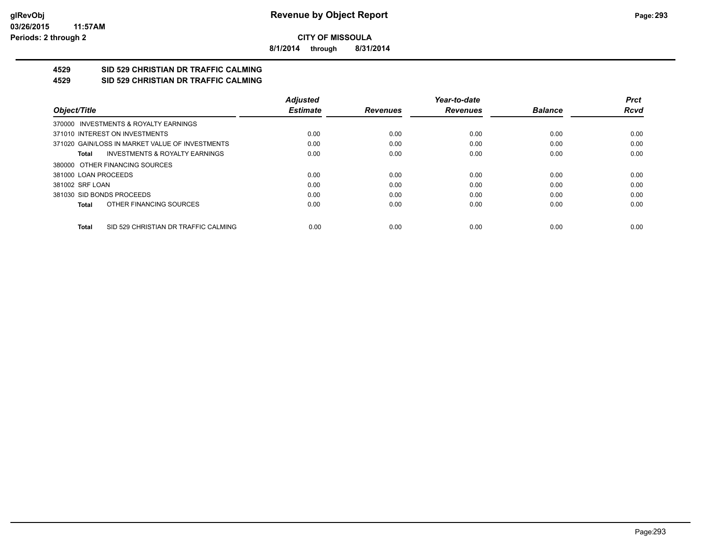**8/1/2014 through 8/31/2014**

#### **4529 SID 529 CHRISTIAN DR TRAFFIC CALMING 4529 SID 529 CHRISTIAN DR TRAFFIC CALMING**

|                                                    | <b>Adjusted</b> |                 | Year-to-date    |                | <b>Prct</b> |
|----------------------------------------------------|-----------------|-----------------|-----------------|----------------|-------------|
| Object/Title                                       | <b>Estimate</b> | <b>Revenues</b> | <b>Revenues</b> | <b>Balance</b> | Rcvd        |
| 370000 INVESTMENTS & ROYALTY EARNINGS              |                 |                 |                 |                |             |
| 371010 INTEREST ON INVESTMENTS                     | 0.00            | 0.00            | 0.00            | 0.00           | 0.00        |
| 371020 GAIN/LOSS IN MARKET VALUE OF INVESTMENTS    | 0.00            | 0.00            | 0.00            | 0.00           | 0.00        |
| <b>INVESTMENTS &amp; ROYALTY EARNINGS</b><br>Total | 0.00            | 0.00            | 0.00            | 0.00           | 0.00        |
| 380000 OTHER FINANCING SOURCES                     |                 |                 |                 |                |             |
| 381000 LOAN PROCEEDS                               | 0.00            | 0.00            | 0.00            | 0.00           | 0.00        |
| 381002 SRF LOAN                                    | 0.00            | 0.00            | 0.00            | 0.00           | 0.00        |
| 381030 SID BONDS PROCEEDS                          | 0.00            | 0.00            | 0.00            | 0.00           | 0.00        |
| OTHER FINANCING SOURCES<br>Total                   | 0.00            | 0.00            | 0.00            | 0.00           | 0.00        |
| SID 529 CHRISTIAN DR TRAFFIC CALMING<br>Total      | 0.00            | 0.00            | 0.00            | 0.00           | 0.00        |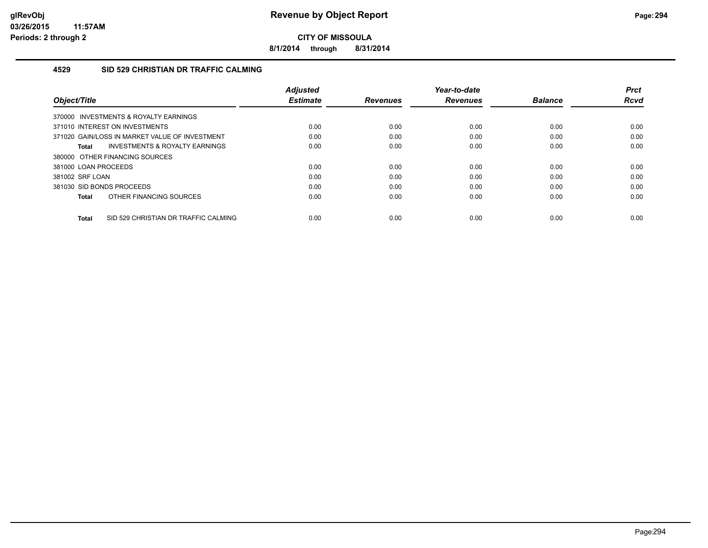**8/1/2014 through 8/31/2014**

## **4529 SID 529 CHRISTIAN DR TRAFFIC CALMING**

| Object/Title                                         | <b>Adjusted</b><br><b>Estimate</b> | <b>Revenues</b> | Year-to-date<br><b>Revenues</b> | <b>Balance</b> | <b>Prct</b><br>Rcvd |
|------------------------------------------------------|------------------------------------|-----------------|---------------------------------|----------------|---------------------|
| 370000 INVESTMENTS & ROYALTY EARNINGS                |                                    |                 |                                 |                |                     |
| 371010 INTEREST ON INVESTMENTS                       | 0.00                               | 0.00            | 0.00                            | 0.00           | 0.00                |
| 371020 GAIN/LOSS IN MARKET VALUE OF INVESTMENT       | 0.00                               | 0.00            | 0.00                            | 0.00           | 0.00                |
| INVESTMENTS & ROYALTY EARNINGS<br>Total              | 0.00                               | 0.00            | 0.00                            | 0.00           | 0.00                |
| 380000 OTHER FINANCING SOURCES                       |                                    |                 |                                 |                |                     |
| 381000 LOAN PROCEEDS                                 | 0.00                               | 0.00            | 0.00                            | 0.00           | 0.00                |
| 381002 SRF LOAN                                      | 0.00                               | 0.00            | 0.00                            | 0.00           | 0.00                |
| 381030 SID BONDS PROCEEDS                            | 0.00                               | 0.00            | 0.00                            | 0.00           | 0.00                |
| OTHER FINANCING SOURCES<br>Total                     | 0.00                               | 0.00            | 0.00                            | 0.00           | 0.00                |
| SID 529 CHRISTIAN DR TRAFFIC CALMING<br><b>Total</b> | 0.00                               | 0.00            | 0.00                            | 0.00           | 0.00                |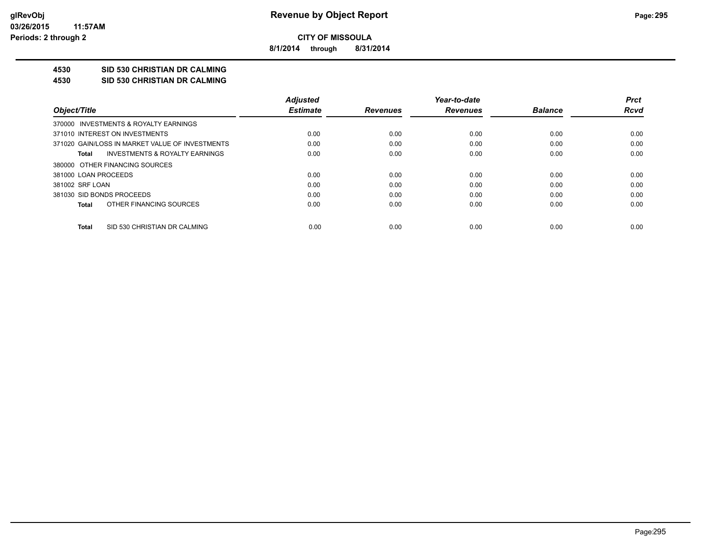**8/1/2014 through 8/31/2014**

## **4530 SID 530 CHRISTIAN DR CALMING**

#### **4530 SID 530 CHRISTIAN DR CALMING**

|                           |                                                 | <b>Adjusted</b> |                 | Year-to-date    |                | <b>Prct</b> |
|---------------------------|-------------------------------------------------|-----------------|-----------------|-----------------|----------------|-------------|
| Object/Title              |                                                 | <b>Estimate</b> | <b>Revenues</b> | <b>Revenues</b> | <b>Balance</b> | <b>Rcvd</b> |
|                           | 370000 INVESTMENTS & ROYALTY EARNINGS           |                 |                 |                 |                |             |
|                           | 371010 INTEREST ON INVESTMENTS                  | 0.00            | 0.00            | 0.00            | 0.00           | 0.00        |
|                           | 371020 GAIN/LOSS IN MARKET VALUE OF INVESTMENTS | 0.00            | 0.00            | 0.00            | 0.00           | 0.00        |
| Total                     | INVESTMENTS & ROYALTY EARNINGS                  | 0.00            | 0.00            | 0.00            | 0.00           | 0.00        |
|                           | 380000 OTHER FINANCING SOURCES                  |                 |                 |                 |                |             |
| 381000 LOAN PROCEEDS      |                                                 | 0.00            | 0.00            | 0.00            | 0.00           | 0.00        |
| 381002 SRF LOAN           |                                                 | 0.00            | 0.00            | 0.00            | 0.00           | 0.00        |
| 381030 SID BONDS PROCEEDS |                                                 | 0.00            | 0.00            | 0.00            | 0.00           | 0.00        |
| Total                     | OTHER FINANCING SOURCES                         | 0.00            | 0.00            | 0.00            | 0.00           | 0.00        |
| Total                     | SID 530 CHRISTIAN DR CALMING                    | 0.00            | 0.00            | 0.00            | 0.00           | 0.00        |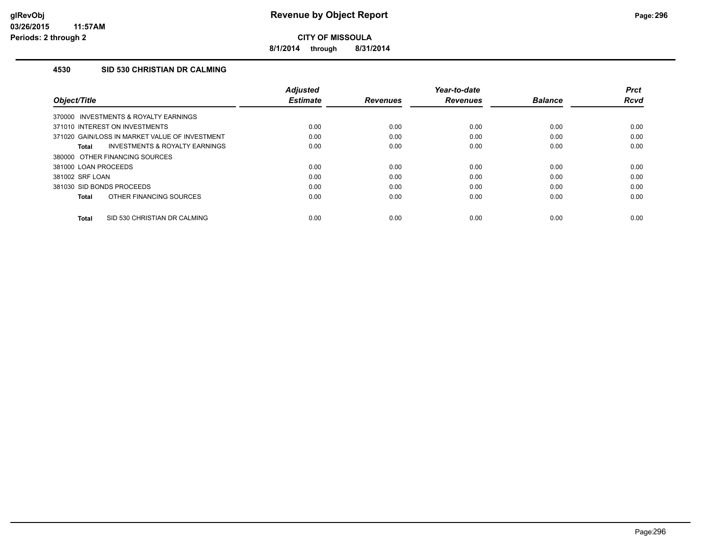**8/1/2014 through 8/31/2014**

## **4530 SID 530 CHRISTIAN DR CALMING**

| Object/Title                                   | <b>Adjusted</b><br><b>Estimate</b> | <b>Revenues</b> | Year-to-date<br><b>Revenues</b> | <b>Balance</b> | <b>Prct</b><br><b>Rcvd</b> |
|------------------------------------------------|------------------------------------|-----------------|---------------------------------|----------------|----------------------------|
| 370000 INVESTMENTS & ROYALTY EARNINGS          |                                    |                 |                                 |                |                            |
| 371010 INTEREST ON INVESTMENTS                 | 0.00                               | 0.00            | 0.00                            | 0.00           | 0.00                       |
| 371020 GAIN/LOSS IN MARKET VALUE OF INVESTMENT | 0.00                               | 0.00            | 0.00                            | 0.00           | 0.00                       |
| INVESTMENTS & ROYALTY EARNINGS<br>Total        | 0.00                               | 0.00            | 0.00                            | 0.00           | 0.00                       |
| 380000 OTHER FINANCING SOURCES                 |                                    |                 |                                 |                |                            |
| 381000 LOAN PROCEEDS                           | 0.00                               | 0.00            | 0.00                            | 0.00           | 0.00                       |
| 381002 SRF LOAN                                | 0.00                               | 0.00            | 0.00                            | 0.00           | 0.00                       |
| 381030 SID BONDS PROCEEDS                      | 0.00                               | 0.00            | 0.00                            | 0.00           | 0.00                       |
| OTHER FINANCING SOURCES<br><b>Total</b>        | 0.00                               | 0.00            | 0.00                            | 0.00           | 0.00                       |
| SID 530 CHRISTIAN DR CALMING<br><b>Total</b>   | 0.00                               | 0.00            | 0.00                            | 0.00           | 0.00                       |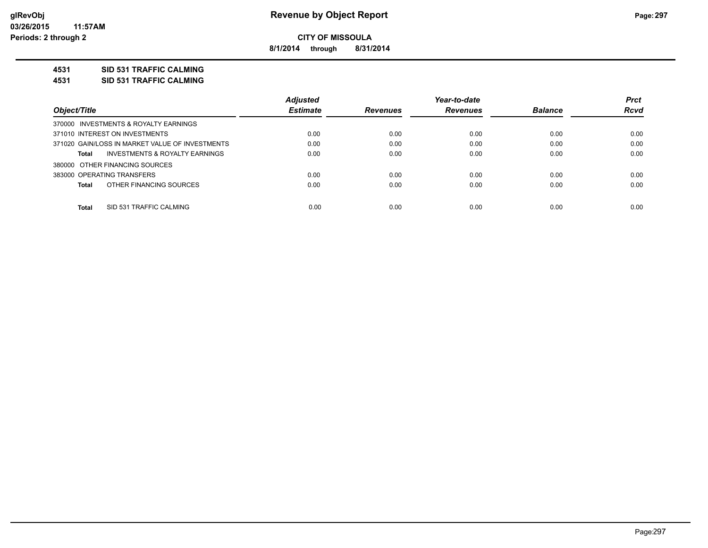**8/1/2014 through 8/31/2014**

## **4531 SID 531 TRAFFIC CALMING**

**4531 SID 531 TRAFFIC CALMING**

|                                                 | <b>Adjusted</b> |                 | Year-to-date    |                | <b>Prct</b> |
|-------------------------------------------------|-----------------|-----------------|-----------------|----------------|-------------|
| Object/Title                                    | <b>Estimate</b> | <b>Revenues</b> | <b>Revenues</b> | <b>Balance</b> | <b>Rcvd</b> |
| 370000 INVESTMENTS & ROYALTY EARNINGS           |                 |                 |                 |                |             |
| 371010 INTEREST ON INVESTMENTS                  | 0.00            | 0.00            | 0.00            | 0.00           | 0.00        |
| 371020 GAIN/LOSS IN MARKET VALUE OF INVESTMENTS | 0.00            | 0.00            | 0.00            | 0.00           | 0.00        |
| INVESTMENTS & ROYALTY EARNINGS<br>Total         | 0.00            | 0.00            | 0.00            | 0.00           | 0.00        |
| 380000 OTHER FINANCING SOURCES                  |                 |                 |                 |                |             |
| 383000 OPERATING TRANSFERS                      | 0.00            | 0.00            | 0.00            | 0.00           | 0.00        |
| OTHER FINANCING SOURCES<br>Total                | 0.00            | 0.00            | 0.00            | 0.00           | 0.00        |
| <b>Total</b><br>SID 531 TRAFFIC CALMING         | 0.00            | 0.00            | 0.00            | 0.00           | 0.00        |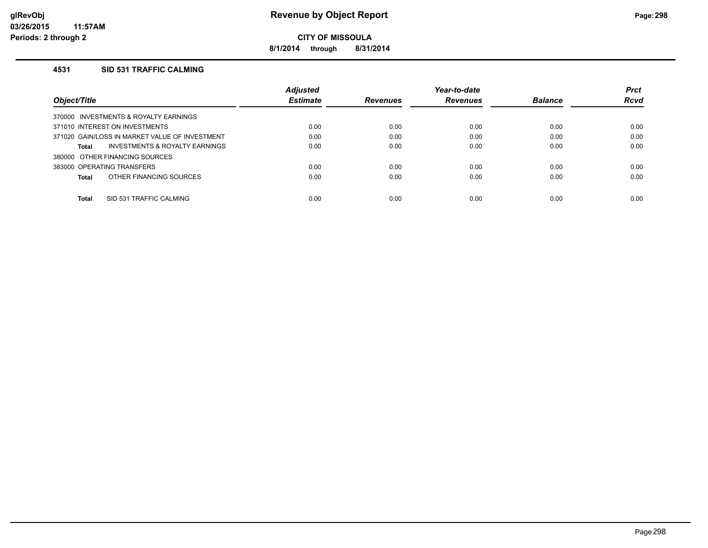**8/1/2014 through 8/31/2014**

### **4531 SID 531 TRAFFIC CALMING**

|                                                | Adjusted        |                 | Year-to-date    |                | <b>Prct</b> |
|------------------------------------------------|-----------------|-----------------|-----------------|----------------|-------------|
| Object/Title                                   | <b>Estimate</b> | <b>Revenues</b> | <b>Revenues</b> | <b>Balance</b> | <b>Rcvd</b> |
| 370000 INVESTMENTS & ROYALTY EARNINGS          |                 |                 |                 |                |             |
| 371010 INTEREST ON INVESTMENTS                 | 0.00            | 0.00            | 0.00            | 0.00           | 0.00        |
| 371020 GAIN/LOSS IN MARKET VALUE OF INVESTMENT | 0.00            | 0.00            | 0.00            | 0.00           | 0.00        |
| INVESTMENTS & ROYALTY EARNINGS<br>Total        | 0.00            | 0.00            | 0.00            | 0.00           | 0.00        |
| 380000 OTHER FINANCING SOURCES                 |                 |                 |                 |                |             |
| 383000 OPERATING TRANSFERS                     | 0.00            | 0.00            | 0.00            | 0.00           | 0.00        |
| OTHER FINANCING SOURCES<br><b>Total</b>        | 0.00            | 0.00            | 0.00            | 0.00           | 0.00        |
|                                                | 0.00            |                 |                 |                |             |
| <b>Total</b><br>SID 531 TRAFFIC CALMING        |                 | 0.00            | 0.00            | 0.00           | 0.00        |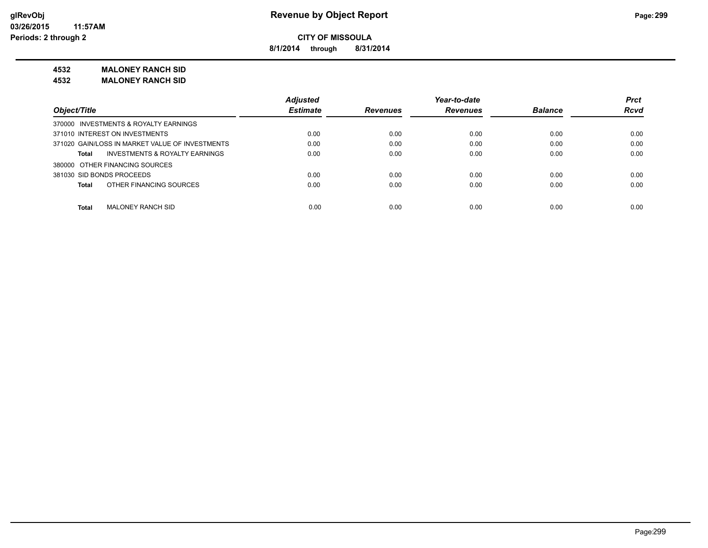**8/1/2014 through 8/31/2014**

## **4532 MALONEY RANCH SID**

**4532 MALONEY RANCH SID**

|                                                 | <b>Adjusted</b> |                 | Year-to-date    |                | <b>Prct</b> |
|-------------------------------------------------|-----------------|-----------------|-----------------|----------------|-------------|
| Object/Title                                    | <b>Estimate</b> | <b>Revenues</b> | <b>Revenues</b> | <b>Balance</b> | <b>Rcvd</b> |
| 370000 INVESTMENTS & ROYALTY EARNINGS           |                 |                 |                 |                |             |
| 371010 INTEREST ON INVESTMENTS                  | 0.00            | 0.00            | 0.00            | 0.00           | 0.00        |
| 371020 GAIN/LOSS IN MARKET VALUE OF INVESTMENTS | 0.00            | 0.00            | 0.00            | 0.00           | 0.00        |
| INVESTMENTS & ROYALTY EARNINGS<br>Total         | 0.00            | 0.00            | 0.00            | 0.00           | 0.00        |
| 380000 OTHER FINANCING SOURCES                  |                 |                 |                 |                |             |
| 381030 SID BONDS PROCEEDS                       | 0.00            | 0.00            | 0.00            | 0.00           | 0.00        |
| OTHER FINANCING SOURCES<br>Total                | 0.00            | 0.00            | 0.00            | 0.00           | 0.00        |
|                                                 |                 |                 |                 |                |             |
| <b>Total</b><br>MALONEY RANCH SID               | 0.00            | 0.00            | 0.00            | 0.00           | 0.00        |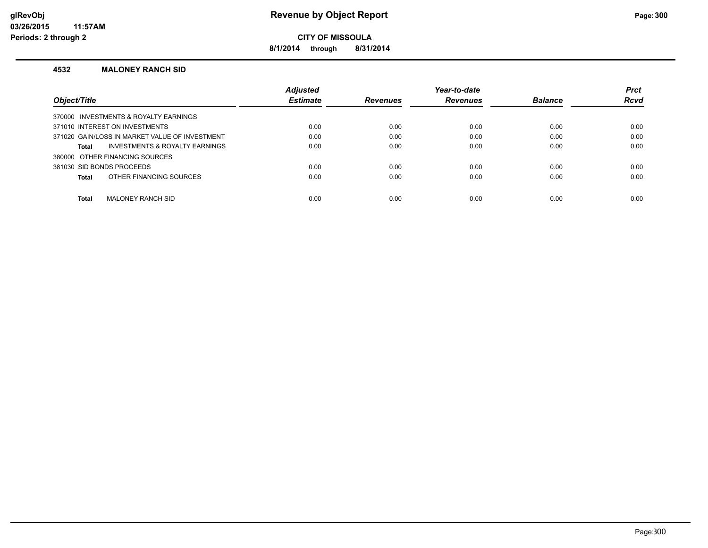**8/1/2014 through 8/31/2014**

#### **4532 MALONEY RANCH SID**

|                                                | <b>Adjusted</b> |                 | Year-to-date    |                | <b>Prct</b> |
|------------------------------------------------|-----------------|-----------------|-----------------|----------------|-------------|
| <b>Object/Title</b>                            | <b>Estimate</b> | <b>Revenues</b> | <b>Revenues</b> | <b>Balance</b> | <b>Rcvd</b> |
| 370000 INVESTMENTS & ROYALTY EARNINGS          |                 |                 |                 |                |             |
| 371010 INTEREST ON INVESTMENTS                 | 0.00            | 0.00            | 0.00            | 0.00           | 0.00        |
| 371020 GAIN/LOSS IN MARKET VALUE OF INVESTMENT | 0.00            | 0.00            | 0.00            | 0.00           | 0.00        |
| INVESTMENTS & ROYALTY EARNINGS<br>Total        | 0.00            | 0.00            | 0.00            | 0.00           | 0.00        |
| 380000 OTHER FINANCING SOURCES                 |                 |                 |                 |                |             |
| 381030 SID BONDS PROCEEDS                      | 0.00            | 0.00            | 0.00            | 0.00           | 0.00        |
| OTHER FINANCING SOURCES<br>Total               | 0.00            | 0.00            | 0.00            | 0.00           | 0.00        |
|                                                |                 |                 |                 |                |             |
| Total<br><b>MALONEY RANCH SID</b>              | 0.00            | 0.00            | 0.00            | 0.00           | 0.00        |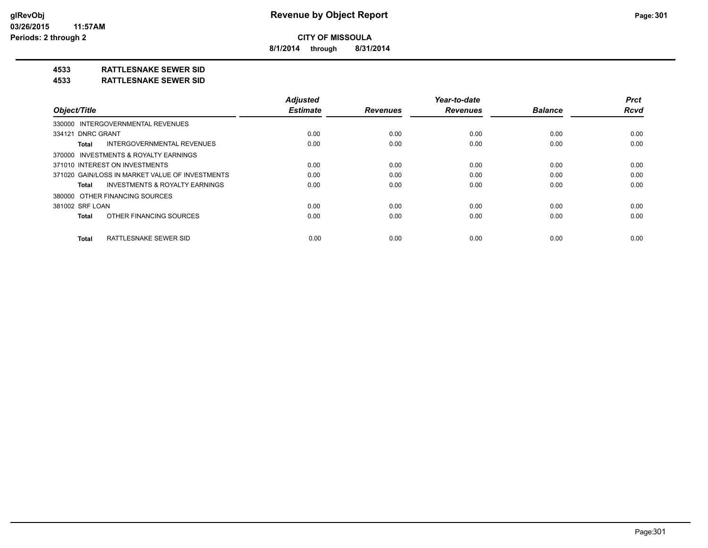**8/1/2014 through 8/31/2014**

## **4533 RATTLESNAKE SEWER SID**

#### **4533 RATTLESNAKE SEWER SID**

| Object/Title                                       | <b>Adiusted</b><br><b>Estimate</b> | <b>Revenues</b> | Year-to-date<br><b>Revenues</b> | <b>Balance</b> | <b>Prct</b><br><b>Rcvd</b> |
|----------------------------------------------------|------------------------------------|-----------------|---------------------------------|----------------|----------------------------|
| 330000 INTERGOVERNMENTAL REVENUES                  |                                    |                 |                                 |                |                            |
|                                                    |                                    |                 |                                 |                |                            |
| 334121 DNRC GRANT                                  | 0.00                               | 0.00            | 0.00                            | 0.00           | 0.00                       |
| <b>INTERGOVERNMENTAL REVENUES</b><br>Total         | 0.00                               | 0.00            | 0.00                            | 0.00           | 0.00                       |
| 370000 INVESTMENTS & ROYALTY EARNINGS              |                                    |                 |                                 |                |                            |
| 371010 INTEREST ON INVESTMENTS                     | 0.00                               | 0.00            | 0.00                            | 0.00           | 0.00                       |
| 371020 GAIN/LOSS IN MARKET VALUE OF INVESTMENTS    | 0.00                               | 0.00            | 0.00                            | 0.00           | 0.00                       |
| <b>INVESTMENTS &amp; ROYALTY EARNINGS</b><br>Total | 0.00                               | 0.00            | 0.00                            | 0.00           | 0.00                       |
| 380000 OTHER FINANCING SOURCES                     |                                    |                 |                                 |                |                            |
| 381002 SRF LOAN                                    | 0.00                               | 0.00            | 0.00                            | 0.00           | 0.00                       |
| OTHER FINANCING SOURCES<br><b>Total</b>            | 0.00                               | 0.00            | 0.00                            | 0.00           | 0.00                       |
| RATTLESNAKE SEWER SID<br><b>Total</b>              | 0.00                               | 0.00            | 0.00                            | 0.00           | 0.00                       |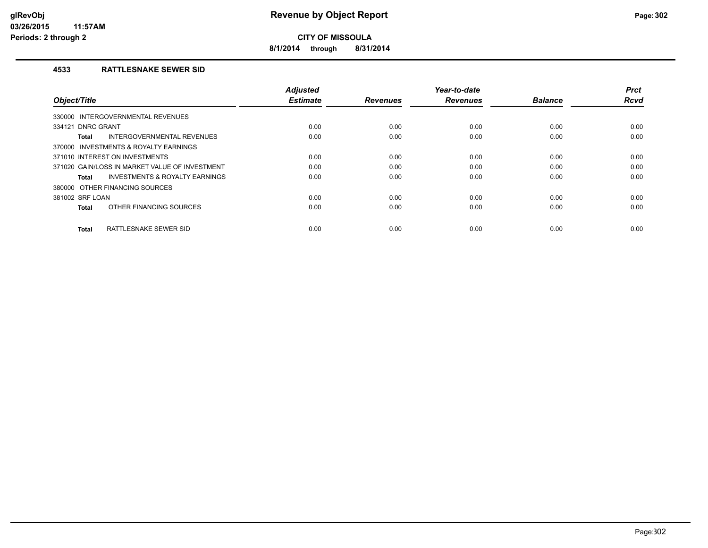**8/1/2014 through 8/31/2014**

## **4533 RATTLESNAKE SEWER SID**

| Object/Title                                   | <b>Adjusted</b><br><b>Estimate</b> | <b>Revenues</b> | Year-to-date<br><b>Revenues</b> | <b>Balance</b> | <b>Prct</b><br><b>Rcvd</b> |
|------------------------------------------------|------------------------------------|-----------------|---------------------------------|----------------|----------------------------|
| INTERGOVERNMENTAL REVENUES<br>330000           |                                    |                 |                                 |                |                            |
| 334121 DNRC GRANT                              | 0.00                               | 0.00            | 0.00                            | 0.00           | 0.00                       |
| INTERGOVERNMENTAL REVENUES<br>Total            | 0.00                               | 0.00            | 0.00                            | 0.00           | 0.00                       |
| 370000 INVESTMENTS & ROYALTY EARNINGS          |                                    |                 |                                 |                |                            |
| 371010 INTEREST ON INVESTMENTS                 | 0.00                               | 0.00            | 0.00                            | 0.00           | 0.00                       |
| 371020 GAIN/LOSS IN MARKET VALUE OF INVESTMENT | 0.00                               | 0.00            | 0.00                            | 0.00           | 0.00                       |
| INVESTMENTS & ROYALTY EARNINGS<br>Total        | 0.00                               | 0.00            | 0.00                            | 0.00           | 0.00                       |
| 380000 OTHER FINANCING SOURCES                 |                                    |                 |                                 |                |                            |
| 381002 SRF LOAN                                | 0.00                               | 0.00            | 0.00                            | 0.00           | 0.00                       |
| OTHER FINANCING SOURCES<br><b>Total</b>        | 0.00                               | 0.00            | 0.00                            | 0.00           | 0.00                       |
| RATTLESNAKE SEWER SID<br><b>Total</b>          | 0.00                               | 0.00            | 0.00                            | 0.00           | 0.00                       |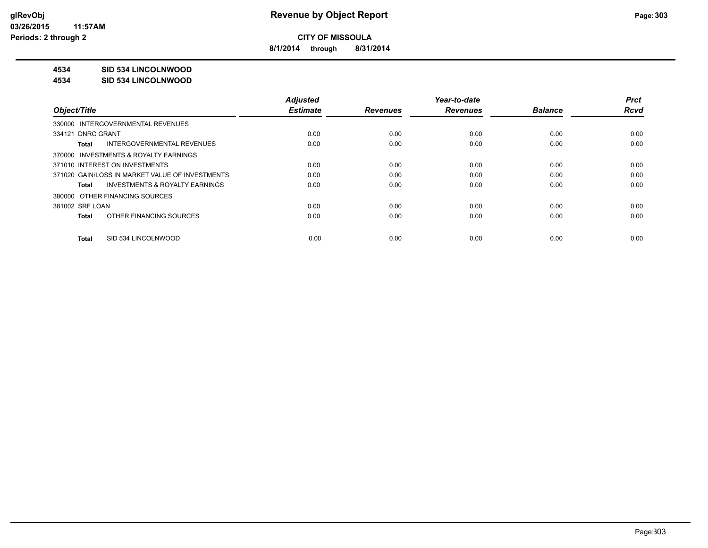**8/1/2014 through 8/31/2014**

## **4534 SID 534 LINCOLNWOOD**

#### **4534 SID 534 LINCOLNWOOD**

|                                                    | <b>Adjusted</b> |                 | Year-to-date    |                | <b>Prct</b> |
|----------------------------------------------------|-----------------|-----------------|-----------------|----------------|-------------|
| Object/Title                                       | <b>Estimate</b> | <b>Revenues</b> | <b>Revenues</b> | <b>Balance</b> | <b>Rcvd</b> |
| 330000 INTERGOVERNMENTAL REVENUES                  |                 |                 |                 |                |             |
| 334121 DNRC GRANT                                  | 0.00            | 0.00            | 0.00            | 0.00           | 0.00        |
| INTERGOVERNMENTAL REVENUES<br>Total                | 0.00            | 0.00            | 0.00            | 0.00           | 0.00        |
| 370000 INVESTMENTS & ROYALTY EARNINGS              |                 |                 |                 |                |             |
| 371010 INTEREST ON INVESTMENTS                     | 0.00            | 0.00            | 0.00            | 0.00           | 0.00        |
| 371020 GAIN/LOSS IN MARKET VALUE OF INVESTMENTS    | 0.00            | 0.00            | 0.00            | 0.00           | 0.00        |
| <b>INVESTMENTS &amp; ROYALTY EARNINGS</b><br>Total | 0.00            | 0.00            | 0.00            | 0.00           | 0.00        |
| 380000 OTHER FINANCING SOURCES                     |                 |                 |                 |                |             |
| 381002 SRF LOAN                                    | 0.00            | 0.00            | 0.00            | 0.00           | 0.00        |
| OTHER FINANCING SOURCES<br>Total                   | 0.00            | 0.00            | 0.00            | 0.00           | 0.00        |
| SID 534 LINCOLNWOOD<br>Total                       | 0.00            | 0.00            | 0.00            | 0.00           | 0.00        |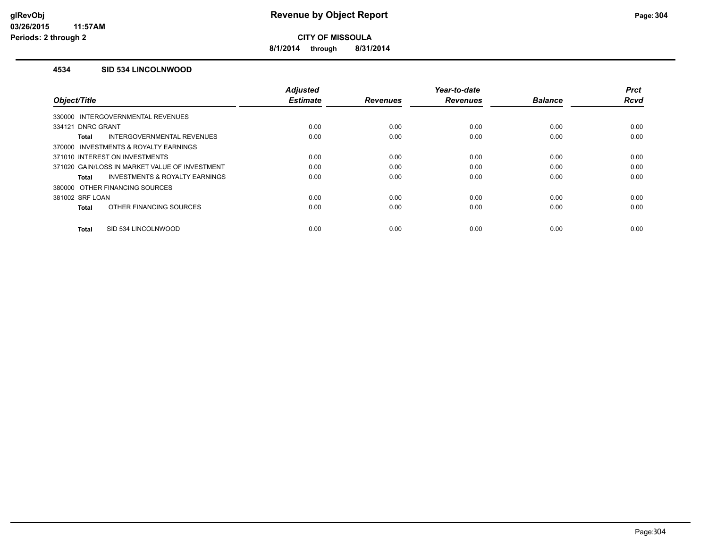**8/1/2014 through 8/31/2014**

### **4534 SID 534 LINCOLNWOOD**

| Object/Title                                              | <b>Adjusted</b><br><b>Estimate</b> | <b>Revenues</b> | Year-to-date<br><b>Revenues</b> | <b>Balance</b> | <b>Prct</b><br><b>Rcvd</b> |
|-----------------------------------------------------------|------------------------------------|-----------------|---------------------------------|----------------|----------------------------|
| 330000 INTERGOVERNMENTAL REVENUES                         |                                    |                 |                                 |                |                            |
| 334121 DNRC GRANT                                         | 0.00                               | 0.00            | 0.00                            | 0.00           | 0.00                       |
| INTERGOVERNMENTAL REVENUES<br><b>Total</b>                | 0.00                               | 0.00            | 0.00                            | 0.00           | 0.00                       |
| 370000 INVESTMENTS & ROYALTY EARNINGS                     |                                    |                 |                                 |                |                            |
| 371010 INTEREST ON INVESTMENTS                            | 0.00                               | 0.00            | 0.00                            | 0.00           | 0.00                       |
| 371020 GAIN/LOSS IN MARKET VALUE OF INVESTMENT            | 0.00                               | 0.00            | 0.00                            | 0.00           | 0.00                       |
| <b>INVESTMENTS &amp; ROYALTY EARNINGS</b><br><b>Total</b> | 0.00                               | 0.00            | 0.00                            | 0.00           | 0.00                       |
| 380000 OTHER FINANCING SOURCES                            |                                    |                 |                                 |                |                            |
| 381002 SRF LOAN                                           | 0.00                               | 0.00            | 0.00                            | 0.00           | 0.00                       |
| OTHER FINANCING SOURCES<br><b>Total</b>                   | 0.00                               | 0.00            | 0.00                            | 0.00           | 0.00                       |
| SID 534 LINCOLNWOOD<br><b>Total</b>                       | 0.00                               | 0.00            | 0.00                            | 0.00           | 0.00                       |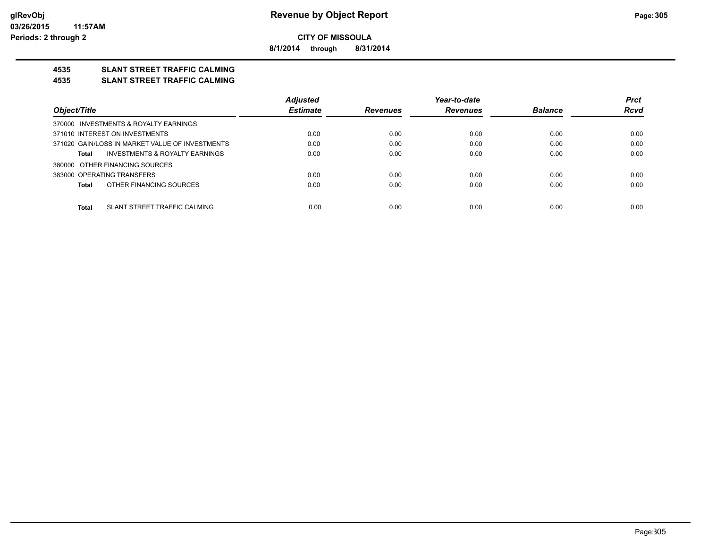**8/1/2014 through 8/31/2014**

## **4535 SLANT STREET TRAFFIC CALMING**

#### **4535 SLANT STREET TRAFFIC CALMING**

|                                                 | <b>Adjusted</b> |                 | Year-to-date    |                | <b>Prct</b> |
|-------------------------------------------------|-----------------|-----------------|-----------------|----------------|-------------|
| Object/Title                                    | <b>Estimate</b> | <b>Revenues</b> | <b>Revenues</b> | <b>Balance</b> | <b>Rcvd</b> |
| 370000 INVESTMENTS & ROYALTY EARNINGS           |                 |                 |                 |                |             |
| 371010 INTEREST ON INVESTMENTS                  | 0.00            | 0.00            | 0.00            | 0.00           | 0.00        |
| 371020 GAIN/LOSS IN MARKET VALUE OF INVESTMENTS | 0.00            | 0.00            | 0.00            | 0.00           | 0.00        |
| INVESTMENTS & ROYALTY EARNINGS<br>Total         | 0.00            | 0.00            | 0.00            | 0.00           | 0.00        |
| 380000 OTHER FINANCING SOURCES                  |                 |                 |                 |                |             |
| 383000 OPERATING TRANSFERS                      | 0.00            | 0.00            | 0.00            | 0.00           | 0.00        |
| OTHER FINANCING SOURCES<br>Total                | 0.00            | 0.00            | 0.00            | 0.00           | 0.00        |
|                                                 |                 |                 |                 |                |             |
| SLANT STREET TRAFFIC CALMING<br>Total           | 0.00            | 0.00            | 0.00            | 0.00           | 0.00        |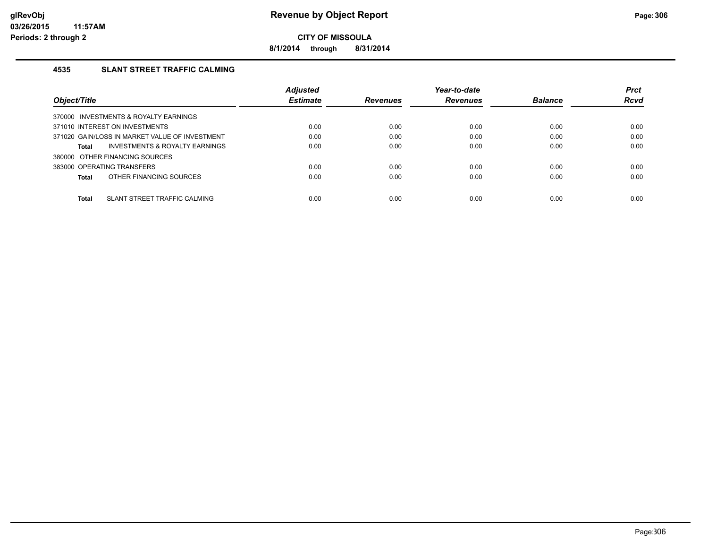**8/1/2014 through 8/31/2014**

## **4535 SLANT STREET TRAFFIC CALMING**

|                                                    | <b>Adjusted</b> |                 | Year-to-date    |                | <b>Prct</b> |
|----------------------------------------------------|-----------------|-----------------|-----------------|----------------|-------------|
| Object/Title                                       | <b>Estimate</b> | <b>Revenues</b> | <b>Revenues</b> | <b>Balance</b> | Rcvd        |
| 370000 INVESTMENTS & ROYALTY EARNINGS              |                 |                 |                 |                |             |
| 371010 INTEREST ON INVESTMENTS                     | 0.00            | 0.00            | 0.00            | 0.00           | 0.00        |
| 371020 GAIN/LOSS IN MARKET VALUE OF INVESTMENT     | 0.00            | 0.00            | 0.00            | 0.00           | 0.00        |
| <b>INVESTMENTS &amp; ROYALTY EARNINGS</b><br>Total | 0.00            | 0.00            | 0.00            | 0.00           | 0.00        |
| 380000 OTHER FINANCING SOURCES                     |                 |                 |                 |                |             |
| 383000 OPERATING TRANSFERS                         | 0.00            | 0.00            | 0.00            | 0.00           | 0.00        |
| OTHER FINANCING SOURCES<br>Total                   | 0.00            | 0.00            | 0.00            | 0.00           | 0.00        |
|                                                    |                 |                 |                 |                |             |
| <b>Total</b><br>SLANT STREET TRAFFIC CALMING       | 0.00            | 0.00            | 0.00            | 0.00           | 0.00        |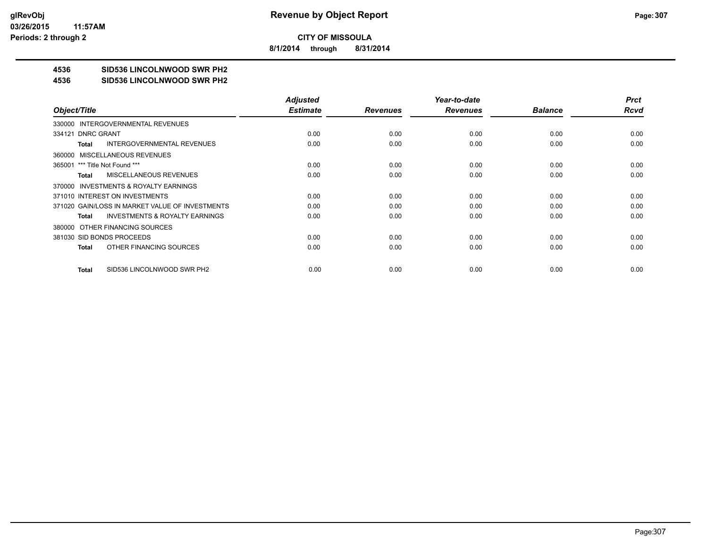**8/1/2014 through 8/31/2014**

## **4536 SID536 LINCOLNWOOD SWR PH2**

#### **4536 SID536 LINCOLNWOOD SWR PH2**

|                                                    | <b>Adjusted</b> |                 | Year-to-date    |                | <b>Prct</b> |
|----------------------------------------------------|-----------------|-----------------|-----------------|----------------|-------------|
| Object/Title                                       | <b>Estimate</b> | <b>Revenues</b> | <b>Revenues</b> | <b>Balance</b> | Rcvd        |
| 330000 INTERGOVERNMENTAL REVENUES                  |                 |                 |                 |                |             |
| 334121 DNRC GRANT                                  | 0.00            | 0.00            | 0.00            | 0.00           | 0.00        |
| <b>INTERGOVERNMENTAL REVENUES</b><br>Total         | 0.00            | 0.00            | 0.00            | 0.00           | 0.00        |
| 360000 MISCELLANEOUS REVENUES                      |                 |                 |                 |                |             |
| 365001 *** Title Not Found ***                     | 0.00            | 0.00            | 0.00            | 0.00           | 0.00        |
| <b>MISCELLANEOUS REVENUES</b><br>Total             | 0.00            | 0.00            | 0.00            | 0.00           | 0.00        |
| 370000 INVESTMENTS & ROYALTY EARNINGS              |                 |                 |                 |                |             |
| 371010 INTEREST ON INVESTMENTS                     | 0.00            | 0.00            | 0.00            | 0.00           | 0.00        |
| 371020 GAIN/LOSS IN MARKET VALUE OF INVESTMENTS    | 0.00            | 0.00            | 0.00            | 0.00           | 0.00        |
| <b>INVESTMENTS &amp; ROYALTY EARNINGS</b><br>Total | 0.00            | 0.00            | 0.00            | 0.00           | 0.00        |
| 380000 OTHER FINANCING SOURCES                     |                 |                 |                 |                |             |
| 381030 SID BONDS PROCEEDS                          | 0.00            | 0.00            | 0.00            | 0.00           | 0.00        |
| OTHER FINANCING SOURCES<br>Total                   | 0.00            | 0.00            | 0.00            | 0.00           | 0.00        |
|                                                    |                 |                 |                 |                |             |
| SID536 LINCOLNWOOD SWR PH2<br>Total                | 0.00            | 0.00            | 0.00            | 0.00           | 0.00        |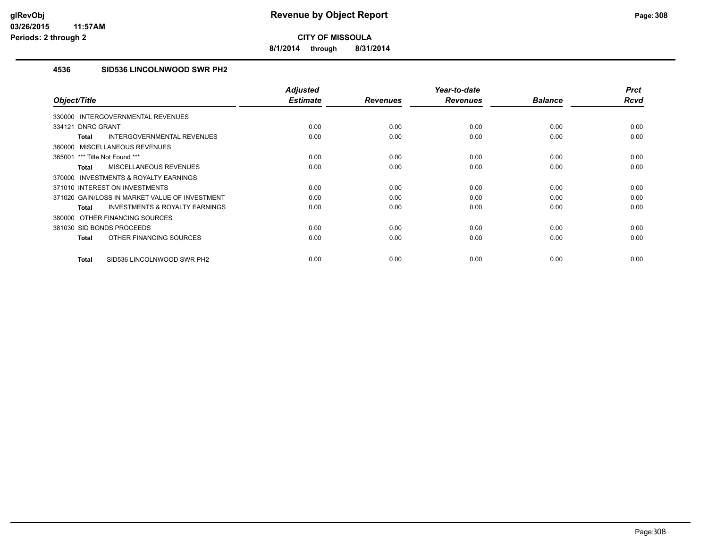**8/1/2014 through 8/31/2014**

## **4536 SID536 LINCOLNWOOD SWR PH2**

| Object/Title                                              | <b>Adjusted</b><br><b>Estimate</b> | <b>Revenues</b> | Year-to-date<br><b>Revenues</b> | <b>Balance</b> | <b>Prct</b><br><b>Rcvd</b> |
|-----------------------------------------------------------|------------------------------------|-----------------|---------------------------------|----------------|----------------------------|
| INTERGOVERNMENTAL REVENUES<br>330000                      |                                    |                 |                                 |                |                            |
| 334121 DNRC GRANT                                         | 0.00                               | 0.00            | 0.00                            | 0.00           | 0.00                       |
|                                                           |                                    |                 |                                 |                |                            |
| INTERGOVERNMENTAL REVENUES<br><b>Total</b>                | 0.00                               | 0.00            | 0.00                            | 0.00           | 0.00                       |
| MISCELLANEOUS REVENUES<br>360000                          |                                    |                 |                                 |                |                            |
| 365001 *** Title Not Found ***                            | 0.00                               | 0.00            | 0.00                            | 0.00           | 0.00                       |
| MISCELLANEOUS REVENUES<br><b>Total</b>                    | 0.00                               | 0.00            | 0.00                            | 0.00           | 0.00                       |
| <b>INVESTMENTS &amp; ROYALTY EARNINGS</b><br>370000       |                                    |                 |                                 |                |                            |
| 371010 INTEREST ON INVESTMENTS                            | 0.00                               | 0.00            | 0.00                            | 0.00           | 0.00                       |
| 371020 GAIN/LOSS IN MARKET VALUE OF INVESTMENT            | 0.00                               | 0.00            | 0.00                            | 0.00           | 0.00                       |
| <b>INVESTMENTS &amp; ROYALTY EARNINGS</b><br><b>Total</b> | 0.00                               | 0.00            | 0.00                            | 0.00           | 0.00                       |
| 380000 OTHER FINANCING SOURCES                            |                                    |                 |                                 |                |                            |
| 381030 SID BONDS PROCEEDS                                 | 0.00                               | 0.00            | 0.00                            | 0.00           | 0.00                       |
| OTHER FINANCING SOURCES<br><b>Total</b>                   | 0.00                               | 0.00            | 0.00                            | 0.00           | 0.00                       |
| SID536 LINCOLNWOOD SWR PH2<br><b>Total</b>                | 0.00                               | 0.00            | 0.00                            | 0.00           | 0.00                       |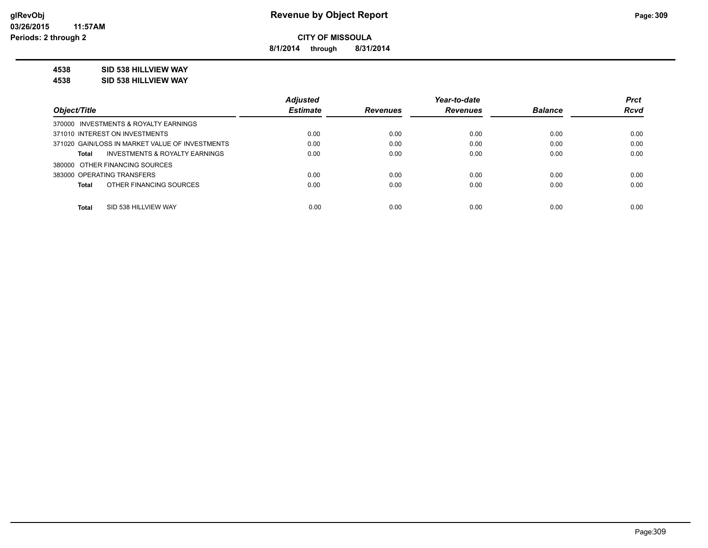**8/1/2014 through 8/31/2014**

## **4538 SID 538 HILLVIEW WAY**

**4538 SID 538 HILLVIEW WAY**

|                                                    | <b>Adjusted</b> |                 | Year-to-date    |                | <b>Prct</b> |
|----------------------------------------------------|-----------------|-----------------|-----------------|----------------|-------------|
| Object/Title                                       | <b>Estimate</b> | <b>Revenues</b> | <b>Revenues</b> | <b>Balance</b> | <b>Rcvd</b> |
| 370000 INVESTMENTS & ROYALTY EARNINGS              |                 |                 |                 |                |             |
| 371010 INTEREST ON INVESTMENTS                     | 0.00            | 0.00            | 0.00            | 0.00           | 0.00        |
| 371020 GAIN/LOSS IN MARKET VALUE OF INVESTMENTS    | 0.00            | 0.00            | 0.00            | 0.00           | 0.00        |
| <b>INVESTMENTS &amp; ROYALTY EARNINGS</b><br>Total | 0.00            | 0.00            | 0.00            | 0.00           | 0.00        |
| 380000 OTHER FINANCING SOURCES                     |                 |                 |                 |                |             |
| 383000 OPERATING TRANSFERS                         | 0.00            | 0.00            | 0.00            | 0.00           | 0.00        |
| OTHER FINANCING SOURCES<br><b>Total</b>            | 0.00            | 0.00            | 0.00            | 0.00           | 0.00        |
|                                                    |                 |                 |                 |                |             |
| <b>Total</b><br>SID 538 HILLVIEW WAY               | 0.00            | 0.00            | 0.00            | 0.00           | 0.00        |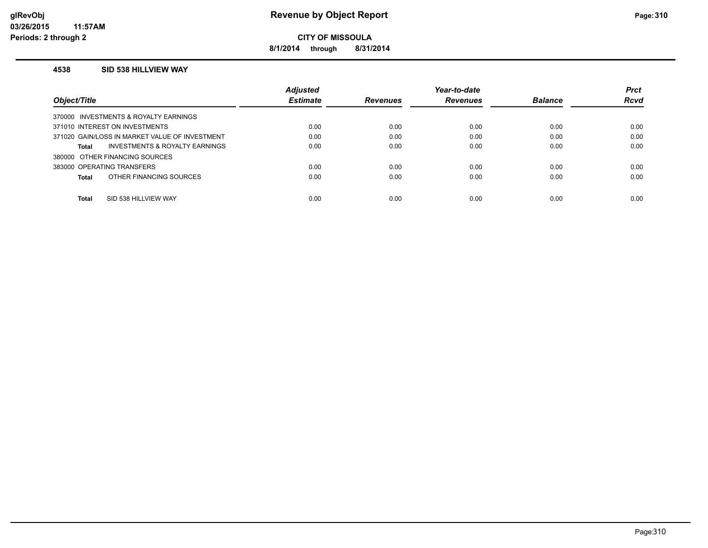**8/1/2014 through 8/31/2014**

#### **4538 SID 538 HILLVIEW WAY**

|                                                | <b>Adjusted</b> |                 | Year-to-date    |                | <b>Prct</b> |
|------------------------------------------------|-----------------|-----------------|-----------------|----------------|-------------|
| Object/Title                                   | <b>Estimate</b> | <b>Revenues</b> | <b>Revenues</b> | <b>Balance</b> | <b>Rcvd</b> |
| 370000 INVESTMENTS & ROYALTY EARNINGS          |                 |                 |                 |                |             |
| 371010 INTEREST ON INVESTMENTS                 | 0.00            | 0.00            | 0.00            | 0.00           | 0.00        |
| 371020 GAIN/LOSS IN MARKET VALUE OF INVESTMENT | 0.00            | 0.00            | 0.00            | 0.00           | 0.00        |
| INVESTMENTS & ROYALTY EARNINGS<br>Total        | 0.00            | 0.00            | 0.00            | 0.00           | 0.00        |
| 380000 OTHER FINANCING SOURCES                 |                 |                 |                 |                |             |
| 383000 OPERATING TRANSFERS                     | 0.00            | 0.00            | 0.00            | 0.00           | 0.00        |
| OTHER FINANCING SOURCES<br>Total               | 0.00            | 0.00            | 0.00            | 0.00           | 0.00        |
|                                                |                 |                 |                 |                |             |
| <b>Total</b><br>SID 538 HILLVIEW WAY           | 0.00            | 0.00            | 0.00            | 0.00           | 0.00        |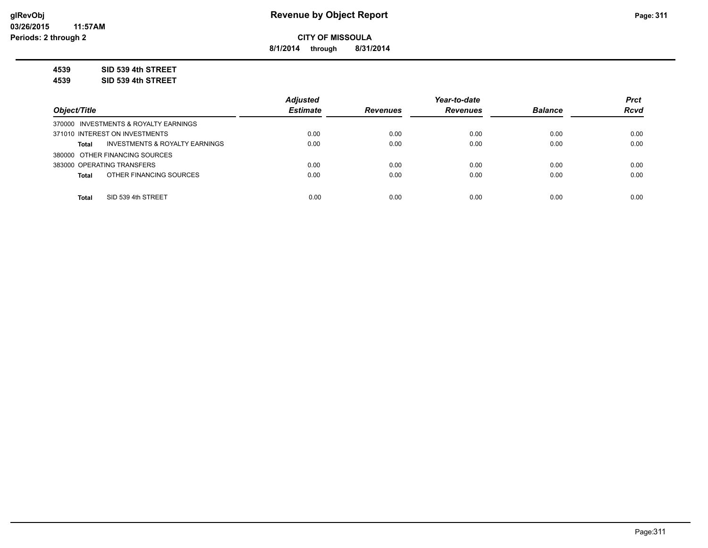**8/1/2014 through 8/31/2014**

**4539 SID 539 4th STREET**

**4539 SID 539 4th STREET**

|                                                | <b>Adiusted</b> |                 | Year-to-date    |                | <b>Prct</b> |
|------------------------------------------------|-----------------|-----------------|-----------------|----------------|-------------|
| Object/Title                                   | <b>Estimate</b> | <b>Revenues</b> | <b>Revenues</b> | <b>Balance</b> | <b>Rcvd</b> |
| 370000 INVESTMENTS & ROYALTY EARNINGS          |                 |                 |                 |                |             |
| 371010 INTEREST ON INVESTMENTS                 | 0.00            | 0.00            | 0.00            | 0.00           | 0.00        |
| INVESTMENTS & ROYALTY EARNINGS<br><b>Total</b> | 0.00            | 0.00            | 0.00            | 0.00           | 0.00        |
| 380000 OTHER FINANCING SOURCES                 |                 |                 |                 |                |             |
| 383000 OPERATING TRANSFERS                     | 0.00            | 0.00            | 0.00            | 0.00           | 0.00        |
| OTHER FINANCING SOURCES<br><b>Total</b>        | 0.00            | 0.00            | 0.00            | 0.00           | 0.00        |
|                                                |                 |                 |                 |                |             |
| SID 539 4th STREET<br><b>Total</b>             | 0.00            | 0.00            | 0.00            | 0.00           | 0.00        |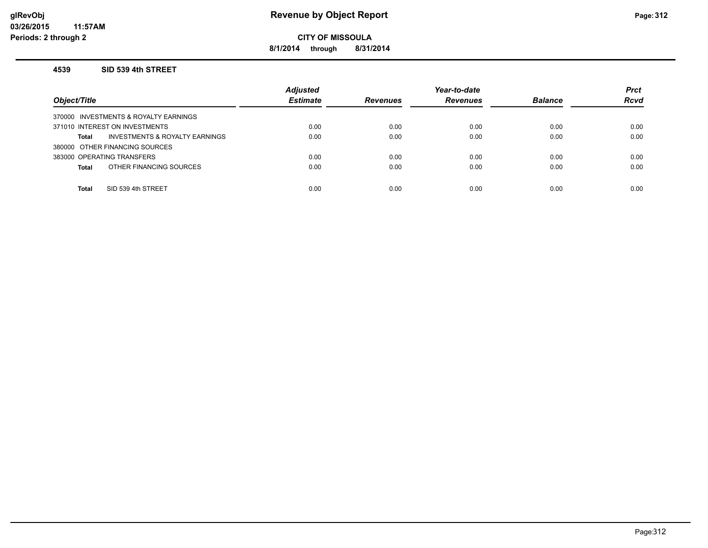## **glRevObj Revenue by Object Report Page:312**

**CITY OF MISSOULA**

**8/1/2014 through 8/31/2014**

#### **4539 SID 539 4th STREET**

| Object/Title                            | <b>Adjusted</b><br><b>Estimate</b> | <b>Revenues</b> | Year-to-date<br><b>Revenues</b> | <b>Balance</b> | <b>Prct</b><br><b>Rcvd</b> |
|-----------------------------------------|------------------------------------|-----------------|---------------------------------|----------------|----------------------------|
| 370000 INVESTMENTS & ROYALTY EARNINGS   |                                    |                 |                                 |                |                            |
| 371010 INTEREST ON INVESTMENTS          | 0.00                               | 0.00            | 0.00                            | 0.00           | 0.00                       |
| INVESTMENTS & ROYALTY EARNINGS<br>Total | 0.00                               | 0.00            | 0.00                            | 0.00           | 0.00                       |
| 380000 OTHER FINANCING SOURCES          |                                    |                 |                                 |                |                            |
| 383000 OPERATING TRANSFERS              | 0.00                               | 0.00            | 0.00                            | 0.00           | 0.00                       |
| OTHER FINANCING SOURCES<br><b>Total</b> | 0.00                               | 0.00            | 0.00                            | 0.00           | 0.00                       |
|                                         |                                    |                 |                                 |                |                            |
| SID 539 4th STREET<br><b>Total</b>      | 0.00                               | 0.00            | 0.00                            | 0.00           | 0.00                       |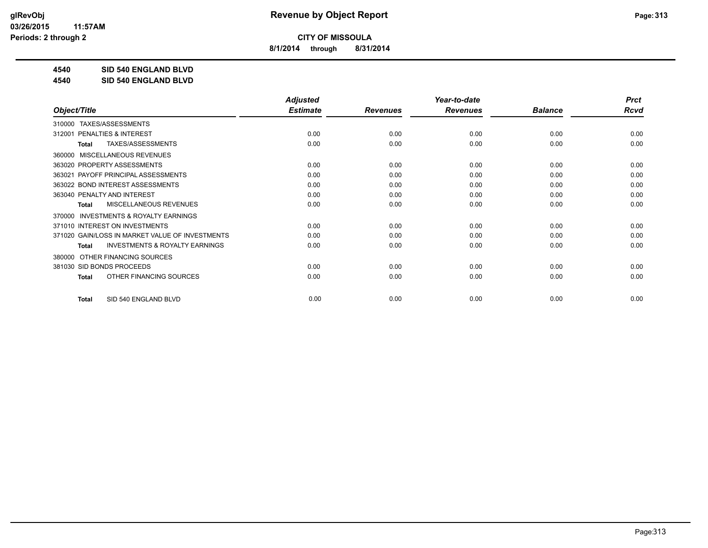**8/1/2014 through 8/31/2014**

**4540 SID 540 ENGLAND BLVD**

**4540 SID 540 ENGLAND BLVD**

| <b>Adjusted</b> |                 | Year-to-date    |                | <b>Prct</b> |
|-----------------|-----------------|-----------------|----------------|-------------|
| <b>Estimate</b> | <b>Revenues</b> | <b>Revenues</b> | <b>Balance</b> | <b>Rcvd</b> |
|                 |                 |                 |                |             |
| 0.00            | 0.00            | 0.00            | 0.00           | 0.00        |
| 0.00            | 0.00            | 0.00            | 0.00           | 0.00        |
|                 |                 |                 |                |             |
| 0.00            | 0.00            | 0.00            | 0.00           | 0.00        |
| 0.00            | 0.00            | 0.00            | 0.00           | 0.00        |
| 0.00            | 0.00            | 0.00            | 0.00           | 0.00        |
| 0.00            | 0.00            | 0.00            | 0.00           | 0.00        |
| 0.00            | 0.00            | 0.00            | 0.00           | 0.00        |
|                 |                 |                 |                |             |
| 0.00            | 0.00            | 0.00            | 0.00           | 0.00        |
| 0.00            | 0.00            | 0.00            | 0.00           | 0.00        |
| 0.00            | 0.00            | 0.00            | 0.00           | 0.00        |
|                 |                 |                 |                |             |
| 0.00            | 0.00            | 0.00            | 0.00           | 0.00        |
| 0.00            | 0.00            | 0.00            | 0.00           | 0.00        |
| 0.00            | 0.00            | 0.00            | 0.00           | 0.00        |
|                 |                 |                 |                |             |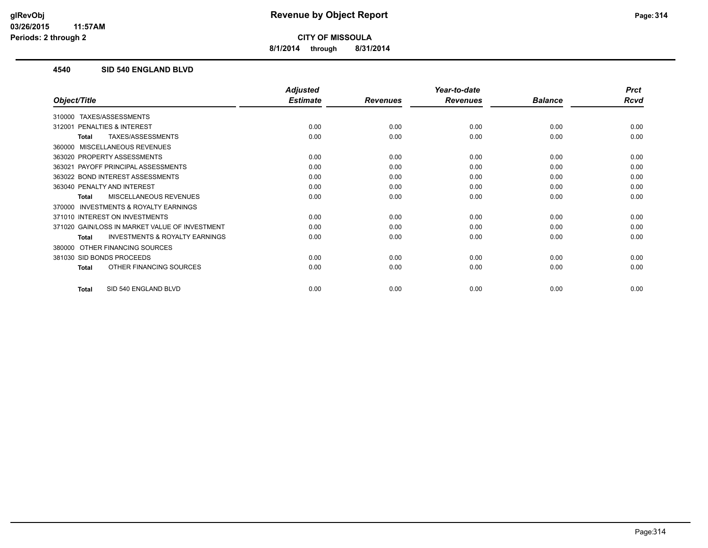**8/1/2014 through 8/31/2014**

## **4540 SID 540 ENGLAND BLVD**

|                                                    | <b>Adjusted</b> |                 | Year-to-date    |                | <b>Prct</b> |
|----------------------------------------------------|-----------------|-----------------|-----------------|----------------|-------------|
| Object/Title                                       | <b>Estimate</b> | <b>Revenues</b> | <b>Revenues</b> | <b>Balance</b> | <b>Rcvd</b> |
| TAXES/ASSESSMENTS<br>310000                        |                 |                 |                 |                |             |
| <b>PENALTIES &amp; INTEREST</b><br>312001          | 0.00            | 0.00            | 0.00            | 0.00           | 0.00        |
| TAXES/ASSESSMENTS<br>Total                         | 0.00            | 0.00            | 0.00            | 0.00           | 0.00        |
| MISCELLANEOUS REVENUES<br>360000                   |                 |                 |                 |                |             |
| 363020 PROPERTY ASSESSMENTS                        | 0.00            | 0.00            | 0.00            | 0.00           | 0.00        |
| PAYOFF PRINCIPAL ASSESSMENTS<br>363021             | 0.00            | 0.00            | 0.00            | 0.00           | 0.00        |
| 363022 BOND INTEREST ASSESSMENTS                   | 0.00            | 0.00            | 0.00            | 0.00           | 0.00        |
| 363040 PENALTY AND INTEREST                        | 0.00            | 0.00            | 0.00            | 0.00           | 0.00        |
| MISCELLANEOUS REVENUES<br>Total                    | 0.00            | 0.00            | 0.00            | 0.00           | 0.00        |
| INVESTMENTS & ROYALTY EARNINGS<br>370000           |                 |                 |                 |                |             |
| 371010 INTEREST ON INVESTMENTS                     | 0.00            | 0.00            | 0.00            | 0.00           | 0.00        |
| 371020 GAIN/LOSS IN MARKET VALUE OF INVESTMENT     | 0.00            | 0.00            | 0.00            | 0.00           | 0.00        |
| <b>INVESTMENTS &amp; ROYALTY EARNINGS</b><br>Total | 0.00            | 0.00            | 0.00            | 0.00           | 0.00        |
| OTHER FINANCING SOURCES<br>380000                  |                 |                 |                 |                |             |
| 381030 SID BONDS PROCEEDS                          | 0.00            | 0.00            | 0.00            | 0.00           | 0.00        |
| OTHER FINANCING SOURCES<br><b>Total</b>            | 0.00            | 0.00            | 0.00            | 0.00           | 0.00        |
| SID 540 ENGLAND BLVD<br><b>Total</b>               | 0.00            | 0.00            | 0.00            | 0.00           | 0.00        |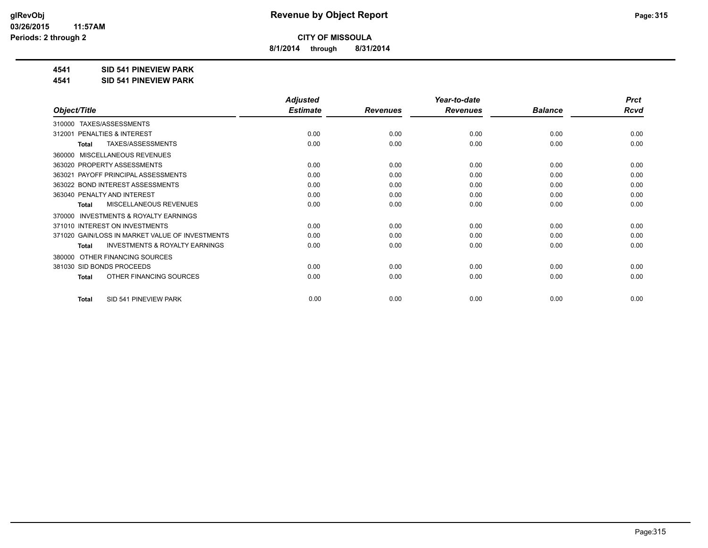**8/1/2014 through 8/31/2014**

### **4541 SID 541 PINEVIEW PARK**

**4541 SID 541 PINEVIEW PARK**

|                                                           | <b>Adjusted</b> |                 | Year-to-date    |                | <b>Prct</b> |
|-----------------------------------------------------------|-----------------|-----------------|-----------------|----------------|-------------|
| Object/Title                                              | <b>Estimate</b> | <b>Revenues</b> | <b>Revenues</b> | <b>Balance</b> | <b>Rcvd</b> |
| TAXES/ASSESSMENTS<br>310000                               |                 |                 |                 |                |             |
| PENALTIES & INTEREST<br>312001                            | 0.00            | 0.00            | 0.00            | 0.00           | 0.00        |
| TAXES/ASSESSMENTS<br><b>Total</b>                         | 0.00            | 0.00            | 0.00            | 0.00           | 0.00        |
| MISCELLANEOUS REVENUES<br>360000                          |                 |                 |                 |                |             |
| 363020 PROPERTY ASSESSMENTS                               | 0.00            | 0.00            | 0.00            | 0.00           | 0.00        |
| PAYOFF PRINCIPAL ASSESSMENTS<br>363021                    | 0.00            | 0.00            | 0.00            | 0.00           | 0.00        |
| 363022 BOND INTEREST ASSESSMENTS                          | 0.00            | 0.00            | 0.00            | 0.00           | 0.00        |
| 363040 PENALTY AND INTEREST                               | 0.00            | 0.00            | 0.00            | 0.00           | 0.00        |
| <b>MISCELLANEOUS REVENUES</b><br>Total                    | 0.00            | 0.00            | 0.00            | 0.00           | 0.00        |
| <b>INVESTMENTS &amp; ROYALTY EARNINGS</b><br>370000       |                 |                 |                 |                |             |
| 371010 INTEREST ON INVESTMENTS                            | 0.00            | 0.00            | 0.00            | 0.00           | 0.00        |
| 371020 GAIN/LOSS IN MARKET VALUE OF INVESTMENTS           | 0.00            | 0.00            | 0.00            | 0.00           | 0.00        |
| <b>INVESTMENTS &amp; ROYALTY EARNINGS</b><br><b>Total</b> | 0.00            | 0.00            | 0.00            | 0.00           | 0.00        |
| OTHER FINANCING SOURCES<br>380000                         |                 |                 |                 |                |             |
| 381030 SID BONDS PROCEEDS                                 | 0.00            | 0.00            | 0.00            | 0.00           | 0.00        |
| OTHER FINANCING SOURCES<br><b>Total</b>                   | 0.00            | 0.00            | 0.00            | 0.00           | 0.00        |
|                                                           |                 |                 |                 |                |             |
| SID 541 PINEVIEW PARK<br><b>Total</b>                     | 0.00            | 0.00            | 0.00            | 0.00           | 0.00        |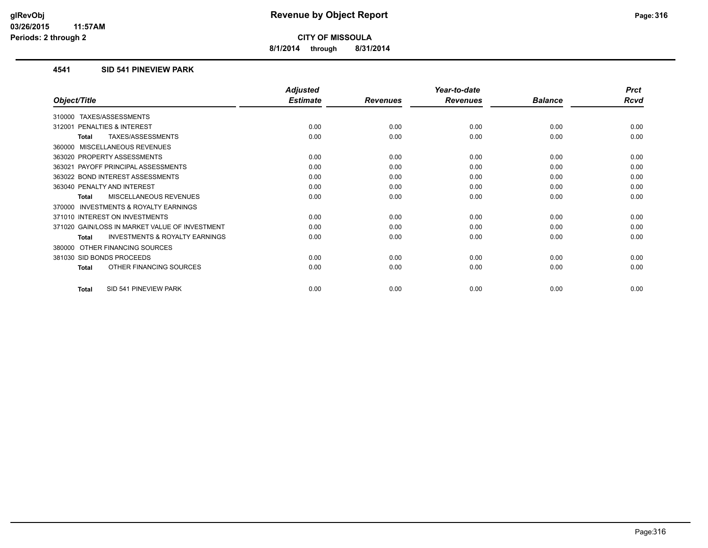**8/1/2014 through 8/31/2014**

### **4541 SID 541 PINEVIEW PARK**

|                                                    | <b>Adjusted</b> |                 | Year-to-date    |                | <b>Prct</b> |
|----------------------------------------------------|-----------------|-----------------|-----------------|----------------|-------------|
| Object/Title                                       | <b>Estimate</b> | <b>Revenues</b> | <b>Revenues</b> | <b>Balance</b> | <b>Rcvd</b> |
| TAXES/ASSESSMENTS<br>310000                        |                 |                 |                 |                |             |
| <b>PENALTIES &amp; INTEREST</b><br>312001          | 0.00            | 0.00            | 0.00            | 0.00           | 0.00        |
| TAXES/ASSESSMENTS<br>Total                         | 0.00            | 0.00            | 0.00            | 0.00           | 0.00        |
| MISCELLANEOUS REVENUES<br>360000                   |                 |                 |                 |                |             |
| 363020 PROPERTY ASSESSMENTS                        | 0.00            | 0.00            | 0.00            | 0.00           | 0.00        |
| PAYOFF PRINCIPAL ASSESSMENTS<br>363021             | 0.00            | 0.00            | 0.00            | 0.00           | 0.00        |
| 363022 BOND INTEREST ASSESSMENTS                   | 0.00            | 0.00            | 0.00            | 0.00           | 0.00        |
| 363040 PENALTY AND INTEREST                        | 0.00            | 0.00            | 0.00            | 0.00           | 0.00        |
| MISCELLANEOUS REVENUES<br>Total                    | 0.00            | 0.00            | 0.00            | 0.00           | 0.00        |
| INVESTMENTS & ROYALTY EARNINGS<br>370000           |                 |                 |                 |                |             |
| 371010 INTEREST ON INVESTMENTS                     | 0.00            | 0.00            | 0.00            | 0.00           | 0.00        |
| 371020 GAIN/LOSS IN MARKET VALUE OF INVESTMENT     | 0.00            | 0.00            | 0.00            | 0.00           | 0.00        |
| <b>INVESTMENTS &amp; ROYALTY EARNINGS</b><br>Total | 0.00            | 0.00            | 0.00            | 0.00           | 0.00        |
| OTHER FINANCING SOURCES<br>380000                  |                 |                 |                 |                |             |
| 381030 SID BONDS PROCEEDS                          | 0.00            | 0.00            | 0.00            | 0.00           | 0.00        |
| OTHER FINANCING SOURCES<br><b>Total</b>            | 0.00            | 0.00            | 0.00            | 0.00           | 0.00        |
| SID 541 PINEVIEW PARK<br><b>Total</b>              | 0.00            | 0.00            | 0.00            | 0.00           | 0.00        |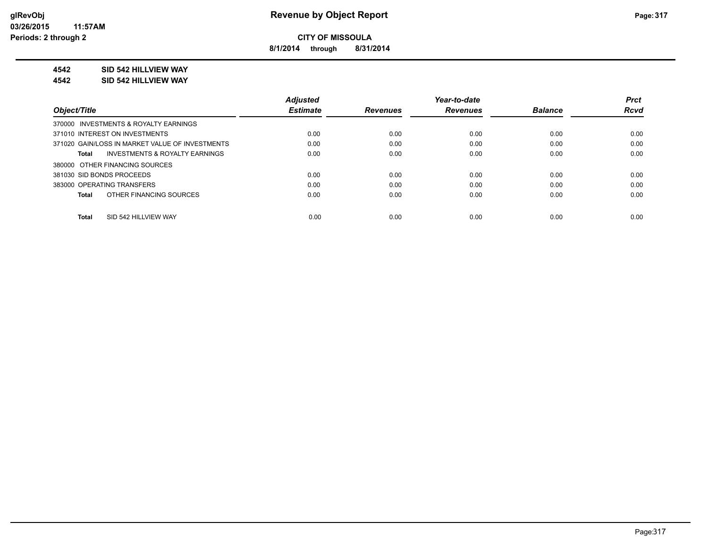**8/1/2014 through 8/31/2014**

## **4542 SID 542 HILLVIEW WAY**

#### **4542 SID 542 HILLVIEW WAY**

|                                                    | <b>Adjusted</b> |                 | Year-to-date    |                | <b>Prct</b> |
|----------------------------------------------------|-----------------|-----------------|-----------------|----------------|-------------|
| Object/Title                                       | <b>Estimate</b> | <b>Revenues</b> | <b>Revenues</b> | <b>Balance</b> | <b>Rcvd</b> |
| 370000 INVESTMENTS & ROYALTY EARNINGS              |                 |                 |                 |                |             |
| 371010 INTEREST ON INVESTMENTS                     | 0.00            | 0.00            | 0.00            | 0.00           | 0.00        |
| 371020 GAIN/LOSS IN MARKET VALUE OF INVESTMENTS    | 0.00            | 0.00            | 0.00            | 0.00           | 0.00        |
| <b>INVESTMENTS &amp; ROYALTY EARNINGS</b><br>Total | 0.00            | 0.00            | 0.00            | 0.00           | 0.00        |
| 380000 OTHER FINANCING SOURCES                     |                 |                 |                 |                |             |
| 381030 SID BONDS PROCEEDS                          | 0.00            | 0.00            | 0.00            | 0.00           | 0.00        |
| 383000 OPERATING TRANSFERS                         | 0.00            | 0.00            | 0.00            | 0.00           | 0.00        |
| OTHER FINANCING SOURCES<br>Total                   | 0.00            | 0.00            | 0.00            | 0.00           | 0.00        |
|                                                    |                 |                 |                 |                |             |
| SID 542 HILLVIEW WAY<br><b>Total</b>               | 0.00            | 0.00            | 0.00            | 0.00           | 0.00        |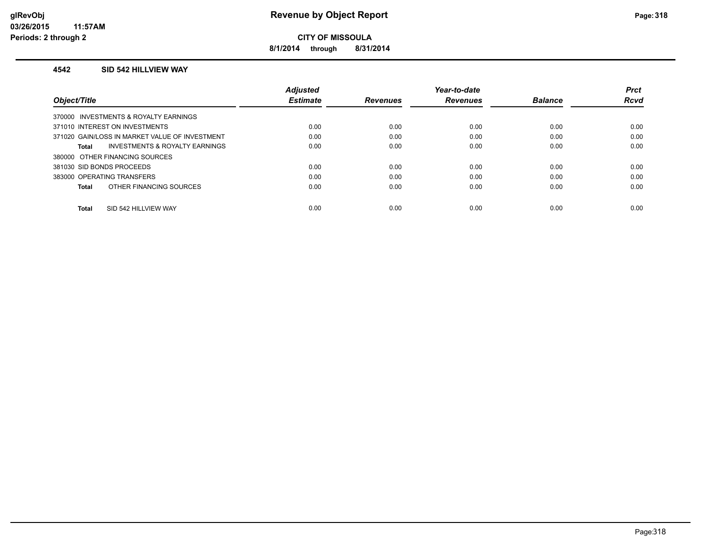**8/1/2014 through 8/31/2014**

#### **4542 SID 542 HILLVIEW WAY**

|                                                    | <b>Adjusted</b> |                 | Year-to-date    |                | <b>Prct</b> |
|----------------------------------------------------|-----------------|-----------------|-----------------|----------------|-------------|
| Object/Title                                       | <b>Estimate</b> | <b>Revenues</b> | <b>Revenues</b> | <b>Balance</b> | <b>Rcvd</b> |
| 370000 INVESTMENTS & ROYALTY EARNINGS              |                 |                 |                 |                |             |
| 371010 INTEREST ON INVESTMENTS                     | 0.00            | 0.00            | 0.00            | 0.00           | 0.00        |
| 371020 GAIN/LOSS IN MARKET VALUE OF INVESTMENT     | 0.00            | 0.00            | 0.00            | 0.00           | 0.00        |
| <b>INVESTMENTS &amp; ROYALTY EARNINGS</b><br>Total | 0.00            | 0.00            | 0.00            | 0.00           | 0.00        |
| 380000 OTHER FINANCING SOURCES                     |                 |                 |                 |                |             |
| 381030 SID BONDS PROCEEDS                          | 0.00            | 0.00            | 0.00            | 0.00           | 0.00        |
| 383000 OPERATING TRANSFERS                         | 0.00            | 0.00            | 0.00            | 0.00           | 0.00        |
| OTHER FINANCING SOURCES<br>Total                   | 0.00            | 0.00            | 0.00            | 0.00           | 0.00        |
|                                                    |                 |                 |                 |                |             |
| SID 542 HILLVIEW WAY<br><b>Total</b>               | 0.00            | 0.00            | 0.00            | 0.00           | 0.00        |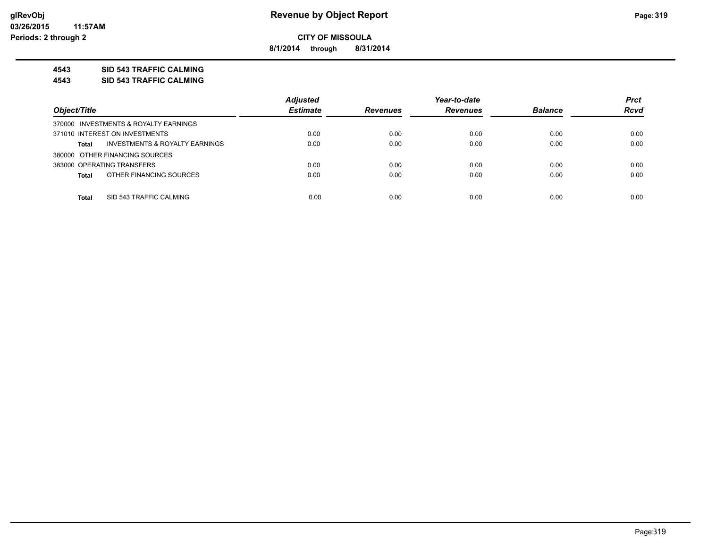**8/1/2014 through 8/31/2014**

## **4543 SID 543 TRAFFIC CALMING**

**4543 SID 543 TRAFFIC CALMING**

|                                                | <b>Adjusted</b> |                 | Year-to-date    |                | <b>Prct</b> |
|------------------------------------------------|-----------------|-----------------|-----------------|----------------|-------------|
| Object/Title                                   | <b>Estimate</b> | <b>Revenues</b> | <b>Revenues</b> | <b>Balance</b> | <b>Rcvd</b> |
| 370000 INVESTMENTS & ROYALTY EARNINGS          |                 |                 |                 |                |             |
| 371010 INTEREST ON INVESTMENTS                 | 0.00            | 0.00            | 0.00            | 0.00           | 0.00        |
| INVESTMENTS & ROYALTY EARNINGS<br><b>Total</b> | 0.00            | 0.00            | 0.00            | 0.00           | 0.00        |
| 380000 OTHER FINANCING SOURCES                 |                 |                 |                 |                |             |
| 383000 OPERATING TRANSFERS                     | 0.00            | 0.00            | 0.00            | 0.00           | 0.00        |
| OTHER FINANCING SOURCES<br><b>Total</b>        | 0.00            | 0.00            | 0.00            | 0.00           | 0.00        |
|                                                |                 |                 |                 |                |             |
| SID 543 TRAFFIC CALMING<br><b>Total</b>        | 0.00            | 0.00            | 0.00            | 0.00           | 0.00        |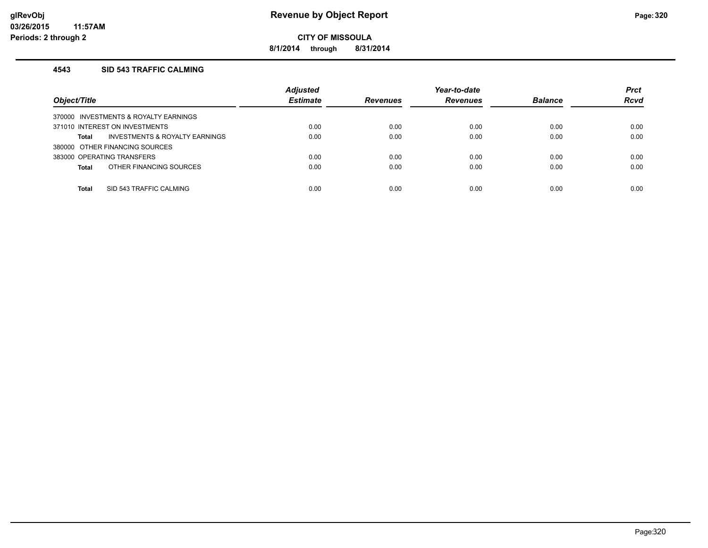**8/1/2014 through 8/31/2014**

### **4543 SID 543 TRAFFIC CALMING**

| Object/Title                            | <b>Adjusted</b><br><b>Estimate</b> | <b>Revenues</b> | Year-to-date<br><b>Revenues</b> | <b>Balance</b> | <b>Prct</b><br><b>Rcvd</b> |
|-----------------------------------------|------------------------------------|-----------------|---------------------------------|----------------|----------------------------|
| 370000 INVESTMENTS & ROYALTY EARNINGS   |                                    |                 |                                 |                |                            |
| 371010 INTEREST ON INVESTMENTS          | 0.00                               | 0.00            | 0.00                            | 0.00           | 0.00                       |
| INVESTMENTS & ROYALTY EARNINGS<br>Total | 0.00                               | 0.00            | 0.00                            | 0.00           | 0.00                       |
| 380000 OTHER FINANCING SOURCES          |                                    |                 |                                 |                |                            |
| 383000 OPERATING TRANSFERS              | 0.00                               | 0.00            | 0.00                            | 0.00           | 0.00                       |
| OTHER FINANCING SOURCES<br><b>Total</b> | 0.00                               | 0.00            | 0.00                            | 0.00           | 0.00                       |
|                                         |                                    |                 |                                 |                |                            |
| SID 543 TRAFFIC CALMING<br>Total        | 0.00                               | 0.00            | 0.00                            | 0.00           | 0.00                       |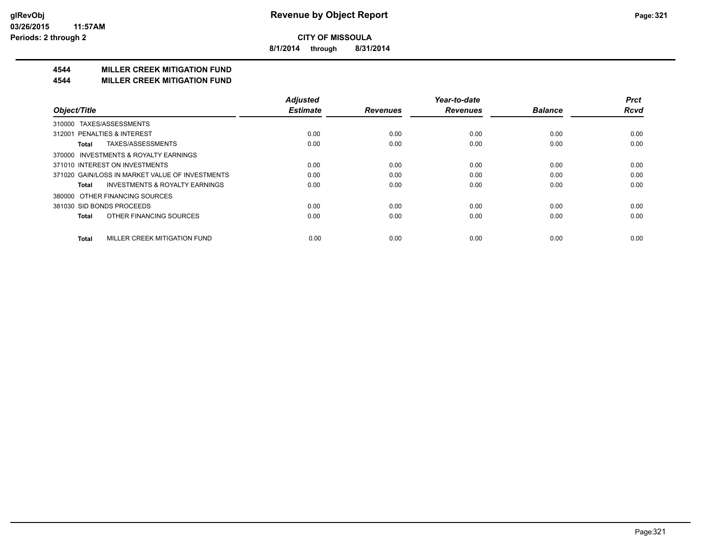**8/1/2014 through 8/31/2014**

## **4544 MILLER CREEK MITIGATION FUND**

#### **4544 MILLER CREEK MITIGATION FUND**

|                                                    | <b>Adjusted</b> |                 | Year-to-date    |                | <b>Prct</b> |
|----------------------------------------------------|-----------------|-----------------|-----------------|----------------|-------------|
| Object/Title                                       | <b>Estimate</b> | <b>Revenues</b> | <b>Revenues</b> | <b>Balance</b> | <b>Rcvd</b> |
| TAXES/ASSESSMENTS<br>310000                        |                 |                 |                 |                |             |
| 312001 PENALTIES & INTEREST                        | 0.00            | 0.00            | 0.00            | 0.00           | 0.00        |
| TAXES/ASSESSMENTS<br>Total                         | 0.00            | 0.00            | 0.00            | 0.00           | 0.00        |
| 370000 INVESTMENTS & ROYALTY EARNINGS              |                 |                 |                 |                |             |
| 371010 INTEREST ON INVESTMENTS                     | 0.00            | 0.00            | 0.00            | 0.00           | 0.00        |
| 371020 GAIN/LOSS IN MARKET VALUE OF INVESTMENTS    | 0.00            | 0.00            | 0.00            | 0.00           | 0.00        |
| <b>INVESTMENTS &amp; ROYALTY EARNINGS</b><br>Total | 0.00            | 0.00            | 0.00            | 0.00           | 0.00        |
| OTHER FINANCING SOURCES<br>380000                  |                 |                 |                 |                |             |
| 381030 SID BONDS PROCEEDS                          | 0.00            | 0.00            | 0.00            | 0.00           | 0.00        |
| OTHER FINANCING SOURCES<br><b>Total</b>            | 0.00            | 0.00            | 0.00            | 0.00           | 0.00        |
| MILLER CREEK MITIGATION FUND<br><b>Total</b>       | 0.00            | 0.00            | 0.00            | 0.00           | 0.00        |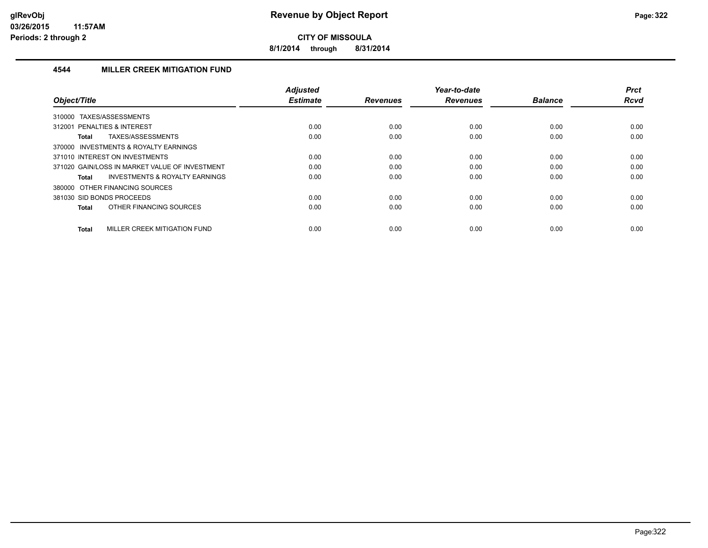**8/1/2014 through 8/31/2014**

## **4544 MILLER CREEK MITIGATION FUND**

| Object/Title                                       | Adjusted<br><b>Estimate</b> | <b>Revenues</b> | Year-to-date<br><b>Revenues</b> | <b>Balance</b> | <b>Prct</b><br><b>Rcvd</b> |
|----------------------------------------------------|-----------------------------|-----------------|---------------------------------|----------------|----------------------------|
| TAXES/ASSESSMENTS<br>310000                        |                             |                 |                                 |                |                            |
| 312001 PENALTIES & INTEREST                        | 0.00                        | 0.00            | 0.00                            | 0.00           | 0.00                       |
| TAXES/ASSESSMENTS<br>Total                         | 0.00                        | 0.00            | 0.00                            | 0.00           | 0.00                       |
| 370000 INVESTMENTS & ROYALTY EARNINGS              |                             |                 |                                 |                |                            |
| 371010 INTEREST ON INVESTMENTS                     | 0.00                        | 0.00            | 0.00                            | 0.00           | 0.00                       |
| 371020 GAIN/LOSS IN MARKET VALUE OF INVESTMENT     | 0.00                        | 0.00            | 0.00                            | 0.00           | 0.00                       |
| <b>INVESTMENTS &amp; ROYALTY EARNINGS</b><br>Total | 0.00                        | 0.00            | 0.00                            | 0.00           | 0.00                       |
| 380000 OTHER FINANCING SOURCES                     |                             |                 |                                 |                |                            |
| 381030 SID BONDS PROCEEDS                          | 0.00                        | 0.00            | 0.00                            | 0.00           | 0.00                       |
| OTHER FINANCING SOURCES<br>Total                   | 0.00                        | 0.00            | 0.00                            | 0.00           | 0.00                       |
| MILLER CREEK MITIGATION FUND<br><b>Total</b>       | 0.00                        | 0.00            | 0.00                            | 0.00           | 0.00                       |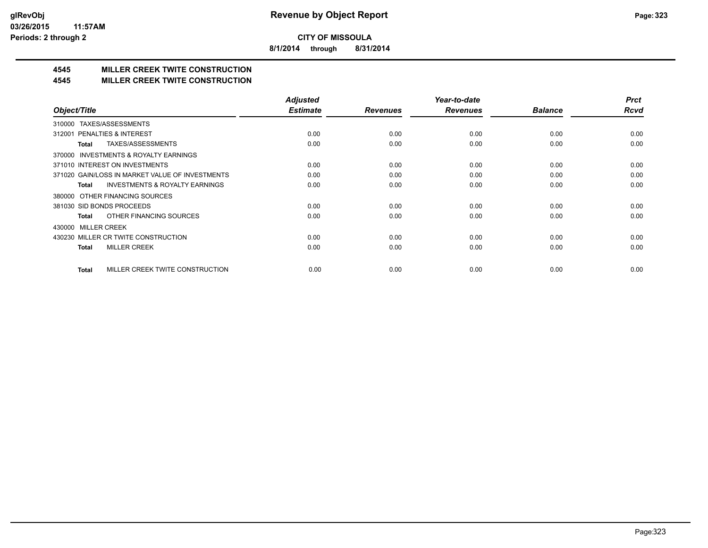**8/1/2014 through 8/31/2014**

# **4545 MILLER CREEK TWITE CONSTRUCTION**

### **4545 MILLER CREEK TWITE CONSTRUCTION**

|                                                     | <b>Adjusted</b> |                 | Year-to-date    |                | <b>Prct</b> |
|-----------------------------------------------------|-----------------|-----------------|-----------------|----------------|-------------|
| Object/Title                                        | <b>Estimate</b> | <b>Revenues</b> | <b>Revenues</b> | <b>Balance</b> | <b>Rcvd</b> |
| TAXES/ASSESSMENTS<br>310000                         |                 |                 |                 |                |             |
| 312001 PENALTIES & INTEREST                         | 0.00            | 0.00            | 0.00            | 0.00           | 0.00        |
| TAXES/ASSESSMENTS<br>Total                          | 0.00            | 0.00            | 0.00            | 0.00           | 0.00        |
| <b>INVESTMENTS &amp; ROYALTY EARNINGS</b><br>370000 |                 |                 |                 |                |             |
| 371010 INTEREST ON INVESTMENTS                      | 0.00            | 0.00            | 0.00            | 0.00           | 0.00        |
| 371020 GAIN/LOSS IN MARKET VALUE OF INVESTMENTS     | 0.00            | 0.00            | 0.00            | 0.00           | 0.00        |
| <b>INVESTMENTS &amp; ROYALTY EARNINGS</b><br>Total  | 0.00            | 0.00            | 0.00            | 0.00           | 0.00        |
| 380000 OTHER FINANCING SOURCES                      |                 |                 |                 |                |             |
| 381030 SID BONDS PROCEEDS                           | 0.00            | 0.00            | 0.00            | 0.00           | 0.00        |
| OTHER FINANCING SOURCES<br>Total                    | 0.00            | 0.00            | 0.00            | 0.00           | 0.00        |
| 430000 MILLER CREEK                                 |                 |                 |                 |                |             |
| 430230 MILLER CR TWITE CONSTRUCTION                 | 0.00            | 0.00            | 0.00            | 0.00           | 0.00        |
| <b>MILLER CREEK</b><br><b>Total</b>                 | 0.00            | 0.00            | 0.00            | 0.00           | 0.00        |
|                                                     |                 |                 |                 |                |             |
| MILLER CREEK TWITE CONSTRUCTION<br>Total            | 0.00            | 0.00            | 0.00            | 0.00           | 0.00        |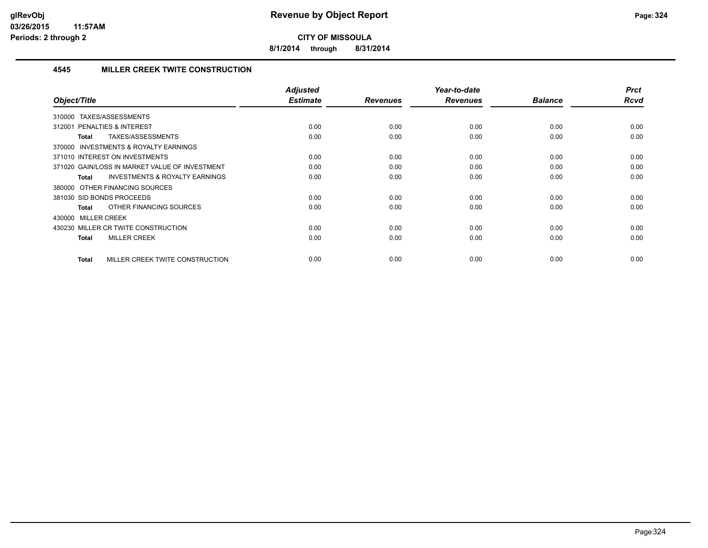**8/1/2014 through 8/31/2014**

## **4545 MILLER CREEK TWITE CONSTRUCTION**

| Object/Title                                              | <b>Adjusted</b><br><b>Estimate</b> | <b>Revenues</b> | Year-to-date<br><b>Revenues</b> | <b>Balance</b> | <b>Prct</b><br><b>Rcvd</b> |
|-----------------------------------------------------------|------------------------------------|-----------------|---------------------------------|----------------|----------------------------|
| TAXES/ASSESSMENTS<br>310000                               |                                    |                 |                                 |                |                            |
| 312001 PENALTIES & INTEREST                               | 0.00                               | 0.00            | 0.00                            | 0.00           | 0.00                       |
| TAXES/ASSESSMENTS<br><b>Total</b>                         | 0.00                               | 0.00            | 0.00                            | 0.00           | 0.00                       |
| 370000 INVESTMENTS & ROYALTY EARNINGS                     |                                    |                 |                                 |                |                            |
| 371010 INTEREST ON INVESTMENTS                            | 0.00                               | 0.00            | 0.00                            | 0.00           | 0.00                       |
| 371020 GAIN/LOSS IN MARKET VALUE OF INVESTMENT            | 0.00                               | 0.00            | 0.00                            | 0.00           | 0.00                       |
| <b>INVESTMENTS &amp; ROYALTY EARNINGS</b><br><b>Total</b> | 0.00                               | 0.00            | 0.00                            | 0.00           | 0.00                       |
| 380000 OTHER FINANCING SOURCES                            |                                    |                 |                                 |                |                            |
| 381030 SID BONDS PROCEEDS                                 | 0.00                               | 0.00            | 0.00                            | 0.00           | 0.00                       |
| OTHER FINANCING SOURCES<br><b>Total</b>                   | 0.00                               | 0.00            | 0.00                            | 0.00           | 0.00                       |
| 430000 MILLER CREEK                                       |                                    |                 |                                 |                |                            |
| 430230 MILLER CR TWITE CONSTRUCTION                       | 0.00                               | 0.00            | 0.00                            | 0.00           | 0.00                       |
| <b>MILLER CREEK</b><br><b>Total</b>                       | 0.00                               | 0.00            | 0.00                            | 0.00           | 0.00                       |
| MILLER CREEK TWITE CONSTRUCTION<br><b>Total</b>           | 0.00                               | 0.00            | 0.00                            | 0.00           | 0.00                       |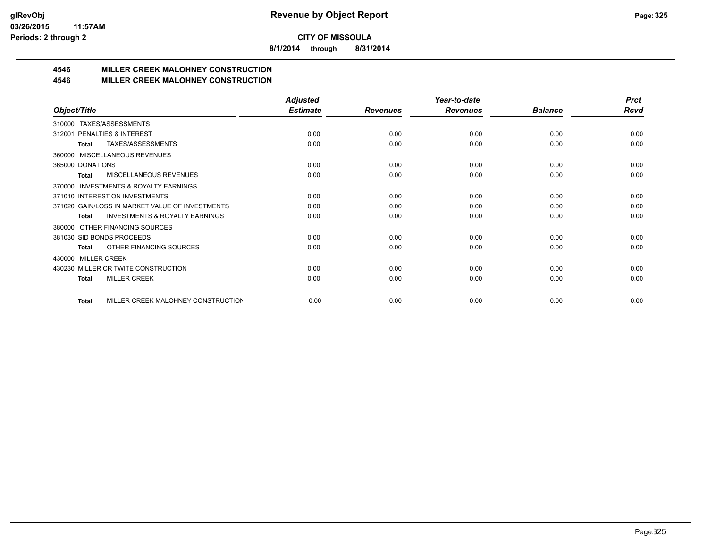**8/1/2014 through 8/31/2014**

# **4546 MILLER CREEK MALOHNEY CONSTRUCTION**

#### **4546 MILLER CREEK MALOHNEY CONSTRUCTION**

|                                                           | <b>Adjusted</b> |                 | Year-to-date    |                | <b>Prct</b> |
|-----------------------------------------------------------|-----------------|-----------------|-----------------|----------------|-------------|
| Object/Title                                              | <b>Estimate</b> | <b>Revenues</b> | <b>Revenues</b> | <b>Balance</b> | <b>Rcvd</b> |
| TAXES/ASSESSMENTS<br>310000                               |                 |                 |                 |                |             |
| PENALTIES & INTEREST<br>312001                            | 0.00            | 0.00            | 0.00            | 0.00           | 0.00        |
| TAXES/ASSESSMENTS<br><b>Total</b>                         | 0.00            | 0.00            | 0.00            | 0.00           | 0.00        |
| MISCELLANEOUS REVENUES<br>360000                          |                 |                 |                 |                |             |
| 365000 DONATIONS                                          | 0.00            | 0.00            | 0.00            | 0.00           | 0.00        |
| MISCELLANEOUS REVENUES<br><b>Total</b>                    | 0.00            | 0.00            | 0.00            | 0.00           | 0.00        |
| <b>INVESTMENTS &amp; ROYALTY EARNINGS</b><br>370000       |                 |                 |                 |                |             |
| 371010 INTEREST ON INVESTMENTS                            | 0.00            | 0.00            | 0.00            | 0.00           | 0.00        |
| 371020 GAIN/LOSS IN MARKET VALUE OF INVESTMENTS           | 0.00            | 0.00            | 0.00            | 0.00           | 0.00        |
| <b>INVESTMENTS &amp; ROYALTY EARNINGS</b><br><b>Total</b> | 0.00            | 0.00            | 0.00            | 0.00           | 0.00        |
| OTHER FINANCING SOURCES<br>380000                         |                 |                 |                 |                |             |
| 381030 SID BONDS PROCEEDS                                 | 0.00            | 0.00            | 0.00            | 0.00           | 0.00        |
| OTHER FINANCING SOURCES<br><b>Total</b>                   | 0.00            | 0.00            | 0.00            | 0.00           | 0.00        |
| <b>MILLER CREEK</b><br>430000                             |                 |                 |                 |                |             |
| 430230 MILLER CR TWITE CONSTRUCTION                       | 0.00            | 0.00            | 0.00            | 0.00           | 0.00        |
| <b>MILLER CREEK</b><br><b>Total</b>                       | 0.00            | 0.00            | 0.00            | 0.00           | 0.00        |
|                                                           |                 |                 |                 |                |             |
| MILLER CREEK MALOHNEY CONSTRUCTION<br><b>Total</b>        | 0.00            | 0.00            | 0.00            | 0.00           | 0.00        |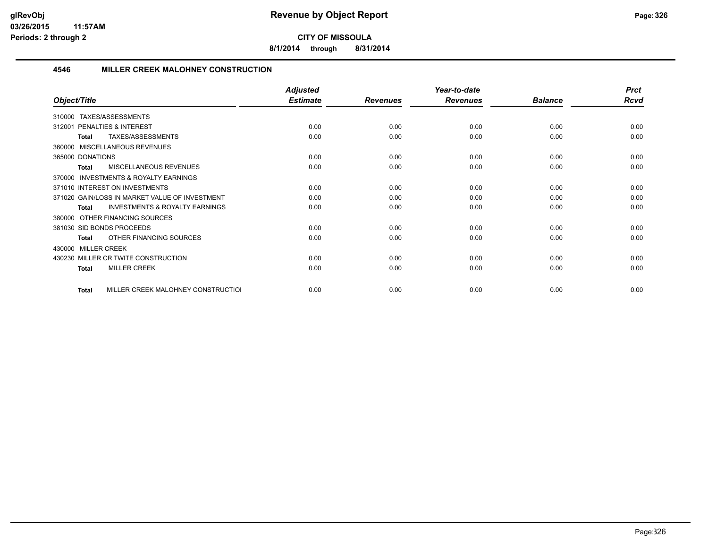**8/1/2014 through 8/31/2014**

#### **4546 MILLER CREEK MALOHNEY CONSTRUCTION**

|                                                    | <b>Adjusted</b> |                 | Year-to-date    |                | <b>Prct</b> |
|----------------------------------------------------|-----------------|-----------------|-----------------|----------------|-------------|
| Object/Title                                       | <b>Estimate</b> | <b>Revenues</b> | <b>Revenues</b> | <b>Balance</b> | <b>Rcvd</b> |
| TAXES/ASSESSMENTS<br>310000                        |                 |                 |                 |                |             |
| <b>PENALTIES &amp; INTEREST</b><br>312001          | 0.00            | 0.00            | 0.00            | 0.00           | 0.00        |
| TAXES/ASSESSMENTS<br><b>Total</b>                  | 0.00            | 0.00            | 0.00            | 0.00           | 0.00        |
| 360000 MISCELLANEOUS REVENUES                      |                 |                 |                 |                |             |
| 365000 DONATIONS                                   | 0.00            | 0.00            | 0.00            | 0.00           | 0.00        |
| <b>MISCELLANEOUS REVENUES</b><br>Total             | 0.00            | 0.00            | 0.00            | 0.00           | 0.00        |
| INVESTMENTS & ROYALTY EARNINGS<br>370000           |                 |                 |                 |                |             |
| 371010 INTEREST ON INVESTMENTS                     | 0.00            | 0.00            | 0.00            | 0.00           | 0.00        |
| 371020 GAIN/LOSS IN MARKET VALUE OF INVESTMENT     | 0.00            | 0.00            | 0.00            | 0.00           | 0.00        |
| <b>INVESTMENTS &amp; ROYALTY EARNINGS</b><br>Total | 0.00            | 0.00            | 0.00            | 0.00           | 0.00        |
| OTHER FINANCING SOURCES<br>380000                  |                 |                 |                 |                |             |
| 381030 SID BONDS PROCEEDS                          | 0.00            | 0.00            | 0.00            | 0.00           | 0.00        |
| OTHER FINANCING SOURCES<br><b>Total</b>            | 0.00            | 0.00            | 0.00            | 0.00           | 0.00        |
| 430000 MILLER CREEK                                |                 |                 |                 |                |             |
| 430230 MILLER CR TWITE CONSTRUCTION                | 0.00            | 0.00            | 0.00            | 0.00           | 0.00        |
| <b>MILLER CREEK</b><br><b>Total</b>                | 0.00            | 0.00            | 0.00            | 0.00           | 0.00        |
| MILLER CREEK MALOHNEY CONSTRUCTIOI<br>Total        | 0.00            | 0.00            | 0.00            | 0.00           | 0.00        |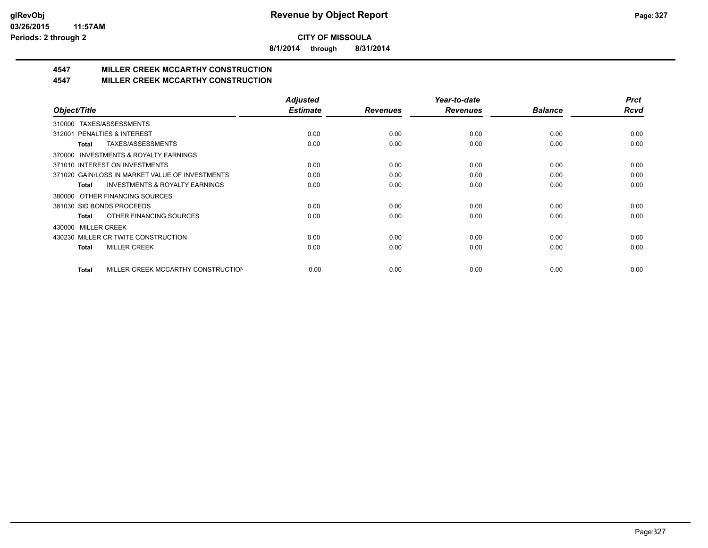**8/1/2014 through 8/31/2014**

# **4547 MILLER CREEK MCCARTHY CONSTRUCTION**

#### **4547 MILLER CREEK MCCARTHY CONSTRUCTION**

|                                                    | <b>Adjusted</b> |                 | Year-to-date    |                | <b>Prct</b> |
|----------------------------------------------------|-----------------|-----------------|-----------------|----------------|-------------|
| Object/Title                                       | <b>Estimate</b> | <b>Revenues</b> | <b>Revenues</b> | <b>Balance</b> | <b>Rcvd</b> |
| TAXES/ASSESSMENTS<br>310000                        |                 |                 |                 |                |             |
| <b>PENALTIES &amp; INTEREST</b><br>312001          | 0.00            | 0.00            | 0.00            | 0.00           | 0.00        |
| TAXES/ASSESSMENTS<br>Total                         | 0.00            | 0.00            | 0.00            | 0.00           | 0.00        |
| INVESTMENTS & ROYALTY EARNINGS<br>370000           |                 |                 |                 |                |             |
| 371010 INTEREST ON INVESTMENTS                     | 0.00            | 0.00            | 0.00            | 0.00           | 0.00        |
| 371020 GAIN/LOSS IN MARKET VALUE OF INVESTMENTS    | 0.00            | 0.00            | 0.00            | 0.00           | 0.00        |
| <b>INVESTMENTS &amp; ROYALTY EARNINGS</b><br>Total | 0.00            | 0.00            | 0.00            | 0.00           | 0.00        |
| OTHER FINANCING SOURCES<br>380000                  |                 |                 |                 |                |             |
| 381030 SID BONDS PROCEEDS                          | 0.00            | 0.00            | 0.00            | 0.00           | 0.00        |
| OTHER FINANCING SOURCES<br>Total                   | 0.00            | 0.00            | 0.00            | 0.00           | 0.00        |
| 430000 MILLER CREEK                                |                 |                 |                 |                |             |
| 430230 MILLER CR TWITE CONSTRUCTION                | 0.00            | 0.00            | 0.00            | 0.00           | 0.00        |
| <b>MILLER CREEK</b><br><b>Total</b>                | 0.00            | 0.00            | 0.00            | 0.00           | 0.00        |
|                                                    |                 |                 |                 |                |             |
| MILLER CREEK MCCARTHY CONSTRUCTION<br><b>Total</b> | 0.00            | 0.00            | 0.00            | 0.00           | 0.00        |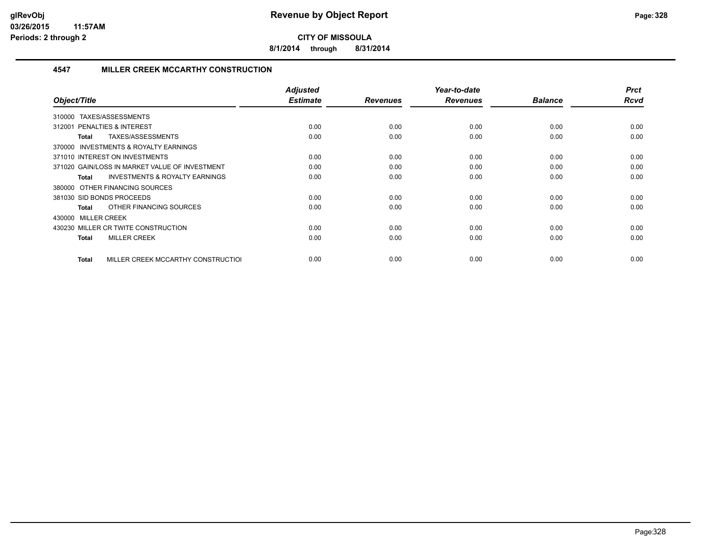**8/1/2014 through 8/31/2014**

#### **4547 MILLER CREEK MCCARTHY CONSTRUCTION**

| Object/Title                                              | <b>Adjusted</b><br><b>Estimate</b> | <b>Revenues</b> | Year-to-date<br><b>Revenues</b> | <b>Balance</b> | <b>Prct</b><br>Rcvd |
|-----------------------------------------------------------|------------------------------------|-----------------|---------------------------------|----------------|---------------------|
| TAXES/ASSESSMENTS<br>310000                               |                                    |                 |                                 |                |                     |
| <b>PENALTIES &amp; INTEREST</b><br>312001                 | 0.00                               | 0.00            | 0.00                            | 0.00           | 0.00                |
| TAXES/ASSESSMENTS<br>Total                                | 0.00                               | 0.00            | 0.00                            | 0.00           | 0.00                |
| <b>INVESTMENTS &amp; ROYALTY EARNINGS</b><br>370000       |                                    |                 |                                 |                |                     |
| 371010 INTEREST ON INVESTMENTS                            | 0.00                               | 0.00            | 0.00                            | 0.00           | 0.00                |
| 371020 GAIN/LOSS IN MARKET VALUE OF INVESTMENT            | 0.00                               | 0.00            | 0.00                            | 0.00           | 0.00                |
| <b>INVESTMENTS &amp; ROYALTY EARNINGS</b><br><b>Total</b> | 0.00                               | 0.00            | 0.00                            | 0.00           | 0.00                |
| 380000 OTHER FINANCING SOURCES                            |                                    |                 |                                 |                |                     |
| 381030 SID BONDS PROCEEDS                                 | 0.00                               | 0.00            | 0.00                            | 0.00           | 0.00                |
| OTHER FINANCING SOURCES<br>Total                          | 0.00                               | 0.00            | 0.00                            | 0.00           | 0.00                |
| 430000 MILLER CREEK                                       |                                    |                 |                                 |                |                     |
| 430230 MILLER CR TWITE CONSTRUCTION                       | 0.00                               | 0.00            | 0.00                            | 0.00           | 0.00                |
| <b>MILLER CREEK</b><br><b>Total</b>                       | 0.00                               | 0.00            | 0.00                            | 0.00           | 0.00                |
| MILLER CREEK MCCARTHY CONSTRUCTIOL<br>Total               | 0.00                               | 0.00            | 0.00                            | 0.00           | 0.00                |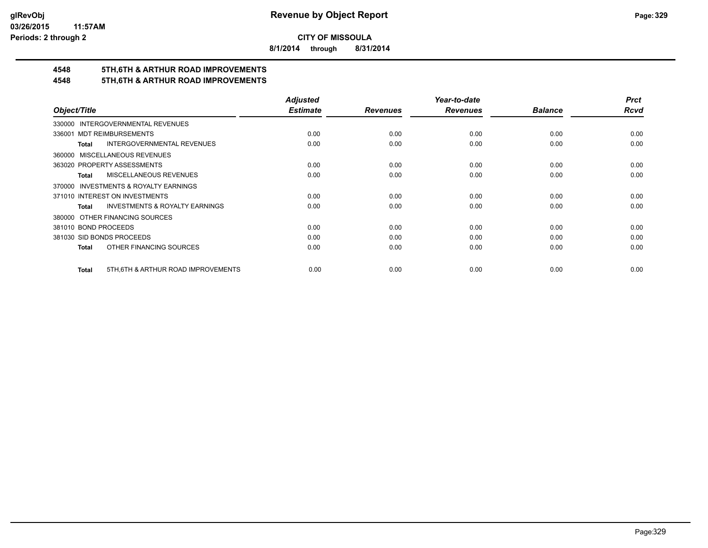**8/1/2014 through 8/31/2014**

# **4548 5TH,6TH & ARTHUR ROAD IMPROVEMENTS**

## **4548 5TH,6TH & ARTHUR ROAD IMPROVEMENTS**

|                                                           | <b>Adjusted</b> |                 | Year-to-date    |                | <b>Prct</b> |
|-----------------------------------------------------------|-----------------|-----------------|-----------------|----------------|-------------|
| Object/Title                                              | <b>Estimate</b> | <b>Revenues</b> | <b>Revenues</b> | <b>Balance</b> | <b>Rcvd</b> |
| 330000 INTERGOVERNMENTAL REVENUES                         |                 |                 |                 |                |             |
| <b>MDT REIMBURSEMENTS</b><br>336001                       | 0.00            | 0.00            | 0.00            | 0.00           | 0.00        |
| <b>INTERGOVERNMENTAL REVENUES</b><br><b>Total</b>         | 0.00            | 0.00            | 0.00            | 0.00           | 0.00        |
| 360000 MISCELLANEOUS REVENUES                             |                 |                 |                 |                |             |
| 363020 PROPERTY ASSESSMENTS                               | 0.00            | 0.00            | 0.00            | 0.00           | 0.00        |
| MISCELLANEOUS REVENUES<br>Total                           | 0.00            | 0.00            | 0.00            | 0.00           | 0.00        |
| 370000 INVESTMENTS & ROYALTY EARNINGS                     |                 |                 |                 |                |             |
| 371010 INTEREST ON INVESTMENTS                            | 0.00            | 0.00            | 0.00            | 0.00           | 0.00        |
| <b>INVESTMENTS &amp; ROYALTY EARNINGS</b><br><b>Total</b> | 0.00            | 0.00            | 0.00            | 0.00           | 0.00        |
| 380000 OTHER FINANCING SOURCES                            |                 |                 |                 |                |             |
| 381010 BOND PROCEEDS                                      | 0.00            | 0.00            | 0.00            | 0.00           | 0.00        |
| 381030 SID BONDS PROCEEDS                                 | 0.00            | 0.00            | 0.00            | 0.00           | 0.00        |
| OTHER FINANCING SOURCES<br>Total                          | 0.00            | 0.00            | 0.00            | 0.00           | 0.00        |
|                                                           |                 |                 |                 |                |             |
| 5TH, 6TH & ARTHUR ROAD IMPROVEMENTS<br><b>Total</b>       | 0.00            | 0.00            | 0.00            | 0.00           | 0.00        |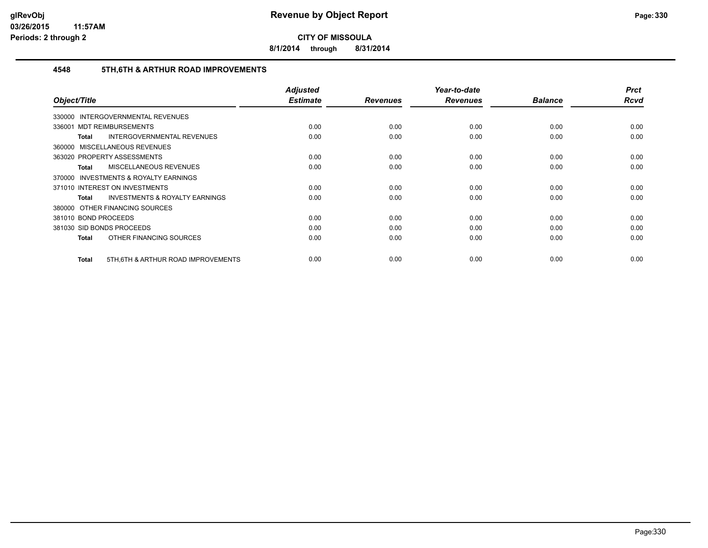**8/1/2014 through 8/31/2014**

#### **4548 5TH,6TH & ARTHUR ROAD IMPROVEMENTS**

|                                                    | <b>Adjusted</b><br><b>Estimate</b> |                 | Year-to-date    | <b>Balance</b> | <b>Prct</b><br>Rcvd |
|----------------------------------------------------|------------------------------------|-----------------|-----------------|----------------|---------------------|
| Object/Title                                       |                                    | <b>Revenues</b> | <b>Revenues</b> |                |                     |
| <b>INTERGOVERNMENTAL REVENUES</b><br>330000        |                                    |                 |                 |                |                     |
| 336001 MDT REIMBURSEMENTS                          | 0.00                               | 0.00            | 0.00            | 0.00           | 0.00                |
| INTERGOVERNMENTAL REVENUES<br>Total                | 0.00                               | 0.00            | 0.00            | 0.00           | 0.00                |
| 360000 MISCELLANEOUS REVENUES                      |                                    |                 |                 |                |                     |
| 363020 PROPERTY ASSESSMENTS                        | 0.00                               | 0.00            | 0.00            | 0.00           | 0.00                |
| <b>MISCELLANEOUS REVENUES</b><br>Total             | 0.00                               | 0.00            | 0.00            | 0.00           | 0.00                |
| 370000 INVESTMENTS & ROYALTY EARNINGS              |                                    |                 |                 |                |                     |
| 371010 INTEREST ON INVESTMENTS                     | 0.00                               | 0.00            | 0.00            | 0.00           | 0.00                |
| <b>INVESTMENTS &amp; ROYALTY EARNINGS</b><br>Total | 0.00                               | 0.00            | 0.00            | 0.00           | 0.00                |
| 380000 OTHER FINANCING SOURCES                     |                                    |                 |                 |                |                     |
| 381010 BOND PROCEEDS                               | 0.00                               | 0.00            | 0.00            | 0.00           | 0.00                |
| 381030 SID BONDS PROCEEDS                          | 0.00                               | 0.00            | 0.00            | 0.00           | 0.00                |
| OTHER FINANCING SOURCES<br><b>Total</b>            | 0.00                               | 0.00            | 0.00            | 0.00           | 0.00                |
|                                                    |                                    |                 |                 |                |                     |
| 5TH, 6TH & ARTHUR ROAD IMPROVEMENTS<br>Total       | 0.00                               | 0.00            | 0.00            | 0.00           | 0.00                |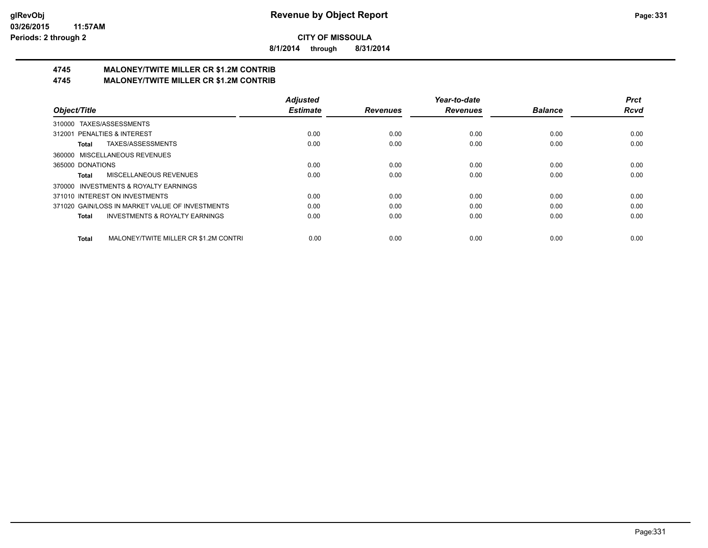**8/1/2014 through 8/31/2014**

# **4745 MALONEY/TWITE MILLER CR \$1.2M CONTRIB**

**4745 MALONEY/TWITE MILLER CR \$1.2M CONTRIB**

|                                                           | <b>Adjusted</b> |                 | Year-to-date    |                | <b>Prct</b> |
|-----------------------------------------------------------|-----------------|-----------------|-----------------|----------------|-------------|
| Object/Title                                              | <b>Estimate</b> | <b>Revenues</b> | <b>Revenues</b> | <b>Balance</b> | <b>Rcvd</b> |
| TAXES/ASSESSMENTS<br>310000                               |                 |                 |                 |                |             |
| 312001 PENALTIES & INTEREST                               | 0.00            | 0.00            | 0.00            | 0.00           | 0.00        |
| TAXES/ASSESSMENTS<br>Total                                | 0.00            | 0.00            | 0.00            | 0.00           | 0.00        |
| MISCELLANEOUS REVENUES<br>360000                          |                 |                 |                 |                |             |
| 365000 DONATIONS                                          | 0.00            | 0.00            | 0.00            | 0.00           | 0.00        |
| MISCELLANEOUS REVENUES<br><b>Total</b>                    | 0.00            | 0.00            | 0.00            | 0.00           | 0.00        |
| 370000 INVESTMENTS & ROYALTY EARNINGS                     |                 |                 |                 |                |             |
| 371010 INTEREST ON INVESTMENTS                            | 0.00            | 0.00            | 0.00            | 0.00           | 0.00        |
| 371020 GAIN/LOSS IN MARKET VALUE OF INVESTMENTS           | 0.00            | 0.00            | 0.00            | 0.00           | 0.00        |
| <b>INVESTMENTS &amp; ROYALTY EARNINGS</b><br><b>Total</b> | 0.00            | 0.00            | 0.00            | 0.00           | 0.00        |
| MALONEY/TWITE MILLER CR \$1.2M CONTRI<br><b>Total</b>     | 0.00            | 0.00            | 0.00            | 0.00           | 0.00        |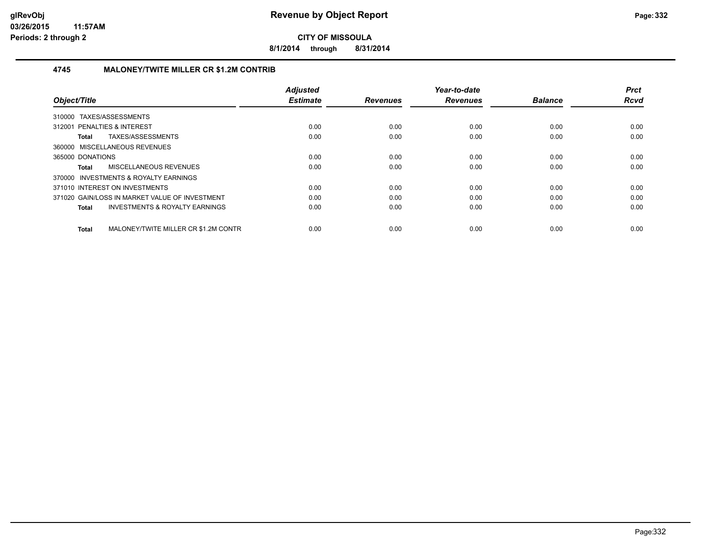**8/1/2014 through 8/31/2014**

#### **4745 MALONEY/TWITE MILLER CR \$1.2M CONTRIB**

| Object/Title                                              | <b>Adjusted</b><br><b>Estimate</b> | <b>Revenues</b> | Year-to-date<br><b>Revenues</b> | <b>Balance</b> | <b>Prct</b><br><b>Rcvd</b> |
|-----------------------------------------------------------|------------------------------------|-----------------|---------------------------------|----------------|----------------------------|
| 310000 TAXES/ASSESSMENTS                                  |                                    |                 |                                 |                |                            |
| 312001 PENALTIES & INTEREST                               | 0.00                               | 0.00            | 0.00                            | 0.00           | 0.00                       |
| TAXES/ASSESSMENTS<br>Total                                | 0.00                               | 0.00            | 0.00                            | 0.00           | 0.00                       |
| 360000 MISCELLANEOUS REVENUES                             |                                    |                 |                                 |                |                            |
| 365000 DONATIONS                                          | 0.00                               | 0.00            | 0.00                            | 0.00           | 0.00                       |
| MISCELLANEOUS REVENUES<br>Total                           | 0.00                               | 0.00            | 0.00                            | 0.00           | 0.00                       |
| 370000 INVESTMENTS & ROYALTY EARNINGS                     |                                    |                 |                                 |                |                            |
| 371010 INTEREST ON INVESTMENTS                            | 0.00                               | 0.00            | 0.00                            | 0.00           | 0.00                       |
| 371020 GAIN/LOSS IN MARKET VALUE OF INVESTMENT            | 0.00                               | 0.00            | 0.00                            | 0.00           | 0.00                       |
| <b>INVESTMENTS &amp; ROYALTY EARNINGS</b><br><b>Total</b> | 0.00                               | 0.00            | 0.00                            | 0.00           | 0.00                       |
| MALONEY/TWITE MILLER CR \$1.2M CONTR<br>Total             | 0.00                               | 0.00            | 0.00                            | 0.00           | 0.00                       |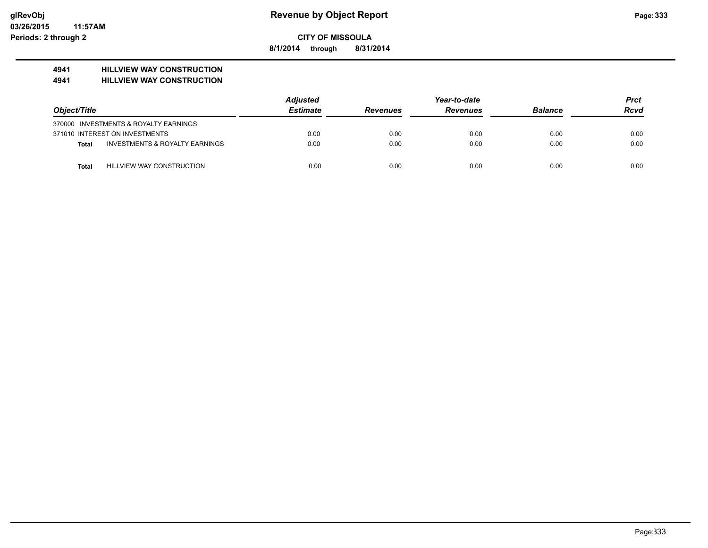**8/1/2014 through 8/31/2014**

# **4941 HILLVIEW WAY CONSTRUCTION**

#### **4941 HILLVIEW WAY CONSTRUCTION**

|              |                                           | <b>Adjusted</b> |                 | <b>Prct</b>     |                |             |
|--------------|-------------------------------------------|-----------------|-----------------|-----------------|----------------|-------------|
| Object/Title |                                           | <b>Estimate</b> | <b>Revenues</b> | <b>Revenues</b> | <b>Balance</b> | <b>Rcvd</b> |
|              | 370000 INVESTMENTS & ROYALTY EARNINGS     |                 |                 |                 |                |             |
|              | 371010 INTEREST ON INVESTMENTS            | 0.00            | 0.00            | 0.00            | 0.00           | 0.00        |
| Total        | <b>INVESTMENTS &amp; ROYALTY EARNINGS</b> | 0.00            | 0.00            | 0.00            | 0.00           | 0.00        |
| Total        | HILLVIEW WAY CONSTRUCTION                 | 0.00            | 0.00            | 0.00            | 0.00           | 0.00        |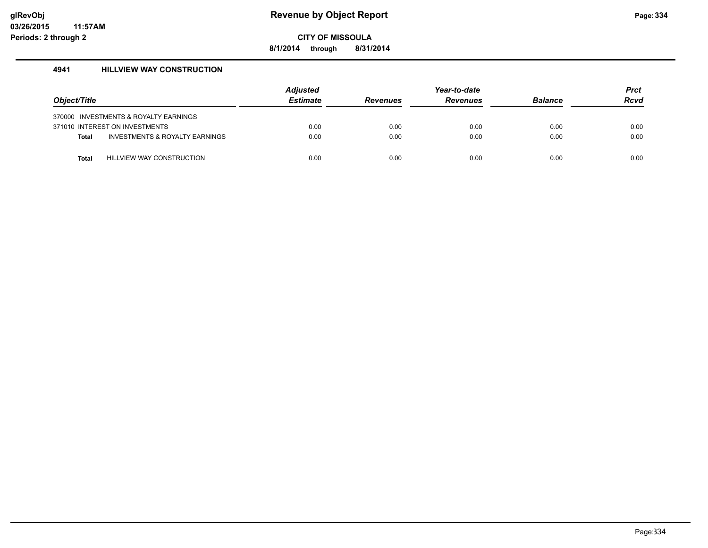**8/1/2014 through 8/31/2014**

#### **4941 HILLVIEW WAY CONSTRUCTION**

| Object/Title |                                       | Adjusted<br><b>Estimate</b> | <b>Revenues</b> | Year-to-date<br><b>Revenues</b> | <b>Balance</b> | <b>Prct</b><br><b>Rcvd</b> |
|--------------|---------------------------------------|-----------------------------|-----------------|---------------------------------|----------------|----------------------------|
|              | 370000 INVESTMENTS & ROYALTY EARNINGS |                             |                 |                                 |                |                            |
|              | 371010 INTEREST ON INVESTMENTS        | 0.00                        | 0.00            | 0.00                            | 0.00           | 0.00                       |
| <b>Total</b> | INVESTMENTS & ROYALTY EARNINGS        | 0.00                        | 0.00            | 0.00                            | 0.00           | 0.00                       |
| Total        | <b>HILLVIEW WAY CONSTRUCTION</b>      | 0.00                        | 0.00            | 0.00                            | 0.00           | 0.00                       |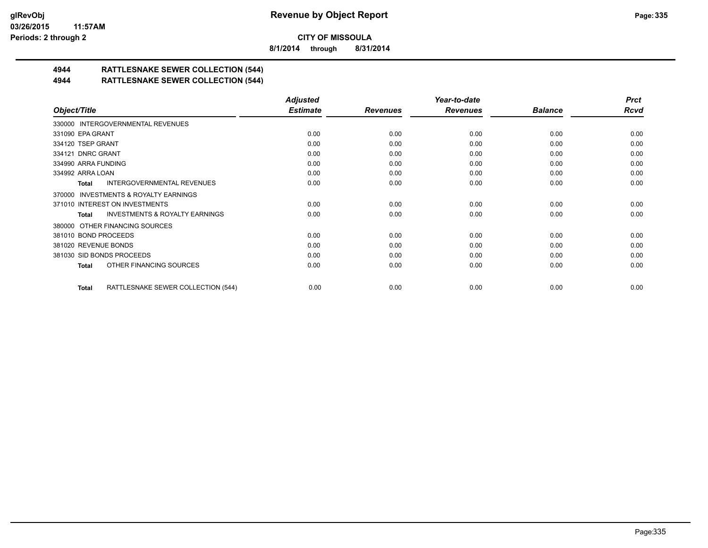**8/1/2014 through 8/31/2014**

# **4944 RATTLESNAKE SEWER COLLECTION (544)**

#### **4944 RATTLESNAKE SEWER COLLECTION (544)**

|                                                     | <b>Adjusted</b> |                 | Year-to-date    |                | <b>Prct</b> |
|-----------------------------------------------------|-----------------|-----------------|-----------------|----------------|-------------|
| Object/Title                                        | <b>Estimate</b> | <b>Revenues</b> | <b>Revenues</b> | <b>Balance</b> | <b>Rcvd</b> |
| 330000 INTERGOVERNMENTAL REVENUES                   |                 |                 |                 |                |             |
| 331090 EPA GRANT                                    | 0.00            | 0.00            | 0.00            | 0.00           | 0.00        |
| 334120 TSEP GRANT                                   | 0.00            | 0.00            | 0.00            | 0.00           | 0.00        |
| 334121 DNRC GRANT                                   | 0.00            | 0.00            | 0.00            | 0.00           | 0.00        |
| 334990 ARRA FUNDING                                 | 0.00            | 0.00            | 0.00            | 0.00           | 0.00        |
| 334992 ARRA LOAN                                    | 0.00            | 0.00            | 0.00            | 0.00           | 0.00        |
| INTERGOVERNMENTAL REVENUES<br>Total                 | 0.00            | 0.00            | 0.00            | 0.00           | 0.00        |
| <b>INVESTMENTS &amp; ROYALTY EARNINGS</b><br>370000 |                 |                 |                 |                |             |
| 371010 INTEREST ON INVESTMENTS                      | 0.00            | 0.00            | 0.00            | 0.00           | 0.00        |
| <b>INVESTMENTS &amp; ROYALTY EARNINGS</b><br>Total  | 0.00            | 0.00            | 0.00            | 0.00           | 0.00        |
| 380000 OTHER FINANCING SOURCES                      |                 |                 |                 |                |             |
| 381010 BOND PROCEEDS                                | 0.00            | 0.00            | 0.00            | 0.00           | 0.00        |
| 381020 REVENUE BONDS                                | 0.00            | 0.00            | 0.00            | 0.00           | 0.00        |
| 381030 SID BONDS PROCEEDS                           | 0.00            | 0.00            | 0.00            | 0.00           | 0.00        |
| OTHER FINANCING SOURCES<br>Total                    | 0.00            | 0.00            | 0.00            | 0.00           | 0.00        |
| RATTLESNAKE SEWER COLLECTION (544)<br>Total         | 0.00            | 0.00            | 0.00            | 0.00           | 0.00        |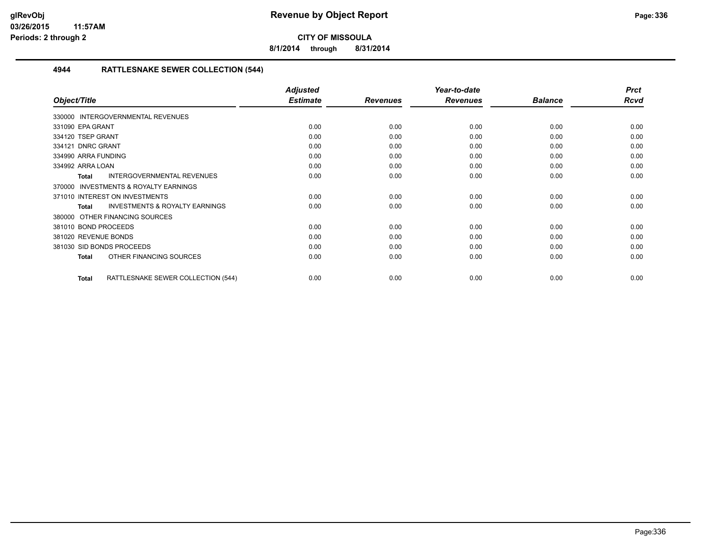**8/1/2014 through 8/31/2014**

#### **4944 RATTLESNAKE SEWER COLLECTION (544)**

|                                                           | <b>Adjusted</b> |                 | Year-to-date    |                | <b>Prct</b> |
|-----------------------------------------------------------|-----------------|-----------------|-----------------|----------------|-------------|
| Object/Title                                              | <b>Estimate</b> | <b>Revenues</b> | <b>Revenues</b> | <b>Balance</b> | <b>Rcvd</b> |
| 330000 INTERGOVERNMENTAL REVENUES                         |                 |                 |                 |                |             |
| 331090 EPA GRANT                                          | 0.00            | 0.00            | 0.00            | 0.00           | 0.00        |
| 334120 TSEP GRANT                                         | 0.00            | 0.00            | 0.00            | 0.00           | 0.00        |
| 334121 DNRC GRANT                                         | 0.00            | 0.00            | 0.00            | 0.00           | 0.00        |
| 334990 ARRA FUNDING                                       | 0.00            | 0.00            | 0.00            | 0.00           | 0.00        |
| 334992 ARRA LOAN                                          | 0.00            | 0.00            | 0.00            | 0.00           | 0.00        |
| <b>INTERGOVERNMENTAL REVENUES</b><br><b>Total</b>         | 0.00            | 0.00            | 0.00            | 0.00           | 0.00        |
| <b>INVESTMENTS &amp; ROYALTY EARNINGS</b><br>370000       |                 |                 |                 |                |             |
| 371010 INTEREST ON INVESTMENTS                            | 0.00            | 0.00            | 0.00            | 0.00           | 0.00        |
| <b>INVESTMENTS &amp; ROYALTY EARNINGS</b><br><b>Total</b> | 0.00            | 0.00            | 0.00            | 0.00           | 0.00        |
| 380000 OTHER FINANCING SOURCES                            |                 |                 |                 |                |             |
| 381010 BOND PROCEEDS                                      | 0.00            | 0.00            | 0.00            | 0.00           | 0.00        |
| 381020 REVENUE BONDS                                      | 0.00            | 0.00            | 0.00            | 0.00           | 0.00        |
| 381030 SID BONDS PROCEEDS                                 | 0.00            | 0.00            | 0.00            | 0.00           | 0.00        |
| OTHER FINANCING SOURCES<br><b>Total</b>                   | 0.00            | 0.00            | 0.00            | 0.00           | 0.00        |
| RATTLESNAKE SEWER COLLECTION (544)<br><b>Total</b>        | 0.00            | 0.00            | 0.00            | 0.00           | 0.00        |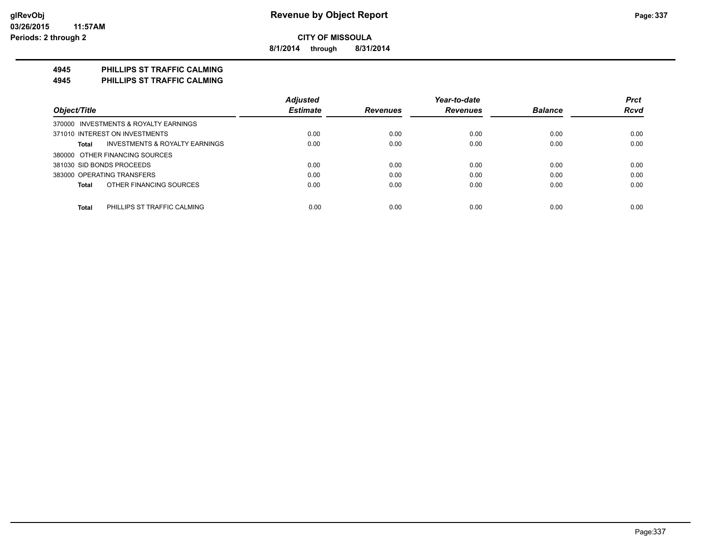**8/1/2014 through 8/31/2014**

## **4945 PHILLIPS ST TRAFFIC CALMING**

**4945 PHILLIPS ST TRAFFIC CALMING**

|                                             | <b>Adjusted</b> |                 | Year-to-date    |                | <b>Prct</b> |
|---------------------------------------------|-----------------|-----------------|-----------------|----------------|-------------|
| Object/Title                                | <b>Estimate</b> | <b>Revenues</b> | <b>Revenues</b> | <b>Balance</b> | <b>Rcvd</b> |
| 370000 INVESTMENTS & ROYALTY EARNINGS       |                 |                 |                 |                |             |
| 371010 INTEREST ON INVESTMENTS              | 0.00            | 0.00            | 0.00            | 0.00           | 0.00        |
| INVESTMENTS & ROYALTY EARNINGS<br>Total     | 0.00            | 0.00            | 0.00            | 0.00           | 0.00        |
| 380000 OTHER FINANCING SOURCES              |                 |                 |                 |                |             |
| 381030 SID BONDS PROCEEDS                   | 0.00            | 0.00            | 0.00            | 0.00           | 0.00        |
| 383000 OPERATING TRANSFERS                  | 0.00            | 0.00            | 0.00            | 0.00           | 0.00        |
| OTHER FINANCING SOURCES<br>Total            | 0.00            | 0.00            | 0.00            | 0.00           | 0.00        |
| <b>Total</b><br>PHILLIPS ST TRAFFIC CALMING | 0.00            | 0.00            | 0.00            | 0.00           | 0.00        |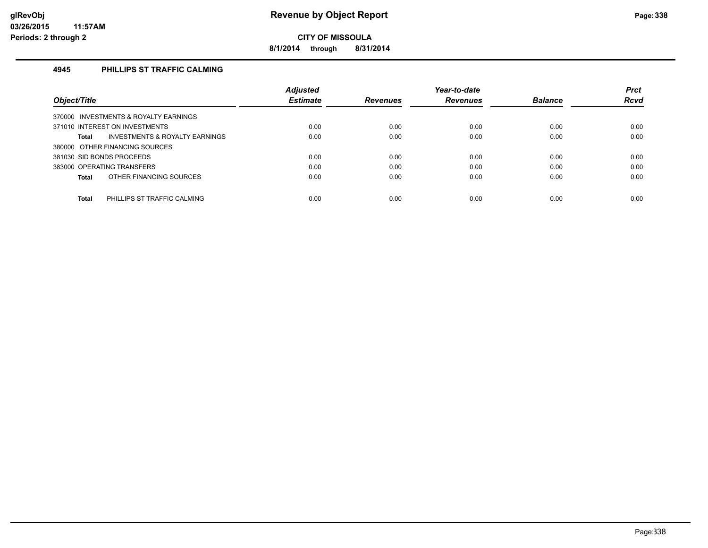**8/1/2014 through 8/31/2014**

#### **4945 PHILLIPS ST TRAFFIC CALMING**

|                                                    | <b>Adjusted</b> |                 | Year-to-date    |                | <b>Prct</b> |
|----------------------------------------------------|-----------------|-----------------|-----------------|----------------|-------------|
| Object/Title                                       | <b>Estimate</b> | <b>Revenues</b> | <b>Revenues</b> | <b>Balance</b> | <b>Rcvd</b> |
| 370000 INVESTMENTS & ROYALTY EARNINGS              |                 |                 |                 |                |             |
| 371010 INTEREST ON INVESTMENTS                     | 0.00            | 0.00            | 0.00            | 0.00           | 0.00        |
| <b>INVESTMENTS &amp; ROYALTY EARNINGS</b><br>Total | 0.00            | 0.00            | 0.00            | 0.00           | 0.00        |
| 380000 OTHER FINANCING SOURCES                     |                 |                 |                 |                |             |
| 381030 SID BONDS PROCEEDS                          | 0.00            | 0.00            | 0.00            | 0.00           | 0.00        |
| 383000 OPERATING TRANSFERS                         | 0.00            | 0.00            | 0.00            | 0.00           | 0.00        |
| OTHER FINANCING SOURCES<br>Total                   | 0.00            | 0.00            | 0.00            | 0.00           | 0.00        |
|                                                    |                 |                 |                 |                |             |
| <b>Total</b><br>PHILLIPS ST TRAFFIC CALMING        | 0.00            | 0.00            | 0.00            | 0.00           | 0.00        |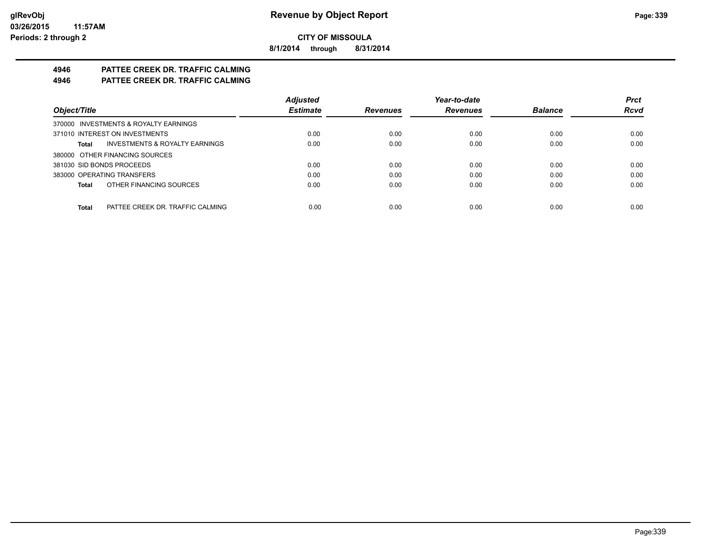**8/1/2014 through 8/31/2014**

# **4946 PATTEE CREEK DR. TRAFFIC CALMING**

**4946 PATTEE CREEK DR. TRAFFIC CALMING**

|                                                    | <b>Adjusted</b> |                 | Year-to-date    |                | <b>Prct</b> |
|----------------------------------------------------|-----------------|-----------------|-----------------|----------------|-------------|
| Object/Title                                       | <b>Estimate</b> | <b>Revenues</b> | <b>Revenues</b> | <b>Balance</b> | <b>Rcvd</b> |
| 370000 INVESTMENTS & ROYALTY EARNINGS              |                 |                 |                 |                |             |
| 371010 INTEREST ON INVESTMENTS                     | 0.00            | 0.00            | 0.00            | 0.00           | 0.00        |
| <b>INVESTMENTS &amp; ROYALTY EARNINGS</b><br>Total | 0.00            | 0.00            | 0.00            | 0.00           | 0.00        |
| 380000 OTHER FINANCING SOURCES                     |                 |                 |                 |                |             |
| 381030 SID BONDS PROCEEDS                          | 0.00            | 0.00            | 0.00            | 0.00           | 0.00        |
| 383000 OPERATING TRANSFERS                         | 0.00            | 0.00            | 0.00            | 0.00           | 0.00        |
| OTHER FINANCING SOURCES<br>Total                   | 0.00            | 0.00            | 0.00            | 0.00           | 0.00        |
|                                                    |                 |                 |                 |                |             |
| Total<br>PATTEE CREEK DR. TRAFFIC CALMING          | 0.00            | 0.00            | 0.00            | 0.00           | 0.00        |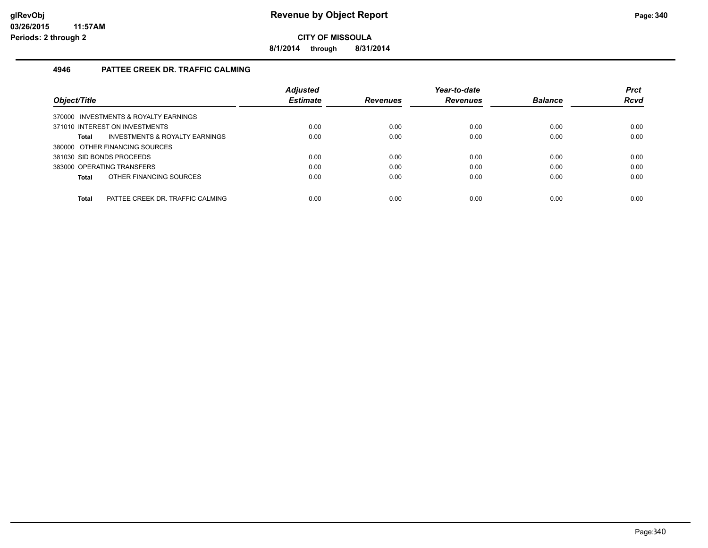**8/1/2014 through 8/31/2014**

#### **4946 PATTEE CREEK DR. TRAFFIC CALMING**

| Object/Title                                     | <b>Adjusted</b><br><b>Estimate</b> | <b>Revenues</b> | Year-to-date<br><b>Revenues</b> | <b>Balance</b> | <b>Prct</b><br><b>Rcvd</b> |
|--------------------------------------------------|------------------------------------|-----------------|---------------------------------|----------------|----------------------------|
|                                                  |                                    |                 |                                 |                |                            |
| 370000 INVESTMENTS & ROYALTY EARNINGS            |                                    |                 |                                 |                |                            |
| 371010 INTEREST ON INVESTMENTS                   | 0.00                               | 0.00            | 0.00                            | 0.00           | 0.00                       |
| INVESTMENTS & ROYALTY EARNINGS<br>Total          | 0.00                               | 0.00            | 0.00                            | 0.00           | 0.00                       |
| 380000 OTHER FINANCING SOURCES                   |                                    |                 |                                 |                |                            |
| 381030 SID BONDS PROCEEDS                        | 0.00                               | 0.00            | 0.00                            | 0.00           | 0.00                       |
| 383000 OPERATING TRANSFERS                       | 0.00                               | 0.00            | 0.00                            | 0.00           | 0.00                       |
| OTHER FINANCING SOURCES<br>Total                 | 0.00                               | 0.00            | 0.00                            | 0.00           | 0.00                       |
|                                                  |                                    |                 |                                 |                |                            |
| <b>Total</b><br>PATTEE CREEK DR. TRAFFIC CALMING | 0.00                               | 0.00            | 0.00                            | 0.00           | 0.00                       |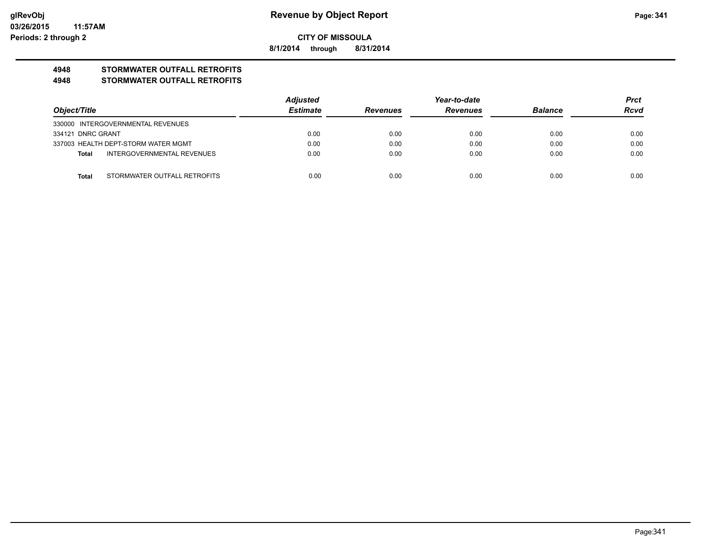**8/1/2014 through 8/31/2014**

# **4948 STORMWATER OUTFALL RETROFITS**

#### **4948 STORMWATER OUTFALL RETROFITS**

|                   |                                     | Adjusted        |                 | Year-to-date    |                | <b>Prct</b> |
|-------------------|-------------------------------------|-----------------|-----------------|-----------------|----------------|-------------|
| Object/Title      |                                     | <b>Estimate</b> | <b>Revenues</b> | <b>Revenues</b> | <b>Balance</b> | <b>Rcvd</b> |
|                   | 330000 INTERGOVERNMENTAL REVENUES   |                 |                 |                 |                |             |
| 334121 DNRC GRANT |                                     | 0.00            | 0.00            | 0.00            | 0.00           | 0.00        |
|                   | 337003 HEALTH DEPT-STORM WATER MGMT | 0.00            | 0.00            | 0.00            | 0.00           | 0.00        |
| Total             | INTERGOVERNMENTAL REVENUES          | 0.00            | 0.00            | 0.00            | 0.00           | 0.00        |
|                   |                                     |                 |                 |                 |                |             |
| Total             | STORMWATER OUTFALL RETROFITS        | 0.00            | 0.00            | 0.00            | 0.00           | 0.00        |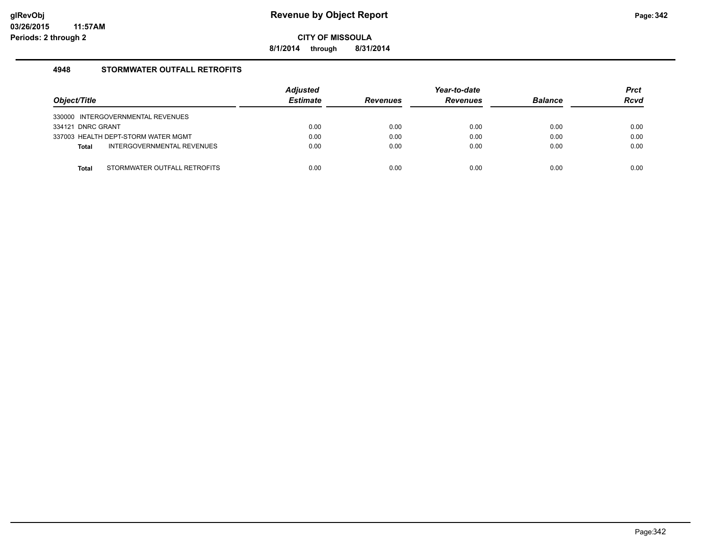**8/1/2014 through 8/31/2014**

#### **4948 STORMWATER OUTFALL RETROFITS**

| Object/Title                               | <b>Adjusted</b><br><b>Estimate</b> | <b>Revenues</b> | Year-to-date<br><b>Revenues</b> | <b>Balance</b> | <b>Prct</b><br><b>Rcvd</b> |
|--------------------------------------------|------------------------------------|-----------------|---------------------------------|----------------|----------------------------|
| 330000 INTERGOVERNMENTAL REVENUES          |                                    |                 |                                 |                |                            |
| 334121 DNRC GRANT                          | 0.00                               | 0.00            | 0.00                            | 0.00           | 0.00                       |
| 337003 HEALTH DEPT-STORM WATER MGMT        | 0.00                               | 0.00            | 0.00                            | 0.00           | 0.00                       |
| INTERGOVERNMENTAL REVENUES<br><b>Total</b> | 0.00                               | 0.00            | 0.00                            | 0.00           | 0.00                       |
|                                            |                                    |                 |                                 |                |                            |
| STORMWATER OUTFALL RETROFITS<br>Total      | 0.00                               | 0.00            | 0.00                            | 0.00           | 0.00                       |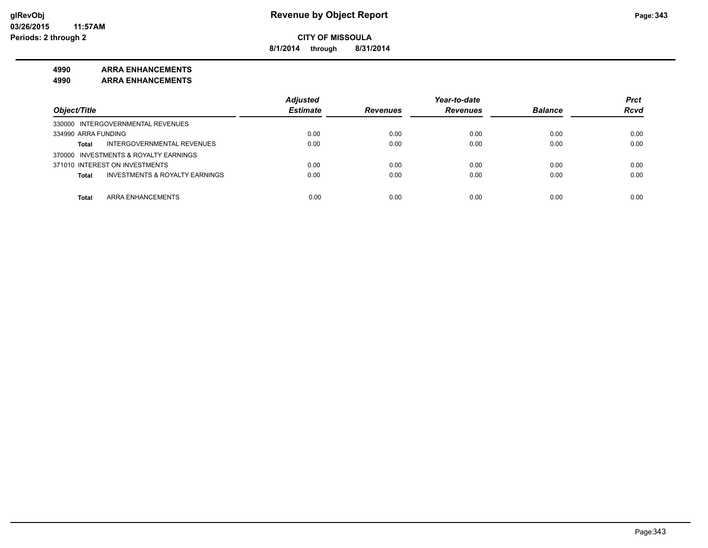**8/1/2014 through 8/31/2014**

#### **4990 ARRA ENHANCEMENTS**

**4990 ARRA ENHANCEMENTS**

|                                                           | <b>Adjusted</b> |                 | Year-to-date    |                | <b>Prct</b> |
|-----------------------------------------------------------|-----------------|-----------------|-----------------|----------------|-------------|
| Object/Title                                              | <b>Estimate</b> | <b>Revenues</b> | <b>Revenues</b> | <b>Balance</b> | <b>Rcvd</b> |
| 330000 INTERGOVERNMENTAL REVENUES                         |                 |                 |                 |                |             |
| 334990 ARRA FUNDING                                       | 0.00            | 0.00            | 0.00            | 0.00           | 0.00        |
| INTERGOVERNMENTAL REVENUES<br><b>Total</b>                | 0.00            | 0.00            | 0.00            | 0.00           | 0.00        |
| 370000 INVESTMENTS & ROYALTY EARNINGS                     |                 |                 |                 |                |             |
| 371010 INTEREST ON INVESTMENTS                            | 0.00            | 0.00            | 0.00            | 0.00           | 0.00        |
| <b>INVESTMENTS &amp; ROYALTY EARNINGS</b><br><b>Total</b> | 0.00            | 0.00            | 0.00            | 0.00           | 0.00        |
|                                                           |                 |                 |                 |                |             |
| ARRA ENHANCEMENTS<br><b>Total</b>                         | 0.00            | 0.00            | 0.00            | 0.00           | 0.00        |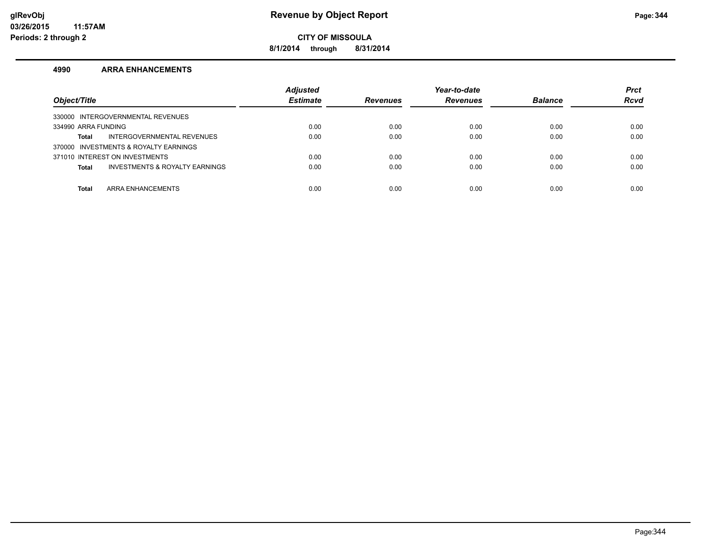**8/1/2014 through 8/31/2014**

#### **4990 ARRA ENHANCEMENTS**

| Object/Title                                   | <b>Adjusted</b><br><b>Estimate</b> | <b>Revenues</b> | Year-to-date<br><b>Revenues</b> | <b>Balance</b> | <b>Prct</b><br><b>Rcvd</b> |
|------------------------------------------------|------------------------------------|-----------------|---------------------------------|----------------|----------------------------|
| 330000 INTERGOVERNMENTAL REVENUES              |                                    |                 |                                 |                |                            |
| 334990 ARRA FUNDING                            | 0.00                               | 0.00            | 0.00                            | 0.00           | 0.00                       |
| INTERGOVERNMENTAL REVENUES<br>Total            | 0.00                               | 0.00            | 0.00                            | 0.00           | 0.00                       |
| 370000 INVESTMENTS & ROYALTY EARNINGS          |                                    |                 |                                 |                |                            |
| 371010 INTEREST ON INVESTMENTS                 | 0.00                               | 0.00            | 0.00                            | 0.00           | 0.00                       |
| INVESTMENTS & ROYALTY EARNINGS<br><b>Total</b> | 0.00                               | 0.00            | 0.00                            | 0.00           | 0.00                       |
|                                                |                                    |                 |                                 |                |                            |
| ARRA ENHANCEMENTS<br><b>Total</b>              | 0.00                               | 0.00            | 0.00                            | 0.00           | 0.00                       |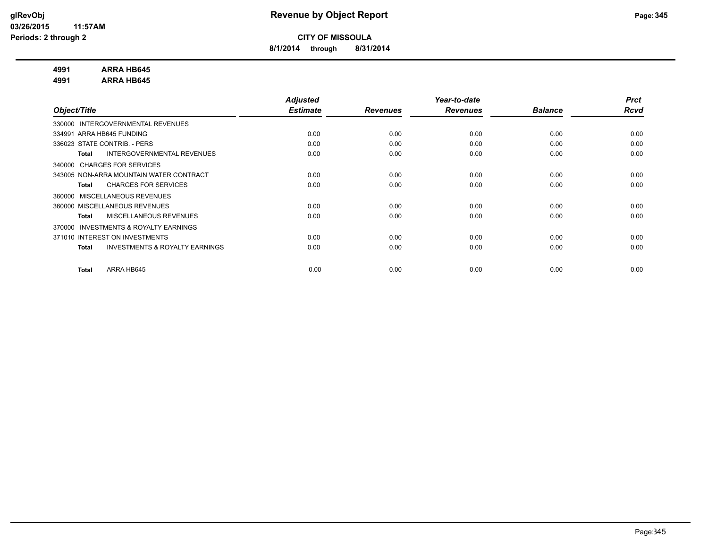**8/1/2014 through 8/31/2014**

#### **4991 ARRA HB645**

**4991 ARRA HB645**

|                                                           | <b>Adjusted</b> |                 | Year-to-date    |                | <b>Prct</b> |
|-----------------------------------------------------------|-----------------|-----------------|-----------------|----------------|-------------|
| Object/Title                                              | <b>Estimate</b> | <b>Revenues</b> | <b>Revenues</b> | <b>Balance</b> | <b>Rcvd</b> |
| INTERGOVERNMENTAL REVENUES<br>330000                      |                 |                 |                 |                |             |
| 334991 ARRA HB645 FUNDING                                 | 0.00            | 0.00            | 0.00            | 0.00           | 0.00        |
| 336023 STATE CONTRIB. - PERS                              | 0.00            | 0.00            | 0.00            | 0.00           | 0.00        |
| INTERGOVERNMENTAL REVENUES<br><b>Total</b>                | 0.00            | 0.00            | 0.00            | 0.00           | 0.00        |
| 340000 CHARGES FOR SERVICES                               |                 |                 |                 |                |             |
| 343005 NON-ARRA MOUNTAIN WATER CONTRACT                   | 0.00            | 0.00            | 0.00            | 0.00           | 0.00        |
| <b>CHARGES FOR SERVICES</b><br><b>Total</b>               | 0.00            | 0.00            | 0.00            | 0.00           | 0.00        |
| MISCELLANEOUS REVENUES<br>360000                          |                 |                 |                 |                |             |
| 360000 MISCELLANEOUS REVENUES                             | 0.00            | 0.00            | 0.00            | 0.00           | 0.00        |
| MISCELLANEOUS REVENUES<br><b>Total</b>                    | 0.00            | 0.00            | 0.00            | 0.00           | 0.00        |
| <b>INVESTMENTS &amp; ROYALTY EARNINGS</b><br>370000       |                 |                 |                 |                |             |
| 371010 INTEREST ON INVESTMENTS                            | 0.00            | 0.00            | 0.00            | 0.00           | 0.00        |
| <b>INVESTMENTS &amp; ROYALTY EARNINGS</b><br><b>Total</b> | 0.00            | 0.00            | 0.00            | 0.00           | 0.00        |
|                                                           |                 |                 |                 |                |             |
| ARRA HB645<br><b>Total</b>                                | 0.00            | 0.00            | 0.00            | 0.00           | 0.00        |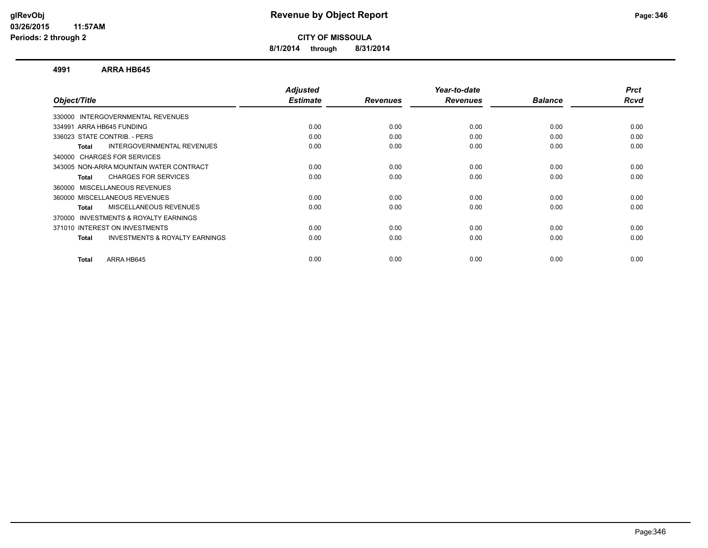**8/1/2014 through 8/31/2014**

#### **4991 ARRA HB645**

|      |                         |                         | <b>Balance</b>          | <b>Prct</b><br>Rcvd |
|------|-------------------------|-------------------------|-------------------------|---------------------|
|      |                         |                         |                         |                     |
|      |                         |                         |                         |                     |
| 0.00 | 0.00                    | 0.00                    | 0.00                    | 0.00                |
| 0.00 | 0.00                    | 0.00                    | 0.00                    | 0.00                |
| 0.00 | 0.00                    | 0.00                    | 0.00                    | 0.00                |
|      |                         |                         |                         |                     |
| 0.00 | 0.00                    | 0.00                    | 0.00                    | 0.00                |
| 0.00 | 0.00                    | 0.00                    | 0.00                    | 0.00                |
|      |                         |                         |                         |                     |
| 0.00 | 0.00                    | 0.00                    | 0.00                    | 0.00                |
| 0.00 | 0.00                    | 0.00                    | 0.00                    | 0.00                |
|      |                         |                         |                         |                     |
| 0.00 | 0.00                    | 0.00                    | 0.00                    | 0.00                |
| 0.00 | 0.00                    | 0.00                    | 0.00                    | 0.00                |
|      |                         |                         |                         | 0.00                |
|      | <b>Estimate</b><br>0.00 | <b>Revenues</b><br>0.00 | <b>Revenues</b><br>0.00 | 0.00                |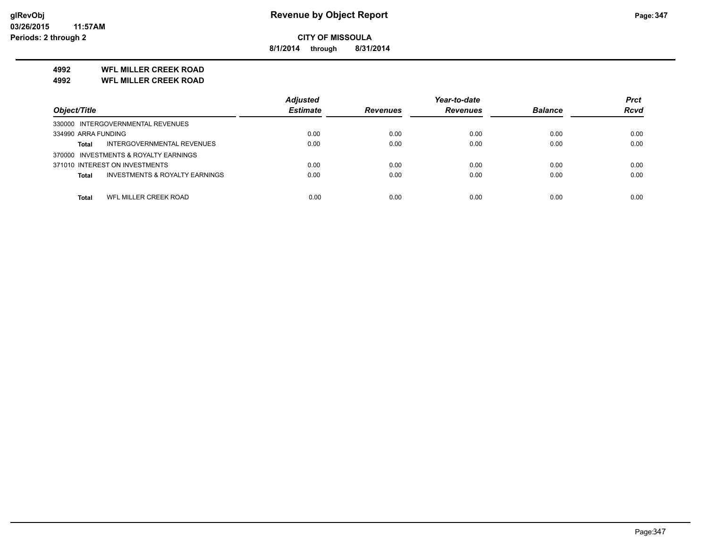**8/1/2014 through 8/31/2014**

#### **4992 WFL MILLER CREEK ROAD**

**4992 WFL MILLER CREEK ROAD**

|                                                           | <b>Adjusted</b> |                 | Year-to-date    |                | <b>Prct</b> |
|-----------------------------------------------------------|-----------------|-----------------|-----------------|----------------|-------------|
| Object/Title                                              | <b>Estimate</b> | <b>Revenues</b> | <b>Revenues</b> | <b>Balance</b> | <b>Rcvd</b> |
| 330000 INTERGOVERNMENTAL REVENUES                         |                 |                 |                 |                |             |
| 334990 ARRA FUNDING                                       | 0.00            | 0.00            | 0.00            | 0.00           | 0.00        |
| INTERGOVERNMENTAL REVENUES<br><b>Total</b>                | 0.00            | 0.00            | 0.00            | 0.00           | 0.00        |
| 370000 INVESTMENTS & ROYALTY EARNINGS                     |                 |                 |                 |                |             |
| 371010 INTEREST ON INVESTMENTS                            | 0.00            | 0.00            | 0.00            | 0.00           | 0.00        |
| <b>INVESTMENTS &amp; ROYALTY EARNINGS</b><br><b>Total</b> | 0.00            | 0.00            | 0.00            | 0.00           | 0.00        |
|                                                           |                 |                 |                 |                |             |
| WFL MILLER CREEK ROAD<br>Total                            | 0.00            | 0.00            | 0.00            | 0.00           | 0.00        |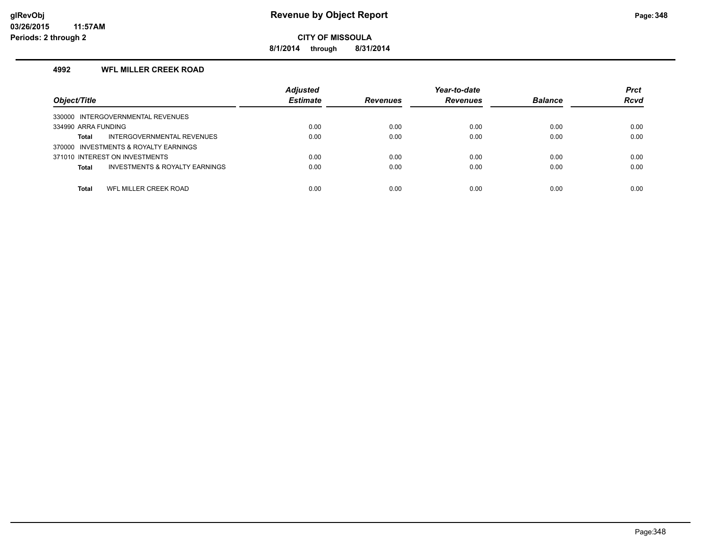**8/1/2014 through 8/31/2014**

#### **4992 WFL MILLER CREEK ROAD**

| Object/Title                                              | <b>Adjusted</b><br><b>Estimate</b> | <b>Revenues</b> | Year-to-date<br><b>Revenues</b> | <b>Balance</b> | <b>Prct</b><br><b>Rcvd</b> |
|-----------------------------------------------------------|------------------------------------|-----------------|---------------------------------|----------------|----------------------------|
| 330000 INTERGOVERNMENTAL REVENUES                         |                                    |                 |                                 |                |                            |
| 334990 ARRA FUNDING                                       | 0.00                               | 0.00            | 0.00                            | 0.00           | 0.00                       |
| INTERGOVERNMENTAL REVENUES<br>Total                       | 0.00                               | 0.00            | 0.00                            | 0.00           | 0.00                       |
| 370000 INVESTMENTS & ROYALTY EARNINGS                     |                                    |                 |                                 |                |                            |
| 371010 INTEREST ON INVESTMENTS                            | 0.00                               | 0.00            | 0.00                            | 0.00           | 0.00                       |
| <b>INVESTMENTS &amp; ROYALTY EARNINGS</b><br><b>Total</b> | 0.00                               | 0.00            | 0.00                            | 0.00           | 0.00                       |
|                                                           |                                    |                 |                                 |                |                            |
| WFL MILLER CREEK ROAD<br><b>Total</b>                     | 0.00                               | 0.00            | 0.00                            | 0.00           | 0.00                       |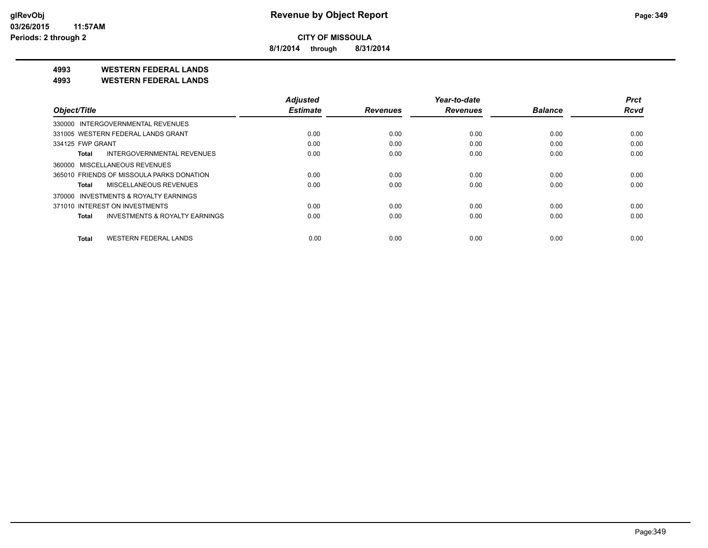**8/1/2014 through 8/31/2014**

**4993 WESTERN FEDERAL LANDS**

**4993 WESTERN FEDERAL LANDS**

|                                              | <b>Adjusted</b> |                 | Year-to-date    |                | <b>Prct</b> |
|----------------------------------------------|-----------------|-----------------|-----------------|----------------|-------------|
| Object/Title                                 | <b>Estimate</b> | <b>Revenues</b> | <b>Revenues</b> | <b>Balance</b> | <b>Rcvd</b> |
| 330000 INTERGOVERNMENTAL REVENUES            |                 |                 |                 |                |             |
| 331005 WESTERN FEDERAL LANDS GRANT           | 0.00            | 0.00            | 0.00            | 0.00           | 0.00        |
| 334125 FWP GRANT                             | 0.00            | 0.00            | 0.00            | 0.00           | 0.00        |
| INTERGOVERNMENTAL REVENUES<br>Total          | 0.00            | 0.00            | 0.00            | 0.00           | 0.00        |
| 360000 MISCELLANEOUS REVENUES                |                 |                 |                 |                |             |
| 365010 FRIENDS OF MISSOULA PARKS DONATION    | 0.00            | 0.00            | 0.00            | 0.00           | 0.00        |
| MISCELLANEOUS REVENUES<br>Total              | 0.00            | 0.00            | 0.00            | 0.00           | 0.00        |
| 370000 INVESTMENTS & ROYALTY EARNINGS        |                 |                 |                 |                |             |
| 371010 INTEREST ON INVESTMENTS               | 0.00            | 0.00            | 0.00            | 0.00           | 0.00        |
| INVESTMENTS & ROYALTY EARNINGS<br>Total      | 0.00            | 0.00            | 0.00            | 0.00           | 0.00        |
| <b>WESTERN FEDERAL LANDS</b><br><b>Total</b> | 0.00            | 0.00            | 0.00            | 0.00           | 0.00        |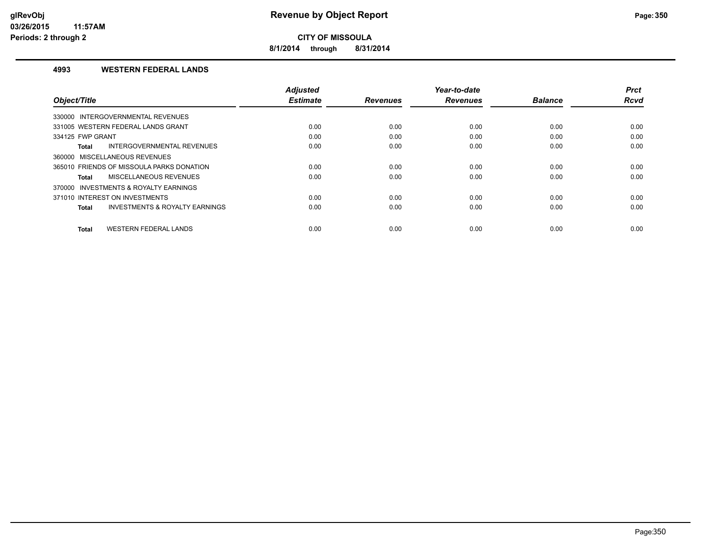**8/1/2014 through 8/31/2014**

#### **4993 WESTERN FEDERAL LANDS**

|                                                    | <b>Adjusted</b> |                 | Year-to-date    |                | <b>Prct</b> |
|----------------------------------------------------|-----------------|-----------------|-----------------|----------------|-------------|
| Object/Title                                       | <b>Estimate</b> | <b>Revenues</b> | <b>Revenues</b> | <b>Balance</b> | <b>Rcvd</b> |
| 330000 INTERGOVERNMENTAL REVENUES                  |                 |                 |                 |                |             |
| 331005 WESTERN FEDERAL LANDS GRANT                 | 0.00            | 0.00            | 0.00            | 0.00           | 0.00        |
| 334125 FWP GRANT                                   | 0.00            | 0.00            | 0.00            | 0.00           | 0.00        |
| INTERGOVERNMENTAL REVENUES<br><b>Total</b>         | 0.00            | 0.00            | 0.00            | 0.00           | 0.00        |
| 360000 MISCELLANEOUS REVENUES                      |                 |                 |                 |                |             |
| 365010 FRIENDS OF MISSOULA PARKS DONATION          | 0.00            | 0.00            | 0.00            | 0.00           | 0.00        |
| MISCELLANEOUS REVENUES<br>Total                    | 0.00            | 0.00            | 0.00            | 0.00           | 0.00        |
| 370000 INVESTMENTS & ROYALTY EARNINGS              |                 |                 |                 |                |             |
| 371010 INTEREST ON INVESTMENTS                     | 0.00            | 0.00            | 0.00            | 0.00           | 0.00        |
| <b>INVESTMENTS &amp; ROYALTY EARNINGS</b><br>Total | 0.00            | 0.00            | 0.00            | 0.00           | 0.00        |
|                                                    |                 |                 |                 |                |             |
| <b>WESTERN FEDERAL LANDS</b><br><b>Total</b>       | 0.00            | 0.00            | 0.00            | 0.00           | 0.00        |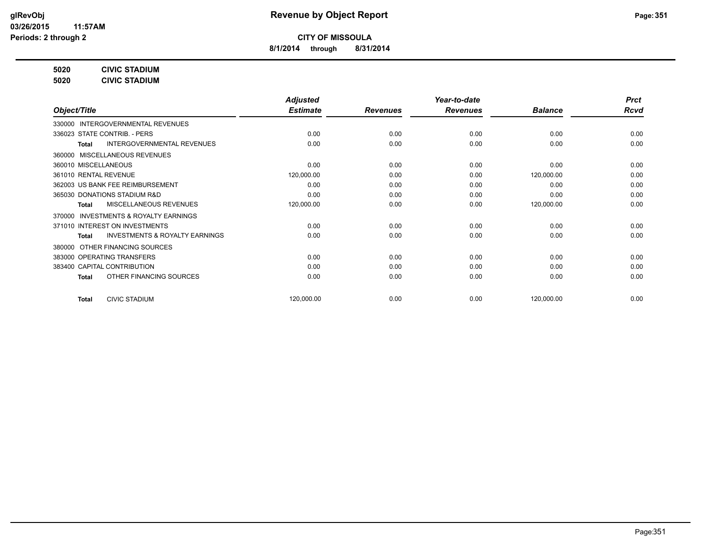**8/1/2014 through 8/31/2014**

**5020 CIVIC STADIUM**

**5020 CIVIC STADIUM**

|                                                           | <b>Adjusted</b> |                 | Year-to-date    |                | <b>Prct</b> |
|-----------------------------------------------------------|-----------------|-----------------|-----------------|----------------|-------------|
| Object/Title                                              | <b>Estimate</b> | <b>Revenues</b> | <b>Revenues</b> | <b>Balance</b> | <b>Rcvd</b> |
| 330000 INTERGOVERNMENTAL REVENUES                         |                 |                 |                 |                |             |
| 336023 STATE CONTRIB. - PERS                              | 0.00            | 0.00            | 0.00            | 0.00           | 0.00        |
| <b>INTERGOVERNMENTAL REVENUES</b><br>Total                | 0.00            | 0.00            | 0.00            | 0.00           | 0.00        |
| 360000 MISCELLANEOUS REVENUES                             |                 |                 |                 |                |             |
| 360010 MISCELLANEOUS                                      | 0.00            | 0.00            | 0.00            | 0.00           | 0.00        |
| 361010 RENTAL REVENUE                                     | 120,000.00      | 0.00            | 0.00            | 120,000.00     | 0.00        |
| 362003 US BANK FEE REIMBURSEMENT                          | 0.00            | 0.00            | 0.00            | 0.00           | 0.00        |
| 365030 DONATIONS STADIUM R&D                              | 0.00            | 0.00            | 0.00            | 0.00           | 0.00        |
| <b>MISCELLANEOUS REVENUES</b><br><b>Total</b>             | 120,000.00      | 0.00            | 0.00            | 120,000.00     | 0.00        |
| 370000 INVESTMENTS & ROYALTY EARNINGS                     |                 |                 |                 |                |             |
| 371010 INTEREST ON INVESTMENTS                            | 0.00            | 0.00            | 0.00            | 0.00           | 0.00        |
| <b>INVESTMENTS &amp; ROYALTY EARNINGS</b><br><b>Total</b> | 0.00            | 0.00            | 0.00            | 0.00           | 0.00        |
| OTHER FINANCING SOURCES<br>380000                         |                 |                 |                 |                |             |
| 383000 OPERATING TRANSFERS                                | 0.00            | 0.00            | 0.00            | 0.00           | 0.00        |
| 383400 CAPITAL CONTRIBUTION                               | 0.00            | 0.00            | 0.00            | 0.00           | 0.00        |
| OTHER FINANCING SOURCES<br><b>Total</b>                   | 0.00            | 0.00            | 0.00            | 0.00           | 0.00        |
|                                                           |                 |                 |                 |                |             |
| <b>CIVIC STADIUM</b><br><b>Total</b>                      | 120,000.00      | 0.00            | 0.00            | 120,000.00     | 0.00        |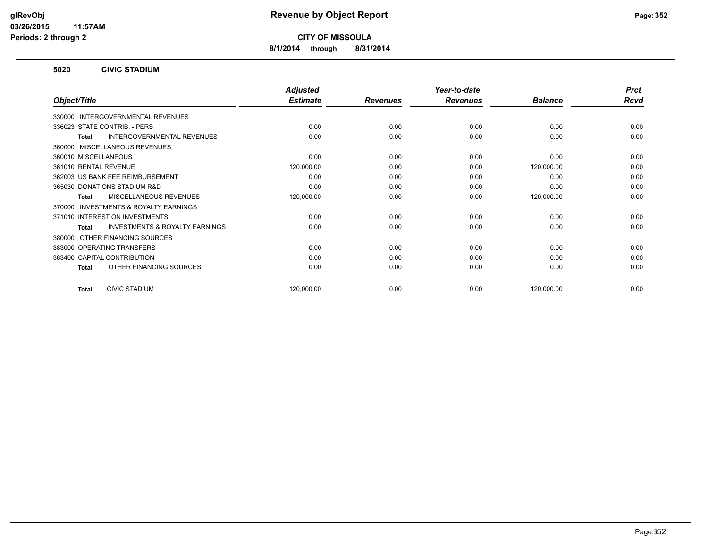**8/1/2014 through 8/31/2014**

#### **5020 CIVIC STADIUM**

|                                                    | <b>Adjusted</b> |                 | Year-to-date    |                | <b>Prct</b> |
|----------------------------------------------------|-----------------|-----------------|-----------------|----------------|-------------|
| Object/Title                                       | <b>Estimate</b> | <b>Revenues</b> | <b>Revenues</b> | <b>Balance</b> | <b>Rcvd</b> |
| 330000 INTERGOVERNMENTAL REVENUES                  |                 |                 |                 |                |             |
| 336023 STATE CONTRIB. - PERS                       | 0.00            | 0.00            | 0.00            | 0.00           | 0.00        |
| <b>INTERGOVERNMENTAL REVENUES</b><br>Total         | 0.00            | 0.00            | 0.00            | 0.00           | 0.00        |
| 360000 MISCELLANEOUS REVENUES                      |                 |                 |                 |                |             |
| 360010 MISCELLANEOUS                               | 0.00            | 0.00            | 0.00            | 0.00           | 0.00        |
| 361010 RENTAL REVENUE                              | 120,000.00      | 0.00            | 0.00            | 120,000.00     | 0.00        |
| 362003 US BANK FEE REIMBURSEMENT                   | 0.00            | 0.00            | 0.00            | 0.00           | 0.00        |
| 365030 DONATIONS STADIUM R&D                       | 0.00            | 0.00            | 0.00            | 0.00           | 0.00        |
| <b>MISCELLANEOUS REVENUES</b><br>Total             | 120,000.00      | 0.00            | 0.00            | 120,000.00     | 0.00        |
| 370000 INVESTMENTS & ROYALTY EARNINGS              |                 |                 |                 |                |             |
| 371010 INTEREST ON INVESTMENTS                     | 0.00            | 0.00            | 0.00            | 0.00           | 0.00        |
| <b>INVESTMENTS &amp; ROYALTY EARNINGS</b><br>Total | 0.00            | 0.00            | 0.00            | 0.00           | 0.00        |
| OTHER FINANCING SOURCES<br>380000                  |                 |                 |                 |                |             |
| 383000 OPERATING TRANSFERS                         | 0.00            | 0.00            | 0.00            | 0.00           | 0.00        |
| 383400 CAPITAL CONTRIBUTION                        | 0.00            | 0.00            | 0.00            | 0.00           | 0.00        |
| OTHER FINANCING SOURCES<br><b>Total</b>            | 0.00            | 0.00            | 0.00            | 0.00           | 0.00        |
| <b>CIVIC STADIUM</b><br><b>Total</b>               | 120,000.00      | 0.00            | 0.00            | 120,000.00     | 0.00        |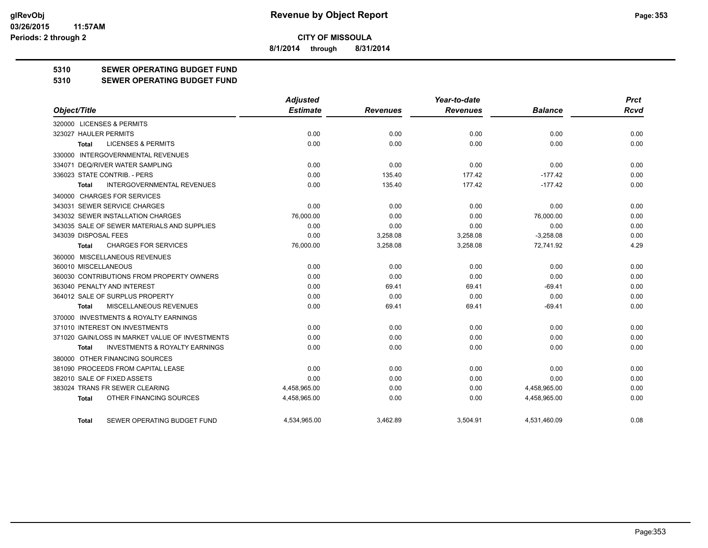**8/1/2014 through 8/31/2014**

### **5310 SEWER OPERATING BUDGET FUND**

#### **5310 SEWER OPERATING BUDGET FUND**

|                                                    | <b>Adjusted</b> |                 | Year-to-date    |                | <b>Prct</b> |
|----------------------------------------------------|-----------------|-----------------|-----------------|----------------|-------------|
| Object/Title                                       | <b>Estimate</b> | <b>Revenues</b> | <b>Revenues</b> | <b>Balance</b> | <b>Rcvd</b> |
| 320000 LICENSES & PERMITS                          |                 |                 |                 |                |             |
| 323027 HAULER PERMITS                              | 0.00            | 0.00            | 0.00            | 0.00           | 0.00        |
| <b>LICENSES &amp; PERMITS</b><br><b>Total</b>      | 0.00            | 0.00            | 0.00            | 0.00           | 0.00        |
| 330000 INTERGOVERNMENTAL REVENUES                  |                 |                 |                 |                |             |
| 334071 DEQ/RIVER WATER SAMPLING                    | 0.00            | 0.00            | 0.00            | 0.00           | 0.00        |
| 336023 STATE CONTRIB. - PERS                       | 0.00            | 135.40          | 177.42          | $-177.42$      | 0.00        |
| <b>INTERGOVERNMENTAL REVENUES</b><br><b>Total</b>  | 0.00            | 135.40          | 177.42          | $-177.42$      | 0.00        |
| 340000 CHARGES FOR SERVICES                        |                 |                 |                 |                |             |
| 343031 SEWER SERVICE CHARGES                       | 0.00            | 0.00            | 0.00            | 0.00           | 0.00        |
| 343032 SEWER INSTALLATION CHARGES                  | 76,000.00       | 0.00            | 0.00            | 76,000.00      | 0.00        |
| 343035 SALE OF SEWER MATERIALS AND SUPPLIES        | 0.00            | 0.00            | 0.00            | 0.00           | 0.00        |
| 343039 DISPOSAL FEES                               | 0.00            | 3,258.08        | 3,258.08        | $-3,258.08$    | 0.00        |
| <b>CHARGES FOR SERVICES</b><br><b>Total</b>        | 76,000.00       | 3,258.08        | 3,258.08        | 72,741.92      | 4.29        |
| 360000 MISCELLANEOUS REVENUES                      |                 |                 |                 |                |             |
| 360010 MISCELLANEOUS                               | 0.00            | 0.00            | 0.00            | 0.00           | 0.00        |
| 360030 CONTRIBUTIONS FROM PROPERTY OWNERS          | 0.00            | 0.00            | 0.00            | 0.00           | 0.00        |
| 363040 PENALTY AND INTEREST                        | 0.00            | 69.41           | 69.41           | $-69.41$       | 0.00        |
| 364012 SALE OF SURPLUS PROPERTY                    | 0.00            | 0.00            | 0.00            | 0.00           | 0.00        |
| MISCELLANEOUS REVENUES<br>Total                    | 0.00            | 69.41           | 69.41           | $-69.41$       | 0.00        |
| 370000 INVESTMENTS & ROYALTY EARNINGS              |                 |                 |                 |                |             |
| 371010 INTEREST ON INVESTMENTS                     | 0.00            | 0.00            | 0.00            | 0.00           | 0.00        |
| 371020 GAIN/LOSS IN MARKET VALUE OF INVESTMENTS    | 0.00            | 0.00            | 0.00            | 0.00           | 0.00        |
| <b>INVESTMENTS &amp; ROYALTY EARNINGS</b><br>Total | 0.00            | 0.00            | 0.00            | 0.00           | 0.00        |
| 380000 OTHER FINANCING SOURCES                     |                 |                 |                 |                |             |
| 381090 PROCEEDS FROM CAPITAL LEASE                 | 0.00            | 0.00            | 0.00            | 0.00           | 0.00        |
| 382010 SALE OF FIXED ASSETS                        | 0.00            | 0.00            | 0.00            | 0.00           | 0.00        |
| 383024 TRANS FR SEWER CLEARING                     | 4,458,965.00    | 0.00            | 0.00            | 4,458,965.00   | 0.00        |
| OTHER FINANCING SOURCES<br><b>Total</b>            | 4,458,965.00    | 0.00            | 0.00            | 4,458,965.00   | 0.00        |
| SEWER OPERATING BUDGET FUND<br>Total               | 4.534.965.00    | 3.462.89        | 3.504.91        | 4.531.460.09   | 0.08        |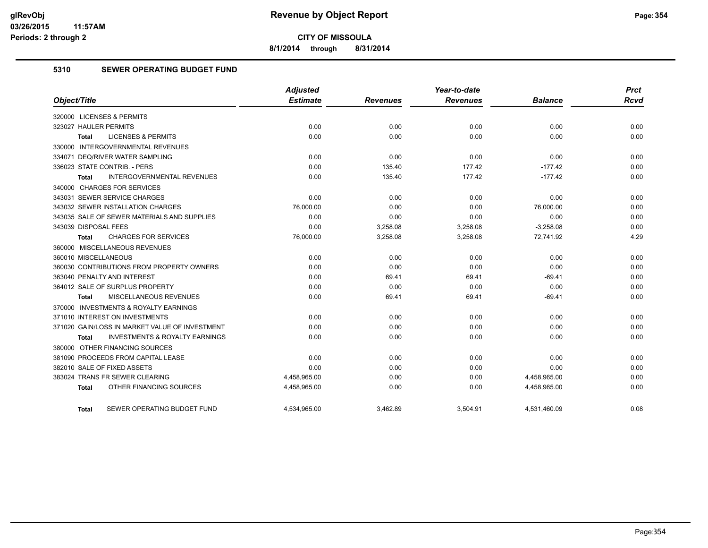**8/1/2014 through 8/31/2014**

#### **5310 SEWER OPERATING BUDGET FUND**

| Object/Title                                              | <b>Adjusted</b><br><b>Estimate</b> | <b>Revenues</b> | Year-to-date<br><b>Revenues</b> | <b>Balance</b> | <b>Prct</b><br><b>Rcvd</b> |
|-----------------------------------------------------------|------------------------------------|-----------------|---------------------------------|----------------|----------------------------|
|                                                           |                                    |                 |                                 |                |                            |
| 320000 LICENSES & PERMITS                                 |                                    |                 |                                 |                |                            |
| 323027 HAULER PERMITS                                     | 0.00                               | 0.00            | 0.00                            | 0.00           | 0.00                       |
| <b>LICENSES &amp; PERMITS</b><br><b>Total</b>             | 0.00                               | 0.00            | 0.00                            | 0.00           | 0.00                       |
| 330000 INTERGOVERNMENTAL REVENUES                         |                                    |                 |                                 |                |                            |
| 334071 DEQ/RIVER WATER SAMPLING                           | 0.00                               | 0.00            | 0.00                            | 0.00           | 0.00                       |
| 336023 STATE CONTRIB. - PERS                              | 0.00                               | 135.40          | 177.42                          | $-177.42$      | 0.00                       |
| INTERGOVERNMENTAL REVENUES<br><b>Total</b>                | 0.00                               | 135.40          | 177.42                          | $-177.42$      | 0.00                       |
| 340000 CHARGES FOR SERVICES                               |                                    |                 |                                 |                |                            |
| 343031 SEWER SERVICE CHARGES                              | 0.00                               | 0.00            | 0.00                            | 0.00           | 0.00                       |
| 343032 SEWER INSTALLATION CHARGES                         | 76,000.00                          | 0.00            | 0.00                            | 76,000.00      | 0.00                       |
| 343035 SALE OF SEWER MATERIALS AND SUPPLIES               | 0.00                               | 0.00            | 0.00                            | 0.00           | 0.00                       |
| 343039 DISPOSAL FEES                                      | 0.00                               | 3,258.08        | 3,258.08                        | $-3,258.08$    | 0.00                       |
| <b>CHARGES FOR SERVICES</b><br><b>Total</b>               | 76,000.00                          | 3,258.08        | 3,258.08                        | 72,741.92      | 4.29                       |
| 360000 MISCELLANEOUS REVENUES                             |                                    |                 |                                 |                |                            |
| 360010 MISCELLANEOUS                                      | 0.00                               | 0.00            | 0.00                            | 0.00           | 0.00                       |
| 360030 CONTRIBUTIONS FROM PROPERTY OWNERS                 | 0.00                               | 0.00            | 0.00                            | 0.00           | 0.00                       |
| 363040 PENALTY AND INTEREST                               | 0.00                               | 69.41           | 69.41                           | $-69.41$       | 0.00                       |
| 364012 SALE OF SURPLUS PROPERTY                           | 0.00                               | 0.00            | 0.00                            | 0.00           | 0.00                       |
| MISCELLANEOUS REVENUES<br><b>Total</b>                    | 0.00                               | 69.41           | 69.41                           | $-69.41$       | 0.00                       |
| 370000 INVESTMENTS & ROYALTY EARNINGS                     |                                    |                 |                                 |                |                            |
| 371010 INTEREST ON INVESTMENTS                            | 0.00                               | 0.00            | 0.00                            | 0.00           | 0.00                       |
| 371020 GAIN/LOSS IN MARKET VALUE OF INVESTMENT            | 0.00                               | 0.00            | 0.00                            | 0.00           | 0.00                       |
| <b>INVESTMENTS &amp; ROYALTY EARNINGS</b><br><b>Total</b> | 0.00                               | 0.00            | 0.00                            | 0.00           | 0.00                       |
| 380000 OTHER FINANCING SOURCES                            |                                    |                 |                                 |                |                            |
| 381090 PROCEEDS FROM CAPITAL LEASE                        | 0.00                               | 0.00            | 0.00                            | 0.00           | 0.00                       |
| 382010 SALE OF FIXED ASSETS                               | 0.00                               | 0.00            | 0.00                            | 0.00           | 0.00                       |
| 383024 TRANS FR SEWER CLEARING                            | 4,458,965.00                       | 0.00            | 0.00                            | 4,458,965.00   | 0.00                       |
| OTHER FINANCING SOURCES<br><b>Total</b>                   | 4,458,965.00                       | 0.00            | 0.00                            | 4,458,965.00   | 0.00                       |
| SEWER OPERATING BUDGET FUND<br><b>Total</b>               | 4,534,965.00                       | 3,462.89        | 3,504.91                        | 4,531,460.09   | 0.08                       |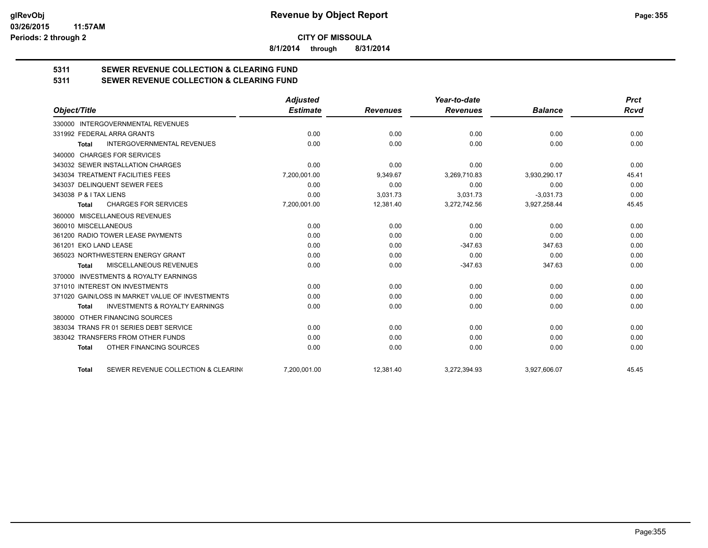**8/1/2014 through 8/31/2014**

# **5311 SEWER REVENUE COLLECTION & CLEARING FUND**

|                                                           | <b>Adjusted</b> |                 | Year-to-date    |                | <b>Prct</b> |
|-----------------------------------------------------------|-----------------|-----------------|-----------------|----------------|-------------|
| Object/Title                                              | <b>Estimate</b> | <b>Revenues</b> | <b>Revenues</b> | <b>Balance</b> | <b>Rcvd</b> |
| 330000 INTERGOVERNMENTAL REVENUES                         |                 |                 |                 |                |             |
| 331992 FEDERAL ARRA GRANTS                                | 0.00            | 0.00            | 0.00            | 0.00           | 0.00        |
| <b>INTERGOVERNMENTAL REVENUES</b><br>Total                | 0.00            | 0.00            | 0.00            | 0.00           | 0.00        |
| <b>CHARGES FOR SERVICES</b><br>340000                     |                 |                 |                 |                |             |
| 343032 SEWER INSTALLATION CHARGES                         | 0.00            | 0.00            | 0.00            | 0.00           | 0.00        |
| 343034 TREATMENT FACILITIES FEES                          | 7,200,001.00    | 9,349.67        | 3,269,710.83    | 3,930,290.17   | 45.41       |
| 343037 DELINQUENT SEWER FEES                              | 0.00            | 0.00            | 0.00            | 0.00           | 0.00        |
| 343038 P & I TAX LIENS                                    | 0.00            | 3,031.73        | 3,031.73        | $-3,031.73$    | 0.00        |
| <b>CHARGES FOR SERVICES</b><br><b>Total</b>               | 7,200,001.00    | 12,381.40       | 3,272,742.56    | 3,927,258.44   | 45.45       |
| MISCELLANEOUS REVENUES<br>360000                          |                 |                 |                 |                |             |
| 360010 MISCELLANEOUS                                      | 0.00            | 0.00            | 0.00            | 0.00           | 0.00        |
| 361200 RADIO TOWER LEASE PAYMENTS                         | 0.00            | 0.00            | 0.00            | 0.00           | 0.00        |
| 361201 EKO LAND LEASE                                     | 0.00            | 0.00            | $-347.63$       | 347.63         | 0.00        |
| 365023 NORTHWESTERN ENERGY GRANT                          | 0.00            | 0.00            | 0.00            | 0.00           | 0.00        |
| MISCELLANEOUS REVENUES<br><b>Total</b>                    | 0.00            | 0.00            | $-347.63$       | 347.63         | 0.00        |
| <b>INVESTMENTS &amp; ROYALTY EARNINGS</b><br>370000       |                 |                 |                 |                |             |
| 371010 INTEREST ON INVESTMENTS                            | 0.00            | 0.00            | 0.00            | 0.00           | 0.00        |
| 371020 GAIN/LOSS IN MARKET VALUE OF INVESTMENTS           | 0.00            | 0.00            | 0.00            | 0.00           | 0.00        |
| <b>INVESTMENTS &amp; ROYALTY EARNINGS</b><br><b>Total</b> | 0.00            | 0.00            | 0.00            | 0.00           | 0.00        |
| OTHER FINANCING SOURCES<br>380000                         |                 |                 |                 |                |             |
| 383034 TRANS FR 01 SERIES DEBT SERVICE                    | 0.00            | 0.00            | 0.00            | 0.00           | 0.00        |
| 383042 TRANSFERS FROM OTHER FUNDS                         | 0.00            | 0.00            | 0.00            | 0.00           | 0.00        |
| OTHER FINANCING SOURCES<br><b>Total</b>                   | 0.00            | 0.00            | 0.00            | 0.00           | 0.00        |
| SEWER REVENUE COLLECTION & CLEARING<br><b>Total</b>       | 7,200,001.00    | 12,381.40       | 3,272,394.93    | 3,927,606.07   | 45.45       |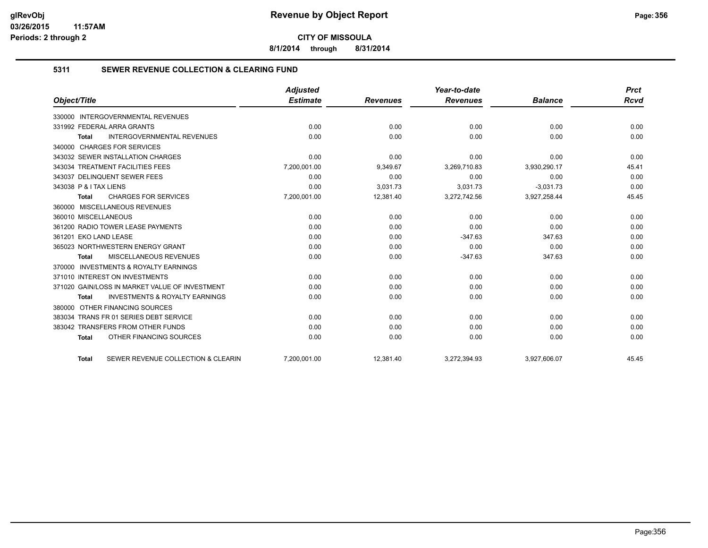**8/1/2014 through 8/31/2014**

#### **5311 SEWER REVENUE COLLECTION & CLEARING FUND**

|                                                           | <b>Adjusted</b> |                 | Year-to-date    |                | <b>Prct</b> |
|-----------------------------------------------------------|-----------------|-----------------|-----------------|----------------|-------------|
| Object/Title                                              | <b>Estimate</b> | <b>Revenues</b> | <b>Revenues</b> | <b>Balance</b> | <b>Rcvd</b> |
| <b>INTERGOVERNMENTAL REVENUES</b><br>330000               |                 |                 |                 |                |             |
| 331992 FEDERAL ARRA GRANTS                                | 0.00            | 0.00            | 0.00            | 0.00           | 0.00        |
| <b>INTERGOVERNMENTAL REVENUES</b><br><b>Total</b>         | 0.00            | 0.00            | 0.00            | 0.00           | 0.00        |
| 340000 CHARGES FOR SERVICES                               |                 |                 |                 |                |             |
| 343032 SEWER INSTALLATION CHARGES                         | 0.00            | 0.00            | 0.00            | 0.00           | 0.00        |
| 343034 TREATMENT FACILITIES FEES                          | 7,200,001.00    | 9,349.67        | 3,269,710.83    | 3,930,290.17   | 45.41       |
| 343037 DELINQUENT SEWER FEES                              | 0.00            | 0.00            | 0.00            | 0.00           | 0.00        |
| 343038 P & I TAX LIENS                                    | 0.00            | 3.031.73        | 3.031.73        | $-3.031.73$    | 0.00        |
| <b>CHARGES FOR SERVICES</b><br><b>Total</b>               | 7,200,001.00    | 12,381.40       | 3,272,742.56    | 3,927,258.44   | 45.45       |
| 360000 MISCELLANEOUS REVENUES                             |                 |                 |                 |                |             |
| 360010 MISCELLANEOUS                                      | 0.00            | 0.00            | 0.00            | 0.00           | 0.00        |
| 361200 RADIO TOWER LEASE PAYMENTS                         | 0.00            | 0.00            | 0.00            | 0.00           | 0.00        |
| 361201 EKO LAND LEASE                                     | 0.00            | 0.00            | $-347.63$       | 347.63         | 0.00        |
| 365023 NORTHWESTERN ENERGY GRANT                          | 0.00            | 0.00            | 0.00            | 0.00           | 0.00        |
| MISCELLANEOUS REVENUES<br><b>Total</b>                    | 0.00            | 0.00            | $-347.63$       | 347.63         | 0.00        |
| 370000 INVESTMENTS & ROYALTY EARNINGS                     |                 |                 |                 |                |             |
| 371010 INTEREST ON INVESTMENTS                            | 0.00            | 0.00            | 0.00            | 0.00           | 0.00        |
| 371020 GAIN/LOSS IN MARKET VALUE OF INVESTMENT            | 0.00            | 0.00            | 0.00            | 0.00           | 0.00        |
| <b>INVESTMENTS &amp; ROYALTY EARNINGS</b><br><b>Total</b> | 0.00            | 0.00            | 0.00            | 0.00           | 0.00        |
| OTHER FINANCING SOURCES<br>380000                         |                 |                 |                 |                |             |
| 383034 TRANS FR 01 SERIES DEBT SERVICE                    | 0.00            | 0.00            | 0.00            | 0.00           | 0.00        |
| 383042 TRANSFERS FROM OTHER FUNDS                         | 0.00            | 0.00            | 0.00            | 0.00           | 0.00        |
| OTHER FINANCING SOURCES<br><b>Total</b>                   | 0.00            | 0.00            | 0.00            | 0.00           | 0.00        |
| SEWER REVENUE COLLECTION & CLEARIN<br><b>Total</b>        | 7,200,001.00    | 12,381.40       | 3,272,394.93    | 3,927,606.07   | 45.45       |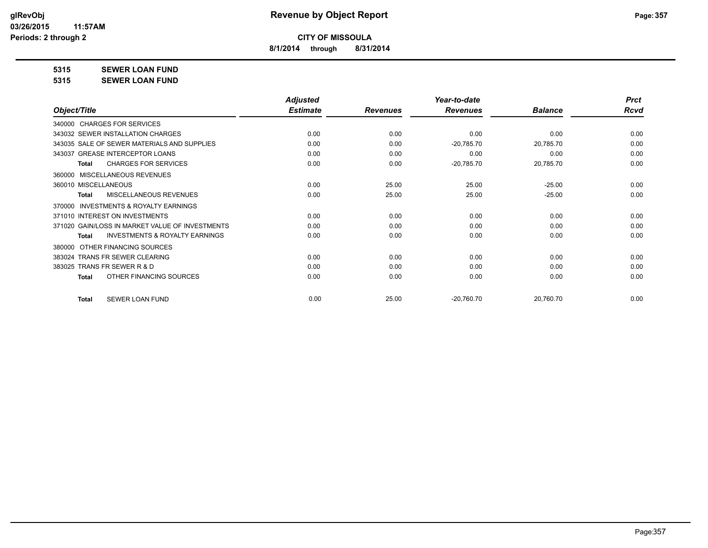**8/1/2014 through 8/31/2014**

**5315 SEWER LOAN FUND**

**5315 SEWER LOAN FUND**

|                                                           | <b>Adjusted</b> |                 | Year-to-date    |                | <b>Prct</b> |
|-----------------------------------------------------------|-----------------|-----------------|-----------------|----------------|-------------|
| Object/Title                                              | <b>Estimate</b> | <b>Revenues</b> | <b>Revenues</b> | <b>Balance</b> | <b>Rcvd</b> |
| 340000 CHARGES FOR SERVICES                               |                 |                 |                 |                |             |
| 343032 SEWER INSTALLATION CHARGES                         | 0.00            | 0.00            | 0.00            | 0.00           | 0.00        |
| 343035 SALE OF SEWER MATERIALS AND SUPPLIES               | 0.00            | 0.00            | $-20,785.70$    | 20,785.70      | 0.00        |
| 343037 GREASE INTERCEPTOR LOANS                           | 0.00            | 0.00            | 0.00            | 0.00           | 0.00        |
| <b>CHARGES FOR SERVICES</b><br><b>Total</b>               | 0.00            | 0.00            | $-20,785.70$    | 20,785.70      | 0.00        |
| MISCELLANEOUS REVENUES<br>360000                          |                 |                 |                 |                |             |
| 360010 MISCELLANEOUS                                      | 0.00            | 25.00           | 25.00           | $-25.00$       | 0.00        |
| MISCELLANEOUS REVENUES<br><b>Total</b>                    | 0.00            | 25.00           | 25.00           | $-25.00$       | 0.00        |
| <b>INVESTMENTS &amp; ROYALTY EARNINGS</b><br>370000       |                 |                 |                 |                |             |
| 371010 INTEREST ON INVESTMENTS                            | 0.00            | 0.00            | 0.00            | 0.00           | 0.00        |
| 371020 GAIN/LOSS IN MARKET VALUE OF INVESTMENTS           | 0.00            | 0.00            | 0.00            | 0.00           | 0.00        |
| <b>INVESTMENTS &amp; ROYALTY EARNINGS</b><br><b>Total</b> | 0.00            | 0.00            | 0.00            | 0.00           | 0.00        |
| OTHER FINANCING SOURCES<br>380000                         |                 |                 |                 |                |             |
| 383024 TRANS FR SEWER CLEARING                            | 0.00            | 0.00            | 0.00            | 0.00           | 0.00        |
| 383025 TRANS FR SEWER R & D                               | 0.00            | 0.00            | 0.00            | 0.00           | 0.00        |
| OTHER FINANCING SOURCES<br><b>Total</b>                   | 0.00            | 0.00            | 0.00            | 0.00           | 0.00        |
| <b>SEWER LOAN FUND</b><br><b>Total</b>                    | 0.00            | 25.00           | $-20,760.70$    | 20,760.70      | 0.00        |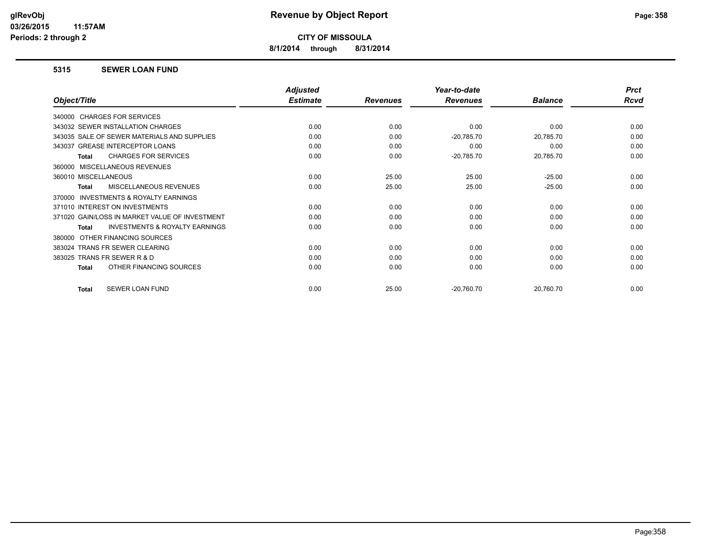**8/1/2014 through 8/31/2014**

#### **5315 SEWER LOAN FUND**

|                                                    | <b>Adjusted</b> |                 | Year-to-date    |                | <b>Prct</b> |
|----------------------------------------------------|-----------------|-----------------|-----------------|----------------|-------------|
| Object/Title                                       | <b>Estimate</b> | <b>Revenues</b> | <b>Revenues</b> | <b>Balance</b> | <b>Rcvd</b> |
| 340000 CHARGES FOR SERVICES                        |                 |                 |                 |                |             |
| 343032 SEWER INSTALLATION CHARGES                  | 0.00            | 0.00            | 0.00            | 0.00           | 0.00        |
| 343035 SALE OF SEWER MATERIALS AND SUPPLIES        | 0.00            | 0.00            | $-20,785.70$    | 20,785.70      | 0.00        |
| 343037 GREASE INTERCEPTOR LOANS                    | 0.00            | 0.00            | 0.00            | 0.00           | 0.00        |
| <b>CHARGES FOR SERVICES</b><br><b>Total</b>        | 0.00            | 0.00            | $-20,785.70$    | 20,785.70      | 0.00        |
| 360000 MISCELLANEOUS REVENUES                      |                 |                 |                 |                |             |
| 360010 MISCELLANEOUS                               | 0.00            | 25.00           | 25.00           | $-25.00$       | 0.00        |
| MISCELLANEOUS REVENUES<br><b>Total</b>             | 0.00            | 25.00           | 25.00           | $-25.00$       | 0.00        |
| INVESTMENTS & ROYALTY EARNINGS<br>370000           |                 |                 |                 |                |             |
| 371010 INTEREST ON INVESTMENTS                     | 0.00            | 0.00            | 0.00            | 0.00           | 0.00        |
| 371020 GAIN/LOSS IN MARKET VALUE OF INVESTMENT     | 0.00            | 0.00            | 0.00            | 0.00           | 0.00        |
| <b>INVESTMENTS &amp; ROYALTY EARNINGS</b><br>Total | 0.00            | 0.00            | 0.00            | 0.00           | 0.00        |
| OTHER FINANCING SOURCES<br>380000                  |                 |                 |                 |                |             |
| 383024 TRANS FR SEWER CLEARING                     | 0.00            | 0.00            | 0.00            | 0.00           | 0.00        |
| 383025 TRANS FR SEWER R & D                        | 0.00            | 0.00            | 0.00            | 0.00           | 0.00        |
| OTHER FINANCING SOURCES<br><b>Total</b>            | 0.00            | 0.00            | 0.00            | 0.00           | 0.00        |
| SEWER LOAN FUND<br><b>Total</b>                    | 0.00            | 25.00           | $-20,760.70$    | 20,760.70      | 0.00        |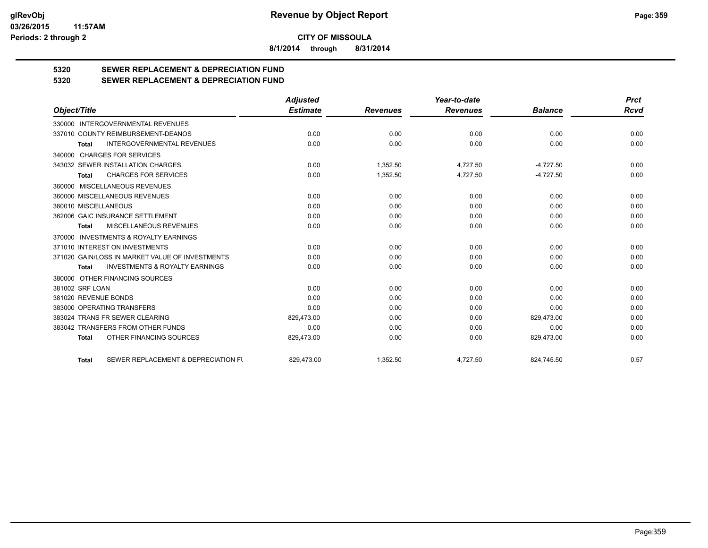**8/1/2014 through 8/31/2014**

# **5320 SEWER REPLACEMENT & DEPRECIATION FUND**

**5320 SEWER REPLACEMENT & DEPRECIATION FUND**

|                                                           | <b>Adjusted</b> |                 | Year-to-date    |                | <b>Prct</b> |
|-----------------------------------------------------------|-----------------|-----------------|-----------------|----------------|-------------|
| Object/Title                                              | <b>Estimate</b> | <b>Revenues</b> | <b>Revenues</b> | <b>Balance</b> | <b>Rcvd</b> |
| 330000 INTERGOVERNMENTAL REVENUES                         |                 |                 |                 |                |             |
| 337010 COUNTY REIMBURSEMENT-DEANOS                        | 0.00            | 0.00            | 0.00            | 0.00           | 0.00        |
| <b>INTERGOVERNMENTAL REVENUES</b><br><b>Total</b>         | 0.00            | 0.00            | 0.00            | 0.00           | 0.00        |
| 340000 CHARGES FOR SERVICES                               |                 |                 |                 |                |             |
| 343032 SEWER INSTALLATION CHARGES                         | 0.00            | 1,352.50        | 4,727.50        | $-4,727.50$    | 0.00        |
| <b>CHARGES FOR SERVICES</b><br><b>Total</b>               | 0.00            | 1,352.50        | 4,727.50        | $-4,727.50$    | 0.00        |
| 360000 MISCELLANEOUS REVENUES                             |                 |                 |                 |                |             |
| 360000 MISCELLANEOUS REVENUES                             | 0.00            | 0.00            | 0.00            | 0.00           | 0.00        |
| 360010 MISCELLANEOUS                                      | 0.00            | 0.00            | 0.00            | 0.00           | 0.00        |
| 362006 GAIC INSURANCE SETTLEMENT                          | 0.00            | 0.00            | 0.00            | 0.00           | 0.00        |
| MISCELLANEOUS REVENUES<br><b>Total</b>                    | 0.00            | 0.00            | 0.00            | 0.00           | 0.00        |
| 370000 INVESTMENTS & ROYALTY EARNINGS                     |                 |                 |                 |                |             |
| 371010 INTEREST ON INVESTMENTS                            | 0.00            | 0.00            | 0.00            | 0.00           | 0.00        |
| 371020 GAIN/LOSS IN MARKET VALUE OF INVESTMENTS           | 0.00            | 0.00            | 0.00            | 0.00           | 0.00        |
| <b>INVESTMENTS &amp; ROYALTY EARNINGS</b><br><b>Total</b> | 0.00            | 0.00            | 0.00            | 0.00           | 0.00        |
| 380000 OTHER FINANCING SOURCES                            |                 |                 |                 |                |             |
| 381002 SRF LOAN                                           | 0.00            | 0.00            | 0.00            | 0.00           | 0.00        |
| 381020 REVENUE BONDS                                      | 0.00            | 0.00            | 0.00            | 0.00           | 0.00        |
| 383000 OPERATING TRANSFERS                                | 0.00            | 0.00            | 0.00            | 0.00           | 0.00        |
| 383024 TRANS FR SEWER CLEARING                            | 829,473.00      | 0.00            | 0.00            | 829,473.00     | 0.00        |
| 383042 TRANSFERS FROM OTHER FUNDS                         | 0.00            | 0.00            | 0.00            | 0.00           | 0.00        |
| OTHER FINANCING SOURCES<br><b>Total</b>                   | 829,473.00      | 0.00            | 0.00            | 829,473.00     | 0.00        |
| SEWER REPLACEMENT & DEPRECIATION FI<br><b>Total</b>       | 829,473.00      | 1.352.50        | 4,727.50        | 824,745.50     | 0.57        |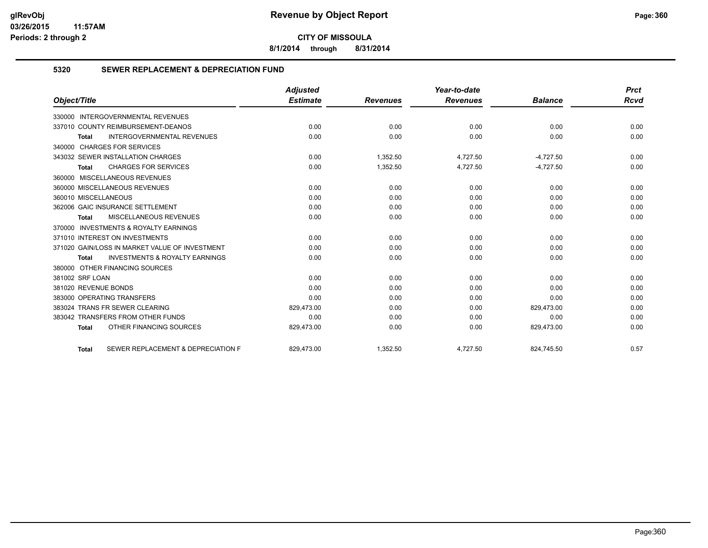**8/1/2014 through 8/31/2014**

#### **5320 SEWER REPLACEMENT & DEPRECIATION FUND**

| Object/Title                                              | <b>Adjusted</b> |                 | Year-to-date    |                | <b>Prct</b> |
|-----------------------------------------------------------|-----------------|-----------------|-----------------|----------------|-------------|
|                                                           | <b>Estimate</b> | <b>Revenues</b> | <b>Revenues</b> | <b>Balance</b> | Rcvd        |
| 330000 INTERGOVERNMENTAL REVENUES                         |                 |                 |                 |                |             |
| 337010 COUNTY REIMBURSEMENT-DEANOS                        | 0.00            | 0.00            | 0.00            | 0.00           | 0.00        |
| <b>INTERGOVERNMENTAL REVENUES</b><br><b>Total</b>         | 0.00            | 0.00            | 0.00            | 0.00           | 0.00        |
| 340000 CHARGES FOR SERVICES                               |                 |                 |                 |                |             |
| 343032 SEWER INSTALLATION CHARGES                         | 0.00            | 1,352.50        | 4,727.50        | $-4,727.50$    | 0.00        |
| <b>CHARGES FOR SERVICES</b><br><b>Total</b>               | 0.00            | 1,352.50        | 4,727.50        | $-4,727.50$    | 0.00        |
| 360000 MISCELLANEOUS REVENUES                             |                 |                 |                 |                |             |
| 360000 MISCELLANEOUS REVENUES                             | 0.00            | 0.00            | 0.00            | 0.00           | 0.00        |
| 360010 MISCELLANEOUS                                      | 0.00            | 0.00            | 0.00            | 0.00           | 0.00        |
| 362006 GAIC INSURANCE SETTLEMENT                          | 0.00            | 0.00            | 0.00            | 0.00           | 0.00        |
| <b>MISCELLANEOUS REVENUES</b><br><b>Total</b>             | 0.00            | 0.00            | 0.00            | 0.00           | 0.00        |
| 370000 INVESTMENTS & ROYALTY EARNINGS                     |                 |                 |                 |                |             |
| 371010 INTEREST ON INVESTMENTS                            | 0.00            | 0.00            | 0.00            | 0.00           | 0.00        |
| 371020 GAIN/LOSS IN MARKET VALUE OF INVESTMENT            | 0.00            | 0.00            | 0.00            | 0.00           | 0.00        |
| <b>INVESTMENTS &amp; ROYALTY EARNINGS</b><br><b>Total</b> | 0.00            | 0.00            | 0.00            | 0.00           | 0.00        |
| 380000 OTHER FINANCING SOURCES                            |                 |                 |                 |                |             |
| 381002 SRF LOAN                                           | 0.00            | 0.00            | 0.00            | 0.00           | 0.00        |
| 381020 REVENUE BONDS                                      | 0.00            | 0.00            | 0.00            | 0.00           | 0.00        |
| 383000 OPERATING TRANSFERS                                | 0.00            | 0.00            | 0.00            | 0.00           | 0.00        |
| 383024 TRANS FR SEWER CLEARING                            | 829,473.00      | 0.00            | 0.00            | 829,473.00     | 0.00        |
| 383042 TRANSFERS FROM OTHER FUNDS                         | 0.00            | 0.00            | 0.00            | 0.00           | 0.00        |
| OTHER FINANCING SOURCES<br><b>Total</b>                   | 829,473.00      | 0.00            | 0.00            | 829,473.00     | 0.00        |
| SEWER REPLACEMENT & DEPRECIATION F<br><b>Total</b>        | 829.473.00      | 1.352.50        | 4.727.50        | 824.745.50     | 0.57        |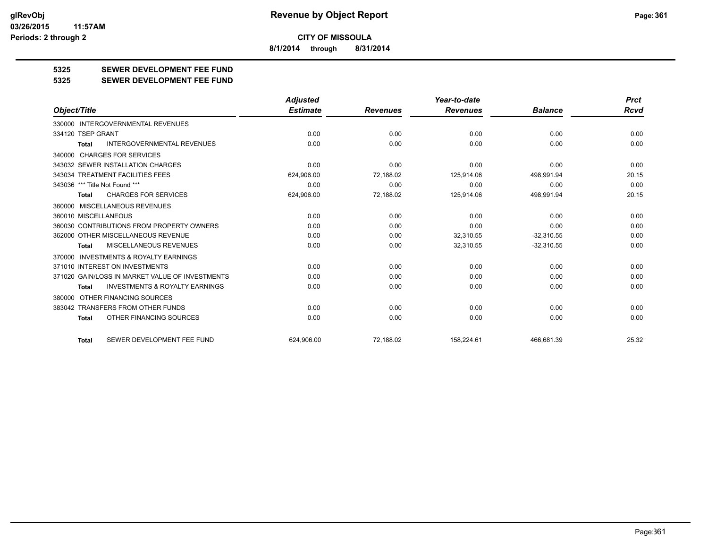**8/1/2014 through 8/31/2014**

## **5325 SEWER DEVELOPMENT FEE FUND**

**5325 SEWER DEVELOPMENT FEE FUND**

|                                                    | <b>Adjusted</b> |                 | Year-to-date    |                | <b>Prct</b> |
|----------------------------------------------------|-----------------|-----------------|-----------------|----------------|-------------|
| Object/Title                                       | <b>Estimate</b> | <b>Revenues</b> | <b>Revenues</b> | <b>Balance</b> | <b>Rcvd</b> |
| 330000 INTERGOVERNMENTAL REVENUES                  |                 |                 |                 |                |             |
| 334120 TSEP GRANT                                  | 0.00            | 0.00            | 0.00            | 0.00           | 0.00        |
| <b>INTERGOVERNMENTAL REVENUES</b><br><b>Total</b>  | 0.00            | 0.00            | 0.00            | 0.00           | 0.00        |
| 340000 CHARGES FOR SERVICES                        |                 |                 |                 |                |             |
| 343032 SEWER INSTALLATION CHARGES                  | 0.00            | 0.00            | 0.00            | 0.00           | 0.00        |
| 343034 TREATMENT FACILITIES FEES                   | 624,906.00      | 72,188.02       | 125.914.06      | 498,991.94     | 20.15       |
| 343036 *** Title Not Found ***                     | 0.00            | 0.00            | 0.00            | 0.00           | 0.00        |
| <b>CHARGES FOR SERVICES</b><br>Total               | 624,906.00      | 72,188.02       | 125,914.06      | 498,991.94     | 20.15       |
| 360000 MISCELLANEOUS REVENUES                      |                 |                 |                 |                |             |
| 360010 MISCELLANEOUS                               | 0.00            | 0.00            | 0.00            | 0.00           | 0.00        |
| 360030 CONTRIBUTIONS FROM PROPERTY OWNERS          | 0.00            | 0.00            | 0.00            | 0.00           | 0.00        |
| 362000 OTHER MISCELLANEOUS REVENUE                 | 0.00            | 0.00            | 32,310.55       | $-32,310.55$   | 0.00        |
| <b>MISCELLANEOUS REVENUES</b><br><b>Total</b>      | 0.00            | 0.00            | 32,310.55       | $-32,310.55$   | 0.00        |
| INVESTMENTS & ROYALTY EARNINGS<br>370000           |                 |                 |                 |                |             |
| 371010 INTEREST ON INVESTMENTS                     | 0.00            | 0.00            | 0.00            | 0.00           | 0.00        |
| 371020 GAIN/LOSS IN MARKET VALUE OF INVESTMENTS    | 0.00            | 0.00            | 0.00            | 0.00           | 0.00        |
| <b>INVESTMENTS &amp; ROYALTY EARNINGS</b><br>Total | 0.00            | 0.00            | 0.00            | 0.00           | 0.00        |
| 380000 OTHER FINANCING SOURCES                     |                 |                 |                 |                |             |
| 383042 TRANSFERS FROM OTHER FUNDS                  | 0.00            | 0.00            | 0.00            | 0.00           | 0.00        |
| OTHER FINANCING SOURCES<br>Total                   | 0.00            | 0.00            | 0.00            | 0.00           | 0.00        |
| SEWER DEVELOPMENT FEE FUND<br><b>Total</b>         | 624.906.00      | 72,188.02       | 158.224.61      | 466.681.39     | 25.32       |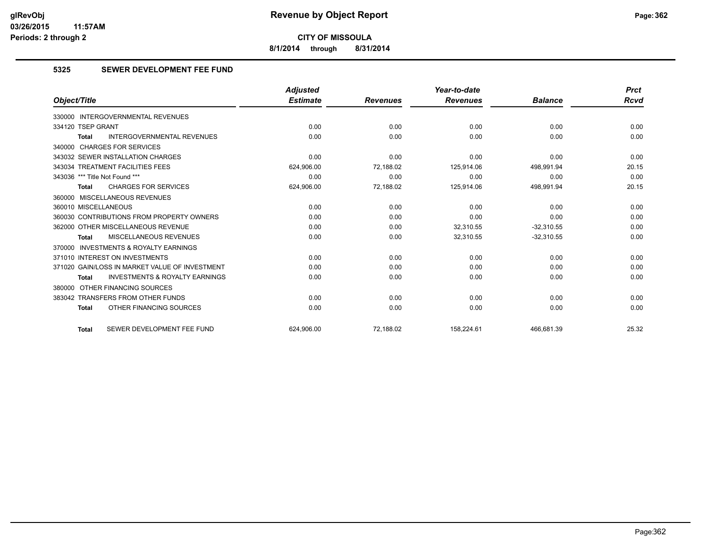**8/1/2014 through 8/31/2014**

#### **5325 SEWER DEVELOPMENT FEE FUND**

|                                                    | <b>Adjusted</b> |                 | Year-to-date    |                | <b>Prct</b> |
|----------------------------------------------------|-----------------|-----------------|-----------------|----------------|-------------|
| Object/Title                                       | <b>Estimate</b> | <b>Revenues</b> | <b>Revenues</b> | <b>Balance</b> | Rcvd        |
| 330000 INTERGOVERNMENTAL REVENUES                  |                 |                 |                 |                |             |
| 334120 TSEP GRANT                                  | 0.00            | 0.00            | 0.00            | 0.00           | 0.00        |
| <b>INTERGOVERNMENTAL REVENUES</b><br><b>Total</b>  | 0.00            | 0.00            | 0.00            | 0.00           | 0.00        |
| 340000 CHARGES FOR SERVICES                        |                 |                 |                 |                |             |
| 343032 SEWER INSTALLATION CHARGES                  | 0.00            | 0.00            | 0.00            | 0.00           | 0.00        |
| 343034 TREATMENT FACILITIES FEES                   | 624,906.00      | 72,188.02       | 125,914.06      | 498,991.94     | 20.15       |
| 343036 *** Title Not Found ***                     | 0.00            | 0.00            | 0.00            | 0.00           | 0.00        |
| <b>CHARGES FOR SERVICES</b><br><b>Total</b>        | 624,906.00      | 72,188.02       | 125,914.06      | 498,991.94     | 20.15       |
| 360000 MISCELLANEOUS REVENUES                      |                 |                 |                 |                |             |
| 360010 MISCELLANEOUS                               | 0.00            | 0.00            | 0.00            | 0.00           | 0.00        |
| 360030 CONTRIBUTIONS FROM PROPERTY OWNERS          | 0.00            | 0.00            | 0.00            | 0.00           | 0.00        |
| 362000 OTHER MISCELLANEOUS REVENUE                 | 0.00            | 0.00            | 32,310.55       | $-32,310.55$   | 0.00        |
| MISCELLANEOUS REVENUES<br><b>Total</b>             | 0.00            | 0.00            | 32,310.55       | $-32,310.55$   | 0.00        |
| 370000 INVESTMENTS & ROYALTY EARNINGS              |                 |                 |                 |                |             |
| 371010 INTEREST ON INVESTMENTS                     | 0.00            | 0.00            | 0.00            | 0.00           | 0.00        |
| 371020 GAIN/LOSS IN MARKET VALUE OF INVESTMENT     | 0.00            | 0.00            | 0.00            | 0.00           | 0.00        |
| <b>INVESTMENTS &amp; ROYALTY EARNINGS</b><br>Total | 0.00            | 0.00            | 0.00            | 0.00           | 0.00        |
| 380000 OTHER FINANCING SOURCES                     |                 |                 |                 |                |             |
| 383042 TRANSFERS FROM OTHER FUNDS                  | 0.00            | 0.00            | 0.00            | 0.00           | 0.00        |
| OTHER FINANCING SOURCES<br><b>Total</b>            | 0.00            | 0.00            | 0.00            | 0.00           | 0.00        |
| SEWER DEVELOPMENT FEE FUND<br><b>Total</b>         | 624.906.00      | 72.188.02       | 158.224.61      | 466,681.39     | 25.32       |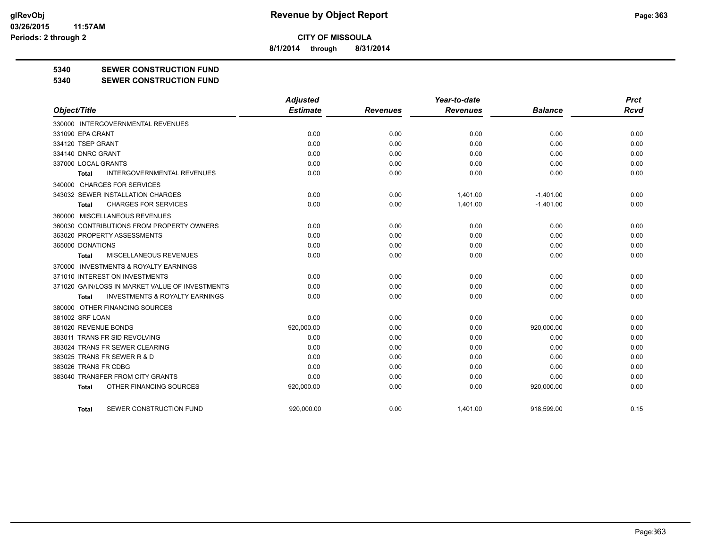**8/1/2014 through 8/31/2014**

#### **5340 SEWER CONSTRUCTION FUND**

#### **5340 SEWER CONSTRUCTION FUND**

|                                                    | <b>Adjusted</b> |                 | Year-to-date    |                | <b>Prct</b> |
|----------------------------------------------------|-----------------|-----------------|-----------------|----------------|-------------|
| Object/Title                                       | <b>Estimate</b> | <b>Revenues</b> | <b>Revenues</b> | <b>Balance</b> | <b>Rcvd</b> |
| 330000 INTERGOVERNMENTAL REVENUES                  |                 |                 |                 |                |             |
| 331090 EPA GRANT                                   | 0.00            | 0.00            | 0.00            | 0.00           | 0.00        |
| 334120 TSEP GRANT                                  | 0.00            | 0.00            | 0.00            | 0.00           | 0.00        |
| 334140 DNRC GRANT                                  | 0.00            | 0.00            | 0.00            | 0.00           | 0.00        |
| 337000 LOCAL GRANTS                                | 0.00            | 0.00            | 0.00            | 0.00           | 0.00        |
| <b>INTERGOVERNMENTAL REVENUES</b><br>Total         | 0.00            | 0.00            | 0.00            | 0.00           | 0.00        |
| 340000 CHARGES FOR SERVICES                        |                 |                 |                 |                |             |
| 343032 SEWER INSTALLATION CHARGES                  | 0.00            | 0.00            | 1,401.00        | $-1,401.00$    | 0.00        |
| <b>CHARGES FOR SERVICES</b><br>Total               | 0.00            | 0.00            | 1,401.00        | $-1,401.00$    | 0.00        |
| 360000 MISCELLANEOUS REVENUES                      |                 |                 |                 |                |             |
| 360030 CONTRIBUTIONS FROM PROPERTY OWNERS          | 0.00            | 0.00            | 0.00            | 0.00           | 0.00        |
| 363020 PROPERTY ASSESSMENTS                        | 0.00            | 0.00            | 0.00            | 0.00           | 0.00        |
| 365000 DONATIONS                                   | 0.00            | 0.00            | 0.00            | 0.00           | 0.00        |
| MISCELLANEOUS REVENUES<br>Total                    | 0.00            | 0.00            | 0.00            | 0.00           | 0.00        |
| 370000 INVESTMENTS & ROYALTY EARNINGS              |                 |                 |                 |                |             |
| 371010 INTEREST ON INVESTMENTS                     | 0.00            | 0.00            | 0.00            | 0.00           | 0.00        |
| 371020 GAIN/LOSS IN MARKET VALUE OF INVESTMENTS    | 0.00            | 0.00            | 0.00            | 0.00           | 0.00        |
| <b>INVESTMENTS &amp; ROYALTY EARNINGS</b><br>Total | 0.00            | 0.00            | 0.00            | 0.00           | 0.00        |
| 380000 OTHER FINANCING SOURCES                     |                 |                 |                 |                |             |
| 381002 SRF LOAN                                    | 0.00            | 0.00            | 0.00            | 0.00           | 0.00        |
| 381020 REVENUE BONDS                               | 920,000.00      | 0.00            | 0.00            | 920,000.00     | 0.00        |
| 383011 TRANS FR SID REVOLVING                      | 0.00            | 0.00            | 0.00            | 0.00           | 0.00        |
| 383024 TRANS FR SEWER CLEARING                     | 0.00            | 0.00            | 0.00            | 0.00           | 0.00        |
| 383025 TRANS FR SEWER R & D                        | 0.00            | 0.00            | 0.00            | 0.00           | 0.00        |
| 383026 TRANS FR CDBG                               | 0.00            | 0.00            | 0.00            | 0.00           | 0.00        |
| 383040 TRANSFER FROM CITY GRANTS                   | 0.00            | 0.00            | 0.00            | 0.00           | 0.00        |
| OTHER FINANCING SOURCES<br><b>Total</b>            | 920,000.00      | 0.00            | 0.00            | 920,000.00     | 0.00        |
| SEWER CONSTRUCTION FUND<br>Total                   | 920.000.00      | 0.00            | 1,401.00        | 918.599.00     | 0.15        |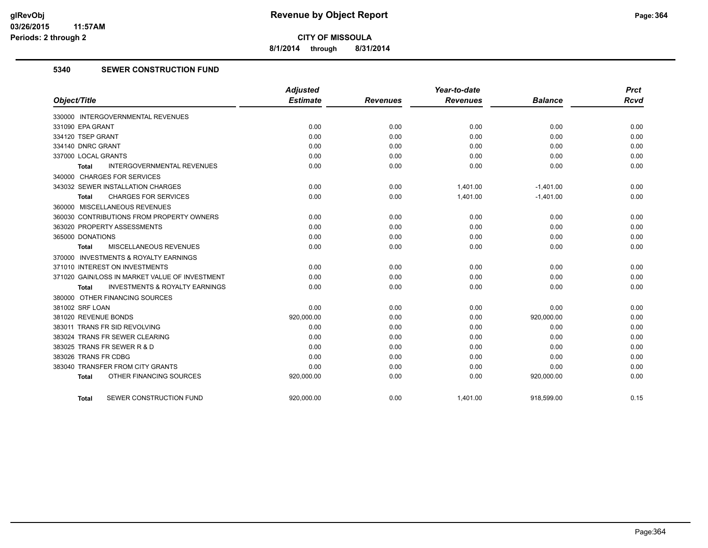**8/1/2014 through 8/31/2014**

#### **5340 SEWER CONSTRUCTION FUND**

|                                                    | <b>Adjusted</b> |                 | Year-to-date    |                | <b>Prct</b> |
|----------------------------------------------------|-----------------|-----------------|-----------------|----------------|-------------|
| Object/Title                                       | <b>Estimate</b> | <b>Revenues</b> | <b>Revenues</b> | <b>Balance</b> | <b>Rcvd</b> |
| 330000 INTERGOVERNMENTAL REVENUES                  |                 |                 |                 |                |             |
| 331090 EPA GRANT                                   | 0.00            | 0.00            | 0.00            | 0.00           | 0.00        |
| 334120 TSEP GRANT                                  | 0.00            | 0.00            | 0.00            | 0.00           | 0.00        |
| 334140 DNRC GRANT                                  | 0.00            | 0.00            | 0.00            | 0.00           | 0.00        |
| 337000 LOCAL GRANTS                                | 0.00            | 0.00            | 0.00            | 0.00           | 0.00        |
| <b>INTERGOVERNMENTAL REVENUES</b><br>Total         | 0.00            | 0.00            | 0.00            | 0.00           | 0.00        |
| 340000 CHARGES FOR SERVICES                        |                 |                 |                 |                |             |
| 343032 SEWER INSTALLATION CHARGES                  | 0.00            | 0.00            | 1,401.00        | $-1,401.00$    | 0.00        |
| <b>CHARGES FOR SERVICES</b><br>Total               | 0.00            | 0.00            | 1,401.00        | $-1,401.00$    | 0.00        |
| 360000 MISCELLANEOUS REVENUES                      |                 |                 |                 |                |             |
| 360030 CONTRIBUTIONS FROM PROPERTY OWNERS          | 0.00            | 0.00            | 0.00            | 0.00           | 0.00        |
| 363020 PROPERTY ASSESSMENTS                        | 0.00            | 0.00            | 0.00            | 0.00           | 0.00        |
| 365000 DONATIONS                                   | 0.00            | 0.00            | 0.00            | 0.00           | 0.00        |
| <b>MISCELLANEOUS REVENUES</b><br>Total             | 0.00            | 0.00            | 0.00            | 0.00           | 0.00        |
| 370000 INVESTMENTS & ROYALTY EARNINGS              |                 |                 |                 |                |             |
| 371010 INTEREST ON INVESTMENTS                     | 0.00            | 0.00            | 0.00            | 0.00           | 0.00        |
| 371020 GAIN/LOSS IN MARKET VALUE OF INVESTMENT     | 0.00            | 0.00            | 0.00            | 0.00           | 0.00        |
| <b>INVESTMENTS &amp; ROYALTY EARNINGS</b><br>Total | 0.00            | 0.00            | 0.00            | 0.00           | 0.00        |
| 380000 OTHER FINANCING SOURCES                     |                 |                 |                 |                |             |
| 381002 SRF LOAN                                    | 0.00            | 0.00            | 0.00            | 0.00           | 0.00        |
| 381020 REVENUE BONDS                               | 920,000.00      | 0.00            | 0.00            | 920,000.00     | 0.00        |
| 383011 TRANS FR SID REVOLVING                      | 0.00            | 0.00            | 0.00            | 0.00           | 0.00        |
| 383024 TRANS FR SEWER CLEARING                     | 0.00            | 0.00            | 0.00            | 0.00           | 0.00        |
| 383025 TRANS FR SEWER R & D                        | 0.00            | 0.00            | 0.00            | 0.00           | 0.00        |
| 383026 TRANS FR CDBG                               | 0.00            | 0.00            | 0.00            | 0.00           | 0.00        |
| 383040 TRANSFER FROM CITY GRANTS                   | 0.00            | 0.00            | 0.00            | 0.00           | 0.00        |
| OTHER FINANCING SOURCES<br><b>Total</b>            | 920,000.00      | 0.00            | 0.00            | 920,000.00     | 0.00        |
| SEWER CONSTRUCTION FUND<br><b>Total</b>            | 920,000.00      | 0.00            | 1,401.00        | 918,599.00     | 0.15        |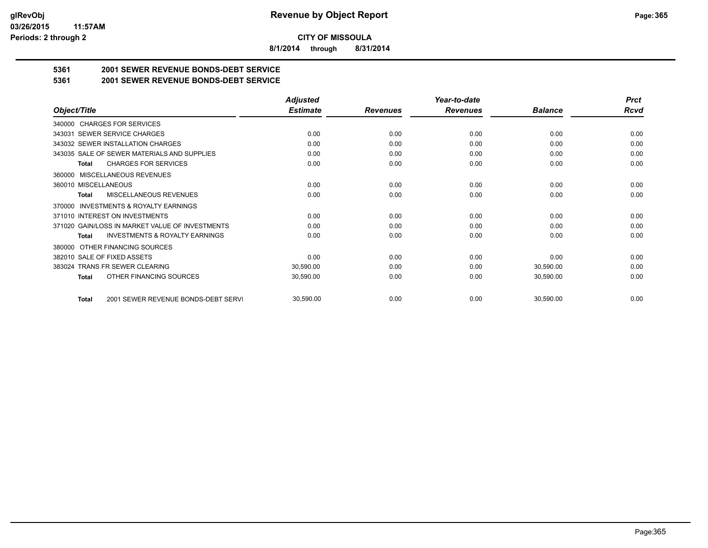**8/1/2014 through 8/31/2014**

## **5361 2001 SEWER REVENUE BONDS-DEBT SERVICE**

**5361 2001 SEWER REVENUE BONDS-DEBT SERVICE**

|                                                           | <b>Adjusted</b> |                 | Year-to-date    |                | <b>Prct</b> |
|-----------------------------------------------------------|-----------------|-----------------|-----------------|----------------|-------------|
| Object/Title                                              | <b>Estimate</b> | <b>Revenues</b> | <b>Revenues</b> | <b>Balance</b> | <b>Rcvd</b> |
| 340000 CHARGES FOR SERVICES                               |                 |                 |                 |                |             |
| <b>SEWER SERVICE CHARGES</b><br>343031                    | 0.00            | 0.00            | 0.00            | 0.00           | 0.00        |
| 343032 SEWER INSTALLATION CHARGES                         | 0.00            | 0.00            | 0.00            | 0.00           | 0.00        |
| 343035 SALE OF SEWER MATERIALS AND SUPPLIES               | 0.00            | 0.00            | 0.00            | 0.00           | 0.00        |
| <b>CHARGES FOR SERVICES</b><br><b>Total</b>               | 0.00            | 0.00            | 0.00            | 0.00           | 0.00        |
| <b>MISCELLANEOUS REVENUES</b><br>360000                   |                 |                 |                 |                |             |
| 360010 MISCELLANEOUS                                      | 0.00            | 0.00            | 0.00            | 0.00           | 0.00        |
| <b>MISCELLANEOUS REVENUES</b><br>Total                    | 0.00            | 0.00            | 0.00            | 0.00           | 0.00        |
| <b>INVESTMENTS &amp; ROYALTY EARNINGS</b><br>370000       |                 |                 |                 |                |             |
| 371010 INTEREST ON INVESTMENTS                            | 0.00            | 0.00            | 0.00            | 0.00           | 0.00        |
| 371020 GAIN/LOSS IN MARKET VALUE OF INVESTMENTS           | 0.00            | 0.00            | 0.00            | 0.00           | 0.00        |
| <b>INVESTMENTS &amp; ROYALTY EARNINGS</b><br><b>Total</b> | 0.00            | 0.00            | 0.00            | 0.00           | 0.00        |
| OTHER FINANCING SOURCES<br>380000                         |                 |                 |                 |                |             |
| 382010 SALE OF FIXED ASSETS                               | 0.00            | 0.00            | 0.00            | 0.00           | 0.00        |
| 383024 TRANS FR SEWER CLEARING                            | 30,590.00       | 0.00            | 0.00            | 30,590.00      | 0.00        |
| OTHER FINANCING SOURCES<br>Total                          | 30,590.00       | 0.00            | 0.00            | 30,590.00      | 0.00        |
|                                                           |                 |                 |                 |                |             |
| 2001 SEWER REVENUE BONDS-DEBT SERVI<br><b>Total</b>       | 30,590.00       | 0.00            | 0.00            | 30,590.00      | 0.00        |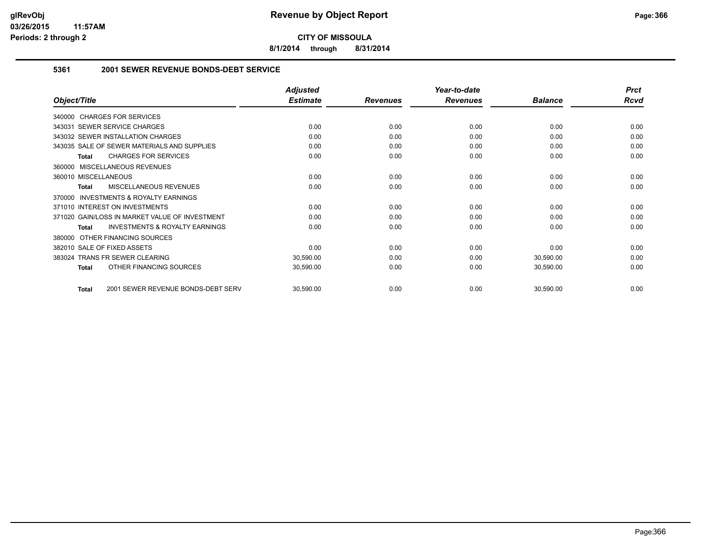**8/1/2014 through 8/31/2014**

#### **5361 2001 SEWER REVENUE BONDS-DEBT SERVICE**

|                                                    | <b>Adjusted</b> |                 | Year-to-date    |                | <b>Prct</b> |
|----------------------------------------------------|-----------------|-----------------|-----------------|----------------|-------------|
| Object/Title                                       | <b>Estimate</b> | <b>Revenues</b> | <b>Revenues</b> | <b>Balance</b> | Rcvd        |
| 340000 CHARGES FOR SERVICES                        |                 |                 |                 |                |             |
| SEWER SERVICE CHARGES<br>343031                    | 0.00            | 0.00            | 0.00            | 0.00           | 0.00        |
| 343032 SEWER INSTALLATION CHARGES                  | 0.00            | 0.00            | 0.00            | 0.00           | 0.00        |
| 343035 SALE OF SEWER MATERIALS AND SUPPLIES        | 0.00            | 0.00            | 0.00            | 0.00           | 0.00        |
| <b>CHARGES FOR SERVICES</b><br>Total               | 0.00            | 0.00            | 0.00            | 0.00           | 0.00        |
| 360000 MISCELLANEOUS REVENUES                      |                 |                 |                 |                |             |
| 360010 MISCELLANEOUS                               | 0.00            | 0.00            | 0.00            | 0.00           | 0.00        |
| MISCELLANEOUS REVENUES<br>Total                    | 0.00            | 0.00            | 0.00            | 0.00           | 0.00        |
| INVESTMENTS & ROYALTY EARNINGS<br>370000           |                 |                 |                 |                |             |
| 371010 INTEREST ON INVESTMENTS                     | 0.00            | 0.00            | 0.00            | 0.00           | 0.00        |
| 371020 GAIN/LOSS IN MARKET VALUE OF INVESTMENT     | 0.00            | 0.00            | 0.00            | 0.00           | 0.00        |
| <b>INVESTMENTS &amp; ROYALTY EARNINGS</b><br>Total | 0.00            | 0.00            | 0.00            | 0.00           | 0.00        |
| OTHER FINANCING SOURCES<br>380000                  |                 |                 |                 |                |             |
| 382010 SALE OF FIXED ASSETS                        | 0.00            | 0.00            | 0.00            | 0.00           | 0.00        |
| <b>TRANS FR SEWER CLEARING</b><br>383024           | 30,590.00       | 0.00            | 0.00            | 30,590.00      | 0.00        |
| OTHER FINANCING SOURCES<br><b>Total</b>            | 30,590.00       | 0.00            | 0.00            | 30,590.00      | 0.00        |
| 2001 SEWER REVENUE BONDS-DEBT SERV<br><b>Total</b> | 30,590.00       | 0.00            | 0.00            | 30,590.00      | 0.00        |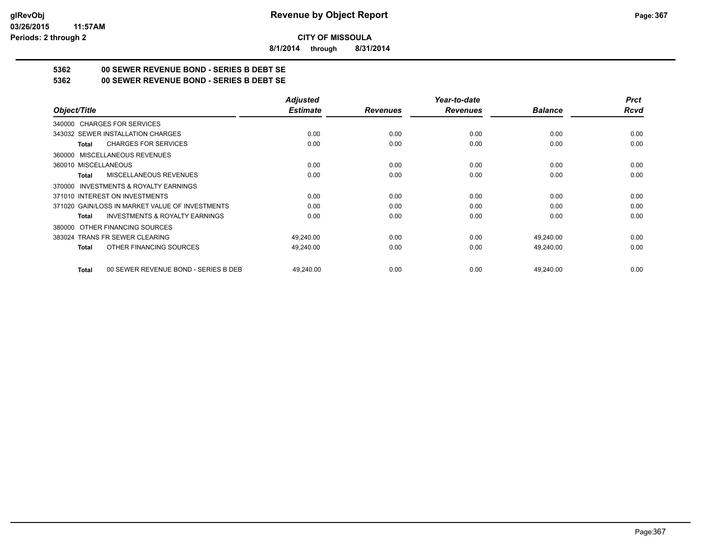**8/1/2014 through 8/31/2014**

## **5362 00 SEWER REVENUE BOND - SERIES B DEBT SE**

**5362 00 SEWER REVENUE BOND - SERIES B DEBT SE**

|                                                      | <b>Adjusted</b> |                 | Year-to-date    |                | <b>Prct</b> |
|------------------------------------------------------|-----------------|-----------------|-----------------|----------------|-------------|
| Object/Title                                         | <b>Estimate</b> | <b>Revenues</b> | <b>Revenues</b> | <b>Balance</b> | Rcvd        |
| 340000 CHARGES FOR SERVICES                          |                 |                 |                 |                |             |
| 343032 SEWER INSTALLATION CHARGES                    | 0.00            | 0.00            | 0.00            | 0.00           | 0.00        |
| <b>CHARGES FOR SERVICES</b><br>Total                 | 0.00            | 0.00            | 0.00            | 0.00           | 0.00        |
| 360000 MISCELLANEOUS REVENUES                        |                 |                 |                 |                |             |
| 360010 MISCELLANEOUS                                 | 0.00            | 0.00            | 0.00            | 0.00           | 0.00        |
| <b>MISCELLANEOUS REVENUES</b><br>Total               | 0.00            | 0.00            | 0.00            | 0.00           | 0.00        |
| 370000 INVESTMENTS & ROYALTY EARNINGS                |                 |                 |                 |                |             |
| 371010 INTEREST ON INVESTMENTS                       | 0.00            | 0.00            | 0.00            | 0.00           | 0.00        |
| 371020 GAIN/LOSS IN MARKET VALUE OF INVESTMENTS      | 0.00            | 0.00            | 0.00            | 0.00           | 0.00        |
| <b>INVESTMENTS &amp; ROYALTY EARNINGS</b><br>Total   | 0.00            | 0.00            | 0.00            | 0.00           | 0.00        |
| OTHER FINANCING SOURCES<br>380000                    |                 |                 |                 |                |             |
| 383024 TRANS FR SEWER CLEARING                       | 49,240.00       | 0.00            | 0.00            | 49,240.00      | 0.00        |
| OTHER FINANCING SOURCES<br>Total                     | 49,240.00       | 0.00            | 0.00            | 49,240.00      | 0.00        |
|                                                      |                 |                 |                 |                |             |
| 00 SEWER REVENUE BOND - SERIES B DEB<br><b>Total</b> | 49,240.00       | 0.00            | 0.00            | 49,240.00      | 0.00        |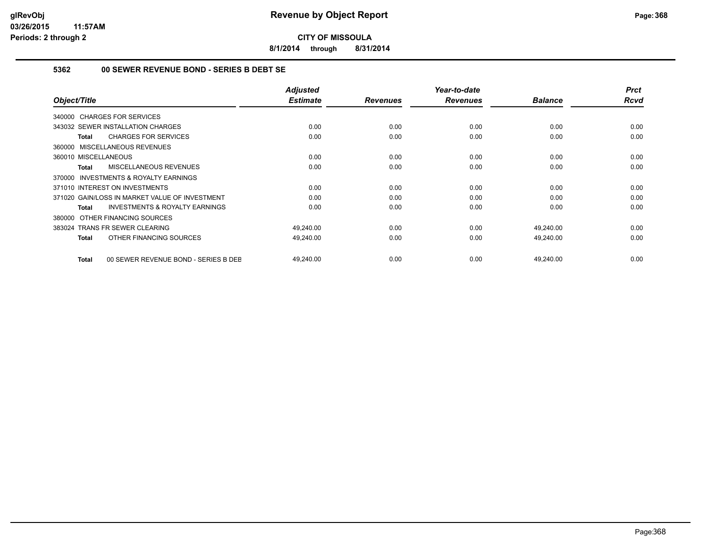**8/1/2014 through 8/31/2014**

#### **5362 00 SEWER REVENUE BOND - SERIES B DEBT SE**

| Object/Title                                        | <b>Adjusted</b><br><b>Estimate</b> | <b>Revenues</b> | Year-to-date<br><b>Revenues</b> | <b>Balance</b> | <b>Prct</b><br><b>Rcvd</b> |
|-----------------------------------------------------|------------------------------------|-----------------|---------------------------------|----------------|----------------------------|
| 340000 CHARGES FOR SERVICES                         |                                    |                 |                                 |                |                            |
| 343032 SEWER INSTALLATION CHARGES                   | 0.00                               | 0.00            | 0.00                            | 0.00           | 0.00                       |
|                                                     |                                    |                 |                                 |                |                            |
| <b>CHARGES FOR SERVICES</b><br>Total                | 0.00                               | 0.00            | 0.00                            | 0.00           | 0.00                       |
| 360000 MISCELLANEOUS REVENUES                       |                                    |                 |                                 |                |                            |
| 360010 MISCELLANEOUS                                | 0.00                               | 0.00            | 0.00                            | 0.00           | 0.00                       |
| <b>MISCELLANEOUS REVENUES</b><br>Total              | 0.00                               | 0.00            | 0.00                            | 0.00           | 0.00                       |
| <b>INVESTMENTS &amp; ROYALTY EARNINGS</b><br>370000 |                                    |                 |                                 |                |                            |
| 371010 INTEREST ON INVESTMENTS                      | 0.00                               | 0.00            | 0.00                            | 0.00           | 0.00                       |
| 371020 GAIN/LOSS IN MARKET VALUE OF INVESTMENT      | 0.00                               | 0.00            | 0.00                            | 0.00           | 0.00                       |
| <b>INVESTMENTS &amp; ROYALTY EARNINGS</b><br>Total  | 0.00                               | 0.00            | 0.00                            | 0.00           | 0.00                       |
| 380000 OTHER FINANCING SOURCES                      |                                    |                 |                                 |                |                            |
| 383024 TRANS FR SEWER CLEARING                      | 49,240.00                          | 0.00            | 0.00                            | 49,240.00      | 0.00                       |
| OTHER FINANCING SOURCES<br>Total                    | 49,240.00                          | 0.00            | 0.00                            | 49,240.00      | 0.00                       |
| 00 SEWER REVENUE BOND - SERIES B DEE<br>Total       | 49,240.00                          | 0.00            | 0.00                            | 49,240.00      | 0.00                       |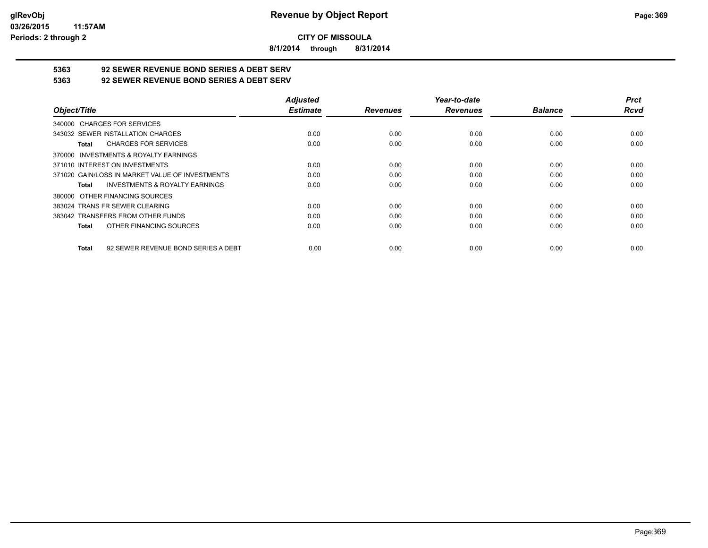**8/1/2014 through 8/31/2014**

# **5363 92 SEWER REVENUE BOND SERIES A DEBT SERV**

**5363 92 SEWER REVENUE BOND SERIES A DEBT SERV**

|                                                     | <b>Adjusted</b> |                 | Year-to-date    |                | <b>Prct</b> |
|-----------------------------------------------------|-----------------|-----------------|-----------------|----------------|-------------|
| Object/Title                                        | <b>Estimate</b> | <b>Revenues</b> | <b>Revenues</b> | <b>Balance</b> | <b>Rcvd</b> |
| 340000 CHARGES FOR SERVICES                         |                 |                 |                 |                |             |
| 343032 SEWER INSTALLATION CHARGES                   | 0.00            | 0.00            | 0.00            | 0.00           | 0.00        |
| <b>CHARGES FOR SERVICES</b><br>Total                | 0.00            | 0.00            | 0.00            | 0.00           | 0.00        |
| 370000 INVESTMENTS & ROYALTY EARNINGS               |                 |                 |                 |                |             |
| 371010 INTEREST ON INVESTMENTS                      | 0.00            | 0.00            | 0.00            | 0.00           | 0.00        |
| 371020 GAIN/LOSS IN MARKET VALUE OF INVESTMENTS     | 0.00            | 0.00            | 0.00            | 0.00           | 0.00        |
| <b>INVESTMENTS &amp; ROYALTY EARNINGS</b><br>Total  | 0.00            | 0.00            | 0.00            | 0.00           | 0.00        |
| 380000 OTHER FINANCING SOURCES                      |                 |                 |                 |                |             |
| 383024 TRANS FR SEWER CLEARING                      | 0.00            | 0.00            | 0.00            | 0.00           | 0.00        |
| 383042 TRANSFERS FROM OTHER FUNDS                   | 0.00            | 0.00            | 0.00            | 0.00           | 0.00        |
| OTHER FINANCING SOURCES<br><b>Total</b>             | 0.00            | 0.00            | 0.00            | 0.00           | 0.00        |
| 92 SEWER REVENUE BOND SERIES A DEBT<br><b>Total</b> | 0.00            | 0.00            | 0.00            | 0.00           | 0.00        |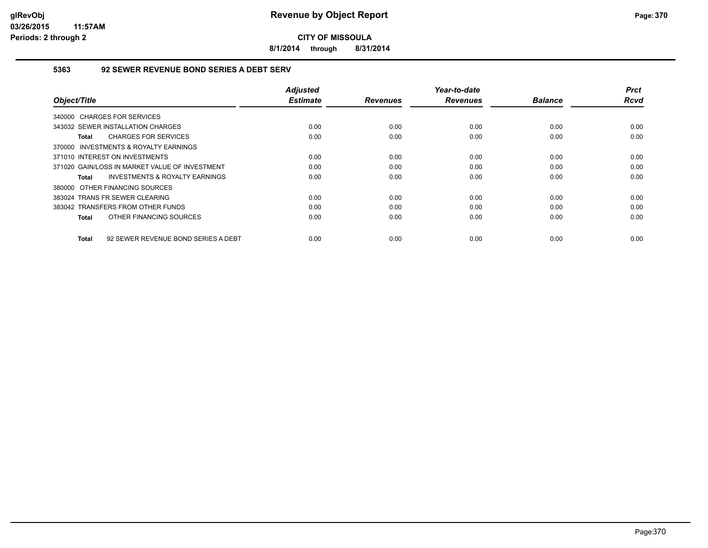**8/1/2014 through 8/31/2014**

#### **5363 92 SEWER REVENUE BOND SERIES A DEBT SERV**

| Object/Title                                        | <b>Adjusted</b><br><b>Estimate</b> | <b>Revenues</b> | Year-to-date<br><b>Revenues</b> | <b>Balance</b> | <b>Prct</b><br>Rcvd |
|-----------------------------------------------------|------------------------------------|-----------------|---------------------------------|----------------|---------------------|
| 340000 CHARGES FOR SERVICES                         |                                    |                 |                                 |                |                     |
| 343032 SEWER INSTALLATION CHARGES                   | 0.00                               | 0.00            | 0.00                            | 0.00           | 0.00                |
| <b>CHARGES FOR SERVICES</b><br>Total                | 0.00                               | 0.00            | 0.00                            | 0.00           | 0.00                |
| 370000 INVESTMENTS & ROYALTY EARNINGS               |                                    |                 |                                 |                |                     |
| 371010 INTEREST ON INVESTMENTS                      | 0.00                               | 0.00            | 0.00                            | 0.00           | 0.00                |
| 371020 GAIN/LOSS IN MARKET VALUE OF INVESTMENT      | 0.00                               | 0.00            | 0.00                            | 0.00           | 0.00                |
| <b>INVESTMENTS &amp; ROYALTY EARNINGS</b><br>Total  | 0.00                               | 0.00            | 0.00                            | 0.00           | 0.00                |
| 380000 OTHER FINANCING SOURCES                      |                                    |                 |                                 |                |                     |
| 383024 TRANS FR SEWER CLEARING                      | 0.00                               | 0.00            | 0.00                            | 0.00           | 0.00                |
| 383042 TRANSFERS FROM OTHER FUNDS                   | 0.00                               | 0.00            | 0.00                            | 0.00           | 0.00                |
| OTHER FINANCING SOURCES<br>Total                    | 0.00                               | 0.00            | 0.00                            | 0.00           | 0.00                |
| 92 SEWER REVENUE BOND SERIES A DEBT<br><b>Total</b> | 0.00                               | 0.00            | 0.00                            | 0.00           | 0.00                |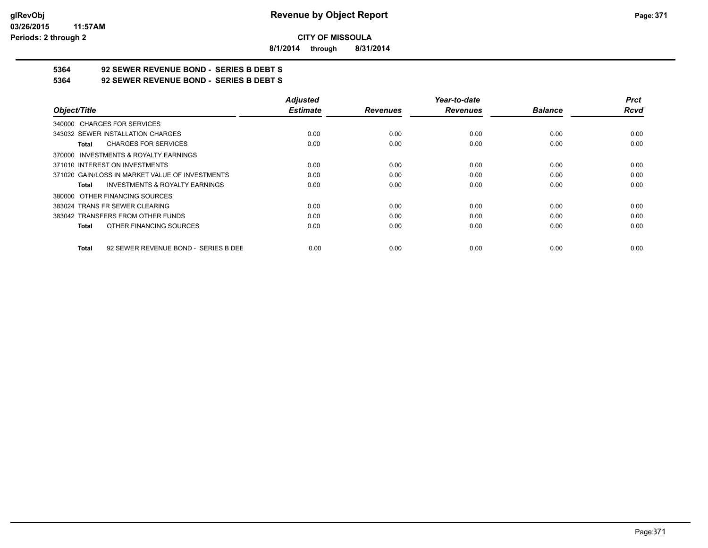**8/1/2014 through 8/31/2014**

# **5364 92 SEWER REVENUE BOND - SERIES B DEBT S**

**5364 92 SEWER REVENUE BOND - SERIES B DEBT S**

|                                                      | <b>Adjusted</b> |                 | Year-to-date    |                | <b>Prct</b> |
|------------------------------------------------------|-----------------|-----------------|-----------------|----------------|-------------|
| Object/Title                                         | <b>Estimate</b> | <b>Revenues</b> | <b>Revenues</b> | <b>Balance</b> | <b>Rcvd</b> |
| 340000 CHARGES FOR SERVICES                          |                 |                 |                 |                |             |
| 343032 SEWER INSTALLATION CHARGES                    | 0.00            | 0.00            | 0.00            | 0.00           | 0.00        |
| <b>CHARGES FOR SERVICES</b><br>Total                 | 0.00            | 0.00            | 0.00            | 0.00           | 0.00        |
| INVESTMENTS & ROYALTY EARNINGS<br>370000             |                 |                 |                 |                |             |
| 371010 INTEREST ON INVESTMENTS                       | 0.00            | 0.00            | 0.00            | 0.00           | 0.00        |
| 371020 GAIN/LOSS IN MARKET VALUE OF INVESTMENTS      | 0.00            | 0.00            | 0.00            | 0.00           | 0.00        |
| <b>INVESTMENTS &amp; ROYALTY EARNINGS</b><br>Total   | 0.00            | 0.00            | 0.00            | 0.00           | 0.00        |
| OTHER FINANCING SOURCES<br>380000                    |                 |                 |                 |                |             |
| 383024 TRANS FR SEWER CLEARING                       | 0.00            | 0.00            | 0.00            | 0.00           | 0.00        |
| 383042 TRANSFERS FROM OTHER FUNDS                    | 0.00            | 0.00            | 0.00            | 0.00           | 0.00        |
| OTHER FINANCING SOURCES<br>Total                     | 0.00            | 0.00            | 0.00            | 0.00           | 0.00        |
| 92 SEWER REVENUE BOND - SERIES B DEE<br><b>Total</b> | 0.00            | 0.00            | 0.00            | 0.00           | 0.00        |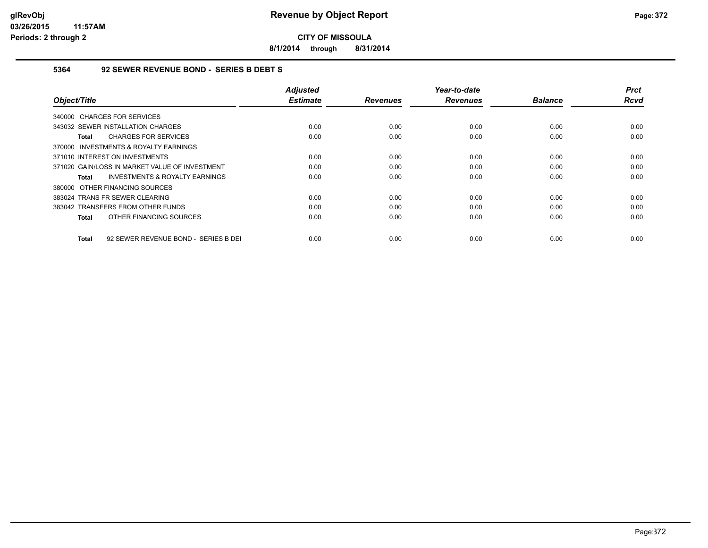**8/1/2014 through 8/31/2014**

#### **5364 92 SEWER REVENUE BOND - SERIES B DEBT S**

| Object/Title                                         | <b>Adjusted</b><br><b>Estimate</b> | <b>Revenues</b> | Year-to-date<br><b>Revenues</b> | <b>Balance</b> | <b>Prct</b><br><b>Rcvd</b> |
|------------------------------------------------------|------------------------------------|-----------------|---------------------------------|----------------|----------------------------|
| 340000 CHARGES FOR SERVICES                          |                                    |                 |                                 |                |                            |
| 343032 SEWER INSTALLATION CHARGES                    | 0.00                               | 0.00            | 0.00                            | 0.00           | 0.00                       |
| <b>CHARGES FOR SERVICES</b><br>Total                 | 0.00                               | 0.00            | 0.00                            | 0.00           | 0.00                       |
| 370000 INVESTMENTS & ROYALTY EARNINGS                |                                    |                 |                                 |                |                            |
| 371010 INTEREST ON INVESTMENTS                       | 0.00                               | 0.00            | 0.00                            | 0.00           | 0.00                       |
| 371020 GAIN/LOSS IN MARKET VALUE OF INVESTMENT       | 0.00                               | 0.00            | 0.00                            | 0.00           | 0.00                       |
| <b>INVESTMENTS &amp; ROYALTY EARNINGS</b><br>Total   | 0.00                               | 0.00            | 0.00                            | 0.00           | 0.00                       |
| 380000 OTHER FINANCING SOURCES                       |                                    |                 |                                 |                |                            |
| 383024 TRANS FR SEWER CLEARING                       | 0.00                               | 0.00            | 0.00                            | 0.00           | 0.00                       |
| 383042 TRANSFERS FROM OTHER FUNDS                    | 0.00                               | 0.00            | 0.00                            | 0.00           | 0.00                       |
| OTHER FINANCING SOURCES<br>Total                     | 0.00                               | 0.00            | 0.00                            | 0.00           | 0.00                       |
| 92 SEWER REVENUE BOND - SERIES B DEI<br><b>Total</b> | 0.00                               | 0.00            | 0.00                            | 0.00           | 0.00                       |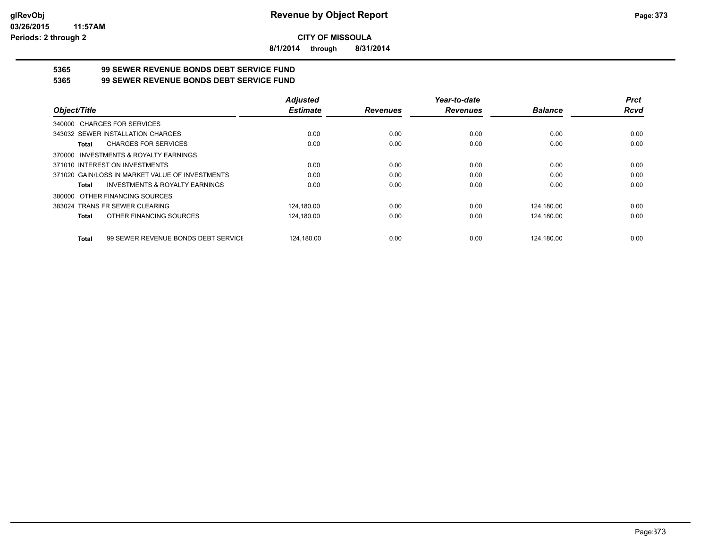**8/1/2014 through 8/31/2014**

# **5365 99 SEWER REVENUE BONDS DEBT SERVICE FUND**

**5365 99 SEWER REVENUE BONDS DEBT SERVICE FUND**

|                                                     | <b>Adjusted</b> |                 | Year-to-date    |                | <b>Prct</b> |
|-----------------------------------------------------|-----------------|-----------------|-----------------|----------------|-------------|
| Object/Title                                        | <b>Estimate</b> | <b>Revenues</b> | <b>Revenues</b> | <b>Balance</b> | <b>Rcvd</b> |
| 340000 CHARGES FOR SERVICES                         |                 |                 |                 |                |             |
| 343032 SEWER INSTALLATION CHARGES                   | 0.00            | 0.00            | 0.00            | 0.00           | 0.00        |
| <b>CHARGES FOR SERVICES</b><br>Total                | 0.00            | 0.00            | 0.00            | 0.00           | 0.00        |
| INVESTMENTS & ROYALTY EARNINGS<br>370000            |                 |                 |                 |                |             |
| 371010 INTEREST ON INVESTMENTS                      | 0.00            | 0.00            | 0.00            | 0.00           | 0.00        |
| 371020 GAIN/LOSS IN MARKET VALUE OF INVESTMENTS     | 0.00            | 0.00            | 0.00            | 0.00           | 0.00        |
| <b>INVESTMENTS &amp; ROYALTY EARNINGS</b><br>Total  | 0.00            | 0.00            | 0.00            | 0.00           | 0.00        |
| OTHER FINANCING SOURCES<br>380000                   |                 |                 |                 |                |             |
| 383024 TRANS FR SEWER CLEARING                      | 124.180.00      | 0.00            | 0.00            | 124.180.00     | 0.00        |
| OTHER FINANCING SOURCES<br><b>Total</b>             | 124.180.00      | 0.00            | 0.00            | 124.180.00     | 0.00        |
| 99 SEWER REVENUE BONDS DEBT SERVICE<br><b>Total</b> | 124.180.00      | 0.00            | 0.00            | 124.180.00     | 0.00        |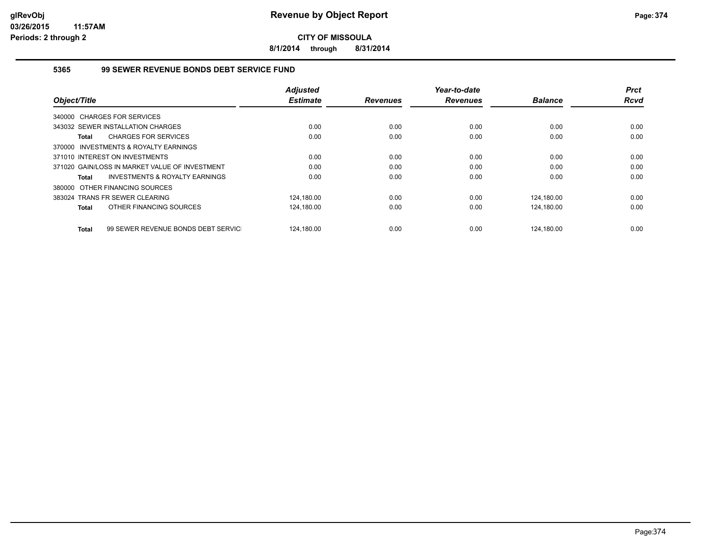**8/1/2014 through 8/31/2014**

#### **5365 99 SEWER REVENUE BONDS DEBT SERVICE FUND**

|                                                           | <b>Adjusted</b> |                 | Year-to-date    |                | <b>Prct</b> |
|-----------------------------------------------------------|-----------------|-----------------|-----------------|----------------|-------------|
| Object/Title                                              | <b>Estimate</b> | <b>Revenues</b> | <b>Revenues</b> | <b>Balance</b> | <b>Rcvd</b> |
| 340000 CHARGES FOR SERVICES                               |                 |                 |                 |                |             |
| 343032 SEWER INSTALLATION CHARGES                         | 0.00            | 0.00            | 0.00            | 0.00           | 0.00        |
| <b>CHARGES FOR SERVICES</b><br><b>Total</b>               | 0.00            | 0.00            | 0.00            | 0.00           | 0.00        |
| INVESTMENTS & ROYALTY EARNINGS<br>370000                  |                 |                 |                 |                |             |
| 371010 INTEREST ON INVESTMENTS                            | 0.00            | 0.00            | 0.00            | 0.00           | 0.00        |
| 371020 GAIN/LOSS IN MARKET VALUE OF INVESTMENT            | 0.00            | 0.00            | 0.00            | 0.00           | 0.00        |
| <b>INVESTMENTS &amp; ROYALTY EARNINGS</b><br><b>Total</b> | 0.00            | 0.00            | 0.00            | 0.00           | 0.00        |
| 380000 OTHER FINANCING SOURCES                            |                 |                 |                 |                |             |
| 383024 TRANS FR SEWER CLEARING                            | 124,180.00      | 0.00            | 0.00            | 124,180.00     | 0.00        |
| OTHER FINANCING SOURCES<br><b>Total</b>                   | 124,180.00      | 0.00            | 0.00            | 124,180.00     | 0.00        |
| 99 SEWER REVENUE BONDS DEBT SERVIC<br><b>Total</b>        | 124.180.00      | 0.00            | 0.00            | 124.180.00     | 0.00        |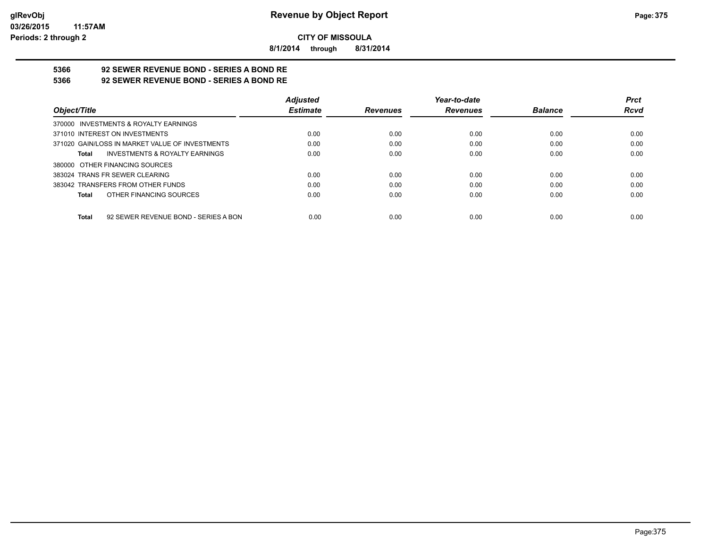**8/1/2014 through 8/31/2014**

# **5366 92 SEWER REVENUE BOND - SERIES A BOND RE**

**5366 92 SEWER REVENUE BOND - SERIES A BOND RE**

|                                                      | <b>Adjusted</b> |                 | Year-to-date    |                | <b>Prct</b> |
|------------------------------------------------------|-----------------|-----------------|-----------------|----------------|-------------|
| Object/Title                                         | <b>Estimate</b> | <b>Revenues</b> | <b>Revenues</b> | <b>Balance</b> | <b>Rcvd</b> |
| 370000 INVESTMENTS & ROYALTY EARNINGS                |                 |                 |                 |                |             |
| 371010 INTEREST ON INVESTMENTS                       | 0.00            | 0.00            | 0.00            | 0.00           | 0.00        |
| 371020 GAIN/LOSS IN MARKET VALUE OF INVESTMENTS      | 0.00            | 0.00            | 0.00            | 0.00           | 0.00        |
| INVESTMENTS & ROYALTY EARNINGS<br>Total              | 0.00            | 0.00            | 0.00            | 0.00           | 0.00        |
| 380000 OTHER FINANCING SOURCES                       |                 |                 |                 |                |             |
| 383024 TRANS FR SEWER CLEARING                       | 0.00            | 0.00            | 0.00            | 0.00           | 0.00        |
| 383042 TRANSFERS FROM OTHER FUNDS                    | 0.00            | 0.00            | 0.00            | 0.00           | 0.00        |
| OTHER FINANCING SOURCES<br>Total                     | 0.00            | 0.00            | 0.00            | 0.00           | 0.00        |
|                                                      |                 |                 |                 |                |             |
| 92 SEWER REVENUE BOND - SERIES A BON<br><b>Total</b> | 0.00            | 0.00            | 0.00            | 0.00           | 0.00        |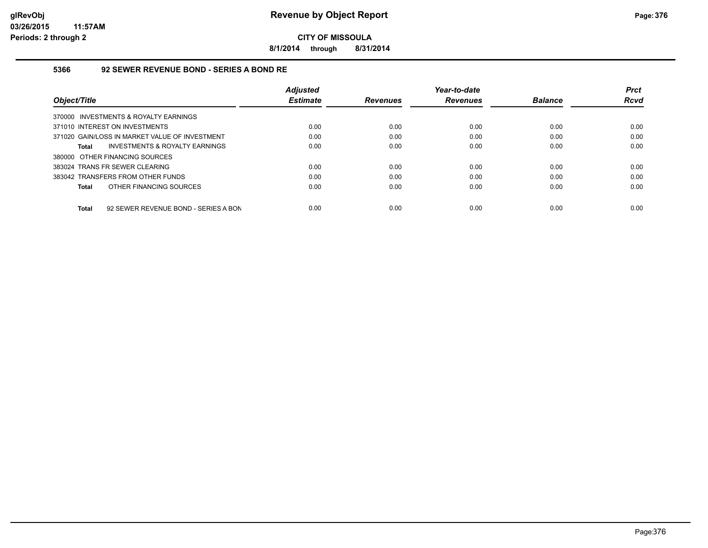**8/1/2014 through 8/31/2014**

#### **5366 92 SEWER REVENUE BOND - SERIES A BOND RE**

|                                                | <b>Adiusted</b> |                 | Year-to-date    |                | <b>Prct</b> |
|------------------------------------------------|-----------------|-----------------|-----------------|----------------|-------------|
| Object/Title                                   | <b>Estimate</b> | <b>Revenues</b> | <b>Revenues</b> | <b>Balance</b> | Rcvd        |
| 370000 INVESTMENTS & ROYALTY EARNINGS          |                 |                 |                 |                |             |
| 371010 INTEREST ON INVESTMENTS                 | 0.00            | 0.00            | 0.00            | 0.00           | 0.00        |
| 371020 GAIN/LOSS IN MARKET VALUE OF INVESTMENT | 0.00            | 0.00            | 0.00            | 0.00           | 0.00        |
| INVESTMENTS & ROYALTY EARNINGS<br>Total        | 0.00            | 0.00            | 0.00            | 0.00           | 0.00        |
| 380000 OTHER FINANCING SOURCES                 |                 |                 |                 |                |             |
| 383024 TRANS FR SEWER CLEARING                 | 0.00            | 0.00            | 0.00            | 0.00           | 0.00        |
| 383042 TRANSFERS FROM OTHER FUNDS              | 0.00            | 0.00            | 0.00            | 0.00           | 0.00        |
| OTHER FINANCING SOURCES<br><b>Total</b>        | 0.00            | 0.00            | 0.00            | 0.00           | 0.00        |
|                                                |                 |                 |                 |                |             |
| 92 SEWER REVENUE BOND - SERIES A BON<br>Total  | 0.00            | 0.00            | 0.00            | 0.00           | 0.00        |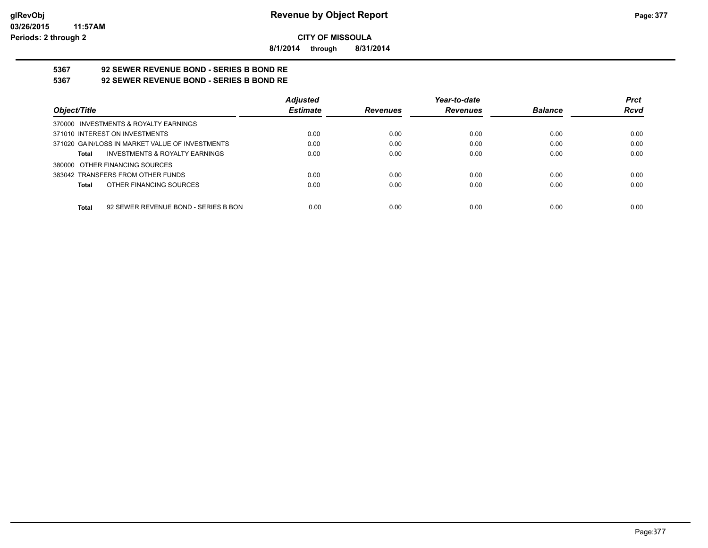**8/1/2014 through 8/31/2014**

# **5367 92 SEWER REVENUE BOND - SERIES B BOND RE**

**5367 92 SEWER REVENUE BOND - SERIES B BOND RE**

|                                                    | <b>Adjusted</b> |                 | Year-to-date    |                | <b>Prct</b> |
|----------------------------------------------------|-----------------|-----------------|-----------------|----------------|-------------|
| Object/Title                                       | <b>Estimate</b> | <b>Revenues</b> | <b>Revenues</b> | <b>Balance</b> | <b>Rcvd</b> |
| 370000 INVESTMENTS & ROYALTY EARNINGS              |                 |                 |                 |                |             |
| 371010 INTEREST ON INVESTMENTS                     | 0.00            | 0.00            | 0.00            | 0.00           | 0.00        |
| 371020 GAIN/LOSS IN MARKET VALUE OF INVESTMENTS    | 0.00            | 0.00            | 0.00            | 0.00           | 0.00        |
| <b>INVESTMENTS &amp; ROYALTY EARNINGS</b><br>Total | 0.00            | 0.00            | 0.00            | 0.00           | 0.00        |
| 380000 OTHER FINANCING SOURCES                     |                 |                 |                 |                |             |
| 383042 TRANSFERS FROM OTHER FUNDS                  | 0.00            | 0.00            | 0.00            | 0.00           | 0.00        |
| OTHER FINANCING SOURCES<br>Total                   | 0.00            | 0.00            | 0.00            | 0.00           | 0.00        |
|                                                    |                 |                 |                 |                |             |
| 92 SEWER REVENUE BOND - SERIES B BON<br>Total      | 0.00            | 0.00            | 0.00            | 0.00           | 0.00        |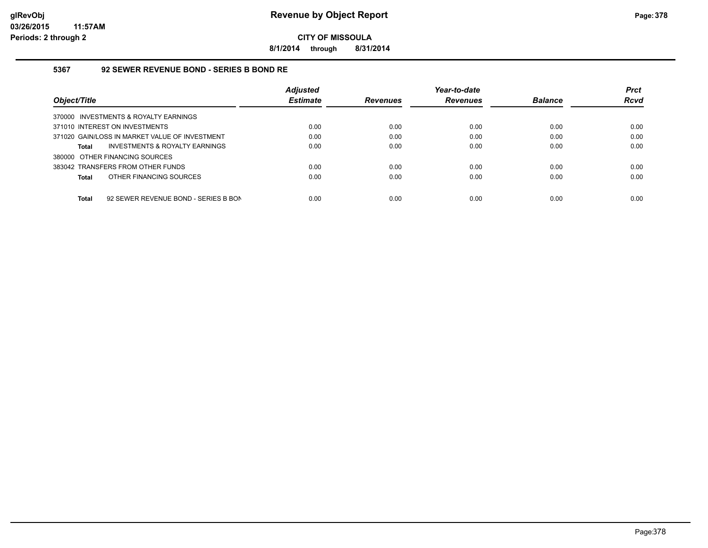**8/1/2014 through 8/31/2014**

#### **5367 92 SEWER REVENUE BOND - SERIES B BOND RE**

|                                                      | <b>Adjusted</b> |                 | Year-to-date    |                | <b>Prct</b> |
|------------------------------------------------------|-----------------|-----------------|-----------------|----------------|-------------|
| Object/Title                                         | <b>Estimate</b> | <b>Revenues</b> | <b>Revenues</b> | <b>Balance</b> | <b>Rcvd</b> |
| 370000 INVESTMENTS & ROYALTY EARNINGS                |                 |                 |                 |                |             |
| 371010 INTEREST ON INVESTMENTS                       | 0.00            | 0.00            | 0.00            | 0.00           | 0.00        |
| 371020 GAIN/LOSS IN MARKET VALUE OF INVESTMENT       | 0.00            | 0.00            | 0.00            | 0.00           | 0.00        |
| INVESTMENTS & ROYALTY EARNINGS<br><b>Total</b>       | 0.00            | 0.00            | 0.00            | 0.00           | 0.00        |
| 380000 OTHER FINANCING SOURCES                       |                 |                 |                 |                |             |
| 383042 TRANSFERS FROM OTHER FUNDS                    | 0.00            | 0.00            | 0.00            | 0.00           | 0.00        |
| OTHER FINANCING SOURCES<br><b>Total</b>              | 0.00            | 0.00            | 0.00            | 0.00           | 0.00        |
|                                                      |                 |                 |                 |                |             |
| 92 SEWER REVENUE BOND - SERIES B BON<br><b>Total</b> | 0.00            | 0.00            | 0.00            | 0.00           | 0.00        |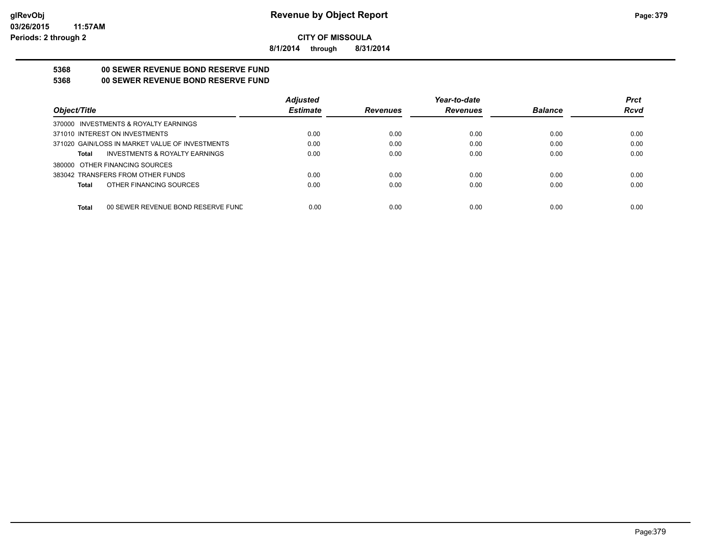**8/1/2014 through 8/31/2014**

## **5368 00 SEWER REVENUE BOND RESERVE FUND**

#### **5368 00 SEWER REVENUE BOND RESERVE FUND**

|                                                    | <b>Adjusted</b> |                 | Year-to-date    |                | <b>Prct</b> |
|----------------------------------------------------|-----------------|-----------------|-----------------|----------------|-------------|
| Object/Title                                       | <b>Estimate</b> | <b>Revenues</b> | <b>Revenues</b> | <b>Balance</b> | <b>Rcvd</b> |
| 370000 INVESTMENTS & ROYALTY EARNINGS              |                 |                 |                 |                |             |
| 371010 INTEREST ON INVESTMENTS                     | 0.00            | 0.00            | 0.00            | 0.00           | 0.00        |
| 371020 GAIN/LOSS IN MARKET VALUE OF INVESTMENTS    | 0.00            | 0.00            | 0.00            | 0.00           | 0.00        |
| <b>INVESTMENTS &amp; ROYALTY EARNINGS</b><br>Total | 0.00            | 0.00            | 0.00            | 0.00           | 0.00        |
| 380000 OTHER FINANCING SOURCES                     |                 |                 |                 |                |             |
| 383042 TRANSFERS FROM OTHER FUNDS                  | 0.00            | 0.00            | 0.00            | 0.00           | 0.00        |
| OTHER FINANCING SOURCES<br>Total                   | 0.00            | 0.00            | 0.00            | 0.00           | 0.00        |
|                                                    |                 |                 |                 |                |             |
| <b>Total</b><br>00 SEWER REVENUE BOND RESERVE FUND | 0.00            | 0.00            | 0.00            | 0.00           | 0.00        |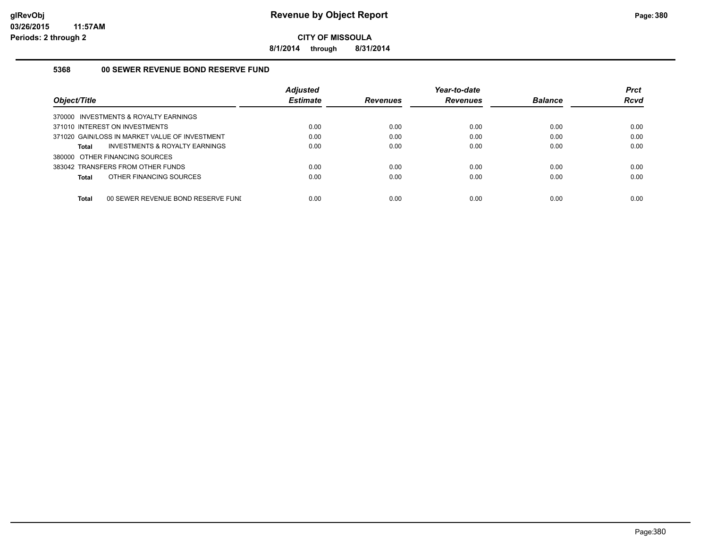**8/1/2014 through 8/31/2014**

#### **5368 00 SEWER REVENUE BOND RESERVE FUND**

| Object/Title                                   | <b>Adjusted</b><br><b>Estimate</b> | Revenues | Year-to-date<br><b>Revenues</b> | <b>Balance</b> | <b>Prct</b><br><b>Rcvd</b> |
|------------------------------------------------|------------------------------------|----------|---------------------------------|----------------|----------------------------|
| 370000 INVESTMENTS & ROYALTY EARNINGS          |                                    |          |                                 |                |                            |
| 371010 INTEREST ON INVESTMENTS                 | 0.00                               | 0.00     | 0.00                            | 0.00           | 0.00                       |
| 371020 GAIN/LOSS IN MARKET VALUE OF INVESTMENT | 0.00                               | 0.00     | 0.00                            | 0.00           | 0.00                       |
| INVESTMENTS & ROYALTY EARNINGS<br>Total        | 0.00                               | 0.00     | 0.00                            | 0.00           | 0.00                       |
| 380000 OTHER FINANCING SOURCES                 |                                    |          |                                 |                |                            |
| 383042 TRANSFERS FROM OTHER FUNDS              | 0.00                               | 0.00     | 0.00                            | 0.00           | 0.00                       |
| OTHER FINANCING SOURCES<br>Total               | 0.00                               | 0.00     | 0.00                            | 0.00           | 0.00                       |
| Total<br>00 SEWER REVENUE BOND RESERVE FUNI    | 0.00                               | 0.00     | 0.00                            | 0.00           | 0.00                       |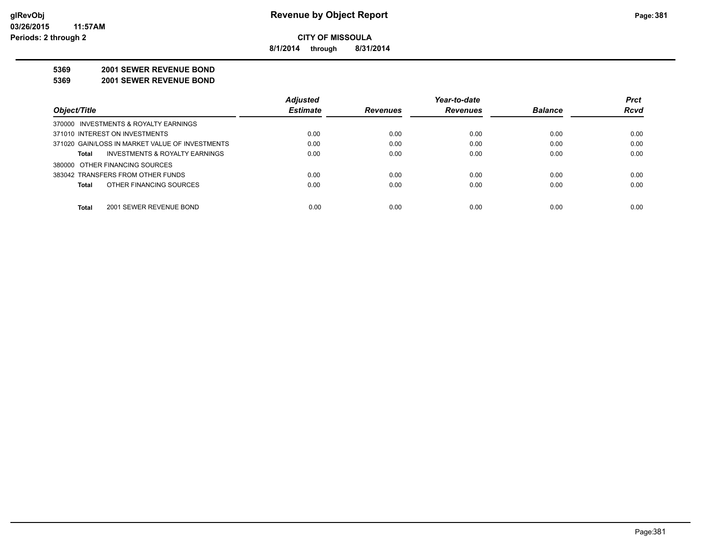**8/1/2014 through 8/31/2014**

#### **5369 2001 SEWER REVENUE BOND**

**5369 2001 SEWER REVENUE BOND**

|                                                 | <b>Adjusted</b> |                 | Year-to-date    |                | <b>Prct</b> |
|-------------------------------------------------|-----------------|-----------------|-----------------|----------------|-------------|
| Object/Title                                    | <b>Estimate</b> | <b>Revenues</b> | <b>Revenues</b> | <b>Balance</b> | <b>Rcvd</b> |
| 370000 INVESTMENTS & ROYALTY EARNINGS           |                 |                 |                 |                |             |
| 371010 INTEREST ON INVESTMENTS                  | 0.00            | 0.00            | 0.00            | 0.00           | 0.00        |
| 371020 GAIN/LOSS IN MARKET VALUE OF INVESTMENTS | 0.00            | 0.00            | 0.00            | 0.00           | 0.00        |
| INVESTMENTS & ROYALTY EARNINGS<br>Total         | 0.00            | 0.00            | 0.00            | 0.00           | 0.00        |
| 380000 OTHER FINANCING SOURCES                  |                 |                 |                 |                |             |
| 383042 TRANSFERS FROM OTHER FUNDS               | 0.00            | 0.00            | 0.00            | 0.00           | 0.00        |
| OTHER FINANCING SOURCES<br>Total                | 0.00            | 0.00            | 0.00            | 0.00           | 0.00        |
|                                                 |                 |                 |                 |                |             |
| 2001 SEWER REVENUE BOND<br>Total                | 0.00            | 0.00            | 0.00            | 0.00           | 0.00        |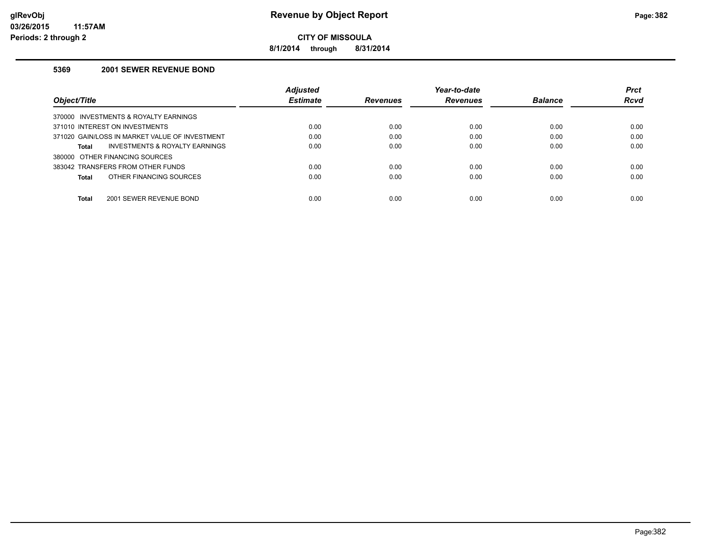**8/1/2014 through 8/31/2014**

#### **5369 2001 SEWER REVENUE BOND**

|                                                    | <b>Adjusted</b> |                 | Year-to-date    |                | <b>Prct</b> |
|----------------------------------------------------|-----------------|-----------------|-----------------|----------------|-------------|
| Object/Title                                       | <b>Estimate</b> | <b>Revenues</b> | <b>Revenues</b> | <b>Balance</b> | Rcvd        |
| INVESTMENTS & ROYALTY EARNINGS<br>370000           |                 |                 |                 |                |             |
| 371010 INTEREST ON INVESTMENTS                     | 0.00            | 0.00            | 0.00            | 0.00           | 0.00        |
| 371020 GAIN/LOSS IN MARKET VALUE OF INVESTMENT     | 0.00            | 0.00            | 0.00            | 0.00           | 0.00        |
| <b>INVESTMENTS &amp; ROYALTY EARNINGS</b><br>Total | 0.00            | 0.00            | 0.00            | 0.00           | 0.00        |
| 380000 OTHER FINANCING SOURCES                     |                 |                 |                 |                |             |
| 383042 TRANSFERS FROM OTHER FUNDS                  | 0.00            | 0.00            | 0.00            | 0.00           | 0.00        |
| OTHER FINANCING SOURCES<br>Total                   | 0.00            | 0.00            | 0.00            | 0.00           | 0.00        |
|                                                    |                 |                 |                 |                |             |
| Total<br>2001 SEWER REVENUE BOND                   | 0.00            | 0.00            | 0.00            | 0.00           | 0.00        |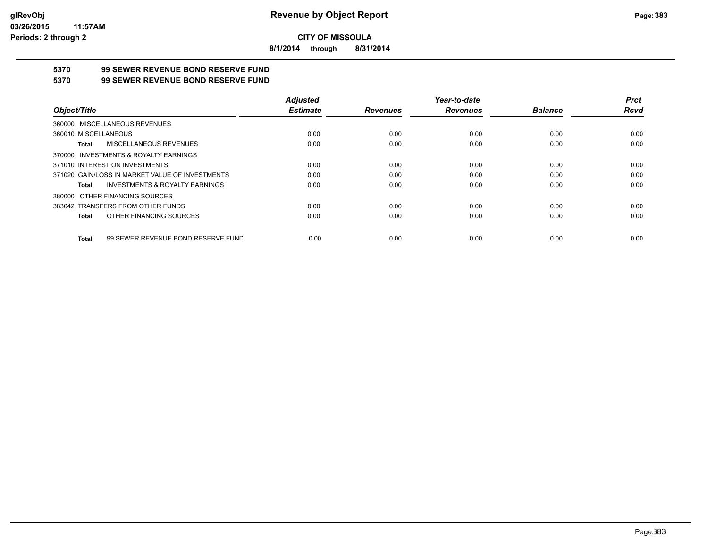**8/1/2014 through 8/31/2014**

## **5370 99 SEWER REVENUE BOND RESERVE FUND**

#### **5370 99 SEWER REVENUE BOND RESERVE FUND**

|                                                    | <b>Adjusted</b> |                 | Year-to-date    |                | <b>Prct</b> |
|----------------------------------------------------|-----------------|-----------------|-----------------|----------------|-------------|
| Object/Title                                       | <b>Estimate</b> | <b>Revenues</b> | <b>Revenues</b> | <b>Balance</b> | Rcvd        |
| 360000 MISCELLANEOUS REVENUES                      |                 |                 |                 |                |             |
| 360010 MISCELLANEOUS                               | 0.00            | 0.00            | 0.00            | 0.00           | 0.00        |
| MISCELLANEOUS REVENUES<br>Total                    | 0.00            | 0.00            | 0.00            | 0.00           | 0.00        |
| 370000 INVESTMENTS & ROYALTY EARNINGS              |                 |                 |                 |                |             |
| 371010 INTEREST ON INVESTMENTS                     | 0.00            | 0.00            | 0.00            | 0.00           | 0.00        |
| 371020 GAIN/LOSS IN MARKET VALUE OF INVESTMENTS    | 0.00            | 0.00            | 0.00            | 0.00           | 0.00        |
| <b>INVESTMENTS &amp; ROYALTY EARNINGS</b><br>Total | 0.00            | 0.00            | 0.00            | 0.00           | 0.00        |
| 380000 OTHER FINANCING SOURCES                     |                 |                 |                 |                |             |
| 383042 TRANSFERS FROM OTHER FUNDS                  | 0.00            | 0.00            | 0.00            | 0.00           | 0.00        |
| OTHER FINANCING SOURCES<br>Total                   | 0.00            | 0.00            | 0.00            | 0.00           | 0.00        |
| 99 SEWER REVENUE BOND RESERVE FUND<br>Total        | 0.00            | 0.00            | 0.00            | 0.00           | 0.00        |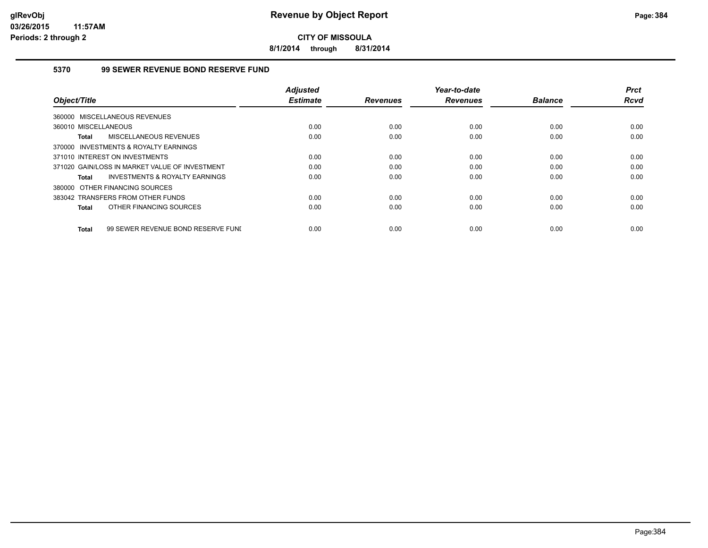**8/1/2014 through 8/31/2014**

#### **5370 99 SEWER REVENUE BOND RESERVE FUND**

|                                                    | <b>Adjusted</b> |                 | Year-to-date    |                | <b>Prct</b> |
|----------------------------------------------------|-----------------|-----------------|-----------------|----------------|-------------|
| Object/Title                                       | <b>Estimate</b> | <b>Revenues</b> | <b>Revenues</b> | <b>Balance</b> | <b>Rcvd</b> |
| 360000 MISCELLANEOUS REVENUES                      |                 |                 |                 |                |             |
| 360010 MISCELLANEOUS                               | 0.00            | 0.00            | 0.00            | 0.00           | 0.00        |
| MISCELLANEOUS REVENUES<br><b>Total</b>             | 0.00            | 0.00            | 0.00            | 0.00           | 0.00        |
| 370000 INVESTMENTS & ROYALTY EARNINGS              |                 |                 |                 |                |             |
| 371010 INTEREST ON INVESTMENTS                     | 0.00            | 0.00            | 0.00            | 0.00           | 0.00        |
| 371020 GAIN/LOSS IN MARKET VALUE OF INVESTMENT     | 0.00            | 0.00            | 0.00            | 0.00           | 0.00        |
| INVESTMENTS & ROYALTY EARNINGS<br>Total            | 0.00            | 0.00            | 0.00            | 0.00           | 0.00        |
| 380000 OTHER FINANCING SOURCES                     |                 |                 |                 |                |             |
| 383042 TRANSFERS FROM OTHER FUNDS                  | 0.00            | 0.00            | 0.00            | 0.00           | 0.00        |
| OTHER FINANCING SOURCES<br><b>Total</b>            | 0.00            | 0.00            | 0.00            | 0.00           | 0.00        |
|                                                    |                 |                 |                 |                |             |
| 99 SEWER REVENUE BOND RESERVE FUNI<br><b>Total</b> | 0.00            | 0.00            | 0.00            | 0.00           | 0.00        |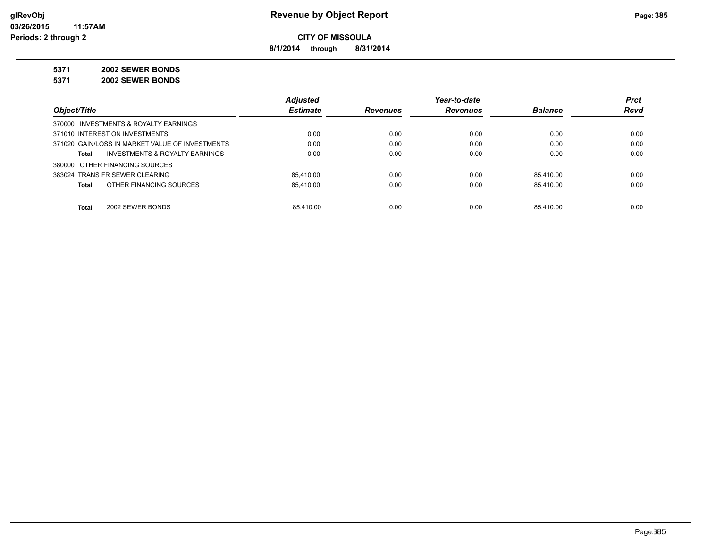**8/1/2014 through 8/31/2014**

**5371 2002 SEWER BONDS**

**5371 2002 SEWER BONDS**

|                                                    | <b>Adjusted</b> |                 | Year-to-date    |                | <b>Prct</b> |
|----------------------------------------------------|-----------------|-----------------|-----------------|----------------|-------------|
| Object/Title                                       | <b>Estimate</b> | <b>Revenues</b> | <b>Revenues</b> | <b>Balance</b> | <b>Rcvd</b> |
| 370000 INVESTMENTS & ROYALTY EARNINGS              |                 |                 |                 |                |             |
| 371010 INTEREST ON INVESTMENTS                     | 0.00            | 0.00            | 0.00            | 0.00           | 0.00        |
| 371020 GAIN/LOSS IN MARKET VALUE OF INVESTMENTS    | 0.00            | 0.00            | 0.00            | 0.00           | 0.00        |
| <b>INVESTMENTS &amp; ROYALTY EARNINGS</b><br>Total | 0.00            | 0.00            | 0.00            | 0.00           | 0.00        |
| 380000 OTHER FINANCING SOURCES                     |                 |                 |                 |                |             |
| 383024 TRANS FR SEWER CLEARING                     | 85.410.00       | 0.00            | 0.00            | 85.410.00      | 0.00        |
| OTHER FINANCING SOURCES<br>Total                   | 85.410.00       | 0.00            | 0.00            | 85.410.00      | 0.00        |
|                                                    |                 |                 |                 |                |             |
| 2002 SEWER BONDS<br>Total                          | 85.410.00       | 0.00            | 0.00            | 85.410.00      | 0.00        |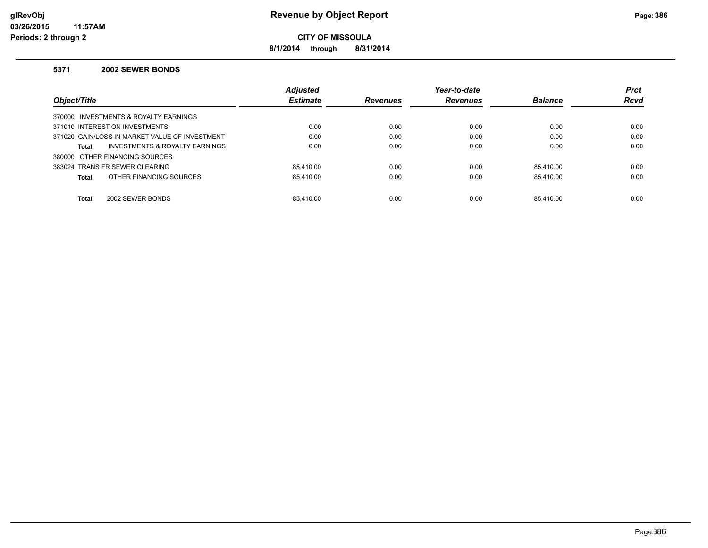**8/1/2014 through 8/31/2014**

#### **5371 2002 SEWER BONDS**

|                                                | <b>Adjusted</b> |                 | Year-to-date    |                | <b>Prct</b> |
|------------------------------------------------|-----------------|-----------------|-----------------|----------------|-------------|
| Object/Title                                   | <b>Estimate</b> | <b>Revenues</b> | <b>Revenues</b> | <b>Balance</b> | <b>Rcvd</b> |
| 370000 INVESTMENTS & ROYALTY EARNINGS          |                 |                 |                 |                |             |
| 371010 INTEREST ON INVESTMENTS                 | 0.00            | 0.00            | 0.00            | 0.00           | 0.00        |
| 371020 GAIN/LOSS IN MARKET VALUE OF INVESTMENT | 0.00            | 0.00            | 0.00            | 0.00           | 0.00        |
| INVESTMENTS & ROYALTY EARNINGS<br>Total        | 0.00            | 0.00            | 0.00            | 0.00           | 0.00        |
| 380000 OTHER FINANCING SOURCES                 |                 |                 |                 |                |             |
| 383024 TRANS FR SEWER CLEARING                 | 85.410.00       | 0.00            | 0.00            | 85.410.00      | 0.00        |
| OTHER FINANCING SOURCES<br>Total               | 85.410.00       | 0.00            | 0.00            | 85.410.00      | 0.00        |
|                                                |                 |                 |                 |                |             |
| 2002 SEWER BONDS<br><b>Total</b>               | 85.410.00       | 0.00            | 0.00            | 85.410.00      | 0.00        |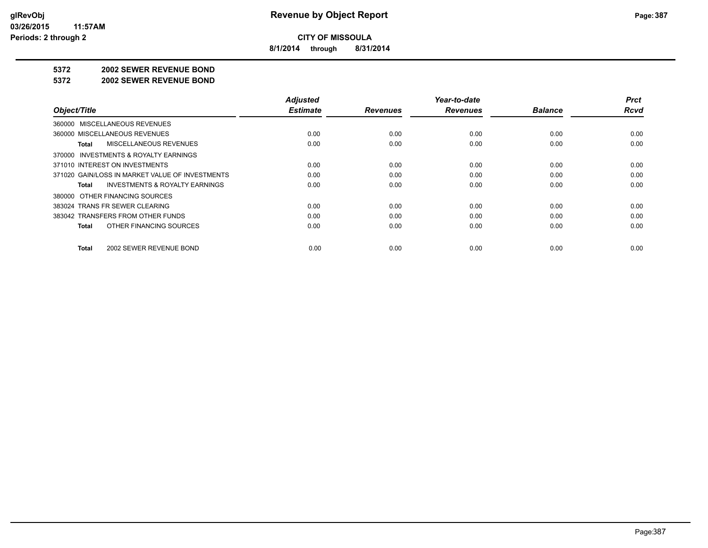**8/1/2014 through 8/31/2014**

#### **5372 2002 SEWER REVENUE BOND**

#### **5372 2002 SEWER REVENUE BOND**

|                                                    | <b>Adjusted</b> |                 | Year-to-date    |                | <b>Prct</b> |
|----------------------------------------------------|-----------------|-----------------|-----------------|----------------|-------------|
| Object/Title                                       | <b>Estimate</b> | <b>Revenues</b> | <b>Revenues</b> | <b>Balance</b> | <b>Rcvd</b> |
| 360000 MISCELLANEOUS REVENUES                      |                 |                 |                 |                |             |
| 360000 MISCELLANEOUS REVENUES                      | 0.00            | 0.00            | 0.00            | 0.00           | 0.00        |
| MISCELLANEOUS REVENUES<br>Total                    | 0.00            | 0.00            | 0.00            | 0.00           | 0.00        |
| 370000 INVESTMENTS & ROYALTY EARNINGS              |                 |                 |                 |                |             |
| 371010 INTEREST ON INVESTMENTS                     | 0.00            | 0.00            | 0.00            | 0.00           | 0.00        |
| 371020 GAIN/LOSS IN MARKET VALUE OF INVESTMENTS    | 0.00            | 0.00            | 0.00            | 0.00           | 0.00        |
| <b>INVESTMENTS &amp; ROYALTY EARNINGS</b><br>Total | 0.00            | 0.00            | 0.00            | 0.00           | 0.00        |
| 380000 OTHER FINANCING SOURCES                     |                 |                 |                 |                |             |
| 383024 TRANS FR SEWER CLEARING                     | 0.00            | 0.00            | 0.00            | 0.00           | 0.00        |
| 383042 TRANSFERS FROM OTHER FUNDS                  | 0.00            | 0.00            | 0.00            | 0.00           | 0.00        |
| OTHER FINANCING SOURCES<br>Total                   | 0.00            | 0.00            | 0.00            | 0.00           | 0.00        |
| 2002 SEWER REVENUE BOND<br>Total                   | 0.00            | 0.00            | 0.00            | 0.00           | 0.00        |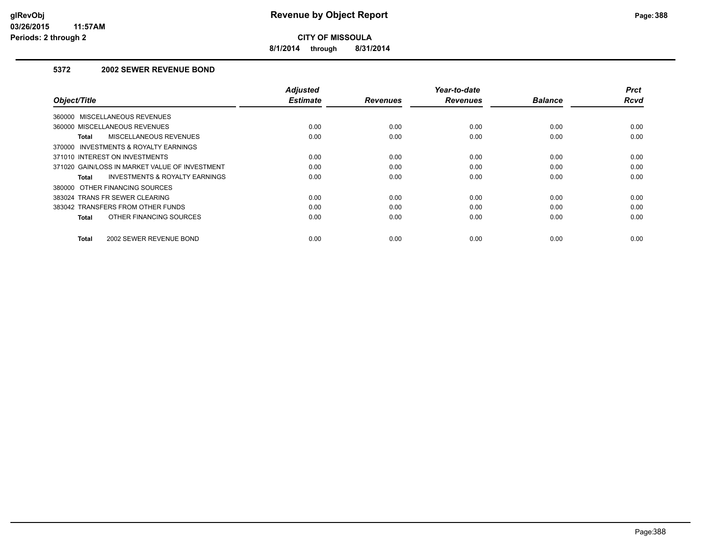**8/1/2014 through 8/31/2014**

#### **5372 2002 SEWER REVENUE BOND**

| Object/Title                                   | <b>Adjusted</b><br><b>Estimate</b> | <b>Revenues</b> | Year-to-date<br><b>Revenues</b> | <b>Balance</b> | <b>Prct</b><br>Rcvd |
|------------------------------------------------|------------------------------------|-----------------|---------------------------------|----------------|---------------------|
| 360000 MISCELLANEOUS REVENUES                  |                                    |                 |                                 |                |                     |
| 360000 MISCELLANEOUS REVENUES                  | 0.00                               | 0.00            | 0.00                            | 0.00           | 0.00                |
| MISCELLANEOUS REVENUES<br>Total                | 0.00                               | 0.00            | 0.00                            | 0.00           | 0.00                |
| 370000 INVESTMENTS & ROYALTY EARNINGS          |                                    |                 |                                 |                |                     |
| 371010 INTEREST ON INVESTMENTS                 | 0.00                               | 0.00            | 0.00                            | 0.00           | 0.00                |
| 371020 GAIN/LOSS IN MARKET VALUE OF INVESTMENT | 0.00                               | 0.00            | 0.00                            | 0.00           | 0.00                |
| INVESTMENTS & ROYALTY EARNINGS<br>Total        | 0.00                               | 0.00            | 0.00                            | 0.00           | 0.00                |
| 380000 OTHER FINANCING SOURCES                 |                                    |                 |                                 |                |                     |
| 383024 TRANS FR SEWER CLEARING                 | 0.00                               | 0.00            | 0.00                            | 0.00           | 0.00                |
| 383042 TRANSFERS FROM OTHER FUNDS              | 0.00                               | 0.00            | 0.00                            | 0.00           | 0.00                |
| OTHER FINANCING SOURCES<br><b>Total</b>        | 0.00                               | 0.00            | 0.00                            | 0.00           | 0.00                |
| 2002 SEWER REVENUE BOND<br><b>Total</b>        | 0.00                               | 0.00            | 0.00                            | 0.00           | 0.00                |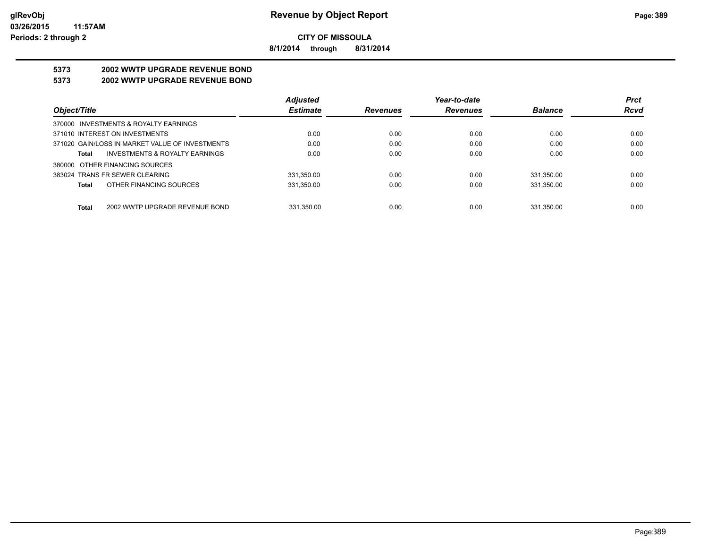**8/1/2014 through 8/31/2014**

## **5373 2002 WWTP UPGRADE REVENUE BOND**

#### **5373 2002 WWTP UPGRADE REVENUE BOND**

|                                                 | <b>Adjusted</b> |                 | Year-to-date    |                | <b>Prct</b> |
|-------------------------------------------------|-----------------|-----------------|-----------------|----------------|-------------|
| Object/Title                                    | <b>Estimate</b> | <b>Revenues</b> | <b>Revenues</b> | <b>Balance</b> | <b>Rcvd</b> |
| 370000 INVESTMENTS & ROYALTY EARNINGS           |                 |                 |                 |                |             |
| 371010 INTEREST ON INVESTMENTS                  | 0.00            | 0.00            | 0.00            | 0.00           | 0.00        |
| 371020 GAIN/LOSS IN MARKET VALUE OF INVESTMENTS | 0.00            | 0.00            | 0.00            | 0.00           | 0.00        |
| INVESTMENTS & ROYALTY EARNINGS<br>Total         | 0.00            | 0.00            | 0.00            | 0.00           | 0.00        |
| 380000 OTHER FINANCING SOURCES                  |                 |                 |                 |                |             |
| 383024 TRANS FR SEWER CLEARING                  | 331.350.00      | 0.00            | 0.00            | 331.350.00     | 0.00        |
| OTHER FINANCING SOURCES<br>Total                | 331,350.00      | 0.00            | 0.00            | 331,350.00     | 0.00        |
|                                                 |                 |                 |                 |                |             |
| 2002 WWTP UPGRADE REVENUE BOND<br>Total         | 331.350.00      | 0.00            | 0.00            | 331.350.00     | 0.00        |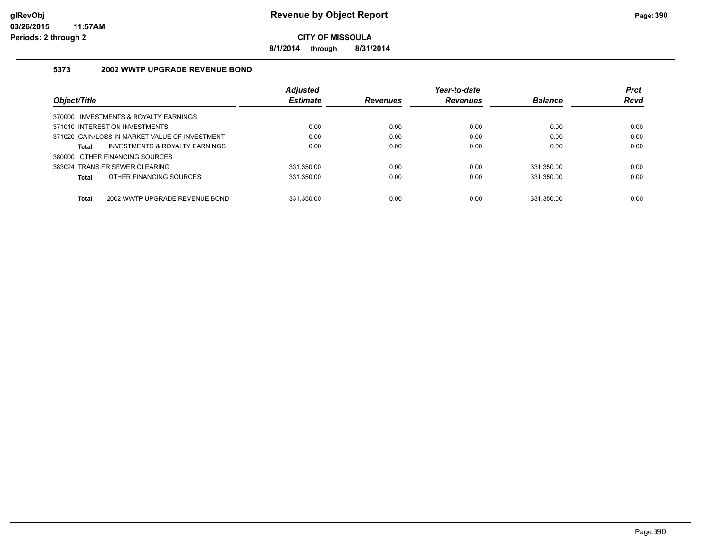**8/1/2014 through 8/31/2014**

#### **5373 2002 WWTP UPGRADE REVENUE BOND**

|                                                | <b>Adjusted</b> |                 | Year-to-date    |                | <b>Prct</b> |
|------------------------------------------------|-----------------|-----------------|-----------------|----------------|-------------|
| Object/Title                                   | <b>Estimate</b> | <b>Revenues</b> | <b>Revenues</b> | <b>Balance</b> | <b>Rcvd</b> |
| 370000 INVESTMENTS & ROYALTY EARNINGS          |                 |                 |                 |                |             |
| 371010 INTEREST ON INVESTMENTS                 | 0.00            | 0.00            | 0.00            | 0.00           | 0.00        |
| 371020 GAIN/LOSS IN MARKET VALUE OF INVESTMENT | 0.00            | 0.00            | 0.00            | 0.00           | 0.00        |
| INVESTMENTS & ROYALTY EARNINGS<br>Total        | 0.00            | 0.00            | 0.00            | 0.00           | 0.00        |
| 380000 OTHER FINANCING SOURCES                 |                 |                 |                 |                |             |
| 383024 TRANS FR SEWER CLEARING                 | 331.350.00      | 0.00            | 0.00            | 331.350.00     | 0.00        |
| OTHER FINANCING SOURCES<br>Total               | 331.350.00      | 0.00            | 0.00            | 331.350.00     | 0.00        |
|                                                |                 |                 |                 |                |             |
| <b>Total</b><br>2002 WWTP UPGRADE REVENUE BOND | 331.350.00      | 0.00            | 0.00            | 331.350.00     | 0.00        |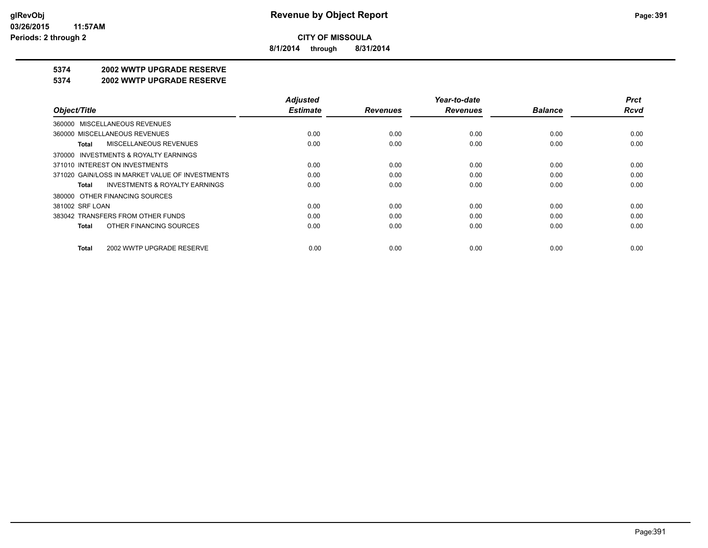**8/1/2014 through 8/31/2014**

### **5374 2002 WWTP UPGRADE RESERVE**

#### **5374 2002 WWTP UPGRADE RESERVE**

|                                                    | <b>Adjusted</b> |                 | Year-to-date    |                | <b>Prct</b> |
|----------------------------------------------------|-----------------|-----------------|-----------------|----------------|-------------|
| Object/Title                                       | <b>Estimate</b> | <b>Revenues</b> | <b>Revenues</b> | <b>Balance</b> | <b>Rcvd</b> |
| 360000 MISCELLANEOUS REVENUES                      |                 |                 |                 |                |             |
| 360000 MISCELLANEOUS REVENUES                      | 0.00            | 0.00            | 0.00            | 0.00           | 0.00        |
| <b>MISCELLANEOUS REVENUES</b><br>Total             | 0.00            | 0.00            | 0.00            | 0.00           | 0.00        |
| 370000 INVESTMENTS & ROYALTY EARNINGS              |                 |                 |                 |                |             |
| 371010 INTEREST ON INVESTMENTS                     | 0.00            | 0.00            | 0.00            | 0.00           | 0.00        |
| 371020 GAIN/LOSS IN MARKET VALUE OF INVESTMENTS    | 0.00            | 0.00            | 0.00            | 0.00           | 0.00        |
| <b>INVESTMENTS &amp; ROYALTY EARNINGS</b><br>Total | 0.00            | 0.00            | 0.00            | 0.00           | 0.00        |
| 380000 OTHER FINANCING SOURCES                     |                 |                 |                 |                |             |
| 381002 SRF LOAN                                    | 0.00            | 0.00            | 0.00            | 0.00           | 0.00        |
| 383042 TRANSFERS FROM OTHER FUNDS                  | 0.00            | 0.00            | 0.00            | 0.00           | 0.00        |
| OTHER FINANCING SOURCES<br>Total                   | 0.00            | 0.00            | 0.00            | 0.00           | 0.00        |
| 2002 WWTP UPGRADE RESERVE<br>Total                 | 0.00            | 0.00            | 0.00            | 0.00           | 0.00        |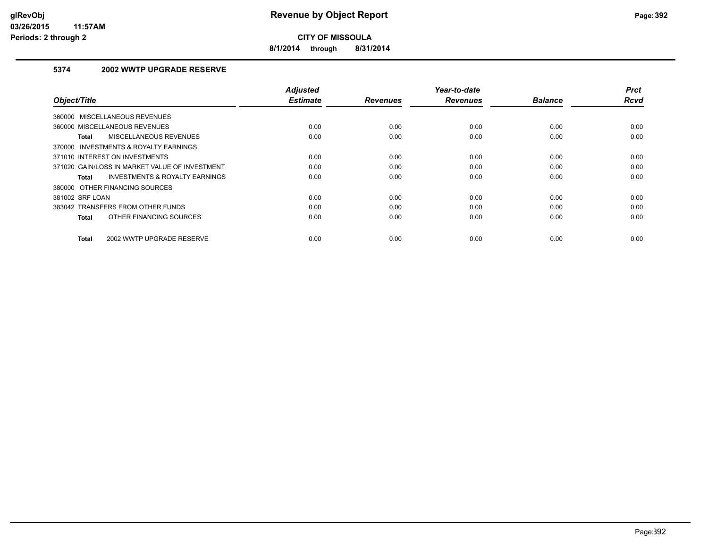**8/1/2014 through 8/31/2014**

#### **5374 2002 WWTP UPGRADE RESERVE**

| Object/Title                                       | <b>Adjusted</b><br><b>Estimate</b> | <b>Revenues</b> | Year-to-date<br><b>Revenues</b> | <b>Balance</b> | <b>Prct</b><br>Rcvd |
|----------------------------------------------------|------------------------------------|-----------------|---------------------------------|----------------|---------------------|
| <b>MISCELLANEOUS REVENUES</b><br>360000            |                                    |                 |                                 |                |                     |
| 360000 MISCELLANEOUS REVENUES                      | 0.00                               | 0.00            | 0.00                            | 0.00           | 0.00                |
| MISCELLANEOUS REVENUES<br>Total                    | 0.00                               | 0.00            | 0.00                            | 0.00           | 0.00                |
| 370000 INVESTMENTS & ROYALTY EARNINGS              |                                    |                 |                                 |                |                     |
| 371010 INTEREST ON INVESTMENTS                     | 0.00                               | 0.00            | 0.00                            | 0.00           | 0.00                |
| 371020 GAIN/LOSS IN MARKET VALUE OF INVESTMENT     | 0.00                               | 0.00            | 0.00                            | 0.00           | 0.00                |
| <b>INVESTMENTS &amp; ROYALTY EARNINGS</b><br>Total | 0.00                               | 0.00            | 0.00                            | 0.00           | 0.00                |
| 380000 OTHER FINANCING SOURCES                     |                                    |                 |                                 |                |                     |
| 381002 SRF LOAN                                    | 0.00                               | 0.00            | 0.00                            | 0.00           | 0.00                |
| 383042 TRANSFERS FROM OTHER FUNDS                  | 0.00                               | 0.00            | 0.00                            | 0.00           | 0.00                |
| OTHER FINANCING SOURCES<br><b>Total</b>            | 0.00                               | 0.00            | 0.00                            | 0.00           | 0.00                |
| 2002 WWTP UPGRADE RESERVE<br><b>Total</b>          | 0.00                               | 0.00            | 0.00                            | 0.00           | 0.00                |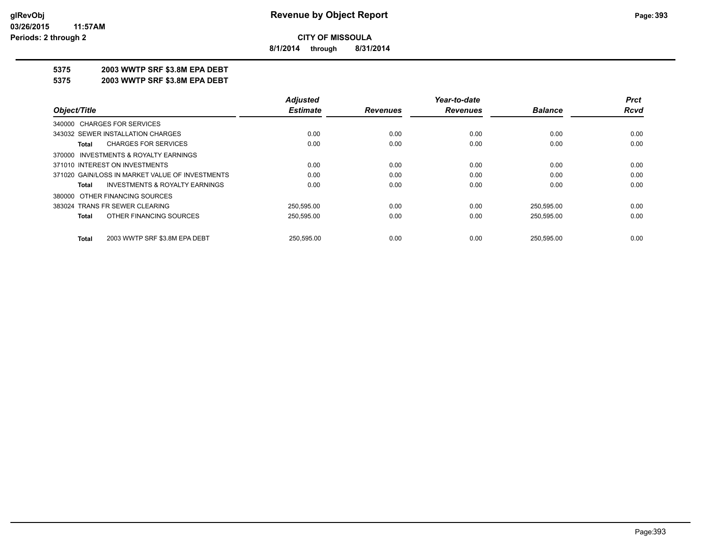**8/1/2014 through 8/31/2014**

#### **5375 2003 WWTP SRF \$3.8M EPA DEBT**

**5375 2003 WWTP SRF \$3.8M EPA DEBT**

|                                                    | <b>Adjusted</b> |                 | Year-to-date    |                | <b>Prct</b> |
|----------------------------------------------------|-----------------|-----------------|-----------------|----------------|-------------|
| Object/Title                                       | <b>Estimate</b> | <b>Revenues</b> | <b>Revenues</b> | <b>Balance</b> | Rcvd        |
| 340000 CHARGES FOR SERVICES                        |                 |                 |                 |                |             |
| 343032 SEWER INSTALLATION CHARGES                  | 0.00            | 0.00            | 0.00            | 0.00           | 0.00        |
| <b>CHARGES FOR SERVICES</b><br>Total               | 0.00            | 0.00            | 0.00            | 0.00           | 0.00        |
| 370000 INVESTMENTS & ROYALTY EARNINGS              |                 |                 |                 |                |             |
| 371010 INTEREST ON INVESTMENTS                     | 0.00            | 0.00            | 0.00            | 0.00           | 0.00        |
| 371020 GAIN/LOSS IN MARKET VALUE OF INVESTMENTS    | 0.00            | 0.00            | 0.00            | 0.00           | 0.00        |
| <b>INVESTMENTS &amp; ROYALTY EARNINGS</b><br>Total | 0.00            | 0.00            | 0.00            | 0.00           | 0.00        |
| 380000 OTHER FINANCING SOURCES                     |                 |                 |                 |                |             |
| 383024 TRANS FR SEWER CLEARING                     | 250,595.00      | 0.00            | 0.00            | 250,595.00     | 0.00        |
| OTHER FINANCING SOURCES<br>Total                   | 250,595.00      | 0.00            | 0.00            | 250,595.00     | 0.00        |
| 2003 WWTP SRF \$3.8M EPA DEBT<br>Total             | 250.595.00      | 0.00            | 0.00            | 250.595.00     | 0.00        |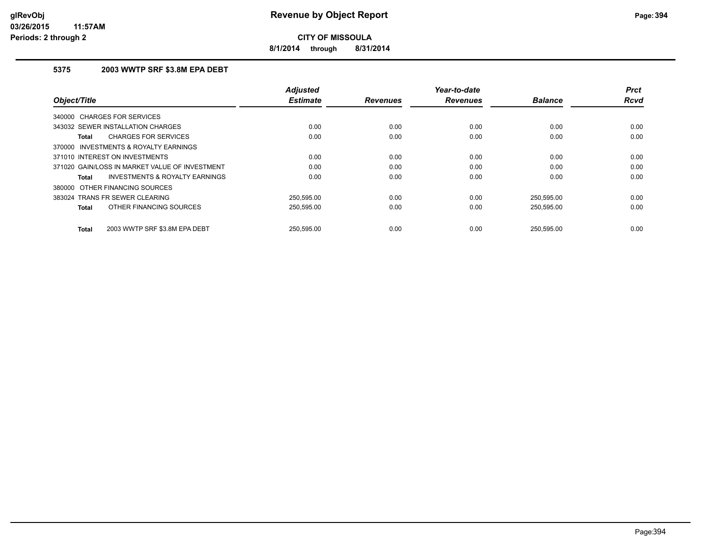**8/1/2014 through 8/31/2014**

#### **5375 2003 WWTP SRF \$3.8M EPA DEBT**

| Object/Title                                       | <b>Adjusted</b><br><b>Estimate</b> | <b>Revenues</b> | Year-to-date<br><b>Revenues</b> | <b>Balance</b> | <b>Prct</b><br><b>Rcvd</b> |
|----------------------------------------------------|------------------------------------|-----------------|---------------------------------|----------------|----------------------------|
| 340000 CHARGES FOR SERVICES                        |                                    |                 |                                 |                |                            |
| 343032 SEWER INSTALLATION CHARGES                  | 0.00                               | 0.00            | 0.00                            | 0.00           | 0.00                       |
| <b>CHARGES FOR SERVICES</b><br>Total               | 0.00                               | 0.00            | 0.00                            | 0.00           | 0.00                       |
| 370000 INVESTMENTS & ROYALTY EARNINGS              |                                    |                 |                                 |                |                            |
| 371010 INTEREST ON INVESTMENTS                     | 0.00                               | 0.00            | 0.00                            | 0.00           | 0.00                       |
| 371020 GAIN/LOSS IN MARKET VALUE OF INVESTMENT     | 0.00                               | 0.00            | 0.00                            | 0.00           | 0.00                       |
| <b>INVESTMENTS &amp; ROYALTY EARNINGS</b><br>Total | 0.00                               | 0.00            | 0.00                            | 0.00           | 0.00                       |
| 380000 OTHER FINANCING SOURCES                     |                                    |                 |                                 |                |                            |
| 383024 TRANS FR SEWER CLEARING                     | 250,595.00                         | 0.00            | 0.00                            | 250,595.00     | 0.00                       |
| OTHER FINANCING SOURCES<br>Total                   | 250,595.00                         | 0.00            | 0.00                            | 250,595.00     | 0.00                       |
| 2003 WWTP SRF \$3.8M EPA DEBT<br>Total             | 250.595.00                         | 0.00            | 0.00                            | 250.595.00     | 0.00                       |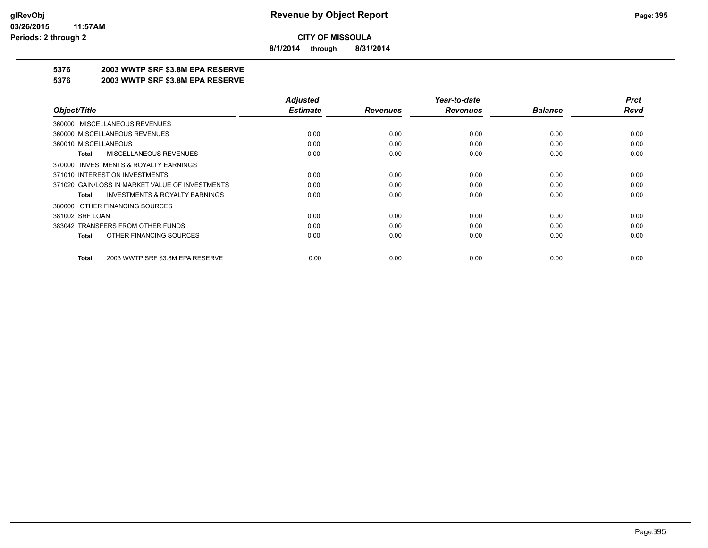**8/1/2014 through 8/31/2014**

### **5376 2003 WWTP SRF \$3.8M EPA RESERVE**

#### **5376 2003 WWTP SRF \$3.8M EPA RESERVE**

|                                                    | <b>Adjusted</b> |                 | Year-to-date    |                | <b>Prct</b> |
|----------------------------------------------------|-----------------|-----------------|-----------------|----------------|-------------|
| Object/Title                                       | <b>Estimate</b> | <b>Revenues</b> | <b>Revenues</b> | <b>Balance</b> | <b>Rcvd</b> |
| 360000 MISCELLANEOUS REVENUES                      |                 |                 |                 |                |             |
| 360000 MISCELLANEOUS REVENUES                      | 0.00            | 0.00            | 0.00            | 0.00           | 0.00        |
| 360010 MISCELLANEOUS                               | 0.00            | 0.00            | 0.00            | 0.00           | 0.00        |
| <b>MISCELLANEOUS REVENUES</b><br>Total             | 0.00            | 0.00            | 0.00            | 0.00           | 0.00        |
| 370000 INVESTMENTS & ROYALTY EARNINGS              |                 |                 |                 |                |             |
| 371010 INTEREST ON INVESTMENTS                     | 0.00            | 0.00            | 0.00            | 0.00           | 0.00        |
| 371020 GAIN/LOSS IN MARKET VALUE OF INVESTMENTS    | 0.00            | 0.00            | 0.00            | 0.00           | 0.00        |
| <b>INVESTMENTS &amp; ROYALTY EARNINGS</b><br>Total | 0.00            | 0.00            | 0.00            | 0.00           | 0.00        |
| 380000 OTHER FINANCING SOURCES                     |                 |                 |                 |                |             |
| 381002 SRF LOAN                                    | 0.00            | 0.00            | 0.00            | 0.00           | 0.00        |
| 383042 TRANSFERS FROM OTHER FUNDS                  | 0.00            | 0.00            | 0.00            | 0.00           | 0.00        |
| OTHER FINANCING SOURCES<br><b>Total</b>            | 0.00            | 0.00            | 0.00            | 0.00           | 0.00        |
| 2003 WWTP SRF \$3.8M EPA RESERVE<br><b>Total</b>   | 0.00            | 0.00            | 0.00            | 0.00           | 0.00        |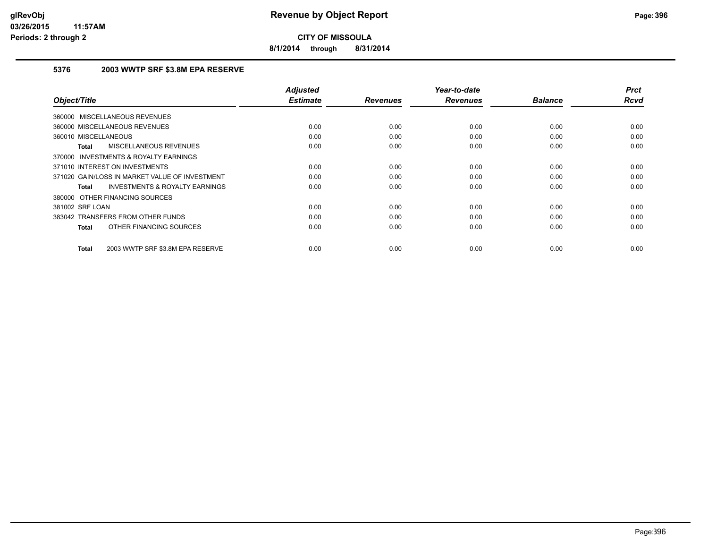**8/1/2014 through 8/31/2014**

#### **5376 2003 WWTP SRF \$3.8M EPA RESERVE**

| Object/Title                                              | <b>Adjusted</b><br><b>Estimate</b> | <b>Revenues</b> | Year-to-date<br><b>Revenues</b> | <b>Balance</b> | <b>Prct</b><br><b>Rcvd</b> |
|-----------------------------------------------------------|------------------------------------|-----------------|---------------------------------|----------------|----------------------------|
| 360000 MISCELLANEOUS REVENUES                             |                                    |                 |                                 |                |                            |
|                                                           |                                    |                 |                                 |                |                            |
| 360000 MISCELLANEOUS REVENUES                             | 0.00                               | 0.00            | 0.00                            | 0.00           | 0.00                       |
| 360010 MISCELLANEOUS                                      | 0.00                               | 0.00            | 0.00                            | 0.00           | 0.00                       |
| MISCELLANEOUS REVENUES<br><b>Total</b>                    | 0.00                               | 0.00            | 0.00                            | 0.00           | 0.00                       |
| INVESTMENTS & ROYALTY EARNINGS<br>370000                  |                                    |                 |                                 |                |                            |
| 371010 INTEREST ON INVESTMENTS                            | 0.00                               | 0.00            | 0.00                            | 0.00           | 0.00                       |
| 371020 GAIN/LOSS IN MARKET VALUE OF INVESTMENT            | 0.00                               | 0.00            | 0.00                            | 0.00           | 0.00                       |
| <b>INVESTMENTS &amp; ROYALTY EARNINGS</b><br><b>Total</b> | 0.00                               | 0.00            | 0.00                            | 0.00           | 0.00                       |
| 380000 OTHER FINANCING SOURCES                            |                                    |                 |                                 |                |                            |
| 381002 SRF LOAN                                           | 0.00                               | 0.00            | 0.00                            | 0.00           | 0.00                       |
| 383042 TRANSFERS FROM OTHER FUNDS                         | 0.00                               | 0.00            | 0.00                            | 0.00           | 0.00                       |
| OTHER FINANCING SOURCES<br><b>Total</b>                   | 0.00                               | 0.00            | 0.00                            | 0.00           | 0.00                       |
|                                                           |                                    |                 |                                 |                |                            |
| 2003 WWTP SRF \$3.8M EPA RESERVE<br><b>Total</b>          | 0.00                               | 0.00            | 0.00                            | 0.00           | 0.00                       |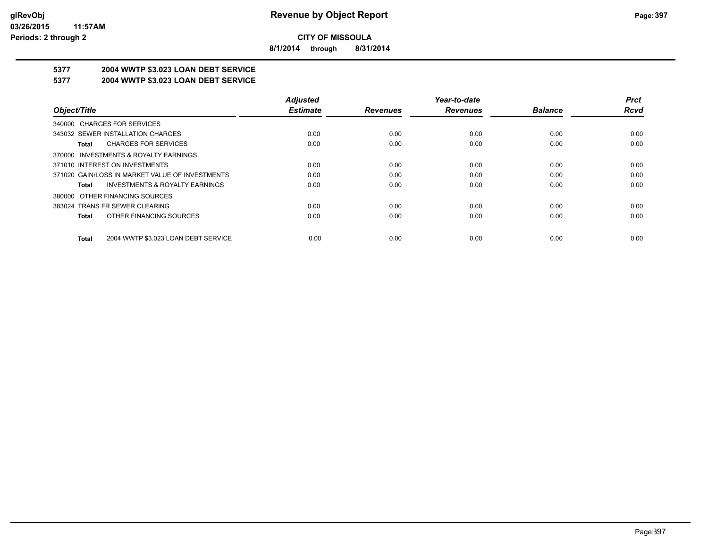**8/1/2014 through 8/31/2014**

# **5377 2004 WWTP \$3.023 LOAN DEBT SERVICE**

## **5377 2004 WWTP \$3.023 LOAN DEBT SERVICE**

|                                                     | <b>Adjusted</b> |                 | Year-to-date    |                | <b>Prct</b> |
|-----------------------------------------------------|-----------------|-----------------|-----------------|----------------|-------------|
| Object/Title                                        | <b>Estimate</b> | <b>Revenues</b> | <b>Revenues</b> | <b>Balance</b> | Rcvd        |
| 340000 CHARGES FOR SERVICES                         |                 |                 |                 |                |             |
| 343032 SEWER INSTALLATION CHARGES                   | 0.00            | 0.00            | 0.00            | 0.00           | 0.00        |
| <b>CHARGES FOR SERVICES</b><br>Total                | 0.00            | 0.00            | 0.00            | 0.00           | 0.00        |
| 370000 INVESTMENTS & ROYALTY EARNINGS               |                 |                 |                 |                |             |
| 371010 INTEREST ON INVESTMENTS                      | 0.00            | 0.00            | 0.00            | 0.00           | 0.00        |
| 371020 GAIN/LOSS IN MARKET VALUE OF INVESTMENTS     | 0.00            | 0.00            | 0.00            | 0.00           | 0.00        |
| <b>INVESTMENTS &amp; ROYALTY EARNINGS</b><br>Total  | 0.00            | 0.00            | 0.00            | 0.00           | 0.00        |
| OTHER FINANCING SOURCES<br>380000                   |                 |                 |                 |                |             |
| 383024 TRANS FR SEWER CLEARING                      | 0.00            | 0.00            | 0.00            | 0.00           | 0.00        |
| OTHER FINANCING SOURCES<br><b>Total</b>             | 0.00            | 0.00            | 0.00            | 0.00           | 0.00        |
| 2004 WWTP \$3.023 LOAN DEBT SERVICE<br><b>Total</b> | 0.00            | 0.00            | 0.00            | 0.00           | 0.00        |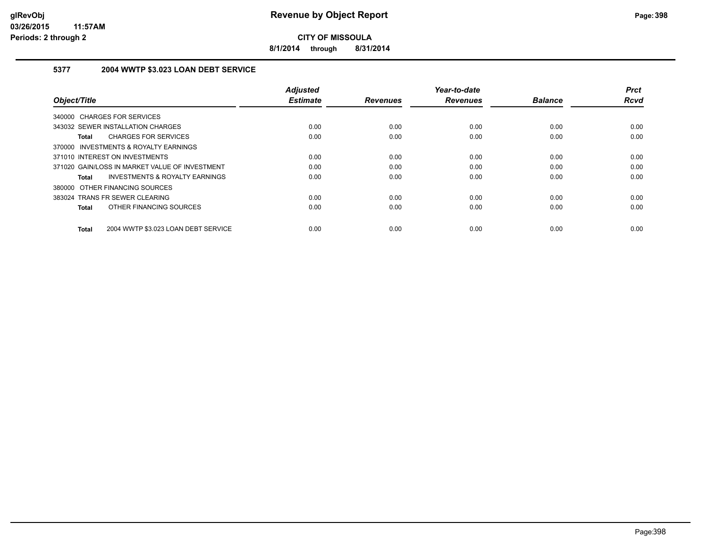**8/1/2014 through 8/31/2014**

## **5377 2004 WWTP \$3.023 LOAN DEBT SERVICE**

|                                                     | <b>Adjusted</b> |                 | Year-to-date    |                | <b>Prct</b> |
|-----------------------------------------------------|-----------------|-----------------|-----------------|----------------|-------------|
| Object/Title                                        | <b>Estimate</b> | <b>Revenues</b> | <b>Revenues</b> | <b>Balance</b> | <b>Rcvd</b> |
| 340000 CHARGES FOR SERVICES                         |                 |                 |                 |                |             |
| 343032 SEWER INSTALLATION CHARGES                   | 0.00            | 0.00            | 0.00            | 0.00           | 0.00        |
| <b>CHARGES FOR SERVICES</b><br><b>Total</b>         | 0.00            | 0.00            | 0.00            | 0.00           | 0.00        |
| 370000 INVESTMENTS & ROYALTY EARNINGS               |                 |                 |                 |                |             |
| 371010 INTEREST ON INVESTMENTS                      | 0.00            | 0.00            | 0.00            | 0.00           | 0.00        |
| 371020 GAIN/LOSS IN MARKET VALUE OF INVESTMENT      | 0.00            | 0.00            | 0.00            | 0.00           | 0.00        |
| INVESTMENTS & ROYALTY EARNINGS<br>Total             | 0.00            | 0.00            | 0.00            | 0.00           | 0.00        |
| 380000 OTHER FINANCING SOURCES                      |                 |                 |                 |                |             |
| 383024 TRANS FR SEWER CLEARING                      | 0.00            | 0.00            | 0.00            | 0.00           | 0.00        |
| OTHER FINANCING SOURCES<br><b>Total</b>             | 0.00            | 0.00            | 0.00            | 0.00           | 0.00        |
| 2004 WWTP \$3.023 LOAN DEBT SERVICE<br><b>Total</b> | 0.00            | 0.00            | 0.00            | 0.00           | 0.00        |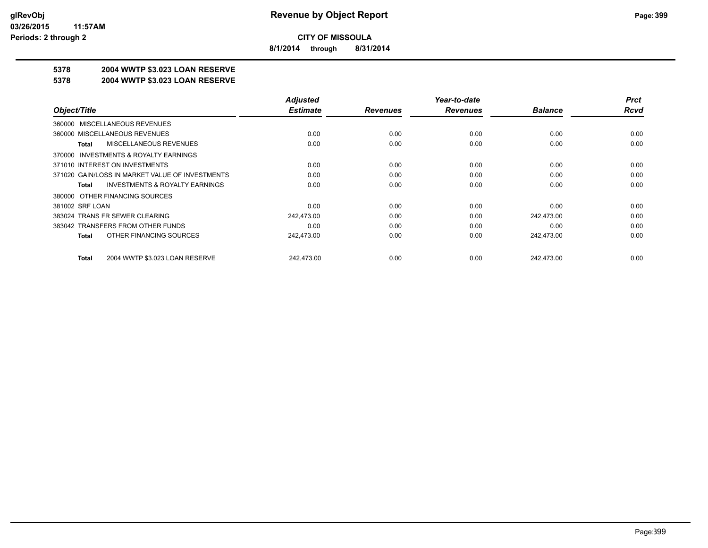**8/1/2014 through 8/31/2014**

## **5378 2004 WWTP \$3.023 LOAN RESERVE**

#### **5378 2004 WWTP \$3.023 LOAN RESERVE**

|                                                    | <b>Adjusted</b> |                 | Year-to-date    |                | <b>Prct</b> |
|----------------------------------------------------|-----------------|-----------------|-----------------|----------------|-------------|
| Object/Title                                       | <b>Estimate</b> | <b>Revenues</b> | <b>Revenues</b> | <b>Balance</b> | <b>Rcvd</b> |
| 360000 MISCELLANEOUS REVENUES                      |                 |                 |                 |                |             |
| 360000 MISCELLANEOUS REVENUES                      | 0.00            | 0.00            | 0.00            | 0.00           | 0.00        |
| MISCELLANEOUS REVENUES<br>Total                    | 0.00            | 0.00            | 0.00            | 0.00           | 0.00        |
| 370000 INVESTMENTS & ROYALTY EARNINGS              |                 |                 |                 |                |             |
| 371010 INTEREST ON INVESTMENTS                     | 0.00            | 0.00            | 0.00            | 0.00           | 0.00        |
| 371020 GAIN/LOSS IN MARKET VALUE OF INVESTMENTS    | 0.00            | 0.00            | 0.00            | 0.00           | 0.00        |
| <b>INVESTMENTS &amp; ROYALTY EARNINGS</b><br>Total | 0.00            | 0.00            | 0.00            | 0.00           | 0.00        |
| 380000 OTHER FINANCING SOURCES                     |                 |                 |                 |                |             |
| 381002 SRF LOAN                                    | 0.00            | 0.00            | 0.00            | 0.00           | 0.00        |
| 383024 TRANS FR SEWER CLEARING                     | 242.473.00      | 0.00            | 0.00            | 242.473.00     | 0.00        |
| 383042 TRANSFERS FROM OTHER FUNDS                  | 0.00            | 0.00            | 0.00            | 0.00           | 0.00        |
| OTHER FINANCING SOURCES<br>Total                   | 242,473.00      | 0.00            | 0.00            | 242,473.00     | 0.00        |
|                                                    |                 |                 |                 |                |             |
| 2004 WWTP \$3.023 LOAN RESERVE<br>Total            | 242,473.00      | 0.00            | 0.00            | 242,473.00     | 0.00        |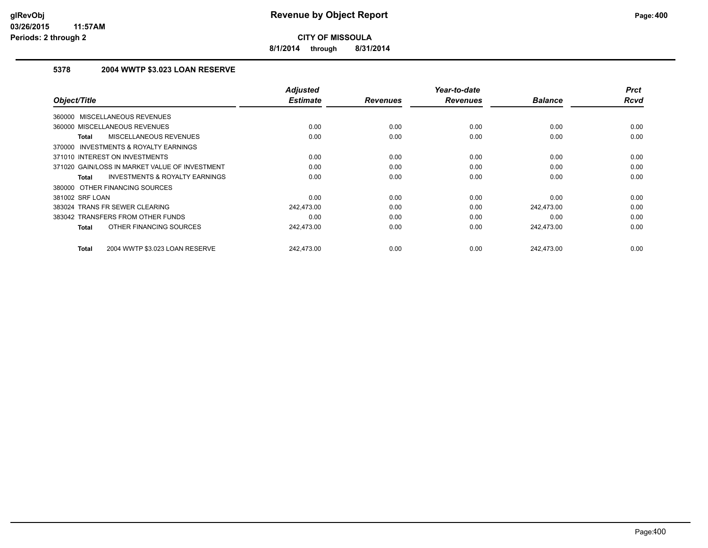**8/1/2014 through 8/31/2014**

## **5378 2004 WWTP \$3.023 LOAN RESERVE**

| Object/Title                                              | <b>Adjusted</b><br><b>Estimate</b> | <b>Revenues</b> | Year-to-date<br><b>Revenues</b> | <b>Balance</b> | <b>Prct</b><br><b>Rcvd</b> |
|-----------------------------------------------------------|------------------------------------|-----------------|---------------------------------|----------------|----------------------------|
|                                                           |                                    |                 |                                 |                |                            |
| 360000 MISCELLANEOUS REVENUES                             |                                    |                 |                                 |                |                            |
| 360000 MISCELLANEOUS REVENUES                             | 0.00                               | 0.00            | 0.00                            | 0.00           | 0.00                       |
| <b>MISCELLANEOUS REVENUES</b><br><b>Total</b>             | 0.00                               | 0.00            | 0.00                            | 0.00           | 0.00                       |
| <b>INVESTMENTS &amp; ROYALTY EARNINGS</b><br>370000       |                                    |                 |                                 |                |                            |
| 371010 INTEREST ON INVESTMENTS                            | 0.00                               | 0.00            | 0.00                            | 0.00           | 0.00                       |
| 371020 GAIN/LOSS IN MARKET VALUE OF INVESTMENT            | 0.00                               | 0.00            | 0.00                            | 0.00           | 0.00                       |
| <b>INVESTMENTS &amp; ROYALTY EARNINGS</b><br><b>Total</b> | 0.00                               | 0.00            | 0.00                            | 0.00           | 0.00                       |
| 380000 OTHER FINANCING SOURCES                            |                                    |                 |                                 |                |                            |
| 381002 SRF LOAN                                           | 0.00                               | 0.00            | 0.00                            | 0.00           | 0.00                       |
| 383024 TRANS FR SEWER CLEARING                            | 242,473.00                         | 0.00            | 0.00                            | 242.473.00     | 0.00                       |
| 383042 TRANSFERS FROM OTHER FUNDS                         | 0.00                               | 0.00            | 0.00                            | 0.00           | 0.00                       |
| OTHER FINANCING SOURCES<br><b>Total</b>                   | 242.473.00                         | 0.00            | 0.00                            | 242.473.00     | 0.00                       |
|                                                           |                                    |                 |                                 |                |                            |
| 2004 WWTP \$3.023 LOAN RESERVE<br><b>Total</b>            | 242.473.00                         | 0.00            | 0.00                            | 242.473.00     | 0.00                       |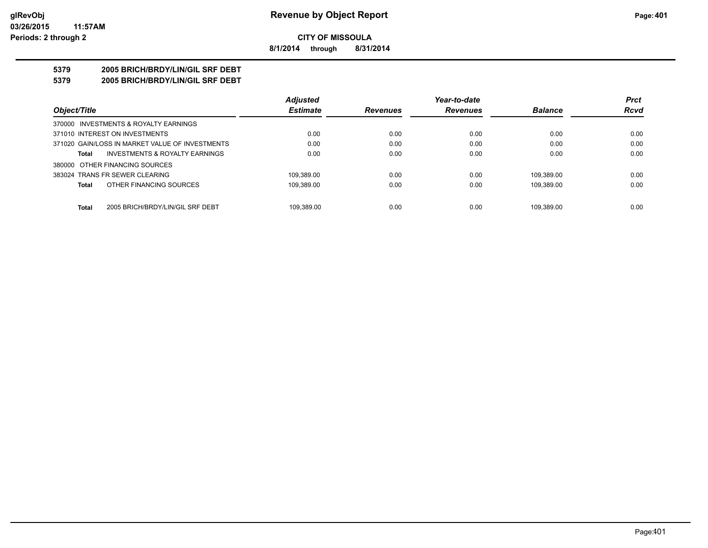**8/1/2014 through 8/31/2014**

## **5379 2005 BRICH/BRDY/LIN/GIL SRF DEBT**

**5379 2005 BRICH/BRDY/LIN/GIL SRF DEBT**

|                                                  | <b>Adjusted</b> |                 | Year-to-date    |                | <b>Prct</b> |
|--------------------------------------------------|-----------------|-----------------|-----------------|----------------|-------------|
| Object/Title                                     | <b>Estimate</b> | <b>Revenues</b> | <b>Revenues</b> | <b>Balance</b> | <b>Rcvd</b> |
| 370000 INVESTMENTS & ROYALTY EARNINGS            |                 |                 |                 |                |             |
| 371010 INTEREST ON INVESTMENTS                   | 0.00            | 0.00            | 0.00            | 0.00           | 0.00        |
| 371020 GAIN/LOSS IN MARKET VALUE OF INVESTMENTS  | 0.00            | 0.00            | 0.00            | 0.00           | 0.00        |
| INVESTMENTS & ROYALTY EARNINGS<br>Total          | 0.00            | 0.00            | 0.00            | 0.00           | 0.00        |
| 380000 OTHER FINANCING SOURCES                   |                 |                 |                 |                |             |
| 383024 TRANS FR SEWER CLEARING                   | 109.389.00      | 0.00            | 0.00            | 109.389.00     | 0.00        |
| OTHER FINANCING SOURCES<br><b>Total</b>          | 109,389.00      | 0.00            | 0.00            | 109.389.00     | 0.00        |
|                                                  |                 |                 |                 |                |             |
| <b>Total</b><br>2005 BRICH/BRDY/LIN/GIL SRF DEBT | 109.389.00      | 0.00            | 0.00            | 109.389.00     | 0.00        |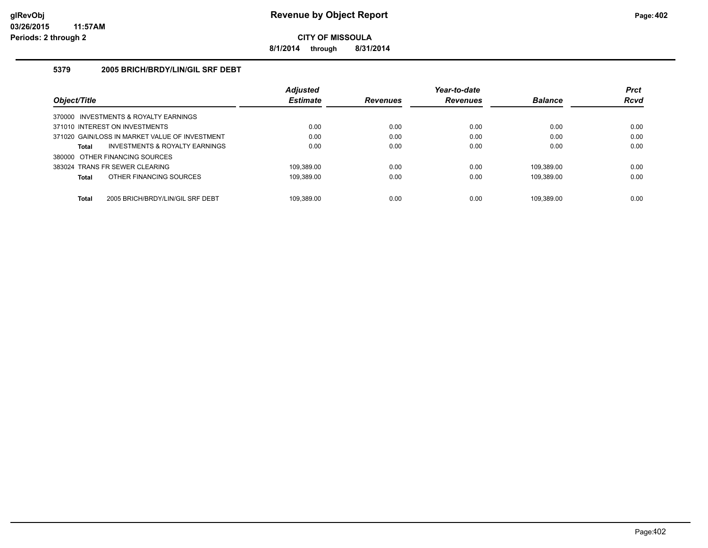**8/1/2014 through 8/31/2014**

### **5379 2005 BRICH/BRDY/LIN/GIL SRF DEBT**

|                                                  | <b>Adjusted</b> |                 | Year-to-date    |                | <b>Prct</b> |
|--------------------------------------------------|-----------------|-----------------|-----------------|----------------|-------------|
| Object/Title                                     | <b>Estimate</b> | <b>Revenues</b> | <b>Revenues</b> | <b>Balance</b> | <b>Rcvd</b> |
| 370000 INVESTMENTS & ROYALTY EARNINGS            |                 |                 |                 |                |             |
| 371010 INTEREST ON INVESTMENTS                   | 0.00            | 0.00            | 0.00            | 0.00           | 0.00        |
| 371020 GAIN/LOSS IN MARKET VALUE OF INVESTMENT   | 0.00            | 0.00            | 0.00            | 0.00           | 0.00        |
| INVESTMENTS & ROYALTY EARNINGS<br>Total          | 0.00            | 0.00            | 0.00            | 0.00           | 0.00        |
| 380000 OTHER FINANCING SOURCES                   |                 |                 |                 |                |             |
| 383024 TRANS FR SEWER CLEARING                   | 109.389.00      | 0.00            | 0.00            | 109.389.00     | 0.00        |
| OTHER FINANCING SOURCES<br>Total                 | 109.389.00      | 0.00            | 0.00            | 109.389.00     | 0.00        |
|                                                  |                 |                 |                 |                |             |
| <b>Total</b><br>2005 BRICH/BRDY/LIN/GIL SRF DEBT | 109.389.00      | 0.00            | 0.00            | 109.389.00     | 0.00        |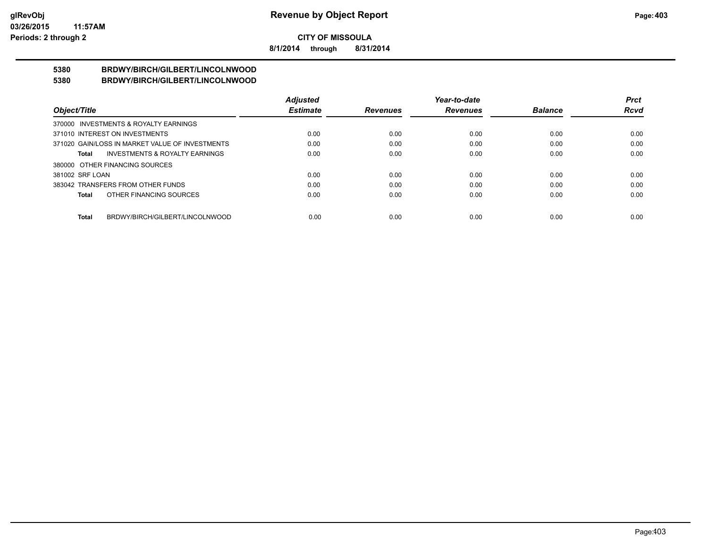**8/1/2014 through 8/31/2014**

#### **5380 BRDWY/BIRCH/GILBERT/LINCOLNWOOD 5380 BRDWY/BIRCH/GILBERT/LINCOLNWOOD**

|                                                    | <b>Adjusted</b> |                 | Year-to-date    |                | Prct        |
|----------------------------------------------------|-----------------|-----------------|-----------------|----------------|-------------|
| Object/Title                                       | <b>Estimate</b> | <b>Revenues</b> | <b>Revenues</b> | <b>Balance</b> | <b>Rcvd</b> |
| 370000 INVESTMENTS & ROYALTY EARNINGS              |                 |                 |                 |                |             |
| 371010 INTEREST ON INVESTMENTS                     | 0.00            | 0.00            | 0.00            | 0.00           | 0.00        |
| 371020 GAIN/LOSS IN MARKET VALUE OF INVESTMENTS    | 0.00            | 0.00            | 0.00            | 0.00           | 0.00        |
| <b>INVESTMENTS &amp; ROYALTY EARNINGS</b><br>Total | 0.00            | 0.00            | 0.00            | 0.00           | 0.00        |
| 380000 OTHER FINANCING SOURCES                     |                 |                 |                 |                |             |
| 381002 SRF LOAN                                    | 0.00            | 0.00            | 0.00            | 0.00           | 0.00        |
| 383042 TRANSFERS FROM OTHER FUNDS                  | 0.00            | 0.00            | 0.00            | 0.00           | 0.00        |
| OTHER FINANCING SOURCES<br>Total                   | 0.00            | 0.00            | 0.00            | 0.00           | 0.00        |
|                                                    |                 |                 |                 |                |             |
| BRDWY/BIRCH/GILBERT/LINCOLNWOOD<br>Total           | 0.00            | 0.00            | 0.00            | 0.00           | 0.00        |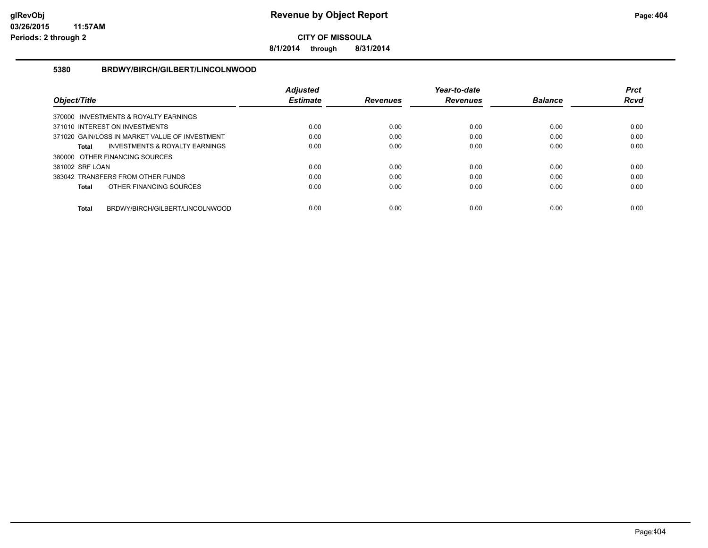**8/1/2014 through 8/31/2014**

### **5380 BRDWY/BIRCH/GILBERT/LINCOLNWOOD**

|                                |                                                | <b>Adjusted</b> |                 | Year-to-date    |                | <b>Prct</b> |
|--------------------------------|------------------------------------------------|-----------------|-----------------|-----------------|----------------|-------------|
| Object/Title                   |                                                | <b>Estimate</b> | <b>Revenues</b> | <b>Revenues</b> | <b>Balance</b> | <b>Rcvd</b> |
|                                | 370000 INVESTMENTS & ROYALTY EARNINGS          |                 |                 |                 |                |             |
| 371010 INTEREST ON INVESTMENTS |                                                | 0.00            | 0.00            | 0.00            | 0.00           | 0.00        |
|                                | 371020 GAIN/LOSS IN MARKET VALUE OF INVESTMENT | 0.00            | 0.00            | 0.00            | 0.00           | 0.00        |
| Total                          | <b>INVESTMENTS &amp; ROYALTY EARNINGS</b>      | 0.00            | 0.00            | 0.00            | 0.00           | 0.00        |
| 380000 OTHER FINANCING SOURCES |                                                |                 |                 |                 |                |             |
| 381002 SRF LOAN                |                                                | 0.00            | 0.00            | 0.00            | 0.00           | 0.00        |
|                                | 383042 TRANSFERS FROM OTHER FUNDS              | 0.00            | 0.00            | 0.00            | 0.00           | 0.00        |
| <b>Total</b>                   | OTHER FINANCING SOURCES                        | 0.00            | 0.00            | 0.00            | 0.00           | 0.00        |
| <b>Total</b>                   | BRDWY/BIRCH/GILBERT/LINCOLNWOOD                | 0.00            | 0.00            | 0.00            | 0.00           | 0.00        |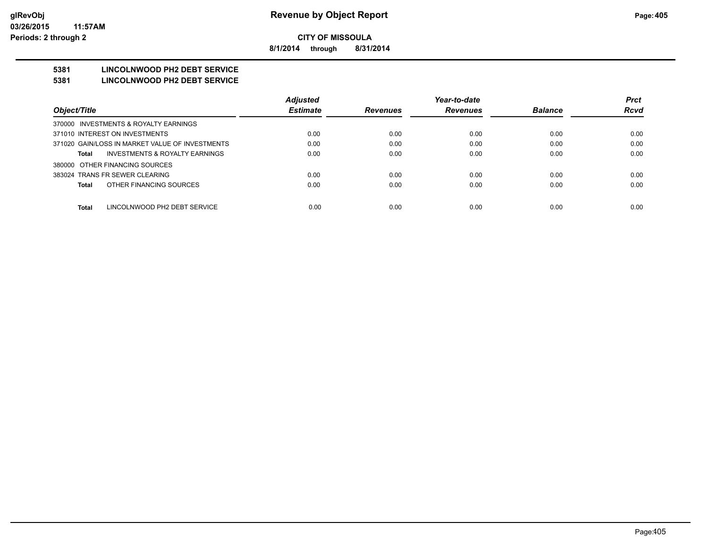**8/1/2014 through 8/31/2014**

## **5381 LINCOLNWOOD PH2 DEBT SERVICE**

#### **5381 LINCOLNWOOD PH2 DEBT SERVICE**

|                                                 | <b>Adjusted</b> |                 | Year-to-date    |                | <b>Prct</b> |
|-------------------------------------------------|-----------------|-----------------|-----------------|----------------|-------------|
| Object/Title                                    | <b>Estimate</b> | <b>Revenues</b> | <b>Revenues</b> | <b>Balance</b> | <b>Rcvd</b> |
| 370000 INVESTMENTS & ROYALTY EARNINGS           |                 |                 |                 |                |             |
| 371010 INTEREST ON INVESTMENTS                  | 0.00            | 0.00            | 0.00            | 0.00           | 0.00        |
| 371020 GAIN/LOSS IN MARKET VALUE OF INVESTMENTS | 0.00            | 0.00            | 0.00            | 0.00           | 0.00        |
| INVESTMENTS & ROYALTY EARNINGS<br>Total         | 0.00            | 0.00            | 0.00            | 0.00           | 0.00        |
| 380000 OTHER FINANCING SOURCES                  |                 |                 |                 |                |             |
| 383024 TRANS FR SEWER CLEARING                  | 0.00            | 0.00            | 0.00            | 0.00           | 0.00        |
| OTHER FINANCING SOURCES<br>Total                | 0.00            | 0.00            | 0.00            | 0.00           | 0.00        |
|                                                 |                 |                 |                 |                |             |
| <b>Total</b><br>LINCOLNWOOD PH2 DEBT SERVICE    | 0.00            | 0.00            | 0.00            | 0.00           | 0.00        |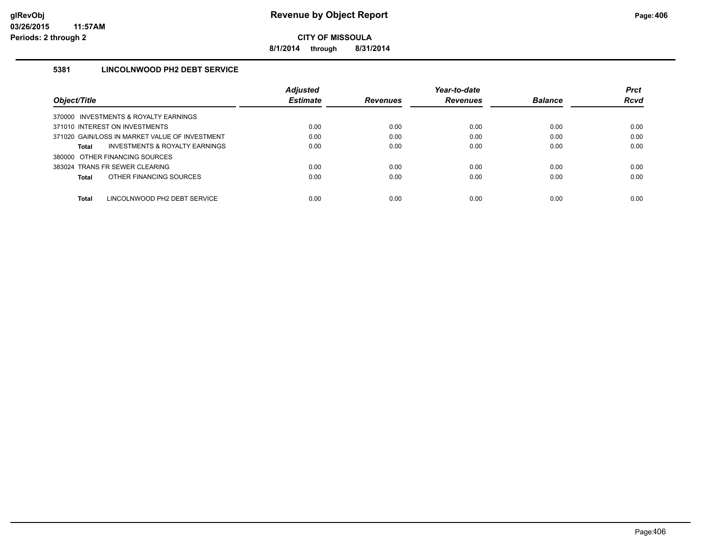**8/1/2014 through 8/31/2014**

## **5381 LINCOLNWOOD PH2 DEBT SERVICE**

|                                                           | <b>Adiusted</b> |                 | Year-to-date    |                | <b>Prct</b> |
|-----------------------------------------------------------|-----------------|-----------------|-----------------|----------------|-------------|
| Object/Title                                              | <b>Estimate</b> | <b>Revenues</b> | <b>Revenues</b> | <b>Balance</b> | <b>Rcvd</b> |
| 370000 INVESTMENTS & ROYALTY EARNINGS                     |                 |                 |                 |                |             |
| 371010 INTEREST ON INVESTMENTS                            | 0.00            | 0.00            | 0.00            | 0.00           | 0.00        |
| 371020 GAIN/LOSS IN MARKET VALUE OF INVESTMENT            | 0.00            | 0.00            | 0.00            | 0.00           | 0.00        |
| <b>INVESTMENTS &amp; ROYALTY EARNINGS</b><br><b>Total</b> | 0.00            | 0.00            | 0.00            | 0.00           | 0.00        |
| 380000 OTHER FINANCING SOURCES                            |                 |                 |                 |                |             |
| 383024 TRANS FR SEWER CLEARING                            | 0.00            | 0.00            | 0.00            | 0.00           | 0.00        |
| OTHER FINANCING SOURCES<br><b>Total</b>                   | 0.00            | 0.00            | 0.00            | 0.00           | 0.00        |
|                                                           |                 |                 |                 |                |             |
| <b>Total</b><br>LINCOLNWOOD PH2 DEBT SERVICE              | 0.00            | 0.00            | 0.00            | 0.00           | 0.00        |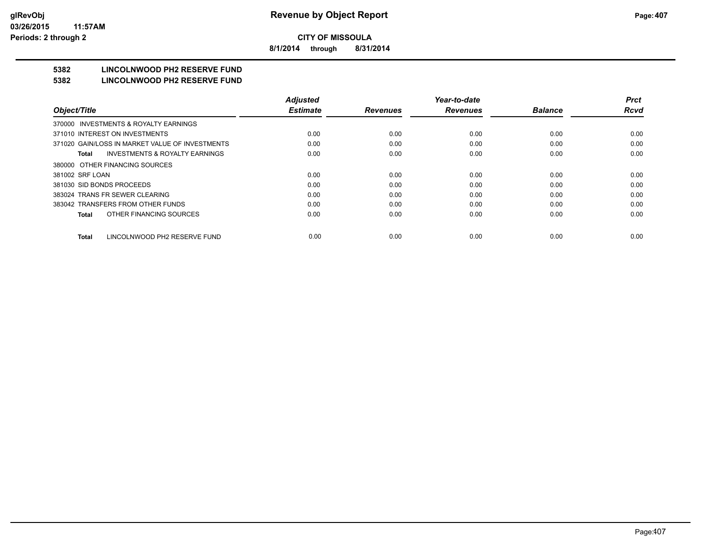**8/1/2014 through 8/31/2014**

## **5382 LINCOLNWOOD PH2 RESERVE FUND**

#### **5382 LINCOLNWOOD PH2 RESERVE FUND**

|                                                    | <b>Adjusted</b> |                 | Year-to-date    |                | <b>Prct</b> |
|----------------------------------------------------|-----------------|-----------------|-----------------|----------------|-------------|
| Object/Title                                       | <b>Estimate</b> | <b>Revenues</b> | <b>Revenues</b> | <b>Balance</b> | <b>Rcvd</b> |
| 370000 INVESTMENTS & ROYALTY EARNINGS              |                 |                 |                 |                |             |
| 371010 INTEREST ON INVESTMENTS                     | 0.00            | 0.00            | 0.00            | 0.00           | 0.00        |
| 371020 GAIN/LOSS IN MARKET VALUE OF INVESTMENTS    | 0.00            | 0.00            | 0.00            | 0.00           | 0.00        |
| <b>INVESTMENTS &amp; ROYALTY EARNINGS</b><br>Total | 0.00            | 0.00            | 0.00            | 0.00           | 0.00        |
| 380000 OTHER FINANCING SOURCES                     |                 |                 |                 |                |             |
| 381002 SRF LOAN                                    | 0.00            | 0.00            | 0.00            | 0.00           | 0.00        |
| 381030 SID BONDS PROCEEDS                          | 0.00            | 0.00            | 0.00            | 0.00           | 0.00        |
| 383024 TRANS FR SEWER CLEARING                     | 0.00            | 0.00            | 0.00            | 0.00           | 0.00        |
| 383042 TRANSFERS FROM OTHER FUNDS                  | 0.00            | 0.00            | 0.00            | 0.00           | 0.00        |
| OTHER FINANCING SOURCES<br>Total                   | 0.00            | 0.00            | 0.00            | 0.00           | 0.00        |
| LINCOLNWOOD PH2 RESERVE FUND<br><b>Total</b>       | 0.00            | 0.00            | 0.00            | 0.00           | 0.00        |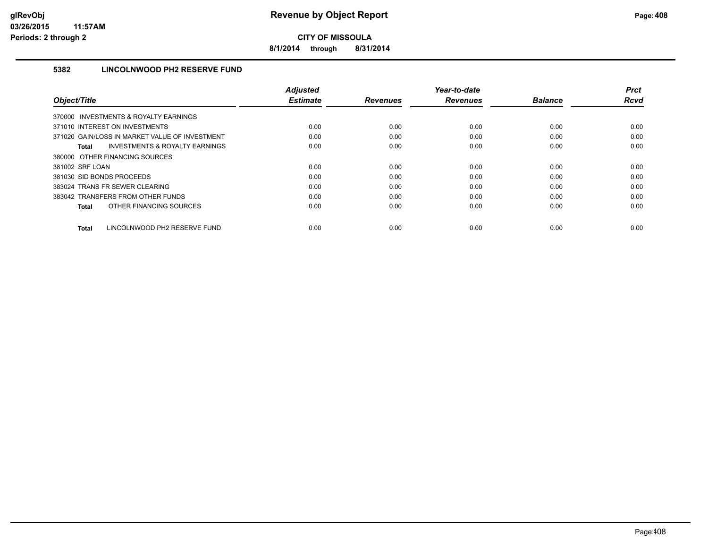**8/1/2014 through 8/31/2014**

## **5382 LINCOLNWOOD PH2 RESERVE FUND**

|                                                           | <b>Adiusted</b> |                 | Year-to-date    |                | <b>Prct</b> |
|-----------------------------------------------------------|-----------------|-----------------|-----------------|----------------|-------------|
| Object/Title                                              | <b>Estimate</b> | <b>Revenues</b> | <b>Revenues</b> | <b>Balance</b> | <b>Rcvd</b> |
| 370000 INVESTMENTS & ROYALTY EARNINGS                     |                 |                 |                 |                |             |
| 371010 INTEREST ON INVESTMENTS                            | 0.00            | 0.00            | 0.00            | 0.00           | 0.00        |
| 371020 GAIN/LOSS IN MARKET VALUE OF INVESTMENT            | 0.00            | 0.00            | 0.00            | 0.00           | 0.00        |
| <b>INVESTMENTS &amp; ROYALTY EARNINGS</b><br><b>Total</b> | 0.00            | 0.00            | 0.00            | 0.00           | 0.00        |
| 380000 OTHER FINANCING SOURCES                            |                 |                 |                 |                |             |
| 381002 SRF LOAN                                           | 0.00            | 0.00            | 0.00            | 0.00           | 0.00        |
| 381030 SID BONDS PROCEEDS                                 | 0.00            | 0.00            | 0.00            | 0.00           | 0.00        |
| 383024 TRANS FR SEWER CLEARING                            | 0.00            | 0.00            | 0.00            | 0.00           | 0.00        |
| 383042 TRANSFERS FROM OTHER FUNDS                         | 0.00            | 0.00            | 0.00            | 0.00           | 0.00        |
| OTHER FINANCING SOURCES<br><b>Total</b>                   | 0.00            | 0.00            | 0.00            | 0.00           | 0.00        |
| LINCOLNWOOD PH2 RESERVE FUND<br><b>Total</b>              | 0.00            | 0.00            | 0.00            | 0.00           | 0.00        |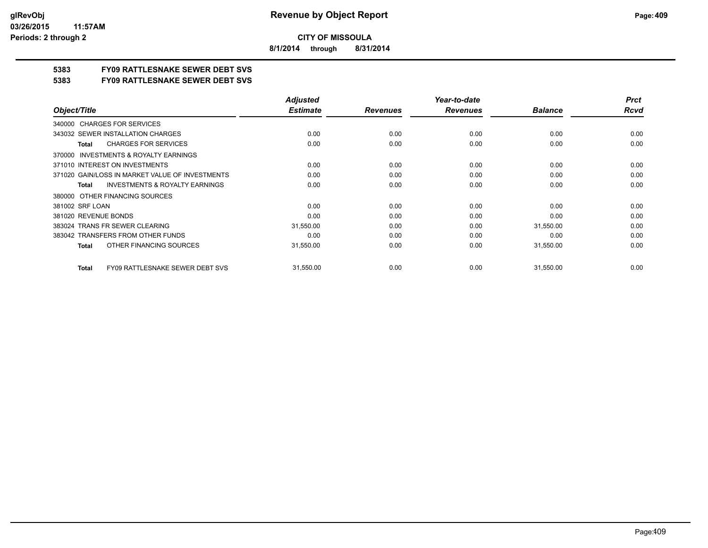**8/1/2014 through 8/31/2014**

## **5383 FY09 RATTLESNAKE SEWER DEBT SVS**

**5383 FY09 RATTLESNAKE SEWER DEBT SVS**

|                                                           | <b>Adjusted</b> |                 | Year-to-date    |                | <b>Prct</b> |
|-----------------------------------------------------------|-----------------|-----------------|-----------------|----------------|-------------|
| Object/Title                                              | <b>Estimate</b> | <b>Revenues</b> | <b>Revenues</b> | <b>Balance</b> | <b>Rcvd</b> |
| <b>CHARGES FOR SERVICES</b><br>340000                     |                 |                 |                 |                |             |
| 343032 SEWER INSTALLATION CHARGES                         | 0.00            | 0.00            | 0.00            | 0.00           | 0.00        |
| <b>CHARGES FOR SERVICES</b><br><b>Total</b>               | 0.00            | 0.00            | 0.00            | 0.00           | 0.00        |
| <b>INVESTMENTS &amp; ROYALTY EARNINGS</b><br>370000       |                 |                 |                 |                |             |
| 371010 INTEREST ON INVESTMENTS                            | 0.00            | 0.00            | 0.00            | 0.00           | 0.00        |
| 371020 GAIN/LOSS IN MARKET VALUE OF INVESTMENTS           | 0.00            | 0.00            | 0.00            | 0.00           | 0.00        |
| <b>INVESTMENTS &amp; ROYALTY EARNINGS</b><br><b>Total</b> | 0.00            | 0.00            | 0.00            | 0.00           | 0.00        |
| OTHER FINANCING SOURCES<br>380000                         |                 |                 |                 |                |             |
| 381002 SRF LOAN                                           | 0.00            | 0.00            | 0.00            | 0.00           | 0.00        |
| 381020 REVENUE BONDS                                      | 0.00            | 0.00            | 0.00            | 0.00           | 0.00        |
| 383024 TRANS FR SEWER CLEARING                            | 31,550.00       | 0.00            | 0.00            | 31,550.00      | 0.00        |
| 383042 TRANSFERS FROM OTHER FUNDS                         | 0.00            | 0.00            | 0.00            | 0.00           | 0.00        |
| OTHER FINANCING SOURCES<br><b>Total</b>                   | 31,550.00       | 0.00            | 0.00            | 31,550.00      | 0.00        |
| <b>FY09 RATTLESNAKE SEWER DEBT SVS</b><br><b>Total</b>    | 31,550.00       | 0.00            | 0.00            | 31,550.00      | 0.00        |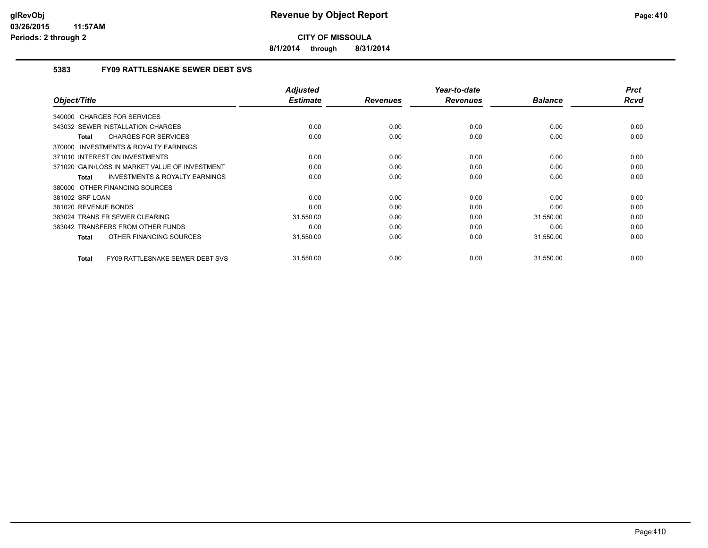**8/1/2014 through 8/31/2014**

## **5383 FY09 RATTLESNAKE SEWER DEBT SVS**

|                                                           | <b>Adjusted</b><br><b>Estimate</b> |                 | Year-to-date    | <b>Balance</b> | <b>Prct</b><br>Rcvd |
|-----------------------------------------------------------|------------------------------------|-----------------|-----------------|----------------|---------------------|
| Object/Title                                              |                                    | <b>Revenues</b> | <b>Revenues</b> |                |                     |
| 340000 CHARGES FOR SERVICES                               |                                    |                 |                 |                |                     |
| 343032 SEWER INSTALLATION CHARGES                         | 0.00                               | 0.00            | 0.00            | 0.00           | 0.00                |
| <b>CHARGES FOR SERVICES</b><br>Total                      | 0.00                               | 0.00            | 0.00            | 0.00           | 0.00                |
| <b>INVESTMENTS &amp; ROYALTY EARNINGS</b><br>370000       |                                    |                 |                 |                |                     |
| 371010 INTEREST ON INVESTMENTS                            | 0.00                               | 0.00            | 0.00            | 0.00           | 0.00                |
| 371020 GAIN/LOSS IN MARKET VALUE OF INVESTMENT            | 0.00                               | 0.00            | 0.00            | 0.00           | 0.00                |
| <b>INVESTMENTS &amp; ROYALTY EARNINGS</b><br><b>Total</b> | 0.00                               | 0.00            | 0.00            | 0.00           | 0.00                |
| 380000 OTHER FINANCING SOURCES                            |                                    |                 |                 |                |                     |
| 381002 SRF LOAN                                           | 0.00                               | 0.00            | 0.00            | 0.00           | 0.00                |
| 381020 REVENUE BONDS                                      | 0.00                               | 0.00            | 0.00            | 0.00           | 0.00                |
| 383024 TRANS FR SEWER CLEARING                            | 31,550.00                          | 0.00            | 0.00            | 31,550.00      | 0.00                |
| 383042 TRANSFERS FROM OTHER FUNDS                         | 0.00                               | 0.00            | 0.00            | 0.00           | 0.00                |
| OTHER FINANCING SOURCES<br><b>Total</b>                   | 31,550.00                          | 0.00            | 0.00            | 31,550.00      | 0.00                |
| <b>FY09 RATTLESNAKE SEWER DEBT SVS</b><br><b>Total</b>    | 31,550.00                          | 0.00            | 0.00            | 31,550.00      | 0.00                |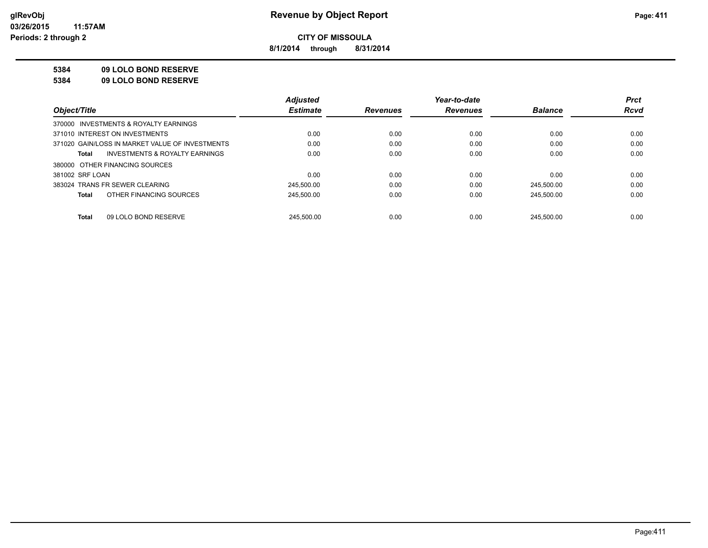**8/1/2014 through 8/31/2014**

### **5384 09 LOLO BOND RESERVE**

**5384 09 LOLO BOND RESERVE**

|                                                    | <b>Adjusted</b> |                 | Year-to-date    |                | <b>Prct</b> |
|----------------------------------------------------|-----------------|-----------------|-----------------|----------------|-------------|
| Object/Title                                       | <b>Estimate</b> | <b>Revenues</b> | <b>Revenues</b> | <b>Balance</b> | <b>Rcvd</b> |
| 370000 INVESTMENTS & ROYALTY EARNINGS              |                 |                 |                 |                |             |
| 371010 INTEREST ON INVESTMENTS                     | 0.00            | 0.00            | 0.00            | 0.00           | 0.00        |
| 371020 GAIN/LOSS IN MARKET VALUE OF INVESTMENTS    | 0.00            | 0.00            | 0.00            | 0.00           | 0.00        |
| <b>INVESTMENTS &amp; ROYALTY EARNINGS</b><br>Total | 0.00            | 0.00            | 0.00            | 0.00           | 0.00        |
| 380000 OTHER FINANCING SOURCES                     |                 |                 |                 |                |             |
| 381002 SRF LOAN                                    | 0.00            | 0.00            | 0.00            | 0.00           | 0.00        |
| 383024 TRANS FR SEWER CLEARING                     | 245,500.00      | 0.00            | 0.00            | 245,500.00     | 0.00        |
| OTHER FINANCING SOURCES<br>Total                   | 245,500.00      | 0.00            | 0.00            | 245.500.00     | 0.00        |
|                                                    |                 |                 |                 |                |             |
| 09 LOLO BOND RESERVE<br>Total                      | 245.500.00      | 0.00            | 0.00            | 245.500.00     | 0.00        |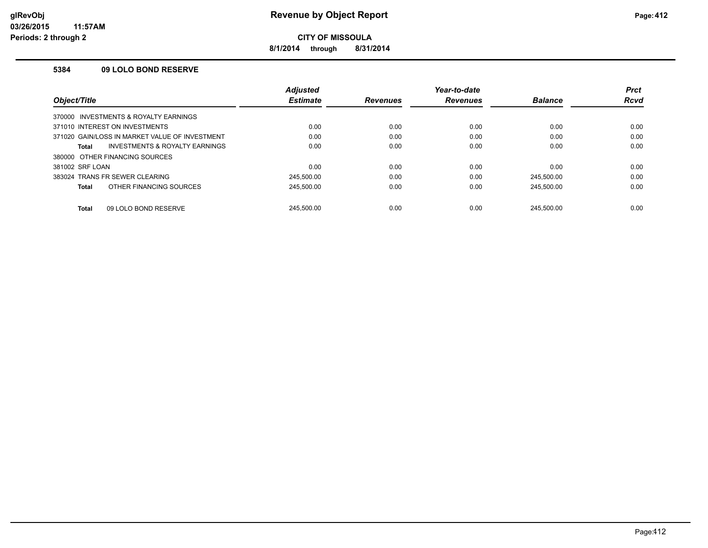**8/1/2014 through 8/31/2014**

#### **5384 09 LOLO BOND RESERVE**

|                                                | Adjusted        |                 | Year-to-date    |                | <b>Prct</b> |
|------------------------------------------------|-----------------|-----------------|-----------------|----------------|-------------|
| Object/Title                                   | <b>Estimate</b> | <b>Revenues</b> | <b>Revenues</b> | <b>Balance</b> | <b>Rcvd</b> |
| 370000 INVESTMENTS & ROYALTY EARNINGS          |                 |                 |                 |                |             |
| 371010 INTEREST ON INVESTMENTS                 | 0.00            | 0.00            | 0.00            | 0.00           | 0.00        |
| 371020 GAIN/LOSS IN MARKET VALUE OF INVESTMENT | 0.00            | 0.00            | 0.00            | 0.00           | 0.00        |
| INVESTMENTS & ROYALTY EARNINGS<br>Total        | 0.00            | 0.00            | 0.00            | 0.00           | 0.00        |
| 380000 OTHER FINANCING SOURCES                 |                 |                 |                 |                |             |
| 381002 SRF LOAN                                | 0.00            | 0.00            | 0.00            | 0.00           | 0.00        |
| 383024 TRANS FR SEWER CLEARING                 | 245.500.00      | 0.00            | 0.00            | 245.500.00     | 0.00        |
| OTHER FINANCING SOURCES<br>Total               | 245,500.00      | 0.00            | 0.00            | 245,500.00     | 0.00        |
| 09 LOLO BOND RESERVE<br><b>Total</b>           | 245.500.00      | 0.00            | 0.00            | 245.500.00     | 0.00        |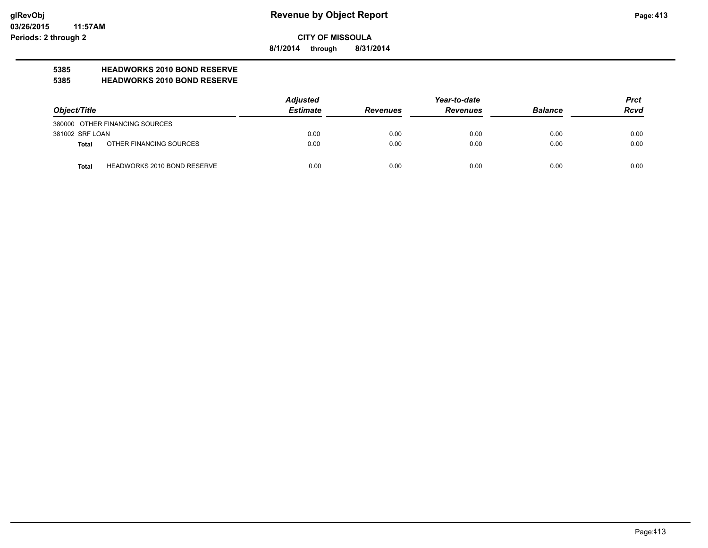**8/1/2014 through 8/31/2014**

## **5385 HEADWORKS 2010 BOND RESERVE**

#### **5385 HEADWORKS 2010 BOND RESERVE**

|                 |                                    | <b>Adjusted</b> |                 | <b>Prct</b>     |                |             |
|-----------------|------------------------------------|-----------------|-----------------|-----------------|----------------|-------------|
| Object/Title    |                                    | <b>Estimate</b> | <b>Revenues</b> | <b>Revenues</b> | <b>Balance</b> | <b>Rcvd</b> |
|                 | 380000 OTHER FINANCING SOURCES     |                 |                 |                 |                |             |
| 381002 SRF LOAN |                                    | 0.00            | 0.00            | 0.00            | 0.00           | 0.00        |
| Total           | OTHER FINANCING SOURCES            | 0.00            | 0.00            | 0.00            | 0.00           | 0.00        |
| <b>Total</b>    | <b>HEADWORKS 2010 BOND RESERVE</b> | 0.00            | 0.00            | 0.00            | 0.00           | 0.00        |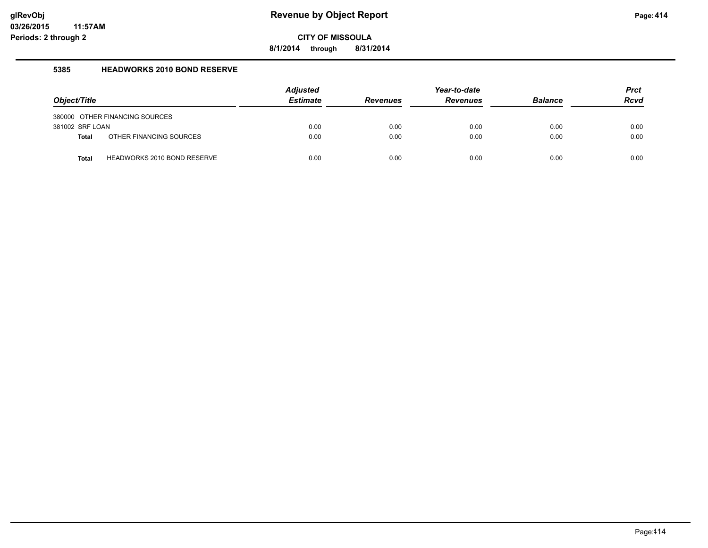**8/1/2014 through 8/31/2014**

### **5385 HEADWORKS 2010 BOND RESERVE**

|                 |                                    | <b>Adjusted</b> |                 | Year-to-date    |                | <b>Prct</b> |
|-----------------|------------------------------------|-----------------|-----------------|-----------------|----------------|-------------|
| Object/Title    |                                    | <b>Estimate</b> | <b>Revenues</b> | <b>Revenues</b> | <b>Balance</b> | Rcvd        |
|                 | 380000 OTHER FINANCING SOURCES     |                 |                 |                 |                |             |
| 381002 SRF LOAN |                                    | 0.00            | 0.00            | 0.00            | 0.00           | 0.00        |
| <b>Total</b>    | OTHER FINANCING SOURCES            | 0.00            | 0.00            | 0.00            | 0.00           | 0.00        |
| <b>Total</b>    | <b>HEADWORKS 2010 BOND RESERVE</b> | 0.00            | 0.00            | 0.00            | 0.00           | 0.00        |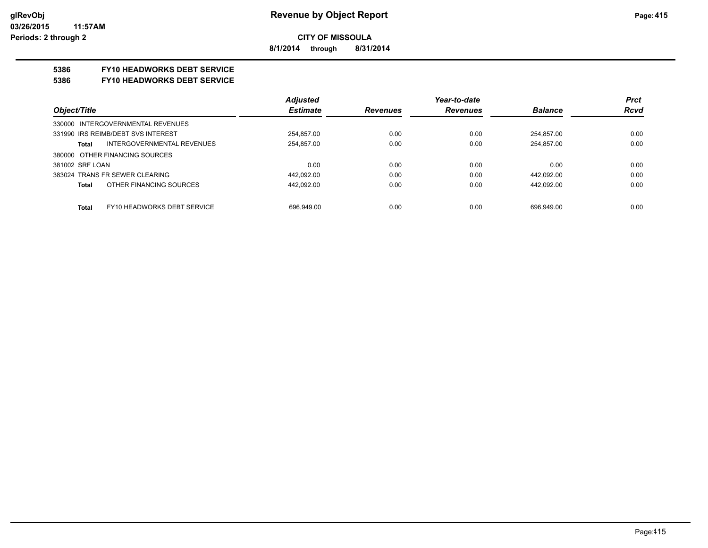**8/1/2014 through 8/31/2014**

## **5386 FY10 HEADWORKS DEBT SERVICE**

#### **5386 FY10 HEADWORKS DEBT SERVICE**

|                                            | <b>Adjusted</b> |                 | Year-to-date    |                | <b>Prct</b> |
|--------------------------------------------|-----------------|-----------------|-----------------|----------------|-------------|
| Object/Title                               | <b>Estimate</b> | <b>Revenues</b> | <b>Revenues</b> | <b>Balance</b> | <b>Rcvd</b> |
| 330000 INTERGOVERNMENTAL REVENUES          |                 |                 |                 |                |             |
| 331990 IRS REIMB/DEBT SVS INTEREST         | 254.857.00      | 0.00            | 0.00            | 254.857.00     | 0.00        |
| <b>INTERGOVERNMENTAL REVENUES</b><br>Total | 254.857.00      | 0.00            | 0.00            | 254.857.00     | 0.00        |
| 380000 OTHER FINANCING SOURCES             |                 |                 |                 |                |             |
| 381002 SRF LOAN                            | 0.00            | 0.00            | 0.00            | 0.00           | 0.00        |
| 383024 TRANS FR SEWER CLEARING             | 442.092.00      | 0.00            | 0.00            | 442.092.00     | 0.00        |
| OTHER FINANCING SOURCES<br>Total           | 442.092.00      | 0.00            | 0.00            | 442.092.00     | 0.00        |
|                                            |                 |                 |                 |                |             |
| FY10 HEADWORKS DEBT SERVICE<br>Total       | 696.949.00      | 0.00            | 0.00            | 696.949.00     | 0.00        |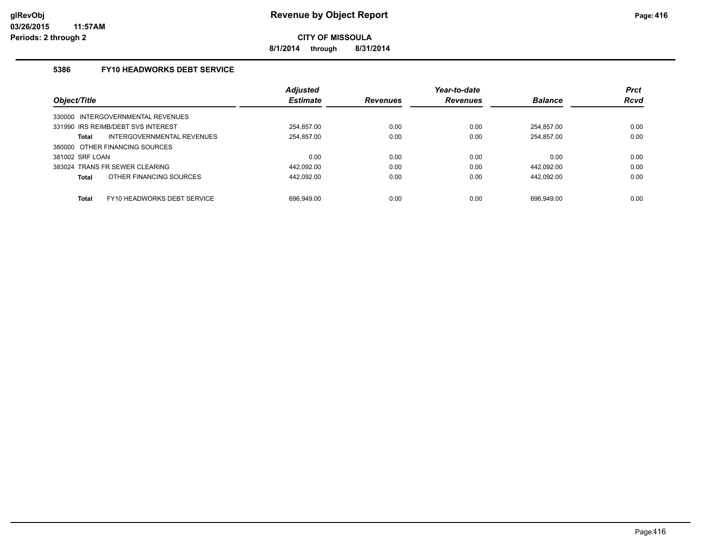**8/1/2014 through 8/31/2014**

## **5386 FY10 HEADWORKS DEBT SERVICE**

|                                    |                                    | <b>Adjusted</b> |                 | Year-to-date    |                | <b>Prct</b> |
|------------------------------------|------------------------------------|-----------------|-----------------|-----------------|----------------|-------------|
| Object/Title                       |                                    | <b>Estimate</b> | <b>Revenues</b> | <b>Revenues</b> | <b>Balance</b> | <b>Rcvd</b> |
| 330000 INTERGOVERNMENTAL REVENUES  |                                    |                 |                 |                 |                |             |
| 331990 IRS REIMB/DEBT SVS INTEREST |                                    | 254.857.00      | 0.00            | 0.00            | 254.857.00     | 0.00        |
| Total                              | <b>INTERGOVERNMENTAL REVENUES</b>  | 254,857.00      | 0.00            | 0.00            | 254.857.00     | 0.00        |
| 380000 OTHER FINANCING SOURCES     |                                    |                 |                 |                 |                |             |
| 381002 SRF LOAN                    |                                    | 0.00            | 0.00            | 0.00            | 0.00           | 0.00        |
| 383024 TRANS FR SEWER CLEARING     |                                    | 442.092.00      | 0.00            | 0.00            | 442.092.00     | 0.00        |
| Total                              | OTHER FINANCING SOURCES            | 442.092.00      | 0.00            | 0.00            | 442.092.00     | 0.00        |
| <b>Total</b>                       | <b>FY10 HEADWORKS DEBT SERVICE</b> | 696.949.00      | 0.00            | 0.00            | 696.949.00     | 0.00        |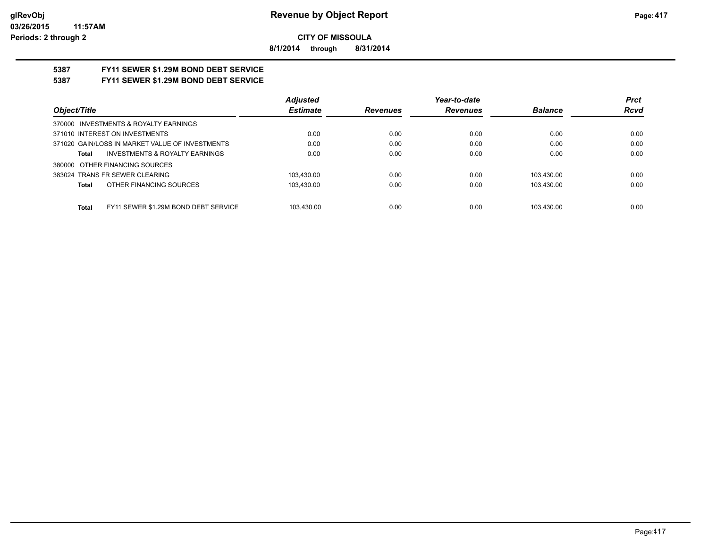**8/1/2014 through 8/31/2014**

# **5387 FY11 SEWER \$1.29M BOND DEBT SERVICE**

## **5387 FY11 SEWER \$1.29M BOND DEBT SERVICE**

|                                                      | <b>Adjusted</b> |                 | Year-to-date    |                | <b>Prct</b> |
|------------------------------------------------------|-----------------|-----------------|-----------------|----------------|-------------|
| Obiect/Title                                         | <b>Estimate</b> | <b>Revenues</b> | <b>Revenues</b> | <b>Balance</b> | <b>Rcvd</b> |
| 370000 INVESTMENTS & ROYALTY EARNINGS                |                 |                 |                 |                |             |
| 371010 INTEREST ON INVESTMENTS                       | 0.00            | 0.00            | 0.00            | 0.00           | 0.00        |
| 371020 GAIN/LOSS IN MARKET VALUE OF INVESTMENTS      | 0.00            | 0.00            | 0.00            | 0.00           | 0.00        |
| <b>INVESTMENTS &amp; ROYALTY EARNINGS</b><br>Total   | 0.00            | 0.00            | 0.00            | 0.00           | 0.00        |
| 380000 OTHER FINANCING SOURCES                       |                 |                 |                 |                |             |
| 383024 TRANS FR SEWER CLEARING                       | 103.430.00      | 0.00            | 0.00            | 103.430.00     | 0.00        |
| OTHER FINANCING SOURCES<br>Total                     | 103.430.00      | 0.00            | 0.00            | 103.430.00     | 0.00        |
|                                                      |                 |                 |                 |                |             |
| FY11 SEWER \$1.29M BOND DEBT SERVICE<br><b>Total</b> | 103.430.00      | 0.00            | 0.00            | 103.430.00     | 0.00        |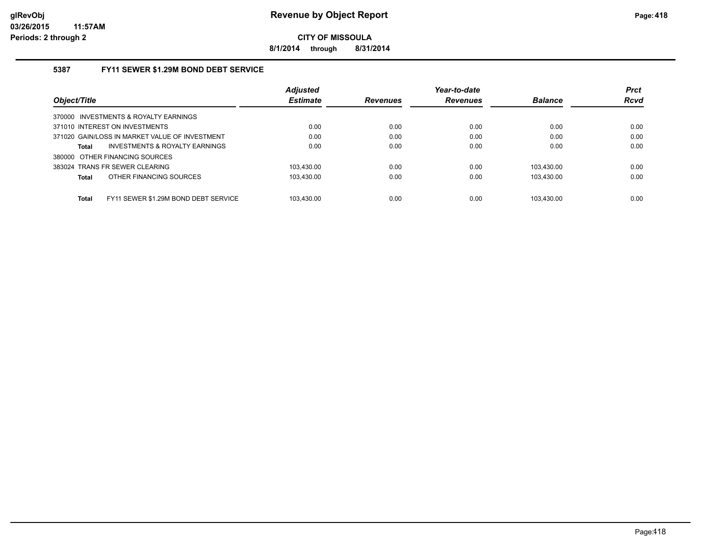**8/1/2014 through 8/31/2014**

## **5387 FY11 SEWER \$1.29M BOND DEBT SERVICE**

|                                                      | <b>Adjusted</b> |                 | Year-to-date    |                | <b>Prct</b> |
|------------------------------------------------------|-----------------|-----------------|-----------------|----------------|-------------|
| Object/Title                                         | <b>Estimate</b> | <b>Revenues</b> | <b>Revenues</b> | <b>Balance</b> | <b>Rcvd</b> |
| 370000 INVESTMENTS & ROYALTY EARNINGS                |                 |                 |                 |                |             |
| 371010 INTEREST ON INVESTMENTS                       | 0.00            | 0.00            | 0.00            | 0.00           | 0.00        |
| 371020 GAIN/LOSS IN MARKET VALUE OF INVESTMENT       | 0.00            | 0.00            | 0.00            | 0.00           | 0.00        |
| INVESTMENTS & ROYALTY EARNINGS<br>Total              | 0.00            | 0.00            | 0.00            | 0.00           | 0.00        |
| 380000 OTHER FINANCING SOURCES                       |                 |                 |                 |                |             |
| 383024 TRANS FR SEWER CLEARING                       | 103.430.00      | 0.00            | 0.00            | 103.430.00     | 0.00        |
| OTHER FINANCING SOURCES<br><b>Total</b>              | 103.430.00      | 0.00            | 0.00            | 103.430.00     | 0.00        |
|                                                      |                 |                 |                 |                |             |
| FY11 SEWER \$1.29M BOND DEBT SERVICE<br><b>Total</b> | 103.430.00      | 0.00            | 0.00            | 103.430.00     | 0.00        |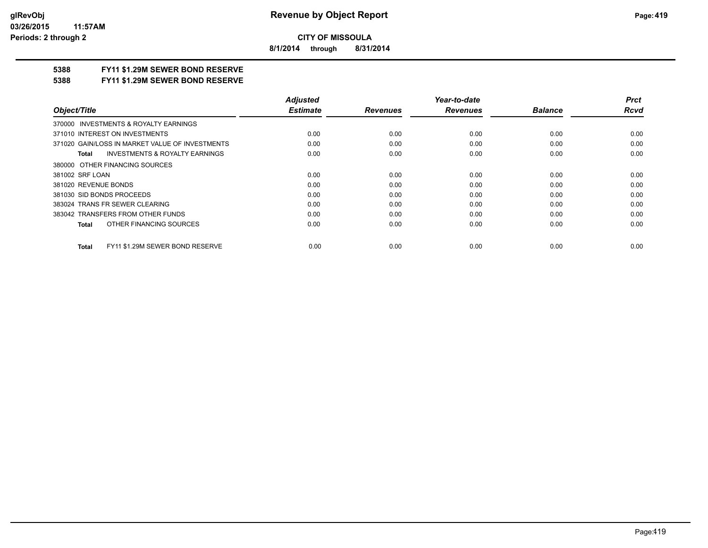**8/1/2014 through 8/31/2014**

## **5388 FY11 \$1.29M SEWER BOND RESERVE**

#### **5388 FY11 \$1.29M SEWER BOND RESERVE**

|                                                    | <b>Adjusted</b> |                 | Year-to-date    |                | <b>Prct</b> |
|----------------------------------------------------|-----------------|-----------------|-----------------|----------------|-------------|
| Object/Title                                       | <b>Estimate</b> | <b>Revenues</b> | <b>Revenues</b> | <b>Balance</b> | <b>Rcvd</b> |
| 370000 INVESTMENTS & ROYALTY EARNINGS              |                 |                 |                 |                |             |
| 371010 INTEREST ON INVESTMENTS                     | 0.00            | 0.00            | 0.00            | 0.00           | 0.00        |
| 371020 GAIN/LOSS IN MARKET VALUE OF INVESTMENTS    | 0.00            | 0.00            | 0.00            | 0.00           | 0.00        |
| <b>INVESTMENTS &amp; ROYALTY EARNINGS</b><br>Total | 0.00            | 0.00            | 0.00            | 0.00           | 0.00        |
| 380000 OTHER FINANCING SOURCES                     |                 |                 |                 |                |             |
| 381002 SRF LOAN                                    | 0.00            | 0.00            | 0.00            | 0.00           | 0.00        |
| 381020 REVENUE BONDS                               | 0.00            | 0.00            | 0.00            | 0.00           | 0.00        |
| 381030 SID BONDS PROCEEDS                          | 0.00            | 0.00            | 0.00            | 0.00           | 0.00        |
| 383024 TRANS FR SEWER CLEARING                     | 0.00            | 0.00            | 0.00            | 0.00           | 0.00        |
| 383042 TRANSFERS FROM OTHER FUNDS                  | 0.00            | 0.00            | 0.00            | 0.00           | 0.00        |
| OTHER FINANCING SOURCES<br>Total                   | 0.00            | 0.00            | 0.00            | 0.00           | 0.00        |
| FY11 \$1.29M SEWER BOND RESERVE<br><b>Total</b>    | 0.00            | 0.00            | 0.00            | 0.00           | 0.00        |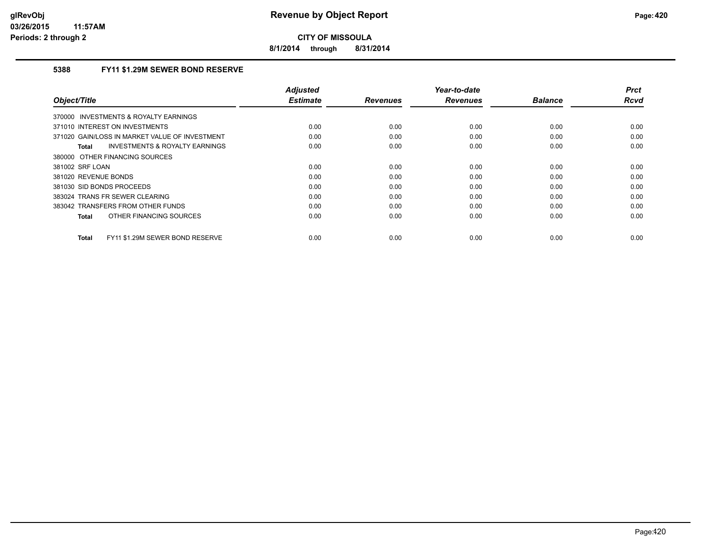**8/1/2014 through 8/31/2014**

## **5388 FY11 \$1.29M SEWER BOND RESERVE**

|                                                    | <b>Adjusted</b> |                 | Year-to-date    |                | <b>Prct</b> |
|----------------------------------------------------|-----------------|-----------------|-----------------|----------------|-------------|
| Object/Title                                       | <b>Estimate</b> | <b>Revenues</b> | <b>Revenues</b> | <b>Balance</b> | <b>Rcvd</b> |
| 370000 INVESTMENTS & ROYALTY EARNINGS              |                 |                 |                 |                |             |
| 371010 INTEREST ON INVESTMENTS                     | 0.00            | 0.00            | 0.00            | 0.00           | 0.00        |
| 371020 GAIN/LOSS IN MARKET VALUE OF INVESTMENT     | 0.00            | 0.00            | 0.00            | 0.00           | 0.00        |
| <b>INVESTMENTS &amp; ROYALTY EARNINGS</b><br>Total | 0.00            | 0.00            | 0.00            | 0.00           | 0.00        |
| 380000 OTHER FINANCING SOURCES                     |                 |                 |                 |                |             |
| 381002 SRF LOAN                                    | 0.00            | 0.00            | 0.00            | 0.00           | 0.00        |
| 381020 REVENUE BONDS                               | 0.00            | 0.00            | 0.00            | 0.00           | 0.00        |
| 381030 SID BONDS PROCEEDS                          | 0.00            | 0.00            | 0.00            | 0.00           | 0.00        |
| 383024 TRANS FR SEWER CLEARING                     | 0.00            | 0.00            | 0.00            | 0.00           | 0.00        |
| 383042 TRANSFERS FROM OTHER FUNDS                  | 0.00            | 0.00            | 0.00            | 0.00           | 0.00        |
| OTHER FINANCING SOURCES<br>Total                   | 0.00            | 0.00            | 0.00            | 0.00           | 0.00        |
| FY11 \$1.29M SEWER BOND RESERVE<br><b>Total</b>    | 0.00            | 0.00            | 0.00            | 0.00           | 0.00        |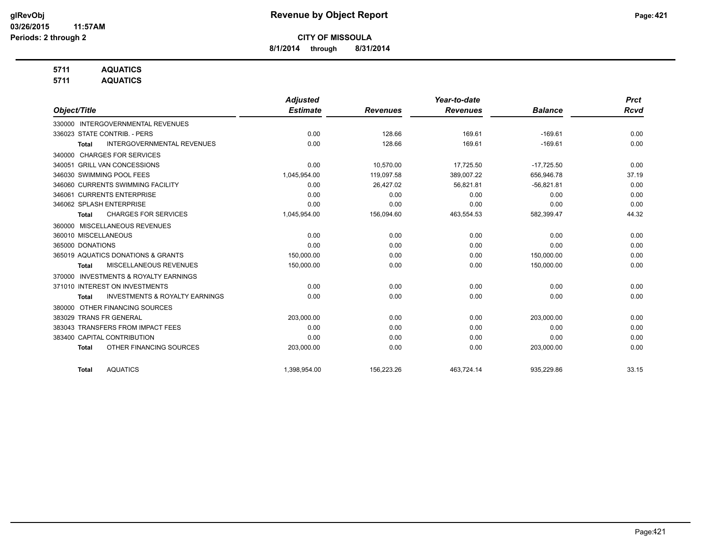**8/1/2014 through 8/31/2014**

## **5711 AQUATICS**

**5711 AQUATICS**

|                                                           | <b>Adjusted</b> |                 | Year-to-date    |                | <b>Prct</b> |
|-----------------------------------------------------------|-----------------|-----------------|-----------------|----------------|-------------|
| Object/Title                                              | <b>Estimate</b> | <b>Revenues</b> | <b>Revenues</b> | <b>Balance</b> | <b>Rcvd</b> |
| <b>INTERGOVERNMENTAL REVENUES</b><br>330000               |                 |                 |                 |                |             |
| 336023 STATE CONTRIB. - PERS                              | 0.00            | 128.66          | 169.61          | $-169.61$      | 0.00        |
| <b>INTERGOVERNMENTAL REVENUES</b><br><b>Total</b>         | 0.00            | 128.66          | 169.61          | $-169.61$      | 0.00        |
| <b>CHARGES FOR SERVICES</b><br>340000                     |                 |                 |                 |                |             |
| 340051 GRILL VAN CONCESSIONS                              | 0.00            | 10,570.00       | 17,725.50       | $-17,725.50$   | 0.00        |
| 346030 SWIMMING POOL FEES                                 | 1,045,954.00    | 119.097.58      | 389.007.22      | 656.946.78     | 37.19       |
| 346060 CURRENTS SWIMMING FACILITY                         | 0.00            | 26,427.02       | 56,821.81       | $-56,821.81$   | 0.00        |
| 346061 CURRENTS ENTERPRISE                                | 0.00            | 0.00            | 0.00            | 0.00           | 0.00        |
| 346062 SPLASH ENTERPRISE                                  | 0.00            | 0.00            | 0.00            | 0.00           | 0.00        |
| <b>CHARGES FOR SERVICES</b><br><b>Total</b>               | 1,045,954.00    | 156,094.60      | 463,554.53      | 582,399.47     | 44.32       |
| 360000 MISCELLANEOUS REVENUES                             |                 |                 |                 |                |             |
| 360010 MISCELLANEOUS                                      | 0.00            | 0.00            | 0.00            | 0.00           | 0.00        |
| 365000 DONATIONS                                          | 0.00            | 0.00            | 0.00            | 0.00           | 0.00        |
| 365019 AQUATICS DONATIONS & GRANTS                        | 150,000.00      | 0.00            | 0.00            | 150,000.00     | 0.00        |
| MISCELLANEOUS REVENUES<br><b>Total</b>                    | 150,000.00      | 0.00            | 0.00            | 150,000.00     | 0.00        |
| <b>INVESTMENTS &amp; ROYALTY EARNINGS</b><br>370000       |                 |                 |                 |                |             |
| 371010 INTEREST ON INVESTMENTS                            | 0.00            | 0.00            | 0.00            | 0.00           | 0.00        |
| <b>INVESTMENTS &amp; ROYALTY EARNINGS</b><br><b>Total</b> | 0.00            | 0.00            | 0.00            | 0.00           | 0.00        |
| OTHER FINANCING SOURCES<br>380000                         |                 |                 |                 |                |             |
| 383029 TRANS FR GENERAL                                   | 203,000.00      | 0.00            | 0.00            | 203,000.00     | 0.00        |
| 383043 TRANSFERS FROM IMPACT FEES                         | 0.00            | 0.00            | 0.00            | 0.00           | 0.00        |
| 383400 CAPITAL CONTRIBUTION                               | 0.00            | 0.00            | 0.00            | 0.00           | 0.00        |
| OTHER FINANCING SOURCES<br><b>Total</b>                   | 203,000.00      | 0.00            | 0.00            | 203,000.00     | 0.00        |
| <b>AQUATICS</b><br><b>Total</b>                           | 1,398,954.00    | 156,223.26      | 463,724.14      | 935,229.86     | 33.15       |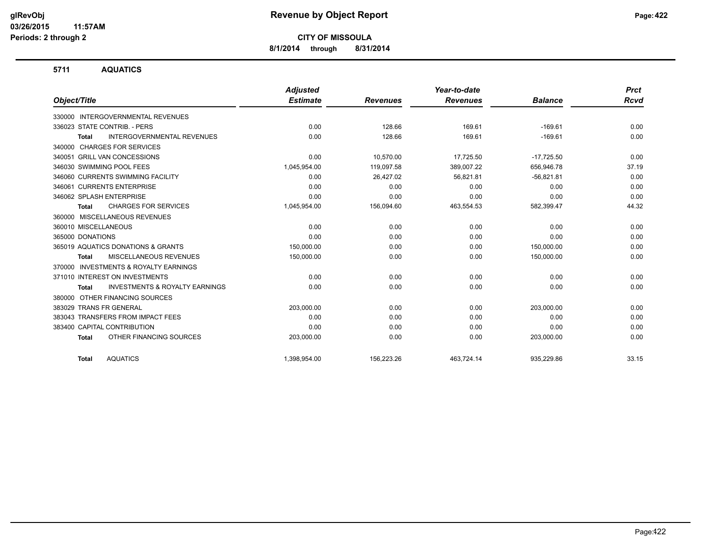**8/1/2014 through 8/31/2014**

#### **5711 AQUATICS**

|                                                           | <b>Adjusted</b> |                 | Year-to-date    |                | <b>Prct</b> |
|-----------------------------------------------------------|-----------------|-----------------|-----------------|----------------|-------------|
| Object/Title                                              | <b>Estimate</b> | <b>Revenues</b> | <b>Revenues</b> | <b>Balance</b> | <b>Rcvd</b> |
| 330000 INTERGOVERNMENTAL REVENUES                         |                 |                 |                 |                |             |
| 336023 STATE CONTRIB. - PERS                              | 0.00            | 128.66          | 169.61          | $-169.61$      | 0.00        |
| INTERGOVERNMENTAL REVENUES<br><b>Total</b>                | 0.00            | 128.66          | 169.61          | $-169.61$      | 0.00        |
| 340000 CHARGES FOR SERVICES                               |                 |                 |                 |                |             |
| 340051 GRILL VAN CONCESSIONS                              | 0.00            | 10.570.00       | 17,725.50       | $-17,725.50$   | 0.00        |
| 346030 SWIMMING POOL FEES                                 | 1,045,954.00    | 119,097.58      | 389,007.22      | 656,946.78     | 37.19       |
| 346060 CURRENTS SWIMMING FACILITY                         | 0.00            | 26,427.02       | 56.821.81       | $-56,821.81$   | 0.00        |
| 346061 CURRENTS ENTERPRISE                                | 0.00            | 0.00            | 0.00            | 0.00           | 0.00        |
| 346062 SPLASH ENTERPRISE                                  | 0.00            | 0.00            | 0.00            | 0.00           | 0.00        |
| <b>CHARGES FOR SERVICES</b><br><b>Total</b>               | 1,045,954.00    | 156,094.60      | 463,554.53      | 582,399.47     | 44.32       |
| 360000 MISCELLANEOUS REVENUES                             |                 |                 |                 |                |             |
| 360010 MISCELLANEOUS                                      | 0.00            | 0.00            | 0.00            | 0.00           | 0.00        |
| 365000 DONATIONS                                          | 0.00            | 0.00            | 0.00            | 0.00           | 0.00        |
| 365019 AQUATICS DONATIONS & GRANTS                        | 150,000.00      | 0.00            | 0.00            | 150,000.00     | 0.00        |
| MISCELLANEOUS REVENUES<br><b>Total</b>                    | 150,000.00      | 0.00            | 0.00            | 150,000.00     | 0.00        |
| 370000 INVESTMENTS & ROYALTY EARNINGS                     |                 |                 |                 |                |             |
| 371010 INTEREST ON INVESTMENTS                            | 0.00            | 0.00            | 0.00            | 0.00           | 0.00        |
| <b>INVESTMENTS &amp; ROYALTY EARNINGS</b><br><b>Total</b> | 0.00            | 0.00            | 0.00            | 0.00           | 0.00        |
| OTHER FINANCING SOURCES<br>380000                         |                 |                 |                 |                |             |
| 383029 TRANS FR GENERAL                                   | 203,000.00      | 0.00            | 0.00            | 203,000.00     | 0.00        |
| 383043 TRANSFERS FROM IMPACT FEES                         | 0.00            | 0.00            | 0.00            | 0.00           | 0.00        |
| 383400 CAPITAL CONTRIBUTION                               | 0.00            | 0.00            | 0.00            | 0.00           | 0.00        |
| OTHER FINANCING SOURCES<br><b>Total</b>                   | 203,000.00      | 0.00            | 0.00            | 203,000.00     | 0.00        |
| <b>AQUATICS</b><br><b>Total</b>                           | 1,398,954.00    | 156,223.26      | 463.724.14      | 935.229.86     | 33.15       |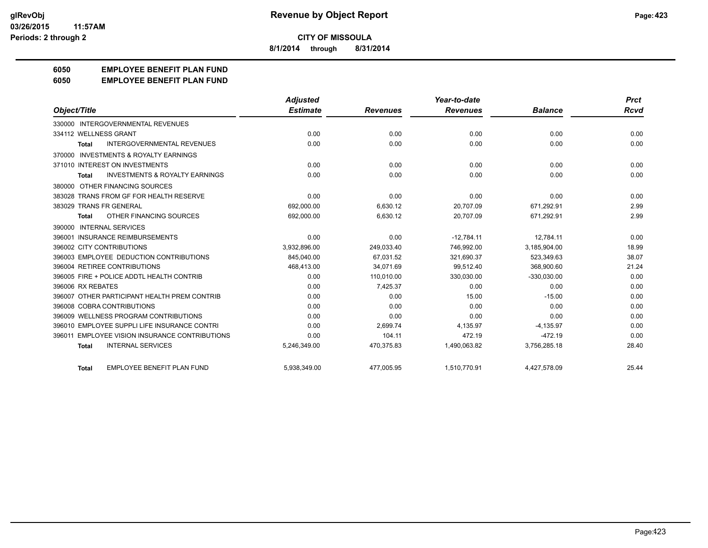**8/1/2014 through 8/31/2014**

## **6050 EMPLOYEE BENEFIT PLAN FUND**

#### **6050 EMPLOYEE BENEFIT PLAN FUND**

|                                                           | <b>Adjusted</b> |                 | Year-to-date    |                | <b>Prct</b> |
|-----------------------------------------------------------|-----------------|-----------------|-----------------|----------------|-------------|
| Object/Title                                              | <b>Estimate</b> | <b>Revenues</b> | <b>Revenues</b> | <b>Balance</b> | <b>Rcvd</b> |
| 330000 INTERGOVERNMENTAL REVENUES                         |                 |                 |                 |                |             |
| 334112 WELLNESS GRANT                                     | 0.00            | 0.00            | 0.00            | 0.00           | 0.00        |
| <b>INTERGOVERNMENTAL REVENUES</b><br>Total                | 0.00            | 0.00            | 0.00            | 0.00           | 0.00        |
| 370000 INVESTMENTS & ROYALTY EARNINGS                     |                 |                 |                 |                |             |
| 371010 INTEREST ON INVESTMENTS                            | 0.00            | 0.00            | 0.00            | 0.00           | 0.00        |
| <b>INVESTMENTS &amp; ROYALTY EARNINGS</b><br><b>Total</b> | 0.00            | 0.00            | 0.00            | 0.00           | 0.00        |
| 380000 OTHER FINANCING SOURCES                            |                 |                 |                 |                |             |
| 383028 TRANS FROM GF FOR HEALTH RESERVE                   | 0.00            | 0.00            | 0.00            | 0.00           | 0.00        |
| 383029 TRANS FR GENERAL                                   | 692,000.00      | 6,630.12        | 20,707.09       | 671,292.91     | 2.99        |
| OTHER FINANCING SOURCES<br><b>Total</b>                   | 692,000.00      | 6,630.12        | 20,707.09       | 671,292.91     | 2.99        |
| 390000 INTERNAL SERVICES                                  |                 |                 |                 |                |             |
| 396001 INSURANCE REIMBURSEMENTS                           | 0.00            | 0.00            | $-12,784.11$    | 12.784.11      | 0.00        |
| 396002 CITY CONTRIBUTIONS                                 | 3,932,896.00    | 249,033.40      | 746.992.00      | 3,185,904.00   | 18.99       |
| 396003 EMPLOYEE DEDUCTION CONTRIBUTIONS                   | 845.040.00      | 67.031.52       | 321.690.37      | 523.349.63     | 38.07       |
| 396004 RETIREE CONTRIBUTIONS                              | 468,413.00      | 34,071.69       | 99,512.40       | 368,900.60     | 21.24       |
| 396005 FIRE + POLICE ADDTL HEALTH CONTRIB                 | 0.00            | 110,010.00      | 330,030.00      | $-330,030.00$  | 0.00        |
| 396006 RX REBATES                                         | 0.00            | 7,425.37        | 0.00            | 0.00           | 0.00        |
| 396007 OTHER PARTICIPANT HEALTH PREM CONTRIB              | 0.00            | 0.00            | 15.00           | $-15.00$       | 0.00        |
| 396008 COBRA CONTRIBUTIONS                                | 0.00            | 0.00            | 0.00            | 0.00           | 0.00        |
| 396009 WELLNESS PROGRAM CONTRIBUTIONS                     | 0.00            | 0.00            | 0.00            | 0.00           | 0.00        |
| 396010 EMPLOYEE SUPPLI LIFE INSURANCE CONTRI              | 0.00            | 2,699.74        | 4,135.97        | $-4,135.97$    | 0.00        |
| 396011 EMPLOYEE VISION INSURANCE CONTRIBUTIONS            | 0.00            | 104.11          | 472.19          | $-472.19$      | 0.00        |
| <b>INTERNAL SERVICES</b><br><b>Total</b>                  | 5,246,349.00    | 470,375.83      | 1,490,063.82    | 3,756,285.18   | 28.40       |
| EMPLOYEE BENEFIT PLAN FUND<br><b>Total</b>                | 5,938,349.00    | 477,005.95      | 1,510,770.91    | 4,427,578.09   | 25.44       |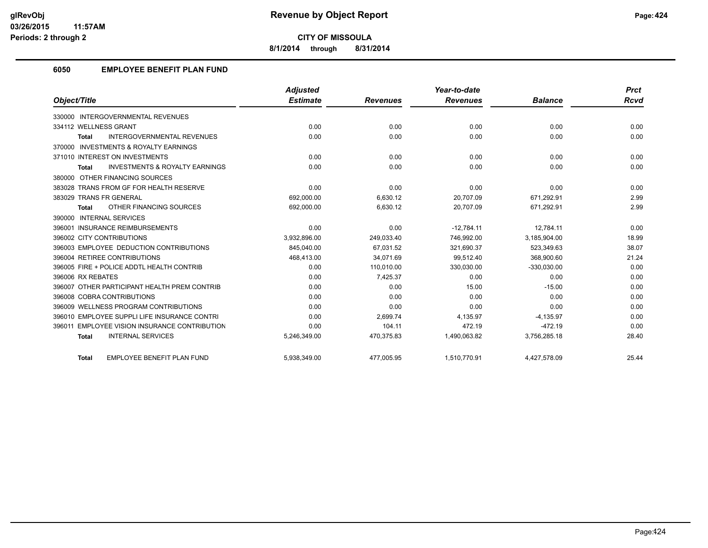**8/1/2014 through 8/31/2014**

## **6050 EMPLOYEE BENEFIT PLAN FUND**

|                                                           | <b>Adjusted</b> |                 | Year-to-date    |                | <b>Prct</b> |
|-----------------------------------------------------------|-----------------|-----------------|-----------------|----------------|-------------|
| Object/Title                                              | <b>Estimate</b> | <b>Revenues</b> | <b>Revenues</b> | <b>Balance</b> | <b>Rcvd</b> |
| 330000 INTERGOVERNMENTAL REVENUES                         |                 |                 |                 |                |             |
| 334112 WELLNESS GRANT                                     | 0.00            | 0.00            | 0.00            | 0.00           | 0.00        |
| <b>INTERGOVERNMENTAL REVENUES</b><br><b>Total</b>         | 0.00            | 0.00            | 0.00            | 0.00           | 0.00        |
| 370000 INVESTMENTS & ROYALTY EARNINGS                     |                 |                 |                 |                |             |
| 371010 INTEREST ON INVESTMENTS                            | 0.00            | 0.00            | 0.00            | 0.00           | 0.00        |
| <b>INVESTMENTS &amp; ROYALTY EARNINGS</b><br><b>Total</b> | 0.00            | 0.00            | 0.00            | 0.00           | 0.00        |
| 380000 OTHER FINANCING SOURCES                            |                 |                 |                 |                |             |
| 383028 TRANS FROM GF FOR HEALTH RESERVE                   | 0.00            | 0.00            | 0.00            | 0.00           | 0.00        |
| 383029 TRANS FR GENERAL                                   | 692.000.00      | 6.630.12        | 20.707.09       | 671.292.91     | 2.99        |
| OTHER FINANCING SOURCES<br><b>Total</b>                   | 692,000.00      | 6,630.12        | 20,707.09       | 671,292.91     | 2.99        |
| <b>INTERNAL SERVICES</b><br>390000                        |                 |                 |                 |                |             |
| 396001 INSURANCE REIMBURSEMENTS                           | 0.00            | 0.00            | $-12.784.11$    | 12.784.11      | 0.00        |
| 396002 CITY CONTRIBUTIONS                                 | 3.932.896.00    | 249.033.40      | 746.992.00      | 3.185.904.00   | 18.99       |
| 396003 EMPLOYEE DEDUCTION CONTRIBUTIONS                   | 845,040.00      | 67.031.52       | 321,690.37      | 523,349.63     | 38.07       |
| 396004 RETIREE CONTRIBUTIONS                              | 468,413.00      | 34.071.69       | 99.512.40       | 368,900.60     | 21.24       |
| 396005 FIRE + POLICE ADDTL HEALTH CONTRIB                 | 0.00            | 110.010.00      | 330,030.00      | $-330,030.00$  | 0.00        |
| 396006 RX REBATES                                         | 0.00            | 7,425.37        | 0.00            | 0.00           | 0.00        |
| 396007 OTHER PARTICIPANT HEALTH PREM CONTRIB              | 0.00            | 0.00            | 15.00           | $-15.00$       | 0.00        |
| 396008 COBRA CONTRIBUTIONS                                | 0.00            | 0.00            | 0.00            | 0.00           | 0.00        |
| 396009 WELLNESS PROGRAM CONTRIBUTIONS                     | 0.00            | 0.00            | 0.00            | 0.00           | 0.00        |
| 396010 EMPLOYEE SUPPLI LIFE INSURANCE CONTRI              | 0.00            | 2,699.74        | 4,135.97        | $-4,135.97$    | 0.00        |
| 396011 EMPLOYEE VISION INSURANCE CONTRIBUTION             | 0.00            | 104.11          | 472.19          | $-472.19$      | 0.00        |
| <b>INTERNAL SERVICES</b><br><b>Total</b>                  | 5,246,349.00    | 470,375.83      | 1,490,063.82    | 3,756,285.18   | 28.40       |
| EMPLOYEE BENEFIT PLAN FUND<br><b>Total</b>                | 5,938,349.00    | 477,005.95      | 1,510,770.91    | 4,427,578.09   | 25.44       |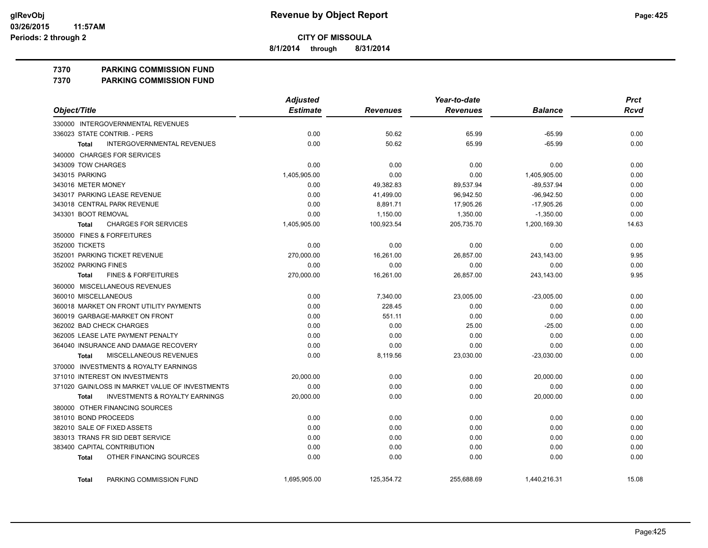**8/1/2014 through 8/31/2014**

#### **7370 PARKING COMMISSION FUND**

**7370 PARKING COMMISSION FUND**

|                                                           | <b>Adjusted</b> |                 | Year-to-date    |                | <b>Prct</b> |
|-----------------------------------------------------------|-----------------|-----------------|-----------------|----------------|-------------|
| Object/Title                                              | <b>Estimate</b> | <b>Revenues</b> | <b>Revenues</b> | <b>Balance</b> | <b>Rcvd</b> |
| 330000 INTERGOVERNMENTAL REVENUES                         |                 |                 |                 |                |             |
| 336023 STATE CONTRIB. - PERS                              | 0.00            | 50.62           | 65.99           | $-65.99$       | 0.00        |
| <b>INTERGOVERNMENTAL REVENUES</b><br><b>Total</b>         | 0.00            | 50.62           | 65.99           | $-65.99$       | 0.00        |
| 340000 CHARGES FOR SERVICES                               |                 |                 |                 |                |             |
| 343009 TOW CHARGES                                        | 0.00            | 0.00            | 0.00            | 0.00           | 0.00        |
| 343015 PARKING                                            | 1,405,905.00    | 0.00            | 0.00            | 1,405,905.00   | 0.00        |
| 343016 METER MONEY                                        | 0.00            | 49,382.83       | 89,537.94       | $-89,537.94$   | 0.00        |
| 343017 PARKING LEASE REVENUE                              | 0.00            | 41,499.00       | 96,942.50       | $-96,942.50$   | 0.00        |
| 343018 CENTRAL PARK REVENUE                               | 0.00            | 8,891.71        | 17,905.26       | $-17,905.26$   | 0.00        |
| 343301 BOOT REMOVAL                                       | 0.00            | 1,150.00        | 1,350.00        | $-1,350.00$    | 0.00        |
| <b>CHARGES FOR SERVICES</b><br><b>Total</b>               | 1,405,905.00    | 100,923.54      | 205,735.70      | 1,200,169.30   | 14.63       |
| 350000 FINES & FORFEITURES                                |                 |                 |                 |                |             |
| 352000 TICKETS                                            | 0.00            | 0.00            | 0.00            | 0.00           | 0.00        |
| 352001 PARKING TICKET REVENUE                             | 270,000.00      | 16,261.00       | 26.857.00       | 243,143.00     | 9.95        |
| 352002 PARKING FINES                                      | 0.00            | 0.00            | 0.00            | 0.00           | 0.00        |
| <b>FINES &amp; FORFEITURES</b><br><b>Total</b>            | 270,000.00      | 16,261.00       | 26,857.00       | 243,143.00     | 9.95        |
| 360000 MISCELLANEOUS REVENUES                             |                 |                 |                 |                |             |
| 360010 MISCELLANEOUS                                      | 0.00            | 7,340.00        | 23,005.00       | $-23,005.00$   | 0.00        |
| 360018 MARKET ON FRONT UTILITY PAYMENTS                   | 0.00            | 228.45          | 0.00            | 0.00           | 0.00        |
| 360019 GARBAGE-MARKET ON FRONT                            | 0.00            | 551.11          | 0.00            | 0.00           | 0.00        |
| 362002 BAD CHECK CHARGES                                  | 0.00            | 0.00            | 25.00           | $-25.00$       | 0.00        |
| 362005 LEASE LATE PAYMENT PENALTY                         | 0.00            | 0.00            | 0.00            | 0.00           | 0.00        |
| 364040 INSURANCE AND DAMAGE RECOVERY                      | 0.00            | 0.00            | 0.00            | 0.00           | 0.00        |
| MISCELLANEOUS REVENUES<br><b>Total</b>                    | 0.00            | 8,119.56        | 23,030.00       | $-23,030.00$   | 0.00        |
| 370000 INVESTMENTS & ROYALTY EARNINGS                     |                 |                 |                 |                |             |
| 371010 INTEREST ON INVESTMENTS                            | 20,000.00       | 0.00            | 0.00            | 20,000.00      | 0.00        |
| 371020 GAIN/LOSS IN MARKET VALUE OF INVESTMENTS           | 0.00            | 0.00            | 0.00            | 0.00           | 0.00        |
| <b>INVESTMENTS &amp; ROYALTY EARNINGS</b><br><b>Total</b> | 20,000.00       | 0.00            | 0.00            | 20,000.00      | 0.00        |
| 380000 OTHER FINANCING SOURCES                            |                 |                 |                 |                |             |
| 381010 BOND PROCEEDS                                      | 0.00            | 0.00            | 0.00            | 0.00           | 0.00        |
| 382010 SALE OF FIXED ASSETS                               | 0.00            | 0.00            | 0.00            | 0.00           | 0.00        |
| 383013 TRANS FR SID DEBT SERVICE                          | 0.00            | 0.00            | 0.00            | 0.00           | 0.00        |
| 383400 CAPITAL CONTRIBUTION                               | 0.00            | 0.00            | 0.00            | 0.00           | 0.00        |
| OTHER FINANCING SOURCES<br><b>Total</b>                   | 0.00            | 0.00            | 0.00            | 0.00           | 0.00        |
| PARKING COMMISSION FUND<br><b>Total</b>                   | 1,695,905.00    | 125,354.72      | 255,688.69      | 1,440,216.31   | 15.08       |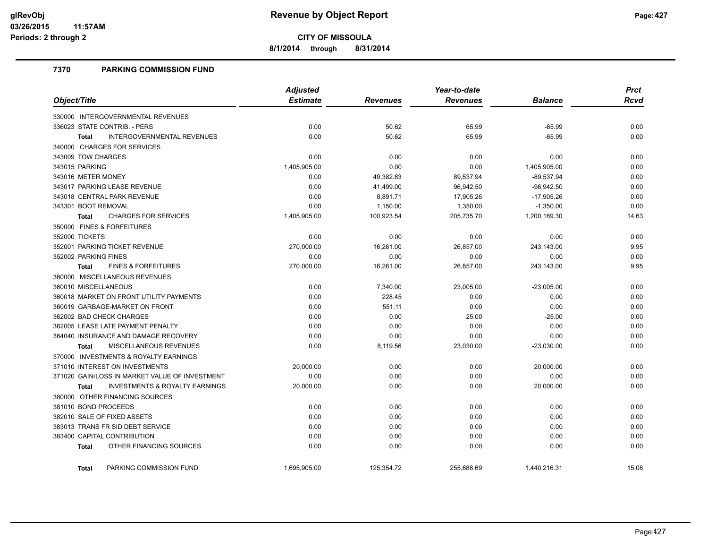**8/1/2014 through 8/31/2014**

### **7370 PARKING COMMISSION FUND**

|                                                           | <b>Adjusted</b> |                 | Year-to-date    |                | <b>Prct</b> |
|-----------------------------------------------------------|-----------------|-----------------|-----------------|----------------|-------------|
| Object/Title                                              | <b>Estimate</b> | <b>Revenues</b> | <b>Revenues</b> | <b>Balance</b> | <b>Rcvd</b> |
| 330000 INTERGOVERNMENTAL REVENUES                         |                 |                 |                 |                |             |
| 336023 STATE CONTRIB. - PERS                              | 0.00            | 50.62           | 65.99           | $-65.99$       | 0.00        |
| <b>INTERGOVERNMENTAL REVENUES</b><br><b>Total</b>         | 0.00            | 50.62           | 65.99           | $-65.99$       | 0.00        |
| 340000 CHARGES FOR SERVICES                               |                 |                 |                 |                |             |
| 343009 TOW CHARGES                                        | 0.00            | 0.00            | 0.00            | 0.00           | 0.00        |
| 343015 PARKING                                            | 1,405,905.00    | 0.00            | 0.00            | 1,405,905.00   | 0.00        |
| 343016 METER MONEY                                        | 0.00            | 49,382.83       | 89,537.94       | $-89,537.94$   | 0.00        |
| 343017 PARKING LEASE REVENUE                              | 0.00            | 41,499.00       | 96,942.50       | $-96,942.50$   | 0.00        |
| 343018 CENTRAL PARK REVENUE                               | 0.00            | 8,891.71        | 17,905.26       | $-17,905.26$   | 0.00        |
| 343301 BOOT REMOVAL                                       | 0.00            | 1,150.00        | 1,350.00        | $-1,350.00$    | 0.00        |
| <b>CHARGES FOR SERVICES</b><br><b>Total</b>               | 1,405,905.00    | 100,923.54      | 205,735.70      | 1,200,169.30   | 14.63       |
| 350000 FINES & FORFEITURES                                |                 |                 |                 |                |             |
| 352000 TICKETS                                            | 0.00            | 0.00            | 0.00            | 0.00           | 0.00        |
| 352001 PARKING TICKET REVENUE                             | 270,000.00      | 16,261.00       | 26,857.00       | 243,143.00     | 9.95        |
| 352002 PARKING FINES                                      | 0.00            | 0.00            | 0.00            | 0.00           | 0.00        |
| <b>FINES &amp; FORFEITURES</b><br><b>Total</b>            | 270,000.00      | 16,261.00       | 26,857.00       | 243,143.00     | 9.95        |
| 360000 MISCELLANEOUS REVENUES                             |                 |                 |                 |                |             |
| 360010 MISCELLANEOUS                                      | 0.00            | 7,340.00        | 23,005.00       | $-23,005.00$   | 0.00        |
| 360018 MARKET ON FRONT UTILITY PAYMENTS                   | 0.00            | 228.45          | 0.00            | 0.00           | 0.00        |
| 360019 GARBAGE-MARKET ON FRONT                            | 0.00            | 551.11          | 0.00            | 0.00           | 0.00        |
| 362002 BAD CHECK CHARGES                                  | 0.00            | 0.00            | 25.00           | $-25.00$       | 0.00        |
| 362005 LEASE LATE PAYMENT PENALTY                         | 0.00            | 0.00            | 0.00            | 0.00           | 0.00        |
| 364040 INSURANCE AND DAMAGE RECOVERY                      | 0.00            | 0.00            | 0.00            | 0.00           | 0.00        |
| MISCELLANEOUS REVENUES<br><b>Total</b>                    | 0.00            | 8,119.56        | 23,030.00       | $-23,030.00$   | 0.00        |
| 370000 INVESTMENTS & ROYALTY EARNINGS                     |                 |                 |                 |                |             |
| 371010 INTEREST ON INVESTMENTS                            | 20,000.00       | 0.00            | 0.00            | 20,000.00      | 0.00        |
| 371020 GAIN/LOSS IN MARKET VALUE OF INVESTMENT            | 0.00            | 0.00            | 0.00            | 0.00           | 0.00        |
| <b>INVESTMENTS &amp; ROYALTY EARNINGS</b><br><b>Total</b> | 20,000.00       | 0.00            | 0.00            | 20,000.00      | 0.00        |
| 380000 OTHER FINANCING SOURCES                            |                 |                 |                 |                |             |
| 381010 BOND PROCEEDS                                      | 0.00            | 0.00            | 0.00            | 0.00           | 0.00        |
| 382010 SALE OF FIXED ASSETS                               | 0.00            | 0.00            | 0.00            | 0.00           | 0.00        |
| 383013 TRANS FR SID DEBT SERVICE                          | 0.00            | 0.00            | 0.00            | 0.00           | 0.00        |
| 383400 CAPITAL CONTRIBUTION                               | 0.00            | 0.00            | 0.00            | 0.00           | 0.00        |
| OTHER FINANCING SOURCES<br><b>Total</b>                   | 0.00            | 0.00            | 0.00            | 0.00           | 0.00        |
| PARKING COMMISSION FUND<br><b>Total</b>                   | 1,695,905.00    | 125,354.72      | 255,688.69      | 1,440,216.31   | 15.08       |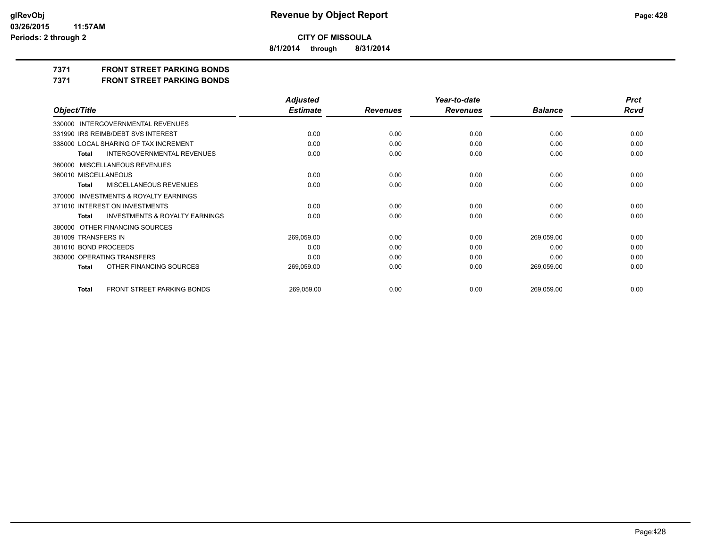**8/1/2014 through 8/31/2014**

## **7371 FRONT STREET PARKING BONDS**

**7371 FRONT STREET PARKING BONDS**

|                                                    | <b>Adjusted</b> |                 | Year-to-date    |                | <b>Prct</b> |
|----------------------------------------------------|-----------------|-----------------|-----------------|----------------|-------------|
| Object/Title                                       | <b>Estimate</b> | <b>Revenues</b> | <b>Revenues</b> | <b>Balance</b> | <b>Rcvd</b> |
| 330000 INTERGOVERNMENTAL REVENUES                  |                 |                 |                 |                |             |
| 331990 IRS REIMB/DEBT SVS INTEREST                 | 0.00            | 0.00            | 0.00            | 0.00           | 0.00        |
| 338000 LOCAL SHARING OF TAX INCREMENT              | 0.00            | 0.00            | 0.00            | 0.00           | 0.00        |
| <b>INTERGOVERNMENTAL REVENUES</b><br><b>Total</b>  | 0.00            | 0.00            | 0.00            | 0.00           | 0.00        |
| 360000 MISCELLANEOUS REVENUES                      |                 |                 |                 |                |             |
| 360010 MISCELLANEOUS                               | 0.00            | 0.00            | 0.00            | 0.00           | 0.00        |
| MISCELLANEOUS REVENUES<br><b>Total</b>             | 0.00            | 0.00            | 0.00            | 0.00           | 0.00        |
| 370000 INVESTMENTS & ROYALTY EARNINGS              |                 |                 |                 |                |             |
| 371010 INTEREST ON INVESTMENTS                     | 0.00            | 0.00            | 0.00            | 0.00           | 0.00        |
| <b>INVESTMENTS &amp; ROYALTY EARNINGS</b><br>Total | 0.00            | 0.00            | 0.00            | 0.00           | 0.00        |
| 380000 OTHER FINANCING SOURCES                     |                 |                 |                 |                |             |
| 381009 TRANSFERS IN                                | 269,059.00      | 0.00            | 0.00            | 269,059.00     | 0.00        |
| 381010 BOND PROCEEDS                               | 0.00            | 0.00            | 0.00            | 0.00           | 0.00        |
| 383000 OPERATING TRANSFERS                         | 0.00            | 0.00            | 0.00            | 0.00           | 0.00        |
| OTHER FINANCING SOURCES<br><b>Total</b>            | 269,059.00      | 0.00            | 0.00            | 269,059.00     | 0.00        |
|                                                    |                 |                 |                 |                |             |
| FRONT STREET PARKING BONDS<br><b>Total</b>         | 269,059.00      | 0.00            | 0.00            | 269,059.00     | 0.00        |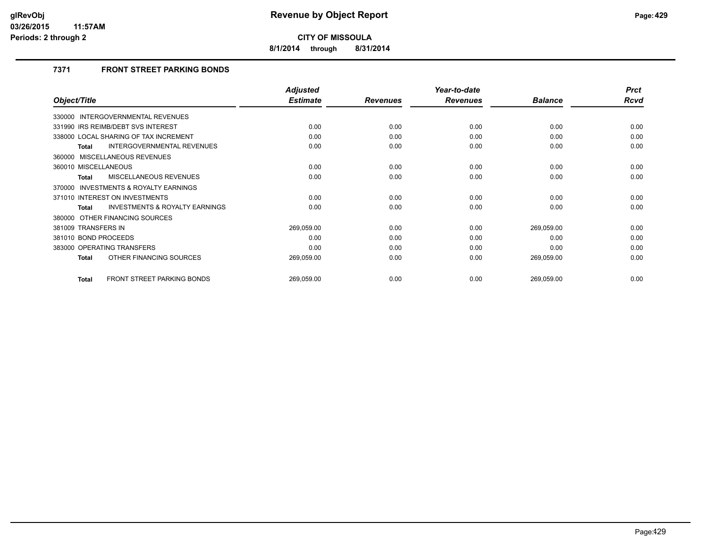**8/1/2014 through 8/31/2014**

## **7371 FRONT STREET PARKING BONDS**

|                                                    | <b>Adjusted</b> |                 | Year-to-date    |                | <b>Prct</b> |
|----------------------------------------------------|-----------------|-----------------|-----------------|----------------|-------------|
| Object/Title                                       | <b>Estimate</b> | <b>Revenues</b> | <b>Revenues</b> | <b>Balance</b> | <b>Rcvd</b> |
| 330000 INTERGOVERNMENTAL REVENUES                  |                 |                 |                 |                |             |
| 331990 IRS REIMB/DEBT SVS INTEREST                 | 0.00            | 0.00            | 0.00            | 0.00           | 0.00        |
| 338000 LOCAL SHARING OF TAX INCREMENT              | 0.00            | 0.00            | 0.00            | 0.00           | 0.00        |
| INTERGOVERNMENTAL REVENUES<br>Total                | 0.00            | 0.00            | 0.00            | 0.00           | 0.00        |
| 360000 MISCELLANEOUS REVENUES                      |                 |                 |                 |                |             |
| 360010 MISCELLANEOUS                               | 0.00            | 0.00            | 0.00            | 0.00           | 0.00        |
| MISCELLANEOUS REVENUES<br><b>Total</b>             | 0.00            | 0.00            | 0.00            | 0.00           | 0.00        |
| INVESTMENTS & ROYALTY EARNINGS<br>370000           |                 |                 |                 |                |             |
| 371010 INTEREST ON INVESTMENTS                     | 0.00            | 0.00            | 0.00            | 0.00           | 0.00        |
| <b>INVESTMENTS &amp; ROYALTY EARNINGS</b><br>Total | 0.00            | 0.00            | 0.00            | 0.00           | 0.00        |
| 380000 OTHER FINANCING SOURCES                     |                 |                 |                 |                |             |
| 381009 TRANSFERS IN                                | 269,059.00      | 0.00            | 0.00            | 269,059.00     | 0.00        |
| 381010 BOND PROCEEDS                               | 0.00            | 0.00            | 0.00            | 0.00           | 0.00        |
| 383000 OPERATING TRANSFERS                         | 0.00            | 0.00            | 0.00            | 0.00           | 0.00        |
| OTHER FINANCING SOURCES<br><b>Total</b>            | 269,059.00      | 0.00            | 0.00            | 269,059.00     | 0.00        |
| <b>FRONT STREET PARKING BONDS</b><br><b>Total</b>  | 269,059.00      | 0.00            | 0.00            | 269,059.00     | 0.00        |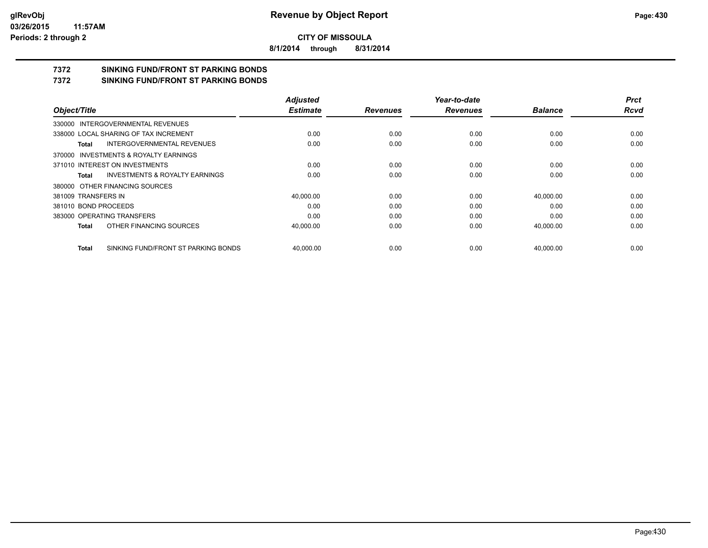**8/1/2014 through 8/31/2014**

# **7372 SINKING FUND/FRONT ST PARKING BONDS**

**7372 SINKING FUND/FRONT ST PARKING BONDS**

|                                                    | <b>Adjusted</b> |                 | Year-to-date    |                | <b>Prct</b> |
|----------------------------------------------------|-----------------|-----------------|-----------------|----------------|-------------|
| Object/Title                                       | <b>Estimate</b> | <b>Revenues</b> | <b>Revenues</b> | <b>Balance</b> | <b>Rcvd</b> |
| 330000 INTERGOVERNMENTAL REVENUES                  |                 |                 |                 |                |             |
| 338000 LOCAL SHARING OF TAX INCREMENT              | 0.00            | 0.00            | 0.00            | 0.00           | 0.00        |
| INTERGOVERNMENTAL REVENUES<br>Total                | 0.00            | 0.00            | 0.00            | 0.00           | 0.00        |
| 370000 INVESTMENTS & ROYALTY EARNINGS              |                 |                 |                 |                |             |
| 371010 INTEREST ON INVESTMENTS                     | 0.00            | 0.00            | 0.00            | 0.00           | 0.00        |
| <b>INVESTMENTS &amp; ROYALTY EARNINGS</b><br>Total | 0.00            | 0.00            | 0.00            | 0.00           | 0.00        |
| 380000 OTHER FINANCING SOURCES                     |                 |                 |                 |                |             |
| 381009 TRANSFERS IN                                | 40,000.00       | 0.00            | 0.00            | 40,000.00      | 0.00        |
| 381010 BOND PROCEEDS                               | 0.00            | 0.00            | 0.00            | 0.00           | 0.00        |
| 383000 OPERATING TRANSFERS                         | 0.00            | 0.00            | 0.00            | 0.00           | 0.00        |
| OTHER FINANCING SOURCES<br>Total                   | 40,000.00       | 0.00            | 0.00            | 40,000.00      | 0.00        |
| SINKING FUND/FRONT ST PARKING BONDS<br>Total       | 40.000.00       | 0.00            | 0.00            | 40.000.00      | 0.00        |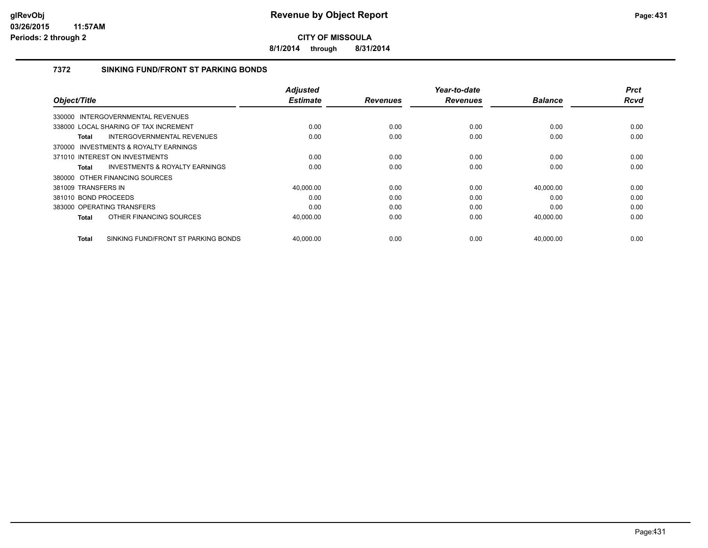**8/1/2014 through 8/31/2014**

### **7372 SINKING FUND/FRONT ST PARKING BONDS**

|                      |                                           | <b>Adjusted</b> |                 | Year-to-date    |                | <b>Prct</b> |
|----------------------|-------------------------------------------|-----------------|-----------------|-----------------|----------------|-------------|
| Object/Title         |                                           | <b>Estimate</b> | <b>Revenues</b> | <b>Revenues</b> | <b>Balance</b> | <b>Rcvd</b> |
|                      | 330000 INTERGOVERNMENTAL REVENUES         |                 |                 |                 |                |             |
|                      | 338000 LOCAL SHARING OF TAX INCREMENT     | 0.00            | 0.00            | 0.00            | 0.00           | 0.00        |
| Total                | <b>INTERGOVERNMENTAL REVENUES</b>         | 0.00            | 0.00            | 0.00            | 0.00           | 0.00        |
|                      | 370000 INVESTMENTS & ROYALTY EARNINGS     |                 |                 |                 |                |             |
|                      | 371010 INTEREST ON INVESTMENTS            | 0.00            | 0.00            | 0.00            | 0.00           | 0.00        |
| Total                | <b>INVESTMENTS &amp; ROYALTY EARNINGS</b> | 0.00            | 0.00            | 0.00            | 0.00           | 0.00        |
|                      | 380000 OTHER FINANCING SOURCES            |                 |                 |                 |                |             |
| 381009 TRANSFERS IN  |                                           | 40,000.00       | 0.00            | 0.00            | 40,000.00      | 0.00        |
| 381010 BOND PROCEEDS |                                           | 0.00            | 0.00            | 0.00            | 0.00           | 0.00        |
|                      | 383000 OPERATING TRANSFERS                | 0.00            | 0.00            | 0.00            | 0.00           | 0.00        |
| <b>Total</b>         | OTHER FINANCING SOURCES                   | 40,000.00       | 0.00            | 0.00            | 40,000.00      | 0.00        |
| <b>Total</b>         | SINKING FUND/FRONT ST PARKING BONDS       | 40,000.00       | 0.00            | 0.00            | 40,000.00      | 0.00        |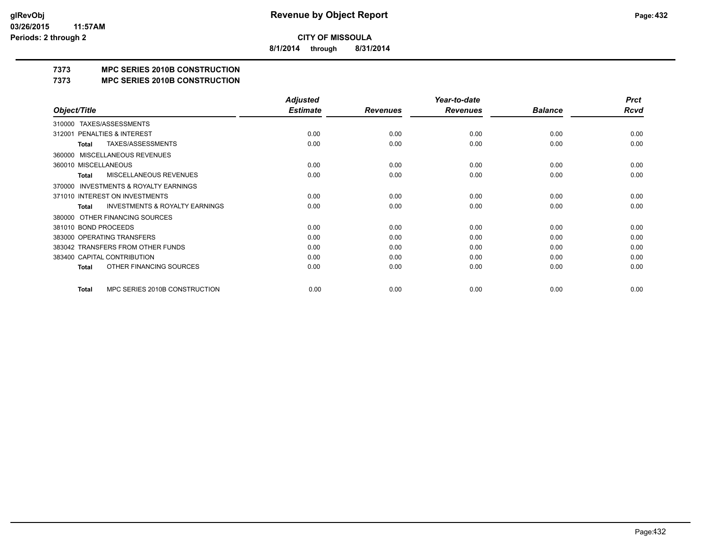**8/1/2014 through 8/31/2014**

## **7373 MPC SERIES 2010B CONSTRUCTION**

#### **7373 MPC SERIES 2010B CONSTRUCTION**

|                                                     | <b>Adjusted</b> |                 | Year-to-date    |                | <b>Prct</b> |
|-----------------------------------------------------|-----------------|-----------------|-----------------|----------------|-------------|
| Object/Title                                        | <b>Estimate</b> | <b>Revenues</b> | <b>Revenues</b> | <b>Balance</b> | Rcvd        |
| TAXES/ASSESSMENTS<br>310000                         |                 |                 |                 |                |             |
| PENALTIES & INTEREST<br>312001                      | 0.00            | 0.00            | 0.00            | 0.00           | 0.00        |
| TAXES/ASSESSMENTS<br>Total                          | 0.00            | 0.00            | 0.00            | 0.00           | 0.00        |
| MISCELLANEOUS REVENUES<br>360000                    |                 |                 |                 |                |             |
| 360010 MISCELLANEOUS                                | 0.00            | 0.00            | 0.00            | 0.00           | 0.00        |
| <b>MISCELLANEOUS REVENUES</b><br>Total              | 0.00            | 0.00            | 0.00            | 0.00           | 0.00        |
| <b>INVESTMENTS &amp; ROYALTY EARNINGS</b><br>370000 |                 |                 |                 |                |             |
| 371010 INTEREST ON INVESTMENTS                      | 0.00            | 0.00            | 0.00            | 0.00           | 0.00        |
| <b>INVESTMENTS &amp; ROYALTY EARNINGS</b><br>Total  | 0.00            | 0.00            | 0.00            | 0.00           | 0.00        |
| OTHER FINANCING SOURCES<br>380000                   |                 |                 |                 |                |             |
| 381010 BOND PROCEEDS                                | 0.00            | 0.00            | 0.00            | 0.00           | 0.00        |
| 383000 OPERATING TRANSFERS                          | 0.00            | 0.00            | 0.00            | 0.00           | 0.00        |
| 383042 TRANSFERS FROM OTHER FUNDS                   | 0.00            | 0.00            | 0.00            | 0.00           | 0.00        |
| 383400 CAPITAL CONTRIBUTION                         | 0.00            | 0.00            | 0.00            | 0.00           | 0.00        |
| OTHER FINANCING SOURCES<br><b>Total</b>             | 0.00            | 0.00            | 0.00            | 0.00           | 0.00        |
| MPC SERIES 2010B CONSTRUCTION<br>Total              | 0.00            | 0.00            | 0.00            | 0.00           | 0.00        |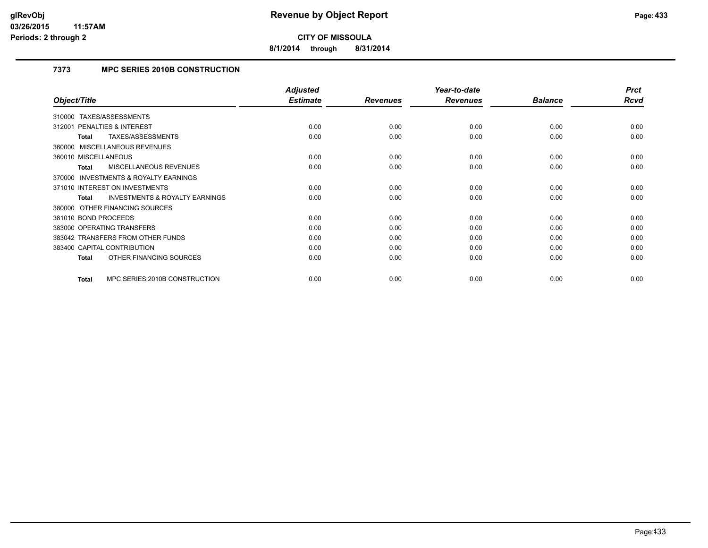**8/1/2014 through 8/31/2014**

# **7373 MPC SERIES 2010B CONSTRUCTION**

|                                                           | <b>Adjusted</b> |                 | Year-to-date    |                | <b>Prct</b> |
|-----------------------------------------------------------|-----------------|-----------------|-----------------|----------------|-------------|
| Object/Title                                              | <b>Estimate</b> | <b>Revenues</b> | <b>Revenues</b> | <b>Balance</b> | Rcvd        |
| TAXES/ASSESSMENTS<br>310000                               |                 |                 |                 |                |             |
| <b>PENALTIES &amp; INTEREST</b><br>312001                 | 0.00            | 0.00            | 0.00            | 0.00           | 0.00        |
| TAXES/ASSESSMENTS<br>Total                                | 0.00            | 0.00            | 0.00            | 0.00           | 0.00        |
| 360000 MISCELLANEOUS REVENUES                             |                 |                 |                 |                |             |
| 360010 MISCELLANEOUS                                      | 0.00            | 0.00            | 0.00            | 0.00           | 0.00        |
| <b>MISCELLANEOUS REVENUES</b><br><b>Total</b>             | 0.00            | 0.00            | 0.00            | 0.00           | 0.00        |
| <b>INVESTMENTS &amp; ROYALTY EARNINGS</b><br>370000       |                 |                 |                 |                |             |
| 371010 INTEREST ON INVESTMENTS                            | 0.00            | 0.00            | 0.00            | 0.00           | 0.00        |
| <b>INVESTMENTS &amp; ROYALTY EARNINGS</b><br><b>Total</b> | 0.00            | 0.00            | 0.00            | 0.00           | 0.00        |
| 380000 OTHER FINANCING SOURCES                            |                 |                 |                 |                |             |
| 381010 BOND PROCEEDS                                      | 0.00            | 0.00            | 0.00            | 0.00           | 0.00        |
| 383000 OPERATING TRANSFERS                                | 0.00            | 0.00            | 0.00            | 0.00           | 0.00        |
| 383042 TRANSFERS FROM OTHER FUNDS                         | 0.00            | 0.00            | 0.00            | 0.00           | 0.00        |
| 383400 CAPITAL CONTRIBUTION                               | 0.00            | 0.00            | 0.00            | 0.00           | 0.00        |
| OTHER FINANCING SOURCES<br><b>Total</b>                   | 0.00            | 0.00            | 0.00            | 0.00           | 0.00        |
| MPC SERIES 2010B CONSTRUCTION<br><b>Total</b>             | 0.00            | 0.00            | 0.00            | 0.00           | 0.00        |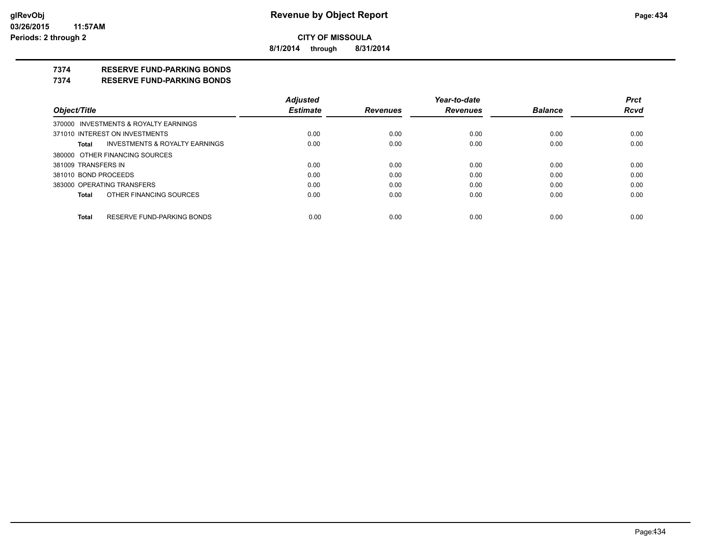**8/1/2014 through 8/31/2014**

# **7374 RESERVE FUND-PARKING BONDS**

#### **7374 RESERVE FUND-PARKING BONDS**

|                                                    | <b>Adjusted</b> |                 | Year-to-date    |                | <b>Prct</b> |
|----------------------------------------------------|-----------------|-----------------|-----------------|----------------|-------------|
| Object/Title                                       | <b>Estimate</b> | <b>Revenues</b> | <b>Revenues</b> | <b>Balance</b> | <b>Rcvd</b> |
| 370000 INVESTMENTS & ROYALTY EARNINGS              |                 |                 |                 |                |             |
| 371010 INTEREST ON INVESTMENTS                     | 0.00            | 0.00            | 0.00            | 0.00           | 0.00        |
| <b>INVESTMENTS &amp; ROYALTY EARNINGS</b><br>Total | 0.00            | 0.00            | 0.00            | 0.00           | 0.00        |
| 380000 OTHER FINANCING SOURCES                     |                 |                 |                 |                |             |
| 381009 TRANSFERS IN                                | 0.00            | 0.00            | 0.00            | 0.00           | 0.00        |
| 381010 BOND PROCEEDS                               | 0.00            | 0.00            | 0.00            | 0.00           | 0.00        |
| 383000 OPERATING TRANSFERS                         | 0.00            | 0.00            | 0.00            | 0.00           | 0.00        |
| OTHER FINANCING SOURCES<br>Total                   | 0.00            | 0.00            | 0.00            | 0.00           | 0.00        |
| RESERVE FUND-PARKING BONDS                         |                 |                 |                 |                |             |
| Total                                              | 0.00            | 0.00            | 0.00            | 0.00           | 0.00        |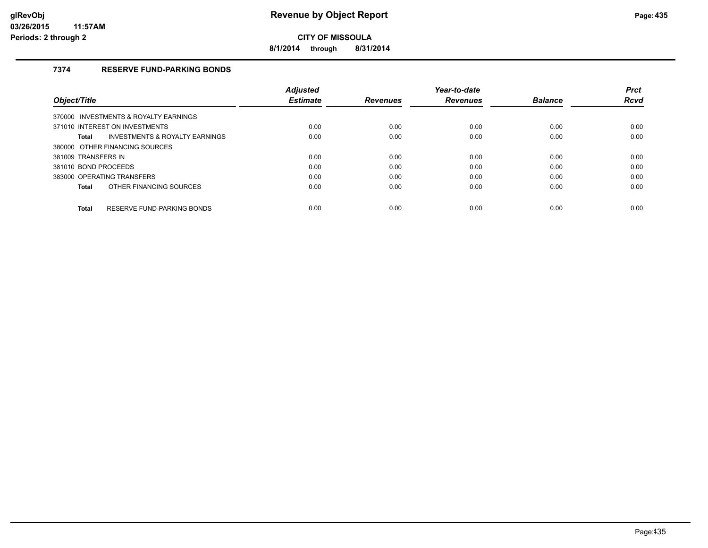**8/1/2014 through 8/31/2014**

# **7374 RESERVE FUND-PARKING BONDS**

|                                                           | <b>Adiusted</b> |                 | Year-to-date    |                | <b>Prct</b> |
|-----------------------------------------------------------|-----------------|-----------------|-----------------|----------------|-------------|
| Object/Title                                              | <b>Estimate</b> | <b>Revenues</b> | <b>Revenues</b> | <b>Balance</b> | <b>Rcvd</b> |
| 370000 INVESTMENTS & ROYALTY EARNINGS                     |                 |                 |                 |                |             |
| 371010 INTEREST ON INVESTMENTS                            | 0.00            | 0.00            | 0.00            | 0.00           | 0.00        |
| <b>INVESTMENTS &amp; ROYALTY EARNINGS</b><br><b>Total</b> | 0.00            | 0.00            | 0.00            | 0.00           | 0.00        |
| 380000 OTHER FINANCING SOURCES                            |                 |                 |                 |                |             |
| 381009 TRANSFERS IN                                       | 0.00            | 0.00            | 0.00            | 0.00           | 0.00        |
| 381010 BOND PROCEEDS                                      | 0.00            | 0.00            | 0.00            | 0.00           | 0.00        |
| 383000 OPERATING TRANSFERS                                | 0.00            | 0.00            | 0.00            | 0.00           | 0.00        |
| OTHER FINANCING SOURCES<br><b>Total</b>                   | 0.00            | 0.00            | 0.00            | 0.00           | 0.00        |
| RESERVE FUND-PARKING BONDS<br><b>Total</b>                | 0.00            | 0.00            | 0.00            | 0.00           | 0.00        |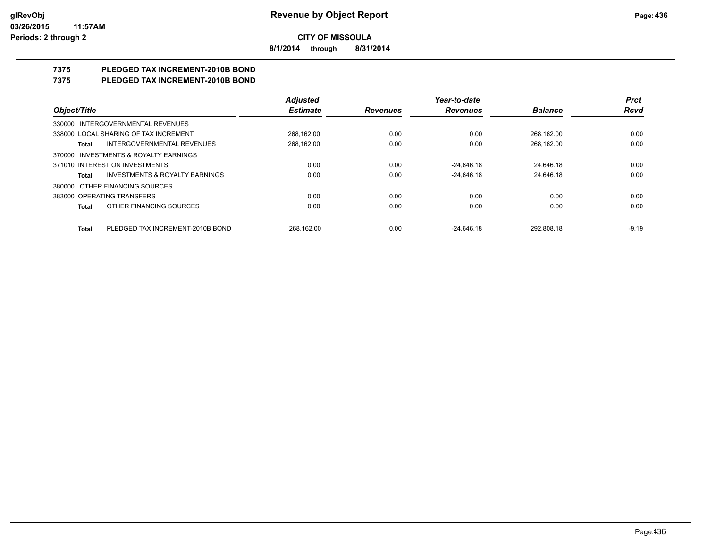**8/1/2014 through 8/31/2014**

# **7375 PLEDGED TAX INCREMENT-2010B BOND**

# **7375 PLEDGED TAX INCREMENT-2010B BOND**

|                                                    | <b>Adjusted</b> |                 | Year-to-date    |                | <b>Prct</b> |
|----------------------------------------------------|-----------------|-----------------|-----------------|----------------|-------------|
| Object/Title                                       | <b>Estimate</b> | <b>Revenues</b> | <b>Revenues</b> | <b>Balance</b> | <b>Rcvd</b> |
| 330000 INTERGOVERNMENTAL REVENUES                  |                 |                 |                 |                |             |
| 338000 LOCAL SHARING OF TAX INCREMENT              | 268,162.00      | 0.00            | 0.00            | 268.162.00     | 0.00        |
| <b>INTERGOVERNMENTAL REVENUES</b><br>Total         | 268,162.00      | 0.00            | 0.00            | 268.162.00     | 0.00        |
| 370000 INVESTMENTS & ROYALTY EARNINGS              |                 |                 |                 |                |             |
| 371010 INTEREST ON INVESTMENTS                     | 0.00            | 0.00            | $-24.646.18$    | 24.646.18      | 0.00        |
| <b>INVESTMENTS &amp; ROYALTY EARNINGS</b><br>Total | 0.00            | 0.00            | $-24.646.18$    | 24.646.18      | 0.00        |
| 380000 OTHER FINANCING SOURCES                     |                 |                 |                 |                |             |
| 383000 OPERATING TRANSFERS                         | 0.00            | 0.00            | 0.00            | 0.00           | 0.00        |
| OTHER FINANCING SOURCES<br><b>Total</b>            | 0.00            | 0.00            | 0.00            | 0.00           | 0.00        |
| PLEDGED TAX INCREMENT-2010B BOND<br><b>Total</b>   | 268.162.00      | 0.00            | $-24.646.18$    | 292.808.18     | $-9.19$     |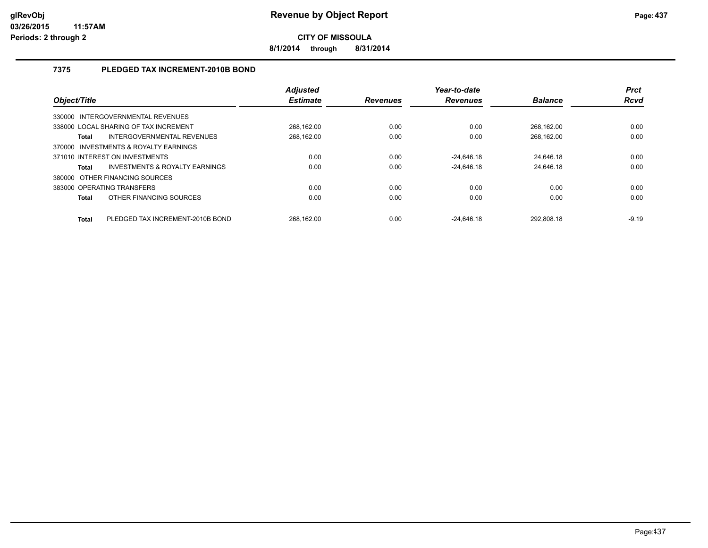**8/1/2014 through 8/31/2014**

# **7375 PLEDGED TAX INCREMENT-2010B BOND**

| Object/Title                            |                                           | <b>Adjusted</b><br><b>Estimate</b> | <b>Revenues</b> | Year-to-date<br><b>Revenues</b> | <b>Balance</b> | <b>Prct</b><br>Rcvd |
|-----------------------------------------|-------------------------------------------|------------------------------------|-----------------|---------------------------------|----------------|---------------------|
| 330000 INTERGOVERNMENTAL REVENUES       |                                           |                                    |                 |                                 |                |                     |
| 338000 LOCAL SHARING OF TAX INCREMENT   |                                           | 268.162.00                         | 0.00            | 0.00                            | 268.162.00     | 0.00                |
| <b>Total</b>                            | INTERGOVERNMENTAL REVENUES                | 268.162.00                         | 0.00            | 0.00                            | 268.162.00     | 0.00                |
| 370000 INVESTMENTS & ROYALTY EARNINGS   |                                           |                                    |                 |                                 |                |                     |
| 371010 INTEREST ON INVESTMENTS          |                                           | 0.00                               | 0.00            | $-24,646.18$                    | 24.646.18      | 0.00                |
| <b>Total</b>                            | <b>INVESTMENTS &amp; ROYALTY EARNINGS</b> | 0.00                               | 0.00            | $-24.646.18$                    | 24,646.18      | 0.00                |
| 380000 OTHER FINANCING SOURCES          |                                           |                                    |                 |                                 |                |                     |
| 383000 OPERATING TRANSFERS              |                                           | 0.00                               | 0.00            | 0.00                            | 0.00           | 0.00                |
| OTHER FINANCING SOURCES<br><b>Total</b> |                                           | 0.00                               | 0.00            | 0.00                            | 0.00           | 0.00                |
| <b>Total</b>                            | PLEDGED TAX INCREMENT-2010B BOND          | 268.162.00                         | 0.00            | $-24.646.18$                    | 292.808.18     | $-9.19$             |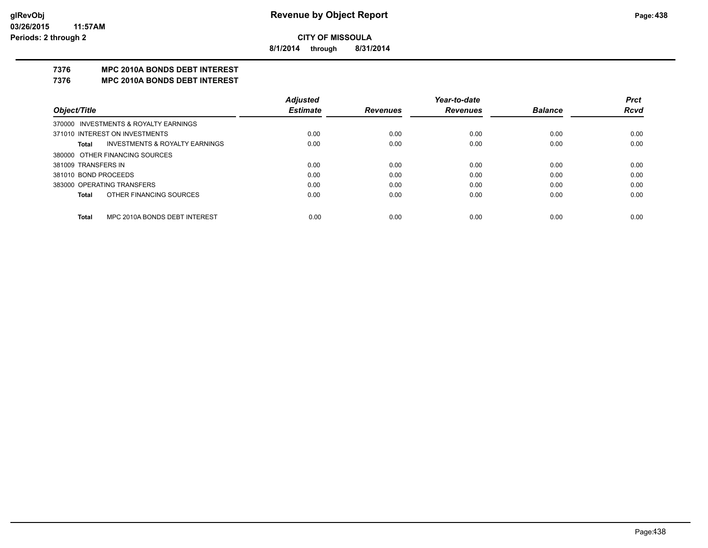**8/1/2014 through 8/31/2014**

# **7376 MPC 2010A BONDS DEBT INTEREST**

#### **7376 MPC 2010A BONDS DEBT INTEREST**

|                      |                                       | <b>Adjusted</b> |                 | Year-to-date    |                | <b>Prct</b> |
|----------------------|---------------------------------------|-----------------|-----------------|-----------------|----------------|-------------|
| Object/Title         |                                       | <b>Estimate</b> | <b>Revenues</b> | <b>Revenues</b> | <b>Balance</b> | <b>Rcvd</b> |
|                      | 370000 INVESTMENTS & ROYALTY EARNINGS |                 |                 |                 |                |             |
|                      | 371010 INTEREST ON INVESTMENTS        | 0.00            | 0.00            | 0.00            | 0.00           | 0.00        |
| Total                | INVESTMENTS & ROYALTY EARNINGS        | 0.00            | 0.00            | 0.00            | 0.00           | 0.00        |
|                      | 380000 OTHER FINANCING SOURCES        |                 |                 |                 |                |             |
| 381009 TRANSFERS IN  |                                       | 0.00            | 0.00            | 0.00            | 0.00           | 0.00        |
| 381010 BOND PROCEEDS |                                       | 0.00            | 0.00            | 0.00            | 0.00           | 0.00        |
|                      | 383000 OPERATING TRANSFERS            | 0.00            | 0.00            | 0.00            | 0.00           | 0.00        |
| Total                | OTHER FINANCING SOURCES               | 0.00            | 0.00            | 0.00            | 0.00           | 0.00        |
| Total                | MPC 2010A BONDS DEBT INTEREST         | 0.00            | 0.00            | 0.00            | 0.00           | 0.00        |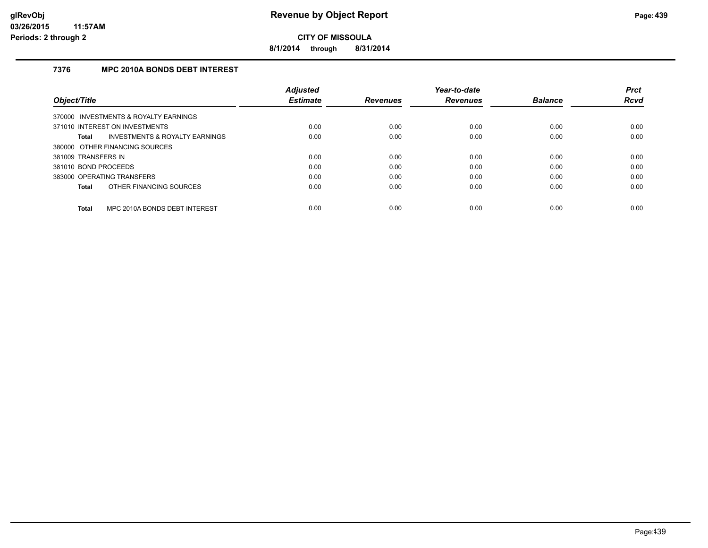**8/1/2014 through 8/31/2014**

# **7376 MPC 2010A BONDS DEBT INTEREST**

|                            |                                           | <b>Adjusted</b> |                 | Year-to-date    |                | <b>Prct</b> |
|----------------------------|-------------------------------------------|-----------------|-----------------|-----------------|----------------|-------------|
| Object/Title               |                                           | <b>Estimate</b> | <b>Revenues</b> | <b>Revenues</b> | <b>Balance</b> | <b>Rcvd</b> |
|                            | 370000 INVESTMENTS & ROYALTY EARNINGS     |                 |                 |                 |                |             |
|                            | 371010 INTEREST ON INVESTMENTS            | 0.00            | 0.00            | 0.00            | 0.00           | 0.00        |
| <b>Total</b>               | <b>INVESTMENTS &amp; ROYALTY EARNINGS</b> | 0.00            | 0.00            | 0.00            | 0.00           | 0.00        |
|                            | 380000 OTHER FINANCING SOURCES            |                 |                 |                 |                |             |
| 381009 TRANSFERS IN        |                                           | 0.00            | 0.00            | 0.00            | 0.00           | 0.00        |
| 381010 BOND PROCEEDS       |                                           | 0.00            | 0.00            | 0.00            | 0.00           | 0.00        |
| 383000 OPERATING TRANSFERS |                                           | 0.00            | 0.00            | 0.00            | 0.00           | 0.00        |
| <b>Total</b>               | OTHER FINANCING SOURCES                   | 0.00            | 0.00            | 0.00            | 0.00           | 0.00        |
| <b>Total</b>               | MPC 2010A BONDS DEBT INTEREST             | 0.00            | 0.00            | 0.00            | 0.00           | 0.00        |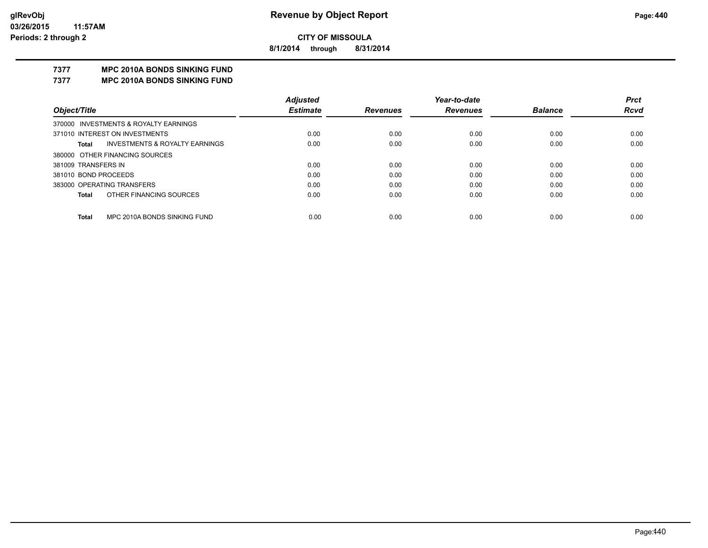**8/1/2014 through 8/31/2014**

# **7377 MPC 2010A BONDS SINKING FUND**

**7377 MPC 2010A BONDS SINKING FUND**

|                                                    | <b>Adjusted</b> |                 | Year-to-date    |                | <b>Prct</b> |
|----------------------------------------------------|-----------------|-----------------|-----------------|----------------|-------------|
| Object/Title                                       | <b>Estimate</b> | <b>Revenues</b> | <b>Revenues</b> | <b>Balance</b> | <b>Rcvd</b> |
| 370000 INVESTMENTS & ROYALTY EARNINGS              |                 |                 |                 |                |             |
| 371010 INTEREST ON INVESTMENTS                     | 0.00            | 0.00            | 0.00            | 0.00           | 0.00        |
| <b>INVESTMENTS &amp; ROYALTY EARNINGS</b><br>Total | 0.00            | 0.00            | 0.00            | 0.00           | 0.00        |
| 380000 OTHER FINANCING SOURCES                     |                 |                 |                 |                |             |
| 381009 TRANSFERS IN                                | 0.00            | 0.00            | 0.00            | 0.00           | 0.00        |
| 381010 BOND PROCEEDS                               | 0.00            | 0.00            | 0.00            | 0.00           | 0.00        |
| 383000 OPERATING TRANSFERS                         | 0.00            | 0.00            | 0.00            | 0.00           | 0.00        |
| OTHER FINANCING SOURCES<br><b>Total</b>            | 0.00            | 0.00            | 0.00            | 0.00           | 0.00        |
|                                                    |                 |                 |                 |                |             |
| MPC 2010A BONDS SINKING FUND<br>Total              | 0.00            | 0.00            | 0.00            | 0.00           | 0.00        |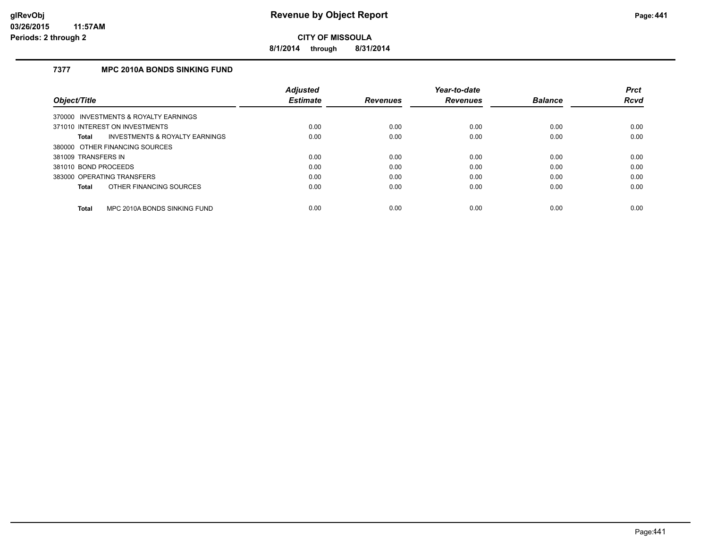**8/1/2014 through 8/31/2014**

# **7377 MPC 2010A BONDS SINKING FUND**

|                                                    | <b>Adiusted</b> |                 | Year-to-date    |                | <b>Prct</b> |
|----------------------------------------------------|-----------------|-----------------|-----------------|----------------|-------------|
| Object/Title                                       | <b>Estimate</b> | <b>Revenues</b> | <b>Revenues</b> | <b>Balance</b> | <b>Rcvd</b> |
| 370000 INVESTMENTS & ROYALTY EARNINGS              |                 |                 |                 |                |             |
| 371010 INTEREST ON INVESTMENTS                     | 0.00            | 0.00            | 0.00            | 0.00           | 0.00        |
| <b>INVESTMENTS &amp; ROYALTY EARNINGS</b><br>Total | 0.00            | 0.00            | 0.00            | 0.00           | 0.00        |
| 380000 OTHER FINANCING SOURCES                     |                 |                 |                 |                |             |
| 381009 TRANSFERS IN                                | 0.00            | 0.00            | 0.00            | 0.00           | 0.00        |
| 381010 BOND PROCEEDS                               | 0.00            | 0.00            | 0.00            | 0.00           | 0.00        |
| 383000 OPERATING TRANSFERS                         | 0.00            | 0.00            | 0.00            | 0.00           | 0.00        |
| OTHER FINANCING SOURCES<br>Total                   | 0.00            | 0.00            | 0.00            | 0.00           | 0.00        |
| MPC 2010A BONDS SINKING FUND<br><b>Total</b>       | 0.00            | 0.00            | 0.00            | 0.00           | 0.00        |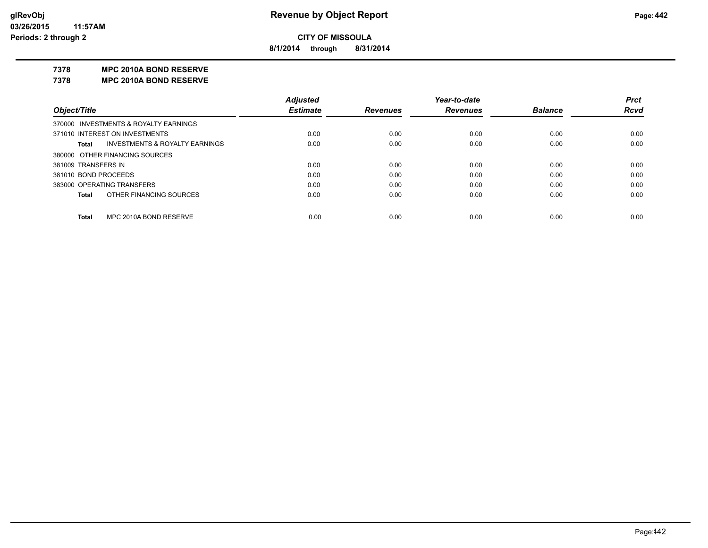**8/1/2014 through 8/31/2014**

#### **7378 MPC 2010A BOND RESERVE**

**7378 MPC 2010A BOND RESERVE**

|                      |                                           | <b>Adjusted</b> |                 | Year-to-date    |                | <b>Prct</b> |
|----------------------|-------------------------------------------|-----------------|-----------------|-----------------|----------------|-------------|
| Object/Title         |                                           | <b>Estimate</b> | <b>Revenues</b> | <b>Revenues</b> | <b>Balance</b> | <b>Rcvd</b> |
|                      | 370000 INVESTMENTS & ROYALTY EARNINGS     |                 |                 |                 |                |             |
|                      | 371010 INTEREST ON INVESTMENTS            | 0.00            | 0.00            | 0.00            | 0.00           | 0.00        |
| Total                | <b>INVESTMENTS &amp; ROYALTY EARNINGS</b> | 0.00            | 0.00            | 0.00            | 0.00           | 0.00        |
|                      | 380000 OTHER FINANCING SOURCES            |                 |                 |                 |                |             |
| 381009 TRANSFERS IN  |                                           | 0.00            | 0.00            | 0.00            | 0.00           | 0.00        |
| 381010 BOND PROCEEDS |                                           | 0.00            | 0.00            | 0.00            | 0.00           | 0.00        |
|                      | 383000 OPERATING TRANSFERS                | 0.00            | 0.00            | 0.00            | 0.00           | 0.00        |
| Total                | OTHER FINANCING SOURCES                   | 0.00            | 0.00            | 0.00            | 0.00           | 0.00        |
|                      |                                           |                 |                 |                 |                |             |
| Total                | MPC 2010A BOND RESERVE                    | 0.00            | 0.00            | 0.00            | 0.00           | 0.00        |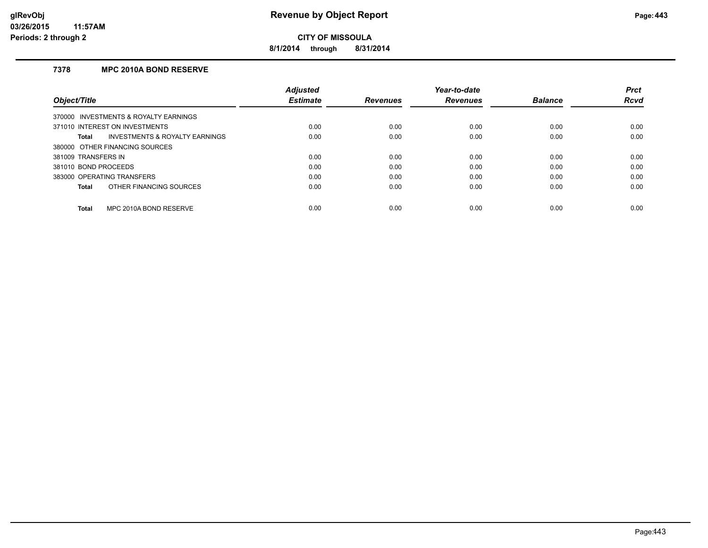**8/1/2014 through 8/31/2014**

# **7378 MPC 2010A BOND RESERVE**

|                                                | <b>Adjusted</b> |                 | Year-to-date    |                | <b>Prct</b> |
|------------------------------------------------|-----------------|-----------------|-----------------|----------------|-------------|
| Object/Title                                   | <b>Estimate</b> | <b>Revenues</b> | <b>Revenues</b> | <b>Balance</b> | <b>Rcvd</b> |
| 370000 INVESTMENTS & ROYALTY EARNINGS          |                 |                 |                 |                |             |
| 371010 INTEREST ON INVESTMENTS                 | 0.00            | 0.00            | 0.00            | 0.00           | 0.00        |
| INVESTMENTS & ROYALTY EARNINGS<br><b>Total</b> | 0.00            | 0.00            | 0.00            | 0.00           | 0.00        |
| 380000 OTHER FINANCING SOURCES                 |                 |                 |                 |                |             |
| 381009 TRANSFERS IN                            | 0.00            | 0.00            | 0.00            | 0.00           | 0.00        |
| 381010 BOND PROCEEDS                           | 0.00            | 0.00            | 0.00            | 0.00           | 0.00        |
| 383000 OPERATING TRANSFERS                     | 0.00            | 0.00            | 0.00            | 0.00           | 0.00        |
| OTHER FINANCING SOURCES<br><b>Total</b>        | 0.00            | 0.00            | 0.00            | 0.00           | 0.00        |
| MPC 2010A BOND RESERVE<br><b>Total</b>         | 0.00            | 0.00            | 0.00            | 0.00           | 0.00        |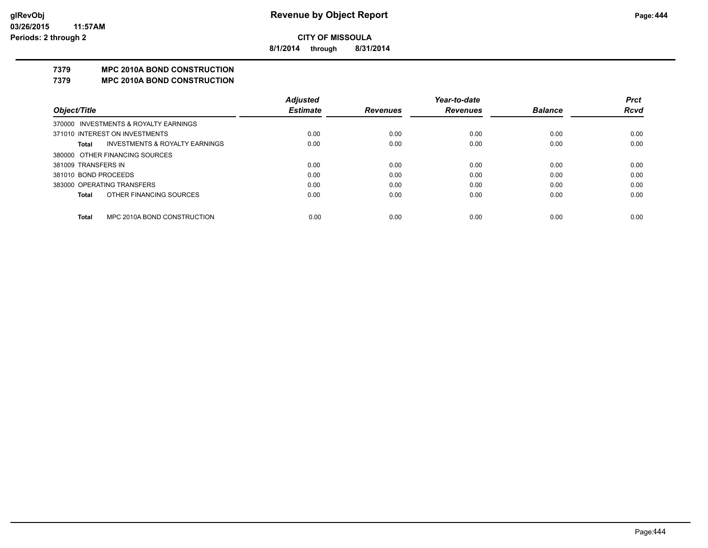**8/1/2014 through 8/31/2014**

# **7379 MPC 2010A BOND CONSTRUCTION**

#### **7379 MPC 2010A BOND CONSTRUCTION**

|                      |                                       | <b>Adjusted</b> |                 | Year-to-date    |                | <b>Prct</b> |
|----------------------|---------------------------------------|-----------------|-----------------|-----------------|----------------|-------------|
| Object/Title         |                                       | <b>Estimate</b> | <b>Revenues</b> | <b>Revenues</b> | <b>Balance</b> | <b>Rcvd</b> |
|                      | 370000 INVESTMENTS & ROYALTY EARNINGS |                 |                 |                 |                |             |
|                      | 371010 INTEREST ON INVESTMENTS        | 0.00            | 0.00            | 0.00            | 0.00           | 0.00        |
| Total                | INVESTMENTS & ROYALTY EARNINGS        | 0.00            | 0.00            | 0.00            | 0.00           | 0.00        |
|                      | 380000 OTHER FINANCING SOURCES        |                 |                 |                 |                |             |
| 381009 TRANSFERS IN  |                                       | 0.00            | 0.00            | 0.00            | 0.00           | 0.00        |
| 381010 BOND PROCEEDS |                                       | 0.00            | 0.00            | 0.00            | 0.00           | 0.00        |
|                      | 383000 OPERATING TRANSFERS            | 0.00            | 0.00            | 0.00            | 0.00           | 0.00        |
| <b>Total</b>         | OTHER FINANCING SOURCES               | 0.00            | 0.00            | 0.00            | 0.00           | 0.00        |
|                      |                                       |                 |                 |                 |                |             |
| <b>Total</b>         | MPC 2010A BOND CONSTRUCTION           | 0.00            | 0.00            | 0.00            | 0.00           | 0.00        |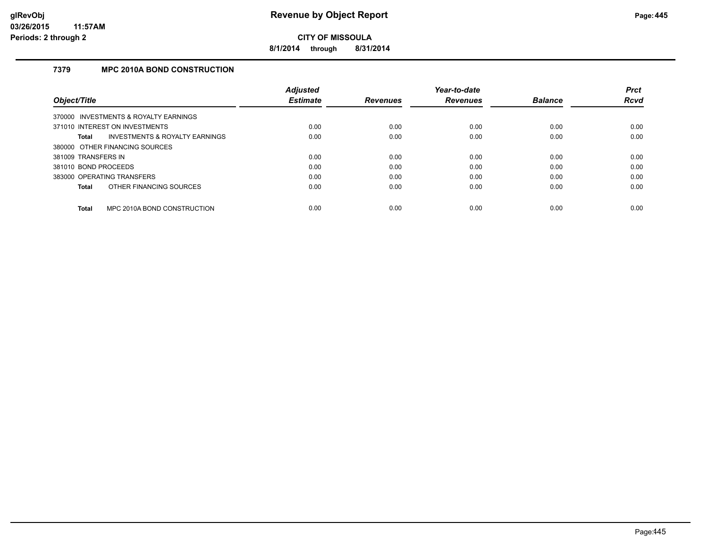**8/1/2014 through 8/31/2014**

# **7379 MPC 2010A BOND CONSTRUCTION**

|                      |                                       | <b>Adjusted</b> |                 | Year-to-date    |                | <b>Prct</b> |
|----------------------|---------------------------------------|-----------------|-----------------|-----------------|----------------|-------------|
| Object/Title         |                                       | <b>Estimate</b> | <b>Revenues</b> | <b>Revenues</b> | <b>Balance</b> | <b>Rcvd</b> |
|                      | 370000 INVESTMENTS & ROYALTY EARNINGS |                 |                 |                 |                |             |
|                      | 371010 INTEREST ON INVESTMENTS        | 0.00            | 0.00            | 0.00            | 0.00           | 0.00        |
| <b>Total</b>         | INVESTMENTS & ROYALTY EARNINGS        | 0.00            | 0.00            | 0.00            | 0.00           | 0.00        |
|                      | 380000 OTHER FINANCING SOURCES        |                 |                 |                 |                |             |
| 381009 TRANSFERS IN  |                                       | 0.00            | 0.00            | 0.00            | 0.00           | 0.00        |
| 381010 BOND PROCEEDS |                                       | 0.00            | 0.00            | 0.00            | 0.00           | 0.00        |
|                      | 383000 OPERATING TRANSFERS            | 0.00            | 0.00            | 0.00            | 0.00           | 0.00        |
| Total                | OTHER FINANCING SOURCES               | 0.00            | 0.00            | 0.00            | 0.00           | 0.00        |
| <b>Total</b>         | MPC 2010A BOND CONSTRUCTION           | 0.00            | 0.00            | 0.00            | 0.00           | 0.00        |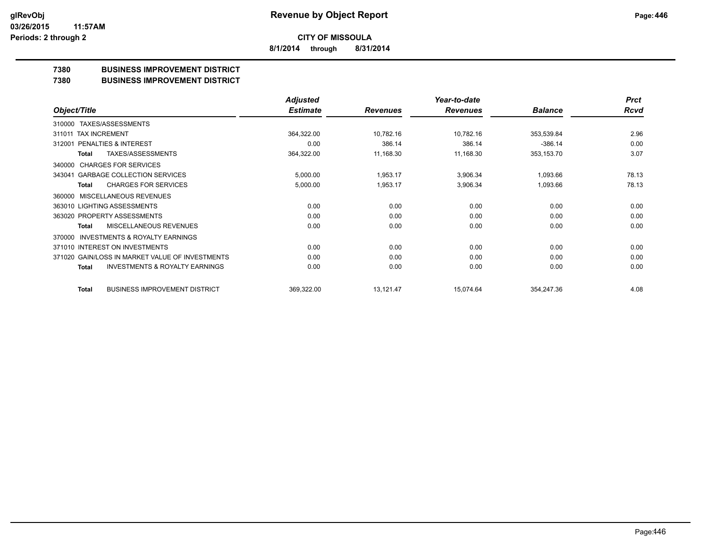**8/1/2014 through 8/31/2014**

# **7380 BUSINESS IMPROVEMENT DISTRICT**

#### **7380 BUSINESS IMPROVEMENT DISTRICT**

|                                                     | <b>Adjusted</b> |                 | Year-to-date    |                | <b>Prct</b> |
|-----------------------------------------------------|-----------------|-----------------|-----------------|----------------|-------------|
| Object/Title                                        | <b>Estimate</b> | <b>Revenues</b> | <b>Revenues</b> | <b>Balance</b> | Rcvd        |
| TAXES/ASSESSMENTS<br>310000                         |                 |                 |                 |                |             |
| 311011 TAX INCREMENT                                | 364,322.00      | 10,782.16       | 10,782.16       | 353,539.84     | 2.96        |
| <b>PENALTIES &amp; INTEREST</b><br>312001           | 0.00            | 386.14          | 386.14          | $-386.14$      | 0.00        |
| <b>TAXES/ASSESSMENTS</b><br>Total                   | 364,322.00      | 11,168.30       | 11,168.30       | 353,153.70     | 3.07        |
| <b>CHARGES FOR SERVICES</b><br>340000               |                 |                 |                 |                |             |
| <b>GARBAGE COLLECTION SERVICES</b><br>343041        | 5,000.00        | 1,953.17        | 3,906.34        | 1,093.66       | 78.13       |
| <b>CHARGES FOR SERVICES</b><br><b>Total</b>         | 5,000.00        | 1,953.17        | 3,906.34        | 1,093.66       | 78.13       |
| <b>MISCELLANEOUS REVENUES</b><br>360000             |                 |                 |                 |                |             |
| 363010 LIGHTING ASSESSMENTS                         | 0.00            | 0.00            | 0.00            | 0.00           | 0.00        |
| 363020 PROPERTY ASSESSMENTS                         | 0.00            | 0.00            | 0.00            | 0.00           | 0.00        |
| MISCELLANEOUS REVENUES<br>Total                     | 0.00            | 0.00            | 0.00            | 0.00           | 0.00        |
| <b>INVESTMENTS &amp; ROYALTY EARNINGS</b><br>370000 |                 |                 |                 |                |             |
| 371010 INTEREST ON INVESTMENTS                      | 0.00            | 0.00            | 0.00            | 0.00           | 0.00        |
| 371020 GAIN/LOSS IN MARKET VALUE OF INVESTMENTS     | 0.00            | 0.00            | 0.00            | 0.00           | 0.00        |
| <b>INVESTMENTS &amp; ROYALTY EARNINGS</b><br>Total  | 0.00            | 0.00            | 0.00            | 0.00           | 0.00        |
| <b>BUSINESS IMPROVEMENT DISTRICT</b><br>Total       | 369,322.00      | 13,121.47       | 15,074.64       | 354,247.36     | 4.08        |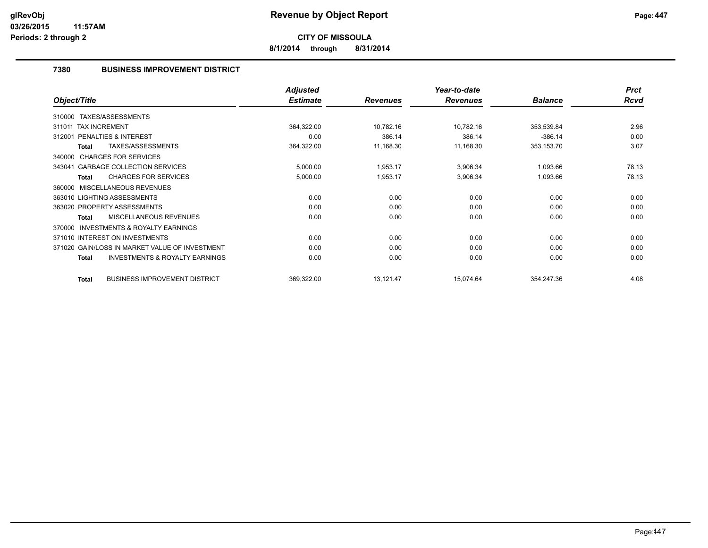**8/1/2014 through 8/31/2014**

# **7380 BUSINESS IMPROVEMENT DISTRICT**

|                                                           | <b>Adjusted</b> |                 | Year-to-date    |                | <b>Prct</b> |
|-----------------------------------------------------------|-----------------|-----------------|-----------------|----------------|-------------|
| Object/Title                                              | <b>Estimate</b> | <b>Revenues</b> | <b>Revenues</b> | <b>Balance</b> | <b>Rcvd</b> |
| 310000 TAXES/ASSESSMENTS                                  |                 |                 |                 |                |             |
| 311011 TAX INCREMENT                                      | 364,322.00      | 10,782.16       | 10,782.16       | 353,539.84     | 2.96        |
| <b>PENALTIES &amp; INTEREST</b><br>312001                 | 0.00            | 386.14          | 386.14          | $-386.14$      | 0.00        |
| TAXES/ASSESSMENTS<br><b>Total</b>                         | 364,322.00      | 11,168.30       | 11,168.30       | 353,153.70     | 3.07        |
| 340000 CHARGES FOR SERVICES                               |                 |                 |                 |                |             |
| 343041 GARBAGE COLLECTION SERVICES                        | 5,000.00        | 1,953.17        | 3,906.34        | 1,093.66       | 78.13       |
| <b>CHARGES FOR SERVICES</b><br><b>Total</b>               | 5,000.00        | 1,953.17        | 3,906.34        | 1,093.66       | 78.13       |
| <b>MISCELLANEOUS REVENUES</b><br>360000                   |                 |                 |                 |                |             |
| 363010 LIGHTING ASSESSMENTS                               | 0.00            | 0.00            | 0.00            | 0.00           | 0.00        |
| 363020 PROPERTY ASSESSMENTS                               | 0.00            | 0.00            | 0.00            | 0.00           | 0.00        |
| <b>MISCELLANEOUS REVENUES</b><br>Total                    | 0.00            | 0.00            | 0.00            | 0.00           | 0.00        |
| <b>INVESTMENTS &amp; ROYALTY EARNINGS</b><br>370000       |                 |                 |                 |                |             |
| 371010 INTEREST ON INVESTMENTS                            | 0.00            | 0.00            | 0.00            | 0.00           | 0.00        |
| 371020 GAIN/LOSS IN MARKET VALUE OF INVESTMENT            | 0.00            | 0.00            | 0.00            | 0.00           | 0.00        |
| <b>INVESTMENTS &amp; ROYALTY EARNINGS</b><br><b>Total</b> | 0.00            | 0.00            | 0.00            | 0.00           | 0.00        |
| <b>BUSINESS IMPROVEMENT DISTRICT</b><br><b>Total</b>      | 369,322.00      | 13,121.47       | 15,074.64       | 354,247.36     | 4.08        |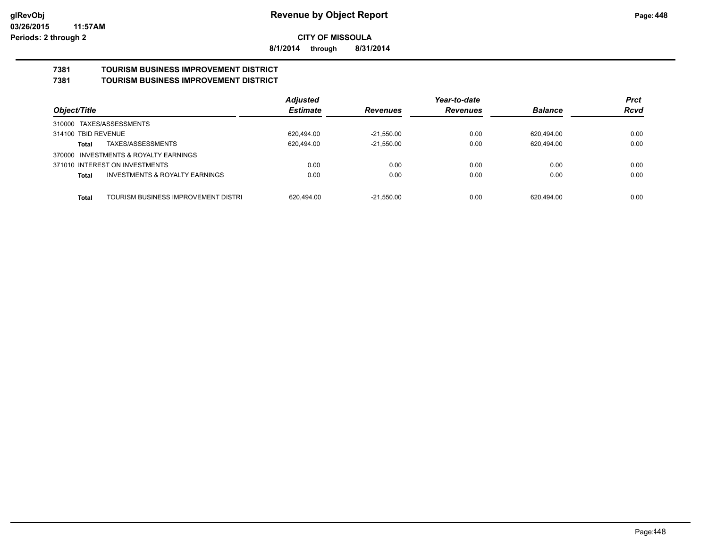**8/1/2014 through 8/31/2014**

#### **7381 TOURISM BUSINESS IMPROVEMENT DISTRICT 7381 TOURISM BUSINESS IMPROVEMENT DISTRICT**

|                                                    | <b>Adjusted</b> |                 | Year-to-date    |                | <b>Prct</b> |
|----------------------------------------------------|-----------------|-----------------|-----------------|----------------|-------------|
| Object/Title                                       | <b>Estimate</b> | <b>Revenues</b> | <b>Revenues</b> | <b>Balance</b> | <b>Rcvd</b> |
| 310000 TAXES/ASSESSMENTS                           |                 |                 |                 |                |             |
| 314100 TBID REVENUE                                | 620,494.00      | $-21,550.00$    | 0.00            | 620,494.00     | 0.00        |
| TAXES/ASSESSMENTS<br>Total                         | 620,494.00      | $-21,550.00$    | 0.00            | 620,494.00     | 0.00        |
| 370000 INVESTMENTS & ROYALTY EARNINGS              |                 |                 |                 |                |             |
| 371010 INTEREST ON INVESTMENTS                     | 0.00            | 0.00            | 0.00            | 0.00           | 0.00        |
| <b>INVESTMENTS &amp; ROYALTY EARNINGS</b><br>Total | 0.00            | 0.00            | 0.00            | 0.00           | 0.00        |
|                                                    |                 |                 |                 |                |             |
| TOURISM BUSINESS IMPROVEMENT DISTRI<br>Total       | 620.494.00      | $-21.550.00$    | 0.00            | 620.494.00     | 0.00        |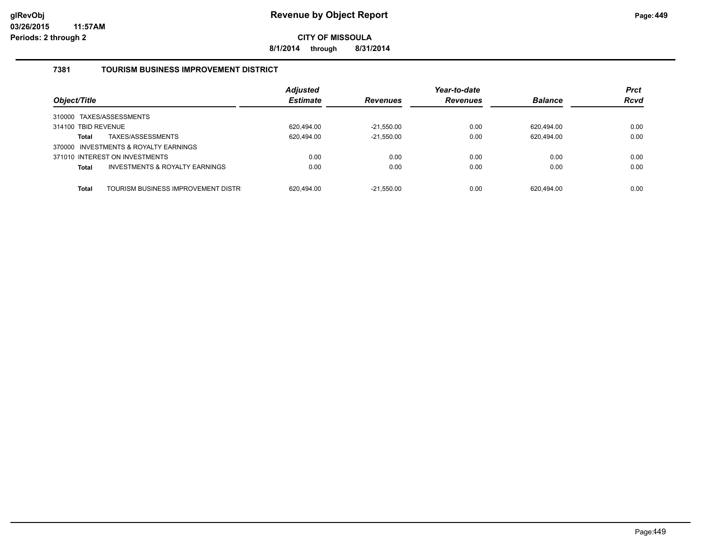**8/1/2014 through 8/31/2014**

# **7381 TOURISM BUSINESS IMPROVEMENT DISTRICT**

| Object/Title        |                                       | <b>Adjusted</b><br><b>Estimate</b> | <b>Revenues</b> | Year-to-date<br><b>Revenues</b> | <b>Balance</b> | <b>Prct</b><br><b>Rcvd</b> |
|---------------------|---------------------------------------|------------------------------------|-----------------|---------------------------------|----------------|----------------------------|
|                     | 310000 TAXES/ASSESSMENTS              |                                    |                 |                                 |                |                            |
| 314100 TBID REVENUE |                                       | 620.494.00                         | $-21.550.00$    | 0.00                            | 620.494.00     | 0.00                       |
| <b>Total</b>        | TAXES/ASSESSMENTS                     | 620,494.00                         | $-21,550.00$    | 0.00                            | 620.494.00     | 0.00                       |
|                     | 370000 INVESTMENTS & ROYALTY EARNINGS |                                    |                 |                                 |                |                            |
|                     | 371010 INTEREST ON INVESTMENTS        | 0.00                               | 0.00            | 0.00                            | 0.00           | 0.00                       |
| <b>Total</b>        | INVESTMENTS & ROYALTY EARNINGS        | 0.00                               | 0.00            | 0.00                            | 0.00           | 0.00                       |
| <b>Total</b>        | TOURISM BUSINESS IMPROVEMENT DISTR    | 620.494.00                         | $-21.550.00$    | 0.00                            | 620.494.00     | 0.00                       |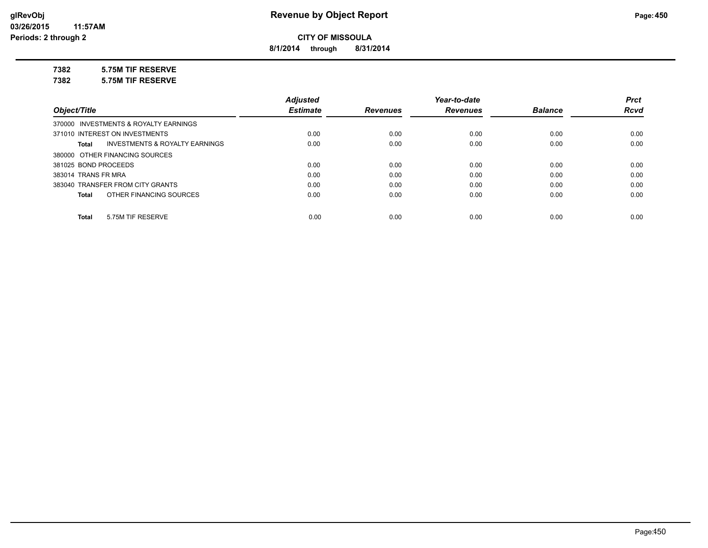**8/1/2014 through 8/31/2014**

# **7382 5.75M TIF RESERVE**

**7382 5.75M TIF RESERVE**

|                                         | <b>Adjusted</b> |                 | Year-to-date    |                | <b>Prct</b> |
|-----------------------------------------|-----------------|-----------------|-----------------|----------------|-------------|
| Object/Title                            | <b>Estimate</b> | <b>Revenues</b> | <b>Revenues</b> | <b>Balance</b> | <b>Rcvd</b> |
| 370000 INVESTMENTS & ROYALTY EARNINGS   |                 |                 |                 |                |             |
| 371010 INTEREST ON INVESTMENTS          | 0.00            | 0.00            | 0.00            | 0.00           | 0.00        |
| INVESTMENTS & ROYALTY EARNINGS<br>Total | 0.00            | 0.00            | 0.00            | 0.00           | 0.00        |
| 380000 OTHER FINANCING SOURCES          |                 |                 |                 |                |             |
| 381025 BOND PROCEEDS                    | 0.00            | 0.00            | 0.00            | 0.00           | 0.00        |
| 383014 TRANS FR MRA                     | 0.00            | 0.00            | 0.00            | 0.00           | 0.00        |
| 383040 TRANSFER FROM CITY GRANTS        | 0.00            | 0.00            | 0.00            | 0.00           | 0.00        |
| OTHER FINANCING SOURCES<br>Total        | 0.00            | 0.00            | 0.00            | 0.00           | 0.00        |
|                                         |                 |                 |                 |                |             |
| 5.75M TIF RESERVE<br>Total              | 0.00            | 0.00            | 0.00            | 0.00           | 0.00        |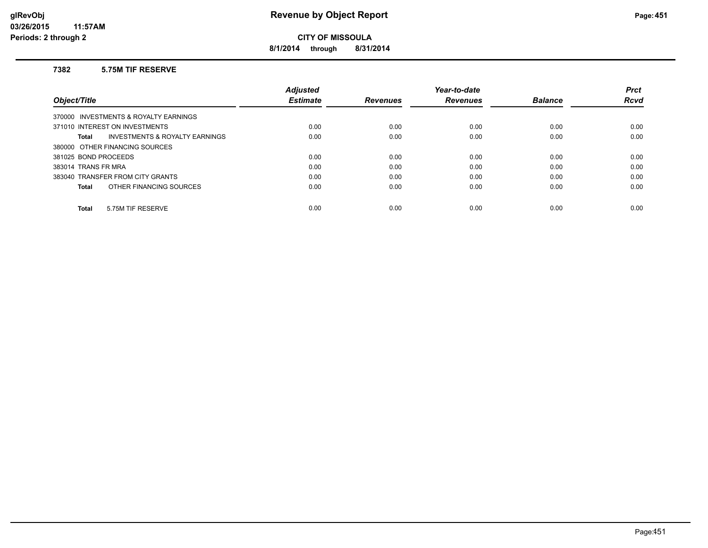**8/1/2014 through 8/31/2014**

#### **7382 5.75M TIF RESERVE**

|                                                    | <b>Adiusted</b> |                 | Year-to-date    |                | <b>Prct</b> |
|----------------------------------------------------|-----------------|-----------------|-----------------|----------------|-------------|
| Object/Title                                       | <b>Estimate</b> | <b>Revenues</b> | <b>Revenues</b> | <b>Balance</b> | <b>Rcvd</b> |
| 370000 INVESTMENTS & ROYALTY EARNINGS              |                 |                 |                 |                |             |
| 371010 INTEREST ON INVESTMENTS                     | 0.00            | 0.00            | 0.00            | 0.00           | 0.00        |
| <b>INVESTMENTS &amp; ROYALTY EARNINGS</b><br>Total | 0.00            | 0.00            | 0.00            | 0.00           | 0.00        |
| 380000 OTHER FINANCING SOURCES                     |                 |                 |                 |                |             |
| 381025 BOND PROCEEDS                               | 0.00            | 0.00            | 0.00            | 0.00           | 0.00        |
| 383014 TRANS FR MRA                                | 0.00            | 0.00            | 0.00            | 0.00           | 0.00        |
| 383040 TRANSFER FROM CITY GRANTS                   | 0.00            | 0.00            | 0.00            | 0.00           | 0.00        |
| OTHER FINANCING SOURCES<br>Total                   | 0.00            | 0.00            | 0.00            | 0.00           | 0.00        |
|                                                    |                 |                 |                 |                |             |
| 5.75M TIF RESERVE<br><b>Total</b>                  | 0.00            | 0.00            | 0.00            | 0.00           | 0.00        |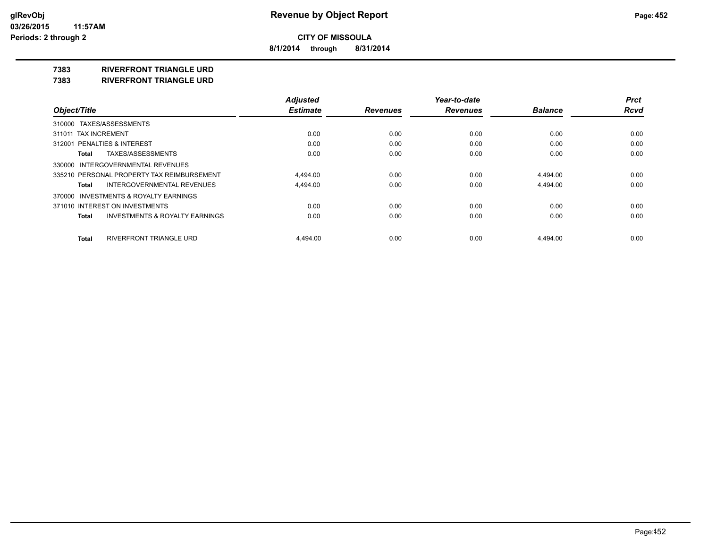**8/1/2014 through 8/31/2014**

**7383 RIVERFRONT TRIANGLE URD**

**7383 RIVERFRONT TRIANGLE URD**

|                                            | <b>Adjusted</b> |                 | Year-to-date    |                | <b>Prct</b> |
|--------------------------------------------|-----------------|-----------------|-----------------|----------------|-------------|
| Object/Title                               | <b>Estimate</b> | <b>Revenues</b> | <b>Revenues</b> | <b>Balance</b> | <b>Rcvd</b> |
| 310000 TAXES/ASSESSMENTS                   |                 |                 |                 |                |             |
| 311011 TAX INCREMENT                       | 0.00            | 0.00            | 0.00            | 0.00           | 0.00        |
| 312001 PENALTIES & INTEREST                | 0.00            | 0.00            | 0.00            | 0.00           | 0.00        |
| TAXES/ASSESSMENTS<br>Total                 | 0.00            | 0.00            | 0.00            | 0.00           | 0.00        |
| 330000 INTERGOVERNMENTAL REVENUES          |                 |                 |                 |                |             |
| 335210 PERSONAL PROPERTY TAX REIMBURSEMENT | 4.494.00        | 0.00            | 0.00            | 4.494.00       | 0.00        |
| INTERGOVERNMENTAL REVENUES<br>Total        | 4,494.00        | 0.00            | 0.00            | 4,494.00       | 0.00        |
| 370000 INVESTMENTS & ROYALTY EARNINGS      |                 |                 |                 |                |             |
| 371010 INTEREST ON INVESTMENTS             | 0.00            | 0.00            | 0.00            | 0.00           | 0.00        |
| INVESTMENTS & ROYALTY EARNINGS<br>Total    | 0.00            | 0.00            | 0.00            | 0.00           | 0.00        |
| RIVERFRONT TRIANGLE URD<br>Total           | 4.494.00        | 0.00            | 0.00            | 4.494.00       | 0.00        |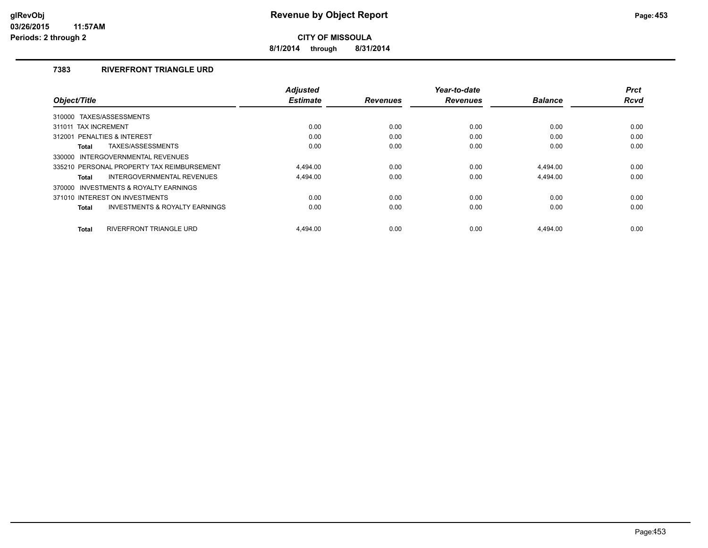**8/1/2014 through 8/31/2014**

# **7383 RIVERFRONT TRIANGLE URD**

|                                                    | <b>Adjusted</b> |                 | Year-to-date    |                | <b>Prct</b> |
|----------------------------------------------------|-----------------|-----------------|-----------------|----------------|-------------|
| Object/Title                                       | <b>Estimate</b> | <b>Revenues</b> | <b>Revenues</b> | <b>Balance</b> | <b>Rcvd</b> |
| 310000 TAXES/ASSESSMENTS                           |                 |                 |                 |                |             |
| 311011 TAX INCREMENT                               | 0.00            | 0.00            | 0.00            | 0.00           | 0.00        |
| PENALTIES & INTEREST<br>312001                     | 0.00            | 0.00            | 0.00            | 0.00           | 0.00        |
| TAXES/ASSESSMENTS<br>Total                         | 0.00            | 0.00            | 0.00            | 0.00           | 0.00        |
| INTERGOVERNMENTAL REVENUES<br>330000               |                 |                 |                 |                |             |
| 335210 PERSONAL PROPERTY TAX REIMBURSEMENT         | 4.494.00        | 0.00            | 0.00            | 4.494.00       | 0.00        |
| INTERGOVERNMENTAL REVENUES<br>Total                | 4,494.00        | 0.00            | 0.00            | 4,494.00       | 0.00        |
| 370000 INVESTMENTS & ROYALTY EARNINGS              |                 |                 |                 |                |             |
| 371010 INTEREST ON INVESTMENTS                     | 0.00            | 0.00            | 0.00            | 0.00           | 0.00        |
| <b>INVESTMENTS &amp; ROYALTY EARNINGS</b><br>Total | 0.00            | 0.00            | 0.00            | 0.00           | 0.00        |
|                                                    |                 |                 |                 |                |             |
| <b>RIVERFRONT TRIANGLE URD</b><br><b>Total</b>     | 4.494.00        | 0.00            | 0.00            | 4.494.00       | 0.00        |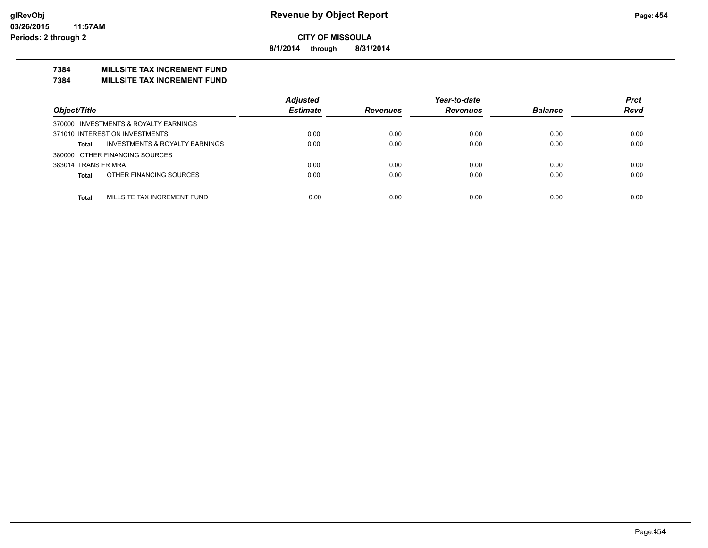**8/1/2014 through 8/31/2014**

# **7384 MILLSITE TAX INCREMENT FUND**

**7384 MILLSITE TAX INCREMENT FUND**

|                                                           | <b>Adjusted</b> |                 | Year-to-date    |                | <b>Prct</b> |
|-----------------------------------------------------------|-----------------|-----------------|-----------------|----------------|-------------|
| Object/Title                                              | <b>Estimate</b> | <b>Revenues</b> | <b>Revenues</b> | <b>Balance</b> | <b>Rcvd</b> |
| 370000 INVESTMENTS & ROYALTY EARNINGS                     |                 |                 |                 |                |             |
| 371010 INTEREST ON INVESTMENTS                            | 0.00            | 0.00            | 0.00            | 0.00           | 0.00        |
| <b>INVESTMENTS &amp; ROYALTY EARNINGS</b><br><b>Total</b> | 0.00            | 0.00            | 0.00            | 0.00           | 0.00        |
| 380000 OTHER FINANCING SOURCES                            |                 |                 |                 |                |             |
| 383014 TRANS FR MRA                                       | 0.00            | 0.00            | 0.00            | 0.00           | 0.00        |
| OTHER FINANCING SOURCES<br><b>Total</b>                   | 0.00            | 0.00            | 0.00            | 0.00           | 0.00        |
|                                                           |                 |                 |                 |                |             |
| MILLSITE TAX INCREMENT FUND<br><b>Total</b>               | 0.00            | 0.00            | 0.00            | 0.00           | 0.00        |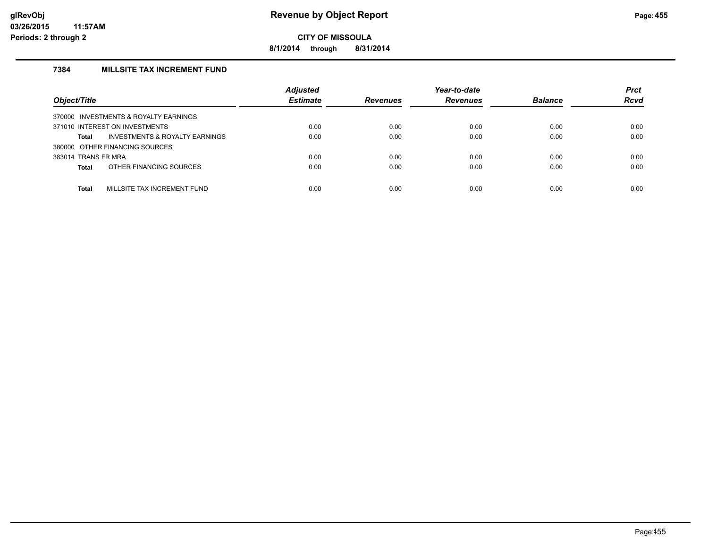**8/1/2014 through 8/31/2014**

# **7384 MILLSITE TAX INCREMENT FUND**

| Object/Title                                | <b>Adjusted</b><br><b>Estimate</b> | <b>Revenues</b> | Year-to-date<br><b>Revenues</b> | <b>Balance</b> | <b>Prct</b><br><b>Rcvd</b> |
|---------------------------------------------|------------------------------------|-----------------|---------------------------------|----------------|----------------------------|
| 370000 INVESTMENTS & ROYALTY EARNINGS       |                                    |                 |                                 |                |                            |
| 371010 INTEREST ON INVESTMENTS              | 0.00                               | 0.00            | 0.00                            | 0.00           | 0.00                       |
| INVESTMENTS & ROYALTY EARNINGS<br>Total     | 0.00                               | 0.00            | 0.00                            | 0.00           | 0.00                       |
| 380000 OTHER FINANCING SOURCES              |                                    |                 |                                 |                |                            |
| 383014 TRANS FR MRA                         | 0.00                               | 0.00            | 0.00                            | 0.00           | 0.00                       |
| OTHER FINANCING SOURCES<br><b>Total</b>     | 0.00                               | 0.00            | 0.00                            | 0.00           | 0.00                       |
|                                             |                                    |                 |                                 |                |                            |
| MILLSITE TAX INCREMENT FUND<br><b>Total</b> | 0.00                               | 0.00            | 0.00                            | 0.00           | 0.00                       |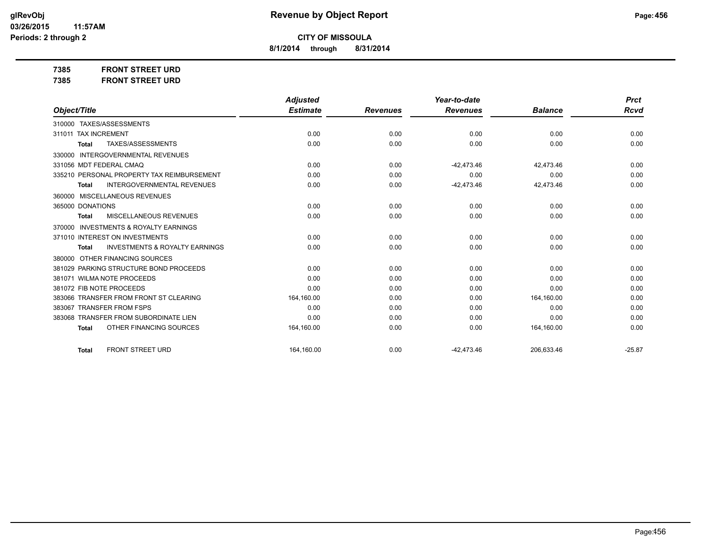**8/1/2014 through 8/31/2014**

**7385 FRONT STREET URD 7385 FRONT STREET URD**

|                                                           | <b>Adjusted</b> |                 | Year-to-date    |                | <b>Prct</b> |
|-----------------------------------------------------------|-----------------|-----------------|-----------------|----------------|-------------|
| Object/Title                                              | <b>Estimate</b> | <b>Revenues</b> | <b>Revenues</b> | <b>Balance</b> | <b>Rcvd</b> |
| 310000 TAXES/ASSESSMENTS                                  |                 |                 |                 |                |             |
| 311011 TAX INCREMENT                                      | 0.00            | 0.00            | 0.00            | 0.00           | 0.00        |
| TAXES/ASSESSMENTS<br><b>Total</b>                         | 0.00            | 0.00            | 0.00            | 0.00           | 0.00        |
| <b>INTERGOVERNMENTAL REVENUES</b><br>330000               |                 |                 |                 |                |             |
| 331056 MDT FEDERAL CMAQ                                   | 0.00            | 0.00            | $-42.473.46$    | 42.473.46      | 0.00        |
| 335210 PERSONAL PROPERTY TAX REIMBURSEMENT                | 0.00            | 0.00            | 0.00            | 0.00           | 0.00        |
| <b>INTERGOVERNMENTAL REVENUES</b><br><b>Total</b>         | 0.00            | 0.00            | $-42,473.46$    | 42,473.46      | 0.00        |
| 360000 MISCELLANEOUS REVENUES                             |                 |                 |                 |                |             |
| 365000 DONATIONS                                          | 0.00            | 0.00            | 0.00            | 0.00           | 0.00        |
| <b>MISCELLANEOUS REVENUES</b><br><b>Total</b>             | 0.00            | 0.00            | 0.00            | 0.00           | 0.00        |
| <b>INVESTMENTS &amp; ROYALTY EARNINGS</b><br>370000       |                 |                 |                 |                |             |
| 371010 INTEREST ON INVESTMENTS                            | 0.00            | 0.00            | 0.00            | 0.00           | 0.00        |
| <b>INVESTMENTS &amp; ROYALTY EARNINGS</b><br><b>Total</b> | 0.00            | 0.00            | 0.00            | 0.00           | 0.00        |
| OTHER FINANCING SOURCES<br>380000                         |                 |                 |                 |                |             |
| 381029 PARKING STRUCTURE BOND PROCEEDS                    | 0.00            | 0.00            | 0.00            | 0.00           | 0.00        |
| 381071 WILMA NOTE PROCEEDS                                | 0.00            | 0.00            | 0.00            | 0.00           | 0.00        |
| 381072 FIB NOTE PROCEEDS                                  | 0.00            | 0.00            | 0.00            | 0.00           | 0.00        |
| 383066 TRANSFER FROM FRONT ST CLEARING                    | 164,160.00      | 0.00            | 0.00            | 164,160.00     | 0.00        |
| 383067 TRANSFER FROM FSPS                                 | 0.00            | 0.00            | 0.00            | 0.00           | 0.00        |
| 383068 TRANSFER FROM SUBORDINATE LIEN                     | 0.00            | 0.00            | 0.00            | 0.00           | 0.00        |
| OTHER FINANCING SOURCES<br><b>Total</b>                   | 164,160.00      | 0.00            | 0.00            | 164,160.00     | 0.00        |
|                                                           |                 |                 |                 |                |             |
| <b>FRONT STREET URD</b><br><b>Total</b>                   | 164,160.00      | 0.00            | $-42.473.46$    | 206.633.46     | $-25.87$    |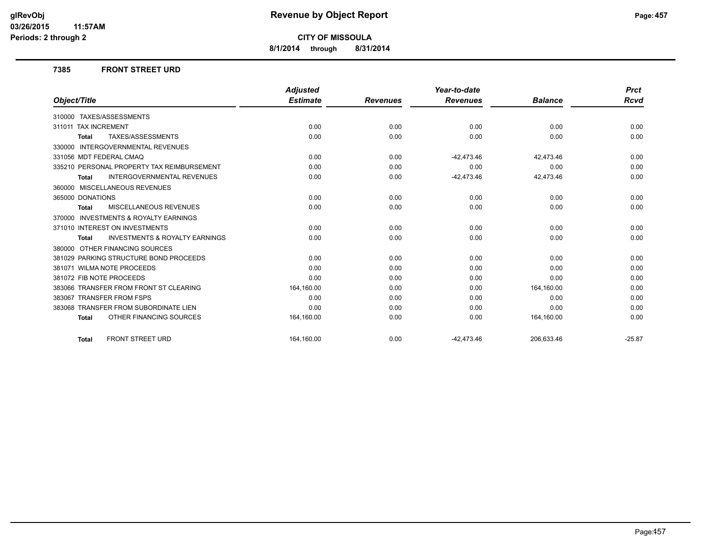**8/1/2014 through 8/31/2014**

#### **7385 FRONT STREET URD**

|                                                           | <b>Adjusted</b> |                 | Year-to-date    |                | <b>Prct</b> |
|-----------------------------------------------------------|-----------------|-----------------|-----------------|----------------|-------------|
| Object/Title                                              | <b>Estimate</b> | <b>Revenues</b> | <b>Revenues</b> | <b>Balance</b> | Rcvd        |
| 310000 TAXES/ASSESSMENTS                                  |                 |                 |                 |                |             |
| 311011 TAX INCREMENT                                      | 0.00            | 0.00            | 0.00            | 0.00           | 0.00        |
| TAXES/ASSESSMENTS<br><b>Total</b>                         | 0.00            | 0.00            | 0.00            | 0.00           | 0.00        |
| 330000 INTERGOVERNMENTAL REVENUES                         |                 |                 |                 |                |             |
| 331056 MDT FEDERAL CMAQ                                   | 0.00            | 0.00            | $-42,473.46$    | 42,473.46      | 0.00        |
| 335210 PERSONAL PROPERTY TAX REIMBURSEMENT                | 0.00            | 0.00            | 0.00            | 0.00           | 0.00        |
| <b>INTERGOVERNMENTAL REVENUES</b><br><b>Total</b>         | 0.00            | 0.00            | $-42,473.46$    | 42,473.46      | 0.00        |
| 360000 MISCELLANEOUS REVENUES                             |                 |                 |                 |                |             |
| 365000 DONATIONS                                          | 0.00            | 0.00            | 0.00            | 0.00           | 0.00        |
| <b>MISCELLANEOUS REVENUES</b><br><b>Total</b>             | 0.00            | 0.00            | 0.00            | 0.00           | 0.00        |
| 370000 INVESTMENTS & ROYALTY EARNINGS                     |                 |                 |                 |                |             |
| 371010 INTEREST ON INVESTMENTS                            | 0.00            | 0.00            | 0.00            | 0.00           | 0.00        |
| <b>INVESTMENTS &amp; ROYALTY EARNINGS</b><br><b>Total</b> | 0.00            | 0.00            | 0.00            | 0.00           | 0.00        |
| 380000 OTHER FINANCING SOURCES                            |                 |                 |                 |                |             |
| 381029 PARKING STRUCTURE BOND PROCEEDS                    | 0.00            | 0.00            | 0.00            | 0.00           | 0.00        |
| 381071 WILMA NOTE PROCEEDS                                | 0.00            | 0.00            | 0.00            | 0.00           | 0.00        |
| 381072 FIB NOTE PROCEEDS                                  | 0.00            | 0.00            | 0.00            | 0.00           | 0.00        |
| 383066 TRANSFER FROM FRONT ST CLEARING                    | 164,160.00      | 0.00            | 0.00            | 164,160.00     | 0.00        |
| 383067 TRANSFER FROM FSPS                                 | 0.00            | 0.00            | 0.00            | 0.00           | 0.00        |
| 383068 TRANSFER FROM SUBORDINATE LIEN                     | 0.00            | 0.00            | 0.00            | 0.00           | 0.00        |
| OTHER FINANCING SOURCES<br><b>Total</b>                   | 164,160.00      | 0.00            | 0.00            | 164,160.00     | 0.00        |
| <b>FRONT STREET URD</b><br><b>Total</b>                   | 164.160.00      | 0.00            | $-42.473.46$    | 206,633.46     | $-25.87$    |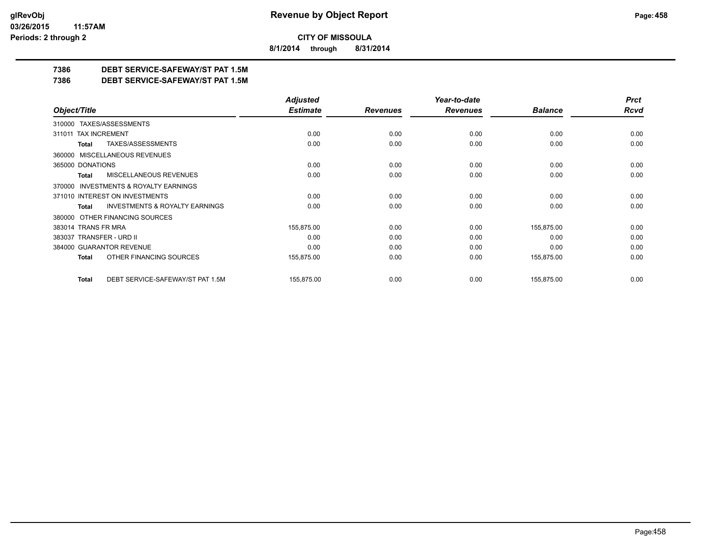**8/1/2014 through 8/31/2014**

# **7386 DEBT SERVICE-SAFEWAY/ST PAT 1.5M**

**7386 DEBT SERVICE-SAFEWAY/ST PAT 1.5M**

|                                                    | <b>Adjusted</b> |                 | Year-to-date    |                | <b>Prct</b> |
|----------------------------------------------------|-----------------|-----------------|-----------------|----------------|-------------|
| Object/Title                                       | <b>Estimate</b> | <b>Revenues</b> | <b>Revenues</b> | <b>Balance</b> | <b>Rcvd</b> |
| 310000 TAXES/ASSESSMENTS                           |                 |                 |                 |                |             |
| <b>TAX INCREMENT</b><br>311011                     | 0.00            | 0.00            | 0.00            | 0.00           | 0.00        |
| TAXES/ASSESSMENTS<br>Total                         | 0.00            | 0.00            | 0.00            | 0.00           | 0.00        |
| 360000 MISCELLANEOUS REVENUES                      |                 |                 |                 |                |             |
| 365000 DONATIONS                                   | 0.00            | 0.00            | 0.00            | 0.00           | 0.00        |
| <b>MISCELLANEOUS REVENUES</b><br>Total             | 0.00            | 0.00            | 0.00            | 0.00           | 0.00        |
| INVESTMENTS & ROYALTY EARNINGS<br>370000           |                 |                 |                 |                |             |
| 371010 INTEREST ON INVESTMENTS                     | 0.00            | 0.00            | 0.00            | 0.00           | 0.00        |
| <b>INVESTMENTS &amp; ROYALTY EARNINGS</b><br>Total | 0.00            | 0.00            | 0.00            | 0.00           | 0.00        |
| OTHER FINANCING SOURCES<br>380000                  |                 |                 |                 |                |             |
| 383014 TRANS FR MRA                                | 155,875.00      | 0.00            | 0.00            | 155,875.00     | 0.00        |
| 383037 TRANSFER - URD II                           | 0.00            | 0.00            | 0.00            | 0.00           | 0.00        |
| 384000 GUARANTOR REVENUE                           | 0.00            | 0.00            | 0.00            | 0.00           | 0.00        |
| OTHER FINANCING SOURCES<br><b>Total</b>            | 155,875.00      | 0.00            | 0.00            | 155,875.00     | 0.00        |
| DEBT SERVICE-SAFEWAY/ST PAT 1.5M<br><b>Total</b>   | 155,875.00      | 0.00            | 0.00            | 155,875.00     | 0.00        |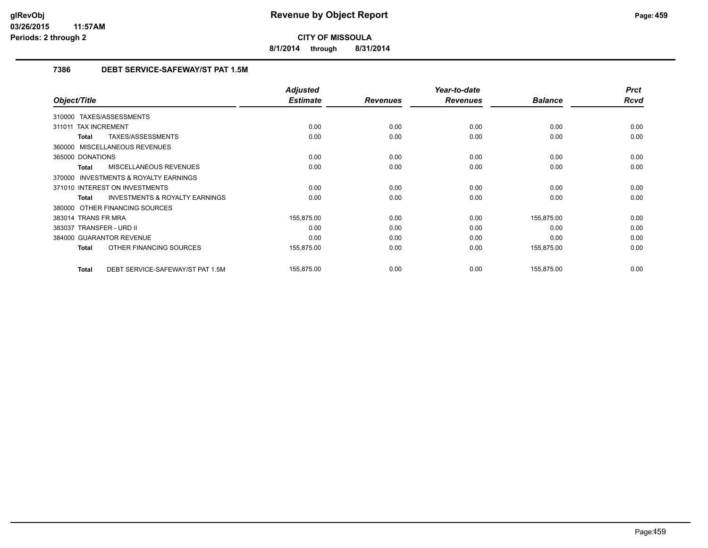**8/1/2014 through 8/31/2014**

# **7386 DEBT SERVICE-SAFEWAY/ST PAT 1.5M**

|                                                           | <b>Adjusted</b> |                 | Year-to-date    |                | <b>Prct</b> |
|-----------------------------------------------------------|-----------------|-----------------|-----------------|----------------|-------------|
| Object/Title                                              | <b>Estimate</b> | <b>Revenues</b> | <b>Revenues</b> | <b>Balance</b> | <b>Rcvd</b> |
| 310000 TAXES/ASSESSMENTS                                  |                 |                 |                 |                |             |
| 311011 TAX INCREMENT                                      | 0.00            | 0.00            | 0.00            | 0.00           | 0.00        |
| TAXES/ASSESSMENTS<br><b>Total</b>                         | 0.00            | 0.00            | 0.00            | 0.00           | 0.00        |
| 360000 MISCELLANEOUS REVENUES                             |                 |                 |                 |                |             |
| 365000 DONATIONS                                          | 0.00            | 0.00            | 0.00            | 0.00           | 0.00        |
| MISCELLANEOUS REVENUES<br><b>Total</b>                    | 0.00            | 0.00            | 0.00            | 0.00           | 0.00        |
| <b>INVESTMENTS &amp; ROYALTY EARNINGS</b><br>370000       |                 |                 |                 |                |             |
| 371010 INTEREST ON INVESTMENTS                            | 0.00            | 0.00            | 0.00            | 0.00           | 0.00        |
| <b>INVESTMENTS &amp; ROYALTY EARNINGS</b><br><b>Total</b> | 0.00            | 0.00            | 0.00            | 0.00           | 0.00        |
| 380000 OTHER FINANCING SOURCES                            |                 |                 |                 |                |             |
| 383014 TRANS FR MRA                                       | 155,875.00      | 0.00            | 0.00            | 155,875.00     | 0.00        |
| 383037 TRANSFER - URD II                                  | 0.00            | 0.00            | 0.00            | 0.00           | 0.00        |
| 384000 GUARANTOR REVENUE                                  | 0.00            | 0.00            | 0.00            | 0.00           | 0.00        |
| OTHER FINANCING SOURCES<br><b>Total</b>                   | 155,875.00      | 0.00            | 0.00            | 155,875.00     | 0.00        |
| DEBT SERVICE-SAFEWAY/ST PAT 1.5M<br><b>Total</b>          | 155,875.00      | 0.00            | 0.00            | 155,875.00     | 0.00        |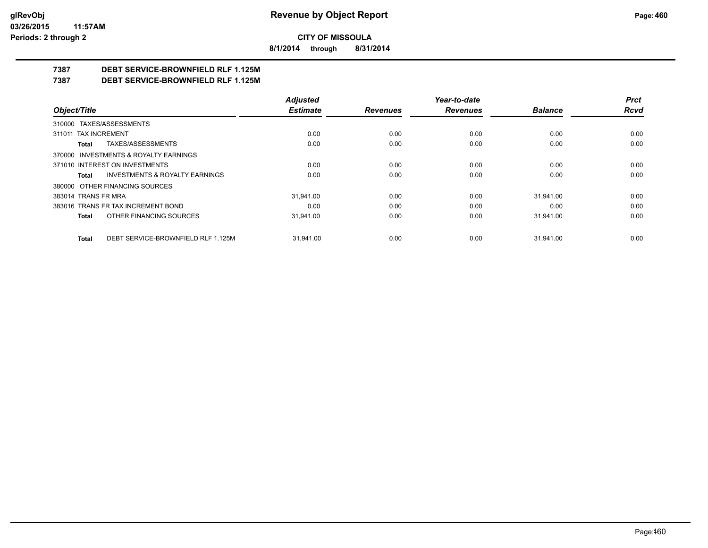**8/1/2014 through 8/31/2014**

# **7387 DEBT SERVICE-BROWNFIELD RLF 1.125M**

**7387 DEBT SERVICE-BROWNFIELD RLF 1.125M**

|                                                    | <b>Adjusted</b> |                 | Year-to-date    |                | <b>Prct</b> |
|----------------------------------------------------|-----------------|-----------------|-----------------|----------------|-------------|
| Object/Title                                       | <b>Estimate</b> | <b>Revenues</b> | <b>Revenues</b> | <b>Balance</b> | Rcvd        |
| 310000 TAXES/ASSESSMENTS                           |                 |                 |                 |                |             |
| 311011 TAX INCREMENT                               | 0.00            | 0.00            | 0.00            | 0.00           | 0.00        |
| TAXES/ASSESSMENTS<br>Total                         | 0.00            | 0.00            | 0.00            | 0.00           | 0.00        |
| 370000 INVESTMENTS & ROYALTY EARNINGS              |                 |                 |                 |                |             |
| 371010 INTEREST ON INVESTMENTS                     | 0.00            | 0.00            | 0.00            | 0.00           | 0.00        |
| <b>INVESTMENTS &amp; ROYALTY EARNINGS</b><br>Total | 0.00            | 0.00            | 0.00            | 0.00           | 0.00        |
| 380000 OTHER FINANCING SOURCES                     |                 |                 |                 |                |             |
| 383014 TRANS FR MRA                                | 31.941.00       | 0.00            | 0.00            | 31.941.00      | 0.00        |
| 383016 TRANS FR TAX INCREMENT BOND                 | 0.00            | 0.00            | 0.00            | 0.00           | 0.00        |
| OTHER FINANCING SOURCES<br>Total                   | 31.941.00       | 0.00            | 0.00            | 31,941.00      | 0.00        |
| DEBT SERVICE-BROWNFIELD RLF 1.125M<br>Total        | 31.941.00       | 0.00            | 0.00            | 31.941.00      | 0.00        |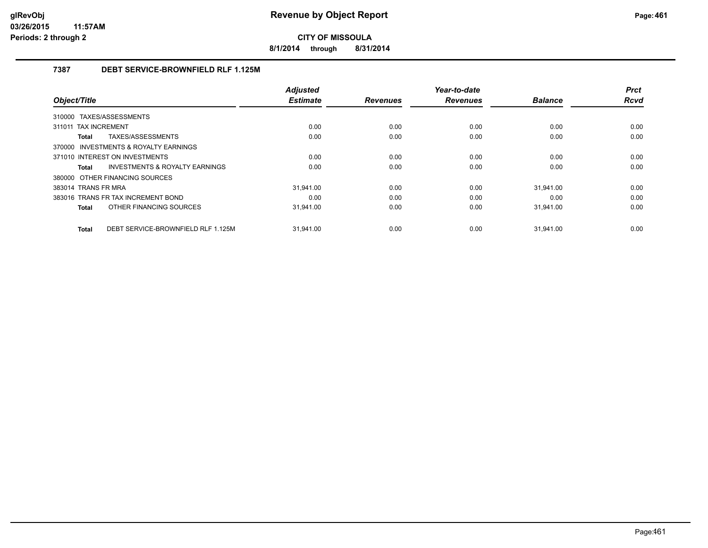**8/1/2014 through 8/31/2014**

# **7387 DEBT SERVICE-BROWNFIELD RLF 1.125M**

|                                             | <b>Adjusted</b> |                 | Year-to-date    |                | <b>Prct</b> |
|---------------------------------------------|-----------------|-----------------|-----------------|----------------|-------------|
| Object/Title                                | <b>Estimate</b> | <b>Revenues</b> | <b>Revenues</b> | <b>Balance</b> | <b>Rcvd</b> |
| 310000 TAXES/ASSESSMENTS                    |                 |                 |                 |                |             |
| 311011 TAX INCREMENT                        | 0.00            | 0.00            | 0.00            | 0.00           | 0.00        |
| TAXES/ASSESSMENTS<br>Total                  | 0.00            | 0.00            | 0.00            | 0.00           | 0.00        |
| 370000 INVESTMENTS & ROYALTY EARNINGS       |                 |                 |                 |                |             |
| 371010 INTEREST ON INVESTMENTS              | 0.00            | 0.00            | 0.00            | 0.00           | 0.00        |
| INVESTMENTS & ROYALTY EARNINGS<br>Total     | 0.00            | 0.00            | 0.00            | 0.00           | 0.00        |
| 380000 OTHER FINANCING SOURCES              |                 |                 |                 |                |             |
| 383014 TRANS FR MRA                         | 31.941.00       | 0.00            | 0.00            | 31.941.00      | 0.00        |
| 383016 TRANS FR TAX INCREMENT BOND          | 0.00            | 0.00            | 0.00            | 0.00           | 0.00        |
| OTHER FINANCING SOURCES<br>Total            | 31,941.00       | 0.00            | 0.00            | 31,941.00      | 0.00        |
|                                             |                 |                 |                 |                |             |
| DEBT SERVICE-BROWNFIELD RLF 1.125M<br>Total | 31.941.00       | 0.00            | 0.00            | 31.941.00      | 0.00        |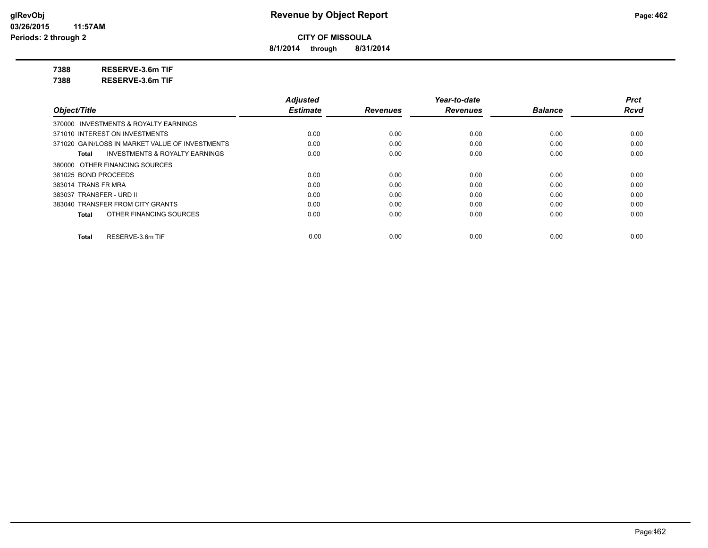**8/1/2014 through 8/31/2014**

**7388 RESERVE-3.6m TIF**

**7388 RESERVE-3.6m TIF**

|                                                    | <b>Adjusted</b> |                 | Year-to-date    |                | <b>Prct</b> |
|----------------------------------------------------|-----------------|-----------------|-----------------|----------------|-------------|
| Object/Title                                       | <b>Estimate</b> | <b>Revenues</b> | <b>Revenues</b> | <b>Balance</b> | <b>Rcvd</b> |
| 370000 INVESTMENTS & ROYALTY EARNINGS              |                 |                 |                 |                |             |
| 371010 INTEREST ON INVESTMENTS                     | 0.00            | 0.00            | 0.00            | 0.00           | 0.00        |
| 371020 GAIN/LOSS IN MARKET VALUE OF INVESTMENTS    | 0.00            | 0.00            | 0.00            | 0.00           | 0.00        |
| <b>INVESTMENTS &amp; ROYALTY EARNINGS</b><br>Total | 0.00            | 0.00            | 0.00            | 0.00           | 0.00        |
| 380000 OTHER FINANCING SOURCES                     |                 |                 |                 |                |             |
| 381025 BOND PROCEEDS                               | 0.00            | 0.00            | 0.00            | 0.00           | 0.00        |
| 383014 TRANS FR MRA                                | 0.00            | 0.00            | 0.00            | 0.00           | 0.00        |
| 383037 TRANSFER - URD II                           | 0.00            | 0.00            | 0.00            | 0.00           | 0.00        |
| 383040 TRANSFER FROM CITY GRANTS                   | 0.00            | 0.00            | 0.00            | 0.00           | 0.00        |
| OTHER FINANCING SOURCES<br>Total                   | 0.00            | 0.00            | 0.00            | 0.00           | 0.00        |
| RESERVE-3.6m TIF<br>Total                          | 0.00            | 0.00            | 0.00            | 0.00           | 0.00        |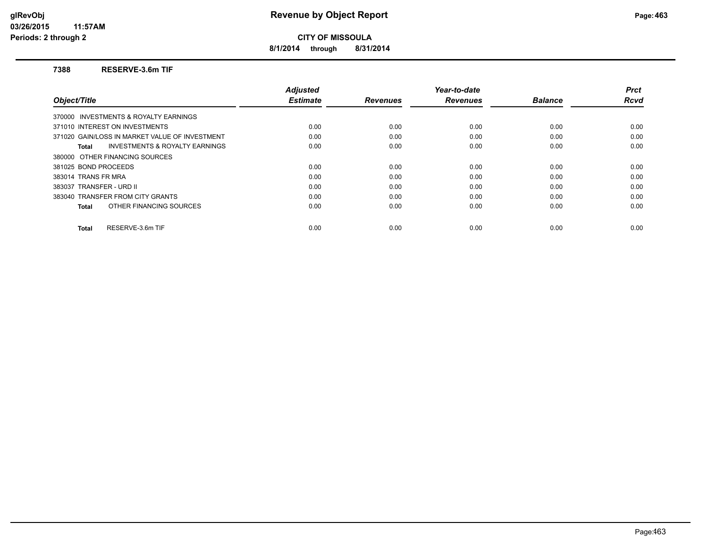**8/1/2014 through 8/31/2014**

#### **7388 RESERVE-3.6m TIF**

|                                                    | <b>Adjusted</b> |                 | Year-to-date    |                | <b>Prct</b> |
|----------------------------------------------------|-----------------|-----------------|-----------------|----------------|-------------|
| Object/Title                                       | <b>Estimate</b> | <b>Revenues</b> | <b>Revenues</b> | <b>Balance</b> | Rcvd        |
| 370000 INVESTMENTS & ROYALTY EARNINGS              |                 |                 |                 |                |             |
| 371010 INTEREST ON INVESTMENTS                     | 0.00            | 0.00            | 0.00            | 0.00           | 0.00        |
| 371020 GAIN/LOSS IN MARKET VALUE OF INVESTMENT     | 0.00            | 0.00            | 0.00            | 0.00           | 0.00        |
| <b>INVESTMENTS &amp; ROYALTY EARNINGS</b><br>Total | 0.00            | 0.00            | 0.00            | 0.00           | 0.00        |
| 380000 OTHER FINANCING SOURCES                     |                 |                 |                 |                |             |
| 381025 BOND PROCEEDS                               | 0.00            | 0.00            | 0.00            | 0.00           | 0.00        |
| 383014 TRANS FR MRA                                | 0.00            | 0.00            | 0.00            | 0.00           | 0.00        |
| 383037 TRANSFER - URD II                           | 0.00            | 0.00            | 0.00            | 0.00           | 0.00        |
| 383040 TRANSFER FROM CITY GRANTS                   | 0.00            | 0.00            | 0.00            | 0.00           | 0.00        |
| OTHER FINANCING SOURCES<br>Total                   | 0.00            | 0.00            | 0.00            | 0.00           | 0.00        |
| RESERVE-3.6m TIF<br>Total                          | 0.00            | 0.00            | 0.00            | 0.00           | 0.00        |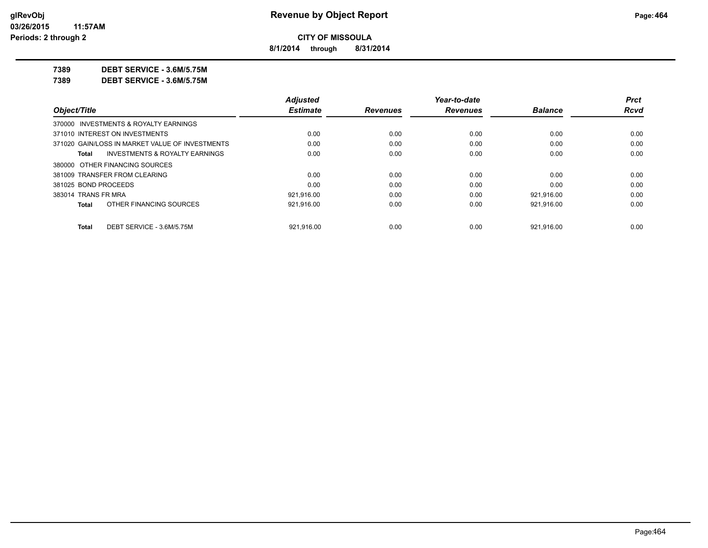**8/1/2014 through 8/31/2014**

**7389 DEBT SERVICE - 3.6M/5.75M**

**7389 DEBT SERVICE - 3.6M/5.75M**

|                                                 | <b>Adjusted</b> |                 | Year-to-date    |                | Prct        |
|-------------------------------------------------|-----------------|-----------------|-----------------|----------------|-------------|
| Object/Title                                    | <b>Estimate</b> | <b>Revenues</b> | <b>Revenues</b> | <b>Balance</b> | <b>Rcvd</b> |
| 370000 INVESTMENTS & ROYALTY EARNINGS           |                 |                 |                 |                |             |
| 371010 INTEREST ON INVESTMENTS                  | 0.00            | 0.00            | 0.00            | 0.00           | 0.00        |
| 371020 GAIN/LOSS IN MARKET VALUE OF INVESTMENTS | 0.00            | 0.00            | 0.00            | 0.00           | 0.00        |
| INVESTMENTS & ROYALTY EARNINGS<br>Total         | 0.00            | 0.00            | 0.00            | 0.00           | 0.00        |
| 380000 OTHER FINANCING SOURCES                  |                 |                 |                 |                |             |
| 381009 TRANSFER FROM CLEARING                   | 0.00            | 0.00            | 0.00            | 0.00           | 0.00        |
| 381025 BOND PROCEEDS                            | 0.00            | 0.00            | 0.00            | 0.00           | 0.00        |
| 383014 TRANS FR MRA                             | 921.916.00      | 0.00            | 0.00            | 921.916.00     | 0.00        |
| OTHER FINANCING SOURCES<br><b>Total</b>         | 921,916.00      | 0.00            | 0.00            | 921,916.00     | 0.00        |
| DEBT SERVICE - 3.6M/5.75M<br><b>Total</b>       | 921.916.00      | 0.00            | 0.00            | 921.916.00     | 0.00        |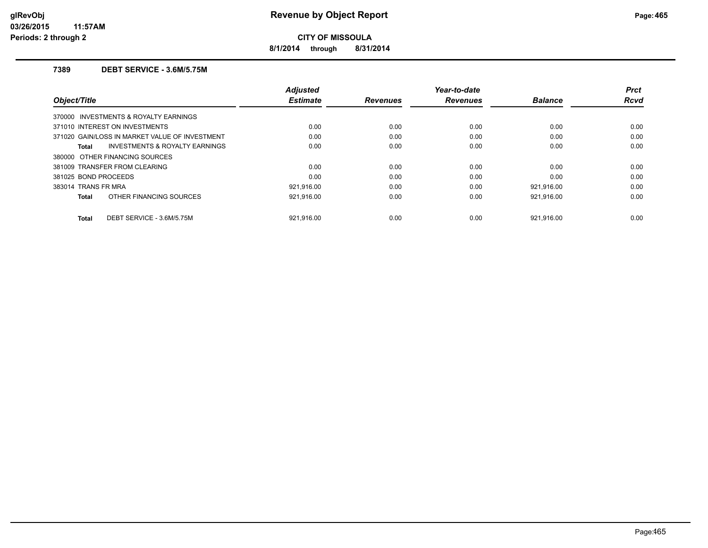**8/1/2014 through 8/31/2014**

## **7389 DEBT SERVICE - 3.6M/5.75M**

| Object/Title                   |                                                | <b>Adjusted</b><br><b>Estimate</b> | <b>Revenues</b> | Year-to-date<br><b>Revenues</b> | <b>Balance</b> | <b>Prct</b><br><b>Rcvd</b> |
|--------------------------------|------------------------------------------------|------------------------------------|-----------------|---------------------------------|----------------|----------------------------|
|                                | 370000 INVESTMENTS & ROYALTY EARNINGS          |                                    |                 |                                 |                |                            |
| 371010 INTEREST ON INVESTMENTS |                                                | 0.00                               | 0.00            | 0.00                            | 0.00           | 0.00                       |
|                                | 371020 GAIN/LOSS IN MARKET VALUE OF INVESTMENT | 0.00                               | 0.00            | 0.00                            | 0.00           | 0.00                       |
| Total                          | <b>INVESTMENTS &amp; ROYALTY EARNINGS</b>      | 0.00                               | 0.00            | 0.00                            | 0.00           | 0.00                       |
| 380000 OTHER FINANCING SOURCES |                                                |                                    |                 |                                 |                |                            |
| 381009 TRANSFER FROM CLEARING  |                                                | 0.00                               | 0.00            | 0.00                            | 0.00           | 0.00                       |
| 381025 BOND PROCEEDS           |                                                | 0.00                               | 0.00            | 0.00                            | 0.00           | 0.00                       |
| 383014 TRANS FR MRA            |                                                | 921,916.00                         | 0.00            | 0.00                            | 921.916.00     | 0.00                       |
| Total                          | OTHER FINANCING SOURCES                        | 921,916.00                         | 0.00            | 0.00                            | 921,916.00     | 0.00                       |
| Total                          | DEBT SERVICE - 3.6M/5.75M                      | 921.916.00                         | 0.00            | 0.00                            | 921.916.00     | 0.00                       |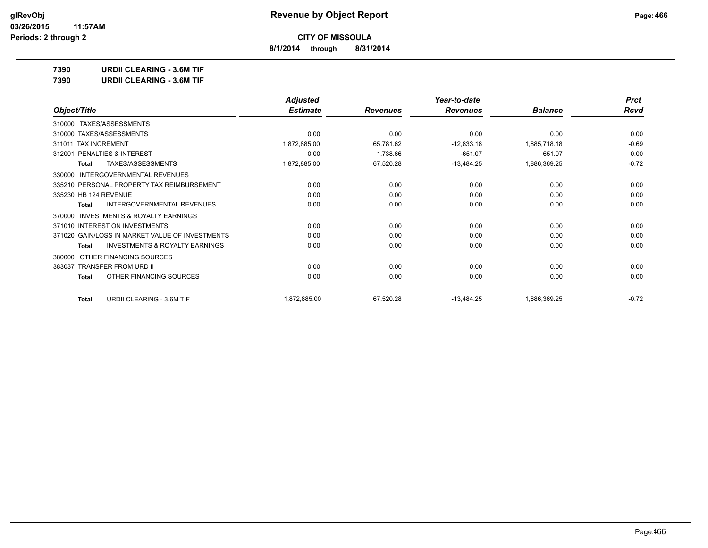**8/1/2014 through 8/31/2014**

**7390 URDII CLEARING - 3.6M TIF**

**7390 URDII CLEARING - 3.6M TIF**

|                                                           | <b>Adjusted</b> |                 | Year-to-date    |                | <b>Prct</b> |
|-----------------------------------------------------------|-----------------|-----------------|-----------------|----------------|-------------|
| Object/Title                                              | <b>Estimate</b> | <b>Revenues</b> | <b>Revenues</b> | <b>Balance</b> | <b>Rcvd</b> |
| TAXES/ASSESSMENTS<br>310000                               |                 |                 |                 |                |             |
| 310000 TAXES/ASSESSMENTS                                  | 0.00            | 0.00            | 0.00            | 0.00           | 0.00        |
| 311011 TAX INCREMENT                                      | 1,872,885.00    | 65,781.62       | $-12,833.18$    | 1,885,718.18   | $-0.69$     |
| PENALTIES & INTEREST<br>312001                            | 0.00            | 1,738.66        | $-651.07$       | 651.07         | 0.00        |
| <b>TAXES/ASSESSMENTS</b><br><b>Total</b>                  | 1,872,885.00    | 67,520.28       | $-13,484.25$    | 1,886,369.25   | $-0.72$     |
| <b>INTERGOVERNMENTAL REVENUES</b><br>330000               |                 |                 |                 |                |             |
| 335210 PERSONAL PROPERTY TAX REIMBURSEMENT                | 0.00            | 0.00            | 0.00            | 0.00           | 0.00        |
| 335230 HB 124 REVENUE                                     | 0.00            | 0.00            | 0.00            | 0.00           | 0.00        |
| <b>INTERGOVERNMENTAL REVENUES</b><br><b>Total</b>         | 0.00            | 0.00            | 0.00            | 0.00           | 0.00        |
| <b>INVESTMENTS &amp; ROYALTY EARNINGS</b><br>370000       |                 |                 |                 |                |             |
| 371010 INTEREST ON INVESTMENTS                            | 0.00            | 0.00            | 0.00            | 0.00           | 0.00        |
| 371020 GAIN/LOSS IN MARKET VALUE OF INVESTMENTS           | 0.00            | 0.00            | 0.00            | 0.00           | 0.00        |
| <b>INVESTMENTS &amp; ROYALTY EARNINGS</b><br><b>Total</b> | 0.00            | 0.00            | 0.00            | 0.00           | 0.00        |
| OTHER FINANCING SOURCES<br>380000                         |                 |                 |                 |                |             |
| TRANSFER FROM URD II<br>383037                            | 0.00            | 0.00            | 0.00            | 0.00           | 0.00        |
| OTHER FINANCING SOURCES<br><b>Total</b>                   | 0.00            | 0.00            | 0.00            | 0.00           | 0.00        |
| URDII CLEARING - 3.6M TIF<br><b>Total</b>                 | 1,872,885.00    | 67,520.28       | $-13,484.25$    | 1,886,369.25   | $-0.72$     |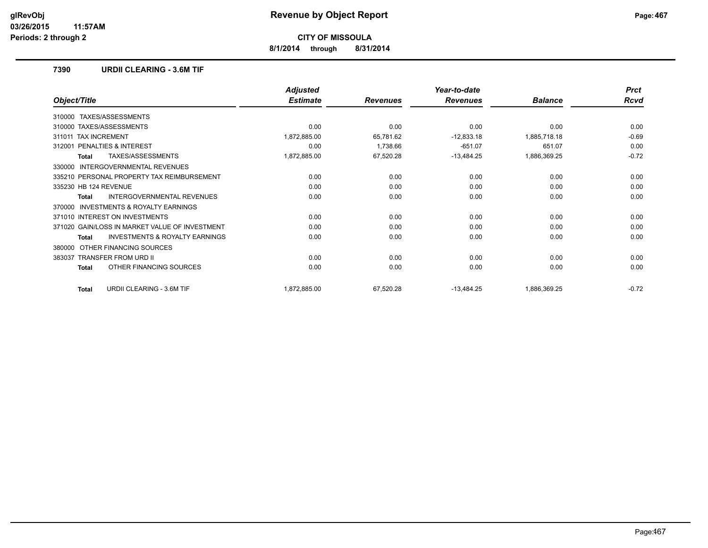**8/1/2014 through 8/31/2014**

## **7390 URDII CLEARING - 3.6M TIF**

|                                                    | <b>Adjusted</b> |                 | Year-to-date    |                | <b>Prct</b> |
|----------------------------------------------------|-----------------|-----------------|-----------------|----------------|-------------|
| Object/Title                                       | <b>Estimate</b> | <b>Revenues</b> | <b>Revenues</b> | <b>Balance</b> | <b>Rcvd</b> |
| TAXES/ASSESSMENTS<br>310000                        |                 |                 |                 |                |             |
| 310000 TAXES/ASSESSMENTS                           | 0.00            | 0.00            | 0.00            | 0.00           | 0.00        |
| <b>TAX INCREMENT</b><br>311011                     | 1,872,885.00    | 65,781.62       | $-12,833.18$    | 1,885,718.18   | $-0.69$     |
| PENALTIES & INTEREST<br>312001                     | 0.00            | 1,738.66        | $-651.07$       | 651.07         | 0.00        |
| TAXES/ASSESSMENTS<br>Total                         | 1,872,885.00    | 67,520.28       | $-13,484.25$    | 1,886,369.25   | $-0.72$     |
| INTERGOVERNMENTAL REVENUES<br>330000               |                 |                 |                 |                |             |
| 335210 PERSONAL PROPERTY TAX REIMBURSEMENT         | 0.00            | 0.00            | 0.00            | 0.00           | 0.00        |
| 335230 HB 124 REVENUE                              | 0.00            | 0.00            | 0.00            | 0.00           | 0.00        |
| <b>INTERGOVERNMENTAL REVENUES</b><br>Total         | 0.00            | 0.00            | 0.00            | 0.00           | 0.00        |
| INVESTMENTS & ROYALTY EARNINGS<br>370000           |                 |                 |                 |                |             |
| 371010 INTEREST ON INVESTMENTS                     | 0.00            | 0.00            | 0.00            | 0.00           | 0.00        |
| 371020 GAIN/LOSS IN MARKET VALUE OF INVESTMENT     | 0.00            | 0.00            | 0.00            | 0.00           | 0.00        |
| <b>INVESTMENTS &amp; ROYALTY EARNINGS</b><br>Total | 0.00            | 0.00            | 0.00            | 0.00           | 0.00        |
| OTHER FINANCING SOURCES<br>380000                  |                 |                 |                 |                |             |
| <b>TRANSFER FROM URD II</b><br>383037              | 0.00            | 0.00            | 0.00            | 0.00           | 0.00        |
| OTHER FINANCING SOURCES<br><b>Total</b>            | 0.00            | 0.00            | 0.00            | 0.00           | 0.00        |
| <b>URDII CLEARING - 3.6M TIF</b><br><b>Total</b>   | 1,872,885.00    | 67,520.28       | $-13,484.25$    | 1,886,369.25   | $-0.72$     |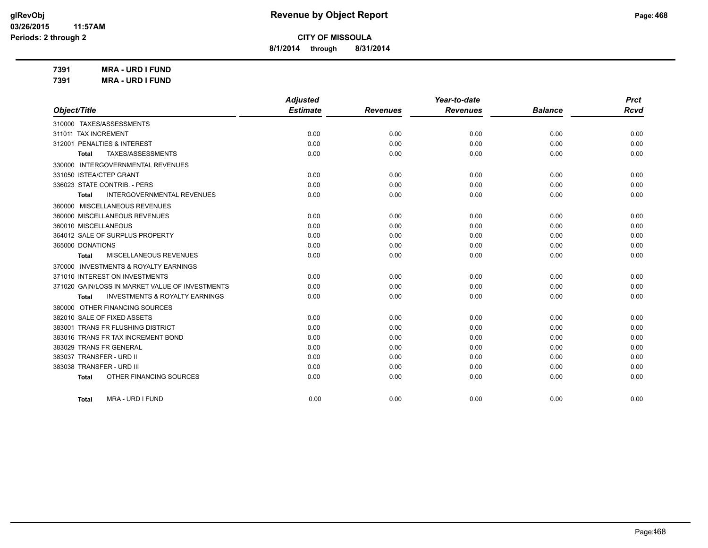**8/1/2014 through 8/31/2014**

**7391 MRA - URD I FUND 7391 MRA - URD I FUND**

|                                                           | <b>Adjusted</b> |                 | Year-to-date    |                | <b>Prct</b> |
|-----------------------------------------------------------|-----------------|-----------------|-----------------|----------------|-------------|
| Object/Title                                              | <b>Estimate</b> | <b>Revenues</b> | <b>Revenues</b> | <b>Balance</b> | <b>Rcvd</b> |
| 310000 TAXES/ASSESSMENTS                                  |                 |                 |                 |                |             |
| 311011 TAX INCREMENT                                      | 0.00            | 0.00            | 0.00            | 0.00           | 0.00        |
| 312001 PENALTIES & INTEREST                               | 0.00            | 0.00            | 0.00            | 0.00           | 0.00        |
| TAXES/ASSESSMENTS<br><b>Total</b>                         | 0.00            | 0.00            | 0.00            | 0.00           | 0.00        |
| 330000 INTERGOVERNMENTAL REVENUES                         |                 |                 |                 |                |             |
| 331050 ISTEA/CTEP GRANT                                   | 0.00            | 0.00            | 0.00            | 0.00           | 0.00        |
| 336023 STATE CONTRIB. - PERS                              | 0.00            | 0.00            | 0.00            | 0.00           | 0.00        |
| <b>INTERGOVERNMENTAL REVENUES</b><br><b>Total</b>         | 0.00            | 0.00            | 0.00            | 0.00           | 0.00        |
| 360000 MISCELLANEOUS REVENUES                             |                 |                 |                 |                |             |
| 360000 MISCELLANEOUS REVENUES                             | 0.00            | 0.00            | 0.00            | 0.00           | 0.00        |
| 360010 MISCELLANEOUS                                      | 0.00            | 0.00            | 0.00            | 0.00           | 0.00        |
| 364012 SALE OF SURPLUS PROPERTY                           | 0.00            | 0.00            | 0.00            | 0.00           | 0.00        |
| 365000 DONATIONS                                          | 0.00            | 0.00            | 0.00            | 0.00           | 0.00        |
| MISCELLANEOUS REVENUES<br>Total                           | 0.00            | 0.00            | 0.00            | 0.00           | 0.00        |
| 370000 INVESTMENTS & ROYALTY EARNINGS                     |                 |                 |                 |                |             |
| 371010 INTEREST ON INVESTMENTS                            | 0.00            | 0.00            | 0.00            | 0.00           | 0.00        |
| 371020 GAIN/LOSS IN MARKET VALUE OF INVESTMENTS           | 0.00            | 0.00            | 0.00            | 0.00           | 0.00        |
| <b>INVESTMENTS &amp; ROYALTY EARNINGS</b><br><b>Total</b> | 0.00            | 0.00            | 0.00            | 0.00           | 0.00        |
| 380000 OTHER FINANCING SOURCES                            |                 |                 |                 |                |             |
| 382010 SALE OF FIXED ASSETS                               | 0.00            | 0.00            | 0.00            | 0.00           | 0.00        |
| 383001 TRANS FR FLUSHING DISTRICT                         | 0.00            | 0.00            | 0.00            | 0.00           | 0.00        |
| 383016 TRANS FR TAX INCREMENT BOND                        | 0.00            | 0.00            | 0.00            | 0.00           | 0.00        |
| 383029 TRANS FR GENERAL                                   | 0.00            | 0.00            | 0.00            | 0.00           | 0.00        |
| 383037 TRANSFER - URD II                                  | 0.00            | 0.00            | 0.00            | 0.00           | 0.00        |
| 383038 TRANSFER - URD III                                 | 0.00            | 0.00            | 0.00            | 0.00           | 0.00        |
| OTHER FINANCING SOURCES<br><b>Total</b>                   | 0.00            | 0.00            | 0.00            | 0.00           | 0.00        |
| <b>MRA - URD I FUND</b><br>Total                          | 0.00            | 0.00            | 0.00            | 0.00           | 0.00        |
|                                                           |                 |                 |                 |                |             |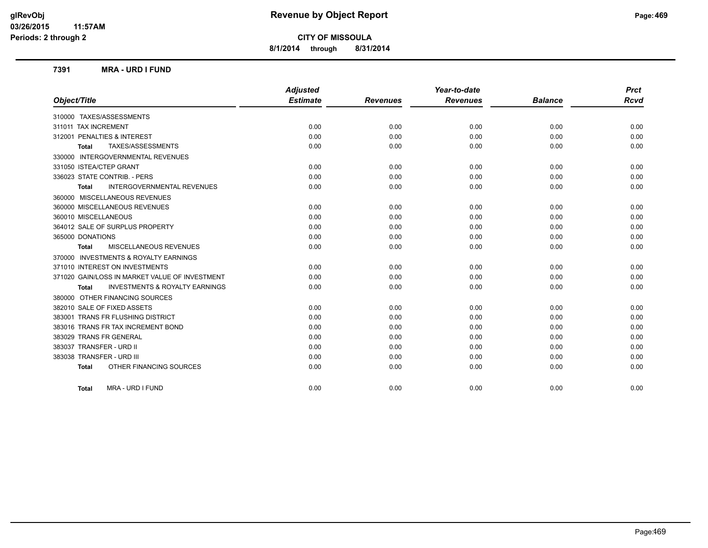**8/1/2014 through 8/31/2014**

#### **7391 MRA - URD I FUND**

|                                                    | <b>Adjusted</b> |                 | Year-to-date    |                | <b>Prct</b> |
|----------------------------------------------------|-----------------|-----------------|-----------------|----------------|-------------|
| Object/Title                                       | <b>Estimate</b> | <b>Revenues</b> | <b>Revenues</b> | <b>Balance</b> | <b>Rcvd</b> |
| 310000 TAXES/ASSESSMENTS                           |                 |                 |                 |                |             |
| 311011 TAX INCREMENT                               | 0.00            | 0.00            | 0.00            | 0.00           | 0.00        |
| 312001 PENALTIES & INTEREST                        | 0.00            | 0.00            | 0.00            | 0.00           | 0.00        |
| TAXES/ASSESSMENTS<br><b>Total</b>                  | 0.00            | 0.00            | 0.00            | 0.00           | 0.00        |
| 330000 INTERGOVERNMENTAL REVENUES                  |                 |                 |                 |                |             |
| 331050 ISTEA/CTEP GRANT                            | 0.00            | 0.00            | 0.00            | 0.00           | 0.00        |
| 336023 STATE CONTRIB. - PERS                       | 0.00            | 0.00            | 0.00            | 0.00           | 0.00        |
| <b>INTERGOVERNMENTAL REVENUES</b><br>Total         | 0.00            | 0.00            | 0.00            | 0.00           | 0.00        |
| 360000 MISCELLANEOUS REVENUES                      |                 |                 |                 |                |             |
| 360000 MISCELLANEOUS REVENUES                      | 0.00            | 0.00            | 0.00            | 0.00           | 0.00        |
| 360010 MISCELLANEOUS                               | 0.00            | 0.00            | 0.00            | 0.00           | 0.00        |
| 364012 SALE OF SURPLUS PROPERTY                    | 0.00            | 0.00            | 0.00            | 0.00           | 0.00        |
| 365000 DONATIONS                                   | 0.00            | 0.00            | 0.00            | 0.00           | 0.00        |
| MISCELLANEOUS REVENUES<br><b>Total</b>             | 0.00            | 0.00            | 0.00            | 0.00           | 0.00        |
| 370000 INVESTMENTS & ROYALTY EARNINGS              |                 |                 |                 |                |             |
| 371010 INTEREST ON INVESTMENTS                     | 0.00            | 0.00            | 0.00            | 0.00           | 0.00        |
| 371020 GAIN/LOSS IN MARKET VALUE OF INVESTMENT     | 0.00            | 0.00            | 0.00            | 0.00           | 0.00        |
| <b>INVESTMENTS &amp; ROYALTY EARNINGS</b><br>Total | 0.00            | 0.00            | 0.00            | 0.00           | 0.00        |
| 380000 OTHER FINANCING SOURCES                     |                 |                 |                 |                |             |
| 382010 SALE OF FIXED ASSETS                        | 0.00            | 0.00            | 0.00            | 0.00           | 0.00        |
| 383001 TRANS FR FLUSHING DISTRICT                  | 0.00            | 0.00            | 0.00            | 0.00           | 0.00        |
| 383016 TRANS FR TAX INCREMENT BOND                 | 0.00            | 0.00            | 0.00            | 0.00           | 0.00        |
| 383029 TRANS FR GENERAL                            | 0.00            | 0.00            | 0.00            | 0.00           | 0.00        |
| 383037 TRANSFER - URD II                           | 0.00            | 0.00            | 0.00            | 0.00           | 0.00        |
| 383038 TRANSFER - URD III                          | 0.00            | 0.00            | 0.00            | 0.00           | 0.00        |
| OTHER FINANCING SOURCES<br><b>Total</b>            | 0.00            | 0.00            | 0.00            | 0.00           | 0.00        |
| MRA - URD I FUND<br><b>Total</b>                   | 0.00            | 0.00            | 0.00            | 0.00           | 0.00        |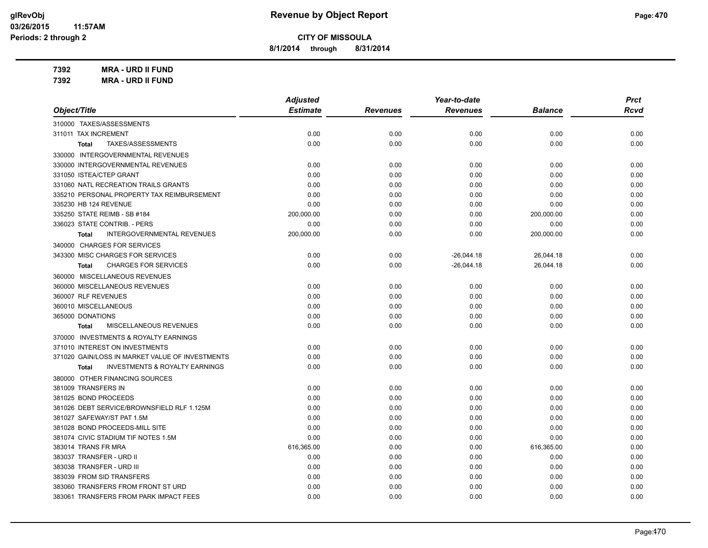**8/1/2014 through 8/31/2014**

**7392 MRA - URD II FUND 7392 MRA - URD II FUND**

|                                                    | <b>Adjusted</b> |                 | Year-to-date    |                | <b>Prct</b> |
|----------------------------------------------------|-----------------|-----------------|-----------------|----------------|-------------|
| Object/Title                                       | <b>Estimate</b> | <b>Revenues</b> | <b>Revenues</b> | <b>Balance</b> | Rcvd        |
| 310000 TAXES/ASSESSMENTS                           |                 |                 |                 |                |             |
| 311011 TAX INCREMENT                               | 0.00            | 0.00            | 0.00            | 0.00           | 0.00        |
| TAXES/ASSESSMENTS<br>Total                         | 0.00            | 0.00            | 0.00            | 0.00           | 0.00        |
| 330000 INTERGOVERNMENTAL REVENUES                  |                 |                 |                 |                |             |
| 330000 INTERGOVERNMENTAL REVENUES                  | 0.00            | 0.00            | 0.00            | 0.00           | 0.00        |
| 331050 ISTEA/CTEP GRANT                            | 0.00            | 0.00            | 0.00            | 0.00           | 0.00        |
| 331060 NATL RECREATION TRAILS GRANTS               | 0.00            | 0.00            | 0.00            | 0.00           | 0.00        |
| 335210 PERSONAL PROPERTY TAX REIMBURSEMENT         | 0.00            | 0.00            | 0.00            | 0.00           | 0.00        |
| 335230 HB 124 REVENUE                              | 0.00            | 0.00            | 0.00            | 0.00           | 0.00        |
| 335250 STATE REIMB - SB #184                       | 200,000.00      | 0.00            | 0.00            | 200,000.00     | 0.00        |
| 336023 STATE CONTRIB. - PERS                       | 0.00            | 0.00            | 0.00            | 0.00           | 0.00        |
| <b>INTERGOVERNMENTAL REVENUES</b><br><b>Total</b>  | 200,000.00      | 0.00            | 0.00            | 200,000.00     | 0.00        |
| 340000 CHARGES FOR SERVICES                        |                 |                 |                 |                |             |
| 343300 MISC CHARGES FOR SERVICES                   | 0.00            | 0.00            | $-26,044.18$    | 26,044.18      | 0.00        |
| <b>CHARGES FOR SERVICES</b><br><b>Total</b>        | 0.00            | 0.00            | $-26,044.18$    | 26,044.18      | 0.00        |
| 360000 MISCELLANEOUS REVENUES                      |                 |                 |                 |                |             |
| 360000 MISCELLANEOUS REVENUES                      | 0.00            | 0.00            | 0.00            | 0.00           | 0.00        |
| 360007 RLF REVENUES                                | 0.00            | 0.00            | 0.00            | 0.00           | 0.00        |
| 360010 MISCELLANEOUS                               | 0.00            | 0.00            | 0.00            | 0.00           | 0.00        |
| 365000 DONATIONS                                   | 0.00            | 0.00            | 0.00            | 0.00           | 0.00        |
| MISCELLANEOUS REVENUES<br>Total                    | 0.00            | 0.00            | 0.00            | 0.00           | 0.00        |
| 370000 INVESTMENTS & ROYALTY EARNINGS              |                 |                 |                 |                |             |
| 371010 INTEREST ON INVESTMENTS                     | 0.00            | 0.00            | 0.00            | 0.00           | 0.00        |
| 371020 GAIN/LOSS IN MARKET VALUE OF INVESTMENTS    | 0.00            | 0.00            | 0.00            | 0.00           | 0.00        |
| <b>INVESTMENTS &amp; ROYALTY EARNINGS</b><br>Total | 0.00            | 0.00            | 0.00            | 0.00           | 0.00        |
| 380000 OTHER FINANCING SOURCES                     |                 |                 |                 |                |             |
| 381009 TRANSFERS IN                                | 0.00            | 0.00            | 0.00            | 0.00           | 0.00        |
| 381025 BOND PROCEEDS                               | 0.00            | 0.00            | 0.00            | 0.00           | 0.00        |
| 381026 DEBT SERVICE/BROWNSFIELD RLF 1.125M         | 0.00            | 0.00            | 0.00            | 0.00           | 0.00        |
| 381027 SAFEWAY/ST PAT 1.5M                         | 0.00            | 0.00            | 0.00            | 0.00           | 0.00        |
| 381028 BOND PROCEEDS-MILL SITE                     | 0.00            | 0.00            | 0.00            | 0.00           | 0.00        |
| 381074 CIVIC STADIUM TIF NOTES 1.5M                | 0.00            | 0.00            | 0.00            | 0.00           | 0.00        |
| 383014 TRANS FR MRA                                | 616,365.00      | 0.00            | 0.00            | 616,365.00     | 0.00        |
| 383037 TRANSFER - URD II                           | 0.00            | 0.00            | 0.00            | 0.00           | 0.00        |
| 383038 TRANSFER - URD III                          | 0.00            | 0.00            | 0.00            | 0.00           | 0.00        |
| 383039 FROM SID TRANSFERS                          | 0.00            | 0.00            | 0.00            | 0.00           | 0.00        |

383060 TRANSFERS FROM FRONT ST URD 0.00 0.00 0.00 0.00 0.00 383061 TRANSFERS FROM PARK IMPACT FEES 0.00 0.00 0.00 0.00 0.00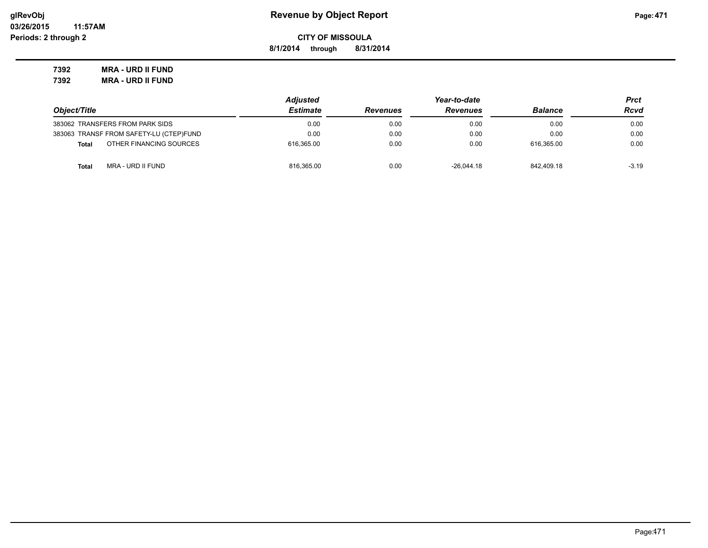**8/1/2014 through 8/31/2014**

**7392 MRA - URD II FUND 7392 MRA - URD II FUND**

|                                         | <b>Adjusted</b> |                 | Prct            |                |         |
|-----------------------------------------|-----------------|-----------------|-----------------|----------------|---------|
| Object/Title                            | <b>Estimate</b> | <b>Revenues</b> | <b>Revenues</b> | <b>Balance</b> | Rcvd    |
| 383062 TRANSFERS FROM PARK SIDS         | 0.00            | 0.00            | 0.00            | 0.00           | 0.00    |
| 383063 TRANSF FROM SAFETY-LU (CTEP)FUND | 0.00            | 0.00            | 0.00            | 0.00           | 0.00    |
| OTHER FINANCING SOURCES<br><b>Total</b> | 616.365.00      | 0.00            | 0.00            | 616.365.00     | 0.00    |
| MRA - URD II FUND<br>Total              | 816,365.00      | 0.00            | $-26.044.18$    | 842.409.18     | $-3.19$ |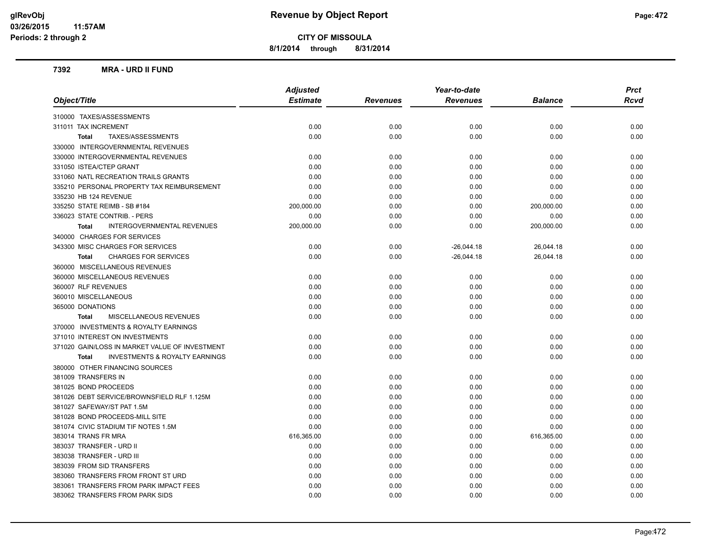**8/1/2014 through 8/31/2014**

#### **7392 MRA - URD II FUND**

|                                                           | <b>Adjusted</b> |                 | Year-to-date    |                | <b>Prct</b> |
|-----------------------------------------------------------|-----------------|-----------------|-----------------|----------------|-------------|
| Object/Title                                              | <b>Estimate</b> | <b>Revenues</b> | <b>Revenues</b> | <b>Balance</b> | <b>Rcvd</b> |
| 310000 TAXES/ASSESSMENTS                                  |                 |                 |                 |                |             |
| 311011 TAX INCREMENT                                      | 0.00            | 0.00            | 0.00            | 0.00           | 0.00        |
| TAXES/ASSESSMENTS<br><b>Total</b>                         | 0.00            | 0.00            | 0.00            | 0.00           | 0.00        |
| 330000 INTERGOVERNMENTAL REVENUES                         |                 |                 |                 |                |             |
| 330000 INTERGOVERNMENTAL REVENUES                         | 0.00            | 0.00            | 0.00            | 0.00           | 0.00        |
| 331050 ISTEA/CTEP GRANT                                   | 0.00            | 0.00            | 0.00            | 0.00           | 0.00        |
| 331060 NATL RECREATION TRAILS GRANTS                      | 0.00            | 0.00            | 0.00            | 0.00           | 0.00        |
| 335210 PERSONAL PROPERTY TAX REIMBURSEMENT                | 0.00            | 0.00            | 0.00            | 0.00           | 0.00        |
| 335230 HB 124 REVENUE                                     | 0.00            | 0.00            | 0.00            | 0.00           | 0.00        |
| 335250 STATE REIMB - SB #184                              | 200,000.00      | 0.00            | 0.00            | 200,000.00     | 0.00        |
| 336023 STATE CONTRIB. - PERS                              | 0.00            | 0.00            | 0.00            | 0.00           | 0.00        |
| INTERGOVERNMENTAL REVENUES<br><b>Total</b>                | 200,000.00      | 0.00            | 0.00            | 200,000.00     | 0.00        |
| 340000 CHARGES FOR SERVICES                               |                 |                 |                 |                |             |
| 343300 MISC CHARGES FOR SERVICES                          | 0.00            | 0.00            | $-26,044.18$    | 26,044.18      | 0.00        |
| <b>CHARGES FOR SERVICES</b><br><b>Total</b>               | 0.00            | 0.00            | $-26,044.18$    | 26,044.18      | 0.00        |
| 360000 MISCELLANEOUS REVENUES                             |                 |                 |                 |                |             |
| 360000 MISCELLANEOUS REVENUES                             | 0.00            | 0.00            | 0.00            | 0.00           | 0.00        |
| 360007 RLF REVENUES                                       | 0.00            | 0.00            | 0.00            | 0.00           | 0.00        |
| 360010 MISCELLANEOUS                                      | 0.00            | 0.00            | 0.00            | 0.00           | 0.00        |
| 365000 DONATIONS                                          | 0.00            | 0.00            | 0.00            | 0.00           | 0.00        |
| MISCELLANEOUS REVENUES<br><b>Total</b>                    | 0.00            | 0.00            | 0.00            | 0.00           | 0.00        |
| 370000 INVESTMENTS & ROYALTY EARNINGS                     |                 |                 |                 |                |             |
| 371010 INTEREST ON INVESTMENTS                            | 0.00            | 0.00            | 0.00            | 0.00           | 0.00        |
| 371020 GAIN/LOSS IN MARKET VALUE OF INVESTMENT            | 0.00            | 0.00            | 0.00            | 0.00           | 0.00        |
| <b>INVESTMENTS &amp; ROYALTY EARNINGS</b><br><b>Total</b> | 0.00            | 0.00            | 0.00            | 0.00           | 0.00        |
| 380000 OTHER FINANCING SOURCES                            |                 |                 |                 |                |             |
| 381009 TRANSFERS IN                                       | 0.00            | 0.00            | 0.00            | 0.00           | 0.00        |
| 381025 BOND PROCEEDS                                      | 0.00            | 0.00            | 0.00            | 0.00           | 0.00        |
| 381026 DEBT SERVICE/BROWNSFIELD RLF 1.125M                | 0.00            | 0.00            | 0.00            | 0.00           | 0.00        |
| 381027 SAFEWAY/ST PAT 1.5M                                | 0.00            | 0.00            | 0.00            | 0.00           | 0.00        |
| 381028 BOND PROCEEDS-MILL SITE                            | 0.00            | 0.00            | 0.00            | 0.00           | 0.00        |
| 381074 CIVIC STADIUM TIF NOTES 1.5M                       | 0.00            | 0.00            | 0.00            | 0.00           | 0.00        |
| 383014 TRANS FR MRA                                       | 616,365.00      | 0.00            | 0.00            | 616,365.00     | 0.00        |
| 383037 TRANSFER - URD II                                  | 0.00            | 0.00            | 0.00            | 0.00           | 0.00        |
| 383038 TRANSFER - URD III                                 | 0.00            | 0.00            | 0.00            | 0.00           | 0.00        |
| 383039 FROM SID TRANSFERS                                 | 0.00            | 0.00            | 0.00            | 0.00           | 0.00        |
| 383060 TRANSFERS FROM FRONT ST URD                        | 0.00            | 0.00            | 0.00            | 0.00           | 0.00        |
| 383061 TRANSFERS FROM PARK IMPACT FEES                    | 0.00            | 0.00            | 0.00            | 0.00           | 0.00        |
| 383062 TRANSFERS FROM PARK SIDS                           | 0.00            | 0.00            | 0.00            | 0.00           | 0.00        |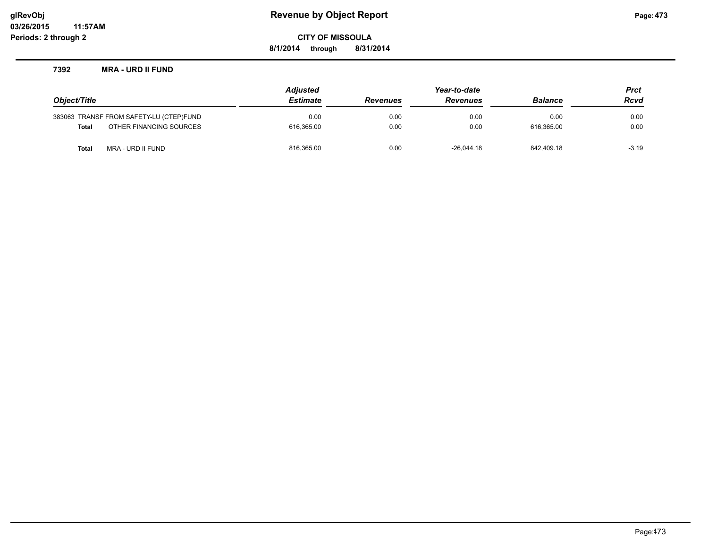**8/1/2014 through 8/31/2014**

#### **7392 MRA - URD II FUND**

|              |                                         | <b>Adjusted</b> |                 | Year-to-date    |                | <b>Prct</b> |
|--------------|-----------------------------------------|-----------------|-----------------|-----------------|----------------|-------------|
| Object/Title |                                         | <b>Estimate</b> | <b>Revenues</b> | <b>Revenues</b> | <b>Balance</b> | <b>Rcvd</b> |
|              | 383063 TRANSF FROM SAFETY-LU (CTEP)FUND | 0.00            | 0.00            | 0.00            | 0.00           | 0.00        |
| Total        | OTHER FINANCING SOURCES                 | 616.365.00      | 0.00            | 0.00            | 616.365.00     | 0.00        |
| Total        | MRA - URD II FUND                       | 816,365.00      | 0.00            | $-26.044.18$    | 842.409.18     | $-3.19$     |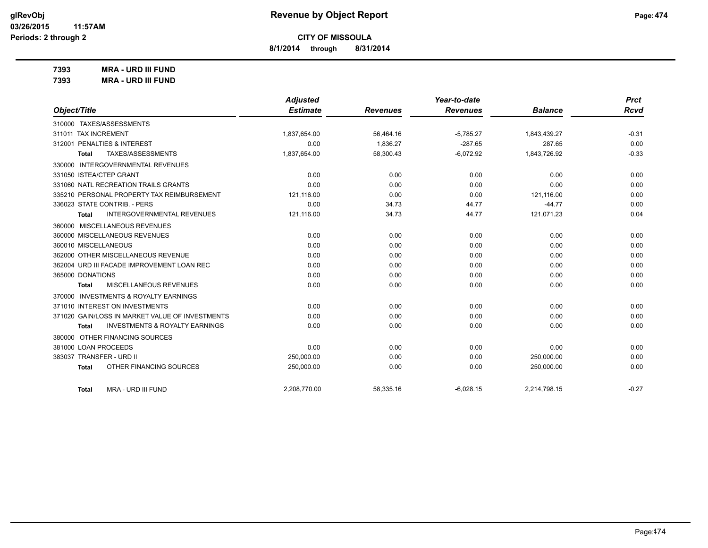**8/1/2014 through 8/31/2014**

**7393 MRA - URD III FUND**

|  | 7393 | <b>MRA - URD III FUND</b> |
|--|------|---------------------------|
|--|------|---------------------------|

|                                                    | <b>Adjusted</b> |                 | Year-to-date    |                | <b>Prct</b> |
|----------------------------------------------------|-----------------|-----------------|-----------------|----------------|-------------|
| Object/Title                                       | <b>Estimate</b> | <b>Revenues</b> | <b>Revenues</b> | <b>Balance</b> | Rcvd        |
| 310000 TAXES/ASSESSMENTS                           |                 |                 |                 |                |             |
| 311011 TAX INCREMENT                               | 1,837,654.00    | 56,464.16       | $-5,785.27$     | 1,843,439.27   | $-0.31$     |
| 312001 PENALTIES & INTEREST                        | 0.00            | 1,836.27        | $-287.65$       | 287.65         | 0.00        |
| TAXES/ASSESSMENTS<br><b>Total</b>                  | 1,837,654.00    | 58,300.43       | $-6,072.92$     | 1,843,726.92   | $-0.33$     |
| 330000 INTERGOVERNMENTAL REVENUES                  |                 |                 |                 |                |             |
| 331050 ISTEA/CTEP GRANT                            | 0.00            | 0.00            | 0.00            | 0.00           | 0.00        |
| 331060 NATL RECREATION TRAILS GRANTS               | 0.00            | 0.00            | 0.00            | 0.00           | 0.00        |
| 335210 PERSONAL PROPERTY TAX REIMBURSEMENT         | 121,116.00      | 0.00            | 0.00            | 121,116.00     | 0.00        |
| 336023 STATE CONTRIB. - PERS                       | 0.00            | 34.73           | 44.77           | $-44.77$       | 0.00        |
| <b>INTERGOVERNMENTAL REVENUES</b><br><b>Total</b>  | 121,116.00      | 34.73           | 44.77           | 121,071.23     | 0.04        |
| 360000 MISCELLANEOUS REVENUES                      |                 |                 |                 |                |             |
| 360000 MISCELLANEOUS REVENUES                      | 0.00            | 0.00            | 0.00            | 0.00           | 0.00        |
| 360010 MISCELLANEOUS                               | 0.00            | 0.00            | 0.00            | 0.00           | 0.00        |
| 362000 OTHER MISCELLANEOUS REVENUE                 | 0.00            | 0.00            | 0.00            | 0.00           | 0.00        |
| 362004 URD III FACADE IMPROVEMENT LOAN REC         | 0.00            | 0.00            | 0.00            | 0.00           | 0.00        |
| 365000 DONATIONS                                   | 0.00            | 0.00            | 0.00            | 0.00           | 0.00        |
| MISCELLANEOUS REVENUES<br><b>Total</b>             | 0.00            | 0.00            | 0.00            | 0.00           | 0.00        |
| 370000 INVESTMENTS & ROYALTY EARNINGS              |                 |                 |                 |                |             |
| 371010 INTEREST ON INVESTMENTS                     | 0.00            | 0.00            | 0.00            | 0.00           | 0.00        |
| 371020 GAIN/LOSS IN MARKET VALUE OF INVESTMENTS    | 0.00            | 0.00            | 0.00            | 0.00           | 0.00        |
| <b>INVESTMENTS &amp; ROYALTY EARNINGS</b><br>Total | 0.00            | 0.00            | 0.00            | 0.00           | 0.00        |
| OTHER FINANCING SOURCES<br>380000                  |                 |                 |                 |                |             |
| 381000 LOAN PROCEEDS                               | 0.00            | 0.00            | 0.00            | 0.00           | 0.00        |
| 383037 TRANSFER - URD II                           | 250,000.00      | 0.00            | 0.00            | 250,000.00     | 0.00        |
| OTHER FINANCING SOURCES<br><b>Total</b>            | 250,000.00      | 0.00            | 0.00            | 250,000.00     | 0.00        |
| MRA - URD III FUND<br><b>Total</b>                 | 2,208,770.00    | 58,335.16       | $-6,028.15$     | 2,214,798.15   | $-0.27$     |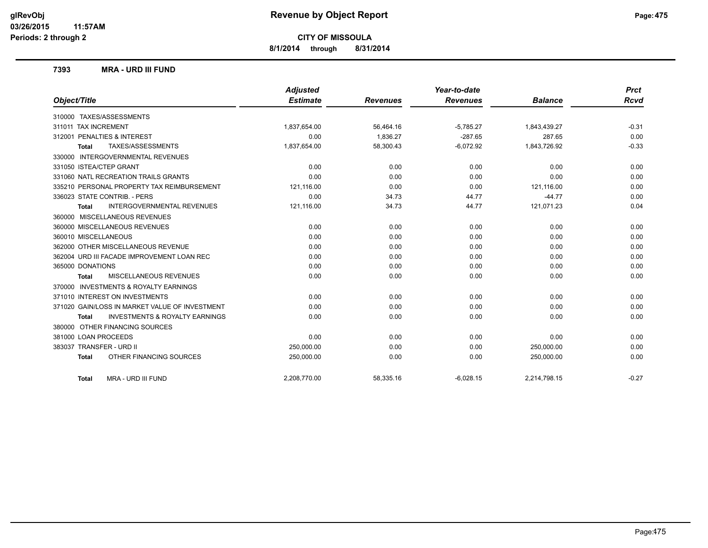**8/1/2014 through 8/31/2014**

#### **7393 MRA - URD III FUND**

| Object/Title                                              | <b>Adjusted</b><br><b>Estimate</b> | <b>Revenues</b> | Year-to-date<br><b>Revenues</b> | <b>Balance</b> | <b>Prct</b><br><b>Rcvd</b> |
|-----------------------------------------------------------|------------------------------------|-----------------|---------------------------------|----------------|----------------------------|
|                                                           |                                    |                 |                                 |                |                            |
| 310000 TAXES/ASSESSMENTS                                  |                                    |                 |                                 |                |                            |
| 311011 TAX INCREMENT                                      | 1,837,654.00                       | 56,464.16       | $-5,785.27$                     | 1,843,439.27   | $-0.31$                    |
| 312001 PENALTIES & INTEREST                               | 0.00                               | 1,836.27        | $-287.65$                       | 287.65         | 0.00                       |
| TAXES/ASSESSMENTS<br><b>Total</b>                         | 1,837,654.00                       | 58,300.43       | $-6,072.92$                     | 1,843,726.92   | $-0.33$                    |
| <b>INTERGOVERNMENTAL REVENUES</b><br>330000               |                                    |                 |                                 |                |                            |
| 331050 ISTEA/CTEP GRANT                                   | 0.00                               | 0.00            | 0.00                            | 0.00           | 0.00                       |
| 331060 NATL RECREATION TRAILS GRANTS                      | 0.00                               | 0.00            | 0.00                            | 0.00           | 0.00                       |
| 335210 PERSONAL PROPERTY TAX REIMBURSEMENT                | 121,116.00                         | 0.00            | 0.00                            | 121,116.00     | 0.00                       |
| 336023 STATE CONTRIB. - PERS                              | 0.00                               | 34.73           | 44.77                           | $-44.77$       | 0.00                       |
| <b>INTERGOVERNMENTAL REVENUES</b><br><b>Total</b>         | 121,116.00                         | 34.73           | 44.77                           | 121,071.23     | 0.04                       |
| 360000 MISCELLANEOUS REVENUES                             |                                    |                 |                                 |                |                            |
| 360000 MISCELLANEOUS REVENUES                             | 0.00                               | 0.00            | 0.00                            | 0.00           | 0.00                       |
| 360010 MISCELLANEOUS                                      | 0.00                               | 0.00            | 0.00                            | 0.00           | 0.00                       |
| 362000 OTHER MISCELLANEOUS REVENUE                        | 0.00                               | 0.00            | 0.00                            | 0.00           | 0.00                       |
| 362004 URD III FACADE IMPROVEMENT LOAN REC                | 0.00                               | 0.00            | 0.00                            | 0.00           | 0.00                       |
| 365000 DONATIONS                                          | 0.00                               | 0.00            | 0.00                            | 0.00           | 0.00                       |
| MISCELLANEOUS REVENUES<br><b>Total</b>                    | 0.00                               | 0.00            | 0.00                            | 0.00           | 0.00                       |
| <b>INVESTMENTS &amp; ROYALTY EARNINGS</b><br>370000       |                                    |                 |                                 |                |                            |
| 371010 INTEREST ON INVESTMENTS                            | 0.00                               | 0.00            | 0.00                            | 0.00           | 0.00                       |
| 371020 GAIN/LOSS IN MARKET VALUE OF INVESTMENT            | 0.00                               | 0.00            | 0.00                            | 0.00           | 0.00                       |
| <b>INVESTMENTS &amp; ROYALTY EARNINGS</b><br><b>Total</b> | 0.00                               | 0.00            | 0.00                            | 0.00           | 0.00                       |
| 380000 OTHER FINANCING SOURCES                            |                                    |                 |                                 |                |                            |
| 381000 LOAN PROCEEDS                                      | 0.00                               | 0.00            | 0.00                            | 0.00           | 0.00                       |
| 383037 TRANSFER - URD II                                  | 250,000.00                         | 0.00            | 0.00                            | 250,000.00     | 0.00                       |
| OTHER FINANCING SOURCES<br><b>Total</b>                   | 250,000.00                         | 0.00            | 0.00                            | 250,000.00     | 0.00                       |
| MRA - URD III FUND<br><b>Total</b>                        | 2,208,770.00                       | 58,335.16       | $-6,028.15$                     | 2,214,798.15   | $-0.27$                    |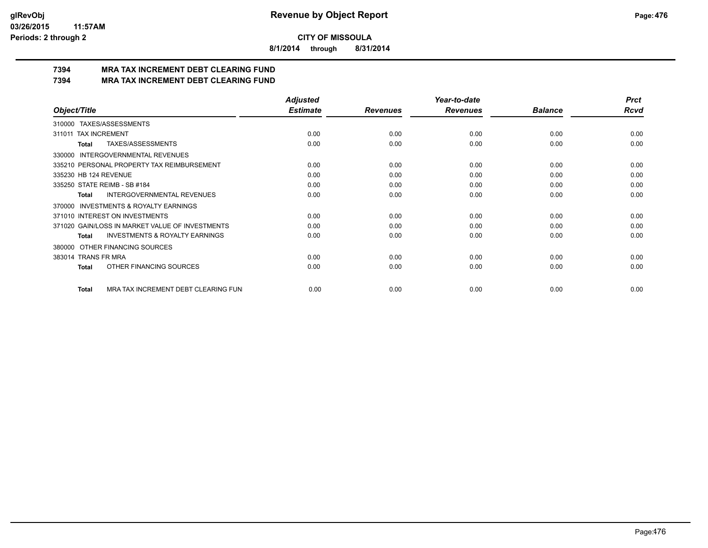**8/1/2014 through 8/31/2014**

# **7394 MRA TAX INCREMENT DEBT CLEARING FUND**

**7394 MRA TAX INCREMENT DEBT CLEARING FUND**

|                                                     | <b>Adjusted</b> |                 | Year-to-date    |                | <b>Prct</b> |
|-----------------------------------------------------|-----------------|-----------------|-----------------|----------------|-------------|
| Object/Title                                        | <b>Estimate</b> | <b>Revenues</b> | <b>Revenues</b> | <b>Balance</b> | <b>Rcvd</b> |
| 310000 TAXES/ASSESSMENTS                            |                 |                 |                 |                |             |
| <b>TAX INCREMENT</b><br>311011                      | 0.00            | 0.00            | 0.00            | 0.00           | 0.00        |
| TAXES/ASSESSMENTS<br>Total                          | 0.00            | 0.00            | 0.00            | 0.00           | 0.00        |
| <b>INTERGOVERNMENTAL REVENUES</b><br>330000         |                 |                 |                 |                |             |
| 335210 PERSONAL PROPERTY TAX REIMBURSEMENT          | 0.00            | 0.00            | 0.00            | 0.00           | 0.00        |
| 335230 HB 124 REVENUE                               | 0.00            | 0.00            | 0.00            | 0.00           | 0.00        |
| 335250 STATE REIMB - SB #184                        | 0.00            | 0.00            | 0.00            | 0.00           | 0.00        |
| INTERGOVERNMENTAL REVENUES<br>Total                 | 0.00            | 0.00            | 0.00            | 0.00           | 0.00        |
| <b>INVESTMENTS &amp; ROYALTY EARNINGS</b><br>370000 |                 |                 |                 |                |             |
| 371010 INTEREST ON INVESTMENTS                      | 0.00            | 0.00            | 0.00            | 0.00           | 0.00        |
| 371020 GAIN/LOSS IN MARKET VALUE OF INVESTMENTS     | 0.00            | 0.00            | 0.00            | 0.00           | 0.00        |
| <b>INVESTMENTS &amp; ROYALTY EARNINGS</b><br>Total  | 0.00            | 0.00            | 0.00            | 0.00           | 0.00        |
| OTHER FINANCING SOURCES<br>380000                   |                 |                 |                 |                |             |
| 383014 TRANS FR MRA                                 | 0.00            | 0.00            | 0.00            | 0.00           | 0.00        |
| OTHER FINANCING SOURCES<br>Total                    | 0.00            | 0.00            | 0.00            | 0.00           | 0.00        |
| MRA TAX INCREMENT DEBT CLEARING FUN<br>Total        | 0.00            | 0.00            | 0.00            | 0.00           | 0.00        |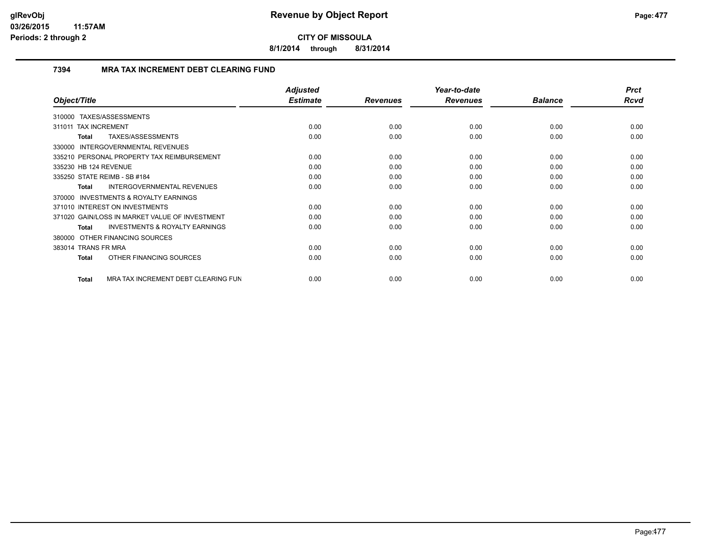**8/1/2014 through 8/31/2014**

#### **7394 MRA TAX INCREMENT DEBT CLEARING FUND**

|                                                     | <b>Adjusted</b> |                 | Year-to-date    |                | <b>Prct</b> |
|-----------------------------------------------------|-----------------|-----------------|-----------------|----------------|-------------|
| Object/Title                                        | <b>Estimate</b> | <b>Revenues</b> | <b>Revenues</b> | <b>Balance</b> | Rcvd        |
| TAXES/ASSESSMENTS<br>310000                         |                 |                 |                 |                |             |
| 311011 TAX INCREMENT                                | 0.00            | 0.00            | 0.00            | 0.00           | 0.00        |
| TAXES/ASSESSMENTS<br><b>Total</b>                   | 0.00            | 0.00            | 0.00            | 0.00           | 0.00        |
| 330000 INTERGOVERNMENTAL REVENUES                   |                 |                 |                 |                |             |
| 335210 PERSONAL PROPERTY TAX REIMBURSEMENT          | 0.00            | 0.00            | 0.00            | 0.00           | 0.00        |
| 335230 HB 124 REVENUE                               | 0.00            | 0.00            | 0.00            | 0.00           | 0.00        |
| 335250 STATE REIMB - SB #184                        | 0.00            | 0.00            | 0.00            | 0.00           | 0.00        |
| <b>INTERGOVERNMENTAL REVENUES</b><br><b>Total</b>   | 0.00            | 0.00            | 0.00            | 0.00           | 0.00        |
| <b>INVESTMENTS &amp; ROYALTY EARNINGS</b><br>370000 |                 |                 |                 |                |             |
| 371010 INTEREST ON INVESTMENTS                      | 0.00            | 0.00            | 0.00            | 0.00           | 0.00        |
| 371020 GAIN/LOSS IN MARKET VALUE OF INVESTMENT      | 0.00            | 0.00            | 0.00            | 0.00           | 0.00        |
| <b>INVESTMENTS &amp; ROYALTY EARNINGS</b><br>Total  | 0.00            | 0.00            | 0.00            | 0.00           | 0.00        |
| 380000 OTHER FINANCING SOURCES                      |                 |                 |                 |                |             |
| 383014 TRANS FR MRA                                 | 0.00            | 0.00            | 0.00            | 0.00           | 0.00        |
| OTHER FINANCING SOURCES<br><b>Total</b>             | 0.00            | 0.00            | 0.00            | 0.00           | 0.00        |
| MRA TAX INCREMENT DEBT CLEARING FUN<br><b>Total</b> | 0.00            | 0.00            | 0.00            | 0.00           | 0.00        |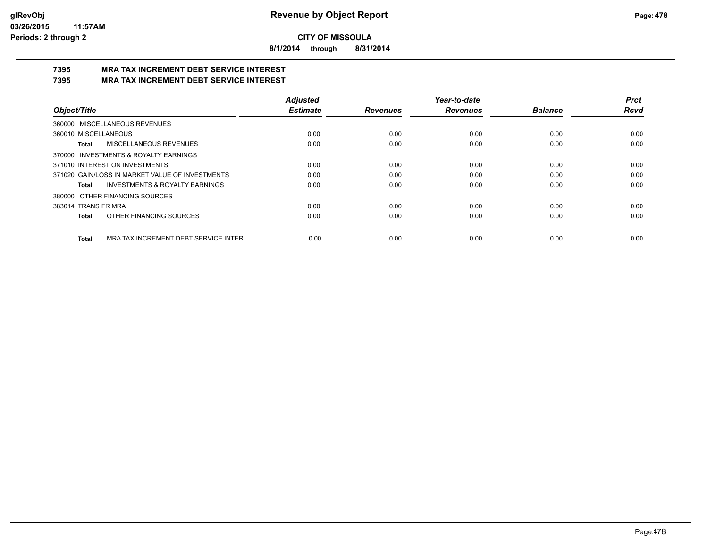**8/1/2014 through 8/31/2014**

#### **7395 MRA TAX INCREMENT DEBT SERVICE INTEREST 7395 MRA TAX INCREMENT DEBT SERVICE INTEREST**

|                                                      | <b>Adjusted</b> |                 | Year-to-date    |                | Prct        |
|------------------------------------------------------|-----------------|-----------------|-----------------|----------------|-------------|
| Object/Title                                         | <b>Estimate</b> | <b>Revenues</b> | <b>Revenues</b> | <b>Balance</b> | <b>Rcvd</b> |
| 360000 MISCELLANEOUS REVENUES                        |                 |                 |                 |                |             |
| 360010 MISCELLANEOUS                                 | 0.00            | 0.00            | 0.00            | 0.00           | 0.00        |
| MISCELLANEOUS REVENUES<br>Total                      | 0.00            | 0.00            | 0.00            | 0.00           | 0.00        |
| 370000 INVESTMENTS & ROYALTY EARNINGS                |                 |                 |                 |                |             |
| 371010 INTEREST ON INVESTMENTS                       | 0.00            | 0.00            | 0.00            | 0.00           | 0.00        |
| 371020 GAIN/LOSS IN MARKET VALUE OF INVESTMENTS      | 0.00            | 0.00            | 0.00            | 0.00           | 0.00        |
| <b>INVESTMENTS &amp; ROYALTY EARNINGS</b><br>Total   | 0.00            | 0.00            | 0.00            | 0.00           | 0.00        |
| OTHER FINANCING SOURCES<br>380000                    |                 |                 |                 |                |             |
| 383014 TRANS FR MRA                                  | 0.00            | 0.00            | 0.00            | 0.00           | 0.00        |
| OTHER FINANCING SOURCES<br><b>Total</b>              | 0.00            | 0.00            | 0.00            | 0.00           | 0.00        |
| MRA TAX INCREMENT DEBT SERVICE INTER<br><b>Total</b> | 0.00            | 0.00            | 0.00            | 0.00           | 0.00        |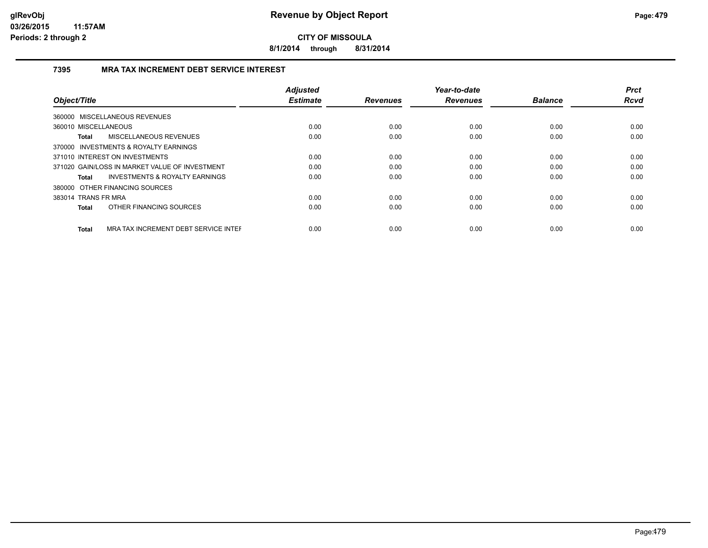**8/1/2014 through 8/31/2014**

#### **7395 MRA TAX INCREMENT DEBT SERVICE INTEREST**

|                                                      | <b>Adjusted</b> |                 | Year-to-date    |                | <b>Prct</b> |
|------------------------------------------------------|-----------------|-----------------|-----------------|----------------|-------------|
| Object/Title                                         | <b>Estimate</b> | <b>Revenues</b> | <b>Revenues</b> | <b>Balance</b> | <b>Rcvd</b> |
| 360000 MISCELLANEOUS REVENUES                        |                 |                 |                 |                |             |
| 360010 MISCELLANEOUS                                 | 0.00            | 0.00            | 0.00            | 0.00           | 0.00        |
| MISCELLANEOUS REVENUES<br><b>Total</b>               | 0.00            | 0.00            | 0.00            | 0.00           | 0.00        |
| 370000 INVESTMENTS & ROYALTY EARNINGS                |                 |                 |                 |                |             |
| 371010 INTEREST ON INVESTMENTS                       | 0.00            | 0.00            | 0.00            | 0.00           | 0.00        |
| 371020 GAIN/LOSS IN MARKET VALUE OF INVESTMENT       | 0.00            | 0.00            | 0.00            | 0.00           | 0.00        |
| <b>INVESTMENTS &amp; ROYALTY EARNINGS</b><br>Total   | 0.00            | 0.00            | 0.00            | 0.00           | 0.00        |
| 380000 OTHER FINANCING SOURCES                       |                 |                 |                 |                |             |
| 383014 TRANS FR MRA                                  | 0.00            | 0.00            | 0.00            | 0.00           | 0.00        |
| OTHER FINANCING SOURCES<br>Total                     | 0.00            | 0.00            | 0.00            | 0.00           | 0.00        |
| MRA TAX INCREMENT DEBT SERVICE INTER<br><b>Total</b> | 0.00            | 0.00            | 0.00            | 0.00           | 0.00        |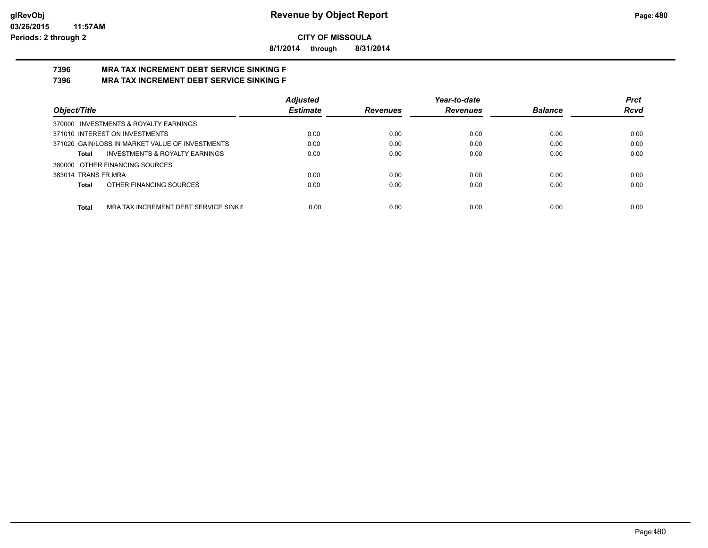**8/1/2014 through 8/31/2014**

#### **7396 MRA TAX INCREMENT DEBT SERVICE SINKING F 7396 MRA TAX INCREMENT DEBT SERVICE SINKING F**

|                                                 | <b>Adjusted</b> |                 | Year-to-date    |                | <b>Prct</b> |
|-------------------------------------------------|-----------------|-----------------|-----------------|----------------|-------------|
| Object/Title                                    | <b>Estimate</b> | <b>Revenues</b> | <b>Revenues</b> | <b>Balance</b> | <b>Rcvd</b> |
| 370000 INVESTMENTS & ROYALTY EARNINGS           |                 |                 |                 |                |             |
| 371010 INTEREST ON INVESTMENTS                  | 0.00            | 0.00            | 0.00            | 0.00           | 0.00        |
| 371020 GAIN/LOSS IN MARKET VALUE OF INVESTMENTS | 0.00            | 0.00            | 0.00            | 0.00           | 0.00        |
| INVESTMENTS & ROYALTY EARNINGS<br>Total         | 0.00            | 0.00            | 0.00            | 0.00           | 0.00        |
| 380000 OTHER FINANCING SOURCES                  |                 |                 |                 |                |             |
| 383014 TRANS FR MRA                             | 0.00            | 0.00            | 0.00            | 0.00           | 0.00        |
| OTHER FINANCING SOURCES<br>Total                | 0.00            | 0.00            | 0.00            | 0.00           | 0.00        |
|                                                 |                 |                 |                 |                |             |
| Total<br>MRA TAX INCREMENT DEBT SERVICE SINKII  | 0.00            | 0.00            | 0.00            | 0.00           | 0.00        |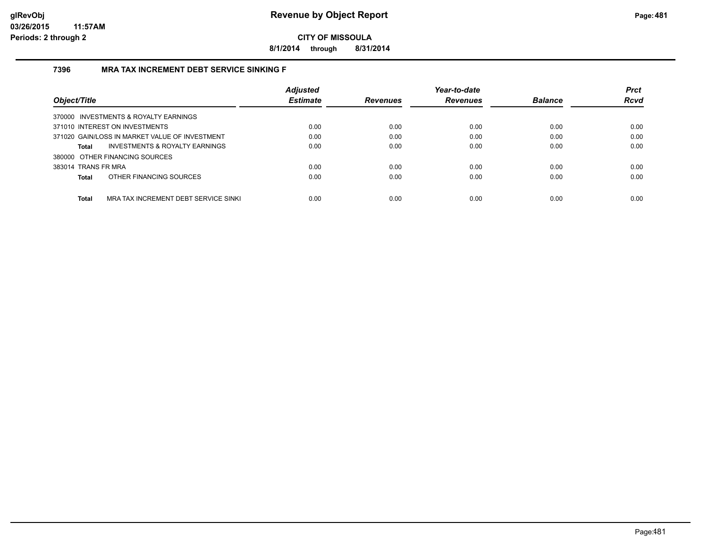**8/1/2014 through 8/31/2014**

#### **7396 MRA TAX INCREMENT DEBT SERVICE SINKING F**

|                                                      | <b>Adjusted</b> |                 | Year-to-date    |                | <b>Prct</b> |
|------------------------------------------------------|-----------------|-----------------|-----------------|----------------|-------------|
| Object/Title                                         | <b>Estimate</b> | <b>Revenues</b> | <b>Revenues</b> | <b>Balance</b> | <b>Rcvd</b> |
| 370000 INVESTMENTS & ROYALTY EARNINGS                |                 |                 |                 |                |             |
| 371010 INTEREST ON INVESTMENTS                       | 0.00            | 0.00            | 0.00            | 0.00           | 0.00        |
| 371020 GAIN/LOSS IN MARKET VALUE OF INVESTMENT       | 0.00            | 0.00            | 0.00            | 0.00           | 0.00        |
| INVESTMENTS & ROYALTY EARNINGS<br><b>Total</b>       | 0.00            | 0.00            | 0.00            | 0.00           | 0.00        |
| 380000 OTHER FINANCING SOURCES                       |                 |                 |                 |                |             |
| 383014 TRANS FR MRA                                  | 0.00            | 0.00            | 0.00            | 0.00           | 0.00        |
| OTHER FINANCING SOURCES<br><b>Total</b>              | 0.00            | 0.00            | 0.00            | 0.00           | 0.00        |
| <b>Total</b><br>MRA TAX INCREMENT DEBT SERVICE SINKI | 0.00            | 0.00            | 0.00            | 0.00           | 0.00        |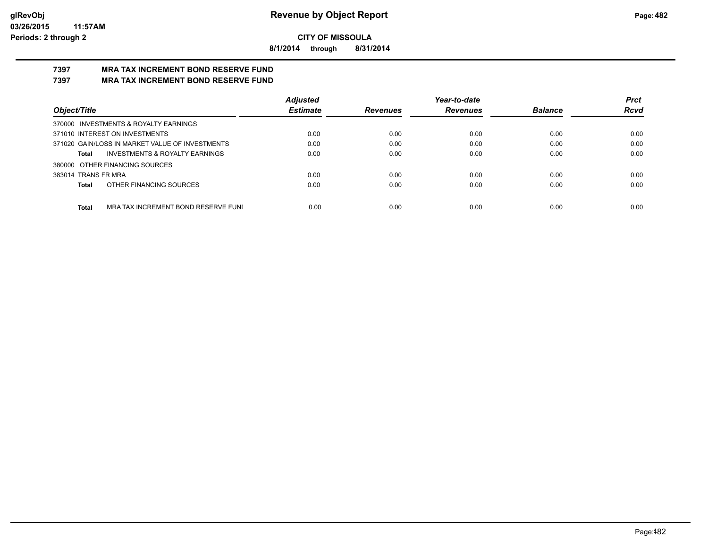**8/1/2014 through 8/31/2014**

#### **7397 MRA TAX INCREMENT BOND RESERVE FUND 7397 MRA TAX INCREMENT BOND RESERVE FUND**

|                                                 | <b>Adjusted</b> |                 | Year-to-date    |                | <b>Prct</b> |
|-------------------------------------------------|-----------------|-----------------|-----------------|----------------|-------------|
| Object/Title                                    | <b>Estimate</b> | <b>Revenues</b> | <b>Revenues</b> | <b>Balance</b> | <b>Rcvd</b> |
| 370000 INVESTMENTS & ROYALTY EARNINGS           |                 |                 |                 |                |             |
| 371010 INTEREST ON INVESTMENTS                  | 0.00            | 0.00            | 0.00            | 0.00           | 0.00        |
| 371020 GAIN/LOSS IN MARKET VALUE OF INVESTMENTS | 0.00            | 0.00            | 0.00            | 0.00           | 0.00        |
| INVESTMENTS & ROYALTY EARNINGS<br>Total         | 0.00            | 0.00            | 0.00            | 0.00           | 0.00        |
| 380000 OTHER FINANCING SOURCES                  |                 |                 |                 |                |             |
| 383014 TRANS FR MRA                             | 0.00            | 0.00            | 0.00            | 0.00           | 0.00        |
| OTHER FINANCING SOURCES<br>Total                | 0.00            | 0.00            | 0.00            | 0.00           | 0.00        |
|                                                 |                 |                 |                 |                |             |
| Total<br>MRA TAX INCREMENT BOND RESERVE FUNI    | 0.00            | 0.00            | 0.00            | 0.00           | 0.00        |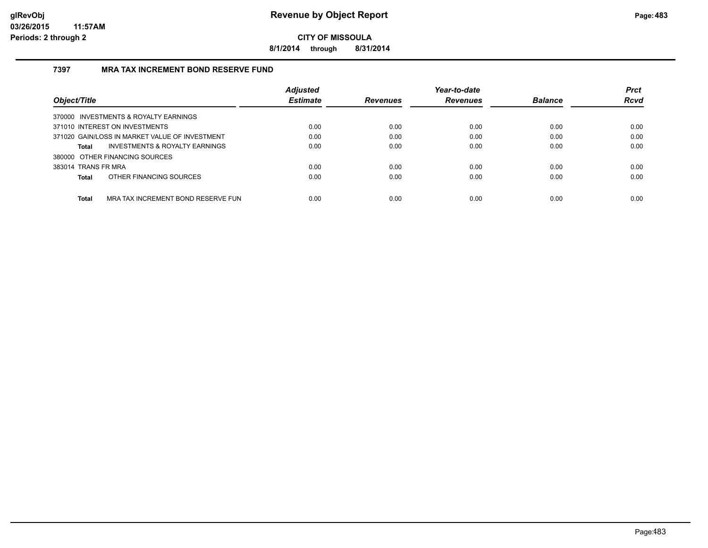**8/1/2014 through 8/31/2014**

#### **7397 MRA TAX INCREMENT BOND RESERVE FUND**

| Object/Title                                       | <b>Adjusted</b><br><b>Estimate</b> | <b>Revenues</b> | Year-to-date<br><b>Revenues</b> | <b>Balance</b> | <b>Prct</b><br><b>Rcvd</b> |
|----------------------------------------------------|------------------------------------|-----------------|---------------------------------|----------------|----------------------------|
|                                                    |                                    |                 |                                 |                |                            |
| 370000 INVESTMENTS & ROYALTY EARNINGS              |                                    |                 |                                 |                |                            |
| 371010 INTEREST ON INVESTMENTS                     | 0.00                               | 0.00            | 0.00                            | 0.00           | 0.00                       |
| 371020 GAIN/LOSS IN MARKET VALUE OF INVESTMENT     | 0.00                               | 0.00            | 0.00                            | 0.00           | 0.00                       |
| <b>INVESTMENTS &amp; ROYALTY EARNINGS</b><br>Total | 0.00                               | 0.00            | 0.00                            | 0.00           | 0.00                       |
| 380000 OTHER FINANCING SOURCES                     |                                    |                 |                                 |                |                            |
| 383014 TRANS FR MRA                                | 0.00                               | 0.00            | 0.00                            | 0.00           | 0.00                       |
| OTHER FINANCING SOURCES<br><b>Total</b>            | 0.00                               | 0.00            | 0.00                            | 0.00           | 0.00                       |
|                                                    |                                    |                 |                                 |                |                            |
| <b>Total</b><br>MRA TAX INCREMENT BOND RESERVE FUN | 0.00                               | 0.00            | 0.00                            | 0.00           | 0.00                       |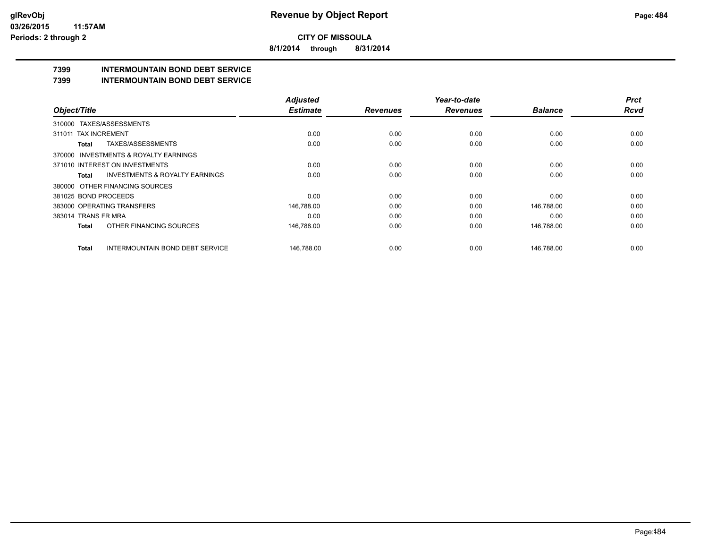**8/1/2014 through 8/31/2014**

## **7399 INTERMOUNTAIN BOND DEBT SERVICE**

#### **7399 INTERMOUNTAIN BOND DEBT SERVICE**

|                                                    | <b>Adjusted</b> |                 | Year-to-date    |                | <b>Prct</b> |
|----------------------------------------------------|-----------------|-----------------|-----------------|----------------|-------------|
| Object/Title                                       | <b>Estimate</b> | <b>Revenues</b> | <b>Revenues</b> | <b>Balance</b> | <b>Rcvd</b> |
| 310000 TAXES/ASSESSMENTS                           |                 |                 |                 |                |             |
| <b>TAX INCREMENT</b><br>311011                     | 0.00            | 0.00            | 0.00            | 0.00           | 0.00        |
| TAXES/ASSESSMENTS<br>Total                         | 0.00            | 0.00            | 0.00            | 0.00           | 0.00        |
| 370000 INVESTMENTS & ROYALTY EARNINGS              |                 |                 |                 |                |             |
| 371010 INTEREST ON INVESTMENTS                     | 0.00            | 0.00            | 0.00            | 0.00           | 0.00        |
| <b>INVESTMENTS &amp; ROYALTY EARNINGS</b><br>Total | 0.00            | 0.00            | 0.00            | 0.00           | 0.00        |
| 380000 OTHER FINANCING SOURCES                     |                 |                 |                 |                |             |
| 381025 BOND PROCEEDS                               | 0.00            | 0.00            | 0.00            | 0.00           | 0.00        |
| 383000 OPERATING TRANSFERS                         | 146,788.00      | 0.00            | 0.00            | 146,788.00     | 0.00        |
| 383014 TRANS FR MRA                                | 0.00            | 0.00            | 0.00            | 0.00           | 0.00        |
| OTHER FINANCING SOURCES<br>Total                   | 146,788.00      | 0.00            | 0.00            | 146,788.00     | 0.00        |
| <b>INTERMOUNTAIN BOND DEBT SERVICE</b><br>Total    | 146.788.00      | 0.00            | 0.00            | 146.788.00     | 0.00        |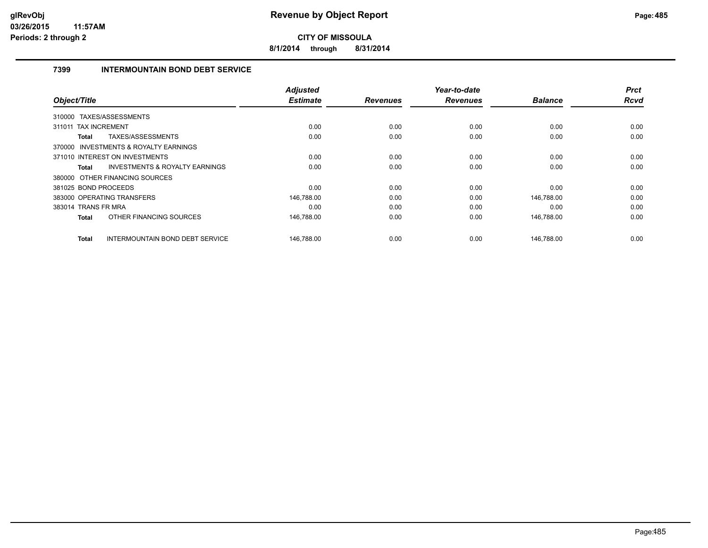**8/1/2014 through 8/31/2014**

#### **7399 INTERMOUNTAIN BOND DEBT SERVICE**

| Object/Title                                              | <b>Adjusted</b><br><b>Estimate</b> | <b>Revenues</b> | Year-to-date<br><b>Revenues</b> | <b>Balance</b> | <b>Prct</b><br>Rcvd |
|-----------------------------------------------------------|------------------------------------|-----------------|---------------------------------|----------------|---------------------|
|                                                           |                                    |                 |                                 |                |                     |
| 310000 TAXES/ASSESSMENTS                                  |                                    |                 |                                 |                |                     |
| 311011 TAX INCREMENT                                      | 0.00                               | 0.00            | 0.00                            | 0.00           | 0.00                |
| TAXES/ASSESSMENTS<br><b>Total</b>                         | 0.00                               | 0.00            | 0.00                            | 0.00           | 0.00                |
| 370000 INVESTMENTS & ROYALTY EARNINGS                     |                                    |                 |                                 |                |                     |
| 371010 INTEREST ON INVESTMENTS                            | 0.00                               | 0.00            | 0.00                            | 0.00           | 0.00                |
| <b>INVESTMENTS &amp; ROYALTY EARNINGS</b><br><b>Total</b> | 0.00                               | 0.00            | 0.00                            | 0.00           | 0.00                |
| 380000 OTHER FINANCING SOURCES                            |                                    |                 |                                 |                |                     |
| 381025 BOND PROCEEDS                                      | 0.00                               | 0.00            | 0.00                            | 0.00           | 0.00                |
| 383000 OPERATING TRANSFERS                                | 146,788.00                         | 0.00            | 0.00                            | 146,788.00     | 0.00                |
| 383014 TRANS FR MRA                                       | 0.00                               | 0.00            | 0.00                            | 0.00           | 0.00                |
| OTHER FINANCING SOURCES<br><b>Total</b>                   | 146,788.00                         | 0.00            | 0.00                            | 146,788.00     | 0.00                |
| <b>INTERMOUNTAIN BOND DEBT SERVICE</b><br><b>Total</b>    | 146,788.00                         | 0.00            | 0.00                            | 146.788.00     | 0.00                |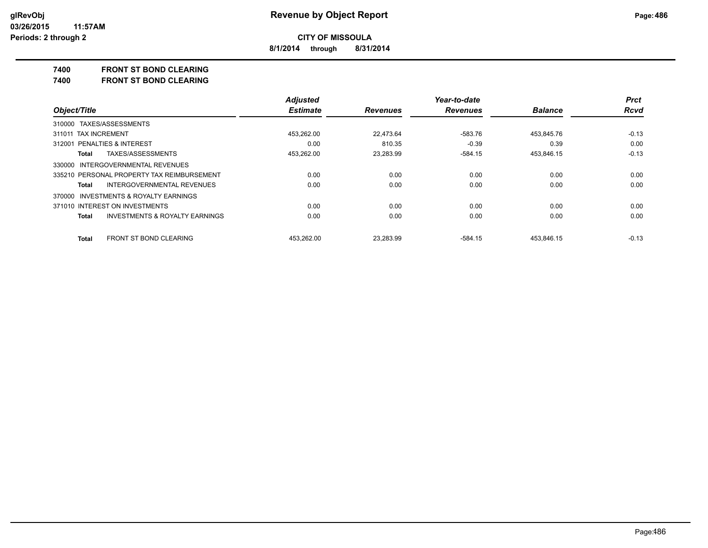**8/1/2014 through 8/31/2014**

#### **7400 FRONT ST BOND CLEARING**

**7400 FRONT ST BOND CLEARING**

|                                            | <b>Adjusted</b> |                 | Year-to-date    |                | <b>Prct</b> |
|--------------------------------------------|-----------------|-----------------|-----------------|----------------|-------------|
| Object/Title                               | <b>Estimate</b> | <b>Revenues</b> | <b>Revenues</b> | <b>Balance</b> | <b>Rcvd</b> |
| 310000 TAXES/ASSESSMENTS                   |                 |                 |                 |                |             |
| 311011 TAX INCREMENT                       | 453.262.00      | 22.473.64       | $-583.76$       | 453.845.76     | $-0.13$     |
| 312001 PENALTIES & INTEREST                | 0.00            | 810.35          | $-0.39$         | 0.39           | 0.00        |
| TAXES/ASSESSMENTS<br>Total                 | 453.262.00      | 23.283.99       | -584.15         | 453,846.15     | $-0.13$     |
| 330000 INTERGOVERNMENTAL REVENUES          |                 |                 |                 |                |             |
| 335210 PERSONAL PROPERTY TAX REIMBURSEMENT | 0.00            | 0.00            | 0.00            | 0.00           | 0.00        |
| INTERGOVERNMENTAL REVENUES<br>Total        | 0.00            | 0.00            | 0.00            | 0.00           | 0.00        |
| 370000 INVESTMENTS & ROYALTY EARNINGS      |                 |                 |                 |                |             |
| 371010 INTEREST ON INVESTMENTS             | 0.00            | 0.00            | 0.00            | 0.00           | 0.00        |
| INVESTMENTS & ROYALTY EARNINGS<br>Total    | 0.00            | 0.00            | 0.00            | 0.00           | 0.00        |
| FRONT ST BOND CLEARING<br>Total            | 453.262.00      | 23.283.99       | $-584.15$       | 453.846.15     | $-0.13$     |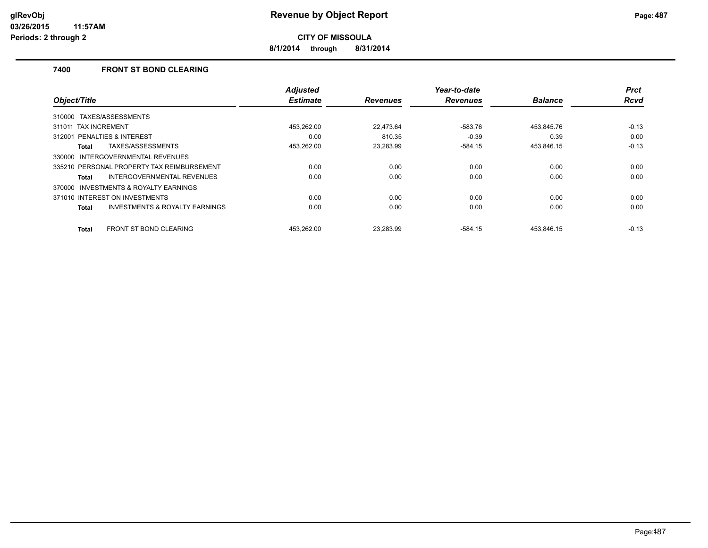**8/1/2014 through 8/31/2014**

#### **7400 FRONT ST BOND CLEARING**

|                                                           | <b>Adjusted</b> |                 | Year-to-date    |                | <b>Prct</b> |
|-----------------------------------------------------------|-----------------|-----------------|-----------------|----------------|-------------|
| Object/Title                                              | <b>Estimate</b> | <b>Revenues</b> | <b>Revenues</b> | <b>Balance</b> | <b>Rcvd</b> |
| TAXES/ASSESSMENTS<br>310000                               |                 |                 |                 |                |             |
| <b>TAX INCREMENT</b><br>311011                            | 453.262.00      | 22.473.64       | $-583.76$       | 453.845.76     | $-0.13$     |
| PENALTIES & INTEREST<br>312001                            | 0.00            | 810.35          | $-0.39$         | 0.39           | 0.00        |
| TAXES/ASSESSMENTS<br><b>Total</b>                         | 453,262.00      | 23,283.99       | $-584.15$       | 453,846.15     | $-0.13$     |
| 330000 INTERGOVERNMENTAL REVENUES                         |                 |                 |                 |                |             |
| 335210 PERSONAL PROPERTY TAX REIMBURSEMENT                | 0.00            | 0.00            | 0.00            | 0.00           | 0.00        |
| INTERGOVERNMENTAL REVENUES<br>Total                       | 0.00            | 0.00            | 0.00            | 0.00           | 0.00        |
| 370000 INVESTMENTS & ROYALTY EARNINGS                     |                 |                 |                 |                |             |
| 371010 INTEREST ON INVESTMENTS                            | 0.00            | 0.00            | 0.00            | 0.00           | 0.00        |
| <b>INVESTMENTS &amp; ROYALTY EARNINGS</b><br><b>Total</b> | 0.00            | 0.00            | 0.00            | 0.00           | 0.00        |
| <b>FRONT ST BOND CLEARING</b><br><b>Total</b>             | 453.262.00      | 23.283.99       | $-584.15$       | 453.846.15     | $-0.13$     |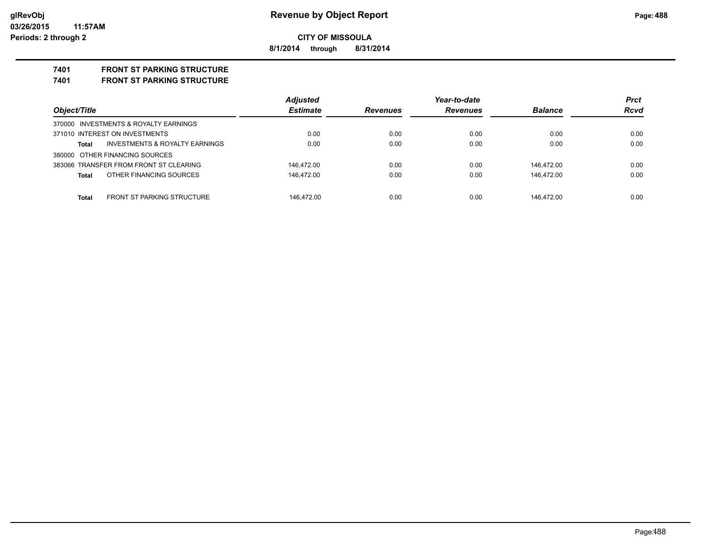**8/1/2014 through 8/31/2014**

## **7401 FRONT ST PARKING STRUCTURE**

**7401 FRONT ST PARKING STRUCTURE**

|                                            | <b>Adjusted</b> |                 | Year-to-date    |                | <b>Prct</b> |
|--------------------------------------------|-----------------|-----------------|-----------------|----------------|-------------|
| Object/Title                               | <b>Estimate</b> | <b>Revenues</b> | <b>Revenues</b> | <b>Balance</b> | <b>Rcvd</b> |
| 370000 INVESTMENTS & ROYALTY EARNINGS      |                 |                 |                 |                |             |
| 371010 INTEREST ON INVESTMENTS             | 0.00            | 0.00            | 0.00            | 0.00           | 0.00        |
| INVESTMENTS & ROYALTY EARNINGS<br>Total    | 0.00            | 0.00            | 0.00            | 0.00           | 0.00        |
| 380000 OTHER FINANCING SOURCES             |                 |                 |                 |                |             |
| 383066 TRANSFER FROM FRONT ST CLEARING     | 146.472.00      | 0.00            | 0.00            | 146.472.00     | 0.00        |
| OTHER FINANCING SOURCES<br>Total           | 146.472.00      | 0.00            | 0.00            | 146.472.00     | 0.00        |
|                                            |                 |                 |                 |                |             |
| <b>FRONT ST PARKING STRUCTURE</b><br>Total | 146.472.00      | 0.00            | 0.00            | 146.472.00     | 0.00        |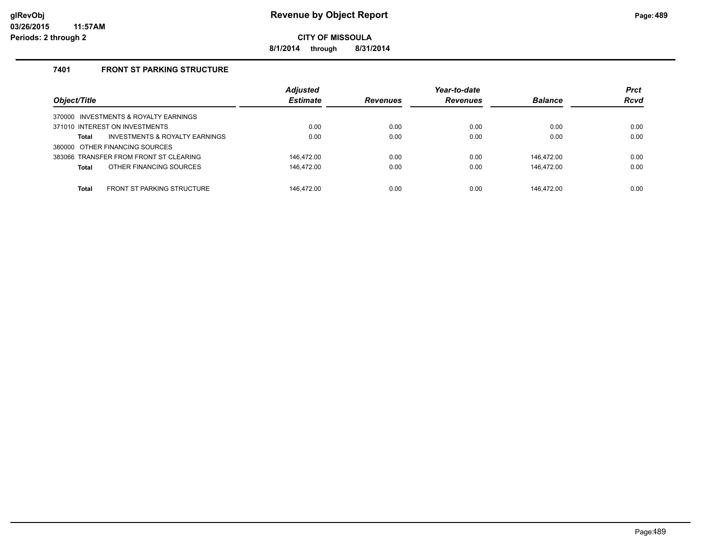**8/1/2014 through 8/31/2014**

#### **7401 FRONT ST PARKING STRUCTURE**

| Object/Title                                       | <b>Adjusted</b><br><b>Estimate</b> | <b>Revenues</b> | Year-to-date<br><b>Revenues</b> | <b>Balance</b> | <b>Prct</b><br><b>Rcvd</b> |
|----------------------------------------------------|------------------------------------|-----------------|---------------------------------|----------------|----------------------------|
| 370000 INVESTMENTS & ROYALTY EARNINGS              |                                    |                 |                                 |                |                            |
| 371010 INTEREST ON INVESTMENTS                     | 0.00                               | 0.00            | 0.00                            | 0.00           | 0.00                       |
| <b>INVESTMENTS &amp; ROYALTY EARNINGS</b><br>Total | 0.00                               | 0.00            | 0.00                            | 0.00           | 0.00                       |
| 380000 OTHER FINANCING SOURCES                     |                                    |                 |                                 |                |                            |
| 383066 TRANSFER FROM FRONT ST CLEARING             | 146.472.00                         | 0.00            | 0.00                            | 146.472.00     | 0.00                       |
| OTHER FINANCING SOURCES<br>Total                   | 146,472.00                         | 0.00            | 0.00                            | 146,472.00     | 0.00                       |
|                                                    |                                    |                 |                                 |                |                            |
| <b>FRONT ST PARKING STRUCTURE</b><br>Total         | 146.472.00                         | 0.00            | 0.00                            | 146.472.00     | 0.00                       |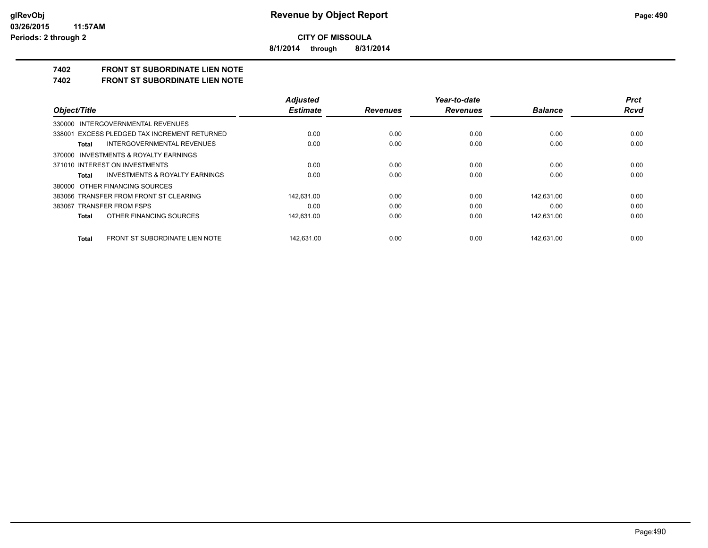**8/1/2014 through 8/31/2014**

## **7402 FRONT ST SUBORDINATE LIEN NOTE**

**7402 FRONT ST SUBORDINATE LIEN NOTE**

|                                                    | <b>Adiusted</b> |                 | Year-to-date    |                | <b>Prct</b> |
|----------------------------------------------------|-----------------|-----------------|-----------------|----------------|-------------|
| Object/Title                                       | <b>Estimate</b> | <b>Revenues</b> | <b>Revenues</b> | <b>Balance</b> | <b>Rcvd</b> |
| 330000 INTERGOVERNMENTAL REVENUES                  |                 |                 |                 |                |             |
| 338001 EXCESS PLEDGED TAX INCREMENT RETURNED       | 0.00            | 0.00            | 0.00            | 0.00           | 0.00        |
| INTERGOVERNMENTAL REVENUES<br>Total                | 0.00            | 0.00            | 0.00            | 0.00           | 0.00        |
| 370000 INVESTMENTS & ROYALTY EARNINGS              |                 |                 |                 |                |             |
| 371010 INTEREST ON INVESTMENTS                     | 0.00            | 0.00            | 0.00            | 0.00           | 0.00        |
| <b>INVESTMENTS &amp; ROYALTY EARNINGS</b><br>Total | 0.00            | 0.00            | 0.00            | 0.00           | 0.00        |
| 380000 OTHER FINANCING SOURCES                     |                 |                 |                 |                |             |
| 383066 TRANSFER FROM FRONT ST CLEARING             | 142.631.00      | 0.00            | 0.00            | 142.631.00     | 0.00        |
| 383067 TRANSFER FROM FSPS                          | 0.00            | 0.00            | 0.00            | 0.00           | 0.00        |
| OTHER FINANCING SOURCES<br>Total                   | 142,631.00      | 0.00            | 0.00            | 142,631.00     | 0.00        |
| FRONT ST SUBORDINATE LIEN NOTE<br>Total            | 142.631.00      | 0.00            | 0.00            | 142.631.00     | 0.00        |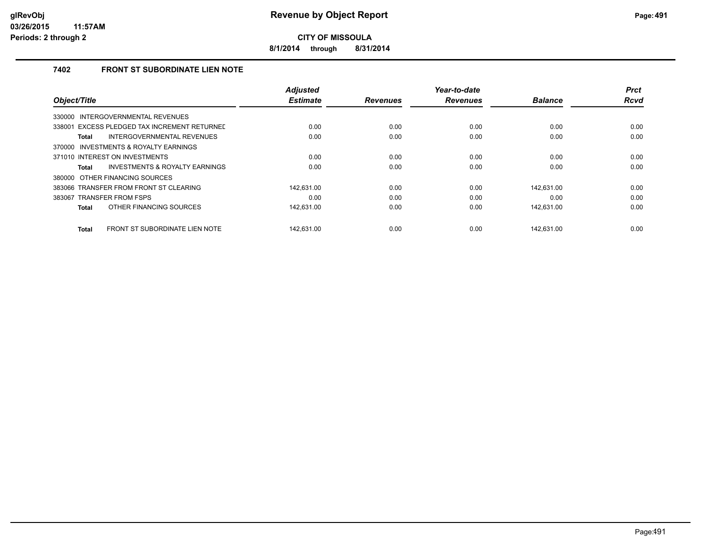**8/1/2014 through 8/31/2014**

#### **7402 FRONT ST SUBORDINATE LIEN NOTE**

|                                                | <b>Adjusted</b> |                 | Year-to-date    |                | <b>Prct</b> |
|------------------------------------------------|-----------------|-----------------|-----------------|----------------|-------------|
| Object/Title                                   | <b>Estimate</b> | <b>Revenues</b> | <b>Revenues</b> | <b>Balance</b> | <b>Rcvd</b> |
| INTERGOVERNMENTAL REVENUES<br>330000           |                 |                 |                 |                |             |
| 338001 EXCESS PLEDGED TAX INCREMENT RETURNEL   | 0.00            | 0.00            | 0.00            | 0.00           | 0.00        |
| INTERGOVERNMENTAL REVENUES<br>Total            | 0.00            | 0.00            | 0.00            | 0.00           | 0.00        |
| INVESTMENTS & ROYALTY EARNINGS<br>370000       |                 |                 |                 |                |             |
| 371010 INTEREST ON INVESTMENTS                 | 0.00            | 0.00            | 0.00            | 0.00           | 0.00        |
| INVESTMENTS & ROYALTY EARNINGS<br>Total        | 0.00            | 0.00            | 0.00            | 0.00           | 0.00        |
| 380000 OTHER FINANCING SOURCES                 |                 |                 |                 |                |             |
| 383066 TRANSFER FROM FRONT ST CLEARING         | 142.631.00      | 0.00            | 0.00            | 142.631.00     | 0.00        |
| 383067 TRANSFER FROM FSPS                      | 0.00            | 0.00            | 0.00            | 0.00           | 0.00        |
| OTHER FINANCING SOURCES<br><b>Total</b>        | 142,631.00      | 0.00            | 0.00            | 142,631.00     | 0.00        |
|                                                |                 |                 |                 |                |             |
| FRONT ST SUBORDINATE LIEN NOTE<br><b>Total</b> | 142.631.00      | 0.00            | 0.00            | 142.631.00     | 0.00        |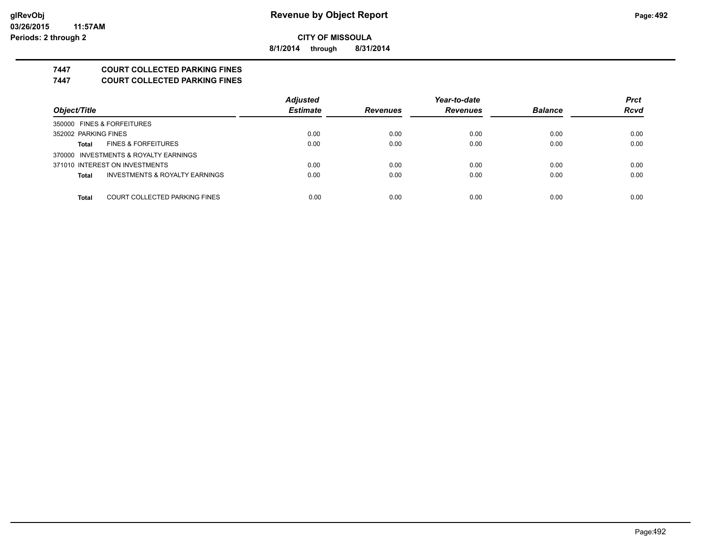**8/1/2014 through 8/31/2014**

## **7447 COURT COLLECTED PARKING FINES**

**7447 COURT COLLECTED PARKING FINES**

|                                               | <b>Adjusted</b> |                 | Year-to-date    |                | <b>Prct</b> |
|-----------------------------------------------|-----------------|-----------------|-----------------|----------------|-------------|
| Object/Title                                  | <b>Estimate</b> | <b>Revenues</b> | <b>Revenues</b> | <b>Balance</b> | <b>Rcvd</b> |
| 350000 FINES & FORFEITURES                    |                 |                 |                 |                |             |
| 352002 PARKING FINES                          | 0.00            | 0.00            | 0.00            | 0.00           | 0.00        |
| <b>FINES &amp; FORFEITURES</b><br>Total       | 0.00            | 0.00            | 0.00            | 0.00           | 0.00        |
| 370000 INVESTMENTS & ROYALTY EARNINGS         |                 |                 |                 |                |             |
| 371010 INTEREST ON INVESTMENTS                | 0.00            | 0.00            | 0.00            | 0.00           | 0.00        |
| INVESTMENTS & ROYALTY EARNINGS<br>Total       | 0.00            | 0.00            | 0.00            | 0.00           | 0.00        |
|                                               |                 |                 |                 |                |             |
| COURT COLLECTED PARKING FINES<br><b>Total</b> | 0.00            | 0.00            | 0.00            | 0.00           | 0.00        |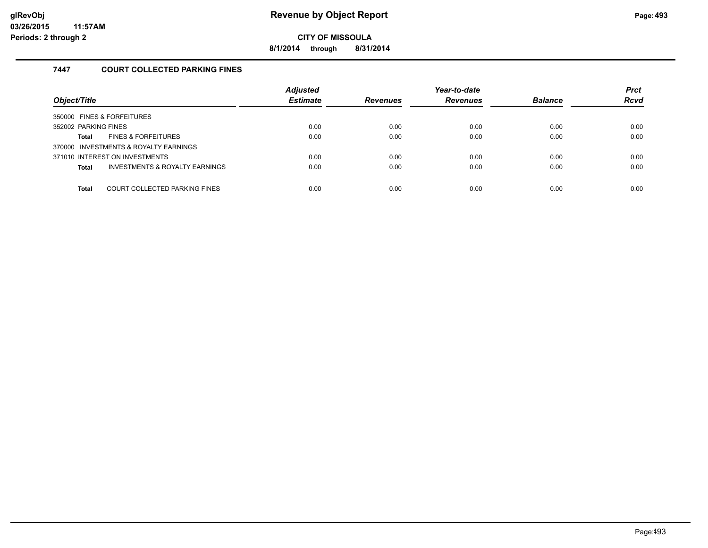**8/1/2014 through 8/31/2014**

#### **7447 COURT COLLECTED PARKING FINES**

| Object/Title                                              | <b>Adjusted</b><br><b>Estimate</b> | <b>Revenues</b> | Year-to-date<br><b>Revenues</b> | <b>Balance</b> | <b>Prct</b><br><b>Rcvd</b> |
|-----------------------------------------------------------|------------------------------------|-----------------|---------------------------------|----------------|----------------------------|
| 350000 FINES & FORFEITURES                                |                                    |                 |                                 |                |                            |
| 352002 PARKING FINES                                      | 0.00                               | 0.00            | 0.00                            | 0.00           | 0.00                       |
| <b>FINES &amp; FORFEITURES</b><br>Total                   | 0.00                               | 0.00            | 0.00                            | 0.00           | 0.00                       |
| 370000 INVESTMENTS & ROYALTY EARNINGS                     |                                    |                 |                                 |                |                            |
| 371010 INTEREST ON INVESTMENTS                            | 0.00                               | 0.00            | 0.00                            | 0.00           | 0.00                       |
| <b>INVESTMENTS &amp; ROYALTY EARNINGS</b><br><b>Total</b> | 0.00                               | 0.00            | 0.00                            | 0.00           | 0.00                       |
|                                                           |                                    |                 |                                 |                |                            |
| COURT COLLECTED PARKING FINES<br><b>Total</b>             | 0.00                               | 0.00            | 0.00                            | 0.00           | 0.00                       |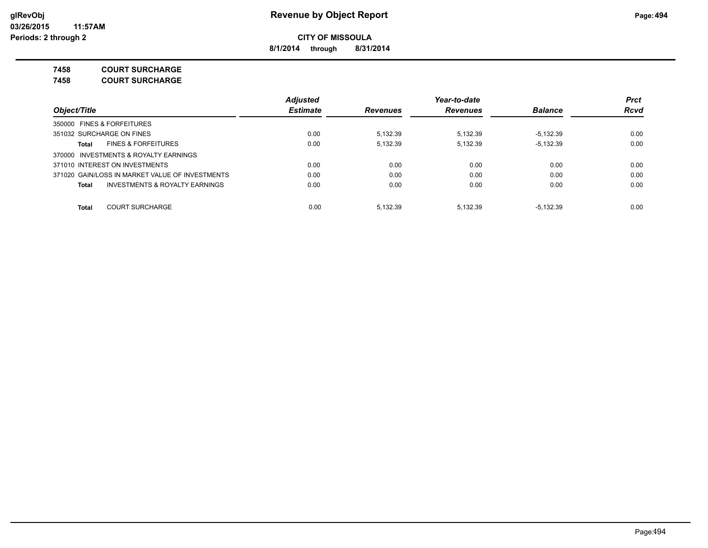**8/1/2014 through 8/31/2014**

**7458 COURT SURCHARGE**

**7458 COURT SURCHARGE**

|                                                    | Adjusted        |                 | Year-to-date    |                | <b>Prct</b> |
|----------------------------------------------------|-----------------|-----------------|-----------------|----------------|-------------|
| Object/Title<br>350000 FINES & FORFEITURES         | <b>Estimate</b> | <b>Revenues</b> | <b>Revenues</b> | <b>Balance</b> | <b>Rcvd</b> |
|                                                    |                 |                 |                 |                |             |
| 351032 SURCHARGE ON FINES                          | 0.00            | 5.132.39        | 5.132.39        | $-5.132.39$    | 0.00        |
| <b>FINES &amp; FORFEITURES</b><br>Total            | 0.00            | 5.132.39        | 5.132.39        | $-5.132.39$    | 0.00        |
| 370000 INVESTMENTS & ROYALTY EARNINGS              |                 |                 |                 |                |             |
| 371010 INTEREST ON INVESTMENTS                     | 0.00            | 0.00            | 0.00            | 0.00           | 0.00        |
| 371020 GAIN/LOSS IN MARKET VALUE OF INVESTMENTS    | 0.00            | 0.00            | 0.00            | 0.00           | 0.00        |
| <b>INVESTMENTS &amp; ROYALTY EARNINGS</b><br>Total | 0.00            | 0.00            | 0.00            | 0.00           | 0.00        |
| <b>COURT SURCHARGE</b><br><b>Total</b>             | 0.00            | 5.132.39        | 5.132.39        | $-5.132.39$    | 0.00        |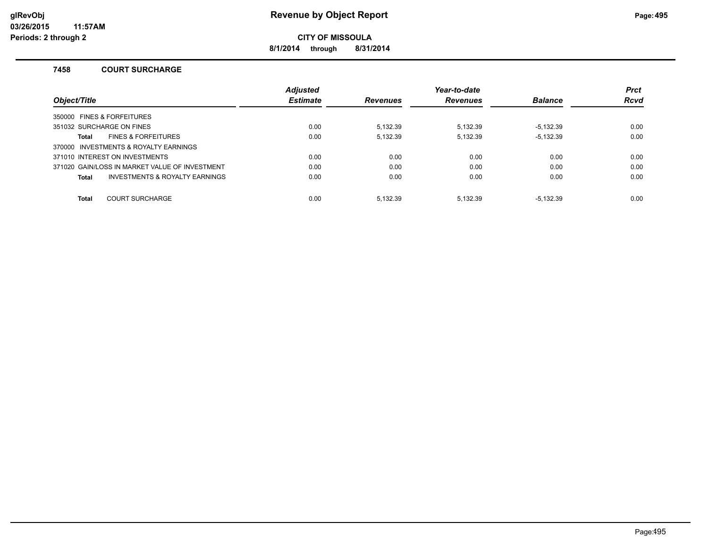**8/1/2014 through 8/31/2014**

#### **7458 COURT SURCHARGE**

|                                                | <b>Adjusted</b> |                 | Year-to-date    |                | <b>Prct</b> |
|------------------------------------------------|-----------------|-----------------|-----------------|----------------|-------------|
| Object/Title                                   | <b>Estimate</b> | <b>Revenues</b> | <b>Revenues</b> | <b>Balance</b> | <b>Rcvd</b> |
| 350000 FINES & FORFEITURES                     |                 |                 |                 |                |             |
| 351032 SURCHARGE ON FINES                      | 0.00            | 5.132.39        | 5.132.39        | $-5.132.39$    | 0.00        |
| <b>FINES &amp; FORFEITURES</b><br>Total        | 0.00            | 5.132.39        | 5.132.39        | $-5.132.39$    | 0.00        |
| 370000 INVESTMENTS & ROYALTY EARNINGS          |                 |                 |                 |                |             |
| 371010 INTEREST ON INVESTMENTS                 | 0.00            | 0.00            | 0.00            | 0.00           | 0.00        |
| 371020 GAIN/LOSS IN MARKET VALUE OF INVESTMENT | 0.00            | 0.00            | 0.00            | 0.00           | 0.00        |
| INVESTMENTS & ROYALTY EARNINGS<br><b>Total</b> | 0.00            | 0.00            | 0.00            | 0.00           | 0.00        |
| <b>Total</b><br><b>COURT SURCHARGE</b>         | 0.00            | 5.132.39        | 5.132.39        | $-5.132.39$    | 0.00        |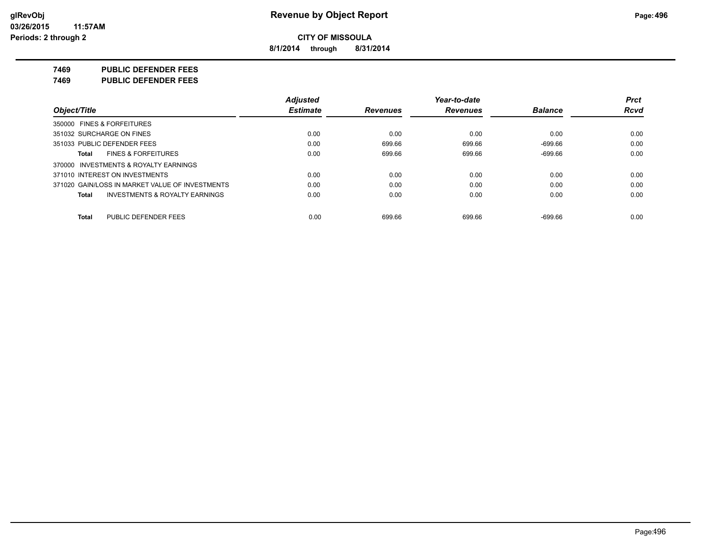**8/1/2014 through 8/31/2014**

**7469 PUBLIC DEFENDER FEES**

**7469 PUBLIC DEFENDER FEES**

|                                                    | <b>Adjusted</b> |                 | Year-to-date    |                | <b>Prct</b> |
|----------------------------------------------------|-----------------|-----------------|-----------------|----------------|-------------|
| Object/Title                                       | <b>Estimate</b> | <b>Revenues</b> | <b>Revenues</b> | <b>Balance</b> | <b>Rcvd</b> |
| 350000 FINES & FORFEITURES                         |                 |                 |                 |                |             |
| 351032 SURCHARGE ON FINES                          | 0.00            | 0.00            | 0.00            | 0.00           | 0.00        |
| 351033 PUBLIC DEFENDER FEES                        | 0.00            | 699.66          | 699.66          | $-699.66$      | 0.00        |
| <b>FINES &amp; FORFEITURES</b><br>Total            | 0.00            | 699.66          | 699.66          | $-699.66$      | 0.00        |
| 370000 INVESTMENTS & ROYALTY EARNINGS              |                 |                 |                 |                |             |
| 371010 INTEREST ON INVESTMENTS                     | 0.00            | 0.00            | 0.00            | 0.00           | 0.00        |
| 371020 GAIN/LOSS IN MARKET VALUE OF INVESTMENTS    | 0.00            | 0.00            | 0.00            | 0.00           | 0.00        |
| <b>INVESTMENTS &amp; ROYALTY EARNINGS</b><br>Total | 0.00            | 0.00            | 0.00            | 0.00           | 0.00        |
|                                                    |                 |                 |                 |                |             |
| PUBLIC DEFENDER FEES<br>Total                      | 0.00            | 699.66          | 699.66          | $-699.66$      | 0.00        |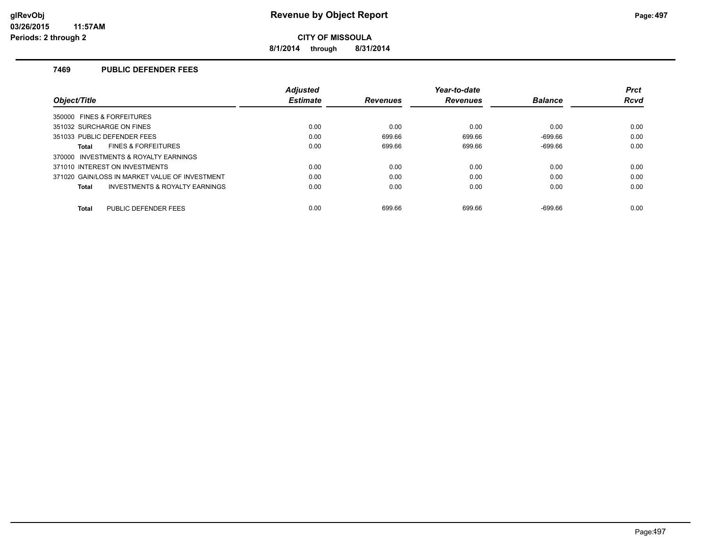**8/1/2014 through 8/31/2014**

#### **7469 PUBLIC DEFENDER FEES**

|                                                | <b>Adiusted</b> |                 | Year-to-date    |                | <b>Prct</b> |
|------------------------------------------------|-----------------|-----------------|-----------------|----------------|-------------|
| Obiect/Title                                   | <b>Estimate</b> | <b>Revenues</b> | <b>Revenues</b> | <b>Balance</b> | Rcvd        |
| 350000 FINES & FORFEITURES                     |                 |                 |                 |                |             |
| 351032 SURCHARGE ON FINES                      | 0.00            | 0.00            | 0.00            | 0.00           | 0.00        |
| 351033 PUBLIC DEFENDER FEES                    | 0.00            | 699.66          | 699.66          | $-699.66$      | 0.00        |
| <b>FINES &amp; FORFEITURES</b><br>Total        | 0.00            | 699.66          | 699.66          | $-699.66$      | 0.00        |
| 370000 INVESTMENTS & ROYALTY EARNINGS          |                 |                 |                 |                |             |
| 371010 INTEREST ON INVESTMENTS                 | 0.00            | 0.00            | 0.00            | 0.00           | 0.00        |
| 371020 GAIN/LOSS IN MARKET VALUE OF INVESTMENT | 0.00            | 0.00            | 0.00            | 0.00           | 0.00        |
| INVESTMENTS & ROYALTY EARNINGS<br>Total        | 0.00            | 0.00            | 0.00            | 0.00           | 0.00        |
| PUBLIC DEFENDER FEES<br><b>Total</b>           | 0.00            | 699.66          | 699.66          | $-699.66$      | 0.00        |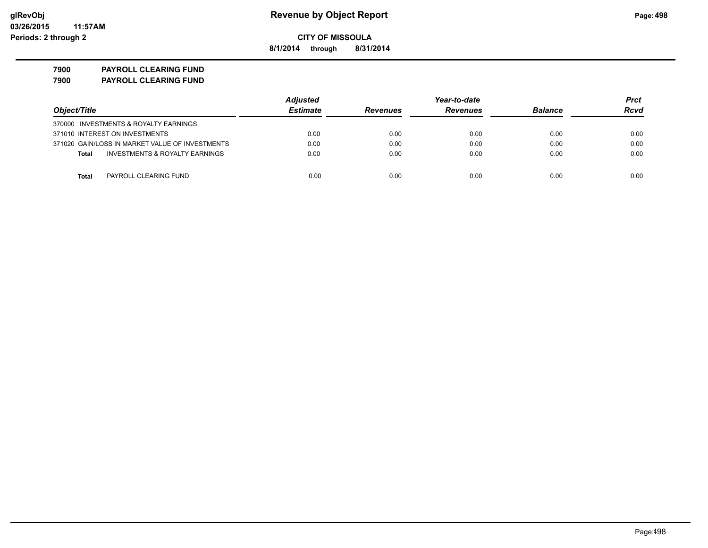**8/1/2014 through 8/31/2014**

**7900 PAYROLL CLEARING FUND 7900 PAYROLL CLEARING FUND**

|                                                 | <b>Adjusted</b> |                 | Year-to-date    |                | Prct |
|-------------------------------------------------|-----------------|-----------------|-----------------|----------------|------|
| Object/Title                                    | <b>Estimate</b> | <b>Revenues</b> | <b>Revenues</b> | <b>Balance</b> | Rcvd |
| 370000 INVESTMENTS & ROYALTY EARNINGS           |                 |                 |                 |                |      |
| 371010 INTEREST ON INVESTMENTS                  | 0.00            | 0.00            | 0.00            | 0.00           | 0.00 |
| 371020 GAIN/LOSS IN MARKET VALUE OF INVESTMENTS | 0.00            | 0.00            | 0.00            | 0.00           | 0.00 |
| INVESTMENTS & ROYALTY EARNINGS<br>Total         | 0.00            | 0.00            | 0.00            | 0.00           | 0.00 |
| Total<br>PAYROLL CLEARING FUND                  | 0.00            | 0.00            | 0.00            | 0.00           | 0.00 |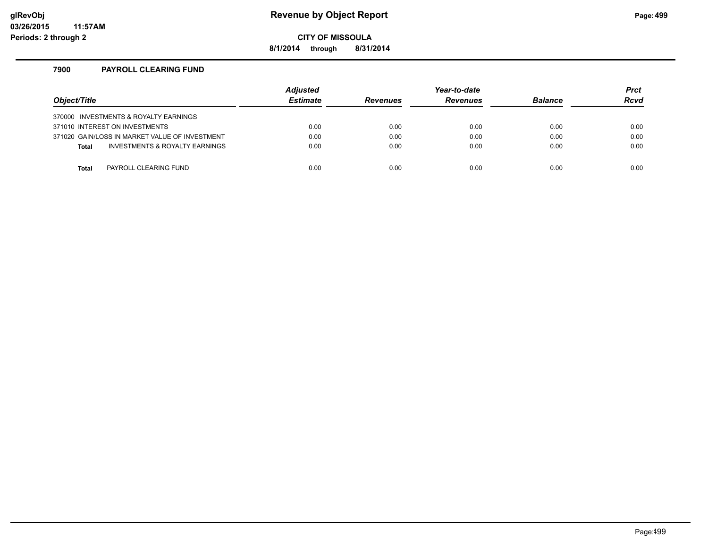#### **glRevObj Revenue by Object Report Page:499**

**CITY OF MISSOULA**

**8/1/2014 through 8/31/2014**

#### **7900 PAYROLL CLEARING FUND**

| Object/Title                                   | <b>Adjusted</b><br><b>Estimate</b> | <b>Revenues</b> | Year-to-date<br><b>Revenues</b> | <b>Balance</b> | <b>Prct</b><br>Rcvd |
|------------------------------------------------|------------------------------------|-----------------|---------------------------------|----------------|---------------------|
| 370000 INVESTMENTS & ROYALTY EARNINGS          |                                    |                 |                                 |                |                     |
| 371010 INTEREST ON INVESTMENTS                 | 0.00                               | 0.00            | 0.00                            | 0.00           | 0.00                |
| 371020 GAIN/LOSS IN MARKET VALUE OF INVESTMENT | 0.00                               | 0.00            | 0.00                            | 0.00           | 0.00                |
| INVESTMENTS & ROYALTY EARNINGS<br><b>Total</b> | 0.00                               | 0.00            | 0.00                            | 0.00           | 0.00                |
|                                                |                                    |                 |                                 |                |                     |
| PAYROLL CLEARING FUND<br>Total                 | 0.00                               | 0.00            | 0.00                            | 0.00           | 0.00                |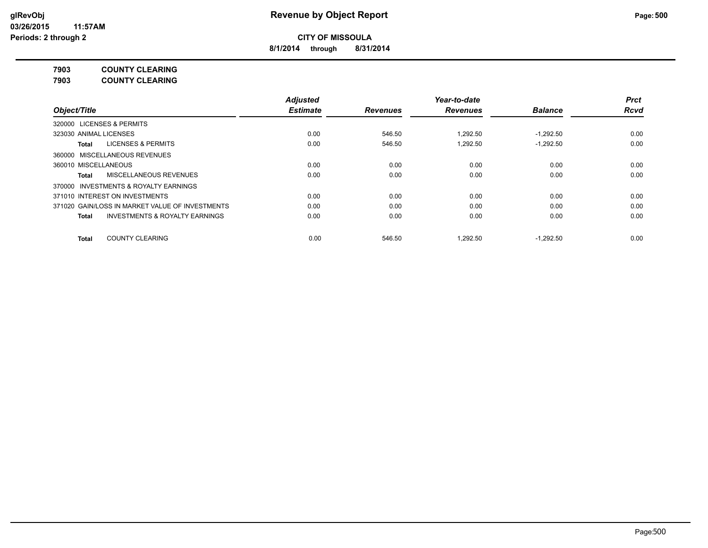**8/1/2014 through 8/31/2014**

**7903 COUNTY CLEARING**

**7903 COUNTY CLEARING**

|                                                    | <b>Adjusted</b> |                 | Year-to-date    |                | <b>Prct</b> |
|----------------------------------------------------|-----------------|-----------------|-----------------|----------------|-------------|
| Object/Title                                       | <b>Estimate</b> | <b>Revenues</b> | <b>Revenues</b> | <b>Balance</b> | <b>Rcvd</b> |
| 320000 LICENSES & PERMITS                          |                 |                 |                 |                |             |
| 323030 ANIMAL LICENSES                             | 0.00            | 546.50          | 1.292.50        | $-1.292.50$    | 0.00        |
| LICENSES & PERMITS<br>Total                        | 0.00            | 546.50          | 1,292.50        | $-1.292.50$    | 0.00        |
| 360000 MISCELLANEOUS REVENUES                      |                 |                 |                 |                |             |
| 360010 MISCELLANEOUS                               | 0.00            | 0.00            | 0.00            | 0.00           | 0.00        |
| MISCELLANEOUS REVENUES<br>Total                    | 0.00            | 0.00            | 0.00            | 0.00           | 0.00        |
| 370000 INVESTMENTS & ROYALTY EARNINGS              |                 |                 |                 |                |             |
| 371010 INTEREST ON INVESTMENTS                     | 0.00            | 0.00            | 0.00            | 0.00           | 0.00        |
| 371020 GAIN/LOSS IN MARKET VALUE OF INVESTMENTS    | 0.00            | 0.00            | 0.00            | 0.00           | 0.00        |
| <b>INVESTMENTS &amp; ROYALTY EARNINGS</b><br>Total | 0.00            | 0.00            | 0.00            | 0.00           | 0.00        |
| <b>COUNTY CLEARING</b><br><b>Total</b>             | 0.00            | 546.50          | 1.292.50        | $-1.292.50$    | 0.00        |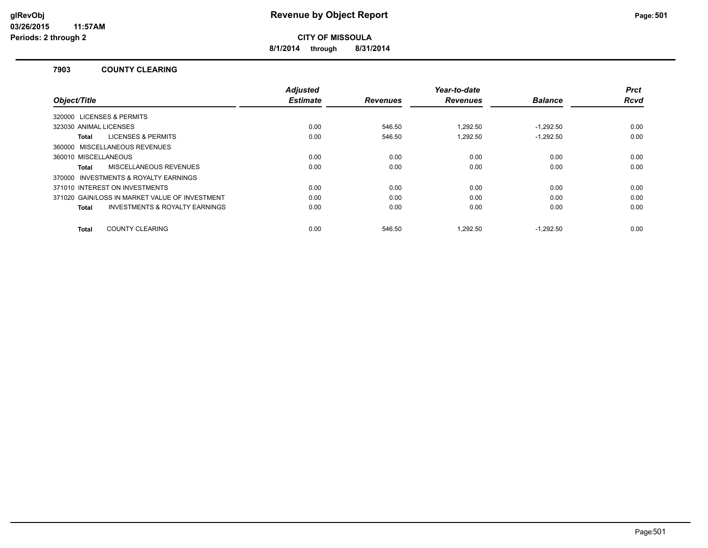**8/1/2014 through 8/31/2014**

#### **7903 COUNTY CLEARING**

|                                                    | <b>Adjusted</b> |                 | Year-to-date    |                | <b>Prct</b> |
|----------------------------------------------------|-----------------|-----------------|-----------------|----------------|-------------|
| Object/Title                                       | <b>Estimate</b> | <b>Revenues</b> | <b>Revenues</b> | <b>Balance</b> | <b>Rcvd</b> |
| 320000 LICENSES & PERMITS                          |                 |                 |                 |                |             |
| 323030 ANIMAL LICENSES                             | 0.00            | 546.50          | 1.292.50        | $-1.292.50$    | 0.00        |
| <b>LICENSES &amp; PERMITS</b><br>Total             | 0.00            | 546.50          | 1.292.50        | $-1.292.50$    | 0.00        |
| 360000 MISCELLANEOUS REVENUES                      |                 |                 |                 |                |             |
| 360010 MISCELLANEOUS                               | 0.00            | 0.00            | 0.00            | 0.00           | 0.00        |
| MISCELLANEOUS REVENUES<br>Total                    | 0.00            | 0.00            | 0.00            | 0.00           | 0.00        |
| 370000 INVESTMENTS & ROYALTY EARNINGS              |                 |                 |                 |                |             |
| 371010 INTEREST ON INVESTMENTS                     | 0.00            | 0.00            | 0.00            | 0.00           | 0.00        |
| 371020 GAIN/LOSS IN MARKET VALUE OF INVESTMENT     | 0.00            | 0.00            | 0.00            | 0.00           | 0.00        |
| <b>INVESTMENTS &amp; ROYALTY EARNINGS</b><br>Total | 0.00            | 0.00            | 0.00            | 0.00           | 0.00        |
|                                                    |                 |                 |                 |                |             |
| <b>COUNTY CLEARING</b><br>Total                    | 0.00            | 546.50          | 1.292.50        | $-1.292.50$    | 0.00        |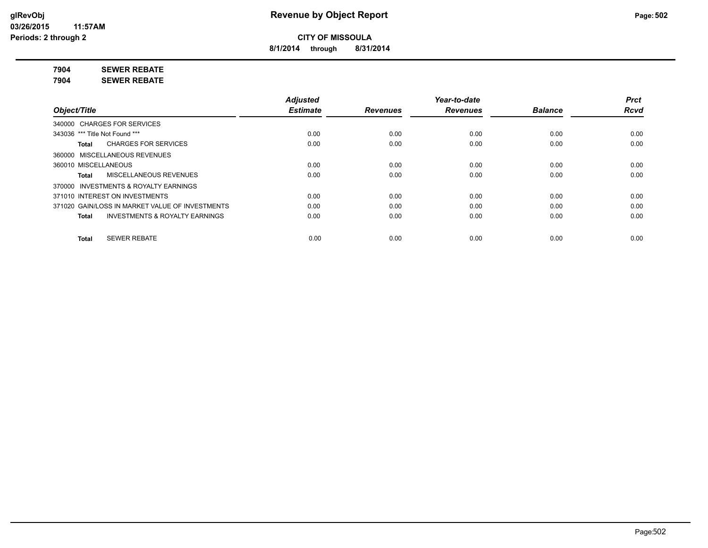**8/1/2014 through 8/31/2014**

**7904 SEWER REBATE**

**7904 SEWER REBATE**

|                                                    | <b>Adjusted</b> |                 | Year-to-date    |                | <b>Prct</b> |
|----------------------------------------------------|-----------------|-----------------|-----------------|----------------|-------------|
| Object/Title                                       | <b>Estimate</b> | <b>Revenues</b> | <b>Revenues</b> | <b>Balance</b> | <b>Rcvd</b> |
| 340000 CHARGES FOR SERVICES                        |                 |                 |                 |                |             |
| 343036 *** Title Not Found ***                     | 0.00            | 0.00            | 0.00            | 0.00           | 0.00        |
| <b>CHARGES FOR SERVICES</b><br>Total               | 0.00            | 0.00            | 0.00            | 0.00           | 0.00        |
| 360000 MISCELLANEOUS REVENUES                      |                 |                 |                 |                |             |
| 360010 MISCELLANEOUS                               | 0.00            | 0.00            | 0.00            | 0.00           | 0.00        |
| <b>MISCELLANEOUS REVENUES</b><br>Total             | 0.00            | 0.00            | 0.00            | 0.00           | 0.00        |
| 370000 INVESTMENTS & ROYALTY EARNINGS              |                 |                 |                 |                |             |
| 371010 INTEREST ON INVESTMENTS                     | 0.00            | 0.00            | 0.00            | 0.00           | 0.00        |
| 371020 GAIN/LOSS IN MARKET VALUE OF INVESTMENTS    | 0.00            | 0.00            | 0.00            | 0.00           | 0.00        |
| <b>INVESTMENTS &amp; ROYALTY EARNINGS</b><br>Total | 0.00            | 0.00            | 0.00            | 0.00           | 0.00        |
|                                                    |                 |                 |                 |                |             |
| <b>SEWER REBATE</b><br><b>Total</b>                | 0.00            | 0.00            | 0.00            | 0.00           | 0.00        |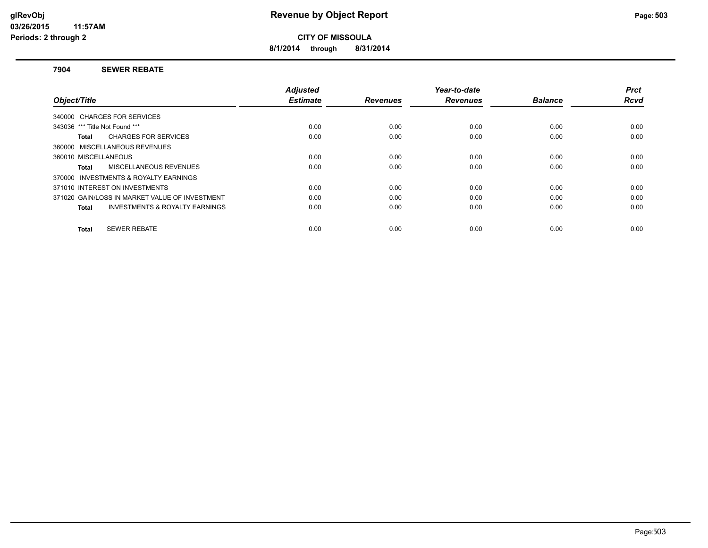**8/1/2014 through 8/31/2014**

#### **7904 SEWER REBATE**

| Object/Title                                              | <b>Adjusted</b><br><b>Estimate</b> | <b>Revenues</b> | Year-to-date<br><b>Revenues</b> | <b>Balance</b> | <b>Prct</b><br><b>Rcvd</b> |
|-----------------------------------------------------------|------------------------------------|-----------------|---------------------------------|----------------|----------------------------|
| 340000 CHARGES FOR SERVICES                               |                                    |                 |                                 |                |                            |
| 343036 *** Title Not Found ***                            | 0.00                               | 0.00            | 0.00                            | 0.00           | 0.00                       |
|                                                           |                                    |                 |                                 |                |                            |
| <b>CHARGES FOR SERVICES</b><br>Total                      | 0.00                               | 0.00            | 0.00                            | 0.00           | 0.00                       |
| 360000 MISCELLANEOUS REVENUES                             |                                    |                 |                                 |                |                            |
| 360010 MISCELLANEOUS                                      | 0.00                               | 0.00            | 0.00                            | 0.00           | 0.00                       |
| MISCELLANEOUS REVENUES<br>Total                           | 0.00                               | 0.00            | 0.00                            | 0.00           | 0.00                       |
| 370000 INVESTMENTS & ROYALTY EARNINGS                     |                                    |                 |                                 |                |                            |
| 371010 INTEREST ON INVESTMENTS                            | 0.00                               | 0.00            | 0.00                            | 0.00           | 0.00                       |
| 371020 GAIN/LOSS IN MARKET VALUE OF INVESTMENT            | 0.00                               | 0.00            | 0.00                            | 0.00           | 0.00                       |
| <b>INVESTMENTS &amp; ROYALTY EARNINGS</b><br><b>Total</b> | 0.00                               | 0.00            | 0.00                            | 0.00           | 0.00                       |
| <b>SEWER REBATE</b><br>Total                              | 0.00                               | 0.00            | 0.00                            | 0.00           | 0.00                       |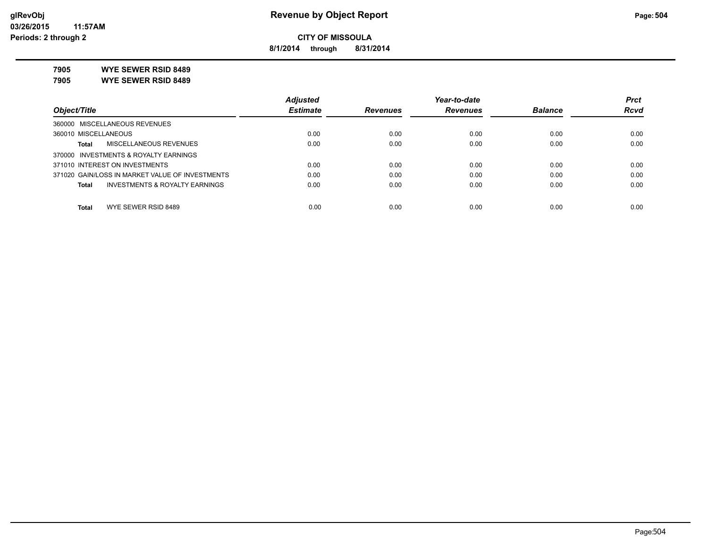**8/1/2014 through 8/31/2014**

**7905 WYE SEWER RSID 8489**

**7905 WYE SEWER RSID 8489**

|                                                 | <b>Adjusted</b> |                 | Year-to-date    |                | <b>Prct</b> |
|-------------------------------------------------|-----------------|-----------------|-----------------|----------------|-------------|
| Object/Title                                    | <b>Estimate</b> | <b>Revenues</b> | <b>Revenues</b> | <b>Balance</b> | <b>Rcvd</b> |
| 360000 MISCELLANEOUS REVENUES                   |                 |                 |                 |                |             |
| 360010 MISCELLANEOUS                            | 0.00            | 0.00            | 0.00            | 0.00           | 0.00        |
| MISCELLANEOUS REVENUES<br>Total                 | 0.00            | 0.00            | 0.00            | 0.00           | 0.00        |
| 370000 INVESTMENTS & ROYALTY EARNINGS           |                 |                 |                 |                |             |
| 371010 INTEREST ON INVESTMENTS                  | 0.00            | 0.00            | 0.00            | 0.00           | 0.00        |
| 371020 GAIN/LOSS IN MARKET VALUE OF INVESTMENTS | 0.00            | 0.00            | 0.00            | 0.00           | 0.00        |
| INVESTMENTS & ROYALTY EARNINGS<br>Total         | 0.00            | 0.00            | 0.00            | 0.00           | 0.00        |
|                                                 |                 |                 |                 |                |             |
| WYE SEWER RSID 8489<br><b>Total</b>             | 0.00            | 0.00            | 0.00            | 0.00           | 0.00        |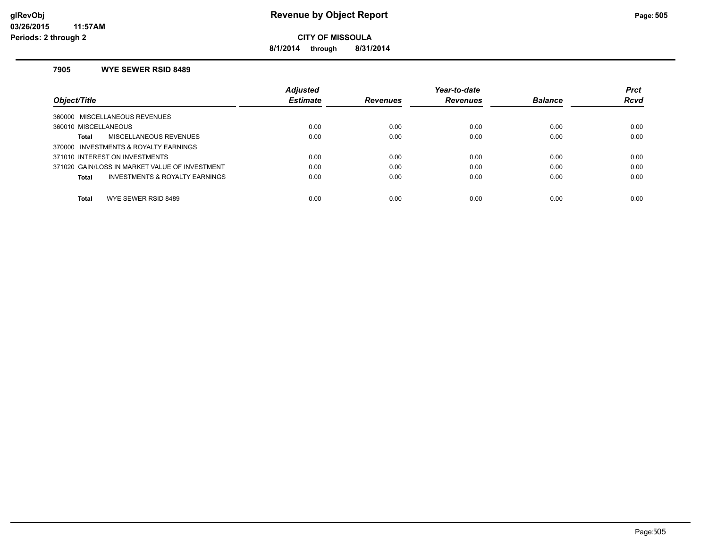**8/1/2014 through 8/31/2014**

### **7905 WYE SEWER RSID 8489**

|                                                | <b>Adjusted</b> |                 | Year-to-date    |                | <b>Prct</b> |
|------------------------------------------------|-----------------|-----------------|-----------------|----------------|-------------|
| Object/Title                                   | <b>Estimate</b> | <b>Revenues</b> | <b>Revenues</b> | <b>Balance</b> | <b>Rcvd</b> |
| 360000 MISCELLANEOUS REVENUES                  |                 |                 |                 |                |             |
| 360010 MISCELLANEOUS                           | 0.00            | 0.00            | 0.00            | 0.00           | 0.00        |
| <b>MISCELLANEOUS REVENUES</b><br>Total         | 0.00            | 0.00            | 0.00            | 0.00           | 0.00        |
| 370000 INVESTMENTS & ROYALTY EARNINGS          |                 |                 |                 |                |             |
| 371010 INTEREST ON INVESTMENTS                 | 0.00            | 0.00            | 0.00            | 0.00           | 0.00        |
| 371020 GAIN/LOSS IN MARKET VALUE OF INVESTMENT | 0.00            | 0.00            | 0.00            | 0.00           | 0.00        |
| INVESTMENTS & ROYALTY EARNINGS<br>Total        | 0.00            | 0.00            | 0.00            | 0.00           | 0.00        |
|                                                |                 |                 |                 |                |             |
| WYE SEWER RSID 8489<br><b>Total</b>            | 0.00            | 0.00            | 0.00            | 0.00           | 0.00        |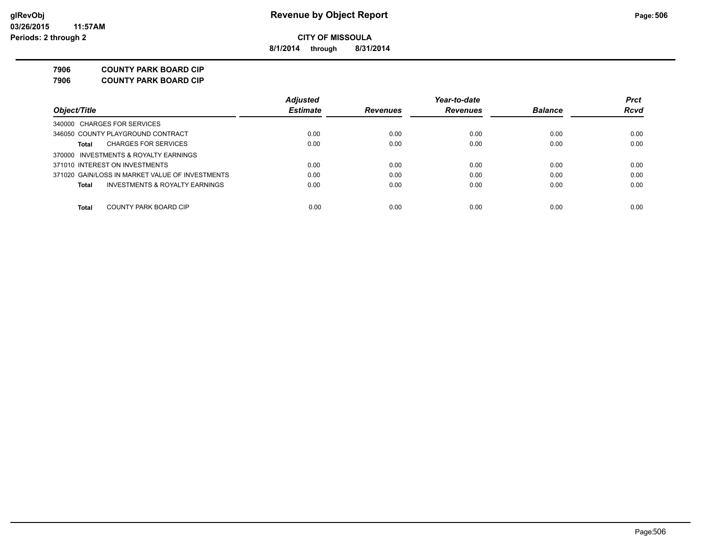**8/1/2014 through 8/31/2014**

**7906 COUNTY PARK BOARD CIP**

**7906 COUNTY PARK BOARD CIP**

|                                                 | <b>Adjusted</b> |                 | Year-to-date    |                | <b>Prct</b> |
|-------------------------------------------------|-----------------|-----------------|-----------------|----------------|-------------|
| Object/Title                                    | <b>Estimate</b> | <b>Revenues</b> | <b>Revenues</b> | <b>Balance</b> | Rcvd        |
| 340000 CHARGES FOR SERVICES                     |                 |                 |                 |                |             |
| 346050 COUNTY PLAYGROUND CONTRACT               | 0.00            | 0.00            | 0.00            | 0.00           | 0.00        |
| <b>CHARGES FOR SERVICES</b><br>Total            | 0.00            | 0.00            | 0.00            | 0.00           | 0.00        |
| 370000 INVESTMENTS & ROYALTY EARNINGS           |                 |                 |                 |                |             |
| 371010 INTEREST ON INVESTMENTS                  | 0.00            | 0.00            | 0.00            | 0.00           | 0.00        |
| 371020 GAIN/LOSS IN MARKET VALUE OF INVESTMENTS | 0.00            | 0.00            | 0.00            | 0.00           | 0.00        |
| INVESTMENTS & ROYALTY EARNINGS<br>Total         | 0.00            | 0.00            | 0.00            | 0.00           | 0.00        |
| Total<br>COUNTY PARK BOARD CIP                  | 0.00            | 0.00            | 0.00            | 0.00           | 0.00        |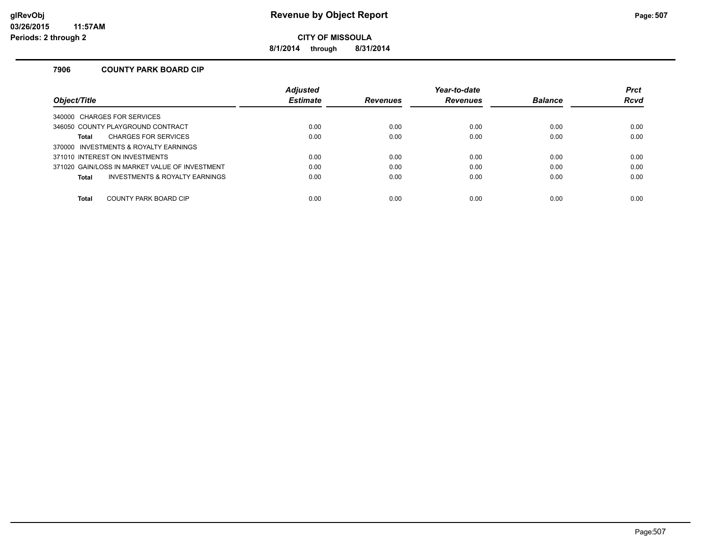**8/1/2014 through 8/31/2014**

### **7906 COUNTY PARK BOARD CIP**

|                                                | <b>Adjusted</b> |                 | Year-to-date    |                | <b>Prct</b> |
|------------------------------------------------|-----------------|-----------------|-----------------|----------------|-------------|
| Obiect/Title                                   | <b>Estimate</b> | <b>Revenues</b> | <b>Revenues</b> | <b>Balance</b> | <b>Rcvd</b> |
| 340000 CHARGES FOR SERVICES                    |                 |                 |                 |                |             |
| 346050 COUNTY PLAYGROUND CONTRACT              | 0.00            | 0.00            | 0.00            | 0.00           | 0.00        |
| <b>CHARGES FOR SERVICES</b><br><b>Total</b>    | 0.00            | 0.00            | 0.00            | 0.00           | 0.00        |
| 370000 INVESTMENTS & ROYALTY EARNINGS          |                 |                 |                 |                |             |
| 371010 INTEREST ON INVESTMENTS                 | 0.00            | 0.00            | 0.00            | 0.00           | 0.00        |
| 371020 GAIN/LOSS IN MARKET VALUE OF INVESTMENT | 0.00            | 0.00            | 0.00            | 0.00           | 0.00        |
| INVESTMENTS & ROYALTY EARNINGS<br><b>Total</b> | 0.00            | 0.00            | 0.00            | 0.00           | 0.00        |
|                                                |                 |                 |                 |                |             |
| COUNTY PARK BOARD CIP<br><b>Total</b>          | 0.00            | 0.00            | 0.00            | 0.00           | 0.00        |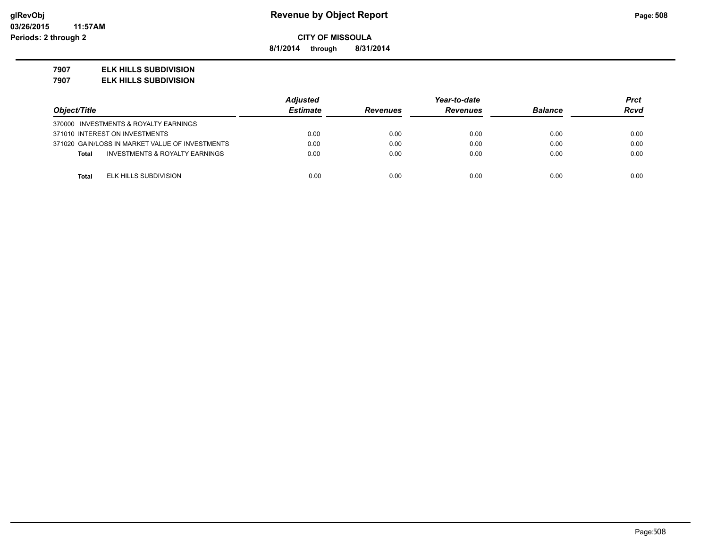**8/1/2014 through 8/31/2014**

#### **7907 ELK HILLS SUBDIVISION**

**7907 ELK HILLS SUBDIVISION**

|                                                 | <b>Adjusted</b> |                 | Year-to-date    |                | Prct |
|-------------------------------------------------|-----------------|-----------------|-----------------|----------------|------|
| Object/Title                                    | <b>Estimate</b> | <b>Revenues</b> | <b>Revenues</b> | <b>Balance</b> | Rcvd |
| 370000 INVESTMENTS & ROYALTY EARNINGS           |                 |                 |                 |                |      |
| 371010 INTEREST ON INVESTMENTS                  | 0.00            | 0.00            | 0.00            | 0.00           | 0.00 |
| 371020 GAIN/LOSS IN MARKET VALUE OF INVESTMENTS | 0.00            | 0.00            | 0.00            | 0.00           | 0.00 |
| INVESTMENTS & ROYALTY EARNINGS<br><b>Total</b>  | 0.00            | 0.00            | 0.00            | 0.00           | 0.00 |
|                                                 |                 |                 |                 |                |      |
| ELK HILLS SUBDIVISION<br><b>Total</b>           | 0.00            | 0.00            | 0.00            | 0.00           | 0.00 |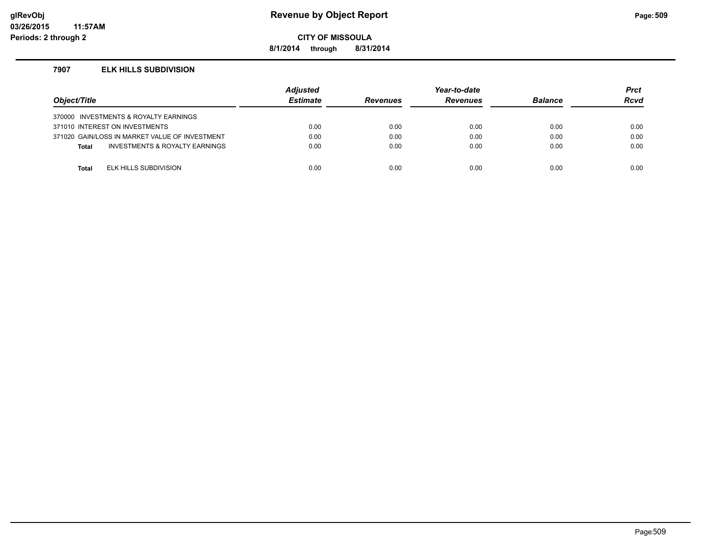### **glRevObj Revenue by Object Report Page:509**

**CITY OF MISSOULA**

**8/1/2014 through 8/31/2014**

#### **7907 ELK HILLS SUBDIVISION**

| Object/Title |                                                | <b>Adjusted</b><br><b>Estimate</b> | <b>Revenues</b> | Year-to-date<br><b>Revenues</b> | <b>Balance</b> | <b>Prct</b><br><b>Rcvd</b> |
|--------------|------------------------------------------------|------------------------------------|-----------------|---------------------------------|----------------|----------------------------|
|              | 370000 INVESTMENTS & ROYALTY EARNINGS          |                                    |                 |                                 |                |                            |
|              | 371010 INTEREST ON INVESTMENTS                 | 0.00                               | 0.00            | 0.00                            | 0.00           | 0.00                       |
|              | 371020 GAIN/LOSS IN MARKET VALUE OF INVESTMENT | 0.00                               | 0.00            | 0.00                            | 0.00           | 0.00                       |
| <b>Total</b> | INVESTMENTS & ROYALTY EARNINGS                 | 0.00                               | 0.00            | 0.00                            | 0.00           | 0.00                       |
|              |                                                |                                    |                 |                                 |                |                            |
| Total        | ELK HILLS SUBDIVISION                          | 0.00                               | 0.00            | 0.00                            | 0.00           | 0.00                       |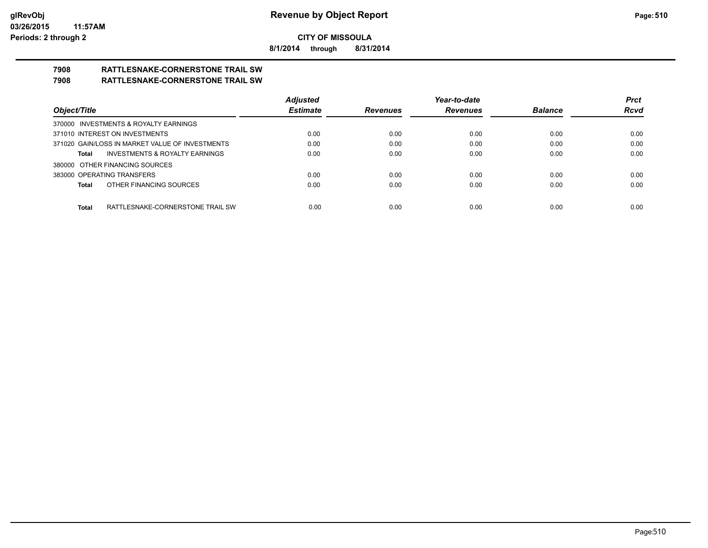**8/1/2014 through 8/31/2014**

# **7908 RATTLESNAKE-CORNERSTONE TRAIL SW**

### **7908 RATTLESNAKE-CORNERSTONE TRAIL SW**

|                                                    | <b>Adjusted</b> |                 | Year-to-date    |                | <b>Prct</b> |
|----------------------------------------------------|-----------------|-----------------|-----------------|----------------|-------------|
| Object/Title                                       | <b>Estimate</b> | <b>Revenues</b> | <b>Revenues</b> | <b>Balance</b> | <b>Rcvd</b> |
| 370000 INVESTMENTS & ROYALTY EARNINGS              |                 |                 |                 |                |             |
| 371010 INTEREST ON INVESTMENTS                     | 0.00            | 0.00            | 0.00            | 0.00           | 0.00        |
| 371020 GAIN/LOSS IN MARKET VALUE OF INVESTMENTS    | 0.00            | 0.00            | 0.00            | 0.00           | 0.00        |
| <b>INVESTMENTS &amp; ROYALTY EARNINGS</b><br>Total | 0.00            | 0.00            | 0.00            | 0.00           | 0.00        |
| 380000 OTHER FINANCING SOURCES                     |                 |                 |                 |                |             |
| 383000 OPERATING TRANSFERS                         | 0.00            | 0.00            | 0.00            | 0.00           | 0.00        |
| OTHER FINANCING SOURCES<br>Total                   | 0.00            | 0.00            | 0.00            | 0.00           | 0.00        |
|                                                    |                 |                 |                 |                |             |
| <b>Total</b><br>RATTLESNAKE-CORNERSTONE TRAIL SW   | 0.00            | 0.00            | 0.00            | 0.00           | 0.00        |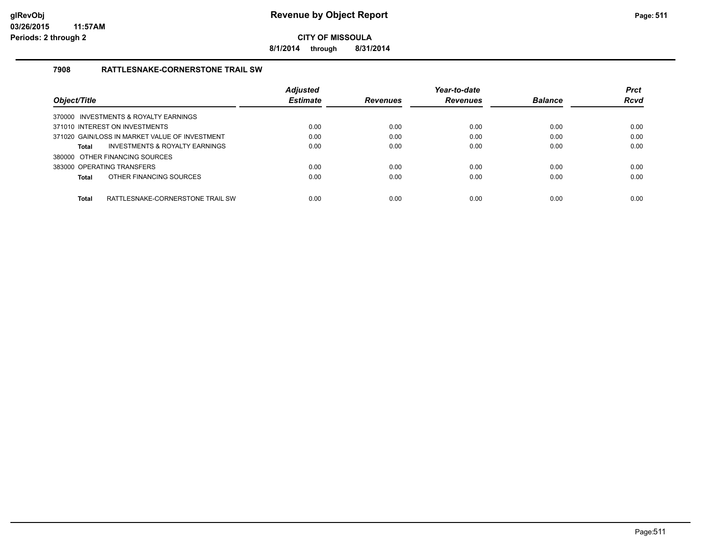**8/1/2014 through 8/31/2014**

### **7908 RATTLESNAKE-CORNERSTONE TRAIL SW**

| Obiect/Title                                     | <b>Adjusted</b><br><b>Estimate</b> | <b>Revenues</b> | Year-to-date<br><b>Revenues</b> | <b>Balance</b> | <b>Prct</b><br><b>Rcvd</b> |
|--------------------------------------------------|------------------------------------|-----------------|---------------------------------|----------------|----------------------------|
|                                                  |                                    |                 |                                 |                |                            |
| 370000 INVESTMENTS & ROYALTY EARNINGS            |                                    |                 |                                 |                |                            |
| 371010 INTEREST ON INVESTMENTS                   | 0.00                               | 0.00            | 0.00                            | 0.00           | 0.00                       |
| 371020 GAIN/LOSS IN MARKET VALUE OF INVESTMENT   | 0.00                               | 0.00            | 0.00                            | 0.00           | 0.00                       |
| INVESTMENTS & ROYALTY EARNINGS<br><b>Total</b>   | 0.00                               | 0.00            | 0.00                            | 0.00           | 0.00                       |
| 380000 OTHER FINANCING SOURCES                   |                                    |                 |                                 |                |                            |
| 383000 OPERATING TRANSFERS                       | 0.00                               | 0.00            | 0.00                            | 0.00           | 0.00                       |
| OTHER FINANCING SOURCES<br><b>Total</b>          | 0.00                               | 0.00            | 0.00                            | 0.00           | 0.00                       |
|                                                  |                                    |                 |                                 |                |                            |
| <b>Total</b><br>RATTLESNAKE-CORNERSTONE TRAIL SW | 0.00                               | 0.00            | 0.00                            | 0.00           | 0.00                       |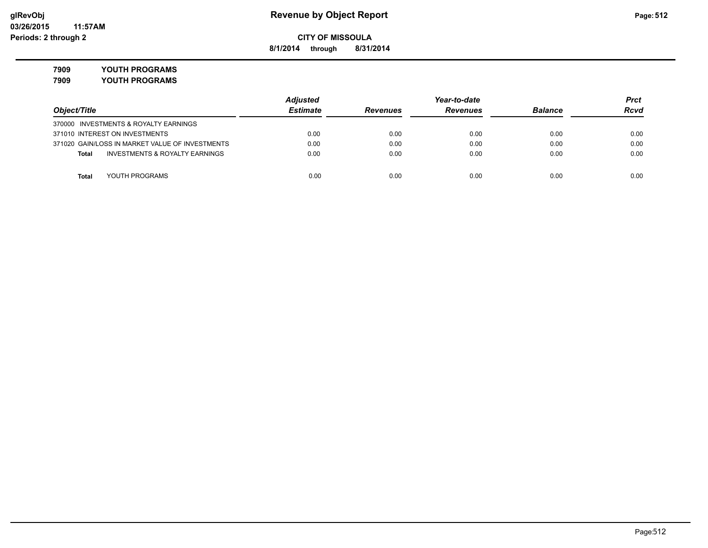**8/1/2014 through 8/31/2014**

**7909 YOUTH PROGRAMS**

**7909 YOUTH PROGRAMS**

|                                                 | <b>Adjusted</b> |                 | Year-to-date    |                | Prct        |
|-------------------------------------------------|-----------------|-----------------|-----------------|----------------|-------------|
| Object/Title                                    | <b>Estimate</b> | <b>Revenues</b> | <b>Revenues</b> | <b>Balance</b> | <b>Rcvd</b> |
| 370000 INVESTMENTS & ROYALTY EARNINGS           |                 |                 |                 |                |             |
| 371010 INTEREST ON INVESTMENTS                  | 0.00            | 0.00            | 0.00            | 0.00           | 0.00        |
| 371020 GAIN/LOSS IN MARKET VALUE OF INVESTMENTS | 0.00            | 0.00            | 0.00            | 0.00           | 0.00        |
| INVESTMENTS & ROYALTY EARNINGS<br>Total         | 0.00            | 0.00            | 0.00            | 0.00           | 0.00        |
|                                                 |                 |                 |                 |                |             |
| YOUTH PROGRAMS<br>Total                         | 0.00            | 0.00            | 0.00            | 0.00           | 0.00        |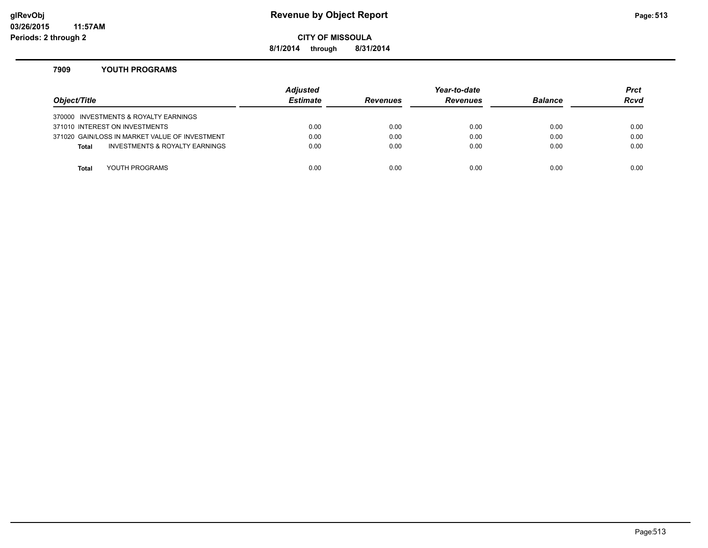### **glRevObj Revenue by Object Report Page:513**

**CITY OF MISSOULA**

**8/1/2014 through 8/31/2014**

#### **7909 YOUTH PROGRAMS**

| Object/Title |                                                | Adjusted<br><b>Estimate</b> | <b>Revenues</b> | Year-to-date<br><b>Revenues</b> | <b>Balance</b> | <b>Prct</b><br>Rcvd |
|--------------|------------------------------------------------|-----------------------------|-----------------|---------------------------------|----------------|---------------------|
|              | 370000 INVESTMENTS & ROYALTY EARNINGS          |                             |                 |                                 |                |                     |
|              | 371010 INTEREST ON INVESTMENTS                 | 0.00                        | 0.00            | 0.00                            | 0.00           | 0.00                |
|              | 371020 GAIN/LOSS IN MARKET VALUE OF INVESTMENT | 0.00                        | 0.00            | 0.00                            | 0.00           | 0.00                |
| <b>Total</b> | <b>INVESTMENTS &amp; ROYALTY EARNINGS</b>      | 0.00                        | 0.00            | 0.00                            | 0.00           | 0.00                |
|              |                                                |                             |                 |                                 |                |                     |
| Total        | YOUTH PROGRAMS                                 | 0.00                        | 0.00            | 0.00                            | 0.00           | 0.00                |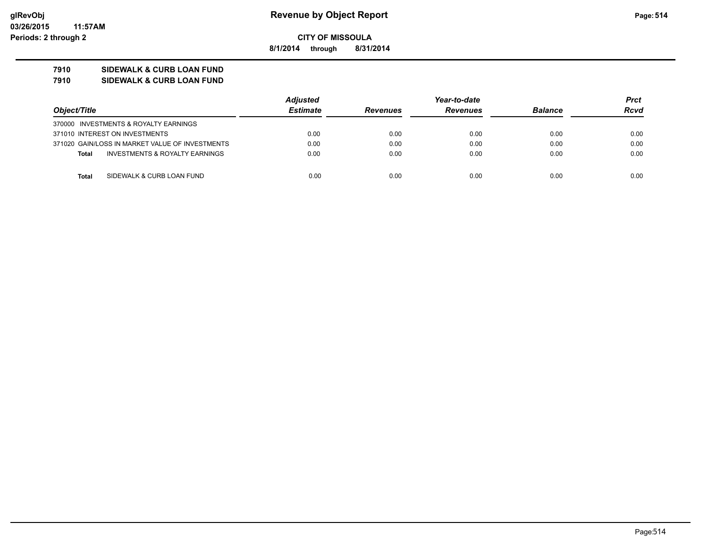**8/1/2014 through 8/31/2014**

### **7910 SIDEWALK & CURB LOAN FUND**

#### **7910 SIDEWALK & CURB LOAN FUND**

|                                                 | <b>Adjusted</b> |                 | Year-to-date    |                |             |
|-------------------------------------------------|-----------------|-----------------|-----------------|----------------|-------------|
| Object/Title                                    | <b>Estimate</b> | <b>Revenues</b> | <b>Revenues</b> | <b>Balance</b> | <b>Rcvd</b> |
| 370000 INVESTMENTS & ROYALTY EARNINGS           |                 |                 |                 |                |             |
| 371010 INTEREST ON INVESTMENTS                  | 0.00            | 0.00            | 0.00            | 0.00           | 0.00        |
| 371020 GAIN/LOSS IN MARKET VALUE OF INVESTMENTS | 0.00            | 0.00            | 0.00            | 0.00           | 0.00        |
| INVESTMENTS & ROYALTY EARNINGS<br><b>Total</b>  | 0.00            | 0.00            | 0.00            | 0.00           | 0.00        |
|                                                 |                 |                 |                 |                |             |
| SIDEWALK & CURB LOAN FUND<br>Total              | 0.00            | 0.00            | 0.00            | 0.00           | 0.00        |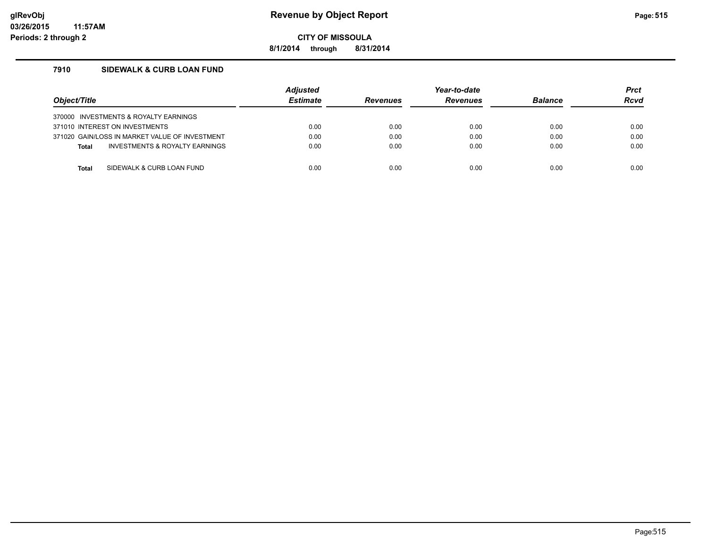**8/1/2014 through 8/31/2014**

### **7910 SIDEWALK & CURB LOAN FUND**

| Object/Title |                                                | <b>Adjusted</b><br><b>Estimate</b> | <b>Revenues</b> | Year-to-date<br><b>Revenues</b> | <b>Balance</b> | <b>Prct</b><br><b>Rcvd</b> |
|--------------|------------------------------------------------|------------------------------------|-----------------|---------------------------------|----------------|----------------------------|
|              | 370000 INVESTMENTS & ROYALTY EARNINGS          |                                    |                 |                                 |                |                            |
|              | 371010 INTEREST ON INVESTMENTS                 | 0.00                               | 0.00            | 0.00                            | 0.00           | 0.00                       |
|              | 371020 GAIN/LOSS IN MARKET VALUE OF INVESTMENT | 0.00                               | 0.00            | 0.00                            | 0.00           | 0.00                       |
| <b>Total</b> | INVESTMENTS & ROYALTY EARNINGS                 | 0.00                               | 0.00            | 0.00                            | 0.00           | 0.00                       |
|              |                                                |                                    |                 |                                 |                |                            |
| Total        | SIDEWALK & CURB LOAN FUND                      | 0.00                               | 0.00            | 0.00                            | 0.00           | 0.00                       |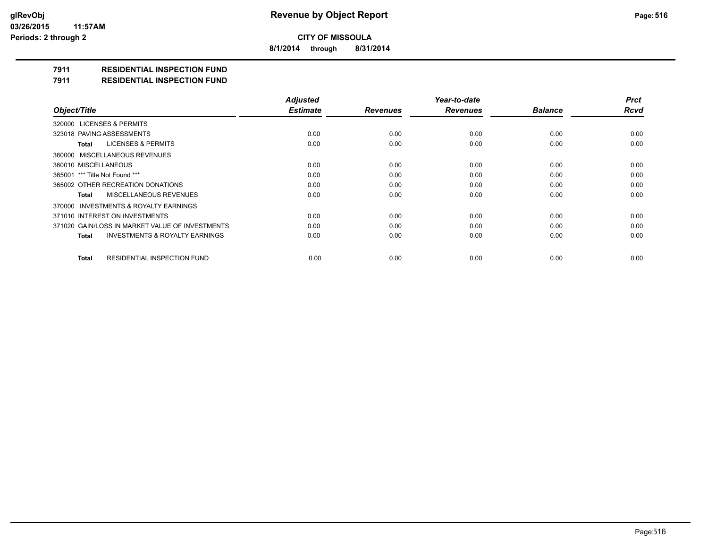**8/1/2014 through 8/31/2014**

### **7911 RESIDENTIAL INSPECTION FUND**

**7911 RESIDENTIAL INSPECTION FUND**

|                                                           | <b>Adjusted</b> |                 | Year-to-date    |                | <b>Prct</b> |
|-----------------------------------------------------------|-----------------|-----------------|-----------------|----------------|-------------|
| Object/Title                                              | <b>Estimate</b> | <b>Revenues</b> | <b>Revenues</b> | <b>Balance</b> | <b>Rcvd</b> |
| 320000 LICENSES & PERMITS                                 |                 |                 |                 |                |             |
| 323018 PAVING ASSESSMENTS                                 | 0.00            | 0.00            | 0.00            | 0.00           | 0.00        |
| <b>LICENSES &amp; PERMITS</b><br>Total                    | 0.00            | 0.00            | 0.00            | 0.00           | 0.00        |
| 360000 MISCELLANEOUS REVENUES                             |                 |                 |                 |                |             |
| 360010 MISCELLANEOUS                                      | 0.00            | 0.00            | 0.00            | 0.00           | 0.00        |
| 365001 *** Title Not Found ***                            | 0.00            | 0.00            | 0.00            | 0.00           | 0.00        |
| 365002 OTHER RECREATION DONATIONS                         | 0.00            | 0.00            | 0.00            | 0.00           | 0.00        |
| MISCELLANEOUS REVENUES<br><b>Total</b>                    | 0.00            | 0.00            | 0.00            | 0.00           | 0.00        |
| 370000 INVESTMENTS & ROYALTY EARNINGS                     |                 |                 |                 |                |             |
| 371010 INTEREST ON INVESTMENTS                            | 0.00            | 0.00            | 0.00            | 0.00           | 0.00        |
| 371020 GAIN/LOSS IN MARKET VALUE OF INVESTMENTS           | 0.00            | 0.00            | 0.00            | 0.00           | 0.00        |
| <b>INVESTMENTS &amp; ROYALTY EARNINGS</b><br><b>Total</b> | 0.00            | 0.00            | 0.00            | 0.00           | 0.00        |
| RESIDENTIAL INSPECTION FUND<br><b>Total</b>               | 0.00            | 0.00            | 0.00            | 0.00           | 0.00        |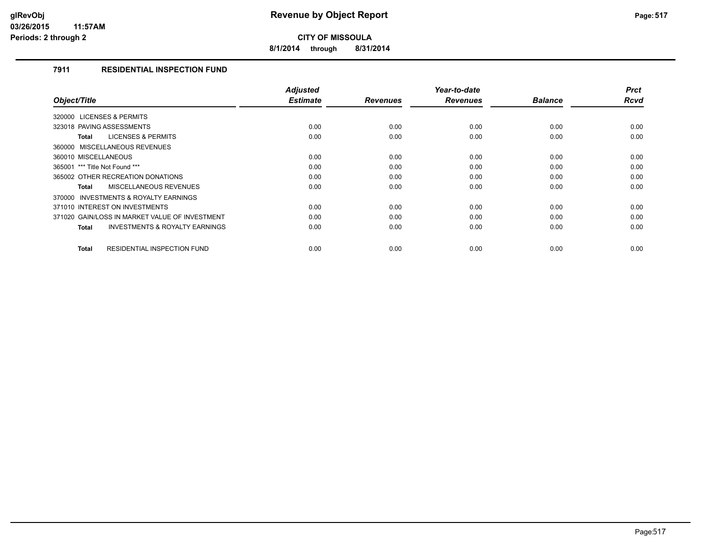**8/1/2014 through 8/31/2014**

### **7911 RESIDENTIAL INSPECTION FUND**

|                                                           | <b>Adjusted</b> |                 | Year-to-date    |                | <b>Prct</b> |
|-----------------------------------------------------------|-----------------|-----------------|-----------------|----------------|-------------|
| Object/Title                                              | <b>Estimate</b> | <b>Revenues</b> | <b>Revenues</b> | <b>Balance</b> | Rcvd        |
| 320000 LICENSES & PERMITS                                 |                 |                 |                 |                |             |
| 323018 PAVING ASSESSMENTS                                 | 0.00            | 0.00            | 0.00            | 0.00           | 0.00        |
| <b>LICENSES &amp; PERMITS</b><br><b>Total</b>             | 0.00            | 0.00            | 0.00            | 0.00           | 0.00        |
| 360000 MISCELLANEOUS REVENUES                             |                 |                 |                 |                |             |
| 360010 MISCELLANEOUS                                      | 0.00            | 0.00            | 0.00            | 0.00           | 0.00        |
| 365001 *** Title Not Found ***                            | 0.00            | 0.00            | 0.00            | 0.00           | 0.00        |
| 365002 OTHER RECREATION DONATIONS                         | 0.00            | 0.00            | 0.00            | 0.00           | 0.00        |
| <b>MISCELLANEOUS REVENUES</b><br><b>Total</b>             | 0.00            | 0.00            | 0.00            | 0.00           | 0.00        |
| INVESTMENTS & ROYALTY EARNINGS<br>370000                  |                 |                 |                 |                |             |
| 371010 INTEREST ON INVESTMENTS                            | 0.00            | 0.00            | 0.00            | 0.00           | 0.00        |
| 371020 GAIN/LOSS IN MARKET VALUE OF INVESTMENT            | 0.00            | 0.00            | 0.00            | 0.00           | 0.00        |
| <b>INVESTMENTS &amp; ROYALTY EARNINGS</b><br><b>Total</b> | 0.00            | 0.00            | 0.00            | 0.00           | 0.00        |
|                                                           |                 |                 |                 |                |             |
| <b>RESIDENTIAL INSPECTION FUND</b><br><b>Total</b>        | 0.00            | 0.00            | 0.00            | 0.00           | 0.00        |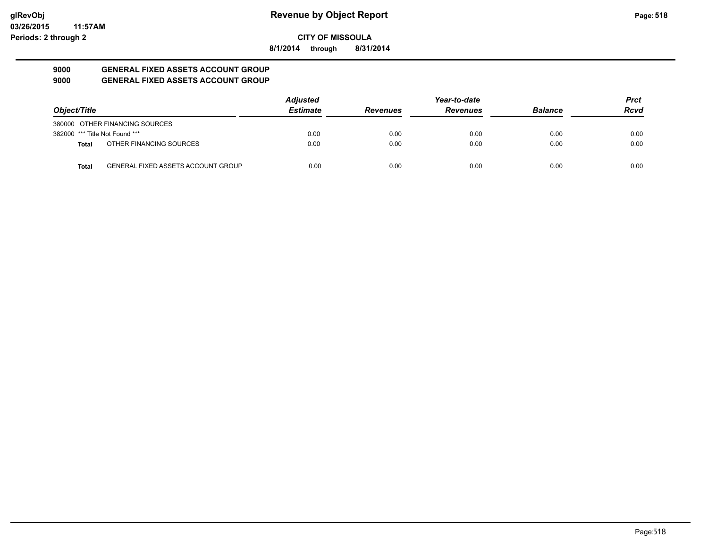**8/1/2014 through 8/31/2014**

#### **9000 GENERAL FIXED ASSETS ACCOUNT GROUP 9000 GENERAL FIXED ASSETS ACCOUNT GROUP**

|                                |                                           | <b>Adjusted</b> |                 | Year-to-date    |                | <b>Prct</b> |
|--------------------------------|-------------------------------------------|-----------------|-----------------|-----------------|----------------|-------------|
| Object/Title                   |                                           | <b>Estimate</b> | <b>Revenues</b> | <b>Revenues</b> | <b>Balance</b> | <b>Rcvd</b> |
|                                | 380000 OTHER FINANCING SOURCES            |                 |                 |                 |                |             |
| 382000 *** Title Not Found *** |                                           | 0.00            | 0.00            | 0.00            | 0.00           | 0.00        |
| <b>Total</b>                   | OTHER FINANCING SOURCES                   | 0.00            | 0.00            | 0.00            | 0.00           | 0.00        |
| <b>Total</b>                   | <b>GENERAL FIXED ASSETS ACCOUNT GROUP</b> | 0.00            | 0.00            | 0.00            | 0.00           | 0.00        |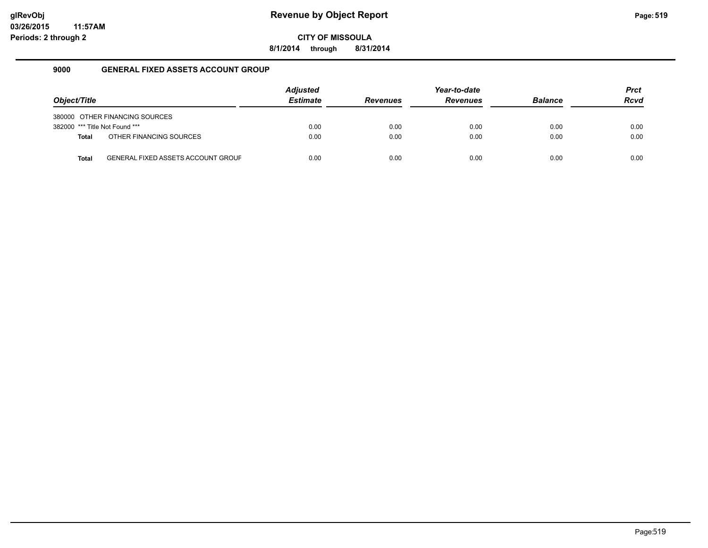**8/1/2014 through 8/31/2014**

### **9000 GENERAL FIXED ASSETS ACCOUNT GROUP**

| Object/Title                   |                                           | <b>Adjusted</b><br><b>Estimate</b> | <b>Revenues</b> | Year-to-date<br><b>Revenues</b> | <b>Balance</b> | <b>Prct</b><br><b>Rcvd</b> |
|--------------------------------|-------------------------------------------|------------------------------------|-----------------|---------------------------------|----------------|----------------------------|
|                                | 380000 OTHER FINANCING SOURCES            |                                    |                 |                                 |                |                            |
| 382000 *** Title Not Found *** |                                           | 0.00                               | 0.00            | 0.00                            | 0.00           | 0.00                       |
| <b>Total</b>                   | OTHER FINANCING SOURCES                   | 0.00                               | 0.00            | 0.00                            | 0.00           | 0.00                       |
| <b>Total</b>                   | <b>GENERAL FIXED ASSETS ACCOUNT GROUF</b> | 0.00                               | 0.00            | 0.00                            | 0.00           | 0.00                       |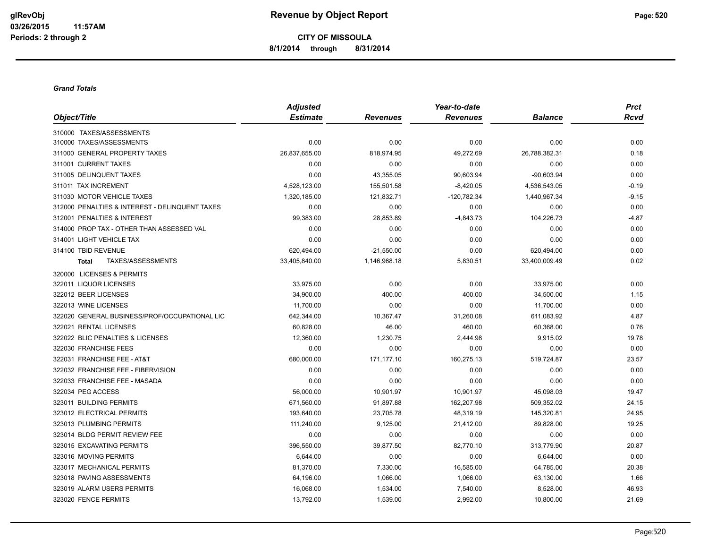**CITY OF MISSOULA 8/1/2014 through 8/31/2014**

#### *Grand Totals*

|                                                | <b>Adjusted</b> |                 | Year-to-date    |                | <b>Prct</b> |
|------------------------------------------------|-----------------|-----------------|-----------------|----------------|-------------|
| Object/Title                                   | <b>Estimate</b> | <b>Revenues</b> | <b>Revenues</b> | <b>Balance</b> | <b>Rcvd</b> |
| 310000 TAXES/ASSESSMENTS                       |                 |                 |                 |                |             |
| 310000 TAXES/ASSESSMENTS                       | 0.00            | 0.00            | 0.00            | 0.00           | 0.00        |
| 311000 GENERAL PROPERTY TAXES                  | 26,837,655.00   | 818,974.95      | 49,272.69       | 26,788,382.31  | 0.18        |
| 311001 CURRENT TAXES                           | 0.00            | 0.00            | 0.00            | 0.00           | 0.00        |
| 311005 DELINQUENT TAXES                        | 0.00            | 43,355.05       | 90,603.94       | $-90,603.94$   | 0.00        |
| 311011 TAX INCREMENT                           | 4,528,123.00    | 155,501.58      | $-8,420.05$     | 4,536,543.05   | $-0.19$     |
| 311030 MOTOR VEHICLE TAXES                     | 1,320,185.00    | 121,832.71      | -120,782.34     | 1,440,967.34   | $-9.15$     |
| 312000 PENALTIES & INTEREST - DELINQUENT TAXES | 0.00            | 0.00            | 0.00            | 0.00           | 0.00        |
| 312001 PENALTIES & INTEREST                    | 99,383.00       | 28,853.89       | $-4,843.73$     | 104,226.73     | $-4.87$     |
| 314000 PROP TAX - OTHER THAN ASSESSED VAL      | 0.00            | 0.00            | 0.00            | 0.00           | 0.00        |
| 314001 LIGHT VEHICLE TAX                       | 0.00            | 0.00            | 0.00            | 0.00           | 0.00        |
| 314100 TBID REVENUE                            | 620,494.00      | $-21,550.00$    | 0.00            | 620,494.00     | 0.00        |
| TAXES/ASSESSMENTS<br><b>Total</b>              | 33,405,840.00   | 1,146,968.18    | 5,830.51        | 33,400,009.49  | 0.02        |
| 320000 LICENSES & PERMITS                      |                 |                 |                 |                |             |
| 322011 LIQUOR LICENSES                         | 33,975.00       | 0.00            | 0.00            | 33,975.00      | 0.00        |
| 322012 BEER LICENSES                           | 34,900.00       | 400.00          | 400.00          | 34,500.00      | 1.15        |
| 322013 WINE LICENSES                           | 11,700.00       | 0.00            | 0.00            | 11,700.00      | 0.00        |
| 322020 GENERAL BUSINESS/PROF/OCCUPATIONAL LIC  | 642,344.00      | 10,367.47       | 31,260.08       | 611,083.92     | 4.87        |
| 322021 RENTAL LICENSES                         | 60,828.00       | 46.00           | 460.00          | 60,368.00      | 0.76        |
| 322022 BLIC PENALTIES & LICENSES               | 12,360.00       | 1,230.75        | 2,444.98        | 9,915.02       | 19.78       |
| 322030 FRANCHISE FEES                          | 0.00            | 0.00            | 0.00            | 0.00           | 0.00        |
| 322031 FRANCHISE FEE - AT&T                    | 680,000.00      | 171,177.10      | 160,275.13      | 519,724.87     | 23.57       |
| 322032 FRANCHISE FEE - FIBERVISION             | 0.00            | 0.00            | 0.00            | 0.00           | 0.00        |
| 322033 FRANCHISE FEE - MASADA                  | 0.00            | 0.00            | 0.00            | 0.00           | 0.00        |
| 322034 PEG ACCESS                              | 56,000.00       | 10,901.97       | 10,901.97       | 45,098.03      | 19.47       |
| 323011 BUILDING PERMITS                        | 671,560.00      | 91,897.88       | 162,207.98      | 509,352.02     | 24.15       |
| 323012 ELECTRICAL PERMITS                      | 193,640.00      | 23,705.78       | 48,319.19       | 145,320.81     | 24.95       |
| 323013 PLUMBING PERMITS                        | 111,240.00      | 9,125.00        | 21,412.00       | 89,828.00      | 19.25       |
| 323014 BLDG PERMIT REVIEW FEE                  | 0.00            | 0.00            | 0.00            | 0.00           | 0.00        |
| 323015 EXCAVATING PERMITS                      | 396,550.00      | 39,877.50       | 82,770.10       | 313,779.90     | 20.87       |
| 323016 MOVING PERMITS                          | 6,644.00        | 0.00            | 0.00            | 6,644.00       | 0.00        |
| 323017 MECHANICAL PERMITS                      | 81,370.00       | 7,330.00        | 16,585.00       | 64,785.00      | 20.38       |
| 323018 PAVING ASSESSMENTS                      | 64,196.00       | 1,066.00        | 1,066.00        | 63,130.00      | 1.66        |
| 323019 ALARM USERS PERMITS                     | 16,068.00       | 1,534.00        | 7,540.00        | 8,528.00       | 46.93       |
| 323020 FENCE PERMITS                           | 13,792.00       | 1,539.00        | 2,992.00        | 10,800.00      | 21.69       |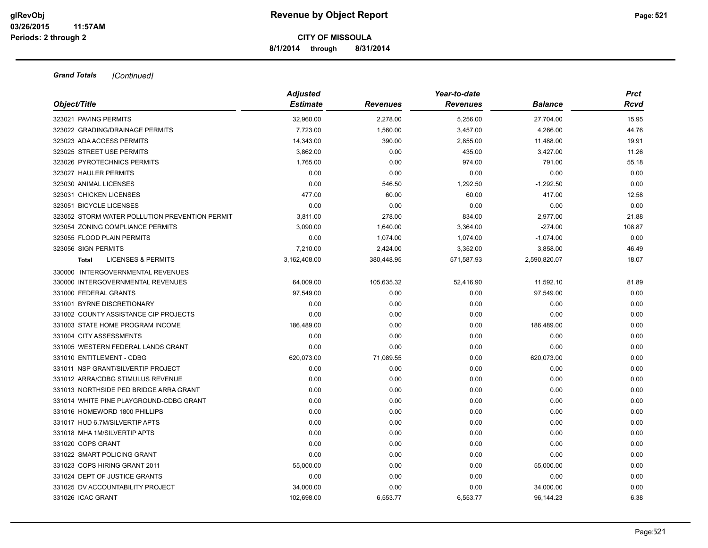**8/1/2014 through 8/31/2014**

| Object/Title                                   | <b>Adjusted</b><br><b>Estimate</b> | <b>Revenues</b> | Year-to-date<br><b>Revenues</b> | <b>Balance</b> | <b>Prct</b><br><b>Rcvd</b> |
|------------------------------------------------|------------------------------------|-----------------|---------------------------------|----------------|----------------------------|
| 323021 PAVING PERMITS                          | 32,960.00                          |                 |                                 |                | 15.95                      |
| 323022 GRADING/DRAINAGE PERMITS                |                                    | 2,278.00        | 5,256.00                        | 27,704.00      |                            |
| 323023 ADA ACCESS PERMITS                      | 7,723.00                           | 1,560.00        | 3,457.00                        | 4,266.00       | 44.76                      |
| 323025 STREET USE PERMITS                      | 14,343.00                          | 390.00          | 2,855.00                        | 11,488.00      | 19.91                      |
| 323026 PYROTECHNICS PERMITS                    | 3.862.00                           | 0.00            | 435.00                          | 3,427.00       | 11.26                      |
|                                                | 1,765.00                           | 0.00            | 974.00                          | 791.00         | 55.18                      |
| 323027 HAULER PERMITS                          | 0.00                               | 0.00            | 0.00                            | 0.00           | 0.00                       |
| 323030 ANIMAL LICENSES                         | 0.00                               | 546.50          | 1,292.50                        | $-1,292.50$    | 0.00                       |
| 323031 CHICKEN LICENSES                        | 477.00                             | 60.00           | 60.00                           | 417.00         | 12.58                      |
| 323051 BICYCLE LICENSES                        | 0.00                               | 0.00            | 0.00                            | 0.00           | 0.00                       |
| 323052 STORM WATER POLLUTION PREVENTION PERMIT | 3,811.00                           | 278.00          | 834.00                          | 2,977.00       | 21.88                      |
| 323054 ZONING COMPLIANCE PERMITS               | 3,090.00                           | 1,640.00        | 3,364.00                        | $-274.00$      | 108.87                     |
| 323055 FLOOD PLAIN PERMITS                     | 0.00                               | 1,074.00        | 1,074.00                        | $-1,074.00$    | 0.00                       |
| 323056 SIGN PERMITS                            | 7,210.00                           | 2,424.00        | 3,352.00                        | 3,858.00       | 46.49                      |
| <b>LICENSES &amp; PERMITS</b><br><b>Total</b>  | 3,162,408.00                       | 380,448.95      | 571,587.93                      | 2,590,820.07   | 18.07                      |
| 330000 INTERGOVERNMENTAL REVENUES              |                                    |                 |                                 |                |                            |
| 330000 INTERGOVERNMENTAL REVENUES              | 64,009.00                          | 105,635.32      | 52,416.90                       | 11,592.10      | 81.89                      |
| 331000 FEDERAL GRANTS                          | 97,549.00                          | 0.00            | 0.00                            | 97,549.00      | 0.00                       |
| 331001 BYRNE DISCRETIONARY                     | 0.00                               | 0.00            | 0.00                            | 0.00           | 0.00                       |
| 331002 COUNTY ASSISTANCE CIP PROJECTS          | 0.00                               | 0.00            | 0.00                            | 0.00           | 0.00                       |
| 331003 STATE HOME PROGRAM INCOME               | 186,489.00                         | 0.00            | 0.00                            | 186,489.00     | 0.00                       |
| 331004 CITY ASSESSMENTS                        | 0.00                               | 0.00            | 0.00                            | 0.00           | 0.00                       |
| 331005 WESTERN FEDERAL LANDS GRANT             | 0.00                               | 0.00            | 0.00                            | 0.00           | 0.00                       |
| 331010 ENTITLEMENT - CDBG                      | 620,073.00                         | 71,089.55       | 0.00                            | 620,073.00     | 0.00                       |
| 331011 NSP GRANT/SILVERTIP PROJECT             | 0.00                               | 0.00            | 0.00                            | 0.00           | 0.00                       |
| 331012 ARRA/CDBG STIMULUS REVENUE              | 0.00                               | 0.00            | 0.00                            | 0.00           | 0.00                       |
| 331013 NORTHSIDE PED BRIDGE ARRA GRANT         | 0.00                               | 0.00            | 0.00                            | 0.00           | 0.00                       |
| 331014 WHITE PINE PLAYGROUND-CDBG GRANT        | 0.00                               | 0.00            | 0.00                            | 0.00           | 0.00                       |
| 331016 HOMEWORD 1800 PHILLIPS                  | 0.00                               | 0.00            | 0.00                            | 0.00           | 0.00                       |
| 331017 HUD 6.7M/SILVERTIP APTS                 | 0.00                               | 0.00            | 0.00                            | 0.00           | 0.00                       |
| 331018 MHA 1M/SILVERTIP APTS                   | 0.00                               | 0.00            | 0.00                            | 0.00           | 0.00                       |
| 331020 COPS GRANT                              | 0.00                               | 0.00            | 0.00                            | 0.00           | 0.00                       |
| 331022 SMART POLICING GRANT                    | 0.00                               | 0.00            | 0.00                            | 0.00           | 0.00                       |
| 331023 COPS HIRING GRANT 2011                  | 55,000.00                          | 0.00            | 0.00                            | 55,000.00      | 0.00                       |
| 331024 DEPT OF JUSTICE GRANTS                  | 0.00                               | 0.00            | 0.00                            | 0.00           | 0.00                       |
| 331025 DV ACCOUNTABILITY PROJECT               | 34,000.00                          | 0.00            | 0.00                            | 34,000.00      | 0.00                       |
| 331026 ICAC GRANT                              | 102.698.00                         | 6,553.77        | 6,553.77                        | 96,144.23      | 6.38                       |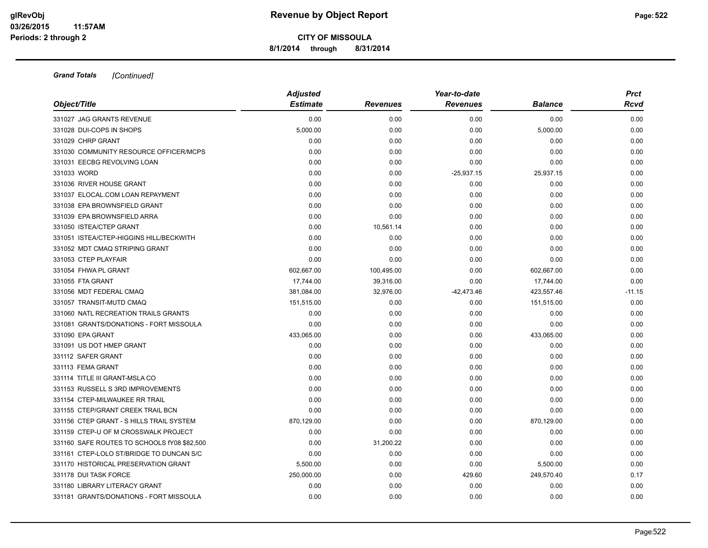**8/1/2014 through 8/31/2014**

|                                             | <b>Adjusted</b> |                 | Year-to-date    |                | <b>Prct</b> |  |
|---------------------------------------------|-----------------|-----------------|-----------------|----------------|-------------|--|
| Object/Title                                | <b>Estimate</b> | <b>Revenues</b> | <b>Revenues</b> | <b>Balance</b> | <b>Rcvd</b> |  |
| 331027 JAG GRANTS REVENUE                   | 0.00            | 0.00            | 0.00            | 0.00           | 0.00        |  |
| 331028 DUI-COPS IN SHOPS                    | 5,000.00        | 0.00            | 0.00            | 5,000.00       | 0.00        |  |
| 331029 CHRP GRANT                           | 0.00            | 0.00            | 0.00            | 0.00           | 0.00        |  |
| 331030 COMMUNITY RESOURCE OFFICER/MCPS      | 0.00            | 0.00            | 0.00            | 0.00           | 0.00        |  |
| 331031 EECBG REVOLVING LOAN                 | 0.00            | 0.00            | 0.00            | 0.00           | 0.00        |  |
| 331033 WORD                                 | 0.00            | 0.00            | $-25,937.15$    | 25,937.15      | 0.00        |  |
| 331036 RIVER HOUSE GRANT                    | 0.00            | 0.00            | 0.00            | 0.00           | 0.00        |  |
| 331037 ELOCAL.COM LOAN REPAYMENT            | 0.00            | 0.00            | 0.00            | 0.00           | 0.00        |  |
| 331038 EPA BROWNSFIELD GRANT                | 0.00            | 0.00            | 0.00            | 0.00           | 0.00        |  |
| 331039 EPA BROWNSFIELD ARRA                 | 0.00            | 0.00            | 0.00            | 0.00           | 0.00        |  |
| 331050 ISTEA/CTEP GRANT                     | 0.00            | 10,561.14       | 0.00            | 0.00           | 0.00        |  |
| 331051 ISTEA/CTEP-HIGGINS HILL/BECKWITH     | 0.00            | 0.00            | 0.00            | 0.00           | 0.00        |  |
| 331052 MDT CMAQ STRIPING GRANT              | 0.00            | 0.00            | 0.00            | 0.00           | 0.00        |  |
| 331053 CTEP PLAYFAIR                        | 0.00            | 0.00            | 0.00            | 0.00           | 0.00        |  |
| 331054 FHWA PL GRANT                        | 602,667.00      | 100,495.00      | 0.00            | 602,667.00     | 0.00        |  |
| 331055 FTA GRANT                            | 17,744.00       | 39,316.00       | 0.00            | 17,744.00      | 0.00        |  |
| 331056 MDT FEDERAL CMAQ                     | 381.084.00      | 32,976.00       | $-42,473.46$    | 423,557.46     | $-11.15$    |  |
| 331057 TRANSIT-MUTD CMAQ                    | 151,515.00      | 0.00            | 0.00            | 151,515.00     | 0.00        |  |
| 331060 NATL RECREATION TRAILS GRANTS        | 0.00            | 0.00            | 0.00            | 0.00           | 0.00        |  |
| 331081 GRANTS/DONATIONS - FORT MISSOULA     | 0.00            | 0.00            | 0.00            | 0.00           | 0.00        |  |
| 331090 EPA GRANT                            | 433,065.00      | 0.00            | 0.00            | 433,065.00     | 0.00        |  |
| 331091 US DOT HMEP GRANT                    | 0.00            | 0.00            | 0.00            | 0.00           | 0.00        |  |
| 331112 SAFER GRANT                          | 0.00            | 0.00            | 0.00            | 0.00           | 0.00        |  |
| 331113 FEMA GRANT                           | 0.00            | 0.00            | 0.00            | 0.00           | 0.00        |  |
| 331114 TITLE III GRANT-MSLA CO              | 0.00            | 0.00            | 0.00            | 0.00           | 0.00        |  |
| 331153 RUSSELL S 3RD IMPROVEMENTS           | 0.00            | 0.00            | 0.00            | 0.00           | 0.00        |  |
| 331154 CTEP-MILWAUKEE RR TRAIL              | 0.00            | 0.00            | 0.00            | 0.00           | 0.00        |  |
| 331155 CTEP/GRANT CREEK TRAIL BCN           | 0.00            | 0.00            | 0.00            | 0.00           | 0.00        |  |
| 331156 CTEP GRANT - S HILLS TRAIL SYSTEM    | 870,129.00      | 0.00            | 0.00            | 870,129.00     | 0.00        |  |
| 331159 CTEP-U OF M CROSSWALK PROJECT        | 0.00            | 0.00            | 0.00            | 0.00           | 0.00        |  |
| 331160 SAFE ROUTES TO SCHOOLS fY08 \$82,500 | 0.00            | 31,200.22       | 0.00            | 0.00           | 0.00        |  |
| 331161 CTEP-LOLO ST/BRIDGE TO DUNCAN S/C    | 0.00            | 0.00            | 0.00            | 0.00           | 0.00        |  |
| 331170 HISTORICAL PRESERVATION GRANT        | 5,500.00        | 0.00            | 0.00            | 5,500.00       | 0.00        |  |
| 331178 DUI TASK FORCE                       | 250,000.00      | 0.00            | 429.60          | 249,570.40     | 0.17        |  |
| 331180 LIBRARY LITERACY GRANT               | 0.00            | 0.00            | 0.00            | 0.00           | 0.00        |  |
| 331181 GRANTS/DONATIONS - FORT MISSOULA     | 0.00            | 0.00            | 0.00            | 0.00           | 0.00        |  |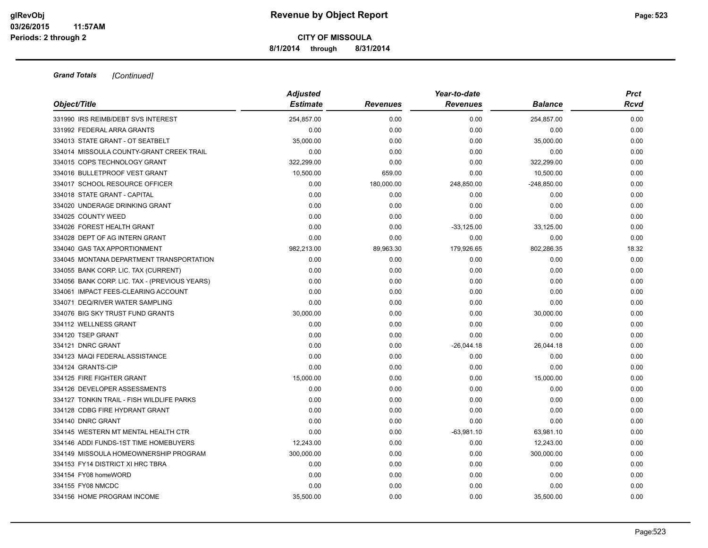**8/1/2014 through 8/31/2014**

|                                               | <b>Adjusted</b> |                 |                 | <b>Prct</b>    |       |
|-----------------------------------------------|-----------------|-----------------|-----------------|----------------|-------|
| Object/Title                                  | <b>Estimate</b> | <b>Revenues</b> | <b>Revenues</b> | <b>Balance</b> | Rcvd  |
| 331990 IRS REIMB/DEBT SVS INTEREST            | 254.857.00      | 0.00            | 0.00            | 254,857.00     | 0.00  |
| 331992 FEDERAL ARRA GRANTS                    | 0.00            | 0.00            | 0.00            | 0.00           | 0.00  |
| 334013 STATE GRANT - OT SEATBELT              | 35,000.00       | 0.00            | 0.00            | 35,000.00      | 0.00  |
| 334014 MISSOULA COUNTY-GRANT CREEK TRAIL      | 0.00            | 0.00            | 0.00            | 0.00           | 0.00  |
| 334015 COPS TECHNOLOGY GRANT                  | 322,299.00      | 0.00            | 0.00            | 322,299.00     | 0.00  |
| 334016 BULLETPROOF VEST GRANT                 | 10,500.00       | 659.00          | 0.00            | 10,500.00      | 0.00  |
| 334017 SCHOOL RESOURCE OFFICER                | 0.00            | 180,000.00      | 248,850.00      | $-248,850.00$  | 0.00  |
| 334018 STATE GRANT - CAPITAL                  | 0.00            | 0.00            | 0.00            | 0.00           | 0.00  |
| 334020 UNDERAGE DRINKING GRANT                | 0.00            | 0.00            | 0.00            | 0.00           | 0.00  |
| 334025 COUNTY WEED                            | 0.00            | 0.00            | 0.00            | 0.00           | 0.00  |
| 334026 FOREST HEALTH GRANT                    | 0.00            | 0.00            | $-33,125.00$    | 33,125.00      | 0.00  |
| 334028 DEPT OF AG INTERN GRANT                | 0.00            | 0.00            | 0.00            | 0.00           | 0.00  |
| 334040 GAS TAX APPORTIONMENT                  | 982,213.00      | 89,963.30       | 179,926.65      | 802,286.35     | 18.32 |
| 334045 MONTANA DEPARTMENT TRANSPORTATION      | 0.00            | 0.00            | 0.00            | 0.00           | 0.00  |
| 334055 BANK CORP. LIC. TAX (CURRENT)          | 0.00            | 0.00            | 0.00            | 0.00           | 0.00  |
| 334056 BANK CORP. LIC. TAX - (PREVIOUS YEARS) | 0.00            | 0.00            | 0.00            | 0.00           | 0.00  |
| 334061 IMPACT FEES-CLEARING ACCOUNT           | 0.00            | 0.00            | 0.00            | 0.00           | 0.00  |
| 334071 DEQ/RIVER WATER SAMPLING               | 0.00            | 0.00            | 0.00            | 0.00           | 0.00  |
| 334076 BIG SKY TRUST FUND GRANTS              | 30,000.00       | 0.00            | 0.00            | 30,000.00      | 0.00  |
| 334112 WELLNESS GRANT                         | 0.00            | 0.00            | 0.00            | 0.00           | 0.00  |
| 334120 TSEP GRANT                             | 0.00            | 0.00            | 0.00            | 0.00           | 0.00  |
| 334121 DNRC GRANT                             | 0.00            | 0.00            | $-26,044.18$    | 26,044.18      | 0.00  |
| 334123 MAQI FEDERAL ASSISTANCE                | 0.00            | 0.00            | 0.00            | 0.00           | 0.00  |
| 334124 GRANTS-CIP                             | 0.00            | 0.00            | 0.00            | 0.00           | 0.00  |
| 334125 FIRE FIGHTER GRANT                     | 15,000.00       | 0.00            | 0.00            | 15,000.00      | 0.00  |
| 334126 DEVELOPER ASSESSMENTS                  | 0.00            | 0.00            | 0.00            | 0.00           | 0.00  |
| 334127 TONKIN TRAIL - FISH WILDLIFE PARKS     | 0.00            | 0.00            | 0.00            | 0.00           | 0.00  |
| 334128 CDBG FIRE HYDRANT GRANT                | 0.00            | 0.00            | 0.00            | 0.00           | 0.00  |
| 334140 DNRC GRANT                             | 0.00            | 0.00            | 0.00            | 0.00           | 0.00  |
| 334145 WESTERN MT MENTAL HEALTH CTR           | 0.00            | 0.00            | $-63,981.10$    | 63,981.10      | 0.00  |
| 334146 ADDI FUNDS-1ST TIME HOMEBUYERS         | 12,243.00       | 0.00            | 0.00            | 12,243.00      | 0.00  |
| 334149 MISSOULA HOMEOWNERSHIP PROGRAM         | 300,000.00      | 0.00            | 0.00            | 300,000.00     | 0.00  |
| 334153 FY14 DISTRICT XI HRC TBRA              | 0.00            | 0.00            | 0.00            | 0.00           | 0.00  |
| 334154 FY08 homeWORD                          | 0.00            | 0.00            | 0.00            | 0.00           | 0.00  |
| 334155 FY08 NMCDC                             | 0.00            | 0.00            | 0.00            | 0.00           | 0.00  |
| 334156 HOME PROGRAM INCOME                    | 35,500.00       | 0.00            | 0.00            | 35,500.00      | 0.00  |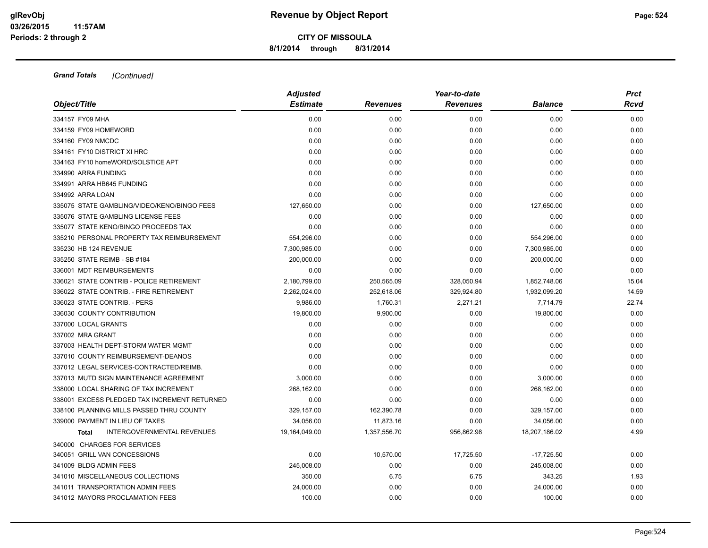**8/1/2014 through 8/31/2014**

|                                                   | <b>Adjusted</b> |                 | Year-to-date    |                | <b>Prct</b> |
|---------------------------------------------------|-----------------|-----------------|-----------------|----------------|-------------|
| Object/Title                                      | <b>Estimate</b> | <b>Revenues</b> | <b>Revenues</b> | <b>Balance</b> | Rcvd        |
| 334157 FY09 MHA                                   | 0.00            | 0.00            | 0.00            | 0.00           | 0.00        |
| 334159 FY09 HOMEWORD                              | 0.00            | 0.00            | 0.00            | 0.00           | 0.00        |
| 334160 FY09 NMCDC                                 | 0.00            | 0.00            | 0.00            | 0.00           | 0.00        |
| 334161 FY10 DISTRICT XI HRC                       | 0.00            | 0.00            | 0.00            | 0.00           | 0.00        |
| 334163 FY10 homeWORD/SOLSTICE APT                 | 0.00            | 0.00            | 0.00            | 0.00           | 0.00        |
| 334990 ARRA FUNDING                               | 0.00            | 0.00            | 0.00            | 0.00           | 0.00        |
| 334991 ARRA HB645 FUNDING                         | 0.00            | 0.00            | 0.00            | 0.00           | 0.00        |
| 334992 ARRA LOAN                                  | 0.00            | 0.00            | 0.00            | 0.00           | 0.00        |
| 335075 STATE GAMBLING/VIDEO/KENO/BINGO FEES       | 127,650.00      | 0.00            | 0.00            | 127,650.00     | 0.00        |
| 335076 STATE GAMBLING LICENSE FEES                | 0.00            | 0.00            | 0.00            | 0.00           | 0.00        |
| 335077 STATE KENO/BINGO PROCEEDS TAX              | 0.00            | 0.00            | 0.00            | 0.00           | 0.00        |
| 335210 PERSONAL PROPERTY TAX REIMBURSEMENT        | 554,296.00      | 0.00            | 0.00            | 554,296.00     | 0.00        |
| 335230 HB 124 REVENUE                             | 7,300,985.00    | 0.00            | 0.00            | 7,300,985.00   | 0.00        |
| 335250 STATE REIMB - SB #184                      | 200,000.00      | 0.00            | 0.00            | 200,000.00     | 0.00        |
| 336001 MDT REIMBURSEMENTS                         | 0.00            | 0.00            | 0.00            | 0.00           | 0.00        |
| 336021 STATE CONTRIB - POLICE RETIREMENT          | 2,180,799.00    | 250,565.09      | 328,050.94      | 1,852,748.06   | 15.04       |
| 336022 STATE CONTRIB. - FIRE RETIREMENT           | 2,262,024.00    | 252,618.06      | 329,924.80      | 1,932,099.20   | 14.59       |
| 336023 STATE CONTRIB. - PERS                      | 9,986.00        | 1,760.31        | 2,271.21        | 7,714.79       | 22.74       |
| 336030 COUNTY CONTRIBUTION                        | 19,800.00       | 9,900.00        | 0.00            | 19,800.00      | 0.00        |
| 337000 LOCAL GRANTS                               | 0.00            | 0.00            | 0.00            | 0.00           | 0.00        |
| 337002 MRA GRANT                                  | 0.00            | 0.00            | 0.00            | 0.00           | 0.00        |
| 337003 HEALTH DEPT-STORM WATER MGMT               | 0.00            | 0.00            | 0.00            | 0.00           | 0.00        |
| 337010 COUNTY REIMBURSEMENT-DEANOS                | 0.00            | 0.00            | 0.00            | 0.00           | 0.00        |
| 337012 LEGAL SERVICES-CONTRACTED/REIMB.           | 0.00            | 0.00            | 0.00            | 0.00           | 0.00        |
| 337013 MUTD SIGN MAINTENANCE AGREEMENT            | 3,000.00        | 0.00            | 0.00            | 3,000.00       | 0.00        |
| 338000 LOCAL SHARING OF TAX INCREMENT             | 268,162.00      | 0.00            | 0.00            | 268,162.00     | 0.00        |
| 338001 EXCESS PLEDGED TAX INCREMENT RETURNED      | 0.00            | 0.00            | 0.00            | 0.00           | 0.00        |
| 338100 PLANNING MILLS PASSED THRU COUNTY          | 329,157.00      | 162,390.78      | 0.00            | 329,157.00     | 0.00        |
| 339000 PAYMENT IN LIEU OF TAXES                   | 34,056.00       | 11,873.16       | 0.00            | 34,056.00      | 0.00        |
| <b>INTERGOVERNMENTAL REVENUES</b><br><b>Total</b> | 19,164,049.00   | 1,357,556.70    | 956,862.98      | 18,207,186.02  | 4.99        |
| 340000 CHARGES FOR SERVICES                       |                 |                 |                 |                |             |
| 340051 GRILL VAN CONCESSIONS                      | 0.00            | 10,570.00       | 17,725.50       | $-17,725.50$   | 0.00        |
| 341009 BLDG ADMIN FEES                            | 245,008.00      | 0.00            | 0.00            | 245,008.00     | 0.00        |
| 341010 MISCELLANEOUS COLLECTIONS                  | 350.00          | 6.75            | 6.75            | 343.25         | 1.93        |
| 341011 TRANSPORTATION ADMIN FEES                  | 24,000.00       | 0.00            | 0.00            | 24,000.00      | 0.00        |
| 341012 MAYORS PROCLAMATION FEES                   | 100.00          | 0.00            | 0.00            | 100.00         | 0.00        |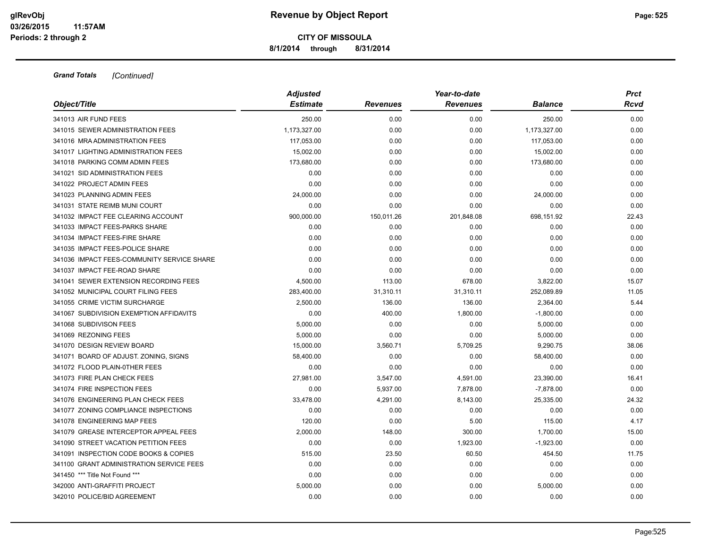**8/1/2014 through 8/31/2014**

|                                            | <b>Adjusted</b> |                 | Year-to-date    |                | <b>Prct</b> |
|--------------------------------------------|-----------------|-----------------|-----------------|----------------|-------------|
| Object/Title                               | <b>Estimate</b> | <b>Revenues</b> | <b>Revenues</b> | <b>Balance</b> | Rcvd        |
| 341013 AIR FUND FEES                       | 250.00          | 0.00            | 0.00            | 250.00         | 0.00        |
| 341015 SEWER ADMINISTRATION FEES           | 1,173,327.00    | 0.00            | 0.00            | 1,173,327.00   | 0.00        |
| 341016 MRA ADMINISTRATION FEES             | 117,053.00      | 0.00            | 0.00            | 117,053.00     | 0.00        |
| 341017 LIGHTING ADMINISTRATION FEES        | 15,002.00       | 0.00            | 0.00            | 15,002.00      | 0.00        |
| 341018 PARKING COMM ADMIN FEES             | 173,680.00      | 0.00            | 0.00            | 173,680.00     | 0.00        |
| 341021 SID ADMINISTRATION FEES             | 0.00            | 0.00            | 0.00            | 0.00           | 0.00        |
| 341022 PROJECT ADMIN FEES                  | 0.00            | 0.00            | 0.00            | 0.00           | 0.00        |
| 341023 PLANNING ADMIN FEES                 | 24,000.00       | 0.00            | 0.00            | 24,000.00      | 0.00        |
| 341031 STATE REIMB MUNI COURT              | 0.00            | 0.00            | 0.00            | 0.00           | 0.00        |
| 341032 IMPACT FEE CLEARING ACCOUNT         | 900,000.00      | 150,011.26      | 201,848.08      | 698,151.92     | 22.43       |
| 341033 IMPACT FEES-PARKS SHARE             | 0.00            | 0.00            | 0.00            | 0.00           | 0.00        |
| 341034 IMPACT FEES-FIRE SHARE              | 0.00            | 0.00            | 0.00            | 0.00           | 0.00        |
| 341035 IMPACT FEES-POLICE SHARE            | 0.00            | 0.00            | 0.00            | 0.00           | 0.00        |
| 341036 IMPACT FEES-COMMUNITY SERVICE SHARE | 0.00            | 0.00            | 0.00            | 0.00           | 0.00        |
| 341037 IMPACT FEE-ROAD SHARE               | 0.00            | 0.00            | 0.00            | 0.00           | 0.00        |
| 341041 SEWER EXTENSION RECORDING FEES      | 4,500.00        | 113.00          | 678.00          | 3,822.00       | 15.07       |
| 341052 MUNICIPAL COURT FILING FEES         | 283,400.00      | 31,310.11       | 31,310.11       | 252,089.89     | 11.05       |
| 341055 CRIME VICTIM SURCHARGE              | 2,500.00        | 136.00          | 136.00          | 2,364.00       | 5.44        |
| 341067 SUBDIVISION EXEMPTION AFFIDAVITS    | 0.00            | 400.00          | 1,800.00        | $-1,800.00$    | 0.00        |
| 341068 SUBDIVISON FEES                     | 5,000.00        | 0.00            | 0.00            | 5,000.00       | 0.00        |
| 341069 REZONING FEES                       | 5.000.00        | 0.00            | 0.00            | 5,000.00       | 0.00        |
| 341070 DESIGN REVIEW BOARD                 | 15,000.00       | 3,560.71        | 5,709.25        | 9,290.75       | 38.06       |
| 341071 BOARD OF ADJUST. ZONING, SIGNS      | 58,400.00       | 0.00            | 0.00            | 58,400.00      | 0.00        |
| 341072 FLOOD PLAIN-0THER FEES              | 0.00            | 0.00            | 0.00            | 0.00           | 0.00        |
| 341073 FIRE PLAN CHECK FEES                | 27,981.00       | 3,547.00        | 4,591.00        | 23,390.00      | 16.41       |
| 341074 FIRE INSPECTION FEES                | 0.00            | 5,937.00        | 7,878.00        | $-7,878.00$    | 0.00        |
| 341076 ENGINEERING PLAN CHECK FEES         | 33,478.00       | 4,291.00        | 8,143.00        | 25,335.00      | 24.32       |
| 341077 ZONING COMPLIANCE INSPECTIONS       | 0.00            | 0.00            | 0.00            | 0.00           | 0.00        |
| 341078 ENGINEERING MAP FEES                | 120.00          | 0.00            | 5.00            | 115.00         | 4.17        |
| 341079 GREASE INTERCEPTOR APPEAL FEES      | 2,000.00        | 148.00          | 300.00          | 1,700.00       | 15.00       |
| 341090 STREET VACATION PETITION FEES       | 0.00            | 0.00            | 1,923.00        | $-1,923.00$    | 0.00        |
| 341091 INSPECTION CODE BOOKS & COPIES      | 515.00          | 23.50           | 60.50           | 454.50         | 11.75       |
| 341100 GRANT ADMINISTRATION SERVICE FEES   | 0.00            | 0.00            | 0.00            | 0.00           | 0.00        |
| 341450 *** Title Not Found ***             | 0.00            | 0.00            | 0.00            | 0.00           | 0.00        |
| 342000 ANTI-GRAFFITI PROJECT               | 5,000.00        | 0.00            | 0.00            | 5,000.00       | 0.00        |
| 342010 POLICE/BID AGREEMENT                | 0.00            | 0.00            | 0.00            | 0.00           | 0.00        |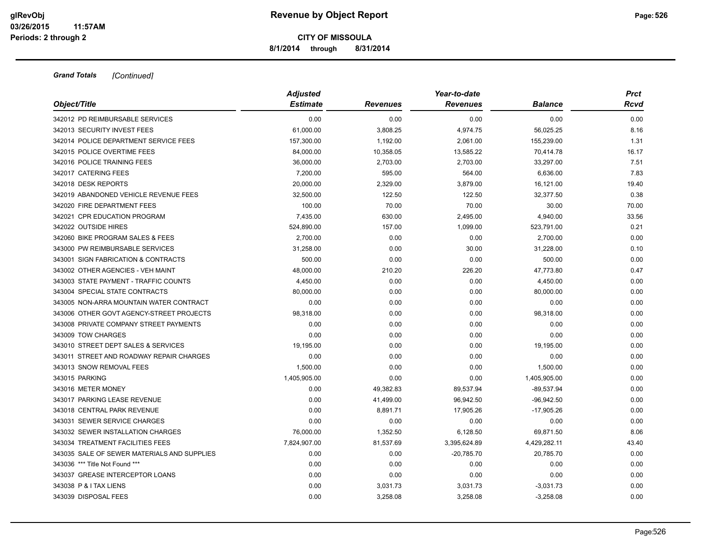**8/1/2014 through 8/31/2014**

|                                             | <b>Adjusted</b> |                 | Year-to-date    |                | <b>Prct</b> |  |
|---------------------------------------------|-----------------|-----------------|-----------------|----------------|-------------|--|
| Object/Title                                | <b>Estimate</b> | <b>Revenues</b> | <b>Revenues</b> | <b>Balance</b> | Rcvd        |  |
| 342012 PD REIMBURSABLE SERVICES             | 0.00            | 0.00            | 0.00            | 0.00           | 0.00        |  |
| 342013 SECURITY INVEST FEES                 | 61,000.00       | 3,808.25        | 4,974.75        | 56,025.25      | 8.16        |  |
| 342014 POLICE DEPARTMENT SERVICE FEES       | 157,300.00      | 1,192.00        | 2,061.00        | 155,239.00     | 1.31        |  |
| 342015 POLICE OVERTIME FEES                 | 84,000.00       | 10,358.05       | 13,585.22       | 70,414.78      | 16.17       |  |
| 342016 POLICE TRAINING FEES                 | 36,000.00       | 2,703.00        | 2,703.00        | 33,297.00      | 7.51        |  |
| 342017 CATERING FEES                        | 7,200.00        | 595.00          | 564.00          | 6,636.00       | 7.83        |  |
| 342018 DESK REPORTS                         | 20,000.00       | 2,329.00        | 3,879.00        | 16,121.00      | 19.40       |  |
| 342019 ABANDONED VEHICLE REVENUE FEES       | 32,500.00       | 122.50          | 122.50          | 32,377.50      | 0.38        |  |
| 342020 FIRE DEPARTMENT FEES                 | 100.00          | 70.00           | 70.00           | 30.00          | 70.00       |  |
| 342021 CPR EDUCATION PROGRAM                | 7,435.00        | 630.00          | 2,495.00        | 4,940.00       | 33.56       |  |
| 342022 OUTSIDE HIRES                        | 524,890.00      | 157.00          | 1,099.00        | 523,791.00     | 0.21        |  |
| 342060 BIKE PROGRAM SALES & FEES            | 2,700.00        | 0.00            | 0.00            | 2,700.00       | 0.00        |  |
| 343000 PW REIMBURSABLE SERVICES             | 31,258.00       | 0.00            | 30.00           | 31,228.00      | 0.10        |  |
| 343001 SIGN FABRICATION & CONTRACTS         | 500.00          | 0.00            | 0.00            | 500.00         | 0.00        |  |
| 343002 OTHER AGENCIES - VEH MAINT           | 48,000.00       | 210.20          | 226.20          | 47,773.80      | 0.47        |  |
| 343003 STATE PAYMENT - TRAFFIC COUNTS       | 4,450.00        | 0.00            | 0.00            | 4,450.00       | 0.00        |  |
| 343004 SPECIAL STATE CONTRACTS              | 80,000.00       | 0.00            | 0.00            | 80,000.00      | 0.00        |  |
| 343005 NON-ARRA MOUNTAIN WATER CONTRACT     | 0.00            | 0.00            | 0.00            | 0.00           | 0.00        |  |
| 343006 OTHER GOVT AGENCY-STREET PROJECTS    | 98,318.00       | 0.00            | 0.00            | 98,318.00      | 0.00        |  |
| 343008 PRIVATE COMPANY STREET PAYMENTS      | 0.00            | 0.00            | 0.00            | 0.00           | 0.00        |  |
| 343009 TOW CHARGES                          | 0.00            | 0.00            | 0.00            | 0.00           | 0.00        |  |
| 343010 STREET DEPT SALES & SERVICES         | 19,195.00       | 0.00            | 0.00            | 19,195.00      | 0.00        |  |
| 343011 STREET AND ROADWAY REPAIR CHARGES    | 0.00            | 0.00            | 0.00            | 0.00           | 0.00        |  |
| 343013 SNOW REMOVAL FEES                    | 1,500.00        | 0.00            | 0.00            | 1,500.00       | 0.00        |  |
| 343015 PARKING                              | 1,405,905.00    | 0.00            | 0.00            | 1,405,905.00   | 0.00        |  |
| 343016 METER MONEY                          | 0.00            | 49,382.83       | 89,537.94       | $-89,537.94$   | 0.00        |  |
| 343017 PARKING LEASE REVENUE                | 0.00            | 41,499.00       | 96,942.50       | $-96,942.50$   | 0.00        |  |
| 343018 CENTRAL PARK REVENUE                 | 0.00            | 8,891.71        | 17,905.26       | $-17,905.26$   | 0.00        |  |
| 343031 SEWER SERVICE CHARGES                | 0.00            | 0.00            | 0.00            | 0.00           | 0.00        |  |
| 343032 SEWER INSTALLATION CHARGES           | 76,000.00       | 1,352.50        | 6,128.50        | 69,871.50      | 8.06        |  |
| 343034 TREATMENT FACILITIES FEES            | 7,824,907.00    | 81,537.69       | 3,395,624.89    | 4,429,282.11   | 43.40       |  |
| 343035 SALE OF SEWER MATERIALS AND SUPPLIES | 0.00            | 0.00            | $-20,785.70$    | 20,785.70      | 0.00        |  |
| 343036 *** Title Not Found ***              | 0.00            | 0.00            | 0.00            | 0.00           | 0.00        |  |
| 343037 GREASE INTERCEPTOR LOANS             | 0.00            | 0.00            | 0.00            | 0.00           | 0.00        |  |
| 343038 P & I TAX LIENS                      | 0.00            | 3,031.73        | 3,031.73        | $-3,031.73$    | 0.00        |  |
| 343039 DISPOSAL FEES                        | 0.00            | 3,258.08        | 3,258.08        | $-3,258.08$    | 0.00        |  |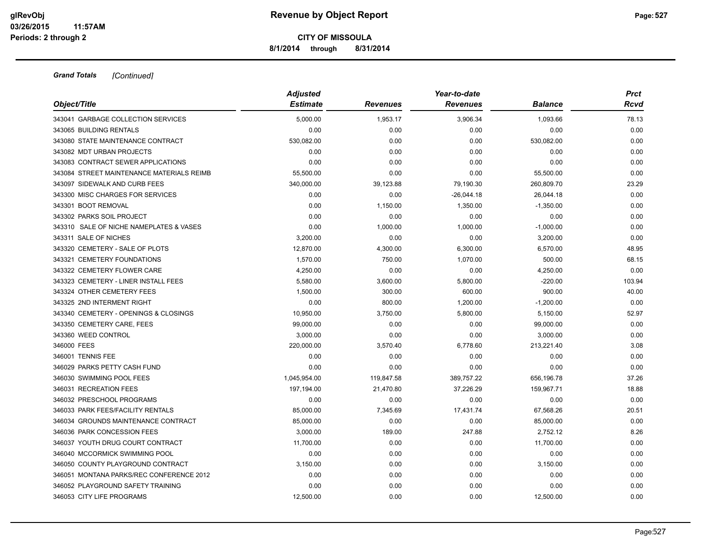**8/1/2014 through 8/31/2014**

| Object/Title                              | <b>Adjusted</b> |                 | Year-to-date    |                | <b>Prct</b> |  |
|-------------------------------------------|-----------------|-----------------|-----------------|----------------|-------------|--|
|                                           | <b>Estimate</b> | <b>Revenues</b> | <b>Revenues</b> | <b>Balance</b> | Rcvd        |  |
| 343041 GARBAGE COLLECTION SERVICES        | 5,000.00        | 1,953.17        | 3,906.34        | 1,093.66       | 78.13       |  |
| 343065 BUILDING RENTALS                   | 0.00            | 0.00            | 0.00            | 0.00           | 0.00        |  |
| 343080 STATE MAINTENANCE CONTRACT         | 530,082.00      | 0.00            | 0.00            | 530,082.00     | 0.00        |  |
| 343082 MDT URBAN PROJECTS                 | 0.00            | 0.00            | 0.00            | 0.00           | 0.00        |  |
| 343083 CONTRACT SEWER APPLICATIONS        | 0.00            | 0.00            | 0.00            | 0.00           | 0.00        |  |
| 343084 STREET MAINTENANCE MATERIALS REIMB | 55,500.00       | 0.00            | 0.00            | 55,500.00      | 0.00        |  |
| 343097 SIDEWALK AND CURB FEES             | 340,000.00      | 39,123.88       | 79,190.30       | 260,809.70     | 23.29       |  |
| 343300 MISC CHARGES FOR SERVICES          | 0.00            | 0.00            | $-26,044.18$    | 26,044.18      | 0.00        |  |
| 343301 BOOT REMOVAL                       | 0.00            | 1,150.00        | 1,350.00        | $-1,350.00$    | 0.00        |  |
| 343302 PARKS SOIL PROJECT                 | 0.00            | 0.00            | 0.00            | 0.00           | 0.00        |  |
| 343310 SALE OF NICHE NAMEPLATES & VASES   | 0.00            | 1,000.00        | 1,000.00        | $-1,000.00$    | 0.00        |  |
| 343311 SALE OF NICHES                     | 3,200.00        | 0.00            | 0.00            | 3,200.00       | 0.00        |  |
| 343320 CEMETERY - SALE OF PLOTS           | 12,870.00       | 4,300.00        | 6,300.00        | 6,570.00       | 48.95       |  |
| 343321 CEMETERY FOUNDATIONS               | 1,570.00        | 750.00          | 1,070.00        | 500.00         | 68.15       |  |
| 343322 CEMETERY FLOWER CARE               | 4,250.00        | 0.00            | 0.00            | 4,250.00       | 0.00        |  |
| 343323 CEMETERY - LINER INSTALL FEES      | 5,580.00        | 3,600.00        | 5,800.00        | $-220.00$      | 103.94      |  |
| 343324 OTHER CEMETERY FEES                | 1,500.00        | 300.00          | 600.00          | 900.00         | 40.00       |  |
| 343325 2ND INTERMENT RIGHT                | 0.00            | 800.00          | 1,200.00        | $-1,200.00$    | 0.00        |  |
| 343340 CEMETERY - OPENINGS & CLOSINGS     | 10,950.00       | 3,750.00        | 5,800.00        | 5,150.00       | 52.97       |  |
| 343350 CEMETERY CARE, FEES                | 99,000.00       | 0.00            | 0.00            | 99,000.00      | 0.00        |  |
| 343360 WEED CONTROL                       | 3,000.00        | 0.00            | 0.00            | 3,000.00       | 0.00        |  |
| 346000 FEES                               | 220,000.00      | 3,570.40        | 6,778.60        | 213,221.40     | 3.08        |  |
| 346001 TENNIS FEE                         | 0.00            | 0.00            | 0.00            | 0.00           | 0.00        |  |
| 346029 PARKS PETTY CASH FUND              | 0.00            | 0.00            | 0.00            | 0.00           | 0.00        |  |
| 346030 SWIMMING POOL FEES                 | 1,045,954.00    | 119,847.58      | 389,757.22      | 656,196.78     | 37.26       |  |
| 346031 RECREATION FEES                    | 197,194.00      | 21,470.80       | 37,226.29       | 159,967.71     | 18.88       |  |
| 346032 PRESCHOOL PROGRAMS                 | 0.00            | 0.00            | 0.00            | 0.00           | 0.00        |  |
| 346033 PARK FEES/FACILITY RENTALS         | 85,000.00       | 7,345.69        | 17,431.74       | 67,568.26      | 20.51       |  |
| 346034 GROUNDS MAINTENANCE CONTRACT       | 85,000.00       | 0.00            | 0.00            | 85,000.00      | 0.00        |  |
| 346036 PARK CONCESSION FEES               | 3,000.00        | 189.00          | 247.88          | 2,752.12       | 8.26        |  |
| 346037 YOUTH DRUG COURT CONTRACT          | 11,700.00       | 0.00            | 0.00            | 11,700.00      | 0.00        |  |
| 346040 MCCORMICK SWIMMING POOL            | 0.00            | 0.00            | 0.00            | 0.00           | 0.00        |  |
| 346050 COUNTY PLAYGROUND CONTRACT         | 3,150.00        | 0.00            | 0.00            | 3,150.00       | 0.00        |  |
| 346051 MONTANA PARKS/REC CONFERENCE 2012  | 0.00            | 0.00            | 0.00            | 0.00           | 0.00        |  |
| 346052 PLAYGROUND SAFETY TRAINING         | 0.00            | 0.00            | 0.00            | 0.00           | 0.00        |  |
| 346053 CITY LIFE PROGRAMS                 | 12.500.00       | 0.00            | 0.00            | 12,500.00      | 0.00        |  |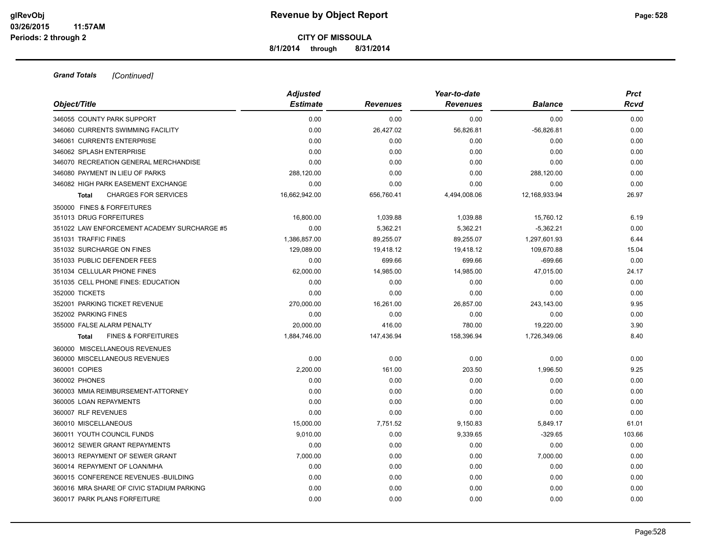**8/1/2014 through 8/31/2014**

| Object/Title                                   | <b>Adjusted</b><br><b>Estimate</b> | <b>Revenues</b> | Year-to-date<br><b>Revenues</b> | <b>Balance</b> | <b>Prct</b><br>Rcvd |
|------------------------------------------------|------------------------------------|-----------------|---------------------------------|----------------|---------------------|
|                                                |                                    |                 |                                 |                |                     |
| 346055 COUNTY PARK SUPPORT                     | 0.00                               | 0.00            | 0.00                            | 0.00           | 0.00                |
| 346060 CURRENTS SWIMMING FACILITY              | 0.00                               | 26,427.02       | 56,826.81                       | $-56,826.81$   | 0.00                |
| 346061 CURRENTS ENTERPRISE                     | 0.00                               | 0.00            | 0.00                            | 0.00           | 0.00                |
| 346062 SPLASH ENTERPRISE                       | 0.00                               | 0.00            | 0.00                            | 0.00           | 0.00                |
| 346070 RECREATION GENERAL MERCHANDISE          | 0.00                               | 0.00            | 0.00                            | 0.00           | 0.00                |
| 346080 PAYMENT IN LIEU OF PARKS                | 288,120.00                         | 0.00            | 0.00                            | 288,120.00     | 0.00                |
| 346082 HIGH PARK EASEMENT EXCHANGE             | 0.00                               | 0.00            | 0.00                            | 0.00           | 0.00                |
| <b>CHARGES FOR SERVICES</b><br><b>Total</b>    | 16,662,942.00                      | 656,760.41      | 4,494,008.06                    | 12,168,933.94  | 26.97               |
| 350000 FINES & FORFEITURES                     |                                    |                 |                                 |                |                     |
| 351013 DRUG FORFEITURES                        | 16,800.00                          | 1,039.88        | 1,039.88                        | 15,760.12      | 6.19                |
| 351022 LAW ENFORCEMENT ACADEMY SURCHARGE #5    | 0.00                               | 5,362.21        | 5,362.21                        | $-5,362.21$    | 0.00                |
| 351031 TRAFFIC FINES                           | 1,386,857.00                       | 89,255.07       | 89,255.07                       | 1,297,601.93   | 6.44                |
| 351032 SURCHARGE ON FINES                      | 129,089.00                         | 19,418.12       | 19,418.12                       | 109,670.88     | 15.04               |
| 351033 PUBLIC DEFENDER FEES                    | 0.00                               | 699.66          | 699.66                          | $-699.66$      | 0.00                |
| 351034 CELLULAR PHONE FINES                    | 62,000.00                          | 14,985.00       | 14,985.00                       | 47,015.00      | 24.17               |
| 351035 CELL PHONE FINES: EDUCATION             | 0.00                               | 0.00            | 0.00                            | 0.00           | 0.00                |
| 352000 TICKETS                                 | 0.00                               | 0.00            | 0.00                            | 0.00           | 0.00                |
| 352001 PARKING TICKET REVENUE                  | 270,000.00                         | 16,261.00       | 26,857.00                       | 243,143.00     | 9.95                |
| 352002 PARKING FINES                           | 0.00                               | 0.00            | 0.00                            | 0.00           | 0.00                |
| 355000 FALSE ALARM PENALTY                     | 20,000.00                          | 416.00          | 780.00                          | 19,220.00      | 3.90                |
| <b>FINES &amp; FORFEITURES</b><br><b>Total</b> | 1,884,746.00                       | 147,436.94      | 158,396.94                      | 1,726,349.06   | 8.40                |
| 360000 MISCELLANEOUS REVENUES                  |                                    |                 |                                 |                |                     |
| 360000 MISCELLANEOUS REVENUES                  | 0.00                               | 0.00            | 0.00                            | 0.00           | 0.00                |
| 360001 COPIES                                  | 2.200.00                           | 161.00          | 203.50                          | 1,996.50       | 9.25                |
| 360002 PHONES                                  | 0.00                               | 0.00            | 0.00                            | 0.00           | 0.00                |
| 360003 MMIA REIMBURSEMENT-ATTORNEY             | 0.00                               | 0.00            | 0.00                            | 0.00           | 0.00                |
| 360005 LOAN REPAYMENTS                         | 0.00                               | 0.00            | 0.00                            | 0.00           | 0.00                |
| 360007 RLF REVENUES                            | 0.00                               | 0.00            | 0.00                            | 0.00           | 0.00                |
| 360010 MISCELLANEOUS                           | 15,000.00                          | 7,751.52        | 9,150.83                        | 5,849.17       | 61.01               |
| 360011 YOUTH COUNCIL FUNDS                     | 9,010.00                           | 0.00            | 9,339.65                        | $-329.65$      | 103.66              |
| 360012 SEWER GRANT REPAYMENTS                  | 0.00                               | 0.00            | 0.00                            | 0.00           | 0.00                |
| 360013 REPAYMENT OF SEWER GRANT                | 7,000.00                           | 0.00            | 0.00                            | 7,000.00       | 0.00                |
| 360014 REPAYMENT OF LOAN/MHA                   | 0.00                               | 0.00            | 0.00                            | 0.00           | 0.00                |
| 360015 CONFERENCE REVENUES - BUILDING          | 0.00                               | 0.00            | 0.00                            | 0.00           | 0.00                |
| 360016 MRA SHARE OF CIVIC STADIUM PARKING      | 0.00                               | 0.00            | 0.00                            | 0.00           | 0.00                |
| 360017 PARK PLANS FORFEITURE                   | 0.00                               | 0.00            | 0.00                            | 0.00           | 0.00                |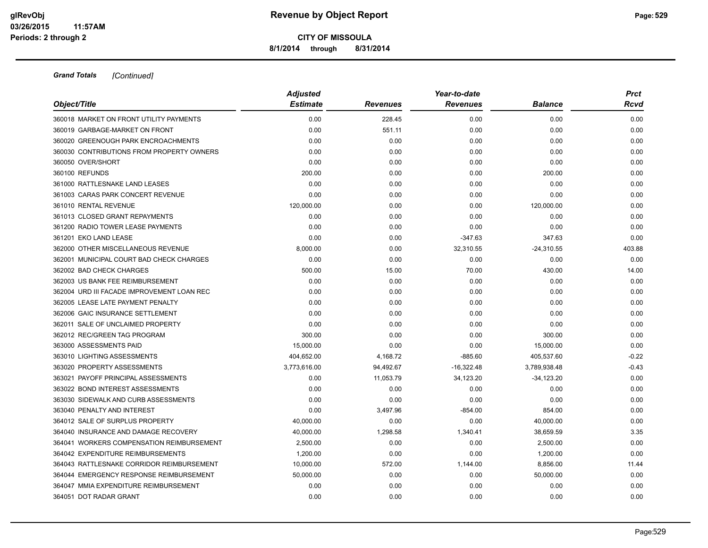**8/1/2014 through 8/31/2014**

| Object/Title                               | <b>Adjusted</b> |                 | Year-to-date    |                | <b>Prct</b><br>Rcvd |
|--------------------------------------------|-----------------|-----------------|-----------------|----------------|---------------------|
|                                            | <b>Estimate</b> | <b>Revenues</b> | <b>Revenues</b> | <b>Balance</b> |                     |
| 360018 MARKET ON FRONT UTILITY PAYMENTS    | 0.00            | 228.45          | 0.00            | 0.00           | 0.00                |
| 360019 GARBAGE-MARKET ON FRONT             | 0.00            | 551.11          | 0.00            | 0.00           | 0.00                |
| 360020 GREENOUGH PARK ENCROACHMENTS        | 0.00            | 0.00            | 0.00            | 0.00           | 0.00                |
| 360030 CONTRIBUTIONS FROM PROPERTY OWNERS  | 0.00            | 0.00            | 0.00            | 0.00           | 0.00                |
| 360050 OVER/SHORT                          | 0.00            | 0.00            | 0.00            | 0.00           | 0.00                |
| 360100 REFUNDS                             | 200.00          | 0.00            | 0.00            | 200.00         | 0.00                |
| 361000 RATTLESNAKE LAND LEASES             | 0.00            | 0.00            | 0.00            | 0.00           | 0.00                |
| 361003 CARAS PARK CONCERT REVENUE          | 0.00            | 0.00            | 0.00            | 0.00           | 0.00                |
| 361010 RENTAL REVENUE                      | 120,000.00      | 0.00            | 0.00            | 120,000.00     | 0.00                |
| 361013 CLOSED GRANT REPAYMENTS             | 0.00            | 0.00            | 0.00            | 0.00           | 0.00                |
| 361200 RADIO TOWER LEASE PAYMENTS          | 0.00            | 0.00            | 0.00            | 0.00           | 0.00                |
| 361201 EKO LAND LEASE                      | 0.00            | 0.00            | $-347.63$       | 347.63         | 0.00                |
| 362000 OTHER MISCELLANEOUS REVENUE         | 8,000.00        | 0.00            | 32,310.55       | $-24,310.55$   | 403.88              |
| 362001 MUNICIPAL COURT BAD CHECK CHARGES   | 0.00            | 0.00            | 0.00            | 0.00           | 0.00                |
| 362002 BAD CHECK CHARGES                   | 500.00          | 15.00           | 70.00           | 430.00         | 14.00               |
| 362003 US BANK FEE REIMBURSEMENT           | 0.00            | 0.00            | 0.00            | 0.00           | 0.00                |
| 362004 URD III FACADE IMPROVEMENT LOAN REC | 0.00            | 0.00            | 0.00            | 0.00           | 0.00                |
| 362005 LEASE LATE PAYMENT PENALTY          | 0.00            | 0.00            | 0.00            | 0.00           | 0.00                |
| 362006 GAIC INSURANCE SETTLEMENT           | 0.00            | 0.00            | 0.00            | 0.00           | 0.00                |
| 362011 SALE OF UNCLAIMED PROPERTY          | 0.00            | 0.00            | 0.00            | 0.00           | 0.00                |
| 362012 REC/GREEN TAG PROGRAM               | 300.00          | 0.00            | 0.00            | 300.00         | 0.00                |
| 363000 ASSESSMENTS PAID                    | 15,000.00       | 0.00            | 0.00            | 15,000.00      | 0.00                |
| 363010 LIGHTING ASSESSMENTS                | 404,652.00      | 4,168.72        | $-885.60$       | 405,537.60     | $-0.22$             |
| 363020 PROPERTY ASSESSMENTS                | 3,773,616.00    | 94,492.67       | $-16,322.48$    | 3,789,938.48   | $-0.43$             |
| 363021 PAYOFF PRINCIPAL ASSESSMENTS        | 0.00            | 11,053.79       | 34,123.20       | $-34,123.20$   | 0.00                |
| 363022 BOND INTEREST ASSESSMENTS           | 0.00            | 0.00            | 0.00            | 0.00           | 0.00                |
| 363030 SIDEWALK AND CURB ASSESSMENTS       | 0.00            | 0.00            | 0.00            | 0.00           | 0.00                |
| 363040 PENALTY AND INTEREST                | 0.00            | 3,497.96        | $-854.00$       | 854.00         | 0.00                |
| 364012 SALE OF SURPLUS PROPERTY            | 40,000.00       | 0.00            | 0.00            | 40,000.00      | 0.00                |
| 364040 INSURANCE AND DAMAGE RECOVERY       | 40,000.00       | 1,298.58        | 1,340.41        | 38,659.59      | 3.35                |
| 364041 WORKERS COMPENSATION REIMBURSEMENT  | 2,500.00        | 0.00            | 0.00            | 2,500.00       | 0.00                |
| 364042 EXPENDITURE REIMBURSEMENTS          | 1,200.00        | 0.00            | 0.00            | 1,200.00       | 0.00                |
| 364043 RATTLESNAKE CORRIDOR REIMBURSEMENT  | 10,000.00       | 572.00          | 1,144.00        | 8,856.00       | 11.44               |
| 364044 EMERGENCY RESPONSE REIMBURSEMENT    | 50,000.00       | 0.00            | 0.00            | 50,000.00      | 0.00                |
| 364047 MMIA EXPENDITURE REIMBURSEMENT      | 0.00            | 0.00            | 0.00            | 0.00           | 0.00                |
| 364051 DOT RADAR GRANT                     | 0.00            | 0.00            | 0.00            | 0.00           | 0.00                |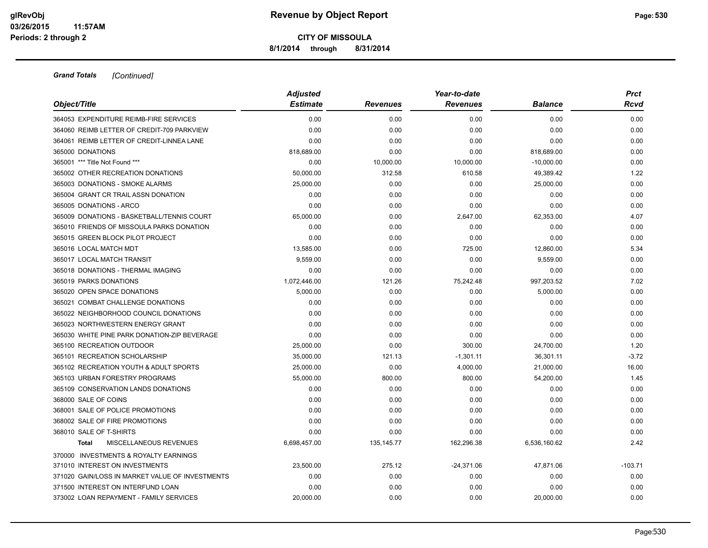### **CITY OF MISSOULA 8/1/2014 through 8/31/2014**

| Object/Title                                    | <b>Adjusted</b> |                 | Year-to-date    |                | <b>Prct</b> |
|-------------------------------------------------|-----------------|-----------------|-----------------|----------------|-------------|
|                                                 | <b>Estimate</b> | <b>Revenues</b> | <b>Revenues</b> | <b>Balance</b> | Rcvd        |
| 364053 EXPENDITURE REIMB-FIRE SERVICES          | 0.00            | 0.00            | 0.00            | 0.00           | 0.00        |
| 364060 REIMB LETTER OF CREDIT-709 PARKVIEW      | 0.00            | 0.00            | 0.00            | 0.00           | 0.00        |
| 364061 REIMB LETTER OF CREDIT-LINNEA LANE       | 0.00            | 0.00            | 0.00            | 0.00           | 0.00        |
| 365000 DONATIONS                                | 818,689.00      | 0.00            | 0.00            | 818,689.00     | 0.00        |
| 365001 *** Title Not Found ***                  | 0.00            | 10,000.00       | 10,000.00       | $-10,000.00$   | 0.00        |
| 365002 OTHER RECREATION DONATIONS               | 50,000.00       | 312.58          | 610.58          | 49,389.42      | 1.22        |
| 365003 DONATIONS - SMOKE ALARMS                 | 25,000.00       | 0.00            | 0.00            | 25,000.00      | 0.00        |
| 365004 GRANT CR TRAIL ASSN DONATION             | 0.00            | 0.00            | 0.00            | 0.00           | 0.00        |
| 365005 DONATIONS - ARCO                         | 0.00            | 0.00            | 0.00            | 0.00           | 0.00        |
| 365009 DONATIONS - BASKETBALL/TENNIS COURT      | 65,000.00       | 0.00            | 2,647.00        | 62,353.00      | 4.07        |
| 365010 FRIENDS OF MISSOULA PARKS DONATION       | 0.00            | 0.00            | 0.00            | 0.00           | 0.00        |
| 365015 GREEN BLOCK PILOT PROJECT                | 0.00            | 0.00            | 0.00            | 0.00           | 0.00        |
| 365016 LOCAL MATCH MDT                          | 13,585.00       | 0.00            | 725.00          | 12,860.00      | 5.34        |
| 365017 LOCAL MATCH TRANSIT                      | 9,559.00        | 0.00            | 0.00            | 9,559.00       | 0.00        |
| 365018 DONATIONS - THERMAL IMAGING              | 0.00            | 0.00            | 0.00            | 0.00           | 0.00        |
| 365019 PARKS DONATIONS                          | 1,072,446.00    | 121.26          | 75,242.48       | 997,203.52     | 7.02        |
| 365020 OPEN SPACE DONATIONS                     | 5,000.00        | 0.00            | 0.00            | 5,000.00       | 0.00        |
| 365021 COMBAT CHALLENGE DONATIONS               | 0.00            | 0.00            | 0.00            | 0.00           | 0.00        |
| 365022 NEIGHBORHOOD COUNCIL DONATIONS           | 0.00            | 0.00            | 0.00            | 0.00           | 0.00        |
| 365023 NORTHWESTERN ENERGY GRANT                | 0.00            | 0.00            | 0.00            | 0.00           | 0.00        |
| 365030 WHITE PINE PARK DONATION-ZIP BEVERAGE    | 0.00            | 0.00            | 0.00            | 0.00           | 0.00        |
| 365100 RECREATION OUTDOOR                       | 25,000.00       | 0.00            | 300.00          | 24,700.00      | 1.20        |
| 365101 RECREATION SCHOLARSHIP                   | 35,000.00       | 121.13          | $-1,301.11$     | 36,301.11      | $-3.72$     |
| 365102 RECREATION YOUTH & ADULT SPORTS          | 25,000.00       | 0.00            | 4,000.00        | 21,000.00      | 16.00       |
| 365103 URBAN FORESTRY PROGRAMS                  | 55,000.00       | 800.00          | 800.00          | 54,200.00      | 1.45        |
| 365109 CONSERVATION LANDS DONATIONS             | 0.00            | 0.00            | 0.00            | 0.00           | 0.00        |
| 368000 SALE OF COINS                            | 0.00            | 0.00            | 0.00            | 0.00           | 0.00        |
| 368001 SALE OF POLICE PROMOTIONS                | 0.00            | 0.00            | 0.00            | 0.00           | 0.00        |
| 368002 SALE OF FIRE PROMOTIONS                  | 0.00            | 0.00            | 0.00            | 0.00           | 0.00        |
| 368010 SALE OF T-SHIRTS                         | 0.00            | 0.00            | 0.00            | 0.00           | 0.00        |
| MISCELLANEOUS REVENUES<br><b>Total</b>          | 6,698,457.00    | 135, 145. 77    | 162,296.38      | 6,536,160.62   | 2.42        |
| 370000 INVESTMENTS & ROYALTY EARNINGS           |                 |                 |                 |                |             |
| 371010 INTEREST ON INVESTMENTS                  | 23,500.00       | 275.12          | $-24,371.06$    | 47,871.06      | $-103.71$   |
| 371020 GAIN/LOSS IN MARKET VALUE OF INVESTMENTS | 0.00            | 0.00            | 0.00            | 0.00           | 0.00        |
| 371500 INTEREST ON INTERFUND LOAN               | 0.00            | 0.00            | 0.00            | 0.00           | 0.00        |
| 373002 LOAN REPAYMENT - FAMILY SERVICES         | 20.000.00       | 0.00            | 0.00            | 20,000.00      | 0.00        |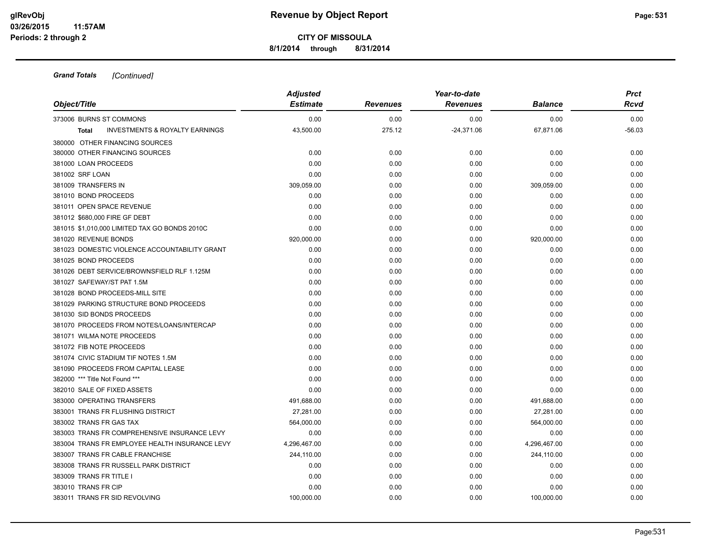**8/1/2014 through 8/31/2014**

|                                                           | <b>Adjusted</b> |                 | Year-to-date    |                | <b>Prct</b> |
|-----------------------------------------------------------|-----------------|-----------------|-----------------|----------------|-------------|
| Object/Title                                              | <b>Estimate</b> | <b>Revenues</b> | <b>Revenues</b> | <b>Balance</b> | Rcvd        |
| 373006 BURNS ST COMMONS                                   | 0.00            | 0.00            | 0.00            | 0.00           | 0.00        |
| <b>INVESTMENTS &amp; ROYALTY EARNINGS</b><br><b>Total</b> | 43,500.00       | 275.12          | $-24,371.06$    | 67,871.06      | $-56.03$    |
| 380000 OTHER FINANCING SOURCES                            |                 |                 |                 |                |             |
| 380000 OTHER FINANCING SOURCES                            | 0.00            | 0.00            | 0.00            | 0.00           | 0.00        |
| 381000 LOAN PROCEEDS                                      | 0.00            | 0.00            | 0.00            | 0.00           | 0.00        |
| 381002 SRF LOAN                                           | 0.00            | 0.00            | 0.00            | 0.00           | 0.00        |
| 381009 TRANSFERS IN                                       | 309,059.00      | 0.00            | 0.00            | 309,059.00     | 0.00        |
| 381010 BOND PROCEEDS                                      | 0.00            | 0.00            | 0.00            | 0.00           | 0.00        |
| 381011 OPEN SPACE REVENUE                                 | 0.00            | 0.00            | 0.00            | 0.00           | 0.00        |
| 381012 \$680,000 FIRE GF DEBT                             | 0.00            | 0.00            | 0.00            | 0.00           | 0.00        |
| 381015 \$1,010,000 LIMITED TAX GO BONDS 2010C             | 0.00            | 0.00            | 0.00            | 0.00           | 0.00        |
| 381020 REVENUE BONDS                                      | 920,000.00      | 0.00            | 0.00            | 920,000.00     | 0.00        |
| 381023 DOMESTIC VIOLENCE ACCOUNTABILITY GRANT             | 0.00            | 0.00            | 0.00            | 0.00           | 0.00        |
| 381025 BOND PROCEEDS                                      | 0.00            | 0.00            | 0.00            | 0.00           | 0.00        |
| 381026 DEBT SERVICE/BROWNSFIELD RLF 1.125M                | 0.00            | 0.00            | 0.00            | 0.00           | 0.00        |
| 381027 SAFEWAY/ST PAT 1.5M                                | 0.00            | 0.00            | 0.00            | 0.00           | 0.00        |
| 381028 BOND PROCEEDS-MILL SITE                            | 0.00            | 0.00            | 0.00            | 0.00           | 0.00        |
| 381029 PARKING STRUCTURE BOND PROCEEDS                    | 0.00            | 0.00            | 0.00            | 0.00           | 0.00        |
| 381030 SID BONDS PROCEEDS                                 | 0.00            | 0.00            | 0.00            | 0.00           | 0.00        |
| 381070 PROCEEDS FROM NOTES/LOANS/INTERCAP                 | 0.00            | 0.00            | 0.00            | 0.00           | 0.00        |
| 381071 WILMA NOTE PROCEEDS                                | 0.00            | 0.00            | 0.00            | 0.00           | 0.00        |
| 381072 FIB NOTE PROCEEDS                                  | 0.00            | 0.00            | 0.00            | 0.00           | 0.00        |
| 381074 CIVIC STADIUM TIF NOTES 1.5M                       | 0.00            | 0.00            | 0.00            | 0.00           | 0.00        |
| 381090 PROCEEDS FROM CAPITAL LEASE                        | 0.00            | 0.00            | 0.00            | 0.00           | 0.00        |
| 382000 *** Title Not Found ***                            | 0.00            | 0.00            | 0.00            | 0.00           | 0.00        |
| 382010 SALE OF FIXED ASSETS                               | 0.00            | 0.00            | 0.00            | 0.00           | 0.00        |
| 383000 OPERATING TRANSFERS                                | 491,688.00      | 0.00            | 0.00            | 491,688.00     | 0.00        |
| 383001 TRANS FR FLUSHING DISTRICT                         | 27,281.00       | 0.00            | 0.00            | 27,281.00      | 0.00        |
| 383002 TRANS FR GAS TAX                                   | 564,000.00      | 0.00            | 0.00            | 564,000.00     | 0.00        |
| 383003 TRANS FR COMPREHENSIVE INSURANCE LEVY              | 0.00            | 0.00            | 0.00            | 0.00           | 0.00        |
| 383004 TRANS FR EMPLOYEE HEALTH INSURANCE LEVY            | 4,296,467.00    | 0.00            | 0.00            | 4,296,467.00   | 0.00        |
| 383007 TRANS FR CABLE FRANCHISE                           | 244,110.00      | 0.00            | 0.00            | 244,110.00     | 0.00        |
| 383008 TRANS FR RUSSELL PARK DISTRICT                     | 0.00            | 0.00            | 0.00            | 0.00           | 0.00        |
| 383009 TRANS FR TITLE I                                   | 0.00            | 0.00            | 0.00            | 0.00           | 0.00        |
| 383010 TRANS FR CIP                                       | 0.00            | 0.00            | 0.00            | 0.00           | 0.00        |
| 383011 TRANS FR SID REVOLVING                             | 100.000.00      | 0.00            | 0.00            | 100,000.00     | 0.00        |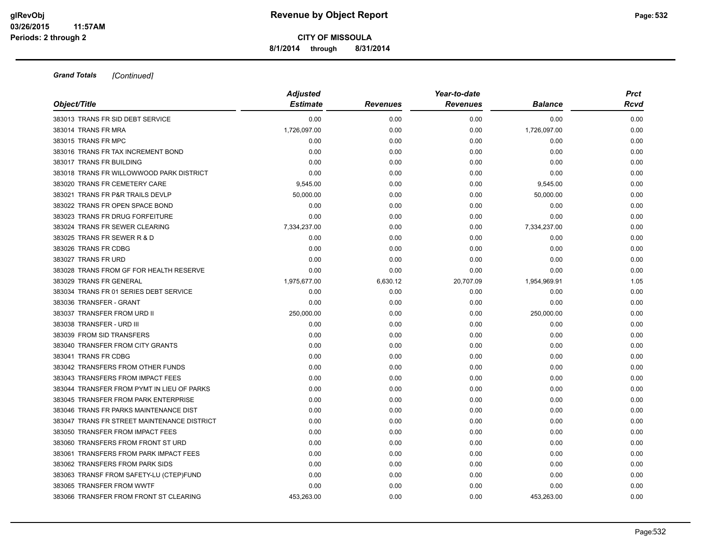**8/1/2014 through 8/31/2014**

| Object/Title                                | <b>Adjusted</b><br><b>Estimate</b> | <b>Revenues</b> | Year-to-date<br><b>Revenues</b> | <b>Balance</b> | <b>Prct</b><br>Rcvd |
|---------------------------------------------|------------------------------------|-----------------|---------------------------------|----------------|---------------------|
|                                             |                                    |                 |                                 |                |                     |
| 383013 TRANS FR SID DEBT SERVICE            | 0.00                               | 0.00            | 0.00                            | 0.00           | 0.00                |
| 383014 TRANS FR MRA                         | 1,726,097.00                       | 0.00            | 0.00                            | 1,726,097.00   | 0.00                |
| 383015 TRANS FR MPC                         | 0.00                               | 0.00            | 0.00                            | 0.00           | 0.00                |
| 383016 TRANS FR TAX INCREMENT BOND          | 0.00                               | 0.00            | 0.00                            | 0.00           | 0.00                |
| 383017 TRANS FR BUILDING                    | 0.00                               | 0.00            | 0.00                            | 0.00           | 0.00                |
| 383018 TRANS FR WILLOWWOOD PARK DISTRICT    | 0.00                               | 0.00            | 0.00                            | 0.00           | 0.00                |
| 383020 TRANS FR CEMETERY CARE               | 9,545.00                           | 0.00            | 0.00                            | 9,545.00       | 0.00                |
| 383021 TRANS FR P&R TRAILS DEVLP            | 50,000.00                          | 0.00            | 0.00                            | 50,000.00      | 0.00                |
| 383022 TRANS FR OPEN SPACE BOND             | 0.00                               | 0.00            | 0.00                            | 0.00           | 0.00                |
| 383023 TRANS FR DRUG FORFEITURE             | 0.00                               | 0.00            | 0.00                            | 0.00           | 0.00                |
| 383024 TRANS FR SEWER CLEARING              | 7,334,237.00                       | 0.00            | 0.00                            | 7,334,237.00   | 0.00                |
| 383025 TRANS FR SEWER R & D                 | 0.00                               | 0.00            | 0.00                            | 0.00           | 0.00                |
| 383026 TRANS FR CDBG                        | 0.00                               | 0.00            | 0.00                            | 0.00           | 0.00                |
| 383027 TRANS FR URD                         | 0.00                               | 0.00            | 0.00                            | 0.00           | 0.00                |
| 383028 TRANS FROM GF FOR HEALTH RESERVE     | 0.00                               | 0.00            | 0.00                            | 0.00           | 0.00                |
| 383029 TRANS FR GENERAL                     | 1,975,677.00                       | 6,630.12        | 20,707.09                       | 1,954,969.91   | 1.05                |
| 383034 TRANS FR 01 SERIES DEBT SERVICE      | 0.00                               | 0.00            | 0.00                            | 0.00           | 0.00                |
| 383036 TRANSFER - GRANT                     | 0.00                               | 0.00            | 0.00                            | 0.00           | 0.00                |
| 383037 TRANSFER FROM URD II                 | 250,000.00                         | 0.00            | 0.00                            | 250,000.00     | 0.00                |
| 383038 TRANSFER - URD III                   | 0.00                               | 0.00            | 0.00                            | 0.00           | 0.00                |
| 383039 FROM SID TRANSFERS                   | 0.00                               | 0.00            | 0.00                            | 0.00           | 0.00                |
| 383040 TRANSFER FROM CITY GRANTS            | 0.00                               | 0.00            | 0.00                            | 0.00           | 0.00                |
| 383041 TRANS FR CDBG                        | 0.00                               | 0.00            | 0.00                            | 0.00           | 0.00                |
| 383042 TRANSFERS FROM OTHER FUNDS           | 0.00                               | 0.00            | 0.00                            | 0.00           | 0.00                |
| 383043 TRANSFERS FROM IMPACT FEES           | 0.00                               | 0.00            | 0.00                            | 0.00           | 0.00                |
| 383044 TRANSFER FROM PYMT IN LIEU OF PARKS  | 0.00                               | 0.00            | 0.00                            | 0.00           | 0.00                |
| 383045 TRANSFER FROM PARK ENTERPRISE        | 0.00                               | 0.00            | 0.00                            | 0.00           | 0.00                |
| 383046 TRANS FR PARKS MAINTENANCE DIST      | 0.00                               | 0.00            | 0.00                            | 0.00           | 0.00                |
| 383047 TRANS FR STREET MAINTENANCE DISTRICT | 0.00                               | 0.00            | 0.00                            | 0.00           | 0.00                |
| 383050 TRANSFER FROM IMPACT FEES            | 0.00                               | 0.00            | 0.00                            | 0.00           | 0.00                |
| 383060 TRANSFERS FROM FRONT ST URD          | 0.00                               | 0.00            | 0.00                            | 0.00           | 0.00                |
| 383061 TRANSFERS FROM PARK IMPACT FEES      | 0.00                               | 0.00            | 0.00                            | 0.00           | 0.00                |
| 383062 TRANSFERS FROM PARK SIDS             | 0.00                               | 0.00            | 0.00                            | 0.00           | 0.00                |
| 383063 TRANSF FROM SAFETY-LU (CTEP)FUND     | 0.00                               | 0.00            | 0.00                            | 0.00           | 0.00                |
| 383065 TRANSFER FROM WWTF                   | 0.00                               | 0.00            | 0.00                            | 0.00           | 0.00                |
| 383066 TRANSFER FROM FRONT ST CLEARING      | 453.263.00                         | 0.00            | 0.00                            | 453,263.00     | 0.00                |